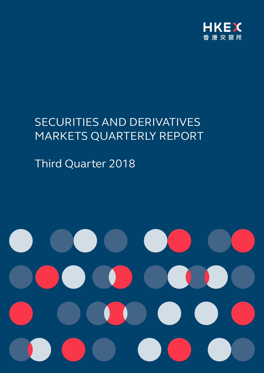

# SECURITIES AND DERIVATIVES MARKETS QUARTERLY REPORT

Third Quarter 2018

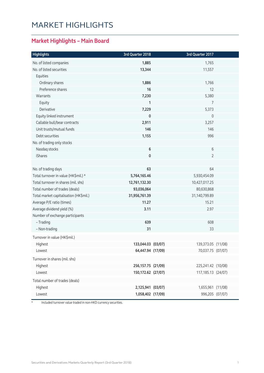## MARKET HIGHLIGHTS

### **Market Highlights – Main Board**

| <b>Highlights</b>                      | 3rd Quarter 2018     | 3rd Quarter 2017   |  |
|----------------------------------------|----------------------|--------------------|--|
| No. of listed companies                | 1,885                | 1,765              |  |
| No. of listed securities               | 13,344               | 11,557             |  |
| Equities                               |                      |                    |  |
| Ordinary shares                        | 1,886                | 1,766              |  |
| Preference shares                      | 16                   | 12                 |  |
| Warrants                               | 7,230                | 5,380              |  |
| Equity                                 | 1                    | 7                  |  |
| Derivative                             | 7,229                | 5,373              |  |
| Equity linked instrument               | 0                    | 0                  |  |
| Callable bull/bear contracts           | 2,911                | 3,257              |  |
| Unit trusts/mutual funds               | 146                  | 146                |  |
| Debt securities                        | 1,155                | 996                |  |
| No. of trading only stocks             |                      |                    |  |
| Nasdaq stocks                          | $\bf 6$              | 6                  |  |
| iShares                                | 0                    | $\overline{2}$     |  |
|                                        |                      |                    |  |
| No. of trading days                    | 63                   | 64                 |  |
| Total turnover in value (HK\$mil.) *   | 5,764,165.46         | 5,930,454.09       |  |
| Total turnover in shares (mil. shs)    | 12,761,132.30        | 10,427,017.25      |  |
| Total number of trades (deals)         | 93,036,064           | 80,630,868         |  |
| Total market capitalisation (HK\$mil.) | 31,956,761.39        | 31,140,799.89      |  |
| Average P/E ratio (times)              | 11.27                | 15.21              |  |
| Average dividend yield (%)             | 3.11                 | 2.97               |  |
| Number of exchange participants        |                      |                    |  |
| - Trading                              | 639                  | 608                |  |
| - Non-trading                          | 31                   | 33                 |  |
| Turnover in value (HK\$mil.)           |                      |                    |  |
| Highest                                | 133,044.03 (03/07)   | 139,373.05 (11/08) |  |
| Lowest                                 | 64,447.94 (17/09)    | 70,037.75 (07/07)  |  |
| Turnover in shares (mil. shs)          |                      |                    |  |
| Highest                                | 256, 157. 75 (21/09) | 225,241.42 (10/08) |  |
| Lowest                                 | 150,172.62 (27/07)   | 117,185.13 (24/07) |  |
|                                        |                      |                    |  |
| Total number of trades (deals)         |                      |                    |  |
| Highest                                | 2,125,941 (03/07)    | 1,655,961 (11/08)  |  |
| Lowest                                 | 1,058,402 (17/09)    | 996,205 (07/07)    |  |

\* Included turnover value traded in non-HKD currency securities.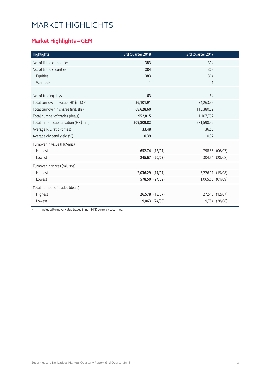## MARKET HIGHLIGHTS

### **Market Highlights – GEM**

| <b>Highlights</b>                      | 3rd Quarter 2018 |                | 3rd Quarter 2017 |                |
|----------------------------------------|------------------|----------------|------------------|----------------|
| No. of listed companies                | 383              |                | 304              |                |
| No. of listed securities               | 384              |                | 305              |                |
| Equities                               | 383              |                | 304              |                |
| Warrants                               | $\mathbf{1}$     |                | 1                |                |
|                                        |                  |                |                  |                |
| No. of trading days                    | 63               |                | 64               |                |
| Total turnover in value (HK\$mil.) *   | 26,101.91        |                | 34,263.35        |                |
| Total turnover in shares (mil. shs)    | 68,628.60        |                | 115,380.39       |                |
| Total number of trades (deals)         | 952,815          |                | 1,107,792        |                |
| Total market capitalisation (HK\$mil.) | 209,809.82       |                | 271,598.42       |                |
| Average P/E ratio (times)              | 33.48            |                | 36.55            |                |
| Average dividend yield (%)             | 0.39             |                | 0.37             |                |
| Turnover in value (HK\$mil.)           |                  |                |                  |                |
| Highest                                |                  | 652.74 (18/07) |                  | 798.56 (06/07) |
| Lowest                                 |                  | 245.67 (20/08) |                  | 304.54 (28/08) |
| Turnover in shares (mil. shs)          |                  |                |                  |                |
| Highest                                | 2,036.29 (17/07) |                | 3,226.91 (15/08) |                |
| Lowest                                 |                  | 578.50 (24/09) | 1,065.63 (01/09) |                |
| Total number of trades (deals)         |                  |                |                  |                |
| Highest                                |                  | 26,578 (18/07) |                  | 27,516 (12/07) |
| Lowest                                 |                  | 9,063 (24/09)  |                  | 9,784 (28/08)  |

\* Included turnover value traded in non-HKD currency securities.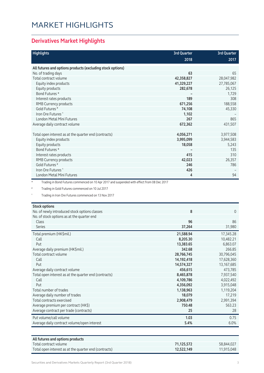## MARKET HIGHLIGHTS

### **Derivatives Market Highlights**

| <b>Highlights</b>                                                                                       | <b>3rd Quarter</b> | <b>3rd Quarter</b> |
|---------------------------------------------------------------------------------------------------------|--------------------|--------------------|
|                                                                                                         | 2018               | 2017               |
| All futures and options products (excluding stock options)                                              |                    |                    |
| No. of trading days                                                                                     | 63                 | 65                 |
| Total contract volume                                                                                   | 42,358,827         | 28,047,982         |
| Equity index products                                                                                   | 41,329,227         | 27,785,067         |
| Equity products                                                                                         | 282,678            | 26,125             |
| Bond Futures *                                                                                          |                    | 1.729              |
| Interest rates products                                                                                 | 189                | 308                |
| RMB Currency products                                                                                   | 671,256            | 188,558            |
| Gold Futures <sup>#</sup>                                                                               | 74,108             | 45,330             |
| Iron Ore Futures <sup>"</sup>                                                                           | 1,102              |                    |
| London Metal Mini Futures                                                                               | 267                | 865                |
| Average daily contract volume                                                                           | 672,362            | 431,507            |
|                                                                                                         |                    |                    |
| Total open interest as at the quarter end (contracts)                                                   | 4,056,271          | 3,977,508          |
| Equity index products                                                                                   | 3,995,099          | 3,944,583          |
| Equity products                                                                                         | 18,058             | 5,243              |
| Bond Futures *                                                                                          |                    | 135                |
| Interest rates products                                                                                 | 415                | 310                |
| RMB Currency products                                                                                   | 42,023             | 26,357             |
| Gold Futures <sup>#</sup>                                                                               | 246                | 786                |
| Iron Ore Futures <sup>^</sup>                                                                           | 426                |                    |
| <b>London Metal Mini Futures</b>                                                                        | 4                  | 94                 |
| $^\star$<br>Trading in Bond Futures commenced on 10 Apr 2017 and suspended with effect from 08 Dec 2017 |                    |                    |
| $\#$<br>Trading in Gold Futures commenced on 10 Jul 2017                                                |                    |                    |
| Λ<br>Trading in Iron Ore Futures commenced on 13 Nov 2017                                               |                    |                    |

#### **Stock options**

| STOCK OPTIONS                                         |            |            |
|-------------------------------------------------------|------------|------------|
| No. of newly introduced stock options classes         | 8          | $\Omega$   |
| No. of stock options as at the quarter end            |            |            |
| <b>Class</b>                                          | 96         | 86         |
| Series                                                | 37,264     | 31,980     |
| Total premium (HK\$mil.)                              | 21,588.94  | 17,345.28  |
| Call                                                  | 8,205.30   | 10,482.21  |
| Put                                                   | 13,383.65  | 6,863.07   |
| Average daily premium (HK\$mil.)                      | 342.68     | 266.85     |
| Total contract volume                                 | 28,766,745 | 30,796,045 |
| Call                                                  | 14,192,418 | 17,628,360 |
| Put                                                   | 14,574,327 | 13,167,685 |
| Average daily contract volume                         | 456,615    | 473,785    |
| Total open interest as at the quarter end (contracts) | 8,465,878  | 7,937,540  |
| Call                                                  | 4,109,786  | 4,022,492  |
| Put                                                   | 4,356,092  | 3,915,048  |
| Total number of trades                                | 1,138,963  | 1,119,204  |
| Average daily number of trades                        | 18,079     | 17,219     |
| Total contracts exercised                             | 2,908,479  | 2,991,394  |
| Average premium per contract (HK\$)                   | 750.48     | 563.23     |
| Average contract per trade (contracts)                | 25         | 28         |
| Put volume/call volume                                | 1.03       | 0.75       |
| Average daily contract volume/open interest           | 5.4%       | 6.0%       |

| All futures and options products                      |            |            |
|-------------------------------------------------------|------------|------------|
| Total contract volume                                 | 71.125.572 | 58.844.027 |
| Total open interest as at the quarter end (contracts) | 12,522,149 | 11.915.048 |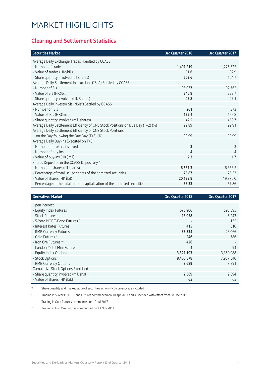#### **Clearing and Settlement Statistics**

| <b>Securities Market</b>                                                        | 3rd Quarter 2018 | 3rd Quarter 2017 |
|---------------------------------------------------------------------------------|------------------|------------------|
| Average Daily Exchange Trades Handled by CCASS                                  |                  |                  |
| - Number of trades                                                              | 1,491,219        | 1,276,525        |
| - Value of trades (HK\$bil.)                                                    | 91.6             | 92.9             |
| - Share quantity Involved (bil shares)                                          | 203.6            | 164.7            |
| Average Daily Settlement Instructions ("SIs") Settled by CCASS                  |                  |                  |
| - Number of SIs                                                                 | 95,037           | 92,762           |
| - Value of SIs (HK\$bil.)                                                       | 246.9            | 223.7            |
| - Share quantity involved (bil. Shares)                                         | 47.8             | 47.1             |
| Average Daily Investor SIs ("ISIs") Settled by CCASS                            |                  |                  |
| - Number of ISIs                                                                | 261              | 373              |
| - Value of ISIs (HK\$mil.)                                                      | 179.4            | 155.8            |
| - Share quantity involved (mil. shares)                                         | 42.5             | 468.7            |
| Average Daily Settlement Efficiency of CNS Stock Positions on Due Day (T+2) (%) | 99.89            | 99.91            |
| Average Daily Settlement Efficiency of CNS Stock Positions                      |                  |                  |
| on the Day following the Due Day (T+3) (%)                                      | 99.99            | 99.99            |
| Average Daily Buy-ins Executed on T+3                                           |                  |                  |
| - Number of brokers involved                                                    | 3                | 3                |
| - Number of buy-ins                                                             | 4                | 4                |
| - Value of buy-ins (HK\$mil)                                                    | 2.3              | 1.7              |
| Shares Deposited in the CCASS Depository *                                      |                  |                  |
| - Number of shares (bil shares)                                                 | 6,587.3          | 6,338.5          |
| - Percentage of total issued shares of the admitted securities                  | 75.87            | 75.53            |
| - Value of shares (HK\$bil)                                                     | 20,139.8         | 19,870.0         |
| - Percentage of the total market capitalisation of the admitted securities      | 58.33            | 57.86            |

| <b>Derivatives Market</b>                 | 3rd Quarter 2018 | 3rd Quarter 2017 |
|-------------------------------------------|------------------|------------------|
| Open Interest                             |                  |                  |
| - Equity Index Futures                    | 673,906          | 593,595          |
| - Stock Futures                           | 18,058           | 5,243            |
| - 5-Year MOF T-Bond Futures ^             | -                | 135              |
| - Interest Rates Futures                  | 415              | 310              |
| - RMB Currency Futures                    | 33,334           | 23,066           |
| - Gold Futures +                          | 246              | 786              |
| - Iron Ore Futures <sup>M</sup>           | 426              |                  |
| - London Metal Mini Futures               | 4                | 94               |
| - Equity Index Options                    | 3,321,193        | 3,350,988        |
| - Stock Options                           | 8,465,878        | 7,937,540        |
| - RMB Currency Options                    | 8,689            | 3,291            |
| <b>Cumulative Stock Options Exercised</b> |                  |                  |
| - Share quantity involved (mil. shs)      | 2,669            | 2,894            |
| - Value of shares (HK\$bil.)              | 65               | 65               |

\* Share quantity and market value of securities in non-HKD currency are included

^ Trading in 5-Year MOF T-Bond Futures commenced on 10 Apr 2017 and suspended with effect from 08 Dec 2017

+ Trading in Gold Futures commenced on 10 Jul 2017

^^ Trading in Iron Ore Futures commenced on 13 Nov 2017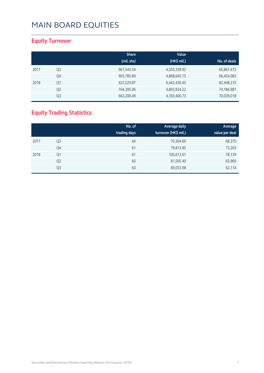### **Equity Turnover**

|      |                | <b>Share</b> | Value<br>(HK\$ mil.) |              |
|------|----------------|--------------|----------------------|--------------|
|      |                | (mil. shs)   |                      | No. of deals |
| 2017 | Q <sub>3</sub> | 961,543.54   | 4,503,339.92         | 65,867,472   |
|      | Q4             | 905,785.89   | 4,868,645.15         | 66,454,083   |
| 2018 | Q1             | 922,529.87   | 6,442,430.45         | 82,448,315   |
|      | Q <sub>2</sub> | 764,395.06   | 4,893,924.22         | 74,184,981   |
|      | Q <sub>3</sub> | 662,200.49   | 4,350,400.73         | 70,039,018   |

### **Equity Trading Statistics**

|      |                | No. of<br>trading days | Average daily<br>turnover (HK\$ mil.) | Average<br>value per deal |
|------|----------------|------------------------|---------------------------------------|---------------------------|
| 2017 | Q3             | 64                     | 70,364.69                             | 68,370                    |
|      | Q4             | 61                     | 79,813.85                             | 73,263                    |
| 2018 | Q1             | 61                     | 105,613.61                            | 78,139                    |
|      | Q <sub>2</sub> | 60                     | 81,565.40                             | 65,969                    |
|      | Q3             | 63                     | 69,053.98                             | 62,114                    |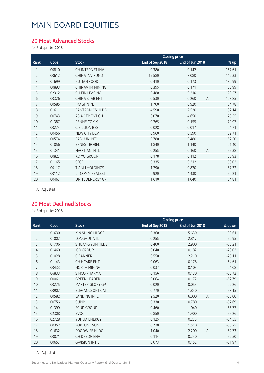#### **20 Most Advanced Stocks**

for 3rd quarter 2018

|       |                        | <b>Closing price</b> |                 |                          |
|-------|------------------------|----------------------|-----------------|--------------------------|
| Code  | <b>Stock</b>           | End of Sep 2018      | End of Jun 2018 | % up                     |
| 00810 | CH INTERNET INV        | 0.380                | 0.142           | 167.61                   |
| 00612 | CHINA INV FUND         | 19.580               | 8.080           | 142.33                   |
| 01699 | PUTIAN FOOD            | 0.410                | 0.173           | 136.99                   |
| 00893 | <b>CHINAVTM MINING</b> | 0.395                | 0.171           | 130.99                   |
| 02312 | CH FIN LEASING         | 0.480                | 0.210           | 128.57                   |
| 00326 | <b>CHINA STAR ENT</b>  | 0.530                | 0.260           | 103.85<br>$\overline{A}$ |
| 00585 | <b>IMAGI INT'L</b>     | 1.700                | 0.920           | 84.78                    |
| 01611 | <b>PANTRONICS HLDG</b> | 4.590                | 2.520           | 82.14                    |
| 00743 | ASIA CEMENT CH         | 8.070                | 4.650           | 73.55                    |
| 01387 | RENHE COMM             | 0.265                | 0.155           | 70.97                    |
| 00274 | C BILLION RES          | 0.028                | 0.017           | 64.71                    |
| 00456 | <b>NEW CITY DEV</b>    | 0.960                | 0.590           | 62.71                    |
| 00574 | <b>PASHUN INT'L</b>    | 0.780                | 0.480           | 62.50                    |
| 01856 | <b>ERNEST BOREL</b>    | 1.840                | 1.140           | 61.40                    |
| 01341 | <b>HAO TIAN INTL</b>   | 0.255                | 0.160           | $\mathsf{A}$<br>59.38    |
| 00827 | KO YO GROUP            | 0.178                | 0.112           | 58.93                    |
| 01165 | <b>SFCE</b>            | 0.335                | 0.212           | 58.02                    |
| 00117 | <b>TIANLI HOLDINGS</b> | 1.290                | 0.820           | 57.32                    |
| 00112 | LT COMM REALEST        | 6.920                | 4.430           | 56.21                    |
| 00467 | UNITEDENERGY GP        | 1.610                | 1.040           | 54.81                    |
|       |                        |                      |                 |                          |

A Adjusted

#### **20 Most Declined Stocks**

for 3rd quarter 2018

|                |       |                        |                 | <b>Closing price</b>    |          |
|----------------|-------|------------------------|-----------------|-------------------------|----------|
| Rank           | Code  | <b>Stock</b>           | End of Sep 2018 | End of Jun 2018         | % down   |
| 1              | 01630 | KIN SHING HLDGS        | 0.360           | 5.630                   | $-93.61$ |
| $\overline{2}$ | 01007 | <b>LONGHUI INTL</b>    | 0.255           | 2.817                   | $-90.95$ |
| 3              | 01706 | <b>SHUANG YUN HLDG</b> | 0.400           | 2.900                   | $-86.21$ |
| $\overline{4}$ | 01460 | <b>ICO GROUP</b>       | 0.040           | 0.182                   | $-78.02$ |
| 5              | 01028 | <b>C.BANNER</b>        | 0.550           | 2.210                   | $-75.11$ |
| 6              | 01143 | CH HCARE ENT           | 0.063           | 0.178                   | $-64.61$ |
| 7              | 00433 | NORTH MINING           | 0.037           | 0.103                   | $-64.08$ |
| 8              | 06833 | <b>SINCO PHARMA</b>    | 0.156           | 0.430                   | $-63.72$ |
| 9              | 00061 | <b>GREEN LEADER</b>    | 0.064           | 0.172                   | $-62.79$ |
| 10             | 00275 | MASTER GLORY GP        | 0.020           | 0.053                   | $-62.26$ |
| 11             | 00907 | ELEGANCEOPTICAL        | 0.770           | 1.840                   | $-58.15$ |
| 12             | 00582 | <b>LANDING INTL</b>    | 2.520           | 6.000<br>$\overline{A}$ | $-58.00$ |
| 13             | 00756 | <b>SUMMI</b>           | 0.330           | 0.780                   | $-57.69$ |
| 14             | 01399 | <b>SCUD GROUP</b>      | 0.460           | 1.040                   | $-55.77$ |
| 15             | 02308 | <b>EVOC</b>            | 0.850           | 1.900                   | $-55.26$ |
| 16             | 02728 | YUHUA ENERGY           | 0.125           | 0.275                   | $-54.55$ |
| 17             | 00352 | <b>FORTUNE SUN</b>     | 0.720           | 1.540                   | $-53.25$ |
| 18             | 01632 | <b>FOODWISE HLDG</b>   | 1.040           | $\overline{A}$<br>2.200 | $-52.73$ |
| 19             | 00871 | CH DREDG ENV           | 0.114           | 0.240                   | $-52.50$ |
| 20             | 00657 | <b>G-VISION INT'L</b>  | 0.073           | 0.152                   | $-51.97$ |

A Adjusted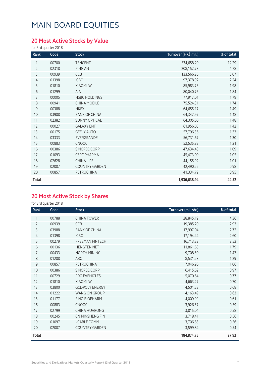### **20 Most Active Stocks by Value**

for 3rd quarter 2018

| Rank           | Code  | <b>Stock</b>          | Turnover (HK\$ mil.) | % of total |
|----------------|-------|-----------------------|----------------------|------------|
| 1              | 00700 | <b>TENCENT</b>        | 534,658.20           | 12.29      |
| $\overline{2}$ | 02318 | PING AN               | 208,152.73           | 4.78       |
| 3              | 00939 | CCB                   | 133,566.26           | 3.07       |
| 4              | 01398 | ICBC                  | 97,378.92            | 2.24       |
| 5              | 01810 | XIAOMI-W              | 85,983.73            | 1.98       |
| 6              | 01299 | AIA                   | 80,040.76            | 1.84       |
| 7              | 00005 | <b>HSBC HOLDINGS</b>  | 77,917.01            | 1.79       |
| 8              | 00941 | <b>CHINA MOBILE</b>   | 75,524.31            | 1.74       |
| 9              | 00388 | <b>HKEX</b>           | 64,655.17            | 1.49       |
| 10             | 03988 | <b>BANK OF CHINA</b>  | 64,347.97            | 1.48       |
| 11             | 02382 | <b>SUNNY OPTICAL</b>  | 64,305.60            | 1.48       |
| 12             | 00027 | <b>GALAXY ENT</b>     | 61,956.05            | 1.42       |
| 13             | 00175 | <b>GEELY AUTO</b>     | 57,796.36            | 1.33       |
| 14             | 03333 | EVERGRANDE            | 56,731.67            | 1.30       |
| 15             | 00883 | <b>CNOOC</b>          | 52,535.83            | 1.21       |
| 16             | 00386 | SINOPEC CORP          | 47,634.43            | 1.09       |
| 17             | 01093 | <b>CSPC PHARMA</b>    | 45,473.00            | 1.05       |
| 18             | 02628 | CHINA LIFE            | 44,155.92            | 1.01       |
| 19             | 02007 | <b>COUNTRY GARDEN</b> | 42,490.22            | 0.98       |
| 20             | 00857 | PETROCHINA            | 41,334.79            | 0.95       |
| Total          |       |                       | 1,936,638.94         | 44.52      |

### **20 Most Active Stock by Shares**

for 3rd quarter 2018

| Rank           | Code  | <b>Stock</b>           | Turnover (mil. shs) | % of total |
|----------------|-------|------------------------|---------------------|------------|
|                | 00788 | <b>CHINA TOWER</b>     | 28,845.19           | 4.36       |
| $\overline{2}$ | 00939 | CCB                    | 19,385.20           | 2.93       |
| 3              | 03988 | <b>BANK OF CHINA</b>   | 17,997.04           | 2.72       |
| 4              | 01398 | <b>ICBC</b>            | 17,194.44           | 2.60       |
| 5              | 00279 | <b>FREEMAN FINTECH</b> | 16,713.32           | 2.52       |
| 6              | 00136 | <b>HENGTEN NET</b>     | 11,861.65           | 1.79       |
| 7              | 00433 | <b>NORTH MINING</b>    | 9,708.50            | 1.47       |
| 8              | 01288 | ABC                    | 8,531.28            | 1.29       |
| 9              | 00857 | <b>PETROCHINA</b>      | 7,046.90            | 1.06       |
| 10             | 00386 | SINOPEC CORP           | 6,415.62            | 0.97       |
| 11             | 00729 | <b>FDG EVEHICLES</b>   | 5,070.64            | 0.77       |
| 12             | 01810 | XIAOMI-W               | 4,663.27            | 0.70       |
| 13             | 03800 | <b>GCL-POLY ENERGY</b> | 4,501.53            | 0.68       |
| 14             | 01222 | <b>WANG ON GROUP</b>   | 4,163.49            | 0.63       |
| 15             | 01177 | <b>SINO BIOPHARM</b>   | 4,009.99            | 0.61       |
| 16             | 00883 | <b>CNOOC</b>           | 3,926.57            | 0.59       |
| 17             | 02799 | <b>CHINA HUARONG</b>   | 3,815.04            | 0.58       |
| 18             | 00245 | CN MINSHENG FIN        | 3,718.41            | 0.56       |
| 19             | 01097 | <b>I-CABLE COMM</b>    | 3,706.83            | 0.56       |
| 20             | 02007 | <b>COUNTRY GARDEN</b>  | 3,599.84            | 0.54       |
| Total          |       |                        | 184,874.75          | 27.92      |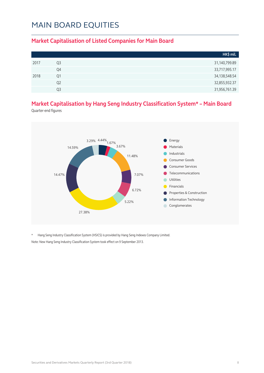#### **Market Capitalisation of Listed Companies for Main Board**

|      |                | HK\$ mil.        |
|------|----------------|------------------|
| 2017 | Q3             | 31,140,799.89    |
|      | Q4             | 33,717,995.17    |
| 2018 | Q1             | 34, 138, 548. 54 |
|      | Q <sub>2</sub> | 32,855,932.37    |
|      | O3             | 31,956,761.39    |

### **Market Capitalisation by Hang Seng Industry Classification System\* – Main Board**

Quarter-end figures



\* Hang Seng Industry Classification System (HSICS) is provided by Hang Seng Indexes Company Limited. Note: New Hang Seng Industry Classification System took effect on 9 September 2013.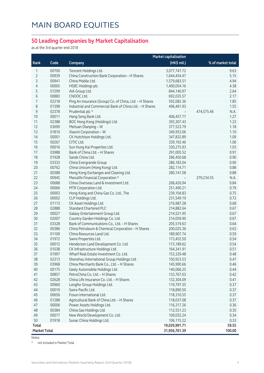#### **50 Leading Companies by Market Capitalisation**

as at the 3rd quarter end 2018

|                     |       | <b>Market capitalisation</b>                            |               |                    |
|---------------------|-------|---------------------------------------------------------|---------------|--------------------|
| Rank                | Code  | Company                                                 | (HK\$ mil.)   | % of market total  |
| 1                   | 00700 | Tencent Holdings Ltd.                                   | 3,077,747.72  | 9.63               |
| 2                   | 00939 | China Construction Bank Corporation - H Shares          | 1,644,454.47  | 5.15               |
| 3                   | 00941 | China Mobile Ltd.                                       | 1,579,683.51  | 4.94               |
| $\overline{4}$      | 00005 | <b>HSBC Holdings plc</b>                                | 1,400,054.16  | 4.38               |
| 5                   | 01299 | AIA Group Ltd.                                          | 844,140.97    | 2.64               |
| 6                   | 00883 | CNOOC Ltd.                                              | 692,035.57    | 2.17               |
| 7                   | 02318 | Ping An Insurance (Group) Co. of China, Ltd. - H Shares | 592,082.36    | 1.85               |
| 8                   | 01398 | Industrial and Commercial Bank of China Ltd. - H Shares | 496,461.93    | 1.55               |
| $\mathsf 9$         | 02378 | Prudential plc *                                        |               | 474,575.46<br>N.A. |
| 10                  | 00011 | Hang Seng Bank Ltd.                                     | 406,457.77    | 1.27               |
| 11                  | 02388 | BOC Hong Kong (Holdings) Ltd.                           | 393,307.43    | 1.23               |
| 12                  | 03690 | Meituan Dianping - W                                    | 377,523.79    | 1.18               |
| 13                  | 01810 | Xiaomi Corporation - W                                  | 349,953.06    | 1.10               |
| 14                  | 00001 | CK Hutchison Holdings Ltd.                              | 347,832.89    | 1.09               |
| 15                  | 00267 | CITIC Ltd.                                              | 339,192.46    | 1.06               |
| 16                  | 00016 | Sun Hung Kai Properties Ltd.                            | 330,275.93    | 1.03               |
| 17                  | 03988 | Bank of China Ltd. - H Shares                           | 291,005.52    | 0.91               |
| 18                  | 01928 | Sands China Ltd.                                        | 286,450.68    | 0.90               |
| 19                  | 03333 | China Evergrande Group                                  | 286,183.04    | 0.90               |
| 20                  | 00762 | China Unicom (Hong Kong) Ltd.                           | 282,114.71    | 0.88               |
| 21                  | 00388 | Hong Kong Exchanges and Clearing Ltd.                   | 280,141.58    | 0.88               |
| 22                  | 00945 | Manulife Financial Corporation *                        |               | 279,234.55<br>N.A. |
| 23                  | 00688 | China Overseas Land & Investment Ltd.                   | 268,426.94    | 0.84               |
| 24                  | 00066 | MTR Corporation Ltd.                                    | 251,490.21    | 0.79               |
| 25                  | 00003 | Hong Kong and China Gas Co. Ltd., The                   | 239,104.83    | 0.75               |
| 26                  | 00002 | CLP Holdings Ltd.                                       | 231,549.19    | 0.72               |
| 27                  | 01113 | CK Asset Holdings Ltd.                                  | 216,987.28    | 0.68               |
| 28                  | 02888 | <b>Standard Chartered PLC</b>                           | 214,882.64    | 0.67               |
| 29                  | 00027 | Galaxy Entertainment Group Ltd.                         | 214,521.95    | 0.67               |
| 30                  | 02007 | Country Garden Holdings Co. Ltd.                        | 214,059.90    | 0.67               |
| 31                  | 03328 | Bank of Communications Co., Ltd. - H Shares             | 205,519.63    | 0.64               |
| 32                  | 00386 | China Petroleum & Chemical Corporation - H Shares       | 200,025.36    | 0.63               |
| 33                  | 01109 | China Resources Land Ltd.                               | 189,907.74    | 0.59               |
| 34                  | 01972 | Swire Properties Ltd.                                   | 173,452.50    | 0.54               |
| 35                  | 00012 | Henderson Land Development Co. Ltd.                     | 173,189.62    | 0.54               |
| 36                  | 01038 | CK Infrastructure Holdings Ltd.                         | 164,341.91    | 0.51               |
| 37                  | 01997 | Wharf Real Estate Investment Co. Ltd.                   | 153,329.48    | 0.48               |
| 38                  | 02313 | Shenzhou International Group Holdings Ltd.              | 150,923.53    | 0.47               |
| 39                  | 03968 | China Merchants Bank Co., Ltd. - H Shares               | 145,990.66    | 0.46               |
| 40                  | 00175 | Geely Automobile Holdings Ltd.                          | 140,066.25    | 0.44               |
| 41                  | 00857 | PetroChina Co. Ltd. - H Shares                          | 133,767.03    | 0.42               |
| 42                  | 02628 | China Life Insurance Co. Ltd. - H Shares                | 132,304.09    | 0.41               |
| 43                  | 00960 | Longfor Group Holdings Ltd.                             | 119,797.35    | 0.37               |
| 44                  | 00019 | Swire Pacific Ltd.                                      | 118,890.50    | 0.37               |
| 45                  | 00656 | Fosun International Ltd.                                | 118,310.55    | 0.37               |
| 46                  | 01288 | Agricultural Bank of China Ltd. - H Shares              | 118,037.08    | 0.37               |
| 47                  | 00006 | Power Assets Holdings Ltd.                              | 116,317.26    | 0.36               |
| 48                  | 00384 | China Gas Holdings Ltd.                                 | 112,551.23    | 0.35               |
| 49                  | 00017 | New World Development Co. Ltd.                          | 109,032.24    | 0.34               |
| 50                  | 01918 | Sunac China Holdings Ltd.                               | 106,115.22    | 0.33               |
| <b>Total</b>        |       |                                                         | 19,029,991.71 | 59.55              |
| <b>Market Total</b> |       |                                                         | 31,956,761.39 | 100.00             |

Notes:

\* not included in Market Total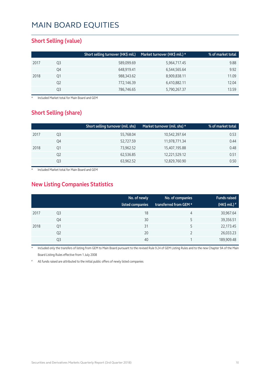#### **Short Selling (value)**

|      |    | Short selling turnover (HK\$ mil.) | Market turnover (HK\$ mil.) * | % of market total |
|------|----|------------------------------------|-------------------------------|-------------------|
| 2017 | Q3 | 589,099.69                         | 5,964,717.45                  | 9.88              |
|      | Q4 | 648,919.41                         | 6,544,565.64                  | 9.92              |
| 2018 | Q1 | 988,343.62                         | 8,909,838.11                  | 11.09             |
|      | Q2 | 772,146.39                         | 6,410,882.11                  | 12.04             |
|      | Q3 | 786,746.65                         | 5,790,267.37                  | 13.59             |

**Included Market total for Main Board and GEM** 

### **Short Selling (share)**

|      |    | Short selling turnover (mil. shs) | Market turnover (mil. shs) $\star$ | % of market total |
|------|----|-----------------------------------|------------------------------------|-------------------|
| 2017 | Q3 | 55,768.04                         | 10,542,397.64                      | 0.53              |
|      | Q4 | 52,727.59                         | 11,978,771.34                      | 0.44              |
| 2018 | Q1 | 73,962.52                         | 15,407,195.88                      | 0.48              |
|      | Q2 | 62,536.85                         | 12,221,529.12                      | 0.51              |
|      | Q3 | 63,962.52                         | 12,829,760.90                      | 0.50              |

Included Market total for Main Board and GEM

### **New Listing Companies Statistics**

|      |                | No. of newly<br>listed companies | No. of companies<br>transferred from GEM * | <b>Funds raised</b><br>(HK\$ mil.) $*$ |
|------|----------------|----------------------------------|--------------------------------------------|----------------------------------------|
| 2017 | Q3             | 18                               | 4                                          | 30,967.64                              |
|      | Q4             | 30                               | 5                                          | 39,356.51                              |
| 2018 | Q1             | 31                               | 5                                          | 22,173.45                              |
|      | Q <sub>2</sub> | 20                               |                                            | 26,033.23                              |
|      | Q3             | 40                               |                                            | 189,909.48                             |

Included only the transfers of listing from GEM to Main Board pursuant to the revised Rule 9.24 of GEM Listing Rules and to the new Chapter 9A of the Main Board Listing Rules effective from 1 July 2008

All funds raised are attributed to the initial public offers of newly listed companies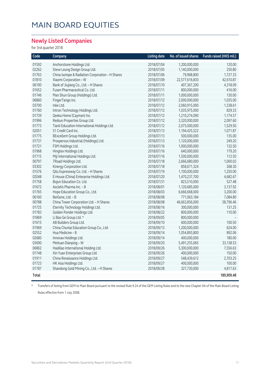#### **Newly Listed Companies**

for 3rd quarter 2018

| Code  | Company                                          | <b>Listing date</b> | No. of issued shares | Funds raised (HK\$ mil.) |
|-------|--------------------------------------------------|---------------------|----------------------|--------------------------|
| 01592 | Anchorstone Holdings Ltd.                        | 2018/07/04          | 1,200,000,000        | 120.00                   |
| 02262 | Steve Leung Design Group Ltd.                    | 2018/07/05          | 1,140,000,000        | 250.80                   |
| 01763 | China Isotope & Radiation Corporation - H Shares | 2018/07/06          | 79,968,800           | 1,727.33                 |
| 01810 | Xiaomi Corporation - W                           | 2018/07/09          | 22,577,616,830       | 42,610.87                |
| 06190 | Bank of Jiujiang Co., Ltd. - H Shares            | 2018/07/10          | 407,367,200          | 4,318.09                 |
| 01652 | Fusen Pharmaceutical Co. Ltd.                    | 2018/07/11          | 800,000,000          | 416.00                   |
| 01746 | Man Shun Group (Holdings) Ltd.                   | 2018/07/11          | 1,000,000,000        | 130.00                   |
| 06860 | FingerTango Inc.                                 | 2018/07/12          | 2,000,000,000        | 1,035.00                 |
| 03700 | Inke Ltd.                                        | 2018/07/12          | 2,060,915,000        | 1,338.61                 |
| 01760 | Intron Technology Holdings Ltd.                  | 2018/07/12          | 1,035,975,000        | 829.33                   |
| 01739 | Qeeka Home (Cayman) Inc.                         | 2018/07/12          | 1,210,274,090        | 1,174.57                 |
| 01996 | Redsun Properties Group Ltd.                     | 2018/07/12          | 3,320,000,000        | 2,097.60                 |
| 01773 | Tianli Education International Holdings Ltd.     | 2018/07/12          | 2,075,000,000        | 1,529.50                 |
| 02051 | 51 Credit Card Inc.                              | 2018/07/13          | 1,194,425,522        | 1,071.87                 |
| 01775 | BExcellent Group Holdings Ltd.                   | 2018/07/13          | 500,000,000          | 135.00                   |
| 01731 | Prosperous Industrial (Holdings) Ltd.            | 2018/07/13          | 1,120,000,000        | 249.20                   |
| 01721 | FSM Holdings Ltd.                                | 2018/07/16          | 1,000,000,000        | 132.50                   |
| 01968 | Hingtex Holdings Ltd.                            | 2018/07/16          | 640,000,000          | 179.20                   |
| 01715 | Miji International Holdings Ltd.                 | 2018/07/16          | 1,500,000,000        | 112.50                   |
| 00797 | 7Road Holdings Ltd.                              | 2018/07/18          | 2,666,680,000        | 1,000.02                 |
| 03302 | Kinergy Corporation Ltd.                         | 2018/07/18          | 858,671,324          | 268.30                   |
| 01576 | Qilu Expressway Co. Ltd. - H Shares              | 2018/07/19          | 1,100,000,000        | 1,250.00                 |
| 02048 | E-House (China) Enterprise Holdings Ltd.         | 2018/07/20          | 1,470,237,700        | 4,682.67                 |
| 01758 | Bojun Education Co. Ltd.                         | 2018/07/31          | 823,510,000          | 527.48                   |
| 01672 | Ascletis Pharma Inc. - B                         | 2018/08/01          | 1,120,685,000        | 3,137.92                 |
| 01765 | Hope Education Group Co., Ltd.                   | 2018/08/03          | 6,666,668,000        | 3,200.00                 |
| 06160 | BeiGene, Ltd. - B                                | 2018/08/08          | 771,063,184          | 7,084.80                 |
| 00788 | China Tower Corporation Ltd. - H Shares          | 2018/08/08          | 46,663,856,000       | 58,796.46                |
| 01725 | Eternity Technology Holdings Ltd.                | 2018/08/16          | 300,000,000          | 131.25                   |
| 01783 | Golden Ponder Holdings Ltd.                      | 2018/08/22          | 800,000,000          | 110.00                   |
| 01869 | Li Bao Ge Group Ltd. *                           | 2018/09/05          | 800,000,000          |                          |
| 01615 | AB Builders Group Ltd.                           | 2018/09/10          | 600,000,000          | 100.50                   |
| 01969 | China Chunlai Education Group Co., Ltd.          | 2018/09/13          | 1,200,000,000        | 624.00                   |
| 02552 | Hua Medicine - B                                 | 2018/09/14          | 1,054,893,800        | 892.06                   |
| 02680 | Innovax Holdings Ltd.                            | 2018/09/14          | 400,000,000          | 180.00                   |
| 03690 | Meituan Dianping - W                             | 2018/09/20          | 5,491,255,065        | 33,138.53                |
| 06862 | Haidilao International Holding Ltd.              | 2018/09/26          | 5,300,000,000        | 7,556.63                 |
| 01748 | Xin Yuan Enterprises Group Ltd.                  | 2018/09/26          | 400,000,000          | 150.00                   |
| 01911 | China Renaissance Holdings Ltd.                  | 2018/09/27          | 548,439,612          | 2,703.25                 |
| 01723 | HK Asia Holdings Ltd.                            | 2018/09/27          | 400,000,000          | 100.00                   |
| 01787 | Shandong Gold Mining Co., Ltd. - H Shares        | 2018/09/28          | 327,730,000          | 4,817.63                 |
| Total |                                                  |                     |                      | 189,909.48               |
|       |                                                  |                     |                      |                          |

\* Transfers of listing from GEM to Main Board pursuant to the revised Rule 9.24 of the GEM Listing Rules and to the new Chapter 9A of the Main Board Listing Rules effective from 1 July 2008.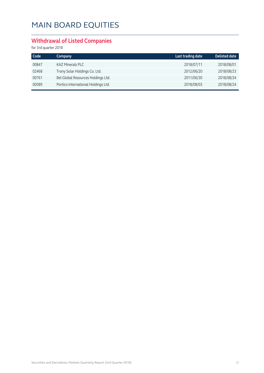### **Withdrawal of Listed Companies**

for 3rd quarter 2018

| Code  | Company                             | Last trading date | <b>Delisted date</b> |
|-------|-------------------------------------|-------------------|----------------------|
| 00847 | <b>KAZ Minerals PLC</b>             | 2018/07/11        | 2018/08/01           |
| 02468 | Trony Solar Holdings Co. Ltd.       | 2012/06/20        | 2018/08/23           |
| 00761 | Bel Global Resources Holdings Ltd.  | 2011/06/30        | 2018/08/24           |
| 00589 | Portico International Holdings Ltd. | 2018/08/03        | 2018/08/24           |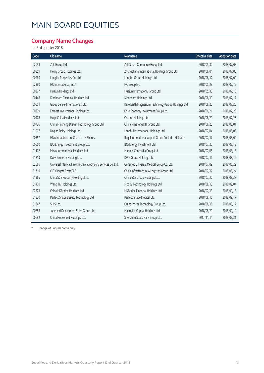### **Company Name Changes**

for 3rd quarter 2018

| Code  | Old name                                                     | New name                                              | <b>Effective date</b> | <b>Adoption date</b> |
|-------|--------------------------------------------------------------|-------------------------------------------------------|-----------------------|----------------------|
| 02098 | Zall Group Ltd.                                              | Zall Smart Commerce Group Ltd.                        | 2018/05/30            | 2018/07/03           |
| 00859 | Henry Group Holdings Ltd.                                    | Zhongchang International Holdings Group Ltd.          | 2018/06/04            | 2018/07/05           |
| 00960 | Longfor Properties Co. Ltd.                                  | Longfor Group Holdings Ltd.                           | 2018/06/12            | 2018/07/09           |
| 02280 | HC International, Inc. *                                     | HC Group Inc.                                         | 2018/05/29            | 2018/07/12           |
| 00377 | Huajun Holdings Ltd.                                         | Huajun International Group Ltd.                       | 2018/05/30            | 2018/07/16           |
| 00148 | Kingboard Chemical Holdings Ltd.                             | Kingboard Holdings Ltd.                               | 2018/06/19            | 2018/07/17           |
| 00601 | Group Sense (International) Ltd.                             | Rare Earth Magnesium Technology Group Holdings Ltd.   | 2018/06/25            | 2018/07/25           |
| 00339 | Earnest Investments Holdings Ltd.                            | Core Economy Investment Group Ltd.                    | 2018/06/21            | 2018/07/26           |
| 00428 | Huge China Holdings Ltd.                                     | Cocoon Holdings Ltd.                                  | 2018/06/29            | 2018/07/26           |
| 00726 | China Minsheng Drawin Technology Group Ltd.                  | China Minsheng DIT Group Ltd.                         | 2018/06/25            | 2018/08/01           |
| 01007 | Daging Dairy Holdings Ltd.                                   | Longhui International Holdings Ltd.                   | 2018/07/04            | 2018/08/03           |
| 00357 | HNA Infrastructure Co. Ltd. - H Shares                       | Regal International Airport Group Co. Ltd. - H Shares | 2018/07/17            | 2018/08/09           |
| 00650 | IDG Energy Investment Group Ltd.                             | IDG Energy Investment Ltd.                            | 2018/07/20            | 2018/08/13           |
| 01172 | Midas International Holdings Ltd.                            | Magnus Concordia Group Ltd.                           | 2018/07/05            | 2018/08/13           |
| 01813 | KWG Property Holding Ltd.                                    | KWG Group Holdings Ltd.                               | 2018/07/16            | 2018/08/16           |
| 02666 | Universal Medical Fin & Technical Advisory Services Co. Ltd. | Genertec Universal Medical Group Co. Ltd.             | 2018/07/09            | 2018/08/22           |
| 01719 | CIG Yangtze Ports PLC                                        | China Infrastructure & Logistics Group Ltd.           | 2018/07/17            | 2018/08/24           |
| 01966 | China SCE Property Holdings Ltd.                             | China SCE Group Holdings Ltd.                         | 2018/07/20            | 2018/08/27           |
| 01400 | Wang Tai Holdings Ltd.                                       | Moody Technology Holdings Ltd.                        | 2018/08/13            | 2018/09/04           |
| 02323 | China HKBridge Holdings Ltd.                                 | HKBridge Financial Holdings Ltd.                      | 2018/07/13            | 2018/09/13           |
| 01830 | Perfect Shape Beauty Technology Ltd.                         | Perfect Shape Medical Ltd.                            | 2018/08/16            | 2018/09/17           |
| 01647 | SHIS Ltd.                                                    | Grandshores Technology Group Ltd.                     | 2018/08/15            | 2018/09/17           |
| 00758 | Junefield Department Store Group Ltd.                        | Macrolink Capital Holdings Ltd.                       | 2018/08/20            | 2018/09/19           |
| 00692 | China Household Holdings Ltd.                                | Shenzhou Space Park Group Ltd.                        | 2017/11/14            | 2018/09/21           |

\* Change of English name only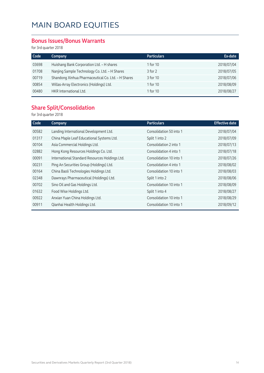#### **Bonus Issues/Bonus Warrants**

for 3rd quarter 2018

| Code  | Company                                            | <b>Particulars</b> | Ex-date    |
|-------|----------------------------------------------------|--------------------|------------|
| 03698 | Huishang Bank Corporation Ltd. - H shares          | 1 for 10           | 2018/07/04 |
| 01708 | Nanjing Sample Technology Co. Ltd. - H Shares      | $3$ for $2$        | 2018/07/05 |
| 00719 | Shandong Xinhua Pharmaceutical Co. Ltd. - H Shares | 3 for 10           | 2018/07/06 |
| 00854 | Willas-Array Electronics (Holdings) Ltd.           | 1 for 10           | 2018/08/09 |
| 00480 | HKR International Ltd.                             | 1 for 10           | 2018/08/27 |

### **Share Split/Consolidation**

for 3rd quarter 2018

| Code  | Company                                        | <b>Particulars</b>      | <b>Effective date</b> |
|-------|------------------------------------------------|-------------------------|-----------------------|
| 00582 | Landing International Development Ltd.         | Consolidation 50 into 1 | 2018/07/04            |
| 01317 | China Maple Leaf Educational Systems Ltd.      | Split 1 into 2          | 2018/07/09            |
| 00104 | Asia Commercial Holdings Ltd.                  | Consolidation 2 into 1  | 2018/07/13            |
| 02882 | Hong Kong Resources Holdings Co. Ltd.          | Consolidation 4 into 1  | 2018/07/18            |
| 00091 | International Standard Resources Holdings Ltd. | Consolidation 10 into 1 | 2018/07/26            |
| 00231 | Ping An Securities Group (Holdings) Ltd.       | Consolidation 4 into 1  | 2018/08/02            |
| 00164 | China Baoli Technologies Holdings Ltd.         | Consolidation 10 into 1 | 2018/08/03            |
| 02348 | Dawnrays Pharmaceutical (Holdings) Ltd.        | Split 1 into 2          | 2018/08/06            |
| 00702 | Sino Oil and Gas Holdings Ltd.                 | Consolidation 10 into 1 | 2018/08/09            |
| 01632 | Food Wise Holdings Ltd.                        | Split 1 into 4          | 2018/08/27            |
| 00922 | Anxian Yuan China Holdings Ltd.                | Consolidation 10 into 1 | 2018/08/29            |
| 00911 | Qianhai Health Holdings Ltd.                   | Consolidation 10 into 1 | 2018/09/12            |
|       |                                                |                         |                       |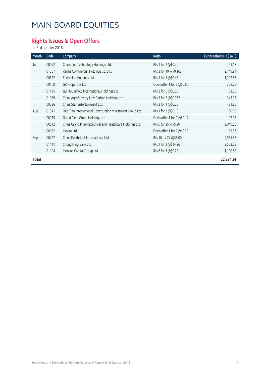### **Rights Issues & Open Offers**

for 3rd quarter 2018

| Month | Code  | Company                                                   | Ratio                      | Funds raised (HK\$ mil.) |
|-------|-------|-----------------------------------------------------------|----------------------------|--------------------------|
| Jul   | 00092 | Champion Technology Holdings Ltd.                         | Rts 1 for 2 @\$0.40        | 91.18                    |
|       | 01387 | Renhe Commercial Holdings Co. Ltd.                        | Rts 3 for 10 @\$0.163      | 2,149.94                 |
|       | 00622 | Enerchina Holdings Ltd.                                   | Rts 1 for 1@\$0.45         | 1,307.65                 |
|       | 00108 | GR Properties Ltd.                                        | Open offer 1 for 2 @\$0.80 | 728.75                   |
|       | 01495 | Jiyi Household International Holdings Ltd.                | Rts 2 for 5 @\$0.60        | 103.68                   |
|       | 01069 | China Agroforestry Low-Carbon Holdings Ltd.               | Rts 3 for 2 @\$0.052       | 343.96                   |
|       | 00326 | China Star Entertainment Ltd.                             | Rts 2 for 1 @\$0.25        | 451.85                   |
| Aug   | 01341 | Hao Tian International Construction Investment Group Ltd. | Rts 1 for 2 @\$0.15        | 180.00                   |
|       | 00115 | Grand Field Group Holdings Ltd.                           | Open offer 1 for 2 @\$0.12 | 97.98                    |
|       | 00512 | China Grand Pharmaceutical and Healthcare Holdings Ltd.   | Rts 6 for 25 @\$5.20       | 2,049.56                 |
|       | 00022 | Mexan Ltd.                                                | Open offer 1 for 2 @\$0.25 | 163.87                   |
| Sep   | 00257 | China Everbright International Ltd.                       | Rts 10 for 27 @\$6.00      | 9,961.58                 |
|       | 01111 | Chong Hing Bank Ltd.                                      | Rts 1 for 2 @\$14.26       | 3,563.58                 |
|       | 01194 | Munsun Capital Group Ltd.                                 | Rts 6 for 1 @\$0.22        | 1,100.68                 |
| Total |       |                                                           |                            | 22,294.24                |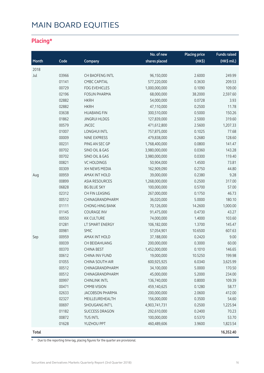### **Placing\***

|              |       |                           | No. of new    | <b>Placing price</b> | <b>Funds raised</b> |
|--------------|-------|---------------------------|---------------|----------------------|---------------------|
| Month        | Code  | Company                   | shares placed | (HK\$)               | (HK\$ mil.)         |
| 2018         |       |                           |               |                      |                     |
| Jul          | 03966 | CH BAOFENG INTL           | 96,150,000    | 2.6000               | 249.99              |
|              | 01141 | <b>CMBC CAPITAL</b>       | 577,220,000   | 0.3630               | 209.53              |
|              | 00729 | <b>FDG EVEHICLES</b>      | 1,000,000,000 | 0.1090               | 109.00              |
|              | 02196 | <b>FOSUN PHARMA</b>       | 68,000,000    | 38.2000              | 2,597.60            |
|              | 02882 | <b>HKRH</b>               | 54,000,000    | 0.0728               | 3.93                |
|              | 02882 | <b>HKRH</b>               | 47,110,000    | 0.2500               | 11.78               |
|              | 03638 | <b>HUABANG FIN</b>        | 300,510,000   | 0.5000               | 150.26              |
|              | 01862 | <b>JINGRUI HLDGS</b>      | 127,839,000   | 2.5000               | 319.60              |
|              | 00579 | <b>JNCEC</b>              | 471,612,800   | 2.5600               | 1,207.33            |
|              | 01007 | <b>LONGHUI INTL</b>       | 757,875,000   | 0.1025               | 77.68               |
|              | 00009 | NINE EXPRESS              | 479,838,000   | 0.2680               | 128.60              |
|              | 00231 | PING AN SEC GP            | 1,768,400,000 | 0.0800               | 141.47              |
|              | 00702 | SINO OIL & GAS            | 3,980,000,000 | 0.0360               | 143.28              |
|              | 00702 | <b>SINO OIL &amp; GAS</b> | 3,980,000,000 | 0.0300               | 119.40              |
|              | 00821 | <b>VC HOLDINGS</b>        | 50,904,000    | 1.4500               | 73.81               |
|              | 00309 | XH NEWS MEDIA             | 162,909,090   | 0.2750               | 44.80               |
| Aug          | 00959 | <b>AMAX INT HOLD</b>      | 39,000,000    | 0.2380               | 9.28                |
|              | 00899 | <b>ASIA RESOURCES</b>     | 1,268,000,000 | 0.2500               | 317.00              |
|              | 06828 | <b>BG BLUE SKY</b>        | 100,000,000   | 0.5700               | 57.00               |
|              | 02312 | CH FIN LEASING            | 267,000,000   | 0.1750               | 46.73               |
|              | 00512 | CHINAGRANDPHARM           | 36,020,000    | 5.0000               | 180.10              |
|              | 01111 | <b>CHONG HING BANK</b>    | 70,126,000    | 14.2600              | 1,000.00            |
|              | 01145 | <b>COURAGE INV</b>        | 91,475,000    | 0.4730               | 43.27               |
|              | 00550 | <b>KK CULTURE</b>         | 74,000,000    | 1.4000               | 103.60              |
|              | 01281 | LT SMART ENERGY           | 106,182,000   | 1.3700               | 145.47              |
|              | 00981 | <b>SMIC</b>               | 57,054,901    | 10.6500              | 607.63              |
| Sep          | 00959 | AMAX INT HOLD             | 37,188,000    | 0.2420               | 9.00                |
|              | 00039 | CH BEIDAHUANG             | 200,000,000   | 0.3000               | 60.00               |
|              | 00370 | <b>CHINA BEST</b>         | 1,452,000,000 | 0.1010               | 146.65              |
|              | 00612 | CHINA INV FUND            | 19,000,000    | 10.5250              | 199.98              |
|              | 01055 | CHINA SOUTH AIR           | 600,925,925   | 6.0340               | 3,625.99            |
|              | 00512 | CHINAGRANDPHARM           | 34,100,000    | 5.0000               | 170.50              |
|              | 00512 | CHINAGRANDPHARM           | 45,000,000    | 5.2000               | 234.00              |
|              | 00997 | <b>CHINLINK INTL</b>      | 136,740,000   | 0.8000               | 109.39              |
|              | 00471 | <b>CMMB VISION</b>        | 459,140,625   | 0.1280               | 58.77               |
|              | 02633 | <b>JACOBSON PHARMA</b>    | 200,000,000   | 2.0600               | 412.00              |
|              | 02327 | MEILLEUREHEALTH           | 156,000,000   | 0.3500               | 54.60               |
|              | 00697 | SHOUGANG INT'L            | 4,903,741,731 | 0.2500               | 1,225.94            |
|              | 01182 | <b>SUCCESS DRAGON</b>     | 292,610,000   | 0.2400               | 70.23               |
|              | 00872 | <b>TUS INTL</b>           | 100,000,000   | 0.5370               | 53.70               |
|              | 01628 | YUZHOU PPT                | 460,489,606   | 3.9600               | 1,823.54            |
| <b>Total</b> |       |                           |               |                      | 16,352.40           |

\* Due to the reporting time-lag, placing figures for the quarter are provisional.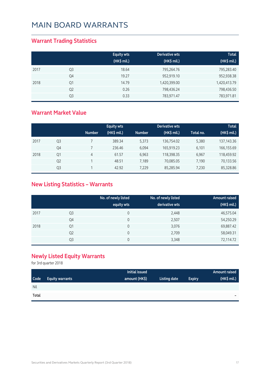### **Warrant Trading Statistics**

|      |                | <b>Equity wts</b><br>(HK\$ mil.) | Derivative wts<br>(HK\$ mil.) | <b>Total</b><br>(HK\$ mil.) |
|------|----------------|----------------------------------|-------------------------------|-----------------------------|
| 2017 | Q <sub>3</sub> | 18.64                            | 795,264.76                    | 795,283.40                  |
|      | Q4             | 19.27                            | 952,919.10                    | 952,938.38                  |
| 2018 | Q1             | 14.79                            | 1,420,399.00                  | 1,420,413.79                |
|      | Q <sub>2</sub> | 0.26                             | 798,436.24                    | 798,436.50                  |
|      | Q3             | 0.33                             | 783,971.47                    | 783,971.81                  |

### **Warrant Market Value**

|      |                |               | <b>Equity wts</b> |               | Derivative wts |           | <b>Total</b> |
|------|----------------|---------------|-------------------|---------------|----------------|-----------|--------------|
|      |                | <b>Number</b> | (HK\$ mil.)       | <b>Number</b> | (HK\$ mil.)    | Total no. | (HK\$ mil.)  |
| 2017 | Q <sub>3</sub> |               | 389.34            | 5,373         | 136,754.02     | 5,380     | 137, 143. 36 |
|      | Q4             |               | 236.46            | 6,094         | 165,919.23     | 6,101     | 166,155.69   |
| 2018 | Q1             | 4             | 61.57             | 6,963         | 118,398.35     | 6,967     | 118,459.92   |
|      | Q <sub>2</sub> |               | 48.51             | 7.189         | 70,085.05      | 7.190     | 70,133.56    |
|      | Q <sub>3</sub> |               | 42.92             | 7.229         | 85,285.94      | 7,230     | 85,328.86    |

### **New Listing Statistics – Warrants**

|      |                | No. of newly listed<br>equity wts | No. of newly listed<br>derivative wts | <b>Amount raised</b><br>(HK\$ mil.) |
|------|----------------|-----------------------------------|---------------------------------------|-------------------------------------|
| 2017 | Q <sub>3</sub> | 0                                 | 2,448                                 | 46,575.04                           |
|      | Q4             | 0                                 | 2,507                                 | 54,250.29                           |
| 2018 | Q1             | 0                                 | 3,076                                 | 69,887.42                           |
|      | Q <sub>2</sub> | 0                                 | 2,709                                 | 58,049.31                           |
|      | Q3             | 0                                 | 3,348                                 | 72,114.72                           |

### **Newly Listed Equity Warrants**

for 3rd quarter 2018

|       |                        | Initial issued |              |               | Amount raised |
|-------|------------------------|----------------|--------------|---------------|---------------|
| Code  | <b>Equity warrants</b> | amount (HK\$)  | Listing date | <b>Expiry</b> | (HK\$ mil.)   |
| Nil   |                        |                |              |               |               |
| Total |                        |                |              |               | $\equiv$      |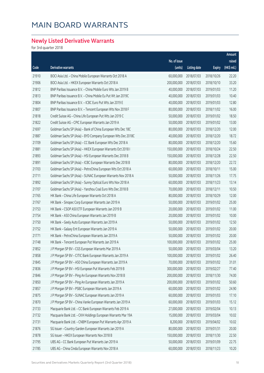### **Newly Listed Derivative Warrants**

for 3rd quarter 2018

|       |                                                              |              |                     |               | Amount      |
|-------|--------------------------------------------------------------|--------------|---------------------|---------------|-------------|
|       |                                                              | No. of issue |                     |               | raised      |
| Code  | Derivative warrants                                          | (units)      | <b>Listing date</b> | <b>Expiry</b> | (HK\$ mil.) |
| 21910 | BOCI Asia Ltd. - China Mobile European Warrants Oct 2018 A   | 60,000,000   | 2018/07/03          | 2018/10/26    | 22.20       |
| 21906 | BOCI Asia Ltd. - HKEX European Warrants Oct 2018 A           | 200,000,000  | 2018/07/03          | 2018/10/10    | 33.20       |
| 21812 | BNP Paribas Issuance B.V. - China Mobile Euro Wts Jan 2019 B | 40,000,000   | 2018/07/03          | 2019/01/03    | 11.20       |
| 21813 | BNP Paribas Issuance B.V. - China Mobile Eu Put Wt Jan 2019C | 40,000,000   | 2018/07/03          | 2019/01/03    | 10.40       |
| 21804 | BNP Paribas Issuance B.V. - ICBC Euro Put Wts Jan 2019 E     | 40,000,000   | 2018/07/03          | 2019/01/03    | 12.80       |
| 21807 | BNP Paribas Issuance B.V. - Tencent European Wts Nov 2018 F  | 80,000,000   | 2018/07/03          | 2018/11/02    | 16.00       |
| 21818 | Credit Suisse AG - China Life European Put Wts Jan 2019 C    | 50,000,000   | 2018/07/03          | 2019/01/02    | 18.50       |
| 21822 | Credit Suisse AG - CPIC European Warrants Jan 2019 A         | 50,000,000   | 2018/07/03          | 2019/01/02    | 13.00       |
| 21697 | Goldman Sachs SP (Asia) - Bank of China European Wts Dec 18C | 80,000,000   | 2018/07/03          | 2018/12/20    | 12.00       |
| 21887 | Goldman Sachs SP (Asia) - BYD Company European Wts Dec 2018C | 40,000,000   | 2018/07/03          | 2018/12/20    | 18.72       |
| 21709 | Goldman Sachs SP (Asia) - CC Bank European Wts Dec 2018 A    | 80,000,000   | 2018/07/03          | 2018/12/20    | 15.60       |
| 21881 | Goldman Sachs SP (Asia) - HKEX European Warrants Oct 2018 I  | 150,000,000  | 2018/07/03          | 2018/10/24    | 22.50       |
| 21893 | Goldman Sachs SP (Asia) - HSI European Warrants Dec 2018 B   | 150,000,000  | 2018/07/03          | 2018/12/28    | 22.50       |
| 21891 | Goldman Sachs SP (Asia) - ICBC European Warrants Dec 2018 B  | 80,000,000   | 2018/07/03          | 2018/12/20    | 22.72       |
| 21703 | Goldman Sachs SP (Asia) - PetroChina European Wts Oct 2018 A | 60,000,000   | 2018/07/03          | 2018/10/11    | 15.00       |
| 21711 | Goldman Sachs SP (Asia) - SUNAC European Warrants Nov 2018 A | 50,000,000   | 2018/07/03          | 2018/11/26    | 17.75       |
| 21892 | Goldman Sachs SP (Asia) - Sunny Optical Euro Wts Nov 2018 A  | 60,000,000   | 2018/07/03          | 2018/11/23    | 13.14       |
| 21707 | Goldman Sachs SP (Asia) - Yanzhou Coal Euro Wts Dec 2018 B   | 70,000,000   | 2018/07/03          | 2018/12/11    | 10.50       |
| 21765 | HK Bank - China Life European Warrants Oct 2018 A            | 80,000,000   | 2018/07/03          | 2018/10/29    | 12.00       |
| 21767 | HK Bank - Sinopec Corp European Warrants Jan 2019 A          | 50,000,000   | 2018/07/03          | 2019/01/02    | 25.00       |
| 21753 | HK Bank - CSOP A50 ETF European Warrants Jan 2019 B          | 20,000,000   | 2018/07/03          | 2019/01/02    | 11.00       |
| 21754 | HK Bank - A50 China European Warrants Jan 2019 B             | 20,000,000   | 2018/07/03          | 2019/01/02    | 10.00       |
| 21750 | HK Bank - Geely Auto European Warrants Jan 2019 A            | 50,000,000   | 2018/07/03          | 2019/01/02    | 12.50       |
| 21752 | HK Bank - Galaxy Ent European Warrants Jan 2019 A            | 50,000,000   | 2018/07/03          | 2019/01/02    | 20.00       |
| 21771 | HK Bank - PetroChina European Warrants Jan 2019 A            | 50,000,000   | 2018/07/03          | 2019/01/02    | 20.00       |
| 21748 | HK Bank - Tencent European Put Warrants Jan 2019 A           | 100,000,000  | 2018/07/03          | 2019/01/02    | 25.00       |
| 21852 | J P Morgan SP BV - CGS European Warrants Mar 2019 A          | 50,000,000   | 2018/07/03          | 2019/03/04    | 13.20       |
| 21858 | J P Morgan SP BV - CITIC Bank European Warrants Jan 2019 A   | 100,000,000  | 2018/07/03          | 2019/01/02    | 26.40       |
| 21845 | J P Morgan SP BV - A50 China European Warrants Jan 2019 A    | 70,000,000   | 2018/07/03          | 2019/01/02    | 31.01       |
| 21836 | J P Morgan SP BV - HSI European Put Warrants Feb 2019 B      | 300,000,000  | 2018/07/03          | 2019/02/27    | 77.40       |
| 21846 | J P Morgan SP BV - Ping An European Warrants Nov 2018 B      | 200,000,000  | 2018/07/03          | 2018/11/30    | 74.00       |
| 21850 | J P Morgan SP BV - Ping An European Warrants Jan 2019 A      | 200,000,000  | 2018/07/03          | 2019/01/02    | 50.60       |
| 21857 | J P Morgan SP BV - PSBC European Warrants Jan 2019 A         | 60,000,000   | 2018/07/03          | 2019/01/02    | 24.90       |
| 21875 | J P Morgan SP BV - SUNAC European Warrants Jan 2019 A        | 60,000,000   | 2018/07/03          | 2019/01/03    | 17.10       |
| 21870 | J P Morgan SP BV - China Vanke European Warrants Jan 2019 A  | 60,000,000   | 2018/07/03          | 2019/01/03    | 15.12       |
| 21733 | Macquarie Bank Ltd. - CC Bank European Warrants Feb 2019 A   | 27,000,000   | 2018/07/03          | 2019/02/04    | 10.13       |
| 21732 | Macquarie Bank Ltd. - CKH Holdings European Warrants Mar 19A | 15,000,000   | 2018/07/03          | 2019/03/04    | 10.02       |
| 21731 | Macquarie Bank Ltd. - CNBM European Put Warrants Apr 2019 A  | 8,200,000    | 2018/07/03          | 2019/04/02    | 10.02       |
| 21876 | SG Issuer - Country Garden European Warrants Jan 2019 A      | 80,000,000   | 2018/07/03          | 2019/01/31    | 20.00       |
| 21878 | SG Issuer - HKEX European Warrants Nov 2018 B                | 150,000,000  | 2018/07/03          | 2018/11/30    | 22.50       |
| 21795 | UBS AG - CC Bank European Put Warrants Jan 2019 A            | 50,000,000   | 2018/07/03          | 2019/01/09    | 22.75       |
| 21785 | UBS AG - China Cinda European Warrants Nov 2018 A            | 60,000,000   | 2018/07/03          | 2018/11/23    | 10.20       |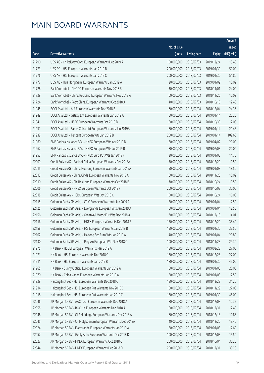|       |                                                              |              |                       |               | <b>Amount</b> |
|-------|--------------------------------------------------------------|--------------|-----------------------|---------------|---------------|
|       |                                                              | No. of issue |                       |               | raised        |
| Code  | <b>Derivative warrants</b>                                   | (units)      | <b>Listing date</b>   | <b>Expiry</b> | (HK\$ mil.)   |
| 21790 | UBS AG - Ch Railway Cons European Warrants Dec 2019 A        | 100,000,000  | 2018/07/03            | 2019/12/24    | 15.40         |
| 21773 | UBS AG - HSI European Warrants Jan 2019 B                    | 200,000,000  | 2018/07/03            | 2019/01/30    | 50.00         |
| 21776 | UBS AG - HSI European Warrants Jan 2019 C                    | 200,000,000  | 2018/07/03            | 2019/01/30    | 51.80         |
| 21777 | UBS AG - Hua Hong Semi European Warrants Jan 2019 A          | 20,000,000   | 2018/07/03            | 2019/01/09    | 10.02         |
| 21728 | Bank Vontobel - CNOOC European Warrants Nov 2018 B           | 30,000,000   | 2018/07/03            | 2018/11/01    | 24.00         |
| 21729 | Bank Vontobel - China Res Land European Warrants Nov 2018 A  | 60,000,000   | 2018/07/03            | 2018/11/26    | 10.02         |
| 21724 | Bank Vontobel - PetroChina European Warrants Oct 2018 A      | 40,000,000   | 2018/07/03            | 2018/10/10    | 12.40         |
| 21945 | BOCI Asia Ltd. - AIA European Warrants Dec 2018 B            | 60,000,000   | 2018/07/04            | 2018/12/04    | 24.36         |
| 21949 | BOCI Asia Ltd. - Galaxy Ent European Warrants Jan 2019 A     | 50,000,000   | 2018/07/04            | 2019/01/14    | 23.25         |
| 21941 | BOCI Asia Ltd. - HSBC European Warrants Oct 2018 B           | 80,000,000   | 2018/07/04            | 2018/10/30    | 12.08         |
| 21951 | BOCI Asia Ltd. - Sands China Ltd European Warrants Jan 2019A | 60,000,000   | 2018/07/04            | 2019/01/14    | 21.48         |
| 21932 | BOCI Asia Ltd. - Tencent European Wts Jan 2019 B             | 200,000,000  | 2018/07/04            | 2019/01/14    | 102.60        |
| 21960 | BNP Paribas Issuance B.V. - HKEX European Wts Apr 2019 D     | 80,000,000   | 2018/07/04            | 2019/04/02    | 20.00         |
| 21962 | BNP Paribas Issuance B.V. - HKEX European Wts Jul 2019 B     | 80,000,000   | 2018/07/04            | 2019/07/03    | 20.00         |
| 21953 | BNP Paribas Issuance B.V. - HKEX Euro Put Wts Jan 2019 F     | 30,000,000   | 2018/07/04            | 2019/01/03    | 14.70         |
| 22009 | Credit Suisse AG - Bank of China European Warrants Dec 2018A | 70,000,000   | 2018/07/04            | 2018/12/20    | 10.50         |
| 22015 | Credit Suisse AG - China Huarong European Warrants Jan 2019A | 50,000,000   | 2018/07/04            | 2019/01/03    | 18.50         |
| 22013 | Credit Suisse AG - China Cinda European Warrants Nov 2018 A  | 60,000,000   | 2018/07/04            | 2018/11/23    | 10.02         |
| 22010 | Credit Suisse AG - Chi Res Land European Warrants Oct 2018 B | 70,000,000   | 2018/07/04            | 2018/10/24    | 10.50         |
| 22006 | Credit Suisse AG - HKEX European Warrants Oct 2018 F         | 200,000,000  | 2018/07/04            | 2018/10/03    | 30.00         |
| 22018 | Credit Suisse AG - HSBC European Wts Oct 2018 C              | 100,000,000  | 2018/07/04            | 2018/10/24    | 16.00         |
| 22115 | Goldman Sachs SP (Asia) - CPIC European Warrants Jan 2019 A  | 50,000,000   | 2018/07/04            | 2019/01/04    | 12.50         |
| 22125 | Goldman Sachs SP (Asia) - Evergrande European Wts Jan 2019 A | 50,000,000   | 2018/07/04            | 2019/01/04    | 12.50         |
| 22156 | Goldman Sachs SP (Asia) - Greatwall Motor Eur Wts Dec 2018 A | 30,000,000   | 2018/07/04            | 2018/12/18    | 14.01         |
| 22116 | Goldman Sachs SP (Asia) - HKEX European Warrants Dec 2018 E  | 150,000,000  | 2018/07/04            | 2018/12/20    | 38.40         |
| 22158 | Goldman Sachs SP (Asia) - HSI European Warrants Jan 2019 B   | 150,000,000  | 2018/07/04            | 2019/01/30    | 37.50         |
| 22102 | Goldman Sachs SP (Asia) - Haitong Sec Euro Wts Jan 2019 A    |              | 40,000,000 2018/07/04 | 2019/01/04    | 20.80         |
| 22130 | Goldman Sachs SP (Asia) - Ping An European Wts Nov 2018 C    | 100,000,000  | 2018/07/04            | 2018/11/23    | 29.30         |
| 21975 | HK Bank - HSCEI European Warrants Mar 2019 A                 | 180,000,000  | 2018/07/04            | 2019/03/28    | 27.00         |
| 21971 | HK Bank - HSI European Warrants Dec 2018 G                   | 180,000,000  | 2018/07/04            | 2018/12/28    | 27.00         |
| 21911 | HK Bank - HSI European Warrants Jan 2019 B                   | 180,000,000  | 2018/07/04            | 2019/01/30    | 45.00         |
| 21965 | HK Bank - Sunny Optical European Warrants Jan 2019 A         | 80,000,000   | 2018/07/04            | 2019/01/03    | 20.00         |
| 21970 | HK Bank - China Vanke European Warrants Jan 2019 A           | 50,000,000   | 2018/07/04            | 2019/01/03    | 12.50         |
| 21929 | Haitong Int'l Sec - HSI European Warrants Dec 2018 C         | 180,000,000  | 2018/07/04            | 2018/12/28    | 34.20         |
| 21914 | Haitong Int'l Sec - HSI European Put Warrants Nov 2018 C     | 180,000,000  | 2018/07/04            | 2018/11/29    | 27.00         |
| 21918 | Haitong Int'l Sec - HSI European Put Warrants Jan 2019 C     | 180,000,000  | 2018/07/04            | 2019/01/30    | 45.00         |
| 22046 | J P Morgan SP BV - AAC Tech European Warrants Dec 2018 A     | 80,000,000   | 2018/07/04            | 2018/12/03    | 12.32         |
| 22058 | J P Morgan SP BV - BOC HK European Warrants Dec 2018 A       | 80,000,000   | 2018/07/04            | 2018/12/31    | 12.40         |
| 22048 | J P Morgan SP BV - CLP Holdings European Warrants Dec 2018 A | 60,000,000   | 2018/07/04            | 2018/12/13    | 10.86         |
| 22045 | J P Morgan SP BV - Ch Molybdenum European Warrants Dec 2018A | 40,000,000   | 2018/07/04            | 2018/12/20    | 13.40         |
| 22024 | J P Morgan SP BV - Evergrande European Warrants Jan 2019 A   | 50,000,000   | 2018/07/04            | 2019/01/03    | 12.60         |
| 22057 | J P Morgan SP BV - Geely Auto European Warrants Dec 2018 D   | 100,000,000  | 2018/07/04            | 2018/12/03    | 15.50         |
| 22027 | J P Morgan SP BV - HKEX European Warrants Oct 2018 C         | 200,000,000  | 2018/07/04            | 2018/10/04    | 30.20         |
| 22044 | J P Morgan SP BV - HKEX European Warrants Dec 2018 D         | 200,000,000  | 2018/07/04            | 2018/12/31    | 30.20         |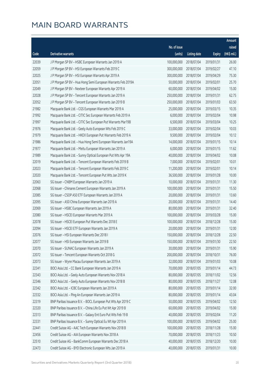|       |                                                              |              |                        |               | Amount      |
|-------|--------------------------------------------------------------|--------------|------------------------|---------------|-------------|
|       |                                                              | No. of issue |                        |               | raised      |
| Code  | <b>Derivative warrants</b>                                   | (units)      | <b>Listing date</b>    | <b>Expiry</b> | (HK\$ mil.) |
| 22039 | J P Morgan SP BV - HSBC European Warrants Jan 2019 A         | 100,000,000  | 2018/07/04             | 2019/01/31    | 26.00       |
| 22059 | J P Morgan SP BV - HSI European Warrants Feb 2019 C          | 300,000,000  | 2018/07/04             | 2019/02/27    | 47.10       |
| 22025 | J P Morgan SP BV - HSI European Warrants Apr 2019 A          | 300,000,000  | 2018/07/04             | 2019/04/29    | 75.30       |
| 22051 | J P Morgan SP BV - Hua Hong Semi European Warrants Feb 2019A | 50,000,000   | 2018/07/04             | 2019/02/01    | 25.70       |
| 22049 | J P Morgan SP BV - Nexteer European Warrants Apr 2019 A      | 60,000,000   | 2018/07/04             | 2019/04/02    | 15.00       |
| 22028 | J P Morgan SP BV - Tencent European Warrants Jan 2019 A      | 250,000,000  | 2018/07/04             | 2019/01/31    | 62.75       |
| 22052 | J P Morgan SP BV - Tencent European Warrants Jan 2019 B      | 250,000,000  | 2018/07/04             | 2019/01/03    | 63.50       |
| 21982 | Macquarie Bank Ltd. - CGS European Warrants Mar 2019 A       | 25,000,000   | 2018/07/04             | 2019/03/15    | 10.35       |
| 21992 | Macquarie Bank Ltd. - CITIC Sec European Warrants Feb 2019 A | 6,000,000    | 2018/07/04             | 2019/02/04    | 10.98       |
| 21997 | Macquarie Bank Ltd. - CITIC Sec European Put Warrants Mar19B | 6,500,000    | 2018/07/04             | 2019/03/04    | 10.25       |
| 21976 | Macquarie Bank Ltd. - Geely Auto European Wts Feb 2019 C     | 33,000,000   | 2018/07/04             | 2019/02/04    | 10.03       |
| 21979 | Macquarie Bank Ltd. - HKEX European Put Warrants Feb 2019 A  | 9,500,000    | 2018/07/04             | 2019/02/04    | 10.12       |
| 21986 | Macquarie Bank Ltd. - Hua Hong Semi European Warrants Jan19A | 14,000,000   | 2018/07/04             | 2019/01/15    | 10.14       |
| 21977 | Macquarie Bank Ltd. - Meitu European Warrants Jan 2019 A     | 6,000,000    | 2018/07/04             | 2019/01/15    | 11.62       |
| 21989 | Macquarie Bank Ltd. - Sunny Optical European Put Wts Apr 19A | 40,000,000   | 2018/07/04             | 2019/04/02    | 10.08       |
| 22019 | Macquarie Bank Ltd. - Tencent European Warrants Feb 2019 B   | 7,000,000    | 2018/07/04             | 2019/02/01    | 10.01       |
| 22023 | Macquarie Bank Ltd. - Tencent European Warrants Feb 2019 C   | 11,200,000   | 2018/07/04             | 2019/02/01    | 10.14       |
| 22020 | Macquarie Bank Ltd. - Tencent European Put Wts Jan 2019 K    | 36,500,000   | 2018/07/04             | 2019/01/28    | 10.00       |
| 22063 | SG Issuer - CNBM European Warrants Jan 2019 A                | 10,000,000   | 2018/07/04             | 2019/01/31    | 11.30       |
| 22068 | SG Issuer - Chinares Cement European Warrants Jan 2019 A     | 100,000,000  | 2018/07/04             | 2019/01/31    | 15.50       |
| 22085 | SG Issuer - CSOP A50 ETF European Warrants Jan 2019 A        | 20,000,000   | 2018/07/04             | 2019/01/31    | 13.60       |
| 22095 | SG Issuer - A50 China European Warrants Jan 2019 A           | 20,000,000   | 2018/07/04             | 2019/01/31    | 14.40       |
| 22069 | SG Issuer - HSBC European Warrants Jan 2019 A                | 80,000,000   | 2018/07/04             | 2019/01/31    | 32.40       |
| 22080 | SG Issuer - HSCEI European Warrants Mar 2019 A               | 100,000,000  | 2018/07/04             | 2019/03/28    | 15.00       |
| 22078 | SG Issuer - HSCEI European Put Warrants Dec 2018 E           | 100,000,000  | 2018/07/04             | 2018/12/28    | 15.00       |
| 22094 | SG Issuer - HSCEI ETF European Warrants Jan 2019 A           | 20,000,000   | 2018/07/04             | 2019/01/31    | 12.00       |
| 22076 | SG Issuer - HSI European Warrants Dec 2018 I                 |              | 150,000,000 2018/07/04 | 2018/12/28    | 22.50       |
| 22077 | SG Issuer - HSI European Warrants Jan 2019 B                 | 150,000,000  | 2018/07/04             | 2019/01/30    | 22.50       |
| 22070 | SG Issuer - SUNAC European Warrants Jan 2019 A               | 30,000,000   | 2018/07/04             | 2019/01/31    | 15.90       |
| 22072 | SG Issuer - Tencent European Warrants Oct 2018 G             | 200,000,000  | 2018/07/04             | 2018/10/31    | 76.00       |
| 22073 | SG Issuer - Wynn Macau European Warrants Jan 2019 A          | 32,000,000   | 2018/07/04             | 2019/01/03    | 10.08       |
| 22341 | BOCI Asia Ltd. - CC Bank European Warrants Jan 2019 A        | 70,000,000   | 2018/07/05             | 2019/01/14    | 44.73       |
| 22343 | BOCI Asia Ltd. - Geely Auto European Warrants Nov 2018 A     | 80,000,000   | 2018/07/05             | 2018/11/02    | 12.56       |
| 22346 | BOCI Asia Ltd. - Geely Auto European Warrants Nov 2018 B     | 80,000,000   | 2018/07/05             | 2018/11/27    | 12.08       |
| 22342 | BOCI Asia Ltd. - ICBC European Warrants Jan 2019 A           | 80,000,000   | 2018/07/05             | 2019/01/14    | 32.00       |
| 22332 | BOCI Asia Ltd. - Ping An European Warrants Jan 2019 A        | 80,000,000   | 2018/07/05             | 2019/01/14    | 43.04       |
| 22319 | BNP Paribas Issuance B.V. - BOCL European Put Wts Apr 2019 C | 50,000,000   | 2018/07/05             | 2019/04/02    | 12.50       |
| 22320 | BNP Paribas Issuance B.V. - China Life Eu Put Wt Apr 2019 B  | 60,000,000   | 2018/07/05             | 2019/04/02    | 15.00       |
| 22313 | BNP Paribas Issuance B.V. - Galaxy Ent Euro Put Wts Feb 19 B | 40,000,000   | 2018/07/05             | 2019/02/04    | 11.20       |
| 22331 | BNP Paribas Issuance B.V. - Sunny Optical Eu Wt Apr 2019 A   | 100,000,000  | 2018/07/05             | 2019/04/02    | 25.00       |
| 22441 | Credit Suisse AG - AAC Tech European Warrants Nov 2018 B     | 100,000,000  | 2018/07/05             | 2018/11/28    | 15.00       |
| 22456 | Credit Suisse AG - AIA European Warrants Nov 2018 A          | 70,000,000   | 2018/07/05             | 2018/11/23    | 10.50       |
| 22510 | Credit Suisse AG - BankComm European Warrants Dec 2018 A     | 40,000,000   | 2018/07/05             | 2018/12/20    | 10.00       |
| 22473 | Credit Suisse AG - BYD Electronic European Wts Jan 2019 A    | 40,000,000   | 2018/07/05             | 2019/01/31    | 10.00       |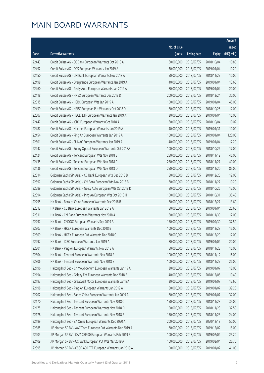|       |                                                              |              |                       |               | Amount      |
|-------|--------------------------------------------------------------|--------------|-----------------------|---------------|-------------|
|       |                                                              | No. of issue |                       |               | raised      |
| Code  | <b>Derivative warrants</b>                                   | (units)      | <b>Listing date</b>   | <b>Expiry</b> | (HK\$ mil.) |
| 22443 | Credit Suisse AG - CC Bank European Warrants Oct 2018 A      | 60,000,000   | 2018/07/05            | 2018/10/04    | 10.80       |
| 22492 | Credit Suisse AG - CGS European Warrants Jan 2019 A          | 30,000,000   | 2018/07/05            | 2019/01/04    | 10.20       |
| 22450 | Credit Suisse AG - CM Bank European Warrants Nov 2018 A      | 50,000,000   | 2018/07/05            | 2018/11/27    | 10.00       |
| 22498 | Credit Suisse AG - Evergrande European Warrants Jan 2019 A   | 40,000,000   | 2018/07/05            | 2019/01/04    | 13.60       |
| 22460 | Credit Suisse AG - Geely Auto European Warrants Jan 2019 A   | 80,000,000   | 2018/07/05            | 2019/01/04    | 20.00       |
| 22418 | Credit Suisse AG - HKEX European Warrants Dec 2018 D         | 200,000,000  | 2018/07/05            | 2018/12/24    | 30.00       |
| 22515 | Credit Suisse AG - HSBC European Wts Jan 2019 A              | 100,000,000  | 2018/07/05            | 2019/01/04    | 45.00       |
| 22459 | Credit Suisse AG - HSBC European Put Warrants Oct 2018 D     | 80,000,000   | 2018/07/05            | 2018/10/26    | 12.00       |
| 22507 | Credit Suisse AG - HSCEI ETF European Warrants Jan 2019 A    | 30,000,000   | 2018/07/05            | 2019/01/04    | 15.00       |
| 22447 | Credit Suisse AG - ICBC European Warrants Oct 2018 A         | 60,000,000   | 2018/07/05            | 2018/10/04    | 10.02       |
| 22487 | Credit Suisse AG - Nexteer European Warrants Jan 2019 A      | 40,000,000   | 2018/07/05            | 2019/01/31    | 10.00       |
| 22454 | Credit Suisse AG - Ping An European Warrants Jan 2019 A      | 150,000,000  | 2018/07/05            | 2019/01/04    | 120.00      |
| 22501 | Credit Suisse AG - SUNAC European Warrants Jan 2019 A        | 40,000,000   | 2018/07/05            | 2019/01/04    | 17.20       |
| 22442 | Credit Suisse AG - Sunny Optical European Warrants Oct 2018A | 100,000,000  | 2018/07/05            | 2018/10/26    | 17.00       |
| 22424 | Credit Suisse AG - Tencent European Wts Nov 2018 B           | 250,000,000  | 2018/07/05            | 2018/11/12    | 45.00       |
| 22435 | Credit Suisse AG - Tencent European Wts Nov 2018 C           | 250,000,000  | 2018/07/05            | 2018/11/27    | 40.00       |
| 22436 | Credit Suisse AG - Tencent European Wts Nov 2018 D           | 250,000,000  | 2018/07/05            | 2018/11/20    | 85.00       |
| 22614 | Goldman Sachs SP (Asia) - CC Bank European Wts Dec 2018 B    | 80,000,000   | 2018/07/05            | 2018/12/20    | 12.00       |
| 22597 | Goldman Sachs SP (Asia) - CM Bank European Wts Nov 2018 B    | 60,000,000   | 2018/07/05            | 2018/11/27    | 10.20       |
| 22589 | Goldman Sachs SP (Asia) - Geely Auto European Wts Oct 2018 D | 80,000,000   | 2018/07/05            | 2018/10/26    | 12.00       |
| 22594 | Goldman Sachs SP (Asia) - Ping An European Wts Oct 2018 H    | 100,000,000  | 2018/07/05            | 2018/10/31    | 35.40       |
| 22295 | HK Bank - Bank of China European Warrants Dec 2018 B         | 80,000,000   | 2018/07/05            | 2018/12/27    | 13.60       |
| 22312 | HK Bank - CC Bank European Warrants Jan 2019 A               | 80,000,000   | 2018/07/05            | 2019/01/04    | 25.60       |
| 22311 | HK Bank - CM Bank European Warrants Nov 2018 A               | 80,000,000   | 2018/07/05            | 2018/11/30    | 12.00       |
| 22297 | HK Bank - CNOOC European Warrants Sep 2019 A                 | 150,000,000  | 2018/07/05            | 2019/09/30    | 37.50       |
| 22307 | HK Bank - HKEX European Warrants Dec 2018 B                  | 100,000,000  | 2018/07/05            | 2018/12/27    | 15.00       |
| 22309 | HK Bank - HKEX European Put Warrants Dec 2018 C              |              | 80,000,000 2018/07/05 | 2018/12/20    | 12.00       |
| 22292 | HK Bank - ICBC European Warrants Jan 2019 A                  | 80,000,000   | 2018/07/05            | 2019/01/04    | 20.00       |
| 22301 | HK Bank - Ping An European Warrants Nov 2018 A               | 50,000,000   | 2018/07/05            | 2018/11/23    | 15.00       |
| 22304 | HK Bank - Tencent European Warrants Nov 2018 A               | 100,000,000  | 2018/07/05            | 2018/11/12    | 16.00       |
| 22306 | HK Bank - Tencent European Warrants Nov 2018 B               | 100,000,000  | 2018/07/05            | 2018/11/27    | 26.00       |
| 22196 | Haitong Int'l Sec - Ch Molybdenum European Warrants Jan 19 A | 30,000,000   | 2018/07/05            | 2019/01/07    | 18.00       |
| 22194 | Haitong Int'l Sec - Galaxy Ent European Warrants Dec 2018 B  | 40,000,000   | 2018/07/05            | 2018/12/06    | 10.40       |
| 22193 | Haitong Int'l Sec - Greatwall Motor European Warrants Jan19A | 30,000,000   | 2018/07/05            | 2019/01/07    | 12.60       |
| 22198 | Haitong Int'l Sec - Ping An European Warrants Jan 2019 A     | 80,000,000   | 2018/07/05            | 2019/01/07    | 39.20       |
| 22202 | Haitong Int'l Sec - Sands China European Warrants Jan 2019 A | 80,000,000   | 2018/07/05            | 2019/01/07    | 32.00       |
| 22170 | Haitong Int'l Sec - Tencent European Warrants Nov 2018 C     | 150,000,000  | 2018/07/05            | 2018/11/23    | 39.00       |
| 22175 | Haitong Int'l Sec - Tencent European Warrants Nov 2018 D     | 150,000,000  | 2018/07/05            | 2018/11/23    | 37.50       |
| 22178 | Haitong Int'l Sec - Tencent European Warrants Nov 2018 E     | 150,000,000  | 2018/07/05            | 2018/11/23    | 24.00       |
| 22199 | Haitong Int'l Sec - ZA Onine European Warrants Dec 2020 A    | 200,000,000  | 2018/07/05            | 2020/12/18    | 50.00       |
| 22385 | J P Morgan SP BV - AAC Tech European Put Warrants Dec 2019 A | 60,000,000   | 2018/07/05            | 2019/12/02    | 15.00       |
| 22403 | J P Morgan SP BV - CAM CSI300 European Warrants Feb 2019 B   | 100,000,000  | 2018/07/05            | 2019/02/04    | 25.20       |
| 22409 | J P Morgan SP BV - CC Bank European Put Wts Mar 2019 A       | 100,000,000  | 2018/07/05            | 2019/03/04    | 26.70       |
| 22395 | J P Morgan SP BV - CSOP A50 ETF European Warrants Jan 2019 A | 100,000,000  | 2018/07/05            | 2019/01/07    | 41.00       |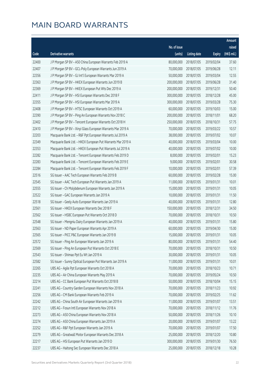|       |                                                             |              |                       |               | Amount      |
|-------|-------------------------------------------------------------|--------------|-----------------------|---------------|-------------|
|       |                                                             | No. of issue |                       |               | raised      |
| Code  | Derivative warrants                                         | (units)      | <b>Listing date</b>   | <b>Expiry</b> | (HK\$ mil.) |
| 22400 | J P Morgan SP BV - A50 China European Warrants Feb 2019 A   | 80,000,000   | 2018/07/05            | 2019/02/04    | 37.60       |
| 22407 | J P Morgan SP BV - GCL-Poly European Warrants Jun 2019 A    | 70,000,000   | 2018/07/05            | 2019/06/28    | 12.11       |
| 22356 | J P Morgan SP BV - GJ Int'l European Warrants Mar 2019 A    | 50,000,000   | 2018/07/05            | 2019/03/04    | 12.55       |
| 22363 | J P Morgan SP BV - HKEX European Warrants Jun 2019 B        | 200,000,000  | 2018/07/05            | 2019/06/28    | 31.40       |
| 22369 | J P Morgan SP BV - HKEX European Put Wts Dec 2019 A         | 200,000,000  | 2018/07/05            | 2019/12/31    | 50.40       |
| 22411 | J P Morgan SP BV - HSI European Warrants Dec 2018 F         | 300,000,000  | 2018/07/05            | 2018/12/28    | 45.00       |
| 22355 | J P Morgan SP BV - HSI European Warrants Mar 2019 A         | 300,000,000  | 2018/07/05            | 2019/03/28    | 75.30       |
| 22408 | J P Morgan SP BV - HTSC European Warrants Oct 2019 A        | 60,000,000   | 2018/07/05            | 2019/10/03    | 15.00       |
| 22390 | J P Morgan SP BV - Ping An European Warrants Nov 2018 C     | 200,000,000  | 2018/07/05            | 2018/11/01    | 68.20       |
| 22402 | J P Morgan SP BV - Tencent European Warrants Oct 2018 H     | 250,000,000  | 2018/07/05            | 2018/10/31    | 57.75       |
| 22410 | J P Morgan SP BV - Xinyi Glass European Warrants Mar 2019 A | 70,000,000   | 2018/07/05            | 2019/03/22    | 10.57       |
| 22203 | Macquarie Bank Ltd. - R&F Ppt European Warrants Jul 2019 A  | 38,000,000   | 2018/07/05            | 2019/07/02    | 10.07       |
| 22349 | Macquarie Bank Ltd. - HKEX European Put Warrants Mar 2019 A | 40,000,000   | 2018/07/05            | 2019/03/04    | 10.00       |
| 22353 | Macquarie Bank Ltd. - HKEX European Put Warrants Jul 2019 A | 40,000,000   | 2018/07/05            | 2019/07/02    | 10.00       |
| 22282 | Macquarie Bank Ltd. - Tencent European Warrants Feb 2019 D  | 8,000,000    | 2018/07/05            | 2019/02/01    | 15.23       |
| 22283 | Macquarie Bank Ltd. - Tencent European Warrants Feb 2019 E  | 9,000,000    | 2018/07/05            | 2019/02/01    | 30.58       |
| 22284 | Macquarie Bank Ltd. - Tencent European Warrants Feb 2019 F  | 10,000,000   | 2018/07/05            | 2019/02/01    | 57.39       |
| 22516 | SG Issuer - AAC Tech European Warrants Feb 2019 B           | 60,000,000   | 2018/07/05            | 2019/02/28    | 15.00       |
| 22545 | SG Issuer - AAC Tech European Put Warrants Jan 2019 A       | 11,000,000   | 2018/07/05            | 2019/01/31    | 10.01       |
| 22555 | SG Issuer - Ch Molybdenum European Warrants Jan 2019 A      | 15,000,000   | 2018/07/05            | 2019/01/31    | 10.05       |
| 22522 | SG Issuer - GAC European Warrants Jan 2019 A                | 10,000,000   | 2018/07/05            | 2019/01/31    | 11.50       |
| 22518 | SG Issuer - Geely Auto European Warrants Jan 2019 A         | 40,000,000   | 2018/07/05            | 2019/01/31    | 12.80       |
| 22561 | SG Issuer - HKEX European Warrants Dec 2018 F               | 150,000,000  | 2018/07/05            | 2018/12/31    | 34.50       |
| 22562 | SG Issuer - HSBC European Put Warrants Oct 2018 D           | 70,000,000   | 2018/07/05            | 2018/10/31    | 10.50       |
| 22548 | SG Issuer - Mengniu Dairy European Warrants Jan 2019 A      | 40,000,000   | 2018/07/05            | 2019/01/31    | 15.80       |
| 22563 | SG Issuer - ND Paper European Warrants Apr 2019 A           | 60,000,000   | 2018/07/05            | 2019/04/30    | 15.00       |
| 22565 | SG Issuer - PICC P&C European Warrants Jan 2019 B           |              | 15,000,000 2018/07/05 | 2019/01/31    | 10.05       |
| 22572 | SG Issuer - Ping An European Warrants Jan 2019 A            | 80,000,000   | 2018/07/05            | 2019/01/31    | 54.40       |
| 22569 | SG Issuer - Ping An European Put Warrants Oct 2018 E        | 70,000,000   | 2018/07/05            | 2018/10/31    | 10.50       |
| 22543 | SG Issuer - Shimao Ppt Eu Wt Jan 2019 A                     | 30,000,000   | 2018/07/05            | 2019/01/31    | 10.05       |
| 22582 | SG Issuer - Sunny Optical European Put Warrants Jan 2019 A  | 11,000,000   | 2018/07/05            | 2019/01/31    | 10.01       |
| 22265 | UBS AG - Agile Ppt European Warrants Oct 2018 A             | 70,000,000   | 2018/07/05            | 2018/10/23    | 10.71       |
| 22235 | UBS AG - Air China European Warrants May 2019 A             | 70,000,000   | 2018/07/05            | 2019/05/24    | 10.50       |
| 22214 | UBS AG - CC Bank European Put Warrants Oct 2018 B           | 50,000,000   | 2018/07/05            | 2018/10/04    | 15.15       |
| 22241 | UBS AG - Country Garden European Warrants Nov 2018 A        | 70,000,000   | 2018/07/05            | 2018/11/23    | 10.92       |
| 22256 | UBS AG - CM Bank European Warrants Feb 2019 A               | 70,000,000   | 2018/07/05            | 2019/02/25    | 11.62       |
| 22242 | UBS AG - China South Air European Warrants Jan 2019 A       | 11,000,000   | 2018/07/05            | 2019/01/07    | 13.51       |
| 22212 | UBS AG - Fosun Intl European Warrants Nov 2018 A            | 70,000,000   | 2018/07/05            | 2018/11/12    | 11.76       |
| 22273 | UBS AG - A50 China European Warrants Nov 2018 A             | 50,000,000   | 2018/07/05            | 2018/11/26    | 10.10       |
| 22274 | UBS AG - A50 China European Warrants Jan 2019 A             | 20,000,000   | 2018/07/05            | 2019/01/07    | 13.22       |
| 22252 | UBS AG - R&F Ppt European Warrants Jan 2019 A               | 70,000,000   | 2018/07/05            | 2019/01/07    | 17.50       |
| 22279 | UBS AG - Greatwall Motor European Warrants Dec 2018 A       | 25,000,000   | 2018/07/05            | 2018/12/20    | 10.80       |
| 22217 | UBS AG - HSI European Put Warrants Jan 2019 D               | 300,000,000  | 2018/07/05            | 2019/01/30    | 76.50       |
| 22237 | UBS AG - Haitong Sec European Warrants Dec 2018 A           | 25,000,000   | 2018/07/05            | 2018/12/18    | 10.28       |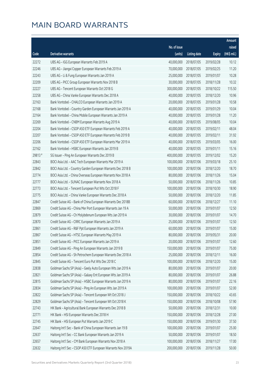|        |                                                              |              |                       |               | Amount      |
|--------|--------------------------------------------------------------|--------------|-----------------------|---------------|-------------|
|        |                                                              | No. of issue |                       |               | raised      |
| Code   | Derivative warrants                                          | (units)      | <b>Listing date</b>   | <b>Expiry</b> | (HK\$ mil.) |
| 22272  | UBS AG - IGG European Warrants Feb 2019 A                    | 40,000,000   | 2018/07/05            | 2019/02/28    | 10.12       |
| 22246  | UBS AG - Jiangxi Copper European Warrants Feb 2019 A         | 70,000,000   | 2018/07/05            | 2019/02/25    | 11.20       |
| 22243  | UBS AG - Li & Fung European Warrants Jan 2019 A              | 25,000,000   | 2018/07/05            | 2019/01/07    | 10.28       |
| 22209  | UBS AG - PICC Group European Warrants Nov 2018 B             | 30,000,000   | 2018/07/05            | 2018/11/28    | 10.32       |
| 22227  | UBS AG - Tencent European Warrants Oct 2018 G                | 300,000,000  | 2018/07/05            | 2018/10/22    | 115.50      |
| 22258  | UBS AG - China Vanke European Warrants Dec 2018 A            | 40,000,000   | 2018/07/05            | 2018/12/20    | 10.96       |
| 22163  | Bank Vontobel - CHALCO European Warrants Jan 2019 A          | 20,000,000   | 2018/07/05            | 2019/01/28    | 10.58       |
| 22168  | Bank Vontobel - Country Garden European Warrants Jan 2019 A  | 40,000,000   | 2018/07/05            | 2019/01/29    | 10.04       |
| 22164  | Bank Vontobel - China Mobile European Warrants Jan 2019 A    | 40,000,000   | 2018/07/05            | 2019/01/28    | 11.20       |
| 22269  | Bank Vontobel - CNBM European Warrants Aug 2019 A            | 40,000,000   | 2018/07/05            | 2019/08/05    | 10.04       |
| 22204  | Bank Vontobel - CSOP A50 ETF European Warrants Feb 2019 A    | 40,000,000   | 2018/07/05            | 2019/02/11    | 48.04       |
| 22207  | Bank Vontobel - CSOP A50 ETF European Warrants Feb 2019 B    | 40,000,000   | 2018/07/05            | 2019/02/11    | 31.92       |
| 22206  | Bank Vontobel - CSOP A50 ETF European Warrants Mar 2019 A    | 40,000,000   | 2018/07/05            | 2019/03/05    | 16.00       |
| 22162  | Bank Vontobel - HSBC European Warrants Jan 2019 B            | 40,000,000   | 2018/07/05            | 2019/01/11    | 15.16       |
| 29813# | SG Issuer - Ping An European Warrants Dec 2019 B             | 400,000,000  | 2018/07/05            | 2019/12/02    | 15.20       |
| 22843  | BOCI Asia Ltd. - AAC Tech European Warrants Mar 2019 A       | 100,000,000  | 2018/07/06            | 2019/03/18    | 25.10       |
| 22842  | BOCI Asia Ltd. - Country Garden European Warrants Dec 2018 B | 100,000,000  | 2018/07/06            | 2018/12/20    | 18.70       |
| 22774  | BOCI Asia Ltd. - China Overseas European Warrants Nov 2018 A | 80,000,000   | 2018/07/06            | 2018/11/26    | 15.04       |
| 22777  | BOCI Asia Ltd. - SUNAC European Warrants Nov 2018 A          | 50,000,000   | 2018/07/06            | 2018/11/26    | 10.85       |
| 22773  | BOCI Asia Ltd. - Tencent European Put Wts Oct 2018 F         | 100,000,000  | 2018/07/06            | 2018/10/30    | 18.90       |
| 22775  | BOCI Asia Ltd. - China Vanke European Warrants Dec 2018 A    | 50,000,000   | 2018/07/06            | 2018/12/20    | 11.85       |
| 22847  | Credit Suisse AG - Bank of China European Warrants Dec 2018B | 60,000,000   | 2018/07/06            | 2018/12/27    | 11.10       |
| 22869  | Credit Suisse AG - China Mer Port European Warrants Jan 19 A | 50,000,000   | 2018/07/06            | 2019/01/07    | 12.50       |
| 22879  | Credit Suisse AG - Ch Molybdenum European Wts Jan 2019 A     | 30,000,000   | 2018/07/06            | 2019/01/07    | 14.70       |
| 22870  | Credit Suisse AG - CRRC European Warrants Jan 2019 A         | 25,000,000   | 2018/07/06            | 2019/01/07    | 12.50       |
| 22861  | Credit Suisse AG - R&F Ppt European Warrants Jan 2019 A      | 60,000,000   | 2018/07/06            | 2019/01/07    | 15.00       |
| 22867  | Credit Suisse AG - HTSC European Warrants May 2019 A         |              | 80,000,000 2018/07/06 | 2019/05/31    | 20.00       |
| 22851  | Credit Suisse AG - PICC European Warrants Jan 2019 A         | 20,000,000   | 2018/07/06            | 2019/01/07    | 12.60       |
| 22849  | Credit Suisse AG - Ping An European Warrants Jan 2019 B      | 150,000,000  | 2018/07/06            | 2019/01/07    | 75.00       |
| 22854  | Credit Suisse AG - Sh Petrochem European Warrants Dec 2018 A | 25,000,000   | 2018/07/06            | 2018/12/11    | 16.00       |
| 22845  | Credit Suisse AG - Tencent Euro Put Wts Dec 2018 C           | 100,000,000  | 2018/07/06            | 2018/12/20    | 15.00       |
| 22838  | Goldman Sachs SP (Asia) - Geely Auto European Wts Jan 2019 A | 80,000,000   | 2018/07/06            | 2019/01/07    | 20.00       |
| 22821  | Goldman Sachs SP (Asia) - Galaxy Ent European Wts Jan 2019 A | 80,000,000   | 2018/07/06            | 2019/01/07    | 26.88       |
| 22815  | Goldman Sachs SP (Asia) - HSBC European Warrants Jan 2019 A  | 80,000,000   | 2018/07/06            | 2019/01/07    | 22.16       |
| 22834  | Goldman Sachs SP (Asia) - Ping An European Wts Jan 2019 A    | 100,000,000  | 2018/07/06            | 2019/01/07    | 52.00       |
| 22822  | Goldman Sachs SP (Asia) - Tencent European Wt Oct 2018 J     | 150,000,000  | 2018/07/06            | 2018/10/22    | 43.65       |
| 22829  | Goldman Sachs SP (Asia) - Tencent European Wt Oct 2018 K     | 150,000,000  | 2018/07/06            | 2018/10/08    | 57.90       |
| 22743  | HK Bank - Agricultural Bank European Warrants Dec 2018 B     | 50,000,000   | 2018/07/06            | 2018/12/31    | 10.00       |
| 22771  | HK Bank - HSI European Warrants Dec 2018 H                   | 150,000,000  | 2018/07/06            | 2018/12/28    | 27.00       |
| 22745  | HK Bank - HSI European Put Warrants Jan 2019 C               | 150,000,000  | 2018/07/06            | 2019/01/30    | 37.50       |
| 22647  | Haitong Int'l Sec - Bank of China European Warrants Jan 19 B | 100,000,000  | 2018/07/06            | 2019/01/07    | 25.00       |
| 22637  | Haitong Int'l Sec - CC Bank European Warrants Jan 2019 A     | 50,000,000   | 2018/07/06            | 2019/01/07    | 18.50       |
| 22657  | Haitong Int'l Sec - CM Bank European Warrants Nov 2018 A     | 100,000,000  | 2018/07/06            | 2018/11/27    | 17.00       |
| 22632  | Haitong Int'l Sec - CSOP A50 ETF European Warrants Nov 2019A | 200,000,000  | 2018/07/06            | 2019/11/28    | 50.00       |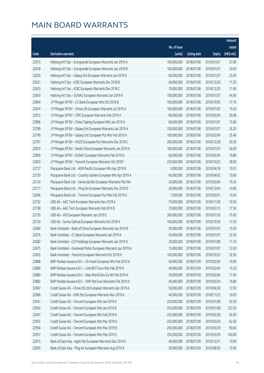|       |                                                              |              |                       |               | Amount      |
|-------|--------------------------------------------------------------|--------------|-----------------------|---------------|-------------|
|       |                                                              | No. of issue |                       |               | raised      |
| Code  | Derivative warrants                                          | (units)      | <b>Listing date</b>   | <b>Expiry</b> | (HK\$ mil.) |
| 22615 | Haitong Int'l Sec - Evergrande European Warrants Jan 2019 A  | 100,000,000  | 2018/07/06            | 2019/01/07    | 27.00       |
| 22618 | Haitong Int'l Sec - Evergrande European Warrants Jan 2019 B  | 100,000,000  | 2018/07/06            | 2019/01/07    | 33.00       |
| 22620 | Haitong Int'l Sec - Galaxy Ent European Warrants Jan 2019 A  | 60,000,000   | 2018/07/06            | 2019/01/07    | 23.40       |
| 22621 | Haitong Int'l Sec - ICBC European Warrants Dec 2018 B        | 40,000,000   | 2018/07/06            | 2018/12/20    | 11.20       |
| 22625 | Haitong Int'l Sec - ICBC European Warrants Dec 2018 C        | 70,000,000   | 2018/07/06            | 2018/12/20    | 11.90       |
| 22663 | Haitong Int'l Sec - SUNAC European Warrants Jan 2019 B       | 100,000,000  | 2018/07/06            | 2019/01/07    | 44.00       |
| 22804 | J P Morgan SP BV - CC Bank European Wts Oct 2018 B           | 100,000,000  | 2018/07/06            | 2018/10/05    | 17.10       |
| 22814 | J P Morgan SP BV - China Life European Warrants Jul 2019 A   | 100,000,000  | 2018/07/06            | 2019/07/02    | 15.20       |
| 22812 | J P Morgan SP BV - CPIC European Warrants Feb 2019 A         | 80,000,000   | 2018/07/06            | 2019/02/04    | 20.08       |
| 22806 | J P Morgan SP BV - China Taiping European Wts Jan 2019 A     | 60,000,000   | 2018/07/06            | 2019/01/07    | 15.06       |
| 22789 | J P Morgan SP BV - Galaxy Ent European Warrants Jan 2019 A   | 100,000,000  | 2018/07/06            | 2019/01/07    | 26.20       |
| 22799 | J P Morgan SP BV - Galaxy Ent European Put Wts Feb 2019 A    | 100,000,000  | 2018/07/06            | 2019/02/04    | 25.40       |
| 22781 | J P Morgan SP BV - HSCEI European Put Warrants Dec 2018 C    | 200,000,000  | 2018/07/06            | 2018/12/28    | 30.20       |
| 22810 | J P Morgan SP BV - Sands China European Warrants Jan 2019 A  | 100,000,000  | 2018/07/06            | 2019/01/07    | 26.00       |
| 22809 | J P Morgan SP BV - SUNAC European Warrants Feb 2019 A        | 60,000,000   | 2018/07/06            | 2019/02/04    | 19.80       |
| 22803 | J P Morgan SP BV - Tencent European Warrants Oct 2018 I      | 250,000,000  | 2018/07/06            | 2018/10/22    | 38.00       |
| 22727 | Macquarie Bank Ltd. - ASM Pacific European Wts Apr 2019 B    | 5,000,000    | 2018/07/06            | 2019/04/18    | 10.01       |
| 22729 | Macquarie Bank Ltd. - Country Garden European Wts Apr 2019 A | 40,000,000   | 2018/07/06            | 2019/04/02    | 10.00       |
| 22724 | Macquarie Bank Ltd. - Genscript Bio European Warrants Mar19A | 20,000,000   | 2018/07/06            | 2019/03/04    | 10.34       |
| 22711 | Macquarie Bank Ltd. - Ping An European Warrants Dec 2018 D   | 24,000,000   | 2018/07/06            | 2018/12/04    | 10.06       |
| 22696 | Macquarie Bank Ltd. - Tencent European Put Wts Feb 2019 G    | 7,500,000    | 2018/07/06            | 2019/02/01    | 10.04       |
| 22732 | UBS AG - AAC Tech European Warrants Nov 2018 A               | 70,000,000   | 2018/07/06            | 2018/11/28    | 10.50       |
| 22738 | UBS AG - AAC Tech European Warrants Feb 2019 B               | 70,000,000   | 2018/07/06            | 2019/02/15    | 17.50       |
| 22735 | UBS AG - HSI European Warrants Jan 2019 E                    | 300,000,000  | 2018/07/06            | 2019/01/30    | 75.90       |
| 22734 | UBS AG - Sunny Optical European Warrants Oct 2018 A          | 100,000,000  | 2018/07/06            | 2018/10/26    | 17.30       |
| 22684 | Bank Vontobel - Bank of China European Warrants Jan 2019 B   | 50,000,000   | 2018/07/06            | 2019/01/07    | 15.50       |
| 22676 | Bank Vontobel - CC Bank European Warrants Jan 2019 A         |              | 50,000,000 2018/07/06 | 2019/01/07    | 22.50       |
| 22682 | Bank Vontobel - CLP Holdings European Warrants Jan 2019 A    | 30,000,000   | 2018/07/06            | 2019/01/08    | 11.10       |
| 22675 | Bank Vontobel - Greatwall Motor European Warrants Jan 2019 A | 15,000,000   | 2018/07/06            | 2019/01/07    | 12.00       |
| 22692 | Bank Vontobel - Tencent European Warrants Oct 2018 H         | 100,000,000  | 2018/07/06            | 2018/10/22    | 32.50       |
| 22888 | BNP Paribas Issuance B.V. - CK Asset European Wts Feb 2019 A | 40,000,000   | 2018/07/09            | 2019/02/04    | 10.00       |
| 22889 | BNP Paribas Issuance B.V. - Link REIT Euro Wts Feb 2019 A    | 40,000,000   | 2018/07/09            | 2019/02/04    | 15.20       |
| 22880 | BNP Paribas Issuance B.V. - New World Dev Eu Wt Feb 2019 A   | 30,000,000   | 2018/07/09            | 2019/02/04    | 17.40       |
| 22882 | BNP Paribas Issuance B.V. - SHK Ppt Euro Warrants Feb 2019 A | 40,000,000   | 2018/07/09            | 2019/02/04    | 16.80       |
| 22967 | Credit Suisse AG - China EB Ltd European Warrants Apr 2019 A | 50,000,000   | 2018/07/09            | 2019/04/30    | 12.50       |
| 22966 | Credit Suisse AG - SHK Ppt European Warrants Nov 2018 A      | 40,000,000   | 2018/07/09            | 2018/11/23    | 10.00       |
| 22941 | Credit Suisse AG - Tencent European Wts Jan 2019 A           | 250,000,000  | 2018/07/09            | 2019/01/08    | 92.50       |
| 22942 | Credit Suisse AG - Tencent European Wts Jan 2019 B           | 250,000,000  | 2018/07/09            | 2019/01/08    | 122.50      |
| 22947 | Credit Suisse AG - Tencent European Wts Feb 2019 A           | 250,000,000  | 2018/07/09            | 2019/02/28    | 65.00       |
| 22955 | Credit Suisse AG - Tencent European Wts Mar 2019 A           | 250,000,000  | 2018/07/09            | 2019/03/29    | 62.50       |
| 22956 | Credit Suisse AG - Tencent European Wts Mar 2019 B           | 250,000,000  | 2018/07/09            | 2019/03/29    | 90.00       |
| 22957 | Credit Suisse AG - Tencent European Wts Mar 2019 C           | 250,000,000  | 2018/07/09            | 2019/03/29    | 140.00      |
| 22915 | Bank of East Asia - Agile Ppt European Warrants Dec 2019 A   | 40,000,000   | 2018/07/09            | 2019/12/31    | 10.00       |
| 22905 | Bank of East Asia - Ping An European Warrants Aug 2019 A     | 30,000,000   | 2018/07/09            | 2019/08/30    | 15.00       |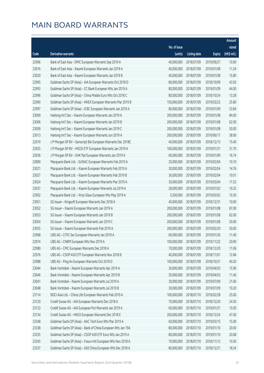|       |                                                              |              |                       |               | Amount      |
|-------|--------------------------------------------------------------|--------------|-----------------------|---------------|-------------|
|       |                                                              | No. of issue |                       |               | raised      |
| Code  | Derivative warrants                                          | (units)      | <b>Listing date</b>   | <b>Expiry</b> | (HK\$ mil.) |
| 22906 | Bank of East Asia - SMIC European Warrants Sep 2019 A        | 40,000,000   | 2018/07/09            | 2019/09/27    | 10.00       |
| 23016 | Bank of East Asia - Xiaomi European Warrants Jan 2019 A      | 40,000,000   | 2018/07/09            | 2019/01/08    | 11.24       |
| 23020 | Bank of East Asia - Xiaomi European Warrants Jan 2019 B      | 40,000,000   | 2018/07/09            | 2019/01/08    | 15.80       |
| 22995 | Goldman Sachs SP (Asia) - AIA European Warrants Oct 2018 D   | 80,000,000   | 2018/07/09            | 2018/10/09    | 43.92       |
| 22993 | Goldman Sachs SP (Asia) - CC Bank European Wts Jan 2019 A    | 80,000,000   | 2018/07/09            | 2019/01/09    | 44.00       |
| 22996 | Goldman Sachs SP (Asia) - China Mobile Euro Wts Oct 2018 C   | 80,000,000   | 2018/07/09            | 2018/10/24    | 13.28       |
| 22990 | Goldman Sachs SP (Asia) - HKEX European Warrants Mar 2019 B  | 150,000,000  | 2018/07/09            | 2019/03/22    | 25.80       |
| 22997 | Goldman Sachs SP (Asia) - ICBC European Warrants Jan 2019 A  | 80,000,000   | 2018/07/09            | 2019/01/09    | 33.84       |
| 23000 | Haitong Int'l Sec - Xiaomi European Warrants Jan 2019 A      | 200,000,000  | 2018/07/09            | 2019/01/08    | 84.00       |
| 23006 | Haitong Int'l Sec - Xiaomi European Warrants Jan 2019 B      | 200,000,000  | 2018/07/09            | 2019/01/08    | 62.00       |
| 23009 | Haitong Int'l Sec - Xiaomi European Warrants Jan 2019 C      | 200,000,000  | 2018/07/09            | 2019/01/08    | 50.00       |
| 23013 | Haitong Int'l Sec - Xiaomi European Warrants Jun 2019 A      | 200,000,000  | 2018/07/09            | 2019/06/17    | 58.00       |
| 22919 | J P Morgan SP BV - Genscript Bio European Warrants Dec 2018C | 40,000,000   | 2018/07/09            | 2018/12/13    | 15.40       |
| 22925 | J P Morgan SP BV - HSCEI ETF European Warrants Jan 2019 A    | 100,000,000  | 2018/07/09            | 2019/01/31    | 31.70       |
| 22936 | J P Morgan SP BV - SHK Ppt European Warrants Jan 2019 A      | 60,000,000   | 2018/07/09            | 2019/01/09    | 16.74       |
| 22890 | Macquarie Bank Ltd. - SUNAC European Warrants Feb 2019 A     | 20,000,000   | 2018/07/09            | 2019/02/04    | 10.10       |
| 23021 | Macquarie Bank Ltd. - Xiaomi European Warrants Feb 2019 A    | 30,000,000   | 2018/07/09            | 2019/02/04    | 14.76       |
| 23027 | Macquarie Bank Ltd. - Xiaomi European Warrants Feb 2019 B    | 36,000,000   | 2018/07/09            | 2019/02/04    | 10.01       |
| 23024 | Macquarie Bank Ltd. - Xiaomi European Warrants Mar 2019 A    | 30,000,000   | 2018/07/09            | 2019/03/04    | 11.52       |
| 23037 | Macquarie Bank Ltd. - Xiaomi European Warrants Jul 2019 A    | 28,000,000   | 2018/07/09            | 2019/07/02    | 10.25       |
| 22902 | Macquarie Bank Ltd. - Xinyi Glass European Wts May 2019 A    | 5,500,000    | 2018/07/09            | 2019/05/02    | 10.30       |
| 23051 | SG Issuer - Kingsoft European Warrants Dec 2018 A            | 40,000,000   | 2018/07/09            | 2018/12/31    | 10.00       |
| 23052 | SG Issuer - Xiaomi European Warrants Jan 2019 A              | 200,000,000  | 2018/07/09            | 2019/01/08    | 87.00       |
| 23053 | SG Issuer - Xiaomi European Warrants Jan 2019 B              | 200,000,000  | 2018/07/09            | 2019/01/08    | 62.00       |
| 23054 | SG Issuer - Xiaomi European Warrants Jan 2019 C              | 200,000,000  | 2018/07/09            | 2019/01/08    | 50.00       |
| 23055 | SG Issuer - Xiaomi European Warrants Feb 2019 A              | 200,000,000  | 2018/07/09            | 2019/02/20    | 50.00       |
| 22968 | UBS AG – CITIC Sec European Warrants Jan 2019 A              |              | 60,000,000 2018/07/09 | 2019/01/30    | 11.40       |
| 22974 | UBS AG - CNBM European Wts Nov 2019 A                        | 100,000,000  | 2018/07/09            | 2019/11/22    | 20.90       |
| 22980 | UBS AG - CPIC European Warrants Dec 2018 A                   | 70,000,000   | 2018/07/09            | 2018/12/20    | 11.06       |
| 22976 | UBS AG - CSOP A50 ETF European Warrants Nov 2018 B           | 40,000,000   | 2018/07/09            | 2018/11/01    | 12.84       |
| 22988 | UBS AG - Ping An European Warrants Oct 2018 D                | 100,000,000  | 2018/07/09            | 2018/10/31    | 40.20       |
| 23044 | Bank Vontobel - Xiaomi European Warrants Apr 2019 A          | 30,000,000   | 2018/07/09            | 2019/04/03    | 15.90       |
| 23046 | Bank Vontobel - Xiaomi European Warrants Apr 2019 B          | 30,000,000   | 2018/07/09            | 2019/04/03    | 11.40       |
| 23041 | Bank Vontobel - Xiaomi European Warrants Jul 2019 A          | 30,000,000   | 2018/07/09            | 2019/07/09    | 21.60       |
| 23048 | Bank Vontobel - Xiaomi European Warrants Jul 2019 B          | 30,000,000   | 2018/07/09            | 2019/07/09    | 10.20       |
| 23114 | BOCI Asia Ltd. - China Life European Warrants Feb 2019 A     | 100,000,000  | 2018/07/10            | 2019/02/28    | 25.00       |
| 23120 | Credit Suisse AG - AIA European Warrants Dec 2018 A          | 70,000,000   | 2018/07/10            | 2018/12/20    | 24.50       |
| 23123 | Credit Suisse AG - AIA European Put Warrants Jan 2019 A      | 60,000,000   | 2018/07/10            | 2019/01/31    | 15.00       |
| 23134 | Credit Suisse AG - HKEX European Warrants Dec 2018 E         | 200,000,000  | 2018/07/10            | 2018/12/24    | 47.00       |
| 23348 | Goldman Sachs SP (Asia) - AAC Tech Euro Wts Mar 2019 A       | 60,000,000   | 2018/07/10            | 2019/03/15    | 15.00       |
| 23338 | Goldman Sachs SP (Asia) - Bank of China European Wts Jan 19A | 80,000,000   | 2018/07/10            | 2019/01/10    | 20.00       |
| 23335 | Goldman Sachs SP (Asia) - CSOP A50 ETF Euro Wts Jan 2019 A   | 80,000,000   | 2018/07/10            | 2019/01/10    | 20.08       |
| 23345 | Goldman Sachs SP (Asia) - Fosun Intl European Wts Nov 2018 A | 70,000,000   | 2018/07/10            | 2018/11/12    | 10.50       |
| 23337 | Goldman Sachs SP (Asia) - A50 China European Wts Dec 2018 A  | 80,000,000   | 2018/07/10            | 2018/12/21    | 18.24       |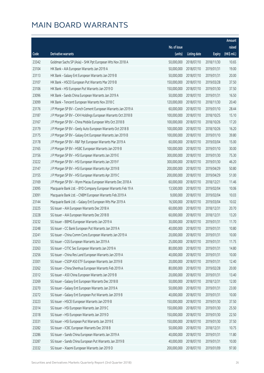|       |                                                              |              |                       |               | Amount      |
|-------|--------------------------------------------------------------|--------------|-----------------------|---------------|-------------|
|       |                                                              | No. of issue |                       |               | raised      |
| Code  | Derivative warrants                                          | (units)      | <b>Listing date</b>   | <b>Expiry</b> | (HK\$ mil.) |
| 23342 | Goldman Sachs SP (Asia) - SHK Ppt European Wts Nov 2018 A    | 50,000,000   | 2018/07/10            | 2018/11/30    | 10.65       |
| 23104 | HK Bank - AIA European Warrants Jan 2019 A                   | 50,000,000   | 2018/07/10            | 2019/01/31    | 19.00       |
| 23113 | HK Bank - Galaxy Ent European Warrants Jan 2019 B            | 50,000,000   | 2018/07/10            | 2019/01/31    | 20.00       |
| 23107 | HK Bank - HSCEI European Put Warrants Mar 2019 B             | 150,000,000  | 2018/07/10            | 2019/03/28    | 37.50       |
| 23106 | HK Bank - HSI European Put Warrants Jan 2019 D               | 150,000,000  | 2018/07/10            | 2019/01/30    | 37.50       |
| 23096 | HK Bank - Sands China European Warrants Jan 2019 A           | 50,000,000   | 2018/07/10            | 2019/01/31    | 16.50       |
| 23099 | HK Bank - Tencent European Warrants Nov 2018 C               | 120,000,000  | 2018/07/10            | 2018/11/30    | 20.40       |
| 23176 | J P Morgan SP BV - Conch Cement European Warrants Jan 2019 A | 60,000,000   | 2018/07/10            | 2019/01/10    | 28.44       |
| 23187 | J P Morgan SP BV - CKH Holdings European Warrants Oct 2018 B | 100,000,000  | 2018/07/10            | 2018/10/25    | 15.10       |
| 23167 | J P Morgan SP BV - China Mobile European Wts Oct 2018 B      | 100,000,000  | 2018/07/10            | 2018/10/26    | 17.20       |
| 23179 | J P Morgan SP BV - Geely Auto European Warrants Oct 2018 B   | 100,000,000  | 2018/07/10            | 2018/10/26    | 16.20       |
| 23175 | J P Morgan SP BV - Galaxy Ent European Warrants Jan 2019 B   | 100,000,000  | 2018/07/10            | 2019/01/10    | 39.80       |
| 23178 | J P Morgan SP BV - R&F Ppt European Warrants Mar 2019 A      | 60,000,000   | 2018/07/10            | 2019/03/04    | 15.00       |
| 23165 | J P Morgan SP BV - HSBC European Warrants Jan 2019 B         | 100,000,000  | 2018/07/10            | 2019/01/10    | 30.00       |
| 23156 | J P Morgan SP BV - HSI European Warrants Jan 2019 E          | 300,000,000  | 2018/07/10            | 2019/01/30    | 75.30       |
| 23222 | J P Morgan SP BV - HSI European Warrants Jan 2019 F          | 300,000,000  | 2018/07/10            | 2019/01/30    | 46.20       |
| 23147 | J P Morgan SP BV - HSI European Warrants Apr 2019 B          | 200,000,000  | 2018/07/10            | 2019/04/29    | 50.80       |
| 23155 | J P Morgan SP BV - HSI European Warrants Apr 2019 C          | 200,000,000  | 2018/07/10            | 2019/04/29    | 51.00       |
| 23169 | J P Morgan SP BV - Wynn Macau European Warrants Dec 2018 A   | 60,000,000   | 2018/07/10            | 2018/12/21    | 11.46       |
| 23095 | Macquarie Bank Ltd. - BYD Company European Warrants Feb 19 A | 13,500,000   | 2018/07/10            | 2019/02/04    | 10.06       |
| 23091 | Macquarie Bank Ltd. - CNBM European Warrants Feb 2019 A      | 9,000,000    | 2018/07/10            | 2019/02/04    | 10.03       |
| 23144 | Macquarie Bank Ltd. - Galaxy Ent European Wts Mar 2019 A     | 16,500,000   | 2018/07/10            | 2019/03/04    | 10.02       |
| 23225 | SG Issuer - AIA European Warrants Dec 2018 A                 | 60,000,000   | 2018/07/10            | 2018/12/31    | 20.70       |
| 23228 | SG Issuer - AIA European Warrants Dec 2018 B                 | 60,000,000   | 2018/07/10            | 2018/12/31    | 13.20       |
| 23232 | SG Issuer - BBMG European Warrants Jan 2019 A                | 30,000,000   | 2018/07/10            | 2019/01/31    | 11.70       |
| 23248 | SG Issuer - CC Bank European Put Warrants Jan 2019 A         | 40,000,000   | 2018/07/10            | 2019/01/31    | 10.80       |
| 23241 | SG Issuer - China Comm Cons European Warrants Jan 2019 A     |              | 20,000,000 2018/07/10 | 2019/01/31    | 10.00       |
| 23253 | SG Issuer - CGS European Warrants Jan 2019 A                 | 25,000,000   | 2018/07/10            | 2019/01/31    | 11.75       |
| 23263 | SG Issuer - CITIC Sec European Warrants Jan 2019 A           | 80,000,000   | 2018/07/10            | 2019/01/31    | 14.80       |
| 23256 | SG Issuer - China Res Land European Warrants Jan 2019 A      | 40,000,000   | 2018/07/10            | 2019/01/31    | 10.00       |
| 23301 | SG Issuer - CSOP A50 ETF European Warrants Jan 2019 B        | 20,000,000   | 2018/07/10            | 2019/01/31    | 12.40       |
| 23262 | SG Issuer - China Shenhua European Warrants Feb 2019 A       | 80,000,000   | 2018/07/10            | 2019/02/28    | 20.00       |
| 23312 | SG Issuer - A50 China European Warrants Jan 2019 B           | 20,000,000   | 2018/07/10            | 2019/01/31    | 13.40       |
| 23269 | SG Issuer - Galaxy Ent European Warrants Dec 2018 B          | 50,000,000   | 2018/07/10            | 2018/12/31    | 12.00       |
| 23270 | SG Issuer - Galaxy Ent European Warrants Jan 2019 A          | 50,000,000   | 2018/07/10            | 2019/01/31    | 23.00       |
| 23272 | SG Issuer - Galaxy Ent European Put Warrants Jan 2019 B      | 40,000,000   | 2018/07/10            | 2019/01/31    | 10.00       |
| 23223 | SG Issuer - HSCEI European Warrants Jan 2019 B               | 150,000,000  | 2018/07/10            | 2019/01/30    | 37.50       |
| 23314 | SG Issuer - HSI European Warrants Jan 2019 C                 | 150,000,000  | 2018/07/10            | 2019/01/30    | 25.50       |
| 23318 | SG Issuer - HSI European Warrants Jan 2019 D                 | 150,000,000  | 2018/07/10            | 2019/01/30    | 22.50       |
| 23331 | SG Issuer - HSI European Put Warrants Jan 2019 E             | 150,000,000  | 2018/07/10            | 2019/01/30    | 37.50       |
| 23282 | SG Issuer - ICBC European Warrants Dec 2018 B                | 50,000,000   | 2018/07/10            | 2018/12/31    | 10.75       |
| 23286 | SG Issuer - Sands China European Warrants Jan 2019 A         | 40,000,000   | 2018/07/10            | 2019/01/31    | 11.80       |
| 23287 | SG Issuer - Sands China European Put Warrants Jan 2019 B     | 40,000,000   | 2018/07/10            | 2019/01/31    | 10.00       |
| 23332 | SG Issuer - Xiaomi European Warrants Jan 2019 D              | 200,000,000  | 2018/07/10            | 2019/01/09    | 97.00       |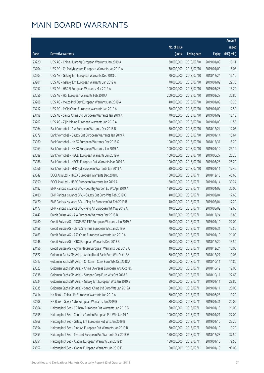|       |                                                              |              |                       |               | Amount      |
|-------|--------------------------------------------------------------|--------------|-----------------------|---------------|-------------|
|       |                                                              | No. of issue |                       |               | raised      |
| Code  | Derivative warrants                                          | (units)      | <b>Listing date</b>   | <b>Expiry</b> | (HK\$ mil.) |
| 23220 | UBS AG - China Huarong European Warrants Jan 2019 A          | 30,000,000   | 2018/07/10            | 2019/01/09    | 10.11       |
| 23204 | UBS AG - Ch Molybdenum European Warrants Jan 2019 A          | 30,000,000   | 2018/07/10            | 2019/01/09    | 16.08       |
| 23203 | UBS AG - Galaxy Ent European Warrants Dec 2018 C             | 70,000,000   | 2018/07/10            | 2018/12/24    | 16.10       |
| 23201 | UBS AG - Galaxy Ent European Warrants Jan 2019 A             | 70,000,000   | 2018/07/10            | 2019/01/09    | 29.75       |
| 23057 | UBS AG - HSCEI European Warrants Mar 2019 A                  | 100,000,000  | 2018/07/10            | 2019/03/28    | 15.20       |
| 23056 | UBS AG - HSI European Warrants Feb 2019 A                    | 200,000,000  | 2018/07/10            | 2019/02/27    | 30.80       |
| 23208 | UBS AG - Melco Int'l Dev European Warrants Jan 2019 A        | 40,000,000   | 2018/07/10            | 2019/01/09    | 10.20       |
| 23212 | UBS AG - MGM China European Warrants Jan 2019 A              | 50,000,000   | 2018/07/10            | 2019/01/09    | 12.50       |
| 23198 | UBS AG - Sands China Ltd European Warrants Jan 2019 A        | 70,000,000   | 2018/07/10            | 2019/01/09    | 18.13       |
| 23207 | UBS AG - Zijin Mining European Warrants Jan 2019 A           | 30,000,000   | 2018/07/10            | 2019/01/09    | 11.55       |
| 23064 | Bank Vontobel - AIA European Warrants Dec 2018 B             | 50,000,000   | 2018/07/10            | 2018/12/24    | 12.05       |
| 23079 | Bank Vontobel - Galaxy Ent European Warrants Jan 2019 A      | 40,000,000   | 2018/07/10            | 2019/01/14    | 15.64       |
| 23060 | Bank Vontobel - HKEX European Warrants Dec 2018 G            | 100,000,000  | 2018/07/10            | 2018/12/31    | 15.20       |
| 23063 | Bank Vontobel - HKEX European Warrants Jan 2019 A            | 100,000,000  | 2018/07/10            | 2019/01/10    | 25.10       |
| 23089 | Bank Vontobel - HSCEI European Warrants Jun 2019 A           | 100,000,000  | 2018/07/10            | 2019/06/27    | 25.20       |
| 23086 | Bank Vontobel - HSCEI European Put Warrants Mar 2019 A       | 100,000,000  | 2018/07/10            | 2019/03/28    | 25.20       |
| 23066 | Bank Vontobel - SHK Ppt European Warrants Jan 2019 A         | 30,000,000   | 2018/07/10            | 2019/01/11    | 17.40       |
| 23349 | BOCI Asia Ltd. - HKEX European Warrants Dec 2018 D           | 150,000,000  | 2018/07/11            | 2018/12/18    | 45.60       |
| 23350 | BOCI Asia Ltd. - HSBC European Warrants Jan 2019 A           | 80,000,000   | 2018/07/11            | 2019/01/14    | 30.24       |
| 23482 | BNP Paribas Issuance B.V. - Country Garden Eu Wt Apr 2019 A  | 120,000,000  | 2018/07/11            | 2019/04/02    | 30.00       |
| 23480 | BNP Paribas Issuance B.V. - Galaxy Ent Euro Wts Feb 2019 C   | 40,000,000   | 2018/07/11            | 2019/02/04    | 17.60       |
| 23470 | BNP Paribas Issuance B.V. - Ping An European Wt Feb 2019 B   | 40,000,000   | 2018/07/11            | 2019/02/04    | 17.20       |
| 23477 | BNP Paribas Issuance B.V. - Ping An European Wt May 2019 A   | 40,000,000   | 2018/07/11            | 2019/05/02    | 19.60       |
| 23447 | Credit Suisse AG - AIA European Warrants Dec 2018 B          | 70,000,000   | 2018/07/11            | 2018/12/24    | 16.80       |
| 23460 | Credit Suisse AG - CSOP A50 ETF European Warrants Jan 2019 A | 50,000,000   | 2018/07/11            | 2019/01/10    | 22.00       |
| 23458 | Credit Suisse AG - China Shenhua European Wts Jan 2019 A     | 70,000,000   | 2018/07/11            | 2019/01/31    | 17.50       |
| 23463 | Credit Suisse AG - A50 China European Warrants Jan 2019 A    |              | 50,000,000 2018/07/11 | 2019/01/10    | 21.00       |
| 23448 | Credit Suisse AG - ICBC European Warrants Dec 2018 B         | 50,000,000   | 2018/07/11            | 2018/12/20    | 13.50       |
| 23456 | Credit Suisse AG - Wynn Macau European Warrants Dec 2018 A   | 40,000,000   | 2018/07/11            | 2018/12/24    | 10.00       |
| 23522 | Goldman Sachs SP (Asia) - Agricultural Bank Euro Wts Dec 18A | 60,000,000   | 2018/07/11            | 2018/12/27    | 10.08       |
| 23517 | Goldman Sachs SP (Asia) - Ch Comm Cons Euro Wts Oct 2018 A   | 50,000,000   | 2018/07/11            | 2018/10/11    | 11.80       |
| 23523 | Goldman Sachs SP (Asia) - China Overseas European Wts Oct18C | 80,000,000   | 2018/07/11            | 2018/10/19    | 12.00       |
| 23538 | Goldman Sachs SP (Asia) - Sinopec Corp Euro Wts Oct 2018 B   | 60,000,000   | 2018/07/11            | 2018/10/11    | 22.68       |
| 23524 | Goldman Sachs SP (Asia) - Galaxy Ent European Wts Jan 2019 B | 80,000,000   | 2018/07/11            | 2019/01/11    | 28.80       |
| 23535 | Goldman Sachs SP (Asia) - Sands China Ltd Euro Wts Jan 2019A | 80,000,000   | 2018/07/11            | 2019/01/11    | 20.00       |
| 23414 | HK Bank - China Life European Warrants Jun 2019 A            | 60,000,000   | 2018/07/11            | 2019/06/28    | 10.20       |
| 23408 | HK Bank - Geely Auto European Warrants Jan 2019 B            | 80,000,000   | 2018/07/11            | 2019/01/31    | 20.00       |
| 23364 | Haitong Int'l Sec - CC Bank European Put Warrants Jan 2019 B | 60,000,000   | 2018/07/11            | 2019/01/10    | 21.00       |
| 23355 | Haitong Int'l Sec - Country Garden European Put Wts Jan 19 A | 100,000,000  | 2018/07/11            | 2019/01/21    | 27.00       |
| 23368 | Haitong Int'l Sec - Galaxy Ent European Put Wts Jan 2019 B   | 80,000,000   | 2018/07/11            | 2019/01/10    | 27.20       |
| 23354 | Haitong Int'l Sec - Ping An European Put Warrants Jan 2019 B | 60,000,000   | 2018/07/11            | 2019/01/10    | 19.20       |
| 23353 | Haitong Int'l Sec - Tencent European Put Warrants Dec 2018 G | 150,000,000  | 2018/07/11            | 2018/12/28    | 37.50       |
| 23351 | Haitong Int'l Sec - Xiaomi European Warrants Jan 2019 D      | 150,000,000  | 2018/07/11            | 2019/01/10    | 79.50       |
| 23352 | Haitong Int'l Sec - Xiaomi European Warrants Jan 2019 E      | 150,000,000  | 2018/07/11            | 2019/01/10    | 90.00       |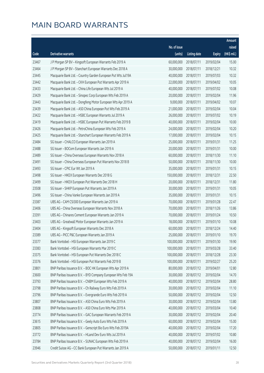|       |                                                              |              |                       |               | Amount      |
|-------|--------------------------------------------------------------|--------------|-----------------------|---------------|-------------|
|       |                                                              | No. of issue |                       |               | raised      |
| Code  | Derivative warrants                                          | (units)      | <b>Listing date</b>   | <b>Expiry</b> | (HK\$ mil.) |
| 23467 | J P Morgan SP BV - Kingsoft European Warrants Feb 2019 A     | 60,000,000   | 2018/07/11            | 2019/02/04    | 15.00       |
| 23464 | J P Morgan SP BV - Stanchart European Warrants Dec 2018 A    | 30,000,000   | 2018/07/11            | 2018/12/21    | 10.32       |
| 23445 | Macquarie Bank Ltd. - Country Garden European Put Wts Jul19A | 40,000,000   | 2018/07/11            | 2019/07/03    | 10.32       |
| 23442 | Macquarie Bank Ltd. - CKH European Put Warrants Apr 2019 A   | 22,000,000   | 2018/07/11            | 2019/04/02    | 10.05       |
| 23433 | Macquarie Bank Ltd. - China Life European Wts Jul 2019 A     | 40,000,000   | 2018/07/11            | 2019/07/02    | 10.08       |
| 23429 | Macquarie Bank Ltd. - Sinopec Corp European Wts Feb 2019 A   | 20,000,000   | 2018/07/11            | 2019/02/04    | 11.96       |
| 23443 | Macquarie Bank Ltd. - Dongfeng Motor European Wts Apr 2019 A | 9,000,000    | 2018/07/11            | 2019/04/02    | 10.07       |
| 23439 | Macquarie Bank Ltd. - A50 China European Put Wts Feb 2019 A  | 21,000,000   | 2018/07/11            | 2019/02/04    | 10.04       |
| 23422 | Macquarie Bank Ltd. - HSBC European Warrants Jul 2019 A      | 26,000,000   | 2018/07/11            | 2019/07/02    | 10.19       |
| 23419 | Macquarie Bank Ltd. - HSBC European Put Warrants Feb 2019 B  | 40,000,000   | 2018/07/11            | 2019/02/04    | 10.00       |
| 23426 | Macquarie Bank Ltd. - PetroChina European Wts Feb 2019 A     | 24,000,000   | 2018/07/11            | 2019/02/04    | 10.20       |
| 23425 | Macquarie Bank Ltd. - Stanchart European Warrants Feb 2019 A | 17,000,000   | 2018/07/11            | 2019/02/04    | 10.15       |
| 23484 | SG Issuer - CHALCO European Warrants Jan 2019 A              | 25,000,000   | 2018/07/11            | 2019/01/31    | 11.25       |
| 23488 | SG Issuer - BOCom European Warrants Jan 2019 A               | 20,000,000   | 2018/07/11            | 2019/01/31    | 10.00       |
| 23489 | SG Issuer - China Overseas European Warrants Nov 2018 A      | 60,000,000   | 2018/07/11            | 2018/11/30    | 11.10       |
| 23491 | SG Issuer - China Overseas European Put Warrants Nov 2018 B  | 50,000,000   | 2018/07/11            | 2018/11/30    | 10.00       |
| 23493 | SG Issuer - CPIC Eur Wt Jan 2019 A                           | 35,000,000   | 2018/07/11            | 2019/01/31    | 10.15       |
| 23498 | SG Issuer - HKEX European Warrants Dec 2018 G                | 150,000,000  | 2018/07/11            | 2018/12/31    | 22.50       |
| 23499 | SG Issuer - HKEX European Put Warrants Dec 2018 H            | 20,000,000   | 2018/07/11            | 2018/12/31    | 11.80       |
| 23508 | SG Issuer - SHKP European Put Warrants Jan 2019 A            | 30,000,000   | 2018/07/11            | 2019/01/31    | 10.05       |
| 23496 | SG Issuer - China Vanke European Warrants Jan 2019 A         | 35,000,000   | 2018/07/11            | 2019/01/31    | 10.15       |
| 23387 | UBS AG - CAM CSI300 European Warrants Jan 2019 A             | 70,000,000   | 2018/07/11            | 2019/01/28    | 22.47       |
| 23406 | UBS AG - China Overseas European Warrants Nov 2018 A         | 70,000,000   | 2018/07/11            | 2018/11/26    | 13.86       |
| 23391 | UBS AG - Chinares Cement European Warrants Jan 2019 A        | 70,000,000   | 2018/07/11            | 2019/01/24    | 10.50       |
| 23403 | UBS AG - Greatwall Motor European Warrants Jan 2019 A        | 18,000,000   | 2018/07/11            | 2019/01/10    | 10.08       |
| 23404 | UBS AG - Kingsoft European Warrants Dec 2018 A               | 60,000,000   | 2018/07/11            | 2018/12/24    | 14.40       |
| 23389 | UBS AG - PICC P&C European Warrants Jan 2019 A               |              | 25,000,000 2018/07/11 | 2019/01/10    | 19.70       |
| 23377 | Bank Vontobel - HSI European Warrants Jan 2019 C             | 100,000,000  | 2018/07/11            | 2019/01/30    | 19.90       |
| 23383 | Bank Vontobel - HSI European Warrants Mar 2019 C             | 100,000,000  | 2018/07/11            | 2019/03/28    | 33.40       |
| 23375 | Bank Vontobel - HSI European Put Warrants Dec 2018 C         | 100,000,000  | 2018/07/11            | 2018/12/28    | 23.30       |
| 23376 | Bank Vontobel - HSI European Put Warrants Feb 2019 B         | 100,000,000  | 2018/07/11            | 2019/02/27    | 25.20       |
| 23801 | BNP Paribas Issuance B.V. - BOC HK European Wts Apr 2019 A   | 80,000,000   | 2018/07/12            | 2019/04/01    | 12.80       |
| 23600 | BNP Paribas Issuance B.V. - BYD Company European Wts Feb 19A | 30,000,000   | 2018/07/12            | 2019/02/04    | 14.70       |
| 23793 | BNP Paribas Issuance B.V. - CNBM European Wts Feb 2019 A     | 40,000,000   | 2018/07/12            | 2019/02/04    | 28.80       |
| 23798 | BNP Paribas Issuance B.V. - Ch Railway Euro Wts Feb 2019 A   | 30,000,000   | 2018/07/12            | 2019/02/04    | 11.10       |
| 23796 | BNP Paribas Issuance B.V. - Evergrande Euro Wts Feb 2019 A   | 50,000,000   | 2018/07/12            | 2019/02/04    | 12.50       |
| 23807 | BNP Paribas Issuance B.V. - A50 China Euro Wts Feb 2019 A    | 30,000,000   | 2018/07/12            | 2019/02/04    | 13.80       |
| 23808 | BNP Paribas Issuance B.V. - A50 China Euro Wts Mar 2019 A    | 40,000,000   | 2018/07/12            | 2019/03/04    | 10.40       |
| 23774 | BNP Paribas Issuance B.V. - GAC European Warrants Feb 2019 A | 30,000,000   | 2018/07/12            | 2019/02/04    | 20.40       |
| 23615 | BNP Paribas Issuance B.V. - Geely Auto Euro Wts Feb 2019 A   | 60,000,000   | 2018/07/12            | 2019/02/04    | 15.00       |
| 23805 | BNP Paribas Issuance B.V. - Genscript Bio Euro Wts Feb 2019A | 40,000,000   | 2018/07/12            | 2019/02/04    | 17.20       |
| 23772 | BNP Paribas Issuance B.V. - HLand Dev Euro Wts Jul 2019 A    | 40,000,000   | 2018/07/12            | 2019/07/02    | 10.80       |
| 23784 | BNP Paribas Issuance B.V. - SUNAC European Wts Feb 2019 A    | 40,000,000   | 2018/07/12            | 2019/02/04    | 16.00       |
| 23946 | Credit Suisse AG - CC Bank European Put Warrants Jan 2019 A  | 50,000,000   | 2018/07/12            | 2019/01/11    | 12.50       |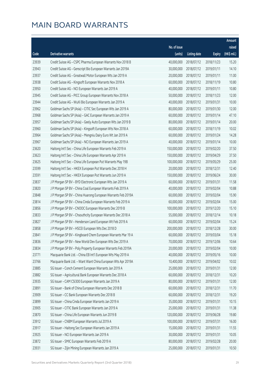|       |                                                              |              |                       |               | Amount      |
|-------|--------------------------------------------------------------|--------------|-----------------------|---------------|-------------|
|       |                                                              | No. of issue |                       |               | raised      |
| Code  | Derivative warrants                                          | (units)      | <b>Listing date</b>   | <b>Expiry</b> | (HK\$ mil.) |
| 23939 | Credit Suisse AG - CSPC Pharma European Warrants Nov 2018 B  | 40,000,000   | 2018/07/12            | 2018/11/23    | 15.20       |
| 23943 | Credit Suisse AG - Genscript Bio European Warrants Jan 2019A | 30,000,000   | 2018/07/12            | 2019/01/11    | 14.10       |
| 23937 | Credit Suisse AG - Greatwall Motor European Wts Jan 2019 A   | 20,000,000   | 2018/07/12            | 2019/01/11    | 11.00       |
| 23938 | Credit Suisse AG - Kingsoft European Warrants Nov 2018 A     | 60,000,000   | 2018/07/12            | 2018/11/19    | 10.80       |
| 23950 | Credit Suisse AG - NCI European Warrants Jan 2019 A          | 40,000,000   | 2018/07/12            | 2019/01/11    | 10.80       |
| 23945 | Credit Suisse AG - PICC Group European Warrants Nov 2018 A   | 50,000,000   | 2018/07/12            | 2018/11/23    | 12.00       |
| 23944 | Credit Suisse AG - WuXi Bio European Warrants Jan 2019 A     | 40,000,000   | 2018/07/12            | 2019/01/31    | 10.00       |
| 23962 | Goldman Sachs SP (Asia) - CITIC Sec European Wts Jan 2019 A  | 80,000,000   | 2018/07/12            | 2019/01/30    | 12.00       |
| 23968 | Goldman Sachs SP (Asia) - GAC European Warrants Jan 2019 A   | 60,000,000   | 2018/07/12            | 2019/01/14    | 47.10       |
| 23957 | Goldman Sachs SP (Asia) - Geely Auto European Wts Jan 2019 B | 80,000,000   | 2018/07/12            | 2019/01/14    | 20.00       |
| 23960 | Goldman Sachs SP (Asia) - Kingsoft European Wts Nov 2018 A   | 60,000,000   | 2018/07/12            | 2018/11/19    | 10.02       |
| 23964 | Goldman Sachs SP (Asia) - Mengniu Dairy Euro Wt Jan 2019 A   | 60,000,000   | 2018/07/12            | 2019/01/24    | 14.28       |
| 23967 | Goldman Sachs SP (Asia) - NCI European Warrants Jan 2019 A   | 40,000,000   | 2018/07/12            | 2019/01/14    | 10.00       |
| 23620 | Haitong Int'l Sec - China Life European Warrants Feb 2019 A  | 150,000,000  | 2018/07/12            | 2019/02/20    | 37.50       |
| 23623 | Haitong Int'l Sec - China Life European Warrants Apr 2019 A  | 150,000,000  | 2018/07/12            | 2019/04/29    | 37.50       |
| 23625 | Haitong Int'l Sec - China Life European Put Warrants May 19B | 100,000,000  | 2018/07/12            | 2019/05/29    | 25.00       |
| 23599 | Haitong Int'l Sec - HKEX European Put Warrants Dec 2018 H    | 20,000,000   | 2018/07/12            | 2018/12/31    | 12.40       |
| 23591 | Haitong Int'l Sec - HKEX European Put Warrants Jun 2019 A    | 150,000,000  | 2018/07/12            | 2019/06/24    | 30.00       |
| 23837 | J P Morgan SP BV - BYD Electronic European Wts Jan 2019 A    | 60,000,000   | 2018/07/12            | 2019/01/31    | 11.58       |
| 23820 | J P Morgan SP BV - China Coal European Warrants Feb 2019 A   | 40,000,000   | 2018/07/12            | 2019/02/04    | 10.88       |
| 23848 | J P Morgan SP BV - China Huarong European Warrants Feb 2019A | 60,000,000   | 2018/07/12            | 2019/02/04    | 15.90       |
| 23814 | J P Morgan SP BV - China Cinda European Warrants Feb 2019 A  | 60,000,000   | 2018/07/12            | 2019/02/04    | 15.00       |
| 23856 | J P Morgan SP BV - CNOOC European Warrants Dec 2019 B        | 100,000,000  | 2018/07/12            | 2019/12/20    | 15.10       |
| 23833 | J P Morgan SP BV - Chsouthcity European Warrants Dec 2018 A  | 55,000,000   | 2018/07/12            | 2018/12/14    | 10.18       |
| 23827 | J P Morgan SP BV - Henderson Land European Wt Feb 2019 A     | 60,000,000   | 2018/07/12            | 2019/02/04    | 15.24       |
| 23858 | J P Morgan SP BV - HSCEI European Wts Dec 2018 D             | 200,000,000  | 2018/07/12            | 2018/12/28    | 30.00       |
| 23841 | J P Morgan SP BV - Kingboard Chem European Warrants Mar 19 A |              | 60,000,000 2018/07/12 | 2019/03/04    | 15.18       |
| 23836 | J P Morgan SP BV - New World Dev European Wts Dec 2019 A     | 70,000,000   | 2018/07/12            | 2019/12/06    | 10.64       |
| 23834 | J P Morgan SP BV - Poly Property European Warrants Feb 2019A | 20,000,000   | 2018/07/12            | 2019/02/04    | 10.00       |
| 23771 | Macquarie Bank Ltd. - China EB Int'l European Wts May 2019 A | 40,000,000   | 2018/07/12            | 2019/05/16    | 10.00       |
| 23766 | Macquarie Bank Ltd. - Want Want China European Wts Apr 2019A | 10,400,000   | 2018/07/12            | 2019/04/02    | 10.02       |
| 23885 | SG Issuer - Conch Cement European Warrants Jan 2019 A        | 25,000,000   | 2018/07/12            | 2019/01/31    | 12.00       |
| 23882 | SG Issuer - Agricultural Bank European Warrants Dec 2018 A   | 60,000,000   | 2018/07/12            | 2018/12/31    | 10.20       |
| 23935 | SG Issuer - CAM CSI300 European Warrants Jan 2019 A          | 80,000,000   | 2018/07/12            | 2019/01/31    | 12.00       |
| 23891 | SG Issuer - Bank of China European Warrants Dec 2018 B       | 60,000,000   | 2018/07/12            | 2018/12/31    | 11.70       |
| 23909 | SG Issuer - CC Bank European Warrants Dec 2018 B             | 60,000,000   | 2018/07/12            | 2018/12/31    | 19.20       |
| 23899 | SG Issuer - China Cinda European Warrants Jan 2019 A         | 35,000,000   | 2018/07/12            | 2019/01/31    | 10.15       |
| 23905 | SG Issuer - CITIC Bank European Warrants Jan 2019 A          | 25,000,000   | 2018/07/12            | 2019/01/31    | 11.38       |
| 23870 | SG Issuer - China Life European Warrants Jun 2019 B          | 120,000,000  | 2018/07/12            | 2019/06/28    | 19.80       |
| 23912 | SG Issuer - CNBM European Warrants Jul 2019 A                | 100,000,000  | 2018/07/12            | 2019/07/31    | 16.00       |
| 23917 | SG Issuer - Haitong Sec European Warrants Jan 2019 A         | 15,000,000   | 2018/07/12            | 2019/01/31    | 11.55       |
| 23925 | SG Issuer - NCI European Warrants Jan 2019 A                 | 30,000,000   | 2018/07/12            | 2019/01/31    | 10.05       |
| 23872 | SG Issuer - SMIC European Warrants Feb 2019 A                | 80,000,000   | 2018/07/12            | 2019/02/28    | 20.00       |
| 23931 | SG Issuer - Zijin Mining European Warrants Jan 2019 A        | 25,000,000   | 2018/07/12            | 2019/01/31    | 10.50       |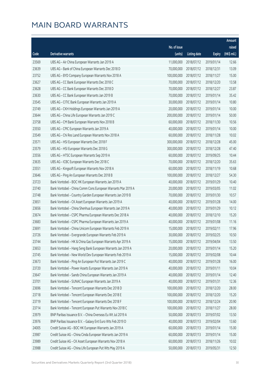|       |                                                              |              |                       |               | Amount      |
|-------|--------------------------------------------------------------|--------------|-----------------------|---------------|-------------|
|       |                                                              | No. of issue |                       |               | raised      |
| Code  | Derivative warrants                                          | (units)      | <b>Listing date</b>   | <b>Expiry</b> | (HK\$ mil.) |
| 23569 | UBS AG - Air China European Warrants Jan 2019 A              | 11,000,000   | 2018/07/12            | 2019/01/14    | 12.66       |
| 23639 | UBS AG - Bank of China European Warrants Dec 2018 D          | 70,000,000   | 2018/07/12            | 2018/12/31    | 13.09       |
| 23752 | UBS AG - BYD Company European Warrants Nov 2018 A            | 100,000,000  | 2018/07/12            | 2018/11/27    | 15.00       |
| 23627 | UBS AG - CC Bank European Warrants Dec 2018 C                | 70,000,000   | 2018/07/12            | 2018/12/20    | 13.58       |
| 23628 | UBS AG - CC Bank European Warrants Dec 2018 D                | 70,000,000   | 2018/07/12            | 2018/12/27    | 23.87       |
| 23630 | UBS AG - CC Bank European Warrants Jan 2019 B                | 70,000,000   | 2018/07/12            | 2019/01/14    | 35.42       |
| 23545 | UBS AG - CITIC Bank European Warrants Jan 2019 A             | 30,000,000   | 2018/07/12            | 2019/01/14    | 10.80       |
| 23749 | UBS AG - CKH Holdings European Warrants Jan 2019 A           | 20,000,000   | 2018/07/12            | 2019/01/14    | 10.00       |
| 23644 | UBS AG - China Life European Warrants Jan 2019 C             | 200,000,000  | 2018/07/12            | 2019/01/14    | 50.00       |
| 23758 | UBS AG - CM Bank European Warrants Nov 2018 B                | 60,000,000   | 2018/07/12            | 2018/11/30    | 10.56       |
| 23550 | UBS AG - CPIC European Warrants Jan 2019 A                   | 40,000,000   | 2018/07/12            | 2019/01/14    | 10.00       |
| 23549 | UBS AG - Chi Res Land European Warrants Nov 2018 A           | 60,000,000   | 2018/07/12            | 2018/11/28    | 10.02       |
| 23571 | UBS AG - HSI European Warrants Dec 2018 F                    | 300,000,000  | 2018/07/12            | 2018/12/28    | 45.00       |
| 23579 | UBS AG - HSI European Warrants Dec 2018 G                    | 300,000,000  | 2018/07/12            | 2018/12/28    | 47.40       |
| 23556 | UBS AG - HTSC European Warrants Sep 2019 A                   | 60,000,000   | 2018/07/12            | 2019/09/25    | 10.44       |
| 23635 | UBS AG - ICBC European Warrants Dec 2018 C                   | 70,000,000   | 2018/07/12            | 2018/12/20    | 35.63       |
| 23551 | UBS AG - Kingsoft European Warrants Nov 2018 A               | 60,000,000   | 2018/07/12            | 2018/11/19    | 10.68       |
| 23646 | UBS AG - Ping An European Warrants Dec 2018 B                | 100,000,000  | 2018/07/12            | 2018/12/27    | 54.30       |
| 23723 | Bank Vontobel - BOC HK European Warrants Jan 2019 A          | 40,000,000   | 2018/07/12            | 2019/01/29    | 10.40       |
| 23740 | Bank Vontobel - China Comm Cons European Warrants Mar 2019 A | 20,000,000   | 2018/07/12            | 2019/03/05    | 11.02       |
| 23748 | Bank Vontobel - Country Garden European Warrants Jan 2019 B  | 70,000,000   | 2018/07/12            | 2019/01/30    | 10.57       |
| 23651 | Bank Vontobel - CK Asset European Warrants Jan 2019 A        | 40,000,000   | 2018/07/12            | 2019/01/28    | 14.00       |
| 23656 | Bank Vontobel - China Shenhua European Warrants Jan 2019 A   | 40,000,000   | 2018/07/12            | 2019/01/29    | 10.12       |
| 23674 | Bank Vontobel - CSPC Pharma European Warrants Dec 2018 A     | 40,000,000   | 2018/07/12            | 2018/12/10    | 15.20       |
| 23683 | Bank Vontobel - CSPC Pharma European Warrants Jan 2019 A     | 40,000,000   | 2018/07/12            | 2019/01/08    | 11.16       |
| 23691 | Bank Vontobel - China Unicom European Warrants Feb 2019 A    | 15,000,000   | 2018/07/12            | 2019/02/11    | 17.96       |
| 23726 | Bank Vontobel - Evergrande European Warrants Feb 2019 A      |              | 30,000,000 2018/07/12 | 2019/02/25    | 10.50       |
| 23744 | Bank Vontobel - HK & China Gas European Warrants Apr 2019 A  | 15,000,000   | 2018/07/12            | 2019/04/04    | 13.50       |
| 23653 | Bank Vontobel - Hang Seng Bank European Warrants Jan 2019 A  | 20,000,000   | 2018/07/12            | 2019/01/14    | 15.20       |
| 23745 | Bank Vontobel - New World Dev European Warrants Feb 2019 A   | 15,000,000   | 2018/07/12            | 2019/02/08    | 10.44       |
| 23673 | Bank Vontobel - Ping An European Put Warrants Jan 2019 C     | 40,000,000   | 2018/07/12            | 2019/01/28    | 16.00       |
| 23720 | Bank Vontobel - Power Assets European Warrants Jan 2019 A    | 40,000,000   | 2018/07/12            | 2019/01/11    | 10.04       |
| 23647 | Bank Vontobel - Sands China European Warrants Jan 2019 A     | 40,000,000   | 2018/07/12            | 2019/01/14    | 12.40       |
| 23701 | Bank Vontobel - SUNAC European Warrants Jan 2019 A           | 40,000,000   | 2018/07/12            | 2019/01/31    | 12.36       |
| 23696 | Bank Vontobel - Tencent European Warrants Dec 2018 D         | 100,000,000  | 2018/07/12            | 2018/12/20    | 28.00       |
| 23718 | Bank Vontobel - Tencent European Warrants Dec 2018 E         | 100,000,000  | 2018/07/12            | 2018/12/20    | 15.20       |
| 23719 | Bank Vontobel - Tencent European Warrants Dec 2018 F         | 100,000,000  | 2018/07/12            | 2018/12/24    | 20.90       |
| 23714 | Bank Vontobel - Tencent European Put Warrants Nov 2018 C     | 100,000,000  | 2018/07/12            | 2018/11/27    | 28.00       |
| 23979 | BNP Paribas Issuance B.V. - China Overseas Eu Wt Jul 2019 A  | 50,000,000   | 2018/07/13            | 2019/07/02    | 13.50       |
| 23976 | BNP Paribas Issuance B.V. - Galaxy Ent Euro Wts Feb 2019 D   | 40,000,000   | 2018/07/13            | 2019/02/04    | 13.60       |
| 24005 | Credit Suisse AG - BOC HK European Warrants Jan 2019 A       | 60,000,000   | 2018/07/13            | 2019/01/14    | 15.00       |
| 23987 | Credit Suisse AG - China Cinda European Warrants Jan 2019 A  | 60,000,000   | 2018/07/13            | 2019/01/14    | 15.00       |
| 23989 | Credit Suisse AG - CK Asset European Warrants Nov 2018 A     | 60,000,000   | 2018/07/13            | 2018/11/26    | 10.02       |
| 23988 | Credit Suisse AG - China Life European Put Wts May 2019 A    | 50,000,000   | 2018/07/13            | 2019/05/31    | 12.50       |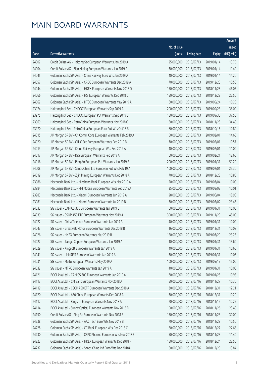|       |                                                              |                        |                     |               | Amount      |
|-------|--------------------------------------------------------------|------------------------|---------------------|---------------|-------------|
|       |                                                              | No. of issue           |                     |               | raised      |
| Code  | <b>Derivative warrants</b>                                   | (units)                | <b>Listing date</b> | <b>Expiry</b> | (HK\$ mil.) |
| 24002 | Credit Suisse AG - Haitong Sec European Warrants Jan 2019 A  | 25,000,000             | 2018/07/13          | 2019/01/14    | 13.75       |
| 24004 | Credit Suisse AG - Zijin Mining European Warrants Jan 2019 A | 30,000,000             | 2018/07/13          | 2019/01/14    | 11.40       |
| 24045 | Goldman Sachs SP (Asia) - China Railway Euro Wts Jan 2019 A  | 40,000,000             | 2018/07/13          | 2019/01/14    | 14.20       |
| 24057 | Goldman Sachs SP (Asia) - CRCC European Warrants Dec 2019 A  | 70,000,000             | 2018/07/13          | 2019/12/23    | 10.50       |
| 24044 | Goldman Sachs SP (Asia) - HKEX European Warrants Nov 2018 D  | 150,000,000            | 2018/07/13          | 2018/11/28    | 46.05       |
| 24066 | Goldman Sachs SP (Asia) - HSI European Warrants Dec 2018 C   | 150,000,000            | 2018/07/13          | 2018/12/28    | 22.50       |
| 24062 | Goldman Sachs SP (Asia) - HTSC European Warrants May 2019 A  | 60,000,000             | 2018/07/13          | 2019/05/24    | 10.20       |
| 23974 | Haitong Int'l Sec - CNOOC European Warrants Sep 2019 A       | 200,000,000            | 2018/07/13          | 2019/09/23    | 38.00       |
| 23975 | Haitong Int'l Sec - CNOOC European Put Warrants Sep 2019 B   | 150,000,000            | 2018/07/13          | 2019/09/30    | 37.50       |
| 23969 | Haitong Int'l Sec - PetroChina European Warrants Nov 2018 C  | 80,000,000             | 2018/07/13          | 2018/11/28    | 34.40       |
| 23970 | Haitong Int'l Sec - PetroChina European Euro Put Wts Oct18 B | 60,000,000             | 2018/07/13          | 2018/10/16    | 10.80       |
| 24015 | J P Morgan SP BV - Ch Comm Cons European Warrants Feb 2019 A | 50,000,000             | 2018/07/13          | 2019/02/01    | 14.65       |
| 24020 | J P Morgan SP BV - CITIC Sec European Warrants Feb 2019 B    | 70,000,000             | 2018/07/13          | 2019/02/01    | 10.57       |
| 24013 | J P Morgan SP BV - China Railway European Wts Feb 2019 A     | 40,000,000             | 2018/07/13          | 2019/02/01    | 11.00       |
| 24017 | J P Morgan SP BV - IGG European Warrants Feb 2019 A          | 60,000,000             | 2018/07/13          | 2019/02/21    | 12.60       |
| 24016 | J P Morgan SP BV - Ping An European Put Warrants Jan 2019 B  | 200,000,000            | 2018/07/13          | 2019/01/31    | 51.20       |
| 24008 | J P Morgan SP BV - Sands China Ltd European Put Wts Feb 19 A | 100,000,000            | 2018/07/13          | 2019/02/01    | 25.30       |
| 24019 | J P Morgan SP BV - Zijin Mining European Warrants Dec 2018 A | 70,000,000             | 2018/07/13          | 2018/12/28    | 10.85       |
| 23986 | Macquarie Bank Ltd. - Minsheng Bank European Wts Mar 2019 A  | 20,000,000             | 2018/07/13          | 2019/03/04    | 10.00       |
| 23984 | Macquarie Bank Ltd. - FIH Mobile European Warrants Sep 2019A | 35,000,000             | 2018/07/13          | 2019/09/03    | 10.01       |
| 23983 | Macquarie Bank Ltd. - Xiaomi European Warrants Jun 2019 A    | 28,000,000             | 2018/07/13          | 2019/06/04    | 18.98       |
| 23981 | Macquarie Bank Ltd. - Xiaomi European Warrants Jul 2019 B    | 30,000,000             | 2018/07/13          | 2019/07/02    | 23.43       |
| 24033 | SG Issuer - CAM CSI300 European Warrants Jan 2019 B          | 60,000,000             | 2018/07/13          | 2019/01/31    | 15.00       |
| 24039 | SG Issuer - CSOP A50 ETF European Warrants Nov 2019 A        | 300,000,000            | 2018/07/13          | 2019/11/29    | 45.00       |
| 24022 | SG Issuer - China Telecom European Warrants Jan 2019 A       | 40,000,000             | 2018/07/13          | 2019/01/31    | 10.00       |
| 24043 | SG Issuer - Greatwall Motor European Warrants Dec 2018 B     | 16,000,000             | 2018/07/13          | 2018/12/31    | 10.08       |
| 24026 | SG Issuer - HKEX European Warrants Mar 2019 B                | 150,000,000 2018/07/13 |                     | 2019/03/29    | 23.25       |
| 24027 | SG Issuer - Jiangxi Copper European Warrants Jan 2019 A      | 10,000,000             | 2018/07/13          | 2019/01/31    | 13.60       |
| 24029 | SG Issuer - Kingsoft European Warrants Jan 2019 A            | 40,000,000             | 2018/07/13          | 2019/01/31    | 10.60       |
| 24041 | SG Issuer - Link REIT European Warrants Jan 2019 A           | 30,000,000             | 2018/07/13          | 2019/01/31    | 10.05       |
| 24031 | SG Issuer - Meitu European Warrants May 2019 A               | 100,000,000            | 2018/07/13          | 2019/05/17    | 15.00       |
| 24032 | SG Issuer - MTRC European Warrants Jan 2019 A                | 40,000,000             | 2018/07/13          | 2019/01/31    | 10.00       |
| 24121 | BOCI Asia Ltd. - CAM CSI300 European Warrants Jan 2019 A     | 60,000,000             | 2018/07/16          | 2019/01/28    | 10.98       |
| 24113 | BOCI Asia Ltd. - CM Bank European Warrants Nov 2018 A        | 50,000,000             | 2018/07/16          | 2018/11/27    | 10.30       |
| 24119 | BOCI Asia Ltd. - CSOP A50 ETF European Warrants Dec 2018 A   | 30,000,000             | 2018/07/16          | 2018/12/31    | 12.21       |
| 24120 | BOCI Asia Ltd. - A50 China European Warrants Dec 2018 A      | 30,000,000             | 2018/07/16          | 2018/12/31    | 10.20       |
| 24112 | BOCI Asia Ltd. - Kingsoft European Warrants Nov 2018 A       | 70,000,000             | 2018/07/16          | 2018/11/19    | 12.25       |
| 24114 | BOCI Asia Ltd. - Sunny Optical European Warrants Nov 2018 B  | 100,000,000            | 2018/07/16          | 2018/11/26    | 23.40       |
| 24150 | Credit Suisse AG - Ping An European Warrants Nov 2018 E      | 150,000,000            | 2018/07/16          | 2018/11/23    | 30.00       |
| 24238 | Goldman Sachs SP (Asia) - AAC Tech Euro Wts Nov 2018 B       | 70,000,000             | 2018/07/16          | 2018/11/28    | 10.50       |
| 24228 | Goldman Sachs SP (Asia) - CC Bank European Wts Dec 2018 C    | 80,000,000             | 2018/07/16          | 2018/12/27    | 27.68       |
| 24230 | Goldman Sachs SP (Asia) - CSPC Pharma European Wts Nov 2018B | 50,000,000             | 2018/07/16          | 2018/11/23    | 11.40       |
| 24223 | Goldman Sachs SP (Asia) - HKEX European Warrants Dec 2018 F  | 150,000,000            | 2018/07/16          | 2018/12/24    | 22.50       |
| 24237 | Goldman Sachs SP (Asia) - Sands China Ltd Euro Wts Dec 2018A | 80,000,000             | 2018/07/16          | 2018/12/20    | 13.84       |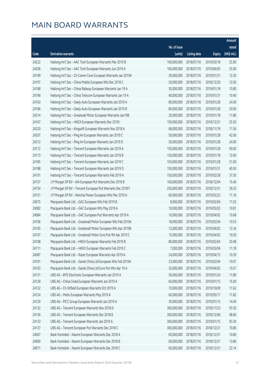|       |                                                              |              |                       |               | Amount      |
|-------|--------------------------------------------------------------|--------------|-----------------------|---------------|-------------|
|       |                                                              | No. of issue |                       |               | raised      |
| Code  | <b>Derivative warrants</b>                                   | (units)      | <b>Listing date</b>   | <b>Expiry</b> | (HK\$ mil.) |
| 24222 | Haitong Int'l Sec - AAC Tech European Warrants Mar 2019 B    | 100,000,000  | 2018/07/16            | 2019/03/18    | 25.00       |
| 24206 | Haitong Int'l Sec - AAC Tech European Warrants Jun 2019 A    | 100,000,000  | 2018/07/16            | 2019/06/05    | 25.00       |
| 24199 | Haitong Int'l Sec - Ch Comm Cons European Warrants Jan 2019A | 30,000,000   | 2018/07/16            | 2019/01/31    | 12.30       |
| 24197 | Haitong Int'l Sec - China Mobile European Wts Dec 2018 C     | 50,000,000   | 2018/07/16            | 2018/12/20    | 12.00       |
| 24168 | Haitong Int'l Sec - China Railway European Warrants Jan 19 A | 30,000,000   | 2018/07/16            | 2019/01/18    | 10.80       |
| 24196 | Haitong Int'l Sec - China Telecom European Warrants Jan 19 A | 40,000,000   | 2018/07/16            | 2019/01/31    | 10.40       |
| 24163 | Haitong Int'l Sec - Geely Auto European Warrants Jan 2019 A  | 80,000,000   | 2018/07/16            | 2019/01/28    | 24.00       |
| 24166 | Haitong Int'l Sec - Geely Auto European Warrants Jan 2019 B  | 80,000,000   | 2018/07/16            | 2019/01/28    | 20.00       |
| 24214 | Haitong Int'l Sec - Greatwall Motor European Warrants Jan19B | 20,000,000   | 2018/07/16            | 2019/01/18    | 11.80       |
| 24167 | Haitong Int'l Sec - HKEX European Warrants Dec 2018 I        | 150,000,000  | 2018/07/16            | 2018/12/31    | 25.50       |
| 24220 | Haitong Int'l Sec - Kingsoft European Warrants Nov 2018 A    | 68,000,000   | 2018/07/16            | 2018/11/19    | 11.56       |
| 24207 | Haitong Int'l Sec - Ping An European Warrants Jan 2019 C     | 50,000,000   | 2018/07/16            | 2019/01/28    | 42.00       |
| 24212 | Haitong Int'l Sec - Ping An European Warrants Jan 2019 D     | 50,000,000   | 2018/07/16            | 2019/01/28    | 24.00       |
| 24172 | Haitong Int'l Sec - Tencent European Warrants Jan 2019 A     | 150,000,000  | 2018/07/16            | 2019/01/28    | 90.00       |
| 24173 | Haitong Int'l Sec - Tencent European Warrants Jan 2019 B     | 150,000,000  | 2018/07/16            | 2019/01/18    | 72.00       |
| 24185 | Haitong Int'l Sec - Tencent European Warrants Jan 2019 C     | 150,000,000  | 2018/07/16            | 2019/01/28    | 51.00       |
| 24188 | Haitong Int'l Sec - Tencent European Warrants Jan 2019 D     | 150,000,000  | 2018/07/16            | 2019/01/31    | 40.50       |
| 24191 | Haitong Int'l Sec - Tencent European Warrants Feb 2019 A     | 150,000,000  | 2018/07/16            | 2019/02/28    | 37.50       |
| 24157 | J P Morgan SP BV - AIA European Put Warrants Dec 2018 B      | 100,000,000  | 2018/07/16            | 2018/12/04    | 15.40       |
| 24154 | J P Morgan SP BV - Tencent European Put Warrants Dec 2018 F  | 250,000,000  | 2018/07/16            | 2018/12/31    | 39.25       |
| 24151 | J P Morgan SP BV - Weichai Power European Wts Mar 2019 A     | 60,000,000   | 2018/07/16            | 2019/03/22    | 11.16       |
| 24075 | Macquarie Bank Ltd. - GAC European Wts Feb 2019 B            | 8,000,000    | 2018/07/16            | 2019/02/04    | 11.02       |
| 24082 | Macquarie Bank Ltd. - GAC European Wts May 2019 A            | 10,000,000   | 2018/07/16            | 2019/05/02    | 10.81       |
| 24084 | Macquarie Bank Ltd. - GAC European Put Warrants Apr 2019 A   | 10,000,000   | 2018/07/16            | 2019/04/02    | 10.68       |
| 24106 | Macquarie Bank Ltd. - Greatwall Motor European Wts Feb 2019A | 18,000,000   | 2018/07/16            | 2019/02/04    | 10.53       |
| 24105 | Macquarie Bank Ltd. - Greatwall Motor European Wts Apr 2019B | 12,000,000   | 2018/07/16            | 2019/04/02    | 12.34       |
| 24107 | Macquarie Bank Ltd. - Greatwall Motor Euro Put Wt Apr 2019 C |              | 15,000,000 2018/07/16 | 2019/04/02    | 10.50       |
| 24108 | Macquarie Bank Ltd. - HKEX European Warrants Feb 2019 B      | 80,000,000   | 2018/07/16            | 2019/02/04    | 20.48       |
| 24111 | Macquarie Bank Ltd. - HKEX European Warrants Feb 2019 C      | 7,000,000    | 2018/07/16            | 2019/02/04    | 11.18       |
| 24087 | Macquarie Bank Ltd. - Razer European Warrants Apr 2019 A     | 24,000,000   | 2018/07/16            | 2019/04/15    | 10.39       |
| 24101 | Macquarie Bank Ltd. - Sands China Ltd European Wts Feb 2019A | 23,000,000   | 2018/07/16            | 2019/02/04    | 10.07       |
| 24103 | Macquarie Bank Ltd. - Sands China Ltd Euro Put Wts Apr 19 A  | 35,000,000   | 2018/07/16            | 2019/04/02    | 10.57       |
| 24131 | UBS AG - BYD Electronic European Warrants Jan 2019 A         | 50,000,000   | 2018/07/16            | 2019/01/24    | 11.80       |
| 24128 | UBS AG - China Cinda European Warrants Jan 2019 A            | 60,000,000   | 2018/07/16            | 2019/01/15    | 15.00       |
| 24122 | UBS AG - Ch Oilfield European Warrants Oct 2019 A            | 70,000,000   | 2018/07/16            | 2019/10/09    | 11.62       |
| 24124 | UBS AG - Meitu European Warrants May 2019 A                  | 60,000,000   | 2018/07/16            | 2019/05/17    | 11.82       |
| 24129 | UBS AG - PICC Group European Warrants Jan 2019 A             | 30,000,000   | 2018/07/16            | 2019/01/15    | 14.04       |
| 24132 | UBS AG - Tencent European Warrants Nov 2018 D                | 300,000,000  | 2018/07/16            | 2018/11/23    | 93.30       |
| 24136 | UBS AG - Tencent European Warrants Dec 2018 B                | 300,000,000  | 2018/07/16            | 2018/12/06    | 48.60       |
| 24133 | UBS AG - Tencent European Warrants Jan 2019 A                | 300,000,000  | 2018/07/16            | 2019/01/15    | 93.30       |
| 24137 | UBS AG - Tencent European Put Warrants Dec 2018 C            | 300,000,000  | 2018/07/16            | 2018/12/21    | 70.80       |
| 24067 | Bank Vontobel - Xiaomi European Warrants Dec 2018 A          | 60,000,000   | 2018/07/16            | 2018/12/31    | 10.80       |
| 24069 | Bank Vontobel - Xiaomi European Warrants Dec 2018 B          | 60,000,000   | 2018/07/16            | 2018/12/31    | 13.86       |
| 24071 | Bank Vontobel - Xiaomi European Warrants Dec 2018 C          | 60,000,000   | 2018/07/16            | 2018/12/31    | 22.14       |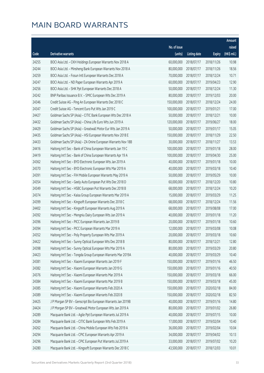|       |                                                              |              |                       |               | Amount      |
|-------|--------------------------------------------------------------|--------------|-----------------------|---------------|-------------|
|       |                                                              | No. of issue |                       |               | raised      |
| Code  | Derivative warrants                                          | (units)      | <b>Listing date</b>   | <b>Expiry</b> | (HK\$ mil.) |
| 24255 | BOCI Asia Ltd. - CKH Holdings European Warrants Nov 2018 A   | 60,000,000   | 2018/07/17            | 2018/11/26    | 10.98       |
| 24244 | BOCI Asia Ltd. - Minsheng Bank European Warrants Nov 2018 A  | 80,000,000   | 2018/07/17            | 2018/11/26    | 18.56       |
| 24259 | BOCI Asia Ltd. - Fosun Intl European Warrants Dec 2018 A     | 70,000,000   | 2018/07/17            | 2018/12/24    | 10.71       |
| 24247 | BOCI Asia Ltd. - ND Paper European Warrants Apr 2019 A       | 60,000,000   | 2018/07/17            | 2019/04/23    | 12.90       |
| 24256 | BOCI Asia Ltd. - SHK Ppt European Warrants Dec 2018 A        | 50,000,000   | 2018/07/17            | 2018/12/24    | 11.30       |
| 24242 | BNP Paribas Issuance B.V. - SMIC European Wts Dec 2019 A     | 80,000,000   | 2018/07/17            | 2019/12/03    | 20.00       |
| 24346 | Credit Suisse AG - Ping An European Warrants Dec 2018 C      | 150,000,000  | 2018/07/17            | 2018/12/24    | 24.00       |
| 24347 | Credit Suisse AG - Tencent Euro Put Wts Jan 2019 C           | 100,000,000  | 2018/07/17            | 2019/01/21    | 17.00       |
| 24427 | Goldman Sachs SP (Asia) - CITIC Bank European Wts Dec 2018 A | 50,000,000   | 2018/07/17            | 2018/12/21    | 10.00       |
| 24432 | Goldman Sachs SP (Asia) - China Life Euro Wts Jun 2019 A     | 120,000,000  | 2018/07/17            | 2019/06/27    | 18.00       |
| 24429 | Goldman Sachs SP (Asia) - Greatwall Motor Eur Wts Jan 2019 A | 50,000,000   | 2018/07/17            | 2019/01/17    | 15.05       |
| 24435 | Goldman Sachs SP (Asia) - HSI European Warrants Nov 2018 E   | 150,000,000  | 2018/07/17            | 2018/11/29    | 22.50       |
| 24433 | Goldman Sachs SP (Asia) - ZA Onine European Warrants Nov 18B | 30,000,000   | 2018/07/17            | 2018/11/27    | 13.53       |
| 24416 | Haitong Int'l Sec - Bank of China European Warrants Jan 19 C | 100,000,000  | 2018/07/17            | 2019/01/18    | 28.00       |
| 24419 | Haitong Int'l Sec - Bank of China European Warrants Apr 19 A | 100,000,000  | 2018/07/17            | 2019/04/30    | 25.00       |
| 24362 | Haitong Int'l Sec - BYD Electronic European Wts Jan 2019 A   | 40,000,000   | 2018/07/17            | 2019/01/18    | 10.00       |
| 24370 | Haitong Int'l Sec - BYD Electronic European Wts Mar 2019 A   | 40,000,000   | 2018/07/17            | 2019/03/18    | 10.40       |
| 24391 | Haitong Int'l Sec - FIH Mobile European Warrants May 2019 A  | 50,000,000   | 2018/07/17            | 2019/05/29    | 10.00       |
| 24354 | Haitong Int'l Sec - Geely Auto European Put Wts Dec 2018 D   | 60,000,000   | 2018/07/17            | 2018/12/20    | 10.80       |
| 24349 | Haitong Int'l Sec - HSBC European Put Warrants Dec 2018 B    | 68,000,000   | 2018/07/17            | 2018/12/24    | 10.20       |
| 24374 | Haitong Int'l Sec - Kaisa Group European Warrants Mar 2019 A | 15,000,000   | 2018/07/17            | 2019/03/29    | 11.25       |
| 24399 | Haitong Int'l Sec - Kingsoft European Warrants Dec 2018 C    | 68,000,000   | 2018/07/17            | 2018/12/24    | 11.56       |
| 24402 | Haitong Int'l Sec - Kingsoft European Warrants Aug 2019 A    | 68,000,000   | 2018/07/17            | 2019/08/08    | 17.00       |
| 24392 | Haitong Int'l Sec - Mengniu Dairy European Wts Jan 2019 A    | 40,000,000   | 2018/07/17            | 2019/01/18    | 11.20       |
| 24396 | Haitong Int'l Sec - PICC European Warrants Jan 2019 B        | 20,000,000   | 2018/07/17            | 2019/01/18    | 10.60       |
| 24394 | Haitong Int'l Sec - PICC European Warrants Mar 2019 A        | 12,000,000   | 2018/07/17            | 2019/03/08    | 10.08       |
| 24352 | Haitong Int'l Sec - Poly Property European Wts Mar 2019 A    |              | 20,000,000 2018/07/17 | 2019/03/18    | 10.60       |
| 24422 | Haitong Int'l Sec - Sunny Optical European Wts Dec 2018 B    | 80,000,000   | 2018/07/17            | 2018/12/21    | 12.80       |
| 24398 | Haitong Int'l Sec - Sunny Optical European Wts Mar 2019 A    | 80,000,000   | 2018/07/17            | 2019/03/29    | 20.80       |
| 24423 | Haitong Int'l Sec - Tongda Group European Warrants Mar 2019A | 40,000,000   | 2018/07/17            | 2019/03/29    | 10.40       |
| 24381 | Haitong Int'l Sec - Xiaomi European Warrants Jan 2019 F      | 150,000,000  | 2018/07/17            | 2019/01/16    | 46.50       |
| 24382 | Haitong Int'l Sec - Xiaomi European Warrants Jan 2019 G      | 150,000,000  | 2018/07/17            | 2019/01/16    | 40.50       |
| 24376 | Haitong Int'l Sec - Xiaomi European Warrants Mar 2019 A      | 150,000,000  | 2018/07/17            | 2019/03/18    | 66.00       |
| 24384 | Haitong Int'l Sec - Xiaomi European Warrants Mar 2019 B      | 150,000,000  | 2018/07/17            | 2019/03/18    | 45.00       |
| 24385 | Haitong Int'l Sec - Xiaomi European Warrants Feb 2020 A      | 150,000,000  | 2018/07/17            | 2020/02/18    | 84.00       |
| 24389 | Haitong Int'l Sec - Xiaomi European Warrants Feb 2020 B      | 150,000,000  | 2018/07/17            | 2020/02/18    | 82.50       |
| 24425 | J P Morgan SP BV - Genscript Bio European Warrants Jan 2019B | 40,000,000   | 2018/07/17            | 2019/01/16    | 14.80       |
| 24424 | J P Morgan SP BV - Greatwall Motor European Wts Jan 2019 A   | 80,000,000   | 2018/07/17            | 2019/01/02    | 26.80       |
| 24289 | Macquarie Bank Ltd. - Agile Ppt European Warrants Jul 2019 A | 40,000,000   | 2018/07/17            | 2019/07/15    | 10.00       |
| 24284 | Macquarie Bank Ltd. - CITIC Bank European Wts Feb 2019 A     | 17,000,000   | 2018/07/17            | 2019/02/04    | 10.40       |
| 24262 | Macquarie Bank Ltd. - China Mobile European Wts Feb 2019 A   | 36,000,000   | 2018/07/17            | 2019/02/04    | 10.04       |
| 24294 | Macquarie Bank Ltd. - CPIC European Warrants Apr 2019 A      | 34,000,000   | 2018/07/17            | 2019/04/02    | 10.13       |
| 24296 | Macquarie Bank Ltd. - CPIC European Put Warrants Jul 2019 A  | 33,000,000   | 2018/07/17            | 2019/07/02    | 10.20       |
| 24280 | Macquarie Bank Ltd. - Kingsoft European Warrants Dec 2018 C  | 43,500,000   | 2018/07/17            | 2018/12/03    | 10.01       |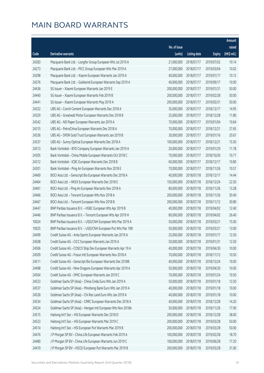|       |                                                              |              |                       |               | Amount      |
|-------|--------------------------------------------------------------|--------------|-----------------------|---------------|-------------|
|       |                                                              | No. of issue |                       |               | raised      |
| Code  | Derivative warrants                                          | (units)      | <b>Listing date</b>   | <b>Expiry</b> | (HK\$ mil.) |
| 24283 | Macquarie Bank Ltd. - Longfor Group European Wts Jul 2019 A  | 21,000,000   | 2018/07/17            | 2019/07/02    | 10.14       |
| 24273 | Macquarie Bank Ltd. - PICC Group European Wts Mar 2019 A     | 27,000,000   | 2018/07/17            | 2019/03/04    | 10.02       |
| 24298 | Macquarie Bank Ltd. - Xiaomi European Warrants Jan 2019 A    | 40,000,000   | 2018/07/17            | 2019/01/17    | 10.12       |
| 24276 | Macquarie Bank Ltd. - Goldwind European Warrants Sep 2019 A  | 40,000,000   | 2018/07/17            | 2019/09/17    | 10.00       |
| 24436 | SG Issuer - Xiaomi European Warrants Jan 2019 E              | 200,000,000  | 2018/07/17            | 2019/01/31    | 50.00       |
| 24440 | SG Issuer - Xiaomi European Warrants Feb 2019 B              | 200,000,000  | 2018/07/17            | 2019/02/28    | 50.00       |
| 24441 | SG Issuer - Xiaomi European Warrants May 2019 A              | 200,000,000  | 2018/07/17            | 2019/05/31    | 50.00       |
| 24322 | UBS AG - Conch Cement European Warrants Dec 2018 A           | 35,000,000   | 2018/07/17            | 2018/12/17    | 14.95       |
| 24329 | UBS AG - Greatwall Motor European Warrants Dec 2018 B        | 25,000,000   | 2018/07/17            | 2018/12/28    | 11.80       |
| 24342 | UBS AG - ND Paper European Warrants Jan 2019 A               | 70,000,000   | 2018/07/17            | 2019/01/04    | 10.64       |
| 24315 | UBS AG - PetroChina European Warrants Dec 2018 A             | 70,000,000   | 2018/07/17            | 2018/12/21    | 27.65       |
| 24336 | UBS AG - SPDR Gold Trust European Warrants Jan 2019 B        | 30,000,000   | 2018/07/17            | 2019/01/16    | 20.67       |
| 24337 | UBS AG - Sunny Optical European Warrants Dec 2018 A          | 100,000,000  | 2018/07/17            | 2018/12/21    | 15.50       |
| 24313 | Bank Vontobel - BYD Company European Warrants Jan 2019 A     | 20,000,000   | 2018/07/17            | 2019/01/29    | 11.78       |
| 24305 | Bank Vontobel - China Mobile European Warrants Oct 2018 C    | 70,000,000   | 2018/07/17            | 2018/10/26    | 10.71       |
| 24312 | Bank Vontobel - ICBC European Warrants Dec 2018 B            | 60,000,000   | 2018/07/17            | 2018/12/17    | 10.80       |
| 24301 | Bank Vontobel - Ping An European Warrants Nov 2018 E         | 70,000,000   | 2018/07/17            | 2018/11/26    | 10.57       |
| 24469 | BOCI Asia Ltd. - Genscript Bio European Warrants Dec 2018 A  | 40,000,000   | 2018/07/18            | 2018/12/17    | 14.44       |
| 24464 | BOCI Asia Ltd. - HKEX European Warrants Dec 2018 E           | 150,000,000  | 2018/07/18            | 2018/12/24    | 22.50       |
| 24461 | BOCI Asia Ltd. - Ping An European Warrants Nov 2018 A        | 80,000,000   | 2018/07/18            | 2018/11/26    | 13.28       |
| 24466 | BOCI Asia Ltd. - Tencent European Wts Nov 2018 A             | 200,000,000  | 2018/07/18            | 2018/11/26    | 30.40       |
| 24467 | BOCI Asia Ltd. - Tencent European Wts Nov 2018 B             | 200,000,000  | 2018/07/18            | 2018/11/12    | 30.80       |
| 24447 | BNP Paribas Issuance B.V. - HSBC European Wts Apr 2019 B     | 40,000,000   | 2018/07/18            | 2019/04/02    | 12.40       |
| 24446 | BNP Paribas Issuance B.V. - Tencent European Wts Apr 2019 H  | 80,000,000   | 2018/07/18            | 2019/04/02    | 26.40       |
| 10024 | BNP Paribas Issuance B.V. - USD/CNH European Wts Mar 2019 A  | 50,000,000   | 2018/07/18            | 2019/03/21    | 15.00       |
| 10025 | BNP Paribas Issuance B.V. - USD/CNH European Put Wts Mar 19B | 50,000,000   | 2018/07/18            | 2019/03/21    | 13.00       |
| 24499 | Credit Suisse AG - Anta Sports European Warrants Jan 2019 A  |              | 25,000,000 2018/07/18 | 2019/01/17    | 12.50       |
| 24508 | Credit Suisse AG - CICC European Warrants Jan 2019 A         | 50,000,000   | 2018/07/18            | 2019/01/31    | 12.50       |
| 24506 | Credit Suisse AG - COSCO Ship Dev European Warrants Apr 19 A | 40,000,000   | 2018/07/18            | 2019/04/30    | 10.00       |
| 24509 | Credit Suisse AG - Fosun Intl European Warrants Nov 2018 A   | 70,000,000   | 2018/07/18            | 2018/11/12    | 10.50       |
| 24511 | Credit Suisse AG - Genscript Bio European Warrants Dec 2018B | 40,000,000   | 2018/07/18            | 2018/12/24    | 10.00       |
| 24498 | Credit Suisse AG - Nine Dragons European Warrants Apr 2019 A | 50,000,000   | 2018/07/18            | 2019/04/30    | 10.00       |
| 24504 | Credit Suisse AG - SMIC European Warrants Jan 2019 C         | 70,000,000   | 2018/07/18            | 2019/01/24    | 10.50       |
| 24533 | Goldman Sachs SP (Asia) - China Cinda Euro Wts Jan 2019 A    | 50,000,000   | 2018/07/18            | 2019/01/18    | 12.50       |
| 24537 | Goldman Sachs SP (Asia) - Minsheng Bank Euro Wts Jan 2019 A  | 40,000,000   | 2018/07/18            | 2019/01/18    | 10.00       |
| 24528 | Goldman Sachs SP (Asia) - Chi Res Land Euro Wts Jan 2019 A   | 40,000,000   | 2018/07/18            | 2019/01/18    | 10.00       |
| 24534 | Goldman Sachs SP (Asia) - CRRC European Warrants Dec 2018 A  | 40,000,000   | 2018/07/18            | 2018/12/28    | 14.20       |
| 24524 | Goldman Sachs SP (Asia) - Hengan Intl European Wts Nov 2018A | 50,000,000   | 2018/07/18            | 2018/11/26    | 17.00       |
| 24515 | Haitong Int'l Sec - HSI European Warrants Dec 2018 D         | 200,000,000  | 2018/07/18            | 2018/12/28    | 38.00       |
| 24523 | Haitong Int'l Sec - HSI European Warrants Mar 2019 C         | 200,000,000  | 2018/07/18            | 2019/03/28    | 50.00       |
| 24514 | Haitong Int'l Sec - HSI European Put Warrants Mar 2019 B     | 200,000,000  | 2018/07/18            | 2019/03/28    | 50.00       |
| 24476 | J P Morgan SP BV - China Life European Warrants Feb 2019 A   | 100,000,000  | 2018/07/18            | 2019/02/28    | 18.70       |
| 24480 | J P Morgan SP BV - China Life European Warrants Jun 2019 C   | 100,000,000  | 2018/07/18            | 2019/06/28    | 17.20       |
| 24470 | J P Morgan SP BV - HSCEI European Put Warrants Mar 2019 B    | 200,000,000  | 2018/07/18            | 2019/03/28    | 31.00       |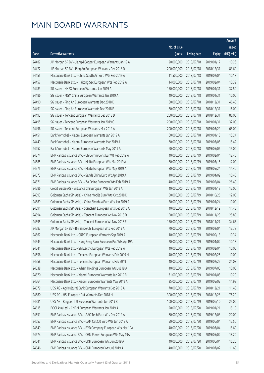|       |                                                              |              |                       |               | Amount      |
|-------|--------------------------------------------------------------|--------------|-----------------------|---------------|-------------|
|       |                                                              | No. of issue |                       |               | raised      |
| Code  | Derivative warrants                                          | (units)      | <b>Listing date</b>   | <b>Expiry</b> | (HK\$ mil.) |
| 24482 | J P Morgan SP BV - Jiangxi Copper European Warrants Jan 19 A | 20,000,000   | 2018/07/18            | 2019/01/17    | 10.26       |
| 24472 | J P Morgan SP BV - Ping An European Warrants Dec 2018 D      | 200,000,000  | 2018/07/18            | 2018/12/31    | 83.60       |
| 24455 | Macquarie Bank Ltd. - China South Air Euro Wts Feb 2019 A    | 11,500,000   | 2018/07/18            | 2019/02/04    | 10.17       |
| 24457 | Macquarie Bank Ltd. - Haitong Sec European Wts Feb 2019 A    | 14,000,000   | 2018/07/18            | 2019/02/04    | 10.39       |
| 24483 | SG Issuer - HKEX European Warrants Jan 2019 A                | 150,000,000  | 2018/07/18            | 2019/01/31    | 37.50       |
| 24486 | SG Issuer - MGM China European Warrants Jan 2019 A           | 40,000,000   | 2018/07/18            | 2019/01/31    | 10.00       |
| 24490 | SG Issuer - Ping An European Warrants Dec 2018 D             | 80,000,000   | 2018/07/18            | 2018/12/31    | 46.40       |
| 24491 | SG Issuer - Ping An European Warrants Dec 2018 E             | 80,000,000   | 2018/07/18            | 2018/12/31    | 16.00       |
| 24493 | SG Issuer - Tencent European Warrants Dec 2018 D             | 200,000,000  | 2018/07/18            | 2018/12/31    | 86.00       |
| 24495 | SG Issuer - Tencent European Warrants Jan 2019 C             | 200,000,000  | 2018/07/18            | 2019/01/31    | 32.00       |
| 24496 | SG Issuer - Tencent European Warrants Mar 2019 A             | 200,000,000  | 2018/07/18            | 2019/03/29    | 65.00       |
| 24451 | Bank Vontobel - Xiaomi European Warrants Jan 2019 A          | 60,000,000   | 2018/07/18            | 2019/01/18    | 15.24       |
| 24449 | Bank Vontobel - Xiaomi European Warrants Mar 2019 A          | 60,000,000   | 2018/07/18            | 2019/03/05    | 15.42       |
| 24452 | Bank Vontobel - Xiaomi European Warrants May 2019 A          | 60,000,000   | 2018/07/18            | 2019/05/06    | 15.00       |
| 24574 | BNP Paribas Issuance B.V. - Ch Comm Cons Eur Wt Feb 2019 A   | 40,000,000   | 2018/07/19            | 2019/02/04    | 12.40       |
| 24585 | BNP Paribas Issuance B.V. - Meitu European Wts Mar 2019 A    | 80,000,000   | 2018/07/19            | 2019/03/15    | 12.00       |
| 24575 | BNP Paribas Issuance B.V. - Meitu European Wts May 2019 A    | 80,000,000   | 2018/07/19            | 2019/05/24    | 14.40       |
| 24573 | BNP Paribas Issuance B.V. - Sands China Euro Wt Apr 2019 A   | 40,000,000   | 2018/07/19            | 2019/04/02    | 10.40       |
| 24571 | BNP Paribas Issuance B.V. - ZA Onine European Wts Feb 2019 A | 40,000,000   | 2018/07/19            | 2019/02/04    | 26.40       |
| 24586 | Credit Suisse AG - Brilliance Chi European Wts Jan 2019 A    | 40,000,000   | 2018/07/19            | 2019/01/18    | 12.00       |
| 24593 | Goldman Sachs SP (Asia) - China Mobile Euro Wts Oct 2018 D   | 80,000,000   | 2018/07/19            | 2018/10/26    | 12.00       |
| 24589 | Goldman Sachs SP (Asia) - China Shenhua Euro Wts Jan 2019 A  | 50,000,000   | 2018/07/19            | 2019/01/24    | 10.00       |
| 24591 | Goldman Sachs SP (Asia) - Stanchart European Wts Dec 2018 A  | 40,000,000   | 2018/07/19            | 2018/12/19    | 11.48       |
| 24594 | Goldman Sachs SP (Asia) - Tencent European Wt Nov 2018 D     | 150,000,000  | 2018/07/19            | 2018/11/23    | 25.80       |
| 24595 | Goldman Sachs SP (Asia) - Tencent European Wt Nov 2018 E     | 150,000,000  | 2018/07/19            | 2018/11/27    | 34.65       |
| 24587 | J P Morgan SP BV - Brilliance Chi European Wts Feb 2019 A    | 70,000,000   | 2018/07/19            | 2019/02/04    | 17.78       |
| 24567 | Macquarie Bank Ltd. - CRRC European Warrants Sep 2019 A      |              | 10,000,000 2018/07/19 | 2019/09/13    | 10.34       |
| 24543 | Macquarie Bank Ltd. - Hang Seng Bank European Put Wts Apr19A | 20,000,000   | 2018/07/19            | 2019/04/02    | 10.18       |
| 24541 | Macquarie Bank Ltd. - Sh Electric European Wts Feb 2019 A    | 40,000,000   | 2018/07/19            | 2019/02/04    | 10.00       |
| 24556 | Macquarie Bank Ltd. - Tencent European Warrants Feb 2019 H   | 40,000,000   | 2018/07/19            | 2019/02/25    | 10.00       |
| 24558 | Macquarie Bank Ltd. - Tencent European Warrants Feb 2019 I   | 40,000,000   | 2018/07/19            | 2019/02/25    | 24.08       |
| 24538 | Macquarie Bank Ltd. - Wharf Holdings European Wts Jul 19 A   | 40,000,000   | 2018/07/19            | 2019/07/03    | 10.00       |
| 24570 | Macquarie Bank Ltd. - Xiaomi European Warrants Jan 2019 B    | 31,000,000   | 2018/07/19            | 2019/01/08    | 10.20       |
| 24564 | Macquarie Bank Ltd. - Xiaomi European Warrants May 2019 A    | 25,000,000   | 2018/07/19            | 2019/05/02    | 11.98       |
| 24579 | UBS AG - Agricultural Bank European Warrants Dec 2018 A      | 70,000,000   | 2018/07/19            | 2018/12/21    | 11.48       |
| 24580 | UBS AG - HSI European Put Warrants Dec 2018 H                | 300,000,000  | 2018/07/19            | 2018/12/28    | 76.20       |
| 24581 | UBS AG - Kingdee Intl European Warrants Jun 2019 B           | 100,000,000  | 2018/07/19            | 2019/06/10    | 25.00       |
| 24615 | BOCI Asia Ltd. - CNBM European Warrants Jan 2019 A           | 20,000,000   | 2018/07/20            | 2019/01/21    | 15.10       |
| 24651 | BNP Paribas Issuance B.V. - AAC Tech Euro Wts Dec 2019 A     | 80,000,000   | 2018/07/20            | 2019/12/03    | 20.00       |
| 24657 | BNP Paribas Issuance B.V. - CAM CSI300 Euro Wts Jun 2019 A   | 50,000,000   | 2018/07/20            | 2019/06/04    | 12.50       |
| 24649 | BNP Paribas Issuance B.V. - BYD Company European Wts Mar 19A | 40,000,000   | 2018/07/20            | 2019/03/04    | 15.60       |
| 24674 | BNP Paribas Issuance B.V. - CGN Power European Wts May 19A   | 70,000,000   | 2018/07/20            | 2019/05/02    | 18.20       |
| 24641 | BNP Paribas Issuance B.V. - CKH European Wts Jun 2019 A      | 40,000,000   | 2018/07/20            | 2019/06/04    | 15.20       |
| 24646 | BNP Paribas Issuance B.V. - CKH European Wts Jul 2019 A      | 40,000,000   | 2018/07/20            | 2019/07/02    | 11.60       |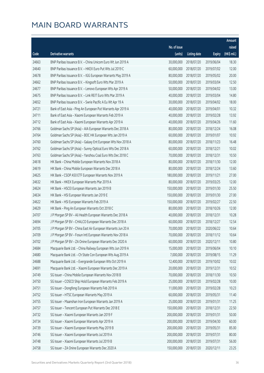|       |                                                              |              |                       |               | Amount      |
|-------|--------------------------------------------------------------|--------------|-----------------------|---------------|-------------|
|       |                                                              | No. of issue |                       |               | raised      |
| Code  | Derivative warrants                                          | (units)      | <b>Listing date</b>   | <b>Expiry</b> | (HK\$ mil.) |
| 24663 | BNP Paribas Issuance B.V. - China Unicom Euro Wt Jun 2019 A  | 30,000,000   | 2018/07/20            | 2019/06/04    | 18.30       |
| 24640 | BNP Paribas Issuance B.V. - HKEX Euro Put Wts Jul 2019 C     | 60,000,000   | 2018/07/20            | 2019/07/02    | 12.00       |
| 24678 | BNP Paribas Issuance B.V. - IGG European Warrants May 2019 A | 80,000,000   | 2018/07/20            | 2019/05/02    | 20.00       |
| 24662 | BNP Paribas Issuance B.V. - Kingsoft Euro Wts Mar 2019 A     | 50,000,000   | 2018/07/20            | 2019/03/04    | 12.50       |
| 24677 | BNP Paribas Issuance B.V. - Lenovo European Wts Apr 2019 A   | 50,000,000   | 2018/07/20            | 2019/04/02    | 13.00       |
| 24675 | BNP Paribas Issuance B.V. - Link REIT Euro Wts Mar 2019 A    | 40,000,000   | 2018/07/20            | 2019/03/04    | 14.80       |
| 24652 | BNP Paribas Issuance B.V. - Swrie Pacific A Eu Wt Apr 19 A   | 30,000,000   | 2018/07/20            | 2019/04/02    | 18.00       |
| 24721 | Bank of East Asia - Ping An European Put Warrants Apr 2019 A | 40,000,000   | 2018/07/20            | 2019/04/01    | 10.32       |
| 24711 | Bank of East Asia - Xiaomi European Warrants Feb 2019 A      | 40,000,000   | 2018/07/20            | 2019/02/28    | 13.92       |
| 24712 | Bank of East Asia - Xiaomi European Warrants Apr 2019 A      | 40,000,000   | 2018/07/20            | 2019/04/26    | 11.60       |
| 24766 | Goldman Sachs SP (Asia) - AIA European Warrants Dec 2018 A   | 80,000,000   | 2018/07/20            | 2018/12/24    | 16.08       |
| 24764 | Goldman Sachs SP (Asia) - BOC HK European Wts Jan 2019 A     | 60,000,000   | 2018/07/20            | 2019/01/07    | 10.92       |
| 24760 | Goldman Sachs SP (Asia) - Galaxy Ent European Wts Nov 2018 A | 80,000,000   | 2018/07/20            | 2018/11/23    | 16.48       |
| 24762 | Goldman Sachs SP (Asia) - Sunny Optical Euro Wts Dec 2018 A  | 60,000,000   | 2018/07/20            | 2018/12/21    | 10.02       |
| 24763 | Goldman Sachs SP (Asia) - Yanzhou Coal Euro Wts Dec 2018 C   | 70,000,000   | 2018/07/20            | 2018/12/31    | 10.50       |
| 24618 | HK Bank - China Mobile European Warrants Nov 2018 A          | 80,000,000   | 2018/07/20            | 2018/11/30    | 12.00       |
| 24619 | HK Bank - China Mobile European Warrants Dec 2018 A          | 80,000,000   | 2018/07/20            | 2018/12/24    | 13.60       |
| 24625 | HK Bank - CSOP A50 ETF European Warrants Nov 2019 A          | 180,000,000  | 2018/07/20            | 2019/11/21    | 27.00       |
| 24632 | HK Bank - HKEX European Warrants Mar 2019 A                  | 80,000,000   | 2018/07/20            | 2019/03/25    | 12.00       |
| 24624 | HK Bank - HSCEI European Warrants Jan 2019 B                 | 150,000,000  | 2018/07/20            | 2019/01/30    | 25.50       |
| 24634 | HK Bank - HSI European Warrants Jan 2019 E                   | 150,000,000  | 2018/07/20            | 2019/01/30    | 27.00       |
| 24622 | HK Bank - HSI European Warrants Feb 2019 A                   | 150,000,000  | 2018/07/20            | 2019/02/27    | 22.50       |
| 24629 | HK Bank - Ping An European Warrants Oct 2018 C               | 80,000,000   | 2018/07/20            | 2018/10/26    | 12.00       |
| 24707 | J P Morgan SP BV - Ali Health European Warrants Dec 2018 A   | 40,000,000   | 2018/07/20            | 2018/12/31    | 10.28       |
| 24694 | J P Morgan SP BV - CHALCO European Warrants Dec 2018 A       | 60,000,000   | 2018/07/20            | 2018/12/27    | 12.54       |
| 24705 | J P Morgan SP BV - China East Air European Warrants Jun 20 A | 70,000,000   | 2018/07/20            | 2020/06/22    | 10.64       |
| 24709 | J P Morgan SP BV - Fosun Intl European Warrants Nov 2018 A   |              | 70,000,000 2018/07/20 | 2018/11/12    | 10.64       |
| 24702 | J P Morgan SP BV - ZA Onine European Warrants Dec 2020 A     | 60,000,000   | 2018/07/20            | 2020/12/11    | 10.80       |
| 24684 | Macquarie Bank Ltd. - China Railway European Wts Jun 2019 A  | 15,000,000   | 2018/07/20            | 2019/06/04    | 10.10       |
| 24680 | Macquarie Bank Ltd. - Ch State Con European Wts Aug 2019 A   | 7,000,000    | 2018/07/20            | 2019/08/15    | 11.29       |
| 24688 | Macquarie Bank Ltd. - Evergrande European Wts Oct 2019 A     | 12,400,000   | 2018/07/20            | 2019/10/02    | 10.02       |
| 24691 | Macquarie Bank Ltd. - Xiaomi European Warrants Dec 2019 A    | 20,000,000   | 2018/07/20            | 2019/12/31    | 10.52       |
| 24749 | SG Issuer - China Mobile European Warrants Nov 2018 B        | 70,000,000   | 2018/07/20            | 2018/11/30    | 10.50       |
| 24750 | SG Issuer - COSCO Ship Hold European Warrants Feb 2019 A     | 25,000,000   | 2018/07/20            | 2019/02/28    | 10.00       |
| 24751 | SG Issuer - Dongfeng European Warrants Feb 2019 A            | 11,000,000   | 2018/07/20            | 2019/02/28    | 10.23       |
| 24752 | SG Issuer - HTSC European Warrants May 2019 A                | 60,000,000   | 2018/07/20            | 2019/05/31    | 11.40       |
| 24755 | SG Issuer - Maanshan Iron European Warrants Jan 2019 A       | 25,000,000   | 2018/07/20            | 2019/01/31    | 11.25       |
| 24757 | SG Issuer - Tencent European Put Warrants Dec 2018 E         | 150,000,000  | 2018/07/20            | 2018/12/31    | 22.50       |
| 24732 | SG Issuer - Xiaomi European Warrants Jan 2019 F              | 200,000,000  | 2018/07/20            | 2019/01/31    | 50.00       |
| 24734 | SG Issuer - Xiaomi European Warrants Apr 2019 A              | 200,000,000  | 2018/07/20            | 2019/04/30    | 60.00       |
| 24739 | SG Issuer - Xiaomi European Warrants May 2019 B              | 200,000,000  | 2018/07/20            | 2019/05/31    | 85.00       |
| 24746 | SG Issuer - Xiaomi European Warrants Jul 2019 A              | 200,000,000  | 2018/07/20            | 2019/07/31    | 80.00       |
| 24748 | SG Issuer - Xiaomi European Warrants Jul 2019 B              | 200,000,000  | 2018/07/20            | 2019/07/31    | 56.00       |
| 24758 | SG Issuer - ZA Onine European Warrants Dec 2020 A            | 150,000,000  | 2018/07/20            | 2020/12/11    | 23.25       |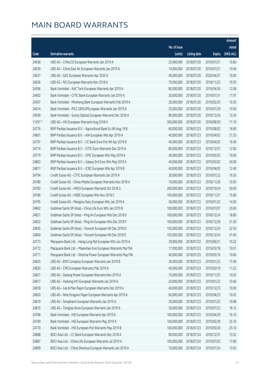|         |                                                              |                        |                     |               | Amount      |
|---------|--------------------------------------------------------------|------------------------|---------------------|---------------|-------------|
|         |                                                              | No. of issue           |                     |               | raised      |
| Code    | <b>Derivative warrants</b>                                   | (units)                | <b>Listing date</b> | <b>Expiry</b> | (HK\$ mil.) |
| 24638   | UBS AG - CHALCO European Warrants Jan 2019 A                 | 25,000,000             | 2018/07/20          | 2019/01/21    | 10.60       |
| 24639   | UBS AG - China East Air European Warrants Jan 2019 A         | 14,000,000             | 2018/07/20          | 2019/01/21    | 10.46       |
| 24637   | UBS AG - GAC European Warrants Apr 2020 A                    | 40,000,000             | 2018/07/20          | 2020/04/27    | 10.00       |
| 24636   | UBS AG - NCI European Warrants Nov 2018 A                    | 70,000,000             | 2018/07/20          | 2018/11/23    | 10.50       |
| 24596   | Bank Vontobel - AAC Tech European Warrants Apr 2019 A        | 80,000,000             | 2018/07/20          | 2019/04/30    | 12.08       |
| 24602   | Bank Vontobel - CITIC Bank European Warrants Jan 2019 A      | 30,000,000             | 2018/07/20          | 2019/01/31    | 11.97       |
| 24597   | Bank Vontobel - Minsheng Bank European Warrants Feb 2019 A   | 20,000,000             | 2018/07/20          | 2019/02/25    | 10.20       |
| 24614   | Bank Vontobel - PICC GROUPEuropean Warrants Jan 2019 A       | 35,000,000             | 2018/07/20          | 2019/01/29    | 10.50       |
| 24599   | Bank Vontobel - Sunny Optical European Warrants Dec 2018 A   | 80,000,000             | 2018/07/20          | 2018/12/24    | 12.24       |
| 11291 # | UBS AG - HSI European Warrants Aug 2018 H                    | 300,000,000            | 2018/07/20          | 2018/08/30    | 11.10       |
| 24776   | BNP Paribas Issuance B.V. - Agricultural Bank Eu Wt Aug 19 B | 60,000,000             | 2018/07/23          | 2019/08/02    | 16.80       |
| 24801   | BNP Paribas Issuance B.V. - AIA European Wts Apr 2019 A      | 40,000,000             | 2018/07/23          | 2019/04/02    | 21.20       |
| 24797   | BNP Paribas Issuance B.V. - CC Bank Euro Put Wt Apr 2019 B   | 40,000,000             | 2018/07/23          | 2019/04/02    | 16.40       |
| 24774   | BNP Paribas Issuance B.V. - CITIC Euro Warrants Dec 2019 A   | 80,000,000             | 2018/07/23          | 2019/12/31    | 12.00       |
| 24779   | BNP Paribas Issuance B.V. - CPIC European Wts May 2019 A     | 40,000,000             | 2018/07/23          | 2019/05/02    | 10.00       |
| 24803   | BNP Paribas Issuance B.V. - Galaxy Ent Euro Wts May 2019 A   | 40,000,000             | 2018/07/23          | 2019/05/02    | 24.00       |
| 24811   | BNP Paribas Issuance B.V. - ICBC European Wts Apr 2019 B     | 40,000,000             | 2018/07/23          | 2019/04/02    | 12.40       |
| 24794   | Credit Suisse AG - CITIC European Warrants Jan 2019 A        | 30,000,000             | 2018/07/23          | 2019/01/22    | 19.20       |
| 24780   | Credit Suisse AG - China Mobile European Warrants Nov 2018 A | 70,000,000             | 2018/07/23          | 2018/11/26    | 10.50       |
| 24783   | Credit Suisse AG - HKEX European Warrants Oct 2018 G         | 200,000,000            | 2018/07/23          | 2018/10/24    | 30.00       |
| 24786   | Credit Suisse AG - HSBC European Wts Nov 2018 C              | 100,000,000            | 2018/07/23          | 2018/11/27    | 15.00       |
| 24795   | Credit Suisse AG - Mengniu Dairy European Wts Jan 2019 A     | 50,000,000             | 2018/07/23          | 2019/01/22    | 14.00       |
| 24842   | Goldman Sachs SP (Asia) - China Life Euro Wts Jan 2019 B     | 100,000,000            | 2018/07/23          | 2019/01/07    | 20.00       |
| 24831   | Goldman Sachs SP (Asia) - Ping An European Wts Dec 2018 E    | 100,000,000            | 2018/07/23          | 2018/12/24    | 18.80       |
| 24832   | Goldman Sachs SP (Asia) - Ping An European Wts Dec 2018 F    | 100,000,000            | 2018/07/23          | 2018/12/28    | 31.50       |
| 24835   | Goldman Sachs SP (Asia) - Tencent European Wt Dec 2018 D     | 150,000,000            | 2018/07/23          | 2018/12/24    | 22.50       |
| 24840   | Goldman Sachs SP (Asia) - Tencent European Wt Dec 2018 E     | 150,000,000 2018/07/23 |                     | 2018/12/24    | 41.40       |
| 24773   | Macquarie Bank Ltd. - Hang Lung Ppt European Wts Jun 2019 A  | 39,000,000             | 2018/07/23          | 2019/06/21    | 10.22       |
| 24772   | Macquarie Bank Ltd. - Maanshan Iron European Warrants Mar19A | 17,000,000             | 2018/07/23          | 2019/03/18    | 10.01       |
| 24771   | Macquarie Bank Ltd. - Weichai Power European Warrants May19A | 40,000,000             | 2018/07/23          | 2019/05/16    | 10.00       |
| 24825   | UBS AG - BYD Company European Warrants Jan 2019 B            | 30,000,000             | 2018/07/23          | 2019/01/22    | 17.46       |
| 24820   | UBS AG - CMS European Warrants Mar 2019 A                    | 40,000,000             | 2018/07/23          | 2019/03/19    | 11.52       |
| 24821   | UBS AG - Datang Power European Warrants Nov 2019 A           | 15,000,000             | 2018/07/23          | 2019/11/25    | 10.02       |
| 24817   | UBS AG - Haitong Int'l European Warrants Jan 2019 A          | 20,000,000             | 2018/07/23          | 2019/01/22    | 10.46       |
| 24818   | UBS AG - Lee & Man Paper European Warrants Dec 2019 A        | 40,000,000             | 2018/07/23          | 2019/12/23    | 10.00       |
| 24830   | UBS AG - Nine Dragons Paper European Warrants Apr 2019 A     | 60,000,000             | 2018/07/23          | 2019/04/23    | 10.02       |
| 24819   | UBS AG - Sinopharm European Warrants Jan 2019 A              | 20,000,000             | 2018/07/23          | 2019/01/22    | 10.08       |
| 24815   | UBS AG - Tsingtao Brew European Warrants Jan 2019 A          | 30,000,000             | 2018/07/23          | 2019/01/22    | 18.15       |
| 24768   | Bank Vontobel - HSI European Warrants Apr 2019 A             | 100,000,000            | 2018/07/23          | 2019/04/29    | 16.10       |
| 24769   | Bank Vontobel - HSI European Warrants May 2019 A             | 100,000,000            | 2018/07/23          | 2019/05/30    | 25.10       |
| 24770   | Bank Vontobel - HSI European Put Warrants May 2019 B         | 100,000,000            | 2018/07/23          | 2019/05/30    | 25.10       |
| 24888   | BOCI Asia Ltd. - CC Bank European Warrants Dec 2018 A        | 80,000,000             | 2018/07/24          | 2018/12/31    | 13.52       |
| 24887   | BOCI Asia Ltd. - China Life European Warrants Jul 2019 A     | 100,000,000            | 2018/07/24          | 2019/07/02    | 17.80       |
| 24899   | BOCI Asia Ltd. - China Shenhua European Warrants Jan 2019 A  | 70,000,000             | 2018/07/24          | 2019/01/24    | 13.65       |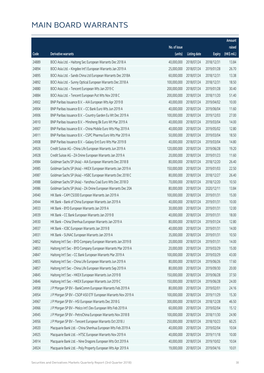|       |                                                              |              |                       |               | Amount      |
|-------|--------------------------------------------------------------|--------------|-----------------------|---------------|-------------|
|       |                                                              | No. of issue |                       |               | raised      |
| Code  | <b>Derivative warrants</b>                                   | (units)      | <b>Listing date</b>   | <b>Expiry</b> | (HK\$ mil.) |
| 24889 | BOCI Asia Ltd. - Haitong Sec European Warrants Dec 2018 A    | 40,000,000   | 2018/07/24            | 2018/12/31    | 13.84       |
| 24894 | BOCI Asia Ltd. - Kingdee Int'l European Warrants Jan 2019 A  | 25,000,000   | 2018/07/24            | 2019/01/28    | 26.70       |
| 24895 | BOCI Asia Ltd. - Sands China Ltd European Warrants Dec 2018A | 60,000,000   | 2018/07/24            | 2018/12/31    | 13.38       |
| 24892 | BOCI Asia Ltd. - Sunny Optical European Warrants Dec 2018 A  | 100,000,000  | 2018/07/24            | 2018/12/31    | 18.50       |
| 24880 | BOCI Asia Ltd. - Tencent European Wts Jan 2019 C             | 200,000,000  | 2018/07/24            | 2019/01/28    | 30.40       |
| 24884 | BOCI Asia Ltd. - Tencent European Put Wts Nov 2018 C         | 200,000,000  | 2018/07/24            | 2018/11/20    | 51.40       |
| 24902 | BNP Paribas Issuance B.V. - AIA European Wts Apr 2019 B      | 40,000,000   | 2018/07/24            | 2019/04/02    | 10.00       |
| 24904 | BNP Paribas Issuance B.V. - CC Bank Euro Wts Jun 2019 A      | 40,000,000   | 2018/07/24            | 2019/06/04    | 11.60       |
| 24906 | BNP Paribas Issuance B.V. - Country Garden Eu Wt Dec 2019 A  | 100,000,000  | 2018/07/24            | 2019/12/03    | 27.00       |
| 24910 | BNP Paribas Issuance B.V. - Minsheng Bk Euro Wt Mar 2019 A   | 40,000,000   | 2018/07/24            | 2019/03/04    | 14.00       |
| 24907 | BNP Paribas Issuance B.V. - China Mobile Euro Wts May 2019 A | 40,000,000   | 2018/07/24            | 2019/05/02    | 12.80       |
| 24911 | BNP Paribas Issuance B.V. - CSPC Pharma Euro Wts Mar 2019 A  | 50,000,000   | 2018/07/24            | 2019/03/04    | 18.50       |
| 24908 | BNP Paribas Issuance B.V. - Galaxy Ent Euro Wts Mar 2019 B   | 40,000,000   | 2018/07/24            | 2019/03/04    | 14.80       |
| 24926 | Credit Suisse AG - China Life European Warrants Jun 2019 A   | 120,000,000  | 2018/07/24            | 2019/06/28    | 19.20       |
| 24928 | Credit Suisse AG - ZA Onine European Warrants Jan 2019 A     | 20,000,000   | 2018/07/24            | 2019/01/23    | 11.60       |
| 24984 | Goldman Sachs SP (Asia) - AIA European Warrants Dec 2018 B   | 80,000,000   | 2018/07/24            | 2018/12/20    | 26.40       |
| 24985 | Goldman Sachs SP (Asia) - HKEX European Warrants Jan 2019 A  | 150,000,000  | 2018/07/24            | 2019/01/03    | 22.50       |
| 24987 | Goldman Sachs SP (Asia) - HSBC European Warrants Dec 2018 C  | 80,000,000   | 2018/07/24            | 2018/12/27    | 26.40       |
| 24988 | Goldman Sachs SP (Asia) - Yanzhou Coal Euro Wts Dec 2018 D   | 70,000,000   | 2018/07/24            | 2018/12/20    | 10.50       |
| 24986 | Goldman Sachs SP (Asia) - ZA Onine European Warrants Dec 20A | 80,000,000   | 2018/07/24            | 2020/12/11    | 13.84       |
| 24940 | HK Bank - CAM CSI300 European Warrants Jan 2019 A            | 100,000,000  | 2018/07/24            | 2019/01/31    | 15.00       |
| 24944 | HK Bank - Bank of China European Warrants Jan 2019 A         | 40,000,000   | 2018/07/24            | 2019/01/31    | 10.00       |
| 24933 | HK Bank - BYD European Warrants Jan 2019 A                   | 30,000,000   | 2018/07/24            | 2019/01/31    | 12.00       |
| 24939 | HK Bank - CC Bank European Warrants Jan 2019 B               | 40,000,000   | 2018/07/24            | 2019/01/31    | 18.00       |
| 24930 | HK Bank - China Shenhua European Warrants Jan 2019 A         | 80,000,000   | 2018/07/24            | 2019/01/24    | 12.80       |
| 24937 | HK Bank - ICBC European Warrants Jan 2019 B                  | 40,000,000   | 2018/07/24            | 2019/01/31    | 14.00       |
| 24931 | HK Bank - SUNAC European Warrants Jan 2019 A                 |              | 35,000,000 2018/07/24 | 2019/01/31    | 10.50       |
| 24852 | Haitong Int'l Sec - BYD Company European Warrants Jan 2019 B | 20,000,000   | 2018/07/24            | 2019/01/31    | 14.00       |
| 24853 | Haitong Int'l Sec - BYD Company European Warrants Mar 2019 A | 20,000,000   | 2018/07/24            | 2019/03/29    | 15.00       |
| 24847 | Haitong Int'l Sec - CC Bank European Warrants Mar 2019 A     | 100,000,000  | 2018/07/24            | 2019/03/29    | 43.00       |
| 24855 | Haitong Int'l Sec - China Life European Warrants Jun 2019 A  | 80,000,000   | 2018/07/24            | 2019/06/26    | 17.60       |
| 24857 | Haitong Int'l Sec - China Life European Warrants Sep 2019 A  | 80,000,000   | 2018/07/24            | 2019/09/30    | 20.00       |
| 24845 | Haitong Int'l Sec - HKEX European Warrants Jun 2019 B        | 150,000,000  | 2018/07/24            | 2019/06/28    | 37.50       |
| 24846 | Haitong Int'l Sec - HKEX European Warrants Jun 2019 C        | 150,000,000  | 2018/07/24            | 2019/06/28    | 24.00       |
| 24958 | J P Morgan SP BV - BankComm European Warrants Feb 2019 A     | 80,000,000   | 2018/07/24            | 2019/02/01    | 24.16       |
| 24954 | J P Morgan SP BV - CSOP A50 ETF European Warrants Nov 2019 A | 100,000,000  | 2018/07/24            | 2019/11/29    | 15.30       |
| 24967 | J P Morgan SP BV - HSI European Warrants Dec 2018 G          | 300,000,000  | 2018/07/24            | 2018/12/28    | 46.50       |
| 24966 | J P Morgan SP BV - Melco Int'l Dev European Wts Feb 2019 A   | 60,000,000   | 2018/07/24            | 2019/02/04    | 15.12       |
| 24945 | J P Morgan SP BV - PetroChina European Warrants Nov 2018 B   | 100,000,000  | 2018/07/24            | 2018/11/30    | 24.90       |
| 24956 | J P Morgan SP BV - Tencent European Warrants Oct 2018 J      | 250,000,000  | 2018/07/24            | 2018/10/23    | 60.25       |
| 24920 | Macquarie Bank Ltd. - China Shenhua European Wts Feb 2019 A  | 40,000,000   | 2018/07/24            | 2019/02/04    | 10.04       |
| 24925 | Macquarie Bank Ltd. - HTSC European Warrants Nov 2019 A      | 40,000,000   | 2018/07/24            | 2019/11/18    | 10.00       |
| 24914 | Macquarie Bank Ltd. - Nine Dragons European Wts Oct 2019 A   | 40,000,000   | 2018/07/24            | 2019/10/02    | 10.04       |
| 24924 | Macquarie Bank Ltd. - Poly Property European Wts Apr 2019 A  | 19,000,000   | 2018/07/24            | 2019/04/16    | 10.01       |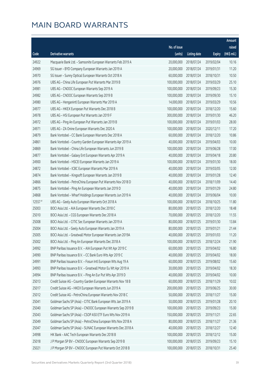|           |                                                              |              |                       |               | Amount      |
|-----------|--------------------------------------------------------------|--------------|-----------------------|---------------|-------------|
|           |                                                              | No. of issue |                       |               | raised      |
| Code      | Derivative warrants                                          | (units)      | <b>Listing date</b>   | <b>Expiry</b> | (HK\$ mil.) |
| 24922     | Macquarie Bank Ltd. - Samsonite European Warrants Feb 2019 A | 20,000,000   | 2018/07/24            | 2019/02/04    | 10.16       |
| 24969     | SG Issuer - BYD Company European Warrants Jan 2019 A         | 20,000,000   | 2018/07/24            | 2019/01/31    | 11.20       |
| 24970     | SG Issuer - Sunny Optical European Warrants Oct 2018 A       | 60,000,000   | 2018/07/24            | 2018/10/31    | 10.50       |
| 24976     | UBS AG - China Life European Put Warrants Mar 2019 B         | 100,000,000  | 2018/07/24            | 2019/03/29    | 25.10       |
| 24981     | UBS AG - CNOOC European Warrants Sep 2019 A                  | 100,000,000  | 2018/07/24            | 2019/09/23    | 15.30       |
| 24982     | UBS AG - CNOOC European Warrants Sep 2019 B                  | 100,000,000  | 2018/07/24            | 2019/09/30    | 15.10       |
| 24980     | UBS AG - Henganintl European Warrants Mar 2019 A             | 14,000,000   | 2018/07/24            | 2019/03/29    | 10.56       |
| 24977     | UBS AG - HKEX European Put Warrants Dec 2018 B               | 100,000,000  | 2018/07/24            | 2018/12/20    | 15.60       |
| 24978     | UBS AG - HSI European Put Warrants Jan 2019 F                | 300,000,000  | 2018/07/24            | 2019/01/30    | 46.20       |
| 24972     | UBS AG - Ping An European Put Warrants Jan 2019 B            | 100,000,000  | 2018/07/24            | 2019/01/03    | 28.00       |
| 24971     | UBS AG - ZA Onine European Warrants Dec 2020 A               | 100,000,000  | 2018/07/24            | 2020/12/11    | 17.20       |
| 24879     | Bank Vontobel - CC Bank European Warrants Dec 2018 A         | 60,000,000   | 2018/07/24            | 2018/12/20    | 10.86       |
| 24861     | Bank Vontobel - Country Garden European Warrants Apr 2019 A  | 40,000,000   | 2018/07/24            | 2019/04/03    | 10.00       |
| 24869     | Bank Vontobel - China Life European Warrants Jun 2019 B      | 100,000,000  | 2018/07/24            | 2019/06/28    | 17.00       |
| 24877     | Bank Vontobel - Galaxy Ent European Warrants Apr 2019 A      | 40,000,000   | 2018/07/24            | 2019/04/18    | 20.80       |
| 24900     | Bank Vontobel - HSCEI European Warrants Jan 2019 A           | 100,000,000  | 2018/07/24            | 2019/01/30    | 18.00       |
| 24872     | Bank Vontobel - ICBC European Warrants Mar 2019 A            | 40,000,000   | 2018/07/24            | 2019/03/05    | 12.00       |
| 24874     | Bank Vontobel - Kingsoft European Warrants Jan 2019 B        | 40,000,000   | 2018/07/24            | 2019/01/28    | 12.40       |
| 24866     | Bank Vontobel - PetroChina European Put Warrants Nov 2018 D  | 40,000,000   | 2018/07/24            | 2018/11/09    | 14.40       |
| 24875     | Bank Vontobel - Ping An European Warrants Jan 2019 D         | 40,000,000   | 2018/07/24            | 2019/01/29    | 24.80       |
| 24868     | Bank Vontobel - Wharf Holdings European Warrants Jun 2019 A  | 40,000,000   | 2018/07/24            | 2019/06/04    | 10.00       |
| $12557$ # | UBS AG - Geely Auto European Warrants Oct 2018 A             | 100,000,000  | 2018/07/24            | 2018/10/25    | 11.80       |
| 25003     | BOCI Asia Ltd. - AIA European Warrants Dec 2018 C            | 80,000,000   | 2018/07/25            | 2018/12/20    | 18.48       |
| 25010     | BOCI Asia Ltd. - CGS European Warrants Dec 2018 A            | 70,000,000   | 2018/07/25            | 2018/12/20    | 11.55       |
| 25008     | BOCI Asia Ltd. - CITIC Sec European Warrants Jan 2019 A      | 80,000,000   | 2018/07/25            | 2019/01/30    | 13.84       |
| 25004     | BOCI Asia Ltd. - Geely Auto European Warrants Jan 2019 A     | 80,000,000   | 2018/07/25            | 2019/01/21    | 21.44       |
| 25005     | BOCI Asia Ltd. - Greatwall Motor European Warrants Jan 2019A |              | 40,000,000 2018/07/25 | 2019/01/03    | 11.20       |
| 25002     | BOCI Asia Ltd. - Ping An European Warrants Dec 2018 A        | 100,000,000  | 2018/07/25            | 2018/12/24    | 21.90       |
| 24992     | BNP Paribas Issuance B.V. - AIA European Put Wt Apr 2019 C   | 60,000,000   | 2018/07/25            | 2019/04/02    | 16.80       |
| 24990     | BNP Paribas Issuance B.V. - CC Bank Euro Wts Apr 2019 C      | 40,000,000   | 2018/07/25            | 2019/04/02    | 18.00       |
| 24991     | BNP Paribas Issuance B.V. - Fosun Intl European Wts Aug 19 A | 60,000,000   | 2018/07/25            | 2019/08/02    | 15.60       |
| 24993     | BNP Paribas Issuance B.V. - Greatwall Motor Eu Wt Apr 2019 A | 30,000,000   | 2018/07/25            | 2019/04/02    | 18.30       |
| 24994     | BNP Paribas Issuance B.V. - Ping An Eur Put Wts Apr 2019 D   | 40,000,000   | 2018/07/25            | 2019/04/02    | 10.00       |
| 25013     | Credit Suisse AG - Country Garden European Warrants Nov 18 B | 60,000,000   | 2018/07/25            | 2018/11/29    | 10.02       |
| 25017     | Credit Suisse AG - HKEX European Warrants Jun 2019 A         | 200,000,000  | 2018/07/25            | 2019/06/25    | 30.00       |
| 25012     | Credit Suisse AG - PetroChina European Warrants Nov 2018 C   | 50,000,000   | 2018/07/25            | 2018/11/27    | 15.00       |
| 25041     | Goldman Sachs SP (Asia) - CITIC Bank European Wts Jan 2019 A | 50,000,000   | 2018/07/25            | 2019/01/28    | 20.10       |
| 25040     | Goldman Sachs SP (Asia) - CNOOC European Warrants Sep 2019 B | 100,000,000  | 2018/07/25            | 2019/09/23    | 15.00       |
| 25043     | Goldman Sachs SP (Asia) - CSOP A50 ETF Euro Wts Nov 2019 A   | 150,000,000  | 2018/07/25            | 2019/11/21    | 22.65       |
| 25049     | Goldman Sachs SP (Asia) - PetroChina European Wts Nov 2018 A | 80,000,000   | 2018/07/25            | 2018/11/27    | 21.36       |
| 25047     | Goldman Sachs SP (Asia) - SUNAC European Warrants Dec 2018 A | 40,000,000   | 2018/07/25            | 2018/12/27    | 12.40       |
| 24998     | HK Bank - AAC Tech European Warrants Dec 2018 B              | 100,000,000  | 2018/07/25            | 2018/12/12    | 15.00       |
| 25018     | J P Morgan SP BV - CNOOC European Warrants Sep 2019 B        | 100,000,000  | 2018/07/25            | 2019/09/23    | 15.10       |
| 25021     | J P Morgan SP BV - CNOOC European Put Warrants Oct 2018 B    | 100,000,000  | 2018/07/25            | 2018/10/31    | 25.40       |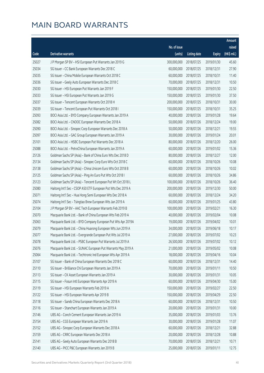|       |                                                              |              |                       |               | Amount      |
|-------|--------------------------------------------------------------|--------------|-----------------------|---------------|-------------|
|       |                                                              | No. of issue |                       |               | raised      |
| Code  | Derivative warrants                                          | (units)      | <b>Listing date</b>   | <b>Expiry</b> | (HK\$ mil.) |
| 25027 | J P Morgan SP BV - HSI European Put Warrants Jan 2019 G      | 300,000,000  | 2018/07/25            | 2019/01/30    | 45.60       |
| 25034 | SG Issuer - CC Bank European Warrants Dec 2018 C             | 60,000,000   | 2018/07/25            | 2018/12/31    | 27.90       |
| 25035 | SG Issuer - China Mobile European Warrants Oct 2018 C        | 60,000,000   | 2018/07/25            | 2018/10/31    | 11.40       |
| 25036 | SG Issuer - Geely Auto European Warrants Dec 2018 C          | 70,000,000   | 2018/07/25            | 2018/12/31    | 10.50       |
| 25030 | SG Issuer - HSI European Put Warrants Jan 2019 F             | 150,000,000  | 2018/07/25            | 2019/01/30    | 22.50       |
| 25033 | SG Issuer - HSI European Put Warrants Jan 2019 G             | 150,000,000  | 2018/07/25            | 2019/01/30    | 37.50       |
| 25037 | SG Issuer - Tencent European Warrants Oct 2018 H             | 200,000,000  | 2018/07/25            | 2018/10/31    | 30.00       |
| 25039 | SG Issuer - Tencent European Put Warrants Oct 2018 I         | 150,000,000  | 2018/07/25            | 2018/10/31    | 35.25       |
| 25093 | BOCI Asia Ltd. - BYD Company European Warrants Jan 2019 A    | 40,000,000   | 2018/07/26            | 2019/01/28    | 19.64       |
| 25082 | BOCI Asia Ltd. - CNOOC European Warrants Dec 2018 A          | 50,000,000   | 2018/07/26            | 2018/12/24    | 19.00       |
| 25090 | BOCI Asia Ltd. - Sinopec Corp European Warrants Dec 2018 A   | 50,000,000   | 2018/07/26            | 2018/12/21    | 19.55       |
| 25097 | BOCI Asia Ltd. - GAC Group European Warrants Jan 2019 A      | 30,000,000   | 2018/07/26            | 2019/01/24    | 20.01       |
| 25101 | BOCI Asia Ltd. - HSBC European Put Warrants Dec 2018 A       | 80,000,000   | 2018/07/26            | 2018/12/20    | 26.00       |
| 25088 | BOCI Asia Ltd. - PetroChina European Warrants Jan 2019 A     | 60,000,000   | 2018/07/26            | 2019/01/02    | 15.36       |
| 25126 | Goldman Sachs SP (Asia) - Bank of China Euro Wts Dec 2018 D  | 80,000,000   | 2018/07/26            | 2018/12/27    | 12.00       |
| 25134 | Goldman Sachs SP (Asia) - Sinopec Corp Euro Wts Oct 2018 C   | 60,000,000   | 2018/07/26            | 2018/10/26    | 10.08       |
| 25138 | Goldman Sachs SP (Asia) - China Unicom Euro Wts Oct 2018 B   | 60,000,000   | 2018/07/26            | 2018/10/26    | 10.02       |
| 25125 | Goldman Sachs SP (Asia) - Ping An Euro Put Wts Oct 2018 I    | 60,000,000   | 2018/07/26            | 2018/10/26    | 34.86       |
| 25123 | Goldman Sachs SP (Asia) - Tencent European Put Wt Oct 2018 L | 100,000,000  | 2018/07/26            | 2018/10/26    | 36.40       |
| 25080 | Haitong Int'l Sec - CSOP A50 ETF European Put Wts Dec 2019 A | 200,000,000  | 2018/07/26            | 2019/12/30    | 50.00       |
| 25071 | Haitong Int'l Sec - Hua Hong Semi European Wts Dec 2018 A    | 60,000,000   | 2018/07/26            | 2018/12/24    | 34.20       |
| 25074 | Haitong Int'l Sec - Tsingtao Brew European Wts Jan 2019 A    | 60,000,000   | 2018/07/26            | 2019/01/25    | 43.80       |
| 25104 | J P Morgan SP BV - AAC Tech European Warrants Feb 2019 B     | 100,000,000  | 2018/07/26            | 2019/02/21    | 16.30       |
| 25070 | Macquarie Bank Ltd. - Bank of China European Wts Feb 2019 A  | 40,000,000   | 2018/07/26            | 2019/02/04    | 10.08       |
| 25063 | Macquarie Bank Ltd. - BYD Company European Put Wts Apr 2019A | 19,000,000   | 2018/07/26            | 2019/04/02    | 10.01       |
| 25079 | Macquarie Bank Ltd. - China Huarong European Wts Jun 2019 A  | 34,000,000   | 2018/07/26            | 2019/06/18    | 10.17       |
| 25077 | Macquarie Bank Ltd. - Evergrande European Put Wts Jul 2019 A |              | 27,000,000 2018/07/26 | 2019/07/02    | 10.23       |
| 25078 | Macquarie Bank Ltd. - PSBC European Put Warrants Jul 2019 A  | 26,500,000   | 2018/07/26            | 2019/07/02    | 10.12       |
| 25076 | Macquarie Bank Ltd. - SUNAC European Put Warrants May 2019 A | 21,000,000   | 2018/07/26            | 2019/05/02    | 10.08       |
| 25064 | Macquarie Bank Ltd. - Techtronic Ind European Wts Apr 2019 A | 18,000,000   | 2018/07/26            | 2019/04/16    | 10.04       |
| 25107 | SG Issuer - Bank of China European Warrants Dec 2018 C       | 60,000,000   | 2018/07/26            | 2018/12/31    | 14.40       |
| 25110 | SG Issuer - Brilliance Chi European Warrants Jan 2019 A      | 70,000,000   | 2018/07/26            | 2019/01/11    | 10.50       |
| 25113 | SG Issuer - CK Asset European Warrants Jan 2019 A            | 30,000,000   | 2018/07/26            | 2019/01/31    | 10.05       |
| 25115 | SG Issuer - Fosun Intl European Warrants Apr 2019 A          | 60,000,000   | 2018/07/26            | 2019/04/30    | 15.00       |
| 25119 | SG Issuer - HSI European Warrants Feb 2019 A                 | 150,000,000  | 2018/07/26            | 2019/02/27    | 22.50       |
| 25122 | SG Issuer - HSI European Warrants Apr 2019 B                 | 150,000,000  | 2018/07/26            | 2019/04/29    | 22.50       |
| 25118 | SG Issuer - Sands China European Warrants Dec 2018 A         | 60,000,000   | 2018/07/26            | 2018/12/31    | 10.50       |
| 25116 | SG Issuer - Stanchart European Warrants Jan 2019 A           | 20,000,000   | 2018/07/26            | 2019/01/31    | 10.00       |
| 25146 | UBS AG - Conch Cement European Warrants Jan 2019 A           | 35,000,000   | 2018/07/26            | 2019/01/03    | 13.76       |
| 25154 | UBS AG - CGS European Warrants Jan 2019 A                    | 30,000,000   | 2018/07/26            | 2019/01/28    | 11.07       |
| 25152 | UBS AG - Sinopec Corp European Warrants Dec 2018 A           | 60,000,000   | 2018/07/26            | 2018/12/21    | 32.88       |
| 25159 | UBS AG - CRRC European Warrants Dec 2018 A                   | 20,000,000   | 2018/07/26            | 2018/12/28    | 10.88       |
| 25141 | UBS AG - Geely Auto European Warrants Dec 2018 B             | 70,000,000   | 2018/07/26            | 2018/12/21    | 10.71       |
| 25140 | UBS AG - PICC P&C European Warrants Jan 2019 B               | 25,000,000   | 2018/07/26            | 2019/01/11    | 12.75       |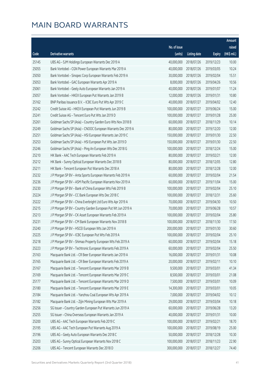|       |                                                              |                        |                     |               | Amount      |
|-------|--------------------------------------------------------------|------------------------|---------------------|---------------|-------------|
|       |                                                              | No. of issue           |                     |               | raised      |
| Code  | Derivative warrants                                          | (units)                | <b>Listing date</b> | <b>Expiry</b> | (HK\$ mil.) |
| 25145 | UBS AG - SJM Holdings European Warrants Dec 2019 A           | 40,000,000             | 2018/07/26          | 2019/12/23    | 10.00       |
| 25055 | Bank Vontobel - CGN Power European Warrants Mar 2019 A       | 40,000,000             | 2018/07/26          | 2019/03/05    | 10.24       |
| 25050 | Bank Vontobel - Sinopec Corp European Warrants Feb 2019 A    | 30,000,000             | 2018/07/26          | 2019/02/04    | 15.51       |
| 25053 | Bank Vontobel - GAC European Warrants Apr 2019 A             | 8,000,000              | 2018/07/26          | 2019/04/26    | 10.56       |
| 25061 | Bank Vontobel - Geely Auto European Warrants Jan 2019 A      | 40,000,000             | 2018/07/26          | 2019/01/07    | 11.24       |
| 25057 | Bank Vontobel - HKEX European Put Warrants Jan 2019 B        | 12,000,000             | 2018/07/26          | 2019/01/31    | 10.80       |
| 25162 | BNP Paribas Issuance B.V. - ICBC Euro Put Wts Apr 2019 C     | 40,000,000             | 2018/07/27          | 2019/04/02    | 12.40       |
| 25242 | Credit Suisse AG - HKEX European Put Warrants Jun 2019 B     | 100,000,000            | 2018/07/27          | 2019/06/24    | 15.00       |
| 25241 | Credit Suisse AG - Tencent Euro Put Wts Jan 2019 D           | 100,000,000            | 2018/07/27          | 2019/01/28    | 25.00       |
| 25261 | Goldman Sachs SP (Asia) - Country Garden Euro Wts Nov 2018 B | 60,000,000             | 2018/07/27          | 2018/11/29    | 10.14       |
| 25249 | Goldman Sachs SP (Asia) - CNOOC European Warrants Dec 2019 A | 80,000,000             | 2018/07/27          | 2019/12/20    | 12.00       |
| 25251 | Goldman Sachs SP (Asia) - HSI European Warrants Jan 2019 C   | 150,000,000            | 2018/07/27          | 2019/01/30    | 22.50       |
| 25253 | Goldman Sachs SP (Asia) - HSI European Put Wts Jan 2019 D    | 150,000,000            | 2018/07/27          | 2019/01/30    | 22.50       |
| 25246 | Goldman Sachs SP (Asia) - Ping An European Wts Dec 2018 G    | 100,000,000            | 2018/07/27          | 2018/12/24    | 15.00       |
| 25210 | HK Bank - AAC Tech European Warrants Feb 2019 A              | 80,000,000             | 2018/07/27          | 2019/02/21    | 12.00       |
| 25212 | HK Bank - Sunny Optical European Warrants Dec 2018 B         | 80,000,000             | 2018/07/27          | 2018/12/05    | 12.80       |
| 25211 | HK Bank - Tencent European Put Warrants Dec 2018 A           | 80,000,000             | 2018/07/27          | 2018/12/28    | 12.00       |
| 25232 | J P Morgan SP BV - Anta Sports European Warrants Feb 2019 A  | 60,000,000             | 2018/07/27          | 2019/02/04    | 21.54       |
| 25236 | J P Morgan SP BV - ASM Pacific European Warrants Nov 2019 A  | 60,000,000             | 2018/07/27          | 2019/11/04    | 15.00       |
| 25230 | J P Morgan SP BV - Bank of China European Wts Feb 2019 B     | 100,000,000            | 2018/07/27          | 2019/02/04    | 25.10       |
| 25224 | J P Morgan SP BV - CC Bank European Wts Dec 2018 C           | 100,000,000            | 2018/07/27          | 2018/12/31    | 25.60       |
| 25222 | J P Morgan SP BV - China Everbright Ltd Euro Wts Apr 2019 A  | 70,000,000             | 2018/07/27          | 2019/04/30    | 10.50       |
| 25215 | J P Morgan SP BV - Country Garden European Put Wt Jun 2019 A | 70,000,000             | 2018/07/27          | 2019/06/28    | 10.57       |
| 25213 | J P Morgan SP BV - CK Asset European Warrants Feb 2019 A     | 100,000,000            | 2018/07/27          | 2019/02/04    | 25.80       |
| 25231 | J P Morgan SP BV - CM Bank European Warrants Nov 2018 B      | 100,000,000            | 2018/07/27          | 2018/11/30    | 17.50       |
| 25240 | J P Morgan SP BV - HSCEI European Wts Jan 2019 A             | 200,000,000            | 2018/07/27          | 2019/01/30    | 30.60       |
| 25225 | J P Morgan SP BV - ICBC European Put Wts Feb 2019 A          | 100,000,000 2018/07/27 |                     | 2019/02/04    | 25.10       |
| 25218 | J P Morgan SP BV - Shimao Property European Wts Feb 2019 A   | 60,000,000             | 2018/07/27          | 2019/02/04    | 15.18       |
| 25223 | J P Morgan SP BV - Techtronic European Warrants Feb 2019 A   | 60,000,000             | 2018/07/27          | 2019/02/04    | 25.50       |
| 25163 | Macquarie Bank Ltd. - CR Beer European Warrants Jan 2019 A   | 16,000,000             | 2018/07/27          | 2019/01/31    | 10.08       |
| 25165 | Macquarie Bank Ltd. - CR Beer European Warrants Feb 2019 A   | 20,000,000             | 2018/07/27          | 2019/02/11    | 10.10       |
| 25167 | Macquarie Bank Ltd. - Tencent European Warrants Mar 2019 B   | 9,500,000              | 2018/07/27          | 2019/03/01    | 41.34       |
| 25169 | Macquarie Bank Ltd. - Tencent European Warrants Mar 2019 C   | 8,500,000              | 2018/07/27          | 2019/03/01    | 21.08       |
| 25177 | Macquarie Bank Ltd. - Tencent European Warrants Mar 2019 D   | 7,500,000              | 2018/07/27          | 2019/03/01    | 10.09       |
| 25180 | Macquarie Bank Ltd. - Tencent European Warrants Mar 2019 E   | 14,300,000             | 2018/07/27          | 2019/03/01    | 10.05       |
| 25184 | Macquarie Bank Ltd. - Yanzhou Coal European Wts Apr 2019 A   | 7,000,000              | 2018/07/27          | 2019/04/02    | 10.12       |
| 25182 | Macquarie Bank Ltd. - Zijin Mining European Wts Mar 2019 A   | 29,000,000             | 2018/07/27          | 2019/03/04    | 10.18       |
| 25256 | SG Issuer - Country Garden European Put Warrants Jun 2019 A  | 60,000,000             | 2018/07/27          | 2019/06/28    | 13.20       |
| 25255 | SG Issuer - China Overseas European Warrants Jan 2019 A      | 40,000,000             | 2018/07/27          | 2019/01/31    | 10.00       |
| 25200 | UBS AG - AAC Tech European Warrants Feb 2019 C               | 100,000,000            | 2018/07/27          | 2019/02/21    | 18.70       |
| 25195 | UBS AG - AAC Tech European Put Warrants Aug 2019 A           | 100,000,000            | 2018/07/27          | 2019/08/19    | 25.00       |
| 25196 | UBS AG - Geely Auto European Warrants Dec 2018 C             | 50,000,000             | 2018/07/27          | 2018/12/28    | 10.30       |
| 25203 | UBS AG - Sunny Optical European Warrants Nov 2018 C          | 100,000,000            | 2018/07/27          | 2018/11/23    | 22.90       |
| 25206 | UBS AG - Tencent European Warrants Dec 2018 D                | 300,000,000            | 2018/07/27          | 2018/12/27    | 74.40       |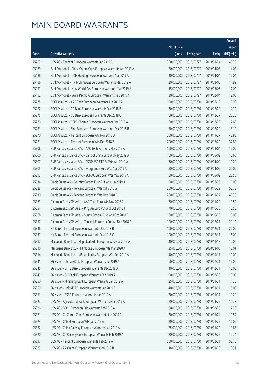|       |                                                              |                        |                     |               | Amount      |
|-------|--------------------------------------------------------------|------------------------|---------------------|---------------|-------------|
|       |                                                              | No. of issue           |                     |               | raised      |
| Code  | Derivative warrants                                          | (units)                | <b>Listing date</b> | <b>Expiry</b> | (HK\$ mil.) |
| 25207 | UBS AG - Tencent European Warrants Jan 2019 B                | 300,000,000            | 2018/07/27          | 2019/01/24    | 45.30       |
| 25189 | Bank Vontobel - China Comm Cons European Warrants Apr 2019 A | 20,000,000             | 2018/07/27          | 2019/04/08    | 14.02       |
| 25188 | Bank Vontobel - CKH Holdings European Warrants Apr 2019 A    | 40,000,000             | 2018/07/27          | 2019/04/04    | 16.04       |
| 25186 | Bank Vontobel - HK & China Gas European Warrants Mar 2019 A  | 20,000,000             | 2018/07/27          | 2019/03/05    | 11.92       |
| 25193 | Bank Vontobel - New World Dev European Warrants Mar 2019 A   | 15,000,000             | 2018/07/27          | 2019/03/06    | 12.00       |
| 25192 | Bank Vontobel - Swire Pacific A European Warrants Feb 2019 A | 30,000,000             | 2018/07/27          | 2019/02/04    | 12.03       |
| 25278 | BOCI Asia Ltd. - AAC Tech European Warrants Jun 2019 A       | 100,000,000            | 2018/07/30          | 2019/06/13    | 16.90       |
| 25272 | BOCI Asia Ltd. - CC Bank European Warrants Dec 2018 B        | 80,000,000             | 2018/07/30          | 2018/12/20    | 12.72       |
| 25275 | BOCI Asia Ltd. - CC Bank European Warrants Dec 2018 C        | 80,000,000             | 2018/07/30          | 2018/12/27    | 23.28       |
| 25280 | BOCI Asia Ltd. - CSPC Pharma European Warrants Dec 2018 A    | 50,000,000             | 2018/07/30          | 2018/12/20    | 12.65       |
| 25281 | BOCI Asia Ltd. - Sino Biopharm European Warrants Dec 2018 B  | 50,000,000             | 2018/07/30          | 2018/12/20    | 15.10       |
| 25270 | BOCI Asia Ltd. - Tencent European Wts Nov 2018 D             | 200,000,000            | 2018/07/30          | 2018/11/27    | 40.80       |
| 25271 | BOCI Asia Ltd. - Tencent European Wts Dec 2018 B             | 200,000,000            | 2018/07/30          | 2018/12/20    | 37.80       |
| 25306 | BNP Paribas Issuance B.V. - AAC Tech Euro Wts Mar 2019 A     | 100,000,000            | 2018/07/30          | 2019/03/04    | 16.00       |
| 25300 | BNP Paribas Issuance B.V. - Bank of China Euro Wt May 2019 A | 60,000,000             | 2018/07/30          | 2019/05/02    | 15.60       |
| 25307 | BNP Paribas Issuance B.V. - CSOP A50 ETF Eu Wts Apr 2019 A   | 30,000,000             | 2018/07/30          | 2019/04/02    | 10.20       |
| 25305 | BNP Paribas Issuance B.V. - Evergrande Euro Wts Apr 2019 A   | 50,000,000             | 2018/07/30          | 2019/04/02    | 20.00       |
| 25297 | BNP Paribas Issuance B.V. - SUNAC European Wts May 2019 A    | 50,000,000             | 2018/07/30          | 2019/05/02    | 26.50       |
| 25334 | Credit Suisse AG - Country Garden Euro Put Wts Jun 2019 A    | 50,000,000             | 2018/07/30          | 2019/06/25    | 11.00       |
| 25328 | Credit Suisse AG - Tencent European Wts Oct 2018 G           | 250,000,000            | 2018/07/30          | 2018/10/29    | 58.75       |
| 25330 | Credit Suisse AG - Tencent European Wts Nov 2018 E           | 250,000,000            | 2018/07/30          | 2018/11/27    | 43.75       |
| 25363 | Goldman Sachs SP (Asia) - AAC Tech Euro Wts Nov 2018 C       | 70,000,000             | 2018/07/30          | 2018/11/20    | 10.50       |
| 25354 | Goldman Sachs SP (Asia) - Ping An Euro Put Wts Oct 2018 J    | 70,000,000             | 2018/07/30          | 2018/10/30    | 10.50       |
| 25368 | Goldman Sachs SP (Asia) - Sunny Optical Euro Wts Oct 2018 C  | 60,000,000             | 2018/07/30          | 2018/10/30    | 10.08       |
| 25357 | Goldman Sachs SP (Asia) - Tencent European Put Wt Dec 2018 F | 100,000,000            | 2018/07/30          | 2018/12/21    | 21.10       |
| 25336 | HK Bank - Tencent European Warrants Dec 2018 B               | 100,000,000            | 2018/07/30          | 2018/12/31    | 22.00       |
| 25337 | HK Bank - Tencent European Warrants Dec 2018 C               | 100,000,000 2018/07/30 |                     | 2018/12/17    | 16.00       |
| 25312 | Macquarie Bank Ltd. - Mapleleaf Edu European Wts Nov 2019 A  | 40,000,000             | 2018/07/30          | 2019/11/18    | 10.00       |
| 25310 | Macquarie Bank Ltd. - FIH Mobile European Wts Mar 2020 A     | 35,000,000             | 2018/07/30          | 2020/03/03    | 10.01       |
| 25314 | Macquarie Bank Ltd. - KB Laminates European Wts Sep 2019 A   | 40,000,000             | 2018/07/30          | 2019/09/17    | 10.00       |
| 25341 | SG Issuer - China EB Ltd European Warrants Jul 2019 A        | 60,000,000             | 2018/07/30          | 2019/07/31    | 15.00       |
| 25345 | SG Issuer - CITIC Bank European Warrants Dec 2018 A          | 40,000,000             | 2018/07/30          | 2018/12/31    | 10.00       |
| 25347 | SG Issuer - CM Bank European Warrants Feb 2019 A             | 50,000,000             | 2018/07/30          | 2019/02/28    | 10.00       |
| 25350 | SG Issuer - Minsheng Bank European Warrants Jan 2019 A       | 25,000,000             | 2018/07/30          | 2019/01/31    | 11.38       |
| 25353 | SG Issuer - Link REIT European Warrants Jan 2019 B           | 40,000,000             | 2018/07/30          | 2019/01/31    | 10.00       |
| 25351 | SG Issuer - PSBC European Warrants Jan 2019 A                | 20,000,000             | 2018/07/30          | 2019/01/31    | 11.20       |
| 25323 | UBS AG - Agricultural Bank European Warrants Mar 2019 A      | 70,000,000             | 2018/07/30          | 2019/03/22    | 14.77       |
| 25326 | UBS AG - BOCL European Put Warrants Feb 2019 A               | 50,000,000             | 2018/07/30          | 2019/02/25    | 12.35       |
| 25321 | UBS AG - Ch Comm Cons European Warrants Jan 2019 A           | 20,000,000             | 2018/07/30          | 2019/01/24    | 10.54       |
| 25324 | UBS AG - CNBM European Wts Jan 2019 A                        | 20,000,000             | 2018/07/30          | 2019/01/29    | 16.06       |
| 25322 | UBS AG - China Railway European Warrants Jan 2019 A          | 25,000,000             | 2018/07/30          | 2019/01/29    | 10.83       |
| 25320 | UBS AG - Ch Railway Cons European Warrants Feb 2019 A        | 20,000,000             | 2018/07/30          | 2019/02/25    | 12.74       |
| 25317 | UBS AG - Tencent European Warrants Feb 2019 A                | 300,000,000            | 2018/07/30          | 2019/02/21    | 53.70       |
| 25327 | UBS AG - ZA Onine European Warrants Jan 2019 B               | 18,000,000             | 2018/07/30          | 2019/01/29    | 10.31       |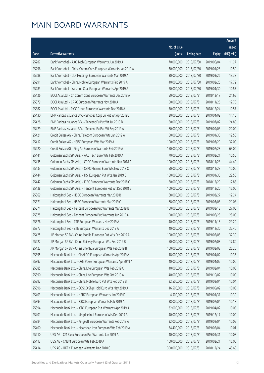|       |                                                              |                        |                     |               | Amount                |
|-------|--------------------------------------------------------------|------------------------|---------------------|---------------|-----------------------|
|       |                                                              | No. of issue           |                     |               | raised                |
| Code  | <b>Derivative warrants</b>                                   | (units)                | <b>Listing date</b> | <b>Expiry</b> | $(HK\frac{1}{2}mil.)$ |
| 25287 | Bank Vontobel - AAC Tech European Warrants Jun 2019 A        | 70,000,000             | 2018/07/30          | 2019/06/04    | 11.27                 |
| 25296 | Bank Vontobel - China Comm Cons European Warrants Jan 2019 A | 30,000,000             | 2018/07/30          | 2019/01/28    | 10.50                 |
| 25288 | Bank Vontobel - CLP Holdings European Warrants Mar 2019 A    | 30,000,000             | 2018/07/30          | 2019/03/26    | 13.38                 |
| 25291 | Bank Vontobel - China Mobile European Warrants Feb 2019 A    | 40,000,000             | 2018/07/30          | 2019/02/26    | 17.72                 |
| 25283 | Bank Vontobel - Yanzhou Coal European Warrants Apr 2019 A    | 70,000,000             | 2018/07/30          | 2019/04/30    | 10.57                 |
| 25426 | BOCI Asia Ltd. - Ch Comm Cons European Warrants Dec 2018 A   | 50,000,000             | 2018/07/31          | 2018/12/17    | 21.65                 |
| 25379 | BOCI Asia Ltd. - CRRC European Warrants Nov 2018 A           | 50,000,000             | 2018/07/31          | 2018/11/26    | 12.70                 |
| 25382 | BOCI Asia Ltd. - PICC Group European Warrants Dec 2018 A     | 70,000,000             | 2018/07/31          | 2018/12/24    | 10.57                 |
| 25430 | BNP Paribas Issuance B.V. - Sinopec Corp Eu Put Wt Apr 2019B | 30,000,000             | 2018/07/31          | 2019/04/02    | 11.10                 |
| 25428 | BNP Paribas Issuance B.V. - Tencent Eu Put Wt Jul 2019 B     | 80,000,000             | 2018/07/31          | 2019/07/02    | 24.80                 |
| 25429 | BNP Paribas Issuance B.V. - Tencent Eu Put Wt Sep 2019 A     | 80,000,000             | 2018/07/31          | 2019/09/03    | 20.00                 |
| 25421 | Credit Suisse AG - China Telecom European Wts Jan 2019 A     | 50,000,000             | 2018/07/31          | 2019/01/30    | 12.50                 |
| 25417 | Credit Suisse AG - HSBC European Wts Mar 2019 A              | 100,000,000            | 2018/07/31          | 2019/03/29    | 32.00                 |
| 25420 | Credit Suisse AG - Ping An European Warrants Feb 2019 A      | 150,000,000            | 2018/07/31          | 2019/02/28    | 63.00                 |
| 25441 | Goldman Sachs SP (Asia) - AAC Tech Euro Wts Feb 2019 A       | 70,000,000             | 2018/07/31          | 2019/02/21    | 10.50                 |
| 25435 | Goldman Sachs SP (Asia) - CRCC European Warrants Nov 2018 A  | 100,000,000            | 2018/07/31          | 2018/11/23    | 44.40                 |
| 25433 | Goldman Sachs SP (Asia) - CSPC Pharma Euro Wts Nov 2018 C    | 50,000,000             | 2018/07/31          | 2018/11/23    | 10.00                 |
| 25444 | Goldman Sachs SP (Asia) - HSI European Put Wts Jan 2019 E    | 150,000,000            | 2018/07/31          | 2019/01/30    | 22.50                 |
| 25442 | Goldman Sachs SP (Asia) - ICBC European Warrants Dec 2018 C  | 80,000,000             | 2018/07/31          | 2018/12/20    | 12.88                 |
| 25438 | Goldman Sachs SP (Asia) - Tencent European Put Wt Dec 2018 G | 100,000,000            | 2018/07/31          | 2018/12/20    | 15.00                 |
| 25369 | Haitong Int'l Sec - HSBC European Warrants Mar 2019 B        | 68,000,000             | 2018/07/31          | 2019/03/27    | 12.24                 |
| 25371 | Haitong Int'l Sec - HSBC European Warrants Mar 2019 C        | 68,000,000             | 2018/07/31          | 2019/03/08    | 21.08                 |
| 25374 | Haitong Int'l Sec - Tencent European Put Warrants Mar 2019 B | 100,000,000            | 2018/07/31          | 2019/03/18    | 27.00                 |
| 25375 | Haitong Int'l Sec - Tencent European Put Warrants Jun 2019 A | 100,000,000            | 2018/07/31          | 2019/06/28    | 28.00                 |
| 25376 | Haitong Int'l Sec - ZTE European Warrants Nov 2019 A         | 40,000,000             | 2018/07/31          | 2019/11/18    | 29.20                 |
| 25377 | Haitong Int'l Sec - ZTE European Warrants Dec 2019 A         | 40,000,000             | 2018/07/31          | 2019/12/30    | 32.40                 |
| 25425 | J P Morgan SP BV – China Mobile European Put Wts Feb 2019 A  | 100,000,000 2018/07/31 |                     | 2019/02/08    | 32.30                 |
| 25422 | J P Morgan SP BV - China Railway European Wts Feb 2019 B     | 50,000,000             | 2018/07/31          | 2019/02/08    | 17.80                 |
| 25423 | J P Morgan SP BV - China Shenhua European Wts Feb 2019 B     | 100,000,000            | 2018/07/31          | 2019/02/08    | 25.20                 |
| 25395 | Macquarie Bank Ltd. - CHALCO European Warrants Apr 2019 A    | 18,000,000             | 2018/07/31          | 2019/04/02    | 10.35                 |
| 25397 | Macquarie Bank Ltd. - CGN Power European Warrants Apr 2019 A | 40,000,000             | 2018/07/31          | 2019/04/02    | 10.00                 |
| 25385 | Macquarie Bank Ltd. - China Life European Wts Feb 2019 C     | 40,000,000             | 2018/07/31          | 2019/02/04    | 10.08                 |
| 25390 | Macquarie Bank Ltd. - China Life European Wts Oct 2019 A     | 40,000,000             | 2018/07/31          | 2019/10/02    | 10.00                 |
| 25392 | Macquarie Bank Ltd. - China Mobile Euro Put Wts Feb 2019 B   | 22,500,000             | 2018/07/31          | 2019/02/04    | 10.04                 |
| 25396 | Macquarie Bank Ltd. - COSCO Ship Hold Euro Wts May 2019 A    | 16,500,000             | 2018/07/31          | 2019/05/02    | 10.03                 |
| 25403 | Macquarie Bank Ltd. - HSBC European Warrants Jan 2019 D      | 4,500,000              | 2018/07/31          | 2019/01/31    | 10.30                 |
| 25393 | Macquarie Bank Ltd. - ICBC European Warrants Feb 2019 A      | 38,000,000             | 2018/07/31          | 2019/02/04    | 10.18                 |
| 25394 | Macquarie Bank Ltd. - ICBC European Put Warrants Apr 2019 A  | 32,000,000             | 2018/07/31          | 2019/04/02    | 10.05                 |
| 25401 | Macquarie Bank Ltd. - Kingdee Int'l European Wts Dec 2019 A  | 40,000,000             | 2018/07/31          | 2019/12/17    | 10.00                 |
| 25384 | Macquarie Bank Ltd. - Kingsoft European Warrants Feb 2019 A  | 32,000,000             | 2018/07/31          | 2019/02/04    | 10.05                 |
| 25400 | Macquarie Bank Ltd. - Maanshan Iron European Wts Feb 2019 A  | 34,400,000             | 2018/07/31          | 2019/02/04    | 10.01                 |
| 25410 | UBS AG - CM Bank European Put Warrants Jan 2019 A            | 40,000,000             | 2018/07/31          | 2019/01/31    | 10.08                 |
| 25413 | UBS AG - CNBM European Wts Feb 2019 A                        | 100,000,000            | 2018/07/31          | 2019/02/21    | 15.00                 |
| 25414 | UBS AG - HKEX European Warrants Dec 2018 C                   | 300,000,000            | 2018/07/31          | 2018/12/24    | 45.60                 |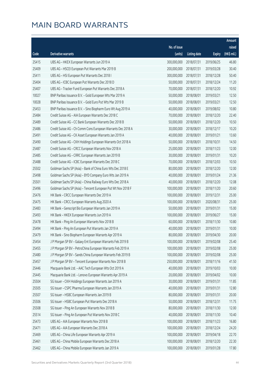|       |                                                              |              |                       |               | Amount      |
|-------|--------------------------------------------------------------|--------------|-----------------------|---------------|-------------|
|       |                                                              | No. of issue |                       |               | raised      |
| Code  | Derivative warrants                                          | (units)      | <b>Listing date</b>   | <b>Expiry</b> | (HK\$ mil.) |
| 25415 | UBS AG - HKEX European Warrants Jun 2019 A                   | 300,000,000  | 2018/07/31            | 2019/06/25    | 46.80       |
| 25409 | UBS AG - HSCEI European Put Warrants Mar 2019 B              | 200,000,000  | 2018/07/31            | 2019/03/28    | 30.40       |
| 25411 | UBS AG - HSI European Put Warrants Dec 2018 I                | 300,000,000  | 2018/07/31            | 2018/12/28    | 50.40       |
| 25404 | UBS AG - ICBC European Put Warrants Dec 2018 D               | 50,000,000   | 2018/07/31            | 2018/12/24    | 11.20       |
| 25407 | UBS AG - Tracker Fund European Put Warrants Dec 2018 A       | 70,000,000   | 2018/07/31            | 2018/12/20    | 10.92       |
| 10027 | BNP Paribas Issuance B.V. - Gold European Wts Mar 2019 A     | 50,000,000   | 2018/08/01            | 2019/03/21    | 12.50       |
| 10028 | BNP Paribas Issuance B.V. - Gold Euro Put Wts Mar 2019 B     | 50,000,000   | 2018/08/01            | 2019/03/21    | 12.50       |
| 25453 | BNP Paribas Issuance B.V. - Sino Biopharm Euro Wt Aug 2019 A | 40,000,000   | 2018/08/01            | 2019/08/02    | 10.80       |
| 25484 | Credit Suisse AG - AIA European Warrants Dec 2018 C          | 70,000,000   | 2018/08/01            | 2018/12/20    | 22.40       |
| 25489 | Credit Suisse AG - CC Bank European Warrants Dec 2018 B      | 50,000,000   | 2018/08/01            | 2018/12/20    | 10.50       |
| 25486 | Credit Suisse AG - Ch Comm Cons European Warrants Dec 2018 A | 30,000,000   | 2018/08/01            | 2018/12/17    | 10.20       |
| 25491 | Credit Suisse AG - CK Asset European Warrants Jan 2019 A     | 40,000,000   | 2018/08/01            | 2019/01/21    | 13.60       |
| 25490 | Credit Suisse AG - CKH Holdings European Warrants Oct 2018 A | 50,000,000   | 2018/08/01            | 2018/10/31    | 14.50       |
| 25487 | Credit Suisse AG - CRCC European Warrants Nov 2018 A         | 25,000,000   | 2018/08/01            | 2018/11/23    | 12.00       |
| 25485 | Credit Suisse AG - CRRC European Warrants Jan 2019 B         | 30,000,000   | 2018/08/01            | 2019/01/31    | 10.20       |
| 25488 | Credit Suisse AG - ICBC European Warrants Dec 2018 C         | 70,000,000   | 2018/08/01            | 2018/12/03    | 10.50       |
| 25502 | Goldman Sachs SP (Asia) - Bank of China Euro Wts Dec 2018 E  | 80,000,000   | 2018/08/01            | 2018/12/20    | 12.00       |
| 25498 | Goldman Sachs SP (Asia) - BYD Company Euro Wts Jan 2019 A    | 40,000,000   | 2018/08/01            | 2019/01/24    | 21.36       |
| 25501 | Goldman Sachs SP (Asia) - China Railway Euro Wts Dec 2018 A  | 40,000,000   | 2018/08/01            | 2018/12/20    | 12.08       |
| 25496 | Goldman Sachs SP (Asia) - Tencent European Put Wt Nov 2018 F | 100,000,000  | 2018/08/01            | 2018/11/20    | 20.60       |
| 25476 | HK Bank - CRCC European Warrants Dec 2019 A                  | 100,000,000  | 2018/08/01            | 2019/12/31    | 25.00       |
| 25475 | HK Bank - CRCC European Warrants Aug 2020 A                  | 100,000,000  | 2018/08/01            | 2020/08/31    | 25.00       |
| 25483 | HK Bank - Genscript Bio European Warrants Jan 2019 A         | 50,000,000   | 2018/08/01            | 2019/01/31    | 15.00       |
| 25493 | HK Bank - HKEX European Warrants Jun 2019 A                  | 100,000,000  | 2018/08/01            | 2019/06/27    | 15.00       |
| 25478 | HK Bank - Ping An European Warrants Nov 2018 B               | 60,000,000   | 2018/08/01            | 2018/11/30    | 10.80       |
| 25494 | HK Bank - Ping An European Put Warrants Jan 2019 A           | 40,000,000   | 2018/08/01            | 2019/01/31    | 10.00       |
| 25479 | HK Bank - Sino Biopharm European Warrants Apr 2019 A         |              | 80,000,000 2018/08/01 | 2019/04/30    | 20.00       |
| 25454 | J P Morgan SP BV - Galaxy Ent European Warrants Feb 2019 B   | 100,000,000  | 2018/08/01            | 2019/02/08    | 25.40       |
| 25455 | J P Morgan SP BV - PetroChina European Warrants Feb 2019 A   | 100,000,000  | 2018/08/01            | 2019/02/08    | 25.00       |
| 25480 | J P Morgan SP BV - Sands China European Warrants Feb 2019 B  | 100,000,000  | 2018/08/01            | 2019/02/08    | 25.00       |
| 25457 | J P Morgan SP BV - Tencent European Warrants Nov 2018 B      | 250,000,000  | 2018/08/01            | 2018/11/16    | 41.50       |
| 25446 | Macquarie Bank Ltd. - AAC Tech European Wts Oct 2019 A       | 40,000,000   | 2018/08/01            | 2019/10/03    | 10.00       |
| 25445 | Macquarie Bank Ltd. - Lenovo European Warrants Apr 2019 A    | 20,000,000   | 2018/08/01            | 2019/04/02    | 10.00       |
| 25504 | SG Issuer - CKH Holdings European Warrants Jan 2019 A        | 30,000,000   | 2018/08/01            | 2019/01/31    | 11.85       |
| 25505 | SG Issuer - CSPC Pharma European Warrants Jan 2019 A         | 40,000,000   | 2018/08/01            | 2019/01/31    | 12.80       |
| 25507 | SG Issuer - HSBC European Warrants Jan 2019 B                | 80,000,000   | 2018/08/01            | 2019/01/31    | 20.00       |
| 25506 | SG Issuer - HSBC European Put Warrants Dec 2018 A            | 50,000,000   | 2018/08/01            | 2018/12/31    | 11.75       |
| 25508 | SG Issuer - Ping An European Warrants Nov 2018 B             | 80,000,000   | 2018/08/01            | 2018/11/30    | 12.00       |
| 25514 | SG Issuer - Ping An European Put Warrants Nov 2018 C         | 40,000,000   | 2018/08/01            | 2018/11/30    | 10.40       |
| 25473 | UBS AG - AIA European Warrants Nov 2018 B                    | 100,000,000  | 2018/08/01            | 2018/11/23    | 16.80       |
| 25471 | UBS AG - AIA European Warrants Dec 2018 A                    | 100,000,000  | 2018/08/01            | 2018/12/24    | 24.20       |
| 25469 | UBS AG - China Life European Warrants Apr 2019 A             | 100,000,000  | 2018/08/01            | 2019/04/18    | 22.70       |
| 25461 | UBS AG - China Mobile European Warrants Dec 2018 A           | 100,000,000  | 2018/08/01            | 2018/12/20    | 22.30       |
| 25462 | UBS AG - China Mobile European Warrants Jan 2019 A           | 100,000,000  | 2018/08/01            | 2019/01/28    | 17.80       |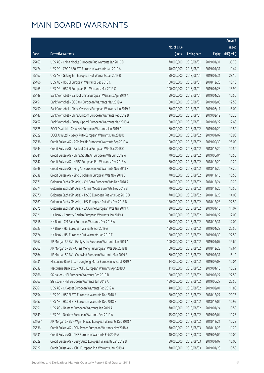|         |                                                              |              |                        |               | Amount      |
|---------|--------------------------------------------------------------|--------------|------------------------|---------------|-------------|
|         |                                                              | No. of issue |                        |               | raised      |
| Code    | Derivative warrants                                          | (units)      | <b>Listing date</b>    | <b>Expiry</b> | (HK\$ mil.) |
| 25463   | UBS AG - China Mobile European Put Warrants Jan 2019 B       | 70,000,000   | 2018/08/01             | 2019/01/31    | 35.70       |
| 25474   | UBS AG - CSOP A50 ETF European Warrants Jan 2019 A           | 40,000,000   | 2018/08/01             | 2019/01/31    | 11.44       |
| 25467   | UBS AG - Galaxy Ent European Put Warrants Jan 2019 B         | 50,000,000   | 2018/08/01             | 2019/01/31    | 28.10       |
| 25466   | UBS AG - HSCEI European Warrants Dec 2018 C                  | 100,000,000  | 2018/08/01             | 2018/12/28    | 18.10       |
| 25465   | UBS AG - HSCEI European Put Warrants Mar 2019 C              | 100,000,000  | 2018/08/01             | 2019/03/28    | 15.90       |
| 25449   | Bank Vontobel - Bank of China European Warrants Apr 2019 A   | 50,000,000   | 2018/08/01             | 2019/04/23    | 10.50       |
| 25451   | Bank Vontobel - CC Bank European Warrants Mar 2019 A         | 50,000,000   | 2018/08/01             | 2019/03/05    | 12.50       |
| 25450   | Bank Vontobel - China Overseas European Warrants Jun 2019 A  | 60,000,000   | 2018/08/01             | 2019/06/11    | 15.00       |
| 25447   | Bank Vontobel - China Unicom European Warrants Feb 2019 B    | 20,000,000   | 2018/08/01             | 2019/02/12    | 10.20       |
| 25452   | Bank Vontobel - Sunny Optical European Warrants Mar 2019 A   | 80,000,000   | 2018/08/01             | 2019/03/22    | 17.68       |
| 25525   | BOCI Asia Ltd. - CK Asset European Warrants Jan 2019 A       | 60,000,000   | 2018/08/02             | 2019/01/29    | 19.50       |
| 25529   | BOCI Asia Ltd. - Geely Auto European Warrants Jan 2019 B     | 80,000,000   | 2018/08/02             | 2019/01/07    | 18.96       |
| 25536   | Credit Suisse AG - ASM Pacific European Warrants Sep 2019 A  | 100,000,000  | 2018/08/02             | 2019/09/30    | 25.00       |
| 25544   | Credit Suisse AG - Bank of China European Wts Dec 2018 C     | 70,000,000   | 2018/08/02             | 2018/12/20    | 10.50       |
| 25541   | Credit Suisse AG - China South Air European Wts Jun 2019 A   | 70,000,000   | 2018/08/02             | 2019/06/04    | 10.50       |
| 25547   | Credit Suisse AG - HSBC European Put Warrants Dec 2018 A     | 80,000,000   | 2018/08/02             | 2018/12/20    | 19.20       |
| 25548   | Credit Suisse AG - Ping An European Put Warrants Nov 2018 F  | 70,000,000   | 2018/08/02             | 2018/11/20    | 18.20       |
| 25538   | Credit Suisse AG - Sino Biopharm European Wts Nov 2018 B     | 70,000,000   | 2018/08/02             | 2018/11/16    | 10.50       |
| 25571   | Goldman Sachs SP (Asia) - CM Bank European Wts Dec 2018 A    | 60,000,000   | 2018/08/02             | 2018/12/24    | 10.20       |
| 25574   | Goldman Sachs SP (Asia) - China Mobile Euro Wts Nov 2018 B   | 70,000,000   | 2018/08/02             | 2018/11/26    | 10.50       |
| 25570   | Goldman Sachs SP (Asia) - HSBC European Put Wts Dec 2018 D   | 70,000,000   | 2018/08/02             | 2018/12/20    | 14.00       |
| 25569   | Goldman Sachs SP (Asia) - HSI European Put Wts Dec 2018 D    | 150,000,000  | 2018/08/02             | 2018/12/28    | 22.50       |
| 25575   | Goldman Sachs SP (Asia) - ZA Onine European Wts Jan 2019 A   | 30,000,000   | 2018/08/02             | 2019/01/16    | 11.07       |
| 25521   | HK Bank - Country Garden European Warrants Jan 2019 A        | 80,000,000   | 2018/08/02             | 2019/01/22    | 12.00       |
| 25518   | HK Bank - CM Bank European Warrants Dec 2018 A               | 80,000,000   | 2018/08/02             | 2018/12/31    | 12.00       |
| 25523   | HK Bank - HSI European Warrants Apr 2019 A                   | 150,000,000  | 2018/08/02             | 2019/04/29    | 22.50       |
| 25524   | HK Bank - HSI European Put Warrants Jan 2019 F               |              | 150,000,000 2018/08/02 | 2019/01/30    | 22.50       |
| 25562   | J P Morgan SP BV - Geely Auto European Warrants Jan 2019 A   | 100,000,000  | 2018/08/02             | 2019/01/07    | 19.60       |
| 25563   | J P Morgan SP BV - China Mengniu European Wts Dec 2018 B     | 60,000,000   | 2018/08/02             | 2018/12/28    | 17.64       |
| 25564   | J P Morgan SP BV - Goldwind European Warrants May 2019 B     | 60,000,000   | 2018/08/02             | 2019/05/31    | 15.12       |
| 25531   | Macquarie Bank Ltd. - Dongfeng Motor European Wts Jul 2019 A | 14,000,000   | 2018/08/02             | 2019/07/03    | 10.04       |
| 25532   | Macquarie Bank Ltd. - YOFC European Warrants Apr 2019 A      | 11,000,000   | 2018/08/02             | 2019/04/18    | 10.22       |
| 25566   | SG Issuer - HSI European Warrants Feb 2019 B                 | 150,000,000  | 2018/08/02             | 2019/02/27    | 22.50       |
| 25567   | SG Issuer - HSI European Warrants Jun 2019 A                 | 150,000,000  | 2018/08/02             | 2019/06/27    | 22.50       |
| 25561   | UBS AG - CK Asset European Warrants Feb 2019 A               | 40,000,000   | 2018/08/02             | 2019/02/01    | 11.88       |
| 25554   | UBS AG - HSCEI ETF European Warrants Dec 2018 A              | 50,000,000   | 2018/08/02             | 2018/12/27    | 20.75       |
| 25557   | UBS AG - HSCEI ETF European Warrants Dec 2018 B              | 70,000,000   | 2018/08/02             | 2018/12/06    | 10.99       |
| 25551   | UBS AG - Nexteer European Warrants Jan 2019 A                | 70,000,000   | 2018/08/02             | 2019/01/24    | 10.50       |
| 25549   | UBS AG - Nexteer European Warrants Feb 2019 A                | 45,000,000   | 2018/08/02             | 2019/02/04    | 11.25       |
| 23169 # | J P Morgan SP BV - Wynn Macau European Warrants Dec 2018 A   | 70,000,000   | 2018/08/02             | 2018/12/21    | 10.22       |
| 25636   | Credit Suisse AG - CGN Power European Warrants Nov 2018 A    | 70,000,000   | 2018/08/03             | 2018/11/23    | 11.20       |
| 25631   | Credit Suisse AG - CMS European Warrants Feb 2019 A          | 40,000,000   | 2018/08/03             | 2019/02/04    | 10.00       |
| 25629   | Credit Suisse AG - Geely Auto European Warrants Jan 2019 B   | 80,000,000   | 2018/08/03             | 2019/01/07    | 16.00       |
| 25627   | Credit Suisse AG - ICBC European Put Warrants Jan 2019 A     | 70,000,000   | 2018/08/03             | 2019/01/28    | 10.50       |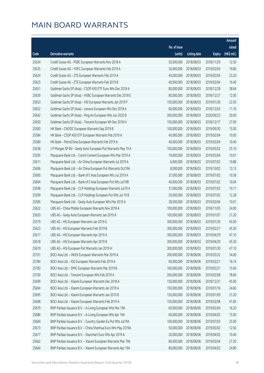|       |                                                              |                        |                     |               | Amount      |
|-------|--------------------------------------------------------------|------------------------|---------------------|---------------|-------------|
|       |                                                              | No. of issue           |                     |               | raised      |
| Code  | Derivative warrants                                          | (units)                | <b>Listing date</b> | <b>Expiry</b> | (HK\$ mil.) |
| 25634 | Credit Suisse AG - PSBC European Warrants Nov 2018 A         | 50,000,000             | 2018/08/03          | 2018/11/29    | 12.50       |
| 25635 | Credit Suisse AG - YOFC European Warrants Feb 2019 A         | 30,000,000             | 2018/08/03          | 2019/02/04    | 19.80       |
| 25624 | Credit Suisse AG - ZTE European Warrants Feb 2019 A          | 40,000,000             | 2018/08/03          | 2019/02/04    | 23.20       |
| 25625 | Credit Suisse AG - ZTE European Warrants Feb 2019 B          | 40,000,000             | 2018/08/03          | 2019/02/04    | 16.40       |
| 25651 | Goldman Sachs SP (Asia) - CSOP A50 ETF Euro Wts Dec 2018 A   | 80,000,000             | 2018/08/03          | 2018/12/28    | 38.64       |
| 25639 | Goldman Sachs SP (Asia) - HSBC European Warrants Dec 2018 E  | 80,000,000             | 2018/08/03          | 2018/12/27    | 12.00       |
| 25653 | Goldman Sachs SP (Asia) - HSI European Warrants Jan 2019 F   | 150,000,000            | 2018/08/03          | 2019/01/30    | 22.50       |
| 25652 | Goldman Sachs SP (Asia) - Lenovo European Wts Dec 2018 A     | 60,000,000             | 2018/08/03          | 2018/12/03    | 11.16       |
| 25642 | Goldman Sachs SP (Asia) - Ping An European Wts Jun 2020 B    | 200,000,000            | 2018/08/03          | 2020/06/23    | 30.00       |
| 25650 | Goldman Sachs SP (Asia) - Tencent European Wt Dec 2018 H     | 150,000,000            | 2018/08/03          | 2018/12/17    | 27.00       |
| 25583 | HK Bank - CNOOC European Warrants Sep 2019 B                 | 100,000,000            | 2018/08/03          | 2019/09/30    | 15.00       |
| 25584 | HK Bank - CSOP A50 ETF European Warrants Feb 2019 A          | 40,000,000             | 2018/08/03          | 2019/02/04    | 10.00       |
| 25580 | HK Bank - PetroChina European Warrants Feb 2019 A            | 40,000,000             | 2018/08/03          | 2019/02/04    | 10.40       |
| 25638 | J P Morgan SP BV - Geely Auto European Put Warrants May 19 A | 100,000,000            | 2018/08/03          | 2019/05/02    | 25.10       |
| 25595 | Macquarie Bank Ltd. - Conch Cement European Wts Mar 2019 A   | 19,000,000             | 2018/08/03          | 2019/03/04    | 10.01       |
| 25611 | Macquarie Bank Ltd. - Air China European Warrants Jul 2019 A | 6,000,000              | 2018/08/03          | 2019/07/02    | 10.88       |
| 25606 | Macquarie Bank Ltd. - Air China European Put Warrants Oct19A | 8,000,000              | 2018/08/03          | 2019/10/02    | 13.13       |
| 25600 | Macquarie Bank Ltd. - Bank of E Asia European Wts Jul 2019 A | 37,000,000             | 2018/08/03          | 2019/07/02    | 10.58       |
| 25604 | Macquarie Bank Ltd. - Bank of E Asia European Put Wts Jul19B | 40,000,000             | 2018/08/03          | 2019/07/02    | 10.04       |
| 25598 | Macquarie Bank Ltd. - CLP Holdings European Warrants Jul19 A | 31,000,000             | 2018/08/03          | 2019/07/02    | 10.11       |
| 25599 | Macquarie Bank Ltd. - CLP Holdings European Put Wts Jul 19 B | 20,000,000             | 2018/08/03          | 2019/07/02    | 12.28       |
| 25585 | Macquarie Bank Ltd. - Geely Auto European Wts Mar 2019 A     | 38,500,000             | 2018/08/03          | 2019/03/04    | 10.01       |
| 25622 | UBS AG - China Mobile European Warrants Nov 2018 A           | 100,000,000            | 2018/08/03          | 2018/11/05    | 24.00       |
| 25620 | UBS AG - Geely Auto European Warrants Jan 2019 A             | 100,000,000            | 2018/08/03          | 2019/01/07    | 21.20       |
| 25579 | UBS AG - HSI European Warrants Jan 2019 G                    | 300,000,000            | 2018/08/03          | 2019/01/30    | 45.00       |
| 25623 | UBS AG - HSI European Warrants Feb 2019 B                    | 300,000,000            | 2018/08/03          | 2019/02/27    | 45.30       |
| 25617 | UBS AG - HSI European Warrants Apr 2019 A                    | 300,000,000 2018/08/03 |                     | 2019/04/29    | 47.10       |
| 25618 | UBS AG - HSI European Warrants Apr 2019 B                    | 300,000,000            | 2018/08/03          | 2019/04/29    | 45.30       |
| 25619 | UBS AG - HSI European Put Warrants Jan 2019 H                | 300,000,000            | 2018/08/03          | 2019/01/30    | 47.10       |
| 25701 | BOCI Asia Ltd. - HKEX European Warrants Mar 2019 A           | 200,000,000            | 2018/08/06          | 2019/03/22    | 34.00       |
| 25784 | BOCI Asia Ltd. - IGG European Warrants Feb 2019 A            | 60,000,000             | 2018/08/06          | 2019/02/21    | 16.14       |
| 25783 | BOCI Asia Ltd. - SMIC European Warrants Mar 2019 B           | 100,000,000            | 2018/08/06          | 2019/03/21    | 15.60       |
| 25700 | BOCI Asia Ltd. - Tencent European Wts Feb 2019 A             | 200,000,000            | 2018/08/06          | 2019/02/08    | 78.60       |
| 25699 | BOCI Asia Ltd. - Xiaomi European Warrants Dec 2018 A         | 150,000,000            | 2018/08/06          | 2018/12/31    | 45.00       |
| 25694 | BOCI Asia Ltd. - Xiaomi European Warrants Jan 2019 A         | 150,000,000            | 2018/08/06          | 2019/01/16    | 24.60       |
| 25695 | BOCI Asia Ltd. - Xiaomi European Warrants Jan 2019 B         | 150,000,000            | 2018/08/06          | 2019/01/09    | 31.20       |
| 25698 | BOCI Asia Ltd. - Xiaomi European Warrants Feb 2019 A         | 150,000,000            | 2018/08/06          | 2019/02/08    | 41.85       |
| 25679 | BNP Paribas Issuance B.V. - A-Living European Wts Mar 19A    | 60,000,000             | 2018/08/06          | 2019/03/04    | 16.20       |
| 25686 | BNP Paribas Issuance B.V. - A-Living European Wts Apr 19A    | 60,000,000             | 2018/08/06          | 2019/04/02    | 15.00       |
| 25669 | BNP Paribas Issuance B.V. - Country Garden Eu Put Wts Jul19A | 100,000,000            | 2018/08/06          | 2019/07/03    | 25.00       |
| 25673 | BNP Paribas Issuance B.V. - China Shenhua Euro Wts May 2019A | 50,000,000             | 2018/08/06          | 2019/05/02    | 12.50       |
| 25677 | BNP Paribas Issuance B.V. - Stanchart Euro Wts Apr 2019 A    | 20,000,000             | 2018/08/06          | 2019/04/02    | 10.40       |
| 25662 | BNP Paribas Issuance B.V. - Xiaomi European Warrants Mar 19A | 80,000,000             | 2018/08/06          | 2019/03/04    | 27.20       |
| 25664 | BNP Paribas Issuance B.V. - Xiaomi European Warrants Apr 19A | 80,000,000             | 2018/08/06          | 2019/04/02    | 24.80       |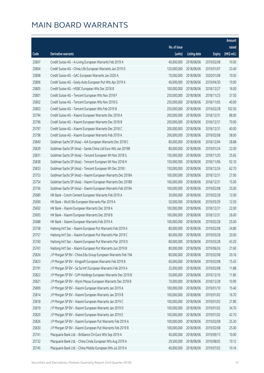|                |                                                                                                                          |                            |                          |                          | Amount         |
|----------------|--------------------------------------------------------------------------------------------------------------------------|----------------------------|--------------------------|--------------------------|----------------|
|                |                                                                                                                          | No. of issue               |                          |                          | raised         |
| Code           | Derivative warrants                                                                                                      | (units)                    | <b>Listing date</b>      | <b>Expiry</b>            | $(HK\$ mil.)   |
| 25807          | Credit Suisse AG - A-Living European Warrants Feb 2019 A                                                                 | 40,000,000                 | 2018/08/06               | 2019/02/08               | 10.00          |
| 25804          | Credit Suisse AG - China Life European Warrants Jan 2019 D                                                               | 120,000,000                | 2018/08/06               | 2019/01/07               | 23.40          |
| 25808          | Credit Suisse AG - GAC European Warrants Jan 2020 A                                                                      | 70,000,000                 | 2018/08/06               | 2020/01/08               | 10.50          |
| 25806          | Credit Suisse AG - Geely Auto European Put Wts Apr 2019 A                                                                | 40,000,000                 | 2018/08/06               | 2019/04/30               | 10.00          |
| 25805          | Credit Suisse AG - HSBC European Wts Dec 2018 B                                                                          | 100,000,000                | 2018/08/06               | 2018/12/27               | 16.00          |
| 25801          | Credit Suisse AG - Tencent European Wts Nov 2018 F                                                                       | 250,000,000                | 2018/08/06               | 2018/11/23               | 37.50          |
| 25802          | Credit Suisse AG - Tencent European Wts Nov 2018 G                                                                       | 250,000,000                | 2018/08/06               | 2018/11/05               | 40.00          |
| 25803          | Credit Suisse AG - Tencent European Wts Feb 2019 B                                                                       | 250,000,000                | 2018/08/06               | 2019/02/28               | 102.50         |
| 25794          | Credit Suisse AG - Xiaomi European Warrants Dec 2018 A                                                                   | 200,000,000                | 2018/08/06               | 2018/12/31               | 88.00          |
| 25796          | Credit Suisse AG - Xiaomi European Warrants Dec 2018 B                                                                   | 200,000,000                | 2018/08/06               | 2018/12/31               | 70.00          |
| 25797          | Credit Suisse AG - Xiaomi European Warrants Dec 2018 C                                                                   | 200,000,000                | 2018/08/06               | 2018/12/31               | 40.00          |
| 25798          | Credit Suisse AG - Xiaomi European Warrants Feb 2019 A                                                                   | 200,000,000                | 2018/08/06               | 2019/02/08               | 58.00          |
| 25840          | Goldman Sachs SP (Asia) - AIA European Warrants Dec 2018 C                                                               | 80,000,000                 | 2018/08/06               | 2018/12/04               | 28.88          |
| 25839          | Goldman Sachs SP (Asia) - Sands China Ltd Euro Wts Jan 2019B                                                             | 80,000,000                 | 2018/08/06               | 2019/01/24               | 22.00          |
| 25831          | Goldman Sachs SP (Asia) - Tencent European Wt Nov 2018 G                                                                 | 150,000,000                | 2018/08/06               | 2018/11/20               | 25.65          |
| 25838          | Goldman Sachs SP (Asia) - Tencent European Wt Nov 2018 H                                                                 | 150,000,000                | 2018/08/06               | 2018/11/06               | 92.10          |
| 25833          | Goldman Sachs SP (Asia) - Tencent European Wt Dec 2018 I                                                                 | 150,000,000                | 2018/08/06               | 2018/12/24               | 62.70          |
| 25753          | Goldman Sachs SP (Asia) - Xiaomi European Warrants Dec 2018A                                                             | 100,000,000                | 2018/08/06               | 2018/12/31               | 27.00          |
| 25754          | Goldman Sachs SP (Asia) - Xiaomi European Warrants Dec 2018B                                                             | 100,000,000                | 2018/08/06               | 2018/12/31               | 15.00          |
| 25756          | Goldman Sachs SP (Asia) - Xiaomi European Warrants Feb 2019A                                                             | 100,000,000                | 2018/08/06               | 2019/02/08               | 25.00          |
| 25689          | HK Bank - Conch Cement European Warrants Feb 2019 A                                                                      | 30,000,000                 | 2018/08/06               | 2019/02/28               | 12.00          |
| 25690          | HK Bank - WuXi Bio European Warrants Mar 2019 A                                                                          | 50,000,000                 | 2018/08/06               | 2019/03/29               | 12.50          |
| 25692          | HK Bank - Xiaomi European Warrants Dec 2018 A                                                                            | 100,000,000                | 2018/08/06               | 2018/12/31               | 22.00          |
| 25693          | HK Bank - Xiaomi European Warrants Dec 2018 B                                                                            | 100,000,000                | 2018/08/06               | 2018/12/31               | 26.00          |
| 25688          | HK Bank - Xiaomi European Warrants Feb 2019 A                                                                            | 100,000,000                | 2018/08/06               | 2019/02/28               | 25.00          |
| 25758          | Haitong Int'l Sec - Xiaomi European Put Warrants Feb 2019 A                                                              | 80,000,000                 | 2018/08/06               | 2019/02/08               | 24.80          |
| 25757          | Haitong Int'l Sec - Xiaomi European Put Warrants Mar 2019 C                                                              |                            | 80,000,000 2018/08/06    | 2019/03/28               | 20.00          |
| 25760          | Haitong Int'l Sec - Xiaomi European Put Warrants Mar 2019 D                                                              | 80,000,000                 | 2018/08/06               | 2019/03/28               | 43.20          |
| 25761          | Haitong Int'l Sec - Xiaomi European Put Warrants Jun 2019 B                                                              | 80,000,000                 | 2018/08/06               | 2019/06/26               | 21.60          |
| 25824          | J P Morgan SP BV - China Edu Group European Warrants Feb 19A                                                             | 80,000,000                 | 2018/08/06               | 2019/02/08               | 20.16          |
| 25823          | J P Morgan SP BV - Kingsoft European Warrants Feb 2019 B                                                                 | 60,000,000                 | 2018/08/06               | 2019/02/08               | 15.42          |
| 25791          | J P Morgan SP BV - Sa Sa Int'l European Warrants Feb 2019 A                                                              | 25,000,000                 | 2018/08/06               | 2019/02/08               | 11.88          |
| 25822          | J P Morgan SP BV - SJM Holdings European Warrants Dec 2019 B                                                             | 50,000,000                 | 2018/08/06               | 2019/12/16               | 11.85          |
| 25821          | J P Morgan SP BV - Wynn Macau European Warrants Dec 2018 B                                                               | 70,000,000                 | 2018/08/06               | 2018/12/28               | 10.99          |
| 25809          | J P Morgan SP BV - Xiaomi European Warrants Jan 2019 A                                                                   | 100,000,000<br>100,000,000 | 2018/08/06               | 2019/01/10               | 15.40<br>16.70 |
| 25814<br>25818 | J P Morgan SP BV - Xiaomi European Warrants Jan 2019 B                                                                   | 100,000,000                | 2018/08/06               | 2019/01/02               | 27.80          |
| 25819          | J P Morgan SP BV - Xiaomi European Warrants Jan 2019 C<br>J P Morgan SP BV - Xiaomi European Warrants Jan 2019 D         | 100,000,000                | 2018/08/06<br>2018/08/06 | 2019/01/02<br>2019/01/02 | 34.70          |
| 25820          | J P Morgan SP BV - Xiaomi European Warrants Jan 2019 E                                                                   | 100,000,000                | 2018/08/06               | 2019/01/02               | 42.70          |
|                |                                                                                                                          | 100,000,000                |                          |                          | 25.30          |
| 25826<br>25830 | J P Morgan SP BV - Xiaomi European Put Warrants Feb 2019 A<br>J P Morgan SP BV - Xiaomi European Put Warrants Feb 2019 B | 100,000,000                | 2018/08/06<br>2018/08/06 | 2019/02/08<br>2019/02/08 | 25.00          |
| 25741          | Macquarie Bank Ltd. - Brilliance Chi Euro Wts Sep 2019 A                                                                 | 40,000,000                 | 2018/08/06               | 2019/09/13               | 10.00          |
| 25732          | Macquarie Bank Ltd. - China Cinda European Wts Aug 2019 A                                                                | 29,500,000                 | 2018/08/06               | 2019/08/02               | 10.12          |
| 25745          | Macquarie Bank Ltd. - China Mobile European Wts Jul 2019 A                                                               | 40,000,000                 | 2018/08/06               | 2019/07/02               | 10.16          |
|                |                                                                                                                          |                            |                          |                          |                |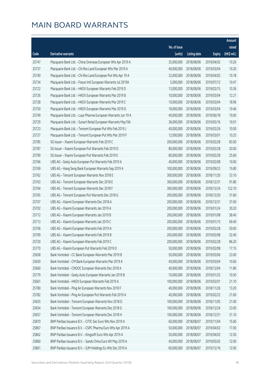|       |                                                              |                        |                     |               | Amount      |
|-------|--------------------------------------------------------------|------------------------|---------------------|---------------|-------------|
|       |                                                              | No. of issue           |                     |               | raised      |
| Code  | Derivative warrants                                          | (units)                | <b>Listing date</b> | <b>Expiry</b> | (HK\$ mil.) |
| 25747 | Macquarie Bank Ltd. - China Overseas European Wts Apr 2019 A | 35,000,000             | 2018/08/06          | 2019/04/02    | 10.26       |
| 25737 | Macquarie Bank Ltd. - Chi Res Land European Wts Mar 2019 A   | 40,000,000             | 2018/08/06          | 2019/03/04    | 10.20       |
| 25740 | Macquarie Bank Ltd. - Chi Res Land European Put Wts Apr 19 A | 32,000,000             | 2018/08/06          | 2019/04/02    | 10.18       |
| 25734 | Macquarie Bank Ltd. - Fosun Intl European Warrants Jul 2019A | 5,000,000              | 2018/08/06          | 2019/07/12    | 10.47       |
| 25722 | Macquarie Bank Ltd. - HKEX European Warrants Feb 2019 D      | 13,000,000             | 2018/08/06          | 2019/02/15    | 10.36       |
| 25726 | Macquarie Bank Ltd. - HKEX European Warrants Mar 2019 B      | 10,000,000             | 2018/08/06          | 2019/03/04    | 12.21       |
| 25728 | Macquarie Bank Ltd. - HKEX European Warrants Mar 2019 C      | 10,000,000             | 2018/08/06          | 2019/03/04    | 18.96       |
| 25750 | Macquarie Bank Ltd. - HKEX European Warrants Mar 2019 D      | 18,000,000             | 2018/08/06          | 2019/03/04    | 10.46       |
| 25749 | Macquarie Bank Ltd. - Luye Pharma European Warrants Jun 19 A | 40,000,000             | 2018/08/06          | 2019/06/18    | 10.00       |
| 25729 | Macquarie Bank Ltd. - Sunart Retail European Warrants May19A | 36,000,000             | 2018/08/06          | 2019/05/16    | 10.01       |
| 25723 | Macquarie Bank Ltd. - Tencent European Put Wts Feb 2019 J    | 40,000,000             | 2018/08/06          | 2019/02/26    | 10.00       |
| 25727 | Macquarie Bank Ltd. - Tencent European Put Wts Mar 2019 F    | 12,000,000             | 2018/08/06          | 2019/03/01    | 10.25       |
| 25785 | SG Issuer - Xiaomi European Warrants Feb 2019 C              | 200,000,000            | 2018/08/06          | 2019/02/28    | 83.00       |
| 25787 | SG Issuer - Xiaomi European Put Warrants Feb 2019 D          | 80,000,000             | 2018/08/06          | 2019/02/28    | 20.00       |
| 25790 | SG Issuer - Xiaomi European Put Warrants Feb 2019 E          | 80,000,000             | 2018/08/06          | 2019/02/28    | 25.60       |
| 25766 | UBS AG - Geely Auto European Put Warrants Feb 2019 A         | 40,000,000             | 2018/08/06          | 2019/02/08    | 10.00       |
| 25769 | UBS AG - Hang Seng Bank European Warrants Sep 2019 A         | 100,000,000            | 2018/08/06          | 2019/09/23    | 15.80       |
| 25762 | UBS AG - Tencent European Warrants Nov 2018 E                | 300,000,000            | 2018/08/06          | 2018/11/20    | 53.10       |
| 25763 | UBS AG - Tencent European Warrants Dec 2018 E                | 300,000,000            | 2018/08/06          | 2018/12/31    | 91.80       |
| 25764 | UBS AG - Tencent European Warrants Dec 2018 F                | 300,000,000            | 2018/08/06          | 2018/12/24    | 122.10      |
| 25765 | UBS AG - Tencent European Put Warrants Dec 2018 G            | 200,000,000            | 2018/08/06          | 2018/12/20    | 31.60       |
| 25707 | UBS AG - Xiaomi European Warrants Dec 2018 A                 | 200,000,000            | 2018/08/06          | 2018/12/31    | 37.60       |
| 25702 | UBS AG - Xiaomi European Warrants Jan 2019 A                 | 200,000,000            | 2018/08/06          | 2019/01/24    | 30.20       |
| 25712 | UBS AG - Xiaomi European Warrants Jan 2019 B                 | 200,000,000            | 2018/08/06          | 2019/01/08    | 58.40       |
| 25713 | UBS AG - Xiaomi European Warrants Jan 2019 C                 | 200,000,000            | 2018/08/06          | 2019/01/15    | 69.40       |
| 25706 | UBS AG - Xiaomi European Warrants Feb 2019 A                 | 200,000,000            | 2018/08/06          | 2019/02/28    | 50.00       |
| 25709 | UBS AG - Xiaomi European Warrants Feb 2019 B                 | 200,000,000 2018/08/06 |                     | 2019/02/08    | 52.40       |
| 25720 | UBS AG - Xiaomi European Warrants Feb 2019 C                 | 200,000,000            | 2018/08/06          | 2019/02/28    | 86.20       |
| 25770 | UBS AG - Xiaomi European Put Warrants Feb 2019 D             | 50,000,000             | 2018/08/06          | 2019/02/08    | 17.15       |
| 25658 | Bank Vontobel - CC Bank European Warrants Mar 2019 B         | 50,000,000             | 2018/08/06          | 2019/03/06    | 23.00       |
| 25659 | Bank Vontobel - CM Bank European Warrants Mar 2019 A         | 40,000,000             | 2018/08/06          | 2019/03/04    | 10.60       |
| 25660 | Bank Vontobel - CNOOC European Warrants Dec 2018 A           | 40,000,000             | 2018/08/06          | 2018/12/04    | 11.80       |
| 25779 | Bank Vontobel - Geely Auto European Warrants Jan 2019 B      | 70,000,000             | 2018/08/06          | 2019/01/25    | 10.50       |
| 25661 | Bank Vontobel - HKEX European Warrants Feb 2019 A            | 100,000,000            | 2018/08/06          | 2019/02/01    | 21.10       |
| 25780 | Bank Vontobel - Ping An European Warrants Nov 2018 F         | 40,000,000             | 2018/08/06          | 2018/11/26    | 13.20       |
| 25782 | Bank Vontobel - Ping An European Put Warrants Feb 2019 A     | 40,000,000             | 2018/08/06          | 2019/02/22    | 21.60       |
| 25655 | Bank Vontobel - Tencent European Warrants Nov 2018 D         | 100,000,000            | 2018/08/06          | 2018/11/05    | 21.00       |
| 25654 | Bank Vontobel - Tencent European Warrants Dec 2018 G         | 100,000,000            | 2018/08/06          | 2018/12/24    | 23.00       |
| 25657 | Bank Vontobel - Tencent European Warrants Dec 2018 H         | 100,000,000            | 2018/08/06          | 2018/12/31    | 31.10       |
| 25870 | BNP Paribas Issuance B.V. - CITIC Sec Euro Wts Nov 2019 A    | 60,000,000             | 2018/08/07          | 2019/11/04    | 15.60       |
| 25867 | BNP Paribas Issuance B.V. - CSPC Pharma Euro Wts Apr 2019 A  | 50,000,000             | 2018/08/07          | 2019/04/02    | 17.00       |
| 25862 | BNP Paribas Issuance B.V. - Kingsoft Euro Wts Apr 2019 A     | 50,000,000             | 2018/08/07          | 2019/04/02    | 12.50       |
| 25860 | BNP Paribas Issuance B.V. - Sands China Euro Wt May 2019 A   | 40,000,000             | 2018/08/07          | 2019/05/02    | 12.00       |
| 25861 | BNP Paribas Issuance B.V. - SJM Holdings Eu Wts Dec 2019 A   | 60,000,000             | 2018/08/07          | 2019/12/16    | 12.00       |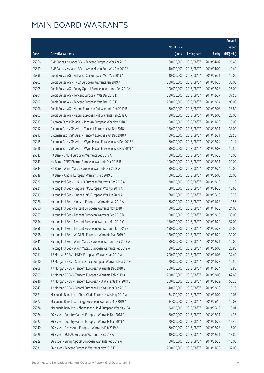|       |                                                              |                        |                     |               | Amount      |
|-------|--------------------------------------------------------------|------------------------|---------------------|---------------|-------------|
|       |                                                              | No. of issue           |                     |               | raised      |
| Code  | Derivative warrants                                          | (units)                | <b>Listing date</b> | <b>Expiry</b> | (HK\$ mil.) |
| 25866 | BNP Paribas Issuance B.V. - Tencent European Wts Apr 2019 I  | 80,000,000             | 2018/08/07          | 2019/04/02    | 26.40       |
| 25859 | BNP Paribas Issuance B.V. - Wynn Macau Euro Wts Apr 2019 A   | 40,000,000             | 2018/08/07          | 2019/04/02    | 10.40       |
| 25898 | Credit Suisse AG - Brilliance Chi European Wts May 2019 A    | 40,000,000             | 2018/08/07          | 2019/05/31    | 10.00       |
| 25903 | Credit Suisse AG - HKEX European Warrants Jan 2019 A         | 200,000,000            | 2018/08/07          | 2019/01/28    | 36.00       |
| 25905 | Credit Suisse AG - Sunny Optical European Warrants Feb 2019A | 100,000,000            | 2018/08/07          | 2019/02/28    | 25.00       |
| 25901 | Credit Suisse AG - Tencent European Wts Dec 2018 D           | 250,000,000            | 2018/08/07          | 2018/12/27    | 37.50       |
| 25902 | Credit Suisse AG - Tencent European Wts Dec 2018 E           | 250,000,000            | 2018/08/07          | 2018/12/24    | 90.00       |
| 25906 | Credit Suisse AG - Xiaomi European Put Warrants Feb 2019 B   | 80,000,000             | 2018/08/07          | 2019/02/08    | 28.80       |
| 25907 | Credit Suisse AG - Xiaomi European Put Warrants Feb 2019 C   | 80,000,000             | 2018/08/07          | 2019/02/08    | 20.00       |
| 25913 | Goldman Sachs SP (Asia) - Ping An European Wts Nov 2018 D    | 100,000,000            | 2018/08/07          | 2018/11/23    | 15.00       |
| 25912 | Goldman Sachs SP (Asia) - Tencent European Wt Dec 2018 J     | 150,000,000            | 2018/08/07          | 2018/12/31    | 33.00       |
| 25917 | Goldman Sachs SP (Asia) - Tencent European Wt Dec 2018 K     | 150,000,000            | 2018/08/07          | 2018/12/31    | 22.50       |
| 25915 | Goldman Sachs SP (Asia) - Wynn Macau European Wts Dec 2018 A | 60,000,000             | 2018/08/07          | 2018/12/24    | 10.14       |
| 25916 | Goldman Sachs SP (Asia) - Wynn Macau European Wts Feb 2019 A | 50,000,000             | 2018/08/07          | 2019/02/08    | 12.50       |
| 25847 | HK Bank - CNBM European Warrants Sep 2019 A                  | 100,000,000            | 2018/08/07          | 2019/09/23    | 15.00       |
| 25843 | HK Bank - CSPC Pharma European Warrants Dec 2018 B           | 100,000,000            | 2018/08/07          | 2018/12/31    | 21.00       |
| 25844 | HK Bank - Wynn Macau European Warrants Dec 2018 A            | 80,000,000             | 2018/08/07          | 2018/12/24    | 12.00       |
| 25848 | HK Bank - Xiaomi European Warrants Feb 2019 B                | 100,000,000            | 2018/08/07          | 2019/02/08    | 25.00       |
| 25922 | Haitong Int'l Sec - CHALCO European Warrants Dec 2018 A      | 30,000,000             | 2018/08/07          | 2018/12/19    | 11.10       |
| 25921 | Haitong Int'l Sec - Kingdee Int'l European Wts Apr 2019 A    | 68,000,000             | 2018/08/07          | 2019/04/23    | 13.60       |
| 25919 | Haitong Int'l Sec - Kingdee Int'l European Wts Jun 2019 A    | 68,000,000             | 2018/08/07          | 2019/06/18    | 18.36       |
| 25926 | Haitong Int'l Sec - Kingsoft European Warrants Jan 2019 A    | 68,000,000             | 2018/08/07          | 2019/01/28    | 11.56       |
| 25850 | Haitong Int'l Sec - Tencent European Warrants Nov 2018 F     | 150,000,000            | 2018/08/07          | 2018/11/20    | 24.00       |
| 25853 | Haitong Int'l Sec - Tencent European Warrants Feb 2019 B     | 150,000,000            | 2018/08/07          | 2019/02/15    | 39.00       |
| 25854 | Haitong Int'l Sec - Tencent European Warrants Mar 2019 C     | 150,000,000            | 2018/08/07          | 2019/03/29    | 57.00       |
| 25856 | Haitong Int'l Sec - Tencent European Put Warrants Jun 2019 B | 150,000,000            | 2018/08/07          | 2019/06/28    | 39.00       |
| 25858 | Haitong Int'l Sec - WuXi Bio European Warrants Mar 2019 A    | 120,000,000 2018/08/07 |                     | 2019/03/29    | 30.00       |
| 25841 | Haitong Int'l Sec - Wynn Macau European Warrants Dec 2018 A  | 80,000,000             | 2018/08/07          | 2018/12/21    | 12.00       |
| 25842 | Haitong Int'l Sec - Wynn Macau European Warrants Feb 2019 A  | 80,000,000             | 2018/08/07          | 2019/02/08    | 20.80       |
| 25911 | J P Morgan SP BV - HKEX European Warrants Jan 2019 A         | 200,000,000            | 2018/08/07          | 2019/01/03    | 32.40       |
| 25910 | J P Morgan SP BV - Sunny Optical European Warrants Nov 2018C | 70,000,000             | 2018/08/07          | 2018/11/23    | 10.50       |
| 25908 | J P Morgan SP BV - Tencent European Warrants Dec 2018 G      | 200,000,000            | 2018/08/07          | 2018/12/24    | 72.80       |
| 25909 | J P Morgan SP BV - Tencent European Warrants Feb 2019 A      | 200,000,000            | 2018/08/07          | 2019/02/08    | 62.60       |
| 25946 | J P Morgan SP BV - Tencent European Put Warrants Mar 2019 C  | 200,000,000            | 2018/08/07          | 2019/03/29    | 50.20       |
| 25947 | J P Morgan SP BV - Xiaomi European Put Warrants Feb 2019 C   | 40,000,000             | 2018/08/07          | 2019/02/28    | 10.16       |
| 25871 | Macquarie Bank Ltd. - China Cinda European Wts May 2019 A    | 34,500,000             | 2018/08/07          | 2019/05/02    | 10.07       |
| 25877 | Macquarie Bank Ltd. - Tingyi European Warrants May 2019 A    | 34,000,000             | 2018/08/07          | 2019/05/16    | 10.03       |
| 25874 | Macquarie Bank Ltd. - Zhongsheng Hold European Wts May19A    | 24,000,000             | 2018/08/07          | 2019/05/16    | 10.01       |
| 25924 | SG Issuer - Country Garden European Warrants Dec 2018 C      | 70,000,000             | 2018/08/07          | 2018/12/31    | 14.35       |
| 25927 | SG Issuer - Country Garden European Warrants Mar 2019 A      | 70,000,000             | 2018/08/07          | 2019/03/29    | 15.40       |
| 25940 | SG Issuer - Geely Auto European Warrants Feb 2019 A          | 60,000,000             | 2018/08/07          | 2019/02/28    | 15.00       |
| 25928 | SG Issuer - SUNAC European Warrants Dec 2018 A               | 40,000,000             | 2018/08/07          | 2018/12/31    | 13.80       |
| 25929 | SG Issuer - Sunny Optical European Warrants Feb 2019 A       | 60,000,000             | 2018/08/07          | 2019/02/28    | 15.00       |
| 25931 | SG Issuer - Tencent European Warrants Nov 2018 E             | 200,000,000            | 2018/08/07          | 2018/11/30    | 37.00       |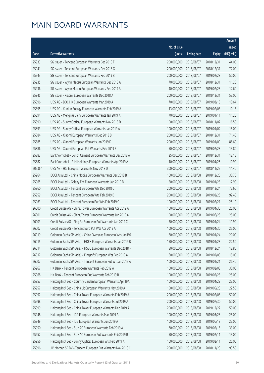|         |                                                              |              |                       |               | Amount                |
|---------|--------------------------------------------------------------|--------------|-----------------------|---------------|-----------------------|
|         |                                                              | No. of issue |                       |               | raised                |
| Code    | <b>Derivative warrants</b>                                   | (units)      | <b>Listing date</b>   | <b>Expiry</b> | $(HK\frac{1}{2}mil.)$ |
| 25933   | SG Issuer - Tencent European Warrants Dec 2018 F             | 200,000,000  | 2018/08/07            | 2018/12/31    | 44.00                 |
| 25941   | SG Issuer - Tencent European Warrants Dec 2018 G             | 200,000,000  | 2018/08/07            | 2018/12/31    | 72.00                 |
| 25943   | SG Issuer - Tencent European Warrants Feb 2019 B             | 200,000,000  | 2018/08/07            | 2019/02/28    | 50.00                 |
| 25935   | SG Issuer - Wynn Macau European Warrants Dec 2018 A          | 70,000,000   | 2018/08/07            | 2018/12/31    | 11.20                 |
| 25936   | SG Issuer - Wynn Macau European Warrants Feb 2019 A          | 40,000,000   | 2018/08/07            | 2019/02/28    | 12.60                 |
| 25945   | SG Issuer - Xiaomi European Warrants Dec 2018 A              | 200,000,000  | 2018/08/07            | 2018/12/31    | 53.00                 |
| 25896   | UBS AG - BOC HK European Warrants Mar 2019 A                 | 70,000,000   | 2018/08/07            | 2019/03/18    | 10.64                 |
| 25895   | UBS AG - Kunlun Energy European Warrants Feb 2019 A          | 13,000,000   | 2018/08/07            | 2019/02/08    | 10.15                 |
| 25894   | UBS AG - Mengniu Dairy European Warrants Jan 2019 A          | 70,000,000   | 2018/08/07            | 2019/01/11    | 11.20                 |
| 25890   | UBS AG - Sunny Optical European Warrants Nov 2018 D          | 100,000,000  | 2018/08/07            | 2018/11/07    | 16.50                 |
| 25893   | UBS AG - Sunny Optical European Warrants Jan 2019 A          | 100,000,000  | 2018/08/07            | 2019/01/02    | 15.00                 |
| 25884   | UBS AG - Xiaomi European Warrants Dec 2018 B                 | 200,000,000  | 2018/08/07            | 2018/12/31    | 71.40                 |
| 25885   | UBS AG - Xiaomi European Warrants Jan 2019 D                 | 200,000,000  | 2018/08/07            | 2019/01/09    | 86.60                 |
| 25886   | UBS AG - Xiaomi European Put Warrants Feb 2019 E             | 50,000,000   | 2018/08/07            | 2019/02/28    | 13.80                 |
| 25883   | Bank Vontobel - Conch Cement European Warrants Dec 2018 A    | 25,000,000   | 2018/08/07            | 2018/12/31    | 12.15                 |
| 25882   | Bank Vontobel - SJM Holdings European Warrants Apr 2019 A    | 10,000,000   | 2018/08/07            | 2019/04/26    | 10.99                 |
| 20536 # | UBS AG - HSI European Warrants Nov 2018 D                    | 300,000,000  | 2018/08/07            | 2018/11/29    | 11.40                 |
| 25964   | BOCI Asia Ltd. - China Mobile European Warrants Dec 2018 B   | 100,000,000  | 2018/08/08            | 2018/12/20    | 30.70                 |
| 25965   | BOCI Asia Ltd. - Galaxy Ent European Warrants Jan 2019 B     | 50,000,000   | 2018/08/08            | 2019/01/28    | 12.90                 |
| 25960   | BOCI Asia Ltd. - Tencent European Wts Dec 2018 C             | 200,000,000  | 2018/08/08            | 2018/12/24    | 72.60                 |
| 25959   | BOCI Asia Ltd. - Tencent European Wts Feb 2019 B             | 200,000,000  | 2018/08/08            | 2019/02/25    | 92.40                 |
| 25963   | BOCI Asia Ltd. - Tencent European Put Wts Feb 2019 C         | 100,000,000  | 2018/08/08            | 2019/02/21    | 25.10                 |
| 26000   | Credit Suisse AG - China Tower European Warrants Apr 2019 A  | 100,000,000  | 2018/08/08            | 2019/04/30    | 25.00                 |
| 26001   | Credit Suisse AG - China Tower European Warrants Jun 2019 A  | 100,000,000  | 2018/08/08            | 2019/06/28    | 25.00                 |
| 26003   | Credit Suisse AG - Ping An European Put Warrants Jan 2019 C  | 70,000,000   | 2018/08/08            | 2019/01/24    | 11.90                 |
| 26002   | Credit Suisse AG - Tencent Euro Put Wts Apr 2019 A           | 100,000,000  | 2018/08/08            | 2019/04/30    | 25.00                 |
| 26019   | Goldman Sachs SP (Asia) - China Overseas European Wts Jan19A |              | 80,000,000 2018/08/08 | 2019/01/24    | 20.00                 |
| 26015   | Goldman Sachs SP (Asia) - HKEX European Warrants Jan 2019 B  | 150,000,000  | 2018/08/08            | 2019/01/28    | 22.50                 |
| 26014   | Goldman Sachs SP (Asia) - HSBC European Warrants Dec 2018 F  | 80,000,000   | 2018/08/08            | 2018/12/24    | 12.80                 |
| 26017   | Goldman Sachs SP (Asia) - Kingsoft European Wts Feb 2019 A   | 60,000,000   | 2018/08/08            | 2019/02/08    | 15.00                 |
| 26007   | Goldman Sachs SP (Asia) - Tencent European Put Wt Jan 2019 A | 100,000,000  | 2018/08/08            | 2019/01/21    | 26.40                 |
| 25967   | HK Bank - Tencent European Warrants Feb 2019 A               | 100,000,000  | 2018/08/08            | 2019/02/08    | 30.00                 |
| 25968   | HK Bank - Tencent European Put Warrants Feb 2019 B           | 100,000,000  | 2018/08/08            | 2019/02/28    | 25.00                 |
| 25953   | Haitong Int'l Sec - Country Garden European Warrants Apr 19A | 100,000,000  | 2018/08/08            | 2019/04/29    | 23.00                 |
| 25957   | Haitong Int'l Sec - China Lit European Warrants May 2019 A   | 150,000,000  | 2018/08/08            | 2019/05/23    | 22.50                 |
| 25997   | Haitong Int'l Sec - China Tower European Warrants Feb 2019 A | 200,000,000  | 2018/08/08            | 2019/02/08    | 50.00                 |
| 25998   | Haitong Int'l Sec - China Tower European Warrants Jul 2019 A | 200,000,000  | 2018/08/08            | 2019/07/30    | 50.00                 |
| 25999   | Haitong Int'l Sec - China Tower European Warrants Dec 2019 A | 200,000,000  | 2018/08/08            | 2019/12/27    | 50.00                 |
| 25948   | Haitong Int'l Sec - IGG European Warrants Mar 2019 A         | 100,000,000  | 2018/08/08            | 2019/03/28    | 25.00                 |
| 25949   | Haitong Int'l Sec - IGG European Warrants Jun 2019 A         | 100,000,000  | 2018/08/08            | 2019/06/18    | 27.00                 |
| 25950   | Haitong Int'l Sec - SUNAC European Warrants Feb 2019 A       | 60,000,000   | 2018/08/08            | 2019/02/15    | 33.00                 |
| 25952   | Haitong Int'l Sec - SUNAC European Put Warrants Feb 2019 B   | 50,000,000   | 2018/08/08            | 2019/02/11    | 13.00                 |
| 25956   | Haitong Int'l Sec - Sunny Optical European Wts Feb 2019 A    | 100,000,000  | 2018/08/08            | 2019/02/11    | 25.00                 |
| 25996   | J P Morgan SP BV - Tencent European Put Warrants Nov 2018 C  | 250,000,000  | 2018/08/08            | 2018/11/23    | 93.50                 |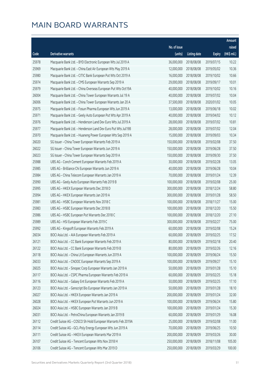|       |                                                              |              |                       |               | Amount      |
|-------|--------------------------------------------------------------|--------------|-----------------------|---------------|-------------|
|       |                                                              | No. of issue |                       |               | raised      |
| Code  | <b>Derivative warrants</b>                                   | (units)      | <b>Listing date</b>   | <b>Expiry</b> | (HK\$ mil.) |
| 25978 | Macquarie Bank Ltd. - BYD Electronic European Wts Jul 2019 A | 36,000,000   | 2018/08/08            | 2019/07/15    | 10.22       |
| 25969 | Macquarie Bank Ltd. - China East Air European Wts May 2019 A | 12,000,000   | 2018/08/08            | 2019/05/02    | 10.36       |
| 25980 | Macquarie Bank Ltd. - CITIC Bank European Put Wts Oct 2019 A | 16,000,000   | 2018/08/08            | 2019/10/02    | 10.66       |
| 25974 | Macquarie Bank Ltd. - CMS European Warrants Sep 2019 A       | 29,000,000   | 2018/08/08            | 2019/09/17    | 10.01       |
| 25979 | Macquarie Bank Ltd. - China Overseas European Put Wts Oct19A | 40,000,000   | 2018/08/08            | 2019/10/02    | 10.16       |
| 26004 | Macquarie Bank Ltd. - China Tower European Warrants Jul 19 A | 40,000,000   | 2018/08/08            | 2019/07/02    | 10.04       |
| 26006 | Macquarie Bank Ltd. - China Tower European Warrants Jan 20 A | 37,500,000   | 2018/08/08            | 2020/01/02    | 10.05       |
| 25975 | Macquarie Bank Ltd. - Fosun Pharma European Wts Jun 2019 A   | 13,000,000   | 2018/08/08            | 2019/06/18    | 10.02       |
| 25971 | Macquarie Bank Ltd. - Geely Auto European Put Wts Apr 2019 A | 40,000,000   | 2018/08/08            | 2019/04/02    | 10.12       |
| 25976 | Macquarie Bank Ltd. - Henderson Land Dev Euro Wts Jul 2019 A | 28,000,000   | 2018/08/08            | 2019/07/02    | 10.81       |
| 25977 | Macquarie Bank Ltd. - Henderson Land Dev Euro Put Wts Jul19B | 28,000,000   | 2018/08/08            | 2019/07/02    | 12.04       |
| 25970 | Macquarie Bank Ltd. - Huaneng Power European Wts Sep 2019 A  | 15,000,000   | 2018/08/08            | 2019/09/03    | 10.34       |
| 26020 | SG Issuer - China Tower European Warrants Feb 2019 A         | 150,000,000  | 2018/08/08            | 2019/02/08    | 37.50       |
| 26022 | SG Issuer - China Tower European Warrants Jun 2019 A         | 150,000,000  | 2018/08/08            | 2019/06/28    | 37.50       |
| 26023 | SG Issuer - China Tower European Warrants Sep 2019 A         | 150,000,000  | 2018/08/08            | 2019/09/30    | 37.50       |
| 25988 | UBS AG - Conch Cement European Warrants Feb 2019 A           | 30,000,000   | 2018/08/08            | 2019/02/28    | 13.05       |
| 25985 | UBS AG - Brilliance Chi European Warrants Jun 2019 A         | 40,000,000   | 2018/08/08            | 2019/06/28    | 10.04       |
| 25984 | UBS AG - China Telecom European Warrants Jan 2019 A          | 70,000,000   | 2018/08/08            | 2019/01/24    | 12.39       |
| 25990 | UBS AG - Geely Auto European Warrants Feb 2019 B             | 100,000,000  | 2018/08/08            | 2019/02/08    | 25.00       |
| 25995 | UBS AG - HKEX European Warrants Dec 2018 D                   | 300,000,000  | 2018/08/08            | 2018/12/24    | 58.80       |
| 25994 | UBS AG - HKEX European Warrants Jan 2019 A                   | 300,000,000  | 2018/08/08            | 2019/01/28    | 58.50       |
| 25981 | UBS AG - HSBC European Warrants Nov 2018 C                   | 100,000,000  | 2018/08/08            | 2018/11/27    | 15.00       |
| 25983 | UBS AG - HSBC European Warrants Dec 2018 B                   | 100,000,000  | 2018/08/08            | 2018/12/20    | 15.50       |
| 25986 | UBS AG - HSBC European Put Warrants Dec 2018 C               | 100,000,000  | 2018/08/08            | 2018/12/20    | 27.10       |
| 25989 | UBS AG - HSI European Warrants Feb 2019 C                    | 300,000,000  | 2018/08/08            | 2019/02/27    | 75.00       |
| 25992 | UBS AG - Kingsoft European Warrants Feb 2019 A               | 60,000,000   | 2018/08/08            | 2019/02/08    | 15.24       |
| 26034 | BOCI Asia Ltd. - AIA European Warrants Feb 2019 A            |              | 60,000,000 2018/08/09 | 2019/02/25    | 17.52       |
| 26121 | BOCI Asia Ltd. - CC Bank European Warrants Feb 2019 A        | 80,000,000   | 2018/08/09            | 2019/02/18    | 20.40       |
| 26122 | BOCI Asia Ltd. - CC Bank European Warrants Feb 2019 B        | 80,000,000   | 2018/08/09            | 2019/02/26    | 12.16       |
| 26118 | BOCI Asia Ltd. - China Lit European Warrants Jun 2019 A      | 100,000,000  | 2018/08/09            | 2019/06/24    | 15.50       |
| 26033 | BOCI Asia Ltd. - CNOOC European Warrants Sep 2019 A          | 100,000,000  | 2018/08/09            | 2019/09/27    | 15.10       |
| 26025 | BOCI Asia Ltd. - Sinopec Corp European Warrants Jan 2019 A   | 50,000,000   | 2018/08/09            | 2019/01/28    | 15.10       |
| 26117 | BOCI Asia Ltd. - CSPC Pharma European Warrants Feb 2019 A    | 60,000,000   | 2018/08/09            | 2019/02/25    | 15.18       |
| 26116 | BOCI Asia Ltd. - Galaxy Ent European Warrants Feb 2019 A     | 50,000,000   | 2018/08/09            | 2019/02/25    | 17.10       |
| 26123 | BOCI Asia Ltd. - Genscript Bio European Warrants Jan 2019 A  | 50,000,000   | 2018/08/09            | 2019/01/28    | 18.10       |
| 26027 | BOCI Asia Ltd. - HKEX European Warrants Jan 2019 A           | 200,000,000  | 2018/08/09            | 2019/01/24    | 32.00       |
| 26028 | BOCI Asia Ltd. - HKEX European Put Warrants Jun 2019 A       | 100,000,000  | 2018/08/09            | 2019/06/24    | 15.80       |
| 26024 | BOCI Asia Ltd. - HSBC European Warrants Jan 2019 B           | 100,000,000  | 2018/08/09            | 2019/01/24    | 15.30       |
| 26031 | BOCI Asia Ltd. - PetroChina European Warrants Jan 2019 B     | 60,000,000   | 2018/08/09            | 2019/01/29    | 16.08       |
| 26112 | Credit Suisse AG - COSCO Sh Hold European Warrants Feb 2019A | 25,000,000   | 2018/08/09            | 2019/02/08    | 11.00       |
| 26114 | Credit Suisse AG - GCL-Poly Energy European Wts Jun 2019 A   | 70,000,000   | 2018/08/09            | 2019/06/25    | 10.50       |
| 26111 | Credit Suisse AG - HKEX European Warrants Mar 2019 A         | 200,000,000  | 2018/08/09            | 2019/03/26    | 30.00       |
| 26107 | Credit Suisse AG - Tencent European Wts Nov 2018 H           | 250,000,000  | 2018/08/09            | 2018/11/08    | 105.00      |
| 26106 | Credit Suisse AG - Tencent European Wts Mar 2019 D           | 250,000,000  | 2018/08/09            | 2019/03/29    | 100.00      |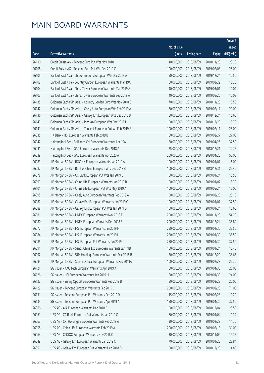|       |                                                              |                        |                     |               | Amount      |
|-------|--------------------------------------------------------------|------------------------|---------------------|---------------|-------------|
|       |                                                              | No. of issue           |                     |               | raised      |
| Code  | Derivative warrants                                          | (units)                | <b>Listing date</b> | <b>Expiry</b> | (HK\$ mil.) |
| 26110 | Credit Suisse AG - Tencent Euro Put Wts Nov 2018 I           | 40,000,000             | 2018/08/09          | 2018/11/23    | 23.20       |
| 26108 | Credit Suisse AG - Tencent Euro Put Wts Feb 2019 C           | 100,000,000            | 2018/08/09          | 2019/02/08    | 25.00       |
| 26105 | Bank of East Asia - Ch Comm Cons European Wts Dec 2019 A     | 50,000,000             | 2018/08/09          | 2019/12/24    | 12.50       |
| 26102 | Bank of East Asia - Country Garden European Warrants Mar 19A | 60,000,000             | 2018/08/09          | 2019/03/29    | 10.20       |
| 26104 | Bank of East Asia - China Tower European Warrants Mar 2019 A | 40,000,000             | 2018/08/09          | 2019/03/01    | 10.04       |
| 26103 | Bank of East Asia - China Tower European Warrants Sep 2019 A | 40,000,000             | 2018/08/09          | 2019/09/26    | 10.08       |
| 26135 | Goldman Sachs SP (Asia) - Country Garden Euro Wts Nov 2018 C | 70,000,000             | 2018/08/09          | 2018/11/23    | 10.50       |
| 26142 | Goldman Sachs SP (Asia) - Geely Auto European Wts Feb 2019 A | 80,000,000             | 2018/08/09          | 2019/02/11    | 20.00       |
| 26136 | Goldman Sachs SP (Asia) - Galaxy Ent European Wts Dec 2018 B | 80,000,000             | 2018/08/09          | 2018/12/24    | 15.60       |
| 26143 | Goldman Sachs SP (Asia) - Ping An European Wts Dec 2018 H    | 100,000,000            | 2018/08/09          | 2018/12/20    | 15.70       |
| 26141 | Goldman Sachs SP (Asia) - Tencent European Put Wt Feb 2019 A | 100,000,000            | 2018/08/09          | 2019/02/11    | 25.00       |
| 26035 | HK Bank - HSI European Warrants Feb 2019 B                   | 180,000,000            | 2018/08/09          | 2019/02/27    | 27.00       |
| 26042 | Haitong Int'l Sec - Brilliance Chi European Warrants Apr 19A | 150,000,000            | 2018/08/09          | 2019/04/25    | 37.50       |
| 26041 | Haitong Int'l Sec - GAC European Warrants Dec 2018 A         | 25,000,000             | 2018/08/09          | 2018/12/21    | 12.75       |
| 26039 | Haitong Int'l Sec - GAC European Warrants Apr 2020 A         | 200,000,000            | 2018/08/09          | 2020/04/20    | 50.00       |
| 26083 | J P Morgan SP BV - BOC HK European Warrants Jan 2019 A       | 100,000,000            | 2018/08/09          | 2019/01/07    | 16.00       |
| 26082 | J P Morgan SP BV - Bank of China European Wts Dec 2018 B     | 100,000,000            | 2018/08/09          | 2018/12/31    | 25.40       |
| 26078 | J P Morgan SP BV - CC Bank European Put Wts Jan 2019 B       | 100,000,000            | 2018/08/09          | 2019/01/24    | 15.50       |
| 26099 | J P Morgan SP BV - China Life European Warrants Jan 2019 B   | 100,000,000            | 2018/08/09          | 2019/01/07    | 18.30       |
| 26101 | J P Morgan SP BV - China Life European Put Wts May 2019 A    | 100,000,000            | 2018/08/09          | 2019/05/24    | 15.00       |
| 26095 | J P Morgan SP BV - Geely Auto European Warrants Feb 2019 A   | 100,000,000            | 2018/08/09          | 2019/02/28    | 25.10       |
| 26087 | J P Morgan SP BV - Galaxy Ent European Warrants Jan 2019 C   | 100,000,000            | 2018/08/09          | 2019/01/07    | 37.50       |
| 26088 | J P Morgan SP BV - Galaxy Ent European Put Wts Jan 2019 D    | 100,000,000            | 2018/08/09          | 2019/01/24    | 15.60       |
| 26081 | J P Morgan SP BV - HKEX European Warrants Nov 2018 E         | 200,000,000            | 2018/08/09          | 2018/11/28    | 54.20       |
| 26080 | J P Morgan SP BV - HKEX European Warrants Dec 2018 E         | 200,000,000            | 2018/08/09          | 2018/12/24    | 35.80       |
| 26072 | J P Morgan SP BV - HSI European Warrants Jan 2019 H          | 250,000,000            | 2018/08/09          | 2019/01/30    | 37.50       |
| 26084 | J P Morgan SP BV - HSI European Warrants Jan 2019            | 250,000,000 2018/08/09 |                     | 2019/01/30    | 38.50       |
| 26085 | J P Morgan SP BV - HSI European Put Warrants Jan 2019 J      | 250,000,000            | 2018/08/09          | 2019/01/30    | 37.50       |
| 26091 | J P Morgan SP BV - Sands China Ltd European Warrants Jan 19B | 100,000,000            | 2018/08/09          | 2019/01/24    | 15.40       |
| 26092 | J P Morgan SP BV - SJM Holdings European Warrants Dec 2018 B | 50,000,000             | 2018/08/09          | 2018/12/20    | 38.65       |
| 26094 | J P Morgan SP BV - Sunny Optical European Warrants Feb 2019A | 100,000,000            | 2018/08/09          | 2019/02/28    | 25.30       |
| 26124 | SG Issuer - AAC Tech European Warrants Apr 2019 A            | 80,000,000             | 2018/08/09          | 2019/04/30    | 20.00       |
| 26126 | SG Issuer - HSI European Warrants Jan 2019 H                 | 150,000,000            | 2018/08/09          | 2019/01/30    | 24.00       |
| 26127 | SG Issuer - Sunny Optical European Warrants Feb 2019 B       | 80,000,000             | 2018/08/09          | 2019/02/28    | 20.00       |
| 26129 | SG Issuer - Tencent European Warrants Feb 2019 C             | 200,000,000            | 2018/08/09          | 2019/02/28    | 71.00       |
| 26131 | SG Issuer - Tencent European Put Warrants Feb 2019 D         | 15,000,000             | 2018/08/09          | 2019/02/28    | 10.20       |
| 26134 | SG Issuer - Tencent European Put Warrants Apr 2019 A         | 150,000,000            | 2018/08/09          | 2019/04/30    | 37.50       |
| 26066 | UBS AG - AIA European Warrants Dec 2018 B                    | 100,000,000            | 2018/08/09          | 2018/12/04    | 25.50       |
| 26061 | UBS AG - CC Bank European Put Warrants Jan 2019 C            | 60,000,000             | 2018/08/09          | 2019/01/04    | 11.34       |
| 26063 | UBS AG - CKI Holdings European Warrants Feb 2019 A           | 30,000,000             | 2018/08/09          | 2019/02/28    | 11.70       |
| 26058 | UBS AG - China Life European Warrants Feb 2019 A             | 200,000,000            | 2018/08/09          | 2019/02/13    | 31.00       |
| 26064 | UBS AG - CNOOC European Warrants Nov 2018 C                  | 30,000,000             | 2018/08/09          | 2018/11/09    | 19.35       |
| 26049 | UBS AG - Galaxy Ent European Warrants Jan 2019 C             | 70,000,000             | 2018/08/09          | 2019/01/28    | 28.84       |
| 26051 | UBS AG - Galaxy Ent European Put Warrants Dec 2018 D         | 50,000,000             | 2018/08/09          | 2018/12/20    | 14.85       |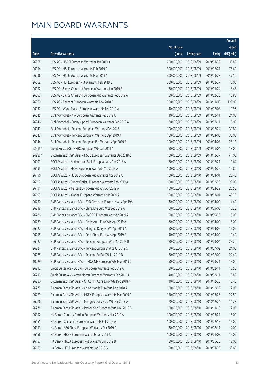|         |                                                              |              |                       |               | Amount      |
|---------|--------------------------------------------------------------|--------------|-----------------------|---------------|-------------|
|         |                                                              | No. of issue |                       |               | raised      |
| Code    | Derivative warrants                                          | (units)      | <b>Listing date</b>   | <b>Expiry</b> | (HK\$ mil.) |
| 26055   | UBS AG - HSCEI European Warrants Jan 2019 A                  | 200,000,000  | 2018/08/09            | 2019/01/30    | 30.80       |
| 26054   | UBS AG - HSI European Warrants Feb 2019 D                    | 300,000,000  | 2018/08/09            | 2019/02/27    | 75.60       |
| 26036   | UBS AG - HSI European Warrants Mar 2019 A                    | 300,000,000  | 2018/08/09            | 2019/03/28    | 47.10       |
| 26069   | UBS AG - HSI European Put Warrants Feb 2019 E                | 300,000,000  | 2018/08/09            | 2019/02/27    | 75.00       |
| 26052   | UBS AG - Sands China Ltd European Warrants Jan 2019 B        | 70,000,000   | 2018/08/09            | 2019/01/24    | 18.48       |
| 26053   | UBS AG - Sands China Ltd European Put Warrants Feb 2019 A    | 50,000,000   | 2018/08/09            | 2019/02/25    | 13.80       |
| 26060   | UBS AG - Tencent European Warrants Nov 2018 F                | 300,000,000  | 2018/08/09            | 2018/11/09    | 129.00      |
| 26037   | UBS AG - Wynn Macau European Warrants Feb 2019 A             | 40,000,000   | 2018/08/09            | 2019/02/08    | 10.96       |
| 26045   | Bank Vontobel - AIA European Warrants Feb 2019 A             | 40,000,000   | 2018/08/09            | 2019/02/11    | 24.00       |
| 26046   | Bank Vontobel - Sunny Optical European Warrants Feb 2019 A   | 60,000,000   | 2018/08/09            | 2019/02/11    | 15.00       |
| 26047   | Bank Vontobel - Tencent European Warrants Dec 2018 I         | 100,000,000  | 2018/08/09            | 2018/12/24    | 30.80       |
| 26043   | Bank Vontobel - Tencent European Warrants Apr 2019 A         | 100,000,000  | 2018/08/09            | 2019/04/03    | 30.00       |
| 26044   | Bank Vontobel - Tencent European Put Warrants Apr 2019 B     | 100,000,000  | 2018/08/09            | 2019/04/03    | 25.10       |
| 22515 # | Credit Suisse AG - HSBC European Wts Jan 2019 A              | 50,000,000   | 2018/08/09            | 2019/01/04    | 18.00       |
| 24987 # | Goldman Sachs SP (Asia) - HSBC European Warrants Dec 2018 C  | 100,000,000  | 2018/08/09            | 2018/12/27    | 41.00       |
| 26193   | BOCI Asia Ltd. - Agricultural Bank European Wts Dec 2018 A   | 70,000,000   | 2018/08/10            | 2018/12/21    | 10.64       |
| 26195   | BOCI Asia Ltd. - HSBC European Warrants Mar 2019 A           | 100,000,000  | 2018/08/10            | 2019/03/22    | 15.80       |
| 26196   | BOCI Asia Ltd. - HSBC European Put Warrants Apr 2019 A       | 100,000,000  | 2018/08/10            | 2019/04/01    | 26.40       |
| 26192   | BOCI Asia Ltd. - Sunny Optical European Warrants Feb 2019 A  | 100,000,000  | 2018/08/10            | 2019/02/25    | 25.00       |
| 26191   | BOCI Asia Ltd. - Tencent European Put Wts Apr 2019 A         | 100,000,000  | 2018/08/10            | 2019/04/29    | 25.50       |
| 26197   | BOCI Asia Ltd. - Xiaomi European Warrants Mar 2019 A         | 150,000,000  | 2018/08/10            | 2019/03/01    | 40.20       |
| 26230   | BNP Paribas Issuance B.V. - BYD Company European Wts Apr 19A | 30,000,000   | 2018/08/10            | 2019/04/02    | 14.40       |
| 26218   | BNP Paribas Issuance B.V. - China Life Euro Wts Sep 2019 A   | 60,000,000   | 2018/08/10            | 2019/09/03    | 16.20       |
| 26226   | BNP Paribas Issuance B.V. - CNOOC European Wts Sep 2019 A    | 100,000,000  | 2018/08/10            | 2019/09/30    | 15.00       |
| 26229   | BNP Paribas Issuance B.V. - Geely Auto Euro Wts Apr 2019 A   | 60,000,000   | 2018/08/10            | 2019/04/02    | 15.00       |
| 26227   | BNP Paribas Issuance B.V. - Mengniu Dairy Eu Wt Apr 2019 A   | 50,000,000   | 2018/08/10            | 2019/04/02    | 15.00       |
| 26215   | BNP Paribas Issuance B.V. - PetroChina Euro Wts Apr 2019 A   |              | 40,000,000 2018/08/10 | 2019/04/02    | 10.40       |
| 26222   | BNP Paribas Issuance B.V. - Tencent European Wts Mar 2019 B  | 80,000,000   | 2018/08/10            | 2019/03/04    | 23.20       |
| 26224   | BNP Paribas Issuance B.V. - Tencent European Wts Jul 2019 C  | 80,000,000   | 2018/08/10            | 2019/07/02    | 24.00       |
| 26225   | BNP Paribas Issuance B.V. - Tencent Eu Put Wt Jul 2019 D     | 80,000,000   | 2018/08/10            | 2019/07/02    | 22.40       |
| 10029   | BNP Paribas Issuance B.V. - USD/CNH European Wts Mar 2019 C  | 50,000,000   | 2018/08/10            | 2019/03/21    | 13.00       |
| 26212   | Credit Suisse AG - CC Bank European Warrants Feb 2019 A      | 50,000,000   | 2018/08/10            | 2019/02/11    | 15.50       |
| 26213   | Credit Suisse AG - Wynn Macau European Warrants Feb 2019 A   | 40,000,000   | 2018/08/10            | 2019/02/11    | 10.80       |
| 26280   | Goldman Sachs SP (Asia) - Ch Comm Cons Euro Wts Dec 2018 A   | 40,000,000   | 2018/08/10            | 2018/12/20    | 10.40       |
| 26277   | Goldman Sachs SP (Asia) - China Mobile Euro Wts Dec 2018 A   | 80,000,000   | 2018/08/10            | 2018/12/20    | 12.00       |
| 26279   | Goldman Sachs SP (Asia) - HKEX European Warrants Mar 2019 C  | 150,000,000  | 2018/08/10            | 2019/03/26    | 22.50       |
| 26276   | Goldman Sachs SP (Asia) - Mengniu Dairy Euro Wt Dec 2018 A   | 70,000,000   | 2018/08/10            | 2018/12/24    | 11.27       |
| 26278   | Goldman Sachs SP (Asia) - PetroChina European Wts Nov 2018 B | 80,000,000   | 2018/08/10            | 2018/11/19    | 12.00       |
| 26152   | HK Bank - Country Garden European Warrants Mar 2019 A        | 100,000,000  | 2018/08/10            | 2019/03/27    | 15.00       |
| 26151   | HK Bank - China Life European Warrants Feb 2019 A            | 100,000,000  | 2018/08/10            | 2019/02/13    | 15.00       |
| 26153   | HK Bank - A50 China European Warrants Feb 2019 A             | 30,000,000   | 2018/08/10            | 2019/02/11    | 12.00       |
| 26156   | HK Bank - HKEX European Warrants Jan 2019 A                  | 100,000,000  | 2018/08/10            | 2019/01/03    | 15.00       |
| 26157   | HK Bank - HKEX European Put Warrants Jun 2019 B              | 80,000,000   | 2018/08/10            | 2019/06/25    | 12.00       |
| 26159   | HK Bank - HSI European Warrants Jan 2019 G                   | 180,000,000  | 2018/08/10            | 2019/01/30    | 30.60       |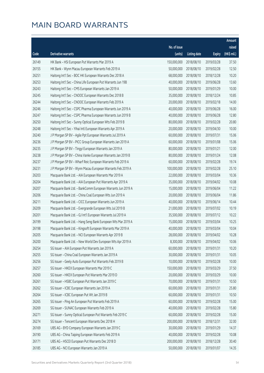|       |                                                              |              |                       |               | Amount      |
|-------|--------------------------------------------------------------|--------------|-----------------------|---------------|-------------|
|       |                                                              | No. of issue |                       |               | raised      |
| Code  | Derivative warrants                                          | (units)      | <b>Listing date</b>   | <b>Expiry</b> | (HK\$ mil.) |
| 26149 | HK Bank - HSI European Put Warrants Mar 2019 A               | 150,000,000  | 2018/08/10            | 2019/03/28    | 37.50       |
| 26155 | HK Bank - Wynn Macau European Warrants Feb 2019 A            | 50,000,000   | 2018/08/10            | 2019/02/28    | 12.50       |
| 26251 | Haitong Int'l Sec - BOC HK European Warrants Dec 2018 A      | 68,000,000   | 2018/08/10            | 2018/12/28    | 10.20       |
| 26253 | Haitong Int'l Sec - China Life European Put Warrants Jun 19B | 40,000,000   | 2018/08/10            | 2019/06/28    | 13.60       |
| 26243 | Haitong Int'l Sec - CMS European Warrants Jan 2019 A         | 50,000,000   | 2018/08/10            | 2019/01/29    | 10.00       |
| 26245 | Haitong Int'l Sec - CNOOC European Warrants Dec 2018 B       | 35,000,000   | 2018/08/10            | 2018/12/24    | 10.85       |
| 26244 | Haitong Int'l Sec - CNOOC European Warrants Feb 2019 A       | 20,000,000   | 2018/08/10            | 2019/02/18    | 14.00       |
| 26246 | Haitong Int'l Sec - CSPC Pharma European Warrants Jun 2019 A | 40,000,000   | 2018/08/10            | 2019/06/28    | 16.00       |
| 26247 | Haitong Int'l Sec - CSPC Pharma European Warrants Jun 2019 B | 40,000,000   | 2018/08/10            | 2019/06/28    | 12.80       |
| 26250 | Haitong Int'l Sec - Sunny Optical European Wts Feb 2019 B    | 80,000,000   | 2018/08/10            | 2019/02/28    | 20.80       |
| 26248 | Haitong Int'l Sec - Yihai Intl European Warrants Apr 2019 A  | 20,000,000   | 2018/08/10            | 2019/04/30    | 10.00       |
| 26240 | J P Morgan SP BV - Agile Ppt European Warrants Jul 2019 A    | 60,000,000   | 2018/08/10            | 2019/07/31    | 15.06       |
| 26236 | J P Morgan SP BV - PICC Group European Warrants Jan 2019 A   | 60,000,000   | 2018/08/10            | 2019/01/08    | 15.06       |
| 26235 | J P Morgan SP BV - Tingyi European Warrants Jan 2019 A       | 80,000,000   | 2018/08/10            | 2019/01/21    | 12.00       |
| 26238 | J P Morgan SP BV - China Vanke European Warrants Jan 2019 B  | 80,000,000   | 2018/08/10            | 2019/01/24    | 12.08       |
| 26237 | J P Morgan SP BV - Wharf Reic European Warrants Feb 2019 A   | 60,000,000   | 2018/08/10            | 2019/02/28    | 19.74       |
| 26231 | J P Morgan SP BV - Wynn Macau European Warrants Feb 2019 A   | 100,000,000  | 2018/08/10            | 2019/02/28    | 25.10       |
| 26203 | Macquarie Bank Ltd. - AIA European Warrants Mar 2019 A       | 22,000,000   | 2018/08/10            | 2019/03/04    | 10.36       |
| 26204 | Macquarie Bank Ltd. - AIA European Put Warrants Apr 2019 A   | 35,000,000   | 2018/08/10            | 2019/04/02    | 10.08       |
| 26207 | Macquarie Bank Ltd. - BankComm European Warrants Jun 2019 A  | 15,000,000   | 2018/08/10            | 2019/06/04    | 11.22       |
| 26206 | Macquarie Bank Ltd. - China Coal European Wts Jun 2019 A     | 20,000,000   | 2018/08/10            | 2019/06/04    | 11.86       |
| 26211 | Macquarie Bank Ltd. - CICC European Warrants Jun 2019 A      | 40,000,000   | 2018/08/10            | 2019/06/14    | 10.44       |
| 26209 | Macquarie Bank Ltd. - Evergrande European Wts Jul 2019 B     | 21,000,000   | 2018/08/10            | 2019/07/02    | 10.19       |
| 26201 | Macquarie Bank Ltd. - GJ Int'l European Warrants Jul 2019 A  | 35,500,000   | 2018/08/10            | 2019/07/12    | 10.22       |
| 26199 | Macquarie Bank Ltd. - Hang Seng Bank European Wts Mar 2019 A | 15,000,000   | 2018/08/10            | 2019/03/04    | 10.25       |
| 26198 | Macquarie Bank Ltd. - Kingsoft European Warrants Mar 2019 A  | 40,000,000   | 2018/08/10            | 2019/03/04    | 10.04       |
| 26205 | Macquarie Bank Ltd. - NCI European Warrants Apr 2019 B       |              | 28,000,000 2018/08/10 | 2019/04/02    | 10.28       |
| 26200 | Macquarie Bank Ltd. - New World Dev European Wts Apr 2019 A  | 8,300,000    | 2018/08/10            | 2019/04/02    | 10.06       |
| 26254 | SG Issuer - AIA European Put Warrants Jan 2019 A             | 60,000,000   | 2018/08/10            | 2019/01/31    | 10.20       |
| 26255 | SG Issuer - China Coal European Warrants Jan 2019 A          | 30,000,000   | 2018/08/10            | 2019/01/31    | 10.05       |
| 26256 | SG Issuer - Geely Auto European Put Warrants Feb 2019 B      | 10,000,000   | 2018/08/10            | 2019/02/28    | 10.00       |
| 26257 | SG Issuer - HKEX European Warrants Mar 2019 C                | 150,000,000  | 2018/08/10            | 2019/03/29    | 37.50       |
| 26260 | SG Issuer - HKEX European Put Warrants Mar 2019 D            | 20,000,000   | 2018/08/10            | 2019/03/29    | 10.00       |
| 26261 | SG Issuer - HSBC European Put Warrants Jan 2019 C            | 70,000,000   | 2018/08/10            | 2019/01/31    | 10.50       |
| 26262 | SG Issuer - ICBC European Warrants Jan 2019 A                | 60,000,000   | 2018/08/10            | 2019/01/31    | 25.80       |
| 26264 | SG Issuer - ICBC European Put Wt Jan 2019 B                  | 60,000,000   | 2018/08/10            | 2019/01/31    | 10.50       |
| 26265 | SG Issuer - Ping An European Put Warrants Feb 2019 A         | 60,000,000   | 2018/08/10            | 2019/02/28    | 15.00       |
| 26269 | SG Issuer - SUNAC European Warrants Feb 2019 A               | 40,000,000   | 2018/08/10            | 2019/02/28    | 15.80       |
| 26271 | SG Issuer - Sunny Optical European Put Warrants Feb 2019 C   | 60,000,000   | 2018/08/10            | 2019/02/28    | 15.00       |
| 26274 | SG Issuer - Tencent European Warrants Dec 2018 H             | 200,000,000  | 2018/08/10            | 2018/12/31    | 32.00       |
| 26169 | UBS AG - BYD Company European Warrants Jan 2019 C            | 30,000,000   | 2018/08/10            | 2019/01/29    | 14.37       |
| 26190 | UBS AG - China Taiping European Warrants Feb 2019 A          | 40,000,000   | 2018/08/10            | 2019/02/28    | 10.08       |
| 26171 | UBS AG - HSCEI European Put Warrants Dec 2018 D              | 200,000,000  | 2018/08/10            | 2018/12/28    | 30.40       |
| 26185 | UBS AG - NCI European Warrants Jan 2019 A                    | 50,000,000   | 2018/08/10            | 2019/01/07    | 14.35       |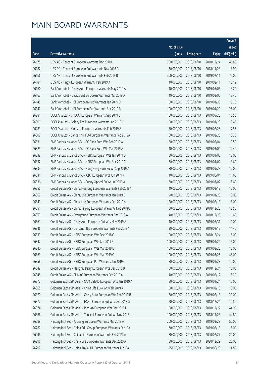|                |                                                                                                                           |                            |                          |                          | Amount                |
|----------------|---------------------------------------------------------------------------------------------------------------------------|----------------------------|--------------------------|--------------------------|-----------------------|
|                |                                                                                                                           | No. of issue               |                          |                          | raised                |
| Code           | <b>Derivative warrants</b>                                                                                                | (units)                    | <b>Listing date</b>      | <b>Expiry</b>            | $(HK\frac{1}{2}mil.)$ |
| 26175          | UBS AG - Tencent European Warrants Dec 2018 H                                                                             | 300,000,000                | 2018/08/10               | 2018/12/24               | 46.80                 |
| 26182          | UBS AG - Tencent European Put Warrants Nov 2018 G                                                                         | 30,000,000                 | 2018/08/10               | 2018/11/23               | 18.90                 |
| 26166          | UBS AG - Tencent European Put Warrants Feb 2019 B                                                                         | 300,000,000                | 2018/08/10               | 2019/02/11               | 75.00                 |
| 26184          | UBS AG - Tingyi European Warrants Feb 2019 A                                                                              | 40,000,000                 | 2018/08/10               | 2019/02/11               | 10.12                 |
| 26160          | Bank Vontobel - Geely Auto European Warrants May 2019 A                                                                   | 40,000,000                 | 2018/08/10               | 2019/05/06               | 13.20                 |
| 26163          | Bank Vontobel - Galaxy Ent European Warrants Mar 2019 A                                                                   | 40,000,000                 | 2018/08/10               | 2019/03/05               | 13.40                 |
| 26148          | Bank Vontobel - HSI European Put Warrants Jan 2019 D                                                                      | 100,000,000                | 2018/08/10               | 2019/01/30               | 15.20                 |
| 26147          | Bank Vontobel - HSI European Put Warrants Apr 2019 B                                                                      | 100,000,000                | 2018/08/10               | 2019/04/29               | 25.00                 |
| 26284          | BOCI Asia Ltd. - CNOOC European Warrants Sep 2019 B                                                                       | 100,000,000                | 2018/08/13               | 2019/09/23               | 15.50                 |
| 26309          | BOCI Asia Ltd. - Galaxy Ent European Warrants Jan 2019 C                                                                  | 50,000,000                 | 2018/08/13               | 2019/01/28               | 18.45                 |
| 26283          | BOCI Asia Ltd. - Kingsoft European Warrants Feb 2019 A                                                                    | 70,000,000                 | 2018/08/13               | 2019/02/28               | 17.57                 |
| 26307          | BOCI Asia Ltd. - Sands China Ltd European Warrants Feb 2019A                                                              | 60,000,000                 | 2018/08/13               | 2019/02/28               | 15.30                 |
| 26331          | BNP Paribas Issuance B.V. - CC Bank Euro Wts Feb 2019 A                                                                   | 50,000,000                 | 2018/08/13               | 2019/02/04               | 10.50                 |
| 26329          | BNP Paribas Issuance B.V. - CC Bank Euro Wts Mar 2019 A                                                                   | 40,000,000                 | 2018/08/13               | 2019/03/04               | 12.40                 |
| 26338          | BNP Paribas Issuance B.V. - HSBC European Wts Jan 2019 D                                                                  | 50,000,000                 | 2018/08/13               | 2019/01/03               | 12.00                 |
| 26332          | BNP Paribas Issuance B.V. - HSBC European Wts Apr 2019 C                                                                  | 80,000,000                 | 2018/08/13               | 2019/04/02               | 13.60                 |
| 26333          | BNP Paribas Issuance B.V. - Hang Seng Bank Eu Wt Sep 2019 A                                                               | 80,000,000                 | 2018/08/13               | 2019/09/23               | 12.00                 |
| 26334          | BNP Paribas Issuance B.V. - ICBC European Wts Jun 2019 A                                                                  | 40,000,000                 | 2018/08/13               | 2019/06/04               | 11.60                 |
| 26336          | BNP Paribas Issuance B.V. - Sunny Optical Eu Wt Jul 2019 A                                                                | 60,000,000                 | 2018/08/13               | 2019/07/02               | 15.60                 |
| 26355          | Credit Suisse AG - China Huarong European Warrants Feb 2019A                                                              | 40,000,000                 | 2018/08/13               | 2019/02/12               | 10.00                 |
| 26362          | Credit Suisse AG - China Life European Warrants Jan 2019 E                                                                | 120,000,000                | 2018/08/13               | 2019/01/28               | 18.00                 |
| 26343          | Credit Suisse AG - China Life European Warrants Feb 2019 A                                                                | 120,000,000                | 2018/08/13               | 2019/02/13               | 18.00                 |
| 26354          | Credit Suisse AG - China Taiping European Warrants Dec 2018A                                                              | 50,000,000                 | 2018/08/13               | 2018/12/28               | 12.50                 |
| 26359          | Credit Suisse AG - Evergrande European Warrants Dec 2018 A                                                                | 40,000,000                 | 2018/08/13               | 2018/12/28               | 11.60                 |
| 26361          | Credit Suisse AG - Geely Auto European Put Wts May 2019 A                                                                 | 40,000,000                 | 2018/08/13               | 2019/05/31               | 10.00                 |
| 26346          | Credit Suisse AG - Genscript Bio European Warrants Feb 2019A                                                              | 30,000,000                 | 2018/08/13               | 2019/02/12               | 14.40                 |
| 26339          | Credit Suisse AG - HSBC European Wts Dec 2018 C                                                                           |                            | 100,000,000 2018/08/13   | 2018/12/24               | 15.00                 |
| 26342          | Credit Suisse AG - HSBC European Wts Jan 2019 B                                                                           | 100,000,000                | 2018/08/13               | 2019/01/24               | 15.00                 |
| 26340          | Credit Suisse AG - HSBC European Wts Mar 2019 B                                                                           | 100,000,000                | 2018/08/13               | 2019/03/26               | 15.00                 |
| 26363          | Credit Suisse AG - HSBC European Wts Mar 2019 C                                                                           | 100,000,000                | 2018/08/13               | 2019/03/26               | 48.00                 |
| 26358          | Credit Suisse AG - HSBC European Put Warrants Jan 2019 C                                                                  | 80,000,000                 | 2018/08/13               | 2019/01/28               | 12.00                 |
| 26349          | Credit Suisse AG - Mengniu Dairy European Wts Dec 2018 B                                                                  | 50,000,000                 | 2018/08/13               | 2018/12/24               | 10.00                 |
| 26348          | Credit Suisse AG - SUNAC European Warrants Feb 2019 A                                                                     | 40,000,000                 | 2018/08/13               | 2019/02/12               | 15.20                 |
| 26372          | Goldman Sachs SP (Asia) - CAM CSI300 European Wts Jan 2019 A                                                              | 80,000,000                 | 2018/08/13               | 2019/01/24               | 12.00                 |
| 26365          | Goldman Sachs SP (Asia) - China Life Euro Wts Feb 2019 A                                                                  | 100,000,000                | 2018/08/13               | 2019/02/13               | 15.00                 |
| 26370          | Goldman Sachs SP (Asia) - Geely Auto European Wts Feb 2019 B                                                              | 80,000,000                 | 2018/08/13               | 2019/02/13               | 20.00                 |
| 26377          | Goldman Sachs SP (Asia) - HSBC European Put Wts Dec 2018 G                                                                | 70,000,000                 | 2018/08/13               | 2018/12/24               | 10.50                 |
| 26374          | Goldman Sachs SP (Asia) - Ping An European Wts Dec 2018 I                                                                 | 100,000,000                | 2018/08/13               | 2018/12/27               | 44.90                 |
| 26366          | Goldman Sachs SP (Asia) - Tencent European Put Wt Nov 2018 I                                                              | 100,000,000<br>200,000,000 | 2018/08/13               | 2018/11/23               | 44.80                 |
| 26289<br>26287 | Haitong Int'l Sec - A-Living European Warrants Mar 2019 A<br>Haitong Int'l Sec - China Edu Group European Warrants Feb19A | 60,000,000                 | 2018/08/13<br>2018/08/13 | 2019/03/28<br>2019/02/13 | 50.00<br>15.00        |
| 26295          | Haitong Int'l Sec - China Life European Warrants Feb 2020 A                                                               | 80,000,000                 | 2018/08/13               | 2020/02/27               | 20.00                 |
| 26296          | Haitong Int'l Sec - China Life European Warrants Dec 2020 A                                                               | 80,000,000                 | 2018/08/13               | 2020/12/29               | 20.00                 |
| 26292          | Haitong Int'l Sec - China Travel HK European Warrants Jun19A                                                              | 25,000,000                 | 2018/08/13               | 2019/06/28               | 14.50                 |
|                |                                                                                                                           |                            |                          |                          |                       |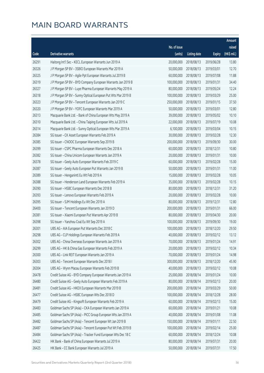|       |                                                              |              |                       |               | Amount      |
|-------|--------------------------------------------------------------|--------------|-----------------------|---------------|-------------|
|       |                                                              | No. of issue |                       |               | raised      |
| Code  | Derivative warrants                                          | (units)      | <b>Listing date</b>   | <b>Expiry</b> | (HK\$ mil.) |
| 26291 | Haitong Int'l Sec - KECL European Warrants Jun 2019 A        | 20,000,000   | 2018/08/13            | 2019/06/28    | 13.80       |
| 26326 | J P Morgan SP BV - 3SBIO European Warrants Mar 2019 A        | 50,000,000   | 2018/08/13            | 2019/03/01    | 12.70       |
| 26325 | J P Morgan SP BV - Agile Ppt European Warrants Jul 2019 B    | 60,000,000   | 2018/08/13            | 2019/07/08    | 11.88       |
| 26319 | J P Morgan SP BV - BYD Company European Warrants Jan 2019 B  | 100,000,000  | 2018/08/13            | 2019/01/31    | 34.40       |
| 26327 | J P Morgan SP BV - Luye Pharma European Warrants May 2019 A  | 80,000,000   | 2018/08/13            | 2019/05/24    | 12.24       |
| 26318 | J P Morgan SP BV - Sunny Optical European Put Wts Mar 2019 B | 100,000,000  | 2018/08/13            | 2019/03/29    | 25.00       |
| 26323 | J P Morgan SP BV - Tencent European Warrants Jan 2019 C      | 250,000,000  | 2018/08/13            | 2019/01/15    | 37.50       |
| 26320 | J P Morgan SP BV - YOFC European Warrants Mar 2019 A         | 50,000,000   | 2018/08/13            | 2019/03/01    | 12.80       |
| 26313 | Macquarie Bank Ltd. - Bank of China European Wts May 2019 A  | 39,000,000   | 2018/08/13            | 2019/05/02    | 10.10       |
| 26310 | Macquarie Bank Ltd. - China Taiping European Wts Jul 2019 A  | 22,000,000   | 2018/08/13            | 2019/07/19    | 10.08       |
| 26314 | Macquarie Bank Ltd. - Sunny Optical European Wts Mar 2019 A  | 6,100,000    | 2018/08/13            | 2019/03/04    | 10.15       |
| 26384 | SG Issuer - CK Asset European Warrants Feb 2019 A            | 30,000,000   | 2018/08/13            | 2019/02/28    | 12.30       |
| 26385 | SG Issuer - CNOOC European Warrants Sep 2019 B               | 200,000,000  | 2018/08/13            | 2019/09/30    | 30.00       |
| 26399 | SG Issuer - CSPC Pharma European Warrants Dec 2018 A         | 60,000,000   | 2018/08/13            | 2018/12/31    | 10.80       |
| 26382 | SG Issuer - China Unicom European Warrants Jan 2019 A        | 20,000,000   | 2018/08/13            | 2019/01/31    | 10.00       |
| 26378 | SG Issuer - Geely Auto European Warrants Feb 2019 C          | 60,000,000   | 2018/08/13            | 2019/02/28    | 15.00       |
| 26387 | SG Issuer - Geely Auto European Put Warrants Jan 2019 B      | 50,000,000   | 2018/08/13            | 2019/01/31    | 11.00       |
| 26389 | SG Issuer - Henganintl Eu Wt Feb 2019 A                      | 15,000,000   | 2018/08/13            | 2019/02/28    | 10.05       |
| 26388 | SG Issuer - Henderson Land European Warrants Feb 2019 A      | 35,000,000   | 2018/08/13            | 2019/02/28    | 10.15       |
| 26390 | SG Issuer - HSBC European Warrants Dec 2018 B                | 80,000,000   | 2018/08/13            | 2018/12/31    | 31.20       |
| 26393 | SG Issuer - Lenovo European Warrants Feb 2019 A              | 20,000,000   | 2018/08/13            | 2019/02/28    | 10.00       |
| 26395 | SG Issuer - SJM Holdings Eu Wt Dec 2019 A                    | 80,000,000   | 2018/08/13            | 2019/12/31    | 12.80       |
| 26400 | SG Issuer - Tencent European Warrants Jan 2019 D             | 200,000,000  | 2018/08/13            | 2019/01/31    | 66.00       |
| 26381 | SG Issuer - Xiaomi European Put Warrants Apr 2019 B          | 80,000,000   | 2018/08/13            | 2019/04/30    | 20.00       |
| 26398 | SG Issuer - Yanzhou Coal Eu Wt Sep 2019 A                    | 100,000,000  | 2018/08/13            | 2019/09/30    | 19.00       |
| 26301 | UBS AG - AIA European Put Warrants Dec 2018 C                | 100,000,000  | 2018/08/13            | 2018/12/20    | 29.50       |
| 26298 | UBS AG - CLP Holdings European Warrants Feb 2019 A           |              | 40,000,000 2018/08/13 | 2019/02/12    | 13.12       |
| 26302 | UBS AG - China Overseas European Warrants Jan 2019 A         | 70,000,000   | 2018/08/13            | 2019/01/24    | 14.91       |
| 26299 | UBS AG - HK & China Gas European Warrants Feb 2019 A         | 20,000,000   | 2018/08/13            | 2019/02/12    | 10.34       |
| 26300 | UBS AG - Link REIT European Warrants Jan 2019 A              | 70,000,000   | 2018/08/13            | 2019/01/24    | 14.98       |
| 26303 | UBS AG - Tencent European Warrants Dec 2018 I                | 300,000,000  | 2018/08/13            | 2018/12/20    | 45.90       |
| 26304 | UBS AG - Wynn Macau European Warrants Feb 2019 B             | 40,000,000   | 2018/08/13            | 2019/02/12    | 10.08       |
| 26478 | Credit Suisse AG - BYD Company European Warrants Jan 2019 A  | 25,000,000   | 2018/08/14            | 2019/01/24    | 10.00       |
| 26480 | Credit Suisse AG - Geely Auto European Warrants Feb 2019 A   | 80,000,000   | 2018/08/14            | 2019/02/13    | 20.00       |
| 26481 | Credit Suisse AG - HKEX European Warrants Mar 2019 B         | 200,000,000  | 2018/08/14            | 2019/03/29    | 50.00       |
| 26477 | Credit Suisse AG - HSBC European Wts Dec 2018 D              | 100,000,000  | 2018/08/14            | 2018/12/28    | 28.00       |
| 26479 | Credit Suisse AG - Kingsoft European Warrants Feb 2019 A     | 60,000,000   | 2018/08/14            | 2019/02/13    | 15.00       |
| 26483 | Goldman Sachs SP (Asia) - CKA European Warrants Jan 2019 A   | 60,000,000   | 2018/08/14            | 2019/01/21    | 10.08       |
| 26485 | Goldman Sachs SP (Asia) - PICC Group European Wts Jan 2019 A | 40,000,000   | 2018/08/14            | 2019/01/08    | 11.08       |
| 26482 | Goldman Sachs SP (Asia) - Tencent European Wt Jan 2019 B     | 150,000,000  | 2018/08/14            | 2019/01/11    | 22.50       |
| 26487 | Goldman Sachs SP (Asia) - Tencent European Put Wt Feb 2019 B | 100,000,000  | 2018/08/14            | 2019/02/14    | 25.00       |
| 26484 | Goldman Sachs SP (Asia) - Tracker Fund European Wts Dec 18 C | 60,000,000   | 2018/08/14            | 2018/12/24    | 10.08       |
| 26422 | HK Bank - Bank of China European Warrants Jul 2019 A         | 80,000,000   | 2018/08/14            | 2019/07/31    | 20.00       |
| 26425 | HK Bank - CC Bank European Warrants Jul 2019 A               | 50,000,000   | 2018/08/14            | 2019/07/31    | 17.50       |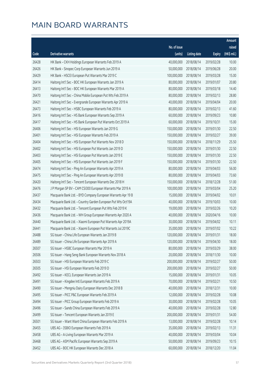|       |                                                              |                        |                     |               | Amount      |
|-------|--------------------------------------------------------------|------------------------|---------------------|---------------|-------------|
|       |                                                              | No. of issue           |                     |               | raised      |
| Code  | <b>Derivative warrants</b>                                   | (units)                | <b>Listing date</b> | <b>Expiry</b> | (HK\$ mil.) |
| 26428 | HK Bank - CKH Holdings European Warrants Feb 2019 A          | 40,000,000             | 2018/08/14          | 2019/02/28    | 10.00       |
| 26426 | HK Bank - Sinopec Corp European Warrants Jun 2019 A          | 50,000,000             | 2018/08/14          | 2019/06/28    | 20.00       |
| 26429 | HK Bank - HSCEI European Put Warrants Mar 2019 C             | 100,000,000            | 2018/08/14          | 2019/03/28    | 15.00       |
| 26414 | Haitong Int'l Sec - BOC HK European Warrants Jan 2019 A      | 80,000,000             | 2018/08/14          | 2019/01/07    | 20.80       |
| 26413 | Haitong Int'l Sec - BOC HK European Warrants Mar 2019 A      | 80,000,000             | 2018/08/14          | 2019/03/18    | 14.40       |
| 26470 | Haitong Int'l Sec - China Mobile European Put Wts Feb 2019 A | 80,000,000             | 2018/08/14          | 2019/02/13    | 28.80       |
| 26421 | Haitong Int'l Sec - Evergrande European Warrants Apr 2019 A  | 40,000,000             | 2018/08/14          | 2019/04/04    | 20.00       |
| 26473 | Haitong Int'l Sec - HSBC European Warrants Feb 2019 A        | 80,000,000             | 2018/08/14          | 2019/02/13    | 41.60       |
| 26416 | Haitong Int'l Sec - HS Bank European Warrants Sep 2019 A     | 60,000,000             | 2018/08/14          | 2019/09/23    | 10.80       |
| 26417 | Haitong Int'l Sec - HS Bank European Put Warrants Oct 2019 A | 60,000,000             | 2018/08/14          | 2019/10/31    | 15.00       |
| 26406 | Haitong Int'l Sec - HSI European Warrants Jan 2019 G         | 150,000,000            | 2018/08/14          | 2019/01/30    | 22.50       |
| 26401 | Haitong Int'l Sec - HSI European Warrants Feb 2019 A         | 150,000,000            | 2018/08/14          | 2019/02/27    | 39.00       |
| 26404 | Haitong Int'l Sec - HSI European Put Warrants Nov 2018 D     | 150,000,000            | 2018/08/14          | 2018/11/29    | 25.50       |
| 26402 | Haitong Int'l Sec - HSI European Put Warrants Jan 2019 D     | 150,000,000            | 2018/08/14          | 2019/01/30    | 22.50       |
| 26403 | Haitong Int'l Sec - HSI European Put Warrants Jan 2019 E     | 150,000,000            | 2018/08/14          | 2019/01/30    | 22.50       |
| 26405 | Haitong Int'l Sec - HSI European Put Warrants Jan 2019 F     | 150,000,000            | 2018/08/14          | 2019/01/30    | 22.50       |
| 26474 | Haitong Int'l Sec - Ping An European Warrants Apr 2019 A     | 80,000,000             | 2018/08/14          | 2019/04/03    | 56.00       |
| 26475 | Haitong Int'l Sec - Ping An European Warrants Apr 2019 B     | 80,000,000             | 2018/08/14          | 2019/04/03    | 73.60       |
| 26420 | Haitong Int'l Sec - Tencent European Warrants Dec 2018 H     | 150,000,000            | 2018/08/14          | 2018/12/28    | 51.00       |
| 26476 | J P Morgan SP BV - CAM CSI300 European Warrants Mar 2019 A   | 100,000,000            | 2018/08/14          | 2019/03/04    | 25.20       |
| 26437 | Macquarie Bank Ltd. - BYD Company European Warrants Apr 19 B | 15,000,000             | 2018/08/14          | 2019/04/02    | 10.01       |
| 26434 | Macquarie Bank Ltd. - Country Garden European Put Wts Oct19A | 40,000,000             | 2018/08/14          | 2019/10/03    | 10.00       |
| 26432 | Macquarie Bank Ltd. - Tencent European Put Wts Feb 2019 K    | 19,000,000             | 2018/08/14          | 2019/02/26    | 10.20       |
| 26436 | Macquarie Bank Ltd. - WH Group European Warrants Apr 2020 A  | 40,000,000             | 2018/08/14          | 2020/04/16    | 10.00       |
| 26440 | Macquarie Bank Ltd. - Xiaomi European Put Warrants Apr 2019A | 30,000,000             | 2018/08/14          | 2019/04/02    | 10.11       |
| 26441 | Macquarie Bank Ltd. - Xiaomi European Put Warrants Jul 2019C | 35,000,000             | 2018/08/14          | 2019/07/02    | 10.22       |
| 26488 | SG Issuer - China Life European Warrants Jan 2019 B          | 120,000,000 2018/08/14 |                     | 2019/01/31    | 18.00       |
| 26489 | SG Issuer - China Life European Warrants Apr 2019 A          | 120,000,000            | 2018/08/14          | 2019/04/30    | 18.00       |
| 26507 | SG Issuer - HSBC European Warrants Mar 2019 A                | 80,000,000             | 2018/08/14          | 2019/03/29    | 38.00       |
| 26506 | SG Issuer - Hang Seng Bank European Warrants Nov 2018 A      | 20,000,000             | 2018/08/14          | 2018/11/30    | 10.00       |
| 26503 | SG Issuer - HSI European Warrants Feb 2019 C                 | 200,000,000            | 2018/08/14          | 2019/02/27    | 50.00       |
| 26505 | SG Issuer - HSI European Warrants Feb 2019 D                 | 200,000,000            | 2018/08/14          | 2019/02/27    | 50.00       |
| 26492 | SG Issuer - KECL European Warrants Jan 2019 A                | 15,000,000             | 2018/08/14          | 2019/01/31    | 10.05       |
| 26491 | SG Issuer - Kingdee Intl European Warrants Feb 2019 A        | 70,000,000             | 2018/08/14          | 2019/02/21    | 10.50       |
| 26490 | SG Issuer - Mengniu Dairy European Warrants Dec 2018 B       | 40,000,000             | 2018/08/14          | 2018/12/31    | 10.00       |
| 26495 | SG Issuer - PICC P&C European Warrants Feb 2019 A            | 12,000,000             | 2018/08/14          | 2019/02/28    | 10.08       |
| 26494 | SG Issuer - PICC Group European Warrants Feb 2019 A          | 30,000,000             | 2018/08/14          | 2019/02/28    | 10.05       |
| 26496 | SG Issuer - Sands China European Warrants Feb 2019 A         | 40,000,000             | 2018/08/14          | 2019/02/28    | 12.80       |
| 26499 | SG Issuer - Tencent European Warrants Jan 2019 E             | 200,000,000            | 2018/08/14          | 2019/01/31    | 54.00       |
| 26501 | SG Issuer - Want Want China European Warrants Feb 2019 A     | 13,000,000             | 2018/08/14          | 2019/02/28    | 10.14       |
| 26455 | UBS AG - 3SBIO European Warrants Feb 2019 A                  | 35,000,000             | 2018/08/14          | 2019/02/13    | 11.31       |
| 26458 | UBS AG - A-Living European Warrants Mar 2019 A               | 40,000,000             | 2018/08/14          | 2019/03/04    | 10.04       |
| 26468 | UBS AG - ASM Pacific European Warrants Sep 2019 A            | 50,000,000             | 2018/08/14          | 2019/09/23    | 10.15       |
| 26452 | UBS AG - BOC HK European Warrants Dec 2018 A                 | 60,000,000             | 2018/08/14          | 2018/12/20    | 11.04       |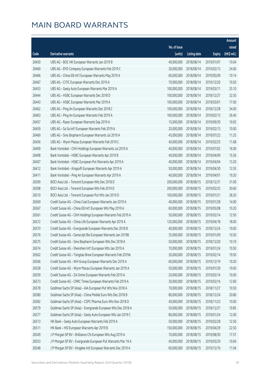|       |                                                              |              |                       |               | Amount      |
|-------|--------------------------------------------------------------|--------------|-----------------------|---------------|-------------|
|       |                                                              | No. of issue |                       |               | raised      |
| Code  | Derivative warrants                                          | (units)      | <b>Listing date</b>   | <b>Expiry</b> | (HK\$ mil.) |
| 26450 | UBS AG - BOC HK European Warrants Jan 2019 B                 | 40,000,000   | 2018/08/14            | 2019/01/07    | 10.04       |
| 26460 | UBS AG - BYD Company European Warrants Feb 2019 C            | 30,000,000   | 2018/08/14            | 2019/02/13    | 24.60       |
| 26466 | UBS AG - China EB Int'l European Warrants May 2019 A         | 60,000,000   | 2018/08/14            | 2019/05/09    | 10.14       |
| 26467 | UBS AG - CITIC European Warrants Dec 2019 A                  | 70,000,000   | 2018/08/14            | 2019/12/20    | 10.50       |
| 26453 | UBS AG - Geely Auto European Warrants Mar 2019 A             | 100,000,000  | 2018/08/14            | 2019/03/11    | 25.10       |
| 26444 | UBS AG - HSBC European Warrants Dec 2018 D                   | 100,000,000  | 2018/08/14            | 2018/12/27    | 32.50       |
| 26443 | UBS AG - HSBC European Warrants Mar 2019 A                   | 100,000,000  | 2018/08/14            | 2019/03/01    | 17.00       |
| 26462 | UBS AG - Ping An European Warrants Dec 2018 C                | 100,000,000  | 2018/08/14            | 2018/12/28    | 34.00       |
| 26463 | UBS AG - Ping An European Warrants Feb 2019 A                | 100,000,000  | 2018/08/14            | 2019/02/13    | 26.40       |
| 26457 | UBS AG - Razer European Warrants Sep 2019 A                  | 15,000,000   | 2018/08/14            | 2019/09/30    | 10.05       |
| 26459 | UBS AG - Sa Sa Int'l European Warrants Feb 2019 A            | 20,000,000   | 2018/08/14            | 2019/02/13    | 10.00       |
| 26469 | UBS AG - Sino Biopharm European Warrants Jul 2019 A          | 45,000,000   | 2018/08/14            | 2019/07/22    | 11.25       |
| 26456 | UBS AG - Wynn Macau European Warrants Feb 2019 C             | 40,000,000   | 2018/08/14            | 2019/02/25    | 11.68       |
| 26409 | Bank Vontobel - CKH Holdings European Warrants Jul 2019 A    | 40,000,000   | 2018/08/14            | 2019/07/02    | 16.00       |
| 26408 | Bank Vontobel - HSBC European Warrants Apr 2019 B            | 40,000,000   | 2018/08/14            | 2019/04/09    | 15.56       |
| 26407 | Bank Vontobel - HSBC European Put Warrants Apr 2019 A        | 40,000,000   | 2018/08/14            | 2019/04/04    | 13.20       |
| 26412 | Bank Vontobel - Kingsoft European Warrants Apr 2019 A        | 50,000,000   | 2018/08/14            | 2019/04/30    | 12.55       |
| 26411 | Bank Vontobel - Ping An European Warrants Apr 2019 A         | 40,000,000   | 2018/08/14            | 2019/04/01    | 19.20       |
| 26509 | BOCI Asia Ltd. - Tencent European Wts Dec 2018 D             | 200,000,000  | 2018/08/15            | 2018/12/31    | 31.00       |
| 26508 | BOCI Asia Ltd. - Tencent European Wts Feb 2019 D             | 200,000,000  | 2018/08/15            | 2019/02/25    | 30.60       |
| 26510 | BOCI Asia Ltd. - Tencent European Put Wts Jan 2019 D         | 100,000,000  | 2018/08/15            | 2019/01/21    | 28.20       |
| 26569 | Credit Suisse AG - China Coal European Warrants Jan 2019 A   | 40,000,000   | 2018/08/15            | 2019/01/28    | 14.00       |
| 26567 | Credit Suisse AG - China EB Int'l European Wts May 2019 A    | 60,000,000   | 2018/08/15            | 2019/05/08    | 10.20       |
| 26561 | Credit Suisse AG - CKH Holdings European Warrants Feb 2019 A | 50,000,000   | 2018/08/15            | 2019/02/14    | 12.50       |
| 26572 | Credit Suisse AG - China Life European Warrants Apr 2019 A   | 120,000,000  | 2018/08/15            | 2019/04/18    | 18.00       |
| 26570 | Credit Suisse AG - Evergrande European Warrants Dec 2018 B   | 40,000,000   | 2018/08/15            | 2018/12/24    | 10.00       |
| 26576 | Credit Suisse AG - Genscript Bio European Warrants Jan 2019B |              | 35,000,000 2018/08/15 | 2019/01/09    | 10.50       |
| 26575 | Credit Suisse AG - Sino Biopharm European Wts Dec 2018 A     | 50,000,000   | 2018/08/15            | 2018/12/20    | 10.10       |
| 26574 | Credit Suisse AG - Shenzhen Int'l European Wts Jan 2019 A    | 70,000,000   | 2018/08/15            | 2019/01/24    | 10.50       |
| 26562 | Credit Suisse AG - Tsingtao Brew European Warrants Feb 2019A | 30,000,000   | 2018/08/15            | 2019/02/14    | 19.50       |
| 26566 | Credit Suisse AG - WH Group European Warrants Dec 2019 A     | 60,000,000   | 2018/08/15            | 2019/12/19    | 10.20       |
| 26558 | Credit Suisse AG - Wynn Macau European Warrants Jan 2019 A   | 50,000,000   | 2018/08/15            | 2019/01/29    | 10.00       |
| 26559 | Credit Suisse AG - ZA Onine European Warrants Feb 2019 A     | 20,000,000   | 2018/08/15            | 2019/02/14    | 10.00       |
| 26573 | Credit Suisse AG - CRRC Times European Warrants Feb 2019 A   | 30,000,000   | 2018/08/15            | 2019/02/14    | 12.60       |
| 26578 | Goldman Sachs SP (Asia) - AIA European Put Wts Nov 2018 A    | 70,000,000   | 2018/08/15            | 2018/11/27    | 10.50       |
| 26580 | Goldman Sachs SP (Asia) - China Mobile Euro Wts Dec 2018 B   | 80,000,000   | 2018/08/15            | 2018/12/24    | 20.80       |
| 26582 | Goldman Sachs SP (Asia) - CSPC Pharma Euro Wts Nov 2018 D    | 40,000,000   | 2018/08/15            | 2018/11/23    | 10.00       |
| 26579 | Goldman Sachs SP (Asia) - Evergrande European Wts Dec 2018 A | 50,000,000   | 2018/08/15            | 2018/12/27    | 10.85       |
| 26577 | Goldman Sachs SP (Asia) - Geely Auto European Wts Jan 2019 C | 80,000,000   | 2018/08/15            | 2019/01/24    | 12.00       |
| 26513 | HK Bank - Geely Auto European Warrants Feb 2019 A            | 50,000,000   | 2018/08/15            | 2019/02/28    | 12.50       |
| 26511 | HK Bank - HSI European Warrants Apr 2019 B                   | 150,000,000  | 2018/08/15            | 2019/04/29    | 22.50       |
| 26549 | J P Morgan SP BV - Brilliance Chi European Wts Aug 2019 A    | 70,000,000   | 2018/08/15            | 2019/08/30    | 17.57       |
| 26553 | J P Morgan SP BV - Evergrande European Put Warrants Mar 19 A | 40,000,000   | 2018/08/15            | 2019/03/29    | 10.04       |
| 26548 | J P Morgan SP BV - Kingdee Intl European Warrants Dec 2019 A | 60,000,000   | 2018/08/15            | 2019/12/10    | 11.04       |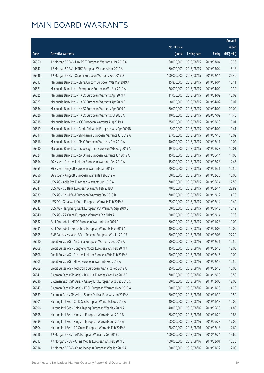|       |                                                              |              |                       |               | Amount      |
|-------|--------------------------------------------------------------|--------------|-----------------------|---------------|-------------|
|       |                                                              | No. of issue |                       |               | raised      |
| Code  | Derivative warrants                                          | (units)      | <b>Listing date</b>   | <b>Expiry</b> | (HK\$ mil.) |
| 26550 | J P Morgan SP BV - Link REIT European Warrants Mar 2019 A    | 60,000,000   | 2018/08/15            | 2019/03/04    | 15.36       |
| 26547 | J P Morgan SP BV - MTRC European Warrants Mar 2019 A         | 60,000,000   | 2018/08/15            | 2019/03/04    | 15.18       |
| 26546 | J P Morgan SP BV - Xiaomi European Warrants Feb 2019 D       | 100,000,000  | 2018/08/15            | 2019/02/14    | 25.40       |
| 26517 | Macquarie Bank Ltd. - China Unicom European Wts Mar 2019 A   | 15,800,000   | 2018/08/15            | 2019/03/04    | 10.11       |
| 26521 | Macquarie Bank Ltd. - Evergrande European Wts Apr 2019 A     | 26,000,000   | 2018/08/15            | 2019/04/02    | 10.30       |
| 26525 | Macquarie Bank Ltd. - HKEX European Warrants Apr 2019 A      | 11,000,000   | 2018/08/15            | 2019/04/02    | 10.09       |
| 26527 | Macquarie Bank Ltd. - HKEX European Warrants Apr 2019 B      | 8,000,000    | 2018/08/15            | 2019/04/02    | 10.07       |
| 26534 | Macquarie Bank Ltd. - HKEX European Warrants Apr 2019 C      | 80,000,000   | 2018/08/15            | 2019/04/02    | 20.00       |
| 26526 | Macquarie Bank Ltd. - HKEX European Warrants Jul 2020 A      | 40,000,000   | 2018/08/15            | 2020/07/02    | 11.40       |
| 26518 | Macquarie Bank Ltd. - IGG European Warrants Aug 2019 A       | 35,000,000   | 2018/08/15            | 2019/08/23    | 10.01       |
| 26519 | Macquarie Bank Ltd. - Sands China Ltd European Wts Apr 2019B | 5,000,000    | 2018/08/15            | 2019/04/02    | 10.41       |
| 26514 | Macquarie Bank Ltd. - Sh Pharma European Warrants Jul 2019 A | 27,000,000   | 2018/08/15            | 2019/07/16    | 10.02       |
| 26516 | Macquarie Bank Ltd. - SMIC European Warrants Dec 2019 A      | 40,000,000   | 2018/08/15            | 2019/12/17    | 10.00       |
| 26530 | Macquarie Bank Ltd. - Travelsky Tech European Wts Aug 2019 A | 19,100,000   | 2018/08/15            | 2019/08/23    | 10.01       |
| 26524 | Macquarie Bank Ltd. - ZA Onine European Warrants Jun 2019 A  | 15,000,000   | 2018/08/15            | 2019/06/14    | 11.03       |
| 26554 | SG Issuer - Greatwall Motor European Warrants Feb 2019 A     | 15,000,000   | 2018/08/15            | 2019/02/28    | 12.45       |
| 26555 | SG Issuer - Kingsoft European Warrants Jan 2019 B            | 70,000,000   | 2018/08/15            | 2019/01/31    | 10.50       |
| 26556 | SG Issuer - Kingsoft European Warrants Feb 2019 A            | 60,000,000   | 2018/08/15            | 2019/02/28    | 15.00       |
| 26545 | UBS AG - Agile Ppt European Warrants Jun 2019 A              | 70,000,000   | 2018/08/15            | 2019/06/24    | 17.50       |
| 26544 | UBS AG - CC Bank European Warrants Feb 2019 A                | 70,000,000   | 2018/08/15            | 2019/02/14    | 22.82       |
| 26539 | UBS AG - Ch Oilfield European Warrants Dec 2019 B            | 70,000,000   | 2018/08/15            | 2019/12/12    | 14.70       |
| 26538 | UBS AG - Greatwall Motor European Warrants Feb 2019 A        | 25,000,000   | 2018/08/15            | 2019/02/14    | 11.40       |
| 26542 | UBS AG - Hang Seng Bank European Put Warrants Sep 2019 B     | 60,000,000   | 2018/08/15            | 2019/09/16    | 15.12       |
| 26540 | UBS AG - ZA Onine European Warrants Feb 2019 A               | 20,000,000   | 2018/08/15            | 2019/02/14    | 10.36       |
| 26532 | Bank Vontobel - MTRC European Warrants Jan 2019 A            | 60,000,000   | 2018/08/15            | 2019/01/28    | 10.02       |
| 26531 | Bank Vontobel - PetroChina European Warrants Mar 2019 A      | 40,000,000   | 2018/08/15            | 2019/03/05    | 12.00       |
| 26595 | BNP Paribas Issuance B.V. - Tencent European Wts Jul 2019 E  |              | 80,000,000 2018/08/16 | 2019/07/03    | 27.20       |
| 26610 | Credit Suisse AG - Air China European Warrants Dec 2019 A    | 50,000,000   | 2018/08/16            | 2019/12/31    | 12.50       |
| 26608 | Credit Suisse AG - Dongfeng Motor European Wts Feb 2019 A    | 15,000,000   | 2018/08/16            | 2019/02/15    | 12.00       |
| 26606 | Credit Suisse AG - Greatwall Motor European Wts Feb 2019 A   | 20,000,000   | 2018/08/16            | 2019/02/15    | 10.00       |
| 26605 | Credit Suisse AG - MTRC European Warrants Feb 2019 A         | 50,000,000   | 2018/08/16            | 2019/02/15    | 12.50       |
| 26609 | Credit Suisse AG - Techtronic European Warrants Feb 2019 A   | 25,000,000   | 2018/08/16            | 2019/02/15    | 10.00       |
| 26641 | Goldman Sachs SP (Asia) - BOC HK European Wts Dec 2018 B     | 70,000,000   | 2018/08/16            | 2018/12/20    | 10.50       |
| 26636 | Goldman Sachs SP (Asia) - Galaxy Ent European Wts Dec 2018 C | 80,000,000   | 2018/08/16            | 2018/12/03    | 12.00       |
| 26643 | Goldman Sachs SP (Asia) - KECL European Warrants Nov 2018 A  | 50,000,000   | 2018/08/16            | 2018/11/20    | 14.20       |
| 26639 | Goldman Sachs SP (Asia) - Sunny Optical Euro Wts Jan 2019 A  | 70,000,000   | 2018/08/16            | 2019/01/30    | 10.50       |
| 26601 | Haitong Int'l Sec - CITIC Sec European Warrants Nov 2019 A   | 40,000,000   | 2018/08/16            | 2019/11/18    | 10.00       |
| 26596 | Haitong Int'l Sec - China Taiping European Wts May 2019 A    | 40,000,000   | 2018/08/16            | 2019/05/30    | 14.80       |
| 26598 | Haitong Int'l Sec - Kingsoft European Warrants Jan 2019 B    | 68,000,000   | 2018/08/16            | 2019/01/29    | 10.88       |
| 26599 | Haitong Int'l Sec - Kingsoft European Warrants Jun 2019 A    | 68,000,000   | 2018/08/16            | 2019/06/28    | 17.00       |
| 26604 | Haitong Int'l Sec - ZA Onine European Warrants Feb 2019 A    | 28,000,000   | 2018/08/16            | 2019/02/18    | 12.60       |
| 26616 | J P Morgan SP BV - AIA European Warrants Dec 2018 C          | 100,000,000  | 2018/08/16            | 2018/12/24    | 15.60       |
| 26613 | J P Morgan SP BV - China Mobile European Wts Feb 2019 B      | 100,000,000  | 2018/08/16            | 2019/02/01    | 15.30       |
| 26614 | J P Morgan SP BV - China Mengniu European Wts Jan 2019 A     | 80,000,000   | 2018/08/16            | 2019/01/22    | 12.08       |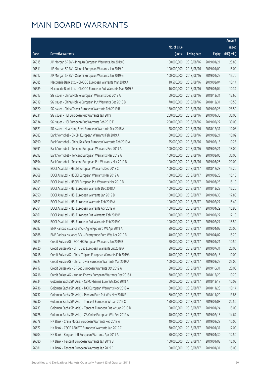|       |                                                              |              |                       |               | Amount      |
|-------|--------------------------------------------------------------|--------------|-----------------------|---------------|-------------|
|       |                                                              | No. of issue |                       |               | raised      |
| Code  | Derivative warrants                                          | (units)      | <b>Listing date</b>   | <b>Expiry</b> | (HK\$ mil.) |
| 26615 | J P Morgan SP BV - Ping An European Warrants Jan 2019 C      | 150,000,000  | 2018/08/16            | 2019/01/21    | 25.80       |
| 26611 | J P Morgan SP BV - Xiaomi European Warrants Jan 2019 F       | 100,000,000  | 2018/08/16            | 2019/01/09    | 15.00       |
| 26612 | J P Morgan SP BV - Xiaomi European Warrants Jan 2019 G       | 100,000,000  | 2018/08/16            | 2019/01/29    | 15.70       |
| 26585 | Macquarie Bank Ltd. - CNOOC European Warrants Mar 2019 A     | 10,500,000   | 2018/08/16            | 2019/03/04    | 10.14       |
| 26589 | Macquarie Bank Ltd. - CNOOC European Put Warrants Mar 2019 B | 16,000,000   | 2018/08/16            | 2019/03/04    | 10.34       |
| 26617 | SG Issuer - China Mobile European Warrants Dec 2018 A        | 60,000,000   | 2018/08/16            | 2018/12/31    | 12.60       |
| 26619 | SG Issuer - China Mobile European Put Warrants Dec 2018 B    | 70,000,000   | 2018/08/16            | 2018/12/31    | 10.50       |
| 26620 | SG Issuer - China Tower European Warrants Feb 2019 B         | 150,000,000  | 2018/08/16            | 2019/02/28    | 28.50       |
| 26631 | SG Issuer - HSI European Put Warrants Jan 2019 I             | 200,000,000  | 2018/08/16            | 2019/01/30    | 30.00       |
| 26634 | SG Issuer - HSI European Put Warrants Feb 2019 E             | 200,000,000  | 2018/08/16            | 2019/02/27    | 30.00       |
| 26621 | SG Issuer - Hua Hong Semi European Warrants Dec 2018 A       | 28,000,000   | 2018/08/16            | 2018/12/31    | 10.08       |
| 26583 | Bank Vontobel - CNBM European Warrants Feb 2019 A            | 60,000,000   | 2018/08/16            | 2019/02/21    | 10.02       |
| 26590 | Bank Vontobel - China Res Beer European Warrants Feb 2019 A  | 25,000,000   | 2018/08/16            | 2019/02/18    | 10.25       |
| 26591 | Bank Vontobel - Tencent European Warrants Feb 2019 A         | 100,000,000  | 2018/08/16            | 2019/02/21    | 18.00       |
| 26592 | Bank Vontobel - Tencent European Warrants Mar 2019 A         | 100,000,000  | 2018/08/16            | 2019/03/06    | 30.00       |
| 26594 | Bank Vontobel - Tencent European Put Warrants Mar 2019 B     | 100,000,000  | 2018/08/16            | 2019/03/26    | 20.00       |
| 26667 | BOCI Asia Ltd. - HSCEI European Warrants Dec 2018 C          | 100,000,000  | 2018/08/17            | 2018/12/28    | 15.20       |
| 26668 | BOCI Asia Ltd. - HSCEI European Warrants Mar 2019 A          | 100,000,000  | 2018/08/17            | 2019/03/28    | 15.10       |
| 26669 | BOCI Asia Ltd. - HSCEI European Put Warrants Mar 2019 B      | 100,000,000  | 2018/08/17            | 2019/03/28    | 15.10       |
| 26651 | BOCI Asia Ltd. - HSI European Warrants Dec 2018 A            | 100,000,000  | 2018/08/17            | 2018/12/28    | 15.20       |
| 26650 | BOCI Asia Ltd. - HSI European Warrants Jan 2019 B            | 100,000,000  | 2018/08/17            | 2019/01/30    | 17.80       |
| 26653 | BOCI Asia Ltd. - HSI European Warrants Feb 2019 A            | 100,000,000  | 2018/08/17            | 2019/02/27    | 15.40       |
| 26654 | BOCI Asia Ltd. - HSI European Warrants Apr 2019 A            | 100,000,000  | 2018/08/17            | 2019/04/29    | 15.90       |
| 26661 | BOCI Asia Ltd. - HSI European Put Warrants Feb 2019 B        | 100,000,000  | 2018/08/17            | 2019/02/27    | 17.10       |
| 26662 | BOCI Asia Ltd. - HSI European Put Warrants Feb 2019 C        | 100,000,000  | 2018/08/17            | 2019/02/27    | 15.50       |
| 26687 | BNP Paribas Issuance B.V. - Agile Ppt Euro Wt Apr 2019 A     | 80,000,000   | 2018/08/17            | 2019/04/02    | 20.00       |
| 26688 | BNP Paribas Issuance B.V. - Evergrande Euro Wts Apr 2019 B   |              | 40,000,000 2018/08/17 | 2019/04/02    | 15.20       |
| 26719 | Credit Suisse AG - BOC HK European Warrants Jan 2019 B       | 70,000,000   | 2018/08/17            | 2019/01/21    | 10.50       |
| 26720 | Credit Suisse AG - CITIC Sec European Warrants Jul 2019 A    | 80,000,000   | 2018/08/17            | 2019/07/31    | 20.00       |
| 26718 | Credit Suisse AG - China Taiping European Warrants Feb 2019A | 40,000,000   | 2018/08/17            | 2019/02/18    | 10.00       |
| 26723 | Credit Suisse AG - China Tower European Warrants Mar 2019 A  | 100,000,000  | 2018/08/17            | 2019/03/29    | 25.00       |
| 26717 | Credit Suisse AG - GF Sec European Warrants Oct 2019 A       | 80,000,000   | 2018/08/17            | 2019/10/31    | 20.00       |
| 26716 | Credit Suisse AG - Kunlun Energy European Warrants Dec 2018A | 30,000,000   | 2018/08/17            | 2018/12/20    | 10.20       |
| 26734 | Goldman Sachs SP (Asia) - CSPC Pharma Euro Wts Dec 2018 A    | 60,000,000   | 2018/08/17            | 2018/12/17    | 10.08       |
| 26736 | Goldman Sachs SP (Asia) - NCI European Warrants Nov 2018 A   | 60,000,000   | 2018/08/17            | 2018/11/23    | 10.14       |
| 26737 | Goldman Sachs SP (Asia) - Ping An Euro Put Wts Nov 2018 E    | 60,000,000   | 2018/08/17            | 2018/11/20    | 13.86       |
| 26730 | Goldman Sachs SP (Asia) - Tencent European Wt Jan 2019 C     | 150,000,000  | 2018/08/17            | 2019/01/08    | 22.50       |
| 26733 | Goldman Sachs SP (Asia) - Tencent European Put Wt Jan 2019 D | 100,000,000  | 2018/08/17            | 2019/01/24    | 15.00       |
| 26728 | Goldman Sachs SP (Asia) - ZA Onine European Wts Feb 2019 A   | 40,000,000   | 2018/08/17            | 2019/02/18    | 14.64       |
| 26678 | HK Bank - China Mobile European Warrants Feb 2019 A          | 40,000,000   | 2018/08/17            | 2019/02/28    | 10.00       |
| 26677 | HK Bank - CSOP A50 ETF European Warrants Jan 2019 C          | 30,000,000   | 2018/08/17            | 2019/01/31    | 12.00       |
| 26704 | HK Bank - Kingdee Intl European Warrants Apr 2019 A          | 50,000,000   | 2018/08/17            | 2019/04/30    | 12.50       |
| 26680 | HK Bank - Tencent European Warrants Jan 2019 B               | 100,000,000  | 2018/08/17            | 2019/01/08    | 15.00       |
| 26681 | HK Bank - Tencent European Warrants Jan 2019 C               | 100,000,000  | 2018/08/17            | 2019/01/31    | 15.00       |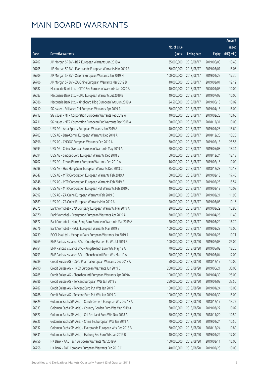|       |                                                              |              |                       |               | Amount      |
|-------|--------------------------------------------------------------|--------------|-----------------------|---------------|-------------|
|       |                                                              | No. of issue |                       |               | raised      |
| Code  | <b>Derivative warrants</b>                                   | (units)      | <b>Listing date</b>   | <b>Expiry</b> | (HK\$ mil.) |
| 26707 | J P Morgan SP BV - BEA European Warrants Jun 2019 A          | 35,000,000   | 2018/08/17            | 2019/06/03    | 10.40       |
| 26705 | J P Morgan SP BV - Evergrande European Warrants Mar 2019 B   | 60,000,000   | 2018/08/17            | 2019/03/01    | 15.06       |
| 26709 | J P Morgan SP BV - Xiaomi European Warrants Jan 2019 H       | 100,000,000  | 2018/08/17            | 2019/01/29    | 17.30       |
| 26706 | J P Morgan SP BV - ZA Onine European Warrants Mar 2019 B     | 40,000,000   | 2018/08/17            | 2019/03/01    | 12.12       |
| 26682 | Macquarie Bank Ltd. - CITIC Sec European Warrants Jan 2020 A | 40,000,000   | 2018/08/17            | 2020/01/03    | 10.00       |
| 26683 | Macquarie Bank Ltd. - CPIC European Warrants Jul 2019 B      | 40,000,000   | 2018/08/17            | 2019/07/03    | 10.00       |
| 26686 | Macquarie Bank Ltd. - Kingboard Hldg European Wts Jun 2019 A | 24,500,000   | 2018/08/17            | 2019/06/18    | 10.02       |
| 26710 | SG Issuer - Brilliance Chi European Warrants Apr 2019 A      | 80,000,000   | 2018/08/17            | 2019/04/18    | 16.00       |
| 26712 | SG Issuer - MTR Corporation European Warrants Feb 2019 A     | 40,000,000   | 2018/08/17            | 2019/02/28    | 10.60       |
| 26711 | SG Issuer - MTR Corporation European Put Warrants Dec 2018 A | 50,000,000   | 2018/08/17            | 2018/12/31    | 10.00       |
| 26700 | UBS AG - Anta Sports European Warrants Jan 2019 A            | 40,000,000   | 2018/08/17            | 2019/01/28    | 15.60       |
| 26703 | UBS AG - BankComm European Warrants Dec 2018 A               | 50,000,000   | 2018/08/17            | 2018/12/20    | 10.25       |
| 26696 | UBS AG - CNOOC European Warrants Feb 2019 A                  | 30,000,000   | 2018/08/17            | 2019/02/18    | 25.56       |
| 26693 | UBS AG - China Overseas European Warrants May 2019 A         | 70,000,000   | 2018/08/17            | 2019/05/08    | 18.34       |
| 26694 | UBS AG - Sinopec Corp European Warrants Dec 2018 B           | 60,000,000   | 2018/08/17            | 2018/12/24    | 12.18       |
| 26702 | UBS AG - Fosun Pharma European Warrants Feb 2019 A           | 16,000,000   | 2018/08/17            | 2019/02/18    | 10.00       |
| 26698 | UBS AG - Hua Hong Semi European Warrants Dec 2018 C          | 25,000,000   | 2018/08/17            | 2018/12/28    | 10.18       |
| 26647 | UBS AG - MTR Corporation European Warrants Feb 2019 A        | 60,000,000   | 2018/08/17            | 2019/02/18    | 17.40       |
| 26648 | UBS AG - MTR Corporation European Warrants Feb 2019 B        | 60,000,000   | 2018/08/17            | 2019/02/25    | 15.54       |
| 26649 | UBS AG - MTR Corporation European Put Warrants Feb 2019 C    | 40,000,000   | 2018/08/17            | 2019/02/18    | 10.08       |
| 26692 | UBS AG - ZA Onine European Warrants Feb 2019 B               | 20,000,000   | 2018/08/17            | 2019/02/21    | 11.90       |
| 26689 | UBS AG - ZA Onine European Warrants Mar 2019 A               | 20,000,000   | 2018/08/17            | 2019/03/08    | 10.16       |
| 26675 | Bank Vontobel - BYD Company European Warrants Mar 2019 A     | 20,000,000   | 2018/08/17            | 2019/03/29    | 13.90       |
| 26670 | Bank Vontobel - Evergrande European Warrants Apr 2019 A      | 30,000,000   | 2018/08/17            | 2019/04/26    | 11.40       |
| 26672 | Bank Vontobel - Hang Seng Bank European Warrants Mar 2019 A  | 20,000,000   | 2018/08/17            | 2019/03/29    | 16.70       |
| 26676 | Bank Vontobel - HSCEI European Warrants Mar 2019 B           | 100,000,000  | 2018/08/17            | 2019/03/28    | 15.00       |
| 26739 | BOCI Asia Ltd. - Mengniu Dairy European Warrants Jan 2019 A  |              | 70,000,000 2018/08/20 | 2019/01/28    | 10.71       |
| 26769 | BNP Paribas Issuance B.V. - Country Garden Eu Wt Jul 2019 B  | 100,000,000  | 2018/08/20            | 2019/07/03    | 25.00       |
| 26754 | BNP Paribas Issuance B.V. - Kingdee Int'l Euro Wts May 19 A  | 70,000,000   | 2018/08/20            | 2019/05/02    | 18.20       |
| 26753 | BNP Paribas Issuance B.V. - Shenzhou Intl Euro Wts Mar 19 A  | 20,000,000   | 2018/08/20            | 2019/03/04    | 12.00       |
| 26789 | Credit Suisse AG - CSPC Pharma European Warrants Dec 2018 A  | 50,000,000   | 2018/08/20            | 2018/12/17    | 10.00       |
| 26790 | Credit Suisse AG - HKEX European Warrants Jun 2019 C         | 200,000,000  | 2018/08/20            | 2019/06/21    | 30.00       |
| 26785 | Credit Suisse AG - Shenzhou Intl European Warrants Apr 2019A | 100,000,000  | 2018/08/20            | 2019/04/30    | 25.00       |
| 26786 | Credit Suisse AG - Tencent European Wts Jan 2019 E           | 250,000,000  | 2018/08/20            | 2019/01/08    | 37.50       |
| 26787 | Credit Suisse AG - Tencent Euro Put Wts Jan 2019 F           | 100,000,000  | 2018/08/20            | 2019/01/24    | 16.00       |
| 26788 | Credit Suisse AG - Tencent Euro Put Wts Jan 2019 G           | 100,000,000  | 2018/08/20            | 2019/01/30    | 15.00       |
| 26829 | Goldman Sachs SP (Asia) - Conch Cement European Wts Dec 18 A | 40,000,000   | 2018/08/20            | 2018/12/17    | 13.72       |
| 26833 | Goldman Sachs SP (Asia) - Country Garden Euro Wts Mar 2019 A | 60,000,000   | 2018/08/20            | 2019/03/27    | 10.02       |
| 26827 | Goldman Sachs SP (Asia) - Chi Res Land Euro Wts Nov 2018 A   | 70,000,000   | 2018/08/20            | 2018/11/20    | 10.50       |
| 26825 | Goldman Sachs SP (Asia) - China Tel European Wts Jan 2019 A  | 70,000,000   | 2018/08/20            | 2019/01/24    | 10.50       |
| 26832 | Goldman Sachs SP (Asia) - Evergrande European Wts Dec 2018 B | 60,000,000   | 2018/08/20            | 2018/12/24    | 10.80       |
| 26831 | Goldman Sachs SP (Asia) - Haitong Sec Euro Wts Jan 2019 B    | 40,000,000   | 2018/08/20            | 2019/01/24    | 17.00       |
| 26756 | HK Bank - AAC Tech European Warrants Mar 2019 A              | 100,000,000  | 2018/08/20            | 2019/03/11    | 15.00       |
| 26758 | HK Bank - BYD Company European Warrants Feb 2019 C           | 40,000,000   | 2018/08/20            | 2019/02/28    | 10.00       |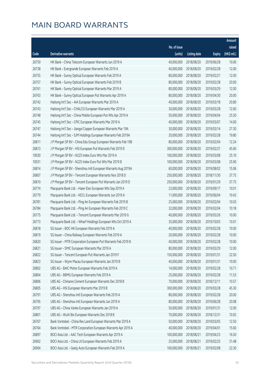|       |                                                              |              |                       |               | Amount      |
|-------|--------------------------------------------------------------|--------------|-----------------------|---------------|-------------|
|       |                                                              | No. of issue |                       |               | raised      |
| Code  | <b>Derivative warrants</b>                                   | (units)      | <b>Listing date</b>   | <b>Expiry</b> | (HK\$ mil.) |
| 26759 | HK Bank - China Telecom European Warrants Jun 2019 A         | 40,000,000   | 2018/08/20            | 2019/06/28    | 10.00       |
| 26738 | HK Bank - Evergrande European Warrants Feb 2019 A            | 40,000,000   | 2018/08/20            | 2019/02/28    | 12.00       |
| 26755 | HK Bank - Sunny Optical European Warrants Feb 2019 A         | 80,000,000   | 2018/08/20            | 2019/02/21    | 12.00       |
| 26757 | HK Bank - Sunny Optical European Warrants Feb 2019 B         | 80,000,000   | 2018/08/20            | 2019/02/28    | 20.00       |
| 26761 | HK Bank - Sunny Optical European Warrants Mar 2019 A         | 80,000,000   | 2018/08/20            | 2019/03/29    | 12.00       |
| 26763 | HK Bank - Sunny Optical European Put Warrants Apr 2019 A     | 80,000,000   | 2018/08/20            | 2019/04/30    | 20.00       |
| 26742 | Haitong Int'l Sec - AIA European Warrants Mar 2019 A         | 40,000,000   | 2018/08/20            | 2019/03/18    | 20.80       |
| 26743 | Haitong Int'l Sec - CHALCO European Warrants Mar 2019 A      | 30,000,000   | 2018/08/20            | 2019/03/28    | 12.60       |
| 26748 | Haitong Int'l Sec - China Mobile European Put Wts Apr 2019 A | 50,000,000   | 2018/08/20            | 2019/04/04    | 25.50       |
| 26745 | Haitong Int'l Sec - CPIC European Warrants Mar 2019 A        | 40,000,000   | 2018/08/20            | 2019/03/07    | 14.00       |
| 26747 | Haitong Int'l Sec - Jiangxi Copper European Warrants Mar 19A | 30,000,000   | 2018/08/20            | 2019/03/14    | 27.30       |
| 26744 | Haitong Int'l Sec - SJM Holdings European Warrants Feb 2019A | 20,000,000   | 2018/08/20            | 2019/02/28    | 19.80       |
| 26811 | J P Morgan SP BV - China Edu Group European Warrants Feb 19B | 80,000,000   | 2018/08/20            | 2019/02/04    | 12.24       |
| 26813 | J P Morgan SP BV - HSI European Put Warrants Feb 2019 D      | 300,000,000  | 2018/08/20            | 2019/02/27    | 45.60       |
| 10030 | J P Morgan SP BV - N225 Index Euro Wts Mar 2019 A            | 100,000,000  | 2018/08/20            | 2019/03/08    | 25.10       |
| 10031 | J P Morgan SP BV - N225 Index Euro Put Wts Mar 2019 B        | 100,000,000  | 2018/08/20            | 2019/03/08    | 25.90       |
| 26814 | J P Morgan SP BV - Shenzhou Intl European Warrants Aug 2019A | 60,000,000   | 2018/08/20            | 2019/08/02    | 15.06       |
| 26807 | J P Morgan SP BV - Tencent European Warrants Nov 2018 D      | 250,000,000  | 2018/08/20            | 2018/11/30    | 37.75       |
| 26810 | J P Morgan SP BV - Tencent European Put Warrants Jan 2019 D  | 250,000,000  | 2018/08/20            | 2019/01/29    | 37.75       |
| 26774 | Macquarie Bank Ltd. - Haier Elec European Wts Sep 2019 A     | 23,000,000   | 2018/08/20            | 2019/09/17    | 10.01       |
| 26779 | Macquarie Bank Ltd. - KECL European Warrants Jun 2019 A      | 11,000,000   | 2018/08/20            | 2019/06/04    | 10.43       |
| 26781 | Macquarie Bank Ltd. - Ping An European Warrants Feb 2019 B   | 25,000,000   | 2018/08/20            | 2019/02/04    | 10.03       |
| 26784 | Macquarie Bank Ltd. - Ping An European Warrants Feb 2019 C   | 32,000,000   | 2018/08/20            | 2019/02/04    | 10.18       |
| 26775 | Macquarie Bank Ltd. - Tencent European Warrants Mar 2019 G   | 40,000,000   | 2018/08/20            | 2019/03/26    | 10.00       |
| 26773 | Macquarie Bank Ltd. - Wharf Holdings European Wts Oct 2019 A | 35,000,000   | 2018/08/20            | 2019/10/03    | 10.01       |
| 26818 | SG Issuer - BOC HK European Warrants Feb 2019 A              | 40,000,000   | 2018/08/20            | 2019/02/28    | 10.00       |
| 26819 | SG Issuer - China Railway European Warrants Feb 2019 A       |              | 20,000,000 2018/08/20 | 2019/02/28    | 10.00       |
| 26820 | SG Issuer - MTR Corporation European Put Warrants Feb 2019 B | 40,000,000   | 2018/08/20            | 2019/02/28    | 10.00       |
| 26821 | SG Issuer - SMIC European Warrants Mar 2019 A                | 80,000,000   | 2018/08/20            | 2019/03/29    | 12.00       |
| 26822 | SG Issuer - Tencent European Put Warrants Jan 2019 F         | 150,000,000  | 2018/08/20            | 2019/01/31    | 22.50       |
| 26823 | SG Issuer - Wynn Macau European Warrants Jan 2019 B          | 40,000,000   | 2018/08/20            | 2019/01/31    | 10.00       |
| 26802 | UBS AG - BAIC Motor European Warrants Feb 2019 A             | 14,000,000   | 2018/08/20            | 2019/02/28    | 10.71       |
| 26804 | UBS AG - BBMG European Warrants Feb 2019 A                   | 25,000,000   | 2018/08/20            | 2019/02/28    | 11.53       |
| 26806 | UBS AG - Chinares Cement European Warrants Dec 2018 B        | 70,000,000   | 2018/08/20            | 2018/12/11    | 10.57       |
| 26805 | UBS AG - HSI European Warrants Mar 2019 B                    | 300,000,000  | 2018/08/20            | 2019/03/28    | 45.30       |
| 26791 | UBS AG - Shenzhou Intl European Warrants Feb 2019 A          | 80,000,000   | 2018/08/20            | 2019/02/28    | 20.00       |
| 26795 | UBS AG - Shenzhou Intl European Warrants Jun 2019 A          | 80,000,000   | 2018/08/20            | 2019/06/28    | 20.08       |
| 26797 | UBS AG - China Vanke European Warrants Jan 2019 A            | 50,000,000   | 2018/08/20            | 2019/01/31    | 12.00       |
| 26801 | UBS AG - WuXi Bio European Warrants Dec 2018 B               | 70,000,000   | 2018/08/20            | 2018/12/31    | 10.92       |
| 26767 | Bank Vontobel - China Res Land European Warrants Mar 2019 A  | 50,000,000   | 2018/08/20            | 2019/03/05    | 12.50       |
| 26764 | Bank Vontobel - MTR Corporation European Warrants Apr 2019 A | 40,000,000   | 2018/08/20            | 2019/04/01    | 15.60       |
| 26897 | BOCI Asia Ltd. - AAC Tech European Warrants Apr 2019 A       | 100,000,000  | 2018/08/21            | 2019/04/23    | 16.50       |
| 26902 | BOCI Asia Ltd. - China Lit European Warrants Feb 2019 A      | 25,000,000   | 2018/08/21            | 2019/02/25    | 31.48       |
| 26904 | BOCI Asia Ltd. - Geely Auto European Warrants Feb 2019 A     | 100,000,000  | 2018/08/21            | 2019/02/08    | 22.30       |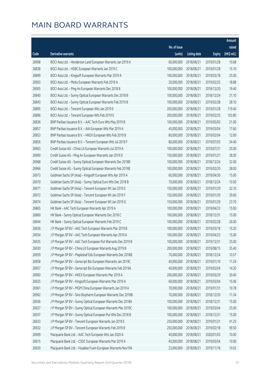|       |                                                              |                        |                     |               | Amount      |
|-------|--------------------------------------------------------------|------------------------|---------------------|---------------|-------------|
|       |                                                              | No. of issue           |                     |               | raised      |
| Code  | <b>Derivative warrants</b>                                   | (units)                | <b>Listing date</b> | <b>Expiry</b> | (HK\$ mil.) |
| 26908 | BOCI Asia Ltd. - Henderson Land European Warrants Jan 2019 A | 60,000,000             | 2018/08/21          | 2019/01/28    | 10.68       |
| 26838 | BOCI Asia Ltd. - HSBC European Warrants Jan 2019 C           | 100,000,000            | 2018/08/21          | 2019/01/28    | 15.10       |
| 26899 | BOCI Asia Ltd. - Kingsoft European Warrants Mar 2019 A       | 100,000,000            | 2018/08/21          | 2019/03/18    | 25.00       |
| 26903 | BOCI Asia Ltd. - Meitu European Warrants Feb 2019 A          | 20,000,000             | 2018/08/21          | 2019/02/25    | 18.88       |
| 26905 | BOCI Asia Ltd. - Ping An European Warrants Dec 2018 B        | 100,000,000            | 2018/08/21          | 2018/12/20    | 19.40       |
| 26840 | BOCI Asia Ltd. - Sunny Optical European Warrants Dec 2018 B  | 100,000,000            | 2018/08/21          | 2018/12/24    | 31.10       |
| 26843 | BOCI Asia Ltd. - Sunny Optical European Warrants Feb 2019 B  | 100,000,000            | 2018/08/21          | 2019/02/28    | 28.10       |
| 26895 | BOCI Asia Ltd. - Tencent European Wts Jan 2019 E             | 200,000,000            | 2018/08/21          | 2019/01/28    | 119.40      |
| 26896 | BOCI Asia Ltd. - Tencent European Wts Feb 2019 E             | 200,000,000            | 2018/08/21          | 2019/02/25    | 103.80      |
| 26836 | BNP Paribas Issuance B.V. - AAC Tech Euro Wts May 2019 B     | 100,000,000            | 2018/08/21          | 2019/05/02    | 21.00       |
| 26857 | BNP Paribas Issuance B.V. - AIA European Wts Mar 2019 A      | 40,000,000             | 2018/08/21          | 2019/03/04    | 17.60       |
| 26853 | BNP Paribas Issuance B.V. - HKEX European Wts Feb 2019 B     | 80,000,000             | 2018/08/21          | 2019/02/04    | 12.00       |
| 26856 | BNP Paribas Issuance B.V. - Tencent European Wts Jul 2019 F  | 80,000,000             | 2018/08/21          | 2019/07/03    | 34.40       |
| 26963 | Credit Suisse AG - China Lit European Warrants Jul 2019 A    | 100,000,000            | 2018/08/21          | 2019/07/31    | 25.00       |
| 26969 | Credit Suisse AG - Ping An European Warrants Jan 2019 D      | 150,000,000            | 2018/08/21          | 2019/01/21    | 28.50       |
| 26968 | Credit Suisse AG - Sunny Optical European Warrants Dec 2018B | 100,000,000            | 2018/08/21          | 2018/12/24    | 32.00       |
| 26966 | Credit Suisse AG - Sunny Optical European Warrants Feb 2019B | 100,000,000            | 2018/08/21          | 2019/02/20    | 28.00       |
| 26973 | Goldman Sachs SP (Asia) - Kingsoft European Wts Apr 2019 A   | 60,000,000             | 2018/08/21          | 2019/04/30    | 15.00       |
| 26970 | Goldman Sachs SP (Asia) - Sunny Optical Euro Wts Dec 2018 B  | 70,000,000             | 2018/08/21          | 2018/12/24    | 10.50       |
| 26971 | Goldman Sachs SP (Asia) - Tencent European Wt Jan 2019 E     | 150,000,000            | 2018/08/21          | 2019/01/29    | 32.10       |
| 26972 | Goldman Sachs SP (Asia) - Tencent European Wt Jan 2019 F     | 150,000,000            | 2018/08/21          | 2019/01/29    | 39.60       |
| 26974 | Goldman Sachs SP (Asia) - Tencent European Wt Jan 2019 G     | 150,000,000            | 2018/08/21          | 2019/01/29    | 23.70       |
| 26865 | HK Bank - AAC Tech European Warrants Apr 2019 A              | 100,000,000            | 2018/08/21          | 2019/04/23    | 15.00       |
| 26860 | HK Bank - Sunny Optical European Warrants Dec 2018 C         | 100,000,000            | 2018/08/21          | 2018/12/31    | 15.00       |
| 26844 | HK Bank - Sunny Optical European Warrants Feb 2019 C         | 100,000,000            | 2018/08/21          | 2019/02/28    | 26.00       |
| 26926 | J P Morgan SP BV - AAC Tech European Warrants Mar 2019 B     | 100,000,000            | 2018/08/21          | 2019/03/18    | 15.20       |
| 26934 | J P Morgan SP BV - AAC Tech European Warrants Apr 2019 A     | 100,000,000 2018/08/21 |                     | 2019/04/23    | 15.00       |
| 26935 | J P Morgan SP BV - AAC Tech European Put Warrants Dec 2019 B | 100,000,000            | 2018/08/21          | 2019/12/31    | 25.00       |
| 26930 | J P Morgan SP BV - China Lit European Warrants Aug 2019 B    | 200,000,000            | 2018/08/21          | 2019/08/15    | 35.40       |
| 26959 | J P Morgan SP BV - Mapleleaf Edu European Warrants Dec 2018B | 70,000,000             | 2018/08/21          | 2018/12/24    | 10.57       |
| 26958 | J P Morgan SP BV - Genscript Bio European Warrants Jan 2019C | 40,000,000             | 2018/08/21          | 2019/01/10    | 11.24       |
| 26957 | J P Morgan SP BV - Genscript Bio European Warrants Feb 2019A | 40,000,000             | 2018/08/21          | 2019/02/04    | 14.20       |
| 26960 | J P Morgan SP BV - HKEX European Warrants Mar 2019 A         | 200,000,000            | 2018/08/21          | 2019/03/29    | 30.40       |
| 26925 | J P Morgan SP BV - Kingsoft European Warrants Mar 2019 A     | 60,000,000             | 2018/08/21          | 2019/03/04    | 15.06       |
| 26961 | J P Morgan SP BV - MGM China European Warrants Jan 2019 A    | 70,000,000             | 2018/08/21          | 2019/01/31    | 10.78       |
| 26962 | J P Morgan SP BV - Sino Biopharm European Warrants Dec 2018B | 70,000,000             | 2018/08/21          | 2018/12/20    | 11.34       |
| 26936 | J P Morgan SP BV - Sunny Optical European Warrants Dec 2018A | 100,000,000            | 2018/08/21          | 2018/12/31    | 15.00       |
| 26927 | J P Morgan SP BV - Sunny Optical European Warrants Mar 2019C | 100,000,000            | 2018/08/21          | 2019/03/04    | 25.00       |
| 26937 | J P Morgan SP BV - Sunny Optical European Put Wts Dec 2018 B | 100,000,000            | 2018/08/21          | 2018/12/31    | 15.00       |
| 26933 | J P Morgan SP BV - Tencent European Warrants Jan 2019 E      | 250,000,000            | 2018/08/21          | 2019/01/31    | 41.25       |
| 26932 | J P Morgan SP BV - Tencent European Warrants Feb 2019 B      | 250,000,000            | 2018/08/21          | 2019/02/18    | 99.50       |
| 26909 | Macquarie Bank Ltd. - AAC Tech European Wts Jan 2020 A       | 40,000,000             | 2018/08/21          | 2020/01/03    | 10.00       |
| 26915 | Macquarie Bank Ltd. - CSDC European Warrants Mar 2019 A      | 40,000,000             | 2018/08/21          | 2019/03/04    | 10.00       |
| 26920 | Macquarie Bank Ltd. - Huadian Fuxin European Warrants Nov19A | 23,000,000             | 2018/08/21          | 2019/11/18    | 10.03       |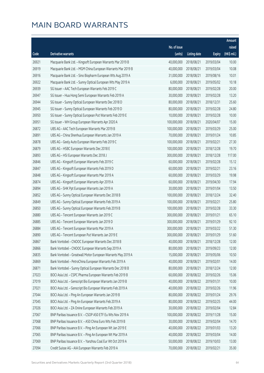|       |                                                              |                        |                     |               | Amount      |
|-------|--------------------------------------------------------------|------------------------|---------------------|---------------|-------------|
|       |                                                              | No. of issue           |                     |               | raised      |
| Code  | Derivative warrants                                          | (units)                | <b>Listing date</b> | <b>Expiry</b> | (HK\$ mil.) |
| 26921 | Macquarie Bank Ltd. - Kingsoft European Warrants Mar 2019 B  | 40,000,000             | 2018/08/21          | 2019/03/04    | 10.00       |
| 26919 | Macquarie Bank Ltd. - MGM China European Warrants Mar 2019 B | 40,000,000             | 2018/08/21          | 2019/03/04    | 10.08       |
| 26916 | Macquarie Bank Ltd. - Sino Biopharm European Wts Aug 2019 A  | 31,000,000             | 2018/08/21          | 2019/08/16    | 10.01       |
| 26922 | Macquarie Bank Ltd. - Sunny Optical European Wts May 2019 A  | 6,000,000              | 2018/08/21          | 2019/05/02    | 10.18       |
| 26939 | SG Issuer - AAC Tech European Warrants Feb 2019 C            | 80,000,000             | 2018/08/21          | 2019/02/28    | 20.00       |
| 26947 | SG Issuer - Hua Hong Semi European Warrants Feb 2019 A       | 30,000,000             | 2018/08/21          | 2019/02/28    | 13.20       |
| 26944 | SG Issuer - Sunny Optical European Warrants Dec 2018 D       | 80,000,000             | 2018/08/21          | 2018/12/31    | 25.60       |
| 26945 | SG Issuer - Sunny Optical European Warrants Feb 2019 D       | 80,000,000             | 2018/08/21          | 2019/02/28    | 24.80       |
| 26950 | SG Issuer - Sunny Optical European Put Warrants Feb 2019 E   | 10,000,000             | 2018/08/21          | 2019/02/28    | 10.00       |
| 26951 | SG Issuer - WH Group European Warrants Apr 2020 A            | 100,000,000            | 2018/08/21          | 2020/04/07    | 15.00       |
| 26872 | UBS AG - AAC Tech European Warrants Mar 2019 B               | 100,000,000            | 2018/08/21          | 2019/03/29    | 25.00       |
| 26891 | UBS AG - China Shenhua European Warrants Jan 2019 A          | 70,000,000             | 2018/08/21          | 2019/01/24    | 10.85       |
| 26878 | UBS AG - Geely Auto European Warrants Feb 2019 C             | 100,000,000            | 2018/08/21          | 2019/02/21    | 27.30       |
| 26879 | UBS AG - HSBC European Warrants Dec 2018 E                   | 100,000,000            | 2018/08/21          | 2018/12/28    | 19.70       |
| 26893 | UBS AG - HSI European Warrants Dec 2018 J                    | 300,000,000            | 2018/08/21          | 2018/12/28    | 117.00      |
| 26846 | UBS AG - Kingsoft European Warrants Feb 2019 C               | 60,000,000             | 2018/08/21          | 2019/02/28    | 15.12       |
| 26847 | UBS AG - Kingsoft European Warrants Feb 2019 D               | 60,000,000             | 2018/08/21          | 2019/02/21    | 23.16       |
| 26848 | UBS AG - Kingsoft European Warrants Mar 2019 A               | 60,000,000             | 2018/08/21          | 2019/03/29    | 19.98       |
| 26874 | UBS AG - Kingsoft European Warrants Apr 2019 A               | 60,000,000             | 2018/08/21          | 2019/04/30    | 17.94       |
| 26894 | UBS AG - SHK Ppt European Warrants Jan 2019 A                | 30,000,000             | 2018/08/21          | 2019/01/04    | 13.50       |
| 26852 | UBS AG - Sunny Optical European Warrants Dec 2018 B          | 100,000,000            | 2018/08/21          | 2018/12/24    | 32.40       |
| 26849 | UBS AG - Sunny Optical European Warrants Feb 2019 A          | 100,000,000            | 2018/08/21          | 2019/02/21    | 25.80       |
| 26850 | UBS AG - Sunny Optical European Warrants Feb 2019 B          | 100,000,000            | 2018/08/21          | 2019/02/28    | 33.30       |
| 26880 | UBS AG - Tencent European Warrants Jan 2019 C                | 300,000,000            | 2018/08/21          | 2019/01/21    | 65.10       |
| 26885 | UBS AG - Tencent European Warrants Jan 2019 D                | 300,000,000            | 2018/08/21          | 2019/01/29    | 92.10       |
| 26884 | UBS AG - Tencent European Warrants Mar 2019 A                | 300,000,000            | 2018/08/21          | 2019/03/22    | 51.30       |
| 26890 | UBS AG - Tencent European Put Warrants Jan 2019 E            | 300,000,000 2018/08/21 |                     | 2019/01/29    | 51.60       |
| 26867 | Bank Vontobel - CNOOC European Warrants Dec 2018 B           | 40,000,000             | 2018/08/21          | 2018/12/28    | 12.00       |
| 26866 | Bank Vontobel - CNOOC European Warrants Sep 2019 A           | 80,000,000             | 2018/08/21          | 2019/09/23    | 12.00       |
| 26835 | Bank Vontobel - Greatwall Motor European Warrants May 2019 A | 15,000,000             | 2018/08/21          | 2019/05/06    | 10.50       |
| 26869 | Bank Vontobel - PetroChina European Warrants Feb 2019 A      | 40,000,000             | 2018/08/21          | 2019/02/01    | 14.00       |
| 26871 | Bank Vontobel - Sunny Optical European Warrants Dec 2018 B   | 80,000,000             | 2018/08/21          | 2018/12/24    | 12.00       |
| 27023 | BOCI Asia Ltd. - CSPC Pharma European Warrants Feb 2019 B    | 60,000,000             | 2018/08/22          | 2019/02/26    | 15.06       |
| 27019 | BOCI Asia Ltd. - Genscript Bio European Warrants Jan 2019 B  | 40,000,000             | 2018/08/22          | 2019/01/31    | 10.00       |
| 27021 | BOCI Asia Ltd. - Genscript Bio European Warrants Feb 2019 A  | 40,000,000             | 2018/08/22          | 2019/02/26    | 11.96       |
| 27044 | BOCI Asia Ltd. - Ping An European Warrants Jan 2019 B        | 80,000,000             | 2018/08/22          | 2019/01/24    | 29.76       |
| 27045 | BOCI Asia Ltd. - Ping An European Warrants Feb 2019 A        | 80,000,000             | 2018/08/22          | 2019/02/25    | 44.00       |
| 27026 | BOCI Asia Ltd. - ZA Onine European Warrants Feb 2019 A       | 30,000,000             | 2018/08/22          | 2019/02/04    | 12.84       |
| 27067 | BNP Paribas Issuance B.V. - CSOP A50 ETF Eu Wts Nov 2019 A   | 100,000,000            | 2018/08/22          | 2019/11/28    | 15.00       |
| 27068 | BNP Paribas Issuance B.V. - A50 China Euro Wts Feb 2019 B    | 30,000,000             | 2018/08/22          | 2019/02/04    | 14.70       |
| 27066 | BNP Paribas Issuance B.V. - Ping An European Wt Jan 2019 E   | 40,000,000             | 2018/08/22          | 2019/01/03    | 13.20       |
| 27065 | BNP Paribas Issuance B.V. - Ping An European Wt Mar 2019 A   | 40,000,000             | 2018/08/22          | 2019/03/04    | 14.00       |
| 27069 | BNP Paribas Issuance B.V. - Yanzhou Coal Eur Wt Oct 2019 A   | 50,000,000             | 2018/08/22          | 2019/10/03    | 13.00       |
| 27094 | Credit Suisse AG - AIA European Warrants Feb 2019 A          | 70,000,000             | 2018/08/22          | 2019/02/21    | 35.00       |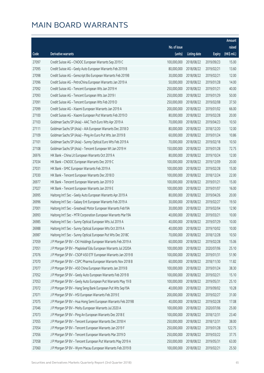|       |                                                              |              |                       |               | Amount      |
|-------|--------------------------------------------------------------|--------------|-----------------------|---------------|-------------|
|       |                                                              | No. of issue |                       |               | raised      |
| Code  | Derivative warrants                                          | (units)      | <b>Listing date</b>   | <b>Expiry</b> | (HK\$ mil.) |
| 27097 | Credit Suisse AG - CNOOC European Warrants Sep 2019 C        | 100,000,000  | 2018/08/22            | 2019/09/23    | 15.00       |
| 27095 | Credit Suisse AG - Geely Auto European Warrants Feb 2019 B   | 80,000,000   | 2018/08/22            | 2019/02/21    | 13.60       |
| 27098 | Credit Suisse AG - Genscript Bio European Warrants Feb 2019B | 30,000,000   | 2018/08/22            | 2019/02/21    | 12.00       |
| 27096 | Credit Suisse AG - PetroChina European Warrants Jan 2019 A   | 50,000,000   | 2018/08/22            | 2019/01/28    | 14.00       |
| 27092 | Credit Suisse AG - Tencent European Wts Jan 2019 H           | 250,000,000  | 2018/08/22            | 2019/01/21    | 40.00       |
| 27093 | Credit Suisse AG - Tencent European Wts Jan 2019 I           | 250,000,000  | 2018/08/22            | 2019/01/29    | 50.00       |
| 27091 | Credit Suisse AG - Tencent European Wts Feb 2019 D           | 250,000,000  | 2018/08/22            | 2019/02/08    | 37.50       |
| 27099 | Credit Suisse AG - Xiaomi European Warrants Jan 2019 A       | 200,000,000  | 2018/08/22            | 2019/01/02    | 66.00       |
| 27100 | Credit Suisse AG - Xiaomi European Put Warrants Feb 2019 D   | 80,000,000   | 2018/08/22            | 2019/02/28    | 20.00       |
| 27103 | Goldman Sachs SP (Asia) - AAC Tech Euro Wts Apr 2019 A       | 70,000,000   | 2018/08/22            | 2019/04/23    | 10.50       |
| 27111 | Goldman Sachs SP (Asia) - AIA European Warrants Dec 2018 D   | 80,000,000   | 2018/08/22            | 2018/12/20    | 12.00       |
| 27109 | Goldman Sachs SP (Asia) - Ping An Euro Put Wts Jan 2019 B    | 60,000,000   | 2018/08/22            | 2019/01/24    | 10.86       |
| 27101 | Goldman Sachs SP (Asia) - Sunny Optical Euro Wts Feb 2019 A  | 70,000,000   | 2018/08/22            | 2019/02/18    | 10.50       |
| 27108 | Goldman Sachs SP (Asia) - Tencent European Wt Jan 2019 H     | 150,000,000  | 2018/08/22            | 2019/01/28    | 72.75       |
| 26976 | HK Bank - China Lit European Warrants Oct 2019 A             | 80,000,000   | 2018/08/22            | 2019/10/24    | 12.00       |
| 27034 | HK Bank - CNOOC European Warrants Dec 2019 C                 | 100,000,000  | 2018/08/22            | 2019/12/09    | 20.00       |
| 27031 | HK Bank - SMIC European Warrants Feb 2019 A                  | 100,000,000  | 2018/08/22            | 2019/02/28    | 15.00       |
| 27030 | HK Bank - Tencent European Warrants Dec 2018 D               | 100,000,000  | 2018/08/22            | 2018/12/24    | 22.00       |
| 26977 | HK Bank - Tencent European Warrants Jan 2019 D               | 100,000,000  | 2018/08/22            | 2019/01/21    | 15.00       |
| 27027 | HK Bank - Tencent European Warrants Jan 2019 E               | 100,000,000  | 2018/08/22            | 2019/01/07    | 16.00       |
| 26995 | Haitong Int'l Sec - Geely Auto European Warrants Apr 2019 A  | 80,000,000   | 2018/08/22            | 2019/04/26    | 20.00       |
| 26996 | Haitong Int'l Sec - Galaxy Ent European Warrants Feb 2019 A  | 30,000,000   | 2018/08/22            | 2019/02/27    | 19.50       |
| 27001 | Haitong Int'l Sec - Greatwall Motor European Warrants Feb19A | 30,000,000   | 2018/08/22            | 2019/02/04    | 12.90       |
| 26993 | Haitong Int'l Sec - MTR Corporation European Warrants Mar19A | 40,000,000   | 2018/08/22            | 2019/03/21    | 10.00       |
| 26985 | Haitong Int'l Sec - Sunny Optical European Wts Jul 2019 A    | 40,000,000   | 2018/08/22            | 2019/07/29    | 10.00       |
| 26988 | Haitong Int'l Sec - Sunny Optical European Wts Oct 2019 A    | 40,000,000   | 2018/08/22            | 2019/10/02    | 10.00       |
| 26987 | Haitong Int'l Sec - Sunny Optical European Put Wts Dec 2018C |              | 70,000,000 2018/08/22 | 2018/12/28    | 10.50       |
| 27059 | J P Morgan SP BV - CKI Holdings European Warrants Feb 2019 A | 60,000,000   | 2018/08/22            | 2019/02/28    | 15.06       |
| 27051 | J P Morgan SP BV - Mapleleaf Edu European Warrants Jul 2020A | 100,000,000  | 2018/08/22            | 2020/07/06    | 25.10       |
| 27076 | J P Morgan SP BV - CSOP A50 ETF European Warrants Jan 2019 B | 100,000,000  | 2018/08/22            | 2019/01/31    | 51.90       |
| 27070 | J P Morgan SP BV - CSPC Pharma European Warrants Nov 2018 B  | 60,000,000   | 2018/08/22            | 2018/11/30    | 11.82       |
| 27077 | J P Morgan SP BV - A50 China European Warrants Jan 2019 B    | 100,000,000  | 2018/08/22            | 2019/01/24    | 38.30       |
| 27052 | J P Morgan SP BV - Geely Auto European Warrants Feb 2019 B   | 100,000,000  | 2018/08/22            | 2019/02/21    | 15.10       |
| 27053 | J P Morgan SP BV - Geely Auto European Put Warrants May 19 B | 100,000,000  | 2018/08/22            | 2019/05/31    | 25.10       |
| 27072 | J P Morgan SP BV - Hang Seng Bank European Put Wts Sep19A    | 40,000,000   | 2018/08/22            | 2019/09/02    | 10.28       |
| 27071 | J P Morgan SP BV - HSI European Warrants Feb 2019 E          | 200,000,000  | 2018/08/22            | 2019/02/27    | 31.00       |
| 27075 | J P Morgan SP BV - Hua Hong Semi European Warrants Feb 2019B | 40,000,000   | 2018/08/22            | 2019/02/28    | 17.08       |
| 27046 | J P Morgan SP BV - Meitu European Warrants Jul 2020 A        | 100,000,000  | 2018/08/22            | 2020/07/06    | 25.00       |
| 27073 | J P Morgan SP BV - Ping An European Warrants Dec 2018 E      | 100,000,000  | 2018/08/22            | 2018/12/31    | 23.40       |
| 27055 | J P Morgan SP BV - Tencent European Warrants Dec 2018 H      | 250,000,000  | 2018/08/22            | 2018/12/31    | 38.00       |
| 27054 | J P Morgan SP BV - Tencent European Warrants Jan 2019 F      | 250,000,000  | 2018/08/22            | 2019/01/28    | 122.75      |
| 27056 | J P Morgan SP BV - Tencent European Warrants Mar 2019 D      | 250,000,000  | 2018/08/22            | 2019/03/22    | 37.75       |
| 27058 | J P Morgan SP BV - Tencent European Put Warrants May 2019 A  | 250,000,000  | 2018/08/22            | 2019/05/31    | 63.00       |
| 27060 | J P Morgan SP BV - Wynn Macau European Warrants Feb 2019 B   | 100,000,000  | 2018/08/22            | 2019/02/21    | 25.50       |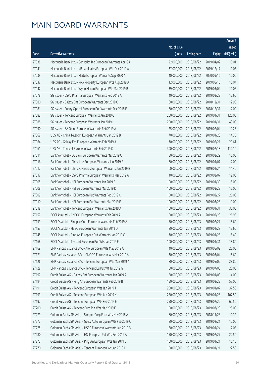|       |                                                              |              |                       |               | Amount      |
|-------|--------------------------------------------------------------|--------------|-----------------------|---------------|-------------|
|       |                                                              | No. of issue |                       |               | raised      |
| Code  | Derivative warrants                                          | (units)      | <b>Listing date</b>   | <b>Expiry</b> | (HK\$ mil.) |
| 27038 | Macquarie Bank Ltd. - Genscript Bio European Warrants Apr19A | 22,000,000   | 2018/08/22            | 2019/04/02    | 10.01       |
| 27041 | Macquarie Bank Ltd. - KB Laminates European Wts Dec 2019 A   | 37,000,000   | 2018/08/22            | 2019/12/17    | 10.03       |
| 27039 | Macquarie Bank Ltd. - Meitu European Warrants Sep 2020 A     | 40,000,000   | 2018/08/22            | 2020/09/16    | 10.00       |
| 27037 | Macquarie Bank Ltd. - Poly Property European Wts Aug 2019 A  | 12,000,000   | 2018/08/22            | 2019/08/16    | 10.04       |
| 27042 | Macquarie Bank Ltd. - Wynn Macau European Wts Mar 2019 B     | 39,000,000   | 2018/08/22            | 2019/03/04    | 10.06       |
| 27078 | SG Issuer - CSPC Pharma European Warrants Feb 2019 A         | 40,000,000   | 2018/08/22            | 2019/02/28    | 12.60       |
| 27080 | SG Issuer - Galaxy Ent European Warrants Dec 2018 C          | 60,000,000   | 2018/08/22            | 2018/12/31    | 12.90       |
| 27081 | SG Issuer - Sunny Optical European Put Warrants Dec 2018 E   | 80,000,000   | 2018/08/22            | 2018/12/31    | 12.00       |
| 27082 | SG Issuer - Tencent European Warrants Jan 2019 G             | 200,000,000  | 2018/08/22            | 2019/01/31    | 120.00      |
| 27088 | SG Issuer - Tencent European Warrants Jan 2019 H             | 200,000,000  | 2018/08/22            | 2019/01/31    | 43.00       |
| 27090 | SG Issuer - ZA Onine European Warrants Feb 2019 A            | 25,000,000   | 2018/08/22            | 2019/02/04    | 10.25       |
| 27062 | UBS AG - China Telecom European Warrants Jan 2019 B          | 70,000,000   | 2018/08/22            | 2019/01/23    | 14.35       |
| 27064 | UBS AG - Galaxy Ent European Warrants Feb 2019 A             | 70,000,000   | 2018/08/22            | 2019/02/21    | 29.61       |
| 27061 | UBS AG - Tencent European Warrants Feb 2019 C                | 300,000,000  | 2018/08/22            | 2019/02/18    | 110.10      |
| 27011 | Bank Vontobel - CC Bank European Warrants Mar 2019 C         | 50,000,000   | 2018/08/22            | 2019/03/29    | 15.00       |
| 27016 | Bank Vontobel - China Life European Warrants Jan 2019 A      | 80,000,000   | 2018/08/22            | 2019/01/07    | 12.00       |
| 27012 | Bank Vontobel - China Overseas European Warrants Jan 2019 B  | 60,000,000   | 2018/08/22            | 2019/01/24    | 11.40       |
| 27017 | Bank Vontobel - CSPC Pharma European Warrants Mar 2019 A     | 40,000,000   | 2018/08/22            | 2019/03/07    | 12.00       |
| 27005 | Bank Vontobel - HSI European Warrants Jan 2019 E             | 100,000,000  | 2018/08/22            | 2019/01/30    | 15.00       |
| 27008 | Bank Vontobel - HSI European Warrants Mar 2019 D             | 100,000,000  | 2018/08/22            | 2019/03/28    | 15.00       |
| 27009 | Bank Vontobel - HSI European Put Warrants Feb 2019 C         | 100,000,000  | 2018/08/22            | 2019/02/27    | 26.00       |
| 27010 | Bank Vontobel - HSI European Put Warrants Mar 2019 E         | 100,000,000  | 2018/08/22            | 2019/03/28    | 19.00       |
| 27018 | Bank Vontobel - Tencent European Warrants Jan 2019 A         | 100,000,000  | 2018/08/22            | 2019/01/31    | 30.00       |
| 27157 | BOCI Asia Ltd. - CNOOC European Warrants Feb 2019 A          | 50,000,000   | 2018/08/23            | 2019/02/28    | 26.95       |
| 27159 | BOCI Asia Ltd. - Sinopec Corp European Warrants Feb 2019 A   | 50,000,000   | 2018/08/23            | 2019/02/27    | 15.60       |
| 27153 | BOCI Asia Ltd. - HSBC European Warrants Jan 2019 D           | 80,000,000   | 2018/08/23            | 2019/01/28    | 17.60       |
| 27145 | BOCI Asia Ltd. - Ping An European Put Warrants Jan 2019 C    |              | 70,000,000 2018/08/23 | 2019/01/28    | 15.40       |
| 27168 | BOCI Asia Ltd. - Tencent European Put Wts Jan 2019 F         | 100,000,000  | 2018/08/23            | 2019/01/31    | 18.80       |
| 27169 | BNP Paribas Issuance B.V. - AIA European Wts May 2019 A      | 40,000,000   | 2018/08/23            | 2019/05/02    | 26.00       |
| 27171 | BNP Paribas Issuance B.V. - CNOOC European Wts Mar 2019 A    | 30,000,000   | 2018/08/23            | 2019/03/04    | 15.60       |
| 27126 | BNP Paribas Issuance B.V. - Tencent European Wts May 2019 A  | 80,000,000   | 2018/08/23            | 2019/05/02    | 28.80       |
| 27128 | BNP Paribas Issuance B.V. - Tencent Eu Put Wt Jul 2019 G     | 80,000,000   | 2018/08/23            | 2019/07/03    | 20.00       |
| 27197 | Credit Suisse AG - Galaxy Ent European Warrants Jan 2019 A   | 50,000,000   | 2018/08/23            | 2019/01/03    | 14.00       |
| 27194 | Credit Suisse AG - Ping An European Warrants Feb 2019 B      | 150,000,000  | 2018/08/23            | 2019/02/22    | 57.00       |
| 27191 | Credit Suisse AG - Tencent European Wts Jan 2019 J           | 250,000,000  | 2018/08/23            | 2019/01/07    | 37.50       |
| 27193 | Credit Suisse AG - Tencent European Wts Jan 2019 K           | 250,000,000  | 2018/08/23            | 2019/01/28    | 107.50      |
| 27192 | Credit Suisse AG - Tencent European Wts Feb 2019 E           | 250,000,000  | 2018/08/23            | 2019/02/22    | 62.50       |
| 27200 | Credit Suisse AG - Tencent Euro Put Wts Mar 2019 E           | 100,000,000  | 2018/08/23            | 2019/03/29    | 25.00       |
| 27279 | Goldman Sachs SP (Asia) - Sinopec Corp Euro Wts Nov 2018 A   | 60,000,000   | 2018/08/23            | 2018/11/23    | 10.32       |
| 27277 | Goldman Sachs SP (Asia) - Geely Auto European Wts Feb 2019 C | 80,000,000   | 2018/08/23            | 2019/02/21    | 12.00       |
| 27275 | Goldman Sachs SP (Asia) - HSBC European Warrants Jan 2019 B  | 80,000,000   | 2018/08/23            | 2019/01/24    | 12.08       |
| 27280 | Goldman Sachs SP (Asia) - HSI European Put Wts Feb 2019 A    | 150,000,000  | 2018/08/23            | 2019/02/27    | 22.50       |
| 27273 | Goldman Sachs SP (Asia) - Ping An European Wts Jan 2019 C    | 100,000,000  | 2018/08/23            | 2019/01/21    | 15.10       |
| 27270 | Goldman Sachs SP (Asia) - Tencent European Wt Jan 2019 I     | 150,000,000  | 2018/08/23            | 2019/01/21    | 22.50       |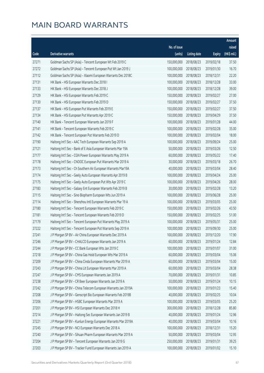|       |                                                              |                        |                     |               | Amount      |
|-------|--------------------------------------------------------------|------------------------|---------------------|---------------|-------------|
|       |                                                              | No. of issue           |                     |               | raised      |
| Code  | Derivative warrants                                          | (units)                | <b>Listing date</b> | <b>Expiry</b> | (HK\$ mil.) |
| 27271 | Goldman Sachs SP (Asia) - Tencent European Wt Feb 2019 C     | 150,000,000            | 2018/08/23          | 2019/02/18    | 37.50       |
| 27272 | Goldman Sachs SP (Asia) - Tencent European Put Wt Jan 2019 J | 100,000,000            | 2018/08/23          | 2019/01/30    | 16.70       |
| 27112 | Goldman Sachs SP (Asia) - Xiaomi European Warrants Dec 2018C | 100,000,000            | 2018/08/23          | 2018/12/31    | 22.20       |
| 27131 | HK Bank - HSI European Warrants Dec 2018 I                   | 100,000,000            | 2018/08/23          | 2018/12/28    | 33.00       |
| 27133 | HK Bank - HSI European Warrants Dec 2018 J                   | 100,000,000            | 2018/08/23          | 2018/12/28    | 39.00       |
| 27129 | HK Bank - HSI European Warrants Feb 2019 C                   | 150,000,000            | 2018/08/23          | 2019/02/27    | 27.00       |
| 27130 | HK Bank - HSI European Warrants Feb 2019 D                   | 150,000,000            | 2018/08/23          | 2019/02/27    | 37.50       |
| 27137 | HK Bank - HSI European Put Warrants Feb 2019 E               | 150,000,000            | 2018/08/23          | 2019/02/27    | 37.50       |
| 27134 | HK Bank - HSI European Put Warrants Apr 2019 C               | 150,000,000            | 2018/08/23          | 2019/04/29    | 37.50       |
| 27140 | HK Bank - Tencent European Warrants Jan 2019 F               | 100,000,000            | 2018/08/23          | 2019/01/28    | 44.00       |
| 27141 | HK Bank - Tencent European Warrants Feb 2019 C               | 100,000,000            | 2018/08/23          | 2019/02/28    | 35.00       |
| 27142 | HK Bank - Tencent European Put Warrants Feb 2019 D           | 100,000,000            | 2018/08/23          | 2019/02/04    | 18.00       |
| 27190 | Haitong Int'l Sec - AAC Tech European Warrants Sep 2019 A    | 100,000,000            | 2018/08/23          | 2019/09/24    | 25.00       |
| 27121 | Haitong Int'l Sec - Bank of E Asia European Warrants Mar 19A | 50,000,000             | 2018/08/23          | 2019/03/26    | 12.50       |
| 27177 | Haitong Int'l Sec - CGN Power European Warrants May 2019 A   | 60,000,000             | 2018/08/23          | 2019/05/22    | 17.40       |
| 27178 | Haitong Int'l Sec - CNOOC European Put Warrants Mar 2019 A   | 30,000,000             | 2018/08/23          | 2019/03/18    | 26.70       |
| 27173 | Haitong Int'l Sec - Ch Southern Air European Warrants Mar19A | 40,000,000             | 2018/08/23          | 2019/03/04    | 28.40       |
| 27174 | Haitong Int'l Sec - Geely Auto European Warrants Apr 2019 B  | 100,000,000            | 2018/08/23          | 2019/04/24    | 25.00       |
| 27175 | Haitong Int'l Sec - Geely Auto European Put Wts Apr 2019 C   | 100,000,000            | 2018/08/23          | 2019/04/26    | 28.00       |
| 27183 | Haitong Int'l Sec - Galaxy Ent European Warrants Feb 2019 B  | 30,000,000             | 2018/08/23          | 2019/02/28    | 13.20       |
| 27115 | Haitong Int'l Sec - Sino Biopharm European Wts Jun 2019 A    | 100,000,000            | 2018/08/23          | 2019/06/28    | 25.00       |
| 27114 | Haitong Int'l Sec - Shenzhou Intl European Warrants Mar 19 A | 100,000,000            | 2018/08/23          | 2019/03/05    | 25.00       |
| 27180 | Haitong Int'l Sec - Tencent European Warrants Feb 2019 C     | 150,000,000            | 2018/08/23          | 2019/02/26    | 43.50       |
| 27181 | Haitong Int'l Sec - Tencent European Warrants Feb 2019 D     | 150,000,000            | 2018/08/23          | 2019/02/25    | 51.00       |
| 27179 | Haitong Int'l Sec - Tencent European Put Warrants May 2019 A | 100,000,000            | 2018/08/23          | 2019/05/31    | 25.00       |
| 27222 | Haitong Int'l Sec - Tencent European Put Warrants Sep 2019 A | 100,000,000            | 2018/08/23          | 2019/09/30    | 25.00       |
| 27241 | J P Morgan SP BV - Air China European Warrants Dec 2019 A    | 100,000,000 2018/08/23 |                     | 2019/12/20    | 17.90       |
| 27246 | J P Morgan SP BV - CHALCO European Warrants Jan 2019 A       | 60,000,000             | 2018/08/23          | 2019/01/24    | 12.84       |
| 27244 | J P Morgan SP BV - CC Bank European Wts Jan 2019 C           | 100,000,000            | 2018/08/23          | 2019/01/07    | 31.00       |
| 27218 | J P Morgan SP BV - China Gas Hold European Wts Mar 2019 A    | 60,000,000             | 2018/08/23          | 2019/03/04    | 15.06       |
| 27209 | J P Morgan SP BV - China Cinda European Warrants Mar 2019 A  | 60,000,000             | 2018/08/23          | 2019/03/04    | 15.00       |
| 27243 | J P Morgan SP BV - China Lit European Warrants Mar 2019 A    | 60,000,000             | 2018/08/23          | 2019/03/04    | 28.38       |
| 27247 | J P Morgan SP BV - CMS European Warrants Jan 2019 A          | 70,000,000             | 2018/08/23          | 2019/01/31    | 10.85       |
| 27238 | J P Morgan SP BV - CR Beer European Warrants Jan 2019 A      | 50,000,000             | 2018/08/23          | 2019/01/24    | 10.15       |
| 27242 | J P Morgan SP BV - China Telecom European Warrants Jan 2019A | 100,000,000            | 2018/08/23          | 2019/01/23    | 15.40       |
| 27208 | J P Morgan SP BV - Genscript Bio European Warrants Feb 2019B | 40,000,000             | 2018/08/23          | 2019/02/25    | 10.04       |
| 27206 | J P Morgan SP BV - HSBC European Warrants Mar 2019 A         | 100,000,000            | 2018/08/23          | 2019/03/05    | 25.20       |
| 27201 | J P Morgan SP BV - HSI European Warrants Dec 2018 H          | 300,000,000            | 2018/08/23          | 2018/12/28    | 85.80       |
| 27214 | J P Morgan SP BV - Haitong Sec European Warrants Jan 2019 B  | 40,000,000             | 2018/08/23          | 2019/01/24    | 12.96       |
| 27221 | J P Morgan SP BV - Kunlun Energy European Warrants Mar 2019A | 40,000,000             | 2018/08/23          | 2019/03/04    | 10.16       |
| 27245 | J P Morgan SP BV - NCI European Warrants Dec 2018 A          | 100,000,000            | 2018/08/23          | 2018/12/31    | 15.20       |
| 27240 | J P Morgan SP BV - Sihuan Pharm European Warrants Mar 2019 A | 50,000,000             | 2018/08/23          | 2019/03/04    | 12.95       |
| 27204 | J P Morgan SP BV - Tencent European Warrants Jan 2019 G      | 250,000,000            | 2018/08/23          | 2019/01/31    | 39.25       |
| 27203 | J P Morgan SP BV - Tracker Fund European Warrants Jan 2019 A | 100,000,000            | 2018/08/23          | 2019/01/02    | 15.10       |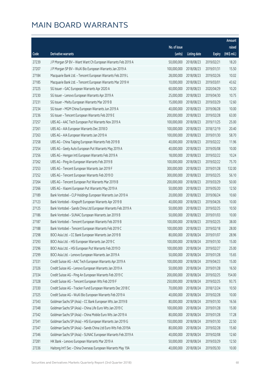|       |                                                              |              |                       |               | Amount      |
|-------|--------------------------------------------------------------|--------------|-----------------------|---------------|-------------|
|       |                                                              | No. of issue |                       |               | raised      |
| Code  | Derivative warrants                                          | (units)      | <b>Listing date</b>   | <b>Expiry</b> | (HK\$ mil.) |
| 27239 | J P Morgan SP BV - Want Want Ch European Warrants Feb 2019 A | 50,000,000   | 2018/08/23            | 2019/02/21    | 18.20       |
| 27207 | J P Morgan SP BV - WuXi Bio European Warrants Jan 2019 A     | 100,000,000  | 2018/08/23            | 2019/01/31    | 15.50       |
| 27184 | Macquarie Bank Ltd. - Tencent European Warrants Feb 2019 L   | 28,000,000   | 2018/08/23            | 2019/02/26    | 10.02       |
| 27185 | Macquarie Bank Ltd. - Tencent European Warrants Mar 2019 H   | 10,000,000   | 2018/08/23            | 2019/03/01    | 43.62       |
| 27225 | SG Issuer - GAC European Warrants Apr 2020 A                 | 60,000,000   | 2018/08/23            | 2020/04/29    | 10.20       |
| 27230 | SG Issuer - Lenovo European Warrants Apr 2019 A              | 25,000,000   | 2018/08/23            | 2019/04/30    | 10.75       |
| 27231 | SG Issuer - Meitu European Warrants Mar 2019 B               | 15,000,000   | 2018/08/23            | 2019/03/29    | 12.60       |
| 27234 | SG Issuer - MGM China European Warrants Jun 2019 A           | 40,000,000   | 2018/08/23            | 2019/06/28    | 10.00       |
| 27236 | SG Issuer - Tencent European Warrants Feb 2019 E             | 200,000,000  | 2018/08/23            | 2019/02/28    | 63.00       |
| 27257 | UBS AG - AAC Tech European Put Warrants Nov 2019 A           | 100,000,000  | 2018/08/23            | 2019/11/25    | 25.00       |
| 27261 | UBS AG - AIA European Warrants Dec 2018 D                    | 100,000,000  | 2018/08/23            | 2018/12/19    | 20.40       |
| 27263 | UBS AG - AIA European Warrants Jan 2019 A                    | 100,000,000  | 2018/08/23            | 2019/01/30    | 58.70       |
| 27258 | UBS AG - China Taiping European Warrants Feb 2019 B          | 40,000,000   | 2018/08/23            | 2019/02/22    | 11.96       |
| 27254 | UBS AG - Geely Auto European Put Warrants May 2019 A         | 40,000,000   | 2018/08/23            | 2019/05/08    | 10.00       |
| 27256 | UBS AG - Hengan Intl European Warrants Feb 2019 A            | 18,000,000   | 2018/08/23            | 2019/02/22    | 10.24       |
| 27262 | UBS AG - Ping An European Warrants Feb 2019 B                | 100,000,000  | 2018/08/23            | 2019/02/22    | 75.70       |
| 27253 | UBS AG - Tencent European Warrants Jan 2019 F                | 300,000,000  | 2018/08/23            | 2019/01/28    | 132.00      |
| 27252 | UBS AG - Tencent European Warrants Feb 2019 D                | 300,000,000  | 2018/08/23            | 2019/02/25    | 56.10       |
| 27264 | UBS AG - Tencent European Put Warrants Mar 2019 B            | 200,000,000  | 2018/08/23            | 2019/03/29    | 50.00       |
| 27266 | UBS AG - Xiaomi European Put Warrants May 2019 A             | 50,000,000   | 2018/08/23            | 2019/05/20    | 12.50       |
| 27189 | Bank Vontobel - CLP Holdings European Warrants Jun 2019 A    | 20,000,000   | 2018/08/23            | 2019/06/24    | 10.60       |
| 27123 | Bank Vontobel - Kingsoft European Warrants Apr 2019 B        | 40,000,000   | 2018/08/23            | 2019/04/26    | 10.00       |
| 27125 | Bank Vontobel - Sands China Ltd European Warrants Feb 2019 A | 50,000,000   | 2018/08/23            | 2019/02/25    | 10.50       |
| 27186 | Bank Vontobel - SUNAC European Warrants Jan 2019 B           | 50,000,000   | 2018/08/23            | 2019/01/03    | 10.00       |
| 27187 | Bank Vontobel - Tencent European Warrants Feb 2019 B         | 100,000,000  | 2018/08/23            | 2019/02/25    | 38.00       |
| 27188 | Bank Vontobel - Tencent European Warrants Feb 2019 C         | 100,000,000  | 2018/08/23            | 2019/02/18    | 28.00       |
| 27298 | BOCI Asia Ltd. - CC Bank European Warrants Jan 2019 B        |              | 80,000,000 2018/08/24 | 2019/01/07    | 28.96       |
| 27293 | BOCI Asia Ltd. - HSI European Warrants Jan 2019 C            | 100,000,000  | 2018/08/24            | 2019/01/30    | 15.00       |
| 27296 | BOCI Asia Ltd. - HSI European Put Warrants Feb 2019 D        | 100,000,000  | 2018/08/24            | 2019/02/27    | 25.00       |
| 27299 | BOCI Asia Ltd. - Lenovo European Warrants Jan 2019 A         | 50,000,000   | 2018/08/24            | 2019/01/28    | 15.65       |
| 27331 | Credit Suisse AG - AAC Tech European Warrants Apr 2019 A     | 100,000,000  | 2018/08/24            | 2019/04/23    | 15.00       |
| 27326 | Credit Suisse AG - Lenovo European Warrants Jan 2019 A       | 50,000,000   | 2018/08/24            | 2019/01/28    | 16.50       |
| 27334 | Credit Suisse AG - Ping An European Warrants Feb 2019 C      | 200,000,000  | 2018/08/24            | 2019/02/25    | 154.00      |
| 27328 | Credit Suisse AG - Tencent European Wts Feb 2019 F           | 250,000,000  | 2018/08/24            | 2019/02/25    | 93.75       |
| 27330 | Credit Suisse AG - Tracker Fund European Warrants Dec 2018 C | 70,000,000   | 2018/08/24            | 2018/12/24    | 10.50       |
| 27325 | Credit Suisse AG - WuXi Bio European Warrants Feb 2019 A     | 40,000,000   | 2018/08/24            | 2019/02/28    | 10.00       |
| 27343 | Goldman Sachs SP (Asia) - CC Bank European Wts Jan 2019 B    | 80,000,000   | 2018/08/24            | 2019/01/30    | 16.56       |
| 27348 | Goldman Sachs SP (Asia) - China Life Euro Wts Jan 2019 C     | 100,000,000  | 2018/08/24            | 2019/01/28    | 15.00       |
| 27342 | Goldman Sachs SP (Asia) - China Mobile Euro Wts Jan 2019 A   | 80,000,000   | 2018/08/24            | 2019/01/28    | 17.28       |
| 27341 | Goldman Sachs SP (Asia) - HSI European Warrants Jan 2019 G   | 150,000,000  | 2018/08/24            | 2019/01/30    | 22.50       |
| 27347 | Goldman Sachs SP (Asia) - Sands China Ltd Euro Wts Feb 2019A | 80,000,000   | 2018/08/24            | 2019/02/28    | 15.60       |
| 27346 | Goldman Sachs SP (Asia) - SUNAC European Warrants Feb 2019 A | 40,000,000   | 2018/08/24            | 2019/02/08    | 12.60       |
| 27281 | HK Bank - Lenovo European Warrants Mar 2019 A                | 50,000,000   | 2018/08/24            | 2019/03/29    | 12.50       |
| 27336 | Haitong Int'l Sec - China Overseas European Warrants May 19A | 40,000,000   | 2018/08/24            | 2019/05/30    | 10.00       |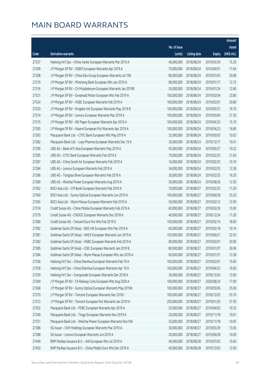|       |                                                              |                        |                     |               | Amount      |
|-------|--------------------------------------------------------------|------------------------|---------------------|---------------|-------------|
|       |                                                              | No. of issue           |                     |               | raised      |
| Code  | Derivative warrants                                          | (units)                | <b>Listing date</b> | <b>Expiry</b> | (HK\$ mil.) |
| 27337 | Haitong Int'l Sec - China Vanke European Warrants Mar 2019 A | 40,000,000             | 2018/08/24          | 2019/03/29    | 15.20       |
| 27309 | J P Morgan SP BV - 3SBIO European Warrants Apr 2019 A        | 70,000,000             | 2018/08/24          | 2019/04/01    | 17.64       |
| 27308 | J P Morgan SP BV - China Edu Group European Warrants Jul 19A | 80,000,000             | 2018/08/24          | 2019/07/03    | 20.08       |
| 27319 | J P Morgan SP BV - Minsheng Bank European Wts Jan 2019 A     | 80,000,000             | 2018/08/24          | 2019/01/17    | 12.72       |
| 27316 | J P Morgan SP BV - Ch Molybdenum European Warrants Jan 2019B | 50,000,000             | 2018/08/24          | 2019/01/24    | 12.60       |
| 27321 | J P Morgan SP BV - Greatwall Motor European Wts Feb 2019 A   | 100,000,000            | 2018/08/24          | 2019/02/04    | 23.80       |
| 27324 | J P Morgan SP BV - HSBC European Warrants Feb 2019 A         | 100,000,000            | 2018/08/24          | 2019/02/01    | 30.80       |
| 27320 | J P Morgan SP BV - Kingdee Intl European Warrants May 2019 B | 100,000,000            | 2018/08/24          | 2019/05/31    | 16.70       |
| 27314 | J P Morgan SP BV - Lenovo European Warrants Mar 2019 A       | 100,000,000            | 2018/08/24          | 2019/03/04    | 27.30       |
| 27315 | J P Morgan SP BV - ND Paper European Warrants Apr 2019 A     | 100,000,000            | 2018/08/24          | 2019/04/23    | 15.10       |
| 27305 | J P Morgan SP BV - Xiaomi European Put Warrants Apr 2019 A   | 100,000,000            | 2018/08/24          | 2019/04/23    | 16.80       |
| 27283 | Macquarie Bank Ltd. - CITIC Bank European Wts May 2019 A     | 32,000,000             | 2018/08/24          | 2019/05/03    | 10.02       |
| 27282 | Macquarie Bank Ltd. - Luye Pharma European Warrants Dec 19 A | 35,000,000             | 2018/08/24          | 2019/12/17    | 10.01       |
| 27290 | UBS AG - Bank of E Asia European Warrants May 2019 A         | 45,000,000             | 2018/08/24          | 2019/05/27    | 10.22       |
| 27285 | UBS AG - CITIC Bank European Warrants Feb 2019 A             | 70,000,000             | 2018/08/24          | 2019/02/25    | 21.63       |
| 27287 | UBS AG - China South Air European Warrants Feb 2019 A        | 16,000,000             | 2018/08/24          | 2019/02/25    | 10.10       |
| 27284 | UBS AG - Lenovo European Warrants Feb 2019 A                 | 34,000,000             | 2018/08/24          | 2019/02/25    | 12.38       |
| 27286 | UBS AG - Tsingtao Brew European Warrants Feb 2019 A          | 30,000,000             | 2018/08/24          | 2019/02/25    | 16.20       |
| 27289 | UBS AG - Weichai Power European Warrants Aug 2019 A          | 50,000,000             | 2018/08/24          | 2019/08/26    | 12.50       |
| 27362 | BOCI Asia Ltd. - CM Bank European Warrants Feb 2019 A        | 70,000,000             | 2018/08/27          | 2019/02/25    | 11.20       |
| 27360 | BOCI Asia Ltd. - Sunny Optical European Warrants Jun 2019 A  | 100,000,000            | 2018/08/27          | 2019/06/28    | 25.20       |
| 27365 | BOCI Asia Ltd. - Wynn Macau European Warrants Feb 2019 A     | 50,000,000             | 2018/08/27          | 2019/02/12    | 12.90       |
| 27374 | Credit Suisse AG - China Mobile European Warrants Feb 2019 A | 60,000,000             | 2018/08/27          | 2019/02/26    | 15.00       |
| 27379 | Credit Suisse AG - CNOOC European Warrants Dec 2018 A        | 40,000,000             | 2018/08/27          | 2018/12/24    | 11.20       |
| 27380 | Credit Suisse AG - Tencent Euro Put Wts Feb 2019 G           | 100,000,000            | 2018/08/27          | 2019/02/14    | 18.00       |
| 27382 | Goldman Sachs SP (Asia) - BOC HK European Wts Mar 2019 A     | 60,000,000             | 2018/08/27          | 2019/03/18    | 10.14       |
| 27381 | Goldman Sachs SP (Asia) - HKEX European Warrants Jun 2019 A  | 150,000,000 2018/08/27 |                     | 2019/06/21    | 22.50       |
| 27383 | Goldman Sachs SP (Asia) - HSBC European Warrants Feb 2019 A  | 80,000,000             | 2018/08/27          | 2019/02/01    | 30.00       |
| 27385 | Goldman Sachs SP (Asia) - ICBC European Warrants Jan 2019 B  | 80,000,000             | 2018/08/27          | 2019/01/07    | 26.96       |
| 27384 | Goldman Sachs SP (Asia) - Wynn Macau European Wts Jan 2019 A | 60,000,000             | 2018/08/27          | 2019/01/31    | 13.38       |
| 27356 | Haitong Int'l Sec - China Shenhua European Warrants Feb 19 A | 100,000,000            | 2018/08/27          | 2019/02/01    | 15.00       |
| 27358 | Haitong Int'l Sec - China Shenhua European Warrants Apr 19 A | 100,000,000            | 2018/08/27          | 2019/04/25    | 16.00       |
| 27359 | Haitong Int'l Sec - Evergrande European Warrants Dec 2018 A  | 30,000,000             | 2018/08/27          | 2018/12/24    | 12.00       |
| 27369 | J P Morgan SP BV - Ch Railway Cons European Wts Aug 2020 A   | 100,000,000            | 2018/08/27          | 2020/08/24    | 17.90       |
| 27368 | J P Morgan SP BV - Sunny Optical European Warrants May 2019A | 100,000,000            | 2018/08/27          | 2019/05/06    | 25.00       |
| 27370 | J P Morgan SP BV - Tencent European Warrants Dec 2018 I      | 100,000,000            | 2018/08/27          | 2018/12/03    | 55.70       |
| 27372 | J P Morgan SP BV - Tencent European Put Warrants Jan 2019 H  | 250,000,000            | 2018/08/27          | 2019/01/30    | 37.50       |
| 27352 | Macquarie Bank Ltd. - PSBC European Warrants Apr 2019 A      | 25,000,000             | 2018/08/27          | 2019/04/02    | 10.33       |
| 27349 | Macquarie Bank Ltd. - Tingyi European Warrants Nov 2019 A    | 29,000,000             | 2018/08/27          | 2019/11/18    | 10.01       |
| 27351 | Macquarie Bank Ltd. - Weichai Power European Warrants Nov19A | 35,000,000             | 2018/08/27          | 2019/11/18    | 10.05       |
| 27386 | SG Issuer - CKH Holdings European Warrants Mar 2019 A        | 30,000,000             | 2018/08/27          | 2019/03/29    | 13.05       |
| 27388 | SG Issuer - Lenovo European Warrants Jun 2019 A              | 20,000,000             | 2018/08/27          | 2019/06/28    | 10.00       |
| 27449 | BNP Paribas Issuance B.V. - AIA European Wts Jul 2019 A      | 40,000,000             | 2018/08/28          | 2019/07/02    | 15.60       |
| 27450 | BNP Paribas Issuance B.V. - China Mobile Euro Wts Dec 2019 A | 40,000,000             | 2018/08/28          | 2019/12/03    | 12.00       |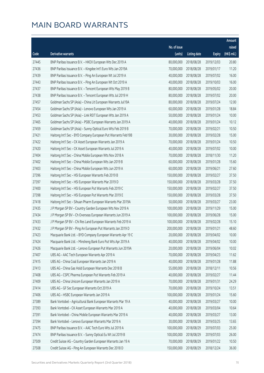|       |                                                              |              |                       |               | Amount      |
|-------|--------------------------------------------------------------|--------------|-----------------------|---------------|-------------|
|       |                                                              | No. of issue |                       |               | raised      |
| Code  | Derivative warrants                                          | (units)      | <b>Listing date</b>   | <b>Expiry</b> | (HK\$ mil.) |
| 27445 | BNP Paribas Issuance B.V. - HKEX European Wts Dec 2019 A     | 80,000,000   | 2018/08/28            | 2019/12/03    | 20.80       |
| 27436 | BNP Paribas Issuance B.V. - Kingdee Int'l Euro Wts Jan 2019A | 70,000,000   | 2018/08/28            | 2019/01/17    | 11.20       |
| 27439 | BNP Paribas Issuance B.V. - Ping An European Wt Jul 2019 A   | 40,000,000   | 2018/08/28            | 2019/07/02    | 16.00       |
| 27443 | BNP Paribas Issuance B.V. - Ping An European Wt Oct 2019 A   | 40,000,000   | 2018/08/28            | 2019/10/03    | 16.00       |
| 27437 | BNP Paribas Issuance B.V. - Tencent European Wts May 2019 B  | 80,000,000   | 2018/08/28            | 2019/05/02    | 20.00       |
| 27438 | BNP Paribas Issuance B.V. - Tencent European Wts Jul 2019 H  | 80,000,000   | 2018/08/28            | 2019/07/02    | 20.00       |
| 27457 | Goldman Sachs SP (Asia) - China Lit European Warrants Jul19A | 80,000,000   | 2018/08/28            | 2019/07/24    | 12.00       |
| 27454 | Goldman Sachs SP (Asia) - Lenovo European Wts Jan 2019 A     | 60,000,000   | 2018/08/28            | 2019/01/28    | 18.84       |
| 27453 | Goldman Sachs SP (Asia) - Link REIT European Wts Jan 2019 A  | 50,000,000   | 2018/08/28            | 2019/01/24    | 10.00       |
| 27465 | Goldman Sachs SP (Asia) - PSBC European Warrants Jan 2019 A  | 40,000,000   | 2018/08/28            | 2019/01/24    | 10.12       |
| 27459 | Goldman Sachs SP (Asia) - Sunny Optical Euro Wts Feb 2019 B  | 70,000,000   | 2018/08/28            | 2019/02/21    | 10.50       |
| 27421 | Haitong Int'l Sec - BYD Company European Put Warrants Feb19B | 30,000,000   | 2018/08/28            | 2019/02/28    | 15.00       |
| 27422 | Haitong Int'l Sec - CK Asset European Warrants Jan 2019 A    | 70,000,000   | 2018/08/28            | 2019/01/24    | 10.50       |
| 27420 | Haitong Int'l Sec - CK Asset European Warrants Jul 2019 A    | 40,000,000   | 2018/08/28            | 2019/07/02    | 10.00       |
| 27404 | Haitong Int'l Sec - China Mobile European Wts Nov 2018 A     | 70,000,000   | 2018/08/28            | 2018/11/30    | 11.20       |
| 27402 | Haitong Int'l Sec - China Mobile European Wts Jan 2019 B     | 60,000,000   | 2018/08/28            | 2019/01/28    | 15.60       |
| 27403 | Haitong Int'l Sec - China Mobile European Wts Jun 2019 A     | 60,000,000   | 2018/08/28            | 2019/06/21    | 27.60       |
| 27396 | Haitong Int'l Sec - HSI European Warrants Feb 2019 B         | 150,000,000  | 2018/08/28            | 2019/02/27    | 37.50       |
| 27397 | Haitong Int'l Sec - HSI European Warrants Mar 2019 D         | 150,000,000  | 2018/08/28            | 2019/03/28    | 37.50       |
| 27400 | Haitong Int'l Sec - HSI European Put Warrants Feb 2019 C     | 150,000,000  | 2018/08/28            | 2019/02/27    | 37.50       |
| 27398 | Haitong Int'l Sec - HSI European Put Warrants Mar 2019 E     | 150,000,000  | 2018/08/28            | 2019/03/28    | 37.50       |
| 27418 | Haitong Int'l Sec - Sihuan Pharm European Warrants Mar 2019A | 50,000,000   | 2018/08/28            | 2019/03/27    | 23.00       |
| 27435 | J P Morgan SP BV - Country Garden European Wts Nov 2019 A    | 100,000,000  | 2018/08/28            | 2019/11/29    | 15.00       |
| 27434 | J P Morgan SP BV - Ch Overseas European Warrants Jun 2019 A  | 100,000,000  | 2018/08/28            | 2019/06/28    | 15.00       |
| 27433 | J P Morgan SP BV - Chi Res Land European Warrants Feb 2019 A | 100,000,000  | 2018/08/28            | 2019/02/28    | 15.10       |
| 27432 | J P Morgan SP BV - Ping An European Put Warrants Jan 2019 D  | 200,000,000  | 2018/08/28            | 2019/01/21    | 48.60       |
| 27423 | Macquarie Bank Ltd. - BYD Company European Warrants Apr 19 C |              | 20,000,000 2018/08/28 | 2019/04/02    | 10.00       |
| 27424 | Macquarie Bank Ltd. - Minsheng Bank Euro Put Wts Apr 2019 A  | 40,000,000   | 2018/08/28            | 2019/04/02    | 10.00       |
| 27426 | Macquarie Bank Ltd. - Lenovo European Put Warrants Jun 2019A | 20,000,000   | 2018/08/28            | 2019/06/04    | 10.02       |
| 27407 | UBS AG - AAC Tech European Warrants Apr 2019 A               | 70,000,000   | 2018/08/28            | 2019/04/23    | 11.62       |
| 27415 | UBS AG - China Coal European Warrants Jan 2019 A             | 40,000,000   | 2018/08/28            | 2019/01/28    | 11.88       |
| 27413 | UBS AG - China Gas Hold European Warrants Dec 2018 B         | 55,000,000   | 2018/08/28            | 2018/12/11    | 10.56       |
| 27408 | UBS AG - CSPC Pharma European Put Warrants Feb 2019 A        | 40,000,000   | 2018/08/28            | 2019/02/27    | 11.44       |
| 27409 | UBS AG - China Unicom European Warrants Jan 2019 A           | 70,000,000   | 2018/08/28            | 2019/01/31    | 24.29       |
| 27414 | UBS AG - GF Sec European Warrants Oct 2019 A                 | 70,000,000   | 2018/08/28            | 2019/10/24    | 13.51       |
| 27406 | UBS AG - HSBC European Warrants Jan 2019 A                   | 100,000,000  | 2018/08/28            | 2019/01/24    | 15.60       |
| 27389 | Bank Vontobel - Agricultural Bank European Warrants Mar 19 A | 40,000,000   | 2018/08/28            | 2019/03/27    | 10.00       |
| 27393 | Bank Vontobel - CK Asset European Warrants Mar 2019 A        | 40,000,000   | 2018/08/28            | 2019/03/04    | 10.64       |
| 27391 | Bank Vontobel - China Mobile European Warrants Mar 2019 A    | 40,000,000   | 2018/08/28            | 2019/03/27    | 13.00       |
| 27394 | Bank Vontobel - Lenovo European Warrants Mar 2019 A          | 30,000,000   | 2018/08/28            | 2019/03/25    | 13.65       |
| 27475 | BNP Paribas Issuance B.V. - AAC Tech Euro Wts Jul 2019 A     | 100,000,000  | 2018/08/29            | 2019/07/03    | 25.00       |
| 27474 | BNP Paribas Issuance B.V. - Sunny Optical Eu Wt Jul 2019 B   | 100,000,000  | 2018/08/29            | 2019/07/03    | 26.00       |
| 27509 | Credit Suisse AG - Country Garden European Warrants Jan 19 A | 70,000,000   | 2018/08/29            | 2019/01/22    | 10.50       |
| 27508 | Credit Suisse AG - Ping An European Warrants Dec 2018 D      | 150,000,000  | 2018/08/29            | 2018/12/24    | 36.00       |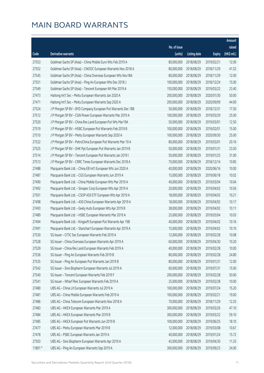|        |                                                              |              |                       |               | Amount      |
|--------|--------------------------------------------------------------|--------------|-----------------------|---------------|-------------|
|        |                                                              | No. of issue |                       |               | raised      |
| Code   | Derivative warrants                                          | (units)      | <b>Listing date</b>   | <b>Expiry</b> | (HK\$ mil.) |
| 27553  | Goldman Sachs SP (Asia) - China Mobile Euro Wts Feb 2019 A   | 80,000,000   | 2018/08/29            | 2019/02/21    | 12.00       |
| 27552  | Goldman Sachs SP (Asia) - CNOOC European Warrants Nov 2018 A | 80,000,000   | 2018/08/29            | 2018/11/29    | 41.52       |
| 27545  | Goldman Sachs SP (Asia) - China Overseas European Wts Nov18A | 80,000,000   | 2018/08/29            | 2018/11/29    | 12.00       |
| 27551  | Goldman Sachs SP (Asia) - Ping An European Wts Dec 2018 J    | 100,000,000  | 2018/08/29            | 2018/12/24    | 15.00       |
| 27549  | Goldman Sachs SP (Asia) - Tencent European Wt Mar 2019 A     | 150,000,000  | 2018/08/29            | 2019/03/22    | 23.40       |
| 27473  | Haitong Int'l Sec - Meitu European Warrants Jan 2020 A       | 200,000,000  | 2018/08/29            | 2020/01/30    | 50.00       |
| 27471  | Haitong Int'l Sec - Meitu European Warrants Sep 2020 A       | 200,000,000  | 2018/08/29            | 2020/09/09    | 44.00       |
| 27524  | J P Morgan SP BV - BYD Company European Put Warrants Dec 18B | 50,000,000   | 2018/08/29            | 2018/12/31    | 17.50       |
| 27512  | J P Morgan SP BV - CGN Power European Warrants Mar 2019 A    | 100,000,000  | 2018/08/29            | 2019/03/29    | 25.00       |
| 27520  | J P Morgan SP BV - China Res Land European Put Wts Mar19A    | 50,000,000   | 2018/08/29            | 2019/03/01    | 12.50       |
| 27519  | J P Morgan SP BV - HSBC European Put Warrants Feb 2019 B     | 100,000,000  | 2018/08/29            | 2019/02/01    | 15.00       |
| 27510  | J P Morgan SP BV - Meitu European Warrants Sep 2020 A        | 100,000,000  | 2018/08/29            | 2020/09/30    | 25.00       |
| 27522  | J P Morgan SP BV - PetroChina European Put Warrants Mar 19 A | 80,000,000   | 2018/08/29            | 2019/03/01    | 20.16       |
| 27525  | J P Morgan SP BV - SHK Ppt European Put Warrants Jan 2019 B  | 50,000,000   | 2018/08/29            | 2019/01/31    | 23.50       |
| 27514  | J P Morgan SP BV - Tencent European Put Warrants Jan 2019 I  | 50,000,000   | 2018/08/29            | 2019/01/25    | 31.00       |
| 27513  | J P Morgan SP BV - CRRC Times European Warrants Dec 2018 A   | 70,000,000   | 2018/08/29            | 2018/12/14    | 10.85       |
| 27488  | Macquarie Bank Ltd. - China EB Int'l European Wts Jun 2020 A | 40,000,000   | 2018/08/29            | 2020/06/16    | 10.00       |
| 27487  | Macquarie Bank Ltd. - CGS European Warrants Jun 2019 A       | 15,000,000   | 2018/08/29            | 2019/06/18    | 10.02       |
| 27490  | Macquarie Bank Ltd. - China Mobile European Wts Mar 2019 A   | 40,000,000   | 2018/08/29            | 2019/03/04    | 10.04       |
| 27492  | Macquarie Bank Ltd. - Sinopec Corp European Wts Apr 2019 A   | 20,000,000   | 2018/08/29            | 2019/04/02    | 10.56       |
| 27501  | Macquarie Bank Ltd. - CSOP A50 ETF European Wts Apr 2019 A   | 18,000,000   | 2018/08/29            | 2019/04/02    | 10.21       |
| 27498  | Macquarie Bank Ltd. - A50 China European Warrants Apr 2019 A | 18,000,000   | 2018/08/29            | 2019/04/02    | 10.17       |
| 27493  | Macquarie Bank Ltd. - Geely Auto European Wts Apr 2019 B     | 38,000,000   | 2018/08/29            | 2019/04/02    | 10.11       |
| 27489  | Macquarie Bank Ltd. - HSBC European Warrants Mar 2019 A      | 25,000,000   | 2018/08/29            | 2019/03/04    | 10.03       |
| 27494  | Macquarie Bank Ltd. - Kingsoft European Put Warrants Apr 19B | 40,000,000   | 2018/08/29            | 2019/04/02    | 10.16       |
| 27491  | Macquarie Bank Ltd. - Stanchart European Warrants Apr 2019 A | 15,000,000   | 2018/08/29            | 2019/04/02    | 10.10       |
| 27530  | SG Issuer - CITIC Sec European Warrants Feb 2019 A           |              | 12,000,000 2018/08/29 | 2019/02/28    | 10.08       |
| 27528  | SG Issuer - China Overseas European Warrants Apr 2019 A      | 60,000,000   | 2018/08/29            | 2019/04/30    | 10.20       |
| 27529  | SG Issuer - China Res Land European Warrants Feb 2019 A      | 40,000,000   | 2018/08/29            | 2019/02/28    | 10.00       |
| 27536  | SG Issuer - Ping An European Warrants Feb 2019 B             | 80,000,000   | 2018/08/29            | 2019/02/28    | 24.80       |
| 27535  | SG Issuer - Ping An European Put Warrants Jan 2019 B         | 80,000,000   | 2018/08/29            | 2019/01/31    | 12.00       |
| 27542  | SG Issuer - Sino Biopharm European Warrants Jul 2019 A       | 60,000,000   | 2018/08/29            | 2019/07/31    | 15.00       |
| 27540  | SG Issuer - Tencent European Warrants Feb 2019 F             | 200,000,000  | 2018/08/29            | 2019/02/28    | 50.00       |
| 27541  | SG Issuer - Wharf Reic European Warrants Feb 2019 A          | 25,000,000   | 2018/08/29            | 2019/02/28    | 10.00       |
| 27480  | UBS AG - China Lit European Warrants Jul 2019 A              | 100,000,000  | 2018/08/29            | 2019/07/24    | 15.20       |
| 27481  | UBS AG - China Mobile European Warrants Feb 2019 A           | 100,000,000  | 2018/08/29            | 2019/02/21    | 19.00       |
| 27486  | UBS AG - China Telecom European Warrants Nov 2018 A          | 70,000,000   | 2018/08/29            | 2018/11/29    | 12.25       |
| 27483  | UBS AG - HKEX European Warrants Mar 2019 A                   | 300,000,000  | 2018/08/29            | 2019/03/26    | 47.10       |
| 27484  | UBS AG - HKEX European Warrants Mar 2019 B                   | 300,000,000  | 2018/08/29            | 2019/03/22    | 59.10       |
| 27485  | UBS AG - HKEX European Put Warrants Jun 2019 B               | 100,000,000  | 2018/08/29            | 2019/06/25    | 18.10       |
| 27477  | UBS AG - Meitu European Warrants Mar 2019 B                  | 12,000,000   | 2018/08/29            | 2019/03/08    | 10.67       |
| 27478  | UBS AG - PSBC European Warrants Jan 2019 A                   | 40,000,000   | 2018/08/29            | 2019/01/24    | 15.72       |
| 27503  | UBS AG - Sino Biopharm European Warrants Apr 2019 A          | 45,000,000   | 2018/08/29            | 2019/04/30    | 11.25       |
| 11801# | UBS AG - Ping An European Warrants Sep 2019 A                | 300,000,000  | 2018/08/29            | 2019/09/23    | 24.00       |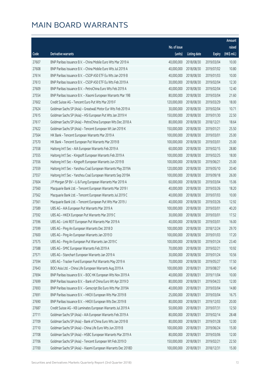|       |                                                              |                        |                     |               | Amount      |
|-------|--------------------------------------------------------------|------------------------|---------------------|---------------|-------------|
|       |                                                              | No. of issue           |                     |               | raised      |
| Code  | Derivative warrants                                          | (units)                | <b>Listing date</b> | <b>Expiry</b> | (HK\$ mil.) |
| 27607 | BNP Paribas Issuance B.V. - China Mobile Euro Wts Mar 2019 A | 40,000,000             | 2018/08/30          | 2019/03/04    | 10.00       |
| 27608 | BNP Paribas Issuance B.V. - China Mobile Euro Wts Jul 2019 A | 40,000,000             | 2018/08/30          | 2019/07/02    | 10.80       |
| 27614 | BNP Paribas Issuance B.V. - CSOP A50 ETF Eu Wts Jan 2019 B   | 40,000,000             | 2018/08/30          | 2019/01/03    | 10.00       |
| 27613 | BNP Paribas Issuance B.V. - CSOP A50 ETF Eu Wts Feb 2019 A   | 30,000,000             | 2018/08/30          | 2019/02/04    | 12.30       |
| 27609 | BNP Paribas Issuance B.V. - PetroChina Euro Wts Feb 2019 A   | 40,000,000             | 2018/08/30          | 2019/02/04    | 12.40       |
| 27554 | BNP Paribas Issuance B.V. - Xiaomi European Warrants Mar 19B | 80,000,000             | 2018/08/30          | 2019/03/04    | 21.60       |
| 27602 | Credit Suisse AG - Tencent Euro Put Wts Mar 2019 F           | 120,000,000            | 2018/08/30          | 2019/03/29    | 18.00       |
| 27624 | Goldman Sachs SP (Asia) - Greatwall Motor Eur Wts Feb 2019 A | 30,000,000             | 2018/08/30          | 2019/02/04    | 10.71       |
| 27615 | Goldman Sachs SP (Asia) - HSI European Put Wts Jan 2019 H    | 150,000,000            | 2018/08/30          | 2019/01/30    | 22.50       |
| 27617 | Goldman Sachs SP (Asia) - PetroChina European Wts Dec 2018 A | 80,000,000             | 2018/08/30          | 2018/12/21    | 18.64       |
| 27622 | Goldman Sachs SP (Asia) - Tencent European Wt Jan 2019 K     | 150,000,000            | 2018/08/30          | 2019/01/21    | 25.50       |
| 27564 | HK Bank - Tencent European Warrants Mar 2019 A               | 100,000,000            | 2018/08/30          | 2019/03/01    | 25.00       |
| 27570 | HK Bank - Tencent European Put Warrants Mar 2019 B           | 100,000,000            | 2018/08/30          | 2019/03/01    | 25.00       |
| 27558 | Haitong Int'l Sec - AIA European Warrants Feb 2019 A         | 60,000,000             | 2018/08/30          | 2019/02/15    | 28.80       |
| 27555 | Haitong Int'l Sec - Kingsoft European Warrants Feb 2019 A    | 100,000,000            | 2018/08/30          | 2019/02/25    | 18.00       |
| 27556 | Haitong Int'l Sec - Kingsoft European Warrants Jun 2019 B    | 100,000,000            | 2018/08/30          | 2019/06/21    | 25.00       |
| 27559 | Haitong Int'l Sec - Yanzhou Coal European Warrants May 2019A | 120,000,000            | 2018/08/30          | 2019/05/10    | 20.40       |
| 27557 | Haitong Int'l Sec - Yanzhou Coal European Warrants Sep 2019A | 100,000,000            | 2018/08/30          | 2019/09/18    | 26.00       |
| 27604 | J P Morgan SP BV - Li & Fung European Warrants Mar 2019 A    | 60,000,000             | 2018/08/30          | 2019/03/04    | 15.06       |
| 27560 | Macquarie Bank Ltd. - Tencent European Warrants Mar 2019 I   | 40,000,000             | 2018/08/30          | 2019/03/26    | 18.20       |
| 27562 | Macquarie Bank Ltd. - Tencent European Warrants Jul 2019 C   | 40,000,000             | 2018/08/30          | 2019/07/03    | 10.00       |
| 27561 | Macquarie Bank Ltd. - Tencent European Put Wts Mar 2019 J    | 40,000,000             | 2018/08/30          | 2019/03/26    | 12.92       |
| 27589 | UBS AG - AIA European Put Warrants Mar 2019 A                | 100,000,000            | 2018/08/30          | 2019/03/01    | 40.20       |
| 27592 | UBS AG - HKEX European Put Warrants Mar 2019 C               | 30,000,000             | 2018/08/30          | 2019/03/01    | 17.52       |
| 27596 | UBS AG - Link REIT European Put Warrants Mar 2019 A          | 40,000,000             | 2018/08/30          | 2019/03/01    | 16.00       |
| 27599 | UBS AG - Ping An European Warrants Dec 2018 D                | 100,000,000            | 2018/08/30          | 2018/12/24    | 29.70       |
| 27600 | UBS AG - Ping An European Warrants Jan 2019 D                | 100,000,000 2018/08/30 |                     | 2019/01/03    | 17.20       |
| 27575 | UBS AG - Ping An European Put Warrants Jan 2019 C            | 100,000,000            | 2018/08/30          | 2019/01/24    | 23.40       |
| 27588 | UBS AG - SMIC European Warrants Feb 2019 A                   | 70,000,000             | 2018/08/30          | 2019/02/21    | 10.92       |
| 27571 | UBS AG - Stanchart European Warrants Jan 2019 A              | 30,000,000             | 2018/08/30          | 2019/01/24    | 10.56       |
| 27594 | UBS AG - Tracker Fund European Put Warrants May 2019 A       | 70,000,000             | 2018/08/30          | 2019/05/27    | 17.50       |
| 27643 | BOCI Asia Ltd. - China Life European Warrants Aug 2019 A     | 100,000,000            | 2018/08/31          | 2019/08/27    | 16.40       |
| 27694 | BNP Paribas Issuance B.V. - BOC HK European Wts Nov 2019 A   | 40,000,000             | 2018/08/31          | 2019/11/04    | 10.00       |
| 27699 | BNP Paribas Issuance B.V. - Bank of China Euro Wt Apr 2019 D | 80,000,000             | 2018/08/31          | 2019/04/23    | 12.00       |
| 27693 | BNP Paribas Issuance B.V. - Genscript Bio Euro Wts Mar 2019A | 40,000,000             | 2018/08/31          | 2019/03/04    | 14.80       |
| 27691 | BNP Paribas Issuance B.V. - HKEX European Wts Mar 2019 B     | 25,000,000             | 2018/08/31          | 2019/03/04    | 16.75       |
| 27690 | BNP Paribas Issuance B.V. - HKEX European Wts Dec 2019 B     | 80,000,000             | 2018/08/31          | 2019/12/03    | 20.00       |
| 27687 | Credit Suisse AG - KB Laminates European Warrants Jul 2019 A | 50,000,000             | 2018/08/31          | 2019/07/31    | 12.50       |
| 27711 | Goldman Sachs SP (Asia) - AIA European Warrants Feb 2019 A   | 80,000,000             | 2018/08/31          | 2019/02/14    | 28.48       |
| 27709 | Goldman Sachs SP (Asia) - Bank of China Euro Wts Jan 2019 B  | 80,000,000             | 2018/08/31          | 2019/01/28    | 12.00       |
| 27710 | Goldman Sachs SP (Asia) - China Life Euro Wts Jun 2019 B     | 100,000,000            | 2018/08/31          | 2019/06/24    | 15.00       |
| 27708 | Goldman Sachs SP (Asia) - HSBC European Warrants Mar 2019 A  | 80,000,000             | 2018/08/31          | 2019/03/06    | 12.00       |
| 27706 | Goldman Sachs SP (Asia) - Tencent European Wt Feb 2019 D     | 150,000,000            | 2018/08/31          | 2019/02/21    | 22.50       |
| 27700 | Goldman Sachs SP (Asia) - Xiaomi European Warrants Dec 2018D | 100,000,000            | 2018/08/31          | 2018/12/31    | 15.00       |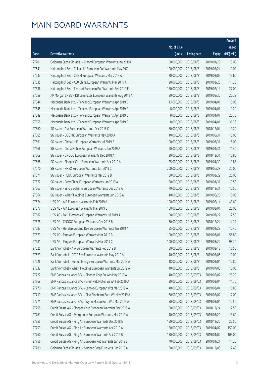|       |                                                              |                        |                     |               | Amount      |
|-------|--------------------------------------------------------------|------------------------|---------------------|---------------|-------------|
|       |                                                              | No. of issue           |                     |               | raised      |
| Code  | Derivative warrants                                          | (units)                | <b>Listing date</b> | <b>Expiry</b> | (HK\$ mil.) |
| 27701 | Goldman Sachs SP (Asia) - Xiaomi European Warrants Jan 2019A | 100,000,000            | 2018/08/31          | 2019/01/29    | 15.00       |
| 27641 | Haitong Int'l Sec - China Life European Put Warrants May 19C | 100,000,000            | 2018/08/31          | 2019/05/24    | 19.00       |
| 27633 | Haitong Int'l Sec - CNBM European Warrants Mar 2019 A        | 20,000,000             | 2018/08/31          | 2019/03/05    | 19.60       |
| 27635 | Haitong Int'l Sec - A50 China European Warrants Mar 2019 A   | 20,000,000             | 2018/08/31          | 2019/03/28    | 11.20       |
| 27636 | Haitong Int'l Sec - Tencent European Put Warrants Feb 2019 E | 150,000,000            | 2018/08/31          | 2019/02/14    | 27.00       |
| 27659 | J P Morgan SP BV - KB Laminates European Warrants Aug 2019 A | 80,000,000             | 2018/08/31          | 2019/08/30    | 20.32       |
| 27644 | Macquarie Bank Ltd. - Tencent European Warrants Apr 2019 B   | 13,600,000             | 2018/08/31          | 2019/04/01    | 10.06       |
| 27645 | Macquarie Bank Ltd. - Tencent European Warrants Apr 2019 C   | 8,000,000              | 2018/08/31          | 2019/04/01    | 11.29       |
| 27649 | Macquarie Bank Ltd. - Tencent European Warrants Apr 2019 D   | 8,000,000              | 2018/08/31          | 2019/04/01    | 20.76       |
| 27658 | Macquarie Bank Ltd. - Tencent European Warrants Apr 2019 E   | 8,000,000              | 2018/08/31          | 2019/04/01    | 36.36       |
| 27660 | SG Issuer - AIA European Warrants Dec 2018 C                 | 60,000,000             | 2018/08/31          | 2018/12/04    | 19.20       |
| 27665 | SG Issuer - BOC HK European Warrants May 2019 A              | 40,000,000             | 2018/08/31          | 2019/05/31    | 10.00       |
| 27661 | SG Issuer - China Lit European Warrants Jul 2019 B           | 100,000,000            | 2018/08/31          | 2019/07/31    | 15.00       |
| 27666 | SG Issuer - China Mobile European Warrants Jan 2019 A        | 60,000,000             | 2018/08/31          | 2019/01/31    | 11.40       |
| 27669 | SG Issuer - CNOOC European Warrants Dec 2018 A               | 20,000,000             | 2018/08/31          | 2018/12/31    | 10.80       |
| 27668 | SG Issuer - Sinopec Corp European Warrants Apr 2019 A        | 25,000,000             | 2018/08/31          | 2019/04/30    | 11.88       |
| 27670 | SG Issuer - HKEX European Warrants Jun 2019 C                | 200,000,000            | 2018/08/31          | 2019/06/28    | 30.00       |
| 27671 | SG Issuer - HSBC European Warrants Mar 2019 B                | 80,000,000             | 2018/08/31          | 2019/03/29    | 20.00       |
| 27672 | SG Issuer - PetroChina European Warrants Jan 2019 A          | 50,000,000             | 2018/08/31          | 2019/01/31    | 10.50       |
| 27663 | SG Issuer - Sino Biopharm European Warrants Dec 2018 A       | 70,000,000             | 2018/08/31          | 2018/12/31    | 10.50       |
| 27664 | SG Issuer - Wharf Holdings European Warrants Jun 2019 A      | 40,000,000             | 2018/08/31          | 2019/06/28    | 10.00       |
| 27674 | UBS AG - AIA European Warrants Feb 2019 A                    | 100,000,000            | 2018/08/31          | 2019/02/14    | 43.60       |
| 27677 | UBS AG - AIA European Warrants Mar 2019 B                    | 100,000,000            | 2018/08/31          | 2019/03/01    | 25.00       |
| 27682 | UBS AG - BYD Electronic European Warrants Jul 2019 A         | 50,000,000             | 2018/08/31          | 2019/07/22    | 12.50       |
| 27678 | UBS AG - CNOOC European Warrants Dec 2018 B                  | 30,000,000             | 2018/08/31          | 2018/12/24    | 14.34       |
| 27683 | UBS AG - Henderson Land Dev European Warrants Jan 2019 A     | 55,000,000             | 2018/08/31          | 2019/01/28    | 10.40       |
| 27679 | UBS AG - Ping An European Warrants Mar 2019 B                | 100,000,000 2018/08/31 |                     | 2019/03/01    | 56.80       |
| 27681 | UBS AG - Ping An European Warrants Mar 2019 C                | 100,000,000            | 2018/08/31          | 2019/03/22    | 98.70       |
| 27625 | Bank Vontobel - AIA European Warrants Feb 2019 B             | 50,000,000             | 2018/08/31          | 2019/02/18    | 16.50       |
| 27629 | Bank Vontobel - CITIC Sec European Warrants May 2019 A       | 40,000,000             | 2018/08/31          | 2019/05/06    | 10.00       |
| 27626 | Bank Vontobel - Kunlun Energy European Warrants Mar 2019 A   | 18,000,000             | 2018/08/31          | 2019/03/04    | 10.80       |
| 27632 | Bank Vontobel - Wharf Holdings European Warrants Jul 2019 A  | 40,000,000             | 2018/08/31          | 2019/07/03    | 10.00       |
| 27722 | BNP Paribas Issuance B.V. - Sinopec Corp Eu Wts May 2019 A   | 40,000,000             | 2018/09/03          | 2019/05/02    | 23.20       |
| 27769 | BNP Paribas Issuance B.V. - Greatwall Motor Eu Wt Feb 2019 A | 30,000,000             | 2018/09/03          | 2019/02/04    | 14.70       |
| 27770 | BNP Paribas Issuance B.V. - Lenovo European Wts Mar 2019 A   | 40,000,000             | 2018/09/03          | 2019/03/04    | 10.80       |
| 27719 | BNP Paribas Issuance B.V. - Sino Biopharm Euro Wt May 2019 A | 80,000,000             | 2018/09/03          | 2019/05/02    | 12.00       |
| 27771 | BNP Paribas Issuance B.V. - Wynn Macau Euro Wts Mar 2019 A   | 50,000,000             | 2018/09/03          | 2019/03/04    | 12.50       |
| 27758 | Credit Suisse AG - Sinopec Corp European Warrants Dec 2018 A | 50,000,000             | 2018/09/03          | 2018/12/24    | 12.50       |
| 27761 | Credit Suisse AG - Evergrande European Warrants Mar 2019 A   | 40,000,000             | 2018/09/03          | 2019/03/20    | 13.60       |
| 27755 | Credit Suisse AG - Ping An European Warrants Dec 2018 E      | 150,000,000            | 2018/09/03          | 2018/12/20    | 22.50       |
| 27759 | Credit Suisse AG - Ping An European Warrants Apr 2019 A      | 150,000,000            | 2018/09/03          | 2019/04/02    | 150.00      |
| 27760 | Credit Suisse AG - Ping An European Warrants Apr 2019 B      | 150,000,000            | 2018/09/03          | 2019/04/02    | 105.00      |
| 27756 | Credit Suisse AG - Ping An European Put Warrants Jan 2019 E  | 70,000,000             | 2018/09/03          | 2019/01/21    | 11.20       |
| 27780 | Goldman Sachs SP (Asia) - Sinopec Corp Euro Wts Dec 2018 A   | 60,000,000             | 2018/09/03          | 2018/12/03    | 12.48       |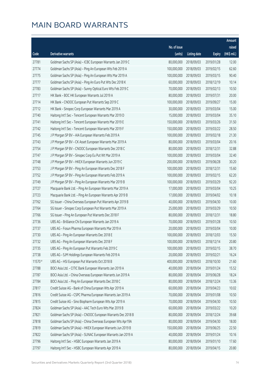|         |                                                              |                        |                     |               | Amount      |
|---------|--------------------------------------------------------------|------------------------|---------------------|---------------|-------------|
|         |                                                              | No. of issue           |                     |               | raised      |
| Code    | Derivative warrants                                          | (units)                | <b>Listing date</b> | <b>Expiry</b> | (HK\$ mil.) |
| 27781   | Goldman Sachs SP (Asia) - ICBC European Warrants Jan 2019 C  | 80,000,000             | 2018/09/03          | 2019/01/28    | 12.00       |
| 27774   | Goldman Sachs SP (Asia) - Ping An European Wts Feb 2019 A    | 100,000,000            | 2018/09/03          | 2019/02/15    | 62.60       |
| 27775   | Goldman Sachs SP (Asia) - Ping An European Wts Mar 2019 A    | 100,000,000            | 2018/09/03          | 2019/03/15    | 90.40       |
| 27777   | Goldman Sachs SP (Asia) - Ping An Euro Put Wts Dec 2018 K    | 60,000,000             | 2018/09/03          | 2018/12/19    | 10.14       |
| 27783   | Goldman Sachs SP (Asia) - Sunny Optical Euro Wts Feb 2019 C  | 70,000,000             | 2018/09/03          | 2019/02/13    | 10.50       |
| 27717   | HK Bank - BOC HK European Warrants Jul 2019 A                | 80,000,000             | 2018/09/03          | 2019/07/31    | 20.00       |
| 27714   | HK Bank - CNOOC European Put Warrants Sep 2019 C             | 100,000,000            | 2018/09/03          | 2019/09/27    | 15.00       |
| 27712   | HK Bank - Sinopec Corp European Warrants Mar 2019 A          | 30,000,000             | 2018/09/03          | 2019/03/04    | 15.00       |
| 27740   | Haitong Int'l Sec - Tencent European Warrants Mar 2019 D     | 15,000,000             | 2018/09/03          | 2019/03/04    | 35.10       |
| 27741   | Haitong Int'l Sec - Tencent European Warrants Mar 2019 E     | 150,000,000            | 2018/09/03          | 2019/03/26    | 31.50       |
| 27742   | Haitong Int'l Sec - Tencent European Warrants Mar 2019 F     | 150,000,000            | 2018/09/03          | 2019/03/22    | 28.50       |
| 27745   | J P Morgan SP BV - AIA European Warrants Feb 2019 A          | 100,000,000            | 2018/09/03          | 2019/02/18    | 21.30       |
| 27743   | J P Morgan SP BV - CK Asset European Warrants Mar 2019 A     | 80,000,000             | 2018/09/03          | 2019/03/04    | 20.16       |
| 27754   | J P Morgan SP BV - CNOOC European Warrants Dec 2018 C        | 80,000,000             | 2018/09/03          | 2018/12/31    | 32.88       |
| 27747   | J P Morgan SP BV - Sinopec Corp Eu Put Wt Mar 2019 A         | 100,000,000            | 2018/09/03          | 2019/03/04    | 32.40       |
| 27748   | J P Morgan SP BV - HKEX European Warrants Jun 2019 C         | 200,000,000            | 2018/09/03          | 2019/06/28    | 30.20       |
| 27753   | J P Morgan SP BV - Ping An European Warrants Dec 2018 F      | 100,000,000            | 2018/09/03          | 2018/12/31    | 15.60       |
| 27752   | J P Morgan SP BV - Ping An European Warrants Feb 2019 A      | 100,000,000            | 2018/09/03          | 2019/02/15    | 62.20       |
| 27749   | J P Morgan SP BV - Ping An European Warrants Mar 2019 B      | 100,000,000            | 2018/09/03          | 2019/03/29    | 92.20       |
| 27727   | Macquarie Bank Ltd. - Ping An European Warrants Mar 2019 A   | 17,000,000             | 2018/09/03          | 2019/03/04    | 10.25       |
| 27723   | Macquarie Bank Ltd. - Ping An European Warrants Apr 2019 B   | 17,000,000             | 2018/09/03          | 2019/04/02    | 10.18       |
| 27762   | SG Issuer - China Overseas European Put Warrants Apr 2019 B  | 40,000,000             | 2018/09/03          | 2019/04/30    | 10.00       |
| 27764   | SG Issuer - Sinopec Corp European Put Warrants Mar 2019 A    | 25,000,000             | 2018/09/03          | 2019/03/29    | 10.50       |
| 27766   | SG Issuer - Ping An European Put Warrants Dec 2018 F         | 80,000,000             | 2018/09/03          | 2018/12/31    | 18.80       |
| 27736   | UBS AG - Brilliance Chi European Warrants Jan 2019 A         | 70,000,000             | 2018/09/03          | 2019/01/28    | 10.50       |
| 27737   | UBS AG - Fosun Pharma European Warrants Mar 2019 A           | 20,000,000             | 2018/09/03          | 2019/03/04    | 10.00       |
| 27730   | UBS AG - Ping An European Warrants Dec 2018 E                | 100,000,000 2018/09/03 |                     | 2018/12/03    | 15.50       |
| 27732   | UBS AG - Ping An European Warrants Dec 2018 F                | 100,000,000            | 2018/09/03          | 2018/12/14    | 20.80       |
| 27735   | UBS AG - Ping An European Put Warrants Feb 2019 C            | 100,000,000            | 2018/09/03          | 2019/02/15    | 38.70       |
| 27738   | UBS AG - SJM Holdings European Warrants Feb 2019 A           | 20,000,000             | 2018/09/03          | 2019/02/21    | 16.24       |
| 11570 # | UBS AG - HSI European Put Warrants Oct 2018 B                | 400,000,000            | 2018/09/03          | 2018/10/30    | 21.60       |
| 27788   | BOCI Asia Ltd. - CITIC Bank European Warrants Jan 2019 A     | 40,000,000             | 2018/09/04          | 2019/01/24    | 15.52       |
| 27787   | BOCI Asia Ltd. - China Overseas European Warrants Jun 2019 A | 80,000,000             | 2018/09/04          | 2019/06/28    | 18.24       |
| 27784   | BOCI Asia Ltd. - Ping An European Warrants Dec 2018 C        | 80,000,000             | 2018/09/04          | 2018/12/24    | 13.36       |
| 27817   | Credit Suisse AG - Bank of China European Wts Apr 2019 A     | 60,000,000             | 2018/09/04          | 2019/04/23    | 10.02       |
| 27816   | Credit Suisse AG - CSPC Pharma European Warrants Jan 2019 A  | 70,000,000             | 2018/09/04          | 2019/01/08    | 10.50       |
| 27815   | Credit Suisse AG - Sino Biopharm European Wts Apr 2019 A     | 70,000,000             | 2018/09/04          | 2019/04/30    | 10.50       |
| 27824   | Goldman Sachs SP (Asia) - AAC Tech Euro Wts Mar 2019 B       | 60,000,000             | 2018/09/04          | 2019/03/22    | 10.20       |
| 27821   | Goldman Sachs SP (Asia) - CNOOC European Warrants Dec 2018 B | 80,000,000             | 2018/09/04          | 2018/12/24    | 39.68       |
| 27818   | Goldman Sachs SP (Asia) - China Overseas European Wts Apr19A | 80,000,000             | 2018/09/04          | 2019/04/30    | 18.00       |
| 27819   | Goldman Sachs SP (Asia) - HKEX European Warrants Jun 2019 B  | 150,000,000            | 2018/09/04          | 2019/06/25    | 22.50       |
| 27822   | Goldman Sachs SP (Asia) - SUNAC European Warrants Jan 2019 A | 40,000,000             | 2018/09/04          | 2019/01/24    | 10.16       |
| 27796   | Haitong Int'l Sec - HSBC European Warrants Jan 2019 A        | 80,000,000             | 2018/09/04          | 2019/01/10    | 17.60       |
| 27797   | Haitong Int'l Sec - HSBC European Warrants Apr 2019 A        | 80,000,000             | 2018/09/04          | 2019/04/15    | 20.80       |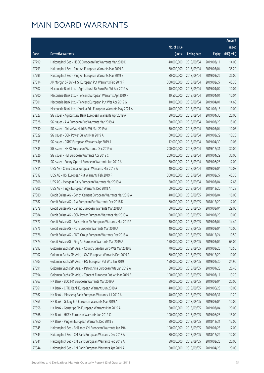|       |                                                              |              |                       |               | Amount      |
|-------|--------------------------------------------------------------|--------------|-----------------------|---------------|-------------|
|       |                                                              | No. of issue |                       |               | raised      |
| Code  | <b>Derivative warrants</b>                                   | (units)      | <b>Listing date</b>   | <b>Expiry</b> | (HK\$ mil.) |
| 27799 | Haitong Int'l Sec - HSBC European Put Warrants Mar 2019 D    | 40,000,000   | 2018/09/04            | 2019/03/11    | 14.00       |
| 27793 | Haitong Int'l Sec - Ping An European Warrants Mar 2019 A     | 80,000,000   | 2018/09/04            | 2019/03/04    | 35.20       |
| 27795 | Haitong Int'l Sec - Ping An European Warrants Mar 2019 B     | 80,000,000   | 2018/09/04            | 2019/03/26    | 36.00       |
| 27814 | J P Morgan SP BV - HSI European Put Warrants Feb 2019 F      | 300,000,000  | 2018/09/04            | 2019/02/27    | 45.30       |
| 27802 | Macquarie Bank Ltd. - Agricultural Bk Euro Put Wt Apr 2019 A | 40,000,000   | 2018/09/04            | 2019/04/02    | 10.04       |
| 27800 | Macquarie Bank Ltd. - Tencent European Warrants Apr 2019 F   | 19,500,000   | 2018/09/04            | 2019/04/01    | 10.04       |
| 27801 | Macquarie Bank Ltd. - Tencent European Put Wts Apr 2019 G    | 10,000,000   | 2018/09/04            | 2019/04/01    | 14.68       |
| 27804 | Macquarie Bank Ltd. - YuHua Edu European Warrants May 2021 A | 40,000,000   | 2018/09/04            | 2021/05/18    | 10.00       |
| 27827 | SG Issuer - Agricultural Bank European Warrants Apr 2019 A   | 80,000,000   | 2018/09/04            | 2019/04/30    | 20.00       |
| 27828 | SG Issuer - AIA European Put Warrants Mar 2019 A             | 60,000,000   | 2018/09/04            | 2019/03/29    | 15.00       |
| 27830 | SG Issuer - China Gas Hold Eu Wt Mar 2019 A                  | 30,000,000   | 2018/09/04            | 2019/03/04    | 10.05       |
| 27829 | SG Issuer - CGN Power Eu Wts Mar 2019 A                      | 60,000,000   | 2018/09/04            | 2019/03/29    | 10.20       |
| 27833 | SG Issuer - CRRC European Warrants Apr 2019 A                | 12,000,000   | 2018/09/04            | 2019/04/30    | 10.08       |
| 27835 | SG Issuer - HKEX European Warrants Dec 2019 A                | 200,000,000  | 2018/09/04            | 2019/12/31    | 30.00       |
| 27826 | SG Issuer - HSI European Warrants Apr 2019 C                 | 200,000,000  | 2018/09/04            | 2019/04/29    | 30.00       |
| 27836 | SG Issuer - Sunny Optical European Warrants Jun 2019 A       | 80,000,000   | 2018/09/04            | 2019/06/28    | 12.00       |
| 27811 | UBS AG - China Cinda European Warrants Mar 2019 A            | 40,000,000   | 2018/09/04            | 2019/03/04    | 10.08       |
| 27812 | UBS AG - HSI European Put Warrants Feb 2019 F                | 300,000,000  | 2018/09/04            | 2019/02/27    | 45.30       |
| 27806 | UBS AG - Mengniu Dairy European Warrants Mar 2019 A          | 50,000,000   | 2018/09/04            | 2019/03/04    | 12.65       |
| 27805 | UBS AG - Tingyi European Warrants Dec 2018 A                 | 60,000,000   | 2018/09/04            | 2018/12/20    | 11.28       |
| 27880 | Credit Suisse AG - Conch Cement European Warrants Mar 2019 A | 40,000,000   | 2018/09/05            | 2019/03/04    | 16.00       |
| 27882 | Credit Suisse AG - AIA European Put Warrants Dec 2018 D      | 60,000,000   | 2018/09/05            | 2018/12/20    | 12.00       |
| 27878 | Credit Suisse AG - Car Inc European Warrants Mar 2019 A      | 50,000,000   | 2018/09/05            | 2019/03/04    | 29.00       |
| 27884 | Credit Suisse AG - CGN Power European Warrants Mar 2019 A    | 50,000,000   | 2018/09/05            | 2019/03/29    | 10.00       |
| 27877 | Credit Suisse AG - Baiyunshan Ph European Warrants Mar 2019A | 30,000,000   | 2018/09/05            | 2019/03/04    | 14.40       |
| 27875 | Credit Suisse AG - NCI European Warrants Mar 2019 A          | 40,000,000   | 2018/09/05            | 2019/03/04    | 10.00       |
| 27876 | Credit Suisse AG - PICC Group European Warrants Dec 2018 A   |              | 70,000,000 2018/09/05 | 2018/12/24    | 10.50       |
| 27874 | Credit Suisse AG - Ping An European Warrants Mar 2019 A      | 150,000,000  | 2018/09/05            | 2019/03/04    | 63.00       |
| 27893 | Goldman Sachs SP (Asia) - Country Garden Euro Wts Mar 2019 B | 70,000,000   | 2018/09/05            | 2019/03/26    | 10.50       |
| 27902 | Goldman Sachs SP (Asia) - GAC European Warrants Dec 2019 A   | 60,000,000   | 2018/09/05            | 2019/12/20    | 10.02       |
| 27903 | Goldman Sachs SP (Asia) - HSI European Put Wts Jan 2019 I    | 150,000,000  | 2018/09/05            | 2019/01/30    | 24.90       |
| 27891 | Goldman Sachs SP (Asia) - PetroChina European Wts Jan 2019 A | 80,000,000   | 2018/09/05            | 2019/01/28    | 26.40       |
| 27894 | Goldman Sachs SP (Asia) - Tencent European Put Wt Mar 2019 B | 100,000,000  | 2018/09/05            | 2019/03/11    | 19.20       |
| 27867 | HK Bank - BOC HK European Warrants Mar 2019 A                | 80,000,000   | 2018/09/05            | 2019/03/04    | 20.00       |
| 27861 | HK Bank - CITIC Bank European Warrants Jun 2019 A            | 40,000,000   | 2018/09/05            | 2019/06/28    | 10.00       |
| 27862 | HK Bank - Minsheng Bank European Warrants Jul 2019 A         | 40,000,000   | 2018/09/05            | 2019/07/31    | 11.20       |
| 27865 | HK Bank - Galaxy Ent European Warrants Mar 2019 A            | 40,000,000   | 2018/09/05            | 2019/03/04    | 10.00       |
| 27858 | HK Bank - Genscript Bio European Warrants Mar 2019 A         | 80,000,000   | 2018/09/05            | 2019/03/04    | 20.00       |
| 27868 | HK Bank - HKEX European Warrants Jun 2019 C                  | 100,000,000  | 2018/09/05            | 2019/06/28    | 15.00       |
| 27860 | HK Bank - Ping An European Warrants Dec 2018 B               | 80,000,000   | 2018/09/05            | 2018/12/31    | 12.00       |
| 27845 | Haitong Int'l Sec - Brilliance Chi European Warrants Jan 19A | 100,000,000  | 2018/09/05            | 2019/01/28    | 17.00       |
| 27843 | Haitong Int'l Sec - CM Bank European Warrants Dec 2018 A     | 80,000,000   | 2018/09/05            | 2018/12/24    | 12.00       |
| 27841 | Haitong Int'l Sec - CM Bank European Warrants Feb 2019 A     | 80,000,000   | 2018/09/05            | 2019/02/25    | 20.00       |
| 27844 | Haitong Int'l Sec - CM Bank European Warrants Apr 2019 A     | 80,000,000   | 2018/09/05            | 2019/04/26    | 20.00       |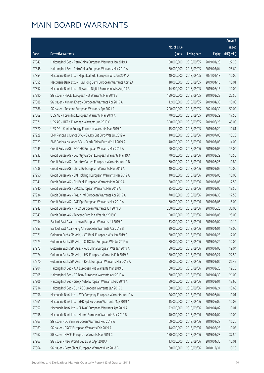|       |                                                              |              |                       |               | Amount      |
|-------|--------------------------------------------------------------|--------------|-----------------------|---------------|-------------|
|       |                                                              | No. of issue |                       |               | raised      |
| Code  | Derivative warrants                                          | (units)      | <b>Listing date</b>   | <b>Expiry</b> | (HK\$ mil.) |
| 27849 | Haitong Int'l Sec - PetroChina European Warrants Jan 2019 A  | 80,000,000   | 2018/09/05            | 2019/01/28    | 27.20       |
| 27848 | Haitong Int'l Sec - PetroChina European Warrants Mar 2019 A  | 80,000,000   | 2018/09/05            | 2019/03/04    | 25.60       |
| 27854 | Macquarie Bank Ltd. - Mapleleaf Edu European Wts Jan 2021 A  | 40,000,000   | 2018/09/05            | 2021/01/18    | 10.00       |
| 27855 | Macquarie Bank Ltd. - Hua Hong Semi European Warrants Apr19A | 18,000,000   | 2018/09/05            | 2019/04/16    | 10.01       |
| 27852 | Macquarie Bank Ltd. - Skyworth Digital European Wts Aug 19 A | 14,600,000   | 2018/09/05            | 2019/08/16    | 10.00       |
| 27890 | SG Issuer - HSCEI European Put Warrants Mar 2019 B           | 150,000,000  | 2018/09/05            | 2019/03/28    | 22.50       |
| 27888 | SG Issuer - Kunlun Energy European Warrants Apr 2019 A       | 12,000,000   | 2018/09/05            | 2019/04/30    | 10.08       |
| 27886 | SG Issuer - Tencent European Warrants Apr 2021 A             | 200,000,000  | 2018/09/05            | 2021/04/30    | 50.00       |
| 27869 | UBS AG - Fosun Intl European Warrants Mar 2019 A             | 70,000,000   | 2018/09/05            | 2019/03/29    | 17.50       |
| 27871 | UBS AG - HKEX European Warrants Jun 2019 C                   | 300,000,000  | 2018/09/05            | 2019/06/25    | 45.00       |
| 27870 | UBS AG - Kunlun Energy European Warrants Mar 2019 A          | 15,000,000   | 2018/09/05            | 2019/03/29    | 10.61       |
| 27928 | BNP Paribas Issuance B.V. - Galaxy Ent Euro Wts Jul 2019 A   | 40,000,000   | 2018/09/06            | 2019/07/03    | 15.20       |
| 27929 | BNP Paribas Issuance B.V. - Sands China Euro Wt Jul 2019 A   | 40,000,000   | 2018/09/06            | 2019/07/03    | 14.00       |
| 27945 | Credit Suisse AG - BOC HK European Warrants Mar 2019 A       | 60,000,000   | 2018/09/06            | 2019/03/05    | 15.00       |
| 27933 | Credit Suisse AG - Country Garden European Warrants Mar 19 A | 70,000,000   | 2018/09/06            | 2019/03/29    | 10.50       |
| 27931 | Credit Suisse AG - Country Garden European Warrants Jun 19 B | 60,000,000   | 2018/09/06            | 2019/06/25    | 10.80       |
| 27938 | Credit Suisse AG - China Re European Warrants Mar 2019 A     | 40,000,000   | 2018/09/06            | 2019/03/05    | 10.00       |
| 27950 | Credit Suisse AG - CKI Holdings European Warrants Mar 2019 A | 40,000,000   | 2018/09/06            | 2019/03/05    | 10.00       |
| 27941 | Credit Suisse AG - CM Bank European Warrants Mar 2019 A      | 50,000,000   | 2018/09/06            | 2019/03/05    | 12.50       |
| 27940 | Credit Suisse AG - CRCC European Warrants Mar 2019 A         | 25,000,000   | 2018/09/06            | 2019/03/05    | 18.50       |
| 27934 | Credit Suisse AG - Fosun Intl European Warrants Apr 2019 A   | 70,000,000   | 2018/09/06            | 2019/04/30    | 17.50       |
| 27930 | Credit Suisse AG - R&F Ppt European Warrants Mar 2019 A      | 60,000,000   | 2018/09/06            | 2019/03/05    | 15.00       |
| 27942 | Credit Suisse AG - HKEX European Warrants Jun 2019 D         | 200,000,000  | 2018/09/06            | 2019/06/25    | 30.00       |
| 27949 | Credit Suisse AG - Tencent Euro Put Wts Mar 2019 G           | 100,000,000  | 2018/09/06            | 2019/03/05    | 25.00       |
| 27954 | Bank of East Asia - Lenovo European Warrants Jul 2019 A      | 33,000,000   | 2018/09/06            | 2019/07/02    | 10.10       |
| 27953 | Bank of East Asia - Ping An European Warrants Apr 2019 B     | 30,000,000   | 2018/09/06            | 2019/04/01    | 18.00       |
| 27971 | Goldman Sachs SP (Asia) - CC Bank European Wts Jan 2019 C    |              | 80,000,000 2018/09/06 | 2019/01/28    | 12.00       |
| 27973 | Goldman Sachs SP (Asia) - CITIC Sec European Wts Jul 2019 A  | 80,000,000   | 2018/09/06            | 2019/07/24    | 12.00       |
| 27972 | Goldman Sachs SP (Asia) - A50 China European Wts Jan 2019 A  | 80,000,000   | 2018/09/06            | 2019/01/03    | 19.04       |
| 27974 | Goldman Sachs SP (Asia) - HSI European Warrants Feb 2019 B   | 150,000,000  | 2018/09/06            | 2019/02/27    | 22.50       |
| 27970 | Goldman Sachs SP (Asia) - KECL European Warrants Mar 2019 A  | 50,000,000   | 2018/09/06            | 2019/03/06    | 26.45       |
| 27904 | Haitong Int'l Sec - AIA European Put Warrants Mar 2019 B     | 60,000,000   | 2018/09/06            | 2019/03/28    | 19.20       |
| 27905 | Haitong Int'l Sec - CC Bank European Warrants Apr 2019 A     | 60,000,000   | 2018/09/06            | 2019/04/30    | 21.00       |
| 27906 | Haitong Int'l Sec - Geely Auto European Warrants Feb 2019 A  | 80,000,000   | 2018/09/06            | 2019/02/01    | 13.60       |
| 27914 | Haitong Int'l Sec - SUNAC European Warrants Jan 2019 C       | 60,000,000   | 2018/09/06            | 2019/01/24    | 18.60       |
| 27956 | Macquarie Bank Ltd. - BYD Company European Warrants Jun 19 A | 26,000,000   | 2018/09/06            | 2019/06/04    | 10.01       |
| 27961 | Macquarie Bank Ltd. - SHK Ppt European Warrants May 2019 A   | 15,000,000   | 2018/09/06            | 2019/05/02    | 10.02       |
| 27957 | Macquarie Bank Ltd. - SUNAC European Warrants Apr 2019 A     | 22,000,000   | 2018/09/06            | 2019/04/02    | 10.01       |
| 27958 | Macquarie Bank Ltd. - Xiaomi European Warrants Apr 2019 B    | 40,000,000   | 2018/09/06            | 2019/04/02    | 10.00       |
| 27963 | SG Issuer - CC Bank European Warrants Feb 2019 A             | 60,000,000   | 2018/09/06            | 2019/02/28    | 16.20       |
| 27969 | SG Issuer - CRCC European Warrants Feb 2019 A                | 14,000,000   | 2018/09/06            | 2019/02/28    | 10.08       |
| 27962 | SG Issuer - HSCEI European Warrants Mar 2019 C               | 150,000,000  | 2018/09/06            | 2019/03/28    | 37.50       |
| 27967 | SG Issuer - New World Dev Eu Wt Apr 2019 A                   | 13,000,000   | 2018/09/06            | 2019/04/30    | 10.01       |
| 27964 | SG Issuer - PetroChina European Warrants Dec 2018 B          | 60,000,000   | 2018/09/06            | 2018/12/31    | 10.20       |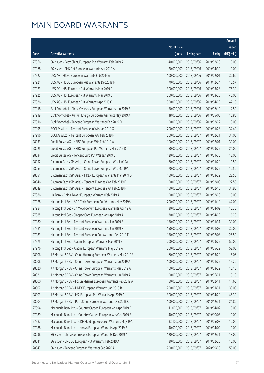|       |                                                              |                        |                     |               | Amount      |
|-------|--------------------------------------------------------------|------------------------|---------------------|---------------|-------------|
|       |                                                              | No. of issue           |                     |               | raised      |
| Code  | Derivative warrants                                          | (units)                | <b>Listing date</b> | <b>Expiry</b> | (HK\$ mil.) |
| 27966 | SG Issuer - PetroChina European Put Warrants Feb 2019 A      | 40,000,000             | 2018/09/06          | 2019/02/28    | 10.00       |
| 27968 | SG Issuer - SHK Ppt European Warrants Apr 2019 A             | 20,000,000             | 2018/09/06          | 2019/04/30    | 10.00       |
| 27922 | UBS AG - HSBC European Warrants Feb 2019 A                   | 100,000,000            | 2018/09/06          | 2019/02/01    | 30.60       |
| 27921 | UBS AG - HSBC European Put Warrants Dec 2018 F               | 70,000,000             | 2018/09/06          | 2018/12/24    | 10.57       |
| 27923 | UBS AG - HSI European Put Warrants Mar 2019 C                | 300,000,000            | 2018/09/06          | 2019/03/28    | 75.30       |
| 27925 | UBS AG - HSI European Put Warrants Mar 2019 D                | 300,000,000            | 2018/09/06          | 2019/03/28    | 45.00       |
| 27926 | UBS AG - HSI European Put Warrants Apr 2019 C                | 300,000,000            | 2018/09/06          | 2019/04/29    | 47.10       |
| 27918 | Bank Vontobel - China Overseas European Warrants Jun 2019 B  | 50,000,000             | 2018/09/06          | 2019/06/10    | 12.50       |
| 27919 | Bank Vontobel - Kunlun Energy European Warrants May 2019 A   | 18,000,000             | 2018/09/06          | 2019/05/06    | 10.80       |
| 27916 | Bank Vontobel - Tencent European Warrants Feb 2019 D         | 100,000,000            | 2018/09/06          | 2019/02/22    | 19.00       |
| 27995 | BOCI Asia Ltd. - Tencent European Wts Jan 2019 G             | 200,000,000            | 2018/09/07          | 2019/01/28    | 32.40       |
| 27996 | BOCI Asia Ltd. - Tencent European Wts Feb 2019 F             | 200,000,000            | 2018/09/07          | 2019/02/21    | 31.00       |
| 28033 | Credit Suisse AG - HSBC European Wts Feb 2019 A              | 100,000,000            | 2018/09/07          | 2019/02/01    | 30.00       |
| 28025 | Credit Suisse AG - HSBC European Put Warrants Mar 2019 D     | 80,000,000             | 2018/09/07          | 2019/03/29    | 24.00       |
| 28034 | Credit Suisse AG - Tencent Euro Put Wts Jan 2019 L           | 120,000,000            | 2018/09/07          | 2019/01/30    | 18.00       |
| 28052 | Goldman Sachs SP (Asia) - China Tower European Wts Jan19A    | 70,000,000             | 2018/09/07          | 2019/01/29    | 10.50       |
| 28053 | Goldman Sachs SP (Asia) - China Tower European Wts Mar19A    | 70,000,000             | 2018/09/07          | 2019/03/22    | 10.50       |
| 28051 | Goldman Sachs SP (Asia) - HKEX European Warrants Mar 2019 D  | 150,000,000            | 2018/09/07          | 2019/03/22    | 22.50       |
| 28046 | Goldman Sachs SP (Asia) - Tencent European Wt Feb 2019 E     | 150,000,000            | 2018/09/07          | 2019/02/08    | 22.50       |
| 28049 | Goldman Sachs SP (Asia) - Tencent European Wt Feb 2019 F     | 150,000,000            | 2018/09/07          | 2019/02/18    | 31.95       |
| 27986 | HK Bank - China Tower European Warrants Feb 2019 A           | 100,000,000            | 2018/09/07          | 2019/02/28    | 15.00       |
| 27978 | Haitong Int'l Sec - AAC Tech European Put Warrants Nov 2019A | 200,000,000            | 2018/09/07          | 2019/11/19    | 42.00       |
| 27984 | Haitong Int'l Sec - Ch Molybdenum European Warrants Apr 19 A | 30,000,000             | 2018/09/07          | 2019/04/09    | 15.30       |
| 27985 | Haitong Int'l Sec - Sinopec Corp European Wts Apr 2019 A     | 30,000,000             | 2018/09/07          | 2019/04/29    | 16.20       |
| 27980 | Haitong Int'l Sec - Tencent European Warrants Jan 2019 E     | 150,000,000            | 2018/09/07          | 2019/01/31    | 39.00       |
| 27981 | Haitong Int'l Sec - Tencent European Warrants Jan 2019 F     | 150,000,000            | 2018/09/07          | 2019/01/07    | 30.00       |
| 27983 | Haitong Int'l Sec - Tencent European Put Warrants Feb 2019 F | 150,000,000 2018/09/07 |                     | 2019/02/08    | 25.50       |
| 27975 | Haitong Int'l Sec - Xiaomi European Warrants Mar 2019 E      | 200,000,000            | 2018/09/07          | 2019/03/29    | 50.00       |
| 27976 | Haitong Int'l Sec - Xiaomi European Warrants May 2019 A      | 200,000,000            | 2018/09/07          | 2019/05/29    | 52.00       |
| 28006 | J P Morgan SP BV - China Huarong European Warrants Mar 2019A | 60,000,000             | 2018/09/07          | 2019/03/29    | 15.06       |
| 28008 | J P Morgan SP BV - China Tower European Warrants Jan 2019 A  | 100,000,000            | 2018/09/07          | 2019/01/29    | 15.20       |
| 28020 | J P Morgan SP BV - China Tower European Warrants Mar 2019 A  | 100,000,000            | 2018/09/07          | 2019/03/22    | 15.10       |
| 28021 | J P Morgan SP BV - China Tower European Warrants Jun 2019 A  | 100,000,000            | 2018/09/07          | 2019/06/21    | 15.10       |
| 28000 | J P Morgan SP BV - Fosun Pharma European Warrants Feb 2019 A | 50,000,000             | 2018/09/07          | 2019/02/11    | 11.65       |
| 28002 | J P Morgan SP BV - HKEX European Warrants Jan 2019 B         | 200,000,000            | 2018/09/07          | 2019/01/31    | 30.00       |
| 28003 | J P Morgan SP BV - HSI European Put Warrants Apr 2019 D      | 300,000,000            | 2018/09/07          | 2019/04/29    | 45.30       |
| 28004 | J P Morgan SP BV - PetroChina European Warrants Dec 2018 C   | 100,000,000            | 2018/09/07          | 2018/12/31    | 21.80       |
| 27994 | Macquarie Bank Ltd. - Country Garden European Wts Apr 2019 B | 11,000,000             | 2018/09/07          | 2019/04/02    | 10.05       |
| 27989 | Macquarie Bank Ltd. - Country Garden European Wts Oct 2019 B | 40,000,000             | 2018/09/07          | 2019/10/03    | 10.00       |
| 27987 | Macquarie Bank Ltd. - CKH Holdings European Warrants May 19A | 33,100,000             | 2018/09/07          | 2019/05/03    | 10.06       |
| 27988 | Macquarie Bank Ltd. - Lenovo European Warrants Apr 2019 B    | 40,000,000             | 2018/09/07          | 2019/04/02    | 10.00       |
| 28038 | SG Issuer - China Comm Cons European Warrants Dec 2019 A     | 120,000,000            | 2018/09/07          | 2019/12/31    | 18.00       |
| 28041 | SG Issuer - CNOOC European Put Warrants Feb 2019 A           | 30,000,000             | 2018/09/07          | 2019/02/28    | 10.05       |
| 28043 | SG Issuer - Tencent European Warrants Sep 2020 A             | 200,000,000            | 2018/09/07          | 2020/09/30    | 50.00       |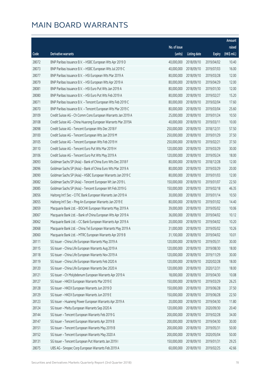|       |                                                              |              |                       |               | Amount      |
|-------|--------------------------------------------------------------|--------------|-----------------------|---------------|-------------|
|       |                                                              | No. of issue |                       |               | raised      |
| Code  | <b>Derivative warrants</b>                                   | (units)      | <b>Listing date</b>   | <b>Expiry</b> | (HK\$ mil.) |
| 28072 | BNP Paribas Issuance B.V. - HSBC European Wts Apr 2019 D     | 40,000,000   | 2018/09/10            | 2019/04/02    | 10.40       |
| 28073 | BNP Paribas Issuance B.V. - HSBC European Wts Jul 2019 C     | 40,000,000   | 2018/09/10            | 2019/07/03    | 16.00       |
| 28077 | BNP Paribas Issuance B.V. - HSI European Wts Mar 2019 A      | 80,000,000   | 2018/09/10            | 2019/03/28    | 12.00       |
| 28079 | BNP Paribas Issuance B.V. - HSI European Wts Apr 2019 A      | 80,000,000   | 2018/09/10            | 2019/04/29    | 12.00       |
| 28081 | BNP Paribas Issuance B.V. - HSI Euro Put Wts Jan 2019 A      | 80,000,000   | 2018/09/10            | 2019/01/30    | 12.00       |
| 28080 | BNP Paribas Issuance B.V. - HSI Euro Put Wts Feb 2019 A      | 80,000,000   | 2018/09/10            | 2019/02/27    | 15.20       |
| 28071 | BNP Paribas Issuance B.V. - Tencent European Wts Feb 2019 C  | 80,000,000   | 2018/09/10            | 2019/02/04    | 17.60       |
| 28070 | BNP Paribas Issuance B.V. - Tencent European Wts Mar 2019 C  | 80,000,000   | 2018/09/10            | 2019/03/04    | 25.60       |
| 28109 | Credit Suisse AG - Ch Comm Cons European Warrants Jan 2019 A | 25,000,000   | 2018/09/10            | 2019/01/24    | 10.50       |
| 28108 | Credit Suisse AG - China Huarong European Warrants Mar 2019A | 40,000,000   | 2018/09/10            | 2019/03/11    | 10.00       |
| 28098 | Credit Suisse AG - Tencent European Wts Dec 2018 F           | 250,000,000  | 2018/09/10            | 2018/12/31    | 57.50       |
| 28100 | Credit Suisse AG - Tencent European Wts Jan 2019 M           | 250,000,000  | 2018/09/10            | 2019/01/29    | 37.50       |
| 28105 | Credit Suisse AG - Tencent European Wts Feb 2019 H           | 250,000,000  | 2018/09/10            | 2019/02/21    | 37.50       |
| 28110 | Credit Suisse AG - Tencent Euro Put Wts Mar 2019 H           | 120,000,000  | 2018/09/10            | 2019/03/29    | 30.00       |
| 28106 | Credit Suisse AG - Tencent Euro Put Wts May 2019 A           | 120,000,000  | 2018/09/10            | 2019/05/24    | 18.00       |
| 28093 | Goldman Sachs SP (Asia) - Bank of China Euro Wts Dec 2018 F  | 80,000,000   | 2018/09/10            | 2018/12/28    | 12.00       |
| 28096 | Goldman Sachs SP (Asia) - Bank of China Euro Wts Mar 2019 A  | 80,000,000   | 2018/09/10            | 2019/03/29    | 20.00       |
| 28090 | Goldman Sachs SP (Asia) - HSBC European Warrants Jan 2019 C  | 80,000,000   | 2018/09/10            | 2019/01/03    | 12.00       |
| 28082 | Goldman Sachs SP (Asia) - Tencent European Wt Jan 2019 L     | 150,000,000  | 2018/09/10            | 2019/01/07    | 22.50       |
| 28085 | Goldman Sachs SP (Asia) - Tencent European Wt Feb 2019 G     | 150,000,000  | 2018/09/10            | 2019/02/18    | 46.35       |
| 28056 | Haitong Int'l Sec - CITIC Bank European Warrants Jan 2019 A  | 30,000,000   | 2018/09/10            | 2019/01/14    | 10.50       |
| 28055 | Haitong Int'l Sec - Ping An European Warrants Jan 2019 E     | 80,000,000   | 2018/09/10            | 2019/01/02    | 14.40       |
| 28059 | Macquarie Bank Ltd. - BOCHK European Warrants May 2019 A     | 39,000,000   | 2018/09/10            | 2019/05/02    | 10.06       |
| 28067 | Macquarie Bank Ltd. - Bank of China European Wts Apr 2019 A  | 36,000,000   | 2018/09/10            | 2019/04/02    | 10.12       |
| 28062 | Macquarie Bank Ltd. - CC Bank European Warrants Apr 2019 A   | 20,000,000   | 2018/09/10            | 2019/04/02    | 10.20       |
| 28068 | Macquarie Bank Ltd. - China Tel European Warrants May 2019 A | 31,000,000   | 2018/09/10            | 2019/05/02    | 10.26       |
| 28060 | Macquarie Bank Ltd. - MTRC European Warrants Apr 2019 B      |              | 31,100,000 2018/09/10 | 2019/04/02    | 10.01       |
| 28111 | SG Issuer - China Life European Warrants May 2019 A          | 120,000,000  | 2018/09/10            | 2019/05/31    | 30.00       |
| 28115 | SG Issuer - China Life European Warrants Aug 2019 A          | 120,000,000  | 2018/09/10            | 2019/08/30    | 18.00       |
| 28118 | SG Issuer - China Life European Warrants Nov 2019 A          | 120,000,000  | 2018/09/10            | 2019/11/29    | 30.00       |
| 28119 | SG Issuer - China Life European Warrants Feb 2020 A          | 120,000,000  | 2018/09/10            | 2020/02/28    | 18.00       |
| 28120 | SG Issuer - China Life European Warrants Dec 2020 A          | 120,000,000  | 2018/09/10            | 2020/12/31    | 18.00       |
| 28121 | SG Issuer - Ch Molybdenum European Warrants Apr 2019 A       | 18,000,000   | 2018/09/10            | 2019/04/30    | 10.08       |
| 28127 | SG Issuer - HKEX European Warrants Mar 2019 E                | 150,000,000  | 2018/09/10            | 2019/03/29    | 26.25       |
| 28128 | SG Issuer - HKEX European Warrants Jun 2019 D                | 150,000,000  | 2018/09/10            | 2019/06/28    | 37.50       |
| 28129 | SG Issuer - HKEX European Warrants Jun 2019 E                | 150,000,000  | 2018/09/10            | 2019/06/28    | 22.50       |
| 28123 | SG Issuer - Huaneng Power European Warrants Apr 2019 A       | 20,000,000   | 2018/09/10            | 2019/04/30    | 11.80       |
| 28124 | SG Issuer - Meitu European Warrants Sep 2020 A               | 120,000,000  | 2018/09/10            | 2020/09/30    | 20.40       |
| 28144 | SG Issuer - Tencent European Warrants Feb 2019 G             | 200,000,000  | 2018/09/10            | 2019/02/28    | 34.00       |
| 28147 | SG Issuer - Tencent European Warrants Apr 2019 B             | 200,000,000  | 2018/09/10            | 2019/04/30    | 30.00       |
| 28151 | SG Issuer - Tencent European Warrants May 2019 B             | 200,000,000  | 2018/09/10            | 2019/05/31    | 50.00       |
| 28152 | SG Issuer - Tencent European Warrants May 2020 A             | 200,000,000  | 2018/09/10            | 2020/05/04    | 50.00       |
| 28131 | SG Issuer - Tencent European Put Warrants Jan 2019 I         | 150,000,000  | 2018/09/10            | 2019/01/31    | 29.25       |
| 28075 | UBS AG - Sinopec Corp European Warrants Feb 2019 A           | 60,000,000   | 2018/09/10            | 2019/02/25    | 42.66       |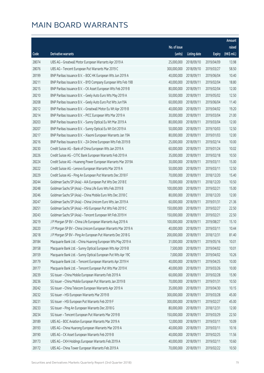|       |                                                              |                        |                     |               | Amount      |
|-------|--------------------------------------------------------------|------------------------|---------------------|---------------|-------------|
|       |                                                              | No. of issue           |                     |               | raised      |
| Code  | Derivative warrants                                          | (units)                | <b>Listing date</b> | <b>Expiry</b> | (HK\$ mil.) |
| 28074 | UBS AG - Greatwall Motor European Warrants Apr 2019 A        | 25,000,000             | 2018/09/10          | 2019/04/09    | 13.98       |
| 28076 | UBS AG - Tencent European Put Warrants Mar 2019 C            | 300,000,000            | 2018/09/10          | 2019/03/27    | 58.50       |
| 28199 | BNP Paribas Issuance B.V. - BOC HK European Wts Jun 2019 A   | 40,000,000             | 2018/09/11          | 2019/06/04    | 10.40       |
| 28211 | BNP Paribas Issuance B.V. - BYD Company European Wts Feb 19B | 40,000,000             | 2018/09/11          | 2019/02/04    | 18.80       |
| 28215 | BNP Paribas Issuance B.V. - CK Asset European Wts Feb 2019 B | 80,000,000             | 2018/09/11          | 2019/02/04    | 12.00       |
| 28210 | BNP Paribas Issuance B.V. - Geely Auto Euro Wts May 2019 A   | 50,000,000             | 2018/09/11          | 2019/05/02    | 12.50       |
| 28208 | BNP Paribas Issuance B.V. - Geely Auto Euro Put Wts Jun19A   | 60,000,000             | 2018/09/11          | 2019/06/04    | 11.40       |
| 28212 | BNP Paribas Issuance B.V. - Greatwall Motor Eu Wt Apr 2019 B | 40,000,000             | 2018/09/11          | 2019/04/02    | 19.20       |
| 28214 | BNP Paribas Issuance B.V. - PICC European Wts Mar 2019 A     | 30,000,000             | 2018/09/11          | 2019/03/04    | 21.00       |
| 28203 | BNP Paribas Issuance B.V. - Sunny Optical Eu Wt Mar 2019 A   | 80,000,000             | 2018/09/11          | 2019/03/04    | 12.00       |
| 28207 | BNP Paribas Issuance B.V. - Sunny Optical Eu Wt Oct 2019 A   | 50,000,000             | 2018/09/11          | 2019/10/03    | 12.50       |
| 28217 | BNP Paribas Issuance B.V. - Xiaomi European Warrants Jan 19A | 80,000,000             | 2018/09/11          | 2019/01/03    | 12.00       |
| 28216 | BNP Paribas Issuance B.V. - ZA Onine European Wts Feb 2019 B | 25,000,000             | 2018/09/11          | 2019/02/14    | 10.00       |
| 28230 | Credit Suisse AG - Bank of China European Wts Jan 2019 A     | 60,000,000             | 2018/09/11          | 2019/01/24    | 10.02       |
| 28226 | Credit Suisse AG - CITIC Bank European Warrants Feb 2019 A   | 35,000,000             | 2018/09/11          | 2019/02/18    | 10.50       |
| 28224 | Credit Suisse AG - Huaneng Power European Warrants Mar 2019A | 30,000,000             | 2018/09/11          | 2019/03/11    | 15.00       |
| 28222 | Credit Suisse AG - Lenovo European Warrants Mar 2019 A       | 50,000,000             | 2018/09/11          | 2019/03/11    | 12.50       |
| 28229 | Credit Suisse AG - Ping An European Put Warrants Dec 2018 F  | 70,000,000             | 2018/09/11          | 2018/12/20    | 15.40       |
| 28244 | Goldman Sachs SP (Asia) - AIA European Put Wts Dec 2018 E    | 70,000,000             | 2018/09/11          | 2018/12/20    | 10.50       |
| 28248 | Goldman Sachs SP (Asia) - China Life Euro Wts Feb 2019 B     | 100,000,000            | 2018/09/11          | 2019/02/21    | 15.00       |
| 28246 | Goldman Sachs SP (Asia) - China Mobile Euro Wts Dec 2018 C   | 80,000,000             | 2018/09/11          | 2018/12/20    | 12.00       |
| 28247 | Goldman Sachs SP (Asia) - China Unicom Euro Wts Jan 2019 A   | 60,000,000             | 2018/09/11          | 2019/01/31    | 21.36       |
| 28251 | Goldman Sachs SP (Asia) - HSI European Put Wts Feb 2019 C    | 150,000,000            | 2018/09/11          | 2019/02/27    | 22.50       |
| 28243 | Goldman Sachs SP (Asia) - Tencent European Wt Feb 2019 H     | 150,000,000            | 2018/09/11          | 2019/02/21    | 22.50       |
| 28219 | J P Morgan SP BV - China Life European Warrants Aug 2019 A   | 100,000,000            | 2018/09/11          | 2019/08/27    | 15.10       |
| 28220 | J P Morgan SP BV - China Unicom European Warrants Mar 2019 A | 40,000,000             | 2018/09/11          | 2019/03/11    | 10.44       |
| 28218 | J P Morgan SP BV - Ping An European Put Warrants Dec 2018 G  | 200,000,000 2018/09/11 |                     | 2018/12/31    | 81.40       |
| 28184 | Macquarie Bank Ltd. - China Huarong European Wts May 2019 A  | 31,000,000             | 2018/09/11          | 2019/05/16    | 10.01       |
| 28158 | Macquarie Bank Ltd. - Sunny Optical European Wts Apr 2019 B  | 7,500,000              | 2018/09/11          | 2019/04/02    | 10.01       |
| 28159 | Macquarie Bank Ltd. - Sunny Optical European Put Wts Apr 19C | 7,000,000              | 2018/09/11          | 2019/04/02    | 10.26       |
| 28179 | Macquarie Bank Ltd. - Tencent European Warrants Apr 2019 H   | 40,000,000             | 2018/09/11          | 2019/04/25    | 10.00       |
| 28177 | Macquarie Bank Ltd. - Tencent European Put Wts Mar 2019 K    | 40,000,000             | 2018/09/11          | 2019/03/26    | 10.00       |
| 28239 | SG Issuer - China Mobile European Warrants Feb 2019 A        | 60,000,000             | 2018/09/11          | 2019/02/28    | 15.90       |
| 28236 | SG Issuer - China Mobile European Put Warrants Jan 2019 B    | 70,000,000             | 2018/09/11          | 2019/01/31    | 10.50       |
| 28242 | SG Issuer - China Telecom European Warrants Apr 2019 A       | 35,000,000             | 2018/09/11          | 2019/04/30    | 10.15       |
| 28232 | SG Issuer - HSI European Warrants Mar 2019 B                 | 300,000,000            | 2018/09/11          | 2019/03/28    | 45.00       |
| 28231 | SG Issuer - HSI European Put Warrants Feb 2019 F             | 300,000,000            | 2018/09/11          | 2019/02/27    | 45.00       |
| 28233 | SG Issuer - Ping An European Warrants Dec 2018 G             | 80,000,000             | 2018/09/11          | 2018/12/31    | 12.00       |
| 28234 | SG Issuer - Tencent European Put Warrants Mar 2019 B         | 150,000,000            | 2018/09/11          | 2019/03/29    | 22.50       |
| 28189 | UBS AG - BOC Aviation European Warrants Mar 2019 A           | 12,000,000             | 2018/09/11          | 2019/03/11    | 10.09       |
| 28193 | UBS AG - China Huarong European Warrants Mar 2019 A          | 40,000,000             | 2018/09/11          | 2019/03/11    | 10.16       |
| 28190 | UBS AG - CK Asset European Warrants Feb 2019 B               | 40,000,000             | 2018/09/11          | 2019/02/25    | 11.56       |
| 28173 | UBS AG - CKH Holdings European Warrants Feb 2019 A           | 40,000,000             | 2018/09/11          | 2019/02/11    | 10.60       |
| 28172 | UBS AG - China Tower European Warrants Feb 2019 A            | 70,000,000             | 2018/09/11          | 2019/02/22    | 10.50       |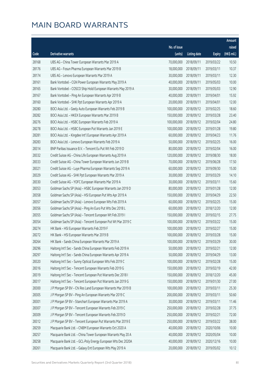|       |                                                              |                        |                     |               | Amount      |
|-------|--------------------------------------------------------------|------------------------|---------------------|---------------|-------------|
|       |                                                              | No. of issue           |                     |               | raised      |
| Code  | <b>Derivative warrants</b>                                   | (units)                | <b>Listing date</b> | <b>Expiry</b> | (HK\$ mil.) |
| 28168 | UBS AG - China Tower European Warrants Mar 2019 A            | 70,000,000             | 2018/09/11          | 2019/03/22    | 10.50       |
| 28176 | UBS AG - Fosun Pharma European Warrants Mar 2019 B           | 18,000,000             | 2018/09/11          | 2019/03/11    | 10.37       |
| 28174 | UBS AG - Lenovo European Warrants Mar 2019 A                 | 30,000,000             | 2018/09/11          | 2019/03/11    | 12.30       |
| 28161 | Bank Vontobel - CGN Power European Warrants May 2019 A       | 40,000,000             | 2018/09/11          | 2019/05/03    | 10.00       |
| 28165 | Bank Vontobel - COSCO Ship Hold European Warrants May 2019 A | 30,000,000             | 2018/09/11          | 2019/05/03    | 12.90       |
| 28167 | Bank Vontobel - Ping An European Warrants Apr 2019 B         | 40,000,000             | 2018/09/11          | 2019/04/01    | 15.92       |
| 28160 | Bank Vontobel - SHK Ppt European Warrants Apr 2019 A         | 20,000,000             | 2018/09/11          | 2019/04/01    | 12.00       |
| 28280 | BOCI Asia Ltd. - Geely Auto European Warrants Feb 2019 B     | 100,000,000            | 2018/09/12          | 2019/02/25    | 18.60       |
| 28282 | BOCI Asia Ltd. - HKEX European Warrants Mar 2019 B           | 150,000,000            | 2018/09/12          | 2019/03/28    | 23.40       |
| 28276 | BOCI Asia Ltd. - HSBC European Warrants Feb 2019 A           | 100,000,000            | 2018/09/12          | 2019/02/04    | 24.80       |
| 28278 | BOCI Asia Ltd. - HSBC European Put Warrants Jan 2019 E       | 100,000,000            | 2018/09/12          | 2019/01/28    | 19.80       |
| 28281 | BOCI Asia Ltd. - Kingdee Int'l European Warrants Apr 2019 A  | 60,000,000             | 2018/09/12          | 2019/04/23    | 11.76       |
| 28283 | BOCI Asia Ltd. - Lenovo European Warrants Feb 2019 A         | 50,000,000             | 2018/09/12          | 2019/02/25    | 16.00       |
| 28314 | BNP Paribas Issuance B.V. - Tencent Eu Put Wt Feb 2019 D     | 80,000,000             | 2018/09/12          | 2019/02/04    | 16.00       |
| 28332 | Credit Suisse AG - China Life European Warrants Aug 2019 A   | 120,000,000            | 2018/09/12          | 2019/08/30    | 18.00       |
| 28333 | Credit Suisse AG - China Tower European Warrants Jun 2019 B  | 70,000,000             | 2018/09/12          | 2019/06/28    | 17.50       |
| 28321 | Credit Suisse AG - Luye Pharma European Warrants Sep 2019 A  | 60,000,000             | 2018/09/12          | 2019/09/30    | 15.00       |
| 28329 | Credit Suisse AG - SHK Ppt European Warrants Mar 2019 A      | 30,000,000             | 2018/09/12          | 2019/03/29    | 14.10       |
| 28330 | Credit Suisse AG - YOFC European Warrants Mar 2019 A         | 30,000,000             | 2018/09/12          | 2019/03/11    | 15.60       |
| 28353 | Goldman Sachs SP (Asia) - HSBC European Warrants Jan 2019 D  | 80,000,000             | 2018/09/12          | 2019/01/28    | 12.00       |
| 28358 | Goldman Sachs SP (Asia) - HSI European Put Wts Apr 2019 A    | 150,000,000            | 2018/09/12          | 2019/04/29    | 22.50       |
| 28357 | Goldman Sachs SP (Asia) - Lenovo European Wts Feb 2019 A     | 60,000,000             | 2018/09/12          | 2019/02/25    | 15.00       |
| 28356 | Goldman Sachs SP (Asia) - Ping An Euro Put Wts Dec 2018 L    | 60,000,000             | 2018/09/12          | 2018/12/20    | 12.00       |
| 28355 | Goldman Sachs SP (Asia) - Tencent European Wt Feb 2019 I     | 150,000,000            | 2018/09/12          | 2019/02/15    | 27.75       |
| 28354 | Goldman Sachs SP (Asia) - Tencent European Put Wt Mar 2019 C | 100,000,000            | 2018/09/12          | 2019/03/22    | 15.00       |
| 28274 | HK Bank - HSI European Warrants Feb 2019 F                   | 100,000,000            | 2018/09/12          | 2019/02/27    | 15.00       |
| 28272 | HK Bank - HSI European Warrants Mar 2019 B                   | 100,000,000 2018/09/12 |                     | 2019/03/28    | 15.00       |
| 28264 | HK Bank - Sands China European Warrants Mar 2019 A           | 100,000,000            | 2018/09/12          | 2019/03/29    | 30.00       |
| 28296 | Haitong Int'l Sec - Sands China European Warrants Feb 2019 A | 50,000,000             | 2018/09/12          | 2019/02/21    | 12.00       |
| 28297 | Haitong Int'l Sec - Sands China European Warrants Apr 2019 A | 50,000,000             | 2018/09/12          | 2019/04/29    | 13.00       |
| 28320 | Haitong Int'l Sec - Sunny Optical European Wts Feb 2019 C    | 100,000,000            | 2018/09/12          | 2019/02/28    | 15.00       |
| 28316 | Haitong Int'l Sec - Tencent European Warrants Feb 2019 G     | 150,000,000            | 2018/09/12          | 2019/02/19    | 42.00       |
| 28319 | Haitong Int'l Sec - Tencent European Put Warrants Dec 2018 I | 150,000,000            | 2018/09/12          | 2018/12/20    | 45.00       |
| 28317 | Haitong Int'l Sec - Tencent European Put Warrants Jan 2019 G | 150,000,000            | 2018/09/12          | 2019/01/30    | 27.00       |
| 28300 | J P Morgan SP BV - Chi Res Land European Warrants Mar 2019 B | 100,000,000            | 2018/09/12          | 2019/03/11    | 25.30       |
| 28305 | J P Morgan SP BV - Ping An European Warrants Mar 2019 C      | 200,000,000            | 2018/09/12          | 2019/03/11    | 50.60       |
| 28301 | J P Morgan SP BV - Stanchart European Warrants Mar 2019 A    | 30,000,000             | 2018/09/12          | 2019/03/11    | 11.46       |
| 28307 | J P Morgan SP BV - Tencent European Warrants Feb 2019 C      | 250,000,000            | 2018/09/12          | 2019/02/28    | 37.75       |
| 28309 | J P Morgan SP BV - Tencent European Warrants Feb 2019 D      | 250,000,000            | 2018/09/12          | 2019/02/21    | 72.00       |
| 28312 | J P Morgan SP BV - Tencent European Put Warrants Mar 2019 E  | 250,000,000            | 2018/09/12          | 2019/03/22    | 38.00       |
| 28259 | Macquarie Bank Ltd. - CNBM European Warrants Oct 2020 A      | 40,000,000             | 2018/09/12          | 2020/10/06    | 10.00       |
| 28257 | Macquarie Bank Ltd. - China Tower European Warrants May 20 A | 40,000,000             | 2018/09/12          | 2020/05/04    | 10.00       |
| 28258 | Macquarie Bank Ltd. - GCL-Poly Energy European Wts Dec 2020A | 40,000,000             | 2018/09/12          | 2020/12/16    | 10.00       |
| 28261 | Macquarie Bank Ltd. - Galaxy Ent European Wts May 2019 A     | 20,000,000             | 2018/09/12          | 2019/05/02    | 10.12       |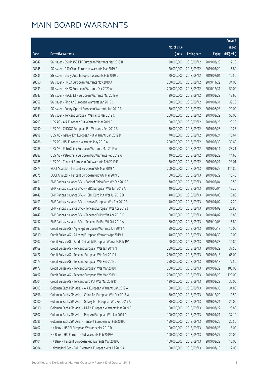|       |                                                              |              |                       |               | Amount      |
|-------|--------------------------------------------------------------|--------------|-----------------------|---------------|-------------|
|       |                                                              | No. of issue |                       |               | raised      |
| Code  | <b>Derivative warrants</b>                                   | (units)      | <b>Listing date</b>   | <b>Expiry</b> | (HK\$ mil.) |
| 28342 | SG Issuer - CSOP A50 ETF European Warrants Mar 2019 B        | 20,000,000   | 2018/09/12            | 2019/03/29    | 12.20       |
| 28345 | SG Issuer - A50 China European Warrants Mar 2019 A           | 20,000,000   | 2018/09/12            | 2019/03/29    | 16.80       |
| 28335 | SG Issuer - Geely Auto European Warrants Feb 2019 D          | 70,000,000   | 2018/09/12            | 2019/02/01    | 10.50       |
| 28350 | SG Issuer - HKEX European Warrants Nov 2019 A                | 200,000,000  | 2018/09/12            | 2019/11/29    | 34.00       |
| 28339 | SG Issuer - HKEX European Warrants Dec 2020 A                | 200,000,000  | 2018/09/12            | 2020/12/31    | 50.00       |
| 28343 | SG Issuer - HSCEI ETF European Warrants Mar 2019 A           | 20,000,000   | 2018/09/12            | 2019/03/29    | 13.60       |
| 28352 | SG Issuer - Ping An European Warrants Jan 2019 C             | 80,000,000   | 2018/09/12            | 2019/01/31    | 39.20       |
| 28336 | SG Issuer - Sunny Optical European Warrants Jun 2019 B       | 80,000,000   | 2018/09/12            | 2019/06/28    | 20.00       |
| 28341 | SG Issuer - Tencent European Warrants Mar 2019 C             | 200,000,000  | 2018/09/12            | 2019/03/29    | 50.00       |
| 28293 | UBS AG - AIA European Put Warrants Mar 2019 C                | 100,000,000  | 2018/09/12            | 2019/03/26    | 23.20       |
| 28290 | UBS AG - CNOOC European Put Warrants Feb 2019 B              | 30,000,000   | 2018/09/12            | 2019/02/25    | 10.23       |
| 28298 | UBS AG - Galaxy Ent European Put Warrants Jan 2019 D         | 70,000,000   | 2018/09/12            | 2019/01/24    | 10.64       |
| 28286 | UBS AG - HSI European Warrants May 2019 A                    | 200,000,000  | 2018/09/12            | 2019/05/30    | 39.60       |
| 28288 | UBS AG - PetroChina European Warrants Mar 2019 A             | 70,000,000   | 2018/09/12            | 2019/03/11    | 28.21       |
| 28287 | UBS AG - PetroChina European Put Warrants Feb 2019 A         | 40,000,000   | 2018/09/12            | 2019/02/22    | 14.60       |
| 28285 | UBS AG - Tencent European Put Warrants Feb 2019 E            | 30,000,000   | 2018/09/12            | 2019/02/21    | 23.01       |
| 28374 | BOCI Asia Ltd. - Tencent European Wts Mar 2019 A             | 200,000,000  | 2018/09/13            | 2019/03/29    | 114.80      |
| 28375 | BOCI Asia Ltd. - Tencent European Put Wts Mar 2019 B         | 100,000,000  | 2018/09/13            | 2019/03/22    | 15.40       |
| 28451 | BNP Paribas Issuance B.V. - Bank of China Euro Wt Feb 2019 B | 70,000,000   | 2018/09/13            | 2019/02/04    | 10.50       |
| 28448 | BNP Paribas Issuance B.V. - HSBC European Wts Jun 2019 A     | 40,000,000   | 2018/09/13            | 2019/06/04    | 17.20       |
| 28449 | BNP Paribas Issuance B.V. - HSBC Euro Put Wts Jul 2019 D     | 40,000,000   | 2018/09/13            | 2019/07/03    | 10.80       |
| 28453 | BNP Paribas Issuance B.V. - Lenovo European Wts Apr 2019 B   | 40,000,000   | 2018/09/13            | 2019/04/02    | 17.20       |
| 28446 | BNP Paribas Issuance B.V. - Tencent European Wts Apr 2019 J  | 80,000,000   | 2018/09/13            | 2019/04/02    | 28.80       |
| 28447 | BNP Paribas Issuance B.V. - Tencent Eu Put Wt Apr 2019 K     | 80,000,000   | 2018/09/13            | 2019/04/02    | 16.80       |
| 28452 | BNP Paribas Issuance B.V. - Tencent Eu Put Wt Oct 2019 A     | 80,000,000   | 2018/09/13            | 2019/10/03    | 16.80       |
| 28493 | Credit Suisse AG - Agile Ppt European Warrants Jun 2019 A    | 50,000,000   | 2018/09/13            | 2019/06/17    | 10.00       |
| 28510 | Credit Suisse AG - A-Living European Warrants Apr 2019 A     |              | 40,000,000 2018/09/13 | 2019/04/30    | 10.00       |
| 28507 | Credit Suisse AG - Sands China Ltd European Warrants Feb 19A | 60,000,000   | 2018/09/13            | 2019/02/28    | 10.80       |
| 28469 | Credit Suisse AG - Tencent European Wts Jan 2019 N           | 250,000,000  | 2018/09/13            | 2019/01/29    | 37.50       |
| 28472 | Credit Suisse AG - Tencent European Wts Feb 2019 I           | 250,000,000  | 2018/09/13            | 2019/02/18    | 65.00       |
| 28473 | Credit Suisse AG - Tencent European Wts Feb 2019 J           | 250,000,000  | 2018/09/13            | 2019/02/18    | 77.50       |
| 28477 | Credit Suisse AG - Tencent European Wts Mar 2019 I           | 250,000,000  | 2018/09/13            | 2019/03/29    | 105.00      |
| 28492 | Credit Suisse AG - Tencent European Wts Mar 2019 J           | 250,000,000  | 2018/09/13            | 2019/03/29    | 120.00      |
| 28504 | Credit Suisse AG - Tencent Euro Put Wts Mar 2019 K           | 120,000,000  | 2018/09/13            | 2019/03/29    | 30.00       |
| 28603 | Goldman Sachs SP (Asia) - AIA European Warrants Jan 2019 A   | 80,000,000   | 2018/09/13            | 2019/01/30    | 34.88       |
| 28596 | Goldman Sachs SP (Asia) - China Tel European Wts Dec 2018 A  | 70,000,000   | 2018/09/13            | 2018/12/20    | 10.50       |
| 28600 | Goldman Sachs SP (Asia) - Galaxy Ent European Wts Feb 2019 A | 80,000,000   | 2018/09/13            | 2019/02/21    | 24.00       |
| 28610 | Goldman Sachs SP (Asia) - HKEX European Warrants Mar 2019 E  | 150,000,000  | 2018/09/13            | 2019/03/22    | 28.80       |
| 28602 | Goldman Sachs SP (Asia) - Ping An European Wts Jan 2019 D    | 100,000,000  | 2018/09/13            | 2019/01/21    | 37.10       |
| 28595 | Goldman Sachs SP (Asia) - Tencent European Wt Feb 2019 J     | 150,000,000  | 2018/09/13            | 2019/02/25    | 22.50       |
| 28402 | HK Bank - HSCEI European Warrants Mar 2019 D                 | 100,000,000  | 2018/09/13            | 2019/03/28    | 15.00       |
| 28406 | HK Bank - HSI European Put Warrants Feb 2019 G               | 100,000,000  | 2018/09/13            | 2019/02/27    | 20.00       |
| 28401 | HK Bank - Tencent European Put Warrants Mar 2019 C           | 100,000,000  | 2018/09/13            | 2019/03/22    | 16.00       |
| 28584 | Haitong Int'l Sec - BYD Electronic European Wts Jul 2019 A   | 50,000,000   | 2018/09/13            | 2019/07/19    | 12.00       |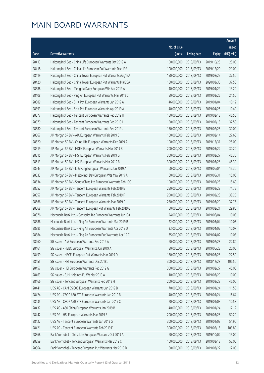|       |                                                              |              |                       |               | Amount      |
|-------|--------------------------------------------------------------|--------------|-----------------------|---------------|-------------|
|       |                                                              | No. of issue |                       |               | raised      |
| Code  | <b>Derivative warrants</b>                                   | (units)      | <b>Listing date</b>   | <b>Expiry</b> | (HK\$ mil.) |
| 28413 | Haitong Int'l Sec - China Life European Warrants Oct 2019 A  | 100,000,000  | 2018/09/13            | 2019/10/25    | 25.00       |
| 28418 | Haitong Int'l Sec - China Life European Put Warrants Dec 19A | 100,000,000  | 2018/09/13            | 2019/12/20    | 29.00       |
| 28419 | Haitong Int'l Sec - China Tower European Put Warrants Aug19A | 150,000,000  | 2018/09/13            | 2019/08/29    | 37.50       |
| 28420 | Haitong Int'l Sec - China Tower European Put Warrants Mar20A | 150,000,000  | 2018/09/13            | 2020/03/30    | 37.50       |
| 28588 | Haitong Int'l Sec - Mengniu Dairy European Wts Apr 2019 A    | 40,000,000   | 2018/09/13            | 2019/04/29    | 13.20       |
| 28408 | Haitong Int'l Sec - Ping An European Put Warrants Mar 2019 C | 50,000,000   | 2018/09/13            | 2019/03/25    | 21.50       |
| 28389 | Haitong Int'l Sec - SHK Ppt European Warrants Jan 2019 A     | 46,000,000   | 2018/09/13            | 2019/01/04    | 10.12       |
| 28393 | Haitong Int'l Sec - SHK Ppt European Warrants Apr 2019 A     | 40,000,000   | 2018/09/13            | 2019/04/25    | 10.40       |
| 28577 | Haitong Int'l Sec - Tencent European Warrants Feb 2019 H     | 150,000,000  | 2018/09/13            | 2019/02/18    | 46.50       |
| 28579 | Haitong Int'l Sec - Tencent European Warrants Feb 2019 I     | 150,000,000  | 2018/09/13            | 2019/02/18    | 37.50       |
| 28580 | Haitong Int'l Sec - Tencent European Warrants Feb 2019 J     | 150,000,000  | 2018/09/13            | 2019/02/25    | 30.00       |
| 28567 | J P Morgan SP BV - AIA European Warrants Feb 2019 B          | 100,000,000  | 2018/09/13            | 2019/02/14    | 27.60       |
| 28520 | J P Morgan SP BV - China Life European Warrants Dec 2019 A   | 100,000,000  | 2018/09/13            | 2019/12/31    | 25.00       |
| 28519 | J P Morgan SP BV - HKEX European Warrants Mar 2019 B         | 200,000,000  | 2018/09/13            | 2019/03/22    | 30.20       |
| 28515 | J P Morgan SP BV - HSI European Warrants Feb 2019 G          | 300,000,000  | 2018/09/13            | 2019/02/27    | 45.30       |
| 28513 | J P Morgan SP BV - HSI European Warrants Mar 2019 B          | 300,000,000  | 2018/09/13            | 2019/03/28    | 45.30       |
| 28543 | J P Morgan SP BV - Li & Fung European Warrants Jun 2019 A    | 60,000,000   | 2018/09/13            | 2019/06/04    | 15.36       |
| 28533 | J P Morgan SP BV - Melco Int'l Dev European Wts May 2019 A   | 60,000,000   | 2018/09/13            | 2019/05/31    | 15.06       |
| 28534 | J P Morgan SP BV - Sands China Ltd European Warrants Feb 19C | 100,000,000  | 2018/09/13            | 2019/02/28    | 15.60       |
| 28552 | J P Morgan SP BV - Tencent European Warrants Feb 2019 E      | 250,000,000  | 2018/09/13            | 2019/02/28    | 74.75       |
| 28557 | J P Morgan SP BV - Tencent European Warrants Feb 2019 F      | 250,000,000  | 2018/09/13            | 2019/02/28    | 38.25       |
| 28566 | J P Morgan SP BV - Tencent European Warrants Mar 2019 F      | 250,000,000  | 2018/09/13            | 2019/03/29    | 37.75       |
| 28568 | J P Morgan SP BV - Tencent European Put Warrants Feb 2019 G  | 50,000,000   | 2018/09/13            | 2019/02/21    | 29.80       |
| 28376 | Macquarie Bank Ltd. - Genscript Bio European Warrants Jun19A | 24,000,000   | 2018/09/13            | 2019/06/04    | 10.03       |
| 28386 | Macquarie Bank Ltd. - Ping An European Warrants Mar 2019 B   | 22,000,000   | 2018/09/13            | 2019/03/04    | 10.03       |
| 28385 | Macquarie Bank Ltd. - Ping An European Warrants Apr 2019 D   | 33,000,000   | 2018/09/13            | 2019/04/02    | 10.07       |
| 28384 | Macquarie Bank Ltd. - Ping An European Put Warrants Apr 19 C |              | 35,000,000 2018/09/13 | 2019/04/02    | 10.08       |
| 28460 | SG Issuer - AIA European Warrants Feb 2019 A                 | 60,000,000   | 2018/09/13            | 2019/02/28    | 22.80       |
| 28461 | SG Issuer - HSBC European Warrants Jun 2019 A                | 80,000,000   | 2018/09/13            | 2019/06/28    | 20.00       |
| 28459 | SG Issuer - HSCEI European Put Warrants Mar 2019 D           | 150,000,000  | 2018/09/13            | 2019/03/28    | 22.50       |
| 28455 | SG Issuer - HSI European Warrants Dec 2018 J                 | 300,000,000  | 2018/09/13            | 2018/12/28    | 106.50      |
| 28457 | SG Issuer - HSI European Warrants Feb 2019 G                 | 300,000,000  | 2018/09/13            | 2019/02/27    | 45.00       |
| 28463 | SG Issuer - SJM Holdings Eu Wt Mar 2019 A                    | 10,000,000   | 2018/09/13            | 2019/03/29    | 10.00       |
| 28466 | SG Issuer - Tencent European Warrants Feb 2019 H             | 200,000,000  | 2018/09/13            | 2019/02/28    | 46.00       |
| 28441 | UBS AG - CAM CSI300 European Warrants Jan 2019 B             | 70,000,000   | 2018/09/13            | 2019/01/24    | 11.55       |
| 28424 | UBS AG - CSOP A50 ETF European Warrants Jan 2019 B           | 40,000,000   | 2018/09/13            | 2019/01/24    | 16.64       |
| 28435 | UBS AG - CSOP A50 ETF European Warrants Jan 2019 C           | 70,000,000   | 2018/09/13            | 2019/01/03    | 10.57       |
| 28437 | UBS AG - A50 China European Warrants Jan 2019 B              | 40,000,000   | 2018/09/13            | 2019/01/24    | 17.12       |
| 28442 | UBS AG - HSI European Warrants Mar 2019 E                    | 200,000,000  | 2018/09/13            | 2019/03/28    | 50.20       |
| 28422 | UBS AG - Tencent European Warrants Jan 2019 G                | 300,000,000  | 2018/09/13            | 2019/01/03    | 51.90       |
| 28421 | UBS AG - Tencent European Warrants Feb 2019 F                | 300,000,000  | 2018/09/13            | 2019/02/18    | 103.80      |
| 28368 | Bank Vontobel - China Life European Warrants Oct 2019 A      | 60,000,000   | 2018/09/13            | 2019/10/02    | 15.00       |
| 28359 | Bank Vontobel - Tencent European Warrants Mar 2019 C         | 100,000,000  | 2018/09/13            | 2019/03/18    | 53.00       |
| 28364 | Bank Vontobel - Tencent European Put Warrants Mar 2019 D     | 80,000,000   | 2018/09/13            | 2019/03/22    | 12.00       |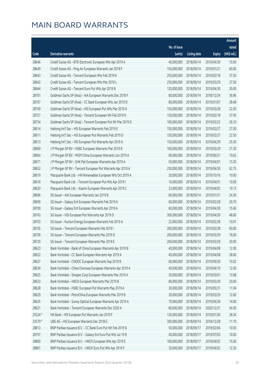|         |                                                              |              |                        |               | Amount      |
|---------|--------------------------------------------------------------|--------------|------------------------|---------------|-------------|
|         |                                                              | No. of issue |                        |               | raised      |
| Code    | Derivative warrants                                          | (units)      | <b>Listing date</b>    | <b>Expiry</b> | (HK\$ mil.) |
| 28646   | Credit Suisse AG - BYD Electronic European Wts Apr 2019 A    | 40,000,000   | 2018/09/14             | 2019/04/30    | 10.00       |
| 28649   | Credit Suisse AG - Ping An European Warrants Jan 2019 F      | 150,000,000  | 2018/09/14             | 2019/01/21    | 60.00       |
| 28643   | Credit Suisse AG - Tencent European Wts Feb 2019 K           | 250,000,000  | 2018/09/14             | 2019/02/18    | 37.50       |
| 28642   | Credit Suisse AG - Tencent European Wts Mar 2019 L           | 250,000,000  | 2018/09/14             | 2019/03/29    | 37.50       |
| 28644   | Credit Suisse AG - Tencent Euro Put Wts Apr 2019 B           | 120,000,000  | 2018/09/14             | 2019/04/30    | 30.00       |
| 28761   | Goldman Sachs SP (Asia) - AIA European Warrants Dec 2018 F   | 80,000,000   | 2018/09/14             | 2018/12/24    | 36.96       |
| 28767   | Goldman Sachs SP (Asia) - CC Bank European Wts Jan 2019 D    | 80,000,000   | 2018/09/14             | 2019/01/07    | 28.48       |
| 28769   | Goldman Sachs SP (Asia) - HSI European Put Wts Mar 2019 A    | 150,000,000  | 2018/09/14             | 2019/03/28    | 22.50       |
| 28757   | Goldman Sachs SP (Asia) - Tencent European Wt Feb 2019 K     | 150,000,000  | 2018/09/14             | 2019/02/18    | 37.95       |
| 28754   | Goldman Sachs SP (Asia) - Tencent European Put Wt Mar 2019 D | 100,000,000  | 2018/09/14             | 2019/03/22    | 26.10       |
| 28614   | Haitong Int'l Sec - HSI European Warrants Feb 2019 E         | 150,000,000  | 2018/09/14             | 2019/02/27    | 27.00       |
| 28611   | Haitong Int'l Sec - HSI European Put Warrants Feb 2019 D     | 150,000,000  | 2018/09/14             | 2019/02/27    | 22.50       |
| 28613   | Haitong Int'l Sec - HSI European Put Warrants Apr 2019 A     | 150,000,000  | 2018/09/14             | 2019/04/29    | 25.50       |
| 28669   | J P Morgan SP BV - HSBC European Warrants Mar 2019 B         | 100,000,000  | 2018/09/14             | 2019/03/29    | 27.30       |
| 28664   | J P Morgan SP BV - MGM China European Warrants Jun 2019 A    | 60,000,000   | 2018/09/14             | 2019/06/21    | 10.62       |
| 28671   | J P Morgan SP BV - SHK Ppt European Warrants Apr 2019 A      | 50,000,000   | 2018/09/14             | 2019/04/01    | 13.20       |
| 28652   | J P Morgan SP BV - Tencent European Put Warrants Apr 2019 A  | 250,000,000  | 2018/09/14             | 2019/04/30    | 62.75       |
| 28619   | Macquarie Bank Ltd. - HN Renewables European Wts Oct 2019 A  | 20,000,000   | 2018/09/14             | 2019/10/16    | 10.00       |
| 28616   | Macquarie Bank Ltd. - Tencent European Put Wts Apr 2019 I    | 10,000,000   | 2018/09/14             | 2019/04/01    | 10.09       |
| 28620   | Macquarie Bank Ltd. - Xiaomi European Warrants Apr 2019 C    | 33,000,000   | 2018/09/14             | 2019/04/02    | 10.13       |
| 28696   | SG Issuer - AIA European Warrants Jan 2019 B                 | 60,000,000   | 2018/09/14             | 2019/01/31    | 24.30       |
| 28699   | SG Issuer - Galaxy Ent European Warrants Feb 2019 A          | 60,000,000   | 2018/09/14             | 2019/02/28    | 20.70       |
| 28700   | SG Issuer - Galaxy Ent European Warrants Apr 2019 A          | 60,000,000   | 2018/09/14             | 2019/04/30    | 15.60       |
| 28743   | SG Issuer - HSI European Put Warrants Apr 2019 D             | 300,000,000  | 2018/09/14             | 2019/04/29    | 48.00       |
| 28703   | SG Issuer - Kunlun Energy European Warrants Feb 2019 A       | 22,000,000   | 2018/09/14             | 2019/02/28    | 10.01       |
| 28705   | SG Issuer - Tencent European Warrants Feb 2019 I             | 200,000,000  | 2018/09/14             | 2019/02/28    | 60.00       |
| 28709   | SG Issuer - Tencent European Warrants Mar 2019 D             |              | 200,000,000 2018/09/14 | 2019/03/29    | 76.00       |
| 28720   | SG Issuer - Tencent European Warrants Mar 2019 E             | 200,000,000  | 2018/09/14             | 2019/03/29    | 30.00       |
| 28623   | Bank Vontobel - Bank of China European Warrants Apr 2019 B   | 40,000,000   | 2018/09/14             | 2019/04/08    | 12.00       |
| 28622   | Bank Vontobel - CC Bank European Warrants Apr 2019 A         | 40,000,000   | 2018/09/14             | 2019/04/08    | 28.00       |
| 28637   | Bank Vontobel - CNOOC European Warrants Sep 2019 B           | 60,000,000   | 2018/09/14             | 2019/09/30    | 10.02       |
| 28634   | Bank Vontobel - China Overseas European Warrants Apr 2019 A  | 40,000,000   | 2018/09/14             | 2019/04/10    | 12.00       |
| 28625   | Bank Vontobel - Sinopec Corp European Warrants Mar 2019 A    | 30,000,000   | 2018/09/14             | 2019/03/01    | 13.08       |
| 28633   | Bank Vontobel - HKEX European Warrants Mar 2019 B            | 80,000,000   | 2018/09/14             | 2019/03/29    | 20.00       |
| 28628   | Bank Vontobel - HSBC European Put Warrants May 2019 A        | 30,000,000   | 2018/09/14             | 2019/05/31    | 11.94       |
| 28629   | Bank Vontobel - PetroChina European Warrants Mar 2019 B      | 30,000,000   | 2018/09/14             | 2019/03/29    | 12.60       |
| 28635   | Bank Vontobel - Sunny Optical European Warrants Apr 2019 A   | 70,000,000   | 2018/09/14             | 2019/04/26    | 14.00       |
| 28621   | Bank Vontobel - Tencent European Warrants Dec 2020 A         | 80,000,000   | 2018/09/14             | 2020/12/31    | 56.00       |
| 25524 # | HK Bank - HSI European Put Warrants Jan 2019 F               | 130,000,000  | 2018/09/14             | 2019/01/30    | 28.34       |
| 23579 # | UBS AG - HSI European Warrants Dec 2018 G                    | 300,000,000  | 2018/09/14             | 2018/12/28    | 11.10       |
| 28813   | BNP Paribas Issuance B.V. - CC Bank Euro Put Wt Feb 2019 B   | 50,000,000   | 2018/09/17             | 2019/02/04    | 10.50       |
| 28797   | BNP Paribas Issuance B.V. - Galaxy Ent Euro Put Wts Jul 19 B | 40,000,000   | 2018/09/17             | 2019/07/03    | 10.00       |
| 28800   | BNP Paribas Issuance B.V. - HKEX European Wts Apr 2019 E     | 100,000,000  | 2018/09/17             | 2019/04/02    | 15.00       |
| 28801   | BNP Paribas Issuance B.V. - HKEX Euro Put Wts Apr 2019 F     | 30,000,000   | 2018/09/17             | 2019/04/02    | 12.30       |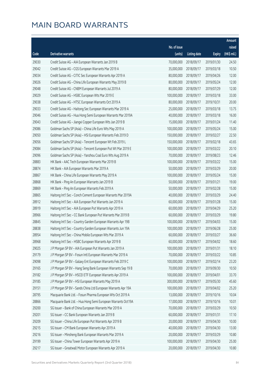|       |                                                              |              |                       |               | Amount      |
|-------|--------------------------------------------------------------|--------------|-----------------------|---------------|-------------|
|       |                                                              | No. of issue |                       |               | raised      |
| Code  | Derivative warrants                                          | (units)      | <b>Listing date</b>   | <b>Expiry</b> | (HK\$ mil.) |
| 29030 | Credit Suisse AG - AIA European Warrants Jan 2019 B          | 70,000,000   | 2018/09/17            | 2019/01/30    | 24.50       |
| 29042 | Credit Suisse AG - CGS European Warrants Mar 2019 A          | 35,000,000   | 2018/09/17            | 2019/03/18    | 10.50       |
| 29034 | Credit Suisse AG - CITIC Sec European Warrants Apr 2019 A    | 80,000,000   | 2018/09/17            | 2019/04/26    | 12.00       |
| 29026 | Credit Suisse AG - China Life European Warrants May 2019 B   | 80,000,000   | 2018/09/17            | 2019/05/24    | 12.00       |
| 29048 | Credit Suisse AG - CNBM European Warrants Jul 2019 A         | 80,000,000   | 2018/09/17            | 2019/07/29    | 12.00       |
| 29029 | Credit Suisse AG - HSBC European Wts Mar 2019 E              | 100,000,000  | 2018/09/17            | 2019/03/18    | 33.00       |
| 29038 | Credit Suisse AG - HTSC European Warrants Oct 2019 A         | 80,000,000   | 2018/09/17            | 2019/10/31    | 20.00       |
| 29033 | Credit Suisse AG - Haitong Sec European Warrants Mar 2019 A  | 25,000,000   | 2018/09/17            | 2019/03/18    | 13.75       |
| 29046 | Credit Suisse AG - Hua Hong Semi European Warrants Mar 2019A | 40,000,000   | 2018/09/17            | 2019/03/18    | 16.00       |
| 29043 | Credit Suisse AG - Jiangxi Copper European Wts Jan 2019 B    | 15,000,000   | 2018/09/17            | 2019/01/24    | 11.40       |
| 29086 | Goldman Sachs SP (Asia) - China Life Euro Wts May 2019 A     | 100,000,000  | 2018/09/17            | 2019/05/24    | 15.00       |
| 29050 | Goldman Sachs SP (Asia) - HSI European Warrants Feb 2019 D   | 150,000,000  | 2018/09/17            | 2019/02/27    | 22.50       |
| 29056 | Goldman Sachs SP (Asia) - Tencent European Wt Feb 2019 L     | 150,000,000  | 2018/09/17            | 2019/02/18    | 43.65       |
| 29084 | Goldman Sachs SP (Asia) - Tencent European Put Wt Mar 2019 E | 100,000,000  | 2018/09/17            | 2019/03/22    | 20.10       |
| 29096 | Goldman Sachs SP (Asia) - Yanzhou Coal Euro Wts Aug 2019 A   | 70,000,000   | 2018/09/17            | 2019/08/23    | 12.46       |
| 28883 | HK Bank - AAC Tech European Warrants Mar 2019 B              | 100,000,000  | 2018/09/17            | 2019/03/22    | 15.00       |
| 28874 | HK Bank - AIA European Warrants Mar 2019 A                   | 50,000,000   | 2018/09/17            | 2019/03/29    | 20.00       |
| 28867 | HK Bank - China Life European Warrants May 2019 A            | 100,000,000  | 2018/09/17            | 2019/05/24    | 15.00       |
| 28868 | HK Bank - Ping An European Warrants Jan 2019 B               | 50,000,000   | 2018/09/17            | 2019/01/21    | 19.00       |
| 28869 | HK Bank - Ping An European Warrants Feb 2019 A               | 50,000,000   | 2018/09/17            | 2019/02/28    | 15.00       |
| 28865 | Haitong Int'l Sec - Conch Cement European Warrants Mar 2019A | 40,000,000   | 2018/09/17            | 2019/03/29    | 24.40       |
| 28912 | Haitong Int'l Sec - AIA European Put Warrants Jan 2019 A     | 60,000,000   | 2018/09/17            | 2019/01/28    | 15.00       |
| 28919 | Haitong Int'l Sec - AIA European Put Warrants Apr 2019 A     | 60,000,000   | 2018/09/17            | 2019/04/29    | 25.20       |
| 28966 | Haitong Int'l Sec - CC Bank European Put Warrants Mar 2019 B | 60,000,000   | 2018/09/17            | 2019/03/29    | 19.80       |
| 28845 | Haitong Int'l Sec - Country Garden European Warrants Apr 19B | 100,000,000  | 2018/09/17            | 2019/04/03    | 15.00       |
| 28838 | Haitong Int'l Sec - Country Garden European Warrants Jun 19A | 100,000,000  | 2018/09/17            | 2019/06/28    | 25.00       |
| 28954 | Haitong Int'l Sec - China Mobile European Wts Mar 2019 A     |              | 60,000,000 2018/09/17 | 2019/03/27    | 36.60       |
| 28968 | Haitong Int'l Sec - HSBC European Warrants Apr 2019 B        | 60,000,000   | 2018/09/17            | 2019/04/02    | 18.60       |
| 29025 | J P Morgan SP BV - AIA European Put Warrants Jan 2019 A      | 100,000,000  | 2018/09/17            | 2019/01/31    | 18.10       |
| 29179 | J P Morgan SP BV - Fosun Intl European Warrants Mar 2019 A   | 70,000,000   | 2018/09/17            | 2019/03/22    | 10.85       |
| 29098 | J P Morgan SP BV - Galaxy Ent European Warrants Feb 2019 C   | 100,000,000  | 2018/09/17            | 2019/02/14    | 23.20       |
| 29165 | J P Morgan SP BV - Hang Seng Bank European Warrants Sep 19 B | 70,000,000   | 2018/09/17            | 2019/09/30    | 10.50       |
| 29182 | J P Morgan SP BV - HSCEI ETF European Warrants Apr 2019 A    | 100,000,000  | 2018/09/17            | 2019/04/01    | 33.70       |
| 29185 | J P Morgan SP BV - HSI European Warrants May 2019 A          | 300,000,000  | 2018/09/17            | 2019/05/30    | 45.60       |
| 29151 | J P Morgan SP BV - Sands China Ltd European Warrants Apr 19A | 100,000,000  | 2018/09/17            | 2019/04/02    | 25.20       |
| 28795 | Macquarie Bank Ltd. - Fosun Pharma European Wts Oct 2019 A   | 13,000,000   | 2018/09/17            | 2019/10/16    | 10.04       |
| 28866 | Macquarie Bank Ltd. - Hua Hong Semi European Warrants Oct19A | 17,000,000   | 2018/09/17            | 2019/10/16    | 10.01       |
| 29200 | SG Issuer - Bank of China European Warrants Mar 2019 A       | 70,000,000   | 2018/09/17            | 2019/03/29    | 10.50       |
| 29201 | SG Issuer - CC Bank European Warrants Jan 2019 B             | 60,000,000   | 2018/09/17            | 2019/01/31    | 17.10       |
| 29209 | SG Issuer - China Life European Put Warrants Apr 2019 B      | 20,000,000   | 2018/09/17            | 2019/04/30    | 10.00       |
| 29215 | SG Issuer - CM Bank European Warrants Apr 2019 A             | 40,000,000   | 2018/09/17            | 2019/04/30    | 13.00       |
| 29216 | SG Issuer - Minsheng Bank European Warrants Mar 2019 A       | 20,000,000   | 2018/09/17            | 2019/03/29    | 10.80       |
| 29199 | SG Issuer - China Tower European Warrants Apr 2019 A         | 100,000,000  | 2018/09/17            | 2019/04/30    | 25.00       |
| 29217 | SG Issuer - Greatwall Motor European Warrants Apr 2019 A     | 20,000,000   | 2018/09/17            | 2019/04/30    | 10.80       |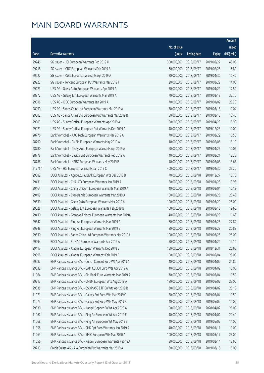|         |                                                              |                        |                     |               | Amount      |
|---------|--------------------------------------------------------------|------------------------|---------------------|---------------|-------------|
|         |                                                              | No. of issue           |                     |               | raised      |
| Code    | Derivative warrants                                          | (units)                | <b>Listing date</b> | <b>Expiry</b> | (HK\$ mil.) |
| 29246   | SG Issuer - HSI European Warrants Feb 2019 H                 | 300,000,000            | 2018/09/17          | 2019/02/27    | 45.00       |
| 29218   | SG Issuer - ICBC European Warrants Feb 2019 A                | 60,000,000             | 2018/09/17          | 2019/02/28    | 16.80       |
| 29222   | SG Issuer - PSBC European Warrants Apr 2019 A                | 20,000,000             | 2018/09/17          | 2019/04/30    | 10.40       |
| 29223   | SG Issuer - Tencent European Put Warrants Mar 2019 F         | 20,000,000             | 2018/09/17          | 2019/03/29    | 14.00       |
| 29023   | UBS AG - Geely Auto European Warrants Apr 2019 A             | 50,000,000             | 2018/09/17          | 2019/04/29    | 12.50       |
| 28972   | UBS AG - Galaxy Ent European Warrants Mar 2019 A             | 70,000,000             | 2018/09/17          | 2019/03/18    | 32.76       |
| 29016   | UBS AG - ICBC European Warrants Jan 2019 A                   | 70,000,000             | 2018/09/17          | 2019/01/02    | 28.28       |
| 28999   | UBS AG - Sands China Ltd European Warrants Mar 2019 A        | 70,000,000             | 2018/09/17          | 2019/03/18    | 19.04       |
| 29002   | UBS AG - Sands China Ltd European Put Warrants Mar 2019 B    | 50,000,000             | 2018/09/17          | 2019/03/18    | 13.40       |
| 29003   | UBS AG - Sunny Optical European Warrants Apr 2019 A          | 100,000,000            | 2018/09/17          | 2019/04/29    | 18.90       |
| 29021   | UBS AG - Sunny Optical European Put Warrants Dec 2019 A      | 40,000,000             | 2018/09/17          | 2019/12/23    | 10.00       |
| 28776   | Bank Vontobel - AAC Tech European Warrants Mar 2019 A        | 70,000,000             | 2018/09/17          | 2019/03/22    | 10.50       |
| 28790   | Bank Vontobel - CNBM European Warrants May 2019 A            | 10,000,000             | 2018/09/17          | 2019/05/06    | 13.19       |
| 28780   | Bank Vontobel - Geely Auto European Warrants Apr 2019 A      | 60,000,000             | 2018/09/17          | 2019/04/25    | 10.02       |
| 28778   | Bank Vontobel - Galaxy Ent European Warrants Feb 2019 A      | 40,000,000             | 2018/09/17          | 2019/02/21    | 12.28       |
| 28786   | Bank Vontobel - HSBC European Warrants May 2019 B            | 40,000,000             | 2018/09/17          | 2019/05/03    | 13.68       |
| 21776 # | UBS AG - HSI European Warrants Jan 2019 C                    | 400,000,000            | 2018/09/17          | 2019/01/30    | 25.20       |
| 29382   | BOCI Asia Ltd. - Agricultural Bank European Wts Dec 2018 B   | 70,000,000             | 2018/09/18          | 2018/12/27    | 10.78       |
| 29431   | BOCI Asia Ltd. - CHALCO European Warrants Jan 2019 A         | 50,000,000             | 2018/09/18          | 2019/01/28    | 13.95       |
| 29464   | BOCI Asia Ltd. - China Unicom European Warrants Mar 2019 A   | 40,000,000             | 2018/09/18          | 2019/03/04    | 10.12       |
| 29499   | BOCI Asia Ltd. - Evergrande European Warrants Mar 2019 A     | 100,000,000            | 2018/09/18          | 2019/03/26    | 20.40       |
| 29539   | BOCI Asia Ltd. - Geely Auto European Warrants Mar 2019 A     | 100,000,000            | 2018/09/18          | 2019/03/29    | 25.00       |
| 29528   | BOCI Asia Ltd. - Galaxy Ent European Warrants Feb 2019 B     | 100,000,000            | 2018/09/18          | 2019/02/18    | 19.60       |
| 29430   | BOCI Asia Ltd. - Greatwall Motor European Warrants Mar 2019A | 40,000,000             | 2018/09/18          | 2019/03/29    | 11.68       |
| 29342   | BOCI Asia Ltd. - Ping An European Warrants Mar 2019 A        | 80,000,000             | 2018/09/18          | 2019/03/25    | 27.84       |
| 29348   | BOCI Asia Ltd. - Ping An European Warrants Mar 2019 B        | 80,000,000             | 2018/09/18          | 2019/03/29    | 20.88       |
| 29530   | BOCI Asia Ltd. - Sands China Ltd European Warrants Mar 2019A | 100,000,000 2018/09/18 |                     | 2019/03/25    | 25.00       |
| 29494   | BOCI Asia Ltd. - SUNAC European Warrants Apr 2019 A          | 50,000,000             | 2018/09/18          | 2019/04/24    | 14.10       |
| 29417   | BOCI Asia Ltd. - Xiaomi European Warrants Dec 2018 B         | 150,000,000            | 2018/09/18          | 2018/12/31    | 25.65       |
| 29398   | BOCI Asia Ltd. - Xiaomi European Warrants Feb 2019 B         | 150,000,000            | 2018/09/18          | 2019/02/04    | 25.05       |
| 29287   | BNP Paribas Issuance B.V. - Conch Cement Euro Wt Apr 2019 A  | 40,000,000             | 2018/09/18          | 2019/04/02    | 24.80       |
| 29332   | BNP Paribas Issuance B.V. - CAM CSI300 Euro Wts Apr 2019 A   | 40,000,000             | 2018/09/18          | 2019/04/02    | 10.00       |
| 11064   | BNP Paribas Issuance B.V. - CM Bank Euro Warrants Mar 2019 A | 70,000,000             | 2018/09/18          | 2019/03/04    | 10.50       |
| 29313   | BNP Paribas Issuance B.V. - CNBM European Wts Aug 2019 A     | 180,000,000            | 2018/09/18          | 2019/08/02    | 27.00       |
| 29338   | BNP Paribas Issuance B.V. - CSOP A50 ETF Eu Wts Apr 2019 B   | 30,000,000             | 2018/09/18          | 2019/04/02    | 20.10       |
| 11071   | BNP Paribas Issuance B.V. - Galaxy Ent Euro Wts Mar 2019 C   | 50,000,000             | 2018/09/18          | 2019/03/04    | 10.50       |
| 11073   | BNP Paribas Issuance B.V. - Galaxy Ent Euro Wts May 2019 B   | 40,000,000             | 2018/09/18          | 2019/05/02    | 14.00       |
| 29330   | BNP Paribas Issuance B.V. - Jiangxi Copper Eu Wt Apr 2020 A  | 100,000,000            | 2018/09/18          | 2020/04/02    | 25.00       |
| 11067   | BNP Paribas Issuance B.V. - Ping An European Wt Apr 2019 E   | 40,000,000             | 2018/09/18          | 2019/04/02    | 20.40       |
| 11068   | BNP Paribas Issuance B.V. - Ping An European Wt May 2019 B   | 40,000,000             | 2018/09/18          | 2019/05/02    | 14.00       |
| 11058   | BNP Paribas Issuance B.V. - SHK Ppt Euro Warrants Jan 2019 A | 40,000,000             | 2018/09/18          | 2019/01/11    | 10.00       |
| 11063   | BNP Paribas Issuance B.V. - SMIC European Wts Mar 2020 A     | 100,000,000            | 2018/09/18          | 2020/03/17    | 23.00       |
| 11056   | BNP Paribas Issuance B.V. - Xiaomi European Warrants Feb 19A | 80,000,000             | 2018/09/18          | 2019/02/14    | 13.60       |
| 29713   | Credit Suisse AG - AIA European Put Warrants Mar 2019 A      | 60,000,000             | 2018/09/18          | 2019/03/18    | 15.00       |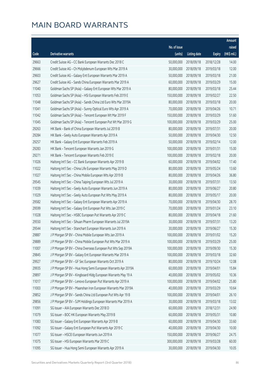|       |                                                              |                        |                     |               | Amount      |
|-------|--------------------------------------------------------------|------------------------|---------------------|---------------|-------------|
|       |                                                              | No. of issue           |                     |               | raised      |
| Code  | Derivative warrants                                          | (units)                | <b>Listing date</b> | <b>Expiry</b> | (HK\$ mil.) |
| 29663 | Credit Suisse AG - CC Bank European Warrants Dec 2018 C      | 50,000,000             | 2018/09/18          | 2018/12/28    | 14.00       |
| 29666 | Credit Suisse AG - Ch Molybdenum European Wts Mar 2019 A     | 30,000,000             | 2018/09/18          | 2019/03/18    | 12.00       |
| 29603 | Credit Suisse AG - Galaxy Ent European Warrants Mar 2019 A   | 50,000,000             | 2018/09/18          | 2019/03/18    | 21.00       |
| 29627 | Credit Suisse AG - Sands China European Warrants Mar 2019 A  | 60,000,000             | 2018/09/18          | 2019/03/29    | 15.00       |
| 11040 | Goldman Sachs SP (Asia) - Galaxy Ent European Wts Mar 2019 A | 80,000,000             | 2018/09/18          | 2019/03/18    | 25.44       |
| 11053 | Goldman Sachs SP (Asia) - HSI European Warrants Feb 2019 E   | 150,000,000            | 2018/09/18          | 2019/02/27    | 22.50       |
| 11048 | Goldman Sachs SP (Asia) - Sands China Ltd Euro Wts Mar 2019A | 80,000,000             | 2018/09/18          | 2019/03/18    | 20.00       |
| 11041 | Goldman Sachs SP (Asia) - Sunny Optical Euro Wts Apr 2019 A  | 70,000,000             | 2018/09/18          | 2019/04/26    | 10.71       |
| 11042 | Goldman Sachs SP (Asia) - Tencent European Wt Mar 2019 F     | 150,000,000            | 2018/09/18          | 2019/03/29    | 51.60       |
| 11045 | Goldman Sachs SP (Asia) - Tencent European Put Wt Mar 2019 G | 100,000,000            | 2018/09/18          | 2019/03/29    | 25.00       |
| 29263 | HK Bank - Bank of China European Warrants Jul 2019 B         | 80,000,000             | 2018/09/18          | 2019/07/31    | 20.00       |
| 29284 | HK Bank - Geely Auto European Warrants Apr 2019 A            | 50,000,000             | 2018/09/18          | 2019/04/30    | 12.50       |
| 29257 | HK Bank - Galaxy Ent European Warrants Feb 2019 A            | 50,000,000             | 2018/09/18          | 2019/02/14    | 12.00       |
| 29283 | HK Bank - Tencent European Warrants Jan 2019 G               | 100,000,000            | 2018/09/18          | 2019/01/31    | 15.00       |
| 29271 | HK Bank - Tencent European Warrants Feb 2019 E               | 100,000,000            | 2018/09/18          | 2019/02/18    | 20.00       |
| 11026 | Haitong Int'l Sec - CC Bank European Warrants Apr 2019 B     | 60,000,000             | 2018/09/18          | 2019/04/02    | 17.40       |
| 11022 | Haitong Int'l Sec - China Life European Warrants May 2019 D  | 80,000,000             | 2018/09/18          | 2019/05/24    | 13.60       |
| 11027 | Haitong Int'l Sec - China Mobile European Wts Apr 2019 B     | 80,000,000             | 2018/09/18          | 2019/04/26    | 36.80       |
| 29545 | Haitong Int'l Sec - China Taiping European Wts Jul 2019 A    | 30,000,000             | 2018/09/18          | 2019/07/31    | 13.50       |
| 11039 | Haitong Int'l Sec - Geely Auto European Warrants Jun 2019 A  | 80,000,000             | 2018/09/18          | 2019/06/27    | 20.80       |
| 11029 | Haitong Int'l Sec - Geely Auto European Put Wts May 2019 A   | 80,000,000             | 2018/09/18          | 2019/05/17    | 20.00       |
| 29582 | Haitong Int'l Sec - Galaxy Ent European Warrants Apr 2019 A  | 70,000,000             | 2018/09/18          | 2019/04/30    | 28.70       |
| 29599 | Haitong Int'l Sec - Galaxy Ent European Put Wts Jan 2019 C   | 70,000,000             | 2018/09/18          | 2019/01/24    | 23.10       |
| 11028 | Haitong Int'l Sec - HSBC European Put Warrants Apr 2019 C    | 80,000,000             | 2018/09/18          | 2019/04/18    | 21.60       |
| 29550 | Haitong Int'l Sec - Sihuan Pharm European Warrants Jul 2019A | 30,000,000             | 2018/09/18          | 2019/07/31    | 13.20       |
| 29544 | Haitong Int'l Sec - Stanchart European Warrants Jun 2019 A   | 30,000,000             | 2018/09/18          | 2019/06/27    | 15.30       |
| 29887 | J P Morgan SP BV - China Mobile European Wts Jan 2019 A      | 100,000,000 2018/09/18 |                     | 2019/01/02    | 15.20       |
| 29889 | J P Morgan SP BV - China Mobile European Put Wts Mar 2019 A  | 100,000,000            | 2018/09/18          | 2019/03/29    | 25.00       |
| 11007 | J P Morgan SP BV - China Overseas European Put Wts Sep 2019A | 100,000,000            | 2018/09/18          | 2019/09/30    | 15.30       |
| 29845 | J P Morgan SP BV - Galaxy Ent European Warrants Mar 2019 A   | 100,000,000            | 2018/09/18          | 2019/03/18    | 32.60       |
| 29927 | J P Morgan SP BV - GF Sec European Warrants Oct 2019 A       | 80,000,000             | 2018/09/18          | 2019/10/24    | 12.08       |
| 29935 | J P Morgan SP BV - Hua Hong Semi European Warrants Apr 2019A | 60,000,000             | 2018/09/18          | 2019/04/01    | 15.84       |
| 29897 | J P Morgan SP BV - Kingboard Hldg European Warrants May 19 A | 40,000,000             | 2018/09/18          | 2019/05/02    | 10.36       |
| 11017 | J P Morgan SP BV - Lenovo European Put Warrants Apr 2019 A   | 100,000,000            | 2018/09/18          | 2019/04/02    | 25.80       |
| 11003 | J P Morgan SP BV - Maanshan Iron European Warrants Mar 2019A | 40,000,000             | 2018/09/18          | 2019/03/29    | 10.64       |
| 29852 | J P Morgan SP BV - Sands China Ltd European Put Wts Apr 19 B | 100,000,000            | 2018/09/18          | 2019/04/01    | 26.10       |
| 29856 | J P Morgan SP BV - SJM Holdings European Warrants Mar 2019 A | 30,000,000             | 2018/09/18          | 2019/03/18    | 13.02       |
| 11091 | SG Issuer - AIA European Warrants Dec 2018 D                 | 60,000,000             | 2018/09/18          | 2018/12/31    | 24.90       |
| 11079 | SG Issuer - BOC HK European Warrants May 2019 B              | 60,000,000             | 2018/09/18          | 2019/05/31    | 10.80       |
| 11083 | SG Issuer - Galaxy Ent European Warrants Apr 2019 B          | 60,000,000             | 2018/09/18          | 2019/04/30    | 33.60       |
| 11092 | SG Issuer - Galaxy Ent European Put Warrants Apr 2019 C      | 40,000,000             | 2018/09/18          | 2019/04/30    | 10.00       |
| 11077 | SG Issuer - HSCEI European Warrants Jun 2019 A               | 150,000,000            | 2018/09/18          | 2019/06/27    | 24.75       |
| 11075 | SG Issuer - HSI European Warrants Mar 2019 C                 | 300,000,000            | 2018/09/18          | 2019/03/28    | 60.00       |
| 11095 | SG Issuer - Hua Hong Semi European Warrants Apr 2019 A       | 30,000,000             | 2018/09/18          | 2019/04/30    | 10.05       |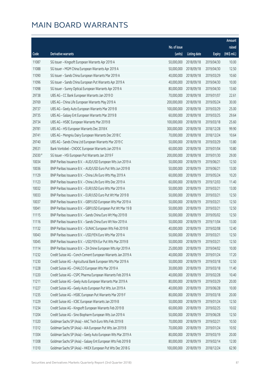|         |                                                              |              |                       |               | Amount       |
|---------|--------------------------------------------------------------|--------------|-----------------------|---------------|--------------|
|         |                                                              | No. of issue |                       |               | raised       |
| Code    | <b>Derivative warrants</b>                                   | (units)      | <b>Listing date</b>   | <b>Expiry</b> | $(HK$$ mil.) |
| 11087   | SG Issuer - Kingsoft European Warrants Apr 2019 A            | 50,000,000   | 2018/09/18            | 2019/04/30    | 10.00        |
| 11088   | SG Issuer - MGM China European Warrants Apr 2019 A           | 50,000,000   | 2018/09/18            | 2019/04/30    | 12.50        |
| 11090   | SG Issuer - Sands China European Warrants Mar 2019 A         | 40,000,000   | 2018/09/18            | 2019/03/29    | 10.60        |
| 11096   | SG Issuer - Sands China European Put Warrants Apr 2019 A     | 40,000,000   | 2018/09/18            | 2019/04/30    | 10.00        |
| 11098   | SG Issuer - Sunny Optical European Warrants Apr 2019 A       | 80,000,000   | 2018/09/18            | 2019/04/30    | 13.60        |
| 29738   | UBS AG - CC Bank European Warrants Jan 2019 D                | 70,000,000   | 2018/09/18            | 2019/01/07    | 22.61        |
| 29769   | UBS AG - China Life European Warrants May 2019 A             | 200,000,000  | 2018/09/18            | 2019/05/24    | 30.00        |
| 29737   | UBS AG - Geely Auto European Warrants Mar 2019 B             | 100,000,000  | 2018/09/18            | 2019/03/29    | 25.00        |
| 29735   | UBS AG - Galaxy Ent European Warrants Mar 2019 B             | 60,000,000   | 2018/09/18            | 2019/03/25    | 29.64        |
| 29734   | UBS AG - HSBC European Warrants Mar 2019 B                   | 100,000,000  | 2018/09/18            | 2019/03/18    | 25.60        |
| 29781   | UBS AG - HSI European Warrants Dec 2018 K                    | 300,000,000  | 2018/09/18            | 2018/12/28    | 99.90        |
| 29741   | UBS AG - Mengniu Dairy European Warrants Dec 2018 C          | 70,000,000   | 2018/09/18            | 2018/12/24    | 10.64        |
| 29740   | UBS AG - Sands China Ltd European Warrants Mar 2019 C        | 50,000,000   | 2018/09/18            | 2019/03/29    | 13.80        |
| 29531   | Bank Vontobel - CNOOC European Warrants Jan 2019 A           | 60,000,000   | 2018/09/18            | 2019/01/04    | 10.80        |
| 25030 # | SG Issuer - HSI European Put Warrants Jan 2019 F             | 200,000,000  | 2018/09/18            | 2019/01/30    | 29.00        |
| 10034   | BNP Paribas Issuance B.V. - AUD/USD European Wts Jun 2019 A  | 50,000,000   | 2018/09/19            | 2019/06/21    | 12.50        |
| 10036   | BNP Paribas Issuance B.V. - AUD/USD Euro Put Wts Jun 2019 B  | 50,000,000   | 2018/09/19            | 2019/06/21    | 13.00        |
| 11129   | BNP Paribas Issuance B.V. - China Life Euro Wts May 2019 A   | 60,000,000   | 2018/09/19            | 2019/05/24    | 10.20        |
| 11123   | BNP Paribas Issuance B.V. - China Life Euro Wts Dec 2019 A   | 60,000,000   | 2018/09/19            | 2019/12/03    | 11.40        |
| 10032   | BNP Paribas Issuance B.V. - EUR/USD Euro Wts Mar 2019 A      | 50,000,000   | 2018/09/19            | 2019/03/21    | 13.00        |
| 10033   | BNP Paribas Issuance B.V. - EUR/USD Euro Put Wt Mar 2019 B   | 50,000,000   | 2018/09/19            | 2019/03/21    | 12.50        |
| 10037   | BNP Paribas Issuance B.V. - GBP/USD European Wts Mar 2019 A  | 50,000,000   | 2018/09/19            | 2019/03/21    | 12.50        |
| 10041   | BNP Paribas Issuance B.V. - GBP/USD European Put Wt Mar 19 B | 50,000,000   | 2018/09/19            | 2019/03/21    | 12.50        |
| 11115   | BNP Paribas Issuance B.V. - Sands China Euro Wt May 2019 B   | 50,000,000   | 2018/09/19            | 2019/05/02    | 12.50        |
| 11116   | BNP Paribas Issuance B.V. - Sands China Euro Wt Nov 2019 A   | 50,000,000   | 2018/09/19            | 2019/11/04    | 13.00        |
| 11132   | BNP Paribas Issuance B.V. - SUNAC European Wts Feb 2019 B    | 40,000,000   | 2018/09/19            | 2019/02/08    | 12.40        |
| 10043   | BNP Paribas Issuance B.V. - USD/YEN Euro Wts Mar 2019 A      |              | 50,000,000 2018/09/19 | 2019/03/21    | 12.50        |
| 10045   | BNP Paribas Issuance B.V. - USD/YEN Eur Put Wts Mar 2019 B   | 50,000,000   | 2018/09/19            | 2019/03/21    | 12.50        |
| 11114   | BNP Paribas Issuance B.V. - ZA Onine European Wts Apr 2019 A | 25,000,000   | 2018/09/19            | 2019/04/02    | 10.00        |
| 11232   | Credit Suisse AG - Conch Cement European Warrants Jan 2019 A | 40,000,000   | 2018/09/19            | 2019/01/24    | 17.20        |
| 11230   | Credit Suisse AG - Agricultural Bank European Wts Mar 2019 A | 50,000,000   | 2018/09/19            | 2019/03/18    | 12.50        |
| 11228   | Credit Suisse AG - CHALCO European Wts Mar 2019 A            | 30,000,000   | 2018/09/19            | 2019/03/18    | 11.40        |
| 11220   | Credit Suisse AG - CSPC Pharma European Warrants Feb 2019 A  | 40,000,000   | 2018/09/19            | 2019/02/28    | 10.40        |
| 11211   | Credit Suisse AG - Geely Auto European Warrants Mar 2019 A   | 80,000,000   | 2018/09/19            | 2019/03/29    | 20.00        |
| 11227   | Credit Suisse AG - Geely Auto European Put Wts Jun 2019 A    | 40,000,000   | 2018/09/19            | 2019/06/28    | 10.00        |
| 11235   | Credit Suisse AG - HSBC European Put Warrants Mar 2019 F     | 80,000,000   | 2018/09/19            | 2019/03/18    | 20.00        |
| 11229   | Credit Suisse AG - ICBC European Warrants Jan 2019 B         | 50,000,000   | 2018/09/19            | 2019/01/24    | 12.50        |
| 11234   | Credit Suisse AG - Kingsoft European Warrants Feb 2019 B     | 60,000,000   | 2018/09/19            | 2019/02/25    | 10.02        |
| 11204   | Credit Suisse AG - Sino Biopharm European Wts Jun 2019 A     | 50,000,000   | 2018/09/19            | 2019/06/28    | 12.50        |
| 11320   | Goldman Sachs SP (Asia) - AAC Tech Euro Wts Feb 2019 B       | 70,000,000   | 2018/09/19            | 2019/02/21    | 10.50        |
| 11312   | Goldman Sachs SP (Asia) - AIA European Put Wts Jan 2019 B    | 70,000,000   | 2018/09/19            | 2019/01/24    | 10.92        |
| 11304   | Goldman Sachs SP (Asia) - Geely Auto European Wts Mar 2019 A | 80,000,000   | 2018/09/19            | 2019/03/19    | 20.00        |
| 11308   | Goldman Sachs SP (Asia) - Galaxy Ent European Wts Feb 2019 B | 80,000,000   | 2018/09/19            | 2019/02/14    | 12.00        |
| 11310   | Goldman Sachs SP (Asia) - HKEX European Put Wts Dec 2018 G   | 100,000,000  | 2018/09/19            | 2018/12/24    | 62.90        |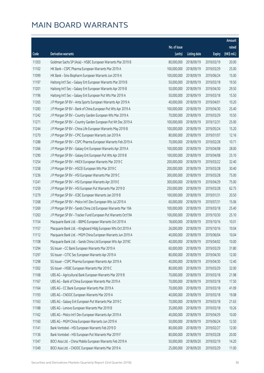|       |                                                              |              |                       |               | Amount      |
|-------|--------------------------------------------------------------|--------------|-----------------------|---------------|-------------|
|       |                                                              | No. of issue |                       |               | raised      |
| Code  | Derivative warrants                                          | (units)      | <b>Listing date</b>   | <b>Expiry</b> | (HK\$ mil.) |
| 11303 | Goldman Sachs SP (Asia) - HSBC European Warrants Mar 2019 B  | 80,000,000   | 2018/09/19            | 2019/03/19    | 20.00       |
| 11102 | HK Bank - CSPC Pharma European Warrants Mar 2019 A           | 100,000,000  | 2018/09/19            | 2019/03/29    | 25.00       |
| 11099 | HK Bank - Sino Biopharm European Warrants Jun 2019 A         | 100,000,000  | 2018/09/19            | 2019/06/24    | 15.00       |
| 11197 | Haitong Int'l Sec - Galaxy Ent European Warrants Mar 2019 B  | 50,000,000   | 2018/09/19            | 2019/03/18    | 19.50       |
| 11201 | Haitong Int'l Sec - Galaxy Ent European Warrants Apr 2019 B  | 50,000,000   | 2018/09/19            | 2019/04/30    | 29.50       |
| 11196 | Haitong Int'l Sec - Galaxy Ent European Put Wts Mar 2019 A   | 50,000,000   | 2018/09/19            | 2019/03/18    | 15.50       |
| 11265 | J P Morgan SP BV - Anta Sports European Warrants Apr 2019 A  | 40,000,000   | 2018/09/19            | 2019/04/01    | 10.20       |
| 11283 | J P Morgan SP BV - Bank of China European Put Wts Apr 2019 A | 100,000,000  | 2018/09/19            | 2019/04/30    | 25.40       |
| 11242 | J P Morgan SP BV - Country Garden European Wts Mar 2019 A    | 70,000,000   | 2018/09/19            | 2019/03/29    | 10.50       |
| 11271 | J P Morgan SP BV - Country Garden European Put Wt Dec 2019 A | 100,000,000  | 2018/09/19            | 2019/12/31    | 25.00       |
| 11244 | J P Morgan SP BV - China Life European Warrants May 2019 B   | 100,000,000  | 2018/09/19            | 2019/05/24    | 15.20       |
| 11270 | J P Morgan SP BV - CPIC European Warrants Jan 2019 A         | 80,000,000   | 2018/09/19            | 2019/01/07    | 12.16       |
| 11288 | J P Morgan SP BV - CSPC Pharma European Warrants Feb 2019 A  | 70,000,000   | 2018/09/19            | 2019/02/28    | 10.71       |
| 11266 | J P Morgan SP BV - Galaxy Ent European Warrants Apr 2019 A   | 100,000,000  | 2018/09/19            | 2019/04/08    | 28.00       |
| 11290 | J P Morgan SP BV - Galaxy Ent European Put Wts Apr 2019 B    | 100,000,000  | 2018/09/19            | 2019/04/08    | 25.10       |
| 11254 | J P Morgan SP BV - HKEX European Warrants Mar 2019 C         | 200,000,000  | 2018/09/19            | 2019/03/22    | 32.40       |
| 11258 | J P Morgan SP BV - HSCEI European Wts Mar 2019 C             | 200,000,000  | 2018/09/19            | 2019/03/28    | 30.40       |
| 11236 | J P Morgan SP BV - HSI European Warrants Mar 2019 C          | 300,000,000  | 2018/09/19            | 2019/03/28    | 75.00       |
| 11241 | J P Morgan SP BV - HSI European Warrants Apr 2019 E          | 300,000,000  | 2018/09/19            | 2019/04/29    | 75.00       |
| 11259 | J P Morgan SP BV - HSI European Put Warrants Mar 2019 D      | 250,000,000  | 2018/09/19            | 2019/03/28    | 62.75       |
| 11279 | J P Morgan SP BV - ICBC European Warrants Jan 2019 B         | 100,000,000  | 2018/09/19            | 2019/01/31    | 20.50       |
| 11268 | J P Morgan SP BV - Melco Int'l Dev European Wts Jul 2019 A   | 60,000,000   | 2018/09/19            | 2019/07/31    | 15.06       |
| 11269 | J P Morgan SP BV - Sands China Ltd European Warrants Mar 19A | 100,000,000  | 2018/09/19            | 2019/03/18    | 25.40       |
| 11263 | J P Morgan SP BV - Tracker Fund European Put Warrants Oct19A | 100,000,000  | 2018/09/19            | 2019/10/30    | 25.10       |
| 11154 | Macquarie Bank Ltd. - BBMG European Warrants Oct 2019 A      | 18,600,000   | 2018/09/19            | 2019/10/16    | 10.01       |
| 11157 | Macquarie Bank Ltd. - Kingboard Hldg European Wts Oct 2019 A | 26,000,000   | 2018/09/19            | 2019/10/16    | 10.04       |
| 11112 | Macquarie Bank Ltd. - MGM China European Warrants Jun 2019 A |              | 40,000,000 2018/09/19 | 2019/06/04    | 10.04       |
| 11108 | Macquarie Bank Ltd. - Sands China Ltd European Wts Apr 2019C | 40,000,000   | 2018/09/19            | 2019/04/02    | 10.00       |
| 11294 | SG Issuer - CC Bank European Warrants Mar 2019 A             | 60,000,000   | 2018/09/19            | 2019/03/29    | 31.80       |
| 11297 | SG Issuer - CITIC Sec European Warrants Apr 2019 A           | 80,000,000   | 2018/09/19            | 2019/04/30    | 12.00       |
| 11298 | SG Issuer - CSPC Pharma European Warrants Apr 2019 A         | 40,000,000   | 2018/09/19            | 2019/04/30    | 12.40       |
| 11302 | SG Issuer - HSBC European Warrants Mar 2019 C                | 80,000,000   | 2018/09/19            | 2019/03/29    | 32.00       |
| 11168 | UBS AG - Agricultural Bank European Warrants Mar 2019 B      | 70,000,000   | 2018/09/19            | 2019/03/18    | 21.98       |
| 11167 | UBS AG - Bank of China European Warrants Mar 2019 A          | 70,000,000   | 2018/09/19            | 2019/03/18    | 17.50       |
| 11164 | UBS AG - CC Bank European Warrants Mar 2019 A                | 70,000,000   | 2018/09/19            | 2019/03/18    | 41.09       |
| 11193 | UBS AG - CNOOC European Warrants Mar 2019 A                  | 40,000,000   | 2018/09/19            | 2019/03/18    | 19.08       |
| 11163 | UBS AG - Galaxy Ent European Put Warrants Mar 2019 C         | 70,000,000   | 2018/09/19            | 2019/03/18    | 21.63       |
| 11188 | UBS AG - Lenovo European Warrants Mar 2019 B                 | 35,000,000   | 2018/09/19            | 2019/03/18    | 10.26       |
| 11162 | UBS AG - Melco Int'l Dev European Warrants Apr 2019 A        | 40,000,000   | 2018/09/19            | 2019/04/29    | 10.00       |
| 11160 | UBS AG - MGM China European Warrants Jun 2019 A              | 50,000,000   | 2018/09/19            | 2019/06/24    | 12.50       |
| 11141 | Bank Vontobel - HSI European Warrants Feb 2019 D             | 80,000,000   | 2018/09/19            | 2019/02/27    | 12.00       |
| 11136 | Bank Vontobel - HSI European Put Warrants Mar 2019 F         | 80,000,000   | 2018/09/19            | 2019/03/28    | 20.00       |
| 11347 | BOCI Asia Ltd. - China Mobile European Warrants Feb 2019 A   | 50,000,000   | 2018/09/20            | 2019/02/19    | 14.20       |
| 11349 | BOCI Asia Ltd. - CNOOC European Warrants Mar 2019 A          | 25,000,000   | 2018/09/20            | 2019/03/29    | 11.00       |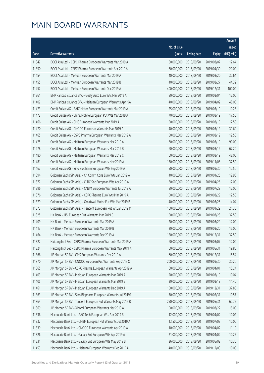|       |                                                              |                        |                     |               | Amount      |
|-------|--------------------------------------------------------------|------------------------|---------------------|---------------|-------------|
|       |                                                              | No. of issue           |                     |               | raised      |
| Code  | <b>Derivative warrants</b>                                   | (units)                | <b>Listing date</b> | <b>Expiry</b> | (HK\$ mil.) |
| 11342 | BOCI Asia Ltd. - CSPC Pharma European Warrants Mar 2019 A    | 80,000,000             | 2018/09/20          | 2019/03/07    | 12.64       |
| 11350 | BOCI Asia Ltd. - CSPC Pharma European Warrants Apr 2019 A    | 80,000,000             | 2018/09/20          | 2019/04/30    | 20.00       |
| 11454 | BOCI Asia Ltd. - Meituan European Warrants Mar 2019 A        | 40,000,000             | 2018/09/20          | 2019/03/20    | 32.64       |
| 11455 | BOCI Asia Ltd. - Meituan European Warrants Mar 2019 B        | 40,000,000             | 2018/09/20          | 2019/03/27    | 44.32       |
| 11457 | BOCI Asia Ltd. - Meituan European Warrants Dec 2019 A        | 400,000,000            | 2018/09/20          | 2019/12/31    | 100.00      |
| 11361 | BNP Paribas Issuance B.V. - Geely Auto Euro Wts Mar 2019 A   | 80,000,000             | 2018/09/20          | 2019/03/04    | 12.00       |
| 11402 | BNP Paribas Issuance B.V. - Meituan European Warrants Apr19A | 40,000,000             | 2018/09/20          | 2019/04/02    | 48.00       |
| 11473 | Credit Suisse AG - BAIC Motor European Warrants Mar 2019 A   | 25,000,000             | 2018/09/20          | 2019/03/19    | 10.25       |
| 11472 | Credit Suisse AG - China Mobile European Put Wts Mar 2019 A  | 70,000,000             | 2018/09/20          | 2019/03/19    | 17.50       |
| 11466 | Credit Suisse AG - CMS European Warrants Mar 2019 A          | 50,000,000             | 2018/09/20          | 2019/03/19    | 12.50       |
| 11470 | Credit Suisse AG - CNOOC European Warrants Mar 2019 A        | 40,000,000             | 2018/09/20          | 2019/03/19    | 31.60       |
| 11465 | Credit Suisse AG - CSPC Pharma European Warrants Mar 2019 A  | 50,000,000             | 2018/09/20          | 2019/03/19    | 12.50       |
| 11475 | Credit Suisse AG - Meituan European Warrants Mar 2019 A      | 60,000,000             | 2018/09/20          | 2019/03/19    | 90.00       |
| 11478 | Credit Suisse AG - Meituan European Warrants Mar 2019 B      | 60,000,000             | 2018/09/20          | 2019/03/19    | 67.20       |
| 11480 | Credit Suisse AG - Meituan European Warrants Mar 2019 C      | 60,000,000             | 2018/09/20          | 2019/03/19    | 48.00       |
| 11481 | Credit Suisse AG - Meituan European Warrants Nov 2019 A      | 150,000,000            | 2018/09/20          | 2019/11/08    | 37.50       |
| 11467 | Credit Suisse AG - Sino Biopharm European Wts Sep 2019 A     | 50,000,000             | 2018/09/20          | 2019/09/30    | 12.50       |
| 11394 | Goldman Sachs SP (Asia) - Ch Comm Cons Euro Wts Jan 2019 A   | 40,000,000             | 2018/09/20          | 2019/01/25    | 12.96       |
| 11377 | Goldman Sachs SP (Asia) - CITIC Sec European Wts Apr 2019 A  | 80,000,000             | 2018/09/20          | 2019/04/26    | 12.00       |
| 11396 | Goldman Sachs SP (Asia) - CNBM European Warrants Jul 2019 A  | 80,000,000             | 2018/09/20          | 2019/07/29    | 12.00       |
| 11376 | Goldman Sachs SP (Asia) - CSPC Pharma Euro Wts Mar 2019 A    | 50,000,000             | 2018/09/20          | 2019/03/29    | 12.50       |
| 11379 | Goldman Sachs SP (Asia) - Greatwall Motor Eur Wts Mar 2019 B | 40,000,000             | 2018/09/20          | 2019/03/26    | 14.04       |
| 11373 | Goldman Sachs SP (Asia) - Tencent European Put Wt Jan 2019 M | 100,000,000            | 2018/09/20          | 2019/01/29    | 21.30       |
| 11325 | HK Bank - HSI European Put Warrants Mar 2019 C               | 150,000,000            | 2018/09/20          | 2019/03/28    | 37.50       |
| 11409 | HK Bank - Meituan European Warrants Mar 2019 A               | 20,000,000             | 2018/09/20          | 2019/03/29    | 12.00       |
| 11413 | HK Bank - Meituan European Warrants Mar 2019 B               | 20,000,000             | 2018/09/20          | 2019/03/20    | 15.00       |
| 11464 | HK Bank - Meituan European Warrants Dec 2019 A               | 150,000,000 2018/09/20 |                     | 2019/12/31    | 37.50       |
| 11322 | Haitong Int'l Sec - CSPC Pharma European Warrants Mar 2019 A | 60,000,000             | 2018/09/20          | 2019/03/07    | 12.00       |
| 11324 | Haitong Int'l Sec - CSPC Pharma European Warrants May 2019 A | 60,000,000             | 2018/09/20          | 2019/05/31    | 19.80       |
| 11366 | J P Morgan SP BV - CMS European Warrants Dec 2019 A          | 60,000,000             | 2018/09/20          | 2019/12/31    | 15.54       |
| 11370 | J P Morgan SP BV - CNOOC European Put Warrants Sep 2019 C    | 200,000,000            | 2018/09/20          | 2019/09/30    | 30.20       |
| 11365 | J P Morgan SP BV - CSPC Pharma European Warrants Apr 2019 A  | 60,000,000             | 2018/09/20          | 2019/04/01    | 15.24       |
| 11403 | J P Morgan SP BV - Meituan European Warrants Mar 2019 A      | 20,000,000             | 2018/09/20          | 2019/03/19    | 10.04       |
| 11405 | J P Morgan SP BV - Meituan European Warrants Mar 2019 B      | 20,000,000             | 2018/09/20          | 2019/03/19    | 11.40       |
| 11461 | J P Morgan SP BV - Meituan European Warrants Dec 2019 A      | 150,000,000            | 2018/09/20          | 2019/12/31    | 37.80       |
| 11363 | J P Morgan SP BV - Sino Biopharm European Warrants Jul 2019A | 70,000,000             | 2018/09/20          | 2019/07/31    | 10.57       |
| 11364 | J P Morgan SP BV - Tencent European Put Warrants May 2019 B  | 250,000,000            | 2018/09/20          | 2019/05/31    | 62.75       |
| 11369 | J P Morgan SP BV - Xiaomi European Warrants Mar 2019 A       | 100,000,000            | 2018/09/20          | 2019/03/22    | 15.00       |
| 11336 | Macquarie Bank Ltd. - AAC Tech European Wts Apr 2019 B       | 12,000,000             | 2018/09/20          | 2019/04/02    | 10.02       |
| 11332 | Macquarie Bank Ltd. - CNBM European Put Warrants Jul 2019 A  | 13,500,000             | 2018/09/20          | 2019/07/03    | 10.00       |
| 11339 | Macquarie Bank Ltd. - CNOOC European Warrants Apr 2019 A     | 10,000,000             | 2018/09/20          | 2019/04/02    | 11.10       |
| 11326 | Macquarie Bank Ltd. - Galaxy Ent European Wts Apr 2019 A     | 21,000,000             | 2018/09/20          | 2019/04/02    | 10.25       |
| 11331 | Macquarie Bank Ltd. - Galaxy Ent European Wts May 2019 B     | 26,000,000             | 2018/09/20          | 2019/05/02    | 10.30       |
| 11453 | Macquarie Bank Ltd. - Meituan European Warrants Dec 2019 A   | 40,000,000             | 2018/09/20          | 2019/12/03    | 10.08       |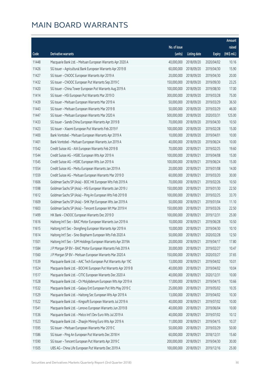|       |                                                              |              |                       |               | Amount      |
|-------|--------------------------------------------------------------|--------------|-----------------------|---------------|-------------|
|       |                                                              | No. of issue |                       |               | raised      |
| Code  | Derivative warrants                                          | (units)      | <b>Listing date</b>   | <b>Expiry</b> | (HK\$ mil.) |
| 11448 | Macquarie Bank Ltd. - Meituan European Warrants Apr 2020 A   | 40,000,000   | 2018/09/20            | 2020/04/02    | 10.16       |
| 11426 | SG Issuer - Agricultural Bank European Warrants Apr 2019 B   | 60,000,000   | 2018/09/20            | 2019/04/30    | 15.90       |
| 11427 | SG Issuer - CNOOC European Warrants Apr 2019 A               | 20,000,000   | 2018/09/20            | 2019/04/30    | 20.00       |
| 11432 | SG Issuer - CNOOC European Put Warrants Sep 2019 C           | 150,000,000  | 2018/09/20            | 2019/09/30    | 23.25       |
| 11420 | SG Issuer - China Tower European Put Warrants Aug 2019 A     | 100,000,000  | 2018/09/20            | 2019/08/30    | 17.00       |
| 11414 | SG Issuer - HSI European Put Warrants Mar 2019 D             | 300,000,000  | 2018/09/20            | 2019/03/28    | 75.00       |
| 11439 | SG Issuer - Meituan European Warrants Mar 2019 A             | 50,000,000   | 2018/09/20            | 2019/03/29    | 36.50       |
| 11443 | SG Issuer - Meituan European Warrants Mar 2019 B             | 50,000,000   | 2018/09/20            | 2019/03/29    | 46.00       |
| 11447 | SG Issuer - Meituan European Warrants Mar 2020 A             | 500,000,000  | 2018/09/20            | 2020/03/31    | 125.00      |
| 11433 | SG Issuer - Sands China European Warrants Apr 2019 B         | 70,000,000   | 2018/09/20            | 2019/04/30    | 10.50       |
| 11423 | SG Issuer - Xiaomi European Put Warrants Feb 2019 F          | 100,000,000  | 2018/09/20            | 2019/02/28    | 15.00       |
| 11400 | Bank Vontobel - Meituan European Warrants Apr 2019 A         | 10,000,000   | 2018/09/20            | 2019/04/01    | 10.00       |
| 11401 | Bank Vontobel - Meituan European Warrants Jun 2019 A         | 40,000,000   | 2018/09/20            | 2019/06/24    | 10.00       |
| 11542 | Credit Suisse AG - AIA European Warrants Feb 2019 B          | 70,000,000   | 2018/09/21            | 2019/02/25    | 19.60       |
| 11544 | Credit Suisse AG - HSBC European Wts Apr 2019 A              | 100,000,000  | 2018/09/21            | 2019/04/08    | 15.00       |
| 11545 | Credit Suisse AG - HSBC European Wts Jun 2019 A              | 100,000,000  | 2018/09/21            | 2019/06/24    | 15.00       |
| 11554 | Credit Suisse AG - Meitu European Warrants Jan 2019 A        | 20,000,000   | 2018/09/21            | 2019/01/08    | 14.00       |
| 11559 | Credit Suisse AG - Meituan European Warrants Mar 2019 D      | 60,000,000   | 2018/09/21            | 2019/03/20    | 30.00       |
| 11606 | Goldman Sachs SP (Asia) - BOC HK European Wts Feb 2019 A     | 70,000,000   | 2018/09/21            | 2019/02/26    | 10.50       |
| 11598 | Goldman Sachs SP (Asia) - HSI European Warrants Jan 2019 J   | 150,000,000  | 2018/09/21            | 2019/01/30    | 22.50       |
| 11612 | Goldman Sachs SP (Asia) - Ping An European Wts Feb 2019 B    | 100,000,000  | 2018/09/21            | 2019/02/25    | 33.70       |
| 11609 | Goldman Sachs SP (Asia) - SHK Ppt European Wts Jan 2019 A    | 50,000,000   | 2018/09/21            | 2019/01/04    | 11.10       |
| 11603 | Goldman Sachs SP (Asia) - Tencent European Wt Mar 2019 H     | 150,000,000  | 2018/09/21            | 2019/03/26    | 22.50       |
| 11499 | HK Bank - CNOOC European Warrants Dec 2019 D                 | 100,000,000  | 2018/09/21            | 2019/12/31    | 25.00       |
| 11616 | Haitong Int'l Sec - BAIC Motor European Warrants Jun 2019 A  | 10,000,000   | 2018/09/21            | 2019/06/28    | 10.50       |
| 11615 | Haitong Int'l Sec - Dongfeng European Warrants Apr 2019 A    | 10,000,000   | 2018/09/21            | 2019/04/30    | 10.10       |
| 11614 | Haitong Int'l Sec - Sino Biopharm European Wts Feb 2020 A    |              | 50,000,000 2018/09/21 | 2020/02/28    | 12.50       |
| 11501 | Haitong Int'l Sec - SJM Holdings European Warrants Apr 2019A | 20,000,000   | 2018/09/21            | 2019/04/17    | 17.80       |
| 11584 | J P Morgan SP BV - BAIC Motor European Warrants Feb 2019 A   | 30,000,000   | 2018/09/21            | 2019/02/27    | 10.47       |
| 11560 | J P Morgan SP BV - Meituan European Warrants Mar 2020 A      | 150,000,000  | 2018/09/21            | 2020/03/27    | 37.65       |
| 11539 | Macquarie Bank Ltd. - AAC Tech European Put Warrants Apr 19C | 13,000,000   | 2018/09/21            | 2019/04/02    | 10.01       |
| 11524 | Macquarie Bank Ltd. - BOCHK European Put Warrants Apr 2019 B | 40,000,000   | 2018/09/21            | 2019/04/02    | 10.04       |
| 11517 | Macquarie Bank Ltd. - CITIC European Warrants Dec 2020 A     | 40,000,000   | 2018/09/21            | 2020/12/31    | 10.00       |
| 11528 | Macquarie Bank Ltd. - Ch Molybdenum European Wts Apr 2019 A  | 17,000,000   | 2018/09/21            | 2019/04/15    | 10.66       |
| 11532 | Macquarie Bank Ltd. - Galaxy Ent European Put Wts May 2019 C | 25,000,000   | 2018/09/21            | 2019/05/02    | 10.35       |
| 11529 | Macquarie Bank Ltd. - Haitong Sec European Wts Apr 2019 A    | 13,000,000   | 2018/09/21            | 2019/04/02    | 10.30       |
| 11522 | Macquarie Bank Ltd. - Kingsoft European Warrants Jul 2019 A  | 40,000,000   | 2018/09/21            | 2019/07/02    | 10.00       |
| 11541 | Macquarie Bank Ltd. - Lenovo European Warrants Jun 2019 B    | 40,000,000   | 2018/09/21            | 2019/06/04    | 10.00       |
| 11536 | Macquarie Bank Ltd. - Melco Int'l Dev Euro Wts Jul 2019 A    | 40,000,000   | 2018/09/21            | 2019/07/02    | 10.12       |
| 11523 | Macquarie Bank Ltd. - Zhaojin Mining Euro Wts Apr 2019 A     | 11,000,000   | 2018/09/21            | 2019/04/15    | 10.37       |
| 11595 | SG Issuer - Meituan European Warrants Mar 2019 C             | 50,000,000   | 2018/09/21            | 2019/03/29    | 50.00       |
| 11586 | SG Issuer - Ping An European Put Warrants Dec 2018 H         | 60,000,000   | 2018/09/21            | 2018/12/31    | 15.60       |
| 11590 | SG Issuer - Tencent European Put Warrants Apr 2019 C         | 200,000,000  | 2018/09/21            | 2019/04/30    | 30.00       |
| 11505 | UBS AG - China Life European Put Warrants Dec 2019 A         | 100,000,000  | 2018/09/21            | 2019/12/16    | 25.00       |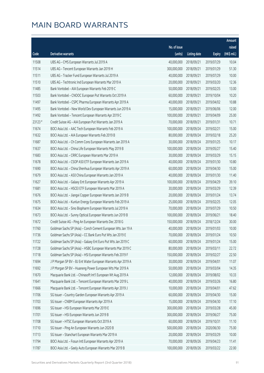|         |                                                              |              |                       |               | Amount      |
|---------|--------------------------------------------------------------|--------------|-----------------------|---------------|-------------|
|         |                                                              | No. of issue |                       |               | raised      |
| Code    | Derivative warrants                                          | (units)      | <b>Listing date</b>   | <b>Expiry</b> | (HK\$ mil.) |
| 11508   | UBS AG - CMS European Warrants Jul 2019 A                    | 40,000,000   | 2018/09/21            | 2019/07/29    | 10.04       |
| 11514   | UBS AG - Tencent European Warrants Jan 2019 H                | 300,000,000  | 2018/09/21            | 2019/01/29    | 51.30       |
| 11511   | UBS AG - Tracker Fund European Warrants Jul 2019 A           | 40,000,000   | 2018/09/21            | 2019/07/29    | 10.00       |
| 11510   | UBS AG - Techtronic Ind European Warrants Mar 2019 A         | 20,000,000   | 2018/09/21            | 2019/03/20    | 12.36       |
| 11485   | Bank Vontobel - AIA European Warrants Feb 2019 C             | 50,000,000   | 2018/09/21            | 2019/02/25    | 13.00       |
| 11503   | Bank Vontobel - CNOOC European Put Warrants Oct 2019 A       | 60,000,000   | 2018/09/21            | 2019/10/04    | 10.20       |
| 11497   | Bank Vontobel - CSPC Pharma European Warrants Apr 2019 A     | 40,000,000   | 2018/09/21            | 2019/04/02    | 10.88       |
| 11495   | Bank Vontobel - New World Dev European Warrants Jun 2019 A   | 15,000,000   | 2018/09/21            | 2019/06/06    | 12.00       |
| 11492   | Bank Vontobel - Tencent European Warrants Apr 2019 C         | 100,000,000  | 2018/09/21            | 2019/04/09    | 25.00       |
| 23123 # | Credit Suisse AG - AIA European Put Warrants Jan 2019 A      | 70,000,000   | 2018/09/21            | 2019/01/31    | 10.71       |
| 11674   | BOCI Asia Ltd. - AAC Tech European Warrants Feb 2019 A       | 100,000,000  | 2018/09/24            | 2019/02/21    | 15.00       |
| 11632   | BOCI Asia Ltd. - AIA European Warrants Feb 2019 B            | 80,000,000   | 2018/09/24            | 2019/02/18    | 25.20       |
| 11687   | BOCI Asia Ltd. - Ch Comm Cons European Warrants Jan 2019 A   | 30,000,000   | 2018/09/24            | 2019/01/25    | 10.17       |
| 11637   | BOCI Asia Ltd. - China Life European Warrants May 2019 B     | 100,000,000  | 2018/09/24            | 2019/05/27    | 15.40       |
| 11683   | BOCI Asia Ltd. - CRRC European Warrants Mar 2019 A           | 30,000,000   | 2018/09/24            | 2019/03/29    | 15.15       |
| 11678   | BOCI Asia Ltd. - CSOP A50 ETF European Warrants Jan 2019 A   | 40,000,000   | 2018/09/24            | 2019/01/30    | 10.80       |
| 11690   | BOCI Asia Ltd. - China Shenhua European Warrants Apr 2019 A  | 60,000,000   | 2018/09/24            | 2019/04/30    | 15.00       |
| 11679   | BOCI Asia Ltd. - A50 China European Warrants Jan 2019 A      | 40,000,000   | 2018/09/24            | 2019/01/30    | 11.40       |
| 11627   | BOCI Asia Ltd. - Galaxy Ent European Warrants Apr 2019 A     | 100,000,000  | 2018/09/24            | 2019/04/29    | 39.10       |
| 11681   | BOCI Asia Ltd. - HSCEI ETF European Warrants Mar 2019 A      | 30,000,000   | 2018/09/24            | 2019/03/29    | 12.39       |
| 11676   | BOCI Asia Ltd. - Jiangxi Copper European Warrants Jan 2019 B | 20,000,000   | 2018/09/24            | 2019/01/24    | 13.74       |
| 11675   | BOCI Asia Ltd. - Kunlun Energy European Warrants Feb 2019 A  | 25,000,000   | 2018/09/24            | 2019/02/25    | 12.05       |
| 11634   | BOCI Asia Ltd. - Sino Biopharm European Warrants Jul 2019 A  | 70,000,000   | 2018/09/24            | 2019/07/29    | 10.50       |
| 11673   | BOCI Asia Ltd. - Sunny Optical European Warrants Jun 2019 B  | 100,000,000  | 2018/09/24            | 2019/06/21    | 18.40       |
| 11672   | Credit Suisse AG - Ping An European Warrants Dec 2018 G      | 150,000,000  | 2018/09/24            | 2018/12/24    | 30.00       |
| 11760   | Goldman Sachs SP (Asia) - Conch Cement European Wts Jan 19 A | 40,000,000   | 2018/09/24            | 2019/01/03    | 10.00       |
| 11736   | Goldman Sachs SP (Asia) - CC Bank Euro Put Wts Jan 2019 E    |              | 70,000,000 2018/09/24 | 2019/01/24    | 10.50       |
| 11722   | Goldman Sachs SP (Asia) - Galaxy Ent Euro Put Wts Jan 2019 C | 60,000,000   | 2018/09/24            | 2019/01/24    | 15.00       |
| 11728   | Goldman Sachs SP (Asia) - HSBC European Warrants Mar 2019 C  | 80,000,000   | 2018/09/24            | 2019/03/11    | 22.72       |
| 11718   | Goldman Sachs SP (Asia) - HSI European Warrants Feb 2019 F   | 150,000,000  | 2018/09/24            | 2019/02/27    | 22.50       |
| 11694   | J P Morgan SP BV - BJ Ent Water European Warrants Apr 2019 A | 30,000,000   | 2018/09/24            | 2019/04/01    | 11.07       |
| 11692   | J P Morgan SP BV - Huaneng Power European Wts Mar 2019 A     | 50,000,000   | 2018/09/24            | 2019/03/04    | 14.35       |
| 11670   | Macquarie Bank Ltd. - Chinasoft Int'l European Wt Aug 2019 A | 12,000,000   | 2018/09/24            | 2019/08/02    | 10.33       |
| 11641   | Macquarie Bank Ltd. - Tencent European Warrants Mar 2019 L   | 40,000,000   | 2018/09/24            | 2019/03/26    | 16.80       |
| 11666   | Macquarie Bank Ltd. - Tencent European Warrants Apr 2019 J   | 10,000,000   | 2018/09/24            | 2019/04/01    | 47.62       |
| 11706   | SG Issuer - Country Garden European Warrants Apr 2019 A      | 60,000,000   | 2018/09/24            | 2019/04/30    | 15.00       |
| 11703   | SG Issuer - CNBM European Warrants Apr 2019 A                | 15,000,000   | 2018/09/24            | 2019/04/30    | 17.10       |
| 11696   | SG Issuer - HSI European Warrants Mar 2019 E                 | 300,000,000  | 2018/09/24            | 2019/03/28    | 45.00       |
| 11701   | SG Issuer - HSI European Warrants Jun 2019 B                 | 300,000,000  | 2018/09/24            | 2019/06/27    | 75.00       |
| 11708   | SG Issuer - HTSC European Warrants Oct 2019 A                | 60,000,000   | 2018/09/24            | 2019/10/31    | 11.10       |
| 11710   | SG Issuer - Ping An European Warrants Jun 2020 B             | 500,000,000  | 2018/09/24            | 2020/06/30    | 75.00       |
| 11713   | SG Issuer - Stanchart European Warrants Mar 2019 A           | 20,000,000   | 2018/09/24            | 2019/03/29    | 10.00       |
| 11794   | BOCI Asia Ltd. - Fosun Intl European Warrants Apr 2019 A     | 70,000,000   | 2018/09/26            | 2019/04/23    | 11.41       |
| 11787   | BOCI Asia Ltd. - Geely Auto European Warrants Mar 2019 B     | 100,000,000  | 2018/09/26            | 2019/03/22    | 22.00       |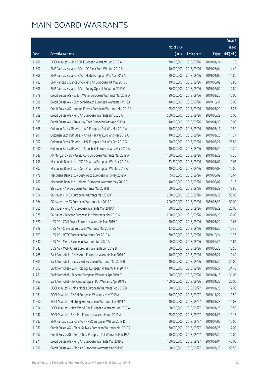|       |                                                              |              |                       |               | Amount      |
|-------|--------------------------------------------------------------|--------------|-----------------------|---------------|-------------|
|       |                                                              | No. of issue |                       |               | raised      |
| Code  | Derivative warrants                                          | (units)      | <b>Listing date</b>   | <b>Expiry</b> | (HK\$ mil.) |
| 11788 | BOCI Asia Ltd. - Link REIT European Warrants Jan 2019 A      | 70,000,000   | 2018/09/26            | 2019/01/24    | 11.20       |
| 11807 | BNP Paribas Issuance B.V. - CC Bank Euro Wts Jun 2019 B      | 40,000,000   | 2018/09/26            | 2019/06/04    | 14.40       |
| 11808 | BNP Paribas Issuance B.V. - Meitu European Wts Apr 2019 A    | 20,000,000   | 2018/09/26            | 2019/04/02    | 14.80       |
| 11783 | BNP Paribas Issuance B.V. - Ping An European Wt May 2019 C   | 40,000,000   | 2018/09/26            | 2019/05/02    | 10.80       |
| 11806 | BNP Paribas Issuance B.V. - Sunny Optical Eu Wt Jul 2019 C   | 80,000,000   | 2018/09/26            | 2019/07/02    | 12.80       |
| 11879 | Credit Suisse AG - BJ Ent Water European Warrants Mar 2019 A | 20,000,000   | 2018/09/26            | 2019/03/25    | 10.00       |
| 11888 | Credit Suisse AG - Crphoenixhealth European Warrants Oct 19A | 40,000,000   | 2018/09/26            | 2019/10/31    | 10.00       |
| 11877 | Credit Suisse AG - Kunlun Energy European Warrants Mar 2019A | 25,000,000   | 2018/09/26            | 2019/03/29    | 16.25       |
| 11889 | Credit Suisse AG - Ping An European Warrants Jun 2020 A      | 500,000,000  | 2018/09/26            | 2020/06/22    | 75.00       |
| 11885 | Credit Suisse AG - Travelsky Tech European Wts Apr 2019 A    | 40,000,000   | 2018/09/26            | 2019/04/30    | 10.00       |
| 11898 | Goldman Sachs SP (Asia) - AIA European Put Wts Mar 2019 A    | 70,000,000   | 2018/09/26            | 2019/03/11    | 10.50       |
| 11901 | Goldman Sachs SP (Asia) - China Railway Euro Wts Mar 2019 A  | 40,000,000   | 2018/09/26            | 2019/03/26    | 11.24       |
| 11902 | Goldman Sachs SP (Asia) - HSI European Put Wts Feb 2019 G    | 150,000,000  | 2018/09/26            | 2019/02/27    | 25.80       |
| 11900 | Goldman Sachs SP (Asia) - Stanchart European Wts Mar 2019 A  | 40,000,000   | 2018/09/26            | 2019/03/29    | 14.20       |
| 11847 | J P Morgan SP BV - Geely Auto European Warrants Mar 2019 A   | 100,000,000  | 2018/09/26            | 2019/03/22    | 17.20       |
| 11796 | Macquarie Bank Ltd. - CSPC Pharma European Wts Apr 2019 A    | 33,200,000   | 2018/09/26            | 2019/04/02    | 10.03       |
| 11802 | Macquarie Bank Ltd. - CSPC Pharma European Wts Jul 2019 A    | 40,000,000   | 2018/09/26            | 2019/07/03    | 10.00       |
| 11778 | Macquarie Bank Ltd. - Geely Auto European Wts May 2019 A     | 5,000,000    | 2018/09/26            | 2019/05/02    | 10.64       |
| 11782 | Macquarie Bank Ltd. - Xiaomi European Warrants May 2019 B    | 40,000,000   | 2018/09/26            | 2019/05/02    | 10.16       |
| 11852 | SG Issuer - AIA European Warrants Mar 2019 B                 | 60,000,000   | 2018/09/26            | 2019/03/29    | 18.90       |
| 11854 | SG Issuer - HKEX European Warrants Mar 2019 F                | 200,000,000  | 2018/09/26            | 2019/03/29    | 58.00       |
| 11864 | SG Issuer - HKEX European Warrants Jun 2019 F                | 200,000,000  | 2018/09/26            | 2019/06/28    | 50.00       |
| 11865 | SG Issuer - Ping An European Warrants Mar 2019 A             | 80,000,000   | 2018/09/26            | 2019/03/29    | 20.00       |
| 11875 | SG Issuer - Tencent European Put Warrants Mar 2019 G         | 200,000,000  | 2018/09/26            | 2019/03/29    | 30.00       |
| 11820 | UBS AG - CGN Power European Warrants Mar 2019 A              | 50,000,000   | 2018/09/26            | 2019/03/22    | 10.65       |
| 11818 | UBS AG - China Lit European Warrants Mar 2019 A              | 13,000,000   | 2018/09/26            | 2019/03/25    | 10.45       |
| 11809 | UBS AG - HTSC European Warrants Oct 2019 A                   |              | 60,000,000 2018/09/26 | 2019/10/24    | 11.76       |
| 11830 | UBS AG - Meitu European Warrants Jun 2020 A                  | 60,000,000   | 2018/09/26            | 2020/06/26    | 11.64       |
| 11842 | UBS AG - MGM China European Warrants Jun 2019 B              | 50,000,000   | 2018/09/26            | 2019/06/28    | 12.50       |
| 11765 | Bank Vontobel - Geely Auto European Warrants Mar 2019 A      | 40,000,000   | 2018/09/26            | 2019/03/27    | 10.40       |
| 11805 | Bank Vontobel - Galaxy Ent European Warrants Mar 2019 B      | 40,000,000   | 2018/09/26            | 2019/03/26    | 24.00       |
| 11803 | Bank Vontobel - SJM Holdings European Warrants Mar 2019 A    | 40,000,000   | 2018/09/26            | 2019/03/27    | 34.40       |
| 11761 | Bank Vontobel - Tencent European Warrants Apr 2019 D         | 100,000,000  | 2018/09/26            | 2019/04/15    | 31.00       |
| 11763 | Bank Vontobel - Tencent European Put Warrants Apr 2019 E     | 100,000,000  | 2018/09/26            | 2019/04/23    | 20.00       |
| 11942 | BOCI Asia Ltd. - China Mobile European Warrants Feb 2019 B   | 50,000,000   | 2018/09/27            | 2019/02/25    | 12.00       |
| 11961 | BOCI Asia Ltd. - CNBM European Warrants Nov 2019 A           | 70,000,000   | 2018/09/27            | 2019/11/22    | 10.50       |
| 11960 | BOCI Asia Ltd. - Haitong Sec European Warrants Jan 2019 A    | 40,000,000   | 2018/09/27            | 2019/01/28    | 14.08       |
| 11954 | BOCI Asia Ltd. - New World Dev European Warrants Jan 2019 A  | 50,000,000   | 2018/09/27            | 2019/01/28    | 10.50       |
| 11947 | BOCI Asia Ltd. - SHK Ppt European Warrants Apr 2019 A        | 25,000,000   | 2018/09/27            | 2019/04/23    | 10.13       |
| 11992 | BNP Paribas Issuance B.V. - HKEX European Wts Jul 2019 D     | 80,000,000   | 2018/09/27            | 2019/07/02    | 12.00       |
| 11987 | Credit Suisse AG - China Railway European Warrants Mar 2019A | 30,000,000   | 2018/09/27            | 2019/03/26    | 12.00       |
| 11962 | Credit Suisse AG - PetroChina European Put Warrants Feb 19 A | 50,000,000   | 2018/09/27            | 2019/02/22    | 10.00       |
| 11974 | Credit Suisse AG - Ping An European Warrants Mar 2019 B      | 150,000,000  | 2018/09/27            | 2019/03/04    | 45.00       |
| 11982 | Credit Suisse AG - Ping An European Warrants Mar 2019 C      | 150,000,000  | 2018/09/27            | 2019/03/29    | 58.50       |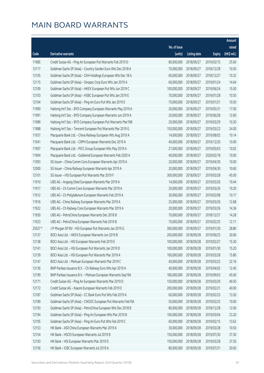|        |                                                              |                        |                     |               | Amount      |
|--------|--------------------------------------------------------------|------------------------|---------------------|---------------|-------------|
|        |                                                              | No. of issue           |                     |               | raised      |
| Code   | Derivative warrants                                          | (units)                | <b>Listing date</b> | <b>Expiry</b> | (HK\$ mil.) |
| 11985  | Credit Suisse AG - Ping An European Put Warrants Feb 2019 D  | 80,000,000             | 2018/09/27          | 2019/02/15    | 25.60       |
| 12117  | Goldman Sachs SP (Asia) - Country Garden Euro Wts Dec 2018 A | 70,000,000             | 2018/09/27          | 2018/12/28    | 10.50       |
| 12105  | Goldman Sachs SP (Asia) - CKH Holdings European Wts Dec 18 A | 60,000,000             | 2018/09/27          | 2018/12/27    | 10.32       |
| 12115  | Goldman Sachs SP (Asia) - Sinopec Corp Euro Wts Jan 2019 A   | 60,000,000             | 2018/09/27          | 2019/01/24    | 14.64       |
| 12109  | Goldman Sachs SP (Asia) - HKEX European Put Wts Jun 2019 C   | 100,000,000            | 2018/09/27          | 2019/06/24    | 15.00       |
| 12103  | Goldman Sachs SP (Asia) - HSBC European Put Wts Jan 2019 E   | 70,000,000             | 2018/09/27          | 2019/01/28    | 10.50       |
| 12104  | Goldman Sachs SP (Asia) - Ping An Euro Put Wts Jan 2019 E    | 70,000,000             | 2018/09/27          | 2019/01/21    | 10.50       |
| 11990  | Haitong Int'l Sec - BYD Company European Warrants May 2019 A | 20,000,000             | 2018/09/27          | 2019/05/31    | 17.00       |
| 11991  | Haitong Int'l Sec - BYD Company European Warrants Jun 2019 A | 20,000,000             | 2018/09/27          | 2019/06/28    | 12.60       |
| 11989  | Haitong Int'l Sec - BYD Company European Put Warrants Mar19B | 20,000,000             | 2018/09/27          | 2019/03/29    | 10.20       |
| 11988  | Haitong Int'l Sec - Tencent European Put Warrants Mar 2019 G | 150,000,000            | 2018/09/27          | 2019/03/22    | 24.00       |
| 11937  | Macquarie Bank Ltd. - China Railway European Wts Aug 2019 A  | 14,000,000             | 2018/09/27          | 2019/08/02    | 10.14       |
| 11941  | Macquarie Bank Ltd. - CRPH European Warrants Dec 2019 A      | 40,000,000             | 2018/09/27          | 2019/12/20    | 10.00       |
| 11907  | Macquarie Bank Ltd. - PICC Group European Wts May 2019 A     | 27,000,000             | 2018/09/27          | 2019/05/03    | 10.02       |
| 11904  | Macquarie Bank Ltd. - Goldwind European Warrants Feb 2020 A  | 40,000,000             | 2018/09/27          | 2020/02/18    | 10.00       |
| 11993  | SG Issuer - China Comm Cons European Warrants Apr 2019 A     | 20,000,000             | 2018/09/27          | 2019/04/30    | 10.00       |
| 12000  | SG Issuer - China Railway European Warrants Apr 2019 A       | 20,000,000             | 2018/09/27          | 2019/04/30    | 10.60       |
| 12101  | SG Issuer - HSI European Put Warrants Mar 2019 F             | 300,000,000            | 2018/09/27          | 2019/03/28    | 45.00       |
| 11910  | UBS AG - Angang Steel European Warrants Mar 2019 A           | 14,000,000             | 2018/09/27          | 2019/03/26    | 10.44       |
| 11917  | UBS AG - Ch Comm Cons European Warrants Mar 2019 A           | 20,000,000             | 2018/09/27          | 2019/03/26    | 10.20       |
| 11912  | UBS AG - Ch Molybdenum European Warrants Feb 2019 A          | 30,000,000             | 2018/09/27          | 2019/02/08    | 10.17       |
| 11916  | UBS AG - China Railway European Warrants Mar 2019 A          | 25,000,000             | 2018/09/27          | 2019/03/26    | 12.68       |
| 11922  | UBS AG - Ch Railway Cons European Warrants Mar 2019 A        | 20,000,000             | 2018/09/27          | 2019/03/26    | 14.36       |
| 11930  | UBS AG - PetroChina European Warrants Dec 2018 B             | 70,000,000             | 2018/09/27          | 2018/12/27    | 14.28       |
| 11923  | UBS AG - PetroChina European Warrants Feb 2019 B             | 70,000,000             | 2018/09/27          | 2019/02/25    | 12.11       |
| 25027# | J P Morgan SP BV - HSI European Put Warrants Jan 2019 G      | 300,000,000            | 2018/09/27          | 2019/01/30    | 28.80       |
| 12137  | BOCI Asia Ltd. - HKEX European Warrants Jun 2019 B           | 200,000,000 2018/09/28 |                     | 2019/06/25    | 30.00       |
| 12138  | BOCI Asia Ltd. - HSI European Warrants Feb 2019 E            | 100,000,000            | 2018/09/28          | 2019/02/27    | 15.30       |
| 12141  | BOCI Asia Ltd. - HSI European Put Warrants Jan 2019 D        | 100,000,000            | 2018/09/28          | 2019/01/30    | 15.20       |
| 12139  | BOCI Asia Ltd. - HSI European Put Warrants Mar 2019 A        | 100,000,000            | 2018/09/28          | 2019/03/28    | 15.80       |
| 12147  | BOCI Asia Ltd. - Meituan European Warrants Mar 2019 C        | 40,000,000             | 2018/09/28          | 2019/03/22    | 32.16       |
| 12136  | BNP Paribas Issuance B.V. - Ch Railway Euro Wts Apr 2019 A   | 40,000,000             | 2018/09/28          | 2019/04/02    | 12.40       |
| 12199  | BNP Paribas Issuance B.V. - Meituan European Warrants Sep19A | 180,000,000            | 2018/09/28          | 2019/09/03    | 45.00       |
| 12171  | Credit Suisse AG - Ping An European Warrants Mar 2019 D      | 150,000,000            | 2018/09/28          | 2019/03/29    | 49.50       |
| 12172  | Credit Suisse AG - Xiaomi European Warrants Feb 2019 E       | 200,000,000            | 2018/09/28          | 2019/02/21    | 40.00       |
| 12187  | Goldman Sachs SP (Asia) - CC Bank Euro Put Wts Feb 2019 A    | 60,000,000             | 2018/09/28          | 2019/02/25    | 13.26       |
| 12189  | Goldman Sachs SP (Asia) - CNOOC European Put Warrants Feb19A | 50,000,000             | 2018/09/28          | 2019/02/25    | 10.00       |
| 12193  | Goldman Sachs SP (Asia) - PetroChina European Wts Dec 2018 B | 80,000,000             | 2018/09/28          | 2018/12/28    | 12.00       |
| 12194  | Goldman Sachs SP (Asia) - Ping An European Wts Mar 2019 B    | 100,000,000            | 2018/09/28          | 2019/03/04    | 23.20       |
| 12195  | Goldman Sachs SP (Asia) - Ping An Euro Put Wts Feb 2019 C    | 60,000,000             | 2018/09/28          | 2019/02/15    | 13.62       |
| 12153  | HK Bank - A50 China European Warrants Mar 2019 A             | 30,000,000             | 2018/09/28          | 2019/03/28    | 10.50       |
| 12154  | HK Bank - HSCEI European Warrants Jul 2019 B                 | 150,000,000            | 2018/09/28          | 2019/07/30    | 37.50       |
| 12150  | HK Bank - HSI European Warrants Mar 2019 D                   | 150,000,000            | 2018/09/28          | 2019/03/28    | 37.50       |
| 12156  | HK Bank - ICBC European Warrants Jul 2019 A                  | 80,000,000             | 2018/09/28          | 2019/07/31    | 20.00       |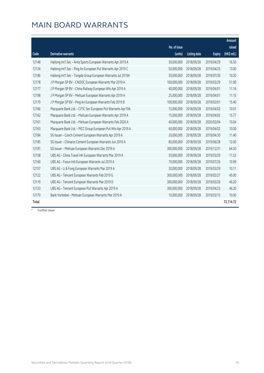|       |                                                              | No. of issue |                     |               | Amount<br>raised |
|-------|--------------------------------------------------------------|--------------|---------------------|---------------|------------------|
| Code  | <b>Derivative warrants</b>                                   | (units)      | <b>Listing date</b> | <b>Expiry</b> | (HK\$ mil.)      |
| 12148 | Haitong Int'l Sec - Anta Sports European Warrants Apr 2019 A | 30,000,000   | 2018/09/28          | 2019/04/29    | 16.50            |
| 12134 | Haitong Int'l Sec - Ping An European Put Warrants Apr 2019 C | 50,000,000   | 2018/09/28          | 2019/04/25    | 13.00            |
| 12186 | Haitong Int'l Sec - Tongda Group European Warrants Jul 2019A | 30,000,000   | 2018/09/28          | 2019/07/30    | 10.20            |
| 12178 | J P Morgan SP BV - CNOOC European Warrants Mar 2019 A        | 100,000,000  | 2018/09/28          | 2019/03/29    | 51.90            |
| 12177 | J P Morgan SP BV - China Railway European Wts Apr 2019 A     | 40,000,000   | 2018/09/28          | 2019/04/01    | 11.16            |
| 12198 | J P Morgan SP BV - Meituan European Warrants Apr 2019 A      | 25,000,000   | 2018/09/28          | 2019/04/01    | 11.15            |
| 12179 | J P Morgan SP BV - Ping An European Warrants Feb 2019 B      | 100,000,000  | 2018/09/28          | 2019/02/01    | 15.40            |
| 12166 | Macquarie Bank Ltd. - CITIC Sec European Put Warrants Apr19A | 15,000,000   | 2018/09/28          | 2019/04/02    | 10.01            |
| 12162 | Macquarie Bank Ltd. - Meituan European Warrants Apr 2019 A   | 15,000,000   | 2018/09/28          | 2019/04/02    | 15.77            |
| 12161 | Macquarie Bank Ltd. - Meituan European Warrants Feb 2020 A   | 40,000,000   | 2018/09/28          | 2020/02/04    | 10.04            |
| 12163 | Macquarie Bank Ltd. - PICC Group European Put Wts Apr 2019 A | 40,000,000   | 2018/09/28          | 2019/04/02    | 10.00            |
| 12184 | SG Issuer - Conch Cement European Warrants Apr 2019 A        | 20,000,000   | 2018/09/28          | 2019/04/30    | 11.40            |
| 12185 | SG Issuer - Chinares Cement European Warrants Jun 2019 A     | 80,000,000   | 2018/09/28          | 2019/06/28    | 12.00            |
| 12181 | SG Issuer - Meituan European Warrants Dec 2019 A             | 300,000,000  | 2018/09/28          | 2019/12/31    | 64.50            |
| 12158 | UBS AG - China Travel HK European Warrants Mar 2019 A        | 30,000,000   | 2018/09/28          | 2019/03/29    | 11.52            |
| 12160 | UBS AG - Fosun Intl European Warrants Jul 2019 A             | 70,000,000   | 2018/09/28          | 2019/07/26    | 10.99            |
| 12157 | UBS AG - Li & Fung European Warrants Mar 2019 A              | 30,000,000   | 2018/09/28          | 2019/03/29    | 10.11            |
| 12122 | UBS AG - Tencent European Warrants Feb 2019 G                | 300,000,000  | 2018/09/28          | 2019/02/27    | 45.00            |
| 12119 | UBS AG - Tencent European Warrants Mar 2019 D                | 300,000,000  | 2018/09/28          | 2019/03/26    | 46.20            |
| 12123 | UBS AG - Tencent European Put Warrants Apr 2019 A            | 300,000,000  | 2018/09/28          | 2019/04/23    | 46.20            |
| 12170 | Bank Vontobel - Meituan European Warrants Mar 2019 A         | 10,000,000   | 2018/09/28          | 2019/03/13    | 10.00            |
| Total |                                                              |              |                     |               | 72,114.72        |

# Further issue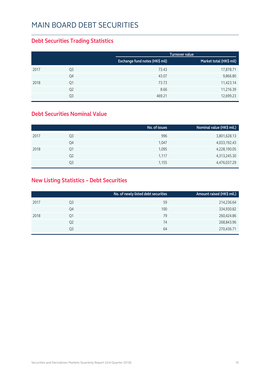### MAIN BOARD DEBT SECURITIES

### **Debt Securities Trading Statistics**

|      |                |                                | Turnover value          |
|------|----------------|--------------------------------|-------------------------|
|      |                | Exchange fund notes (HK\$ mil) | Market total (HK\$ mil) |
| 2017 | Q3             | 73.43                          | 17,878.71               |
|      | Q4             | 43.07                          | 9,866.80                |
| 2018 | Q1             | 73.73                          | 11,423.14               |
|      | Q <sub>2</sub> | 8.66                           | 11,216.39               |
|      | Q3             | 469.21                         | 12,699.23               |

### **Debt Securities Nominal Value**

|                | No. of issues | Nominal value (HK\$ mil.) |
|----------------|---------------|---------------------------|
| Q <sub>3</sub> | 996           | 3,801,628.13              |
| Q4             | 1,047         | 4,033,192.43              |
| Q1             | 1,095         | 4,228,190.05              |
| Q <sub>2</sub> | 1,117         | 4,313,245.30              |
| Q3             | 1,155         | 4,476,037.29              |
|                |               |                           |

### **New Listing Statistics – Debt Securities**

|      |                | No. of newly listed debt securities | Amount raised (HK\$ mil.) |
|------|----------------|-------------------------------------|---------------------------|
| 2017 | Q3             | 59                                  | 214,236.64                |
|      | Q4             | 100                                 | 334,930.82                |
| 2018 | Q1             | 79                                  | 260,424.86                |
|      | Q <sub>2</sub> | 74                                  | 268,843.96                |
|      | Q3             | 64                                  | 270,436.71                |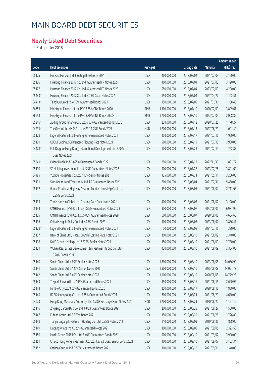## MAIN BOARD DEBT SECURITIES

### **Newly Listed Debt Securities**

for 3rd quarter 2018

|         |                                                                     |            |               |                     |            | Amount raised |
|---------|---------------------------------------------------------------------|------------|---------------|---------------------|------------|---------------|
| Code    | <b>Debt securities</b>                                              | Principal  |               | <b>Listing date</b> | Maturity   | (HK\$ mil.)   |
| 05125   | Far East Horizon Ltd. Floating Rate Notes 2021                      | <b>USD</b> | 400,000,000   | 2018/07/04          | 2021/07/03 | 3,120.00      |
| 05126   | Huarong Finance 2017 Co., Ltd. Guaranteed FR Notes 2021             | <b>USD</b> | 400,000,000   | 2018/07/04          | 2021/07/03 | 3,120.00      |
| 05127   | Huarong Finance 2017 Co., Ltd. Guaranteed FR Notes 2023             | <b>USD</b> | 550,000,000   | 2018/07/04          | 2023/07/03 | 4,290.00      |
| 05443 # | Huarong Finance 2017 Co., Ltd. 4.75% Guar. Notes 2027               | <b>USD</b> | 150,000,000   | 2018/07/04          | 2027/04/27 | 1,122.51      |
| 04413 # | Tsinghua Unic Ltd. 4.75% Guaranteed Bonds 2021                      | <b>USD</b> | 150,000,000   | 2018/07/05          | 2021/01/31 | 1,158.48      |
| 86653   | Ministry of Finance of the PRC 3.65% CNY Bonds 2020                 | <b>RMB</b> | 3,300,000,000 | 2018/07/10          | 2020/07/09 | 3,899.61      |
| 86654   | Ministry of Finance of the PRC 3.80% CNY Bonds 2023B                | <b>RMB</b> | 1,700,000,000 | 2018/07/10          | 2023/07/09 | 2,008.89      |
| 05246 # | Jiuding Group Finance Co., Ltd. 6.50% Guaranteed Bonds 2020         | <b>USD</b> | 230,000,000   | 2018/07/12          | 2020/07/25 | 1,778.27      |
| 04235 # | The Govt of the HKSAR of the PRC 1.25% Bonds 2027                   | <b>HKD</b> | 1,200,000,000 | 2018/07/13          | 2027/06/29 | 1,091.40      |
| 05128   | Legend Fortune Ltd. Floating Rate Guaranteed Notes 2021             | <b>USD</b> | 250,000,000   | 2018/07/17          | 2021/07/16 | 1,950.00      |
| 05129   | CDBL Funding 2 Guaranteed Floating Rate Notes 2021                  | <b>USD</b> | 500,000,000   | 2018/07/19          | 2021/07/18 | 3,900.00      |
| 04428 # | Full Dragon (Hong Kong) International Development Ltd. 5.60%        | <b>USD</b> | 100,000,000   | 2018/07/23          | 2021/02/14 | 762.87        |
|         | Guar Notes 2021                                                     |            |               |                     |            |               |
| 05041#  | Orient Huizhi Ltd. 3.625% Guaranteed Bonds 2022                     | <b>USD</b> | 250,000,000   | 2018/07/23          | 2022/11/30 | 1,881.77      |
| 05130   | SF Holding Investment Ltd. 4.125% Guaranteed Notes 2023             | <b>USD</b> | 500,000,000   | 2018/07/27          | 2023/07/26 | 3,891.62      |
| 04485 # | Yuzhou Properties Co. Ltd. 7.90% Senior Notes 2021                  | <b>USD</b> | 425,000,000   | 2018/07/31          | 2021/05/11 | 3,286.03      |
| 05131   | Sino-Ocean Land Treasure IV Ltd. FR Guaranteed Notes 2021           | <b>USD</b> | 700,000,000   | 2018/08/01          | 2021/07/31 | 5,460.00      |
| 05132   | Gansu Provincial Highway Aviation Tourism Invest Gp Co., Ltd.       | <b>USD</b> | 350,000,000   | 2018/08/03          | 2021/08/02 | 2,711.65      |
|         | 6.25% Bonds 2021                                                    |            |               |                     |            |               |
| 05133   | Trade Horizon Global Ltd. Floating Rate Guar. Notes 2021            | <b>USD</b> | 400,000,000   | 2018/08/03          | 2021/08/02 | 3,120.00      |
| 05134   | CMHI Finance (BVI) Co., Ltd. 4.375% Guaranteed Notes 2023           | <b>USD</b> | 900,000,000   | 2018/08/07          | 2023/08/06 | 6,987.92      |
| 05135   | CMHI Finance (BVI) Co., Ltd. 5.00% Guaranteed Notes 2028            | <b>USD</b> | 600,000,000   | 2018/08/07          | 2028/08/06 | 4,634.65      |
| 05136   | China Mengniu Dairy Co. Ltd. 4.25% Bonds 2023                       | <b>USD</b> | 500,000,000   | 2018/08/08          | 2023/08/07 | 3,886.47      |
| 05128 # | Legend Fortune Ltd. Floating Rate Guaranteed Notes 2021             | <b>USD</b> | 50,000,000    | 2018/08/08          | 2021/07/16 | 390.00        |
| 05137   | Bank of China Ltd., Macau Branch Floating Rate Notes 2021           | <b>USD</b> | 300,000,000   | 2018/08/10          | 2021/08/09 | 2,340.00      |
| 05138   | KWG Group Holdings Ltd. 7.875% Senior Notes 2021                    | <b>USD</b> | 350,000,000   | 2018/08/10          | 2021/08/09 | 2,730.00      |
| 05139   | Wuhan Real Estate Development & Investment Group Co., Ltd.          | <b>USD</b> | 430,000,000   | 2018/08/10          | 2021/08/09 | 3,354.00      |
|         | 5.70% Bonds 2021                                                    |            |               |                     |            |               |
| 05140   | Sands China Ltd. 4.60% Senior Notes 2023                            | <b>USD</b> | 1,800,000,000 | 2018/08/10          | 2023/08/08 | 14,036.90     |
| 05141   | Sands China Ltd. 5.125% Senior Notes 2025                           | <b>USD</b> | 1,800,000,000 | 2018/08/10          | 2025/08/08 | 14,027.78     |
| 05142   | Sands China Ltd. 5.40% Senior Notes 2028                            | <b>USD</b> | 1,900,000,000 | 2018/08/10          | 2028/08/08 | 14,779.25     |
| 05143   | Tuspark Forward Ltd. 7.95% Guaranteed Bonds 2021                    | <b>USD</b> | 350,000,000   | 2018/08/16          | 2021/08/15 | 2,690.96      |
| 05144   | Nimble City Ltd. 9.00% Guaranteed Bonds 2020                        | <b>USD</b> | 250,000,000   | 2018/08/17          | 2020/08/16 | 1,950.00      |
| 05145   | BCEG (HongKong) Co. Ltd. 5.75% Guaranteed Bonds 2021                | <b>USD</b> | 600,000,000   | 2018/08/21          | 2021/08/20 | 4,680.00      |
| 04073   | Hong Kong Monetary Authority, The 1.78% Exchange Fund Notes 2020    | <b>HKD</b> | 1,200,000,000 | 2018/08/21          | 2020/08/20 | 1,197.12      |
| 05146   | Zhejiang Baron (BVI) Co. Ltd. 6.80% Guaranteed Bonds 2021           | <b>USD</b> | 200,000,000   | 2018/08/28          | 2021/08/27 | 1,560.00      |
| 05147   | Fufeng Group Ltd. 5.875% Bonds 2021                                 | <b>USD</b> | 350,000,000   | 2018/08/29          | 2021/08/28 | 2,726.89      |
| 05148   | Tianjin Lingang Investment Holding Co., Ltd. 6.75% Notes 2019       | <b>USD</b> | 110,000,000   | 2018/09/03          | 2019/08/26 | 858.00        |
| 05149   | Lingang Wings Inc 4.625% Guaranteed Notes 2021                      | <b>USD</b> | 300,000,000   | 2018/09/06          | 2021/09/05 | 2,323.53      |
| 05150   | Huafa Group 2018 I Co. Ltd. 5.40% Guaranteed Bonds 2021             | <b>USD</b> | 500,000,000   | 2018/09/10          | 2021/09/07 | 3,900.00      |
| 05151   | Chalco Hong Kong Investment Co. Ltd. 4.875% Guar. Senior Bonds 2021 | <b>USD</b> | 400,000,000   | 2018/09/10          | 2021/09/07 | 3,103.34      |
| 05152   | Granda Century Ltd. 7.50% Guaranteed Bonds 2021                     | <b>USD</b> | 300,000,000   | 2018/09/12          | 2021/09/11 | 2,340.00      |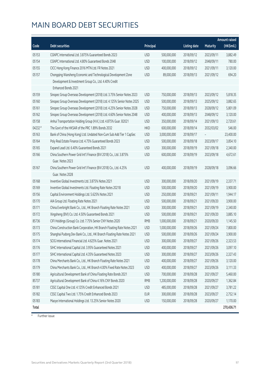## MAIN BOARD DEBT SECURITIES

|         |                                                                         |            |               |                     |                 | <b>Amount raised</b> |
|---------|-------------------------------------------------------------------------|------------|---------------|---------------------|-----------------|----------------------|
| Code    | <b>Debt securities</b>                                                  | Principal  |               | <b>Listing date</b> | <b>Maturity</b> | (HK\$mil.)           |
| 05153   | CGNPC International Ltd. 3.875% Guaranteed Bonds 2023                   | <b>USD</b> | 500,000,000   | 2018/09/12          | 2023/09/11      | 3,882.49             |
| 05154   | CGNPC International Ltd. 4.80% Guaranteed Bonds 2048                    | <b>USD</b> | 100,000,000   | 2018/09/12          | 2048/09/11      | 780.00               |
| 05155   | CICC Hong Kong Finance 2016 MTN Ltd. FR Notes 2021                      | <b>USD</b> | 400,000,000   | 2018/09/12          | 2021/09/11      | 3,120.00             |
| 05157   | Chongqing Wansheng Economic and Technological Development Zone          | <b>USD</b> | 89,000,000    | 2018/09/13          | 2021/09/12      | 694.20               |
|         | Development & Investment Group Co., Ltd. 4.40% Credit                   |            |               |                     |                 |                      |
|         | Enhanced Bonds 2021                                                     |            |               |                     |                 |                      |
| 05159   | Sinopec Group Overseas Development (2018) Ltd. 3.75% Senior Notes 2023  | <b>USD</b> | 750,000,000   | 2018/09/13          | 2023/09/12      | 5,818.35             |
| 05160   | Sinopec Group Overseas Development (2018) Ltd. 4.125% Senior Notes 2025 | <b>USD</b> | 500,000,000   | 2018/09/13          | 2025/09/12      | 3,882.65             |
| 05161   | Sinopec Group Overseas Development (2018) Ltd. 4.25% Senior Notes 2028  | <b>USD</b> | 750,000,000   | 2018/09/13          | 2028/09/12      | 5,801.09             |
| 05162   | Sinopec Group Overseas Development (2018) Ltd. 4.60% Senior Notes 2048  | <b>USD</b> | 400,000,000   | 2018/09/13          | 2048/09/12      | 3,120.00             |
| 05158   | Anhui Transportation Holding Group (H.K.) Ltd. 4.875% Guar. B2021       | <b>USD</b> | 350,000,000   | 2018/09/14          | 2021/09/13      | 2,720.61             |
| 04232 # | The Govt of the HKSAR of the PRC 1.89% Bonds 2032                       | <b>HKD</b> | 600,000,000   | 2018/09/14          | 2032/03/02      | 546.00               |
| 05163   | Bank of China (Hong Kong) Ltd. Undated Non-Cum Sub Add Tier 1 CapSec    | <b>USD</b> | 3,000,000,000 | 2018/09/17          |                 | 23,400.00            |
| 05164   | Poly Real Estate Finance Ltd. 4.75% Guaranteed Bonds 2023               | <b>USD</b> | 500,000,000   | 2018/09/18          | 2023/09/17      | 3,854.10             |
| 05165   | Expand Lead Ltd. 6.40% Guaranteed Bonds 2021                            | <b>USD</b> | 300,000,000   | 2018/09/19          | 2021/09/18      | 2,340.00             |
| 05166   | China Southern Power Grid Int'l Finance (BVI 2018) Co., Ltd. 3.875%     | <b>USD</b> | 600,000,000   | 2018/09/19          | 2023/09/18      | 4,672.61             |
|         | Guar. Notes 2023                                                        |            |               |                     |                 |                      |
| 05167   | China Southern Power Grid Int'l Finance (BVI 2018) Co., Ltd. 4.25%      | <b>USD</b> | 400,000,000   | 2018/09/19          | 2028/09/18      | 3,096.66             |
|         | Guar. Notes 2028                                                        |            |               |                     |                 |                      |
| 05168   | Inventive Global Investments Ltd. 3.875% Notes 2021                     | <b>USD</b> | 300,000,000   | 2018/09/20          | 2021/09/19      | 2,337.71             |
| 05169   | Inventive Global Investments Ltd. Floating Rate Notes 2021B             | <b>USD</b> | 500,000,000   | 2018/09/20          | 2021/09/19      | 3,900.00             |
| 05156   | Capital Environment Holdings Ltd. 5.625% Notes 2021                     | <b>USD</b> | 250,000,000   | 2018/09/21          | 2021/09/11      | 1,944.17             |
| 05170   | AIA Group Ltd. Floating Rate Notes 2021                                 | <b>USD</b> | 500,000,000   | 2018/09/21          | 2021/09/20      | 3,900.00             |
| 05171   | China Everbright Bank Co., Ltd., HK Branch Floating Rate Notes 2021     | <b>USD</b> | 300,000,000   | 2018/09/21          | 2021/09/19      | 2,340.00             |
| 05172   | Xingsheng (BVI) Co. Ltd. 4.50% Guaranteed Bonds 2021                    | <b>USD</b> | 500,000,000   | 2018/09/21          | 2021/09/20      | 3,885.10             |
| 85736   | CIFI Holdings (Group) Co. Ltd. 7.75% Senior CNY Notes 2020              | <b>RMB</b> | 1,000,000,000 | 2018/09/21          | 2020/09/20      | 1,145.50             |
| 05173   | China Construction Bank Corporation, HK Branch Floating Rate Notes 2021 | <b>USD</b> | 1,000,000,000 | 2018/09/26          | 2021/09/24      | 7,800.00             |
| 05175   | Shanghai Pudong Dev Bank Co., Ltd., HK Branch Floating Rate Notes 2021  | <b>USD</b> | 500,000,000   | 2018/09/26          | 2021/09/24      | 3,900.00             |
| 05174   | SCIG International Financial Ltd. 4.625% Guar. Notes 2021               | <b>USD</b> | 300,000,000   | 2018/09/27          | 2021/09/26      | 2,323.53             |
| 05176   | SIHC International Capital Ltd. 3.95% Guaranteed Notes 2021             | <b>USD</b> | 400,000,000   | 2018/09/27          | 2021/09/26      | 3,097.10             |
| 05177   | SIHC International Capital Ltd. 4.35% Guaranteed Notes 2023             | <b>USD</b> | 300,000,000   | 2018/09/27          | 2023/09/26      | 2,327.43             |
| 05178   | China Merchants Bank Co., Ltd., HK Branch Floating Rate Notes 2021      | <b>USD</b> | 400,000,000   | 2018/09/27          | 2021/09/26      | 3,120.00             |
| 05179   | China Merchants Bank Co., Ltd., HK Branch 4.00% Fixed Rate Notes 2023   | <b>USD</b> | 400,000,000   | 2018/09/27          | 2023/09/26      | 3,111.33             |
| 05180   | Agricultural Development Bank of China Floating Rate Bonds 2021         | <b>USD</b> | 700,000,000   | 2018/09/28          | 2021/09/27      | 5,460.00             |
| 85737   | Agricultural Development Bank of China 4.16% CNY Bonds 2020             | <b>RMB</b> | 1,200,000,000 | 2018/09/28          | 2020/09/27      | 1,362.84             |
| 05181   | CSSC Capital One Ltd. 4.125% Credit Enhanced Bonds 2021                 | <b>USD</b> | 485,000,000   | 2018/09/28          | 2021/09/27      | 3,781.22             |
| 05182   | CSSC Capital Two Ltd. 1.75% Credit Enhanced Bonds 2023                  | <b>EUR</b> | 300,000,000   | 2018/09/28          | 2023/09/27      | 2,752.14             |
| 05183   | Maoye International Holdings Ltd. 13.25% Senior Notes 2020              | <b>USD</b> | 150,000,000   | 2018/09/28          | 2020/09/27      | 1,170.00             |
| Total   |                                                                         |            |               |                     |                 | 270,436.71           |

# Further issue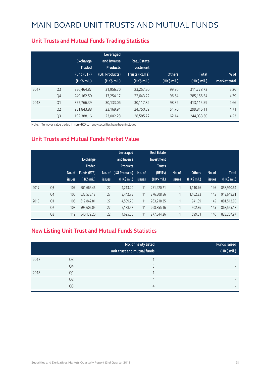|      |                | <b>Exchange</b><br><b>Traded</b><br>Fund (ETF)<br>$(HK\$ mil.) | Leveraged<br>and Inverse<br><b>Products</b><br>(L&I Products)<br>(HK\$ mil.) | <b>Real Estate</b><br>Investment<br><b>Trusts (REITs)</b><br>(HK\$ mil.) | <b>Others</b><br>(HK\$ mil.) | <b>Total</b><br>(HK\$ mil.) | $%$ of<br>market total |
|------|----------------|----------------------------------------------------------------|------------------------------------------------------------------------------|--------------------------------------------------------------------------|------------------------------|-----------------------------|------------------------|
| 2017 | Q <sub>3</sub> | 256,464.87                                                     | 31,956.70                                                                    | 23,257.20                                                                | 99.96                        | 311,778.73                  | 5.26                   |
|      | Q4             | 249,162.50                                                     | 13,254.17                                                                    | 22,643.22                                                                | 96.64                        | 285,156.54                  | 4.39                   |
| 2018 | Q1             | 352,766.39                                                     | 30,133.06                                                                    | 30,117.82                                                                | 98.32                        | 413,115.59                  | 4.66                   |
|      | Q <sub>2</sub> | 251,843.88                                                     | 23,169.94                                                                    | 24,750.59                                                                | 51.70                        | 299,816.11                  | 4.71                   |
|      | Q <sub>3</sub> | 192,388.16                                                     | 23,002.28                                                                    | 28,585.72                                                                | 62.14                        | 244,038.30                  | 4.23                   |

#### **Unit Trusts and Mutual Funds Trading Statistics**

Note: Turnover value traded in non-HKD currency securities have been included

### **Unit Trusts and Mutual Funds Market Value**

|      |                | No. of<br><b>issues</b> | <b>Exchange</b><br><b>Traded</b><br><b>Funds (ETF)</b><br>(HK\$ mil.) | No. of<br><b>issues</b> | Leveraged<br>and Inverse<br><b>Products</b><br>(L&I Products)<br>$(HK$$ mil.) | No. of<br>issues | <b>Real Estate</b><br>Investment<br><b>Trusts</b><br>(REITs)<br>(HK\$ mil.) | No. of<br><b>issues</b> | <b>Others</b><br>(HK\$ mil.) | No. of<br>issues | <b>Total</b><br>(HK\$ mil.) |
|------|----------------|-------------------------|-----------------------------------------------------------------------|-------------------------|-------------------------------------------------------------------------------|------------------|-----------------------------------------------------------------------------|-------------------------|------------------------------|------------------|-----------------------------|
| 2017 | Q <sub>3</sub> | 107                     | 601,666.46                                                            | 27                      | 4.213.20                                                                      | 11               | 251,920.21                                                                  | 1                       | 1.110.76                     | 146              | 858.910.64                  |
|      | Q4             | 106                     | 632,535.18                                                            | 27                      | 3,442.75                                                                      | 11               | 276,508.56                                                                  | 1                       | 1,162.33                     | 145              | 913,648.81                  |
| 2018 | Q <sub>1</sub> | 106                     | 612.842.81                                                            | 27                      | 4.509.75                                                                      | 11               | 263.218.35                                                                  | 1                       | 941.89                       | 145              | 881.512.80                  |
|      | Q <sub>2</sub> | 108                     | 593.609.09                                                            | 27                      | 5,188.57                                                                      | 11               | 268,855.16                                                                  | 1                       | 902.36                       | 145              | 868,555.18                  |
|      | Q <sub>3</sub> | 112                     | 540.139.20                                                            | 22                      | 4.625.00                                                                      | 11               | 277,844.26                                                                  | $\overline{ }$          | 599.51                       | 146              | 823,207.97                  |

### **New Listing Unit Trust and Mutual Funds Statistics**

|      |                | No. of newly listed<br>unit trust and mutual funds | <b>Funds raised</b><br>(HK\$ mil.) |
|------|----------------|----------------------------------------------------|------------------------------------|
| 2017 | Q3             |                                                    | -                                  |
|      | Q4             | っ                                                  | $\overline{\phantom{0}}$           |
| 2018 | Q1             |                                                    |                                    |
|      | Q <sub>2</sub> | 4                                                  | $\overline{\phantom{0}}$           |
|      | Q <sub>3</sub> | 4                                                  | $\overline{\phantom{0}}$           |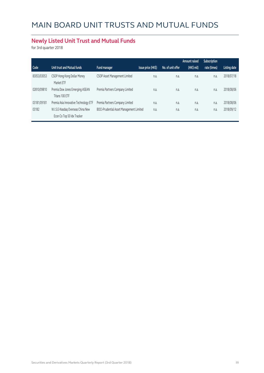### **Newly Listed Unit Trust and Mutual Funds**

for 3rd quarter 2018

|             |                                                   |                                          |                    |                   | Amount raised | Subscription |              |
|-------------|---------------------------------------------------|------------------------------------------|--------------------|-------------------|---------------|--------------|--------------|
| Code        | Unit trust and Mutual funds                       | Fund manager                             | Issue price (HK\$) | No. of unit offer | $(HK$$ mil)   | rate (times) | Listing date |
| 83053/03053 | CSOP Hong Kong Dollar Money<br>Market ETF         | CSOP Asset Management Limited            | n.a.               | n.a.              | n.a.          | n.a.         | 2018/07/18   |
| 02810/09810 | Premia Dow Jones Emerging ASEAN<br>Titans 100 ETF | Premia Partners Company Limited          | n.a.               | n.a.              | n.a.          | n.a.         | 2018/08/06   |
| 03181/09181 | Premia Asia Innovative Technology ETF             | Premia Partners Company Limited          | n.a.               | n.a.              | n.a.          | n.a.         | 2018/08/06   |
| 03182       | W.I.S.E-Nasdag Overseas China New                 | BOCI-Prudential Asset Management Limited | n.a.               | n.a.              | n.a.          | n.a.         | 2018/09/12   |
|             | Econ Co Top 50 Idx Tracker                        |                                          |                    |                   |               |              |              |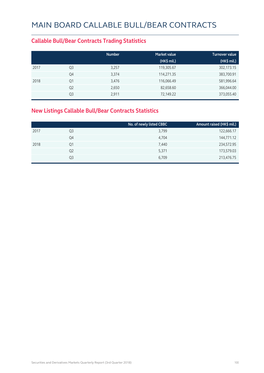### **Callable Bull/Bear Contracts Trading Statistics**

|      |                | <b>Number</b> | <b>Market value</b> | <b>Turnover value</b> |
|------|----------------|---------------|---------------------|-----------------------|
|      |                |               | $(HK\$ mil.)        | (HK\$ mil.)           |
| 2017 | Q <sub>3</sub> | 3,257         | 119,305.67          | 302,173.15            |
|      | Q4             | 3,374         | 114,271.35          | 383,700.91            |
| 2018 | Q1             | 3,476         | 116,066.49          | 581,996.64            |
|      | Q <sub>2</sub> | 2,650         | 82,658.60           | 366,044.00            |
|      | Q3             | 2,911         | 72,149.22           | 373,055.40            |

### **New Listings Callable Bull/Bear Contracts Statistics**

|                | No. of newly listed CBBC | Amount raised (HK\$ mil.) |
|----------------|--------------------------|---------------------------|
| Q3             | 3,799                    | 122,666.17                |
| Q4             | 4,704                    | 144,771.12                |
| Q1             | 7,440                    | 234,572.95                |
| Q <sub>2</sub> | 5,371                    | 173,579.03                |
| Q3             | 6,709                    | 213,476.75                |
|                |                          |                           |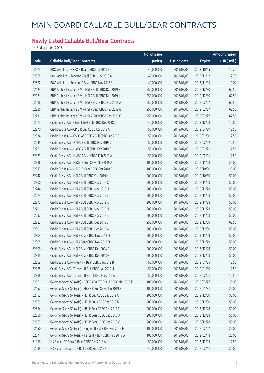### **Newly Listed Callable Bull/Bear Contracts**

for 3rd quarter 2018

|       |                                                               | No. of issue |                     |               | <b>Amount raised</b> |
|-------|---------------------------------------------------------------|--------------|---------------------|---------------|----------------------|
| Code  | <b>Callable Bull/Bear Contracts</b>                           | (units)      | <b>Listing date</b> | <b>Expiry</b> | (HK\$ mil.)          |
| 62573 | BOCI Asia Ltd. - HKEX R Bear CBBC Oct 2018 B                  | 40,000,000   | 2018/07/03          | 2018/10/15    | 10.20                |
| 62568 | BOCI Asia Ltd. - Tencent R Bull CBBC Nov 2018 A               | 40,000,000   | 2018/07/03          | 2018/11/12    | 12.76                |
| 62572 | BOCI Asia Ltd. - Tencent R Bear CBBC Nov 2018 A               | 40,000,000   | 2018/07/03          | 2018/11/05    | 10.04                |
| 62124 | BNP Paribas Issuance B.V. - HSI R Bull CBBC Dec 2019 H        | 250,000,000  | 2018/07/03          | 2019/12/30    | 62.50                |
| 62161 | BNP Paribas Issuance B.V. - HSI R Bull CBBC Dec 2019 K        | 250,000,000  | 2018/07/03          | 2019/12/30    | 62.50                |
| 62218 | BNP Paribas Issuance B.V. - HSI R Bear CBBC Feb 2019 A        | 250,000,000  | 2018/07/03          | 2019/02/27    | 62.50                |
| 62226 | BNP Paribas Issuance B.V. - HSI R Bear CBBC Feb 2019 B        | 250,000,000  | 2018/07/03          | 2019/02/27    | 62.50                |
| 62231 | BNP Paribas Issuance B.V. - HSI R Bear CBBC Feb 2019 C        | 250,000,000  | 2018/07/03          | 2019/02/27    | 62.50                |
| 62273 | Credit Suisse AG - China Life R Bull CBBC Dec 2018 D          | 40,000,000   | 2018/07/03          | 2018/12/28    | 12.80                |
| 62270 | Credit Suisse AG - CPIC R Bull CBBC Apr 2019 A                | 50,000,000   | 2018/07/03          | 2019/04/29    | 12.50                |
| 62334 | Credit Suisse AG - CSOP A50 ETF R Bull CBBC Jan 2019 J        | 50,000,000   | 2018/07/03          | 2019/01/30    | 12.50                |
| 62245 | Credit Suisse AG - HKEX R Bull CBBC Feb 2019 D                | 50,000,000   | 2018/07/03          | 2019/02/22    | 12.50                |
| 62261 | Credit Suisse AG - HKEX R Bull CBBC Feb 2019 E                | 50,000,000   | 2018/07/03          | 2019/02/21    | 17.50                |
| 62323 | Credit Suisse AG - HKEX R Bear CBBC Feb 2019 A                | 50,000,000   | 2018/07/03          | 2019/02/01    | 12.50                |
| 62316 | Credit Suisse AG - HSCEI R Bull CBBC Nov 2019 A               | 100,000,000  | 2018/07/03          | 2019/11/28    | 25.00                |
| 62317 | Credit Suisse AG - HSCEI R Bear CBBC Oct 2018 E               | 100,000,000  | 2018/07/03          | 2018/10/30    | 25.00                |
| 62242 | Credit Suisse AG - HSI R Bull CBBC Oct 2019 H                 | 200,000,000  | 2018/07/03          | 2019/10/30    | 50.00                |
| 62300 | Credit Suisse AG - HSI R Bull CBBC Nov 2019 C                 | 200,000,000  | 2018/07/03          | 2019/11/28    | 50.00                |
| 62244 | Credit Suisse AG - HSI R Bull CBBC Nov 2019 H                 | 200,000,000  | 2018/07/03          | 2019/11/28    | 50.00                |
| 62274 | Credit Suisse AG - HSI R Bull CBBC Nov 2019 J                 | 200,000,000  | 2018/07/03          | 2019/11/28    | 50.00                |
| 62277 | Credit Suisse AG - HSI R Bull CBBC Nov 2019 K                 | 200,000,000  | 2018/07/03          | 2019/11/28    | 50.00                |
| 62291 | Credit Suisse AG - HSI R Bull CBBC Nov 2019 N                 | 200,000,000  | 2018/07/03          | 2019/11/28    | 50.00                |
| 62297 | Credit Suisse AG - HSI R Bull CBBC Nov 2019 Z                 | 200,000,000  | 2018/07/03          | 2019/11/28    | 50.00                |
| 62283 | Credit Suisse AG - HSI R Bull CBBC Dec 2019 V                 | 250,000,000  | 2018/07/03          | 2019/12/30    | 62.50                |
| 62301 | Credit Suisse AG - HSI R Bull CBBC Dec 2019 W                 | 200,000,000  | 2018/07/03          | 2019/12/30    | 50.00                |
| 62304 | Credit Suisse AG - HSI R Bear CBBC Nov 2018 N                 | 200,000,000  | 2018/07/03          | 2018/11/29    | 50.00                |
| 62305 | Credit Suisse AG - HSI R Bear CBBC Nov 2018 O                 | 200,000,000  | 2018/07/03          | 2018/11/29    | 50.00                |
| 62306 | Credit Suisse AG - HSI R Bear CBBC Dec 2018 F                 | 200,000,000  | 2018/07/03          | 2018/12/28    | 50.00                |
| 62315 | Credit Suisse AG - HSI R Bear CBBC Dec 2018 G                 | 200,000,000  | 2018/07/03          | 2018/12/28    | 50.00                |
| 62269 | Credit Suisse AG - Ping An R Bear CBBC Jan 2019 B             | 50,000,000   | 2018/07/03          | 2019/01/25    | 12.50                |
| 62275 | Credit Suisse AG - Tencent R Bull CBBC Jan 2019 U             | 50,000,000   | 2018/07/03          | 2019/01/30    | 12.50                |
| 62318 | Credit Suisse AG - Tencent R Bear CBBC Feb 2019 A             | 50,000,000   | 2018/07/03          | 2019/02/01    | 12.50                |
| 62561 | Goldman Sachs SP (Asia) - CSOP A50 ETF R Bull CBBC Mar 2019 F | 100,000,000  | 2018/07/03          | 2019/03/27    | 25.00                |
| 62152 | Goldman Sachs SP (Asia) - HKEX R Bull CBBC Jan 2019 E         | 100,000,000  | 2018/07/03          | 2019/01/31    | 25.00                |
| 62153 | Goldman Sachs SP (Asia) - HSI R Bull CBBC Dec 2019 C          | 200,000,000  | 2018/07/03          | 2019/12/30    | 50.00                |
| 62069 | Goldman Sachs SP (Asia) - HSI R Bull CBBC Dec 2019 N          | 200,000,000  | 2018/07/03          | 2019/12/30    | 50.00                |
| 62554 | Goldman Sachs SP (Asia) - HSI R Bear CBBC Dec 2018 T          | 200,000,000  | 2018/07/03          | 2018/12/28    | 50.00                |
| 62556 | Goldman Sachs SP (Asia) - HSI R Bear CBBC Dec 2018 U          | 200,000,000  | 2018/07/03          | 2018/12/28    | 50.00                |
| 62557 | Goldman Sachs SP (Asia) - HSI R Bear CBBC Dec 2018 V          | 200,000,000  | 2018/07/03          | 2018/12/28    | 50.00                |
| 62150 | Goldman Sachs SP (Asia) - Ping An R Bull CBBC Feb 2019 H      | 100,000,000  | 2018/07/03          | 2019/02/27    | 25.00                |
| 62074 | Goldman Sachs SP (Asia) - Tencent R Bull CBBC Feb 2019 W      | 100,000,000  | 2018/07/03          | 2019/02/18    | 25.00                |
| 61956 | HK Bank - CC Bank R Bear CBBC Dec 2018 A                      | 50,000,000   | 2018/07/03          | 2018/12/03    | 12.50                |
| 62099 | HK Bank - China Life R Bull CBBC Feb 2019 A                   | 40,000,000   | 2018/07/03          | 2019/02/11    | 20.00                |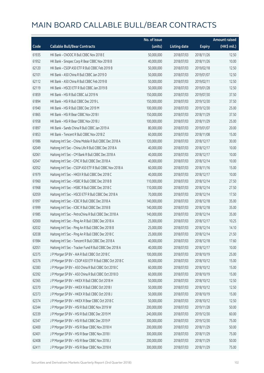|       |                                                         | No. of issue |                     |               | <b>Amount raised</b> |
|-------|---------------------------------------------------------|--------------|---------------------|---------------|----------------------|
| Code  | <b>Callable Bull/Bear Contracts</b>                     | (units)      | <b>Listing date</b> | <b>Expiry</b> | (HK\$ mil.)          |
| 61935 | HK Bank - CNOOC R Bull CBBC Nov 2018 E                  | 50,000,000   | 2018/07/03          | 2018/11/26    | 12.50                |
| 61952 | HK Bank - Sinopec Corp R Bear CBBC Nov 2018 B           | 40,000,000   | 2018/07/03          | 2018/11/26    | 10.00                |
| 62120 | HK Bank - CSOP A50 ETF R Bull CBBC Feb 2019 B           | 50,000,000   | 2018/07/03          | 2019/02/18    | 12.50                |
| 62101 | HK Bank - A50 China R Bull CBBC Jan 2019 D              | 50,000,000   | 2018/07/03          | 2019/01/07    | 12.50                |
| 62112 | HK Bank - A50 China R Bull CBBC Feb 2019 B              | 50,000,000   | 2018/07/03          | 2019/02/11    | 12.50                |
| 62119 | HK Bank - HSCEI ETF R Bull CBBC Jan 2019 B              | 50,000,000   | 2018/07/03          | 2019/01/28    | 12.50                |
| 61859 | HK Bank - HSI R Bull CBBC Jul 2019 N                    | 150,000,000  | 2018/07/03          | 2019/07/30    | 37.50                |
| 61894 | HK Bank - HSI R Bull CBBC Dec 2019 L                    | 150,000,000  | 2018/07/03          | 2019/12/30    | 37.50                |
| 61940 | HK Bank - HSI R Bull CBBC Dec 2019 M                    | 100,000,000  | 2018/07/03          | 2019/12/30    | 25.00                |
| 61865 | HK Bank - HSI R Bear CBBC Nov 2018 I                    | 150,000,000  | 2018/07/03          | 2018/11/29    | 37.50                |
| 61958 | HK Bank - HSI R Bear CBBC Nov 2018 J                    | 100,000,000  | 2018/07/03          | 2018/11/29    | 25.00                |
| 61897 | HK Bank - Sands China R Bull CBBC Jan 2019 A            | 80,000,000   | 2018/07/03          | 2019/01/07    | 20.00                |
| 61853 | HK Bank - Tencent R Bull CBBC Nov 2018 Z                | 60,000,000   | 2018/07/03          | 2018/11/08    | 15.00                |
| 61986 | Haitong Int'l Sec - China Mobile R Bull CBBC Dec 2018 A | 120,000,000  | 2018/07/03          | 2018/12/17    | 30.00                |
| 62049 | Haitong Int'l Sec - China Life R Bull CBBC Dec 2018 A   | 40,000,000   | 2018/07/03          | 2018/12/17    | 10.00                |
| 62061 | Haitong Int'l Sec - CM Bank R Bull CBBC Dec 2018 A      | 40,000,000   | 2018/07/03          | 2018/12/17    | 10.00                |
| 62047 | Haitong Int'l Sec - CPIC R Bull CBBC Dec 2018 A         | 40,000,000   | 2018/07/03          | 2018/12/14    | 10.00                |
| 62052 | Haitong Int'l Sec - CSOP A50 ETF R Bull CBBC Nov 2018 A | 60,000,000   | 2018/07/03          | 2018/11/16    | 15.00                |
| 61979 | Haitong Int'l Sec - HKEX R Bull CBBC Dec 2018 C         | 40,000,000   | 2018/07/03          | 2018/12/17    | 10.00                |
| 61960 | Haitong Int'l Sec - HSBC R Bull CBBC Dec 2018 B         | 110,000,000  | 2018/07/03          | 2018/12/14    | 27.50                |
| 61968 | Haitong Int'l Sec - HSBC R Bull CBBC Dec 2018 C         | 110,000,000  | 2018/07/03          | 2018/12/14    | 27.50                |
| 62059 | Haitong Int'l Sec - HSCEI ETF R Bull CBBC Dec 2018 A    | 70,000,000   | 2018/07/03          | 2018/12/14    | 17.50                |
| 61997 | Haitong Int'l Sec - ICBC R Bull CBBC Dec 2018 A         | 140,000,000  | 2018/07/03          | 2018/12/18    | 35.00                |
| 61999 | Haitong Int'l Sec - ICBC R Bull CBBC Dec 2018 B         | 140,000,000  | 2018/07/03          | 2018/12/18    | 35.00                |
| 61985 | Haitong Int'l Sec - PetroChina R Bull CBBC Dec 2018 A   | 140,000,000  | 2018/07/03          | 2018/12/14    | 35.00                |
| 62000 | Haitong Int'l Sec - Ping An R Bull CBBC Dec 2018 A      | 25,000,000   | 2018/07/03          | 2018/12/17    | 10.25                |
| 62032 | Haitong Int'l Sec - Ping An R Bull CBBC Dec 2018 B      | 25,000,000   | 2018/07/03          | 2018/12/14    | 14.10                |
| 62038 | Haitong Int'l Sec - Ping An R Bull CBBC Dec 2018 C      | 25,000,000   | 2018/07/03          | 2018/12/14    | 21.50                |
| 61984 | Haitong Int'l Sec - Tencent R Bull CBBC Dec 2018 A      | 40,000,000   | 2018/07/03          | 2018/12/18    | 17.60                |
| 62051 | Haitong Int'l Sec - Tracker Fund R Bull CBBC Dec 2018 A | 40,000,000   | 2018/07/03          | 2018/12/17    | 10.00                |
| 62375 | JP Morgan SP BV - AIA R Bull CBBC Oct 2018 C            | 100,000,000  | 2018/07/03          | 2018/10/19    | 25.00                |
| 62376 | JP Morgan SP BV - CSOP A50 ETF R Bull CBBC Oct 2018 C   | 60,000,000   | 2018/07/03          | 2018/10/12    | 15.00                |
| 62383 | J P Morgan SP BV - A50 China R Bull CBBC Oct 2018 C     | 60,000,000   | 2018/07/03          | 2018/10/12    | 15.00                |
| 62392 | J P Morgan SP BV - A50 China R Bull CBBC Oct 2018 D     | 60,000,000   | 2018/07/03          | 2018/10/19    | 15.00                |
| 62365 | J P Morgan SP BV - HKEX R Bull CBBC Oct 2018 H          | 50,000,000   | 2018/07/03          | 2018/10/12    | 12.50                |
| 62370 | J P Morgan SP BV - HKEX R Bull CBBC Oct 2018 I          | 50,000,000   | 2018/07/03          | 2018/10/12    | 12.50                |
| 62373 | J P Morgan SP BV - HKEX R Bull CBBC Oct 2018 J          | 50,000,000   | 2018/07/03          | 2018/10/19    | 15.00                |
| 62374 | J P Morgan SP BV - HKEX R Bear CBBC Oct 2018 C          | 50,000,000   | 2018/07/03          | 2018/10/12    | 12.50                |
| 62344 | J P Morgan SP BV - HSI R Bull CBBC Nov 2019 W           | 200,000,000  | 2018/07/03          | 2019/11/28    | 50.00                |
| 62339 | J P Morgan SP BV - HSI R Bull CBBC Dec 2019 M           | 240,000,000  | 2018/07/03          | 2019/12/30    | 60.00                |
| 62347 | J P Morgan SP BV - HSI R Bull CBBC Dec 2019 P           | 300,000,000  | 2018/07/03          | 2019/12/30    | 75.00                |
| 62400 | J P Morgan SP BV - HSI R Bear CBBC Nov 2018 H           | 200,000,000  | 2018/07/03          | 2018/11/29    | 50.00                |
| 62401 | J P Morgan SP BV - HSI R Bear CBBC Nov 2018 I           | 300,000,000  | 2018/07/03          | 2018/11/29    | 75.00                |
| 62408 | J P Morgan SP BV - HSI R Bear CBBC Nov 2018 J           | 200,000,000  | 2018/07/03          | 2018/11/29    | 50.00                |
| 62411 | J P Morgan SP BV - HSI R Bear CBBC Nov 2018 K           | 300,000,000  | 2018/07/03          | 2018/11/29    | 75.00                |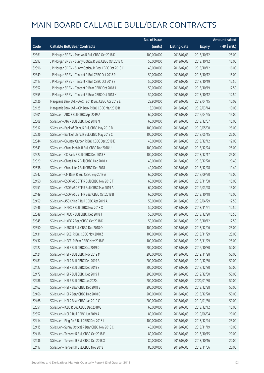|       |                                                         | No. of issue |                     |               | <b>Amount raised</b>  |
|-------|---------------------------------------------------------|--------------|---------------------|---------------|-----------------------|
| Code  | <b>Callable Bull/Bear Contracts</b>                     | (units)      | <b>Listing date</b> | <b>Expiry</b> | $(HK\frac{1}{2}mil.)$ |
| 62361 | J P Morgan SP BV - Ping An R Bull CBBC Oct 2018 D       | 100,000,000  | 2018/07/03          | 2018/10/12    | 25.00                 |
| 62393 | J P Morgan SP BV - Sunny Optical R Bull CBBC Oct 2018 C | 50,000,000   | 2018/07/03          | 2018/10/12    | 15.00                 |
| 62396 | J P Morgan SP BV - Sunny Optical R Bear CBBC Oct 2018 C | 40,000,000   | 2018/07/03          | 2018/10/12    | 16.00                 |
| 62349 | J P Morgan SP BV - Tencent R Bull CBBC Oct 2018 R       | 50,000,000   | 2018/07/03          | 2018/10/12    | 15.00                 |
| 62413 | J P Morgan SP BV - Tencent R Bull CBBC Oct 2018 S       | 50,000,000   | 2018/07/03          | 2018/10/19    | 12.50                 |
| 62352 | J P Morgan SP BV - Tencent R Bear CBBC Oct 2018 J       | 50,000,000   | 2018/07/03          | 2018/10/19    | 12.50                 |
| 62355 | J P Morgan SP BV - Tencent R Bear CBBC Oct 2018 K       | 50,000,000   | 2018/07/03          | 2018/10/12    | 12.50                 |
| 62126 | Macquarie Bank Ltd. - AAC Tech R Bull CBBC Apr 2019 E   | 28,900,000   | 2018/07/03          | 2019/04/15    | 10.03                 |
| 62125 | Macquarie Bank Ltd. - CM Bank R Bull CBBC Mar 2019 B    | 13,300,000   | 2018/07/03          | 2019/03/14    | 10.03                 |
| 62501 | SG Issuer - ABC R Bull CBBC Apr 2019 A                  | 60,000,000   | 2018/07/03          | 2019/04/25    | 15.00                 |
| 62508 | SG Issuer - AIA R Bull CBBC Dec 2018 N                  | 60,000,000   | 2018/07/03          | 2018/12/07    | 15.00                 |
| 62512 | SG Issuer - Bank of China R Bull CBBC May 2019 B        | 100,000,000  | 2018/07/03          | 2019/05/08    | 25.00                 |
| 62526 | SG Issuer - Bank of China R Bull CBBC May 2019 C        | 100,000,000  | 2018/07/03          | 2019/05/15    | 25.00                 |
| 62544 | SG Issuer - Country Garden R Bull CBBC Dec 2018 E       | 40,000,000   | 2018/07/03          | 2018/12/12    | 12.00                 |
| 62543 | SG Issuer - China Mobile R Bull CBBC Dec 2018 U         | 100,000,000  | 2018/07/03          | 2018/12/24    | 25.00                 |
| 62527 | SG Issuer - CC Bank R Bull CBBC Dec 2018 F              | 100,000,000  | 2018/07/03          | 2018/12/17    | 25.00                 |
| 62529 | SG Issuer - China Life R Bull CBBC Dec 2018 K           | 40,000,000   | 2018/07/03          | 2018/12/28    | 20.40                 |
| 62538 | SG Issuer - China Life R Bull CBBC Dec 2018 L           | 40,000,000   | 2018/07/03          | 2018/12/28    | 11.40                 |
| 62542 | SG Issuer - CM Bank R Bull CBBC Sep 2019 A              | 60,000,000   | 2018/07/03          | 2019/09/20    | 15.00                 |
| 62450 | SG Issuer - CSOP A50 ETF R Bull CBBC Nov 2018 T         | 60,000,000   | 2018/07/03          | 2018/11/08    | 15.00                 |
| 62451 | SG Issuer - CSOP A50 ETF R Bull CBBC Mar 2019 A         | 60,000,000   | 2018/07/03          | 2019/03/28    | 15.00                 |
| 62449 | SG Issuer - CSOP A50 ETF R Bear CBBC Oct 2018 B         | 60,000,000   | 2018/07/03          | 2018/10/18    | 15.00                 |
| 62459 | SG Issuer - A50 China R Bull CBBC Apr 2019 A            | 50,000,000   | 2018/07/03          | 2019/04/29    | 12.50                 |
| 62546 | SG Issuer - HKEX R Bull CBBC Nov 2018 X                 | 50,000,000   | 2018/07/03          | 2018/11/21    | 12.50                 |
| 62548 | SG Issuer - HKEX R Bull CBBC Dec 2018 T                 | 50,000,000   | 2018/07/03          | 2018/12/20    | 15.50                 |
| 62545 | SG Issuer - HKEX R Bear CBBC Oct 2018 D                 | 50,000,000   | 2018/07/03          | 2018/10/12    | 12.50                 |
| 62550 | SG Issuer - HSBC R Bull CBBC Dec 2018 O                 | 100,000,000  | 2018/07/03          | 2018/12/06    | 25.00                 |
| 62431 | SG Issuer - HSCEI R Bull CBBC Nov 2018 Z                | 100,000,000  | 2018/07/03          | 2018/11/29    | 25.00                 |
| 62432 | SG Issuer - HSCEI R Bear CBBC Nov 2018 E                | 100,000,000  | 2018/07/03          | 2018/11/29    | 25.00                 |
| 62422 | SG Issuer - HSI R Bull CBBC Oct 2019 D                  | 200,000,000  | 2018/07/03          | 2019/10/30    | 50.00                 |
| 62424 | SG Issuer - HSI R Bull CBBC Nov 2019 M                  | 200,000,000  | 2018/07/03          | 2019/11/28    | 50.00                 |
| 62481 | SG Issuer - HSI R Bull CBBC Dec 2019 B                  | 200,000,000  | 2018/07/03          | 2019/12/30    | 50.00                 |
| 62427 | SG Issuer - HSI R Bull CBBC Dec 2019 S                  | 200,000,000  | 2018/07/03          | 2019/12/30    | 50.00                 |
| 62472 | SG Issuer - HSI R Bull CBBC Dec 2019 T                  | 200,000,000  | 2018/07/03          | 2019/12/30    | 50.00                 |
| 62486 | SG Issuer - HSI R Bull CBBC Jan 2020 J                  | 200,000,000  | 2018/07/03          | 2020/01/30    | 50.00                 |
| 62462 | SG Issuer - HSI R Bear CBBC Dec 2018 B                  | 200,000,000  | 2018/07/03          | 2018/12/28    | 50.00                 |
| 62466 | SG Issuer - HSI R Bear CBBC Dec 2018 C                  | 200,000,000  | 2018/07/03          | 2018/12/28    | 50.00                 |
| 62468 | SG Issuer - HSI R Bear CBBC Jan 2019 C                  | 200,000,000  | 2018/07/03          | 2019/01/30    | 50.00                 |
| 62551 | SG Issuer - ICBC R Bull CBBC Dec 2018 G                 | 60,000,000   | 2018/07/03          | 2018/12/12    | 15.00                 |
| 62552 | SG Issuer - NCI R Bull CBBC Jun 2019 A                  | 80,000,000   | 2018/07/03          | 2019/06/04    | 20.00                 |
| 62414 | SG Issuer - Ping An R Bull CBBC Dec 2018 I              | 100,000,000  | 2018/07/03          | 2018/12/24    | 25.00                 |
| 62415 | SG Issuer - Sunny Optical R Bear CBBC Nov 2018 C        | 40,000,000   | 2018/07/03          | 2018/11/19    | 10.00                 |
| 62416 | SG Issuer - Tencent R Bull CBBC Oct 2018 E              | 80,000,000   | 2018/07/03          | 2018/10/15    | 20.00                 |
| 62436 | SG Issuer - Tencent R Bull CBBC Oct 2018 X              | 80,000,000   | 2018/07/03          | 2018/10/16    | 20.00                 |
| 62417 | SG Issuer - Tencent R Bull CBBC Nov 2018 I              | 80,000,000   | 2018/07/03          | 2018/11/06    | 20.00                 |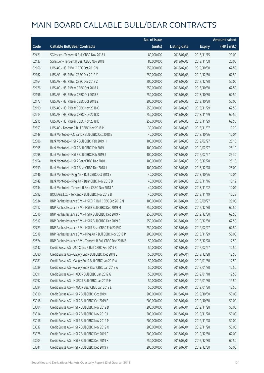|       |                                                            | No. of issue |                     |               | <b>Amount raised</b> |
|-------|------------------------------------------------------------|--------------|---------------------|---------------|----------------------|
| Code  | <b>Callable Bull/Bear Contracts</b>                        | (units)      | <b>Listing date</b> | <b>Expiry</b> | (HK\$ mil.)          |
| 62421 | SG Issuer - Tencent R Bull CBBC Nov 2018 J                 | 80,000,000   | 2018/07/03          | 2018/11/15    | 20.00                |
| 62437 | SG Issuer - Tencent R Bear CBBC Nov 2018 I                 | 80,000,000   | 2018/07/03          | 2018/11/08    | 20.00                |
| 62166 | UBS AG - HSI R Bull CBBC Oct 2019 N                        | 250,000,000  | 2018/07/03          | 2019/10/30    | 62.50                |
| 62162 | UBS AG - HSI R Bull CBBC Dec 2019 Y                        | 250,000,000  | 2018/07/03          | 2019/12/30    | 62.50                |
| 62164 | UBS AG - HSI R Bull CBBC Dec 2019 Z                        | 200,000,000  | 2018/07/03          | 2019/12/30    | 50.00                |
| 62176 | UBS AG - HSI R Bear CBBC Oct 2018 A                        | 250,000,000  | 2018/07/03          | 2018/10/30    | 62.50                |
| 62196 | UBS AG - HSI R Bear CBBC Oct 2018 B                        | 250,000,000  | 2018/07/03          | 2018/10/30    | 62.50                |
| 62173 | UBS AG - HSI R Bear CBBC Oct 2018 Z                        | 200,000,000  | 2018/07/03          | 2018/10/30    | 50.00                |
| 62190 | UBS AG - HSI R Bear CBBC Nov 2018 C                        | 250,000,000  | 2018/07/03          | 2018/11/29    | 62.50                |
| 62214 | UBS AG - HSI R Bear CBBC Nov 2018 D                        | 250,000,000  | 2018/07/03          | 2018/11/29    | 62.50                |
| 62215 | UBS AG - HSI R Bear CBBC Nov 2018 E                        | 250,000,000  | 2018/07/03          | 2018/11/29    | 62.50                |
| 62553 | UBS AG - Tencent R Bull CBBC Nov 2018 M                    | 30,000,000   | 2018/07/03          | 2018/11/07    | 10.20                |
| 62149 | Bank Vontobel - CC Bank R Bull CBBC Oct 2018 E             | 40,000,000   | 2018/07/03          | 2018/10/26    | 10.04                |
| 62086 | Bank Vontobel - HSI R Bull CBBC Feb 2019 H                 | 100,000,000  | 2018/07/03          | 2019/02/27    | 25.10                |
| 62095 | Bank Vontobel - HSI R Bull CBBC Feb 2019 I                 | 100,000,000  | 2018/07/03          | 2019/02/27    | 25.10                |
| 62098 | Bank Vontobel - HSI R Bull CBBC Feb 2019 J                 | 100,000,000  | 2018/07/03          | 2019/02/27    | 25.30                |
| 62154 | Bank Vontobel - HSI R Bear CBBC Dec 2018 I                 | 100,000,000  | 2018/07/03          | 2018/12/28    | 25.10                |
| 62159 | Bank Vontobel - HSI R Bear CBBC Dec 2018 J                 | 100,000,000  | 2018/07/03          | 2018/12/28    | 25.00                |
| 62146 | Bank Vontobel - Ping An R Bull CBBC Oct 2018 E             | 40,000,000   | 2018/07/03          | 2018/10/26    | 10.04                |
| 62142 | Bank Vontobel - Ping An R Bear CBBC Nov 2018 D             | 40,000,000   | 2018/07/03          | 2018/11/16    | 10.12                |
| 62134 | Bank Vontobel - Tencent R Bear CBBC Nov 2018 A             | 40,000,000   | 2018/07/03          | 2018/11/02    | 10.04                |
| 62792 | BOCI Asia Ltd. - Tencent R Bull CBBC Nov 2018 B            | 40,000,000   | 2018/07/04          | 2018/11/19    | 10.28                |
| 62634 | BNP Paribas Issuance B.V. - HSCEI R Bull CBBC Sep 2019 N   | 100,000,000  | 2018/07/04          | 2019/09/27    | 25.00                |
| 62612 | BNP Paribas Issuance B.V. - HSI R Bull CBBC Dec 2019 M     | 250,000,000  | 2018/07/04          | 2019/12/30    | 62.50                |
| 62616 | BNP Paribas Issuance B.V. - HSI R Bull CBBC Dec 2019 R     | 250,000,000  | 2018/07/04          | 2019/12/30    | 62.50                |
| 62617 | BNP Paribas Issuance B.V. - HSI R Bull CBBC Dec 2019 S     | 250,000,000  | 2018/07/04          | 2019/12/30    | 62.50                |
| 62723 | BNP Paribas Issuance B.V. - HSI R Bear CBBC Feb 2019 D     | 250,000,000  | 2018/07/04          | 2019/02/27    | 62.50                |
| 62618 | BNP Paribas Issuance B.V. - Ping An R Bull CBBC Nov 2018 P | 200,000,000  | 2018/07/04          | 2018/11/29    | 50.00                |
| 62624 | BNP Paribas Issuance B.V. - Tencent R Bull CBBC Dec 2018 B | 50,000,000   | 2018/07/04          | 2018/12/28    | 12.50                |
| 63142 | Credit Suisse AG - A50 China R Bull CBBC Feb 2019 B        | 50,000,000   | 2018/07/04          | 2019/02/27    | 12.50                |
| 63080 | Credit Suisse AG - Galaxy Ent R Bull CBBC Dec 2018 E       | 50,000,000   | 2018/07/04          | 2018/12/28    | 12.50                |
| 63081 | Credit Suisse AG - Galaxy Ent R Bull CBBC Jan 2019 A       | 50,000,000   | 2018/07/04          | 2019/01/30    | 12.50                |
| 63089 | Credit Suisse AG - Galaxy Ent R Bear CBBC Jan 2019 A       | 50,000,000   | 2018/07/04          | 2019/01/30    | 12.50                |
| 63091 | Credit Suisse AG - HKEX R Bull CBBC Jan 2019 G             | 50,000,000   | 2018/07/04          | 2019/01/18    | 12.50                |
| 63092 | Credit Suisse AG - HKEX R Bull CBBC Jan 2019 H             | 50,000,000   | 2018/07/04          | 2019/01/30    | 19.50                |
| 63094 | Credit Suisse AG - HKEX R Bear CBBC Jan 2019 E             | 50,000,000   | 2018/07/04          | 2019/01/30    | 12.50                |
| 63010 | Credit Suisse AG - HSI R Bull CBBC Oct 2019 I              | 200,000,000  | 2018/07/04          | 2019/10/30    | 50.00                |
| 63018 | Credit Suisse AG - HSI R Bull CBBC Oct 2019 P              | 200,000,000  | 2018/07/04          | 2019/10/30    | 50.00                |
| 63004 | Credit Suisse AG - HSI R Bull CBBC Nov 2019 D              | 200,000,000  | 2018/07/04          | 2019/11/28    | 50.00                |
| 63014 | Credit Suisse AG - HSI R Bull CBBC Nov 2019 L              | 200,000,000  | 2018/07/04          | 2019/11/28    | 50.00                |
| 63016 | Credit Suisse AG - HSI R Bull CBBC Nov 2019 M              | 200,000,000  | 2018/07/04          | 2019/11/28    | 50.00                |
| 63037 | Credit Suisse AG - HSI R Bull CBBC Nov 2019 O              | 200,000,000  | 2018/07/04          | 2019/11/28    | 50.00                |
| 63078 | Credit Suisse AG - HSI R Bull CBBC Dec 2019 C              | 200,000,000  | 2018/07/04          | 2019/12/30    | 62.00                |
| 63003 | Credit Suisse AG - HSI R Bull CBBC Dec 2019 X              | 250,000,000  | 2018/07/04          | 2019/12/30    | 62.50                |
| 63041 | Credit Suisse AG - HSI R Bull CBBC Dec 2019 Y              | 200,000,000  | 2018/07/04          | 2019/12/30    | 50.00                |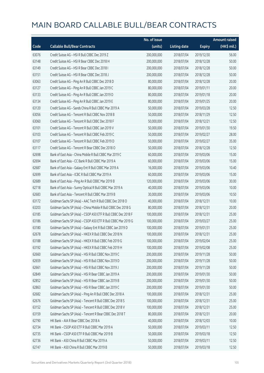|       |                                                               | No. of issue |                     |               | Amount raised |
|-------|---------------------------------------------------------------|--------------|---------------------|---------------|---------------|
| Code  | <b>Callable Bull/Bear Contracts</b>                           | (units)      | <b>Listing date</b> | <b>Expiry</b> | (HK\$ mil.)   |
| 63076 | Credit Suisse AG - HSI R Bull CBBC Dec 2019 Z                 | 200,000,000  | 2018/07/04          | 2019/12/30    | 56.00         |
| 63148 | Credit Suisse AG - HSI R Bear CBBC Dec 2018 H                 | 200,000,000  | 2018/07/04          | 2018/12/28    | 50.00         |
| 63149 | Credit Suisse AG - HSI R Bear CBBC Dec 2018 I                 | 200,000,000  | 2018/07/04          | 2018/12/28    | 50.00         |
| 63151 | Credit Suisse AG - HSI R Bear CBBC Dec 2018 J                 | 200,000,000  | 2018/07/04          | 2018/12/28    | 50.00         |
| 63063 | Credit Suisse AG - Ping An R Bull CBBC Dec 2018 D             | 80,000,000   | 2018/07/04          | 2018/12/28    | 20.00         |
| 63127 | Credit Suisse AG - Ping An R Bull CBBC Jan 2019 C             | 80,000,000   | 2018/07/04          | 2019/01/11    | 20.00         |
| 63133 | Credit Suisse AG - Ping An R Bull CBBC Jan 2019 D             | 80,000,000   | 2018/07/04          | 2019/01/18    | 20.00         |
| 63134 | Credit Suisse AG - Ping An R Bull CBBC Jan 2019 E             | 80,000,000   | 2018/07/04          | 2019/01/25    | 20.00         |
| 63120 | Credit Suisse AG - Sands China R Bull CBBC Mar 2019 A         | 50,000,000   | 2018/07/04          | 2019/03/28    | 12.50         |
| 63056 | Credit Suisse AG - Tencent R Bull CBBC Nov 2018 B             | 50,000,000   | 2018/07/04          | 2018/11/29    | 12.50         |
| 63060 | Credit Suisse AG - Tencent R Bull CBBC Dec 2018 F             | 50,000,000   | 2018/07/04          | 2018/12/21    | 12.50         |
| 63101 | Credit Suisse AG - Tencent R Bull CBBC Jan 2019 V             | 50,000,000   | 2018/07/04          | 2019/01/30    | 19.50         |
| 63103 | Credit Suisse AG - Tencent R Bull CBBC Feb 2019 C             | 50,000,000   | 2018/07/04          | 2019/02/27    | 28.00         |
| 63107 | Credit Suisse AG - Tencent R Bull CBBC Feb 2019 D             | 50,000,000   | 2018/07/04          | 2019/02/27    | 35.00         |
| 63117 | Credit Suisse AG - Tencent R Bear CBBC Dec 2018 O             | 50,000,000   | 2018/07/04          | 2018/12/28    | 12.50         |
| 62698 | Bank of East Asia - China Mobile R Bull CBBC Mar 2019 C       | 60,000,000   | 2018/07/04          | 2019/03/06    | 15.00         |
| 62694 | Bank of East Asia - CC Bank R Bull CBBC Mar 2019 A            | 60,000,000   | 2018/07/04          | 2019/03/06    | 15.00         |
| 62687 | Bank of East Asia - Galaxy Ent R Bull CBBC Mar 2019 A         | 16,000,000   | 2018/07/04          | 2019/03/06    | 10.40         |
| 62699 | Bank of East Asia - ICBC R Bull CBBC Mar 2019 A               | 60,000,000   | 2018/07/04          | 2019/03/06    | 15.00         |
| 62689 | Bank of East Asia - Ping An R Bull CBBC Mar 2019 B            | 120,000,000  | 2018/07/04          | 2019/03/06    | 30.00         |
| 62718 | Bank of East Asia - Sunny Optical R Bull CBBC Mar 2019 A      | 40,000,000   | 2018/07/04          | 2019/03/06    | 10.00         |
| 62683 | Bank of East Asia - Tencent R Bull CBBC Mar 2019 B            | 30,000,000   | 2018/07/04          | 2019/03/06    | 10.50         |
| 63172 | Goldman Sachs SP (Asia) - AAC Tech R Bull CBBC Dec 2018 O     | 40,000,000   | 2018/07/04          | 2018/12/31    | 10.00         |
| 63203 | Goldman Sachs SP (Asia) - China Mobile R Bull CBBC Dec 2018 G | 80,000,000   | 2018/07/04          | 2018/12/31    | 20.00         |
| 63185 | Goldman Sachs SP (Asia) - CSOP A50 ETF R Bull CBBC Dec 2018 F | 100,000,000  | 2018/07/04          | 2018/12/31    | 25.00         |
| 63186 | Goldman Sachs SP (Asia) - CSOP A50 ETF R Bull CBBC Mar 2019 G | 100,000,000  | 2018/07/04          | 2019/03/27    | 25.00         |
| 63180 | Goldman Sachs SP (Asia) - Galaxy Ent R Bull CBBC Jan 2019 D   | 100,000,000  | 2018/07/04          | 2019/01/31    | 25.00         |
| 62678 | Goldman Sachs SP (Asia) - HKEX R Bull CBBC Dec 2018 N         | 100,000,000  | 2018/07/04          | 2018/12/31    | 25.00         |
| 63188 | Goldman Sachs SP (Asia) - HKEX R Bull CBBC Feb 2019 G         | 100,000,000  | 2018/07/04          | 2019/02/04    | 25.00         |
| 63192 | Goldman Sachs SP (Asia) - HKEX R Bull CBBC Feb 2019 H         | 100,000,000  | 2018/07/04          | 2019/02/08    | 25.00         |
| 62660 | Goldman Sachs SP (Asia) - HSI R Bull CBBC Nov 2019 C          | 200,000,000  | 2018/07/04          | 2019/11/28    | 50.00         |
| 62659 | Goldman Sachs SP (Asia) - HSI R Bull CBBC Nov 2019 D          | 200,000,000  | 2018/07/04          | 2019/11/28    | 50.00         |
| 62661 | Goldman Sachs SP (Asia) - HSI R Bull CBBC Nov 2019 J          | 200,000,000  | 2018/07/04          | 2019/11/28    | 50.00         |
| 62849 | Goldman Sachs SP (Asia) - HSI R Bear CBBC Jan 2019 A          | 200,000,000  | 2018/07/04          | 2019/01/30    | 50.00         |
| 62852 | Goldman Sachs SP (Asia) - HSI R Bear CBBC Jan 2019 B          | 200,000,000  | 2018/07/04          | 2019/01/30    | 50.00         |
| 62863 | Goldman Sachs SP (Asia) - HSI R Bear CBBC Jan 2019 C          | 200,000,000  | 2018/07/04          | 2019/01/30    | 50.00         |
| 62682 | Goldman Sachs SP (Asia) - Ping An R Bull CBBC Dec 2018 A      | 100,000,000  | 2018/07/04          | 2018/12/31    | 25.00         |
| 62676 | Goldman Sachs SP (Asia) - Tencent R Bull CBBC Dec 2018 S      | 100,000,000  | 2018/07/04          | 2018/12/31    | 25.00         |
| 63152 | Goldman Sachs SP (Asia) - Tencent R Bull CBBC Dec 2018 V      | 100,000,000  | 2018/07/04          | 2018/12/31    | 25.00         |
| 63159 | Goldman Sachs SP (Asia) - Tencent R Bear CBBC Dec 2018 T      | 80,000,000   | 2018/07/04          | 2018/12/31    | 20.00         |
| 62790 | HK Bank - AIA R Bear CBBC Dec 2018 A                          | 40,000,000   | 2018/07/04          | 2018/12/03    | 10.00         |
| 62734 | HK Bank - CSOP A50 ETF R Bull CBBC Mar 2019 A                 | 50,000,000   | 2018/07/04          | 2019/03/11    | 12.50         |
| 62735 | HK Bank - CSOP A50 ETF R Bull CBBC Mar 2019 B                 | 50,000,000   | 2018/07/04          | 2019/03/18    | 12.50         |
| 62736 | HK Bank - A50 China R Bull CBBC Mar 2019 A                    | 50,000,000   | 2018/07/04          | 2019/03/11    | 12.50         |
| 62747 | HK Bank - A50 China R Bull CBBC Mar 2019 B                    | 50,000,000   | 2018/07/04          | 2019/03/18    | 12.50         |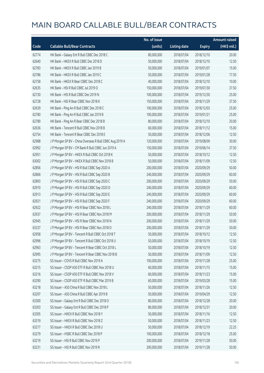|       |                                                          | No. of issue |                     |               | <b>Amount raised</b> |
|-------|----------------------------------------------------------|--------------|---------------------|---------------|----------------------|
| Code  | <b>Callable Bull/Bear Contracts</b>                      | (units)      | <b>Listing date</b> | <b>Expiry</b> | $(HK\$ mil.)         |
| 62774 | HK Bank - Galaxy Ent R Bull CBBC Dec 2018 C              | 80,000,000   | 2018/07/04          | 2018/12/10    | 20.00                |
| 62640 | HK Bank - HKEX R Bull CBBC Dec 2018 D                    | 50,000,000   | 2018/07/04          | 2018/12/10    | 12.50                |
| 62783 | HK Bank - HKEX R Bull CBBC Jan 2019 B                    | 50,000,000   | 2018/07/04          | 2019/01/07    | 15.00                |
| 62786 | HK Bank - HKEX R Bull CBBC Jan 2019 C                    | 50,000,000   | 2018/07/04          | 2019/01/28    | 17.50                |
| 62758 | HK Bank - HKEX R Bear CBBC Dec 2018 C                    | 40,000,000   | 2018/07/04          | 2018/12/10    | 10.00                |
| 62635 | HK Bank - HSI R Bull CBBC Jul 2019 O                     | 150,000,000  | 2018/07/04          | 2019/07/30    | 37.50                |
| 62730 | HK Bank - HSI R Bull CBBC Dec 2019 N                     | 100,000,000  | 2018/07/04          | 2019/12/30    | 25.00                |
| 62728 | HK Bank - HSI R Bear CBBC Nov 2018 K                     | 150,000,000  | 2018/07/04          | 2018/11/29    | 37.50                |
| 62639 | HK Bank - Ping An R Bull CBBC Dec 2018 C                 | 100,000,000  | 2018/07/04          | 2018/12/03    | 25.00                |
| 62780 | HK Bank - Ping An R Bull CBBC Jan 2019 B                 | 100,000,000  | 2018/07/04          | 2019/01/21    | 25.00                |
| 62789 | HK Bank - Ping An R Bear CBBC Dec 2018 B                 | 80,000,000   | 2018/07/04          | 2018/12/10    | 20.00                |
| 62636 | HK Bank - Tencent R Bull CBBC Nov 2018 B                 | 60,000,000   | 2018/07/04          | 2018/11/12    | 15.00                |
| 62754 | HK Bank - Tencent R Bear CBBC Dec 2018 E                 | 50,000,000   | 2018/07/04          | 2018/12/06    | 12.50                |
| 62988 | J P Morgan SP BV - China Overseas R Bull CBBC Aug 2019 A | 120,000,000  | 2018/07/04          | 2019/08/09    | 30.00                |
| 62992 | J P Morgan SP BV - CM Bank R Bull CBBC Jun 2019 A        | 150,000,000  | 2018/07/04          | 2019/06/14    | 37.50                |
| 62951 | J P Morgan SP BV - HKEX R Bull CBBC Oct 2018 K           | 50,000,000   | 2018/07/04          | 2018/10/12    | 12.50                |
| 63002 | J P Morgan SP BV - HKEX R Bull CBBC Nov 2018 B           | 50,000,000   | 2018/07/04          | 2018/11/09    | 12.50                |
| 62856 | J P Morgan SP BV - HSI R Bull CBBC Sep 2020 A            | 200,000,000  | 2018/07/04          | 2020/09/29    | 50.00                |
| 62866 | J P Morgan SP BV - HSI R Bull CBBC Sep 2020 B            | 240,000,000  | 2018/07/04          | 2020/09/29    | 60.00                |
| 62893 | J P Morgan SP BV - HSI R Bull CBBC Sep 2020 C            | 200,000,000  | 2018/07/04          | 2020/09/29    | 50.00                |
| 62910 | J P Morgan SP BV - HSI R Bull CBBC Sep 2020 D            | 240,000,000  | 2018/07/04          | 2020/09/29    | 60.00                |
| 62913 | J P Morgan SP BV - HSI R Bull CBBC Sep 2020 E            | 240,000,000  | 2018/07/04          | 2020/09/29    | 60.00                |
| 62921 | J P Morgan SP BV - HSI R Bull CBBC Sep 2020 F            | 240,000,000  | 2018/07/04          | 2020/09/29    | 60.00                |
| 62922 | J P Morgan SP BV - HSI R Bear CBBC Nov 2018 L            | 240,000,000  | 2018/07/04          | 2018/11/29    | 60.00                |
| 62937 | J P Morgan SP BV - HSI R Bear CBBC Nov 2018 M            | 200,000,000  | 2018/07/04          | 2018/11/29    | 50.00                |
| 62945 | J P Morgan SP BV - HSI R Bear CBBC Nov 2018 N            | 200,000,000  | 2018/07/04          | 2018/11/29    | 50.00                |
| 63337 | J P Morgan SP BV - HSI R Bear CBBC Nov 2018 O            | 200,000,000  | 2018/07/04          | 2018/11/29    | 50.00                |
| 62958 | JP Morgan SP BV - Tencent R Bull CBBC Oct 2018 T         | 50,000,000   | 2018/07/04          | 2018/10/12    | 12.50                |
| 62996 | J P Morgan SP BV - Tencent R Bull CBBC Oct 2018 U        | 50,000,000   | 2018/07/04          | 2018/10/19    | 12.50                |
| 62963 | J P Morgan SP BV - Tencent R Bear CBBC Oct 2018 L        | 50,000,000   | 2018/07/04          | 2018/10/19    | 12.50                |
| 62995 | J P Morgan SP BV - Tencent R Bear CBBC Nov 2018 B        | 50,000,000   | 2018/07/04          | 2018/11/09    | 12.50                |
| 63275 | SG Issuer - COVS R Bull CBBC Nov 2019 A                  | 100,000,000  | 2018/07/04          | 2019/11/28    | 25.00                |
| 63215 | SG Issuer - CSOP A50 ETF R Bull CBBC Nov 2018 U          | 60,000,000   | 2018/07/04          | 2018/11/15    | 15.00                |
| 63216 | SG Issuer - CSOP A50 ETF R Bull CBBC Nov 2018 V          | 60,000,000   | 2018/07/04          | 2018/11/23    | 15.00                |
| 63290 | SG Issuer - CSOP A50 ETF R Bull CBBC Mar 2019 B          | 60,000,000   | 2018/07/04          | 2019/03/28    | 15.00                |
| 63218 | SG Issuer - A50 China R Bull CBBC Nov 2018 L             | 50,000,000   | 2018/07/04          | 2018/11/26    | 12.50                |
| 63297 | SG Issuer - A50 China R Bull CBBC Apr 2019 B             | 50,000,000   | 2018/07/04          | 2019/04/29    | 12.50                |
| 63300 | SG Issuer - Galaxy Ent R Bull CBBC Dec 2018 O            | 80,000,000   | 2018/07/04          | 2018/12/28    | 20.00                |
| 63303 | SG Issuer - Galaxy Ent R Bull CBBC Dec 2018 P            | 80,000,000   | 2018/07/04          | 2018/12/31    | 20.00                |
| 63305 | SG Issuer - HKEX R Bull CBBC Nov 2018 Y                  | 50,000,000   | 2018/07/04          | 2018/11/16    | 12.50                |
| 63319 | SG Issuer - HKEX R Bull CBBC Nov 2018 Z                  | 50,000,000   | 2018/07/04          | 2018/11/23    | 12.50                |
| 63277 | SG Issuer - HKEX R Bull CBBC Dec 2018 U                  | 50,000,000   | 2018/07/04          | 2018/12/19    | 22.25                |
| 63279 | SG Issuer - HSBC R Bull CBBC Dec 2018 P                  | 100,000,000  | 2018/07/04          | 2018/12/18    | 25.00                |
| 63219 | SG Issuer - HSI R Bull CBBC Nov 2019 P                   | 200,000,000  | 2018/07/04          | 2019/11/28    | 50.00                |
| 63231 | SG Issuer - HSI R Bull CBBC Nov 2019 R                   | 200,000,000  | 2018/07/04          | 2019/11/28    | 50.00                |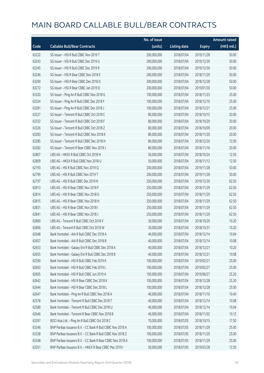|       |                                                            | No. of issue |                     |               | <b>Amount raised</b> |
|-------|------------------------------------------------------------|--------------|---------------------|---------------|----------------------|
| Code  | <b>Callable Bull/Bear Contracts</b>                        | (units)      | <b>Listing date</b> | <b>Expiry</b> | (HK\$ mil.)          |
| 63232 | SG Issuer - HSI R Bull CBBC Nov 2019 T                     | 200,000,000  | 2018/07/04          | 2019/11/28    | 50.00                |
| 63243 | SG Issuer - HSI R Bull CBBC Dec 2019 G                     | 200,000,000  | 2018/07/04          | 2019/12/30    | 50.00                |
| 63245 | SG Issuer - HSI R Bull CBBC Dec 2019 R                     | 200,000,000  | 2018/07/04          | 2019/12/30    | 50.00                |
| 63246 | SG Issuer - HSI R Bear CBBC Nov 2018 E                     | 200,000,000  | 2018/07/04          | 2018/11/29    | 50.00                |
| 63269 | SG Issuer - HSI R Bear CBBC Dec 2018 D                     | 200,000,000  | 2018/07/04          | 2018/12/28    | 50.00                |
| 63272 | SG Issuer - HSI R Bear CBBC Jan 2019 D                     | 200,000,000  | 2018/07/04          | 2019/01/30    | 50.00                |
| 63320 | SG Issuer - Ping An R Bull CBBC Nov 2018 G                 | 100,000,000  | 2018/07/04          | 2018/11/23    | 25.00                |
| 63324 | SG Issuer - Ping An R Bull CBBC Dec 2018 F                 | 100,000,000  | 2018/07/04          | 2018/12/10    | 25.00                |
| 63281 | SG Issuer - Ping An R Bull CBBC Dec 2018 J                 | 100,000,000  | 2018/07/04          | 2018/12/21    | 25.00                |
| 63327 | SG Issuer - Tencent R Bull CBBC Oct 2018 C                 | 80,000,000   | 2018/07/04          | 2018/10/15    | 20.00                |
| 63332 | SG Issuer - Tencent R Bull CBBC Oct 2018 F                 | 80,000,000   | 2018/07/04          | 2018/10/29    | 20.00                |
| 63326 | SG Issuer - Tencent R Bull CBBC Oct 2018 Z                 | 80,000,000   | 2018/07/04          | 2018/10/09    | 20.00                |
| 63283 | SG Issuer - Tencent R Bull CBBC Nov 2018 K                 | 80,000,000   | 2018/07/04          | 2018/11/20    | 20.00                |
| 63285 | SG Issuer - Tencent R Bull CBBC Dec 2018 H                 | 80,000,000   | 2018/07/04          | 2018/12/20    | 72.00                |
| 63282 | SG Issuer - Tencent R Bear CBBC Nov 2018 J                 | 80,000,000   | 2018/07/04          | 2018/11/16    | 20.00                |
| 62807 | UBS AG - HKEX R Bull CBBC Oct 2018 H                       | 50,000,000   | 2018/07/04          | 2018/10/24    | 12.50                |
| 62809 | UBS AG - HKEX R Bull CBBC Nov 2018 U                       | 50,000,000   | 2018/07/04          | 2018/11/12    | 12.50                |
| 62793 | UBS AG - HSI R Bull CBBC Nov 2019 Q                        | 200,000,000  | 2018/07/04          | 2019/11/28    | 50.00                |
| 62799 | UBS AG - HSI R Bull CBBC Nov 2019 T                        | 200,000,000  | 2018/07/04          | 2019/11/28    | 50.00                |
| 62797 | UBS AG - HSI R Bull CBBC Dec 2019 N                        | 250,000,000  | 2018/07/04          | 2019/12/30    | 62.50                |
| 62813 | UBS AG - HSI R Bear CBBC Nov 2018 F                        | 250,000,000  | 2018/07/04          | 2018/11/29    | 62.50                |
| 62814 | UBS AG - HSI R Bear CBBC Nov 2018 G                        | 250,000,000  | 2018/07/04          | 2018/11/29    | 62.50                |
| 62815 | UBS AG - HSI R Bear CBBC Nov 2018 H                        | 250,000,000  | 2018/07/04          | 2018/11/29    | 62.50                |
| 62831 | UBS AG - HSI R Bear CBBC Nov 2018 I                        | 250,000,000  | 2018/07/04          | 2018/11/29    | 62.50                |
| 62841 | UBS AG - HSI R Bear CBBC Nov 2018 J                        | 250,000,000  | 2018/07/04          | 2018/11/29    | 62.50                |
| 62800 | UBS AG - Tencent R Bull CBBC Oct 2018 V                    | 30,000,000   | 2018/07/04          | 2018/10/29    | 10.20                |
| 62806 | UBS AG - Tencent R Bull CBBC Oct 2018 W                    | 30,000,000   | 2018/07/04          | 2018/10/31    | 10.20                |
| 62648 | Bank Vontobel - AIA R Bull CBBC Dec 2018 A                 | 40,000,000   | 2018/07/04          | 2018/12/14    | 10.04                |
| 62657 | Bank Vontobel - AIA R Bull CBBC Dec 2018 B                 | 40,000,000   | 2018/07/04          | 2018/12/14    | 10.08                |
| 62653 | Bank Vontobel - Galaxy Ent R Bull CBBC Dec 2018 A          | 40,000,000   | 2018/07/04          | 2018/12/21    | 10.20                |
| 62655 | Bank Vontobel - Galaxy Ent R Bull CBBC Dec 2018 B          | 40,000,000   | 2018/07/04          | 2018/12/21    | 10.08                |
| 62590 | Bank Vontobel - HSI R Bull CBBC Feb 2019 K                 | 100,000,000  | 2018/07/04          | 2019/02/27    | 25.00                |
| 62603 | Bank Vontobel - HSI R Bull CBBC Feb 2019 L                 | 100,000,000  | 2018/07/04          | 2019/02/27    | 25.00                |
| 62605 | Bank Vontobel - HSI R Bull CBBC Jun 2019 A                 | 100,000,000  | 2018/07/04          | 2019/06/27    | 25.20                |
| 62642 | Bank Vontobel - HSI R Bear CBBC Dec 2018 K                 | 100,000,000  | 2018/07/04          | 2018/12/28    | 25.30                |
| 62644 | Bank Vontobel - HSI R Bear CBBC Dec 2018 L                 | 100,000,000  | 2018/07/04          | 2018/12/28    | 25.00                |
| 62647 | Bank Vontobel - Ping An R Bull CBBC Nov 2018 A             | 40,000,000   | 2018/07/04          | 2018/11/16    | 10.40                |
| 62578 | Bank Vontobel - Tencent R Bull CBBC Dec 2018 T             | 40,000,000   | 2018/07/04          | 2018/12/14    | 10.08                |
| 62589 | Bank Vontobel - Tencent R Bull CBBC Dec 2018 U             | 40,000,000   | 2018/07/04          | 2018/12/14    | 10.04                |
| 62646 | Bank Vontobel - Tencent R Bear CBBC Nov 2018 B             | 40,000,000   | 2018/07/04          | 2018/11/02    | 10.12                |
| 63397 | BOCI Asia Ltd. - Ping An R Bull CBBC Oct 2018 C            | 70,000,000   | 2018/07/05          | 2018/10/15    | 17.50                |
| 63346 | BNP Paribas Issuance B.V. - CC Bank R Bull CBBC Nov 2018 A | 100,000,000  | 2018/07/05          | 2018/11/29    | 25.00                |
| 63338 | BNP Paribas Issuance B.V. - CC Bank R Bull CBBC Nov 2018 Z | 100,000,000  | 2018/07/05          | 2018/11/29    | 25.00                |
| 63348 | BNP Paribas Issuance B.V. - CC Bank R Bear CBBC Nov 2018 A | 100,000,000  | 2018/07/05          | 2018/11/29    | 25.00                |
| 63351 | BNP Paribas Issuance B.V. - HKEX R Bear CBBC Mar 2019 I    | 50,000,000   | 2018/07/05          | 2019/03/28    | 12.50                |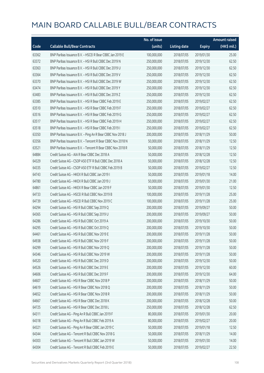|       |                                                            | No. of issue |                     |               | <b>Amount raised</b> |
|-------|------------------------------------------------------------|--------------|---------------------|---------------|----------------------|
| Code  | <b>Callable Bull/Bear Contracts</b>                        | (units)      | <b>Listing date</b> | <b>Expiry</b> | (HK\$ mil.)          |
| 63362 | BNP Paribas Issuance B.V. - HSCEI R Bear CBBC Jan 2019 E   | 100,000,000  | 2018/07/05          | 2019/01/30    | 25.00                |
| 63372 | BNP Paribas Issuance B.V. - HSI R Bull CBBC Dec 2019 N     | 250,000,000  | 2018/07/05          | 2019/12/30    | 62.50                |
| 63363 | BNP Paribas Issuance B.V. - HSI R Bull CBBC Dec 2019 U     | 250,000,000  | 2018/07/05          | 2019/12/30    | 62.50                |
| 63364 | BNP Paribas Issuance B.V. - HSI R Bull CBBC Dec 2019 V     | 250,000,000  | 2018/07/05          | 2019/12/30    | 62.50                |
| 63370 | BNP Paribas Issuance B.V. - HSI R Bull CBBC Dec 2019 W     | 250,000,000  | 2018/07/05          | 2019/12/30    | 62.50                |
| 63474 | BNP Paribas Issuance B.V. - HSI R Bull CBBC Dec 2019 Y     | 250,000,000  | 2018/07/05          | 2019/12/30    | 62.50                |
| 63483 | BNP Paribas Issuance B.V. - HSI R Bull CBBC Dec 2019 Z     | 250,000,000  | 2018/07/05          | 2019/12/30    | 62.50                |
| 63385 | BNP Paribas Issuance B.V. - HSI R Bear CBBC Feb 2019 E     | 250,000,000  | 2018/07/05          | 2019/02/27    | 62.50                |
| 63510 | BNP Paribas Issuance B.V. - HSI R Bear CBBC Feb 2019 F     | 250,000,000  | 2018/07/05          | 2019/02/27    | 62.50                |
| 63516 | BNP Paribas Issuance B.V. - HSI R Bear CBBC Feb 2019 G     | 250,000,000  | 2018/07/05          | 2019/02/27    | 62.50                |
| 63517 | BNP Paribas Issuance B.V. - HSI R Bear CBBC Feb 2019 H     | 250,000,000  | 2018/07/05          | 2019/02/27    | 62.50                |
| 63518 | BNP Paribas Issuance B.V. - HSI R Bear CBBC Feb 2019 I     | 250,000,000  | 2018/07/05          | 2019/02/27    | 62.50                |
| 63350 | BNP Paribas Issuance B.V. - Ping An R Bear CBBC Nov 2018 J | 200,000,000  | 2018/07/05          | 2018/11/29    | 50.00                |
| 63356 | BNP Paribas Issuance B.V. - Tencent R Bear CBBC Nov 2018 N | 50,000,000   | 2018/07/05          | 2018/11/29    | 12.50                |
| 63521 | BNP Paribas Issuance B.V. - Tencent R Bear CBBC Nov 2018 R | 50,000,000   | 2018/07/05          | 2018/11/29    | 12.50                |
| 64884 | Credit Suisse AG - AIA R Bear CBBC Dec 2018 A              | 50,000,000   | 2018/07/05          | 2018/12/28    | 12.50                |
| 64329 | Credit Suisse AG - CSOP A50 ETF R Bull CBBC Dec 2018 A     | 50,000,000   | 2018/07/05          | 2018/12/28    | 12.50                |
| 64335 | Credit Suisse AG - CSOP A50 ETF R Bull CBBC Feb 2019 B     | 50,000,000   | 2018/07/05          | 2019/02/27    | 12.50                |
| 64743 | Credit Suisse AG - HKEX R Bull CBBC Jan 2019 I             | 50,000,000   | 2018/07/05          | 2019/01/18    | 14.00                |
| 64780 | Credit Suisse AG - HKEX R Bull CBBC Jan 2019 J             | 50,000,000   | 2018/07/05          | 2019/01/30    | 21.00                |
| 64861 | Credit Suisse AG - HKEX R Bear CBBC Jan 2019 F             | 50,000,000   | 2018/07/05          | 2019/01/30    | 12.50                |
| 64733 | Credit Suisse AG - HSCEI R Bull CBBC Nov 2019 B            | 100,000,000  | 2018/07/05          | 2019/11/28    | 25.00                |
| 64739 | Credit Suisse AG - HSCEI R Bull CBBC Nov 2019 C            | 100,000,000  | 2018/07/05          | 2019/11/28    | 25.00                |
| 64294 | Credit Suisse AG - HSI R Bull CBBC Sep 2019 Q              | 200,000,000  | 2018/07/05          | 2019/09/27    | 50.00                |
| 64365 | Credit Suisse AG - HSI R Bull CBBC Sep 2019 U              | 200,000,000  | 2018/07/05          | 2019/09/27    | 50.00                |
| 64286 | Credit Suisse AG - HSI R Bull CBBC Oct 2019 A              | 200,000,000  | 2018/07/05          | 2019/10/30    | 50.00                |
| 64295 | Credit Suisse AG - HSI R Bull CBBC Oct 2019 Q              | 200,000,000  | 2018/07/05          | 2019/10/30    | 50.00                |
| 64461 | Credit Suisse AG - HSI R Bull CBBC Nov 2019 E              | 200,000,000  | 2018/07/05          | 2019/11/28    | 50.00                |
| 64938 | Credit Suisse AG - HSI R Bull CBBC Nov 2019 F              | 200,000,000  | 2018/07/05          | 2019/11/28    | 50.00                |
| 64299 | Credit Suisse AG - HSI R Bull CBBC Nov 2019 Q              | 200,000,000  | 2018/07/05          | 2019/11/28    | 50.00                |
| 64346 | Credit Suisse AG - HSI R Bull CBBC Nov 2019 W              | 200,000,000  | 2018/07/05          | 2019/11/28    | 50.00                |
| 64520 | Credit Suisse AG - HSI R Bull CBBC Dec 2019 D              | 200,000,000  | 2018/07/05          | 2019/12/30    | 50.00                |
| 64526 | Credit Suisse AG - HSI R Bull CBBC Dec 2019 E              | 200,000,000  | 2018/07/05          | 2019/12/30    | 60.00                |
| 64606 | Credit Suisse AG - HSI R Bull CBBC Dec 2019 F              | 200,000,000  | 2018/07/05          | 2019/12/30    | 64.00                |
| 64607 | Credit Suisse AG - HSI R Bear CBBC Nov 2018 P              | 200,000,000  | 2018/07/05          | 2018/11/29    | 50.00                |
| 64619 | Credit Suisse AG - HSI R Bear CBBC Nov 2018 Q              | 200,000,000  | 2018/07/05          | 2018/11/29    | 50.00                |
| 64652 | Credit Suisse AG - HSI R Bear CBBC Nov 2018 R              | 200,000,000  | 2018/07/05          | 2018/11/29    | 50.00                |
| 64667 | Credit Suisse AG - HSI R Bear CBBC Dec 2018 K              | 200,000,000  | 2018/07/05          | 2018/12/28    | 50.00                |
| 64725 | Credit Suisse AG - HSI R Bear CBBC Dec 2018 L              | 250,000,000  | 2018/07/05          | 2018/12/28    | 62.50                |
| 64311 | Credit Suisse AG - Ping An R Bull CBBC Jan 2019 F          | 80,000,000   | 2018/07/05          | 2019/01/30    | 20.00                |
| 64318 | Credit Suisse AG - Ping An R Bull CBBC Feb 2019 A          | 80,000,000   | 2018/07/05          | 2019/02/27    | 20.00                |
| 64321 | Credit Suisse AG - Ping An R Bear CBBC Jan 2019 C          | 50,000,000   | 2018/07/05          | 2019/01/18    | 12.50                |
| 64344 | Credit Suisse AG - Tencent R Bull CBBC Nov 2018 G          | 50,000,000   | 2018/07/05          | 2018/11/29    | 14.00                |
| 64303 | Credit Suisse AG - Tencent R Bull CBBC Jan 2019 W          | 50,000,000   | 2018/07/05          | 2019/01/30    | 14.00                |
| 64304 | Credit Suisse AG - Tencent R Bull CBBC Feb 2019 E          | 50,000,000   | 2018/07/05          | 2019/02/27    | 22.50                |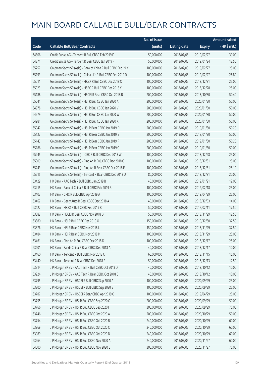|       |                                                              | No. of issue |                     |               | <b>Amount raised</b>  |
|-------|--------------------------------------------------------------|--------------|---------------------|---------------|-----------------------|
| Code  | <b>Callable Bull/Bear Contracts</b>                          | (units)      | <b>Listing date</b> | <b>Expiry</b> | $(HK\frac{1}{2}mil.)$ |
| 64306 | Credit Suisse AG - Tencent R Bull CBBC Feb 2019 F            | 50,000,000   | 2018/07/05          | 2019/02/27    | 39.00                 |
| 64871 | Credit Suisse AG - Tencent R Bear CBBC Jan 2019 F            | 50,000,000   | 2018/07/05          | 2019/01/24    | 12.50                 |
| 65257 | Goldman Sachs SP (Asia) - Bank of China R Bull CBBC Feb 19 K | 100,000,000  | 2018/07/05          | 2019/02/27    | 25.00                 |
| 65193 | Goldman Sachs SP (Asia) - China Life R Bull CBBC Feb 2019 D  | 100,000,000  | 2018/07/05          | 2019/02/27    | 26.80                 |
| 65011 | Goldman Sachs SP (Asia) - HKEX R Bull CBBC Dec 2018 O        | 100,000,000  | 2018/07/05          | 2018/12/31    | 25.00                 |
| 65023 | Goldman Sachs SP (Asia) - HSBC R Bull CBBC Dec 2018 Y        | 100,000,000  | 2018/07/05          | 2018/12/28    | 25.00                 |
| 65188 | Goldman Sachs SP (Asia) - HSCEI R Bear CBBC Oct 2018 B       | 200,000,000  | 2018/07/05          | 2018/10/30    | 50.40                 |
| 65041 | Goldman Sachs SP (Asia) - HSI R Bull CBBC Jan 2020 A         | 200,000,000  | 2018/07/05          | 2020/01/30    | 50.00                 |
| 64978 | Goldman Sachs SP (Asia) - HSI R Bull CBBC Jan 2020 V         | 200,000,000  | 2018/07/05          | 2020/01/30    | 50.00                 |
| 64979 | Goldman Sachs SP (Asia) - HSI R Bull CBBC Jan 2020 W         | 200,000,000  | 2018/07/05          | 2020/01/30    | 50.00                 |
| 64981 | Goldman Sachs SP (Asia) - HSI R Bull CBBC Jan 2020 X         | 200,000,000  | 2018/07/05          | 2020/01/30    | 50.00                 |
| 65047 | Goldman Sachs SP (Asia) - HSI R Bear CBBC Jan 2019 D         | 200,000,000  | 2018/07/05          | 2019/01/30    | 50.20                 |
| 65127 | Goldman Sachs SP (Asia) - HSI R Bear CBBC Jan 2019 E         | 200,000,000  | 2018/07/05          | 2019/01/30    | 50.00                 |
| 65143 | Goldman Sachs SP (Asia) - HSI R Bear CBBC Jan 2019 F         | 200,000,000  | 2018/07/05          | 2019/01/30    | 50.20                 |
| 65186 | Goldman Sachs SP (Asia) - HSI R Bear CBBC Jan 2019 G         | 200,000,000  | 2018/07/05          | 2019/01/30    | 50.00                 |
| 65245 | Goldman Sachs SP (Asia) - ICBC R Bull CBBC Dec 2018 W        | 100,000,000  | 2018/07/05          | 2018/12/28    | 25.00                 |
| 65009 | Goldman Sachs SP (Asia) - Ping An R Bull CBBC Dec 2018 G     | 100,000,000  | 2018/07/05          | 2018/12/31    | 25.00                 |
| 65243 | Goldman Sachs SP (Asia) - Ping An R Bear CBBC Dec 2018 E     | 100,000,000  | 2018/07/05          | 2018/12/31    | 25.10                 |
| 65215 | Goldman Sachs SP (Asia) - Tencent R Bear CBBC Dec 2018 U     | 80,000,000   | 2018/07/05          | 2018/12/31    | 20.00                 |
| 63429 | HK Bank - AAC Tech R Bull CBBC Jan 2019 B                    | 40,000,000   | 2018/07/05          | 2019/01/21    | 12.00                 |
| 63415 | HK Bank - Bank of China R Bull CBBC Feb 2019 B               | 100,000,000  | 2018/07/05          | 2019/02/18    | 25.00                 |
| 63403 | HK Bank - CPIC R Bull CBBC Apr 2019 A                        | 100,000,000  | 2018/07/05          | 2019/04/29    | 25.00                 |
| 63462 | HK Bank - Geely Auto R Bear CBBC Dec 2018 A                  | 40,000,000   | 2018/07/05          | 2018/12/03    | 14.00                 |
| 63422 | HK Bank - HKEX R Bull CBBC Feb 2019 B                        | 50,000,000   | 2018/07/05          | 2019/02/11    | 17.50                 |
| 63382 | HK Bank - HSCEI R Bear CBBC Nov 2018 D                       | 50,000,000   | 2018/07/05          | 2018/11/29    | 12.50                 |
| 63380 | HK Bank - HSI R Bull CBBC Dec 2019 O                         | 150,000,000  | 2018/07/05          | 2019/12/30    | 37.50                 |
| 63376 | HK Bank - HSI R Bear CBBC Nov 2018 L                         | 150,000,000  | 2018/07/05          | 2018/11/29    | 37.50                 |
| 63484 | HK Bank - HSI R Bear CBBC Nov 2018 M                         | 100,000,000  | 2018/07/05          | 2018/11/29    | 25.00                 |
| 63461 | HK Bank - Ping An R Bull CBBC Dec 2018 D                     | 100,000,000  | 2018/07/05          | 2018/12/17    | 25.00                 |
| 63401 | HK Bank - Sands China R Bear CBBC Dec 2018 A                 | 40,000,000   | 2018/07/05          | 2018/12/17    | 10.00                 |
| 63460 | HK Bank - Tencent R Bull CBBC Nov 2018 C                     | 60,000,000   | 2018/07/05          | 2018/11/15    | 15.00                 |
| 63440 | HK Bank - Tencent R Bear CBBC Dec 2018 F                     | 50,000,000   | 2018/07/05          | 2018/12/13    | 12.50                 |
| 63914 | J P Morgan SP BV - AAC Tech R Bull CBBC Oct 2018 D           | 40,000,000   | 2018/07/05          | 2018/10/12    | 10.00                 |
| 63924 | J P Morgan SP BV - AAC Tech R Bear CBBC Oct 2018 B           | 40,000,000   | 2018/07/05          | 2018/10/12    | 10.00                 |
| 63795 | J P Morgan SP BV - HSCEI R Bull CBBC Sep 2020 A              | 100,000,000  | 2018/07/05          | 2020/09/29    | 25.00                 |
| 63800 | J P Morgan SP BV - HSCEI R Bull CBBC Sep 2020 B              | 100,000,000  | 2018/07/05          | 2020/09/29    | 25.00                 |
| 63787 | J P Morgan SP BV - HSCEI R Bear CBBC Apr 2019 G              | 100,000,000  | 2018/07/05          | 2019/04/29    | 25.00                 |
| 63755 | J P Morgan SP BV - HSI R Bull CBBC Sep 2020 G                | 200,000,000  | 2018/07/05          | 2020/09/29    | 50.00                 |
| 63766 | J P Morgan SP BV - HSI R Bull CBBC Sep 2020 H                | 300,000,000  | 2018/07/05          | 2020/09/29    | 75.00                 |
| 63746 | J P Morgan SP BV - HSI R Bull CBBC Oct 2020 A                | 200,000,000  | 2018/07/05          | 2020/10/29    | 50.00                 |
| 63754 | J P Morgan SP BV - HSI R Bull CBBC Oct 2020 B                | 240,000,000  | 2018/07/05          | 2020/10/29    | 60.00                 |
| 63969 | J P Morgan SP BV - HSI R Bull CBBC Oct 2020 C                | 240,000,000  | 2018/07/05          | 2020/10/29    | 60.00                 |
| 63989 | J P Morgan SP BV - HSI R Bull CBBC Oct 2020 D                | 240,000,000  | 2018/07/05          | 2020/10/29    | 60.00                 |
| 63964 | J P Morgan SP BV - HSI R Bull CBBC Nov 2020 A                | 240,000,000  | 2018/07/05          | 2020/11/27    | 60.00                 |
| 64000 | J P Morgan SP BV - HSI R Bull CBBC Nov 2020 B                | 300,000,000  | 2018/07/05          | 2020/11/27    | 75.00                 |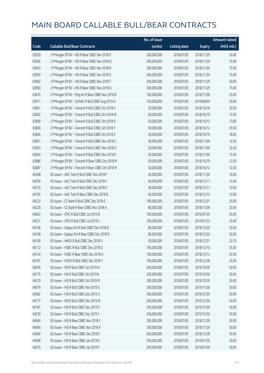|       |                                                   | No. of issue |                     |               | <b>Amount raised</b> |
|-------|---------------------------------------------------|--------------|---------------------|---------------|----------------------|
| Code  | <b>Callable Bull/Bear Contracts</b>               | (units)      | <b>Listing date</b> | <b>Expiry</b> | (HK\$ mil.)          |
| 63929 | J P Morgan SP BV - HSI R Bear CBBC Nov 2018 P     | 200,000,000  | 2018/07/05          | 2018/11/29    | 50.00                |
| 63936 | J P Morgan SP BV - HSI R Bear CBBC Nov 2018 Q     | 300,000,000  | 2018/07/05          | 2018/11/29    | 75.00                |
| 63943 | J P Morgan SP BV - HSI R Bear CBBC Nov 2018 R     | 300,000,000  | 2018/07/05          | 2018/11/29    | 75.00                |
| 63950 | J P Morgan SP BV - HSI R Bear CBBC Nov 2018 S     | 300,000,000  | 2018/07/05          | 2018/11/29    | 75.00                |
| 63962 | J P Morgan SP BV - HSI R Bear CBBC Nov 2018 T     | 200,000,000  | 2018/07/05          | 2018/11/29    | 50.00                |
| 63983 | J P Morgan SP BV - HSI R Bear CBBC Nov 2018 U     | 300,000,000  | 2018/07/05          | 2018/11/29    | 75.00                |
| 63810 | J P Morgan SP BV - Ping An R Bear CBBC Nov 2018 B | 100,000,000  | 2018/07/05          | 2018/11/09    | 25.00                |
| 63911 | J P Morgan SP BV - SUNAC R Bull CBBC Aug 2019 A   | 120,000,000  | 2018/07/05          | 2019/08/09    | 30.00                |
| 63801 | J P Morgan SP BV - Tencent R Bull CBBC Oct 2018 V | 50,000,000   | 2018/07/05          | 2018/10/19    | 30.50                |
| 63802 | J P Morgan SP BV - Tencent R Bull CBBC Oct 2018 W | 50,000,000   | 2018/07/05          | 2018/10/19    | 12.50                |
| 63809 | J P Morgan SP BV - Tencent R Bull CBBC Oct 2018 X | 50,000,000   | 2018/07/05          | 2018/10/12    | 13.00                |
| 63826 | J P Morgan SP BV - Tencent R Bull CBBC Oct 2018 Y | 50,000,000   | 2018/07/05          | 2018/10/12    | 20.50                |
| 63846 | JP Morgan SP BV - Tencent R Bull CBBC Oct 2018 Z  | 50,000,000   | 2018/07/05          | 2018/10/19    | 18.00                |
| 63821 | J P Morgan SP BV - Tencent R Bull CBBC Nov 2018 C | 50,000,000   | 2018/07/05          | 2018/11/09    | 12.50                |
| 63833 | J P Morgan SP BV - Tencent R Bull CBBC Nov 2018 D | 50,000,000   | 2018/07/05          | 2018/11/09    | 25.50                |
| 63834 | J P Morgan SP BV - Tencent R Bull CBBC Nov 2018 E | 50,000,000   | 2018/07/05          | 2018/11/09    | 15.50                |
| 63886 | J P Morgan SP BV - Tencent R Bear CBBC Oct 2018 M | 50,000,000   | 2018/07/05          | 2018/10/19    | 12.50                |
| 63887 | J P Morgan SP BV - Tencent R Bear CBBC Oct 2018 N | 50,000,000   | 2018/07/05          | 2018/10/12    | 12.50                |
| 64268 | SG Issuer - AAC Tech R Bull CBBC Nov 2018 F       | 40,000,000   | 2018/07/05          | 2018/11/30    | 10.00                |
| 64209 | SG Issuer - AAC Tech R Bull CBBC Dec 2018 F       | 40,000,000   | 2018/07/05          | 2018/12/11    | 12.40                |
| 64210 | SG Issuer - AAC Tech R Bull CBBC Dec 2018 G       | 40,000,000   | 2018/07/05          | 2018/12/17    | 10.00                |
| 64192 | SG Issuer - AAC Tech R Bear CBBC Dec 2018 B       | 40,000,000   | 2018/07/05          | 2018/12/10    | 10.00                |
| 64223 | SG Issuer - CC Bank R Bull CBBC Dec 2018 G        | 100,000,000  | 2018/07/05          | 2018/12/21    | 25.00                |
| 64220 | SG Issuer - CC Bank R Bear CBBC Nov 2018 A        | 80,000,000   | 2018/07/05          | 2018/11/09    | 20.00                |
| 64003 | SG Issuer - CPIC R Bull CBBC Jul 2019 B           | 100,000,000  | 2018/07/05          | 2019/07/30    | 25.00                |
| 64231 | SG Issuer - CPIC R Bull CBBC Jul 2019 C           | 100,000,000  | 2018/07/05          | 2019/07/23    | 25.00                |
| 64106 | SG Issuer - Galaxy Ent R Bull CBBC Dec 2018 Q     | 80,000,000   | 2018/07/05          | 2018/12/20    | 20.00                |
| 64108 | SG Issuer - Galaxy Ent R Bear CBBC Dec 2018 D     | 80,000,000   | 2018/07/05          | 2018/12/20    | 20.00                |
| 64109 | SG Issuer - HKEX R Bull CBBC Dec 2018 V           | 50,000,000   | 2018/07/05          | 2018/12/31    | 23.75                |
| 64112 | SG Issuer - HSBC R Bull CBBC Dec 2018 Q           | 100,000,000  | 2018/07/05          | 2018/12/10    | 25.00                |
| 64124 | SG Issuer - HSBC R Bear CBBC Dec 2018 A           | 100,000,000  | 2018/07/05          | 2018/12/12    | 25.00                |
| 64191 | SG Issuer - HSCEI R Bull CBBC Dec 2018 Y          | 100,000,000  | 2018/07/05          | 2018/12/28    | 25.00                |
| 64078 | SG Issuer - HSI R Bull CBBC Oct 2019 H            | 200,000,000  | 2018/07/05          | 2019/10/30    | 50.00                |
| 64175 | SG Issuer - HSI R Bull CBBC Oct 2019 K            | 200,000,000  | 2018/07/05          | 2019/10/30    | 50.00                |
| 64235 | SG Issuer - HSI R Bull CBBC Oct 2019 M            | 200,000,000  | 2018/07/05          | 2019/10/30    | 50.00                |
| 64079 | SG Issuer - HSI R Bull CBBC Nov 2019 S            | 200,000,000  | 2018/07/05          | 2019/11/28    | 50.00                |
| 64092 | SG Issuer - HSI R Bull CBBC Dec 2019 U            | 200,000,000  | 2018/07/05          | 2019/12/30    | 50.00                |
| 64177 | SG Issuer - HSI R Bull CBBC Dec 2019 W            | 200,000,000  | 2018/07/05          | 2019/12/30    | 50.00                |
| 64187 | SG Issuer - HSI R Bull CBBC Dec 2019 X            | 200,000,000  | 2018/07/05          | 2019/12/30    | 50.00                |
| 64239 | SG Issuer - HSI R Bull CBBC Dec 2019 Y            | 200,000,000  | 2018/07/05          | 2019/12/30    | 50.00                |
| 64064 | SG Issuer - HSI R Bear CBBC Nov 2018 F            | 200,000,000  | 2018/07/05          | 2018/11/29    | 50.00                |
| 64065 | SG Issuer - HSI R Bear CBBC Nov 2018 X            | 200,000,000  | 2018/07/05          | 2018/11/29    | 50.00                |
| 64066 | SG Issuer - HSI R Bear CBBC Dec 2018 F            | 200,000,000  | 2018/07/05          | 2018/12/28    | 50.00                |
| 64068 | SG Issuer - HSI R Bear CBBC Jan 2019 E            | 200,000,000  | 2018/07/05          | 2019/01/30    | 50.00                |
| 64070 | SG Issuer - HSI R Bear CBBC Jan 2019 F            | 200,000,000  | 2018/07/05          | 2019/01/30    | 50.00                |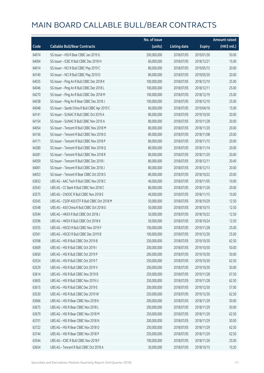|       |                                                | No. of issue |                     |               | <b>Amount raised</b> |
|-------|------------------------------------------------|--------------|---------------------|---------------|----------------------|
| Code  | <b>Callable Bull/Bear Contracts</b>            | (units)      | <b>Listing date</b> | <b>Expiry</b> | (HK\$ mil.)          |
| 64074 | SG Issuer - HSI R Bear CBBC Jan 2019 G         | 200,000,000  | 2018/07/05          | 2019/01/30    | 50.00                |
| 64004 | SG Issuer - ICBC R Bull CBBC Dec 2018 H        | 60,000,000   | 2018/07/05          | 2018/12/21    | 15.00                |
| 64014 | SG Issuer - NCI R Bull CBBC May 2019 C         | 80,000,000   | 2018/07/05          | 2019/05/15    | 20.00                |
| 64140 | SG Issuer - NCI R Bull CBBC May 2019 D         | 80,000,000   | 2018/07/05          | 2019/05/30    | 20.00                |
| 64035 | SG Issuer - Ping An R Bull CBBC Dec 2018 K     | 100,000,000  | 2018/07/05          | 2018/12/10    | 25.00                |
| 64046 | SG Issuer - Ping An R Bull CBBC Dec 2018 L     | 100,000,000  | 2018/07/05          | 2018/12/11    | 25.00                |
| 64270 | SG Issuer - Ping An R Bull CBBC Dec 2018 M     | 100,000,000  | 2018/07/05          | 2018/12/19    | 25.00                |
| 64038 | SG Issuer - Ping An R Bear CBBC Dec 2018 J     | 100,000,000  | 2018/07/05          | 2018/12/10    | 25.00                |
| 64048 | SG Issuer - Sands China R Bull CBBC Apr 2019 C | 60,000,000   | 2018/07/05          | 2019/04/16    | 15.00                |
| 64141 | SG Issuer - SUNAC R Bull CBBC Oct 2019 A       | 80,000,000   | 2018/07/05          | 2019/10/30    | 20.00                |
| 64154 | SG Issuer - SUNAC R Bull CBBC Nov 2019 A       | 80,000,000   | 2018/07/05          | 2019/11/28    | 20.00                |
| 64054 | SG Issuer - Tencent R Bull CBBC Nov 2018 M     | 80,000,000   | 2018/07/05          | 2018/11/20    | 20.00                |
| 64156 | SG Issuer - Tencent R Bull CBBC Nov 2018 O     | 80,000,000   | 2018/07/05          | 2018/11/08    | 20.00                |
| 64171 | SG Issuer - Tencent R Bull CBBC Nov 2018 P     | 80,000,000   | 2018/07/05          | 2018/11/15    | 20.00                |
| 64280 | SG Issuer - Tencent R Bull CBBC Nov 2018 Q     | 80,000,000   | 2018/07/05          | 2018/11/14    | 20.00                |
| 64281 | SG Issuer - Tencent R Bull CBBC Nov 2018 R     | 80,000,000   | 2018/07/05          | 2018/11/20    | 20.00                |
| 64059 | SG Issuer - Tencent R Bull CBBC Dec 2018 I     | 80,000,000   | 2018/07/05          | 2018/12/11    | 20.40                |
| 64061 | SG Issuer - Tencent R Bull CBBC Dec 2018 J     | 80,000,000   | 2018/07/05          | 2018/12/13    | 20.00                |
| 64053 | SG Issuer - Tencent R Bear CBBC Oct 2018 S     | 80,000,000   | 2018/07/05          | 2018/10/22    | 20.00                |
| 63653 | UBS AG - AAC Tech R Bull CBBC Nov 2018 C       | 40,000,000   | 2018/07/05          | 2018/11/05    | 10.00                |
| 63543 | UBS AG - CC Bank R Bull CBBC Nov 2018 C        | 80,000,000   | 2018/07/05          | 2018/11/26    | 20.00                |
| 63575 | UBS AG - CNOOC R Bull CBBC Nov 2018 E          | 40,000,000   | 2018/07/05          | 2018/11/15    | 10.00                |
| 63545 | UBS AG - CSOP A50 ETF R Bull CBBC Oct 2018 M   | 50,000,000   | 2018/07/05          | 2018/10/29    | 12.50                |
| 63548 | UBS AG - A50 China R Bull CBBC Oct 2018 G      | 50,000,000   | 2018/07/05          | 2018/10/15    | 12.50                |
| 63594 | UBS AG - HKEX R Bull CBBC Oct 2018 J           | 50,000,000   | 2018/07/05          | 2018/10/22    | 12.50                |
| 63596 | UBS AG - HKEX R Bull CBBC Oct 2018 K           | 50,000,000   | 2018/07/05          | 2018/10/24    | 12.50                |
| 63555 | UBS AG - HSCEI R Bull CBBC Nov 2019 F          | 100,000,000  | 2018/07/05          | 2019/11/28    | 25.00                |
| 63561 | UBS AG – HSCELR Bull CBBC Dec 2019 B           | 100,000,000  | 2018/07/05          | 2019/12/30    | 25.00                |
| 63598 | UBS AG - HSI R Bull CBBC Oct 2019 B            | 250,000,000  | 2018/07/05          | 2019/10/30    | 62.50                |
| 63609 | UBS AG - HSI R Bull CBBC Oct 2019 I            | 200,000,000  | 2018/07/05          | 2019/10/30    | 50.00                |
| 63650 | UBS AG - HSI R Bull CBBC Oct 2019 P            | 200,000,000  | 2018/07/05          | 2019/10/30    | 50.00                |
| 63524 | UBS AG - HSI R Bull CBBC Oct 2019 T            | 250,000,000  | 2018/07/05          | 2019/10/30    | 62.50                |
| 63529 | UBS AG - HSI R Bull CBBC Oct 2019 V            | 200,000,000  | 2018/07/05          | 2019/10/30    | 50.00                |
| 63614 | UBS AG - HSI R Bull CBBC Nov 2019 B            | 250,000,000  | 2018/07/05          | 2019/11/28    | 67.50                |
| 63605 | UBS AG - HSI R Bull CBBC Nov 2019 U            | 250,000,000  | 2018/07/05          | 2019/11/28    | 62.50                |
| 63615 | UBS AG - HSI R Bull CBBC Dec 2019 E            | 200,000,000  | 2018/07/05          | 2019/12/30    | 57.00                |
| 63530 | UBS AG - HSI R Bull CBBC Dec 2019 W            | 250,000,000  | 2018/07/05          | 2019/12/30    | 62.50                |
| 63666 | UBS AG - HSI R Bear CBBC Nov 2018 K            | 200,000,000  | 2018/07/05          | 2018/11/29    | 50.00                |
| 63675 | UBS AG - HSI R Bear CBBC Nov 2018 L            | 200,000,000  | 2018/07/05          | 2018/11/29    | 50.00                |
| 63679 | UBS AG - HSI R Bear CBBC Nov 2018 M            | 250,000,000  | 2018/07/05          | 2018/11/29    | 62.50                |
| 63701 | UBS AG - HSI R Bear CBBC Nov 2018 N            | 200,000,000  | 2018/07/05          | 2018/11/29    | 50.00                |
| 63722 | UBS AG - HSI R Bear CBBC Nov 2018 O            | 250,000,000  | 2018/07/05          | 2018/11/29    | 62.50                |
| 63744 | UBS AG - HSI R Bear CBBC Nov 2018 P            | 250,000,000  | 2018/07/05          | 2018/11/29    | 62.50                |
| 63544 | UBS AG - ICBC R Bull CBBC Nov 2018 F           | 100,000,000  | 2018/07/05          | 2018/11/26    | 25.00                |
| 63654 | UBS AG - Tencent R Bull CBBC Oct 2018 A        | 30,000,000   | 2018/07/05          | 2018/10/15    | 10.20                |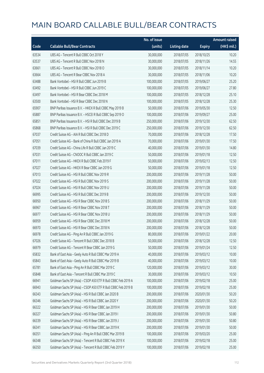|       |                                                               | No. of issue |                     |               | <b>Amount raised</b> |
|-------|---------------------------------------------------------------|--------------|---------------------|---------------|----------------------|
| Code  | <b>Callable Bull/Bear Contracts</b>                           | (units)      | <b>Listing date</b> | <b>Expiry</b> | (HK\$ mil.)          |
| 63534 | UBS AG - Tencent R Bull CBBC Oct 2018 Y                       | 30,000,000   | 2018/07/05          | 2018/10/25    | 10.20                |
| 63537 | UBS AG - Tencent R Bull CBBC Nov 2018 N                       | 30,000,000   | 2018/07/05          | 2018/11/26    | 14.55                |
| 63661 | UBS AG - Tencent R Bull CBBC Nov 2018 O                       | 30,000,000   | 2018/07/05          | 2018/11/14    | 10.20                |
| 63664 | UBS AG - Tencent R Bear CBBC Nov 2018 A                       | 30,000,000   | 2018/07/05          | 2018/11/06    | 10.20                |
| 63488 | Bank Vontobel - HSI R Bull CBBC Jun 2019 B                    | 100,000,000  | 2018/07/05          | 2019/06/27    | 25.20                |
| 63492 | Bank Vontobel - HSI R Bull CBBC Jun 2019 C                    | 100,000,000  | 2018/07/05          | 2019/06/27    | 27.80                |
| 63497 | Bank Vontobel - HSI R Bear CBBC Dec 2018 M                    | 100,000,000  | 2018/07/05          | 2018/12/28    | 25.10                |
| 63500 | Bank Vontobel - HSI R Bear CBBC Dec 2018 N                    | 100,000,000  | 2018/07/05          | 2018/12/28    | 25.30                |
| 65907 | BNP Paribas Issuance B.V. - HKEX R Bull CBBC May 2019 B       | 50,000,000   | 2018/07/06          | 2019/05/30    | 12.50                |
| 65887 | BNP Paribas Issuance B.V. - HSCEI R Bull CBBC Sep 2019 O      | 100,000,000  | 2018/07/06          | 2019/09/27    | 25.00                |
| 65851 | BNP Paribas Issuance B.V. - HSI R Bull CBBC Dec 2019 B        | 250,000,000  | 2018/07/06          | 2019/12/30    | 62.50                |
| 65868 | BNP Paribas Issuance B.V. - HSI R Bull CBBC Dec 2019 C        | 250,000,000  | 2018/07/06          | 2019/12/30    | 62.50                |
| 67037 | Credit Suisse AG - AIA R Bull CBBC Dec 2018 D                 | 70,000,000   | 2018/07/06          | 2018/12/28    | 17.50                |
| 67051 | Credit Suisse AG - Bank of China R Bull CBBC Jan 2019 A       | 70,000,000   | 2018/07/06          | 2019/01/30    | 17.50                |
| 67039 | Credit Suisse AG - China Life R Bull CBBC Jan 2019 C          | 40,000,000   | 2018/07/06          | 2019/01/30    | 14.80                |
| 67031 | Credit Suisse AG - CNOOC R Bull CBBC Jan 2019 C               | 50,000,000   | 2018/07/06          | 2019/01/18    | 12.50                |
| 67011 | Credit Suisse AG - HKEX R Bull CBBC Feb 2019 F                | 50,000,000   | 2018/07/06          | 2019/02/13    | 12.50                |
| 67027 | Credit Suisse AG - HKEX R Bear CBBC Jan 2019 G                | 50,000,000   | 2018/07/06          | 2019/01/18    | 12.50                |
| 67013 | Credit Suisse AG - HSI R Bull CBBC Nov 2019 R                 | 200,000,000  | 2018/07/06          | 2019/11/28    | 50.00                |
| 67022 | Credit Suisse AG - HSI R Bull CBBC Nov 2019 S                 | 200,000,000  | 2018/07/06          | 2019/11/28    | 50.00                |
| 67024 | Credit Suisse AG - HSI R Bull CBBC Nov 2019 U                 | 200,000,000  | 2018/07/06          | 2019/11/28    | 50.00                |
| 66995 | Credit Suisse AG - HSI R Bull CBBC Dec 2019 B                 | 200,000,000  | 2018/07/06          | 2019/12/30    | 50.00                |
| 66950 | Credit Suisse AG - HSI R Bear CBBC Nov 2018 S                 | 200,000,000  | 2018/07/06          | 2018/11/29    | 50.00                |
| 66967 | Credit Suisse AG - HSI R Bear CBBC Nov 2018 T                 | 200,000,000  | 2018/07/06          | 2018/11/29    | 50.00                |
| 66977 | Credit Suisse AG - HSI R Bear CBBC Nov 2018 U                 | 200,000,000  | 2018/07/06          | 2018/11/29    | 50.00                |
| 66959 | Credit Suisse AG - HSI R Bear CBBC Dec 2018 M                 | 200,000,000  | 2018/07/06          | 2018/12/28    | 50.00                |
| 66970 | Credit Suisse AG - HSI R Bear CBBC Dec 2018 N                 | 200,000,000  | 2018/07/06          | 2018/12/28    | 50.00                |
| 66978 | Credit Suisse AG - Ping An R Bull CBBC Jan 2019 G             | 80,000,000   | 2018/07/06          | 2019/01/22    | 20.00                |
| 67026 | Credit Suisse AG - Tencent R Bull CBBC Dec 2018 B             | 50,000,000   | 2018/07/06          | 2018/12/28    | 12.50                |
| 66979 | Credit Suisse AG - Tencent R Bear CBBC Jan 2019 G             | 50,000,000   | 2018/07/06          | 2019/01/24    | 12.50                |
| 65832 | Bank of East Asia - Geely Auto R Bull CBBC Mar 2019 A         | 40,000,000   | 2018/07/06          | 2019/03/12    | 10.00                |
| 65843 | Bank of East Asia - Geely Auto R Bull CBBC Mar 2019 B         | 40,000,000   | 2018/07/06          | 2019/03/12    | 10.00                |
| 65781 | Bank of East Asia - Ping An R Bull CBBC Mar 2019 C            | 120,000,000  | 2018/07/06          | 2019/03/12    | 30.00                |
| 65848 | Bank of East Asia - Tencent R Bull CBBC Mar 2019 C            | 30,000,000   | 2018/07/06          | 2019/03/12    | 10.50                |
| 66941 | Goldman Sachs SP (Asia) - CSOP A50 ETF R Bull CBBC Feb 2019 A | 100,000,000  | 2018/07/06          | 2019/02/18    | 25.00                |
| 66943 | Goldman Sachs SP (Asia) - CSOP A50 ETF R Bull CBBC Feb 2019 B | 100,000,000  | 2018/07/06          | 2019/02/18    | 25.00                |
| 66343 | Goldman Sachs SP (Asia) - HSI R Bull CBBC Jan 2020 B          | 200,000,000  | 2018/07/06          | 2020/01/30    | 50.20                |
| 66346 | Goldman Sachs SP (Asia) - HSI R Bull CBBC Jan 2020 Y          | 200,000,000  | 2018/07/06          | 2020/01/30    | 50.20                |
| 66322 | Goldman Sachs SP (Asia) - HSI R Bear CBBC Jan 2019 H          | 200,000,000  | 2018/07/06          | 2019/01/30    | 50.00                |
| 66327 | Goldman Sachs SP (Asia) - HSI R Bear CBBC Jan 2019 I          | 200,000,000  | 2018/07/06          | 2019/01/30    | 50.80                |
| 66339 | Goldman Sachs SP (Asia) - HSI R Bear CBBC Jan 2019 J          | 200,000,000  | 2018/07/06          | 2019/01/30    | 50.80                |
| 66341 | Goldman Sachs SP (Asia) - HSI R Bear CBBC Jan 2019 K          | 200,000,000  | 2018/07/06          | 2019/01/30    | 50.00                |
| 66351 | Goldman Sachs SP (Asia) - Ping An R Bull CBBC Mar 2019 B      | 100,000,000  | 2018/07/06          | 2019/03/20    | 25.00                |
| 66348 | Goldman Sachs SP (Asia) - Tencent R Bull CBBC Feb 2019 X      | 100,000,000  | 2018/07/06          | 2019/02/18    | 25.00                |
| 66350 | Goldman Sachs SP (Asia) - Tencent R Bull CBBC Feb 2019 Y      | 100,000,000  | 2018/07/06          | 2019/02/18    | 25.00                |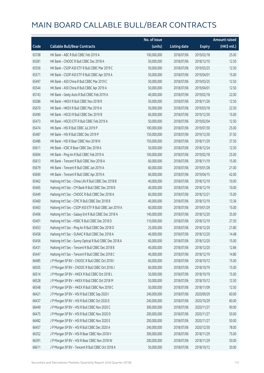|       |                                                          | No. of issue |                     |               | <b>Amount raised</b>  |
|-------|----------------------------------------------------------|--------------|---------------------|---------------|-----------------------|
| Code  | <b>Callable Bull/Bear Contracts</b>                      | (units)      | <b>Listing date</b> | <b>Expiry</b> | $(HK\frac{1}{2}mil.)$ |
| 65708 | HK Bank - ABC R Bull CBBC Feb 2019 A                     | 100,000,000  | 2018/07/06          | 2019/02/18    | 25.00                 |
| 65581 | HK Bank - CNOOC R Bull CBBC Dec 2018 A                   | 50,000,000   | 2018/07/06          | 2018/12/10    | 12.50                 |
| 65556 | HK Bank - CSOP A50 ETF R Bull CBBC Mar 2019 C            | 50,000,000   | 2018/07/06          | 2019/03/25    | 12.50                 |
| 65571 | HK Bank - CSOP A50 ETF R Bull CBBC Apr 2019 A            | 50,000,000   | 2018/07/06          | 2019/04/01    | 15.00                 |
| 65497 | HK Bank - A50 China R Bull CBBC Mar 2019 C               | 50,000,000   | 2018/07/06          | 2019/03/25    | 12.50                 |
| 65544 | HK Bank - A50 China R Bull CBBC Apr 2019 A               | 50,000,000   | 2018/07/06          | 2019/04/01    | 12.50                 |
| 65743 | HK Bank - Geely Auto R Bull CBBC Feb 2019 A              | 40,000,000   | 2018/07/06          | 2019/02/18    | 22.00                 |
| 65586 | HK Bank - HKEX R Bull CBBC Nov 2018 R                    | 50,000,000   | 2018/07/06          | 2018/11/26    | 12.50                 |
| 65670 | HK Bank - HKEX R Bull CBBC Mar 2019 A                    | 50,000,000   | 2018/07/06          | 2019/03/18    | 22.50                 |
| 65490 | HK Bank - HSCEI R Bull CBBC Dec 2019 B                   | 60,000,000   | 2018/07/06          | 2019/12/30    | 15.00                 |
| 65473 | HK Bank - HSCEI ETF R Bull CBBC Feb 2019 A               | 50,000,000   | 2018/07/06          | 2019/02/04    | 12.50                 |
| 65474 | HK Bank - HSI R Bull CBBC Jul 2019 P                     | 100,000,000  | 2018/07/06          | 2019/07/30    | 25.00                 |
| 65487 | HK Bank - HSI R Bull CBBC Dec 2019 P                     | 150,000,000  | 2018/07/06          | 2019/12/30    | 37.50                 |
| 65486 | HK Bank - HSI R Bear CBBC Nov 2018 N                     | 150,000,000  | 2018/07/06          | 2018/11/29    | 37.50                 |
| 65611 | HK Bank - ICBC R Bear CBBC Dec 2018 A                    | 50,000,000   | 2018/07/06          | 2018/12/24    | 12.50                 |
| 65694 | HK Bank - Ping An R Bull CBBC Feb 2019 A                 | 100,000,000  | 2018/07/06          | 2019/02/18    | 25.00                 |
| 65613 | HK Bank - Tencent R Bull CBBC Nov 2018 A                 | 60,000,000   | 2018/07/06          | 2018/11/19    | 15.00                 |
| 65679 | HK Bank - Tencent R Bull CBBC Jan 2019 A                 | 60,000,000   | 2018/07/06          | 2019/01/28    | 21.00                 |
| 65690 | HK Bank - Tencent R Bull CBBC Apr 2019 A                 | 60,000,000   | 2018/07/06          | 2019/04/15    | 42.00                 |
| 65462 | Haitong Int'l Sec - China Life R Bull CBBC Dec 2018 B    | 40,000,000   | 2018/07/06          | 2018/12/19    | 10.00                 |
| 65465 | Haitong Int'l Sec - CM Bank R Bull CBBC Dec 2018 B       | 40,000,000   | 2018/07/06          | 2018/12/19    | 10.00                 |
| 65449 | Haitong Int'l Sec - CNOOC R Bull CBBC Dec 2018 A         | 60,000,000   | 2018/07/06          | 2018/12/21    | 15.00                 |
| 65460 | Haitong Int'l Sec - CPIC R Bull CBBC Dec 2018 B          | 40,000,000   | 2018/07/06          | 2018/12/19    | 13.36                 |
| 65463 | Haitong Int'l Sec - CSOP A50 ETF R Bull CBBC Jan 2019 A  | 60,000,000   | 2018/07/06          | 2019/01/29    | 15.00                 |
| 65406 | Haitong Int'l Sec - Galaxy Ent R Bull CBBC Dec 2018 A    | 140,000,000  | 2018/07/06          | 2018/12/20    | 35.00                 |
| 65401 | Haitong Int'l Sec - HSBC R Bull CBBC Dec 2018 D          | 110,000,000  | 2018/07/06          | 2018/12/19    | 27.50                 |
| 65453 | Haitong Int'l Sec - Ping An R Bull CBBC Dec 2018 D       | 25,000,000   | 2018/07/06          | 2018/12/20    | 21.80                 |
| 65458 | Haitong Int'l Sec - SUNAC R Bull CBBC Dec 2018 A         | 40,000,000   | 2018/07/06          | 2018/12/20    | 14.48                 |
| 65456 | Haitong Int'l Sec - Sunny Optical R Bull CBBC Dec 2018 A | 60,000,000   | 2018/07/06          | 2018/12/20    | 15.00                 |
| 65431 | Haitong Int'l Sec - Tencent R Bull CBBC Dec 2018 B       | 40,000,000   | 2018/07/06          | 2018/12/20    | 12.84                 |
| 65447 | Haitong Int'l Sec - Tencent R Bull CBBC Dec 2018 C       | 40,000,000   | 2018/07/06          | 2018/12/19    | 14.80                 |
| 66485 | J P Morgan SP BV - CNOOC R Bull CBBC Oct 2018 I          | 60,000,000   | 2018/07/06          | 2018/10/12    | 15.00                 |
| 66505 | J P Morgan SP BV - CNOOC R Bull CBBC Oct 2018 J          | 60,000,000   | 2018/07/06          | 2018/10/19    | 15.00                 |
| 66514 | J P Morgan SP BV - HKEX R Bull CBBC Oct 2018 L           | 50,000,000   | 2018/07/06          | 2018/10/19    | 15.00                 |
| 66528 | J P Morgan SP BV - HKEX R Bull CBBC Oct 2018 M           | 50,000,000   | 2018/07/06          | 2018/10/12    | 12.50                 |
| 66548 | J P Morgan SP BV - HKEX R Bull CBBC Nov 2018 C           | 50,000,000   | 2018/07/06          | 2018/11/09    | 12.50                 |
| 66421 | J P Morgan SP BV - HSI R Bull CBBC Sep 2020 I            | 240,000,000  | 2018/07/06          | 2020/09/29    | 60.00                 |
| 66437 | J P Morgan SP BV - HSI R Bull CBBC Oct 2020 E            | 240,000,000  | 2018/07/06          | 2020/10/29    | 60.00                 |
| 66449 | J P Morgan SP BV - HSI R Bull CBBC Nov 2020 C            | 300,000,000  | 2018/07/06          | 2020/11/27    | 90.00                 |
| 66475 | J P Morgan SP BV - HSI R Bull CBBC Nov 2020 D            | 200,000,000  | 2018/07/06          | 2020/11/27    | 50.00                 |
| 66482 | J P Morgan SP BV - HSI R Bull CBBC Nov 2020 E            | 200,000,000  | 2018/07/06          | 2020/11/27    | 50.00                 |
| 66457 | J P Morgan SP BV - HSI R Bull CBBC Dec 2020 A            | 240,000,000  | 2018/07/06          | 2020/12/30    | 78.00                 |
| 66352 | J P Morgan SP BV - HSI R Bear CBBC Nov 2018 V            | 300,000,000  | 2018/07/06          | 2018/11/29    | 75.00                 |
| 66391 | J P Morgan SP BV - HSI R Bear CBBC Nov 2018 W            | 200,000,000  | 2018/07/06          | 2018/11/29    | 50.00                 |
| 66611 | J P Morgan SP BV - Tencent R Bull CBBC Oct 2018 A        | 50,000,000   | 2018/07/06          | 2018/10/12    | 30.00                 |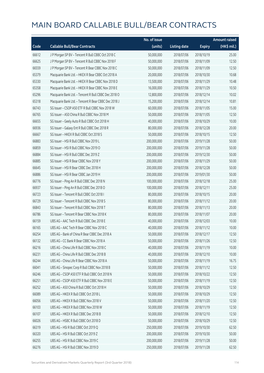|       |                                                      | No. of issue |                     |               | Amount raised         |
|-------|------------------------------------------------------|--------------|---------------------|---------------|-----------------------|
| Code  | <b>Callable Bull/Bear Contracts</b>                  | (units)      | <b>Listing date</b> | <b>Expiry</b> | $(HK\frac{1}{2}mil.)$ |
| 66612 | J P Morgan SP BV - Tencent R Bull CBBC Oct 2018 C    | 50,000,000   | 2018/07/06          | 2018/10/19    | 25.00                 |
| 66625 | J P Morgan SP BV - Tencent R Bull CBBC Nov 2018 F    | 50,000,000   | 2018/07/06          | 2018/11/09    | 12.50                 |
| 66559 | J P Morgan SP BV - Tencent R Bear CBBC Nov 2018 C    | 50,000,000   | 2018/07/06          | 2018/11/09    | 12.50                 |
| 65379 | Macquarie Bank Ltd. - HKEX R Bear CBBC Oct 2018 A    | 20,000,000   | 2018/07/06          | 2018/10/30    | 10.68                 |
| 65330 | Macquarie Bank Ltd. - HKEX R Bear CBBC Nov 2018 D    | 13,500,000   | 2018/07/06          | 2018/11/29    | 10.48                 |
| 65358 | Macquarie Bank Ltd. - HKEX R Bear CBBC Nov 2018 E    | 16,000,000   | 2018/07/06          | 2018/11/29    | 10.50                 |
| 65296 | Macquarie Bank Ltd. - Tencent R Bull CBBC Dec 2018 O | 12,800,000   | 2018/07/06          | 2018/12/14    | 10.02                 |
| 65318 | Macquarie Bank Ltd. - Tencent R Bear CBBC Dec 2018 J | 15,200,000   | 2018/07/06          | 2018/12/14    | 10.81                 |
| 66743 | SG Issuer - CSOP A50 ETF R Bull CBBC Nov 2018 W      | 60,000,000   | 2018/07/06          | 2018/11/05    | 15.00                 |
| 66765 | SG Issuer - A50 China R Bull CBBC Nov 2018 M         | 50,000,000   | 2018/07/06          | 2018/11/05    | 12.50                 |
| 66655 | SG Issuer - Geely Auto R Bull CBBC Oct 2018 H        | 40,000,000   | 2018/07/06          | 2018/10/29    | 10.00                 |
| 66936 | SG Issuer - Galaxy Ent R Bull CBBC Dec 2018 R        | 80,000,000   | 2018/07/06          | 2018/12/28    | 20.00                 |
| 66667 | SG Issuer - HKEX R Bull CBBC Oct 2018 S              | 50,000,000   | 2018/07/06          | 2018/10/15    | 12.50                 |
| 66883 | SG Issuer - HSI R Bull CBBC Nov 2019 L               | 200,000,000  | 2018/07/06          | 2019/11/28    | 50.00                 |
| 66859 | SG Issuer - HSI R Bull CBBC Nov 2019 O               | 200,000,000  | 2018/07/06          | 2019/11/28    | 50.00                 |
| 66884 | SG Issuer - HSI R Bull CBBC Dec 2019 Z               | 200,000,000  | 2018/07/06          | 2019/12/30    | 50.00                 |
| 66885 | SG Issuer - HSI R Bear CBBC Nov 2018 Y               | 200,000,000  | 2018/07/06          | 2018/11/29    | 50.00                 |
| 66645 | SG Issuer - HSI R Bear CBBC Dec 2018 H               | 200,000,000  | 2018/07/06          | 2018/12/28    | 50.00                 |
| 66886 | SG Issuer - HSI R Bear CBBC Jan 2019 H               | 200,000,000  | 2018/07/06          | 2019/01/30    | 50.00                 |
| 66776 | SG Issuer - Ping An R Bull CBBC Dec 2018 N           | 100,000,000  | 2018/07/06          | 2018/12/18    | 25.00                 |
| 66937 | SG Issuer - Ping An R Bull CBBC Dec 2018 O           | 100,000,000  | 2018/07/06          | 2018/12/11    | 25.00                 |
| 66723 | SG Issuer - Tencent R Bull CBBC Oct 2018 I           | 80,000,000   | 2018/07/06          | 2018/10/15    | 20.00                 |
| 66729 | SG Issuer - Tencent R Bull CBBC Nov 2018 S           | 80,000,000   | 2018/07/06          | 2018/11/12    | 20.00                 |
| 66843 | SG Issuer - Tencent R Bull CBBC Nov 2018 T           | 80,000,000   | 2018/07/06          | 2018/11/13    | 20.00                 |
| 66786 | SG Issuer - Tencent R Bear CBBC Nov 2018 K           | 80,000,000   | 2018/07/06          | 2018/11/07    | 20.00                 |
| 66159 | UBS AG - AAC Tech R Bull CBBC Dec 2018 E             | 40,000,000   | 2018/07/06          | 2018/12/03    | 10.00                 |
| 66165 | UBS AG - AAC Tech R Bear CBBC Nov 2018 C             | 40,000,000   | 2018/07/06          | 2018/11/12    | 10.00                 |
| 66254 | UBS AG - Bank of China R Bear CBBC Dec 2018 A        | 50,000,000   | 2018/07/06          | 2018/12/17    | 12.50                 |
| 66132 | UBS AG - CC Bank R Bear CBBC Nov 2018 A              | 50,000,000   | 2018/07/06          | 2018/11/26    | 12.50                 |
| 66216 | UBS AG - China Life R Bull CBBC Nov 2018 C           | 40,000,000   | 2018/07/06          | 2018/11/19    | 10.00                 |
| 66231 | UBS AG - China Life R Bull CBBC Dec 2018 B           | 40,000,000   | 2018/07/06          | 2018/12/10    | 10.00                 |
| 66244 | UBS AG - China Life R Bear CBBC Nov 2018 A           | 50,000,000   | 2018/07/06          | 2018/11/19    | 16.75                 |
| 66041 | UBS AG - Sinopec Corp R Bull CBBC Nov 2018 B         | 50,000,000   | 2018/07/06          | 2018/11/12    | 12.50                 |
| 66246 | UBS AG - CSOP A50 ETF R Bull CBBC Oct 2018 N         | 50,000,000   | 2018/07/06          | 2018/10/22    | 12.50                 |
| 66251 | UBS AG - CSOP A50 ETF R Bull CBBC Nov 2018 E         | 50,000,000   | 2018/07/06          | 2018/11/19    | 12.50                 |
| 66252 | UBS AG - A50 China R Bull CBBC Oct 2018 H            | 50,000,000   | 2018/07/06          | 2018/10/29    | 12.50                 |
| 66089 | UBS AG - HKEX R Bull CBBC Oct 2018 L                 | 50,000,000   | 2018/07/06          | 2018/10/29    | 12.50                 |
| 66056 | UBS AG - HKEX R Bull CBBC Nov 2018 V                 | 50,000,000   | 2018/07/06          | 2018/11/20    | 12.50                 |
| 66103 | UBS AG - HKEX R Bull CBBC Nov 2018 W                 | 50,000,000   | 2018/07/06          | 2018/11/19    | 12.50                 |
| 66107 | UBS AG - HKEX R Bull CBBC Dec 2018 B                 | 50,000,000   | 2018/07/06          | 2018/12/10    | 12.50                 |
| 66026 | UBS AG - HSBC R Bull CBBC Oct 2018 D                 | 50,000,000   | 2018/07/06          | 2018/10/29    | 12.50                 |
| 66319 | UBS AG - HSI R Bull CBBC Oct 2019 Q                  | 250,000,000  | 2018/07/06          | 2019/10/30    | 62.50                 |
| 66320 | UBS AG - HSI R Bull CBBC Oct 2019 Z                  | 200,000,000  | 2018/07/06          | 2019/10/30    | 50.00                 |
| 66255 | UBS AG - HSI R Bull CBBC Nov 2019 C                  | 200,000,000  | 2018/07/06          | 2019/11/28    | 50.00                 |
| 66276 | UBS AG - HSI R Bull CBBC Nov 2019 D                  | 250,000,000  | 2018/07/06          | 2019/11/28    | 62.50                 |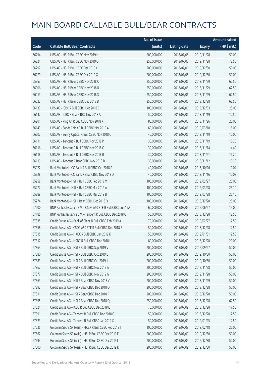|       |                                                              | No. of issue |                     |               | <b>Amount raised</b> |
|-------|--------------------------------------------------------------|--------------|---------------------|---------------|----------------------|
| Code  | <b>Callable Bull/Bear Contracts</b>                          | (units)      | <b>Listing date</b> | <b>Expiry</b> | (HK\$ mil.)          |
| 66294 | UBS AG - HSI R Bull CBBC Nov 2019 H                          | 200,000,000  | 2018/07/06          | 2019/11/28    | 50.00                |
| 66321 | UBS AG - HSI R Bull CBBC Nov 2019 O                          | 250,000,000  | 2018/07/06          | 2019/11/28    | 72.50                |
| 66292 | UBS AG - HSI R Bull CBBC Dec 2019 C                          | 200,000,000  | 2018/07/06          | 2019/12/30    | 50.00                |
| 66279 | UBS AG - HSI R Bull CBBC Dec 2019 X                          | 200,000,000  | 2018/07/06          | 2019/12/30    | 50.00                |
| 65953 | UBS AG - HSI R Bear CBBC Nov 2018 Q                          | 250,000,000  | 2018/07/06          | 2018/11/29    | 62.50                |
| 66006 | UBS AG - HSI R Bear CBBC Nov 2018 R                          | 250,000,000  | 2018/07/06          | 2018/11/29    | 62.50                |
| 66013 | UBS AG - HSI R Bear CBBC Nov 2018 S                          | 250,000,000  | 2018/07/06          | 2018/11/29    | 62.50                |
| 66022 | UBS AG - HSI R Bear CBBC Dec 2018 B                          | 250,000,000  | 2018/07/06          | 2018/12/28    | 62.50                |
| 66133 | UBS AG - ICBC R Bull CBBC Dec 2018 C                         | 100,000,000  | 2018/07/06          | 2018/12/03    | 25.00                |
| 66142 | UBS AG - ICBC R Bear CBBC Nov 2018 A                         | 50,000,000   | 2018/07/06          | 2018/11/19    | 12.50                |
| 66201 | UBS AG - Ping An R Bull CBBC Nov 2018 X                      | 80,000,000   | 2018/07/06          | 2018/11/26    | 20.00                |
| 66143 | UBS AG - Sands China R Bull CBBC Mar 2019 A                  | 60,000,000   | 2018/07/06          | 2019/03/18    | 15.00                |
| 66207 | UBS AG - Sunny Optical R Bull CBBC Nov 2018 C                | 40,000,000   | 2018/07/06          | 2018/11/19    | 10.00                |
| 66111 | UBS AG - Tencent R Bull CBBC Nov 2018 P                      | 30,000,000   | 2018/07/06          | 2018/11/19    | 10.20                |
| 66116 | UBS AG - Tencent R Bull CBBC Nov 2018 Q                      | 30,000,000   | 2018/07/06          | 2018/11/14    | 14.40                |
| 66118 | UBS AG - Tencent R Bull CBBC Nov 2018 R                      | 30,000,000   | 2018/07/06          | 2018/11/21    | 16.20                |
| 66119 | UBS AG - Tencent R Bear CBBC Nov 2018 B                      | 30,000,000   | 2018/07/06          | 2018/11/12    | 10.20                |
| 65922 | Bank Vontobel - CC Bank R Bull CBBC Oct 2018 F               | 40,000,000   | 2018/07/06          | 2018/10/26    | 10.04                |
| 65928 | Bank Vontobel - CC Bank R Bear CBBC Nov 2018 D               | 40,000,000   | 2018/07/06          | 2018/11/16    | 10.08                |
| 65258 | Bank Vontobel - HSI N Bull CBBC Feb 2019 M                   | 100,000,000  | 2018/07/06          | 2019/02/27    | 25.00                |
| 65277 | Bank Vontobel - HSI N Bull CBBC Mar 2019 A                   | 100,000,000  | 2018/07/06          | 2019/03/28    | 25.10                |
| 65289 | Bank Vontobel - HSI N Bull CBBC Mar 2019 B                   | 100,000,000  | 2018/07/06          | 2019/03/28    | 25.10                |
| 65274 | Bank Vontobel - HSI N Bear CBBC Dec 2018 O                   | 100,000,000  | 2018/07/06          | 2018/12/28    | 25.00                |
| 67200 | BNP Paribas Issuance B.V. - CSOP A50 ETF R Bull CBBC Jun 19A | 60,000,000   | 2018/07/09          | 2019/06/27    | 15.00                |
| 67185 | BNP Paribas Issuance B.V. - Tencent R Bull CBBC Dec 2018 C   | 50,000,000   | 2018/07/09          | 2018/12/28    | 12.50                |
| 67335 | Credit Suisse AG - Bank of China R Bull CBBC Feb 2019 A      | 70,000,000   | 2018/07/09          | 2019/02/27    | 17.50                |
| 67358 | Credit Suisse AG - CSOP A50 ETF R Bull CBBC Dec 2018 B       | 50,000,000   | 2018/07/09          | 2018/12/28    | 12.50                |
| 67315 | Credit Suisse AG - HKEX R Bull CBBC Jan 2019 K               | 50,000,000   | 2018/07/09          | 2019/01/31    | 12.50                |
| 67312 | Credit Suisse AG - HSBC R Bull CBBC Dec 2018 L               | 80,000,000   | 2018/07/09          | 2018/12/28    | 20.00                |
| 67364 | Credit Suisse AG - HSI R Bull CBBC Sep 2019 V                | 200,000,000  | 2018/07/09          | 2019/09/27    | 50.00                |
| 67380 | Credit Suisse AG - HSI R Bull CBBC Oct 2019 B                | 200,000,000  | 2018/07/09          | 2019/10/30    | 50.00                |
| 67383 | Credit Suisse AG - HSI R Bull CBBC Oct 2019 J                | 200,000,000  | 2018/07/09          | 2019/10/30    | 50.00                |
| 67367 | Credit Suisse AG - HSI R Bull CBBC Nov 2019 A                | 200,000,000  | 2018/07/09          | 2019/11/28    | 50.00                |
| 67377 | Credit Suisse AG - HSI R Bull CBBC Nov 2019 G                | 200,000,000  | 2018/07/09          | 2019/11/28    | 50.00                |
| 67363 | Credit Suisse AG - HSI R Bear CBBC Nov 2018 V                | 200,000,000  | 2018/07/09          | 2018/11/29    | 50.00                |
| 67292 | Credit Suisse AG - HSI R Bear CBBC Dec 2018 O                | 200,000,000  | 2018/07/09          | 2018/12/28    | 50.00                |
| 67311 | Credit Suisse AG - HSI R Bear CBBC Dec 2018 P                | 200,000,000  | 2018/07/09          | 2018/12/28    | 50.00                |
| 67395 | Credit Suisse AG - HSI R Bear CBBC Dec 2018 Q                | 250,000,000  | 2018/07/09          | 2018/12/28    | 62.50                |
| 67324 | Credit Suisse AG - ICBC R Bull CBBC Dec 2018 E               | 70,000,000   | 2018/07/09          | 2018/12/28    | 17.50                |
| 67391 | Credit Suisse AG - Tencent R Bull CBBC Dec 2018 C            | 50,000,000   | 2018/07/09          | 2018/12/28    | 12.50                |
| 67323 | Credit Suisse AG - Tencent R Bull CBBC Jan 2019 X            | 50,000,000   | 2018/07/09          | 2019/01/25    | 12.50                |
| 67635 | Goldman Sachs SP (Asia) - HKEX R Bull CBBC Feb 2019 I        | 100,000,000  | 2018/07/09          | 2019/02/18    | 25.00                |
| 67562 | Goldman Sachs SP (Asia) - HSI R Bull CBBC Dec 2019 F         | 200,000,000  | 2018/07/09          | 2019/12/30    | 50.00                |
| 67594 | Goldman Sachs SP (Asia) - HSI R Bull CBBC Dec 2019 I         | 200,000,000  | 2018/07/09          | 2019/12/30    | 50.00                |
| 67600 | Goldman Sachs SP (Asia) - HSI R Bull CBBC Dec 2019 K         | 200,000,000  | 2018/07/09          | 2019/12/30    | 50.00                |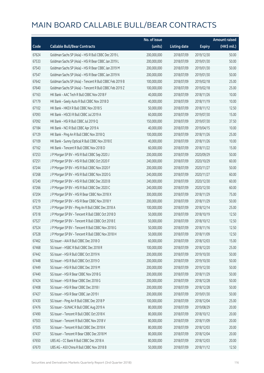|       |                                                          | No. of issue |                     |               | <b>Amount raised</b> |
|-------|----------------------------------------------------------|--------------|---------------------|---------------|----------------------|
| Code  | <b>Callable Bull/Bear Contracts</b>                      | (units)      | <b>Listing date</b> | <b>Expiry</b> | (HK\$ mil.)          |
| 67624 | Goldman Sachs SP (Asia) - HSI R Bull CBBC Dec 2019 L     | 200,000,000  | 2018/07/09          | 2019/12/30    | 50.00                |
| 67533 | Goldman Sachs SP (Asia) - HSI R Bear CBBC Jan 2019 L     | 200,000,000  | 2018/07/09          | 2019/01/30    | 50.00                |
| 67543 | Goldman Sachs SP (Asia) - HSI R Bear CBBC Jan 2019 M     | 200,000,000  | 2018/07/09          | 2019/01/30    | 50.00                |
| 67547 | Goldman Sachs SP (Asia) - HSI R Bear CBBC Jan 2019 N     | 200,000,000  | 2018/07/09          | 2019/01/30    | 50.00                |
| 67642 | Goldman Sachs SP (Asia) - Tencent R Bull CBBC Feb 2019 B | 100,000,000  | 2018/07/09          | 2019/02/18    | 25.00                |
| 67640 | Goldman Sachs SP (Asia) - Tencent R Bull CBBC Feb 2019 Z | 100,000,000  | 2018/07/09          | 2019/02/18    | 25.00                |
| 67163 | HK Bank - AAC Tech R Bull CBBC Nov 2018 F                | 40,000,000   | 2018/07/09          | 2018/11/26    | 10.00                |
| 67179 | HK Bank - Geely Auto R Bull CBBC Nov 2018 D              | 40,000,000   | 2018/07/09          | 2018/11/19    | 10.00                |
| 67102 | HK Bank - HKEX R Bull CBBC Nov 2018 S                    | 50,000,000   | 2018/07/09          | 2018/11/12    | 12.50                |
| 67093 | HK Bank - HSCEI R Bull CBBC Jul 2019 A                   | 60,000,000   | 2018/07/09          | 2019/07/30    | 15.00                |
| 67092 | HK Bank - HSI R Bull CBBC Jul 2019 Q                     | 150,000,000  | 2018/07/09          | 2019/07/30    | 37.50                |
| 67184 | HK Bank - NCI R Bull CBBC Apr 2019 A                     | 40,000,000   | 2018/07/09          | 2019/04/15    | 10.00                |
| 67129 | HK Bank - Ping An R Bull CBBC Nov 2018 Q                 | 100,000,000  | 2018/07/09          | 2018/11/26    | 25.00                |
| 67109 | HK Bank - Sunny Optical R Bull CBBC Nov 2018 E           | 40,000,000   | 2018/07/09          | 2018/11/26    | 10.00                |
| 67162 | HK Bank - Tencent R Bull CBBC Nov 2018 D                 | 60,000,000   | 2018/07/09          | 2018/11/22    | 15.00                |
| 67253 | J P Morgan SP BV - HSI R Bull CBBC Sep 2020 J            | 200,000,000  | 2018/07/09          | 2020/09/29    | 50.00                |
| 67251 | J P Morgan SP BV - HSI R Bull CBBC Oct 2020 F            | 240,000,000  | 2018/07/09          | 2020/10/29    | 60.00                |
| 67244 | J P Morgan SP BV - HSI R Bull CBBC Nov 2020 F            | 200,000,000  | 2018/07/09          | 2020/11/27    | 50.00                |
| 67268 | J P Morgan SP BV - HSI R Bull CBBC Nov 2020 G            | 240,000,000  | 2018/07/09          | 2020/11/27    | 60.00                |
| 67240 | J P Morgan SP BV - HSI R Bull CBBC Dec 2020 B            | 240,000,000  | 2018/07/09          | 2020/12/30    | 60.00                |
| 67266 | J P Morgan SP BV - HSI R Bull CBBC Dec 2020 C            | 240,000,000  | 2018/07/09          | 2020/12/30    | 60.00                |
| 67204 | J P Morgan SP BV - HSI R Bear CBBC Nov 2018 X            | 300,000,000  | 2018/07/09          | 2018/11/29    | 75.00                |
| 67219 | J P Morgan SP BV - HSI R Bear CBBC Nov 2018 Y            | 200,000,000  | 2018/07/09          | 2018/11/29    | 50.00                |
| 67529 | J P Morgan SP BV - Ping An R Bull CBBC Dec 2018 A        | 100,000,000  | 2018/07/09          | 2018/12/14    | 25.00                |
| 67518 | J P Morgan SP BV - Tencent R Bull CBBC Oct 2018 D        | 50,000,000   | 2018/07/09          | 2018/10/19    | 12.50                |
| 67527 | J P Morgan SP BV - Tencent R Bull CBBC Oct 2018 E        | 50,000,000   | 2018/07/09          | 2018/10/12    | 12.50                |
| 67524 | J P Morgan SP BV - Tencent R Bull CBBC Nov 2018 G        | 50,000,000   | 2018/07/09          | 2018/11/16    | 12.50                |
| 67528 | J P Morgan SP BV - Tencent R Bull CBBC Nov 2018 H        | 50,000,000   | 2018/07/09          | 2018/11/09    | 12.50                |
| 67462 | SG Issuer - AIA R Bull CBBC Dec 2018 O                   | 60,000,000   | 2018/07/09          | 2018/12/03    | 15.00                |
| 67468 | SG Issuer - HSBC R Bull CBBC Dec 2018 R                  | 100,000,000  | 2018/07/09          | 2018/12/20    | 25.00                |
| 67442 | SG Issuer - HSI R Bull CBBC Oct 2019 N                   | 200,000,000  | 2018/07/09          | 2019/10/30    | 50.00                |
| 67448 | SG Issuer - HSI R Bull CBBC Oct 2019 O                   | 200,000,000  | 2018/07/09          | 2019/10/30    | 50.00                |
| 67449 | SG Issuer - HSI R Bull CBBC Dec 2019 M                   | 200,000,000  | 2018/07/09          | 2019/12/30    | 50.00                |
| 67440 | SG Issuer - HSI R Bear CBBC Nov 2018 G                   | 200,000,000  | 2018/07/09          | 2018/11/29    | 50.00                |
| 67424 | SG Issuer - HSI R Bear CBBC Dec 2018 G                   | 200,000,000  | 2018/07/09          | 2018/12/28    | 50.00                |
| 67408 | SG Issuer - HSI R Bear CBBC Dec 2018 I                   | 200,000,000  | 2018/07/09          | 2018/12/28    | 50.00                |
| 67427 | SG Issuer - HSI R Bear CBBC Jan 2019 I                   | 200,000,000  | 2018/07/09          | 2019/01/30    | 50.00                |
| 67430 | SG Issuer - Ping An R Bull CBBC Dec 2018 P               | 100,000,000  | 2018/07/09          | 2018/12/04    | 25.00                |
| 67476 | SG Issuer - SUNAC R Bull CBBC Aug 2019 A                 | 80,000,000   | 2018/07/09          | 2019/08/29    | 20.00                |
| 67490 | SG Issuer - Tencent R Bull CBBC Oct 2018 K               | 80,000,000   | 2018/07/09          | 2018/10/12    | 20.00                |
| 67503 | SG Issuer - Tencent R Bull CBBC Nov 2018 V               | 80,000,000   | 2018/07/09          | 2018/11/09    | 20.00                |
| 67505 | SG Issuer - Tencent R Bull CBBC Dec 2018 K               | 80,000,000   | 2018/07/09          | 2018/12/03    | 20.00                |
| 67437 | SG Issuer - Tencent R Bear CBBC Dec 2018 M               | 80,000,000   | 2018/07/09          | 2018/12/04    | 20.00                |
| 67650 | UBS AG - CC Bank R Bull CBBC Dec 2018 A                  | 80,000,000   | 2018/07/09          | 2018/12/03    | 20.00                |
| 67670 | UBS AG - A50 China R Bull CBBC Nov 2018 B                | 50,000,000   | 2018/07/09          | 2018/11/12    | 12.50                |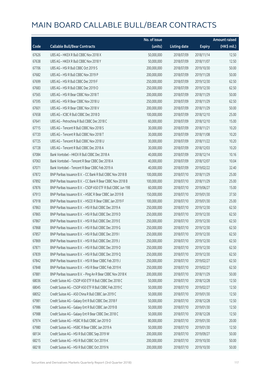|       |                                                              | No. of issue |                     |               | <b>Amount raised</b> |
|-------|--------------------------------------------------------------|--------------|---------------------|---------------|----------------------|
| Code  | <b>Callable Bull/Bear Contracts</b>                          | (units)      | <b>Listing date</b> | <b>Expiry</b> | (HK\$ mil.)          |
| 67626 | UBS AG - HKEX R Bull CBBC Nov 2018 X                         | 50,000,000   | 2018/07/09          | 2018/11/14    | 12.50                |
| 67638 | UBS AG - HKEX R Bull CBBC Nov 2018 Y                         | 50,000,000   | 2018/07/09          | 2018/11/07    | 12.50                |
| 67706 | UBS AG - HSI R Bull CBBC Oct 2019 S                          | 200,000,000  | 2018/07/09          | 2019/10/30    | 50.00                |
| 67682 | UBS AG - HSI R Bull CBBC Nov 2019 P                          | 200,000,000  | 2018/07/09          | 2019/11/28    | 50.00                |
| 67699 | UBS AG - HSI R Bull CBBC Dec 2019 F                          | 250,000,000  | 2018/07/09          | 2019/12/30    | 62.50                |
| 67683 | UBS AG - HSI R Bull CBBC Dec 2019 O                          | 250,000,000  | 2018/07/09          | 2019/12/30    | 62.50                |
| 67565 | UBS AG - HSI R Bear CBBC Nov 2018 T                          | 200,000,000  | 2018/07/09          | 2018/11/29    | 50.00                |
| 67595 | UBS AG - HSI R Bear CBBC Nov 2018 U                          | 250,000,000  | 2018/07/09          | 2018/11/29    | 62.50                |
| 67601 | UBS AG - HSI R Bear CBBC Nov 2018 V                          | 200,000,000  | 2018/07/09          | 2018/11/29    | 50.00                |
| 67658 | UBS AG - ICBC R Bull CBBC Dec 2018 D                         | 100,000,000  | 2018/07/09          | 2018/12/10    | 25.00                |
| 67641 | UBS AG - Petrochina R Bull CBBC Dec 2018 C                   | 60,000,000   | 2018/07/09          | 2018/12/10    | 15.00                |
| 67715 | UBS AG - Tencent R Bull CBBC Nov 2018 S                      | 30,000,000   | 2018/07/09          | 2018/11/21    | 10.20                |
| 67720 | UBS AG - Tencent R Bull CBBC Nov 2018 T                      | 30,000,000   | 2018/07/09          | 2018/11/08    | 10.20                |
| 67725 | UBS AG - Tencent R Bull CBBC Nov 2018 U                      | 30,000,000   | 2018/07/09          | 2018/11/22    | 10.20                |
| 67728 | UBS AG - Tencent R Bull CBBC Dec 2018 A                      | 30,000,000   | 2018/07/09          | 2018/12/03    | 10.20                |
| 67084 | Bank Vontobel - HKEX R Bull CBBC Dec 2018 A                  | 40,000,000   | 2018/07/09          | 2018/12/14    | 10.16                |
| 67063 | Bank Vontobel - Tencent R Bear CBBC Dec 2018 A               | 40,000,000   | 2018/07/09          | 2018/12/07    | 10.04                |
| 67071 | Bank Vontobel - Tencent R Bear CBBC Feb 2019 A               | 40,000,000   | 2018/07/09          | 2019/02/22    | 32.40                |
| 67872 | BNP Paribas Issuance B.V. – CC Bank R Bull CBBC Nov 2018 B   | 100,000,000  | 2018/07/10          | 2018/11/29    | 25.00                |
| 67892 | BNP Paribas Issuance B.V. - CC Bank R Bear CBBC Nov 2018 B   | 100,000,000  | 2018/07/10          | 2018/11/29    | 25.00                |
| 67876 | BNP Paribas Issuance B.V. - CSOP A50 ETF R Bull CBBC Jun 19B | 60,000,000   | 2018/07/10          | 2019/06/27    | 15.00                |
| 67913 | BNP Paribas Issuance B.V. - HSBC R Bear CBBC Jan 2019 B      | 150,000,000  | 2018/07/10          | 2019/01/30    | 37.50                |
| 67918 | BNP Paribas Issuance B.V. - HSCEI R Bear CBBC Jan 2019 F     | 100,000,000  | 2018/07/10          | 2019/01/30    | 25.00                |
| 67863 | BNP Paribas Issuance B.V. - HSI R Bull CBBC Dec 2019 A       | 250,000,000  | 2018/07/10          | 2019/12/30    | 62.50                |
| 67865 | BNP Paribas Issuance B.V. - HSI R Bull CBBC Dec 2019 D       | 250,000,000  | 2018/07/10          | 2019/12/30    | 62.50                |
| 67867 | BNP Paribas Issuance B.V. - HSI R Bull CBBC Dec 2019 E       | 250,000,000  | 2018/07/10          | 2019/12/30    | 62.50                |
| 67868 | BNP Paribas Issuance B.V. - HSI R Bull CBBC Dec 2019 G       | 250,000,000  | 2018/07/10          | 2019/12/30    | 62.50                |
| 67857 | BNP Paribas Issuance B.V. - HSI R Bull CBBC Dec 2019 I       | 250,000,000  | 2018/07/10          | 2019/12/30    | 62.50                |
| 67869 | BNP Paribas Issuance B.V. - HSI R Bull CBBC Dec 2019 J       | 250,000,000  | 2018/07/10          | 2019/12/30    | 62.50                |
| 67871 | BNP Paribas Issuance B.V. - HSI R Bull CBBC Dec 2019 O       | 250,000,000  | 2018/07/10          | 2019/12/30    | 62.50                |
| 67839 | BNP Paribas Issuance B.V. - HSI R Bull CBBC Dec 2019 Q       | 250,000,000  | 2018/07/10          | 2019/12/30    | 62.50                |
| 67842 | BNP Paribas Issuance B.V. - HSI R Bear CBBC Feb 2019 J       | 250,000,000  | 2018/07/10          | 2019/02/27    | 62.50                |
| 67848 | BNP Paribas Issuance B.V. - HSI R Bear CBBC Feb 2019 K       | 250,000,000  | 2018/07/10          | 2019/02/27    | 62.50                |
| 67881 | BNP Paribas Issuance B.V. - Ping An R Bear CBBC Nov 2018 K   | 200,000,000  | 2018/07/10          | 2018/11/29    | 50.00                |
| 68036 | Credit Suisse AG - CSOP A50 ETF R Bull CBBC Dec 2018 C       | 50,000,000   | 2018/07/10          | 2018/12/28    | 12.50                |
| 68045 | Credit Suisse AG - CSOP A50 ETF R Bull CBBC Feb 2019 C       | 50,000,000   | 2018/07/10          | 2019/02/27    | 12.50                |
| 68052 | Credit Suisse AG - A50 China R Bull CBBC Jan 2019 C          | 50,000,000   | 2018/07/10          | 2019/01/30    | 12.50                |
| 67981 | Credit Suisse AG - Galaxy Ent R Bull CBBC Dec 2018 F         | 50,000,000   | 2018/07/10          | 2018/12/28    | 12.50                |
| 67986 | Credit Suisse AG - Galaxy Ent R Bull CBBC Jan 2019 B         | 50,000,000   | 2018/07/10          | 2019/01/30    | 12.50                |
| 67988 | Credit Suisse AG - Galaxy Ent R Bear CBBC Dec 2018 C         | 50,000,000   | 2018/07/10          | 2018/12/28    | 12.50                |
| 67974 | Credit Suisse AG - HSBC R Bull CBBC Jan 2019 D               | 80,000,000   | 2018/07/10          | 2019/01/30    | 20.00                |
| 67980 | Credit Suisse AG - HSBC R Bear CBBC Jan 2019 A               | 50,000,000   | 2018/07/10          | 2019/01/30    | 12.50                |
| 68134 | Credit Suisse AG - HSI R Bull CBBC Sep 2019 W                | 200,000,000  | 2018/07/10          | 2019/09/27    | 50.00                |
| 68215 | Credit Suisse AG - HSI R Bull CBBC Oct 2019 K                | 200,000,000  | 2018/07/10          | 2019/10/30    | 50.00                |
| 68218 | Credit Suisse AG - HSI R Bull CBBC Oct 2019 N                | 200,000,000  | 2018/07/10          | 2019/10/30    | 50.00                |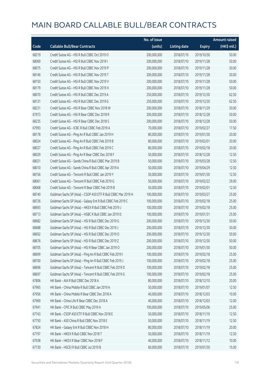|       |                                                               | No. of issue |                     |               | <b>Amount raised</b> |
|-------|---------------------------------------------------------------|--------------|---------------------|---------------|----------------------|
| Code  | <b>Callable Bull/Bear Contracts</b>                           | (units)      | <b>Listing date</b> | <b>Expiry</b> | (HK\$ mil.)          |
| 68219 | Credit Suisse AG - HSI R Bull CBBC Oct 2019 O                 | 200,000,000  | 2018/07/10          | 2019/10/30    | 50.00                |
| 68069 | Credit Suisse AG - HSI R Bull CBBC Nov 2019 I                 | 200,000,000  | 2018/07/10          | 2019/11/28    | 50.00                |
| 68075 | Credit Suisse AG - HSI R Bull CBBC Nov 2019 P                 | 200,000,000  | 2018/07/10          | 2019/11/28    | 50.00                |
| 68146 | Credit Suisse AG - HSI R Bull CBBC Nov 2019 T                 | 200,000,000  | 2018/07/10          | 2019/11/28    | 50.00                |
| 68150 | Credit Suisse AG - HSI R Bull CBBC Nov 2019 V                 | 200,000,000  | 2018/07/10          | 2019/11/28    | 50.00                |
| 68179 | Credit Suisse AG - HSI R Bull CBBC Nov 2019 X                 | 200,000,000  | 2018/07/10          | 2019/11/28    | 50.00                |
| 68070 | Credit Suisse AG - HSI R Bull CBBC Dec 2019 A                 | 250,000,000  | 2018/07/10          | 2019/12/30    | 62.50                |
| 68131 | Credit Suisse AG - HSI R Bull CBBC Dec 2019 G                 | 250,000,000  | 2018/07/10          | 2019/12/30    | 62.50                |
| 68231 | Credit Suisse AG - HSI R Bear CBBC Nov 2018 W                 | 200,000,000  | 2018/07/10          | 2018/11/29    | 50.00                |
| 67973 | Credit Suisse AG - HSI R Bear CBBC Dec 2018 R                 | 200,000,000  | 2018/07/10          | 2018/12/28    | 50.00                |
| 68235 | Credit Suisse AG - HSI R Bear CBBC Dec 2018 S                 | 200,000,000  | 2018/07/10          | 2018/12/28    | 50.00                |
| 67993 | Credit Suisse AG - ICBC R Bull CBBC Feb 2019 A                | 70,000,000   | 2018/07/10          | 2019/02/27    | 17.50                |
| 68178 | Credit Suisse AG - Ping An R Bull CBBC Jan 2019 H             | 80,000,000   | 2018/07/10          | 2019/01/30    | 20.00                |
| 68024 | Credit Suisse AG - Ping An R Bull CBBC Feb 2019 B             | 80,000,000   | 2018/07/10          | 2019/02/01    | 20.00                |
| 68027 | Credit Suisse AG - Ping An R Bull CBBC Feb 2019 C             | 80,000,000   | 2018/07/10          | 2019/02/18    | 20.00                |
| 68029 | Credit Suisse AG - Ping An R Bear CBBC Dec 2018 F             | 50,000,000   | 2018/07/10          | 2018/12/28    | 12.50                |
| 68021 | Credit Suisse AG - Sands China R Bull CBBC Mar 2019 B         | 50,000,000   | 2018/07/10          | 2019/03/28    | 12.50                |
| 68010 | Credit Suisse AG - Sands China R Bull CBBC Apr 2019 A         | 50,000,000   | 2018/07/10          | 2019/04/29    | 12.50                |
| 68156 | Credit Suisse AG - Tencent R Bull CBBC Jan 2019 Y             | 50,000,000   | 2018/07/10          | 2019/01/30    | 12.50                |
| 68061 | Credit Suisse AG - Tencent R Bull CBBC Feb 2019 G             | 50,000,000   | 2018/07/10          | 2019/02/22    | 29.00                |
| 68068 | Credit Suisse AG - Tencent R Bear CBBC Feb 2019 B             | 50,000,000   | 2018/07/10          | 2019/02/01    | 12.50                |
| 68740 | Goldman Sachs SP (Asia) - CSOP A50 ETF R Bull CBBC Mar 2019 H | 100,000,000  | 2018/07/10          | 2019/03/27    | 25.00                |
| 68726 | Goldman Sachs SP (Asia) - Galaxy Ent R Bull CBBC Feb 2019 C   | 100,000,000  | 2018/07/10          | 2019/02/18    | 25.00                |
| 68693 | Goldman Sachs SP (Asia) - HKEX R Bull CBBC Feb 2019 J         | 100,000,000  | 2018/07/10          | 2019/02/18    | 25.00                |
| 68713 | Goldman Sachs SP (Asia) - HSBC R Bull CBBC Jan 2019 D         | 100,000,000  | 2018/07/10          | 2019/01/31    | 25.00                |
| 68682 | Goldman Sachs SP (Asia) - HSI R Bull CBBC Dec 2019 G          | 200,000,000  | 2018/07/10          | 2019/12/30    | 50.00                |
| 68688 | Goldman Sachs SP (Asia) - HSI R Bull CBBC Dec 2019 J          | 200,000,000  | 2018/07/10          | 2019/12/30    | 50.00                |
| 68692 | Goldman Sachs SP (Asia) - HSI R Bull CBBC Dec 2019 O          | 200,000,000  | 2018/07/10          | 2019/12/30    | 50.00                |
| 68676 | Goldman Sachs SP (Asia) - HSI R Bull CBBC Dec 2019 Z          | 200,000,000  | 2018/07/10          | 2019/12/30    | 50.00                |
| 68705 | Goldman Sachs SP (Asia) - HSI R Bear CBBC Jan 2019 O          | 200,000,000  | 2018/07/10          | 2019/01/30    | 50.00                |
| 68699 | Goldman Sachs SP (Asia) - Ping An R Bull CBBC Feb 2019 I      | 100,000,000  | 2018/07/10          | 2019/02/18    | 25.00                |
| 68700 | Goldman Sachs SP (Asia) - Ping An R Bull CBBC Feb 2019 J      | 100,000,000  | 2018/07/10          | 2019/02/18    | 25.00                |
| 68696 | Goldman Sachs SP (Asia) - Tencent R Bull CBBC Feb 2019 D      | 100,000,000  | 2018/07/10          | 2019/02/18    | 25.00                |
| 68697 | Goldman Sachs SP (Asia) - Tencent R Bull CBBC Feb 2019 G      | 100,000,000  | 2018/07/10          | 2019/02/18    | 25.00                |
| 67806 | HK Bank - AIA R Bull CBBC Dec 2018 A                          | 80,000,000   | 2018/07/10          | 2018/12/10    | 20.00                |
| 67965 | HK Bank - China Mobile R Bull CBBC Jan 2019 A                 | 50,000,000   | 2018/07/10          | 2019/01/07    | 12.50                |
| 67956 | HK Bank - China Mobile R Bear CBBC Dec 2018 A                 | 40,000,000   | 2018/07/10          | 2018/12/03    | 10.00                |
| 67969 | HK Bank - China Life R Bear CBBC Dec 2018 A                   | 40,000,000   | 2018/07/10          | 2018/12/03    | 12.00                |
| 67941 | HK Bank - CPIC R Bull CBBC May 2019 A                         | 100,000,000  | 2018/07/10          | 2019/05/06    | 25.00                |
| 67743 | HK Bank - CSOP A50 ETF R Bull CBBC Nov 2018 E                 | 50,000,000   | 2018/07/10          | 2018/11/19    | 12.50                |
| 67750 | HK Bank - A50 China R Bull CBBC Nov 2018 E                    | 50,000,000   | 2018/07/10          | 2018/11/19    | 12.50                |
| 67824 | HK Bank - Galaxy Ent R Bull CBBC Nov 2018 H                   | 80,000,000   | 2018/07/10          | 2018/11/19    | 20.00                |
| 67797 | HK Bank - HKEX R Bull CBBC Nov 2018 T                         | 50,000,000   | 2018/07/10          | 2018/11/19    | 12.50                |
| 67938 | HK Bank - HKEX R Bear CBBC Nov 2018 F                         | 40,000,000   | 2018/07/10          | 2018/11/12    | 10.00                |
| 67730 | HK Bank - HSCEI R Bull CBBC Jul 2019 B                        | 60,000,000   | 2018/07/10          | 2019/07/30    | 15.00                |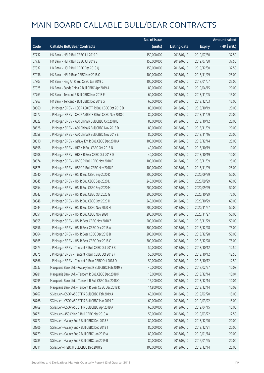|       |                                                         | No. of issue |                     |               | <b>Amount raised</b> |
|-------|---------------------------------------------------------|--------------|---------------------|---------------|----------------------|
| Code  | <b>Callable Bull/Bear Contracts</b>                     | (units)      | <b>Listing date</b> | <b>Expiry</b> | (HK\$ mil.)          |
| 67732 | HK Bank - HSI R Bull CBBC Jul 2019 R                    | 150,000,000  | 2018/07/10          | 2019/07/30    | 37.50                |
| 67737 | HK Bank - HSI R Bull CBBC Jul 2019 S                    | 150,000,000  | 2018/07/10          | 2019/07/30    | 37.50                |
| 67937 | HK Bank - HSI R Bull CBBC Dec 2019 Q                    | 150,000,000  | 2018/07/10          | 2019/12/30    | 37.50                |
| 67936 | HK Bank - HSI R Bear CBBC Nov 2018 O                    | 100,000,000  | 2018/07/10          | 2018/11/29    | 25.00                |
| 67803 | HK Bank - Ping An R Bull CBBC Jan 2019 C                | 100,000,000  | 2018/07/10          | 2019/01/07    | 25.00                |
| 67925 | HK Bank - Sands China R Bull CBBC Apr 2019 A            | 80,000,000   | 2018/07/10          | 2019/04/15    | 20.00                |
| 67763 | HK Bank - Tencent R Bull CBBC Nov 2018 E                | 60,000,000   | 2018/07/10          | 2018/11/05    | 15.00                |
| 67967 | HK Bank - Tencent R Bull CBBC Dec 2018 G                | 60,000,000   | 2018/07/10          | 2018/12/03    | 15.00                |
| 68660 | J P Morgan SP BV - CSOP A50 ETF R Bull CBBC Oct 2018 D  | 80,000,000   | 2018/07/10          | 2018/10/19    | 20.00                |
| 68672 | J P Morgan SP BV - CSOP A50 ETF R Bull CBBC Nov 2018 C  | 80,000,000   | 2018/07/10          | 2018/11/09    | 20.00                |
| 68622 | J P Morgan SP BV - A50 China R Bull CBBC Oct 2018 E     | 80,000,000   | 2018/07/10          | 2018/10/12    | 20.00                |
| 68628 | J P Morgan SP BV - A50 China R Bull CBBC Nov 2018 D     | 80,000,000   | 2018/07/10          | 2018/11/09    | 20.00                |
| 68658 | J P Morgan SP BV - A50 China R Bull CBBC Nov 2018 E     | 80,000,000   | 2018/07/10          | 2018/11/16    | 20.00                |
| 68610 | J P Morgan SP BV - Galaxy Ent R Bull CBBC Dec 2018 A    | 100,000,000  | 2018/07/10          | 2018/12/14    | 25.00                |
| 68598 | J P Morgan SP BV - HKEX R Bull CBBC Oct 2018 N          | 40,000,000   | 2018/07/10          | 2018/10/19    | 10.00                |
| 68608 | J P Morgan SP BV - HKEX R Bear CBBC Oct 2018 D          | 40,000,000   | 2018/07/10          | 2018/10/19    | 10.00                |
| 68674 | J P Morgan SP BV - HSBC R Bull CBBC Nov 2018 E          | 100,000,000  | 2018/07/10          | 2018/11/09    | 25.00                |
| 68675 | J P Morgan SP BV - HSBC R Bull CBBC Nov 2018 F          | 100,000,000  | 2018/07/10          | 2018/11/09    | 25.00                |
| 68540 | J P Morgan SP BV - HSI R Bull CBBC Sep 2020 K           | 200,000,000  | 2018/07/10          | 2020/09/29    | 50.00                |
| 68545 | J P Morgan SP BV - HSI R Bull CBBC Sep 2020 L           | 240,000,000  | 2018/07/10          | 2020/09/29    | 60.00                |
| 68554 | J P Morgan SP BV - HSI R Bull CBBC Sep 2020 M           | 200,000,000  | 2018/07/10          | 2020/09/29    | 50.00                |
| 68542 | J P Morgan SP BV - HSI R Bull CBBC Oct 2020 G           | 300,000,000  | 2018/07/10          | 2020/10/29    | 75.00                |
| 68548 | J P Morgan SP BV - HSI R Bull CBBC Oct 2020 H           | 240,000,000  | 2018/07/10          | 2020/10/29    | 60.00                |
| 68544 | J P Morgan SP BV - HSI R Bull CBBC Nov 2020 H           | 200,000,000  | 2018/07/10          | 2020/11/27    | 50.00                |
| 68551 | J P Morgan SP BV - HSI R Bull CBBC Nov 2020 I           | 200,000,000  | 2018/07/10          | 2020/11/27    | 50.00                |
| 68555 | J P Morgan SP BV - HSI R Bear CBBC Nov 2018 Z           | 200,000,000  | 2018/07/10          | 2018/11/29    | 50.00                |
| 68556 | J P Morgan SP BV - HSI R Bear CBBC Dec 2018 A           | 300,000,000  | 2018/07/10          | 2018/12/28    | 75.00                |
| 68564 | J P Morgan SP BV - HSI R Bear CBBC Dec 2018 B           | 200,000,000  | 2018/07/10          | 2018/12/28    | 50.00                |
| 68565 | J P Morgan SP BV - HSI R Bear CBBC Dec 2018 C           | 300,000,000  | 2018/07/10          | 2018/12/28    | 75.00                |
| 68573 | J P Morgan SP BV - Tencent R Bull CBBC Oct 2018 B       | 50,000,000   | 2018/07/10          | 2018/10/12    | 12.50                |
| 68575 | J P Morgan SP BV - Tencent R Bull CBBC Oct 2018 F       | 50,000,000   | 2018/07/10          | 2018/10/12    | 12.50                |
| 68566 | J P Morgan SP BV - Tencent R Bear CBBC Oct 2018 O       | 50,000,000   | 2018/07/10          | 2018/10/12    | 12.50                |
| 68237 | Macquarie Bank Ltd. - Galaxy Ent R Bull CBBC Feb 2019 B | 40,000,000   | 2018/07/10          | 2019/02/27    | 10.08                |
| 68281 | Macquarie Bank Ltd. - Tencent R Bull CBBC Dec 2018 P    | 18,000,000   | 2018/07/10          | 2018/12/14    | 10.04                |
| 68295 | Macquarie Bank Ltd. - Tencent R Bull CBBC Dec 2018 Q    | 16,700,000   | 2018/07/10          | 2018/12/14    | 10.04                |
| 68249 | Macquarie Bank Ltd. - Tencent R Bear CBBC Dec 2018 K    | 14,800,000   | 2018/07/10          | 2018/12/14    | 10.03                |
| 68767 | SG Issuer - CSOP A50 ETF R Bull CBBC Feb 2019 A         | 60,000,000   | 2018/07/10          | 2019/02/20    | 15.00                |
| 68768 | SG Issuer - CSOP A50 ETF R Bull CBBC Mar 2019 C         | 60,000,000   | 2018/07/10          | 2019/03/22    | 15.00                |
| 68769 | SG Issuer - CSOP A50 ETF R Bull CBBC Apr 2019 A         | 60,000,000   | 2018/07/10          | 2019/04/15    | 15.00                |
| 68771 | SG Issuer - A50 China R Bull CBBC Mar 2019 A            | 50,000,000   | 2018/07/10          | 2019/03/22    | 12.50                |
| 68777 | SG Issuer - Galaxy Ent R Bull CBBC Dec 2018 S           | 80,000,000   | 2018/07/10          | 2018/12/20    | 20.00                |
| 68806 | SG Issuer - Galaxy Ent R Bull CBBC Dec 2018 T           | 80,000,000   | 2018/07/10          | 2018/12/21    | 20.00                |
| 68779 | SG Issuer - Galaxy Ent R Bull CBBC Jan 2019 A           | 80,000,000   | 2018/07/10          | 2019/01/14    | 20.00                |
| 68785 | SG Issuer - Galaxy Ent R Bull CBBC Jan 2019 B           | 80,000,000   | 2018/07/10          | 2019/01/25    | 20.00                |
| 68811 | SG Issuer - HSBC R Bull CBBC Dec 2018 S                 | 100,000,000  | 2018/07/10          | 2018/12/14    | 25.00                |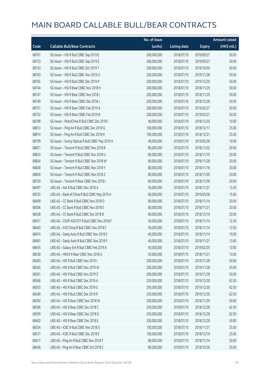|       |                                                  | No. of issue |                     |               | <b>Amount raised</b> |
|-------|--------------------------------------------------|--------------|---------------------|---------------|----------------------|
| Code  | <b>Callable Bull/Bear Contracts</b>              | (units)      | <b>Listing date</b> | <b>Expiry</b> | (HK\$ mil.)          |
| 68761 | SG Issuer - HSI R Bull CBBC Sep 2019 E           | 200,000,000  | 2018/07/10          | 2019/09/27    | 50.00                |
| 68753 | SG Issuer - HSI R Bull CBBC Sep 2019 Z           | 200,000,000  | 2018/07/10          | 2019/09/27    | 50.00                |
| 68743 | SG Issuer - HSI R Bull CBBC Oct 2019 T           | 200,000,000  | 2018/07/10          | 2019/10/30    | 50.00                |
| 68763 | SG Issuer - HSI R Bull CBBC Nov 2019 U           | 200,000,000  | 2018/07/10          | 2019/11/28    | 50.00                |
| 68765 | SG Issuer - HSI R Bull CBBC Dec 2019 P           | 200,000,000  | 2018/07/10          | 2019/12/30    | 50.00                |
| 68744 | SG Issuer - HSI R Bear CBBC Nov 2018 H           | 200,000,000  | 2018/07/10          | 2018/11/29    | 50.00                |
| 68747 | SG Issuer - HSI R Bear CBBC Nov 2018 I           | 200,000,000  | 2018/07/10          | 2018/11/29    | 50.00                |
| 68749 | SG Issuer - HSI R Bear CBBC Dec 2018 J           | 200,000,000  | 2018/07/10          | 2018/12/28    | 50.00                |
| 68751 | SG Issuer - HSI R Bear CBBC Feb 2019 A           | 200,000,000  | 2018/07/10          | 2019/02/27    | 50.00                |
| 68752 | SG Issuer - HSI R Bear CBBC Feb 2019 B           | 200,000,000  | 2018/07/10          | 2019/02/27    | 50.00                |
| 68798 | SG Issuer - PetroChina R Bull CBBC Dec 2018 I    | 40,000,000   | 2018/07/10          | 2018/12/20    | 10.00                |
| 68813 | SG Issuer - Ping An R Bull CBBC Dec 2018 Q       | 100,000,000  | 2018/07/10          | 2018/12/17    | 25.00                |
| 68814 | SG Issuer - Ping An R Bull CBBC Dec 2018 R       | 100,000,000  | 2018/07/10          | 2018/12/21    | 25.00                |
| 68799 | SG Issuer - Sunny Optical R Bull CBBC May 2019 A | 40,000,000   | 2018/07/10          | 2019/05/30    | 10.00                |
| 68821 | SG Issuer - Tencent R Bull CBBC Nov 2018 B       | 80,000,000   | 2018/07/10          | 2018/11/02    | 20.00                |
| 68833 | SG Issuer - Tencent R Bull CBBC Nov 2018 U       | 80,000,000   | 2018/07/10          | 2018/11/19    | 20.00                |
| 68834 | SG Issuer - Tencent R Bull CBBC Nov 2018 W       | 80,000,000   | 2018/07/10          | 2018/11/28    | 20.00                |
| 68828 | SG Issuer - Tencent R Bull CBBC Nov 2018 Y       | 80,000,000   | 2018/07/10          | 2018/11/16    | 20.00                |
| 68826 | SG Issuer - Tencent R Bull CBBC Nov 2018 Z       | 80,000,000   | 2018/07/10          | 2018/11/05    | 20.00                |
| 68750 | SG Issuer - Tencent R Bear CBBC Nov 2018 L       | 80,000,000   | 2018/07/10          | 2018/11/09    | 20.00                |
| 68497 | UBS AG - AIA R Bull CBBC Nov 2018 A              | 50,000,000   | 2018/07/10          | 2018/11/21    | 12.50                |
| 68535 | UBS AG - Bank of China R Bull CBBC May 2019 A    | 60,000,000   | 2018/07/10          | 2019/05/06    | 15.00                |
| 68499 | UBS AG - CC Bank R Bull CBBC Nov 2018 D          | 80,000,000   | 2018/07/10          | 2018/11/14    | 20.00                |
| 68506 | UBS AG - CC Bank R Bull CBBC Nov 2018 E          | 80,000,000   | 2018/07/10          | 2018/11/21    | 20.00                |
| 68528 | UBS AG - CC Bank R Bull CBBC Dec 2018 B          | 80,000,000   | 2018/07/10          | 2018/12/19    | 20.00                |
| 68451 | UBS AG - CSOP A50 ETF R Bull CBBC Nov 2018 F     | 50,000,000   | 2018/07/10          | 2018/11/14    | 12.50                |
| 68440 | UBS AG - A50 China R Bull CBBC Nov 2018 C        | 50,000,000   | 2018/07/10          | 2018/11/14    | 12.50                |
| 68474 | UBS AG - Geely Auto R Bull CBBC Nov 2018 E       | 40,000,000   | 2018/07/10          | 2018/11/14    | 10.00                |
| 68481 | UBS AG - Geely Auto R Bull CBBC Nov 2018 F       | 40,000,000   | 2018/07/10          | 2018/11/21    | 13.60                |
| 68455 | UBS AG - Galaxy Ent R Bull CBBC Feb 2019 A       | 40,000,000   | 2018/07/10          | 2019/02/25    | 10.00                |
| 68538 | UBS AG - HKEX R Bear CBBC Nov 2018 A             | 50,000,000   | 2018/07/10          | 2018/11/21    | 13.00                |
| 68383 | UBS AG - HSI R Bull CBBC Nov 2019 I              | 200,000,000  | 2018/07/10          | 2019/11/28    | 50.00                |
| 68345 | UBS AG - HSI R Bull CBBC Nov 2019 W              | 200,000,000  | 2018/07/10          | 2019/11/28    | 50.00                |
| 68361 | UBS AG - HSI R Bull CBBC Nov 2019 Z              | 200,000,000  | 2018/07/10          | 2019/11/28    | 50.00                |
| 68366 | UBS AG - HSI R Bull CBBC Dec 2019 A              | 250,000,000  | 2018/07/10          | 2019/12/30    | 62.50                |
| 68303 | UBS AG - HSI R Bull CBBC Dec 2019 G              | 250,000,000  | 2018/07/10          | 2019/12/30    | 62.50                |
| 68349 | UBS AG - HSI R Bull CBBC Dec 2019 R              | 250,000,000  | 2018/07/10          | 2019/12/30    | 62.50                |
| 68392 | UBS AG - HSI R Bear CBBC Nov 2018 W              | 200,000,000  | 2018/07/10          | 2018/11/29    | 50.00                |
| 68396 | UBS AG - HSI R Bear CBBC Dec 2018 C              | 250,000,000  | 2018/07/10          | 2018/12/28    | 62.50                |
| 68399 | UBS AG - HSI R Bear CBBC Dec 2018 D              | 250,000,000  | 2018/07/10          | 2018/12/28    | 62.50                |
| 68402 | UBS AG - HSI R Bear CBBC Dec 2018 E              | 200,000,000  | 2018/07/10          | 2018/12/28    | 50.00                |
| 68534 | UBS AG - ICBC R Bull CBBC Nov 2018 G             | 100,000,000  | 2018/07/10          | 2018/11/21    | 25.00                |
| 68531 | UBS AG - ICBC R Bull CBBC Dec 2018 E             | 100,000,000  | 2018/07/10          | 2018/12/19    | 25.00                |
| 68417 | UBS AG - Ping An R Bull CBBC Nov 2018 Y          | 80,000,000   | 2018/07/10          | 2018/11/14    | 20.00                |
| 68436 | UBS AG - Ping An R Bear CBBC Oct 2018 C          | 80,000,000   | 2018/07/10          | 2018/10/26    | 20.00                |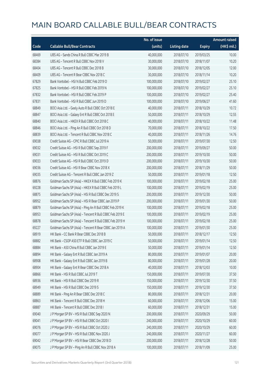|       |                                                          | No. of issue |                     |               | <b>Amount raised</b> |
|-------|----------------------------------------------------------|--------------|---------------------|---------------|----------------------|
| Code  | <b>Callable Bull/Bear Contracts</b>                      | (units)      | <b>Listing date</b> | <b>Expiry</b> | (HK\$ mil.)          |
| 68469 | UBS AG - Sands China R Bull CBBC Mar 2019 B              | 40,000,000   | 2018/07/10          | 2019/03/25    | 10.00                |
| 68384 | UBS AG - Tencent R Bull CBBC Nov 2018 V                  | 30,000,000   | 2018/07/10          | 2018/11/07    | 10.20                |
| 68404 | UBS AG - Tencent R Bull CBBC Dec 2018 B                  | 30,000,000   | 2018/07/10          | 2018/12/05    | 12.00                |
| 68409 | UBS AG - Tencent R Bear CBBC Nov 2018 C                  | 30,000,000   | 2018/07/10          | 2018/11/14    | 10.20                |
| 67829 | Bank Vontobel - HSI N Bull CBBC Feb 2019 O               | 100,000,000  | 2018/07/10          | 2019/02/27    | 25.10                |
| 67825 | Bank Vontobel - HSI R Bull CBBC Feb 2019 N               | 100,000,000  | 2018/07/10          | 2019/02/27    | 25.10                |
| 67832 | Bank Vontobel - HSI R Bull CBBC Feb 2019 P               | 100,000,000  | 2018/07/10          | 2019/02/27    | 25.40                |
| 67831 | Bank Vontobel - HSI R Bull CBBC Jun 2019 D               | 100,000,000  | 2018/07/10          | 2019/06/27    | 41.60                |
| 68849 | BOCI Asia Ltd. - Geely Auto R Bull CBBC Oct 2018 E       | 40,000,000   | 2018/07/11          | 2018/10/29    | 10.72                |
| 68847 | BOCI Asia Ltd. - Galaxy Ent R Bull CBBC Oct 2018 E       | 50,000,000   | 2018/07/11          | 2018/10/29    | 12.55                |
| 68840 | BOCI Asia Ltd. - HKEX R Bull CBBC Oct 2018 C             | 40,000,000   | 2018/07/11          | 2018/10/22    | 11.48                |
| 68846 | BOCI Asia Ltd. - Ping An R Bull CBBC Oct 2018 D          | 70,000,000   | 2018/07/11          | 2018/10/22    | 17.50                |
| 68839 | BOCI Asia Ltd. - Tencent R Bull CBBC Nov 2018 C          | 40,000,000   | 2018/07/11          | 2018/11/26    | 14.76                |
| 69038 | Credit Suisse AG - CPIC R Bull CBBC Jul 2019 A           | 50,000,000   | 2018/07/11          | 2019/07/30    | 12.50                |
| 69032 | Credit Suisse AG - HSI R Bull CBBC Sep 2019 F            | 200,000,000  | 2018/07/11          | 2019/09/27    | 50.00                |
| 69031 | Credit Suisse AG - HSI R Bull CBBC Oct 2019 C            | 200,000,000  | 2018/07/11          | 2019/10/30    | 50.00                |
| 69033 | Credit Suisse AG - HSI R Bull CBBC Oct 2019 D            | 200,000,000  | 2018/07/11          | 2019/10/30    | 50.00                |
| 69036 | Credit Suisse AG - HSI R Bear CBBC Nov 2018 X            | 200,000,000  | 2018/07/11          | 2018/11/29    | 50.00                |
| 69035 | Credit Suisse AG - Tencent R Bull CBBC Jan 2019 Z        | 50,000,000   | 2018/07/11          | 2019/01/18    | 12.50                |
| 68876 | Goldman Sachs SP (Asia) - HKEX R Bull CBBC Feb 2019 K    | 100,000,000  | 2018/07/11          | 2019/02/18    | 25.00                |
| 69228 | Goldman Sachs SP (Asia) - HKEX R Bull CBBC Feb 2019 L    | 100,000,000  | 2018/07/11          | 2019/02/19    | 25.00                |
| 68875 | Goldman Sachs SP (Asia) - HSI R Bull CBBC Dec 2019 S     | 200,000,000  | 2018/07/11          | 2019/12/30    | 50.00                |
| 68952 | Goldman Sachs SP (Asia) - HSI R Bear CBBC Jan 2019 P     | 200,000,000  | 2018/07/11          | 2019/01/30    | 50.00                |
| 68879 | Goldman Sachs SP (Asia) - Ping An R Bull CBBC Feb 2019 K | 100,000,000  | 2018/07/11          | 2019/02/18    | 25.00                |
| 68953 | Goldman Sachs SP (Asia) - Tencent R Bull CBBC Feb 2019 E | 100,000,000  | 2018/07/11          | 2019/02/19    | 25.00                |
| 68878 | Goldman Sachs SP (Asia) - Tencent R Bull CBBC Feb 2019 H | 100,000,000  | 2018/07/11          | 2019/02/18    | 25.00                |
| 69227 | Goldman Sachs SP (Asia) - Tencent R Bear CBBC Jan 2019 A | 100,000,000  | 2018/07/11          | 2019/01/30    | 25.00                |
| 68919 | HK Bank - CC Bank R Bear CBBC Dec 2018 B                 | 50,000,000   | 2018/07/11          | 2018/12/17    | 12.50                |
| 68882 | HK Bank - CSOP A50 ETF R Bull CBBC Jan 2019 C            | 50,000,000   | 2018/07/11          | 2019/01/14    | 12.50                |
| 68884 | HK Bank - A50 China R Bull CBBC Jan 2019 E               | 50,000,000   | 2018/07/11          | 2019/01/14    | 12.50                |
| 68894 | HK Bank - Galaxy Ent R Bull CBBC Jan 2019 A              | 80,000,000   | 2018/07/11          | 2019/01/07    | 20.00                |
| 68908 | HK Bank - Galaxy Ent R Bull CBBC Jan 2019 B              | 80,000,000   | 2018/07/11          | 2019/01/28    | 20.00                |
| 68904 | HK Bank - Galaxy Ent R Bear CBBC Dec 2018 A              | 40,000,000   | 2018/07/11          | 2018/12/03    | 10.00                |
| 68866 | HK Bank - HSI R Bull CBBC Jul 2019 T                     | 150,000,000  | 2018/07/11          | 2019/07/30    | 37.50                |
| 68936 | HK Bank - HSI R Bull CBBC Dec 2019 R                     | 150,000,000  | 2018/07/11          | 2019/12/30    | 37.50                |
| 68949 | HK Bank - HSI R Bull CBBC Dec 2019 S                     | 150,000,000  | 2018/07/11          | 2019/12/30    | 37.50                |
| 68889 | HK Bank - Ping An R Bear CBBC Dec 2018 C                 | 80,000,000   | 2018/07/11          | 2018/12/31    | 20.00                |
| 68863 | HK Bank - Tencent R Bull CBBC Dec 2018 H                 | 60,000,000   | 2018/07/11          | 2018/12/06    | 15.00                |
| 68887 | HK Bank - Tencent R Bull CBBC Dec 2018 I                 | 60,000,000   | 2018/07/11          | 2018/12/31    | 15.00                |
| 69040 | J P Morgan SP BV - HSI R Bull CBBC Sep 2020 N            | 200,000,000  | 2018/07/11          | 2020/09/29    | 50.00                |
| 69041 | J P Morgan SP BV - HSI R Bull CBBC Oct 2020 I            | 240,000,000  | 2018/07/11          | 2020/10/29    | 60.00                |
| 69076 | J P Morgan SP BV - HSI R Bull CBBC Oct 2020 J            | 240,000,000  | 2018/07/11          | 2020/10/29    | 60.00                |
| 69077 | J P Morgan SP BV - HSI R Bull CBBC Nov 2020 J            | 240,000,000  | 2018/07/11          | 2020/11/27    | 60.00                |
| 69042 | J P Morgan SP BV - HSI R Bear CBBC Dec 2018 D            | 200,000,000  | 2018/07/11          | 2018/12/28    | 50.00                |
| 69075 | J P Morgan SP BV - Ping An R Bull CBBC Nov 2018 A        | 100,000,000  | 2018/07/11          | 2018/11/09    | 25.00                |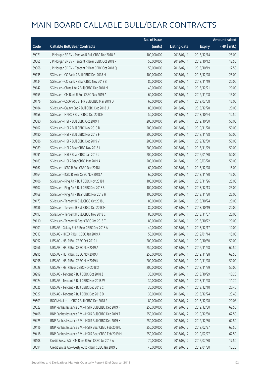|       |                                                        | No. of issue |                     |               | <b>Amount raised</b> |
|-------|--------------------------------------------------------|--------------|---------------------|---------------|----------------------|
| Code  | <b>Callable Bull/Bear Contracts</b>                    | (units)      | <b>Listing date</b> | <b>Expiry</b> | (HK\$ mil.)          |
| 69071 | J P Morgan SP BV - Ping An R Bull CBBC Dec 2018 B      | 100,000,000  | 2018/07/11          | 2018/12/14    | 25.00                |
| 69065 | J P Morgan SP BV - Tencent R Bear CBBC Oct 2018 P      | 50,000,000   | 2018/07/11          | 2018/10/12    | 12.50                |
| 69068 | J P Morgan SP BV - Tencent R Bear CBBC Oct 2018 Q      | 50,000,000   | 2018/07/11          | 2018/10/19    | 12.50                |
| 69135 | SG Issuer - CC Bank R Bull CBBC Dec 2018 H             | 100,000,000  | 2018/07/11          | 2018/12/28    | 25.00                |
| 69134 | SG Issuer - CC Bank R Bear CBBC Nov 2018 B             | 80,000,000   | 2018/07/11          | 2018/11/19    | 20.00                |
| 69142 | SG Issuer - China Life R Bull CBBC Dec 2018 M          | 40,000,000   | 2018/07/11          | 2018/12/21    | 20.00                |
| 69155 | SG Issuer - CM Bank R Bull CBBC Nov 2019 A             | 60,000,000   | 2018/07/11          | 2019/11/08    | 15.00                |
| 69176 | SG Issuer - CSOP A50 ETF R Bull CBBC Mar 2019 D        | 60,000,000   | 2018/07/11          | 2019/03/08    | 15.00                |
| 69184 | SG Issuer - Galaxy Ent R Bull CBBC Dec 2018 U          | 80,000,000   | 2018/07/11          | 2018/12/28    | 20.00                |
| 69158 | SG Issuer - HKEX R Bear CBBC Oct 2018 E                | 50,000,000   | 2018/07/11          | 2018/10/24    | 12.50                |
| 69080 | SG Issuer - HSI R Bull CBBC Oct 2019 Y                 | 200,000,000  | 2018/07/11          | 2019/10/30    | 50.00                |
| 69102 | SG Issuer - HSI R Bull CBBC Nov 2019 D                 | 200,000,000  | 2018/07/11          | 2019/11/28    | 50.00                |
| 69180 | SG Issuer - HSI R Bull CBBC Nov 2019 F                 | 200,000,000  | 2018/07/11          | 2019/11/28    | 50.00                |
| 69086 | SG Issuer - HSI R Bull CBBC Dec 2019 V                 | 200,000,000  | 2018/07/11          | 2019/12/30    | 50.00                |
| 69089 | SG Issuer - HSI R Bear CBBC Nov 2018 J                 | 200,000,000  | 2018/07/11          | 2018/11/29    | 50.00                |
| 69091 | SG Issuer - HSI R Bear CBBC Jan 2019 J                 | 200,000,000  | 2018/07/11          | 2019/01/30    | 50.00                |
| 69183 | SG Issuer - HSI R Bear CBBC Mar 2019 A                 | 200,000,000  | 2018/07/11          | 2019/03/28    | 50.00                |
| 69167 | SG Issuer - ICBC R Bull CBBC Dec 2018 I                | 60,000,000   | 2018/07/11          | 2018/12/28    | 15.00                |
| 69164 | SG Issuer - ICBC R Bear CBBC Nov 2018 A                | 60,000,000   | 2018/07/11          | 2018/11/30    | 15.00                |
| 69106 | SG Issuer - Ping An R Bull CBBC Nov 2018 H             | 100,000,000  | 2018/07/11          | 2018/11/26    | 25.00                |
| 69107 | SG Issuer - Ping An R Bull CBBC Dec 2018 S             | 100,000,000  | 2018/07/11          | 2018/12/13    | 25.00                |
| 69168 | SG Issuer - Ping An R Bear CBBC Nov 2018 H             | 100,000,000  | 2018/07/11          | 2018/11/30    | 25.00                |
| 69173 | SG Issuer - Tencent R Bull CBBC Oct 2018 J             | 80,000,000   | 2018/07/11          | 2018/10/24    | 20.00                |
| 69186 | SG Issuer - Tencent R Bull CBBC Oct 2018 M             | 80,000,000   | 2018/07/11          | 2018/10/19    | 20.00                |
| 69193 | SG Issuer - Tencent R Bull CBBC Nov 2018 C             | 80,000,000   | 2018/07/11          | 2018/11/07    | 20.00                |
| 69110 | SG Issuer - Tencent R Bear CBBC Oct 2018 T             | 80,000,000   | 2018/07/11          | 2018/10/22    | 20.00                |
| 69001 | UBS AG - Galaxy Ent R Bear CBBC Dec 2018 A             | 40,000,000   | 2018/07/11          | 2018/12/17    | 10.00                |
| 69013 | UBS AG - HKEX R Bull CBBC Jan 2019 A                   | 50,000,000   | 2018/07/11          | 2019/01/14    | 15.00                |
| 68992 | UBS AG - HSI R Bull CBBC Oct 2019 L                    | 200,000,000  | 2018/07/11          | 2019/10/30    | 50.00                |
| 68966 | UBS AG - HSI R Bull CBBC Nov 2019 A                    | 250,000,000  | 2018/07/11          | 2019/11/28    | 62.50                |
| 68995 | UBS AG - HSI R Bull CBBC Nov 2019 J                    | 250,000,000  | 2018/07/11          | 2019/11/28    | 62.50                |
| 68998 | UBS AG - HSI R Bull CBBC Nov 2019 K                    | 200,000,000  | 2018/07/11          | 2019/11/28    | 50.00                |
| 69028 | UBS AG - HSI R Bear CBBC Nov 2018 X                    | 200,000,000  | 2018/07/11          | 2018/11/29    | 50.00                |
| 68999 | UBS AG - Tencent R Bull CBBC Oct 2018 Z                | 30,000,000   | 2018/07/11          | 2018/10/29    | 10.20                |
| 69024 | UBS AG - Tencent R Bull CBBC Nov 2018 W                | 30,000,000   | 2018/07/11          | 2018/11/28    | 11.70                |
| 69025 | UBS AG - Tencent R Bull CBBC Dec 2018 C                | 30,000,000   | 2018/07/11          | 2018/12/10    | 20.40                |
| 69027 | UBS AG - Tencent R Bull CBBC Dec 2018 D                | 30,000,000   | 2018/07/11          | 2018/12/24    | 23.40                |
| 69603 | BOCI Asia Ltd. - ICBC R Bull CBBC Dec 2018 A           | 80,000,000   | 2018/07/12          | 2018/12/28    | 20.08                |
| 69622 | BNP Paribas Issuance B.V. - HSI R Bull CBBC Dec 2019 F | 250,000,000  | 2018/07/12          | 2019/12/30    | 62.50                |
| 69408 | BNP Paribas Issuance B.V. - HSI R Bull CBBC Dec 2019 T | 250,000,000  | 2018/07/12          | 2019/12/30    | 62.50                |
| 69425 | BNP Paribas Issuance B.V. - HSI R Bull CBBC Dec 2019 X | 250,000,000  | 2018/07/12          | 2019/12/30    | 62.50                |
| 69416 | BNP Paribas Issuance B.V. - HSI R Bear CBBC Feb 2019 L | 250,000,000  | 2018/07/12          | 2019/02/27    | 62.50                |
| 69418 | BNP Paribas Issuance B.V. - HSI R Bear CBBC Feb 2019 M | 250,000,000  | 2018/07/12          | 2019/02/27    | 62.50                |
| 60108 | Credit Suisse AG - CM Bank R Bull CBBC Jul 2019 A      | 70,000,000   | 2018/07/12          | 2019/07/30    | 17.50                |
| 60094 | Credit Suisse AG - Geely Auto R Bull CBBC Jan 2019 E   | 40,000,000   | 2018/07/12          | 2019/01/30    | 13.20                |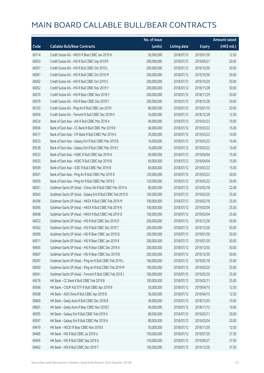|       |                                                             | No. of issue |                     |               | <b>Amount raised</b> |
|-------|-------------------------------------------------------------|--------------|---------------------|---------------|----------------------|
| Code  | <b>Callable Bull/Bear Contracts</b>                         | (units)      | <b>Listing date</b> | <b>Expiry</b> | (HK\$ mil.)          |
| 60114 | Credit Suisse AG - HKEX R Bear CBBC Jan 2019 H              | 50,000,000   | 2018/07/12          | 2019/01/30    | 12.50                |
| 60053 | Credit Suisse AG - HSI R Bull CBBC Sep 2019 R               | 200,000,000  | 2018/07/12          | 2019/09/27    | 50.00                |
| 60057 | Credit Suisse AG - HSI R Bull CBBC Oct 2019 L               | 200,000,000  | 2018/07/12          | 2019/10/30    | 50.00                |
| 60061 | Credit Suisse AG - HSI R Bull CBBC Oct 2019 M               | 200,000,000  | 2018/07/12          | 2019/10/30    | 50.00                |
| 60062 | Credit Suisse AG - HSI R Bull CBBC Oct 2019 S               | 200,000,000  | 2018/07/12          | 2019/10/30    | 50.00                |
| 60052 | Credit Suisse AG - HSI R Bull CBBC Nov 2019 Y               | 200,000,000  | 2018/07/12          | 2019/11/28    | 50.00                |
| 60070 | Credit Suisse AG - HSI R Bear CBBC Nov 2018 Y               | 200,000,000  | 2018/07/12          | 2018/11/29    | 50.00                |
| 60079 | Credit Suisse AG - HSI R Bear CBBC Dec 2018 T               | 200,000,000  | 2018/07/12          | 2018/12/28    | 50.00                |
| 60103 | Credit Suisse AG - Ping An R Bull CBBC Jan 2019 I           | 80,000,000   | 2018/07/12          | 2019/01/10    | 20.00                |
| 60056 | Credit Suisse AG - Tencent R Bull CBBC Dec 2018 H           | 50,000,000   | 2018/07/12          | 2018/12/28    | 12.50                |
| 69524 | Bank of East Asia - AIA R Bull CBBC Mar 2019 A              | 40,000,000   | 2018/07/12          | 2019/03/22    | 10.00                |
| 69506 | Bank of East Asia - CC Bank R Bull CBBC Mar 2019 B          | 60,000,000   | 2018/07/12          | 2019/03/22    | 15.00                |
| 69517 | Bank of East Asia - CM Bank R Bull CBBC Mar 2019 A          | 20,000,000   | 2018/07/12          | 2019/03/22    | 10.00                |
| 69525 | Bank of East Asia - Galaxy Ent R Bull CBBC Mar 2019 B       | 16,000,000   | 2018/07/12          | 2019/03/22    | 10.40                |
| 69538 | Bank of East Asia - Galaxy Ent R Bull CBBC Mar 2019 C       | 16,000,000   | 2018/07/12          | 2019/03/22    | 10.40                |
| 69553 | Bank of East Asia - HSBC R Bull CBBC Apr 2019 A             | 60,000,000   | 2018/07/12          | 2019/04/04    | 15.00                |
| 69555 | Bank of East Asia - HSBC R Bull CBBC Apr 2019 B             | 60,000,000   | 2018/07/12          | 2019/04/04    | 15.00                |
| 69509 | Bank of East Asia - ICBC R Bull CBBC Mar 2019 B             | 60,000,000   | 2018/07/12          | 2019/03/22    | 15.00                |
| 69501 | Bank of East Asia - Ping An R Bull CBBC Mar 2019 D          | 120,000,000  | 2018/07/12          | 2019/03/22    | 30.00                |
| 69505 | Bank of East Asia - Ping An R Bull CBBC Mar 2019 E          | 120,000,000  | 2018/07/12          | 2019/03/22    | 30.00                |
| 60051 | Goldman Sachs SP (Asia) - China Life R Bull CBBC Mar 2019 A | 80,000,000   | 2018/07/12          | 2019/03/18    | 22.08                |
| 60043 | Goldman Sachs SP (Asia) - Galaxy Ent R Bull CBBC Feb 2019 D | 100,000,000  | 2018/07/12          | 2019/02/20    | 25.00                |
| 69396 | Goldman Sachs SP (Asia) - HKEX R Bull CBBC Feb 2019 M       | 100,000,000  | 2018/07/12          | 2019/02/18    | 25.00                |
| 60045 | Goldman Sachs SP (Asia) - HKEX R Bull CBBC Feb 2019 N       | 100,000,000  | 2018/07/12          | 2019/02/04    | 25.00                |
| 60048 | Goldman Sachs SP (Asia) - HKEX R Bull CBBC Feb 2019 O       | 100,000,000  | 2018/07/12          | 2019/02/04    | 25.60                |
| 60022 | Goldman Sachs SP (Asia) - HSI R Bull CBBC Dec 2019 D        | 200,000,000  | 2018/07/12          | 2019/12/30    | 50.00                |
| 69362 | Goldman Sachs SP (Asia) - HSI R Bull CBBC Dec 2019 T        | 200,000,000  | 2018/07/12          | 2019/12/30    | 50.00                |
| 60009 | Goldman Sachs SP (Asia) - HSI R Bear CBBC Jan 2019 Q        | 200,000,000  | 2018/07/12          | 2019/01/30    | 50.00                |
| 60011 | Goldman Sachs SP (Asia) - HSI R Bear CBBC Jan 2019 R        | 200,000,000  | 2018/07/12          | 2019/01/30    | 50.00                |
| 69605 | Goldman Sachs SP (Asia) - HSI R Bear CBBC Dec 2019 A        | 200,000,000  | 2018/07/12          | 2019/12/30    | 50.00                |
| 69607 | Goldman Sachs SP (Asia) - HSI R Bear CBBC Dec 2019 B        | 200,000,000  | 2018/07/12          | 2019/12/30    | 50.00                |
| 69397 | Goldman Sachs SP (Asia) - Ping An R Bull CBBC Feb 2019 L    | 100,000,000  | 2018/07/12          | 2019/02/18    | 25.00                |
| 60050 | Goldman Sachs SP (Asia) - Ping An R Bull CBBC Feb 2019 M    | 100,000,000  | 2018/07/12          | 2019/02/20    | 25.00                |
| 60041 | Goldman Sachs SP (Asia) - Tencent R Bull CBBC Feb 2019 J    | 100,000,000  | 2018/07/12          | 2019/02/20    | 25.00                |
| 69576 | HK Bank - CC Bank R Bull CBBC Feb 2019 B                    | 100,000,000  | 2018/07/12          | 2019/02/11    | 25.00                |
| 69566 | HK Bank - CSOP A50 ETF R Bull CBBC Apr 2019 B               | 50,000,000   | 2018/07/12          | 2019/04/15    | 12.50                |
| 69568 | HK Bank - A50 China R Bull CBBC Apr 2019 B                  | 50,000,000   | 2018/07/12          | 2019/04/15    | 12.50                |
| 69600 | HK Bank - Geely Auto R Bull CBBC Dec 2018 B                 | 40,000,000   | 2018/07/12          | 2018/12/03    | 10.00                |
| 69601 | HK Bank - Geely Auto R Bear CBBC Nov 2018 C                 | 40,000,000   | 2018/07/12          | 2018/11/12    | 10.00                |
| 69595 | HK Bank - Galaxy Ent R Bull CBBC Feb 2019 A                 | 80,000,000   | 2018/07/12          | 2019/02/11    | 20.00                |
| 69597 | HK Bank - Galaxy Ent R Bull CBBC Mar 2019 A                 | 80,000,000   | 2018/07/12          | 2019/03/04    | 20.00                |
| 69479 | HK Bank - HSCEI R Bear CBBC Nov 2018 E                      | 50,000,000   | 2018/07/12          | 2018/11/29    | 12.50                |
| 69485 | HK Bank - HSI R Bull CBBC Jul 2019 U                        | 150,000,000  | 2018/07/12          | 2019/07/30    | 37.50                |
| 69495 | HK Bank - HSI R Bull CBBC Sep 2019 G                        | 150,000,000  | 2018/07/12          | 2019/09/27    | 37.50                |
| 69462 | HK Bank - HSI R Bull CBBC Dec 2019 T                        | 150,000,000  | 2018/07/12          | 2019/12/30    | 37.50                |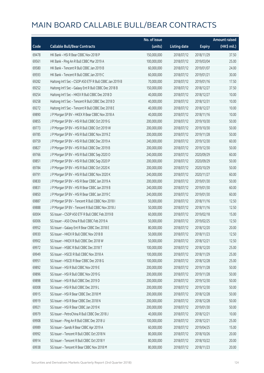|       |                                                         | No. of issue |                     |               | <b>Amount raised</b> |
|-------|---------------------------------------------------------|--------------|---------------------|---------------|----------------------|
| Code  | <b>Callable Bull/Bear Contracts</b>                     | (units)      | <b>Listing date</b> | <b>Expiry</b> | (HK\$ mil.)          |
| 69478 | HK Bank - HSI R Bear CBBC Nov 2018 P                    | 150,000,000  | 2018/07/12          | 2018/11/29    | 37.50                |
| 69561 | HK Bank - Ping An R Bull CBBC Mar 2019 A                | 100,000,000  | 2018/07/12          | 2019/03/04    | 25.00                |
| 69580 | HK Bank - Tencent R Bull CBBC Jan 2019 B                | 60,000,000   | 2018/07/12          | 2019/01/07    | 24.00                |
| 69593 | HK Bank - Tencent R Bull CBBC Jan 2019 C                | 60,000,000   | 2018/07/12          | 2019/01/21    | 30.00                |
| 69282 | Haitong Int'l Sec - CSOP A50 ETF R Bull CBBC Jan 2019 B | 70,000,000   | 2018/07/12          | 2019/01/16    | 17.50                |
| 69252 | Haitong Int'l Sec - Galaxy Ent R Bull CBBC Dec 2018 B   | 150,000,000  | 2018/07/12          | 2018/12/27    | 37.50                |
| 69254 | Haitong Int'l Sec - HKEX R Bull CBBC Dec 2018 D         | 40,000,000   | 2018/07/12          | 2018/12/27    | 10.00                |
| 69258 | Haitong Int'l Sec - Tencent R Bull CBBC Dec 2018 D      | 40,000,000   | 2018/07/12          | 2018/12/31    | 10.00                |
| 69272 | Haitong Int'l Sec - Tencent R Bull CBBC Dec 2018 E      | 40,000,000   | 2018/07/12          | 2018/12/27    | 10.00                |
| 69890 | J P Morgan SP BV - HKEX R Bear CBBC Nov 2018 A          | 40,000,000   | 2018/07/12          | 2018/11/16    | 10.00                |
| 69855 | J P Morgan SP BV - HSI R Bull CBBC Oct 2019 G           | 200,000,000  | 2018/07/12          | 2019/10/30    | 50.00                |
| 69773 | J P Morgan SP BV - HSI R Bull CBBC Oct 2019 W           | 200,000,000  | 2018/07/12          | 2019/10/30    | 50.00                |
| 69785 | J P Morgan SP BV - HSI R Bull CBBC Nov 2019 Z           | 200,000,000  | 2018/07/12          | 2019/11/28    | 50.00                |
| 69759 | J P Morgan SP BV - HSI R Bull CBBC Dec 2019 A           | 240,000,000  | 2018/07/12          | 2019/12/30    | 60.00                |
| 69827 | J P Morgan SP BV - HSI R Bull CBBC Dec 2019 B           | 200,000,000  | 2018/07/12          | 2019/12/30    | 50.00                |
| 69766 | J P Morgan SP BV - HSI R Bull CBBC Sep 2020 O           | 240,000,000  | 2018/07/12          | 2020/09/29    | 60.00                |
| 69851 | J P Morgan SP BV - HSI R Bull CBBC Sep 2020 P           | 200,000,000  | 2018/07/12          | 2020/09/29    | 50.00                |
| 69784 | J P Morgan SP BV - HSI R Bull CBBC Oct 2020 K           | 200,000,000  | 2018/07/12          | 2020/10/29    | 50.00                |
| 69791 | J P Morgan SP BV - HSI R Bull CBBC Nov 2020 K           | 240,000,000  | 2018/07/12          | 2020/11/27    | 60.00                |
| 69830 | J P Morgan SP BV - HSI R Bear CBBC Jan 2019 A           | 200,000,000  | 2018/07/12          | 2019/01/30    | 50.00                |
| 69831 | J P Morgan SP BV - HSI R Bear CBBC Jan 2019 B           | 240,000,000  | 2018/07/12          | 2019/01/30    | 60.00                |
| 69850 | J P Morgan SP BV - HSI R Bear CBBC Jan 2019 C           | 240,000,000  | 2018/07/12          | 2019/01/30    | 60.00                |
| 69887 | J P Morgan SP BV - Tencent R Bull CBBC Nov 2018 I       | 50,000,000   | 2018/07/12          | 2018/11/16    | 12.50                |
| 69888 | J P Morgan SP BV - Tencent R Bull CBBC Nov 2018 J       | 50,000,000   | 2018/07/12          | 2018/11/16    | 12.50                |
| 60004 | SG Issuer - CSOP A50 ETF R Bull CBBC Feb 2019 B         | 60,000,000   | 2018/07/12          | 2019/02/18    | 15.00                |
| 60006 | SG Issuer - A50 China R Bull CBBC Feb 2019 A            | 50,000,000   | 2018/07/12          | 2019/02/25    | 12.50                |
| 69952 | SG Issuer - Galaxy Ent R Bear CBBC Dec 2018 E           | 80,000,000   | 2018/07/12          | 2018/12/20    | 20.00                |
| 69930 | SG Issuer – HKEX R Bull CBBC Nov 2018 B                 | 50,000,000   | 2018/07/12          | 2018/11/23    | 12.50                |
| 69902 | SG Issuer - HKEX R Bull CBBC Dec 2018 W                 | 50,000,000   | 2018/07/12          | 2018/12/21    | 12.50                |
| 69972 | SG Issuer - HSBC R Bull CBBC Dec 2018 T                 | 100,000,000  | 2018/07/12          | 2018/12/20    | 25.00                |
| 69949 | SG Issuer - HSCEI R Bull CBBC Nov 2018 A                | 100,000,000  | 2018/07/12          | 2018/11/29    | 25.00                |
| 69951 | SG Issuer - HSCEI R Bear CBBC Dec 2018 G                | 100,000,000  | 2018/07/12          | 2018/12/28    | 25.00                |
| 69892 | SG Issuer - HSI R Bull CBBC Nov 2019 E                  | 200,000,000  | 2018/07/12          | 2019/11/28    | 50.00                |
| 69896 | SG Issuer - HSI R Bull CBBC Nov 2019 G                  | 200,000,000  | 2018/07/12          | 2019/11/28    | 50.00                |
| 69898 | SG Issuer - HSI R Bull CBBC Dec 2019 D                  | 200,000,000  | 2018/07/12          | 2019/12/30    | 50.00                |
| 60008 | SG Issuer - HSI R Bull CBBC Dec 2019 L                  | 200,000,000  | 2018/07/12          | 2019/12/30    | 50.00                |
| 69915 | SG Issuer - HSI R Bear CBBC Dec 2018 M                  | 200,000,000  | 2018/07/12          | 2018/12/28    | 50.00                |
| 69919 | SG Issuer - HSI R Bear CBBC Dec 2018 N                  | 200,000,000  | 2018/07/12          | 2018/12/28    | 50.00                |
| 69921 | SG Issuer - HSI R Bear CBBC Jan 2019 K                  | 200,000,000  | 2018/07/12          | 2019/01/30    | 50.00                |
| 69979 | SG Issuer - PetroChina R Bull CBBC Dec 2018 J           | 40,000,000   | 2018/07/12          | 2018/12/21    | 10.00                |
| 69908 | SG Issuer - Ping An R Bull CBBC Dec 2018 U              | 100,000,000  | 2018/07/12          | 2018/12/21    | 25.00                |
| 69989 | SG Issuer - Sands R Bear CBBC Apr 2019 A                | 60,000,000   | 2018/07/12          | 2019/04/25    | 15.00                |
| 69992 | SG Issuer - Tencent R Bull CBBC Oct 2018 N              | 80,000,000   | 2018/07/12          | 2018/10/26    | 20.00                |
| 69914 | SG Issuer - Tencent R Bull CBBC Oct 2018 Y              | 80,000,000   | 2018/07/12          | 2018/10/22    | 20.00                |
| 69938 | SG Issuer - Tencent R Bear CBBC Nov 2018 M              | 80,000,000   | 2018/07/12          | 2018/11/23    | 20.00                |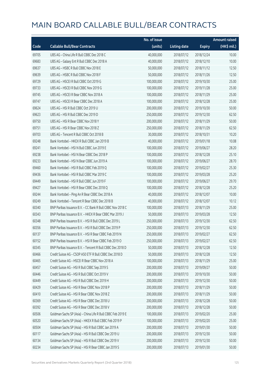|       |                                                             | No. of issue |                     |               | <b>Amount raised</b> |
|-------|-------------------------------------------------------------|--------------|---------------------|---------------|----------------------|
| Code  | <b>Callable Bull/Bear Contracts</b>                         | (units)      | <b>Listing date</b> | <b>Expiry</b> | (HK\$ mil.)          |
| 69705 | UBS AG - China Life R Bull CBBC Dec 2018 C                  | 40,000,000   | 2018/07/12          | 2018/12/24    | 10.00                |
| 69683 | UBS AG - Galaxy Ent R Bull CBBC Dec 2018 A                  | 40,000,000   | 2018/07/12          | 2018/12/10    | 10.00                |
| 69637 | UBS AG - HSBC R Bull CBBC Nov 2018 E                        | 50,000,000   | 2018/07/12          | 2018/11/12    | 12.50                |
| 69639 | UBS AG - HSBC R Bull CBBC Nov 2018 F                        | 50,000,000   | 2018/07/12          | 2018/11/26    | 12.50                |
| 69729 | UBS AG - HSCEI R Bull CBBC Oct 2019 G                       | 100,000,000  | 2018/07/12          | 2019/10/30    | 25.00                |
| 69733 | UBS AG - HSCEI R Bull CBBC Nov 2019 G                       | 100,000,000  | 2018/07/12          | 2019/11/28    | 25.00                |
| 69745 | UBS AG - HSCEI R Bear CBBC Nov 2018 A                       | 100,000,000  | 2018/07/12          | 2018/11/29    | 25.00                |
| 69747 | UBS AG - HSCEI R Bear CBBC Dec 2018 A                       | 100,000,000  | 2018/07/12          | 2018/12/28    | 25.00                |
| 69624 | UBS AG - HSI R Bull CBBC Oct 2019 U                         | 200,000,000  | 2018/07/12          | 2019/10/30    | 50.00                |
| 69623 | UBS AG - HSI R Bull CBBC Dec 2019 D                         | 250,000,000  | 2018/07/12          | 2019/12/30    | 62.50                |
| 69750 | UBS AG - HSI R Bear CBBC Nov 2018 Y                         | 200,000,000  | 2018/07/12          | 2018/11/29    | 50.00                |
| 69751 | UBS AG - HSI R Bear CBBC Nov 2018 Z                         | 250,000,000  | 2018/07/12          | 2018/11/29    | 62.50                |
| 69703 | UBS AG - Tencent R Bull CBBC Oct 2018 B                     | 30,000,000   | 2018/07/12          | 2018/10/31    | 10.20                |
| 69248 | Bank Vontobel - HKEX R Bull CBBC Jan 2019 B                 | 40,000,000   | 2018/07/12          | 2019/01/18    | 10.08                |
| 69241 | Bank Vontobel - HSI N Bull CBBC Jun 2019 E                  | 100,000,000  | 2018/07/12          | 2019/06/27    | 28.20                |
| 69238 | Bank Vontobel - HSI N Bear CBBC Dec 2018 P                  | 100,000,000  | 2018/07/12          | 2018/12/28    | 25.10                |
| 69233 | Bank Vontobel - HSI N Bear CBBC Jun 2019 A                  | 100,000,000  | 2018/07/12          | 2019/06/27    | 28.70                |
| 69460 | Bank Vontobel - HSI R Bull CBBC Feb 2019 Q                  | 100,000,000  | 2018/07/12          | 2019/02/27    | 25.30                |
| 69436 | Bank Vontobel - HSI R Bull CBBC Mar 2019 C                  | 100,000,000  | 2018/07/12          | 2019/03/28    | 25.20                |
| 69449 | Bank Vontobel - HSI R Bull CBBC Jun 2019 F                  | 100,000,000  | 2018/07/12          | 2019/06/27    | 29.70                |
| 69427 | Bank Vontobel - HSI R Bear CBBC Dec 2018 Q                  | 100,000,000  | 2018/07/12          | 2018/12/28    | 25.20                |
| 69244 | Bank Vontobel - Ping An R Bear CBBC Dec 2018 A              | 40,000,000   | 2018/07/12          | 2018/12/07    | 10.00                |
| 69249 | Bank Vontobel - Tencent R Bear CBBC Dec 2018 B              | 40,000,000   | 2018/07/12          | 2018/12/07    | 10.12                |
| 60340 | BNP Paribas Issuance B.V. - CC Bank R Bull CBBC Nov 2018 C  | 100,000,000  | 2018/07/13          | 2018/11/29    | 25.00                |
| 60343 | BNP Paribas Issuance B.V. - HKEX R Bear CBBC Mar 2019 J     | 50,000,000   | 2018/07/13          | 2019/03/28    | 12.50                |
| 60348 | BNP Paribas Issuance B.V. - HSI R Bull CBBC Dec 2019 L      | 250,000,000  | 2018/07/13          | 2019/12/30    | 62.50                |
| 60356 | BNP Paribas Issuance B.V. - HSI R Bull CBBC Dec 2019 P      | 250,000,000  | 2018/07/13          | 2019/12/30    | 62.50                |
| 60137 | BNP Paribas Issuance B.V. - HSI R Bear CBBC Feb 2019 N      | 250,000,000  | 2018/07/13          | 2019/02/27    | 62.50                |
| 60152 | BNP Paribas Issuance B.V. - HSI R Bear CBBC Feb 2019 O      | 250,000,000  | 2018/07/13          | 2019/02/27    | 62.50                |
| 60345 | BNP Paribas Issuance B.V. - Tencent R Bull CBBC Dec 2018 D  | 50,000,000   | 2018/07/13          | 2018/12/28    | 12.50                |
| 60466 | Credit Suisse AG - CSOP A50 ETF R Bull CBBC Dec 2018 D      | 50,000,000   | 2018/07/13          | 2018/12/28    | 12.50                |
| 60465 | Credit Suisse AG - HSCEI R Bear CBBC Nov 2018 A             | 100,000,000  | 2018/07/13          | 2018/11/29    | 25.00                |
| 60457 | Credit Suisse AG - HSI R Bull CBBC Sep 2019 S               | 200,000,000  | 2018/07/13          | 2019/09/27    | 50.00                |
| 60446 | Credit Suisse AG - HSI R Bull CBBC Oct 2019 V               | 200,000,000  | 2018/07/13          | 2019/10/30    | 50.00                |
| 60449 | Credit Suisse AG - HSI R Bull CBBC Dec 2019 H               | 200,000,000  | 2018/07/13          | 2019/12/30    | 50.00                |
| 60429 | Credit Suisse AG - HSI R Bear CBBC Nov 2018 P               | 200,000,000  | 2018/07/13          | 2018/11/29    | 50.00                |
| 60410 | Credit Suisse AG - HSI R Bear CBBC Nov 2018 Z               | 200,000,000  | 2018/07/13          | 2018/11/29    | 50.00                |
| 60369 | Credit Suisse AG - HSI R Bear CBBC Dec 2018 U               | 200,000,000  | 2018/07/13          | 2018/12/28    | 50.00                |
| 60392 | Credit Suisse AG - HSI R Bear CBBC Dec 2018 V               | 200,000,000  | 2018/07/13          | 2018/12/28    | 50.00                |
| 60506 | Goldman Sachs SP (Asia) - China Life R Bull CBBC Feb 2019 E | 100,000,000  | 2018/07/13          | 2019/02/20    | 25.00                |
| 60520 | Goldman Sachs SP (Asia) - HKEX R Bull CBBC Feb 2019 P       | 100,000,000  | 2018/07/13          | 2019/02/20    | 25.00                |
| 60504 | Goldman Sachs SP (Asia) - HSI R Bull CBBC Jan 2019 A        | 200,000,000  | 2018/07/13          | 2019/01/30    | 50.00                |
| 60117 | Goldman Sachs SP (Asia) - HSI R Bull CBBC Dec 2019 U        | 200,000,000  | 2018/07/13          | 2019/12/30    | 50.00                |
| 60134 | Goldman Sachs SP (Asia) - HSI R Bull CBBC Dec 2019 V        | 200,000,000  | 2018/07/13          | 2019/12/30    | 50.00                |
| 60234 | Goldman Sachs SP (Asia) - HSI R Bear CBBC Jan 2019 S        | 200,000,000  | 2018/07/13          | 2019/01/30    | 50.00                |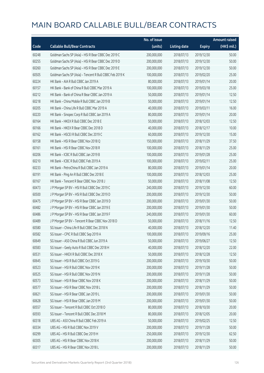|       |                                                          | No. of issue |                     |               | <b>Amount raised</b> |
|-------|----------------------------------------------------------|--------------|---------------------|---------------|----------------------|
| Code  | <b>Callable Bull/Bear Contracts</b>                      | (units)      | <b>Listing date</b> | <b>Expiry</b> | (HK\$ mil.)          |
| 60248 | Goldman Sachs SP (Asia) - HSI R Bear CBBC Dec 2019 C     | 200,000,000  | 2018/07/13          | 2019/12/30    | 50.00                |
| 60255 | Goldman Sachs SP (Asia) - HSI R Bear CBBC Dec 2019 D     | 200,000,000  | 2018/07/13          | 2019/12/30    | 50.00                |
| 60260 | Goldman Sachs SP (Asia) - HSI R Bear CBBC Dec 2019 E     | 200,000,000  | 2018/07/13          | 2019/12/30    | 50.00                |
| 60505 | Goldman Sachs SP (Asia) - Tencent R Bull CBBC Feb 2019 K | 100,000,000  | 2018/07/13          | 2019/02/20    | 25.00                |
| 60224 | HK Bank - AIA R Bull CBBC Jan 2019 A                     | 80,000,000   | 2018/07/13          | 2019/01/14    | 20.00                |
| 60157 | HK Bank - Bank of China R Bull CBBC Mar 2019 A           | 100,000,000  | 2018/07/13          | 2019/03/18    | 25.00                |
| 60212 | HK Bank - Bank of China R Bear CBBC Jan 2019 A           | 50,000,000   | 2018/07/13          | 2019/01/14    | 12.50                |
| 60218 | HK Bank - China Mobile R Bull CBBC Jan 2019 B            | 50,000,000   | 2018/07/13          | 2019/01/14    | 12.50                |
| 60205 | HK Bank - China Life R Bull CBBC Mar 2019 A              | 40,000,000   | 2018/07/13          | 2019/03/11    | 16.00                |
| 60220 | HK Bank - Sinopec Corp R Bull CBBC Jan 2019 A            | 80,000,000   | 2018/07/13          | 2019/01/14    | 20.00                |
| 60164 | HK Bank - HKEX R Bull CBBC Dec 2018 E                    | 50,000,000   | 2018/07/13          | 2018/12/03    | 12.50                |
| 60166 | HK Bank - HKEX R Bear CBBC Dec 2018 D                    | 40,000,000   | 2018/07/13          | 2018/12/17    | 10.00                |
| 60162 | HK Bank - HSCEI R Bull CBBC Dec 2019 C                   | 60,000,000   | 2018/07/13          | 2019/12/30    | 15.00                |
| 60158 | HK Bank - HSI R Bear CBBC Nov 2018 Q                     | 150,000,000  | 2018/07/13          | 2018/11/29    | 37.50                |
| 60161 | HK Bank - HSI R Bear CBBC Nov 2018 R                     | 100,000,000  | 2018/07/13          | 2018/11/29    | 25.00                |
| 60206 | HK Bank - ICBC R Bull CBBC Jan 2019 B                    | 100,000,000  | 2018/07/13          | 2019/01/28    | 25.00                |
| 60210 | HK Bank - ICBC R Bull CBBC Feb 2019 A                    | 100,000,000  | 2018/07/13          | 2019/02/11    | 25.00                |
| 60233 | HK Bank - PetroChina R Bull CBBC Jan 2019 A              | 80,000,000   | 2018/07/13          | 2019/01/14    | 20.00                |
| 60191 | HK Bank - Ping An R Bull CBBC Dec 2018 E                 | 100,000,000  | 2018/07/13          | 2018/12/03    | 25.00                |
| 60167 | HK Bank - Tencent R Bear CBBC Nov 2018 J                 | 50,000,000   | 2018/07/13          | 2018/11/08    | 12.50                |
| 60473 | J P Morgan SP BV - HSI R Bull CBBC Dec 2019 C            | 240,000,000  | 2018/07/13          | 2019/12/30    | 60.00                |
| 60500 | J P Morgan SP BV - HSI R Bull CBBC Dec 2019 D            | 200,000,000  | 2018/07/13          | 2019/12/30    | 50.00                |
| 60475 | J P Morgan SP BV - HSI R Bear CBBC Jan 2019 D            | 200,000,000  | 2018/07/13          | 2019/01/30    | 50.00                |
| 60482 | J P Morgan SP BV - HSI R Bear CBBC Jan 2019 E            | 200,000,000  | 2018/07/13          | 2019/01/30    | 50.00                |
| 60486 | J P Morgan SP BV - HSI R Bear CBBC Jan 2019 F            | 240,000,000  | 2018/07/13          | 2019/01/30    | 60.00                |
| 60489 | J P Morgan SP BV - Tencent R Bear CBBC Nov 2018 D        | 50,000,000   | 2018/07/13          | 2018/11/16    | 12.50                |
| 60580 | SG Issuer - China Life R Bull CBBC Dec 2018 N            | 40,000,000   | 2018/07/13          | 2018/12/20    | 11.40                |
| 60582 | SG Issuer - CPIC R Bull CBBC Sep 2019 A                  | 100,000,000  | 2018/07/13          | 2019/09/16    | 25.00                |
| 60649 | SG Issuer - A50 China R Bull CBBC Jun 2019 A             | 50,000,000   | 2018/07/13          | 2019/06/27    | 12.50                |
| 60583 | SG Issuer - Geely Auto R Bull CBBC Dec 2018 H            | 40,000,000   | 2018/07/13          | 2018/12/20    | 22.00                |
| 60531 | SG Issuer - HKEX R Bull CBBC Dec 2018 X                  | 50,000,000   | 2018/07/13          | 2018/12/28    | 12.50                |
| 60645 | SG Issuer - HSI R Bull CBBC Oct 2019 G                   | 200,000,000  | 2018/07/13          | 2019/10/30    | 50.00                |
| 60523 | SG Issuer - HSI R Bull CBBC Nov 2019 K                   | 200,000,000  | 2018/07/13          | 2019/11/28    | 50.00                |
| 60525 | SG Issuer - HSI R Bull CBBC Nov 2019 N                   | 200,000,000  | 2018/07/13          | 2019/11/28    | 50.00                |
| 60573 | SG Issuer - HSI R Bear CBBC Nov 2018 K                   | 200,000,000  | 2018/07/13          | 2018/11/29    | 50.00                |
| 60577 | SG Issuer - HSI R Bear CBBC Nov 2018 L                   | 200,000,000  | 2018/07/13          | 2018/11/29    | 50.00                |
| 60621 | SG Issuer - HSI R Bear CBBC Jan 2019 L                   | 200,000,000  | 2018/07/13          | 2019/01/30    | 50.00                |
| 60628 | SG Issuer - HSI R Bear CBBC Jan 2019 M                   | 200,000,000  | 2018/07/13          | 2019/01/30    | 50.00                |
| 60557 | SG Issuer - Tencent R Bull CBBC Oct 2018 O               | 80,000,000   | 2018/07/13          | 2018/10/30    | 20.00                |
| 60593 | SG Issuer - Tencent R Bull CBBC Dec 2018 M               | 80,000,000   | 2018/07/13          | 2018/12/05    | 20.00                |
| 60318 | UBS AG - A50 China R Bull CBBC Feb 2019 A                | 50,000,000   | 2018/07/13          | 2019/02/25    | 12.50                |
| 60334 | UBS AG - HSI R Bull CBBC Nov 2019 V                      | 200,000,000  | 2018/07/13          | 2019/11/28    | 50.00                |
| 60299 | UBS AG - HSI R Bull CBBC Dec 2019 H                      | 250,000,000  | 2018/07/13          | 2019/12/30    | 62.50                |
| 60305 | UBS AG - HSI R Bear CBBC Nov 2018 K                      | 200,000,000  | 2018/07/13          | 2018/11/29    | 50.00                |
| 60317 | UBS AG - HSI R Bear CBBC Nov 2018 L                      | 200,000,000  | 2018/07/13          | 2018/11/29    | 50.00                |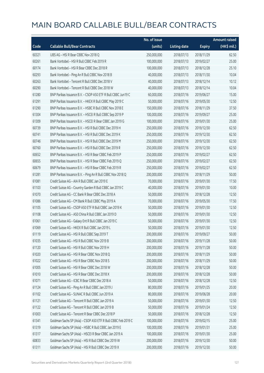|       |                                                               | No. of issue |                     |               | <b>Amount raised</b> |
|-------|---------------------------------------------------------------|--------------|---------------------|---------------|----------------------|
| Code  | <b>Callable Bull/Bear Contracts</b>                           | (units)      | <b>Listing date</b> | <b>Expiry</b> | (HK\$ mil.)          |
| 60321 | UBS AG - HSI R Bear CBBC Nov 2018 Q                           | 250,000,000  | 2018/07/13          | 2018/11/29    | 62.50                |
| 60261 | Bank Vontobel - HSI R Bull CBBC Feb 2019 R                    | 100,000,000  | 2018/07/13          | 2019/02/27    | 25.00                |
| 60174 | Bank Vontobel - HSI R Bear CBBC Dec 2018 R                    | 100,000,000  | 2018/07/13          | 2018/12/28    | 25.10                |
| 60293 | Bank Vontobel - Ping An R Bull CBBC Nov 2018 B                | 40,000,000   | 2018/07/13          | 2018/11/30    | 10.04                |
| 60263 | Bank Vontobel - Tencent R Bull CBBC Dec 2018 V                | 40,000,000   | 2018/07/13          | 2018/12/14    | 10.12                |
| 60290 | Bank Vontobel - Tencent R Bull CBBC Dec 2018 W                | 40,000,000   | 2018/07/13          | 2018/12/14    | 10.04                |
| 61280 | BNP Paribas Issuance B.V. - CSOP A50 ETF R Bull CBBC Jun19 C  | 60,000,000   | 2018/07/16          | 2019/06/27    | 15.00                |
| 61291 | BNP Paribas Issuance B.V. - HKEX R Bull CBBC May 2019 C       | 50,000,000   | 2018/07/16          | 2019/05/30    | 12.50                |
| 61290 | BNP Paribas Issuance B.V. - HSBC R Bull CBBC Nov 2018 E       | 150,000,000  | 2018/07/16          | 2018/11/29    | 37.50                |
| 61304 | BNP Paribas Issuance B.V. - HSCEI R Bull CBBC Sep 2019 P      | 100,000,000  | 2018/07/16          | 2019/09/27    | 25.00                |
| 61309 | BNP Paribas Issuance B.V. - HSCEI R Bear CBBC Jan 2019 G      | 100,000,000  | 2018/07/16          | 2019/01/30    | 25.00                |
| 60739 | BNP Paribas Issuance B.V. - HSI R Bull CBBC Dec 2019 H        | 250,000,000  | 2018/07/16          | 2019/12/30    | 62.50                |
| 60741 | BNP Paribas Issuance B.V. - HSI R Bull CBBC Dec 2019 K        | 250,000,000  | 2018/07/16          | 2019/12/30    | 62.50                |
| 60746 | BNP Paribas Issuance B.V. - HSI R Bull CBBC Dec 2019 M        | 250,000,000  | 2018/07/16          | 2019/12/30    | 62.50                |
| 60760 | BNP Paribas Issuance B.V. - HSI R Bull CBBC Dec 2019 R        | 250,000,000  | 2018/07/16          | 2019/12/30    | 62.50                |
| 60652 | BNP Paribas Issuance B.V. - HSI R Bear CBBC Feb 2019 P        | 250,000,000  | 2018/07/16          | 2019/02/27    | 62.50                |
| 60655 | BNP Paribas Issuance B.V. - HSI R Bear CBBC Feb 2019 O        | 250,000,000  | 2018/07/16          | 2019/02/27    | 62.50                |
| 60679 | BNP Paribas Issuance B.V. - HSI R Bear CBBC Feb 2019 R        | 250,000,000  | 2018/07/16          | 2019/02/27    | 62.50                |
| 61281 | BNP Paribas Issuance B.V. - Ping An R Bull CBBC Nov 2018 Q    | 200,000,000  | 2018/07/16          | 2018/11/29    | 50.00                |
| 61081 | Credit Suisse AG - AIA R Bull CBBC Jan 2019 E                 | 70,000,000   | 2018/07/16          | 2019/01/30    | 17.50                |
| 61103 | Credit Suisse AG - Country Garden R Bull CBBC Jan 2019 C      | 40,000,000   | 2018/07/16          | 2019/01/30    | 10.00                |
| 61070 | Credit Suisse AG - CC Bank R Bear CBBC Dec 2018 A             | 50,000,000   | 2018/07/16          | 2018/12/28    | 12.50                |
| 61086 | Credit Suisse AG - CM Bank R Bull CBBC May 2019 A             | 70,000,000   | 2018/07/16          | 2019/05/30    | 17.50                |
| 61105 | Credit Suisse AG - CSOP A50 ETF R Bull CBBC Jan 2019 K        | 50,000,000   | 2018/07/16          | 2019/01/30    | 12.50                |
| 61108 | Credit Suisse AG - A50 China R Bull CBBC Jan 2019 D           | 50,000,000   | 2018/07/16          | 2019/01/30    | 12.50                |
| 61061 | Credit Suisse AG - Galaxy Ent R Bull CBBC Jan 2019 C          | 50,000,000   | 2018/07/16          | 2019/01/30    | 12.50                |
| 61069 | Credit Suisse AG - HKEX R Bull CBBC Jan 2019 L                | 50,000,000   | 2018/07/16          | 2019/01/30    | 12.50                |
| 61119 | Credit Suisse AG - HSI R Bull CBBC Sep 2019 T                 | 200,000,000  | 2018/07/16          | 2019/09/27    | 50.00                |
| 61035 | Credit Suisse AG - HSI R Bull CBBC Nov 2019 B                 | 200,000,000  | 2018/07/16          | 2019/11/28    | 50.00                |
| 61120 | Credit Suisse AG - HSI R Bull CBBC Nov 2019 H                 | 200,000,000  | 2018/07/16          | 2019/11/28    | 50.00                |
| 61020 | Credit Suisse AG - HSI R Bear CBBC Nov 2018 O                 | 200,000,000  | 2018/07/16          | 2018/11/29    | 50.00                |
| 61022 | Credit Suisse AG - HSI R Bear CBBC Nov 2018 S                 | 200,000,000  | 2018/07/16          | 2018/11/29    | 50.00                |
| 61005 | Credit Suisse AG - HSI R Bear CBBC Dec 2018 W                 | 200,000,000  | 2018/07/16          | 2018/12/28    | 50.00                |
| 61010 | Credit Suisse AG - HSI R Bear CBBC Dec 2018 X                 | 200,000,000  | 2018/07/16          | 2018/12/28    | 50.00                |
| 61071 | Credit Suisse AG - ICBC R Bear CBBC Dec 2018 A                | 50,000,000   | 2018/07/16          | 2018/12/28    | 12.50                |
| 61124 | Credit Suisse AG - Ping An R Bull CBBC Jan 2019 J             | 80,000,000   | 2018/07/16          | 2019/01/25    | 20.00                |
| 61102 | Credit Suisse AG - SUNAC R Bull CBBC Jun 2019 A               | 80,000,000   | 2018/07/16          | 2019/06/28    | 20.00                |
| 61121 | Credit Suisse AG - Tencent R Bull CBBC Jan 2019 A             | 50,000,000   | 2018/07/16          | 2019/01/30    | 12.50                |
| 61122 | Credit Suisse AG - Tencent R Bull CBBC Jan 2019 B             | 50,000,000   | 2018/07/16          | 2019/01/24    | 12.50                |
| 61003 | Credit Suisse AG - Tencent R Bear CBBC Dec 2018 P             | 50,000,000   | 2018/07/16          | 2018/12/28    | 12.50                |
| 61341 | Goldman Sachs SP (Asia) – CSOP A50 ETF R Bull CBBC Feb 2019 C | 100,000,000  | 2018/07/16          | 2019/02/15    | 25.00                |
| 61319 | Goldman Sachs SP (Asia) - HSBC R Bull CBBC Jan 2019 E         | 100,000,000  | 2018/07/16          | 2019/01/31    | 25.00                |
| 61317 | Goldman Sachs SP (Asia) - HSCEI R Bear CBBC Jan 2019 A        | 100,000,000  | 2018/07/16          | 2019/01/30    | 25.00                |
| 60833 | Goldman Sachs SP (Asia) - HSI R Bull CBBC Dec 2019 W          | 200,000,000  | 2018/07/16          | 2019/12/30    | 50.00                |
| 61311 | Goldman Sachs SP (Asia) - HSI R Bull CBBC Dec 2019 X          | 200,000,000  | 2018/07/16          | 2019/12/30    | 50.00                |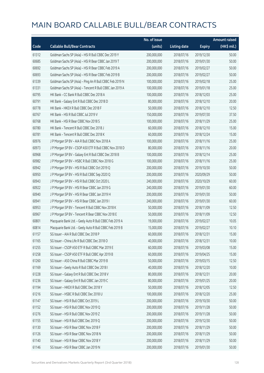|       |                                                          | No. of issue |                     |               | <b>Amount raised</b> |
|-------|----------------------------------------------------------|--------------|---------------------|---------------|----------------------|
| Code  | <b>Callable Bull/Bear Contracts</b>                      | (units)      | <b>Listing date</b> | <b>Expiry</b> | $(HK\$ mil.)         |
| 61312 | Goldman Sachs SP (Asia) - HSI R Bull CBBC Dec 2019 Y     | 200,000,000  | 2018/07/16          | 2019/12/30    | 50.00                |
| 60685 | Goldman Sachs SP (Asia) - HSI R Bear CBBC Jan 2019 T     | 200,000,000  | 2018/07/16          | 2019/01/30    | 50.00                |
| 60692 | Goldman Sachs SP (Asia) - HSI R Bear CBBC Feb 2019 A     | 200,000,000  | 2018/07/16          | 2019/02/27    | 50.00                |
| 60693 | Goldman Sachs SP (Asia) - HSI R Bear CBBC Feb 2019 B     | 200,000,000  | 2018/07/16          | 2019/02/27    | 50.00                |
| 61339 | Goldman Sachs SP (Asia) - Ping An R Bull CBBC Feb 2019 N | 100,000,000  | 2018/07/16          | 2019/02/18    | 25.00                |
| 61331 | Goldman Sachs SP (Asia) - Tencent R Bull CBBC Jan 2019 A | 100,000,000  | 2018/07/16          | 2019/01/18    | 25.00                |
| 60795 | HK Bank - CC Bank R Bull CBBC Dec 2018 A                 | 100,000,000  | 2018/07/16          | 2018/12/03    | 25.00                |
| 60791 | HK Bank - Galaxy Ent R Bull CBBC Dec 2018 D              | 80,000,000   | 2018/07/16          | 2018/12/10    | 20.00                |
| 60778 | HK Bank - HKEX R Bull CBBC Dec 2018 F                    | 50,000,000   | 2018/07/16          | 2018/12/10    | 12.50                |
| 60767 | HK Bank - HSI R Bull CBBC Jul 2019 V                     | 150,000,000  | 2018/07/16          | 2019/07/30    | 37.50                |
| 60768 | HK Bank - HSI R Bear CBBC Nov 2018 S                     | 100,000,000  | 2018/07/16          | 2018/11/29    | 25.00                |
| 60780 | HK Bank - Tencent R Bull CBBC Dec 2018 J                 | 60,000,000   | 2018/07/16          | 2018/12/10    | 15.00                |
| 60781 | HK Bank - Tencent R Bull CBBC Dec 2018 K                 | 60,000,000   | 2018/07/16          | 2018/12/24    | 15.00                |
| 60976 | J P Morgan SP BV - AIA R Bull CBBC Nov 2018 A            | 100,000,000  | 2018/07/16          | 2018/11/16    | 25.00                |
| 60973 | J P Morgan SP BV - CSOP A50 ETF R Bull CBBC Nov 2018 D   | 80,000,000   | 2018/07/16          | 2018/11/16    | 20.00                |
| 60968 | J P Morgan SP BV - Galaxy Ent R Bull CBBC Dec 2018 B     | 100,000,000  | 2018/07/16          | 2018/12/14    | 25.00                |
| 60982 | J P Morgan SP BV - HSBC R Bull CBBC Nov 2018 G           | 100,000,000  | 2018/07/16          | 2018/11/16    | 25.00                |
| 60942 | J P Morgan SP BV - HSI R Bull CBBC Oct 2019 Q            | 200,000,000  | 2018/07/16          | 2019/10/30    | 50.00                |
| 60950 | J P Morgan SP BV - HSI R Bull CBBC Sep 2020 Q            | 200,000,000  | 2018/07/16          | 2020/09/29    | 50.00                |
| 60943 | J P Morgan SP BV - HSI R Bull CBBC Oct 2020 L            | 240,000,000  | 2018/07/16          | 2020/10/29    | 60.00                |
| 60922 | J P Morgan SP BV - HSI R Bear CBBC Jan 2019 G            | 240,000,000  | 2018/07/16          | 2019/01/30    | 60.00                |
| 60940 | J P Morgan SP BV - HSI R Bear CBBC Jan 2019 H            | 200,000,000  | 2018/07/16          | 2019/01/30    | 50.00                |
| 60941 | J P Morgan SP BV - HSI R Bear CBBC Jan 2019 I            | 240,000,000  | 2018/07/16          | 2019/01/30    | 60.00                |
| 60953 | J P Morgan SP BV - Tencent R Bull CBBC Nov 2018 K        | 50,000,000   | 2018/07/16          | 2018/11/09    | 12.50                |
| 60967 | J P Morgan SP BV - Tencent R Bear CBBC Nov 2018 E        | 50,000,000   | 2018/07/16          | 2018/11/09    | 12.50                |
| 60801 | Macquarie Bank Ltd. - Geely Auto R Bull CBBC Feb 2019 A  | 19,000,000   | 2018/07/16          | 2019/02/27    | 10.05                |
| 60814 | Macquarie Bank Ltd. - Geely Auto R Bull CBBC Feb 2019 B  | 15,000,000   | 2018/07/16          | 2019/02/27    | 10.10                |
| 61157 | SG Issuer - AIA R Bull CBBC Dec 2018 P                   | 60,000,000   | 2018/07/16          | 2018/12/31    | 15.00                |
| 61165 | SG Issuer - China Life R Bull CBBC Dec 2018 O            | 40,000,000   | 2018/07/16          | 2018/12/31    | 10.00                |
| 61255 | SG Issuer - CSOP A50 ETF R Bull CBBC Mar 2019 E          | 60,000,000   | 2018/07/16          | 2019/03/08    | 15.00                |
| 61258 | SG Issuer - CSOP A50 ETF R Bull CBBC Apr 2019 B          | 60,000,000   | 2018/07/16          | 2019/04/25    | 15.00                |
| 61260 | SG Issuer - A50 China R Bull CBBC Mar 2019 B             | 50,000,000   | 2018/07/16          | 2019/03/15    | 12.50                |
| 61169 | SG Issuer - Geely Auto R Bull CBBC Dec 2018 I            | 40,000,000   | 2018/07/16          | 2018/12/20    | 10.00                |
| 61228 | SG Issuer - Galaxy Ent R Bull CBBC Dec 2018 V            | 80,000,000   | 2018/07/16          | 2018/12/31    | 20.00                |
| 61236 | SG Issuer - Galaxy Ent R Bull CBBC Jan 2019 C            | 80,000,000   | 2018/07/16          | 2019/01/25    | 20.00                |
| 61194 | SG Issuer - HKEX R Bull CBBC Dec 2018 Y                  | 50,000,000   | 2018/07/16          | 2018/12/05    | 12.50                |
| 61216 | SG Issuer - HSBC R Bull CBBC Dec 2018 U                  | 100,000,000  | 2018/07/16          | 2018/12/20    | 25.00                |
| 61147 | SG Issuer - HSI R Bull CBBC Oct 2019 L                   | 200,000,000  | 2018/07/16          | 2019/10/30    | 50.00                |
| 61152 | SG Issuer - HSI R Bull CBBC Nov 2019 Q                   | 200,000,000  | 2018/07/16          | 2019/11/28    | 50.00                |
| 61276 | SG Issuer - HSI R Bull CBBC Nov 2019 Z                   | 200,000,000  | 2018/07/16          | 2019/11/28    | 50.00                |
| 61155 | SG Issuer - HSI R Bull CBBC Dec 2019 Q                   | 200,000,000  | 2018/07/16          | 2019/12/30    | 50.00                |
| 61130 | SG Issuer - HSI R Bear CBBC Nov 2018 F                   | 200,000,000  | 2018/07/16          | 2018/11/29    | 50.00                |
| 61126 | SG Issuer - HSI R Bear CBBC Nov 2018 N                   | 200,000,000  | 2018/07/16          | 2018/11/29    | 50.00                |
| 61140 | SG Issuer - HSI R Bear CBBC Nov 2018 Y                   | 200,000,000  | 2018/07/16          | 2018/11/29    | 50.00                |
| 61146 | SG Issuer - HSI R Bear CBBC Jan 2019 N                   | 200,000,000  | 2018/07/16          | 2019/01/30    | 50.00                |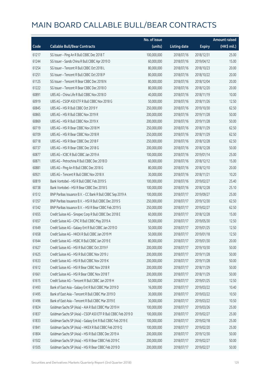|       |                                                               | No. of issue |                     |               | <b>Amount raised</b> |
|-------|---------------------------------------------------------------|--------------|---------------------|---------------|----------------------|
| Code  | <b>Callable Bull/Bear Contracts</b>                           | (units)      | <b>Listing date</b> | <b>Expiry</b> | $(HK\$ mil.)         |
| 61217 | SG Issuer - Ping An R Bull CBBC Dec 2018 T                    | 100,000,000  | 2018/07/16          | 2018/12/31    | 25.00                |
| 61244 | SG Issuer - Sands China R Bull CBBC Apr 2019 D                | 60,000,000   | 2018/07/16          | 2019/04/12    | 15.00                |
| 61254 | SG Issuer - Tencent R Bull CBBC Oct 2018 L                    | 80,000,000   | 2018/07/16          | 2018/10/23    | 20.00                |
| 61251 | SG Issuer - Tencent R Bull CBBC Oct 2018 P                    | 80,000,000   | 2018/07/16          | 2018/10/22    | 20.00                |
| 61125 | SG Issuer - Tencent R Bear CBBC Dec 2018 N                    | 80,000,000   | 2018/07/16          | 2018/12/04    | 20.00                |
| 61222 | SG Issuer - Tencent R Bear CBBC Dec 2018 O                    | 80,000,000   | 2018/07/16          | 2018/12/20    | 20.00                |
| 60891 | UBS AG - China Life R Bull CBBC Nov 2018 D                    | 40,000,000   | 2018/07/16          | 2018/11/19    | 10.00                |
| 60919 | UBS AG - CSOP A50 ETF R Bull CBBC Nov 2018 G                  | 50,000,000   | 2018/07/16          | 2018/11/26    | 12.50                |
| 60845 | UBS AG - HSI R Bull CBBC Oct 2019 Y                           | 250,000,000  | 2018/07/16          | 2019/10/30    | 62.50                |
| 60865 | UBS AG - HSI R Bull CBBC Nov 2019 R                           | 200,000,000  | 2018/07/16          | 2019/11/28    | 50.00                |
| 60869 | UBS AG - HSI R Bull CBBC Nov 2019 X                           | 200,000,000  | 2018/07/16          | 2019/11/28    | 50.00                |
| 60719 | UBS AG - HSI R Bear CBBC Nov 2018 M                           | 250,000,000  | 2018/07/16          | 2018/11/29    | 62.50                |
| 60709 | UBS AG - HSI R Bear CBBC Nov 2018 R                           | 250,000,000  | 2018/07/16          | 2018/11/29    | 62.50                |
| 60718 | UBS AG - HSI R Bear CBBC Dec 2018 F                           | 250,000,000  | 2018/07/16          | 2018/12/28    | 62.50                |
| 60737 | UBS AG - HSI R Bear CBBC Dec 2018 G                           | 200,000,000  | 2018/07/16          | 2018/12/28    | 50.00                |
| 60877 | UBS AG - ICBC R Bull CBBC Jan 2019 A                          | 100,000,000  | 2018/07/16          | 2019/01/14    | 25.00                |
| 60871 | UBS AG - Petrochina R Bull CBBC Dec 2018 D                    | 60,000,000   | 2018/07/16          | 2018/12/12    | 15.00                |
| 60881 | UBS AG - Ping An R Bull CBBC Dec 2018 G                       | 80,000,000   | 2018/07/16          | 2018/12/10    | 20.00                |
| 60921 | UBS AG - Tencent R Bull CBBC Nov 2018 X                       | 30,000,000   | 2018/07/16          | 2018/11/21    | 10.20                |
| 60819 | Bank Vontobel - HSI R Bull CBBC Feb 2019 S                    | 100,000,000  | 2018/07/16          | 2019/02/27    | 25.40                |
| 60738 | Bank Vontobel - HSI R Bear CBBC Dec 2018 S                    | 100,000,000  | 2018/07/16          | 2018/12/28    | 25.10                |
| 61512 | BNP Paribas Issuance B.V. - CC Bank R Bull CBBC Sep 2019 A    | 100,000,000  | 2018/07/17          | 2019/09/27    | 25.00                |
| 61357 | BNP Paribas Issuance B.V. - HSI R Bull CBBC Dec 2019 S        | 250,000,000  | 2018/07/17          | 2019/12/30    | 62.50                |
| 61342 | BNP Paribas Issuance B.V. - HSI R Bear CBBC Feb 2019 S        | 250,000,000  | 2018/07/17          | 2019/02/27    | 62.50                |
| 61655 | Credit Suisse AG - Sinopec Corp R Bull CBBC Dec 2018 E        | 60,000,000   | 2018/07/17          | 2018/12/28    | 15.00                |
| 61657 | Credit Suisse AG - CPIC R Bull CBBC May 2019 A                | 50,000,000   | 2018/07/17          | 2019/05/30    | 12.50                |
| 61649 | Credit Suisse AG - Galaxy Ent R Bull CBBC Jan 2019 D          | 50,000,000   | 2018/07/17          | 2019/01/25    | 12.50                |
| 61658 | Credit Suisse AG - HKEX R Bull CBBC Jan 2019 M                | 50,000,000   | 2018/07/17          | 2019/01/18    | 12.50                |
| 61644 | Credit Suisse AG - HSBC R Bull CBBC Jan 2019 E                | 80,000,000   | 2018/07/17          | 2019/01/30    | 20.00                |
| 61627 | Credit Suisse AG - HSI R Bull CBBC Oct 2019 F                 | 200,000,000  | 2018/07/17          | 2019/10/30    | 50.00                |
| 61625 | Credit Suisse AG - HSI R Bull CBBC Nov 2019 J                 | 200,000,000  | 2018/07/17          | 2019/11/28    | 50.00                |
| 61633 | Credit Suisse AG - HSI R Bull CBBC Nov 2019 K                 | 200,000,000  | 2018/07/17          | 2019/11/28    | 50.00                |
| 61612 | Credit Suisse AG - HSI R Bear CBBC Nov 2018 R                 | 200,000,000  | 2018/07/17          | 2018/11/29    | 50.00                |
| 61661 | Credit Suisse AG - HSI R Bear CBBC Nov 2018 T                 | 200,000,000  | 2018/07/17          | 2018/11/29    | 50.00                |
| 61615 | Credit Suisse AG - Tencent R Bull CBBC Jan 2019 H             | 50,000,000   | 2018/07/17          | 2019/01/25    | 12.50                |
| 61493 | Bank of East Asia - Galaxy Ent R Bull CBBC Mar 2019 D         | 16,000,000   | 2018/07/17          | 2019/03/22    | 10.40                |
| 61495 | Bank of East Asia - Tencent R Bull CBBC Mar 2019 D            | 30,000,000   | 2018/07/17          | 2019/03/22    | 10.50                |
| 61496 | Bank of East Asia - Tencent R Bull CBBC Mar 2019 E            | 30,000,000   | 2018/07/17          | 2019/03/22    | 10.50                |
| 61824 | Goldman Sachs SP (Asia) - AIA R Bull CBBC Mar 2019 H          | 100,000,000  | 2018/07/17          | 2019/03/26    | 25.00                |
| 61837 | Goldman Sachs SP (Asia) - CSOP A50 ETF R Bull CBBC Feb 2019 D | 100,000,000  | 2018/07/17          | 2019/02/27    | 25.00                |
| 61833 | Goldman Sachs SP (Asia) - Galaxy Ent R Bull CBBC Feb 2019 E   | 100,000,000  | 2018/07/17          | 2019/02/18    | 25.00                |
| 61841 | Goldman Sachs SP (Asia) - HKEX R Bull CBBC Feb 2019 Q         | 100,000,000  | 2018/07/17          | 2019/02/20    | 25.00                |
| 61804 | Goldman Sachs SP (Asia) - HSI R Bull CBBC Dec 2019 A          | 200,000,000  | 2018/07/17          | 2019/12/30    | 50.00                |
| 61502 | Goldman Sachs SP (Asia) - HSI R Bear CBBC Feb 2019 C          | 200,000,000  | 2018/07/17          | 2019/02/27    | 50.00                |
| 61505 | Goldman Sachs SP (Asia) - HSI R Bear CBBC Feb 2019 D          | 200,000,000  | 2018/07/17          | 2019/02/27    | 50.00                |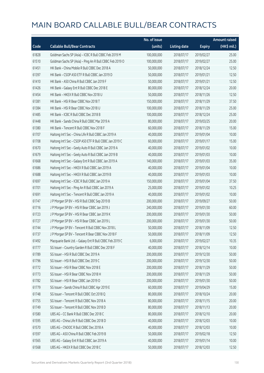|       |                                                          | No. of issue |                     |               | <b>Amount raised</b> |
|-------|----------------------------------------------------------|--------------|---------------------|---------------|----------------------|
| Code  | <b>Callable Bull/Bear Contracts</b>                      | (units)      | <b>Listing date</b> | <b>Expiry</b> | (HK\$ mil.)          |
| 61828 | Goldman Sachs SP (Asia) - ICBC R Bull CBBC Feb 2019 M    | 100,000,000  | 2018/07/17          | 2019/02/27    | 25.00                |
| 61510 | Goldman Sachs SP (Asia) - Ping An R Bull CBBC Feb 2019 O | 100,000,000  | 2018/07/17          | 2019/02/27    | 25.00                |
| 61451 | HK Bank - China Mobile R Bull CBBC Dec 2018 A            | 50,000,000   | 2018/07/17          | 2018/12/24    | 12.50                |
| 61397 | HK Bank - CSOP A50 ETF R Bull CBBC Jan 2019 D            | 50,000,000   | 2018/07/17          | 2019/01/21    | 12.50                |
| 61410 | HK Bank - A50 China R Bull CBBC Jan 2019 F               | 50,000,000   | 2018/07/17          | 2019/01/21    | 12.50                |
| 61426 | HK Bank - Galaxy Ent R Bull CBBC Dec 2018 E              | 80,000,000   | 2018/07/17          | 2018/12/24    | 20.00                |
| 61454 | HK Bank - HKEX R Bull CBBC Nov 2018 U                    | 50,000,000   | 2018/07/17          | 2018/11/26    | 12.50                |
| 61381 | HK Bank - HSI R Bear CBBC Nov 2018 T                     | 150,000,000  | 2018/07/17          | 2018/11/29    | 37.50                |
| 61384 | HK Bank - HSI R Bear CBBC Nov 2018 U                     | 100,000,000  | 2018/07/17          | 2018/11/29    | 25.00                |
| 61485 | HK Bank - ICBC R Bull CBBC Dec 2018 B                    | 100,000,000  | 2018/07/17          | 2018/12/24    | 25.00                |
| 61448 | HK Bank - Sands China R Bull CBBC Mar 2019 A             | 80,000,000   | 2018/07/17          | 2019/03/25    | 20.00                |
| 61380 | HK Bank - Tencent R Bull CBBC Nov 2018 F                 | 60,000,000   | 2018/07/17          | 2018/11/29    | 15.00                |
| 61707 | Haitong Int'l Sec - China Life R Bull CBBC Jan 2019 A    | 40,000,000   | 2018/07/17          | 2019/01/04    | 10.00                |
| 61708 | Haitong Int'l Sec - CSOP A50 ETF R Bull CBBC Jan 2019 C  | 60,000,000   | 2018/07/17          | 2019/01/17    | 15.00                |
| 61670 | Haitong Int'l Sec - Geely Auto R Bull CBBC Jan 2019 A    | 40,000,000   | 2018/07/17          | 2019/01/02    | 10.00                |
| 61679 | Haitong Int'l Sec - Geely Auto R Bull CBBC Jan 2019 B    | 40,000,000   | 2018/07/17          | 2019/01/03    | 10.00                |
| 61668 | Haitong Int'l Sec - Galaxy Ent R Bull CBBC Jan 2019 A    | 140,000,000  | 2018/07/17          | 2019/01/03    | 35.00                |
| 61686 | Haitong Int'l Sec - HKEX R Bull CBBC Jan 2019 A          | 40,000,000   | 2018/07/17          | 2019/01/04    | 10.00                |
| 61688 | Haitong Int'l Sec - HKEX R Bull CBBC Jan 2019 B          | 40,000,000   | 2018/07/17          | 2019/01/03    | 10.00                |
| 61697 | Haitong Int'l Sec - ICBC R Bull CBBC Jan 2019 A          | 150,000,000  | 2018/07/17          | 2019/01/04    | 37.50                |
| 61701 | Haitong Int'l Sec - Ping An R Bull CBBC Jan 2019 A       | 25,000,000   | 2018/07/17          | 2019/01/02    | 10.25                |
| 61691 | Haitong Int'l Sec - Tencent R Bull CBBC Jan 2019 A       | 40,000,000   | 2018/07/17          | 2019/01/02    | 10.00                |
| 61747 | J P Morgan SP BV - HSI R Bull CBBC Sep 2019 B            | 200,000,000  | 2018/07/17          | 2019/09/27    | 50.00                |
| 61716 | J P Morgan SP BV - HSI R Bear CBBC Jan 2019 J            | 240,000,000  | 2018/07/17          | 2019/01/30    | 60.00                |
| 61723 | J P Morgan SP BV - HSI R Bear CBBC Jan 2019 K            | 200,000,000  | 2018/07/17          | 2019/01/30    | 50.00                |
| 61727 | J P Morgan SP BV - HSI R Bear CBBC Jan 2019 L            | 200,000,000  | 2018/07/17          | 2019/01/30    | 50.00                |
| 61744 | J P Morgan SP BV - Tencent R Bull CBBC Nov 2018 L        | 50,000,000   | 2018/07/17          | 2018/11/09    | 12.50                |
| 61737 | J P Morgan SP BV - Tencent R Bear CBBC Nov 2018 F        | 50,000,000   | 2018/07/17          | 2018/11/09    | 12.50                |
| 61492 | Macquarie Bank Ltd. - Galaxy Ent R Bull CBBC Feb 2019 C  | 6,000,000    | 2018/07/17          | 2019/02/27    | 10.35                |
| 61777 | SG Issuer - Country Garden R Bull CBBC Dec 2018 F        | 40,000,000   | 2018/07/17          | 2018/12/14    | 10.00                |
| 61789 | SG Issuer - HSI R Bull CBBC Dec 2019 A                   | 200,000,000  | 2018/07/17          | 2019/12/30    | 50.00                |
| 61796 | SG Issuer - HSI R Bull CBBC Dec 2019 C                   | 200,000,000  | 2018/07/17          | 2019/12/30    | 50.00                |
| 61772 | SG Issuer - HSI R Bear CBBC Nov 2018 E                   | 200,000,000  | 2018/07/17          | 2018/11/29    | 50.00                |
| 61773 | SG Issuer - HSI R Bear CBBC Nov 2018 H                   | 200,000,000  | 2018/07/17          | 2018/11/29    | 50.00                |
| 61782 | SG Issuer - HSI R Bear CBBC Jan 2019 O                   | 200,000,000  | 2018/07/17          | 2019/01/30    | 50.00                |
| 61779 | SG Issuer - Sands China R Bull CBBC Apr 2019 E           | 60,000,000   | 2018/07/17          | 2019/04/29    | 15.00                |
| 61748 | SG Issuer - Tencent R Bull CBBC Oct 2018 Q               | 80,000,000   | 2018/07/17          | 2018/10/24    | 20.00                |
| 61755 | SG Issuer - Tencent R Bull CBBC Nov 2018 A               | 80,000,000   | 2018/07/17          | 2018/11/15    | 20.00                |
| 61749 | SG Issuer - Tencent R Bull CBBC Nov 2018 D               | 80,000,000   | 2018/07/17          | 2018/11/13    | 20.00                |
| 61580 | UBS AG - CC Bank R Bull CBBC Dec 2018 C                  | 80,000,000   | 2018/07/17          | 2018/12/10    | 20.00                |
| 61595 | UBS AG - China Life R Bull CBBC Dec 2018 D               | 40,000,000   | 2018/07/17          | 2018/12/03    | 10.00                |
| 61570 | UBS AG - CNOOC R Bull CBBC Dec 2018 A                    | 40,000,000   | 2018/07/17          | 2018/12/03    | 10.00                |
| 61597 | UBS AG - A50 China R Bull CBBC Feb 2019 B                | 50,000,000   | 2018/07/17          | 2019/02/18    | 12.50                |
| 61565 | UBS AG - Galaxy Ent R Bull CBBC Jan 2019 A               | 40,000,000   | 2018/07/17          | 2019/01/14    | 10.00                |
| 61568 | UBS AG - HKEX R Bull CBBC Dec 2018 C                     | 50,000,000   | 2018/07/17          | 2018/12/03    | 12.50                |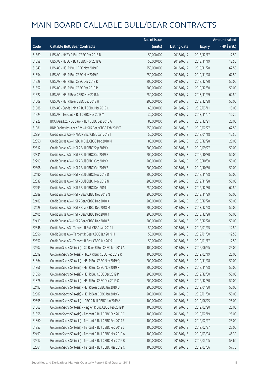|       |                                                          | No. of issue |                     |               | <b>Amount raised</b> |
|-------|----------------------------------------------------------|--------------|---------------------|---------------|----------------------|
| Code  | <b>Callable Bull/Bear Contracts</b>                      | (units)      | <b>Listing date</b> | <b>Expiry</b> | (HK\$ mil.)          |
| 61569 | UBS AG - HKEX R Bull CBBC Dec 2018 D                     | 50,000,000   | 2018/07/17          | 2018/12/17    | 12.50                |
| 61558 | UBS AG - HSBC R Bull CBBC Nov 2018 G                     | 50,000,000   | 2018/07/17          | 2018/11/19    | 12.50                |
| 61543 | UBS AG - HSI R Bull CBBC Nov 2019 E                      | 250,000,000  | 2018/07/17          | 2019/11/28    | 62.50                |
| 61554 | UBS AG - HSI R Bull CBBC Nov 2019 F                      | 250,000,000  | 2018/07/17          | 2019/11/28    | 62.50                |
| 61528 | UBS AG - HSI R Bull CBBC Dec 2019 K                      | 200,000,000  | 2018/07/17          | 2019/12/30    | 50.00                |
| 61552 | UBS AG - HSI R Bull CBBC Dec 2019 P                      | 200,000,000  | 2018/07/17          | 2019/12/30    | 50.00                |
| 61522 | UBS AG - HSI R Bear CBBC Nov 2018 N                      | 250,000,000  | 2018/07/17          | 2018/11/29    | 62.50                |
| 61609 | UBS AG - HSI R Bear CBBC Dec 2018 H                      | 200,000,000  | 2018/07/17          | 2018/12/28    | 50.00                |
| 61588 | UBS AG - Sands China R Bull CBBC Mar 2019 C              | 60,000,000   | 2018/07/17          | 2019/03/11    | 15.00                |
| 61524 | UBS AG - Tencent R Bull CBBC Nov 2018 Y                  | 30,000,000   | 2018/07/17          | 2018/11/07    | 10.20                |
| 61922 | BOCI Asia Ltd. - CC Bank R Bull CBBC Dec 2018 A          | 80,000,000   | 2018/07/18          | 2018/12/21    | 20.08                |
| 61981 | BNP Paribas Issuance B.V. - HSI R Bear CBBC Feb 2019 T   | 250,000,000  | 2018/07/18          | 2019/02/27    | 62.50                |
| 62354 | Credit Suisse AG - HKEX R Bear CBBC Jan 2019 I           | 50,000,000   | 2018/07/18          | 2019/01/18    | 12.50                |
| 62350 | Credit Suisse AG - HSBC R Bull CBBC Dec 2018 M           | 80,000,000   | 2018/07/18          | 2018/12/28    | 20.00                |
| 62312 | Credit Suisse AG - HSI R Bull CBBC Sep 2019 Y            | 200,000,000  | 2018/07/18          | 2019/09/27    | 50.00                |
| 62331 | Credit Suisse AG - HSI R Bull CBBC Oct 2019 E            | 200,000,000  | 2018/07/18          | 2019/10/30    | 50.00                |
| 62299 | Credit Suisse AG - HSI R Bull CBBC Oct 2019 Y            | 200,000,000  | 2018/07/18          | 2019/10/30    | 50.00                |
| 62308 | Credit Suisse AG - HSI R Bull CBBC Oct 2019 Z            | 200,000,000  | 2018/07/18          | 2019/10/30    | 50.00                |
| 62490 | Credit Suisse AG - HSI R Bull CBBC Nov 2019 D            | 200,000,000  | 2018/07/18          | 2019/11/28    | 50.00                |
| 62332 | Credit Suisse AG - HSI R Bull CBBC Nov 2019 N            | 200,000,000  | 2018/07/18          | 2019/11/28    | 50.00                |
| 62293 | Credit Suisse AG - HSI R Bull CBBC Dec 2019 I            | 250,000,000  | 2018/07/18          | 2019/12/30    | 62.50                |
| 62389 | Credit Suisse AG - HSI R Bear CBBC Nov 2018 N            | 200,000,000  | 2018/07/18          | 2018/11/29    | 50.00                |
| 62489 | Credit Suisse AG - HSI R Bear CBBC Dec 2018 K            | 200,000,000  | 2018/07/18          | 2018/12/28    | 50.00                |
| 62428 | Credit Suisse AG - HSI R Bear CBBC Dec 2018 M            | 200,000,000  | 2018/07/18          | 2018/12/28    | 50.00                |
| 62405 | Credit Suisse AG - HSI R Bear CBBC Dec 2018 Y            | 200,000,000  | 2018/07/18          | 2018/12/28    | 50.00                |
| 62419 | Credit Suisse AG - HSI R Bear CBBC Dec 2018 Z            | 200,000,000  | 2018/07/18          | 2018/12/28    | 50.00                |
| 62348 | Credit Suisse AG - Tencent R Bull CBBC Jan 2019 I        | 50,000,000   | 2018/07/18          | 2019/01/25    | 12.50                |
| 62356 | Credit Suisse AG - Tencent R Bear CBBC Jan 2019 H        | 50,000,000   | 2018/07/18          | 2019/01/30    | 12.50                |
| 62357 | Credit Suisse AG - Tencent R Bear CBBC Jan 2019 I        | 50,000,000   | 2018/07/18          | 2019/01/17    | 12.50                |
| 62607 | Goldman Sachs SP (Asia) - CC Bank R Bull CBBC Jun 2019 A | 100,000,000  | 2018/07/18          | 2019/06/25    | 25.00                |
| 62599 | Goldman Sachs SP (Asia) - HKEX R Bull CBBC Feb 2019 R    | 100,000,000  | 2018/07/18          | 2019/02/19    | 25.00                |
| 61864 | Goldman Sachs SP (Asia) - HSI R Bull CBBC Nov 2019 Q     | 200,000,000  | 2018/07/18          | 2019/11/28    | 50.00                |
| 61866 | Goldman Sachs SP (Asia) - HSI R Bull CBBC Nov 2019 R     | 200,000,000  | 2018/07/18          | 2019/11/28    | 50.00                |
| 61856 | Goldman Sachs SP (Asia) - HSI R Bull CBBC Dec 2019 P     | 200,000,000  | 2018/07/18          | 2019/12/30    | 50.00                |
| 61878 | Goldman Sachs SP (Asia) - HSI R Bull CBBC Dec 2019 Q     | 200,000,000  | 2018/07/18          | 2019/12/30    | 50.00                |
| 62492 | Goldman Sachs SP (Asia) - HSI R Bear CBBC Jan 2019 U     | 200,000,000  | 2018/07/18          | 2019/01/30    | 50.00                |
| 62587 | Goldman Sachs SP (Asia) - HSI R Bear CBBC Jan 2019 V     | 200,000,000  | 2018/07/18          | 2019/01/30    | 50.00                |
| 62595 | Goldman Sachs SP (Asia) - ICBC R Bull CBBC Jun 2019 A    | 100,000,000  | 2018/07/18          | 2019/06/25    | 25.00                |
| 61862 | Goldman Sachs SP (Asia) - Ping An R Bull CBBC Feb 2019 P | 100,000,000  | 2018/07/18          | 2019/02/20    | 25.00                |
| 61858 | Goldman Sachs SP (Asia) - Tencent R Bull CBBC Feb 2019 C | 100,000,000  | 2018/07/18          | 2019/02/19    | 25.00                |
| 61860 | Goldman Sachs SP (Asia) - Tencent R Bull CBBC Feb 2019 F | 100,000,000  | 2018/07/18          | 2019/02/27    | 25.00                |
| 61857 | Goldman Sachs SP (Asia) - Tencent R Bull CBBC Feb 2019 L | 100,000,000  | 2018/07/18          | 2019/02/27    | 25.00                |
| 62499 | Goldman Sachs SP (Asia) - Tencent R Bull CBBC Mar 2019 A | 100,000,000  | 2018/07/18          | 2019/03/04    | 45.30                |
| 62517 | Goldman Sachs SP (Asia) - Tencent R Bull CBBC Mar 2019 B | 100,000,000  | 2018/07/18          | 2019/03/05    | 53.60                |
| 62564 | Goldman Sachs SP (Asia) - Tencent R Bull CBBC Mar 2019 C | 100,000,000  | 2018/07/18          | 2019/03/06    | 57.70                |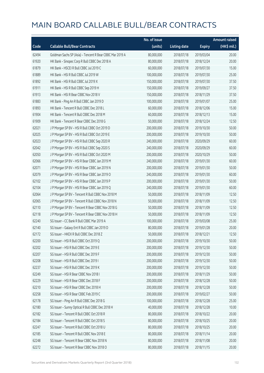|       |                                                          | No. of issue |                     |               | <b>Amount raised</b>  |
|-------|----------------------------------------------------------|--------------|---------------------|---------------|-----------------------|
| Code  | <b>Callable Bull/Bear Contracts</b>                      | (units)      | <b>Listing date</b> | <b>Expiry</b> | $(HK\frac{1}{2}mil.)$ |
| 62494 | Goldman Sachs SP (Asia) - Tencent R Bear CBBC Mar 2019 A | 80,000,000   | 2018/07/18          | 2019/03/04    | 20.00                 |
| 61920 | HK Bank - Sinopec Corp R Bull CBBC Dec 2018 A            | 80,000,000   | 2018/07/18          | 2018/12/24    | 20.00                 |
| 61879 | HK Bank - HSCEI R Bull CBBC Jul 2019 C                   | 60,000,000   | 2018/07/18          | 2019/07/30    | 15.00                 |
| 61889 | HK Bank - HSI R Bull CBBC Jul 2019 W                     | 100,000,000  | 2018/07/18          | 2019/07/30    | 25.00                 |
| 61892 | HK Bank - HSI R Bull CBBC Jul 2019 X                     | 150,000,000  | 2018/07/18          | 2019/07/30    | 37.50                 |
| 61911 | HK Bank - HSI R Bull CBBC Sep 2019 H                     | 150,000,000  | 2018/07/18          | 2019/09/27    | 37.50                 |
| 61913 | HK Bank - HSI R Bear CBBC Nov 2018 V                     | 150,000,000  | 2018/07/18          | 2018/11/29    | 37.50                 |
| 61883 | HK Bank - Ping An R Bull CBBC Jan 2019 D                 | 100,000,000  | 2018/07/18          | 2019/01/07    | 25.00                 |
| 61893 | HK Bank - Tencent R Bull CBBC Dec 2018 L                 | 60,000,000   | 2018/07/18          | 2018/12/06    | 15.00                 |
| 61904 | HK Bank - Tencent R Bull CBBC Dec 2018 M                 | 60,000,000   | 2018/07/18          | 2018/12/13    | 15.00                 |
| 61909 | HK Bank - Tencent R Bear CBBC Dec 2018 G                 | 50,000,000   | 2018/07/18          | 2018/12/24    | 12.50                 |
| 62021 | J P Morgan SP BV - HSI R Bull CBBC Oct 2019 D            | 200,000,000  | 2018/07/18          | 2019/10/30    | 50.00                 |
| 62025 | J P Morgan SP BV - HSI R Bull CBBC Oct 2019 E            | 200,000,000  | 2018/07/18          | 2019/10/30    | 50.00                 |
| 62023 | J P Morgan SP BV - HSI R Bull CBBC Sep 2020 R            | 240,000,000  | 2018/07/18          | 2020/09/29    | 60.00                 |
| 62042 | J P Morgan SP BV - HSI R Bull CBBC Sep 2020 S            | 240,000,000  | 2018/07/18          | 2020/09/29    | 60.00                 |
| 62050 | J P Morgan SP BV - HSI R Bull CBBC Oct 2020 M            | 200,000,000  | 2018/07/18          | 2020/10/29    | 50.00                 |
| 62066 | J P Morgan SP BV - HSI R Bear CBBC Jan 2019 M            | 240,000,000  | 2018/07/18          | 2019/01/30    | 60.00                 |
| 62071 | J P Morgan SP BV - HSI R Bear CBBC Jan 2019 N            | 200,000,000  | 2018/07/18          | 2019/01/30    | 50.00                 |
| 62079 | J P Morgan SP BV - HSI R Bear CBBC Jan 2019 O            | 240,000,000  | 2018/07/18          | 2019/01/30    | 60.00                 |
| 62102 | J P Morgan SP BV - HSI R Bear CBBC Jan 2019 P            | 200,000,000  | 2018/07/18          | 2019/01/30    | 50.00                 |
| 62104 | J P Morgan SP BV - HSI R Bear CBBC Jan 2019 Q            | 240,000,000  | 2018/07/18          | 2019/01/30    | 60.00                 |
| 62064 | J P Morgan SP BV - Tencent R Bull CBBC Nov 2018 M        | 50,000,000   | 2018/07/18          | 2018/11/09    | 12.50                 |
| 62065 | J P Morgan SP BV - Tencent R Bull CBBC Nov 2018 N        | 50,000,000   | 2018/07/18          | 2018/11/09    | 12.50                 |
| 62110 | J P Morgan SP BV - Tencent R Bear CBBC Nov 2018 G        | 50,000,000   | 2018/07/18          | 2018/11/09    | 12.50                 |
| 62118 | J P Morgan SP BV - Tencent R Bear CBBC Nov 2018 H        | 50,000,000   | 2018/07/18          | 2018/11/09    | 12.50                 |
| 62240 | SG Issuer - CC Bank R Bull CBBC Mar 2019 A               | 100,000,000  | 2018/07/18          | 2019/03/08    | 25.00                 |
| 62140 | SG Issuer - Galaxy Ent R Bull CBBC Jan 2019 D            | 80,000,000   | 2018/07/18          | 2019/01/28    | 20.00                 |
| 62172 | SG Issuer - HKEX R Bull CBBC Dec 2018 Z                  | 50,000,000   | 2018/07/18          | 2018/12/21    | 12.50                 |
| 62200 | SG Issuer - HSI R Bull CBBC Oct 2019 Q                   | 200,000,000  | 2018/07/18          | 2019/10/30    | 50.00                 |
| 62202 | SG Issuer - HSI R Bull CBBC Dec 2019 E                   | 200,000,000  | 2018/07/18          | 2019/12/30    | 50.00                 |
| 62207 | SG Issuer - HSI R Bull CBBC Dec 2019 F                   | 200,000,000  | 2018/07/18          | 2019/12/30    | 50.00                 |
| 62208 | SG Issuer - HSI R Bull CBBC Dec 2019 I                   | 200,000,000  | 2018/07/18          | 2019/12/30    | 50.00                 |
| 62237 | SG Issuer - HSI R Bull CBBC Dec 2019 K                   | 200,000,000  | 2018/07/18          | 2019/12/30    | 50.00                 |
| 62249 | SG Issuer - HSI R Bear CBBC Nov 2018 I                   | 200,000,000  | 2018/07/18          | 2018/11/29    | 50.00                 |
| 62229 | SG Issuer - HSI R Bear CBBC Dec 2018 F                   | 200,000,000  | 2018/07/18          | 2018/12/28    | 50.00                 |
| 62210 | SG Issuer - HSI R Bear CBBC Dec 2018 H                   | 200,000,000  | 2018/07/18          | 2018/12/28    | 50.00                 |
| 62258 | SG Issuer - HSI R Bear CBBC Feb 2019 C                   | 200,000,000  | 2018/07/18          | 2019/02/27    | 50.00                 |
| 62178 | SG Issuer - Ping An R Bull CBBC Dec 2018 G               | 100,000,000  | 2018/07/18          | 2018/12/28    | 25.00                 |
| 62180 | SG Issuer - Sunny Optical R Bull CBBC Dec 2018 H         | 40,000,000   | 2018/07/18          | 2018/12/28    | 10.00                 |
| 62182 | SG Issuer - Tencent R Bull CBBC Oct 2018 R               | 80,000,000   | 2018/07/18          | 2018/10/22    | 20.00                 |
| 62184 | SG Issuer - Tencent R Bull CBBC Oct 2018 S               | 80,000,000   | 2018/07/18          | 2018/10/25    | 20.00                 |
| 62247 | SG Issuer - Tencent R Bull CBBC Oct 2018 U               | 80,000,000   | 2018/07/18          | 2018/10/25    | 20.00                 |
| 62185 | SG Issuer - Tencent R Bull CBBC Nov 2018 E               | 80,000,000   | 2018/07/18          | 2018/11/14    | 20.00                 |
| 62248 | SG Issuer - Tencent R Bear CBBC Nov 2018 N               | 80,000,000   | 2018/07/18          | 2018/11/08    | 20.00                 |
| 62272 | SG Issuer - Tencent R Bear CBBC Nov 2018 O               | 80,000,000   | 2018/07/18          | 2018/11/15    | 20.00                 |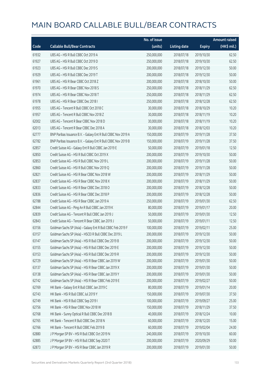|       |                                                               | No. of issue |                     |               | <b>Amount raised</b>  |
|-------|---------------------------------------------------------------|--------------|---------------------|---------------|-----------------------|
| Code  | <b>Callable Bull/Bear Contracts</b>                           | (units)      | <b>Listing date</b> | <b>Expiry</b> | $(HK\frac{1}{2}mil.)$ |
| 61932 | UBS AG - HSI R Bull CBBC Oct 2019 A                           | 250,000,000  | 2018/07/18          | 2019/10/30    | 62.50                 |
| 61927 | UBS AG - HSI R Bull CBBC Oct 2019 D                           | 250,000,000  | 2018/07/18          | 2019/10/30    | 62.50                 |
| 61923 | UBS AG - HSI R Bull CBBC Dec 2019 S                           | 200,000,000  | 2018/07/18          | 2019/12/30    | 50.00                 |
| 61929 | UBS AG - HSI R Bull CBBC Dec 2019 T                           | 200,000,000  | 2018/07/18          | 2019/12/30    | 50.00                 |
| 61961 | UBS AG - HSI R Bear CBBC Oct 2018 Z                           | 200,000,000  | 2018/07/18          | 2018/10/30    | 50.00                 |
| 61970 | UBS AG - HSI R Bear CBBC Nov 2018 S                           | 250,000,000  | 2018/07/18          | 2018/11/29    | 62.50                 |
| 61974 | UBS AG - HSI R Bear CBBC Nov 2018 T                           | 250,000,000  | 2018/07/18          | 2018/11/29    | 62.50                 |
| 61978 | UBS AG - HSI R Bear CBBC Dec 2018 I                           | 250,000,000  | 2018/07/18          | 2018/12/28    | 62.50                 |
| 61955 | UBS AG - Tencent R Bull CBBC Oct 2018 C                       | 30,000,000   | 2018/07/18          | 2018/10/29    | 10.20                 |
| 61957 | UBS AG - Tencent R Bull CBBC Nov 2018 Z                       | 30,000,000   | 2018/07/18          | 2018/11/19    | 10.20                 |
| 62002 | UBS AG - Tencent R Bear CBBC Nov 2018 D                       | 30,000,000   | 2018/07/18          | 2018/11/19    | 10.20                 |
| 62013 | UBS AG - Tencent R Bear CBBC Dec 2018 A                       | 30,000,000   | 2018/07/18          | 2018/12/03    | 10.20                 |
| 62777 | BNP Paribas Issuance B.V. - Galaxy Ent R Bull CBBC Nov 2019 A | 150,000,000  | 2018/07/19          | 2019/11/28    | 37.50                 |
| 62782 | BNP Paribas Issuance B.V. - Galaxy Ent R Bull CBBC Nov 2019 B | 150,000,000  | 2018/07/19          | 2019/11/28    | 37.50                 |
| 62857 | Credit Suisse AG - Galaxy Ent R Bull CBBC Jan 2019 E          | 50,000,000   | 2018/07/19          | 2019/01/18    | 12.50                 |
| 62850 | Credit Suisse AG - HSI R Bull CBBC Oct 2019 X                 | 200,000,000  | 2018/07/19          | 2019/10/30    | 50.00                 |
| 62853 | Credit Suisse AG - HSI R Bull CBBC Nov 2019 L                 | 200,000,000  | 2018/07/19          | 2019/11/28    | 50.00                 |
| 62860 | Credit Suisse AG - HSI R Bull CBBC Nov 2019 Q                 | 200,000,000  | 2018/07/19          | 2019/11/28    | 50.00                 |
| 62821 | Credit Suisse AG - HSI R Bear CBBC Nov 2018 W                 | 200,000,000  | 2018/07/19          | 2018/11/29    | 50.00                 |
| 62837 | Credit Suisse AG - HSI R Bear CBBC Nov 2018 X                 | 200,000,000  | 2018/07/19          | 2018/11/29    | 50.00                 |
| 62833 | Credit Suisse AG - HSI R Bear CBBC Dec 2018 O                 | 200,000,000  | 2018/07/19          | 2018/12/28    | 50.00                 |
| 62836 | Credit Suisse AG - HSI R Bear CBBC Dec 2018 P                 | 200,000,000  | 2018/07/19          | 2018/12/28    | 50.00                 |
| 62788 | Credit Suisse AG - HSI R Bear CBBC Jan 2019 A                 | 250,000,000  | 2018/07/19          | 2019/01/30    | 62.50                 |
| 62844 | Credit Suisse AG - Ping An R Bull CBBC Jan 2019 K             | 80,000,000   | 2018/07/19          | 2019/01/17    | 20.00                 |
| 62839 | Credit Suisse AG - Tencent R Bull CBBC Jan 2019 J             | 50,000,000   | 2018/07/19          | 2019/01/30    | 12.50                 |
| 62843 | Credit Suisse AG - Tencent R Bear CBBC Jan 2019 J             | 50,000,000   | 2018/07/19          | 2019/01/11    | 12.50                 |
| 63156 | Goldman Sachs SP (Asia) - Galaxy Ent R Bull CBBC Feb 2019 F   | 100,000,000  | 2018/07/19          | 2019/02/11    | 25.00                 |
| 63157 | Goldman Sachs SP (Asia) - HSCEI R Bull CBBC Dec 2019 L        | 200,000,000  | 2018/07/19          | 2019/12/30    | 50.00                 |
| 63147 | Goldman Sachs SP (Asia) - HSI R Bull CBBC Dec 2019 B          | 200,000,000  | 2018/07/19          | 2019/12/30    | 50.00                 |
| 63155 | Goldman Sachs SP (Asia) - HSI R Bull CBBC Dec 2019 E          | 200,000,000  | 2018/07/19          | 2019/12/30    | 50.00                 |
| 63153 | Goldman Sachs SP (Asia) - HSI R Bull CBBC Dec 2019 R          | 200,000,000  | 2018/07/19          | 2019/12/30    | 50.00                 |
| 62729 | Goldman Sachs SP (Asia) - HSI R Bear CBBC Jan 2019 W          | 200,000,000  | 2018/07/19          | 2019/01/30    | 50.00                 |
| 63137 | Goldman Sachs SP (Asia) - HSI R Bear CBBC Jan 2019 X          | 200,000,000  | 2018/07/19          | 2019/01/30    | 50.00                 |
| 63138 | Goldman Sachs SP (Asia) - HSI R Bear CBBC Jan 2019 Y          | 200,000,000  | 2018/07/19          | 2019/01/30    | 50.00                 |
| 62742 | Goldman Sachs SP (Asia) - HSI R Bear CBBC Feb 2019 E          | 200,000,000  | 2018/07/19          | 2019/02/27    | 50.00                 |
| 62769 | HK Bank - Galaxy Ent R Bull CBBC Jan 2019 C                   | 80,000,000   | 2018/07/19          | 2019/01/14    | 20.00                 |
| 62743 | HK Bank - HSI R Bull CBBC Jul 2019 Y                          | 150,000,000  | 2018/07/19          | 2019/07/30    | 37.50                 |
| 62749 | HK Bank - HSI R Bull CBBC Sep 2019 I                          | 100,000,000  | 2018/07/19          | 2019/09/27    | 25.00                 |
| 62756 | HK Bank - HSI R Bear CBBC Nov 2018 W                          | 150,000,000  | 2018/07/19          | 2018/11/29    | 37.50                 |
| 62768 | HK Bank - Sunny Optical R Bull CBBC Dec 2018 B                | 40,000,000   | 2018/07/19          | 2018/12/24    | 10.00                 |
| 62765 | HK Bank - Tencent R Bull CBBC Dec 2018 N                      | 60,000,000   | 2018/07/19          | 2018/12/20    | 15.00                 |
| 62766 | HK Bank - Tencent R Bull CBBC Feb 2019 B                      | 60,000,000   | 2018/07/19          | 2019/02/04    | 24.00                 |
| 62880 | J P Morgan SP BV - HSI R Bull CBBC Oct 2019 N                 | 240,000,000  | 2018/07/19          | 2019/10/30    | 60.00                 |
| 62885 | J P Morgan SP BV - HSI R Bull CBBC Sep 2020 T                 | 200,000,000  | 2018/07/19          | 2020/09/29    | 50.00                 |
| 62873 | J P Morgan SP BV - HSI R Bear CBBC Jan 2019 R                 | 200,000,000  | 2018/07/19          | 2019/01/30    | 50.00                 |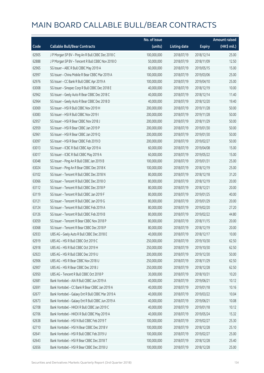|       |                                                   | No. of issue |                     |               | <b>Amount raised</b> |
|-------|---------------------------------------------------|--------------|---------------------|---------------|----------------------|
| Code  | <b>Callable Bull/Bear Contracts</b>               | (units)      | <b>Listing date</b> | <b>Expiry</b> | $(HK\$ mil.)         |
| 62905 | J P Morgan SP BV - Ping An R Bull CBBC Dec 2018 C | 100,000,000  | 2018/07/19          | 2018/12/14    | 25.00                |
| 62888 | J P Morgan SP BV - Tencent R Bull CBBC Nov 2018 O | 50,000,000   | 2018/07/19          | 2018/11/09    | 12.50                |
| 62965 | SG Issuer - ABC R Bull CBBC May 2019 A            | 60,000,000   | 2018/07/19          | 2019/05/15    | 15.00                |
| 62997 | SG Issuer - China Mobile R Bear CBBC Mar 2019 A   | 100,000,000  | 2018/07/19          | 2019/03/06    | 25.00                |
| 62976 | SG Issuer - CC Bank R Bull CBBC Apr 2019 A        | 100,000,000  | 2018/07/19          | 2019/04/10    | 25.00                |
| 63008 | SG Issuer - Sinopec Corp R Bull CBBC Dec 2018 E   | 40,000,000   | 2018/07/19          | 2018/12/19    | 10.00                |
| 62962 | SG Issuer - Geely Auto R Bear CBBC Dec 2018 C     | 40,000,000   | 2018/07/19          | 2018/12/14    | 11.40                |
| 62964 | SG Issuer - Geely Auto R Bear CBBC Dec 2018 D     | 40,000,000   | 2018/07/19          | 2018/12/20    | 19.40                |
| 63069 | SG Issuer - HSI R Bull CBBC Nov 2019 H            | 200,000,000  | 2018/07/19          | 2019/11/28    | 50.00                |
| 63083 | SG Issuer - HSI R Bull CBBC Nov 2019 I            | 200,000,000  | 2018/07/19          | 2019/11/28    | 50.00                |
| 62957 | SG Issuer - HSI R Bear CBBC Nov 2018 J            | 200,000,000  | 2018/07/19          | 2018/11/29    | 50.00                |
| 62959 | SG Issuer - HSI R Bear CBBC Jan 2019 P            | 200,000,000  | 2018/07/19          | 2019/01/30    | 50.00                |
| 62961 | SG Issuer - HSI R Bear CBBC Jan 2019 O            | 200,000,000  | 2018/07/19          | 2019/01/30    | 50.00                |
| 63097 | SG Issuer - HSI R Bear CBBC Feb 2019 D            | 200,000,000  | 2018/07/19          | 2019/02/27    | 50.00                |
| 63013 | SG Issuer - ICBC R Bull CBBC Apr 2019 A           | 60,000,000   | 2018/07/19          | 2019/04/08    | 15.00                |
| 63017 | SG Issuer - ICBC R Bull CBBC May 2019 A           | 60,000,000   | 2018/07/19          | 2019/05/22    | 15.00                |
| 63048 | SG Issuer - Ping An R Bull CBBC Jan 2019 B        | 100,000,000  | 2018/07/19          | 2019/01/31    | 25.00                |
| 63024 | SG Issuer - Ping An R Bear CBBC Dec 2018 K        | 100,000,000  | 2018/07/19          | 2018/12/19    | 25.00                |
| 63102 | SG Issuer - Tencent R Bull CBBC Dec 2018 N        | 80,000,000   | 2018/07/19          | 2018/12/18    | 31.20                |
| 63066 | SG Issuer - Tencent R Bull CBBC Dec 2018 O        | 80,000,000   | 2018/07/19          | 2018/12/19    | 20.00                |
| 63112 | SG Issuer - Tencent R Bull CBBC Dec 2018 P        | 80,000,000   | 2018/07/19          | 2018/12/21    | 20.00                |
| 63119 | SG Issuer - Tencent R Bull CBBC Jan 2019 F        | 80,000,000   | 2018/07/19          | 2019/01/25    | 40.00                |
| 63121 | SG Issuer - Tencent R Bull CBBC Jan 2019 G        | 80,000,000   | 2018/07/19          | 2019/01/29    | 20.00                |
| 63124 | SG Issuer - Tencent R Bull CBBC Feb 2019 A        | 80,000,000   | 2018/07/19          | 2019/02/20    | 27.20                |
| 63126 | SG Issuer - Tencent R Bull CBBC Feb 2019 B        | 80,000,000   | 2018/07/19          | 2019/02/22    | 44.80                |
| 63059 | SG Issuer - Tencent R Bear CBBC Nov 2018 P        | 80,000,000   | 2018/07/19          | 2018/11/15    | 20.00                |
| 63068 | SG Issuer - Tencent R Bear CBBC Dec 2018 P        | 80,000,000   | 2018/07/19          | 2018/12/19    | 20.00                |
| 62933 | UBS AG - Geely Auto R Bull CBBC Dec 2018 E        | 40,000,000   | 2018/07/19          | 2018/12/17    | 10.00                |
| 62919 | UBS AG - HSI R Bull CBBC Oct 2019 C               | 250,000,000  | 2018/07/19          | 2019/10/30    | 62.50                |
| 62918 | UBS AG - HSI R Bull CBBC Oct 2019 H               | 250,000,000  | 2018/07/19          | 2019/10/30    | 62.50                |
| 62923 | UBS AG - HSI R Bull CBBC Dec 2019 U               | 200,000,000  | 2018/07/19          | 2019/12/30    | 50.00                |
| 62906 | UBS AG - HSI R Bear CBBC Nov 2018 U               | 250,000,000  | 2018/07/19          | 2018/11/29    | 62.50                |
| 62907 | UBS AG - HSI R Bear CBBC Dec 2018 J               | 250,000,000  | 2018/07/19          | 2018/12/28    | 62.50                |
| 62950 | UBS AG - Tencent R Bull CBBC Oct 2018 P           | 30,000,000   | 2018/07/19          | 2018/10/31    | 10.20                |
| 62681 | Bank Vontobel - AIA R Bull CBBC Jun 2019 A        | 40,000,000   | 2018/07/19          | 2019/06/21    | 10.12                |
| 62691 | Bank Vontobel - CC Bank R Bear CBBC Jan 2019 A    | 40,000,000   | 2018/07/19          | 2019/01/18    | 10.16                |
| 62677 | Bank Vontobel - Galaxy Ent R Bull CBBC Mar 2019 A | 40,000,000   | 2018/07/19          | 2019/03/22    | 10.04                |
| 62673 | Bank Vontobel - Galaxy Ent R Bull CBBC Jun 2019 A | 40,000,000   | 2018/07/19          | 2019/06/21    | 10.08                |
| 62708 | Bank Vontobel - HKEX R Bull CBBC Jan 2019 C       | 40,000,000   | 2018/07/19          | 2019/01/18    | 10.12                |
| 62706 | Bank Vontobel - HKEX R Bull CBBC May 2019 A       | 40,000,000   | 2018/07/19          | 2019/05/24    | 15.32                |
| 62638 | Bank Vontobel - HSI N Bull CBBC Feb 2019 T        | 100,000,000  | 2018/07/19          | 2019/02/27    | 25.30                |
| 62710 | Bank Vontobel - HSI N Bear CBBC Dec 2018 V        | 100,000,000  | 2018/07/19          | 2018/12/28    | 25.10                |
| 62641 | Bank Vontobel - HSI R Bull CBBC Feb 2019 U        | 100,000,000  | 2018/07/19          | 2019/02/27    | 25.00                |
| 62643 | Bank Vontobel - HSI R Bear CBBC Dec 2018 T        | 100,000,000  | 2018/07/19          | 2018/12/28    | 25.40                |
| 62656 | Bank Vontobel - HSI R Bear CBBC Dec 2018 U        | 100,000,000  | 2018/07/19          | 2018/12/28    | 25.00                |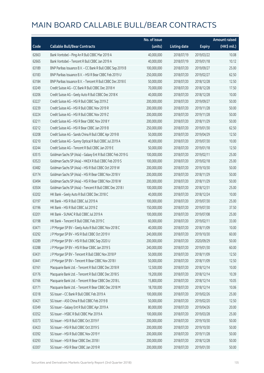|       |                                                             | No. of issue |                     |               | Amount raised         |
|-------|-------------------------------------------------------------|--------------|---------------------|---------------|-----------------------|
| Code  | <b>Callable Bull/Bear Contracts</b>                         | (units)      | <b>Listing date</b> | <b>Expiry</b> | $(HK\frac{1}{2}mil.)$ |
| 62663 | Bank Vontobel - Ping An R Bull CBBC Mar 2019 A              | 40,000,000   | 2018/07/19          | 2019/03/22    | 10.08                 |
| 62665 | Bank Vontobel - Tencent R Bull CBBC Jan 2019 A              | 40,000,000   | 2018/07/19          | 2019/01/18    | 10.12                 |
| 63189 | BNP Paribas Issuance B.V. - CC Bank R Bull CBBC Sep 2019 B  | 100,000,000  | 2018/07/20          | 2019/09/27    | 25.00                 |
| 63183 | BNP Paribas Issuance B.V. - HSI R Bear CBBC Feb 2019 U      | 250,000,000  | 2018/07/20          | 2019/02/27    | 62.50                 |
| 63184 | BNP Paribas Issuance B.V. - Tencent R Bull CBBC Dec 2018 E  | 50,000,000   | 2018/07/20          | 2018/12/28    | 12.50                 |
| 63249 | Credit Suisse AG - CC Bank R Bull CBBC Dec 2018 H           | 70,000,000   | 2018/07/20          | 2018/12/28    | 17.50                 |
| 63206 | Credit Suisse AG - Geely Auto R Bull CBBC Dec 2018 K        | 40,000,000   | 2018/07/20          | 2018/12/28    | 10.00                 |
| 63227 | Credit Suisse AG - HSI R Bull CBBC Sep 2019 Z               | 200,000,000  | 2018/07/20          | 2019/09/27    | 50.00                 |
| 63239 | Credit Suisse AG - HSI R Bull CBBC Nov 2019 R               | 200,000,000  | 2018/07/20          | 2019/11/28    | 50.00                 |
| 63224 | Credit Suisse AG - HSI R Bull CBBC Nov 2019 Z               | 200,000,000  | 2018/07/20          | 2019/11/28    | 50.00                 |
| 63211 | Credit Suisse AG - HSI R Bear CBBC Nov 2018 Y               | 200,000,000  | 2018/07/20          | 2018/11/29    | 50.00                 |
| 63212 | Credit Suisse AG - HSI R Bear CBBC Jan 2019 B               | 250,000,000  | 2018/07/20          | 2019/01/30    | 62.50                 |
| 63208 | Credit Suisse AG - Sands China R Bull CBBC Apr 2019 B       | 50,000,000   | 2018/07/20          | 2019/04/29    | 12.50                 |
| 63210 | Credit Suisse AG - Sunny Optical R Bull CBBC Jul 2019 A     | 40,000,000   | 2018/07/20          | 2019/07/30    | 10.00                 |
| 63244 | Credit Suisse AG - Tencent R Bull CBBC Jan 2019 E           | 50,000,000   | 2018/07/20          | 2019/01/18    | 12.50                 |
| 63515 | Goldman Sachs SP (Asia) - Galaxy Ent R Bull CBBC Feb 2019 G | 100,000,000  | 2018/07/20          | 2019/02/11    | 25.00                 |
| 63523 | Goldman Sachs SP (Asia) - HKEX R Bull CBBC Feb 2019 S       | 100,000,000  | 2018/07/20          | 2019/02/18    | 25.00                 |
| 63482 | Goldman Sachs SP (Asia) - HSI R Bull CBBC Oct 2019 W        | 200,000,000  | 2018/07/20          | 2019/10/30    | 50.00                 |
| 63174 | Goldman Sachs SP (Asia) - HSI R Bear CBBC Nov 2018 V        | 200,000,000  | 2018/07/20          | 2018/11/29    | 50.00                 |
| 63494 | Goldman Sachs SP (Asia) - HSI R Bear CBBC Nov 2018 W        | 200,000,000  | 2018/07/20          | 2018/11/29    | 50.00                 |
| 63504 | Goldman Sachs SP (Asia) - Tencent R Bull CBBC Dec 2018 I    | 100,000,000  | 2018/07/20          | 2018/12/31    | 25.00                 |
| 63202 | HK Bank - Geely Auto R Bull CBBC Dec 2018 C                 | 40,000,000   | 2018/07/20          | 2018/12/24    | 10.00                 |
| 63197 | HK Bank - HSI R Bull CBBC Jul 2019 A                        | 100,000,000  | 2018/07/20          | 2019/07/30    | 25.00                 |
| 63196 | HK Bank - HSI R Bull CBBC Jul 2019 Z                        | 150,000,000  | 2018/07/20          | 2019/07/30    | 37.50                 |
| 63201 | HK Bank - SUNAC R Bull CBBC Jul 2019 A                      | 100,000,000  | 2018/07/20          | 2019/07/08    | 25.00                 |
| 63198 | HK Bank - Tencent R Bull CBBC Feb 2019 C                    | 60,000,000   | 2018/07/20          | 2019/02/11    | 33.00                 |
| 63471 | J P Morgan SP BV - Geely Auto R Bull CBBC Nov 2018 C        | 40,000,000   | 2018/07/20          | 2018/11/09    | 10.00                 |
| 63292 | J P Morgan SP BV - HSI R Bull CBBC Oct 2019 V               | 240,000,000  | 2018/07/20          | 2019/10/30    | 60.00                 |
| 63289 | J P Morgan SP BV - HSI R Bull CBBC Sep 2020 U               | 200,000,000  | 2018/07/20          | 2020/09/29    | 50.00                 |
| 63288 | J P Morgan SP BV - HSI R Bear CBBC Jan 2019 S               | 240,000,000  | 2018/07/20          | 2019/01/30    | 60.00                 |
| 63431 | J P Morgan SP BV - Tencent R Bull CBBC Nov 2018 P           | 50,000,000   | 2018/07/20          | 2018/11/09    | 12.50                 |
| 63441 | J P Morgan SP BV - Tencent R Bear CBBC Nov 2018 I           | 50,000,000   | 2018/07/20          | 2018/11/09    | 12.50                 |
| 63161 | Macquarie Bank Ltd. - Tencent R Bull CBBC Dec 2018 R        | 12,500,000   | 2018/07/20          | 2018/12/14    | 10.00                 |
| 63176 | Macquarie Bank Ltd. - Tencent R Bull CBBC Dec 2018 S        | 19,200,000   | 2018/07/20          | 2018/12/14    | 10.39                 |
| 63166 | Macquarie Bank Ltd. - Tencent R Bear CBBC Dec 2018 L        | 15,800,000   | 2018/07/20          | 2018/12/14    | 10.05                 |
| 63171 | Macquarie Bank Ltd. - Tencent R Bear CBBC Dec 2018 M        | 18,700,000   | 2018/07/20          | 2018/12/14    | 10.06                 |
| 63318 | SG Issuer - CC Bank R Bull CBBC Feb 2019 A                  | 100,000,000  | 2018/07/20          | 2019/02/26    | 25.00                 |
| 63421 | SG Issuer - A50 China R Bull CBBC Feb 2019 B                | 50,000,000   | 2018/07/20          | 2019/02/20    | 12.50                 |
| 63349 | SG Issuer - Galaxy Ent R Bull CBBC Apr 2019 A               | 80,000,000   | 2018/07/20          | 2019/04/26    | 20.00                 |
| 63352 | SG Issuer - HSBC R Bull CBBC Mar 2019 A                     | 100,000,000  | 2018/07/20          | 2019/03/28    | 25.00                 |
| 63373 | SG Issuer - HSI R Bull CBBC Oct 2019 F                      | 200,000,000  | 2018/07/20          | 2019/10/30    | 50.00                 |
| 63423 | SG Issuer - HSI R Bull CBBC Oct 2019 S                      | 200,000,000  | 2018/07/20          | 2019/10/30    | 50.00                 |
| 63392 | SG Issuer - HSI R Bull CBBC Nov 2019 Y                      | 200,000,000  | 2018/07/20          | 2019/11/28    | 50.00                 |
| 63293 | SG Issuer - HSI R Bear CBBC Dec 2018 I                      | 200,000,000  | 2018/07/20          | 2018/12/28    | 50.00                 |
| 63307 | SG Issuer - HSI R Bear CBBC Jan 2019 R                      | 200,000,000  | 2018/07/20          | 2019/01/30    | 50.00                 |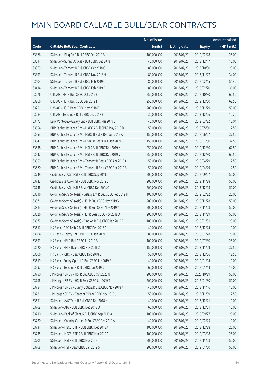|       |                                                             | No. of issue |                     |               | <b>Amount raised</b> |
|-------|-------------------------------------------------------------|--------------|---------------------|---------------|----------------------|
| Code  | <b>Callable Bull/Bear Contracts</b>                         | (units)      | <b>Listing date</b> | <b>Expiry</b> | (HK\$ mil.)          |
| 63366 | SG Issuer - Ping An R Bull CBBC Feb 2019 B                  | 100,000,000  | 2018/07/20          | 2019/02/28    | 25.00                |
| 63314 | SG Issuer - Sunny Optical R Bull CBBC Dec 2018 I            | 40,000,000   | 2018/07/20          | 2018/12/17    | 10.00                |
| 63369 | SG Issuer - Tencent R Bull CBBC Oct 2018 G                  | 80,000,000   | 2018/07/20          | 2018/10/30    | 20.00                |
| 63393 | SG Issuer - Tencent R Bull CBBC Nov 2018 H                  | 80,000,000   | 2018/07/20          | 2018/11/27    | 34.00                |
| 63404 | SG Issuer - Tencent R Bull CBBC Feb 2019 C                  | 80,000,000   | 2018/07/20          | 2019/02/15    | 54.40                |
| 63414 | SG Issuer - Tencent R Bull CBBC Feb 2019 D                  | 80,000,000   | 2018/07/20          | 2019/02/20    | 36.00                |
| 63276 | UBS AG - HSI R Bull CBBC Oct 2019 E                         | 250,000,000  | 2018/07/20          | 2019/10/30    | 62.50                |
| 63266 | UBS AG - HSI R Bull CBBC Dec 2019 I                         | 250,000,000  | 2018/07/20          | 2019/12/30    | 62.50                |
| 63251 | UBS AG - HSI R Bear CBBC Nov 2018 F                         | 200,000,000  | 2018/07/20          | 2018/11/29    | 50.00                |
| 63284 | UBS AG - Tencent R Bull CBBC Dec 2018 E                     | 30,000,000   | 2018/07/20          | 2018/12/06    | 10.20                |
| 63173 | Bank Vontobel - Galaxy Ent R Bull CBBC Mar 2019 B           | 40,000,000   | 2018/07/20          | 2019/03/22    | 10.04                |
| 63554 | BNP Paribas Issuance B.V. - HKEX R Bull CBBC May 2019 D     | 50,000,000   | 2018/07/23          | 2019/05/30    | 12.50                |
| 63553 | BNP Paribas Issuance B.V. - HSBC R Bull CBBC Jun 2019 A     | 150,000,000  | 2018/07/23          | 2019/06/27    | 37.50                |
| 63547 | BNP Paribas Issuance B.V. - HSBC R Bear CBBC Jan 2019 C     | 150,000,000  | 2018/07/23          | 2019/01/30    | 37.50                |
| 63538 | BNP Paribas Issuance B.V. - HSI R Bull CBBC Dec 2019 N      | 250,000,000  | 2018/07/23          | 2019/12/30    | 62.50                |
| 63542 | BNP Paribas Issuance B.V. - HSI R Bull CBBC Dec 2019 V      | 250,000,000  | 2018/07/23          | 2019/12/30    | 62.50                |
| 63559 | BNP Paribas Issuance B.V. - Tencent R Bear CBBC Apr 2019 A  | 50,000,000   | 2018/07/23          | 2019/04/29    | 12.50                |
| 63560 | BNP Paribas Issuance B.V. - Tencent R Bear CBBC Apr 2019 B  | 50,000,000   | 2018/07/23          | 2019/04/29    | 12.50                |
| 63749 | Credit Suisse AG - HSI R Bull CBBC Sep 2019 J               | 200,000,000  | 2018/07/23          | 2019/09/27    | 50.00                |
| 63742 | Credit Suisse AG - HSI R Bull CBBC Nov 2019 S               | 200,000,000  | 2018/07/23          | 2019/11/28    | 50.00                |
| 63748 | Credit Suisse AG - HSI R Bear CBBC Dec 2018 Q               | 200,000,000  | 2018/07/23          | 2018/12/28    | 50.00                |
| 63816 | Goldman Sachs SP (Asia) - Galaxy Ent R Bull CBBC Feb 2019 H | 100,000,000  | 2018/07/23          | 2019/02/22    | 25.00                |
| 63571 | Goldman Sachs SP (Asia) - HSI R Bull CBBC Nov 2019 V        | 200,000,000  | 2018/07/23          | 2019/11/28    | 50.00                |
| 63813 | Goldman Sachs SP (Asia) - HSI R Bull CBBC Nov 2019 Y        | 200,000,000  | 2018/07/23          | 2019/11/28    | 50.00                |
| 63626 | Goldman Sachs SP (Asia) - HSI R Bear CBBC Nov 2018 X        | 200,000,000  | 2018/07/23          | 2018/11/29    | 50.00                |
| 63572 | Goldman Sachs SP (Asia) - Ping An R Bull CBBC Jan 2019 B    | 100,000,000  | 2018/07/23          | 2019/01/31    | 25.00                |
| 63617 | HK Bank - AAC Tech R Bull CBBC Dec 2018 C                   | 40,000,000   | 2018/07/23          | 2018/12/24    | 10.00                |
| 63604 | HK Bank - Galaxy Ent R Bull CBBC Jan 2019 D                 | 80,000,000   | 2018/07/23          | 2019/01/28    | 20.00                |
| 63593 | HK Bank - HSI R Bull CBBC Jul 2019 B                        | 100,000,000  | 2018/07/23          | 2019/07/30    | 25.00                |
| 63620 | HK Bank - HSI R Bear CBBC Nov 2018 X                        | 150,000,000  | 2018/07/23          | 2018/11/29    | 37.50                |
| 63606 | HK Bank - ICBC R Bear CBBC Dec 2018 B                       | 50,000,000   | 2018/07/23          | 2018/12/06    | 12.50                |
| 63619 | HK Bank - Sunny Optical R Bull CBBC Jan 2019 A              | 40,000,000   | 2018/07/23          | 2019/01/14    | 10.00                |
| 63597 | HK Bank - Tencent R Bull CBBC Jan 2019 D                    | 60,000,000   | 2018/07/23          | 2019/01/14    | 15.00                |
| 63750 | J P Morgan SP BV - HSI R Bull CBBC Oct 2020 N               | 200,000,000  | 2018/07/23          | 2020/10/29    | 50.00                |
| 63768 | J P Morgan SP BV - HSI R Bear CBBC Jan 2019 T               | 200,000,000  | 2018/07/23          | 2019/01/30    | 50.00                |
| 63784 | J P Morgan SP BV - Sunny Optical R Bull CBBC Nov 2018 A     | 40,000,000   | 2018/07/23          | 2018/11/16    | 10.00                |
| 63781 | J P Morgan SP BV - Tencent R Bear CBBC Nov 2018 J           | 50,000,000   | 2018/07/23          | 2018/11/09    | 12.50                |
| 63651 | SG Issuer - AAC Tech R Bull CBBC Dec 2018 H                 | 40,000,000   | 2018/07/23          | 2018/12/21    | 10.00                |
| 63709 | SG Issuer - AIA R Bull CBBC Dec 2018 Q                      | 60,000,000   | 2018/07/23          | 2018/12/31    | 15.00                |
| 63710 | SG Issuer - Bank of China R Bull CBBC Sep 2019 A            | 100,000,000  | 2018/07/23          | 2019/09/27    | 25.00                |
| 63720 | SG Issuer - Country Garden R Bull CBBC Feb 2019 A           | 40,000,000   | 2018/07/23          | 2019/02/25    | 10.00                |
| 63734 | SG Issuer - HSCEI ETF R Bull CBBC Dec 2018 A                | 100,000,000  | 2018/07/23          | 2018/12/28    | 25.00                |
| 63735 | SG Issuer - HSCEI ETF R Bull CBBC Mar 2019 A                | 100,000,000  | 2018/07/23          | 2019/03/18    | 25.00                |
| 63705 | SG Issuer - HSI R Bull CBBC Nov 2019 J                      | 200,000,000  | 2018/07/23          | 2019/11/28    | 50.00                |
| 63708 | SG Issuer - HSI R Bear CBBC Jan 2019 S                      | 200,000,000  | 2018/07/23          | 2019/01/30    | 50.00                |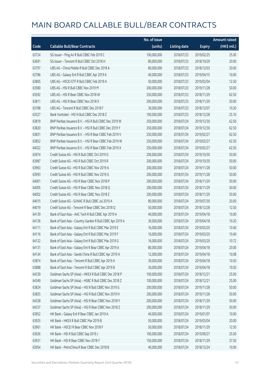|       |                                                           | No. of issue |                     |               | <b>Amount raised</b> |
|-------|-----------------------------------------------------------|--------------|---------------------|---------------|----------------------|
| Code  | <b>Callable Bull/Bear Contracts</b>                       | (units)      | <b>Listing date</b> | <b>Expiry</b> | (HK\$ mil.)          |
| 63724 | SG Issuer - Ping An R Bull CBBC Feb 2019 C                | 100,000,000  | 2018/07/23          | 2019/02/25    | 25.00                |
| 63691 | SG Issuer - Tencent R Bull CBBC Oct 2018 H                | 80,000,000   | 2018/07/23          | 2018/10/29    | 20.00                |
| 63797 | UBS AG - China Mobile R Bull CBBC Dec 2018 A              | 80,000,000   | 2018/07/23          | 2018/12/03    | 20.00                |
| 63786 | UBS AG - Galaxy Ent R Bull CBBC Apr 2019 A                | 40,000,000   | 2018/07/23          | 2019/04/15    | 10.00                |
| 63805 | UBS AG - HSCEI ETF R Bull CBBC Feb 2019 A                 | 50,000,000   | 2018/07/23          | 2019/02/04    | 12.50                |
| 63580 | UBS AG - HSI R Bull CBBC Nov 2019 M                       | 200,000,000  | 2018/07/23          | 2019/11/28    | 50.00                |
| 63592 | UBS AG - HSI R Bear CBBC Nov 2018 W                       | 250,000,000  | 2018/07/23          | 2018/11/29    | 62.50                |
| 63811 | UBS AG - HSI R Bear CBBC Nov 2018 X                       | 200,000,000  | 2018/07/23          | 2018/11/29    | 50.00                |
| 63788 | UBS AG - Tencent R Bull CBBC Dec 2018 F                   | 30,000,000   | 2018/07/23          | 2018/12/07    | 10.20                |
| 63527 | Bank Vontobel - HSI N Bull CBBC Dec 2018 Z                | 100,000,000  | 2018/07/23          | 2018/12/28    | 25.10                |
| 63819 | BNP Paribas Issuance B.V. - HSI R Bull CBBC Dec 2019 W    | 250,000,000  | 2018/07/24          | 2019/12/30    | 62.50                |
| 63820 | BNP Paribas Issuance B.V. - HSI R Bull CBBC Dec 2019 Y    | 250,000,000  | 2018/07/24          | 2019/12/30    | 62.50                |
| 63831 | BNP Paribas Issuance B.V. - HSI R Bear CBBC Feb 2019 V    | 250,000,000  | 2018/07/24          | 2019/02/27    | 62.50                |
| 63852 | BNP Paribas Issuance B.V. - HSI R Bear CBBC Feb 2019 W    | 250,000,000  | 2018/07/24          | 2019/02/27    | 62.50                |
| 64022 | BNP Paribas Issuance B.V. - HSI R Bear CBBC Feb 2019 X    | 250,000,000  | 2018/07/24          | 2019/02/27    | 62.50                |
| 63974 | Credit Suisse AG - HSI R Bull CBBC Oct 2019 G             | 200,000,000  | 2018/07/24          | 2019/10/30    | 50.00                |
| 63987 | Credit Suisse AG - HSI R Bull CBBC Oct 2019 R             | 200,000,000  | 2018/07/24          | 2019/10/30    | 50.00                |
| 63963 | Credit Suisse AG - HSI R Bull CBBC Nov 2019 A             | 200,000,000  | 2018/07/24          | 2019/11/28    | 50.00                |
| 63993 | Credit Suisse AG - HSI R Bull CBBC Nov 2019 G             | 200,000,000  | 2018/07/24          | 2019/11/28    | 50.00                |
| 64001 | Credit Suisse AG - HSI R Bear CBBC Nov 2018 P             | 200,000,000  | 2018/07/24          | 2018/11/29    | 50.00                |
| 64005 | Credit Suisse AG - HSI R Bear CBBC Nov 2018 Q             | 200,000,000  | 2018/07/24          | 2018/11/29    | 50.00                |
| 64002 | Credit Suisse AG - HSI R Bear CBBC Nov 2018 Z             | 200,000,000  | 2018/07/24          | 2018/11/29    | 50.00                |
| 64015 | Credit Suisse AG - SUNAC R Bull CBBC Jul 2019 A           | 80,000,000   | 2018/07/24          | 2019/07/30    | 20.00                |
| 64019 | Credit Suisse AG - Tencent R Bear CBBC Dec 2018 Q         | 50,000,000   | 2018/07/24          | 2018/12/28    | 12.50                |
| 64139 | Bank of East Asia - AAC Tech R Bull CBBC Apr 2019 A       | 40,000,000   | 2018/07/24          | 2019/04/18    | 10.00                |
| 64136 | Bank of East Asia - Country Garden R Bull CBBC Apr 2019 A | 30,000,000   | 2018/07/24          | 2019/04/18    | 10.20                |
| 64111 | Bank of East Asia - Galaxy Ent R Bull CBBC Mar 2019 E     | 16,000,000   | 2018/07/24          | 2019/03/20    | 10.40                |
| 64116 | Bank of East Asia - Galaxy Ent R Bull CBBC Mar 2019 F     | 16,000,000   | 2018/07/24          | 2019/03/20    | 10.40                |
| 64122 | Bank of East Asia - Galaxy Ent R Bull CBBC Mar 2019 G     | 16,000,000   | 2018/07/24          | 2019/03/20    | 10.72                |
| 64131 | Bank of East Asia - Galaxy Ent R Bear CBBC Apr 2019 A     | 80,000,000   | 2018/07/24          | 2019/04/18    | 20.00                |
| 64134 | Bank of East Asia - Sands China R Bull CBBC Apr 2019 A    | 12,000,000   | 2018/07/24          | 2019/04/18    | 10.08                |
| 63874 | Bank of East Asia - Tencent R Bull CBBC Apr 2019 A        | 30,000,000   | 2018/07/24          | 2019/04/18    | 10.50                |
| 63888 | Bank of East Asia - Tencent R Bull CBBC Apr 2019 B        | 30,000,000   | 2018/07/24          | 2019/04/18    | 10.50                |
| 64339 | Goldman Sachs SP (Asia) - HKEX R Bull CBBC Dec 2018 P     | 100,000,000  | 2018/07/24          | 2018/12/21    | 25.00                |
| 64349 | Goldman Sachs SP (Asia) - HSBC R Bull CBBC Dec 2018 Z     | 100,000,000  | 2018/07/24          | 2018/12/21    | 25.00                |
| 63824 | Goldman Sachs SP (Asia) - HSI R Bull CBBC Nov 2019 G      | 200,000,000  | 2018/07/24          | 2019/11/28    | 50.00                |
| 63825 | Goldman Sachs SP (Asia) - HSI R Bull CBBC Nov 2019 H      | 200,000,000  | 2018/07/24          | 2019/11/28    | 50.00                |
| 64328 | Goldman Sachs SP (Asia) - HSI R Bear CBBC Nov 2018 Y      | 200,000,000  | 2018/07/24          | 2018/11/29    | 50.00                |
| 64337 | Goldman Sachs SP (Asia) - HSI R Bear CBBC Nov 2018 Z      | 200,000,000  | 2018/07/24          | 2018/11/29    | 50.00                |
| 63952 | HK Bank - Galaxy Ent R Bear CBBC Jan 2019 A               | 40,000,000   | 2018/07/24          | 2019/01/07    | 10.00                |
| 63925 | HK Bank - HKEX R Bull CBBC Mar 2019 B                     | 50,000,000   | 2018/07/24          | 2019/03/04    | 20.00                |
| 63961 | HK Bank - HSCEI R Bear CBBC Nov 2018 F                    | 50,000,000   | 2018/07/24          | 2018/11/29    | 12.50                |
| 63926 | HK Bank - HSI R Bull CBBC Sep 2019 J                      | 100,000,000  | 2018/07/24          | 2019/09/27    | 25.00                |
| 63931 | HK Bank - HSI R Bear CBBC Nov 2018 Y                      | 150,000,000  | 2018/07/24          | 2018/11/29    | 37.50                |
| 63954 | HK Bank - PetroChina R Bear CBBC Dec 2018 B               | 40,000,000   | 2018/07/24          | 2018/12/24    | 10.00                |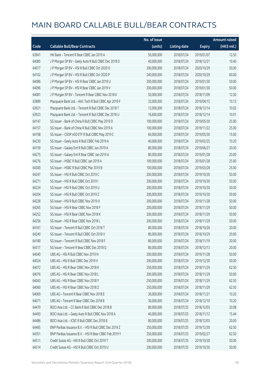|       |                                                        | No. of issue |                     |               | Amount raised         |
|-------|--------------------------------------------------------|--------------|---------------------|---------------|-----------------------|
| Code  | <b>Callable Bull/Bear Contracts</b>                    | (units)      | <b>Listing date</b> | <b>Expiry</b> | $(HK\frac{1}{2}mil.)$ |
| 63941 | HK Bank - Tencent R Bear CBBC Jan 2019 A               | 50,000,000   | 2018/07/24          | 2019/01/07    | 12.50                 |
| 64085 | J P Morgan SP BV - Geely Auto R Bull CBBC Dec 2018 D   | 40,000,000   | 2018/07/24          | 2018/12/21    | 10.40                 |
| 64077 | J P Morgan SP BV - HSI R Bull CBBC Oct 2020 O          | 200,000,000  | 2018/07/24          | 2020/10/29    | 50.00                 |
| 64102 | J P Morgan SP BV - HSI R Bull CBBC Oct 2020 P          | 240,000,000  | 2018/07/24          | 2020/10/29    | 60.00                 |
| 64086 | J P Morgan SP BV - HSI R Bear CBBC Jan 2019 U          | 200,000,000  | 2018/07/24          | 2019/01/30    | 50.00                 |
| 64096 | J P Morgan SP BV - HSI R Bear CBBC Jan 2019 V          | 200,000,000  | 2018/07/24          | 2019/01/30    | 50.00                 |
| 64081 | J P Morgan SP BV - Tencent R Bear CBBC Nov 2018 K      | 50,000,000   | 2018/07/24          | 2018/11/09    | 12.50                 |
| 63889 | Macquarie Bank Ltd. - AAC Tech R Bull CBBC Apr 2019 F  | 33,000,000   | 2018/07/24          | 2019/04/15    | 10.13                 |
| 63921 | Macquarie Bank Ltd. - Tencent R Bull CBBC Dec 2018 T   | 12,000,000   | 2018/07/24          | 2018/12/14    | 10.02                 |
| 63923 | Macquarie Bank Ltd. - Tencent R Bull CBBC Dec 2018 U   | 16,600,000   | 2018/07/24          | 2018/12/14    | 10.01                 |
| 64147 | SG Issuer - Bank of China R Bull CBBC May 2019 D       | 100,000,000  | 2018/07/24          | 2019/05/30    | 25.00                 |
| 64157 | SG Issuer - Bank of China R Bull CBBC Nov 2019 A       | 100,000,000  | 2018/07/24          | 2019/11/22    | 25.00                 |
| 64198 | SG Issuer - CSOP A50 ETF R Bull CBBC May 2019 C        | 60,000,000   | 2018/07/24          | 2019/05/30    | 15.00                 |
| 64230 | SG Issuer - Geely Auto R Bull CBBC Feb 2019 A          | 40,000,000   | 2018/07/24          | 2019/02/25    | 10.20                 |
| 64159 | SG Issuer - Galaxy Ent R Bull CBBC Jun 2019 A          | 80,000,000   | 2018/07/24          | 2019/06/27    | 20.00                 |
| 64275 | SG Issuer - Galaxy Ent R Bear CBBC Jan 2019 A          | 80,000,000   | 2018/07/24          | 2019/01/28    | 20.00                 |
| 64276 | SG Issuer - HSBC R Bull CBBC Jan 2019 A                | 100,000,000  | 2018/07/24          | 2019/01/28    | 25.00                 |
| 64300 | SG Issuer - HSBC R Bull CBBC Mar 2019 B                | 100,000,000  | 2018/07/24          | 2019/03/28    | 25.00                 |
| 64247 | SG Issuer - HSI R Bull CBBC Oct 2019 C                 | 200,000,000  | 2018/07/24          | 2019/10/30    | 50.00                 |
| 64271 | SG Issuer - HSI R Bull CBBC Oct 2019 I                 | 200,000,000  | 2018/07/24          | 2019/10/30    | 50.00                 |
| 64224 | SG Issuer - HSI R Bull CBBC Oct 2019 U                 | 200,000,000  | 2018/07/24          | 2019/10/30    | 50.00                 |
| 64204 | SG Issuer - HSI R Bull CBBC Oct 2019 Z                 | 200,000,000  | 2018/07/24          | 2019/10/30    | 50.00                 |
| 64228 | SG Issuer - HSI R Bull CBBC Nov 2019 X                 | 200,000,000  | 2018/07/24          | 2019/11/28    | 50.00                 |
| 64265 | SG Issuer - HSI R Bear CBBC Nov 2018 F                 | 200,000,000  | 2018/07/24          | 2018/11/29    | 50.00                 |
| 64252 | SG Issuer - HSI R Bear CBBC Nov 2018 K                 | 200,000,000  | 2018/07/24          | 2018/11/29    | 50.00                 |
| 64256 | SG Issuer - HSI R Bear CBBC Nov 2018 L                 | 200,000,000  | 2018/07/24          | 2018/11/29    | 50.00                 |
| 64161 | SG Issuer - Tencent R Bull CBBC Oct 2018 T             | 80,000,000   | 2018/07/24          | 2018/10/26    | 20.00                 |
| 64240 | SG Issuer – Tencent R Bull CBBC Oct 2018 V             | 80,000,000   | 2018/07/24          | 2018/10/29    | 20.00                 |
| 64180 | SG Issuer - Tencent R Bull CBBC Nov 2018 F             | 80,000,000   | 2018/07/24          | 2018/11/19    | 20.00                 |
| 64317 | SG Issuer - Tencent R Bear CBBC Dec 2018 Q             | 80,000,000   | 2018/07/24          | 2018/12/13    | 20.00                 |
| 64040 | UBS AG - HSI R Bull CBBC Nov 2019 N                    | 200,000,000  | 2018/07/24          | 2019/11/28    | 50.00                 |
| 64024 | UBS AG - HSI R Bull CBBC Dec 2019 V                    | 200,000,000  | 2018/07/24          | 2019/12/30    | 50.00                 |
| 64072 | UBS AG - HSI R Bear CBBC Nov 2018 K                    | 250,000,000  | 2018/07/24          | 2018/11/29    | 62.50                 |
| 64076 | UBS AG - HSI R Bear CBBC Nov 2018 L                    | 200,000,000  | 2018/07/24          | 2018/11/29    | 50.00                 |
| 64043 | UBS AG - HSI R Bear CBBC Nov 2018 Y                    | 250,000,000  | 2018/07/24          | 2018/11/29    | 62.50                 |
| 64060 | UBS AG - HSI R Bear CBBC Nov 2018 Z                    | 250,000,000  | 2018/07/24          | 2018/11/29    | 62.50                 |
| 64069 | UBS AG - Tencent R Bear CBBC Nov 2018 E                | 30,000,000   | 2018/07/24          | 2018/11/21    | 10.20                 |
| 64071 | UBS AG - Tencent R Bear CBBC Dec 2018 B                | 30,000,000   | 2018/07/24          | 2018/12/10    | 10.20                 |
| 64479 | BOCI Asia Ltd. - CC Bank R Bull CBBC Dec 2018 B        | 80,000,000   | 2018/07/25          | 2018/12/03    | 20.08                 |
| 64493 | BOCI Asia Ltd. - Geely Auto R Bull CBBC Nov 2018 A     | 40,000,000   | 2018/07/25          | 2018/11/12    | 15.44                 |
| 64486 | BOCI Asia Ltd. - ICBC R Bull CBBC Dec 2018 B           | 80,000,000   | 2018/07/25          | 2018/12/03    | 20.00                 |
| 64465 | BNP Paribas Issuance B.V. - HSI R Bull CBBC Dec 2019 Z | 250,000,000  | 2018/07/25          | 2019/12/30    | 62.50                 |
| 64351 | BNP Paribas Issuance B.V. - HSI R Bear CBBC Feb 2019 Y | 250,000,000  | 2018/07/25          | 2019/02/27    | 62.50                 |
| 64511 | Credit Suisse AG - HSI R Bull CBBC Oct 2019 T          | 200,000,000  | 2018/07/25          | 2019/10/30    | 50.00                 |
| 64514 | Credit Suisse AG - HSI R Bull CBBC Oct 2019 U          | 200,000,000  | 2018/07/25          | 2019/10/30    | 50.00                 |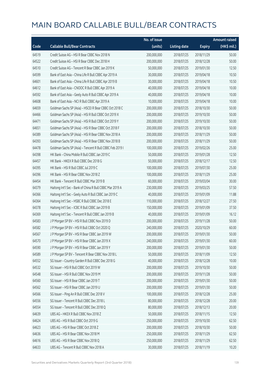|       |                                                          | No. of issue |                     |               | <b>Amount raised</b> |
|-------|----------------------------------------------------------|--------------|---------------------|---------------|----------------------|
| Code  | <b>Callable Bull/Bear Contracts</b>                      | (units)      | <b>Listing date</b> | <b>Expiry</b> | (HK\$ mil.)          |
| 64519 | Credit Suisse AG - HSI R Bear CBBC Nov 2018 N            | 200,000,000  | 2018/07/25          | 2018/11/29    | 50.00                |
| 64522 | Credit Suisse AG - HSI R Bear CBBC Dec 2018 H            | 200,000,000  | 2018/07/25          | 2018/12/28    | 50.00                |
| 64510 | Credit Suisse AG - Tencent R Bear CBBC Jan 2019 K        | 50,000,000   | 2018/07/25          | 2019/01/30    | 12.50                |
| 64599 | Bank of East Asia - China Life R Bull CBBC Apr 2019 A    | 30,000,000   | 2018/07/25          | 2019/04/18    | 10.50                |
| 64601 | Bank of East Asia - China Life R Bull CBBC Apr 2019 B    | 30,000,000   | 2018/07/25          | 2019/04/18    | 10.50                |
| 64612 | Bank of East Asia - CNOOC R Bull CBBC Apr 2019 A         | 40,000,000   | 2018/07/25          | 2019/04/18    | 10.00                |
| 64592 | Bank of East Asia - Geely Auto R Bull CBBC Apr 2019 A    | 40,000,000   | 2018/07/25          | 2019/04/18    | 10.00                |
| 64608 | Bank of East Asia - NCI R Bull CBBC Apr 2019 A           | 10,000,000   | 2018/07/25          | 2019/04/18    | 10.00                |
| 64659 | Goldman Sachs SP (Asia) - HSCEI R Bear CBBC Oct 2018 C   | 200,000,000  | 2018/07/25          | 2018/10/30    | 50.00                |
| 64466 | Goldman Sachs SP (Asia) - HSI R Bull CBBC Oct 2019 X     | 200,000,000  | 2018/07/25          | 2019/10/30    | 50.00                |
| 64471 | Goldman Sachs SP (Asia) - HSI R Bull CBBC Oct 2019 Y     | 200,000,000  | 2018/07/25          | 2019/10/30    | 50.00                |
| 64651 | Goldman Sachs SP (Asia) - HSI R Bear CBBC Oct 2018 F     | 200,000,000  | 2018/07/25          | 2018/10/30    | 50.00                |
| 64389 | Goldman Sachs SP (Asia) - HSI R Bear CBBC Nov 2018 A     | 200,000,000  | 2018/07/25          | 2018/11/29    | 50.00                |
| 64393 | Goldman Sachs SP (Asia) - HSI R Bear CBBC Nov 2018 B     | 200,000,000  | 2018/07/25          | 2018/11/29    | 50.00                |
| 64478 | Goldman Sachs SP (Asia) - Tencent R Bull CBBC Feb 2019 I | 100,000,000  | 2018/07/25          | 2019/02/26    | 25.00                |
| 64398 | HK Bank - China Mobile R Bull CBBC Jan 2019 C            | 50,000,000   | 2018/07/25          | 2019/01/28    | 12.50                |
| 64457 | HK Bank - HKEX R Bull CBBC Dec 2018 G                    | 50,000,000   | 2018/07/25          | 2018/12/17    | 12.50                |
| 64395 | HK Bank - HSI R Bull CBBC Jul 2019 C                     | 100,000,000  | 2018/07/25          | 2019/07/30    | 25.00                |
| 64396 | HK Bank - HSI R Bear CBBC Nov 2018 Z                     | 100,000,000  | 2018/07/25          | 2018/11/29    | 25.00                |
| 64454 | HK Bank - Tencent R Bull CBBC Mar 2019 B                 | 60,000,000   | 2018/07/25          | 2019/03/04    | 30.00                |
| 64379 | Haitong Int'l Sec - Bank of China R Bull CBBC Mar 2019 A | 230,000,000  | 2018/07/25          | 2019/03/25    | 57.50                |
| 64366 | Haitong Int'l Sec - Geely Auto R Bull CBBC Jan 2019 C    | 40,000,000   | 2018/07/25          | 2019/01/09    | 11.88                |
| 64364 | Haitong Int'l Sec - HSBC R Bull CBBC Dec 2018 E          | 110,000,000  | 2018/07/25          | 2018/12/27    | 27.50                |
| 64378 | Haitong Int'l Sec - ICBC R Bull CBBC Jan 2019 B          | 150,000,000  | 2018/07/25          | 2019/01/09    | 37.50                |
| 64369 | Haitong Int'l Sec - Tencent R Bull CBBC Jan 2019 B       | 40,000,000   | 2018/07/25          | 2019/01/09    | 16.12                |
| 64583 | J P Morgan SP BV - HSI R Bull CBBC Nov 2019 D            | 200,000,000  | 2018/07/25          | 2019/11/28    | 50.00                |
| 64582 | J P Morgan SP BV - HSI R Bull CBBC Oct 2020 Q            | 240,000,000  | 2018/07/25          | 2020/10/29    | 60.00                |
| 64567 | J P Morgan SP BV - HSI R Bear CBBC Jan 2019 W            | 200,000,000  | 2018/07/25          | 2019/01/30    | 50.00                |
| 64570 | J P Morgan SP BV - HSI R Bear CBBC Jan 2019 X            | 240,000,000  | 2018/07/25          | 2019/01/30    | 60.00                |
| 64590 | J P Morgan SP BV - HSI R Bear CBBC Jan 2019 Y            | 200,000,000  | 2018/07/25          | 2019/01/30    | 50.00                |
| 64589 | J P Morgan SP BV - Tencent R Bear CBBC Nov 2018 L        | 50,000,000   | 2018/07/25          | 2018/11/09    | 12.50                |
| 64552 | SG Issuer - Country Garden R Bull CBBC Dec 2018 G        | 40,000,000   | 2018/07/25          | 2018/12/28    | 10.00                |
| 64532 | SG Issuer - HSI R Bull CBBC Oct 2019 W                   | 200,000,000  | 2018/07/25          | 2019/10/30    | 50.00                |
| 64548 | SG Issuer - HSI R Bull CBBC Nov 2019 M                   | 200,000,000  | 2018/07/25          | 2019/11/28    | 50.00                |
| 64560 | SG Issuer - HSI R Bear CBBC Jan 2019 T                   | 200,000,000  | 2018/07/25          | 2019/01/30    | 50.00                |
| 64562 | SG Issuer - HSI R Bear CBBC Jan 2019 U                   | 200,000,000  | 2018/07/25          | 2019/01/30    | 50.00                |
| 64566 | SG Issuer - Ping An R Bull CBBC Dec 2018 V               | 100,000,000  | 2018/07/25          | 2018/12/28    | 25.00                |
| 64556 | SG Issuer - Tencent R Bull CBBC Dec 2018 L               | 80,000,000   | 2018/07/25          | 2018/12/28    | 20.00                |
| 64554 | SG Issuer - Tencent R Bull CBBC Dec 2018 Q               | 80,000,000   | 2018/07/25          | 2018/12/13    | 20.00                |
| 64639 | UBS AG - HKEX R Bull CBBC Nov 2018 Z                     | 50,000,000   | 2018/07/25          | 2018/11/15    | 12.50                |
| 64624 | UBS AG - HSI R Bull CBBC Oct 2019 G                      | 250,000,000  | 2018/07/25          | 2019/10/30    | 62.50                |
| 64623 | UBS AG - HSI R Bear CBBC Oct 2018 Z                      | 200,000,000  | 2018/07/25          | 2018/10/30    | 50.00                |
| 64636 | UBS AG - HSI R Bear CBBC Nov 2018 M                      | 250,000,000  | 2018/07/25          | 2018/11/29    | 62.50                |
| 64616 | UBS AG - HSI R Bear CBBC Nov 2018 Q                      | 250,000,000  | 2018/07/25          | 2018/11/29    | 62.50                |
| 64633 | UBS AG - Tencent R Bull CBBC Nov 2018 A                  | 30,000,000   | 2018/07/25          | 2018/11/19    | 10.20                |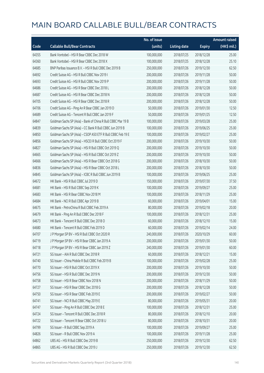|       |                                                              | No. of issue |                     |               | <b>Amount raised</b>  |
|-------|--------------------------------------------------------------|--------------|---------------------|---------------|-----------------------|
| Code  | <b>Callable Bull/Bear Contracts</b>                          | (units)      | <b>Listing date</b> | <b>Expiry</b> | $(HK\frac{1}{2}mil.)$ |
| 64355 | Bank Vontobel - HSI R Bear CBBC Dec 2018 W                   | 100,000,000  | 2018/07/25          | 2018/12/28    | 25.00                 |
| 64360 | Bank Vontobel - HSI R Bear CBBC Dec 2018 X                   | 100,000,000  | 2018/07/25          | 2018/12/28    | 25.10                 |
| 64685 | BNP Paribas Issuance B.V. - HSI R Bull CBBC Dec 2019 B       | 250,000,000  | 2018/07/26          | 2019/12/30    | 62.50                 |
| 64692 | Credit Suisse AG - HSI R Bull CBBC Nov 2019 I                | 200,000,000  | 2018/07/26          | 2019/11/28    | 50.00                 |
| 64693 | Credit Suisse AG - HSI R Bull CBBC Nov 2019 P                | 200,000,000  | 2018/07/26          | 2019/11/28    | 50.00                 |
| 64686 | Credit Suisse AG - HSI R Bear CBBC Dec 2018 L                | 200,000,000  | 2018/07/26          | 2018/12/28    | 50.00                 |
| 64687 | Credit Suisse AG - HSI R Bear CBBC Dec 2018 N                | 200,000,000  | 2018/07/26          | 2018/12/28    | 50.00                 |
| 64705 | Credit Suisse AG - HSI R Bear CBBC Dec 2018 R                | 200,000,000  | 2018/07/26          | 2018/12/28    | 50.00                 |
| 64706 | Credit Suisse AG - Ping An R Bear CBBC Jan 2019 D            | 50,000,000   | 2018/07/26          | 2019/01/30    | 12.50                 |
| 64689 | Credit Suisse AG - Tencent R Bull CBBC Jan 2019 F            | 50,000,000   | 2018/07/26          | 2019/01/25    | 12.50                 |
| 64847 | Goldman Sachs SP (Asia) - Bank of China R Bull CBBC Mar 19 B | 100,000,000  | 2018/07/26          | 2019/03/28    | 25.00                 |
| 64839 | Goldman Sachs SP (Asia) - CC Bank R Bull CBBC Jun 2019 B     | 100,000,000  | 2018/07/26          | 2019/06/25    | 25.00                 |
| 64850 | Goldman Sachs SP (Asia) - CSOP A50 ETF R Bull CBBC Feb 19 E  | 100,000,000  | 2018/07/26          | 2019/02/27    | 25.00                 |
| 64856 | Goldman Sachs SP (Asia) - HSCEI R Bull CBBC Oct 2019 F       | 200,000,000  | 2018/07/26          | 2019/10/30    | 50.00                 |
| 64827 | Goldman Sachs SP (Asia) - HSI R Bull CBBC Oct 2019 Q         | 200,000,000  | 2018/07/26          | 2019/10/30    | 50.00                 |
| 64665 | Goldman Sachs SP (Asia) - HSI R Bull CBBC Oct 2019 Z         | 200,000,000  | 2018/07/26          | 2019/10/30    | 50.00                 |
| 64666 | Goldman Sachs SP (Asia) - HSI R Bear CBBC Oct 2018 G         | 200,000,000  | 2018/07/26          | 2018/10/30    | 50.00                 |
| 64836 | Goldman Sachs SP (Asia) - HSI R Bear CBBC Oct 2018 L         | 200,000,000  | 2018/07/26          | 2018/10/30    | 50.00                 |
| 64845 | Goldman Sachs SP (Asia) - ICBC R Bull CBBC Jun 2019 B        | 100,000,000  | 2018/07/26          | 2019/06/25    | 25.00                 |
| 64672 | HK Bank - HSI R Bull CBBC Jul 2019 D                         | 150,000,000  | 2018/07/26          | 2019/07/30    | 37.50                 |
| 64681 | HK Bank - HSI R Bull CBBC Sep 2019 K                         | 100,000,000  | 2018/07/26          | 2019/09/27    | 25.00                 |
| 64683 | HK Bank - HSI R Bear CBBC Nov 2018 M                         | 100,000,000  | 2018/07/26          | 2018/11/29    | 25.00                 |
| 64684 | HK Bank - NCI R Bull CBBC Apr 2019 B                         | 60,000,000   | 2018/07/26          | 2019/04/01    | 15.00                 |
| 64675 | HK Bank - PetroChina R Bull CBBC Feb 2019 A                  | 80,000,000   | 2018/07/26          | 2019/02/18    | 20.00                 |
| 64679 | HK Bank - Ping An R Bull CBBC Dec 2018 F                     | 100,000,000  | 2018/07/26          | 2018/12/31    | 25.00                 |
| 64673 | HK Bank - Tencent R Bull CBBC Dec 2018 O                     | 60,000,000   | 2018/07/26          | 2018/12/10    | 15.00                 |
| 64680 | HK Bank - Tencent R Bull CBBC Feb 2019 D                     | 60,000,000   | 2018/07/26          | 2019/02/14    | 24.00                 |
| 64707 | J P Morgan SP BV - HSI R Bull CBBC Oct 2020 R                | 240,000,000  | 2018/07/26          | 2020/10/29    | 60.00                 |
| 64719 | J P Morgan SP BV - HSI R Bear CBBC Jan 2019 A                | 200,000,000  | 2018/07/26          | 2019/01/30    | 50.00                 |
| 64718 | J P Morgan SP BV - HSI R Bear CBBC Jan 2019 Z                | 240,000,000  | 2018/07/26          | 2019/01/30    | 60.00                 |
| 64721 | SG Issuer - AIA R Bull CBBC Dec 2018 R                       | 60,000,000   | 2018/07/26          | 2018/12/21    | 15.00                 |
| 64740 | SG Issuer - China Mobile R Bull CBBC Feb 2019 B              | 100,000,000  | 2018/07/26          | 2019/02/28    | 25.00                 |
| 64770 | SG Issuer - HSI R Bull CBBC Oct 2019 X                       | 200,000,000  | 2018/07/26          | 2019/10/30    | 50.00                 |
| 64756 | SG Issuer - HSI R Bull CBBC Dec 2019 N                       | 200,000,000  | 2018/07/26          | 2019/12/30    | 50.00                 |
| 64758 | SG Issuer - HSI R Bear CBBC Nov 2018 N                       | 200,000,000  | 2018/07/26          | 2018/11/29    | 50.00                 |
| 64727 | SG Issuer - HSI R Bear CBBC Dec 2018 G                       | 200,000,000  | 2018/07/26          | 2018/12/28    | 50.00                 |
| 64750 | SG Issuer - HSI R Bear CBBC Feb 2019 E                       | 200,000,000  | 2018/07/26          | 2019/02/27    | 50.00                 |
| 64741 | SG Issuer - NCI R Bull CBBC May 2019 E                       | 80,000,000   | 2018/07/26          | 2019/05/31    | 20.00                 |
| 64747 | SG Issuer - Ping An R Bull CBBC Dec 2018 E                   | 100,000,000  | 2018/07/26          | 2018/12/31    | 25.00                 |
| 64724 | SG Issuer - Tencent R Bull CBBC Dec 2018 R                   | 80,000,000   | 2018/07/26          | 2018/12/10    | 20.00                 |
| 64722 | SG Issuer - Tencent R Bear CBBC Oct 2018 U                   | 80,000,000   | 2018/07/26          | 2018/10/31    | 20.00                 |
| 64799 | SG Issuer - R Bull CBBC Sep 2019 A                           | 100,000,000  | 2018/07/26          | 2019/09/27    | 25.00                 |
| 64826 | SG Issuer - R Bull CBBC Nov 2019 A                           | 100,000,000  | 2018/07/26          | 2019/11/28    | 25.00                 |
| 64862 | UBS AG - HSI R Bull CBBC Dec 2019 B                          | 250,000,000  | 2018/07/26          | 2019/12/30    | 62.50                 |
| 64865 | UBS AG - HSI R Bull CBBC Dec 2019 J                          | 250,000,000  | 2018/07/26          | 2019/12/30    | 62.50                 |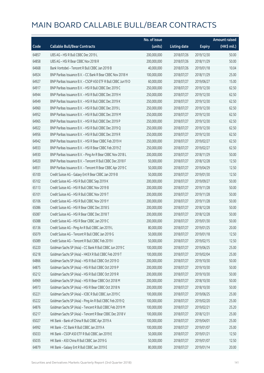|       |                                                              | No. of issue |                     |               | <b>Amount raised</b> |
|-------|--------------------------------------------------------------|--------------|---------------------|---------------|----------------------|
| Code  | <b>Callable Bull/Bear Contracts</b>                          | (units)      | <b>Listing date</b> | <b>Expiry</b> | (HK\$ mil.)          |
| 64857 | UBS AG - HSI R Bull CBBC Dec 2019 L                          | 200,000,000  | 2018/07/26          | 2019/12/30    | 50.00                |
| 64858 | UBS AG - HSI R Bear CBBC Nov 2018 R                          | 200,000,000  | 2018/07/26          | 2018/11/29    | 50.00                |
| 64668 | Bank Vontobel - Tencent R Bull CBBC Jan 2019 B               | 40,000,000   | 2018/07/26          | 2019/01/18    | 10.04                |
| 64924 | BNP Paribas Issuance B.V. - CC Bank R Bear CBBC Nov 2018 H   | 100,000,000  | 2018/07/27          | 2018/11/29    | 25.00                |
| 64927 | BNP Paribas Issuance B.V. - CSOP A50 ETF R Bull CBBC Jun19 D | 60,000,000   | 2018/07/27          | 2019/06/27    | 15.00                |
| 64917 | BNP Paribas Issuance B.V. - HSI R Bull CBBC Dec 2019 C       | 250,000,000  | 2018/07/27          | 2019/12/30    | 62.50                |
| 64944 | BNP Paribas Issuance B.V. - HSI R Bull CBBC Dec 2019 H       | 250,000,000  | 2018/07/27          | 2019/12/30    | 62.50                |
| 64949 | BNP Paribas Issuance B.V. - HSI R Bull CBBC Dec 2019 K       | 250,000,000  | 2018/07/27          | 2019/12/30    | 62.50                |
| 64960 | BNP Paribas Issuance B.V. - HSI R Bull CBBC Dec 2019 L       | 250,000,000  | 2018/07/27          | 2019/12/30    | 62.50                |
| 64952 | BNP Paribas Issuance B.V. - HSI R Bull CBBC Dec 2019 M       | 250,000,000  | 2018/07/27          | 2019/12/30    | 62.50                |
| 64965 | BNP Paribas Issuance B.V. - HSI R Bull CBBC Dec 2019 P       | 250,000,000  | 2018/07/27          | 2019/12/30    | 62.50                |
| 64922 | BNP Paribas Issuance B.V. - HSI R Bull CBBC Dec 2019 Q       | 250,000,000  | 2018/07/27          | 2019/12/30    | 62.50                |
| 64956 | BNP Paribas Issuance B.V. - HSI R Bull CBBC Dec 2019 R       | 250,000,000  | 2018/07/27          | 2019/12/30    | 62.50                |
| 64942 | BNP Paribas Issuance B.V. - HSI R Bear CBBC Feb 2019 H       | 250,000,000  | 2018/07/27          | 2019/02/27    | 62.50                |
| 64933 | BNP Paribas Issuance B.V. - HSI R Bear CBBC Feb 2019 Z       | 250,000,000  | 2018/07/27          | 2019/02/27    | 62.50                |
| 64930 | BNP Paribas Issuance B.V. - Ping An R Bear CBBC Nov 2018 L   | 200,000,000  | 2018/07/27          | 2018/11/29    | 50.00                |
| 64920 | BNP Paribas Issuance B.V. - Tencent R Bull CBBC Dec 2018 F   | 50,000,000   | 2018/07/27          | 2018/12/28    | 12.50                |
| 64931 | BNP Paribas Issuance B.V. - Tencent R Bear CBBC Apr 2019 C   | 50,000,000   | 2018/07/27          | 2019/04/29    | 12.50                |
| 65100 | Credit Suisse AG - Galaxy Ent R Bear CBBC Jan 2019 B         | 50,000,000   | 2018/07/27          | 2019/01/30    | 12.50                |
| 65102 | Credit Suisse AG - HSI R Bull CBBC Sep 2019 K                | 200,000,000  | 2018/07/27          | 2019/09/27    | 50.00                |
| 65113 | Credit Suisse AG - HSI R Bull CBBC Nov 2019 B                | 200,000,000  | 2018/07/27          | 2019/11/28    | 50.00                |
| 65101 | Credit Suisse AG - HSI R Bull CBBC Nov 2019 T                | 200,000,000  | 2018/07/27          | 2019/11/28    | 50.00                |
| 65106 | Credit Suisse AG - HSI R Bull CBBC Nov 2019 Y                | 200,000,000  | 2018/07/27          | 2019/11/28    | 50.00                |
| 65086 | Credit Suisse AG - HSI R Bear CBBC Dec 2018 S                | 200,000,000  | 2018/07/27          | 2018/12/28    | 50.00                |
| 65087 | Credit Suisse AG - HSI R Bear CBBC Dec 2018 T                | 200,000,000  | 2018/07/27          | 2018/12/28    | 50.00                |
| 65088 | Credit Suisse AG - HSI R Bear CBBC Jan 2019 C                | 200,000,000  | 2018/07/27          | 2019/01/30    | 50.00                |
| 65136 | Credit Suisse AG - Ping An R Bull CBBC Jan 2019 L            | 80,000,000   | 2018/07/27          | 2019/01/25    | 20.00                |
| 65079 | Credit Suisse AG - Tencent R Bull CBBC Jan 2019 G            | 50,000,000   | 2018/07/27          | 2019/01/18    | 12.50                |
| 65089 | Credit Suisse AG - Tencent R Bull CBBC Feb 2019 I            | 50,000,000   | 2018/07/27          | 2019/02/15    | 12.50                |
| 65220 | Goldman Sachs SP (Asia) – CC Bank R Bull CBBC Jun 2019 C     | 100,000,000  | 2018/07/27          | 2019/06/25    | 25.00                |
| 65218 | Goldman Sachs SP (Asia) - HKEX R Bull CBBC Feb 2019 T        | 100,000,000  | 2018/07/27          | 2019/02/04    | 25.00                |
| 64866 | Goldman Sachs SP (Asia) - HSI R Bull CBBC Oct 2019 O         | 200,000,000  | 2018/07/27          | 2019/10/30    | 50.00                |
| 64875 | Goldman Sachs SP (Asia) - HSI R Bull CBBC Oct 2019 P         | 200,000,000  | 2018/07/27          | 2019/10/30    | 50.00                |
| 65212 | Goldman Sachs SP (Asia) - HSI R Bull CBBC Oct 2019 R         | 200,000,000  | 2018/07/27          | 2019/10/30    | 50.00                |
| 64969 | Goldman Sachs SP (Asia) - HSI R Bear CBBC Oct 2018 M         | 200,000,000  | 2018/07/27          | 2018/10/30    | 50.00                |
| 64973 | Goldman Sachs SP (Asia) - HSI R Bear CBBC Oct 2018 N         | 200,000,000  | 2018/07/27          | 2018/10/30    | 50.00                |
| 65221 | Goldman Sachs SP (Asia) - ICBC R Bull CBBC Jun 2019 C        | 100,000,000  | 2018/07/27          | 2019/06/25    | 25.00                |
| 65222 | Goldman Sachs SP (Asia) - Ping An R Bull CBBC Feb 2019 Q     | 100,000,000  | 2018/07/27          | 2019/02/20    | 25.00                |
| 64876 | Goldman Sachs SP (Asia) - Tencent R Bull CBBC Feb 2019 M     | 100,000,000  | 2018/07/27          | 2019/02/21    | 25.20                |
| 65217 | Goldman Sachs SP (Asia) - Tencent R Bear CBBC Dec 2018 V     | 100,000,000  | 2018/07/27          | 2018/12/31    | 25.00                |
| 65027 | HK Bank - Bank of China R Bull CBBC Apr 2019 A               | 100,000,000  | 2018/07/27          | 2019/04/01    | 25.00                |
| 64992 | HK Bank - CC Bank R Bull CBBC Jan 2019 A                     | 100,000,000  | 2018/07/27          | 2019/01/07    | 25.00                |
| 65033 | HK Bank - CSOP A50 ETF R Bull CBBC Jan 2019 E                | 50,000,000   | 2018/07/27          | 2019/01/21    | 12.50                |
| 65035 | HK Bank - A50 China R Bull CBBC Jan 2019 G                   | 50,000,000   | 2018/07/27          | 2019/01/07    | 12.50                |
| 64879 | HK Bank - Galaxy Ent R Bull CBBC Jan 2019 E                  | 80,000,000   | 2018/07/27          | 2019/01/14    | 20.00                |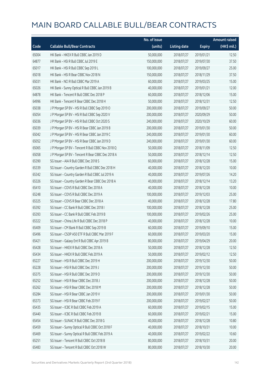|       |                                                   | No. of issue |                     |               | <b>Amount raised</b> |
|-------|---------------------------------------------------|--------------|---------------------|---------------|----------------------|
| Code  | <b>Callable Bull/Bear Contracts</b>               | (units)      | <b>Listing date</b> | <b>Expiry</b> | (HK\$ mil.)          |
| 65004 | HK Bank - HKEX R Bull CBBC Jan 2019 D             | 50,000,000   | 2018/07/27          | 2019/01/21    | 12.50                |
| 64877 | HK Bank - HSI R Bull CBBC Jul 2019 E              | 150,000,000  | 2018/07/27          | 2019/07/30    | 37.50                |
| 65017 | HK Bank - HSI R Bull CBBC Sep 2019 L              | 100,000,000  | 2018/07/27          | 2019/09/27    | 25.00                |
| 65018 | HK Bank - HSI R Bear CBBC Nov 2018 N              | 150,000,000  | 2018/07/27          | 2018/11/29    | 37.50                |
| 65031 | HK Bank - NCI R Bull CBBC Mar 2019 A              | 60,000,000   | 2018/07/27          | 2019/03/25    | 15.00                |
| 65026 | HK Bank - Sunny Optical R Bull CBBC Jan 2019 B    | 40,000,000   | 2018/07/27          | 2019/01/21    | 12.00                |
| 64878 | HK Bank - Tencent R Bull CBBC Dec 2018 P          | 60,000,000   | 2018/07/27          | 2018/12/06    | 15.00                |
| 64996 | HK Bank - Tencent R Bear CBBC Dec 2018 H          | 50,000,000   | 2018/07/27          | 2018/12/31    | 12.50                |
| 65038 | J P Morgan SP BV - HSI R Bull CBBC Sep 2019 O     | 200,000,000  | 2018/07/27          | 2019/09/27    | 50.00                |
| 65054 | J P Morgan SP BV - HSI R Bull CBBC Sep 2020 V     | 200,000,000  | 2018/07/27          | 2020/09/29    | 50.00                |
| 65036 | J P Morgan SP BV - HSI R Bull CBBC Oct 2020 S     | 240,000,000  | 2018/07/27          | 2020/10/29    | 60.00                |
| 65039 | J P Morgan SP BV - HSI R Bear CBBC Jan 2019 B     | 200,000,000  | 2018/07/27          | 2019/01/30    | 50.00                |
| 65042 | J P Morgan SP BV - HSI R Bear CBBC Jan 2019 C     | 240,000,000  | 2018/07/27          | 2019/01/30    | 60.00                |
| 65052 | J P Morgan SP BV - HSI R Bear CBBC Jan 2019 D     | 240,000,000  | 2018/07/27          | 2019/01/30    | 60.00                |
| 65065 | J P Morgan SP BV - Tencent R Bull CBBC Nov 2018 Q | 50,000,000   | 2018/07/27          | 2018/11/09    | 12.50                |
| 65058 | J P Morgan SP BV - Tencent R Bear CBBC Dec 2018 A | 50,000,000   | 2018/07/27          | 2018/12/14    | 12.50                |
| 65390 | SG Issuer - AIA R Bull CBBC Dec 2018 S            | 60,000,000   | 2018/07/27          | 2018/12/28    | 15.00                |
| 65339 | SG Issuer - Country Garden R Bull CBBC Dec 2018 H | 40,000,000   | 2018/07/27          | 2018/12/20    | 10.00                |
| 65342 | SG Issuer - Country Garden R Bull CBBC Jul 2019 A | 40,000,000   | 2018/07/27          | 2019/07/26    | 14.20                |
| 65326 | SG Issuer - Country Garden R Bear CBBC Dec 2018 A | 40,000,000   | 2018/07/27          | 2018/12/14    | 13.20                |
| 65410 | SG Issuer - COVS R Bull CBBC Dec 2018 A           | 40,000,000   | 2018/07/27          | 2018/12/28    | 10.00                |
| 65248 | SG Issuer - COVS R Bull CBBC Dec 2019 A           | 100,000,000  | 2018/07/27          | 2019/12/03    | 25.00                |
| 65325 | SG Issuer - COVS R Bear CBBC Dec 2018 A           | 40,000,000   | 2018/07/27          | 2018/12/28    | 17.80                |
| 65392 | SG Issuer - CC Bank R Bull CBBC Dec 2018 I        | 100,000,000  | 2018/07/27          | 2018/12/28    | 25.00                |
| 65393 | SG Issuer - CC Bank R Bull CBBC Feb 2019 B        | 100,000,000  | 2018/07/27          | 2019/02/26    | 25.00                |
| 65322 | SG Issuer - China Life R Bull CBBC Dec 2018 P     | 40,000,000   | 2018/07/27          | 2018/12/28    | 10.00                |
| 65409 | SG Issuer - CM Bank R Bull CBBC Sep 2019 B        | 60,000,000   | 2018/07/27          | 2019/09/10    | 15.00                |
| 65496 | SG Issuer - CSOP A50 ETF R Bull CBBC Mar 2019 F   | 60,000,000   | 2018/07/27          | 2019/03/20    | 15.00                |
| 65421 | SG Issuer - Galaxy Ent R Bull CBBC Apr 2019 B     | 80,000,000   | 2018/07/27          | 2019/04/29    | 20.00                |
| 65428 | SG Issuer - HKEX R Bull CBBC Dec 2018 A           | 50,000,000   | 2018/07/27          | 2018/12/28    | 12.50                |
| 65434 | SG Issuer - HKEX R Bull CBBC Feb 2019 A           | 50,000,000   | 2018/07/27          | 2019/02/12    | 12.50                |
| 65227 | SG Issuer - HSI R Bull CBBC Dec 2019 H            | 200,000,000  | 2018/07/27          | 2019/12/30    | 50.00                |
| 65228 | SG Issuer - HSI R Bull CBBC Dec 2019 J            | 200,000,000  | 2018/07/27          | 2019/12/30    | 50.00                |
| 65375 | SG Issuer - HSI R Bull CBBC Dec 2019 O            | 200,000,000  | 2018/07/27          | 2019/12/30    | 50.00                |
| 65252 | SG Issuer - HSI R Bear CBBC Dec 2018 J            | 200,000,000  | 2018/07/27          | 2018/12/28    | 50.00                |
| 65262 | SG Issuer - HSI R Bear CBBC Dec 2018 M            | 200,000,000  | 2018/07/27          | 2018/12/28    | 50.00                |
| 65284 | SG Issuer - HSI R Bear CBBC Jan 2019 V            | 200,000,000  | 2018/07/27          | 2019/01/30    | 50.00                |
| 65373 | SG Issuer - HSI R Bear CBBC Feb 2019 F            | 200,000,000  | 2018/07/27          | 2019/02/27    | 50.00                |
| 65435 | SG Issuer - ICBC R Bull CBBC Feb 2019 A           | 60,000,000   | 2018/07/27          | 2019/02/15    | 15.00                |
| 65440 | SG Issuer - ICBC R Bull CBBC Feb 2019 B           | 60,000,000   | 2018/07/27          | 2019/02/21    | 15.00                |
| 65454 | SG Issuer - SUNAC R Bull CBBC Dec 2018 G          | 40,000,000   | 2018/07/27          | 2018/12/28    | 10.80                |
| 65459 | SG Issuer - Sunny Optical R Bull CBBC Oct 2018 F  | 40,000,000   | 2018/07/27          | 2018/10/31    | 10.00                |
| 65469 | SG Issuer - Sunny Optical R Bull CBBC Feb 2019 A  | 40,000,000   | 2018/07/27          | 2019/02/22    | 10.60                |
| 65251 | SG Issuer - Tencent R Bull CBBC Oct 2018 B        | 80,000,000   | 2018/07/27          | 2018/10/31    | 20.00                |
| 65483 | SG Issuer - Tencent R Bull CBBC Oct 2018 W        | 80,000,000   | 2018/07/27          | 2018/10/30    | 20.00                |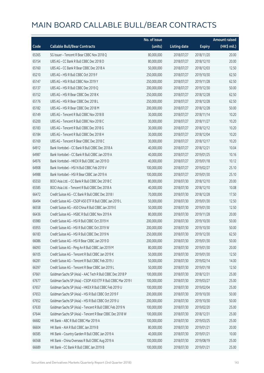|       |                                                               | No. of issue |                     |               | <b>Amount raised</b> |
|-------|---------------------------------------------------------------|--------------|---------------------|---------------|----------------------|
| Code  | <b>Callable Bull/Bear Contracts</b>                           | (units)      | <b>Listing date</b> | <b>Expiry</b> | (HK\$ mil.)          |
| 65365 | SG Issuer - Tencent R Bear CBBC Nov 2018 Q                    | 80,000,000   | 2018/07/27          | 2018/11/20    | 20.00                |
| 65154 | UBS AG - CC Bank R Bull CBBC Dec 2018 D                       | 80,000,000   | 2018/07/27          | 2018/12/10    | 20.00                |
| 65160 | UBS AG - CC Bank R Bear CBBC Dec 2018 A                       | 50,000,000   | 2018/07/27          | 2018/12/03    | 12.50                |
| 65210 | UBS AG - HSI R Bull CBBC Oct 2019 F                           | 250,000,000  | 2018/07/27          | 2019/10/30    | 62.50                |
| 65147 | UBS AG - HSI R Bull CBBC Nov 2019 Y                           | 250,000,000  | 2018/07/27          | 2019/11/28    | 62.50                |
| 65137 | UBS AG - HSI R Bull CBBC Dec 2019 Q                           | 200,000,000  | 2018/07/27          | 2019/12/30    | 50.00                |
| 65152 | UBS AG - HSI R Bear CBBC Dec 2018 K                           | 250,000,000  | 2018/07/27          | 2018/12/28    | 62.50                |
| 65176 | UBS AG - HSI R Bear CBBC Dec 2018 L                           | 250,000,000  | 2018/07/27          | 2018/12/28    | 62.50                |
| 65182 | UBS AG - HSI R Bear CBBC Dec 2018 M                           | 200,000,000  | 2018/07/27          | 2018/12/28    | 50.00                |
| 65149 | UBS AG - Tencent R Bull CBBC Nov 2018 B                       | 30,000,000   | 2018/07/27          | 2018/11/14    | 10.20                |
| 65200 | UBS AG - Tencent R Bull CBBC Nov 2018 C                       | 30,000,000   | 2018/07/27          | 2018/11/27    | 10.20                |
| 65183 | UBS AG - Tencent R Bull CBBC Dec 2018 G                       | 30,000,000   | 2018/07/27          | 2018/12/12    | 10.20                |
| 65184 | UBS AG - Tencent R Bull CBBC Dec 2018 H                       | 30,000,000   | 2018/07/27          | 2018/12/04    | 10.20                |
| 65169 | UBS AG - Tencent R Bear CBBC Dec 2018 C                       | 30,000,000   | 2018/07/27          | 2018/12/17    | 10.20                |
| 64912 | Bank Vontobel - CC Bank R Bull CBBC Dec 2018 A                | 40,000,000   | 2018/07/27          | 2018/12/21    | 10.04                |
| 64987 | Bank Vontobel - CC Bank R Bull CBBC Jan 2019 A                | 40,000,000   | 2018/07/27          | 2019/01/25    | 10.16                |
| 64976 | Bank Vontobel - HKEX R Bull CBBC Jan 2019 D                   | 40,000,000   | 2018/07/27          | 2019/01/18    | 10.12                |
| 64908 | Bank Vontobel - HSI N Bull CBBC Feb 2019 V                    | 100,000,000  | 2018/07/27          | 2019/02/27    | 25.10                |
| 64988 | Bank Vontobel - HSI R Bear CBBC Jan 2019 A                    | 100,000,000  | 2018/07/27          | 2019/01/30    | 25.10                |
| 65550 | BOCI Asia Ltd. - CC Bank R Bull CBBC Dec 2018 C               | 80,000,000   | 2018/07/30          | 2018/12/10    | 20.00                |
| 65585 | BOCI Asia Ltd. - Tencent R Bull CBBC Dec 2018 A               | 40,000,000   | 2018/07/30          | 2018/12/10    | 10.08                |
| 66472 | Credit Suisse AG - CC Bank R Bull CBBC Dec 2018 I             | 70,000,000   | 2018/07/30          | 2018/12/28    | 17.50                |
| 66494 | Credit Suisse AG - CSOP A50 ETF R Bull CBBC Jan 2019 L        | 50,000,000   | 2018/07/30          | 2019/01/30    | 12.50                |
| 66558 | Credit Suisse AG - A50 China R Bull CBBC Jan 2019 E           | 50,000,000   | 2018/07/30          | 2019/01/30    | 12.50                |
| 66436 | Credit Suisse AG - HSBC R Bull CBBC Nov 2019 A                | 80,000,000   | 2018/07/30          | 2019/11/28    | 20.00                |
| 65980 | Credit Suisse AG - HSI R Bull CBBC Oct 2019 H                 | 200,000,000  | 2018/07/30          | 2019/10/30    | 50.00                |
| 65955 | Credit Suisse AG - HSI R Bull CBBC Oct 2019 W                 | 200,000,000  | 2018/07/30          | 2019/10/30    | 50.00                |
| 66183 | Credit Suisse AG - HSI R Bull CBBC Dec 2019 N                 | 250,000,000  | 2018/07/30          | 2019/12/30    | 62.50                |
| 66086 | Credit Suisse AG - HSI R Bear CBBC Jan 2019 D                 | 200,000,000  | 2018/07/30          | 2019/01/30    | 50.00                |
| 66093 | Credit Suisse AG - Ping An R Bull CBBC Jan 2019 M             | 80,000,000   | 2018/07/30          | 2019/01/30    | 20.00                |
| 66105 | Credit Suisse AG - Tencent R Bull CBBC Jan 2019 K             | 50,000,000   | 2018/07/30          | 2019/01/30    | 12.50                |
| 66281 | Credit Suisse AG - Tencent R Bull CBBC Feb 2019 J             | 50,000,000   | 2018/07/30          | 2019/02/14    | 14.00                |
| 66397 | Credit Suisse AG - Tencent R Bear CBBC Jan 2019 L             | 50,000,000   | 2018/07/30          | 2019/01/18    | 12.50                |
| 67661 | Goldman Sachs SP (Asia) - AAC Tech R Bull CBBC Dec 2018 P     | 100,000,000  | 2018/07/30          | 2018/12/31    | 25.00                |
| 67677 | Goldman Sachs SP (Asia) - CSOP A50 ETF R Bull CBBC Mar 2019 I | 100,000,000  | 2018/07/30          | 2019/03/27    | 25.00                |
| 67657 | Goldman Sachs SP (Asia) - HKEX R Bull CBBC Feb 2019 U         | 100,000,000  | 2018/07/30          | 2019/02/04    | 25.00                |
| 67653 | Goldman Sachs SP (Asia) - HSI R Bull CBBC Oct 2019 F          | 200,000,000  | 2018/07/30          | 2019/10/30    | 50.00                |
| 67652 | Goldman Sachs SP (Asia) - HSI R Bull CBBC Oct 2019 U          | 200,000,000  | 2018/07/30          | 2019/10/30    | 50.00                |
| 67630 | Goldman Sachs SP (Asia) - Tencent R Bull CBBC Feb 2019 N      | 100,000,000  | 2018/07/30          | 2019/02/20    | 25.00                |
| 67644 | Goldman Sachs SP (Asia) - Tencent R Bear CBBC Dec 2018 W      | 100,000,000  | 2018/07/30          | 2018/12/31    | 25.00                |
| 66682 | HK Bank - ABC R Bull CBBC Mar 2019 A                          | 100,000,000  | 2018/07/30          | 2019/03/25    | 25.00                |
| 66604 | HK Bank - AIA R Bull CBBC Jan 2019 B                          | 80,000,000   | 2018/07/30          | 2019/01/21    | 20.00                |
| 66585 | HK Bank - Country Garden R Bull CBBC Jan 2019 A               | 40,000,000   | 2018/07/30          | 2019/01/21    | 10.00                |
| 66568 | HK Bank - China Overseas R Bull CBBC Aug 2019 A               | 100,000,000  | 2018/07/30          | 2019/08/19    | 25.00                |
| 66689 | HK Bank - CC Bank R Bull CBBC Jan 2019 B                      | 100,000,000  | 2018/07/30          | 2019/01/21    | 25.00                |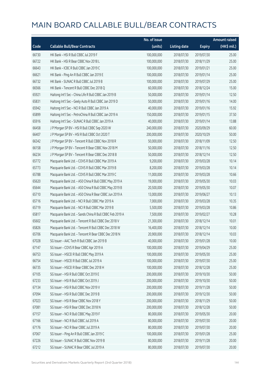|       |                                                          | No. of issue |                     |               | <b>Amount raised</b> |
|-------|----------------------------------------------------------|--------------|---------------------|---------------|----------------------|
| Code  | <b>Callable Bull/Bear Contracts</b>                      | (units)      | <b>Listing date</b> | <b>Expiry</b> | (HK\$ mil.)          |
| 66730 | HK Bank - HSI R Bull CBBC Jul 2019 F                     | 100,000,000  | 2018/07/30          | 2019/07/30    | 25.00                |
| 66722 | HK Bank - HSI R Bear CBBC Nov 2018 L                     | 100,000,000  | 2018/07/30          | 2018/11/29    | 25.00                |
| 66643 | HK Bank - ICBC R Bull CBBC Jan 2019 C                    | 100,000,000  | 2018/07/30          | 2019/01/21    | 25.00                |
| 66621 | HK Bank - Ping An R Bull CBBC Jan 2019 E                 | 100,000,000  | 2018/07/30          | 2019/01/14    | 25.00                |
| 66732 | HK Bank - SUNAC R Bull CBBC Jul 2019 B                   | 100,000,000  | 2018/07/30          | 2019/07/29    | 25.00                |
| 66566 | HK Bank - Tencent R Bull CBBC Dec 2018 Q                 | 60,000,000   | 2018/07/30          | 2018/12/24    | 15.00                |
| 65921 | Haitong Int'l Sec - China Life R Bull CBBC Jan 2019 B    | 50,000,000   | 2018/07/30          | 2019/01/14    | 12.50                |
| 65831 | Haitong Int'l Sec - Geely Auto R Bull CBBC Jan 2019 D    | 50,000,000   | 2018/07/30          | 2019/01/16    | 14.00                |
| 65942 | Haitong Int'l Sec - NCI R Bull CBBC Jan 2019 A           | 40,000,000   | 2018/07/30          | 2019/01/16    | 15.92                |
| 65899 | Haitong Int'l Sec - PetroChina R Bull CBBC Jan 2019 A    | 150,000,000  | 2018/07/30          | 2019/01/15    | 37.50                |
| 65916 | Haitong Int'l Sec - SUNAC R Bull CBBC Jan 2019 A         | 40,000,000   | 2018/07/30          | 2019/01/14    | 13.88                |
| 66458 | J P Morgan SP BV - HSI R Bull CBBC Sep 2020 W            | 240,000,000  | 2018/07/30          | 2020/09/29    | 60.00                |
| 66407 | J P Morgan SP BV - HSI R Bull CBBC Oct 2020 T            | 200,000,000  | 2018/07/30          | 2020/10/29    | 50.00                |
| 66342 | J P Morgan SP BV - Tencent R Bull CBBC Nov 2018 R        | 50,000,000   | 2018/07/30          | 2018/11/09    | 12.50                |
| 66158 | J P Morgan SP BV - Tencent R Bear CBBC Nov 2018 M        | 50,000,000   | 2018/07/30          | 2018/11/16    | 12.50                |
| 66234 | J P Morgan SP BV - Tencent R Bear CBBC Dec 2018 B        | 50,000,000   | 2018/07/30          | 2018/12/14    | 12.50                |
| 65772 | Macquarie Bank Ltd. - COVS R Bull CBBC Mar 2019 A        | 9,200,000    | 2018/07/30          | 2019/03/28    | 10.14                |
| 65773 | Macquarie Bank Ltd. - COVS R Bull CBBC Mar 2019 B        | 8,200,000    | 2018/07/30          | 2019/03/28    | 10.14                |
| 65788 | Macquarie Bank Ltd. - COVS R Bull CBBC Mar 2019 C        | 11,000,000   | 2018/07/30          | 2019/03/28    | 10.66                |
| 65620 | Macquarie Bank Ltd. - A50 China R Bull CBBC May 2019 A   | 19,000,000   | 2018/07/30          | 2019/05/30    | 10.03                |
| 65644 | Macquarie Bank Ltd. - A50 China R Bull CBBC May 2019 B   | 20,500,000   | 2018/07/30          | 2019/05/30    | 10.07                |
| 65710 | Macquarie Bank Ltd. - A50 China R Bear CBBC Jun 2019 A   | 13,000,000   | 2018/07/30          | 2019/06/27    | 10.13                |
| 65716 | Macquarie Bank Ltd. - NCI R Bull CBBC Mar 2019 A         | 7,000,000    | 2018/07/30          | 2019/03/28    | 10.35                |
| 65719 | Macquarie Bank Ltd. - NCI R Bull CBBC Mar 2019 B         | 5,500,000    | 2018/07/30          | 2019/03/28    | 10.86                |
| 65817 | Macquarie Bank Ltd. - Sands China R Bull CBBC Feb 2019 A | 7,500,000    | 2018/07/30          | 2019/02/27    | 10.28                |
| 65602 | Macquarie Bank Ltd. - Tencent R Bull CBBC Dec 2018 V     | 21,300,000   | 2018/07/30          | 2018/12/14    | 10.01                |
| 65826 | Macquarie Bank Ltd. - Tencent R Bull CBBC Dec 2018 W     | 16,400,000   | 2018/07/30          | 2018/12/14    | 10.00                |
| 65706 | Macquarie Bank Ltd. - Tencent R Bear CBBC Dec 2018 N     | 20,900,000   | 2018/07/30          | 2018/12/14    | 10.03                |
| 67028 | SG Issuer - AAC Tech R Bull CBBC Jan 2019 B              | 40,000,000   | 2018/07/30          | 2019/01/28    | 10.00                |
| 67147 | SG Issuer - COVS R Bear CBBC Apr 2019 A                  | 100,000,000  | 2018/07/30          | 2019/04/29    | 25.00                |
| 66753 | SG Issuer - HSCEI R Bull CBBC May 2019 A                 | 100,000,000  | 2018/07/30          | 2019/05/30    | 25.00                |
| 66754 | SG Issuer - HSCEI R Bull CBBC Jul 2019 A                 | 100,000,000  | 2018/07/30          | 2019/07/30    | 25.00                |
| 66735 | SG Issuer - HSCEI R Bear CBBC Dec 2018 H                 | 100,000,000  | 2018/07/30          | 2018/12/28    | 25.00                |
| 67105 | SG Issuer - HSI R Bull CBBC Oct 2019 E                   | 200,000,000  | 2018/07/30          | 2019/10/30    | 50.00                |
| 67233 | SG Issuer - HSI R Bull CBBC Oct 2019 J                   | 200,000,000  | 2018/07/30          | 2019/10/30    | 50.00                |
| 67134 | SG Issuer - HSI R Bull CBBC Nov 2019 V                   | 200,000,000  | 2018/07/30          | 2019/11/28    | 50.00                |
| 67094 | SG Issuer - HSI R Bull CBBC Dec 2019 B                   | 200,000,000  | 2018/07/30          | 2019/12/30    | 50.00                |
| 67023 | SG Issuer - HSI R Bear CBBC Nov 2018 Y                   | 200,000,000  | 2018/07/30          | 2018/11/29    | 50.00                |
| 67081 | SG Issuer - HSI R Bear CBBC Dec 2018 N                   | 200,000,000  | 2018/07/30          | 2018/12/28    | 50.00                |
| 67157 | SG Issuer - NCI R Bull CBBC May 2019 F                   | 80,000,000   | 2018/07/30          | 2019/05/30    | 20.00                |
| 67166 | SG Issuer - NCI R Bull CBBC Jul 2019 A                   | 80,000,000   | 2018/07/30          | 2019/07/30    | 20.00                |
| 67176 | SG Issuer - NCI R Bear CBBC Jul 2019 A                   | 80,000,000   | 2018/07/30          | 2019/07/30    | 20.00                |
| 67067 | SG Issuer - Ping An R Bull CBBC Jan 2019 C               | 100,000,000  | 2018/07/30          | 2019/01/28    | 25.00                |
| 67226 | SG Issuer - SUNAC R Bull CBBC Nov 2019 B                 | 80,000,000   | 2018/07/30          | 2019/11/28    | 20.00                |
| 67212 | SG Issuer - SUNAC R Bear CBBC Jul 2019 A                 | 80,000,000   | 2018/07/30          | 2019/07/30    | 20.00                |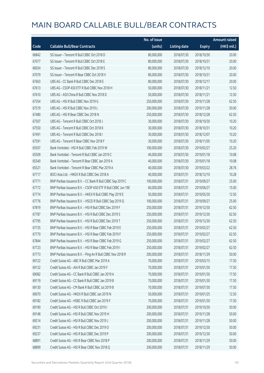|       |                                                              | No. of issue |                     |               | <b>Amount raised</b> |
|-------|--------------------------------------------------------------|--------------|---------------------|---------------|----------------------|
| Code  | <b>Callable Bull/Bear Contracts</b>                          | (units)      | <b>Listing date</b> | <b>Expiry</b> | (HK\$ mil.)          |
| 66842 | SG Issuer - Tencent R Bull CBBC Oct 2018 D                   | 80,000,000   | 2018/07/30          | 2018/10/30    | 20.00                |
| 67077 | SG Issuer - Tencent R Bull CBBC Oct 2018 E                   | 80,000,000   | 2018/07/30          | 2018/10/31    | 20.00                |
| 66924 | SG Issuer - Tencent R Bull CBBC Dec 2018 S                   | 80,000,000   | 2018/07/30          | 2018/12/10    | 20.00                |
| 67079 | SG Issuer - Tencent R Bear CBBC Oct 2018 V                   | 80,000,000   | 2018/07/30          | 2018/10/31    | 20.00                |
| 67603 | UBS AG - CC Bank R Bull CBBC Dec 2018 E                      | 80,000,000   | 2018/07/30          | 2018/12/17    | 20.00                |
| 67613 | UBS AG - CSOP A50 ETF R Bull CBBC Nov 2018 H                 | 50,000,000   | 2018/07/30          | 2018/11/21    | 12.50                |
| 67610 | UBS AG - A50 China R Bull CBBC Nov 2018 D                    | 50,000,000   | 2018/07/30          | 2018/11/21    | 12.50                |
| 67354 | UBS AG - HSI R Bull CBBC Nov 2019 G                          | 250,000,000  | 2018/07/30          | 2019/11/28    | 62.50                |
| 67519 | UBS AG - HSI R Bull CBBC Nov 2019 L                          | 200,000,000  | 2018/07/30          | 2019/11/28    | 50.00                |
| 67480 | UBS AG - HSI R Bear CBBC Dec 2018 N                          | 250,000,000  | 2018/07/30          | 2018/12/28    | 62.50                |
| 67507 | UBS AG - Tencent R Bull CBBC Oct 2018 J                      | 30,000,000   | 2018/07/30          | 2018/10/30    | 10.20                |
| 67550 | UBS AG - Tencent R Bull CBBC Oct 2018 K                      | 30,000,000   | 2018/07/30          | 2018/10/31    | 10.20                |
| 67491 | UBS AG - Tencent R Bull CBBC Dec 2018                        | 30,000,000   | 2018/07/30          | 2018/12/07    | 10.20                |
| 67591 | UBS AG - Tencent R Bear CBBC Nov 2018 F                      | 30,000,000   | 2018/07/30          | 2018/11/05    | 10.20                |
| 65507 | Bank Vontobel - HSI R Bull CBBC Feb 2019 W                   | 100,000,000  | 2018/07/30          | 2019/02/27    | 25.20                |
| 65509 | Bank Vontobel - Tencent R Bull CBBC Jan 2019 C               | 40,000,000   | 2018/07/30          | 2019/01/18    | 10.08                |
| 65540 | Bank Vontobel - Tencent R Bear CBBC Jan 2019 A               | 40,000,000   | 2018/07/30          | 2019/01/18    | 10.08                |
| 65521 | Bank Vontobel - Tencent R Bear CBBC Mar 2019 A               | 40,000,000   | 2018/07/30          | 2019/03/22    | 28.76                |
| 67717 | BOCI Asia Ltd. - HKEX R Bull CBBC Dec 2018 A                 | 40,000,000   | 2018/07/31          | 2018/12/10    | 10.28                |
| 67771 | BNP Paribas Issuance B.V. - CC Bank R Bull CBBC Sep 2019 C   | 100,000,000  | 2018/07/31          | 2019/09/27    | 25.00                |
| 67772 | BNP Paribas Issuance B.V. - CSOP A50 ETF R Bull CBBC Jun 19E | 60,000,000   | 2018/07/31          | 2019/06/27    | 15.00                |
| 67774 | BNP Paribas Issuance B.V. - HKEX R Bull CBBC May 2019 E      | 50,000,000   | 2018/07/31          | 2019/05/30    | 12.50                |
| 67776 | BNP Paribas Issuance B.V. - HSCEI R Bull CBBC Sep 2019 Q     | 100,000,000  | 2018/07/31          | 2019/09/27    | 25.00                |
| 67819 | BNP Paribas Issuance B.V. - HSI R Bull CBBC Dec 2019 F       | 250,000,000  | 2018/07/31          | 2019/12/30    | 62.50                |
| 67787 | BNP Paribas Issuance B.V. - HSI R Bull CBBC Dec 2019 S       | 250,000,000  | 2018/07/31          | 2019/12/30    | 62.50                |
| 67795 | BNP Paribas Issuance B.V. - HSI R Bull CBBC Dec 2019 T       | 250,000,000  | 2018/07/31          | 2019/12/30    | 62.50                |
| 67735 | BNP Paribas Issuance B.V. - HSI R Bear CBBC Feb 2019 E       | 250,000,000  | 2018/07/31          | 2019/02/27    | 62.50                |
| 67770 | BNP Paribas Issuance B V - HSLR Bear CBBC Feb 2019 F         | 250,000,000  | 2018/07/31          | 2019/02/27    | 62.50                |
| 67844 | BNP Paribas Issuance B.V. - HSI R Bear CBBC Feb 2019 G       | 250,000,000  | 2018/07/31          | 2019/02/27    | 62.50                |
| 67723 | BNP Paribas Issuance B.V. - HSI R Bear CBBC Feb 2019 I       | 250,000,000  | 2018/07/31          | 2019/02/27    | 62.50                |
| 67773 | BNP Paribas Issuance B.V. - Ping An R Bull CBBC Nov 2018 R   | 200,000,000  | 2018/07/31          | 2018/11/29    | 50.00                |
| 69122 | Credit Suisse AG - ABC R Bull CBBC Mar 2019 A                | 70,000,000   | 2018/07/31          | 2019/03/15    | 17.50                |
| 69132 | Credit Suisse AG - AIA R Bull CBBC Jan 2019 F                | 70,000,000   | 2018/07/31          | 2019/01/30    | 17.50                |
| 69082 | Credit Suisse AG - CC Bank R Bull CBBC Jan 2019 A            | 70,000,000   | 2018/07/31          | 2019/01/30    | 17.50                |
| 69119 | Credit Suisse AG - CC Bank R Bull CBBC Jan 2019 B            | 70,000,000   | 2018/07/31          | 2019/01/30    | 17.50                |
| 69130 | Credit Suisse AG - CM Bank R Bull CBBC Jul 2019 B            | 70,000,000   | 2018/07/31          | 2019/07/30    | 17.50                |
| 69070 | Credit Suisse AG - HKEX R Bull CBBC Jan 2019 N               | 50,000,000   | 2018/07/31          | 2019/01/25    | 12.50                |
| 69182 | Credit Suisse AG - HSBC R Bull CBBC Jan 2019 F               | 70,000,000   | 2018/07/31          | 2019/01/30    | 17.50                |
| 69190 | Credit Suisse AG - HSI R Bull CBBC Oct 2019 I                | 200,000,000  | 2018/07/31          | 2019/10/30    | 50.00                |
| 69148 | Credit Suisse AG - HSI R Bull CBBC Nov 2019 H                | 200,000,000  | 2018/07/31          | 2019/11/28    | 50.00                |
| 69214 | Credit Suisse AG - HSI R Bull CBBC Nov 2019 J                | 200,000,000  | 2018/07/31          | 2019/11/28    | 50.00                |
| 69231 | Credit Suisse AG - HSI R Bull CBBC Dec 2019 O                | 200,000,000  | 2018/07/31          | 2019/12/30    | 50.00                |
| 69237 | Credit Suisse AG - HSI R Bull CBBC Dec 2019 P                | 200,000,000  | 2018/07/31          | 2019/12/30    | 50.00                |
| 68891 | Credit Suisse AG - HSI R Bear CBBC Nov 2018 P                | 200,000,000  | 2018/07/31          | 2018/11/29    | 50.00                |
| 68899 | Credit Suisse AG - HSI R Bear CBBC Nov 2018 Q                | 200,000,000  | 2018/07/31          | 2018/11/29    | 50.00                |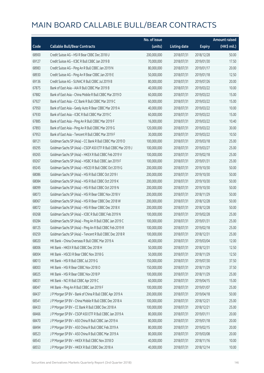|       |                                                               | No. of issue |                     |               | <b>Amount raised</b> |
|-------|---------------------------------------------------------------|--------------|---------------------|---------------|----------------------|
| Code  | <b>Callable Bull/Bear Contracts</b>                           | (units)      | <b>Listing date</b> | <b>Expiry</b> | (HK\$ mil.)          |
| 68900 | Credit Suisse AG - HSI R Bear CBBC Dec 2018 U                 | 200,000,000  | 2018/07/31          | 2018/12/28    | 50.00                |
| 69127 | Credit Suisse AG - ICBC R Bull CBBC Jan 2019 B                | 70,000,000   | 2018/07/31          | 2019/01/30    | 17.50                |
| 68983 | Credit Suisse AG - Ping An R Bull CBBC Jan 2019 N             | 80,000,000   | 2018/07/31          | 2019/01/17    | 20.00                |
| 68930 | Credit Suisse AG - Ping An R Bear CBBC Jan 2019 E             | 50,000,000   | 2018/07/31          | 2019/01/18    | 12.50                |
| 69136 | Credit Suisse AG - SUNAC R Bull CBBC Jul 2019 B               | 80,000,000   | 2018/07/31          | 2019/07/26    | 20.00                |
| 67875 | Bank of East Asia - AIA R Bull CBBC Mar 2019 B                | 40,000,000   | 2018/07/31          | 2019/03/22    | 10.00                |
| 67882 | Bank of East Asia - China Mobile R Bull CBBC Mar 2019 D       | 60,000,000   | 2018/07/31          | 2019/03/22    | 15.00                |
| 67927 | Bank of East Asia - CC Bank R Bull CBBC Mar 2019 C            | 60,000,000   | 2018/07/31          | 2019/03/22    | 15.00                |
| 67950 | Bank of East Asia - Geely Auto R Bear CBBC Mar 2019 A         | 40,000,000   | 2018/07/31          | 2019/03/22    | 10.00                |
| 67930 | Bank of East Asia - ICBC R Bull CBBC Mar 2019 C               | 60,000,000   | 2018/07/31          | 2019/03/22    | 15.00                |
| 67885 | Bank of East Asia - Ping An R Bull CBBC Mar 2019 F            | 16,000,000   | 2018/07/31          | 2019/03/22    | 10.40                |
| 67893 | Bank of East Asia - Ping An R Bull CBBC Mar 2019 G            | 120,000,000  | 2018/07/31          | 2019/03/22    | 30.00                |
| 67953 | Bank of East Asia - Tencent R Bull CBBC Mar 2019 F            | 30,000,000   | 2018/07/31          | 2019/03/22    | 10.50                |
| 68121 | Goldman Sachs SP (Asia) - CC Bank R Bull CBBC Mar 2019 D      | 100,000,000  | 2018/07/31          | 2019/03/18    | 25.00                |
| 69295 | Goldman Sachs SP (Asia) - CSOP A50 ETF R Bull CBBC Mar 2019 J | 100,000,000  | 2018/07/31          | 2019/03/27    | 25.00                |
| 69265 | Goldman Sachs SP (Asia) - HKEX R Bull CBBC Feb 2019 V         | 100,000,000  | 2018/07/31          | 2019/02/18    | 25.00                |
| 69267 | Goldman Sachs SP (Asia) - HSBC R Bull CBBC Jan 2019 F         | 100,000,000  | 2018/07/31          | 2019/01/31    | 25.00                |
| 69245 | Goldman Sachs SP (Asia) - HSCEI R Bull CBBC Oct 2019 G        | 200,000,000  | 2018/07/31          | 2019/10/30    | 50.00                |
| 68086 | Goldman Sachs SP (Asia) - HSI R Bull CBBC Oct 2019 I          | 200,000,000  | 2018/07/31          | 2019/10/30    | 50.00                |
| 68084 | Goldman Sachs SP (Asia) - HSI R Bull CBBC Oct 2019 K          | 200,000,000  | 2018/07/31          | 2019/10/30    | 50.00                |
| 68099 | Goldman Sachs SP (Asia) - HSI R Bull CBBC Oct 2019 N          | 200,000,000  | 2018/07/31          | 2019/10/30    | 50.00                |
| 68073 | Goldman Sachs SP (Asia) - HSI R Bear CBBC Nov 2018 V          | 200,000,000  | 2018/07/31          | 2018/11/29    | 50.00                |
| 68067 | Goldman Sachs SP (Asia) - HSI R Bear CBBC Dec 2018 W          | 200,000,000  | 2018/07/31          | 2018/12/28    | 50.00                |
| 68072 | Goldman Sachs SP (Asia) - HSI R Bear CBBC Dec 2018 X          | 200,000,000  | 2018/07/31          | 2018/12/28    | 50.00                |
| 69268 | Goldman Sachs SP (Asia) - ICBC R Bull CBBC Feb 2019 N         | 100,000,000  | 2018/07/31          | 2019/02/28    | 25.00                |
| 69284 | Goldman Sachs SP (Asia) - Ping An R Bull CBBC Jan 2019 C      | 100,000,000  | 2018/07/31          | 2019/01/31    | 25.00                |
| 68125 | Goldman Sachs SP (Asia) - Ping An R Bull CBBC Feb 2019 R      | 100,000,000  | 2018/07/31          | 2019/02/18    | 25.00                |
| 69259 | Goldman Sachs SP (Asia) - Tencent R Bull CBBC Dec 2018 R      | 100,000,000  | 2018/07/31          | 2018/12/31    | 25.00                |
| 68020 | HK Bank - China Overseas R Bull CBBC Mar 2019 A               | 40,000,000   | 2018/07/31          | 2019/03/04    | 12.00                |
| 68006 | HK Bank - HKEX R Bull CBBC Dec 2018 H                         | 50,000,000   | 2018/07/31          | 2018/12/31    | 12.50                |
| 68004 | HK Bank - HSCEI R Bear CBBC Nov 2018 G                        | 50,000,000   | 2018/07/31          | 2018/11/29    | 12.50                |
| 68013 | HK Bank - HSI R Bull CBBC Jul 2019 G                          | 150,000,000  | 2018/07/31          | 2019/07/30    | 37.50                |
| 68003 | HK Bank - HSI R Bear CBBC Nov 2018 O                          | 150,000,000  | 2018/07/31          | 2018/11/29    | 37.50                |
| 68025 | HK Bank - HSI R Bear CBBC Nov 2018 P                          | 100,000,000  | 2018/07/31          | 2018/11/29    | 25.00                |
| 68031 | HK Bank - NCI R Bull CBBC Apr 2019 C                          | 60,000,000   | 2018/07/31          | 2019/04/15    | 15.00                |
| 68047 | HK Bank - Ping An R Bull CBBC Jan 2019 F                      | 100,000,000  | 2018/07/31          | 2019/01/07    | 25.00                |
| 68437 | J P Morgan SP BV - Bank of China R Bull CBBC Apr 2019 A       | 200,000,000  | 2018/07/31          | 2019/04/18    | 50.00                |
| 68541 | J P Morgan SP BV - China Mobile R Bull CBBC Dec 2018 A        | 100,000,000  | 2018/07/31          | 2018/12/21    | 25.00                |
| 68433 | J P Morgan SP BV - CC Bank R Bull CBBC Dec 2018 A             | 100,000,000  | 2018/07/31          | 2018/12/21    | 25.00                |
| 68466 | J P Morgan SP BV - CSOP A50 ETF R Bull CBBC Jan 2019 A        | 80,000,000   | 2018/07/31          | 2019/01/11    | 20.00                |
| 68470 | J P Morgan SP BV - A50 China R Bull CBBC Jan 2019 A           | 80,000,000   | 2018/07/31          | 2019/01/18    | 20.00                |
| 68494 | J P Morgan SP BV - A50 China R Bull CBBC Feb 2019 A           | 80,000,000   | 2018/07/31          | 2019/02/15    | 20.00                |
| 68523 | J P Morgan SP BV - A50 China R Bull CBBC Mar 2019 A           | 80,000,000   | 2018/07/31          | 2019/03/08    | 20.00                |
| 68543 | J P Morgan SP BV - HKEX R Bull CBBC Nov 2018 D                | 40,000,000   | 2018/07/31          | 2018/11/16    | 10.00                |
| 68553 | J P Morgan SP BV - HKEX R Bull CBBC Dec 2018 A                | 40,000,000   | 2018/07/31          | 2018/12/14    | 10.00                |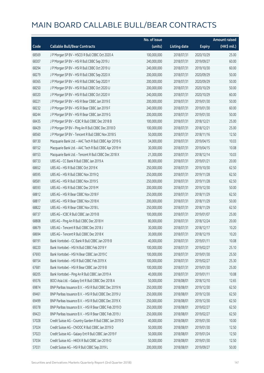|       |                                                          | No. of issue |                     |               | Amount raised |
|-------|----------------------------------------------------------|--------------|---------------------|---------------|---------------|
| Code  | <b>Callable Bull/Bear Contracts</b>                      | (units)      | <b>Listing date</b> | <b>Expiry</b> | $(HK\$ mil.)  |
| 68569 | J P Morgan SP BV - HSCEI R Bull CBBC Oct 2020 A          | 100,000,000  | 2018/07/31          | 2020/10/29    | 25.00         |
| 68307 | J P Morgan SP BV - HSI R Bull CBBC Sep 2019 J            | 240,000,000  | 2018/07/31          | 2019/09/27    | 60.00         |
| 68294 | J P Morgan SP BV - HSI R Bull CBBC Oct 2019 U            | 240,000,000  | 2018/07/31          | 2019/10/30    | 60.00         |
| 68279 | J P Morgan SP BV - HSI R Bull CBBC Sep 2020 X            | 200,000,000  | 2018/07/31          | 2020/09/29    | 50.00         |
| 68365 | J P Morgan SP BV - HSI R Bull CBBC Sep 2020 Y            | 200,000,000  | 2018/07/31          | 2020/09/29    | 50.00         |
| 68250 | J P Morgan SP BV - HSI R Bull CBBC Oct 2020 U            | 200,000,000  | 2018/07/31          | 2020/10/29    | 50.00         |
| 68320 | J P Morgan SP BV - HSI R Bull CBBC Oct 2020 V            | 240,000,000  | 2018/07/31          | 2020/10/29    | 60.00         |
| 68221 | J P Morgan SP BV - HSI R Bear CBBC Jan 2019 E            | 200,000,000  | 2018/07/31          | 2019/01/30    | 50.00         |
| 68232 | J P Morgan SP BV - HSI R Bear CBBC Jan 2019 F            | 240,000,000  | 2018/07/31          | 2019/01/30    | 60.00         |
| 68244 | J P Morgan SP BV - HSI R Bear CBBC Jan 2019 G            | 200,000,000  | 2018/07/31          | 2019/01/30    | 50.00         |
| 68435 | J P Morgan SP BV - ICBC R Bull CBBC Dec 2018 B           | 100,000,000  | 2018/07/31          | 2018/12/21    | 25.00         |
| 68429 | J P Morgan SP BV - Ping An R Bull CBBC Dec 2018 D        | 100,000,000  | 2018/07/31          | 2018/12/21    | 25.00         |
| 68560 | J P Morgan SP BV - Tencent R Bull CBBC Nov 2018 S        | 50,000,000   | 2018/07/31          | 2018/11/16    | 12.50         |
| 68130 | Macquarie Bank Ltd. - AAC Tech R Bull CBBC Apr 2019 G    | 34,000,000   | 2018/07/31          | 2019/04/15    | 10.03         |
| 68152 | Macquarie Bank Ltd. - AAC Tech R Bull CBBC Apr 2019 H    | 30,000,000   | 2018/07/31          | 2019/04/15    | 10.08         |
| 68153 | Macquarie Bank Ltd. - Tencent R Bull CBBC Dec 2018 X     | 21,300,000   | 2018/07/31          | 2018/12/14    | 10.03         |
| 68733 | UBS AG - CC Bank R Bull CBBC Jan 2019 A                  | 80,000,000   | 2018/07/31          | 2019/01/21    | 20.00         |
| 68652 | UBS AG - HSI R Bull CBBC Oct 2019 K                      | 250,000,000  | 2018/07/31          | 2019/10/30    | 62.50         |
| 68595 | UBS AG - HSI R Bull CBBC Nov 2019 Q                      | 250,000,000  | 2018/07/31          | 2019/11/28    | 62.50         |
| 68581 | UBS AG - HSI R Bull CBBC Nov 2019 S                      | 250,000,000  | 2018/07/31          | 2019/11/28    | 62.50         |
| 68593 | UBS AG - HSI R Bull CBBC Dec 2019 M                      | 200,000,000  | 2018/07/31          | 2019/12/30    | 50.00         |
| 68812 | UBS AG - HSI R Bear CBBC Nov 2018 F                      | 250,000,000  | 2018/07/31          | 2018/11/29    | 62.50         |
| 68817 | UBS AG - HSI R Bear CBBC Nov 2018 K                      | 200,000,000  | 2018/07/31          | 2018/11/29    | 50.00         |
| 68822 | UBS AG - HSI R Bear CBBC Nov 2018 L                      | 250,000,000  | 2018/07/31          | 2018/11/29    | 62.50         |
| 68737 | UBS AG - ICBC R Bull CBBC Jan 2019 B                     | 100,000,000  | 2018/07/31          | 2019/01/07    | 25.00         |
| 68808 | UBS AG - Ping An R Bull CBBC Dec 2018 H                  | 80,000,000   | 2018/07/31          | 2018/12/24    | 20.00         |
| 68679 | UBS AG - Tencent R Bull CBBC Dec 2018 J                  | 30,000,000   | 2018/07/31          | 2018/12/17    | 10.20         |
| 68694 | UBS AG - Tencent R Bull CBBC Dec 2018 K                  | 30,000,000   | 2018/07/31          | 2018/12/19    | 10.20         |
| 68191 | Bank Vontobel - CC Bank R Bull CBBC Jan 2019 B           | 40,000,000   | 2018/07/31          | 2019/01/11    | 10.08         |
| 68220 | Bank Vontobel - HSI N Bull CBBC Feb 2019 Y               | 100,000,000  | 2018/07/31          | 2019/02/27    | 25.10         |
| 67693 | Bank Vontobel - HSI N Bear CBBC Jan 2019 C               | 100,000,000  | 2018/07/31          | 2019/01/30    | 25.50         |
| 68154 | Bank Vontobel - HSI R Bull CBBC Feb 2019 X               | 100,000,000  | 2018/07/31          | 2019/02/27    | 25.30         |
| 67681 | Bank Vontobel - HSI R Bear CBBC Jan 2019 B               | 100,000,000  | 2018/07/31          | 2019/01/30    | 25.00         |
| 68205 | Bank Vontobel - Ping An R Bull CBBC Jan 2019 A           | 40,000,000   | 2018/07/31          | 2019/01/11    | 10.08         |
| 69376 | BOCI Asia Ltd. - Galaxy Ent R Bull CBBC Dec 2018 A       | 50,000,000   | 2018/08/01          | 2018/12/10    | 12.65         |
| 69874 | BNP Paribas Issuance B.V. - HSI R Bull CBBC Dec 2019 N   | 250,000,000  | 2018/08/01          | 2019/12/30    | 62.50         |
| 69461 | BNP Paribas Issuance B.V. - HSI R Bull CBBC Dec 2019 U   | 250,000,000  | 2018/08/01          | 2019/12/30    | 62.50         |
| 69499 | BNP Paribas Issuance B.V. - HSI R Bull CBBC Dec 2019 X   | 250,000,000  | 2018/08/01          | 2019/12/30    | 62.50         |
| 69378 | BNP Paribas Issuance B.V. - HSI R Bear CBBC Feb 2019 D   | 250,000,000  | 2018/08/01          | 2019/02/27    | 62.50         |
| 69423 | BNP Paribas Issuance B.V. - HSI R Bear CBBC Feb 2019 J   | 250,000,000  | 2018/08/01          | 2019/02/27    | 62.50         |
| 57028 | Credit Suisse AG - Country Garden R Bull CBBC Jan 2019 D | 40,000,000   | 2018/08/01          | 2019/01/30    | 10.00         |
| 57024 | Credit Suisse AG - CNOOC R Bull CBBC Jan 2019 D          | 50,000,000   | 2018/08/01          | 2019/01/30    | 12.50         |
| 57023 | Credit Suisse AG - Galaxy Ent R Bull CBBC Jan 2019 F     | 50,000,000   | 2018/08/01          | 2019/01/24    | 12.50         |
| 57034 | Credit Suisse AG - HKEX R Bull CBBC Jan 2019 O           | 50,000,000   | 2018/08/01          | 2019/01/30    | 12.50         |
| 57031 | Credit Suisse AG - HSI R Bull CBBC Sep 2019 L            | 200,000,000  | 2018/08/01          | 2019/09/27    | 50.00         |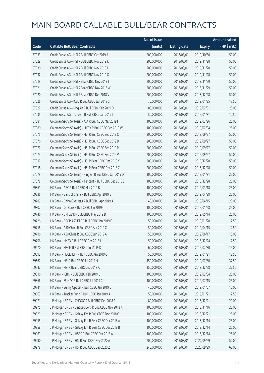|       |                                                          | No. of issue |                     |               | <b>Amount raised</b> |
|-------|----------------------------------------------------------|--------------|---------------------|---------------|----------------------|
| Code  | <b>Callable Bull/Bear Contracts</b>                      | (units)      | <b>Listing date</b> | <b>Expiry</b> | (HK\$ mil.)          |
| 57033 | Credit Suisse AG - HSI R Bull CBBC Oct 2019 A            | 200,000,000  | 2018/08/01          | 2019/10/30    | 50.00                |
| 57029 | Credit Suisse AG - HSI R Bull CBBC Nov 2019 K            | 200,000,000  | 2018/08/01          | 2019/11/28    | 50.00                |
| 57030 | Credit Suisse AG - HSI R Bull CBBC Nov 2019 L            | 200,000,000  | 2018/08/01          | 2019/11/28    | 50.00                |
| 57032 | Credit Suisse AG - HSI R Bull CBBC Nov 2019 Q            | 200,000,000  | 2018/08/01          | 2019/11/28    | 50.00                |
| 57019 | Credit Suisse AG - HSI R Bear CBBC Nov 2018 T            | 200,000,000  | 2018/08/01          | 2018/11/29    | 50.00                |
| 57021 | Credit Suisse AG - HSI R Bear CBBC Nov 2018 W            | 200,000,000  | 2018/08/01          | 2018/11/29    | 50.00                |
| 57020 | Credit Suisse AG - HSI R Bear CBBC Dec 2018 V            | 200,000,000  | 2018/08/01          | 2018/12/28    | 50.00                |
| 57026 | Credit Suisse AG - ICBC R Bull CBBC Jan 2019 C           | 70,000,000   | 2018/08/01          | 2019/01/25    | 17.50                |
| 57027 | Credit Suisse AG - Ping An R Bull CBBC Feb 2019 D        | 80,000,000   | 2018/08/01          | 2019/02/01    | 20.00                |
| 57035 | Credit Suisse AG - Tencent R Bull CBBC Jan 2019 L        | 50,000,000   | 2018/08/01          | 2019/01/31    | 12.50                |
| 57081 | Goldman Sachs SP (Asia) - AIA R Bull CBBC Mar 2019 I     | 100,000,000  | 2018/08/01          | 2019/03/26    | 25.00                |
| 57080 | Goldman Sachs SP (Asia) - HKEX R Bull CBBC Feb 2019 W    | 100,000,000  | 2018/08/01          | 2019/02/04    | 25.00                |
| 57075 | Goldman Sachs SP (Asia) - HSI R Bull CBBC Sep 2019 C     | 200,000,000  | 2018/08/01          | 2019/09/27    | 50.00                |
| 57076 | Goldman Sachs SP (Asia) - HSI R Bull CBBC Sep 2019 D     | 200,000,000  | 2018/08/01          | 2019/09/27    | 50.00                |
| 57077 | Goldman Sachs SP (Asia) - HSI R Bull CBBC Sep 2019 R     | 200,000,000  | 2018/08/01          | 2019/09/27    | 50.00                |
| 57074 | Goldman Sachs SP (Asia) - HSI R Bull CBBC Sep 2019 V     | 200,000,000  | 2018/08/01          | 2019/09/27    | 50.00                |
| 57017 | Goldman Sachs SP (Asia) - HSI R Bear CBBC Dec 2018 Y     | 200,000,000  | 2018/08/01          | 2018/12/28    | 50.00                |
| 57018 | Goldman Sachs SP (Asia) - HSI R Bear CBBC Dec 2018 Z     | 200,000,000  | 2018/08/01          | 2018/12/28    | 50.00                |
| 57079 | Goldman Sachs SP (Asia) - Ping An R Bull CBBC Jan 2019 D | 100,000,000  | 2018/08/01          | 2019/01/31    | 25.00                |
| 57078 | Goldman Sachs SP (Asia) - Tencent R Bull CBBC Dec 2018 E | 100,000,000  | 2018/08/01          | 2018/12/28    | 25.00                |
| 69861 | HK Bank - ABC R Bull CBBC Mar 2019 B                     | 100,000,000  | 2018/08/01          | 2019/03/18    | 25.00                |
| 69836 | HK Bank - Bank of China R Bull CBBC Apr 2019 B           | 100,000,000  | 2018/08/01          | 2019/04/29    | 25.00                |
| 69789 | HK Bank - China Overseas R Bull CBBC Apr 2019 A          | 40,000,000   | 2018/08/01          | 2019/04/15    | 20.00                |
| 69802 | HK Bank - CC Bank R Bull CBBC Jan 2019 C                 | 100,000,000  | 2018/08/01          | 2019/01/28    | 25.00                |
| 69746 | HK Bank - CM Bank R Bull CBBC May 2019 B                 | 100,000,000  | 2018/08/01          | 2019/05/14    | 25.00                |
| 69726 | HK Bank - CSOP A50 ETF R Bull CBBC Jan 2019 F            | 50,000,000   | 2018/08/01          | 2019/01/28    | 12.50                |
| 69718 | HK Bank - A50 China R Bull CBBC Apr 2019 C               | 50,000,000   | 2018/08/01          | 2019/04/15    | 12.50                |
| 69716 | HK Bank - A50 China R Bull CBBC Jun 2019 A               | 50,000,000   | 2018/08/01          | 2019/06/17    | 15.00                |
| 69756 | HK Bank - HKEX R Bull CBBC Dec 2018 I                    | 50,000,000   | 2018/08/01          | 2018/12/24    | 12.50                |
| 69670 | HK Bank - HSCEI R Bull CBBC Jul 2019 D                   | 60,000,000   | 2018/08/01          | 2019/07/30    | 15.00                |
| 69592 | HK Bank - HSCEI ETF R Bull CBBC Jan 2019 C               | 50,000,000   | 2018/08/01          | 2019/01/21    | 12.50                |
| 69667 | HK Bank - HSI R Bull CBBC Jul 2019 H                     | 150,000,000  | 2018/08/01          | 2019/07/30    | 37.50                |
| 69547 | HK Bank - HSI R Bear CBBC Dec 2018 A                     | 150,000,000  | 2018/08/01          | 2018/12/28    | 37.50                |
| 69816 | HK Bank - ICBC R Bull CBBC Feb 2019 B                    | 100,000,000  | 2018/08/01          | 2019/02/04    | 25.00                |
| 69866 | HK Bank - SUNAC R Bull CBBC Jul 2019 C                   | 100,000,000  | 2018/08/01          | 2019/07/15    | 25.00                |
| 69741 | HK Bank - Sunny Optical R Bull CBBC Jan 2019 C           | 40,000,000   | 2018/08/01          | 2019/01/07    | 10.00                |
| 69663 | HK Bank - Tracker Fund R Bull CBBC Jan 2019 A            | 50,000,000   | 2018/08/01          | 2019/01/21    | 12.50                |
| 69971 | J P Morgan SP BV - CNOOC R Bull CBBC Dec 2018 A          | 80,000,000   | 2018/08/01          | 2018/12/21    | 20.00                |
| 69975 | J P Morgan SP BV - Sinopec Corp R Bull CBBC Nov 2018 A   | 100,000,000  | 2018/08/01          | 2018/11/16    | 25.00                |
| 69929 | J P Morgan SP BV - Galaxy Ent R Bull CBBC Dec 2018 C     | 100,000,000  | 2018/08/01          | 2018/12/21    | 25.00                |
| 69955 | J P Morgan SP BV - Galaxy Ent R Bear CBBC Dec 2018 A     | 100,000,000  | 2018/08/01          | 2018/12/14    | 25.00                |
| 69958 | J P Morgan SP BV - Galaxy Ent R Bear CBBC Dec 2018 B     | 100,000,000  | 2018/08/01          | 2018/12/14    | 25.00                |
| 69969 | J P Morgan SP BV - HSBC R Bull CBBC Dec 2018 A           | 100,000,000  | 2018/08/01          | 2018/12/14    | 25.00                |
| 69990 | J P Morgan SP BV - HSI R Bull CBBC Sep 2020 A            | 200,000,000  | 2018/08/01          | 2020/09/29    | 50.00                |
| 69978 | J P Morgan SP BV - HSI R Bull CBBC Sep 2020 Z            | 240,000,000  | 2018/08/01          | 2020/09/29    | 60.00                |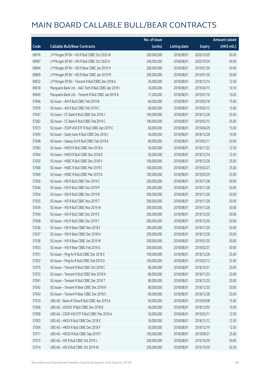|       |                                                       | No. of issue |                     |               | <b>Amount raised</b> |
|-------|-------------------------------------------------------|--------------|---------------------|---------------|----------------------|
| Code  | <b>Callable Bull/Bear Contracts</b>                   | (units)      | <b>Listing date</b> | <b>Expiry</b> | $(HK\$ mil.)         |
| 69976 | J P Morgan SP BV - HSI R Bull CBBC Oct 2020 W         | 200,000,000  | 2018/08/01          | 2020/10/29    | 50.00                |
| 69987 | J P Morgan SP BV - HSI R Bull CBBC Oct 2020 X         | 240,000,000  | 2018/08/01          | 2020/10/29    | 60.00                |
| 69894 | J P Morgan SP BV - HSI R Bear CBBC Jan 2019 H         | 200,000,000  | 2018/08/01          | 2019/01/30    | 50.00                |
| 69899 | J P Morgan SP BV - HSI R Bear CBBC Jan 2019 M         | 200,000,000  | 2018/08/01          | 2019/01/30    | 50.00                |
| 69922 | J P Morgan SP BV - Tencent R Bull CBBC Dec 2018 A     | 50,000,000   | 2018/08/01          | 2018/12/14    | 12.50                |
| 69618 | Macquarie Bank Ltd. - AAC Tech R Bull CBBC Apr 2019 I | 34,000,000   | 2018/08/01          | 2019/04/15    | 10.10                |
| 69649 | Macquarie Bank Ltd. - Tencent R Bull CBBC Jan 2019 A  | 17,200,000   | 2018/08/01          | 2019/01/16    | 10.03                |
| 57046 | SG Issuer - AIA R Bull CBBC Feb 2019 B                | 60,000,000   | 2018/08/01          | 2019/02/18    | 15.00                |
| 57059 | SG Issuer - AIA R Bull CBBC Feb 2019 C                | 60,000,000   | 2018/08/01          | 2019/02/12    | 15.00                |
| 57047 | SG Issuer - CC Bank R Bull CBBC Dec 2018 J            | 100,000,000  | 2018/08/01          | 2018/12/28    | 25.00                |
| 57062 | SG Issuer - CC Bank R Bull CBBC Feb 2019 C            | 100,000,000  | 2018/08/01          | 2019/02/15    | 25.00                |
| 57073 | SG Issuer - CSOP A50 ETF R Bull CBBC Apr 2019 C       | 60,000,000   | 2018/08/01          | 2019/04/29    | 15.00                |
| 57049 | SG Issuer - Geely Auto R Bull CBBC Dec 2018 J         | 40,000,000   | 2018/08/01          | 2018/12/28    | 10.00                |
| 57048 | SG Issuer - Galaxy Ent R Bull CBBC Feb 2019 A         | 80,000,000   | 2018/08/01          | 2019/02/11    | 20.00                |
| 57063 | SG Issuer - HKEX R Bull CBBC Nov 2018 A               | 50,000,000   | 2018/08/01          | 2018/11/23    | 12.50                |
| 57064 | SG Issuer - HKEX R Bull CBBC Dec 2018 B               | 50,000,000   | 2018/08/01          | 2018/12/14    | 12.50                |
| 57050 | SG Issuer - HSBC R Bull CBBC Dec 2018 V               | 100,000,000  | 2018/08/01          | 2018/12/28    | 25.00                |
| 57068 | SG Issuer - HSBC R Bull CBBC Mar 2019 C               | 100,000,000  | 2018/08/01          | 2019/03/27    | 25.00                |
| 57069 | SG Issuer - HSBC R Bull CBBC Mar 2019 D               | 100,000,000  | 2018/08/01          | 2019/03/29    | 25.00                |
| 57056 | SG Issuer - HSI R Bull CBBC Nov 2019 C                | 200,000,000  | 2018/08/01          | 2019/11/28    | 50.00                |
| 57044 | SG Issuer - HSI R Bull CBBC Nov 2019 P                | 200,000,000  | 2018/08/01          | 2019/11/28    | 50.00                |
| 57054 | SG Issuer - HSI R Bull CBBC Nov 2019 R                | 200,000,000  | 2018/08/01          | 2019/11/28    | 50.00                |
| 57055 | SG Issuer - HSI R Bull CBBC Nov 2019 T                | 200,000,000  | 2018/08/01          | 2019/11/28    | 50.00                |
| 57039 | SG Issuer - HSI R Bull CBBC Nov 2019 W                | 200,000,000  | 2018/08/01          | 2019/11/28    | 50.00                |
| 57040 | SG Issuer - HSI R Bull CBBC Dec 2019 S                | 200,000,000  | 2018/08/01          | 2019/12/30    | 50.00                |
| 57058 | SG Issuer - HSI R Bull CBBC Dec 2019 T                | 200,000,000  | 2018/08/01          | 2019/12/30    | 50.00                |
| 57036 | SG Issuer - HSI R Bear CBBC Nov 2018 F                | 200,000,000  | 2018/08/01          | 2018/11/29    | 50.00                |
| 57037 | SG Issuer – HSI R Bear CBBC Dec 2018 H                | 200,000,000  | 2018/08/01          | 2018/12/28    | 50.00                |
| 57038 | SG Issuer - HSI R Bear CBBC Jan 2019 W                | 200,000,000  | 2018/08/01          | 2019/01/30    | 50.00                |
| 57053 | SG Issuer - HSI R Bear CBBC Feb 2019 G                | 200,000,000  | 2018/08/01          | 2019/02/27    | 50.00                |
| 57051 | SG Issuer - Ping An R Bull CBBC Dec 2018 Z            | 100,000,000  | 2018/08/01          | 2018/12/28    | 25.00                |
| 57052 | SG Issuer - Ping An R Bull CBBC Feb 2019 D            | 100,000,000  | 2018/08/01          | 2019/02/12    | 25.00                |
| 57070 | SG Issuer - Tencent R Bull CBBC Oct 2018 C            | 80,000,000   | 2018/08/01          | 2018/10/31    | 20.00                |
| 57072 | SG Issuer - Tencent R Bull CBBC Nov 2018 N            | 80,000,000   | 2018/08/01          | 2018/11/23    | 20.00                |
| 57041 | SG Issuer - Tencent R Bull CBBC Dec 2018 T            | 80,000,000   | 2018/08/01          | 2018/12/20    | 20.00                |
| 57042 | SG Issuer - Tencent R Bear CBBC Dec 2018 R            | 80,000,000   | 2018/08/01          | 2018/12/20    | 20.00                |
| 57043 | SG Issuer - Tencent R Bear CBBC Dec 2018 S            | 80,000,000   | 2018/08/01          | 2018/12/28    | 20.00                |
| 57010 | UBS AG - Bank of China R Bull CBBC Apr 2019 A         | 60,000,000   | 2018/08/01          | 2019/04/08    | 15.00                |
| 57006 | UBS AG - CNOOC R Bull CBBC Dec 2018 B                 | 40,000,000   | 2018/08/01          | 2018/12/03    | 10.00                |
| 57009 | UBS AG - CSOP A50 ETF R Bull CBBC Mar 2019 A          | 50,000,000   | 2018/08/01          | 2019/03/11    | 12.50                |
| 57003 | UBS AG - HKEX R Bull CBBC Dec 2018 E                  | 50,000,000   | 2018/08/01          | 2018/12/12    | 12.50                |
| 57004 | UBS AG - HKEX R Bull CBBC Dec 2018 F                  | 50,000,000   | 2018/08/01          | 2018/12/19    | 12.50                |
| 57011 | UBS AG - HSCEI R Bull CBBC Sep 2019 F                 | 100,000,000  | 2018/08/01          | 2019/09/27    | 25.00                |
| 57015 | UBS AG - HSI R Bull CBBC Oct 2019 J                   | 200,000,000  | 2018/08/01          | 2019/10/30    | 50.00                |
| 57014 | UBS AG - HSI R Bull CBBC Oct 2019 W                   | 250,000,000  | 2018/08/01          | 2019/10/30    | 62.50                |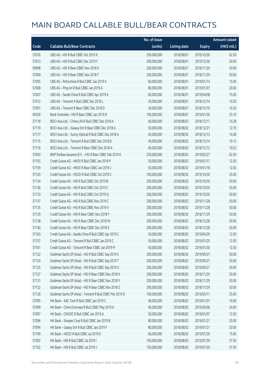|       |                                                          | No. of issue |                     |               | <b>Amount raised</b> |
|-------|----------------------------------------------------------|--------------|---------------------|---------------|----------------------|
| Code  | <b>Callable Bull/Bear Contracts</b>                      | (units)      | <b>Listing date</b> | <b>Expiry</b> | (HK\$ mil.)          |
| 57016 | UBS AG - HSI R Bull CBBC Oct 2019 X                      | 250,000,000  | 2018/08/01          | 2019/10/30    | 62.50                |
| 57013 | UBS AG - HSI R Bull CBBC Dec 2019 Y                      | 200,000,000  | 2018/08/01          | 2019/12/30    | 50.00                |
| 69998 | UBS AG - HSI R Bear CBBC Nov 2018 S                      | 200,000,000  | 2018/08/01          | 2018/11/29    | 50.00                |
| 57000 | UBS AG - HSI R Bear CBBC Nov 2018 T                      | 200,000,000  | 2018/08/01          | 2018/11/29    | 50.00                |
| 57005 | UBS AG - Petrochina R Bull CBBC Jan 2019 A               | 60,000,000   | 2018/08/01          | 2019/01/14    | 15.00                |
| 57008 | UBS AG - Ping An R Bull CBBC Jan 2019 A                  | 80,000,000   | 2018/08/01          | 2019/01/07    | 20.00                |
| 57007 | UBS AG - Sands China R Bull CBBC Apr 2019 A              | 60,000,000   | 2018/08/01          | 2019/04/08    | 15.00                |
| 57012 | UBS AG - Tencent R Bull CBBC Dec 2018 L                  | 30,000,000   | 2018/08/01          | 2018/12/14    | 10.20                |
| 57001 | UBS AG - Tencent R Bear CBBC Dec 2018 D                  | 30,000,000   | 2018/08/01          | 2018/12/10    | 10.20                |
| 69326 | Bank Vontobel - HSI R Bear CBBC Jan 2019 D               | 100,000,000  | 2018/08/01          | 2019/01/30    | 25.10                |
| 57118 | BOCI Asia Ltd. - China Life R Bull CBBC Dec 2018 A       | 40,000,000   | 2018/08/02          | 2018/12/17    | 10.28                |
| 57119 | BOCI Asia Ltd. - Galaxy Ent R Bear CBBC Dec 2018 A       | 50,000,000   | 2018/08/02          | 2018/12/21    | 12.70                |
| 57117 | BOCI Asia Ltd. - Sunny Optical R Bull CBBC Dec 2018 A    | 40,000,000   | 2018/08/02          | 2018/12/13    | 10.28                |
| 57115 | BOCI Asia Ltd. - Tencent R Bull CBBC Dec 2018 B          | 40,000,000   | 2018/08/02          | 2018/12/14    | 10.12                |
| 57116 | BOCI Asia Ltd. - Tencent R Bear CBBC Dec 2018 A          | 40,000,000   | 2018/08/02          | 2018/12/12    | 10.52                |
| 57093 | BNP Paribas Issuance B.V. - HSI R Bear CBBC Feb 2019 K   | 250,000,000  | 2018/08/02          | 2019/02/27    | 62.50                |
| 57155 | Credit Suisse AG - HKEX R Bull CBBC Jan 2019 P           | 50,000,000   | 2018/08/02          | 2019/01/17    | 12.50                |
| 57159 | Credit Suisse AG - HKEX R Bear CBBC Jan 2019 J           | 50,000,000   | 2018/08/02          | 2019/01/18    | 12.50                |
| 57143 | Credit Suisse AG - HSCEI R Bull CBBC Oct 2019 C          | 100,000,000  | 2018/08/02          | 2019/10/30    | 25.00                |
| 57134 | Credit Suisse AG - HSI R Bull CBBC Oct 2019 B            | 200,000,000  | 2018/08/02          | 2019/10/30    | 50.00                |
| 57136 | Credit Suisse AG - HSI R Bull CBBC Oct 2019 C            | 200,000,000  | 2018/08/02          | 2019/10/30    | 50.00                |
| 57133 | Credit Suisse AG - HSI R Bull CBBC Oct 2019 Q            | 200,000,000  | 2018/08/02          | 2019/10/30    | 50.00                |
| 57137 | Credit Suisse AG - HSI R Bull CBBC Nov 2019 C            | 200,000,000  | 2018/08/02          | 2019/11/28    | 50.00                |
| 57135 | Credit Suisse AG - HSI R Bull CBBC Nov 2019 V            | 200,000,000  | 2018/08/02          | 2019/11/28    | 50.00                |
| 57139 | Credit Suisse AG - HSI R Bear CBBC Nov 2018 Y            | 200,000,000  | 2018/08/02          | 2018/11/29    | 50.00                |
| 57138 | Credit Suisse AG - HSI R Bear CBBC Dec 2018 W            | 200,000,000  | 2018/08/02          | 2018/12/28    | 50.00                |
| 57140 | Credit Suisse AG - HSI R Bear CBBC Dec 2018 X            | 200,000,000  | 2018/08/02          | 2018/12/28    | 50.00                |
| 57163 | Credit Suisse AG - Sands China R Bull CBBC Apr 2019 C    | 50,000,000   | 2018/08/02          | 2019/04/29    | 12.50                |
| 57157 | Credit Suisse AG - Tencent R Bull CBBC Jan 2019 C        | 50,000,000   | 2018/08/02          | 2019/01/25    | 12.50                |
| 57161 | Credit Suisse AG - Tencent R Bear CBBC Jan 2019 M        | 50,000,000   | 2018/08/02          | 2019/01/30    | 12.50                |
| 57122 | Goldman Sachs SP (Asia) - HSI R Bull CBBC Sep 2019 S     | 200,000,000  | 2018/08/02          | 2019/09/27    | 50.00                |
| 57124 | Goldman Sachs SP (Asia) - HSI R Bull CBBC Sep 2019 T     | 200,000,000  | 2018/08/02          | 2019/09/27    | 50.00                |
| 57125 | Goldman Sachs SP (Asia) - HSI R Bull CBBC Sep 2019 U     | 200,000,000  | 2018/08/02          | 2019/09/27    | 50.00                |
| 57127 | Goldman Sachs SP (Asia) - HSI R Bear CBBC Nov 2018 X     | 200,000,000  | 2018/08/02          | 2018/11/29    | 50.00                |
| 57131 | Goldman Sachs SP (Asia) - HSI R Bear CBBC Nov 2018 Y     | 200,000,000  | 2018/08/02          | 2018/11/29    | 50.00                |
| 57132 | Goldman Sachs SP (Asia) - HSI R Bear CBBC Nov 2018 Z     | 200,000,000  | 2018/08/02          | 2018/11/29    | 50.00                |
| 57126 | Goldman Sachs SP (Asia) - Tencent R Bull CBBC Mar 2019 D | 100,000,000  | 2018/08/02          | 2019/03/11    | 25.00                |
| 57095 | HK Bank - AAC Tech R Bull CBBC Jan 2019 C                | 40,000,000   | 2018/08/02          | 2019/01/07    | 10.00                |
| 57099 | HK Bank - China Overseas R Bull CBBC May 2019 A          | 40,000,000   | 2018/08/02          | 2019/05/06    | 24.00                |
| 57097 | HK Bank - CNOOC R Bull CBBC Jan 2019 A                   | 50,000,000   | 2018/08/02          | 2019/01/07    | 12.50                |
| 57096 | HK Bank - Sinopec Corp R Bull CBBC Jan 2019 B            | 80,000,000   | 2018/08/02          | 2019/01/21    | 20.00                |
| 57094 | HK Bank - Galaxy Ent R Bull CBBC Jan 2019 F              | 80,000,000   | 2018/08/02          | 2019/01/21    | 20.00                |
| 57100 | HK Bank - HSCEI R Bull CBBC Jul 2019 E                   | 60,000,000   | 2018/08/02          | 2019/07/30    | 15.00                |
| 57092 | HK Bank - HSI R Bull CBBC Jul 2019 I                     | 150,000,000  | 2018/08/02          | 2019/07/30    | 37.50                |
| 57102 | HK Bank - HSI R Bull CBBC Jul 2019 J                     | 150,000,000  | 2018/08/02          | 2019/07/30    | 37.50                |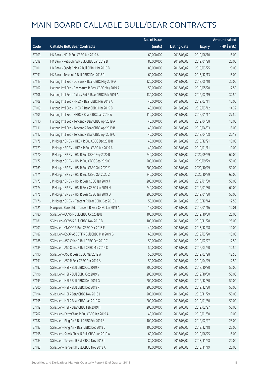|       |                                                       | No. of issue |                     |               | Amount raised |
|-------|-------------------------------------------------------|--------------|---------------------|---------------|---------------|
| Code  | <b>Callable Bull/Bear Contracts</b>                   | (units)      | <b>Listing date</b> | <b>Expiry</b> | (HK\$ mil.)   |
| 57103 | HK Bank - NCI R Bull CBBC Jun 2019 A                  | 60,000,000   | 2018/08/02          | 2019/06/10    | 15.00         |
| 57098 | HK Bank - PetroChina R Bull CBBC Jan 2019 B           | 80,000,000   | 2018/08/02          | 2019/01/28    | 20.00         |
| 57101 | HK Bank - Sands China R Bull CBBC Mar 2019 B          | 80,000,000   | 2018/08/02          | 2019/03/25    | 20.00         |
| 57091 | HK Bank - Tencent R Bull CBBC Dec 2018 R              | 60,000,000   | 2018/08/02          | 2018/12/13    | 15.00         |
| 57113 | Haitong Int'l Sec - CC Bank R Bear CBBC May 2019 A    | 120,000,000  | 2018/08/02          | 2019/05/10    | 30.00         |
| 57107 | Haitong Int'l Sec - Geely Auto R Bear CBBC May 2019 A | 50,000,000   | 2018/08/02          | 2019/05/20    | 12.50         |
| 57106 | Haitong Int'l Sec - Galaxy Ent R Bear CBBC Feb 2019 A | 130,000,000  | 2018/08/02          | 2019/02/19    | 32.50         |
| 57108 | Haitong Int'l Sec - HKEX R Bear CBBC Mar 2019 A       | 40,000,000   | 2018/08/02          | 2019/03/11    | 10.00         |
| 57109 | Haitong Int'l Sec - HKEX R Bear CBBC Mar 2019 B       | 40,000,000   | 2018/08/02          | 2019/03/12    | 14.32         |
| 57105 | Haitong Int'l Sec - HSBC R Bear CBBC Jan 2019 A       | 110,000,000  | 2018/08/02          | 2019/01/17    | 27.50         |
| 57110 | Haitong Int'l Sec - Tencent R Bear CBBC Apr 2019 A    | 40,000,000   | 2018/08/02          | 2019/04/08    | 10.00         |
| 57111 | Haitong Int'l Sec - Tencent R Bear CBBC Apr 2019 B    | 40,000,000   | 2018/08/02          | 2019/04/03    | 18.00         |
| 57112 | Haitong Int'l Sec - Tencent R Bear CBBC Apr 2019 C    | 40,000,000   | 2018/08/02          | 2019/04/08    | 20.12         |
| 57178 | J P Morgan SP BV - HKEX R Bull CBBC Dec 2018 B        | 40,000,000   | 2018/08/02          | 2018/12/21    | 10.00         |
| 57179 | J P Morgan SP BV - HKEX R Bull CBBC Jan 2019 A        | 40,000,000   | 2018/08/02          | 2019/01/11    | 10.00         |
| 57170 | J P Morgan SP BV - HSI R Bull CBBC Sep 2020 B         | 240,000,000  | 2018/08/02          | 2020/09/29    | 60.00         |
| 57172 | J P Morgan SP BV - HSI R Bull CBBC Sep 2020 C         | 200,000,000  | 2018/08/02          | 2020/09/29    | 50.00         |
| 57169 | J P Morgan SP BV - HSI R Bull CBBC Oct 2020 Y         | 200,000,000  | 2018/08/02          | 2020/10/29    | 50.00         |
| 57171 | J P Morgan SP BV - HSI R Bull CBBC Oct 2020 Z         | 240,000,000  | 2018/08/02          | 2020/10/29    | 60.00         |
| 57173 | J P Morgan SP BV - HSI R Bear CBBC Jan 2019 J         | 200,000,000  | 2018/08/02          | 2019/01/30    | 50.00         |
| 57174 | J P Morgan SP BV - HSI R Bear CBBC Jan 2019 N         | 240,000,000  | 2018/08/02          | 2019/01/30    | 60.00         |
| 57175 | J P Morgan SP BV - HSI R Bear CBBC Jan 2019 O         | 200,000,000  | 2018/08/02          | 2019/01/30    | 50.00         |
| 57176 | J P Morgan SP BV - Tencent R Bear CBBC Dec 2018 C     | 50,000,000   | 2018/08/02          | 2018/12/14    | 12.50         |
| 57121 | Macquarie Bank Ltd. - Tencent R Bear CBBC Jan 2019 A  | 15,000,000   | 2018/08/02          | 2019/01/16    | 10.01         |
| 57180 | SG Issuer - COVS R Bull CBBC Oct 2019 B               | 100,000,000  | 2018/08/02          | 2019/10/30    | 25.00         |
| 57181 | SG Issuer - COVS R Bull CBBC Nov 2019 B               | 100,000,000  | 2018/08/02          | 2019/11/28    | 25.00         |
| 57201 | SG Issuer - CNOOC R Bull CBBC Dec 2018 F              | 40,000,000   | 2018/08/02          | 2018/12/28    | 10.00         |
| 57187 | SG Issuer - CSOP A50 ETF R Bull CBBC Mar 2019 G       | 60,000,000   | 2018/08/02          | 2019/03/20    | 15.00         |
| 57188 | SG Issuer - A50 China R Bull CBBC Feb 2019 C          | 50,000,000   | 2018/08/02          | 2019/02/27    | 12.50         |
| 57189 | SG Issuer - A50 China R Bull CBBC Mar 2019 C          | 50,000,000   | 2018/08/02          | 2019/03/20    | 12.50         |
| 57190 | SG Issuer - A50 R Bear CBBC Mar 2019 A                | 50,000,000   | 2018/08/02          | 2019/03/28    | 12.50         |
| 57191 | SG Issuer - A50 R Bear CBBC Apr 2019 A                | 50,000,000   | 2018/08/02          | 2019/04/29    | 12.50         |
| 57192 | SG Issuer - HSI R Bull CBBC Oct 2019 P                | 200,000,000  | 2018/08/02          | 2019/10/30    | 50.00         |
| 57196 | SG Issuer - HSI R Bull CBBC Oct 2019 V                | 200,000,000  | 2018/08/02          | 2019/10/30    | 50.00         |
| 57193 | SG Issuer - HSI R Bull CBBC Dec 2019 G                | 200,000,000  | 2018/08/02          | 2019/12/30    | 50.00         |
| 57200 | SG Issuer - HSI R Bull CBBC Dec 2019 R                | 200,000,000  | 2018/08/02          | 2019/12/30    | 50.00         |
| 57194 | SG Issuer - HSI R Bear CBBC Nov 2018 J                | 200,000,000  | 2018/08/02          | 2018/11/29    | 50.00         |
| 57195 | SG Issuer - HSI R Bear CBBC Jan 2019 X                | 200,000,000  | 2018/08/02          | 2019/01/30    | 50.00         |
| 57199 | SG Issuer - HSI R Bear CBBC Feb 2019 H                | 200,000,000  | 2018/08/02          | 2019/02/27    | 50.00         |
| 57202 | SG Issuer - PetroChina R Bull CBBC Jan 2019 A         | 40,000,000   | 2018/08/02          | 2019/01/30    | 10.00         |
| 57182 | SG Issuer - Ping An R Bull CBBC Feb 2019 E            | 100,000,000  | 2018/08/02          | 2019/02/27    | 25.00         |
| 57197 | SG Issuer - Ping An R Bear CBBC Dec 2018 L            | 100,000,000  | 2018/08/02          | 2018/12/18    | 25.00         |
| 57198 | SG Issuer - Sands China R Bull CBBC Jun 2019 A        | 60,000,000   | 2018/08/02          | 2019/06/25    | 15.00         |
| 57184 | SG Issuer - Tencent R Bull CBBC Nov 2018 I            | 80,000,000   | 2018/08/02          | 2018/11/28    | 20.00         |
| 57183 | SG Issuer - Tencent R Bull CBBC Nov 2018 X            | 80,000,000   | 2018/08/02          | 2018/11/19    | 20.00         |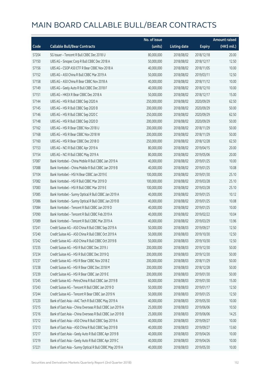|       |                                                           | No. of issue |                     |               | <b>Amount raised</b> |
|-------|-----------------------------------------------------------|--------------|---------------------|---------------|----------------------|
| Code  | <b>Callable Bull/Bear Contracts</b>                       | (units)      | <b>Listing date</b> | <b>Expiry</b> | $(HK\$ mil.)         |
| 57204 | SG Issuer - Tencent R Bull CBBC Dec 2018 U                | 80,000,000   | 2018/08/02          | 2018/12/18    | 20.00                |
| 57150 | UBS AG - Sinopec Corp R Bull CBBC Dec 2018 A              | 50,000,000   | 2018/08/02          | 2018/12/17    | 12.50                |
| 57156 | UBS AG - CSOP A50 ETF R Bear CBBC Nov 2018 A              | 40,000,000   | 2018/08/02          | 2018/11/05    | 10.00                |
| 57152 | UBS AG - A50 China R Bull CBBC Mar 2019 A                 | 50,000,000   | 2018/08/02          | 2019/03/11    | 12.50                |
| 57158 | UBS AG - A50 China R Bear CBBC Nov 2018 A                 | 40,000,000   | 2018/08/02          | 2018/11/12    | 10.00                |
| 57149 | UBS AG - Geely Auto R Bull CBBC Dec 2018 F                | 40,000,000   | 2018/08/02          | 2018/12/10    | 10.00                |
| 57151 | UBS AG - HKEX R Bear CBBC Dec 2018 A                      | 50,000,000   | 2018/08/02          | 2018/12/17    | 15.00                |
| 57144 | UBS AG - HSI R Bull CBBC Sep 2020 A                       | 250,000,000  | 2018/08/02          | 2020/09/29    | 62.50                |
| 57145 | UBS AG - HSI R Bull CBBC Sep 2020 B                       | 200,000,000  | 2018/08/02          | 2020/09/29    | 50.00                |
| 57146 | UBS AG - HSI R Bull CBBC Sep 2020 C                       | 250,000,000  | 2018/08/02          | 2020/09/29    | 62.50                |
| 57148 | UBS AG - HSI R Bull CBBC Sep 2020 D                       | 200,000,000  | 2018/08/02          | 2020/09/29    | 50.00                |
| 57162 | UBS AG - HSI R Bear CBBC Nov 2018 U                       | 200,000,000  | 2018/08/02          | 2018/11/29    | 50.00                |
| 57168 | UBS AG - HSI R Bear CBBC Nov 2018 W                       | 200,000,000  | 2018/08/02          | 2018/11/29    | 50.00                |
| 57160 | UBS AG - HSI R Bear CBBC Dec 2018 O                       | 250,000,000  | 2018/08/02          | 2018/12/28    | 62.50                |
| 57153 | UBS AG - NCI R Bull CBBC Apr 2019 A                       | 80,000,000   | 2018/08/02          | 2019/04/15    | 20.00                |
| 57154 | UBS AG - NCI R Bull CBBC May 2019 A                       | 80,000,000   | 2018/08/02          | 2019/05/06    | 20.00                |
| 57087 | Bank Vontobel - China Mobile R Bull CBBC Jan 2019 A       | 40,000,000   | 2018/08/02          | 2019/01/25    | 10.00                |
| 57088 | Bank Vontobel - China Mobile R Bull CBBC Jan 2019 B       | 40,000,000   | 2018/08/02          | 2019/01/25    | 10.08                |
| 57104 | Bank Vontobel - HSI N Bear CBBC Jan 2019 E                | 100,000,000  | 2018/08/02          | 2019/01/30    | 25.10                |
| 57082 | Bank Vontobel - HSI R Bull CBBC Mar 2019 D                | 100,000,000  | 2018/08/02          | 2019/03/28    | 25.10                |
| 57083 | Bank Vontobel - HSI R Bull CBBC Mar 2019 E                | 100,000,000  | 2018/08/02          | 2019/03/28    | 25.10                |
| 57085 | Bank Vontobel - Sunny Optical R Bull CBBC Jan 2019 A      | 40,000,000   | 2018/08/02          | 2019/01/25    | 10.12                |
| 57086 | Bank Vontobel - Sunny Optical R Bull CBBC Jan 2019 B      | 40,000,000   | 2018/08/02          | 2019/01/25    | 10.08                |
| 57084 | Bank Vontobel - Tencent R Bull CBBC Jan 2019 D            | 40,000,000   | 2018/08/02          | 2019/01/25    | 10.00                |
| 57090 | Bank Vontobel - Tencent R Bull CBBC Feb 2019 A            | 40,000,000   | 2018/08/02          | 2019/02/22    | 10.04                |
| 57089 | Bank Vontobel - Tencent R Bull CBBC Mar 2019 A            | 40,000,000   | 2018/08/02          | 2019/03/29    | 13.96                |
| 57241 | Credit Suisse AG - A50 China R Bull CBBC Sep 2019 A       | 50,000,000   | 2018/08/03          | 2019/09/27    | 12.50                |
| 57240 | Credit Suisse AG – A50 China R Bull CBBC Oct 2019 A       | 50,000,000   | 2018/08/03          | 2019/10/30    | 12.50                |
| 57242 | Credit Suisse AG - A50 China R Bull CBBC Oct 2019 B       | 50,000,000   | 2018/08/03          | 2019/10/30    | 12.50                |
| 57235 | Credit Suisse AG - HSI R Bull CBBC Dec 2019 J             | 200,000,000  | 2018/08/03          | 2019/12/30    | 50.00                |
| 57234 | Credit Suisse AG - HSI R Bull CBBC Dec 2019 Q             | 200,000,000  | 2018/08/03          | 2019/12/30    | 50.00                |
| 57237 | Credit Suisse AG - HSI R Bear CBBC Nov 2018 Z             | 200,000,000  | 2018/08/03          | 2018/11/29    | 50.00                |
| 57238 | Credit Suisse AG - HSI R Bear CBBC Dec 2018 M             | 200,000,000  | 2018/08/03          | 2018/12/28    | 50.00                |
| 57239 | Credit Suisse AG - HSI R Bear CBBC Jan 2019 E             | 200,000,000  | 2018/08/03          | 2019/01/30    | 50.00                |
| 57245 | Credit Suisse AG - PetroChina R Bull CBBC Jan 2019 B      | 60,000,000   | 2018/08/03          | 2019/01/30    | 15.00                |
| 57243 | Credit Suisse AG - Tencent R Bull CBBC Jan 2019 D         | 50,000,000   | 2018/08/03          | 2019/01/17    | 12.50                |
| 57244 | Credit Suisse AG - Tencent R Bear CBBC Jan 2019 N         | 50,000,000   | 2018/08/03          | 2019/01/25    | 12.50                |
| 57220 | Bank of East Asia - AAC Tech R Bull CBBC May 2019 A       | 40,000,000   | 2018/08/03          | 2019/05/30    | 10.00                |
| 57215 | Bank of East Asia - China Overseas R Bull CBBC Jun 2019 A | 25,000,000   | 2018/08/03          | 2019/06/06    | 10.50                |
| 57216 | Bank of East Asia - China Overseas R Bull CBBC Jun 2019 B | 25,000,000   | 2018/08/03          | 2019/06/06    | 14.25                |
| 57212 | Bank of East Asia - A50 China R Bull CBBC Sep 2019 A      | 40,000,000   | 2018/08/03          | 2019/09/27    | 10.00                |
| 57213 | Bank of East Asia - A50 China R Bull CBBC Sep 2019 B      | 40,000,000   | 2018/08/03          | 2019/09/27    | 13.60                |
| 57217 | Bank of East Asia - Geely Auto R Bull CBBC Apr 2019 B     | 40,000,000   | 2018/08/03          | 2019/04/26    | 10.00                |
| 57219 | Bank of East Asia - Geely Auto R Bull CBBC Apr 2019 C     | 40,000,000   | 2018/08/03          | 2019/04/26    | 10.00                |
| 57221 | Bank of East Asia - Sunny Optical R Bull CBBC May 2019 A  | 40,000,000   | 2018/08/03          | 2019/05/30    | 10.00                |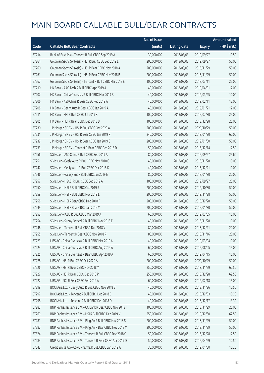|       |                                                            | No. of issue |                     |               | <b>Amount raised</b> |
|-------|------------------------------------------------------------|--------------|---------------------|---------------|----------------------|
| Code  | <b>Callable Bull/Bear Contracts</b>                        | (units)      | <b>Listing date</b> | <b>Expiry</b> | $(HK\$ mil.)         |
| 57214 | Bank of East Asia - Tencent R Bull CBBC Sep 2019 A         | 30,000,000   | 2018/08/03          | 2019/09/27    | 10.50                |
| 57264 | Goldman Sachs SP (Asia) - HSI R Bull CBBC Sep 2019 L       | 200,000,000  | 2018/08/03          | 2019/09/27    | 50.00                |
| 57260 | Goldman Sachs SP (Asia) - HSI R Bear CBBC Nov 2018 A       | 200,000,000  | 2018/08/03          | 2018/11/29    | 50.00                |
| 57261 | Goldman Sachs SP (Asia) - HSI R Bear CBBC Nov 2018 B       | 200,000,000  | 2018/08/03          | 2018/11/29    | 50.00                |
| 57262 | Goldman Sachs SP (Asia) - Tencent R Bull CBBC Mar 2019 E   | 100,000,000  | 2018/08/03          | 2019/03/11    | 25.00                |
| 57210 | HK Bank - AAC Tech R Bull CBBC Apr 2019 A                  | 40,000,000   | 2018/08/03          | 2019/04/01    | 12.00                |
| 57207 | HK Bank - China Overseas R Bull CBBC Mar 2019 B            | 40,000,000   | 2018/08/03          | 2019/03/25    | 10.00                |
| 57206 | HK Bank - A50 China R Bear CBBC Feb 2019 A                 | 40,000,000   | 2018/08/03          | 2019/02/11    | 12.00                |
| 57208 | HK Bank - Geely Auto R Bear CBBC Jan 2019 A                | 40,000,000   | 2018/08/03          | 2019/01/21    | 12.00                |
| 57211 | HK Bank - HSI R Bull CBBC Jul 2019 K                       | 100,000,000  | 2018/08/03          | 2019/07/30    | 25.00                |
| 57205 | HK Bank - HSI R Bear CBBC Dec 2018 B                       | 100,000,000  | 2018/08/03          | 2018/12/28    | 25.00                |
| 57230 | J P Morgan SP BV - HSI R Bull CBBC Oct 2020 A              | 200,000,000  | 2018/08/03          | 2020/10/29    | 50.00                |
| 57231 | JP Morgan SP BV - HSIR Bear CBBC Jan 2019 R                | 240,000,000  | 2018/08/03          | 2019/01/30    | 60.00                |
| 57232 | J P Morgan SP BV - HSI R Bear CBBC Jan 2019 S              | 200,000,000  | 2018/08/03          | 2019/01/30    | 50.00                |
| 57233 | J P Morgan SP BV - Tencent R Bear CBBC Dec 2018 D          | 50,000,000   | 2018/08/03          | 2018/12/14    | 12.50                |
| 57256 | SG Issuer - A50 China R Bull CBBC Sep 2019 A               | 80,000,000   | 2018/08/03          | 2019/09/27    | 25.60                |
| 57251 | SG Issuer - Geely Auto R Bull CBBC Nov 2018 C              | 40,000,000   | 2018/08/03          | 2018/11/28    | 10.00                |
| 57247 | SG Issuer - Geely Auto R Bull CBBC Dec 2018 K              | 40,000,000   | 2018/08/03          | 2018/12/21    | 10.00                |
| 57246 | SG Issuer - Galaxy Ent R Bull CBBC Jan 2019 E              | 80,000,000   | 2018/08/03          | 2019/01/30    | 20.00                |
| 57257 | SG Issuer - HSCEI R Bull CBBC Sep 2019 A                   | 100,000,000  | 2018/08/03          | 2019/09/27    | 25.00                |
| 57250 | SG Issuer - HSI R Bull CBBC Oct 2019 R                     | 200,000,000  | 2018/08/03          | 2019/10/30    | 50.00                |
| 57259 | SG Issuer - HSI R Bull CBBC Nov 2019 L                     | 200,000,000  | 2018/08/03          | 2019/11/28    | 50.00                |
| 57258 | SG Issuer - HSI R Bear CBBC Dec 2018 F                     | 200,000,000  | 2018/08/03          | 2018/12/28    | 50.00                |
| 57249 | SG Issuer - HSI R Bear CBBC Jan 2019 Y                     | 200,000,000  | 2018/08/03          | 2019/01/30    | 50.00                |
| 57252 | SG Issuer - ICBC R Bull CBBC Mar 2019 A                    | 60,000,000   | 2018/08/03          | 2019/03/05    | 15.00                |
| 57254 | SG Issuer - Sunny Optical R Bull CBBC Nov 2018 F           | 40,000,000   | 2018/08/03          | 2018/11/28    | 10.00                |
| 57248 | SG Issuer - Tencent R Bull CBBC Dec 2018 V                 | 80,000,000   | 2018/08/03          | 2018/12/21    | 20.00                |
| 57255 | SG Issuer - Tencent R Bear CBBC Nov 2018 R                 | 80,000,000   | 2018/08/03          | 2018/11/16    | 20.00                |
| 57223 | UBS AG - China Overseas R Bull CBBC Mar 2019 A             | 40,000,000   | 2018/08/03          | 2019/03/04    | 10.00                |
| 57224 | UBS AG - China Overseas R Bull CBBC Aug 2019 A             | 60,000,000   | 2018/08/03          | 2019/08/05    | 15.00                |
| 57225 | UBS AG - China Overseas R Bear CBBC Apr 2019 A             | 60,000,000   | 2018/08/03          | 2019/04/15    | 15.00                |
| 57228 | UBS AG - HSI R Bull CBBC Oct 2020 A                        | 200,000,000  | 2018/08/03          | 2020/10/29    | 50.00                |
| 57226 | UBS AG - HSI R Bear CBBC Nov 2018 Y                        | 250,000,000  | 2018/08/03          | 2018/11/29    | 62.50                |
| 57227 | UBS AG - HSI R Bear CBBC Dec 2018 P                        | 250,000,000  | 2018/08/03          | 2018/12/28    | 62.50                |
| 57222 | UBS AG - NCI R Bear CBBC Feb 2019 A                        | 60,000,000   | 2018/08/03          | 2019/02/18    | 15.00                |
| 57299 | BOCI Asia Ltd. - Geely Auto R Bull CBBC Nov 2018 B         | 40,000,000   | 2018/08/06          | 2018/11/26    | 10.56                |
| 57297 | BOCI Asia Ltd. - Tencent R Bull CBBC Dec 2018 C            | 40,000,000   | 2018/08/06          | 2018/12/03    | 10.28                |
| 57298 | BOCI Asia Ltd. - Tencent R Bull CBBC Dec 2018 D            | 40,000,000   | 2018/08/06          | 2018/12/17    | 13.32                |
| 57283 | BNP Paribas Issuance B.V. - CC Bank R Bear CBBC Nov 2018 I | 100,000,000  | 2018/08/06          | 2018/11/29    | 25.00                |
| 57269 | BNP Paribas Issuance B.V. - HSI R Bull CBBC Dec 2019 V     | 250,000,000  | 2018/08/06          | 2019/12/30    | 62.50                |
| 57281 | BNP Paribas Issuance B.V. - Ping An R Bull CBBC Nov 2018 S | 200,000,000  | 2018/08/06          | 2018/11/29    | 50.00                |
| 57282 | BNP Paribas Issuance B.V. - Ping An R Bear CBBC Nov 2018 M | 200,000,000  | 2018/08/06          | 2018/11/29    | 50.00                |
| 57324 | BNP Paribas Issuance B.V. - Tencent R Bull CBBC Dec 2018 G | 50,000,000   | 2018/08/06          | 2018/12/28    | 12.50                |
| 57284 | BNP Paribas Issuance B.V. - Tencent R Bear CBBC Apr 2019 D | 50,000,000   | 2018/08/06          | 2019/04/29    | 12.50                |
| 57342 | Credit Suisse AG - CSPC Pharma R Bull CBBC Jan 2019 A      | 30,000,000   | 2018/08/06          | 2019/01/30    | 10.20                |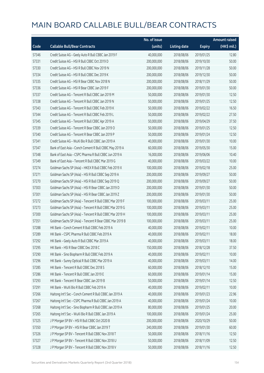|       |                                                          | No. of issue |                     |               | <b>Amount raised</b> |
|-------|----------------------------------------------------------|--------------|---------------------|---------------|----------------------|
| Code  | <b>Callable Bull/Bear Contracts</b>                      | (units)      | <b>Listing date</b> | <b>Expiry</b> | (HK\$ mil.)          |
| 57346 | Credit Suisse AG - Geely Auto R Bull CBBC Jan 2019 F     | 40,000,000   | 2018/08/06          | 2019/01/25    | 12.80                |
| 57331 | Credit Suisse AG - HSI R Bull CBBC Oct 2019 D            | 200,000,000  | 2018/08/06          | 2019/10/30    | 50.00                |
| 57330 | Credit Suisse AG - HSI R Bull CBBC Nov 2019 N            | 200,000,000  | 2018/08/06          | 2019/11/28    | 50.00                |
| 57334 | Credit Suisse AG - HSI R Bull CBBC Dec 2019 K            | 200,000,000  | 2018/08/06          | 2019/12/30    | 50.00                |
| 57335 | Credit Suisse AG - HSI R Bear CBBC Nov 2018 N            | 200,000,000  | 2018/08/06          | 2018/11/29    | 50.00                |
| 57336 | Credit Suisse AG - HSI R Bear CBBC Jan 2019 F            | 200,000,000  | 2018/08/06          | 2019/01/30    | 50.00                |
| 57337 | Credit Suisse AG - Tencent R Bull CBBC Jan 2019 M        | 50,000,000   | 2018/08/06          | 2019/01/30    | 12.50                |
| 57338 | Credit Suisse AG - Tencent R Bull CBBC Jan 2019 N        | 50,000,000   | 2018/08/06          | 2019/01/25    | 12.50                |
| 57343 | Credit Suisse AG - Tencent R Bull CBBC Feb 2019 K        | 50,000,000   | 2018/08/06          | 2019/02/22    | 16.50                |
| 57344 | Credit Suisse AG - Tencent R Bull CBBC Feb 2019 L        | 50,000,000   | 2018/08/06          | 2019/02/22    | 27.50                |
| 57345 | Credit Suisse AG - Tencent R Bull CBBC Apr 2019 A        | 50,000,000   | 2018/08/06          | 2019/04/29    | 37.50                |
| 57339 | Credit Suisse AG - Tencent R Bear CBBC Jan 2019 O        | 50,000,000   | 2018/08/06          | 2019/01/25    | 12.50                |
| 57340 | Credit Suisse AG - Tencent R Bear CBBC Jan 2019 P        | 50,000,000   | 2018/08/06          | 2019/01/24    | 12.50                |
| 57341 | Credit Suisse AG - WuXi Bio R Bull CBBC Jan 2019 A       | 40,000,000   | 2018/08/06          | 2019/01/30    | 10.00                |
| 57347 | Bank of East Asia - Conch Cement R Bull CBBC May 2019 A  | 60,000,000   | 2018/08/06          | 2019/05/30    | 15.00                |
| 57348 | Bank of East Asia - CSPC Pharma R Bull CBBC Jun 2019 A   | 16,000,000   | 2018/08/06          | 2019/06/06    | 10.40                |
| 57349 | Bank of East Asia - Tencent R Bull CBBC Mar 2019 G       | 40,000,000   | 2018/08/06          | 2019/03/22    | 10.00                |
| 57274 | Goldman Sachs SP (Asia) - HKEX R Bull CBBC Feb 2019 X    | 100,000,000  | 2018/08/06          | 2019/02/18    | 25.00                |
| 57271 | Goldman Sachs SP (Asia) - HSI R Bull CBBC Sep 2019 A     | 200,000,000  | 2018/08/06          | 2019/09/27    | 50.00                |
| 57270 | Goldman Sachs SP (Asia) - HSI R Bull CBBC Sep 2019 Q     | 200,000,000  | 2018/08/06          | 2019/09/27    | 50.00                |
| 57303 | Goldman Sachs SP (Asia) - HSI R Bear CBBC Jan 2019 D     | 200,000,000  | 2018/08/06          | 2019/01/30    | 50.00                |
| 57301 | Goldman Sachs SP (Asia) - HSI R Bear CBBC Jan 2019 Z     | 200,000,000  | 2018/08/06          | 2019/01/30    | 50.00                |
| 57272 | Goldman Sachs SP (Asia) - Tencent R Bull CBBC Mar 2019 F | 100,000,000  | 2018/08/06          | 2019/03/11    | 25.00                |
| 57273 | Goldman Sachs SP (Asia) - Tencent R Bull CBBC Mar 2019 G | 100,000,000  | 2018/08/06          | 2019/03/11    | 25.00                |
| 57300 | Goldman Sachs SP (Asia) - Tencent R Bull CBBC Mar 2019 H | 100,000,000  | 2018/08/06          | 2019/03/11    | 25.00                |
| 57351 | Goldman Sachs SP (Asia) - Tencent R Bear CBBC Mar 2019 B | 100,000,000  | 2018/08/06          | 2019/03/11    | 25.00                |
| 57288 | HK Bank - Conch Cement R Bull CBBC Feb 2019 A            | 40,000,000   | 2018/08/06          | 2019/02/11    | 10.00                |
| 57289 | HK Bank - CSPC Pharma R Bull CBBC Feb 2019 A             | 40,000,000   | 2018/08/06          | 2019/02/11    | 18.00                |
| 57292 | HK Bank - Geely Auto R Bull CBBC Mar 2019 A              | 40,000,000   | 2018/08/06          | 2019/03/11    | 18.00                |
| 57295 | HK Bank - HSI R Bear CBBC Dec 2018 C                     | 150,000,000  | 2018/08/06          | 2018/12/28    | 37.50                |
| 57290 | HK Bank - Sino Biopharm R Bull CBBC Feb 2019 A           | 40,000,000   | 2018/08/06          | 2019/02/11    | 10.00                |
| 57296 | HK Bank - Sunny Optical R Bull CBBC Mar 2019 A           | 40,000,000   | 2018/08/06          | 2019/03/11    | 14.00                |
| 57285 | HK Bank - Tencent R Bull CBBC Dec 2018 S                 | 60,000,000   | 2018/08/06          | 2018/12/10    | 15.00                |
| 57286 | HK Bank - Tencent R Bull CBBC Jan 2019 E                 | 60,000,000   | 2018/08/06          | 2019/01/14    | 15.00                |
| 57293 | HK Bank - Tencent R Bear CBBC Jan 2019 B                 | 50,000,000   | 2018/08/06          | 2019/01/14    | 12.50                |
| 57291 | HK Bank - WuXi Bio R Bull CBBC Feb 2019 A                | 40,000,000   | 2018/08/06          | 2019/02/11    | 10.00                |
| 57266 | Haitong Int'l Sec - Conch Cement R Bull CBBC Jan 2019 A  | 40,000,000   | 2018/08/06          | 2019/01/23    | 22.96                |
| 57267 | Haitong Int'l Sec - CSPC Pharma R Bull CBBC Jan 2019 A   | 40,000,000   | 2018/08/06          | 2019/01/24    | 10.00                |
| 57268 | Haitong Int'l Sec - Sino Biopharm R Bull CBBC Jan 2019 A | 80,000,000   | 2018/08/06          | 2019/01/25    | 20.00                |
| 57265 | Haitong Int'l Sec - WuXi Bio R Bull CBBC Jan 2019 A      | 100,000,000  | 2018/08/06          | 2019/01/24    | 25.00                |
| 57325 | J P Morgan SP BV - HSI R Bull CBBC Oct 2020 B            | 200,000,000  | 2018/08/06          | 2020/10/29    | 50.00                |
| 57350 | J P Morgan SP BV - HSI R Bear CBBC Jan 2019 T            | 240,000,000  | 2018/08/06          | 2019/01/30    | 60.00                |
| 57326 | J P Morgan SP BV - Tencent R Bull CBBC Nov 2018 T        | 50,000,000   | 2018/08/06          | 2018/11/16    | 12.50                |
| 57327 | J P Morgan SP BV - Tencent R Bull CBBC Nov 2018 U        | 50,000,000   | 2018/08/06          | 2018/11/09    | 12.50                |
| 57328 | J P Morgan SP BV - Tencent R Bull CBBC Nov 2018 V        | 50,000,000   | 2018/08/06          | 2018/11/16    | 12.50                |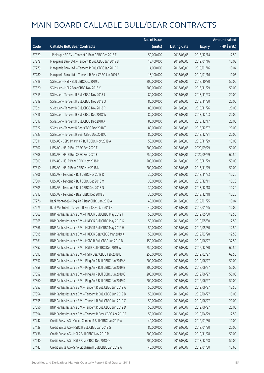|       |                                                            | No. of issue |                     |               | <b>Amount raised</b> |
|-------|------------------------------------------------------------|--------------|---------------------|---------------|----------------------|
| Code  | <b>Callable Bull/Bear Contracts</b>                        | (units)      | <b>Listing date</b> | <b>Expiry</b> | (HK\$ mil.)          |
| 57329 | J P Morgan SP BV - Tencent R Bear CBBC Dec 2018 E          | 50,000,000   | 2018/08/06          | 2018/12/14    | 12.50                |
| 57278 | Macquarie Bank Ltd. - Tencent R Bull CBBC Jan 2019 B       | 18,400,000   | 2018/08/06          | 2019/01/16    | 10.03                |
| 57279 | Macquarie Bank Ltd. - Tencent R Bull CBBC Jan 2019 C       | 14,000,000   | 2018/08/06          | 2019/01/16    | 10.04                |
| 57280 | Macquarie Bank Ltd. - Tencent R Bear CBBC Jan 2019 B       | 16,100,000   | 2018/08/06          | 2019/01/16    | 10.05                |
| 57318 | SG Issuer - HSI R Bull CBBC Oct 2019 D                     | 200,000,000  | 2018/08/06          | 2019/10/30    | 50.00                |
| 57320 | SG Issuer - HSI R Bear CBBC Nov 2018 K                     | 200,000,000  | 2018/08/06          | 2018/11/29    | 50.00                |
| 57315 | SG Issuer - Tencent R Bull CBBC Nov 2018 J                 | 80,000,000   | 2018/08/06          | 2018/11/23    | 20.00                |
| 57319 | SG Issuer - Tencent R Bull CBBC Nov 2018 Q                 | 80,000,000   | 2018/08/06          | 2018/11/30    | 20.00                |
| 57321 | SG Issuer - Tencent R Bull CBBC Nov 2018 R                 | 80,000,000   | 2018/08/06          | 2018/11/26    | 20.00                |
| 57316 | SG Issuer - Tencent R Bull CBBC Dec 2018 W                 | 80,000,000   | 2018/08/06          | 2018/12/03    | 20.00                |
| 57317 | SG Issuer - Tencent R Bull CBBC Dec 2018 X                 | 80,000,000   | 2018/08/06          | 2018/12/17    | 20.00                |
| 57322 | SG Issuer - Tencent R Bear CBBC Dec 2018 T                 | 80,000,000   | 2018/08/06          | 2018/12/07    | 20.00                |
| 57323 | SG Issuer - Tencent R Bear CBBC Dec 2018 U                 | 80,000,000   | 2018/08/06          | 2018/12/31    | 20.00                |
| 57311 | UBS AG - CSPC Pharma R Bull CBBC Nov 2018 A                | 50,000,000   | 2018/08/06          | 2018/11/29    | 13.00                |
| 57307 | UBS AG - HSI R Bull CBBC Sep 2020 E                        | 200,000,000  | 2018/08/06          | 2020/09/29    | 50.00                |
| 57308 | UBS AG - HSI R Bull CBBC Sep 2020 F                        | 250,000,000  | 2018/08/06          | 2020/09/29    | 62.50                |
| 57309 | UBS AG - HSI R Bear CBBC Nov 2018 M                        | 200,000,000  | 2018/08/06          | 2018/11/29    | 50.00                |
| 57310 | UBS AG - HSI R Bear CBBC Nov 2018 N                        | 200,000,000  | 2018/08/06          | 2018/11/29    | 50.00                |
| 57306 | UBS AG - Tencent R Bull CBBC Nov 2018 D                    | 30,000,000   | 2018/08/06          | 2018/11/23    | 10.20                |
| 57304 | UBS AG - Tencent R Bull CBBC Dec 2018 M                    | 30,000,000   | 2018/08/06          | 2018/12/11    | 10.20                |
| 57305 | UBS AG - Tencent R Bull CBBC Dec 2018 N                    | 30,000,000   | 2018/08/06          | 2018/12/18    | 10.20                |
| 57312 | UBS AG - Tencent R Bear CBBC Dec 2018 E                    | 30,000,000   | 2018/08/06          | 2018/12/18    | 10.20                |
| 57276 | Bank Vontobel - Ping An R Bear CBBC Jan 2019 A             | 40,000,000   | 2018/08/06          | 2019/01/25    | 10.04                |
| 57275 | Bank Vontobel - Tencent R Bear CBBC Jan 2019 B             | 40,000,000   | 2018/08/06          | 2019/01/25    | 10.00                |
| 57362 | BNP Paribas Issuance B.V. - HKEX R Bull CBBC May 2019 F    | 50,000,000   | 2018/08/07          | 2019/05/30    | 12.50                |
| 57365 | BNP Paribas Issuance B.V. - HKEX R Bull CBBC May 2019 G    | 50,000,000   | 2018/08/07          | 2019/05/30    | 12.50                |
| 57366 | BNP Paribas Issuance B.V. - HKEX R Bull CBBC May 2019 H    | 50,000,000   | 2018/08/07          | 2019/05/30    | 12.50                |
| 57395 | BNP Paribas Issuance B.V. - HKEX R Bear CBBC Mar 2019 K    | 50,000,000   | 2018/08/07          | 2019/03/28    | 12.50                |
| 57361 | BNP Paribas Issuance B.V. - HSBC R Bull CBBC Jun 2019 B    | 150,000,000  | 2018/08/07          | 2019/06/27    | 37.50                |
| 57352 | BNP Paribas Issuance B.V. - HSI R Bull CBBC Dec 2019 W     | 250,000,000  | 2018/08/07          | 2019/12/30    | 62.50                |
| 57393 | BNP Paribas Issuance B.V. - HSI R Bear CBBC Feb 2019 L     | 250,000,000  | 2018/08/07          | 2019/02/27    | 62.50                |
| 57357 | BNP Paribas Issuance B.V. - Ping An R Bull CBBC Jun 2019 A | 200,000,000  | 2018/08/07          | 2019/06/27    | 50.00                |
| 57358 | BNP Paribas Issuance B.V. - Ping An R Bull CBBC Jun 2019 B | 200,000,000  | 2018/08/07          | 2019/06/27    | 50.00                |
| 57359 | BNP Paribas Issuance B.V. - Ping An R Bull CBBC Jun 2019 C | 200,000,000  | 2018/08/07          | 2019/06/27    | 50.00                |
| 57360 | BNP Paribas Issuance B.V. - Ping An R Bull CBBC Jun 2019 D | 200,000,000  | 2018/08/07          | 2019/06/27    | 50.00                |
| 57353 | BNP Paribas Issuance B.V. - Tencent R Bull CBBC Jun 2019 A | 50,000,000   | 2018/08/07          | 2019/06/27    | 12.50                |
| 57354 | BNP Paribas Issuance B.V. - Tencent R Bull CBBC Jun 2019 B | 50,000,000   | 2018/08/07          | 2019/06/27    | 15.00                |
| 57355 | BNP Paribas Issuance B.V. - Tencent R Bull CBBC Jun 2019 C | 50,000,000   | 2018/08/07          | 2019/06/27    | 20.00                |
| 57356 | BNP Paribas Issuance B.V. - Tencent R Bull CBBC Jun 2019 D | 50,000,000   | 2018/08/07          | 2019/06/27    | 25.00                |
| 57394 | BNP Paribas Issuance B.V. - Tencent R Bear CBBC Apr 2019 E | 50,000,000   | 2018/08/07          | 2019/04/29    | 12.50                |
| 57442 | Credit Suisse AG - Conch Cement R Bull CBBC Jan 2019 A     | 40,000,000   | 2018/08/07          | 2019/01/30    | 10.00                |
| 57439 | Credit Suisse AG - HSBC R Bull CBBC Jan 2019 G             | 80,000,000   | 2018/08/07          | 2019/01/30    | 20.00                |
| 57436 | Credit Suisse AG - HSI R Bull CBBC Nov 2019 R              | 200,000,000  | 2018/08/07          | 2019/11/28    | 50.00                |
| 57440 | Credit Suisse AG - HSI R Bear CBBC Dec 2018 O              | 200,000,000  | 2018/08/07          | 2018/12/28    | 50.00                |
| 57443 | Credit Suisse AG - Sino Biopharm R Bull CBBC Jan 2019 A    | 40,000,000   | 2018/08/07          | 2019/01/30    | 13.60                |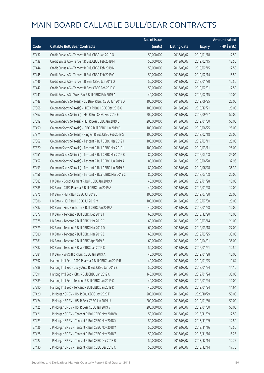|       |                                                          | No. of issue |                     |               | <b>Amount raised</b> |
|-------|----------------------------------------------------------|--------------|---------------------|---------------|----------------------|
| Code  | <b>Callable Bull/Bear Contracts</b>                      | (units)      | <b>Listing date</b> | <b>Expiry</b> | (HK\$ mil.)          |
| 57437 | Credit Suisse AG - Tencent R Bull CBBC Jan 2019 O        | 50,000,000   | 2018/08/07          | 2019/01/18    | 12.50                |
| 57438 | Credit Suisse AG - Tencent R Bull CBBC Feb 2019 M        | 50,000,000   | 2018/08/07          | 2019/02/15    | 12.50                |
| 57444 | Credit Suisse AG - Tencent R Bull CBBC Feb 2019 N        | 50,000,000   | 2018/08/07          | 2019/02/15    | 12.50                |
| 57445 | Credit Suisse AG - Tencent R Bull CBBC Feb 2019 O        | 50,000,000   | 2018/08/07          | 2019/02/14    | 15.50                |
| 57446 | Credit Suisse AG - Tencent R Bear CBBC Jan 2019 Q        | 50,000,000   | 2018/08/07          | 2019/01/30    | 12.50                |
| 57447 | Credit Suisse AG - Tencent R Bear CBBC Feb 2019 C        | 50,000,000   | 2018/08/07          | 2019/02/01    | 12.50                |
| 57441 | Credit Suisse AG - WuXi Bio R Bull CBBC Feb 2019 A       | 40,000,000   | 2018/08/07          | 2019/02/15    | 10.00                |
| 57448 | Goldman Sachs SP (Asia) - CC Bank R Bull CBBC Jun 2019 D | 100,000,000  | 2018/08/07          | 2019/06/25    | 25.00                |
| 57368 | Goldman Sachs SP (Asia) - HKEX R Bull CBBC Dec 2018 G    | 100,000,000  | 2018/08/07          | 2018/12/21    | 25.00                |
| 57367 | Goldman Sachs SP (Asia) - HSI R Bull CBBC Sep 2019 E     | 200,000,000  | 2018/08/07          | 2019/09/27    | 50.00                |
| 57399 | Goldman Sachs SP (Asia) - HSI R Bear CBBC Jan 2019 E     | 200,000,000  | 2018/08/07          | 2019/01/30    | 50.00                |
| 57450 | Goldman Sachs SP (Asia) - ICBC R Bull CBBC Jun 2019 D    | 100,000,000  | 2018/08/07          | 2019/06/25    | 25.00                |
| 57371 | Goldman Sachs SP (Asia) - Ping An R Bull CBBC Feb 2019 S | 100,000,000  | 2018/08/07          | 2019/02/18    | 25.00                |
| 57369 | Goldman Sachs SP (Asia) - Tencent R Bull CBBC Mar 2019 I | 100,000,000  | 2018/08/07          | 2019/03/11    | 25.00                |
| 57370 | Goldman Sachs SP (Asia) - Tencent R Bull CBBC Mar 2019 J | 100,000,000  | 2018/08/07          | 2019/03/11    | 25.00                |
| 57451 | Goldman Sachs SP (Asia) - Tencent R Bull CBBC Mar 2019 K | 80,000,000   | 2018/08/07          | 2019/03/08    | 29.04                |
| 57452 | Goldman Sachs SP (Asia) - Tencent R Bull CBBC Jun 2019 A | 80,000,000   | 2018/08/07          | 2019/06/28    | 32.96                |
| 57453 | Goldman Sachs SP (Asia) - Tencent R Bull CBBC Jun 2019 B | 80,000,000   | 2018/08/07          | 2019/06/28    | 36.32                |
| 57456 | Goldman Sachs SP (Asia) - Tencent R Bear CBBC Mar 2019 C | 80,000,000   | 2018/08/07          | 2019/03/08    | 20.00                |
| 57383 | HK Bank - Conch Cement R Bull CBBC Jan 2019 A            | 40,000,000   | 2018/08/07          | 2019/01/28    | 10.00                |
| 57385 | HK Bank - CSPC Pharma R Bull CBBC Jan 2019 A             | 40,000,000   | 2018/08/07          | 2019/01/28    | 12.00                |
| 57375 | HK Bank - HSI R Bull CBBC Jul 2019 L                     | 100,000,000  | 2018/08/07          | 2019/07/30    | 25.00                |
| 57386 | HK Bank - HSI R Bull CBBC Jul 2019 M                     | 100,000,000  | 2018/08/07          | 2019/07/30    | 25.00                |
| 57387 | HK Bank - Sino Biopharm R Bull CBBC Jan 2019 A           | 40,000,000   | 2018/08/07          | 2019/01/28    | 10.00                |
| 57377 | HK Bank - Tencent R Bull CBBC Dec 2018 T                 | 60,000,000   | 2018/08/07          | 2018/12/20    | 15.00                |
| 57378 | HK Bank - Tencent R Bull CBBC Mar 2019 C                 | 60,000,000   | 2018/08/07          | 2019/03/14    | 21.00                |
| 57379 | HK Bank - Tencent R Bull CBBC Mar 2019 D                 | 60,000,000   | 2018/08/07          | 2019/03/18    | 27.00                |
| 57380 | HK Bank - Tencent R Bull CBBC Mar 2019 E                 | 60,000,000   | 2018/08/07          | 2019/03/25    | 33.00                |
| 57381 | HK Bank - Tencent R Bull CBBC Apr 2019 B                 | 60,000,000   | 2018/08/07          | 2019/04/01    | 36.00                |
| 57382 | HK Bank - Tencent R Bear CBBC Jan 2019 C                 | 50,000,000   | 2018/08/07          | 2019/01/21    | 12.50                |
| 57384 | HK Bank - WuXi Bio R Bull CBBC Jan 2019 A                | 40,000,000   | 2018/08/07          | 2019/01/28    | 10.00                |
| 57392 | Haitong Int'l Sec - CSPC Pharma R Bull CBBC Jan 2019 B   | 40,000,000   | 2018/08/07          | 2019/01/25    | 11.64                |
| 57388 | Haitong Int'l Sec - Geely Auto R Bull CBBC Jan 2019 E    | 50,000,000   | 2018/08/07          | 2019/01/24    | 14.10                |
| 57391 | Haitong Int'l Sec - ICBC R Bull CBBC Jan 2019 C          | 140,000,000  | 2018/08/07          | 2019/01/24    | 35.00                |
| 57389 | Haitong Int'l Sec - Tencent R Bull CBBC Jan 2019 C       | 40,000,000   | 2018/08/07          | 2019/01/24    | 10.00                |
| 57390 | Haitong Int'l Sec - Tencent R Bull CBBC Jan 2019 D       | 40,000,000   | 2018/08/07          | 2019/01/24    | 14.64                |
| 57420 | J P Morgan SP BV - HSI R Bull CBBC Oct 2020 F            | 200,000,000  | 2018/08/07          | 2020/10/29    | 50.00                |
| 57424 | J P Morgan SP BV - HSI R Bear CBBC Jan 2019 U            | 200,000,000  | 2018/08/07          | 2019/01/30    | 50.00                |
| 57425 | J P Morgan SP BV - HSI R Bear CBBC Jan 2019 V            | 200,000,000  | 2018/08/07          | 2019/01/30    | 50.00                |
| 57421 | J P Morgan SP BV - Tencent R Bull CBBC Nov 2018 W        | 50,000,000   | 2018/08/07          | 2018/11/09    | 12.50                |
| 57423 | J P Morgan SP BV - Tencent R Bull CBBC Nov 2018 X        | 50,000,000   | 2018/08/07          | 2018/11/09    | 12.50                |
| 57426 | J P Morgan SP BV - Tencent R Bull CBBC Nov 2018 Y        | 50,000,000   | 2018/08/07          | 2018/11/16    | 12.50                |
| 57428 | J P Morgan SP BV - Tencent R Bull CBBC Nov 2018 Z        | 50,000,000   | 2018/08/07          | 2018/11/16    | 15.25                |
| 57427 | J P Morgan SP BV - Tencent R Bull CBBC Dec 2018 B        | 50,000,000   | 2018/08/07          | 2018/12/14    | 12.75                |
| 57430 | J P Morgan SP BV - Tencent R Bull CBBC Dec 2018 C        | 50,000,000   | 2018/08/07          | 2018/12/14    | 17.75                |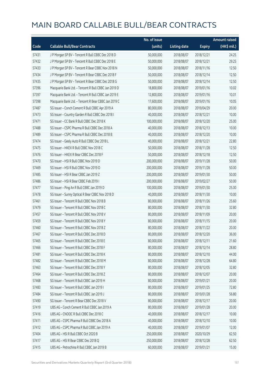|       |                                                      | No. of issue |                     |               | <b>Amount raised</b> |
|-------|------------------------------------------------------|--------------|---------------------|---------------|----------------------|
| Code  | <b>Callable Bull/Bear Contracts</b>                  | (units)      | <b>Listing date</b> | <b>Expiry</b> | (HK\$ mil.)          |
| 57431 | J P Morgan SP BV - Tencent R Bull CBBC Dec 2018 D    | 50,000,000   | 2018/08/07          | 2018/12/21    | 24.25                |
| 57432 | J P Morgan SP BV - Tencent R Bull CBBC Dec 2018 E    | 50,000,000   | 2018/08/07          | 2018/12/21    | 29.25                |
| 57433 | J P Morgan SP BV - Tencent R Bear CBBC Nov 2018 N    | 50,000,000   | 2018/08/07          | 2018/11/16    | 12.50                |
| 57434 | J P Morgan SP BV - Tencent R Bear CBBC Dec 2018 F    | 50,000,000   | 2018/08/07          | 2018/12/14    | 12.50                |
| 57435 | J P Morgan SP BV - Tencent R Bear CBBC Dec 2018 G    | 50,000,000   | 2018/08/07          | 2018/12/14    | 12.50                |
| 57396 | Macquarie Bank Ltd. - Tencent R Bull CBBC Jan 2019 D | 18,800,000   | 2018/08/07          | 2019/01/16    | 10.02                |
| 57397 | Macquarie Bank Ltd. - Tencent R Bull CBBC Jan 2019 E | 12,800,000   | 2018/08/07          | 2019/01/16    | 10.01                |
| 57398 | Macquarie Bank Ltd. - Tencent R Bear CBBC Jan 2019 C | 17,600,000   | 2018/08/07          | 2019/01/16    | 10.05                |
| 57487 | SG Issuer - Conch Cement R Bull CBBC Apr 2019 A      | 80,000,000   | 2018/08/07          | 2019/04/29    | 20.00                |
| 57473 | SG Issuer - Country Garden R Bull CBBC Dec 2018 I    | 40,000,000   | 2018/08/07          | 2018/12/21    | 10.00                |
| 57471 | SG Issuer - CC Bank R Bull CBBC Dec 2018 K           | 100,000,000  | 2018/08/07          | 2018/12/20    | 25.00                |
| 57488 | SG Issuer - CSPC Pharma R Bull CBBC Dec 2018 A       | 40,000,000   | 2018/08/07          | 2018/12/13    | 10.00                |
| 57489 | SG Issuer - CSPC Pharma R Bull CBBC Dec 2018 B       | 40,000,000   | 2018/08/07          | 2018/12/20    | 10.00                |
| 57474 | SG Issuer - Geely Auto R Bull CBBC Dec 2018 L        | 40,000,000   | 2018/08/07          | 2018/12/21    | 22.80                |
| 57475 | SG Issuer - HKEX R Bull CBBC Nov 2018 C              | 50,000,000   | 2018/08/07          | 2018/11/28    | 12.50                |
| 57476 | SG Issuer - HKEX R Bear CBBC Dec 2018 F              | 50,000,000   | 2018/08/07          | 2018/12/18    | 12.50                |
| 57470 | SG Issuer - HSI R Bull CBBC Nov 2019 D               | 200,000,000  | 2018/08/07          | 2019/11/28    | 50.00                |
| 57469 | SG Issuer - HSI R Bull CBBC Nov 2019 O               | 200,000,000  | 2018/08/07          | 2019/11/28    | 50.00                |
| 57485 | SG Issuer - HSI R Bear CBBC Jan 2019 Z               | 200,000,000  | 2018/08/07          | 2019/01/30    | 50.00                |
| 57486 | SG Issuer - HSI R Bear CBBC Feb 2019 I               | 200,000,000  | 2018/08/07          | 2019/02/27    | 50.00                |
| 57477 | SG Issuer - Ping An R Bull CBBC Jan 2019 D           | 100,000,000  | 2018/08/07          | 2019/01/30    | 25.00                |
| 57478 | SG Issuer - Sunny Optical R Bear CBBC Nov 2018 D     | 40,000,000   | 2018/08/07          | 2018/11/30    | 10.00                |
| 57461 | SG Issuer - Tencent R Bull CBBC Nov 2018 B           | 80,000,000   | 2018/08/07          | 2018/11/26    | 25.60                |
| 57479 | SG Issuer - Tencent R Bull CBBC Nov 2018 C           | 80,000,000   | 2018/08/07          | 2018/11/30    | 32.80                |
| 57457 | SG Issuer - Tencent R Bull CBBC Nov 2018 V           | 80,000,000   | 2018/08/07          | 2018/11/09    | 20.00                |
| 57459 | SG Issuer - Tencent R Bull CBBC Nov 2018 Y           | 80,000,000   | 2018/08/07          | 2018/11/15    | 20.00                |
| 57460 | SG Issuer - Tencent R Bull CBBC Nov 2018 Z           | 80,000,000   | 2018/08/07          | 2018/11/22    | 20.00                |
| 57467 | SG Issuer - Tencent R Bull CBBC Dec 2018 D           | 80,000,000   | 2018/08/07          | 2018/12/20    | 36.00                |
| 57465 | SG Issuer - Tencent R Bull CBBC Dec 2018 E           | 80,000,000   | 2018/08/07          | 2018/12/11    | 21.60                |
| 57466 | SG Issuer - Tencent R Bull CBBC Dec 2018 F           | 80,000,000   | 2018/08/07          | 2018/12/14    | 28.80                |
| 57481 | SG Issuer - Tencent R Bull CBBC Dec 2018 K           | 80,000,000   | 2018/08/07          | 2018/12/10    | 44.00                |
| 57482 | SG Issuer - Tencent R Bull CBBC Dec 2018 M           | 80,000,000   | 2018/08/07          | 2018/12/28    | 64.80                |
| 57463 | SG Issuer - Tencent R Bull CBBC Dec 2018 Y           | 80,000,000   | 2018/08/07          | 2018/12/05    | 32.80                |
| 57464 | SG Issuer - Tencent R Bull CBBC Dec 2018 Z           | 80,000,000   | 2018/08/07          | 2018/12/07    | 20.00                |
| 57468 | SG Issuer - Tencent R Bull CBBC Jan 2019 H           | 80,000,000   | 2018/08/07          | 2019/01/21    | 20.00                |
| 57483 | SG Issuer - Tencent R Bull CBBC Jan 2019 I           | 80,000,000   | 2018/08/07          | 2019/01/25    | 72.80                |
| 57484 | SG Issuer - Tencent R Bull CBBC Jan 2019 J           | 80,000,000   | 2018/08/07          | 2019/01/28    | 56.80                |
| 57490 | SG Issuer - Tencent R Bear CBBC Dec 2018 V           | 80,000,000   | 2018/08/07          | 2018/12/17    | 20.00                |
| 57419 | UBS AG - Conch Cement R Bull CBBC Jan 2019 A         | 80,000,000   | 2018/08/07          | 2019/01/28    | 20.00                |
| 57416 | UBS AG - CNOOC R Bull CBBC Dec 2018 C                | 40,000,000   | 2018/08/07          | 2018/12/17    | 10.00                |
| 57411 | UBS AG - CSPC Pharma R Bull CBBC Dec 2018 A          | 40,000,000   | 2018/08/07          | 2018/12/10    | 10.00                |
| 57412 | UBS AG - CSPC Pharma R Bull CBBC Jan 2019 A          | 40,000,000   | 2018/08/07          | 2019/01/07    | 12.00                |
| 57404 | UBS AG - HSI R Bull CBBC Oct 2020 B                  | 250,000,000  | 2018/08/07          | 2020/10/29    | 62.50                |
| 57417 | UBS AG - HSI R Bear CBBC Dec 2018 Q                  | 250,000,000  | 2018/08/07          | 2018/12/28    | 62.50                |
| 57415 | UBS AG - Petrochina R Bull CBBC Jan 2019 B           | 60,000,000   | 2018/08/07          | 2019/01/21    | 15.00                |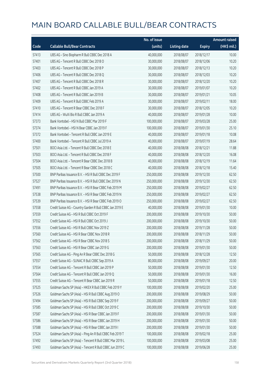|       |                                                          | No. of issue |                     |               | <b>Amount raised</b> |
|-------|----------------------------------------------------------|--------------|---------------------|---------------|----------------------|
| Code  | <b>Callable Bull/Bear Contracts</b>                      | (units)      | <b>Listing date</b> | <b>Expiry</b> | (HK\$ mil.)          |
| 57413 | UBS AG - Sino Biopharm R Bull CBBC Dec 2018 A            | 40,000,000   | 2018/08/07          | 2018/12/17    | 10.00                |
| 57401 | UBS AG - Tencent R Bull CBBC Dec 2018 O                  | 30,000,000   | 2018/08/07          | 2018/12/06    | 10.20                |
| 57403 | UBS AG - Tencent R Bull CBBC Dec 2018 P                  | 30,000,000   | 2018/08/07          | 2018/12/13    | 10.20                |
| 57406 | UBS AG - Tencent R Bull CBBC Dec 2018 Q                  | 30,000,000   | 2018/08/07          | 2018/12/03    | 10.20                |
| 57407 | UBS AG - Tencent R Bull CBBC Dec 2018 R                  | 30,000,000   | 2018/08/07          | 2018/12/20    | 10.20                |
| 57402 | UBS AG - Tencent R Bull CBBC Jan 2019 A                  | 30,000,000   | 2018/08/07          | 2019/01/07    | 10.20                |
| 57408 | UBS AG - Tencent R Bull CBBC Jan 2019 B                  | 30,000,000   | 2018/08/07          | 2019/01/21    | 10.05                |
| 57409 | UBS AG - Tencent R Bull CBBC Feb 2019 A                  | 30,000,000   | 2018/08/07          | 2019/02/11    | 18.00                |
| 57410 | UBS AG - Tencent R Bear CBBC Dec 2018 F                  | 30,000,000   | 2018/08/07          | 2018/12/05    | 10.20                |
| 57414 | UBS AG - WuXi Bio R Bull CBBC Jan 2019 A                 | 40,000,000   | 2018/08/07          | 2019/01/28    | 10.00                |
| 57373 | Bank Vontobel - HSI N Bull CBBC Mar 2019 F               | 100,000,000  | 2018/08/07          | 2019/03/28    | 25.00                |
| 57374 | Bank Vontobel - HSI N Bear CBBC Jan 2019 F               | 100,000,000  | 2018/08/07          | 2019/01/30    | 25.10                |
| 57372 | Bank Vontobel - Tencent R Bull CBBC Jan 2019 E           | 40,000,000   | 2018/08/07          | 2019/01/18    | 10.08                |
| 57400 | Bank Vontobel - Tencent R Bull CBBC Jul 2019 A           | 40,000,000   | 2018/08/07          | 2019/07/19    | 28.64                |
| 57501 | BOCI Asia Ltd. - Tencent R Bull CBBC Dec 2018 E          | 40,000,000   | 2018/08/08          | 2018/12/21    | 11.88                |
| 57503 | BOCI Asia Ltd. - Tencent R Bull CBBC Dec 2018 F          | 40,000,000   | 2018/08/08          | 2018/12/20    | 16.08                |
| 57504 | BOCI Asia Ltd. - Tencent R Bear CBBC Dec 2018 B          | 40,000,000   | 2018/08/08          | 2018/12/19    | 11.64                |
| 57505 | BOCI Asia Ltd. - Tencent R Bear CBBC Dec 2018 C          | 40,000,000   | 2018/08/08          | 2018/12/18    | 15.40                |
| 57500 | BNP Paribas Issuance B.V. - HSI R Bull CBBC Dec 2019 F   | 250,000,000  | 2018/08/08          | 2019/12/30    | 62.50                |
| 57527 | BNP Paribas Issuance B.V. - HSI R Bull CBBC Dec 2019 N   | 250,000,000  | 2018/08/08          | 2019/12/30    | 62.50                |
| 57491 | BNP Paribas Issuance B.V. - HSI R Bear CBBC Feb 2019 M   | 250,000,000  | 2018/08/08          | 2019/02/27    | 62.50                |
| 57538 | BNP Paribas Issuance B.V. - HSI R Bear CBBC Feb 2019 N   | 250,000,000  | 2018/08/08          | 2019/02/27    | 62.50                |
| 57539 | BNP Paribas Issuance B.V. - HSI R Bear CBBC Feb 2019 O   | 250,000,000  | 2018/08/08          | 2019/02/27    | 62.50                |
| 57558 | Credit Suisse AG - Country Garden R Bull CBBC Jan 2019 E | 40,000,000   | 2018/08/08          | 2019/01/30    | 10.00                |
| 57559 | Credit Suisse AG - HSI R Bull CBBC Oct 2019 F            | 200,000,000  | 2018/08/08          | 2019/10/30    | 50.00                |
| 57552 | Credit Suisse AG - HSI R Bull CBBC Oct 2019 J            | 200,000,000  | 2018/08/08          | 2019/10/30    | 50.00                |
| 57556 | Credit Suisse AG - HSI R Bull CBBC Nov 2019 Z            | 200,000,000  | 2018/08/08          | 2019/11/28    | 50.00                |
| 57560 | Credit Suisse AG - HSI R Bear CBBC Nov 2018 R            | 200,000,000  | 2018/08/08          | 2018/11/29    | 50.00                |
| 57562 | Credit Suisse AG - HSI R Bear CBBC Nov 2018 S            | 200,000,000  | 2018/08/08          | 2018/11/29    | 50.00                |
| 57563 | Credit Suisse AG - HSI R Bear CBBC Jan 2019 G            | 200,000,000  | 2018/08/08          | 2019/01/30    | 50.00                |
| 57565 | Credit Suisse AG - Ping An R Bear CBBC Dec 2018 G        | 50,000,000   | 2018/08/08          | 2018/12/28    | 12.50                |
| 57557 | Credit Suisse AG - SUNAC R Bull CBBC Sep 2019 A          | 80,000,000   | 2018/08/08          | 2019/09/27    | 20.00                |
| 57554 | Credit Suisse AG - Tencent R Bull CBBC Jan 2019 P        | 50,000,000   | 2018/08/08          | 2019/01/30    | 12.50                |
| 57564 | Credit Suisse AG - Tencent R Bull CBBC Jan 2019 Q        | 50,000,000   | 2018/08/08          | 2019/01/30    | 16.00                |
| 57555 | Credit Suisse AG - Tencent R Bear CBBC Jan 2019 R        | 50,000,000   | 2018/08/08          | 2019/01/18    | 12.50                |
| 57525 | Goldman Sachs SP (Asia) - HKEX R Bull CBBC Feb 2019 Y    | 100,000,000  | 2018/08/08          | 2019/02/20    | 25.00                |
| 57526 | Goldman Sachs SP (Asia) - HSI R Bull CBBC Aug 2019 O     | 200,000,000  | 2018/08/08          | 2019/08/29    | 50.00                |
| 57494 | Goldman Sachs SP (Asia) - HSI R Bull CBBC Sep 2019 F     | 200,000,000  | 2018/08/08          | 2019/09/27    | 50.00                |
| 57585 | Goldman Sachs SP (Asia) - HSI R Bull CBBC Oct 2019 C     | 200,000,000  | 2018/08/08          | 2019/10/30    | 50.00                |
| 57587 | Goldman Sachs SP (Asia) - HSI R Bear CBBC Jan 2019 F     | 200,000,000  | 2018/08/08          | 2019/01/30    | 50.00                |
| 57586 | Goldman Sachs SP (Asia) - HSI R Bear CBBC Jan 2019 H     | 200,000,000  | 2018/08/08          | 2019/01/30    | 50.00                |
| 57588 | Goldman Sachs SP (Asia) - HSI R Bear CBBC Jan 2019 I     | 200,000,000  | 2018/08/08          | 2019/01/30    | 50.00                |
| 57524 | Goldman Sachs SP (Asia) - Ping An R Bull CBBC Feb 2019 T | 100,000,000  | 2018/08/08          | 2019/02/18    | 25.00                |
| 57492 | Goldman Sachs SP (Asia) - Tencent R Bull CBBC Mar 2019 L | 100,000,000  | 2018/08/08          | 2019/03/08    | 25.00                |
| 57493 | Goldman Sachs SP (Asia) - Tencent R Bull CBBC Jun 2019 C | 100,000,000  | 2018/08/08          | 2019/06/28    | 25.00                |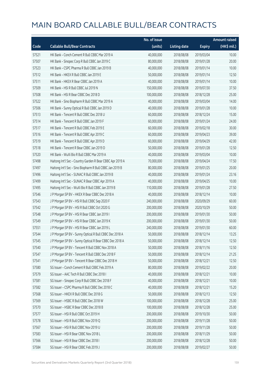|       |                                                           | No. of issue |                     |               | <b>Amount raised</b>  |
|-------|-----------------------------------------------------------|--------------|---------------------|---------------|-----------------------|
| Code  | <b>Callable Bull/Bear Contracts</b>                       | (units)      | <b>Listing date</b> | <b>Expiry</b> | $(HK\frac{1}{2}mil.)$ |
| 57521 | HK Bank - Conch Cement R Bull CBBC Mar 2019 A             | 40,000,000   | 2018/08/08          | 2019/03/04    | 10.00                 |
| 57507 | HK Bank - Sinopec Corp R Bull CBBC Jan 2019 C             | 80,000,000   | 2018/08/08          | 2019/01/28    | 20.00                 |
| 57523 | HK Bank - CSPC Pharma R Bull CBBC Jan 2019 B              | 40,000,000   | 2018/08/08          | 2019/01/14    | 10.00                 |
| 57512 | HK Bank - HKEX R Bull CBBC Jan 2019 E                     | 50,000,000   | 2018/08/08          | 2019/01/14    | 12.50                 |
| 57511 | HK Bank - HKEX R Bear CBBC Jan 2019 A                     | 40,000,000   | 2018/08/08          | 2019/01/14    | 10.00                 |
| 57509 | HK Bank - HSI R Bull CBBC Jul 2019 N                      | 150,000,000  | 2018/08/08          | 2019/07/30    | 37.50                 |
| 57508 | HK Bank - HSI R Bear CBBC Dec 2018 D                      | 100,000,000  | 2018/08/08          | 2018/12/28    | 25.00                 |
| 57522 | HK Bank - Sino Biopharm R Bull CBBC Mar 2019 A            | 40,000,000   | 2018/08/08          | 2019/03/04    | 14.00                 |
| 57506 | HK Bank - Sunny Optical R Bull CBBC Jan 2019 D            | 40,000,000   | 2018/08/08          | 2019/01/28    | 10.00                 |
| 57513 | HK Bank - Tencent R Bull CBBC Dec 2018 U                  | 60,000,000   | 2018/08/08          | 2018/12/24    | 15.00                 |
| 57514 | HK Bank - Tencent R Bull CBBC Jan 2019 F                  | 60,000,000   | 2018/08/08          | 2019/01/24    | 24.00                 |
| 57517 | HK Bank - Tencent R Bull CBBC Feb 2019 E                  | 60,000,000   | 2018/08/08          | 2019/02/18    | 30.00                 |
| 57516 | HK Bank - Tencent R Bull CBBC Apr 2019 C                  | 60,000,000   | 2018/08/08          | 2019/04/23    | 39.00                 |
| 57519 | HK Bank - Tencent R Bull CBBC Apr 2019 D                  | 60,000,000   | 2018/08/08          | 2019/04/29    | 42.00                 |
| 57518 | HK Bank - Tencent R Bear CBBC Jan 2019 D                  | 50,000,000   | 2018/08/08          | 2019/01/28    | 12.50                 |
| 57520 | HK Bank - WuXi Bio R Bull CBBC Mar 2019 A                 | 40,000,000   | 2018/08/08          | 2019/03/04    | 10.00                 |
| 57498 | Haitong Int'l Sec - Country Garden R Bear CBBC Apr 2019 A | 70,000,000   | 2018/08/08          | 2019/04/24    | 17.50                 |
| 57497 | Haitong Int'l Sec - Sino Biopharm R Bull CBBC Jan 2019 B  | 80,000,000   | 2018/08/08          | 2019/01/25    | 20.00                 |
| 57496 | Haitong Int'l Sec - SUNAC R Bull CBBC Jan 2019 B          | 40,000,000   | 2018/08/08          | 2019/01/24    | 23.16                 |
| 57499 | Haitong Int'l Sec - SUNAC R Bear CBBC Apr 2019 A          | 40,000,000   | 2018/08/08          | 2019/04/25    | 10.00                 |
| 57495 | Haitong Int'l Sec - WuXi Bio R Bull CBBC Jan 2019 B       | 110,000,000  | 2018/08/08          | 2019/01/28    | 27.50                 |
| 57546 | J P Morgan SP BV - HKEX R Bear CBBC Dec 2018 A            | 40,000,000   | 2018/08/08          | 2018/12/14    | 10.00                 |
| 57543 | J P Morgan SP BV - HSI R Bull CBBC Sep 2020 F             | 240,000,000  | 2018/08/08          | 2020/09/29    | 60.00                 |
| 57542 | J P Morgan SP BV - HSI R Bull CBBC Oct 2020 G             | 200,000,000  | 2018/08/08          | 2020/10/29    | 50.00                 |
| 57548 | J P Morgan SP BV - HSI R Bear CBBC Jan 2019 I             | 200,000,000  | 2018/08/08          | 2019/01/30    | 50.00                 |
| 57549 | J P Morgan SP BV - HSI R Bear CBBC Jan 2019 K             | 200,000,000  | 2018/08/08          | 2019/01/30    | 50.00                 |
| 57551 | J P Morgan SP BV - HSI R Bear CBBC Jan 2019 L             | 240,000,000  | 2018/08/08          | 2019/01/30    | 60.00                 |
| 57544 | J P Morgan SP BV - Sunny Optical R Bull CBBC Dec 2018 A   | 50,000,000   | 2018/08/08          | 2018/12/14    | 13.25                 |
| 57545 | J P Morgan SP BV - Sunny Optical R Bear CBBC Dec 2018 A   | 50,000,000   | 2018/08/08          | 2018/12/14    | 12.50                 |
| 57540 | J P Morgan SP BV - Tencent R Bull CBBC Nov 2018 A         | 50,000,000   | 2018/08/08          | 2018/11/16    | 12.50                 |
| 57547 | J P Morgan SP BV - Tencent R Bull CBBC Dec 2018 F         | 50,000,000   | 2018/08/08          | 2018/12/14    | 21.25                 |
| 57541 | J P Morgan SP BV - Tencent R Bear CBBC Dec 2018 H         | 50,000,000   | 2018/08/08          | 2018/12/21    | 12.50                 |
| 57580 | SG Issuer - Conch Cement R Bull CBBC Feb 2019 A           | 80,000,000   | 2018/08/08          | 2019/02/22    | 20.00                 |
| 57579 | SG Issuer - AAC Tech R Bull CBBC Dec 2018 I               | 40,000,000   | 2018/08/08          | 2018/12/21    | 10.00                 |
| 57581 | SG Issuer - Sinopec Corp R Bull CBBC Dec 2018 F           | 40,000,000   | 2018/08/08          | 2018/12/21    | 10.00                 |
| 57582 | SG Issuer - CSPC Pharma R Bull CBBC Dec 2018 C            | 40,000,000   | 2018/08/08          | 2018/12/21    | 15.20                 |
| 57568 | SG Issuer - HKEX R Bull CBBC Dec 2018 G                   | 50,000,000   | 2018/08/08          | 2018/12/13    | 12.50                 |
| 57569 | SG Issuer - HSBC R Bull CBBC Dec 2018 W                   | 100,000,000  | 2018/08/08          | 2018/12/28    | 25.00                 |
| 57570 | SG Issuer - HSBC R Bear CBBC Dec 2018 B                   | 100,000,000  | 2018/08/08          | 2018/12/28    | 25.00                 |
| 57577 | SG Issuer - HSI R Bull CBBC Oct 2019 H                    | 200,000,000  | 2018/08/08          | 2019/10/30    | 50.00                 |
| 57578 | SG Issuer - HSI R Bull CBBC Nov 2019 Q                    | 200,000,000  | 2018/08/08          | 2019/11/28    | 50.00                 |
| 57567 | SG Issuer - HSI R Bull CBBC Nov 2019 U                    | 200,000,000  | 2018/08/08          | 2019/11/28    | 50.00                 |
| 57583 | SG Issuer - HSI R Bear CBBC Nov 2018 L                    | 200,000,000  | 2018/08/08          | 2018/11/29    | 50.00                 |
| 57566 | SG Issuer - HSI R Bear CBBC Dec 2018 I                    | 200,000,000  | 2018/08/08          | 2018/12/28    | 50.00                 |
| 57584 | SG Issuer - HSI R Bear CBBC Feb 2019 J                    | 200,000,000  | 2018/08/08          | 2019/02/27    | 50.00                 |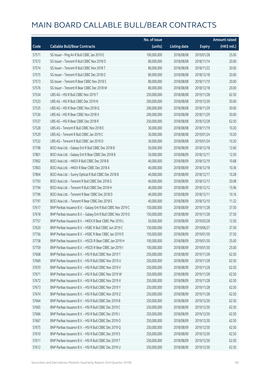|       |                                                               | No. of issue |                     |               | <b>Amount raised</b> |
|-------|---------------------------------------------------------------|--------------|---------------------|---------------|----------------------|
| Code  | <b>Callable Bull/Bear Contracts</b>                           | (units)      | <b>Listing date</b> | <b>Expiry</b> | (HK\$ mil.)          |
| 57571 | SG Issuer - Ping An R Bull CBBC Jan 2019 E                    | 100,000,000  | 2018/08/08          | 2019/01/28    | 25.00                |
| 57572 | SG Issuer - Tencent R Bull CBBC Nov 2018 O                    | 80,000,000   | 2018/08/08          | 2018/11/14    | 20.00                |
| 57574 | SG Issuer - Tencent R Bull CBBC Nov 2018 T                    | 80,000,000   | 2018/08/08          | 2018/11/22    | 20.00                |
| 57575 | SG Issuer - Tencent R Bull CBBC Dec 2018 O                    | 80,000,000   | 2018/08/08          | 2018/12/18    | 20.00                |
| 57573 | SG Issuer - Tencent R Bear CBBC Nov 2018 S                    | 80,000,000   | 2018/08/08          | 2018/11/19    | 20.00                |
| 57576 | SG Issuer - Tencent R Bear CBBC Dec 2018 W                    | 80,000,000   | 2018/08/08          | 2018/12/18    | 20.00                |
| 57534 | UBS AG - HSI R Bull CBBC Nov 2019 T                           | 250,000,000  | 2018/08/08          | 2019/11/28    | 62.50                |
| 57533 | UBS AG - HSI R Bull CBBC Dec 2019 N                           | 200,000,000  | 2018/08/08          | 2019/12/30    | 50.00                |
| 57535 | UBS AG - HSI R Bear CBBC Nov 2018 Q                           | 200,000,000  | 2018/08/08          | 2018/11/29    | 50.00                |
| 57536 | UBS AG - HSI R Bear CBBC Nov 2018 X                           | 200,000,000  | 2018/08/08          | 2018/11/29    | 50.00                |
| 57537 | UBS AG - HSI R Bear CBBC Dec 2018 R                           | 250,000,000  | 2018/08/08          | 2018/12/28    | 62.50                |
| 57528 | UBS AG - Tencent R Bull CBBC Nov 2018 E                       | 30,000,000   | 2018/08/08          | 2018/11/19    | 10.20                |
| 57529 | UBS AG - Tencent R Bull CBBC Jan 2019 C                       | 30,000,000   | 2018/08/08          | 2019/01/24    | 10.20                |
| 57532 | UBS AG - Tencent R Bull CBBC Jan 2019 D                       | 30,000,000   | 2018/08/08          | 2019/01/24    | 10.20                |
| 57798 | BOCI Asia Ltd. - Galaxy Ent R Bull CBBC Dec 2018 B            | 50,000,000   | 2018/08/09          | 2018/12/18    | 12.60                |
| 57801 | BOCI Asia Ltd. - Galaxy Ent R Bear CBBC Dec 2018 B            | 50,000,000   | 2018/08/09          | 2018/12/17    | 12.50                |
| 57802 | BOCI Asia Ltd. - HKEX R Bull CBBC Dec 2018 B                  | 40,000,000   | 2018/08/09          | 2018/12/19    | 10.68                |
| 57803 | BOCI Asia Ltd. - HKEX R Bear CBBC Dec 2018 A                  | 40,000,000   | 2018/08/09          | 2018/12/18    | 10.36                |
| 57804 | BOCI Asia Ltd. - Sunny Optical R Bull CBBC Dec 2018 B         | 40,000,000   | 2018/08/09          | 2018/12/17    | 10.28                |
| 57793 | BOCI Asia Ltd. - Tencent R Bull CBBC Dec 2018 G               | 40,000,000   | 2018/08/09          | 2018/12/13    | 20.08                |
| 57794 | BOCI Asia Ltd. - Tencent R Bull CBBC Dec 2018 H               | 40,000,000   | 2018/08/09          | 2018/12/12    | 15.96                |
| 57796 | BOCI Asia Ltd. - Tencent R Bear CBBC Dec 2018 D               | 40,000,000   | 2018/08/09          | 2018/12/11    | 10.16                |
| 57797 | BOCI Asia Ltd. - Tencent R Bear CBBC Dec 2018 E               | 40,000,000   | 2018/08/09          | 2018/12/10    | 11.32                |
| 57617 | BNP Paribas Issuance B.V. - Galaxy Ent R Bull CBBC Nov 2019 C | 150,000,000  | 2018/08/09          | 2019/11/28    | 37.50                |
| 57618 | BNP Paribas Issuance B.V. - Galaxy Ent R Bull CBBC Nov 2019 D | 150,000,000  | 2018/08/09          | 2019/11/28    | 37.50                |
| 57757 | BNP Paribas Issuance B.V. - HKEX R Bear CBBC Mar 2019 L       | 50,000,000   | 2018/08/09          | 2019/03/28    | 12.50                |
| 57620 | BNP Paribas Issuance B.V. - HSBC R Bull CBBC Jun 2019 C       | 150,000,000  | 2018/08/09          | 2019/06/27    | 37.50                |
| 57756 | BNP Paribas Issuance B.V. - HSBC R Bear CBBC Jan 2019 D       | 150,000,000  | 2018/08/09          | 2019/01/30    | 37.50                |
| 57758 | BNP Paribas Issuance B.V. - HSCEI R Bear CBBC Jan 2019 H      | 100,000,000  | 2018/08/09          | 2019/01/30    | 25.00                |
| 57759 | BNP Paribas Issuance B.V. - HSCEI R Bear CBBC Jan 2019 I      | 100,000,000  | 2018/08/09          | 2019/01/30    | 25.00                |
| 57668 | BNP Paribas Issuance B.V. - HSI R Bull CBBC Nov 2019 T        | 250,000,000  | 2018/08/09          | 2019/11/28    | 62.50                |
| 57669 | BNP Paribas Issuance B.V. - HSI R Bull CBBC Nov 2019 U        | 250,000,000  | 2018/08/09          | 2019/11/28    | 62.50                |
| 57670 | BNP Paribas Issuance B.V. - HSI R Bull CBBC Nov 2019 V        | 250,000,000  | 2018/08/09          | 2019/11/28    | 62.50                |
| 57671 | BNP Paribas Issuance B.V. - HSI R Bull CBBC Nov 2019 W        | 250,000,000  | 2018/08/09          | 2019/11/28    | 62.50                |
| 57672 | BNP Paribas Issuance B.V. - HSI R Bull CBBC Nov 2019 X        | 250,000,000  | 2018/08/09          | 2019/11/28    | 62.50                |
| 57673 | BNP Paribas Issuance B.V. - HSI R Bull CBBC Nov 2019 Y        | 250,000,000  | 2018/08/09          | 2019/11/28    | 62.50                |
| 57674 | BNP Paribas Issuance B.V. - HSI R Bull CBBC Nov 2019 Z        | 250,000,000  | 2018/08/09          | 2019/11/28    | 62.50                |
| 57664 | BNP Paribas Issuance B.V. - HSI R Bull CBBC Dec 2019 B        | 250,000,000  | 2018/08/09          | 2019/12/30    | 62.50                |
| 57665 | BNP Paribas Issuance B.V. - HSI R Bull CBBC Dec 2019 C        | 250,000,000  | 2018/08/09          | 2019/12/30    | 62.50                |
| 57666 | BNP Paribas Issuance B.V. - HSI R Bull CBBC Dec 2019 J        | 250,000,000  | 2018/08/09          | 2019/12/30    | 62.50                |
| 57667 | BNP Paribas Issuance B.V. - HSI R Bull CBBC Dec 2019 O        | 250,000,000  | 2018/08/09          | 2019/12/30    | 62.50                |
| 57675 | BNP Paribas Issuance B.V. - HSI R Bull CBBC Dec 2019 Q        | 250,000,000  | 2018/08/09          | 2019/12/30    | 62.50                |
| 57610 | BNP Paribas Issuance B.V. - HSI R Bull CBBC Dec 2019 S        | 250,000,000  | 2018/08/09          | 2019/12/30    | 62.50                |
| 57611 | BNP Paribas Issuance B.V. - HSI R Bull CBBC Dec 2019 T        | 250,000,000  | 2018/08/09          | 2019/12/30    | 62.50                |
| 57612 | BNP Paribas Issuance B.V. - HSI R Bull CBBC Dec 2019 U        | 250,000,000  | 2018/08/09          | 2019/12/30    | 62.50                |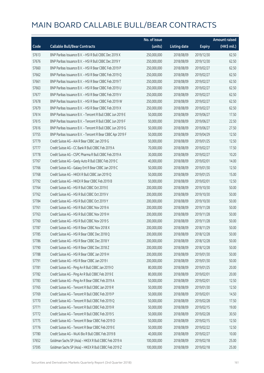|       |                                                            | No. of issue |                     |               | <b>Amount raised</b> |
|-------|------------------------------------------------------------|--------------|---------------------|---------------|----------------------|
| Code  | <b>Callable Bull/Bear Contracts</b>                        | (units)      | <b>Listing date</b> | <b>Expiry</b> | (HK\$ mil.)          |
| 57613 | BNP Paribas Issuance B.V. - HSI R Bull CBBC Dec 2019 X     | 250,000,000  | 2018/08/09          | 2019/12/30    | 62.50                |
| 57676 | BNP Paribas Issuance B.V. - HSI R Bull CBBC Dec 2019 Y     | 250,000,000  | 2018/08/09          | 2019/12/30    | 62.50                |
| 57660 | BNP Paribas Issuance B.V. - HSI R Bear CBBC Feb 2019 P     | 250,000,000  | 2018/08/09          | 2019/02/27    | 62.50                |
| 57662 | BNP Paribas Issuance B.V. - HSI R Bear CBBC Feb 2019 Q     | 250,000,000  | 2018/08/09          | 2019/02/27    | 62.50                |
| 57661 | BNP Paribas Issuance B.V. - HSI R Bear CBBC Feb 2019 T     | 250,000,000  | 2018/08/09          | 2019/02/27    | 62.50                |
| 57663 | BNP Paribas Issuance B.V. - HSI R Bear CBBC Feb 2019 U     | 250,000,000  | 2018/08/09          | 2019/02/27    | 62.50                |
| 57677 | BNP Paribas Issuance B.V. - HSI R Bear CBBC Feb 2019 V     | 250,000,000  | 2018/08/09          | 2019/02/27    | 62.50                |
| 57678 | BNP Paribas Issuance B.V. - HSI R Bear CBBC Feb 2019 W     | 250,000,000  | 2018/08/09          | 2019/02/27    | 62.50                |
| 57679 | BNP Paribas Issuance B.V. - HSI R Bear CBBC Feb 2019 X     | 250,000,000  | 2018/08/09          | 2019/02/27    | 62.50                |
| 57614 | BNP Paribas Issuance B.V. - Tencent R Bull CBBC Jun 2019 E | 50,000,000   | 2018/08/09          | 2019/06/27    | 17.50                |
| 57615 | BNP Paribas Issuance B.V. - Tencent R Bull CBBC Jun 2019 F | 50,000,000   | 2018/08/09          | 2019/06/27    | 22.50                |
| 57616 | BNP Paribas Issuance B.V. - Tencent R Bull CBBC Jun 2019 G | 50,000,000   | 2018/08/09          | 2019/06/27    | 27.50                |
| 57755 | BNP Paribas Issuance B.V. - Tencent R Bear CBBC Apr 2019 F | 50,000,000   | 2018/08/09          | 2019/04/29    | 12.50                |
| 57779 | Credit Suisse AG - AIA R Bear CBBC Jan 2019 G              | 50,000,000   | 2018/08/09          | 2019/01/25    | 12.50                |
| 57777 | Credit Suisse AG - CC Bank R Bull CBBC Feb 2019 A          | 70,000,000   | 2018/08/09          | 2019/02/27    | 17.50                |
| 57778 | Credit Suisse AG - CSPC Pharma R Bull CBBC Feb 2019 A      | 30,000,000   | 2018/08/09          | 2019/02/27    | 10.20                |
| 57767 | Credit Suisse AG - Geely Auto R Bull CBBC Feb 2019 C       | 40,000,000   | 2018/08/09          | 2019/02/01    | 14.00                |
| 57766 | Credit Suisse AG - Galaxy Ent R Bear CBBC Jan 2019 C       | 50,000,000   | 2018/08/09          | 2019/01/30    | 12.50                |
| 57768 | Credit Suisse AG - HKEX R Bull CBBC Jan 2019 Q             | 50,000,000   | 2018/08/09          | 2019/01/25    | 15.00                |
| 57792 | Credit Suisse AG - HKEX R Bear CBBC Feb 2019 B             | 50,000,000   | 2018/08/09          | 2019/02/01    | 12.50                |
| 57764 | Credit Suisse AG - HSI R Bull CBBC Oct 2019 E              | 200,000,000  | 2018/08/09          | 2019/10/30    | 50.00                |
| 57762 | Credit Suisse AG - HSI R Bull CBBC Oct 2019 V              | 200,000,000  | 2018/08/09          | 2019/10/30    | 50.00                |
| 57784 | Credit Suisse AG - HSI R Bull CBBC Oct 2019 Y              | 200,000,000  | 2018/08/09          | 2019/10/30    | 50.00                |
| 57761 | Credit Suisse AG - HSI R Bull CBBC Nov 2019 A              | 200,000,000  | 2018/08/09          | 2019/11/28    | 50.00                |
| 57763 | Credit Suisse AG - HSI R Bull CBBC Nov 2019 H              | 200,000,000  | 2018/08/09          | 2019/11/28    | 50.00                |
| 57760 | Credit Suisse AG - HSI R Bull CBBC Nov 2019 S              | 200,000,000  | 2018/08/09          | 2019/11/28    | 50.00                |
| 57787 | Credit Suisse AG - HSI R Bear CBBC Nov 2018 X              | 200,000,000  | 2018/08/09          | 2018/11/29    | 50.00                |
| 57785 | Credit Suisse AG - HSI R Bear CBBC Dec 2018 Q              | 200,000,000  | 2018/08/09          | 2018/12/28    | 50.00                |
| 57786 | Credit Suisse AG - HSI R Bear CBBC Dec 2018 Y              | 200,000,000  | 2018/08/09          | 2018/12/28    | 50.00                |
| 57790 | Credit Suisse AG - HSI R Bear CBBC Dec 2018 Z              | 200,000,000  | 2018/08/09          | 2018/12/28    | 50.00                |
| 57788 | Credit Suisse AG - HSI R Bear CBBC Jan 2019 H              | 200,000,000  | 2018/08/09          | 2019/01/30    | 50.00                |
| 57791 | Credit Suisse AG - HSI R Bear CBBC Jan 2019 I              | 200,000,000  | 2018/08/09          | 2019/01/30    | 50.00                |
| 57781 | Credit Suisse AG - Ping An R Bull CBBC Jan 2019 O          | 80,000,000   | 2018/08/09          | 2019/01/25    | 20.00                |
| 57782 | Credit Suisse AG - Ping An R Bull CBBC Feb 2019 E          | 80,000,000   | 2018/08/09          | 2019/02/01    | 20.00                |
| 57783 | Credit Suisse AG - Ping An R Bear CBBC Feb 2019 A          | 50,000,000   | 2018/08/09          | 2019/02/01    | 12.50                |
| 57765 | Credit Suisse AG - Tencent R Bull CBBC Jan 2019 R          | 50,000,000   | 2018/08/09          | 2019/01/30    | 12.50                |
| 57769 | Credit Suisse AG - Tencent R Bull CBBC Feb 2019 P          | 50,000,000   | 2018/08/09          | 2019/02/01    | 14.50                |
| 57770 | Credit Suisse AG - Tencent R Bull CBBC Feb 2019 Q          | 50,000,000   | 2018/08/09          | 2019/02/28    | 17.50                |
| 57771 | Credit Suisse AG - Tencent R Bull CBBC Feb 2019 R          | 50,000,000   | 2018/08/09          | 2019/02/15    | 19.00                |
| 57772 | Credit Suisse AG - Tencent R Bull CBBC Feb 2019 S          | 50,000,000   | 2018/08/09          | 2019/02/28    | 30.50                |
| 57775 | Credit Suisse AG - Tencent R Bear CBBC Feb 2019 D          | 50,000,000   | 2018/08/09          | 2019/02/15    | 12.50                |
| 57776 | Credit Suisse AG - Tencent R Bear CBBC Feb 2019 E          | 50,000,000   | 2018/08/09          | 2019/02/22    | 12.50                |
| 57780 | Credit Suisse AG - WuXi Bio R Bull CBBC Feb 2019 B         | 40,000,000   | 2018/08/09          | 2019/02/27    | 10.00                |
| 57652 | Goldman Sachs SP (Asia) - HKEX R Bull CBBC Feb 2019 A      | 100,000,000  | 2018/08/09          | 2019/02/18    | 25.00                |
| 57595 | Goldman Sachs SP (Asia) - HKEX R Bull CBBC Feb 2019 Z      | 100,000,000  | 2018/08/09          | 2019/02/18    | 25.00                |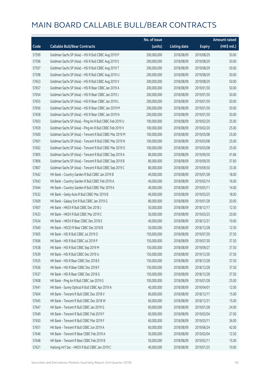|       |                                                          | No. of issue |                     |               | <b>Amount raised</b> |
|-------|----------------------------------------------------------|--------------|---------------------|---------------|----------------------|
| Code  | <b>Callable Bull/Bear Contracts</b>                      | (units)      | <b>Listing date</b> | <b>Expiry</b> | (HK\$ mil.)          |
| 57599 | Goldman Sachs SP (Asia) - HSI R Bull CBBC Aug 2019 P     | 200,000,000  | 2018/08/09          | 2019/08/29    | 50.00                |
| 57596 | Goldman Sachs SP (Asia) - HSI R Bull CBBC Aug 2019 S     | 200,000,000  | 2018/08/09          | 2019/08/29    | 50.00                |
| 57597 | Goldman Sachs SP (Asia) - HSI R Bull CBBC Aug 2019 T     | 200,000,000  | 2018/08/09          | 2019/08/29    | 50.00                |
| 57598 | Goldman Sachs SP (Asia) - HSI R Bull CBBC Aug 2019 U     | 200,000,000  | 2018/08/09          | 2019/08/29    | 50.00                |
| 57653 | Goldman Sachs SP (Asia) - HSI R Bull CBBC Aug 2019 V     | 200,000,000  | 2018/08/09          | 2019/08/29    | 50.00                |
| 57657 | Goldman Sachs SP (Asia) - HSI R Bear CBBC Jan 2019 A     | 200,000,000  | 2018/08/09          | 2019/01/30    | 50.00                |
| 57654 | Goldman Sachs SP (Asia) - HSI R Bear CBBC Jan 2019 J     | 200,000,000  | 2018/08/09          | 2019/01/30    | 50.00                |
| 57655 | Goldman Sachs SP (Asia) - HSI R Bear CBBC Jan 2019 L     | 200,000,000  | 2018/08/09          | 2019/01/30    | 50.00                |
| 57656 | Goldman Sachs SP (Asia) - HSI R Bear CBBC Jan 2019 M     | 200,000,000  | 2018/08/09          | 2019/01/30    | 50.00                |
| 57658 | Goldman Sachs SP (Asia) - HSI R Bear CBBC Jan 2019 N     | 200,000,000  | 2018/08/09          | 2019/01/30    | 50.00                |
| 57603 | Goldman Sachs SP (Asia) - Ping An R Bull CBBC Feb 2019 U | 100,000,000  | 2018/08/09          | 2019/02/20    | 25.00                |
| 57659 | Goldman Sachs SP (Asia) - Ping An R Bull CBBC Feb 2019 V | 100,000,000  | 2018/08/09          | 2019/02/20    | 25.00                |
| 57600 | Goldman Sachs SP (Asia) - Tencent R Bull CBBC Mar 2019 M | 100,000,000  | 2018/08/09          | 2019/03/08    | 25.00                |
| 57601 | Goldman Sachs SP (Asia) - Tencent R Bull CBBC Mar 2019 N | 100,000,000  | 2018/08/09          | 2019/03/08    | 25.00                |
| 57602 | Goldman Sachs SP (Asia) - Tencent R Bull CBBC Mar 2019 O | 100,000,000  | 2018/08/09          | 2019/03/08    | 25.00                |
| 57805 | Goldman Sachs SP (Asia) - Tencent R Bull CBBC Sep 2019 A | 80,000,000   | 2018/08/09          | 2019/09/30    | 41.84                |
| 57806 | Goldman Sachs SP (Asia) - Tencent R Bull CBBC Sep 2019 B | 80,000,000   | 2018/08/09          | 2019/09/30    | 37.60                |
| 57807 | Goldman Sachs SP (Asia) - Tencent R Bull CBBC Sep 2019 C | 80,000,000   | 2018/08/09          | 2019/09/30    | 33.36                |
| 57642 | HK Bank - Country Garden R Bull CBBC Jan 2019 B          | 40,000,000   | 2018/08/09          | 2019/01/28    | 18.00                |
| 57643 | HK Bank - Country Garden R Bull CBBC Feb 2019 A          | 40,000,000   | 2018/08/09          | 2019/02/14    | 16.00                |
| 57644 | HK Bank - Country Garden R Bull CBBC Mar 2019 A          | 40,000,000   | 2018/08/09          | 2019/03/11    | 14.00                |
| 57632 | HK Bank - Geely Auto R Bull CBBC Mar 2019 B              | 40,000,000   | 2018/08/09          | 2019/03/25    | 18.00                |
| 57609 | HK Bank - Galaxy Ent R Bull CBBC Jan 2019 G              | 80,000,000   | 2018/08/09          | 2019/01/28    | 20.00                |
| 57607 | HK Bank - HKEX R Bull CBBC Dec 2018 J                    | 50,000,000   | 2018/08/09          | 2018/12/17    | 12.50                |
| 57633 | HK Bank - HKEX R Bull CBBC Mar 2019 C                    | 50,000,000   | 2018/08/09          | 2019/03/25    | 20.00                |
| 57634 | HK Bank - HKEX R Bear CBBC Dec 2018 E                    | 40,000,000   | 2018/08/09          | 2018/12/31    | 10.00                |
| 57640 | HK Bank - HSCEI R Bear CBBC Dec 2018 B                   | 50,000,000   | 2018/08/09          | 2018/12/28    | 12.50                |
| 57605 | HK Bank - HSI R Bull CBBC Jul 2019 O                     | 150,000,000  | 2018/08/09          | 2019/07/30    | 37.50                |
| 57606 | HK Bank - HSI R Bull CBBC Jul 2019 P                     | 150,000,000  | 2018/08/09          | 2019/07/30    | 37.50                |
| 57638 | HK Bank - HSI R Bull CBBC Sep 2019 M                     | 150,000,000  | 2018/08/09          | 2019/09/27    | 37.50                |
| 57639 | HK Bank - HSI R Bull CBBC Dec 2019 U                     | 150,000,000  | 2018/08/09          | 2019/12/30    | 37.50                |
| 57635 | HK Bank - HSI R Bear CBBC Dec 2018 E                     | 150,000,000  | 2018/08/09          | 2018/12/28    | 37.50                |
| 57636 | HK Bank - HSI R Bear CBBC Dec 2018 F                     | 150,000,000  | 2018/08/09          | 2018/12/28    | 37.50                |
| 57637 | HK Bank - HSI R Bear CBBC Dec 2018 G                     | 150,000,000  | 2018/08/09          | 2018/12/28    | 37.50                |
| 57608 | HK Bank - Ping An R Bull CBBC Jan 2019 G                 | 100,000,000  | 2018/08/09          | 2019/01/28    | 25.00                |
| 57641 | HK Bank - Sunny Optical R Bull CBBC Apr 2019 A           | 40,000,000   | 2018/08/09          | 2019/04/01    | 12.00                |
| 57604 | HK Bank - Tencent R Bull CBBC Dec 2018 V                 | 60,000,000   | 2018/08/09          | 2018/12/17    | 15.00                |
| 57645 | HK Bank - Tencent R Bull CBBC Dec 2018 W                 | 60,000,000   | 2018/08/09          | 2018/12/31    | 15.00                |
| 57647 | HK Bank - Tencent R Bull CBBC Jan 2019 G                 | 60,000,000   | 2018/08/09          | 2019/01/28    | 24.00                |
| 57649 | HK Bank - Tencent R Bull CBBC Feb 2019 F                 | 60,000,000   | 2018/08/09          | 2019/02/04    | 27.00                |
| 57650 | HK Bank - Tencent R Bull CBBC Mar 2019 F                 | 60,000,000   | 2018/08/09          | 2019/03/11    | 36.00                |
| 57651 | HK Bank - Tencent R Bull CBBC Jun 2019 A                 | 60,000,000   | 2018/08/09          | 2019/06/24    | 42.00                |
| 57646 | HK Bank - Tencent R Bear CBBC Feb 2019 A                 | 50,000,000   | 2018/08/09          | 2019/02/04    | 12.50                |
| 57648 | HK Bank - Tencent R Bear CBBC Feb 2019 B                 | 50,000,000   | 2018/08/09          | 2019/02/11    | 15.00                |
| 57621 | Haitong Int'l Sec - HKEX R Bull CBBC Jan 2019 C          | 40,000,000   | 2018/08/09          | 2019/01/25    | 10.00                |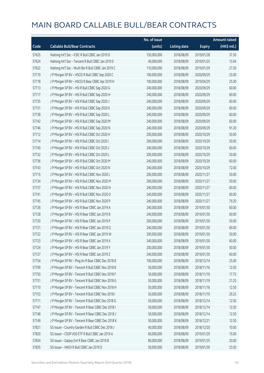|       |                                                     | No. of issue |                     |               | <b>Amount raised</b> |
|-------|-----------------------------------------------------|--------------|---------------------|---------------|----------------------|
| Code  | <b>Callable Bull/Bear Contracts</b>                 | (units)      | <b>Listing date</b> | <b>Expiry</b> | (HK\$ mil.)          |
| 57625 | Haitong Int'l Sec - ICBC R Bull CBBC Jan 2019 D     | 150,000,000  | 2018/08/09          | 2019/01/28    | 37.50                |
| 57624 | Haitong Int'l Sec - Tencent R Bull CBBC Jan 2019 E  | 40,000,000   | 2018/08/09          | 2019/01/25    | 13.04                |
| 57622 | Haitong Int'l Sec - WuXi Bio R Bull CBBC Jan 2019 C | 110,000,000  | 2018/08/09          | 2019/01/29    | 27.50                |
| 57719 | J P Morgan SP BV - HSCEI R Bull CBBC Sep 2020 C     | 100,000,000  | 2018/08/09          | 2020/09/29    | 25.00                |
| 57718 | JP Morgan SP BV - HSCEIR Bear CBBC Apr 2019 H       | 100,000,000  | 2018/08/09          | 2019/04/29    | 25.00                |
| 57713 | J P Morgan SP BV - HSI R Bull CBBC Sep 2020 G       | 240,000,000  | 2018/08/09          | 2020/09/29    | 60.00                |
| 57717 | J P Morgan SP BV - HSI R Bull CBBC Sep 2020 H       | 240,000,000  | 2018/08/09          | 2020/09/29    | 60.00                |
| 57735 | J P Morgan SP BV - HSI R Bull CBBC Sep 2020 J       | 240,000,000  | 2018/08/09          | 2020/09/29    | 60.00                |
| 57731 | J P Morgan SP BV - HSI R Bull CBBC Sep 2020 K       | 240,000,000  | 2018/08/09          | 2020/09/29    | 60.00                |
| 57738 | J P Morgan SP BV - HSI R Bull CBBC Sep 2020 L       | 240,000,000  | 2018/08/09          | 2020/09/29    | 60.00                |
| 57742 | J P Morgan SP BV - HSI R Bull CBBC Sep 2020 M       | 240,000,000  | 2018/08/09          | 2020/09/29    | 60.00                |
| 57746 | J P Morgan SP BV - HSI R Bull CBBC Sep 2020 N       | 240,000,000  | 2018/08/09          | 2020/09/29    | 91.20                |
| 57712 | J P Morgan SP BV - HSI R Bull CBBC Oct 2020 H       | 200,000,000  | 2018/08/09          | 2020/10/29    | 50.00                |
| 57714 | JP Morgan SP BV - HSIR Bull CBBC Oct 2020 I         | 200,000,000  | 2018/08/09          | 2020/10/29    | 50.00                |
| 57740 | J P Morgan SP BV - HSI R Bull CBBC Oct 2020 J       | 240,000,000  | 2018/08/09          | 2020/10/29    | 60.00                |
| 57732 | J P Morgan SP BV - HSI R Bull CBBC Oct 2020 L       | 200,000,000  | 2018/08/09          | 2020/10/29    | 50.00                |
| 57736 | J P Morgan SP BV - HSI R Bull CBBC Oct 2020 M       | 240,000,000  | 2018/08/09          | 2020/10/29    | 60.00                |
| 57743 | J P Morgan SP BV - HSI R Bull CBBC Oct 2020 N       | 240,000,000  | 2018/08/09          | 2020/10/29    | 72.00                |
| 57715 | J P Morgan SP BV - HSI R Bull CBBC Nov 2020 L       | 200,000,000  | 2018/08/09          | 2020/11/27    | 50.00                |
| 57734 | J P Morgan SP BV - HSI R Bull CBBC Nov 2020 M       | 200,000,000  | 2018/08/09          | 2020/11/27    | 50.00                |
| 57737 | J P Morgan SP BV - HSI R Bull CBBC Nov 2020 N       | 240,000,000  | 2018/08/09          | 2020/11/27    | 60.00                |
| 57741 | J P Morgan SP BV - HSI R Bull CBBC Nov 2020 O       | 240,000,000  | 2018/08/09          | 2020/11/27    | 60.00                |
| 57745 | J P Morgan SP BV - HSI R Bull CBBC Nov 2020 P       | 240,000,000  | 2018/08/09          | 2020/11/27    | 79.20                |
| 57726 | J P Morgan SP BV - HSI R Bear CBBC Jan 2019 A       | 240,000,000  | 2018/08/09          | 2019/01/30    | 60.00                |
| 57728 | JP Morgan SP BV - HSIR Bear CBBC Jan 2019 B         | 240,000,000  | 2018/08/09          | 2019/01/30    | 60.00                |
| 57720 | J P Morgan SP BV - HSI R Bear CBBC Jan 2019 P       | 200,000,000  | 2018/08/09          | 2019/01/30    | 50.00                |
| 57721 | J P Morgan SP BV - HSI R Bear CBBC Jan 2019 Q       | 240,000,000  | 2018/08/09          | 2019/01/30    | 60.00                |
| 57722 | J P Morgan SP BV - HSI R Bear CBBC Jan 2019 W       | 200,000,000  | 2018/08/09          | 2019/01/30    | 50.00                |
| 57723 | J P Morgan SP BV - HSI R Bear CBBC Jan 2019 X       | 240,000,000  | 2018/08/09          | 2019/01/30    | 60.00                |
| 57724 | J P Morgan SP BV - HSI R Bear CBBC Jan 2019 Y       | 200,000,000  | 2018/08/09          | 2019/01/30    | 50.00                |
| 57727 | J P Morgan SP BV - HSI R Bear CBBC Jan 2019 Z       | 240,000,000  | 2018/08/09          | 2019/01/30    | 60.00                |
| 57754 | J P Morgan SP BV - Ping An R Bear CBBC Dec 2018 B   | 100,000,000  | 2018/08/09          | 2018/12/14    | 25.00                |
| 57709 | J P Morgan SP BV - Tencent R Bull CBBC Nov 2018 B   | 50,000,000   | 2018/08/09          | 2018/11/16    | 12.50                |
| 57750 | J P Morgan SP BV - Tencent R Bull CBBC Nov 2018 F   | 50,000,000   | 2018/08/09          | 2018/11/19    | 17.75                |
| 57751 | J P Morgan SP BV - Tencent R Bull CBBC Nov 2018 G   | 50,000,000   | 2018/08/09          | 2018/11/19    | 21.25                |
| 57710 | J P Morgan SP BV - Tencent R Bull CBBC Nov 2018 H   | 50,000,000   | 2018/08/09          | 2018/11/16    | 12.50                |
| 57753 | J P Morgan SP BV - Tencent R Bull CBBC Nov 2018 I   | 50,000,000   | 2018/08/09          | 2018/11/19    | 29.25                |
| 57711 | J P Morgan SP BV - Tencent R Bull CBBC Dec 2018 G   | 50,000,000   | 2018/08/09          | 2018/12/14    | 12.50                |
| 57747 | JP Morgan SP BV - Tencent R Bear CBBC Dec 2018 I    | 50,000,000   | 2018/08/09          | 2018/12/14    | 12.50                |
| 57748 | J P Morgan SP BV - Tencent R Bear CBBC Dec 2018 J   | 50,000,000   | 2018/08/09          | 2018/12/14    | 12.50                |
| 57749 | J P Morgan SP BV - Tencent R Bear CBBC Dec 2018 K   | 50,000,000   | 2018/08/09          | 2018/12/21    | 12.50                |
| 57821 | SG Issuer - Country Garden R Bull CBBC Dec 2018 J   | 40,000,000   | 2018/08/09          | 2018/12/20    | 10.00                |
| 57820 | SG Issuer - CSOP A50 ETF R Bull CBBC Jan 2019 A     | 60,000,000   | 2018/08/09          | 2019/01/29    | 15.00                |
| 57834 | SG Issuer - Galaxy Ent R Bear CBBC Jan 2019 B       | 80,000,000   | 2018/08/09          | 2019/01/25    | 20.00                |
| 57835 | SG Issuer - HKEX R Bull CBBC Jan 2019 D             | 50,000,000   | 2018/08/09          | 2019/01/30    | 23.50                |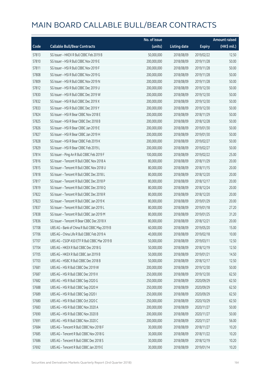|       |                                               | No. of issue |                     |               | <b>Amount raised</b> |
|-------|-----------------------------------------------|--------------|---------------------|---------------|----------------------|
| Code  | <b>Callable Bull/Bear Contracts</b>           | (units)      | <b>Listing date</b> | <b>Expiry</b> | (HK\$ mil.)          |
| 57813 | SG Issuer - HKEX R Bull CBBC Feb 2019 B       | 50,000,000   | 2018/08/09          | 2019/02/22    | 12.50                |
| 57810 | SG Issuer - HSI R Bull CBBC Nov 2019 E        | 200,000,000  | 2018/08/09          | 2019/11/28    | 50.00                |
| 57811 | SG Issuer - HSI R Bull CBBC Nov 2019 F        | 200,000,000  | 2018/08/09          | 2019/11/28    | 50.00                |
| 57808 | SG Issuer - HSI R Bull CBBC Nov 2019 G        | 200,000,000  | 2018/08/09          | 2019/11/28    | 50.00                |
| 57809 | SG Issuer - HSI R Bull CBBC Nov 2019 N        | 200,000,000  | 2018/08/09          | 2019/11/28    | 50.00                |
| 57812 | SG Issuer - HSI R Bull CBBC Dec 2019 U        | 200,000,000  | 2018/08/09          | 2019/12/30    | 50.00                |
| 57830 | SG Issuer - HSI R Bull CBBC Dec 2019 W        | 200,000,000  | 2018/08/09          | 2019/12/30    | 50.00                |
| 57832 | SG Issuer - HSI R Bull CBBC Dec 2019 X        | 200,000,000  | 2018/08/09          | 2019/12/30    | 50.00                |
| 57833 | SG Issuer - HSI R Bull CBBC Dec 2019 Y        | 200,000,000  | 2018/08/09          | 2019/12/30    | 50.00                |
| 57824 | SG Issuer - HSI R Bear CBBC Nov 2018 E        | 200,000,000  | 2018/08/09          | 2018/11/29    | 50.00                |
| 57825 | SG Issuer - HSI R Bear CBBC Dec 2018 B        | 200,000,000  | 2018/08/09          | 2018/12/28    | 50.00                |
| 57826 | SG Issuer - HSI R Bear CBBC Jan 2019 E        | 200,000,000  | 2018/08/09          | 2019/01/30    | 50.00                |
| 57827 | SG Issuer - HSI R Bear CBBC Jan 2019 H        | 200,000,000  | 2018/08/09          | 2019/01/30    | 50.00                |
| 57828 | SG Issuer - HSI R Bear CBBC Feb 2019 K        | 200,000,000  | 2018/08/09          | 2019/02/27    | 50.00                |
| 57829 | SG Issuer - HSI R Bear CBBC Feb 2019 L        | 200,000,000  | 2018/08/09          | 2019/02/27    | 50.00                |
| 57814 | SG Issuer - Ping An R Bull CBBC Feb 2019 F    | 100,000,000  | 2018/08/09          | 2019/02/22    | 25.00                |
| 57816 | SG Issuer - Tencent R Bull CBBC Nov 2018 A    | 80,000,000   | 2018/08/09          | 2018/11/29    | 20.00                |
| 57815 | SG Issuer - Tencent R Bull CBBC Nov 2018 U    | 80,000,000   | 2018/08/09          | 2018/11/15    | 20.00                |
| 57818 | SG Issuer - Tencent R Bull CBBC Dec 2018 L    | 80,000,000   | 2018/08/09          | 2018/12/20    | 20.00                |
| 57817 | SG Issuer - Tencent R Bull CBBC Dec 2018 P    | 80,000,000   | 2018/08/09          | 2018/12/17    | 20.00                |
| 57819 | SG Issuer - Tencent R Bull CBBC Dec 2018 Q    | 80,000,000   | 2018/08/09          | 2018/12/24    | 20.00                |
| 57822 | SG Issuer - Tencent R Bull CBBC Dec 2018 R    | 80,000,000   | 2018/08/09          | 2018/12/20    | 20.00                |
| 57823 | SG Issuer - Tencent R Bull CBBC Jan 2019 K    | 80,000,000   | 2018/08/09          | 2019/01/29    | 20.00                |
| 57837 | SG Issuer - Tencent R Bull CBBC Jan 2019 L    | 80,000,000   | 2018/08/09          | 2019/01/18    | 27.20                |
| 57838 | SG Issuer - Tencent R Bull CBBC Jan 2019 M    | 80,000,000   | 2018/08/09          | 2019/01/25    | 31.20                |
| 57836 | SG Issuer - Tencent R Bear CBBC Dec 2018 X    | 80,000,000   | 2018/08/09          | 2018/12/21    | 20.00                |
| 57708 | UBS AG - Bank of China R Bull CBBC May 2019 B | 60,000,000   | 2018/08/09          | 2019/05/20    | 15.00                |
| 57706 | UBS AG – China Life R Bull CBBC Feb 2019 A    | 40,000,000   | 2018/08/09          | 2019/02/18    | 10.00                |
| 57707 | UBS AG - CSOP A50 ETF R Bull CBBC Mar 2019 B  | 50,000,000   | 2018/08/09          | 2019/03/11    | 12.50                |
| 57704 | UBS AG - HKEX R Bull CBBC Dec 2018 G          | 50,000,000   | 2018/08/09          | 2018/12/19    | 12.50                |
| 57705 | UBS AG - HKEX R Bull CBBC Jan 2019 B          | 50,000,000   | 2018/08/09          | 2019/01/21    | 14.50                |
| 57703 | UBS AG - HSBC R Bull CBBC Dec 2018 B          | 50,000,000   | 2018/08/09          | 2018/12/17    | 12.50                |
| 57681 | UBS AG - HSI R Bull CBBC Dec 2019 W           | 200,000,000  | 2018/08/09          | 2019/12/30    | 50.00                |
| 57687 | UBS AG - HSI R Bull CBBC Dec 2019 X           | 250,000,000  | 2018/08/09          | 2019/12/30    | 62.50                |
| 57682 | UBS AG - HSI R Bull CBBC Sep 2020 G           | 250,000,000  | 2018/08/09          | 2020/09/29    | 62.50                |
| 57688 | UBS AG - HSI R Bull CBBC Sep 2020 H           | 250,000,000  | 2018/08/09          | 2020/09/29    | 62.50                |
| 57689 | UBS AG - HSI R Bull CBBC Sep 2020 I           | 250,000,000  | 2018/08/09          | 2020/09/29    | 62.50                |
| 57680 | UBS AG - HSI R Bull CBBC Oct 2020 C           | 250,000,000  | 2018/08/09          | 2020/10/29    | 62.50                |
| 57683 | UBS AG - HSI R Bull CBBC Nov 2020 A           | 200,000,000  | 2018/08/09          | 2020/11/27    | 50.00                |
| 57690 | UBS AG - HSI R Bull CBBC Nov 2020 B           | 200,000,000  | 2018/08/09          | 2020/11/27    | 50.00                |
| 57691 | UBS AG - HSI R Bull CBBC Nov 2020 C           | 200,000,000  | 2018/08/09          | 2020/11/27    | 56.00                |
| 57684 | UBS AG - Tencent R Bull CBBC Nov 2018 F       | 30,000,000   | 2018/08/09          | 2018/11/27    | 10.20                |
| 57685 | UBS AG - Tencent R Bull CBBC Nov 2018 G       | 30,000,000   | 2018/08/09          | 2018/11/22    | 10.20                |
| 57686 | UBS AG - Tencent R Bull CBBC Dec 2018 S       | 30,000,000   | 2018/08/09          | 2018/12/19    | 10.20                |
| 57692 | UBS AG - Tencent R Bull CBBC Jan 2019 E       | 30,000,000   | 2018/08/09          | 2019/01/14    | 10.20                |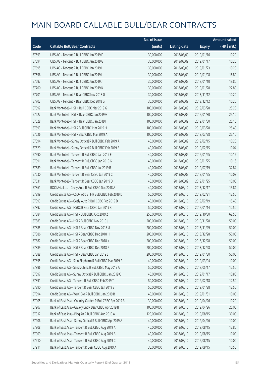|       |                                                           | No. of issue |                     |               | <b>Amount raised</b> |
|-------|-----------------------------------------------------------|--------------|---------------------|---------------|----------------------|
| Code  | <b>Callable Bull/Bear Contracts</b>                       | (units)      | <b>Listing date</b> | <b>Expiry</b> | (HK\$ mil.)          |
| 57693 | UBS AG - Tencent R Bull CBBC Jan 2019 F                   | 30,000,000   | 2018/08/09          | 2019/01/16    | 10.20                |
| 57694 | UBS AG - Tencent R Bull CBBC Jan 2019 G                   | 30,000,000   | 2018/08/09          | 2019/01/17    | 10.20                |
| 57695 | UBS AG - Tencent R Bull CBBC Jan 2019 H                   | 30,000,000   | 2018/08/09          | 2019/01/23    | 10.20                |
| 57696 | UBS AG - Tencent R Bull CBBC Jan 2019 I                   | 30,000,000   | 2018/08/09          | 2019/01/08    | 16.80                |
| 57697 | UBS AG - Tencent R Bull CBBC Jan 2019 J                   | 30,000,000   | 2018/08/09          | 2019/01/10    | 19.80                |
| 57700 | UBS AG - Tencent R Bull CBBC Jan 2019 K                   | 30,000,000   | 2018/08/09          | 2019/01/28    | 22.80                |
| 57701 | UBS AG - Tencent R Bear CBBC Nov 2018 G                   | 30,000,000   | 2018/08/09          | 2018/11/12    | 10.20                |
| 57702 | UBS AG - Tencent R Bear CBBC Dec 2018 G                   | 30,000,000   | 2018/08/09          | 2018/12/12    | 10.20                |
| 57592 | Bank Vontobel - HSI N Bull CBBC Mar 2019 G                | 100,000,000  | 2018/08/09          | 2019/03/28    | 25.20                |
| 57627 | Bank Vontobel - HSI N Bear CBBC Jan 2019 G                | 100,000,000  | 2018/08/09          | 2019/01/30    | 25.10                |
| 57628 | Bank Vontobel - HSI N Bear CBBC Jan 2019 H                | 100,000,000  | 2018/08/09          | 2019/01/30    | 25.10                |
| 57593 | Bank Vontobel - HSI R Bull CBBC Mar 2019 H                | 100,000,000  | 2018/08/09          | 2019/03/28    | 25.40                |
| 57626 | Bank Vontobel - HSI R Bear CBBC Mar 2019 A                | 100,000,000  | 2018/08/09          | 2019/03/28    | 25.10                |
| 57594 | Bank Vontobel - Sunny Optical R Bull CBBC Feb 2019 A      | 40,000,000   | 2018/08/09          | 2019/02/15    | 10.20                |
| 57629 | Bank Vontobel - Sunny Optical R Bull CBBC Feb 2019 B      | 40,000,000   | 2018/08/09          | 2019/02/15    | 10.04                |
| 57590 | Bank Vontobel - Tencent R Bull CBBC Jan 2019 F            | 40,000,000   | 2018/08/09          | 2019/01/25    | 10.12                |
| 57591 | Bank Vontobel - Tencent R Bull CBBC Jan 2019 G            | 40,000,000   | 2018/08/09          | 2019/01/25    | 10.16                |
| 57589 | Bank Vontobel - Tencent R Bull CBBC Jul 2019 B            | 40,000,000   | 2018/08/09          | 2019/07/19    | 32.84                |
| 57630 | Bank Vontobel - Tencent R Bear CBBC Jan 2019 C            | 40,000,000   | 2018/08/09          | 2019/01/25    | 10.08                |
| 57631 | Bank Vontobel - Tencent R Bear CBBC Jan 2019 D            | 40,000,000   | 2018/08/09          | 2019/01/25    | 10.00                |
| 57861 | BOCI Asia Ltd. - Geely Auto R Bull CBBC Dec 2018 A        | 40,000,000   | 2018/08/10          | 2018/12/17    | 15.84                |
| 57899 | Credit Suisse AG - CSOP A50 ETF R Bull CBBC Feb 2019 D    | 50,000,000   | 2018/08/10          | 2019/02/21    | 12.50                |
| 57893 | Credit Suisse AG - Geely Auto R Bull CBBC Feb 2019 D      | 40,000,000   | 2018/08/10          | 2019/02/19    | 15.40                |
| 57892 | Credit Suisse AG - HSBC R Bear CBBC Jan 2019 B            | 50,000,000   | 2018/08/10          | 2019/01/14    | 12.50                |
| 57884 | Credit Suisse AG - HSI R Bull CBBC Oct 2019 Z             | 250,000,000  | 2018/08/10          | 2019/10/30    | 62.50                |
| 57883 | Credit Suisse AG - HSI R Bull CBBC Nov 2019 J             | 200,000,000  | 2018/08/10          | 2019/11/28    | 50.00                |
| 57885 | Credit Suisse AG - HSI R Bear CBBC Nov 2018 U             | 200,000,000  | 2018/08/10          | 2018/11/29    | 50.00                |
| 57886 | Credit Suisse AG - HSI R Bear CBBC Dec 2018 H             | 200,000,000  | 2018/08/10          | 2018/12/28    | 50.00                |
| 57887 | Credit Suisse AG - HSI R Bear CBBC Dec 2018 K             | 200,000,000  | 2018/08/10          | 2018/12/28    | 50.00                |
| 57889 | Credit Suisse AG - HSI R Bear CBBC Dec 2018 P             | 200,000,000  | 2018/08/10          | 2018/12/28    | 50.00                |
| 57888 | Credit Suisse AG - HSI R Bear CBBC Jan 2019 J             | 200,000,000  | 2018/08/10          | 2019/01/30    | 50.00                |
| 57895 | Credit Suisse AG - Sino Biopharm R Bull CBBC Mar 2019 A   | 40,000,000   | 2018/08/10          | 2019/03/04    | 10.00                |
| 57896 | Credit Suisse AG - Sands China R Bull CBBC May 2019 A     | 50,000,000   | 2018/08/10          | 2019/05/17    | 12.50                |
| 57897 | Credit Suisse AG - Sunny Optical R Bull CBBC Jan 2019 C   | 40,000,000   | 2018/08/10          | 2019/01/17    | 10.80                |
| 57891 | Credit Suisse AG - Tencent R Bull CBBC Feb 2019 T         | 50,000,000   | 2018/08/10          | 2019/02/18    | 12.50                |
| 57890 | Credit Suisse AG - Tencent R Bear CBBC Jan 2019 S         | 50,000,000   | 2018/08/10          | 2019/01/28    | 12.50                |
| 57894 | Credit Suisse AG - WuXi Bio R Bull CBBC Jan 2019 B        | 40,000,000   | 2018/08/10          | 2019/01/31    | 10.00                |
| 57905 | Bank of East Asia - Country Garden R Bull CBBC Apr 2019 B | 30,000,000   | 2018/08/10          | 2019/04/26    | 10.20                |
| 57907 | Bank of East Asia - Galaxy Ent R Bear CBBC Apr 2019 B     | 100,000,000  | 2018/08/10          | 2019/04/26    | 25.00                |
| 57912 | Bank of East Asia - Ping An R Bull CBBC Aug 2019 A        | 120,000,000  | 2018/08/10          | 2019/08/15    | 30.00                |
| 57906 | Bank of East Asia - Sunny Optical R Bull CBBC Apr 2019 A  | 40,000,000   | 2018/08/10          | 2019/04/26    | 10.00                |
| 57908 | Bank of East Asia - Tencent R Bull CBBC Aug 2019 A        | 40,000,000   | 2018/08/10          | 2019/08/15    | 12.80                |
| 57909 | Bank of East Asia - Tencent R Bull CBBC Aug 2019 B        | 40,000,000   | 2018/08/10          | 2019/08/15    | 10.00                |
| 57910 | Bank of East Asia - Tencent R Bull CBBC Aug 2019 C        | 40,000,000   | 2018/08/10          | 2019/08/15    | 10.00                |
| 57911 | Bank of East Asia - Tencent R Bear CBBC Aug 2019 A        | 30,000,000   | 2018/08/10          | 2019/08/15    | 10.50                |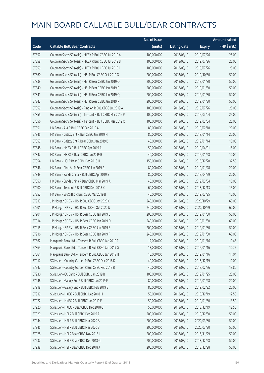|       |                                                          | No. of issue |                     |               | <b>Amount raised</b> |
|-------|----------------------------------------------------------|--------------|---------------------|---------------|----------------------|
| Code  | <b>Callable Bull/Bear Contracts</b>                      | (units)      | <b>Listing date</b> | <b>Expiry</b> | $(HK$$ mil.)         |
| 57857 | Goldman Sachs SP (Asia) - HKEX R Bull CBBC Jul 2019 A    | 100,000,000  | 2018/08/10          | 2019/07/26    | 25.00                |
| 57858 | Goldman Sachs SP (Asia) - HKEX R Bull CBBC Jul 2019 B    | 100,000,000  | 2018/08/10          | 2019/07/26    | 25.00                |
| 57959 | Goldman Sachs SP (Asia) - HKEX R Bull CBBC Jul 2019 C    | 100,000,000  | 2018/08/10          | 2019/07/26    | 25.00                |
| 57860 | Goldman Sachs SP (Asia) - HSI R Bull CBBC Oct 2019 G     | 200,000,000  | 2018/08/10          | 2019/10/30    | 50.00                |
| 57839 | Goldman Sachs SP (Asia) - HSI R Bear CBBC Jan 2019 O     | 200,000,000  | 2018/08/10          | 2019/01/30    | 50.00                |
| 57840 | Goldman Sachs SP (Asia) - HSI R Bear CBBC Jan 2019 P     | 200,000,000  | 2018/08/10          | 2019/01/30    | 50.00                |
| 57841 | Goldman Sachs SP (Asia) - HSI R Bear CBBC Jan 2019 Q     | 200,000,000  | 2018/08/10          | 2019/01/30    | 50.00                |
| 57842 | Goldman Sachs SP (Asia) - HSI R Bear CBBC Jan 2019 R     | 200,000,000  | 2018/08/10          | 2019/01/30    | 50.00                |
| 57859 | Goldman Sachs SP (Asia) - Ping An R Bull CBBC Jul 2019 A | 100,000,000  | 2018/08/10          | 2019/07/26    | 25.00                |
| 57855 | Goldman Sachs SP (Asia) - Tencent R Bull CBBC Mar 2019 P | 100,000,000  | 2018/08/10          | 2019/03/04    | 25.00                |
| 57856 | Goldman Sachs SP (Asia) - Tencent R Bull CBBC Mar 2019 Q | 100,000,000  | 2018/08/10          | 2019/03/04    | 25.00                |
| 57851 | HK Bank - AIA R Bull CBBC Feb 2019 A                     | 80,000,000   | 2018/08/10          | 2019/02/18    | 20.00                |
| 57845 | HK Bank - Galaxy Ent R Bull CBBC Jan 2019 H              | 80,000,000   | 2018/08/10          | 2019/01/14    | 20.00                |
| 57853 | HK Bank - Galaxy Ent R Bear CBBC Jan 2019 B              | 40,000,000   | 2018/08/10          | 2019/01/14    | 10.00                |
| 57848 | HK Bank - HKEX R Bull CBBC Apr 2019 A                    | 50,000,000   | 2018/08/10          | 2019/04/01    | 15.00                |
| 57847 | HK Bank - HKEX R Bear CBBC Jan 2019 B                    | 40,000,000   | 2018/08/10          | 2019/01/28    | 10.00                |
| 57854 | HK Bank - HSI R Bear CBBC Dec 2018 H                     | 150,000,000  | 2018/08/10          | 2018/12/28    | 37.50                |
| 57846 | HK Bank - Ping An R Bear CBBC Jan 2019 A                 | 80,000,000   | 2018/08/10          | 2019/01/28    | 20.00                |
| 57849 | HK Bank - Sands China R Bull CBBC Apr 2019 B             | 80,000,000   | 2018/08/10          | 2019/04/29    | 20.00                |
| 57850 | HK Bank - Sands China R Bear CBBC Mar 2019 A             | 40,000,000   | 2018/08/10          | 2019/03/04    | 10.00                |
| 57900 | HK Bank - Tencent R Bull CBBC Dec 2018 X                 | 60,000,000   | 2018/08/10          | 2018/12/13    | 15.00                |
| 57852 | HK Bank - WuXi Bio R Bull CBBC Mar 2019 B                | 40,000,000   | 2018/08/10          | 2019/03/25    | 10.00                |
| 57913 | J P Morgan SP BV - HSI R Bull CBBC Oct 2020 O            | 240,000,000  | 2018/08/10          | 2020/10/29    | 60.00                |
| 57901 | J P Morgan SP BV - HSI R Bull CBBC Oct 2020 U            | 240,000,000  | 2018/08/10          | 2020/10/29    | 60.00                |
| 57904 | J P Morgan SP BV - HSI R Bear CBBC Jan 2019 C            | 200,000,000  | 2018/08/10          | 2019/01/30    | 50.00                |
| 57914 | J P Morgan SP BV - HSI R Bear CBBC Jan 2019 D            | 240,000,000  | 2018/08/10          | 2019/01/30    | 60.00                |
| 57915 | J P Morgan SP BV - HSI R Bear CBBC Jan 2019 E            | 200,000,000  | 2018/08/10          | 2019/01/30    | 50.00                |
| 57916 | J P Morgan SP BV - HSI R Bear CBBC Jan 2019 F            | 240,000,000  | 2018/08/10          | 2019/01/30    | 60.00                |
| 57862 | Macquarie Bank Ltd. - Tencent R Bull CBBC Jan 2019 F     | 12,000,000   | 2018/08/10          | 2019/01/16    | 10.45                |
| 57863 | Macquarie Bank Ltd. - Tencent R Bull CBBC Jan 2019 G     | 13,000,000   | 2018/08/10          | 2019/01/16    | 10.75                |
| 57864 | Macquarie Bank Ltd. - Tencent R Bull CBBC Jan 2019 H     | 15,000,000   | 2018/08/10          | 2019/01/16    | 11.04                |
| 57917 | SG Issuer - Country Garden R Bull CBBC Dec 2018 K        | 40,000,000   | 2018/08/10          | 2018/12/19    | 10.00                |
| 57947 | SG Issuer - Country Garden R Bull CBBC Feb 2019 B        | 40,000,000   | 2018/08/10          | 2019/02/26    | 13.80                |
| 57930 | SG Issuer - CC Bank R Bull CBBC Jan 2019 B               | 100,000,000  | 2018/08/10          | 2019/01/25    | 25.00                |
| 57948 | SG Issuer - Galaxy Ent R Bull CBBC Jan 2019 F            | 80,000,000   | 2018/08/10          | 2019/01/28    | 20.00                |
| 57918 | SG Issuer - Galaxy Ent R Bull CBBC Feb 2019 B            | 80,000,000   | 2018/08/10          | 2019/02/22    | 20.00                |
| 57919 | SG Issuer - HKEX R Bull CBBC Dec 2018 H                  | 50,000,000   | 2018/08/10          | 2018/12/19    | 12.50                |
| 57922 | SG Issuer - HKEX R Bull CBBC Jan 2019 E                  | 50,000,000   | 2018/08/10          | 2019/01/30    | 13.50                |
| 57920 | SG Issuer - HKEX R Bear CBBC Dec 2018 G                  | 50,000,000   | 2018/08/10          | 2018/12/19    | 12.50                |
| 57929 | SG Issuer - HSI R Bull CBBC Dec 2019 Z                   | 200,000,000  | 2018/08/10          | 2019/12/30    | 50.00                |
| 57944 | SG Issuer - HSI R Bull CBBC Mar 2020 A                   | 200,000,000  | 2018/08/10          | 2020/03/30    | 50.00                |
| 57945 | SG Issuer - HSI R Bull CBBC Mar 2020 B                   | 200,000,000  | 2018/08/10          | 2020/03/30    | 50.00                |
| 57928 | SG Issuer - HSI R Bear CBBC Nov 2018 I                   | 200,000,000  | 2018/08/10          | 2018/11/29    | 50.00                |
| 57937 | SG Issuer - HSI R Bear CBBC Dec 2018 G                   | 200,000,000  | 2018/08/10          | 2018/12/28    | 50.00                |
| 57938 | SG Issuer - HSI R Bear CBBC Dec 2018 J                   | 200,000,000  | 2018/08/10          | 2018/12/28    | 50.00                |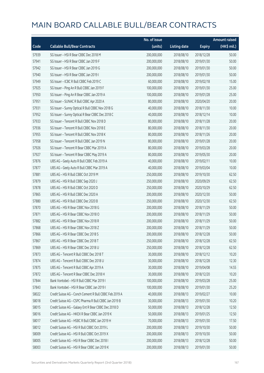|       |                                                        | No. of issue |                     |               | <b>Amount raised</b> |
|-------|--------------------------------------------------------|--------------|---------------------|---------------|----------------------|
| Code  | <b>Callable Bull/Bear Contracts</b>                    | (units)      | <b>Listing date</b> | <b>Expiry</b> | (HK\$ mil.)          |
| 57939 | SG Issuer - HSI R Bear CBBC Dec 2018 M                 | 200,000,000  | 2018/08/10          | 2018/12/28    | 50.00                |
| 57941 | SG Issuer - HSI R Bear CBBC Jan 2019 F                 | 200,000,000  | 2018/08/10          | 2019/01/30    | 50.00                |
| 57942 | SG Issuer - HSI R Bear CBBC Jan 2019 G                 | 200,000,000  | 2018/08/10          | 2019/01/30    | 50.00                |
| 57940 | SG Issuer - HSI R Bear CBBC Jan 2019 I                 | 200,000,000  | 2018/08/10          | 2019/01/30    | 50.00                |
| 57949 | SG Issuer - ICBC R Bull CBBC Feb 2019 C                | 60,000,000   | 2018/08/10          | 2019/02/18    | 15.00                |
| 57925 | SG Issuer - Ping An R Bull CBBC Jan 2019 F             | 100,000,000  | 2018/08/10          | 2019/01/30    | 25.00                |
| 57950 | SG Issuer - Ping An R Bear CBBC Jan 2019 A             | 100,000,000  | 2018/08/10          | 2019/01/28    | 25.00                |
| 57951 | SG Issuer - SUNAC R Bull CBBC Apr 2020 A               | 80,000,000   | 2018/08/10          | 2020/04/20    | 20.00                |
| 57931 | SG Issuer - Sunny Optical R Bull CBBC Nov 2018 G       | 40,000,000   | 2018/08/10          | 2018/11/30    | 10.00                |
| 57952 | SG Issuer - Sunny Optical R Bear CBBC Dec 2018 C       | 40,000,000   | 2018/08/10          | 2018/12/14    | 10.00                |
| 57933 | SG Issuer - Tencent R Bull CBBC Nov 2018 D             | 80,000,000   | 2018/08/10          | 2018/11/28    | 20.00                |
| 57936 | SG Issuer - Tencent R Bull CBBC Nov 2018 E             | 80,000,000   | 2018/08/10          | 2018/11/30    | 20.00                |
| 57955 | SG Issuer - Tencent R Bull CBBC Nov 2018 K             | 80,000,000   | 2018/08/10          | 2018/11/26    | 20.00                |
| 57958 | SG Issuer - Tencent R Bull CBBC Jan 2019 N             | 80,000,000   | 2018/08/10          | 2019/01/28    | 20.00                |
| 57926 | SG Issuer - Tencent R Bear CBBC Mar 2019 A             | 80,000,000   | 2018/08/10          | 2019/03/28    | 20.00                |
| 57927 | SG Issuer - Tencent R Bear CBBC May 2019 A             | 80,000,000   | 2018/08/10          | 2019/05/30    | 20.00                |
| 57876 | UBS AG - Geely Auto R Bull CBBC Feb 2019 A             | 40,000,000   | 2018/08/10          | 2019/02/11    | 10.00                |
| 57877 | UBS AG - Geely Auto R Bull CBBC Mar 2019 A             | 40,000,000   | 2018/08/10          | 2019/03/04    | 10.00                |
| 57881 | UBS AG - HSI R Bull CBBC Oct 2019 M                    | 250,000,000  | 2018/08/10          | 2019/10/30    | 62.50                |
| 57879 | UBS AG - HSI R Bull CBBC Sep 2020 J                    | 250,000,000  | 2018/08/10          | 2020/09/29    | 62.50                |
| 57878 | UBS AG - HSI R Bull CBBC Oct 2020 D                    | 250,000,000  | 2018/08/10          | 2020/10/29    | 62.50                |
| 57865 | UBS AG - HSI R Bull CBBC Dec 2020 A                    | 200,000,000  | 2018/08/10          | 2020/12/30    | 50.00                |
| 57880 | UBS AG - HSI R Bull CBBC Dec 2020 B                    | 250,000,000  | 2018/08/10          | 2020/12/30    | 62.50                |
| 57870 | UBS AG - HSI R Bear CBBC Nov 2018 G                    | 200,000,000  | 2018/08/10          | 2018/11/29    | 50.00                |
| 57871 | UBS AG - HSI R Bear CBBC Nov 2018 O                    | 200,000,000  | 2018/08/10          | 2018/11/29    | 50.00                |
| 57882 | UBS AG - HSI R Bear CBBC Nov 2018 R                    | 200,000,000  | 2018/08/10          | 2018/11/29    | 50.00                |
| 57868 | UBS AG - HSI R Bear CBBC Nov 2018 Z                    | 200,000,000  | 2018/08/10          | 2018/11/29    | 50.00                |
| 57866 | UBS AG - HSLR Bear CBBC Dec 2018 S                     | 200,000,000  | 2018/08/10          | 2018/12/28    | 50.00                |
| 57867 | UBS AG - HSI R Bear CBBC Dec 2018 T                    | 250,000,000  | 2018/08/10          | 2018/12/28    | 62.50                |
| 57869 | UBS AG - HSI R Bear CBBC Dec 2018 U                    | 250,000,000  | 2018/08/10          | 2018/12/28    | 62.50                |
| 57873 | UBS AG - Tencent R Bull CBBC Dec 2018 T                | 30,000,000   | 2018/08/10          | 2018/12/12    | 10.20                |
| 57874 | UBS AG - Tencent R Bull CBBC Dec 2018 U                | 30,000,000   | 2018/08/10          | 2018/12/28    | 12.30                |
| 57875 | UBS AG - Tencent R Bull CBBC Apr 2019 A                | 30,000,000   | 2018/08/10          | 2019/04/08    | 14.55                |
| 57872 | UBS AG - Tencent R Bear CBBC Dec 2018 H                | 30,000,000   | 2018/08/10          | 2018/12/20    | 10.20                |
| 57844 | Bank Vontobel - HSI R Bull CBBC Mar 2019 I             | 100,000,000  | 2018/08/10          | 2019/03/28    | 25.00                |
| 57843 | Bank Vontobel - HSI R Bear CBBC Jan 2019 I             | 100,000,000  | 2018/08/10          | 2019/01/30    | 25.20                |
| 58022 | Credit Suisse AG - Conch Cement R Bull CBBC Feb 2019 A | 40,000,000   | 2018/08/13          | 2019/02/27    | 10.00                |
| 58018 | Credit Suisse AG - CSPC Pharma R Bull CBBC Jan 2019 B  | 30,000,000   | 2018/08/13          | 2019/01/30    | 10.20                |
| 58015 | Credit Suisse AG - Galaxy Ent R Bear CBBC Dec 2018 D   | 50,000,000   | 2018/08/13          | 2018/12/28    | 12.50                |
| 58016 | Credit Suisse AG - HKEX R Bear CBBC Jan 2019 K         | 50,000,000   | 2018/08/13          | 2019/01/25    | 12.50                |
| 58017 | Credit Suisse AG - HSBC R Bull CBBC Jan 2019 H         | 70,000,000   | 2018/08/13          | 2019/01/30    | 17.50                |
| 58012 | Credit Suisse AG - HSI R Bull CBBC Oct 2019 L          | 200,000,000  | 2018/08/13          | 2019/10/30    | 50.00                |
| 58009 | Credit Suisse AG - HSI R Bull CBBC Oct 2019 X          | 200,000,000  | 2018/08/13          | 2019/10/30    | 50.00                |
| 58005 | Credit Suisse AG - HSI R Bear CBBC Dec 2018 I          | 200,000,000  | 2018/08/13          | 2018/12/28    | 50.00                |
| 58003 | Credit Suisse AG - HSI R Bear CBBC Jan 2019 K          | 200,000,000  | 2018/08/13          | 2019/01/30    | 50.00                |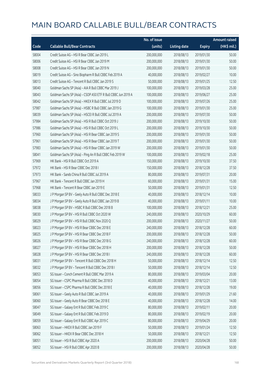|       |                                                               | No. of issue |                     |               | <b>Amount raised</b> |
|-------|---------------------------------------------------------------|--------------|---------------------|---------------|----------------------|
| Code  | <b>Callable Bull/Bear Contracts</b>                           | (units)      | <b>Listing date</b> | <b>Expiry</b> | (HK\$ mil.)          |
| 58004 | Credit Suisse AG - HSI R Bear CBBC Jan 2019 L                 | 200,000,000  | 2018/08/13          | 2019/01/30    | 50.00                |
| 58006 | Credit Suisse AG - HSI R Bear CBBC Jan 2019 M                 | 200,000,000  | 2018/08/13          | 2019/01/30    | 50.00                |
| 58008 | Credit Suisse AG - HSI R Bear CBBC Jan 2019 N                 | 200,000,000  | 2018/08/13          | 2019/01/30    | 50.00                |
| 58019 | Credit Suisse AG - Sino Biopharm R Bull CBBC Feb 2019 A       | 40,000,000   | 2018/08/13          | 2019/02/27    | 10.00                |
| 58013 | Credit Suisse AG - Tencent R Bull CBBC Jan 2019 S             | 50,000,000   | 2018/08/13          | 2019/01/25    | 12.50                |
| 58040 | Goldman Sachs SP (Asia) - AIA R Bull CBBC Mar 2019 J          | 100,000,000  | 2018/08/13          | 2019/03/28    | 25.00                |
| 58043 | Goldman Sachs SP (Asia) - CSOP A50 ETF R Bull CBBC Jun 2019 A | 100,000,000  | 2018/08/13          | 2019/06/27    | 25.00                |
| 58042 | Goldman Sachs SP (Asia) - HKEX R Bull CBBC Jul 2019 D         | 100,000,000  | 2018/08/13          | 2019/07/26    | 25.00                |
| 57987 | Goldman Sachs SP (Asia) - HSBC R Bull CBBC Jan 2019 G         | 100,000,000  | 2018/08/13          | 2019/01/30    | 25.00                |
| 58039 | Goldman Sachs SP (Asia) - HSCEI R Bull CBBC Jul 2019 A        | 200,000,000  | 2018/08/13          | 2019/07/30    | 50.00                |
| 57984 | Goldman Sachs SP (Asia) - HSI R Bull CBBC Oct 2019 J          | 200,000,000  | 2018/08/13          | 2019/10/30    | 50.00                |
| 57986 | Goldman Sachs SP (Asia) - HSI R Bull CBBC Oct 2019 L          | 200,000,000  | 2018/08/13          | 2019/10/30    | 50.00                |
| 57960 | Goldman Sachs SP (Asia) - HSI R Bear CBBC Jan 2019 S          | 200,000,000  | 2018/08/13          | 2019/01/30    | 50.00                |
| 57961 | Goldman Sachs SP (Asia) - HSI R Bear CBBC Jan 2019 T          | 200,000,000  | 2018/08/13          | 2019/01/30    | 50.00                |
| 57983 | Goldman Sachs SP (Asia) - HSI R Bear CBBC Jan 2019 W          | 200,000,000  | 2018/08/13          | 2019/01/30    | 50.00                |
| 58041 | Goldman Sachs SP (Asia) - Ping An R Bull CBBC Feb 2019 W      | 100,000,000  | 2018/08/13          | 2019/02/18    | 25.00                |
| 57969 | HK Bank - HSI R Bull CBBC Oct 2019 A                          | 150,000,000  | 2018/08/13          | 2019/10/30    | 37.50                |
| 57972 | HK Bank - HSI R Bear CBBC Dec 2018 I                          | 150,000,000  | 2018/08/13          | 2018/12/28    | 37.50                |
| 57973 | HK Bank - Sands China R Bull CBBC Jul 2019 A                  | 80,000,000   | 2018/08/13          | 2019/07/31    | 20.00                |
| 57967 | HK Bank - Tencent R Bull CBBC Jan 2019 H                      | 60,000,000   | 2018/08/13          | 2019/01/31    | 15.00                |
| 57968 | HK Bank - Tencent R Bear CBBC Jan 2019 E                      | 50,000,000   | 2018/08/13          | 2019/01/31    | 12.50                |
| 58033 | J P Morgan SP BV - Geely Auto R Bull CBBC Dec 2018 E          | 40,000,000   | 2018/08/13          | 2018/12/14    | 10.00                |
| 58034 | J P Morgan SP BV - Geely Auto R Bull CBBC Jan 2019 B          | 40,000,000   | 2018/08/13          | 2019/01/11    | 10.00                |
| 58038 | J P Morgan SP BV - HSBC R Bull CBBC Dec 2018 B                | 100,000,000  | 2018/08/13          | 2018/12/21    | 25.00                |
| 58030 | J P Morgan SP BV - HSI R Bull CBBC Oct 2020 W                 | 240,000,000  | 2018/08/13          | 2020/10/29    | 60.00                |
| 58029 | J P Morgan SP BV - HSI R Bull CBBC Nov 2020 Q                 | 200,000,000  | 2018/08/13          | 2020/11/27    | 50.00                |
| 58023 | J P Morgan SP BV - HSI R Bear CBBC Dec 2018 E                 | 240,000,000  | 2018/08/13          | 2018/12/28    | 60.00                |
| 58025 | J P Morgan SP BV - HSI R Bear CBBC Dec 2018 F                 | 200,000,000  | 2018/08/13          | 2018/12/28    | 50.00                |
| 58026 | J P Morgan SP BV - HSI R Bear CBBC Dec 2018 G                 | 240,000,000  | 2018/08/13          | 2018/12/28    | 60.00                |
| 58027 | J P Morgan SP BV - HSI R Bear CBBC Dec 2018 H                 | 200,000,000  | 2018/08/13          | 2018/12/28    | 50.00                |
| 58028 | JP Morgan SP BV - HSIR Bear CBBC Dec 2018 I                   | 240,000,000  | 2018/08/13          | 2018/12/28    | 60.00                |
| 58031 | J P Morgan SP BV - Tencent R Bull CBBC Dec 2018 H             | 50,000,000   | 2018/08/13          | 2018/12/14    | 12.50                |
| 58032 | J P Morgan SP BV - Tencent R Bull CBBC Dec 2018 I             | 50,000,000   | 2018/08/13          | 2018/12/14    | 12.50                |
| 58053 | SG Issuer - Conch Cement R Bull CBBC Mar 2019 A               | 80,000,000   | 2018/08/13          | 2019/03/04    | 20.00                |
| 58054 | SG Issuer - CSPC Pharma R Bull CBBC Dec 2018 D                | 40,000,000   | 2018/08/13          | 2018/12/21    | 13.00                |
| 58056 | SG Issuer - CSPC Pharma R Bull CBBC Dec 2018 E                | 40,000,000   | 2018/08/13          | 2018/12/28    | 19.00                |
| 58061 | SG Issuer - Geely Auto R Bull CBBC Jan 2019 A                 | 40,000,000   | 2018/08/13          | 2019/01/29    | 21.60                |
| 58060 | SG Issuer - Geely Auto R Bear CBBC Dec 2018 E                 | 40,000,000   | 2018/08/13          | 2018/12/28    | 14.00                |
| 58047 | SG Issuer - Galaxy Ent R Bull CBBC Feb 2019 C                 | 80,000,000   | 2018/08/13          | 2019/02/11    | 20.00                |
| 58049 | SG Issuer - Galaxy Ent R Bull CBBC Feb 2019 D                 | 80,000,000   | 2018/08/13          | 2019/02/19    | 20.00                |
| 58059 | SG Issuer - Galaxy Ent R Bull CBBC Apr 2019 C                 | 80,000,000   | 2018/08/13          | 2019/04/29    | 20.00                |
| 58063 | SG Issuer - HKEX R Bull CBBC Jan 2019 F                       | 50,000,000   | 2018/08/13          | 2019/01/24    | 12.50                |
| 58062 | SG Issuer - HKEX R Bear CBBC Dec 2018 H                       | 50,000,000   | 2018/08/13          | 2018/12/21    | 12.50                |
| 58051 | SG Issuer - HSI R Bull CBBC Apr 2020 A                        | 200,000,000  | 2018/08/13          | 2020/04/28    | 50.00                |
| 58052 | SG Issuer - HSI R Bull CBBC Apr 2020 B                        | 200,000,000  | 2018/08/13          | 2020/04/28    | 50.00                |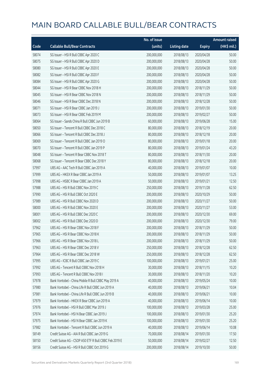|       |                                                        | No. of issue |                     |               | <b>Amount raised</b> |
|-------|--------------------------------------------------------|--------------|---------------------|---------------|----------------------|
| Code  | <b>Callable Bull/Bear Contracts</b>                    | (units)      | <b>Listing date</b> | <b>Expiry</b> | (HK\$ mil.)          |
| 58074 | SG Issuer - HSI R Bull CBBC Apr 2020 C                 | 200,000,000  | 2018/08/13          | 2020/04/28    | 50.00                |
| 58075 | SG Issuer - HSI R Bull CBBC Apr 2020 D                 | 200,000,000  | 2018/08/13          | 2020/04/28    | 50.00                |
| 58080 | SG Issuer - HSI R Bull CBBC Apr 2020 E                 | 200,000,000  | 2018/08/13          | 2020/04/28    | 50.00                |
| 58082 | SG Issuer - HSI R Bull CBBC Apr 2020 F                 | 200,000,000  | 2018/08/13          | 2020/04/28    | 50.00                |
| 58084 | SG Issuer - HSI R Bull CBBC Apr 2020 G                 | 200,000,000  | 2018/08/13          | 2020/04/28    | 50.00                |
| 58044 | SG Issuer - HSI R Bear CBBC Nov 2018 H                 | 200,000,000  | 2018/08/13          | 2018/11/29    | 50.00                |
| 58045 | SG Issuer - HSI R Bear CBBC Nov 2018 N                 | 200,000,000  | 2018/08/13          | 2018/11/29    | 50.00                |
| 58046 | SG Issuer - HSI R Bear CBBC Dec 2018 N                 | 200,000,000  | 2018/08/13          | 2018/12/28    | 50.00                |
| 58071 | SG Issuer - HSI R Bear CBBC Jan 2019 J                 | 200,000,000  | 2018/08/13          | 2019/01/30    | 50.00                |
| 58073 | SG Issuer - HSI R Bear CBBC Feb 2019 M                 | 200,000,000  | 2018/08/13          | 2019/02/27    | 50.00                |
| 58064 | SG Issuer - Sands China R Bull CBBC Jun 2019 B         | 60,000,000   | 2018/08/13          | 2019/06/28    | 15.00                |
| 58050 | SG Issuer - Tencent R Bull CBBC Dec 2018 C             | 80,000,000   | 2018/08/13          | 2018/12/19    | 20.00                |
| 58066 | SG Issuer - Tencent R Bull CBBC Dec 2018 J             | 80,000,000   | 2018/08/13          | 2018/12/18    | 20.00                |
| 58069 | SG Issuer - Tencent R Bull CBBC Jan 2019 O             | 80,000,000   | 2018/08/13          | 2019/01/18    | 20.00                |
| 58070 | SG Issuer - Tencent R Bull CBBC Jan 2019 P             | 80,000,000   | 2018/08/13          | 2019/01/24    | 43.20                |
| 58048 | SG Issuer - Tencent R Bear CBBC Nov 2018 T             | 80,000,000   | 2018/08/13          | 2018/11/30    | 20.00                |
| 58068 | SG Issuer - Tencent R Bear CBBC Dec 2018 Y             | 80,000,000   | 2018/08/13          | 2018/12/18    | 20.00                |
| 57997 | UBS AG - AAC Tech R Bull CBBC Jan 2019 A               | 40,000,000   | 2018/08/13          | 2019/01/07    | 10.00                |
| 57999 | UBS AG - HKEX R Bear CBBC Jan 2019 A                   | 50,000,000   | 2018/08/13          | 2019/01/07    | 13.25                |
| 57998 | UBS AG - HSBC R Bear CBBC Jan 2019 A                   | 50,000,000   | 2018/08/13          | 2019/01/21    | 12.50                |
| 57988 | UBS AG - HSI R Bull CBBC Nov 2019 C                    | 250,000,000  | 2018/08/13          | 2019/11/28    | 62.50                |
| 57990 | UBS AG - HSI R Bull CBBC Oct 2020 E                    | 200,000,000  | 2018/08/13          | 2020/10/29    | 50.00                |
| 57989 | UBS AG - HSI R Bull CBBC Nov 2020 D                    | 200,000,000  | 2018/08/13          | 2020/11/27    | 50.00                |
| 58000 | UBS AG - HSI R Bull CBBC Nov 2020 E                    | 200,000,000  | 2018/08/13          | 2020/11/27    | 53.00                |
| 58001 | UBS AG - HSI R Bull CBBC Dec 2020 C                    | 200,000,000  | 2018/08/13          | 2020/12/30    | 69.00                |
| 58002 | UBS AG - HSI R Bull CBBC Dec 2020 D                    | 200,000,000  | 2018/08/13          | 2020/12/30    | 79.00                |
| 57962 | UBS AG - HSI R Bear CBBC Nov 2018 F                    | 200,000,000  | 2018/08/13          | 2018/11/29    | 50.00                |
| 57965 | UBS AG - HSI R Bear CBBC Nov 2018 K                    | 200,000,000  | 2018/08/13          | 2018/11/29    | 50.00                |
| 57966 | UBS AG - HSI R Bear CBBC Nov 2018 L                    | 200,000,000  | 2018/08/13          | 2018/11/29    | 50.00                |
| 57963 | UBS AG - HSI R Bear CBBC Dec 2018 V                    | 250,000,000  | 2018/08/13          | 2018/12/28    | 62.50                |
| 57964 | UBS AG - HSI R Bear CBBC Dec 2018 W                    | 250,000,000  | 2018/08/13          | 2018/12/28    | 62.50                |
| 57995 | UBS AG - ICBC R Bull CBBC Jan 2019 C                   | 100,000,000  | 2018/08/13          | 2019/01/21    | 25.00                |
| 57992 | UBS AG - Tencent R Bull CBBC Nov 2018 H                | 30,000,000   | 2018/08/13          | 2018/11/15    | 10.20                |
| 57993 | UBS AG - Tencent R Bull CBBC Nov 2018 I                | 30,000,000   | 2018/08/13          | 2018/11/20    | 10.20                |
| 57978 | Bank Vontobel - China Mobile R Bull CBBC May 2019 A    | 40,000,000   | 2018/08/13          | 2019/05/24    | 10.00                |
| 57980 | Bank Vontobel - China Life R Bull CBBC Jun 2019 A      | 40,000,000   | 2018/08/13          | 2019/06/21    | 10.04                |
| 57981 | Bank Vontobel - China Life R Bull CBBC Jun 2019 B      | 40,000,000   | 2018/08/13          | 2019/06/21    | 10.00                |
| 57979 | Bank Vontobel - HKEX R Bear CBBC Jun 2019 A            | 40,000,000   | 2018/08/13          | 2019/06/14    | 10.00                |
| 57976 | Bank Vontobel - HSI R Bull CBBC Mar 2019 J             | 100,000,000  | 2018/08/13          | 2019/03/28    | 25.00                |
| 57974 | Bank Vontobel - HSI N Bear CBBC Jan 2019 J             | 100,000,000  | 2018/08/13          | 2019/01/30    | 25.20                |
| 57975 | Bank Vontobel - HSI N Bear CBBC Jan 2019 K             | 100,000,000  | 2018/08/13          | 2019/01/30    | 25.20                |
| 57982 | Bank Vontobel - Tencent R Bull CBBC Jun 2019 A         | 40,000,000   | 2018/08/13          | 2019/06/14    | 10.08                |
| 58149 | Credit Suisse AG - AIA R Bull CBBC Jan 2019 G          | 70,000,000   | 2018/08/14          | 2019/01/30    | 17.50                |
| 58150 | Credit Suisse AG - CSOP A50 ETF R Bull CBBC Feb 2019 E | 50,000,000   | 2018/08/14          | 2019/02/27    | 12.50                |
| 58156 | Credit Suisse AG - HSI R Bull CBBC Oct 2019 G          | 200,000,000  | 2018/08/14          | 2019/10/30    | 50.00                |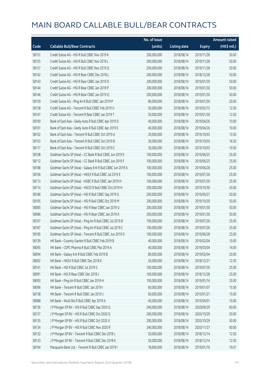|       |                                                             | No. of issue |                     |               | <b>Amount raised</b> |
|-------|-------------------------------------------------------------|--------------|---------------------|---------------|----------------------|
| Code  | <b>Callable Bull/Bear Contracts</b>                         | (units)      | <b>Listing date</b> | <b>Expiry</b> | (HK\$ mil.)          |
| 58151 | Credit Suisse AG - HSI R Bull CBBC Nov 2019 K               | 200,000,000  | 2018/08/14          | 2019/11/28    | 50.00                |
| 58155 | Credit Suisse AG - HSI R Bull CBBC Nov 2019 L               | 200,000,000  | 2018/08/14          | 2019/11/28    | 50.00                |
| 58157 | Credit Suisse AG - HSI R Bull CBBC Nov 2019 Q               | 200,000,000  | 2018/08/14          | 2019/11/28    | 50.00                |
| 58142 | Credit Suisse AG - HSI R Bear CBBC Dec 2018 L               | 200,000,000  | 2018/08/14          | 2018/12/28    | 50.00                |
| 58143 | Credit Suisse AG - HSI R Bear CBBC Jan 2019 O               | 200,000,000  | 2018/08/14          | 2019/01/30    | 50.00                |
| 58144 | Credit Suisse AG - HSI R Bear CBBC Jan 2019 P               | 200,000,000  | 2018/08/14          | 2019/01/30    | 50.00                |
| 58146 | Credit Suisse AG - HSI R Bear CBBC Jan 2019 Q               | 200,000,000  | 2018/08/14          | 2019/01/30    | 50.00                |
| 58159 | Credit Suisse AG - Ping An R Bull CBBC Jan 2019 P           | 80,000,000   | 2018/08/14          | 2019/01/30    | 20.00                |
| 58158 | Credit Suisse AG - Tencent R Bull CBBC Feb 2019 U           | 50,000,000   | 2018/08/14          | 2019/02/15    | 12.50                |
| 58147 | Credit Suisse AG - Tencent R Bear CBBC Jan 2019 T           | 50,000,000   | 2018/08/14          | 2019/01/30    | 12.50                |
| 58100 | Bank of East Asia - Geely Auto R Bull CBBC Apr 2019 D       | 40,000,000   | 2018/08/14          | 2019/04/26    | 10.00                |
| 58101 | Bank of East Asia - Geely Auto R Bull CBBC Apr 2019 E       | 40,000,000   | 2018/08/14          | 2019/04/26    | 10.00                |
| 58102 | Bank of East Asia - Tencent R Bull CBBC Oct 2019 A          | 30,000,000   | 2018/08/14          | 2019/10/03    | 13.50                |
| 58103 | Bank of East Asia - Tencent R Bull CBBC Oct 2019 B          | 30,000,000   | 2018/08/14          | 2019/10/03    | 16.50                |
| 58117 | Bank of East Asia - Tencent R Bull CBBC Oct 2019 C          | 30,000,000   | 2018/08/14          | 2019/10/03    | 10.50                |
| 58108 | Goldman Sachs SP (Asia) - CC Bank R Bull CBBC Jun 2019 E    | 100,000,000  | 2018/08/14          | 2019/06/25    | 25.00                |
| 58112 | Goldman Sachs SP (Asia) - CC Bank R Bull CBBC Jun 2019 F    | 100,000,000  | 2018/08/14          | 2019/06/25    | 25.00                |
| 58188 | Goldman Sachs SP (Asia) - Galaxy Ent R Bull CBBC Jun 2019 A | 100,000,000  | 2018/08/14          | 2019/06/28    | 25.00                |
| 58106 | Goldman Sachs SP (Asia) - HKEX R Bull CBBC Jul 2019 E       | 100,000,000  | 2018/08/14          | 2019/07/26    | 25.00                |
| 58113 | Goldman Sachs SP (Asia) - HSBC R Bull CBBC Jan 2019 H       | 100,000,000  | 2018/08/14          | 2019/01/30    | 25.00                |
| 58114 | Goldman Sachs SP (Asia) - HSCEI R Bull CBBC Oct 2019 H      | 200,000,000  | 2018/08/14          | 2019/10/30    | 50.00                |
| 58186 | Goldman Sachs SP (Asia) - HSI R Bull CBBC Sep 2019 G        | 200,000,000  | 2018/08/14          | 2019/09/27    | 50.00                |
| 58105 | Goldman Sachs SP (Asia) - HSI R Bull CBBC Oct 2019 M        | 200,000,000  | 2018/08/14          | 2019/10/30    | 50.00                |
| 58085 | Goldman Sachs SP (Asia) - HSI R Bear CBBC Jan 2019 U        | 200,000,000  | 2018/08/14          | 2019/01/30    | 50.00                |
| 58086 | Goldman Sachs SP (Asia) - HSI R Bear CBBC Jan 2019 X        | 200,000,000  | 2018/08/14          | 2019/01/30    | 50.00                |
| 58107 | Goldman Sachs SP (Asia) - Ping An R Bull CBBC Jul 2019 B    | 100,000,000  | 2018/08/14          | 2019/07/26    | 25.00                |
| 58187 | Goldman Sachs SP (Asia) - Ping An R Bull CBBC Jul 2019 C    | 100,000,000  | 2018/08/14          | 2019/07/26    | 25.00                |
| 58185 | Goldman Sachs SP (Asia) - Tencent R Bull CBBC Jun 2019 D    | 100,000,000  | 2018/08/14          | 2019/06/28    | 25.00                |
| 58139 | HK Bank - Country Garden R Bull CBBC Feb 2019 B             | 40,000,000   | 2018/08/14          | 2019/02/04    | 10.00                |
| 58095 | HK Bank - CSPC Pharma R Bull CBBC Mar 2019 A                | 40,000,000   | 2018/08/14          | 2019/03/04    | 14.00                |
| 58094 | HK Bank - Galaxy Ent R Bull CBBC Feb 2019 B                 | 80,000,000   | 2018/08/14          | 2019/02/04    | 20.00                |
| 58092 | HK Bank - HKEX R Bull CBBC Dec 2018 K                       | 50,000,000   | 2018/08/14          | 2018/12/31    | 12.50                |
| 58141 | HK Bank - HSI R Bull CBBC Jul 2019 S                        | 100,000,000  | 2018/08/14          | 2019/07/30    | 25.00                |
| 58091 | HK Bank - HSI R Bear CBBC Dec 2018 J                        | 100,000,000  | 2018/08/14          | 2018/12/28    | 25.00                |
| 58093 | HK Bank - Ping An R Bull CBBC Jan 2019 H                    | 100,000,000  | 2018/08/14          | 2019/01/14    | 25.00                |
| 58096 | HK Bank - Tencent R Bull CBBC Jan 2019 I                    | 60,000,000   | 2018/08/14          | 2019/01/07    | 15.00                |
| 58138 | HK Bank - Tencent R Bull CBBC Jan 2019 J                    | 60,000,000   | 2018/08/14          | 2019/01/21    | 15.00                |
| 58088 | HK Bank - WuXi Bio R Bull CBBC Apr 2019 A                   | 40,000,000   | 2018/08/14          | 2019/04/01    | 10.00                |
| 58136 | J P Morgan SP BV - HSI R Bull CBBC Sep 2020 Q               | 240,000,000  | 2018/08/14          | 2020/09/29    | 60.00                |
| 58137 | J P Morgan SP BV - HSI R Bull CBBC Oct 2020 Q               | 200,000,000  | 2018/08/14          | 2020/10/29    | 50.00                |
| 58135 | J P Morgan SP BV - HSI R Bull CBBC Oct 2020 X               | 200,000,000  | 2018/08/14          | 2020/10/29    | 50.00                |
| 58134 | J P Morgan SP BV - HSI R Bull CBBC Nov 2020 R               | 240,000,000  | 2018/08/14          | 2020/11/27    | 60.00                |
| 58132 | J P Morgan SP BV - Tencent R Bull CBBC Dec 2018 J           | 50,000,000   | 2018/08/14          | 2018/12/14    | 12.50                |
| 58133 | JP Morgan SP BV - Tencent R Bull CBBC Dec 2018 K            | 50,000,000   | 2018/08/14          | 2018/12/14    | 12.50                |
| 58104 | Macquarie Bank Ltd. - Tencent R Bull CBBC Jan 2019 I        | 18,600,000   | 2018/08/14          | 2019/01/16    | 10.01                |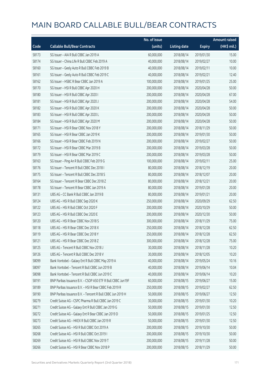|       |                                                             | No. of issue |                     |               | <b>Amount raised</b>  |
|-------|-------------------------------------------------------------|--------------|---------------------|---------------|-----------------------|
| Code  | <b>Callable Bull/Bear Contracts</b>                         | (units)      | <b>Listing date</b> | <b>Expiry</b> | $(HK\frac{1}{2}mil.)$ |
| 58173 | SG Issuer - AIA R Bull CBBC Jan 2019 A                      | 60,000,000   | 2018/08/14          | 2019/01/30    | 15.00                 |
| 58174 | SG Issuer - China Life R Bull CBBC Feb 2019 A               | 40,000,000   | 2018/08/14          | 2019/02/27    | 10.00                 |
| 58160 | SG Issuer - Geely Auto R Bull CBBC Feb 2019 B               | 40,000,000   | 2018/08/14          | 2019/02/11    | 10.00                 |
| 58161 | SG Issuer - Geely Auto R Bull CBBC Feb 2019 C               | 40,000,000   | 2018/08/14          | 2019/02/21    | 12.40                 |
| 58162 | SG Issuer - HSBC R Bear CBBC Jan 2019 A                     | 100,000,000  | 2018/08/14          | 2019/01/25    | 25.00                 |
| 58170 | SG Issuer - HSI R Bull CBBC Apr 2020 H                      | 200,000,000  | 2018/08/14          | 2020/04/28    | 50.00                 |
| 58180 | SG Issuer - HSI R Bull CBBC Apr 2020 I                      | 200,000,000  | 2018/08/14          | 2020/04/28    | 67.00                 |
| 58181 | SG Issuer - HSI R Bull CBBC Apr 2020 J                      | 200,000,000  | 2018/08/14          | 2020/04/28    | 54.00                 |
| 58182 | SG Issuer - HSI R Bull CBBC Apr 2020 K                      | 200,000,000  | 2018/08/14          | 2020/04/28    | 50.00                 |
| 58183 | SG Issuer - HSI R Bull CBBC Apr 2020 L                      | 200,000,000  | 2018/08/14          | 2020/04/28    | 50.00                 |
| 58184 | SG Issuer - HSI R Bull CBBC Apr 2020 M                      | 200,000,000  | 2018/08/14          | 2020/04/28    | 50.00                 |
| 58171 | SG Issuer - HSI R Bear CBBC Nov 2018 Y                      | 200,000,000  | 2018/08/14          | 2018/11/29    | 50.00                 |
| 58165 | SG Issuer - HSI R Bear CBBC Jan 2019 K                      | 200,000,000  | 2018/08/14          | 2019/01/30    | 50.00                 |
| 58166 | SG Issuer - HSI R Bear CBBC Feb 2019 N                      | 200,000,000  | 2018/08/14          | 2019/02/27    | 50.00                 |
| 58172 | SG Issuer - HSI R Bear CBBC Mar 2019 B                      | 200,000,000  | 2018/08/14          | 2019/03/28    | 50.00                 |
| 58179 | SG Issuer - HSI R Bear CBBC Mar 2019 C                      | 200,000,000  | 2018/08/14          | 2019/03/28    | 50.00                 |
| 58163 | SG Issuer - Ping An R Bull CBBC Feb 2019 G                  | 100,000,000  | 2018/08/14          | 2019/02/11    | 25.00                 |
| 58176 | SG Issuer - Tencent R Bull CBBC Dec 2018 I                  | 80,000,000   | 2018/08/14          | 2018/12/19    | 20.00                 |
| 58175 | SG Issuer - Tencent R Bull CBBC Dec 2018 S                  | 80,000,000   | 2018/08/14          | 2018/12/07    | 20.00                 |
| 58164 | SG Issuer - Tencent R Bear CBBC Dec 2018 Z                  | 80,000,000   | 2018/08/14          | 2018/12/21    | 20.00                 |
| 58178 | SG Issuer - Tencent R Bear CBBC Jan 2019 A                  | 80,000,000   | 2018/08/14          | 2019/01/28    | 20.00                 |
| 58131 | UBS AG - CC Bank R Bull CBBC Jan 2019 B                     | 80,000,000   | 2018/08/14          | 2019/01/21    | 20.00                 |
| 58124 | UBS AG - HSI R Bull CBBC Sep 2020 K                         | 250,000,000  | 2018/08/14          | 2020/09/29    | 62.50                 |
| 58122 | UBS AG - HSI R Bull CBBC Oct 2020 F                         | 200,000,000  | 2018/08/14          | 2020/10/29    | 50.00                 |
| 58123 | UBS AG - HSI R Bull CBBC Dec 2020 E                         | 200,000,000  | 2018/08/14          | 2020/12/30    | 50.00                 |
| 58120 | UBS AG - HSI R Bear CBBC Nov 2018 S                         | 300,000,000  | 2018/08/14          | 2018/11/29    | 75.00                 |
| 58118 | UBS AG - HSI R Bear CBBC Dec 2018 X                         | 250,000,000  | 2018/08/14          | 2018/12/28    | 62.50                 |
| 58119 | UBS AG - HSI R Bear CBBC Dec 2018 Y                         | 250,000,000  | 2018/08/14          | 2018/12/28    | 62.50                 |
| 58121 | UBS AG - HSI R Bear CBBC Dec 2018 Z                         | 300,000,000  | 2018/08/14          | 2018/12/28    | 75.00                 |
| 58125 | UBS AG - Tencent R Bull CBBC Nov 2018 J                     | 30,000,000   | 2018/08/14          | 2018/11/28    | 10.20                 |
| 58126 | UBS AG - Tencent R Bull CBBC Dec 2018 V                     | 30,000,000   | 2018/08/14          | 2018/12/05    | 10.20                 |
| 58099 | Bank Vontobel - Galaxy Ent R Bull CBBC May 2019 A           | 40,000,000   | 2018/08/14          | 2019/05/24    | 10.16                 |
| 58097 | Bank Vontobel - Tencent R Bull CBBC Jun 2019 B              | 40,000,000   | 2018/08/14          | 2019/06/14    | 10.04                 |
| 58098 | Bank Vontobel - Tencent R Bull CBBC Jun 2019 C              | 40,000,000   | 2018/08/14          | 2019/06/14    | 10.20                 |
| 58191 | BNP Paribas Issuance B.V. - CSOP A50 ETF R Bull CBBC Jun19F | 60,000,000   | 2018/08/15          | 2019/06/27    | 15.00                 |
| 58189 | BNP Paribas Issuance B.V. - HSI R Bear CBBC Feb 2019 R      | 250,000,000  | 2018/08/15          | 2019/02/27    | 62.50                 |
| 58190 | BNP Paribas Issuance B.V. - Tencent R Bull CBBC Jun 2019 H  | 50,000,000   | 2018/08/15          | 2019/06/27    | 12.50                 |
| 58279 | Credit Suisse AG - CSPC Pharma R Bull CBBC Jan 2019 C       | 30,000,000   | 2018/08/15          | 2019/01/30    | 10.20                 |
| 58271 | Credit Suisse AG - Galaxy Ent R Bull CBBC Jan 2019 G        | 50,000,000   | 2018/08/15          | 2019/01/30    | 12.50                 |
| 58272 | Credit Suisse AG - Galaxy Ent R Bear CBBC Jan 2019 D        | 50,000,000   | 2018/08/15          | 2019/01/25    | 12.50                 |
| 58273 | Credit Suisse AG - HKEX R Bull CBBC Jan 2019 R              | 50,000,000   | 2018/08/15          | 2019/01/30    | 12.50                 |
| 58265 | Credit Suisse AG - HSI R Bull CBBC Oct 2019 A               | 200,000,000  | 2018/08/15          | 2019/10/30    | 50.00                 |
| 58268 | Credit Suisse AG - HSI R Bull CBBC Oct 2019 I               | 200,000,000  | 2018/08/15          | 2019/10/30    | 50.00                 |
| 58269 | Credit Suisse AG - HSI R Bull CBBC Nov 2019 T               | 200,000,000  | 2018/08/15          | 2019/11/28    | 50.00                 |
| 58266 | Credit Suisse AG - HSI R Bear CBBC Nov 2018 P               | 200,000,000  | 2018/08/15          | 2018/11/29    | 50.00                 |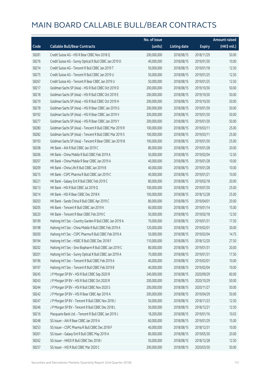|       |                                                           | No. of issue |                     |               | <b>Amount raised</b> |
|-------|-----------------------------------------------------------|--------------|---------------------|---------------|----------------------|
| Code  | <b>Callable Bull/Bear Contracts</b>                       | (units)      | <b>Listing date</b> | <b>Expiry</b> | (HK\$ mil.)          |
| 58281 | Credit Suisse AG - HSI R Bear CBBC Nov 2018 Q             | 200,000,000  | 2018/08/15          | 2018/11/29    | 50.00                |
| 58276 | Credit Suisse AG - Sunny Optical R Bull CBBC Jan 2019 D   | 40,000,000   | 2018/08/15          | 2019/01/30    | 10.00                |
| 58274 | Credit Suisse AG - Tencent R Bull CBBC Jan 2019 T         | 50,000,000   | 2018/08/15          | 2019/01/18    | 12.50                |
| 58275 | Credit Suisse AG - Tencent R Bull CBBC Jan 2019 U         | 50,000,000   | 2018/08/15          | 2019/01/25    | 12.50                |
| 58267 | Credit Suisse AG - Tencent R Bear CBBC Jan 2019 U         | 50,000,000   | 2018/08/15          | 2019/01/25    | 12.50                |
| 58217 | Goldman Sachs SP (Asia) - HSI R Bull CBBC Oct 2019 D      | 200,000,000  | 2018/08/15          | 2019/10/30    | 50.00                |
| 58218 | Goldman Sachs SP (Asia) - HSI R Bull CBBC Oct 2019 E      | 200,000,000  | 2018/08/15          | 2019/10/30    | 50.00                |
| 58219 | Goldman Sachs SP (Asia) - HSI R Bull CBBC Oct 2019 H      | 200,000,000  | 2018/08/15          | 2019/10/30    | 50.00                |
| 58278 | Goldman Sachs SP (Asia) - HSI R Bear CBBC Jan 2019 G      | 200,000,000  | 2018/08/15          | 2019/01/30    | 50.00                |
| 58192 | Goldman Sachs SP (Asia) - HSI R Bear CBBC Jan 2019 V      | 200,000,000  | 2018/08/15          | 2019/01/30    | 50.00                |
| 58277 | Goldman Sachs SP (Asia) - HSI R Bear CBBC Jan 2019 Y      | 200,000,000  | 2018/08/15          | 2019/01/30    | 50.00                |
| 58280 | Goldman Sachs SP (Asia) - Tencent R Bull CBBC Mar 2019 R  | 100,000,000  | 2018/08/15          | 2019/03/11    | 25.00                |
| 58282 | Goldman Sachs SP (Asia) - Tencent R Bull CBBC Mar 2019 S  | 100,000,000  | 2018/08/15          | 2019/03/11    | 25.00                |
| 58193 | Goldman Sachs SP (Asia) - Tencent R Bear CBBC Jan 2019 B  | 100,000,000  | 2018/08/15          | 2019/01/30    | 25.00                |
| 58208 | HK Bank - AIA R Bull CBBC Jan 2019 C                      | 80,000,000   | 2018/08/15          | 2019/01/28    | 20.00                |
| 58206 | HK Bank - China Mobile R Bull CBBC Feb 2019 A             | 50,000,000   | 2018/08/15          | 2019/02/04    | 12.50                |
| 58207 | HK Bank - China Mobile R Bear CBBC Jan 2019 A             | 40,000,000   | 2018/08/15          | 2019/01/28    | 10.00                |
| 58209 | HK Bank - China Life R Bull CBBC Jan 2019 B               | 40,000,000   | 2018/08/15          | 2019/01/28    | 10.00                |
| 58215 | HK Bank - CSPC Pharma R Bull CBBC Jan 2019 C              | 40,000,000   | 2018/08/15          | 2019/01/21    | 10.00                |
| 58221 | HK Bank - Galaxy Ent R Bull CBBC Feb 2019 C               | 80,000,000   | 2018/08/15          | 2019/02/18    | 20.00                |
| 58213 | HK Bank - HSI R Bull CBBC Jul 2019 Q                      | 100,000,000  | 2018/08/15          | 2019/07/30    | 25.00                |
| 58214 | HK Bank - HSI R Bear CBBC Dec 2018 K                      | 100,000,000  | 2018/08/15          | 2018/12/28    | 25.00                |
| 58203 | HK Bank - Sands China R Bull CBBC Apr 2019 C              | 80,000,000   | 2018/08/15          | 2019/04/01    | 20.00                |
| 58205 | HK Bank - Tencent R Bull CBBC Jan 2019 K                  | 60,000,000   | 2018/08/15          | 2019/01/14    | 15.00                |
| 58220 | HK Bank - Tencent R Bear CBBC Feb 2019 C                  | 50,000,000   | 2018/08/15          | 2019/02/18    | 12.50                |
| 58199 | Haitong Int'l Sec - Country Garden R Bull CBBC Jan 2019 A | 70,000,000   | 2018/08/15          | 2019/01/31    | 17.50                |
| 58198 | Haitong Int'l Sec - China Mobile R Bull CBBC Feb 2019 A   | 120,000,000  | 2018/08/15          | 2019/02/01    | 30.00                |
| 58200 | Haitong Int'l Sec - CSPC Pharma R Bull CBBC Feb 2019 A    | 50,000,000   | 2018/08/15          | 2019/02/04    | 14.75                |
| 58194 | Haitong Int'l Sec - HSBC R Bull CBBC Dec 2018 F           | 110,000,000  | 2018/08/15          | 2018/12/20    | 27.50                |
| 58202 | Haitong Int'l Sec - Sino Biopharm R Bull CBBC Jan 2019 C  | 80,000,000   | 2018/08/15          | 2019/01/31    | 20.00                |
| 58201 | Haitong Int'l Sec - Sunny Optical R Bull CBBC Jan 2019 A  | 70,000,000   | 2018/08/15          | 2019/01/31    | 17.50                |
| 58196 | Haitong Int'l Sec - Tencent R Bull CBBC Feb 2019 A        | 40,000,000   | 2018/08/15          | 2019/02/01    | 10.00                |
| 58197 | Haitong Int'l Sec - Tencent R Bull CBBC Feb 2019 B        | 40,000,000   | 2018/08/15          | 2019/02/04    | 10.00                |
| 58245 | J P Morgan SP BV - HSI R Bull CBBC Sep 2020 R             | 240,000,000  | 2018/08/15          | 2020/09/29    | 60.00                |
| 58243 | J P Morgan SP BV - HSI R Bull CBBC Oct 2020 R             | 200,000,000  | 2018/08/15          | 2020/10/29    | 50.00                |
| 58244 | J P Morgan SP BV - HSI R Bull CBBC Nov 2020 S             | 200,000,000  | 2018/08/15          | 2020/11/27    | 50.00                |
| 58242 | J P Morgan SP BV - HSI R Bear CBBC Apr 2019 A             | 200,000,000  | 2018/08/15          | 2019/04/29    | 50.00                |
| 58247 | J P Morgan SP BV - Tencent R Bull CBBC Nov 2018 J         | 50,000,000   | 2018/08/15          | 2018/11/23    | 12.50                |
| 58246 | JP Morgan SP BV - Tencent R Bull CBBC Dec 2018 L          | 50,000,000   | 2018/08/15          | 2018/12/21    | 12.50                |
| 58216 | Macquarie Bank Ltd. - Tencent R Bull CBBC Jan 2019 J      | 18,200,000   | 2018/08/15          | 2019/01/16    | 10.03                |
| 58248 | SG Issuer - AIA R Bear CBBC Jan 2019 A                    | 60,000,000   | 2018/08/15          | 2019/01/29    | 15.00                |
| 58253 | SG Issuer - CSPC Pharma R Bull CBBC Dec 2018 F            | 40,000,000   | 2018/08/15          | 2018/12/31    | 10.00                |
| 58261 | SG Issuer - Galaxy Ent R Bull CBBC May 2019 A             | 80,000,000   | 2018/08/15          | 2019/05/30    | 20.00                |
| 58262 | SG Issuer - HKEX R Bull CBBC Dec 2018 I                   | 50,000,000   | 2018/08/15          | 2018/12/28    | 12.50                |
| 58257 | SG Issuer - HSI R Bull CBBC Mar 2020 C                    | 200,000,000  | 2018/08/15          | 2020/03/30    | 50.00                |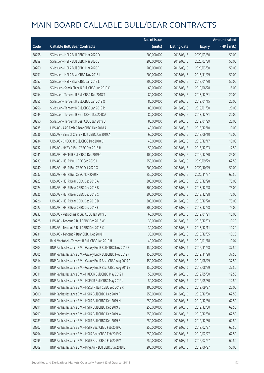|       |                                                               | No. of issue |                     |               | <b>Amount raised</b> |
|-------|---------------------------------------------------------------|--------------|---------------------|---------------|----------------------|
| Code  | <b>Callable Bull/Bear Contracts</b>                           | (units)      | <b>Listing date</b> | <b>Expiry</b> | (HK\$ mil.)          |
| 58258 | SG Issuer - HSI R Bull CBBC Mar 2020 D                        | 200,000,000  | 2018/08/15          | 2020/03/30    | 50.00                |
| 58259 | SG Issuer - HSI R Bull CBBC Mar 2020 E                        | 200,000,000  | 2018/08/15          | 2020/03/30    | 50.00                |
| 58260 | SG Issuer - HSI R Bull CBBC Mar 2020 F                        | 200,000,000  | 2018/08/15          | 2020/03/30    | 50.00                |
| 58251 | SG Issuer - HSI R Bear CBBC Nov 2018 L                        | 200,000,000  | 2018/08/15          | 2018/11/29    | 50.00                |
| 58252 | SG Issuer - HSI R Bear CBBC Jan 2019 L                        | 200,000,000  | 2018/08/15          | 2019/01/30    | 50.00                |
| 58264 | SG Issuer - Sands China R Bull CBBC Jun 2019 C                | 60,000,000   | 2018/08/15          | 2019/06/28    | 15.00                |
| 58254 | SG Issuer - Tencent R Bull CBBC Dec 2018 T                    | 80,000,000   | 2018/08/15          | 2018/12/31    | 20.00                |
| 58255 | SG Issuer - Tencent R Bull CBBC Jan 2019 Q                    | 80,000,000   | 2018/08/15          | 2019/01/15    | 20.00                |
| 58256 | SG Issuer - Tencent R Bull CBBC Jan 2019 R                    | 80,000,000   | 2018/08/15          | 2019/01/30    | 20.00                |
| 58249 | SG Issuer - Tencent R Bear CBBC Dec 2018 A                    | 80,000,000   | 2018/08/15          | 2018/12/31    | 20.00                |
| 58250 | SG Issuer - Tencent R Bear CBBC Jan 2019 B                    | 80,000,000   | 2018/08/15          | 2019/01/29    | 20.00                |
| 58235 | UBS AG - AAC Tech R Bear CBBC Dec 2018 A                      | 40,000,000   | 2018/08/15          | 2018/12/10    | 10.00                |
| 58236 | UBS AG - Bank of China R Bull CBBC Jun 2019 A                 | 60,000,000   | 2018/08/15          | 2019/06/10    | 15.00                |
| 58234 | UBS AG - CNOOC R Bull CBBC Dec 2018 D                         | 40,000,000   | 2018/08/15          | 2018/12/17    | 10.00                |
| 58232 | UBS AG - HKEX R Bull CBBC Dec 2018 H                          | 50,000,000   | 2018/08/15          | 2018/12/03    | 12.50                |
| 58241 | UBS AG - HSCEI R Bull CBBC Dec 2019 C                         | 100,000,000  | 2018/08/15          | 2019/12/30    | 25.00                |
| 58239 | UBS AG - HSI R Bull CBBC Sep 2020 L                           | 250,000,000  | 2018/08/15          | 2020/09/29    | 62.50                |
| 58240 | UBS AG - HSI R Bull CBBC Oct 2020 G                           | 200,000,000  | 2018/08/15          | 2020/10/29    | 50.00                |
| 58237 | UBS AG - HSI R Bull CBBC Nov 2020 F                           | 250,000,000  | 2018/08/15          | 2020/11/27    | 62.50                |
| 58223 | UBS AG - HSI R Bear CBBC Dec 2018 A                           | 300,000,000  | 2018/08/15          | 2018/12/28    | 75.00                |
| 58224 | UBS AG - HSI R Bear CBBC Dec 2018 B                           | 300,000,000  | 2018/08/15          | 2018/12/28    | 75.00                |
| 58225 | UBS AG - HSI R Bear CBBC Dec 2018 C                           | 300,000,000  | 2018/08/15          | 2018/12/28    | 75.00                |
| 58226 | UBS AG - HSI R Bear CBBC Dec 2018 D                           | 300,000,000  | 2018/08/15          | 2018/12/28    | 75.00                |
| 58227 | UBS AG - HSI R Bear CBBC Dec 2018 E                           | 300,000,000  | 2018/08/15          | 2018/12/28    | 75.00                |
| 58233 | UBS AG - Petrochina R Bull CBBC Jan 2019 C                    | 60,000,000   | 2018/08/15          | 2019/01/21    | 15.00                |
| 58228 | UBS AG - Tencent R Bull CBBC Dec 2018 W                       | 30,000,000   | 2018/08/15          | 2018/12/03    | 10.20                |
| 58230 | UBS AG - Tencent R Bull CBBC Dec 2018 X                       | 30,000,000   | 2018/08/15          | 2018/12/11    | 10.20                |
| 58231 | UBS AG - Tencent R Bear CBBC Dec 2018 I                       | 30,000,000   | 2018/08/15          | 2018/12/05    | 10.20                |
| 58222 | Bank Vontobel - Tencent R Bull CBBC Jan 2019 H                | 40,000,000   | 2018/08/15          | 2019/01/18    | 10.04                |
| 58304 | BNP Paribas Issuance B.V. - Galaxy Ent R Bull CBBC Nov 2019 E | 150,000,000  | 2018/08/16          | 2019/11/28    | 37.50                |
| 58305 | BNP Paribas Issuance B.V. - Galaxy Ent R Bull CBBC Nov 2019 F | 150,000,000  | 2018/08/16          | 2019/11/28    | 37.50                |
| 58314 | BNP Paribas Issuance B.V. - Galaxy Ent R Bear CBBC Aug 2019 A | 150,000,000  | 2018/08/16          | 2019/08/29    | 37.50                |
| 58315 | BNP Paribas Issuance B.V. - Galaxy Ent R Bear CBBC Aug 2019 B | 150,000,000  | 2018/08/16          | 2019/08/29    | 37.50                |
| 58311 | BNP Paribas Issuance B.V. - HKEX R Bull CBBC May 2019 I       | 50,000,000   | 2018/08/16          | 2019/05/30    | 12.50                |
| 58312 | BNP Paribas Issuance B.V. - HKEX R Bull CBBC May 2019 J       | 50,000,000   | 2018/08/16          | 2019/05/30    | 12.50                |
| 58313 | BNP Paribas Issuance B.V. - HSCEI R Bull CBBC Sep 2019 R      | 100,000,000  | 2018/08/16          | 2019/09/27    | 25.00                |
| 58300 | BNP Paribas Issuance B.V. - HSI R Bull CBBC Dec 2019 F        | 250,000,000  | 2018/08/16          | 2019/12/30    | 62.50                |
| 58301 | BNP Paribas Issuance B.V. - HSI R Bull CBBC Dec 2019 N        | 250,000,000  | 2018/08/16          | 2019/12/30    | 62.50                |
| 58291 | BNP Paribas Issuance B.V. - HSI R Bull CBBC Dec 2019 V        | 250,000,000  | 2018/08/16          | 2019/12/30    | 62.50                |
| 58299 | BNP Paribas Issuance B.V. - HSI R Bull CBBC Dec 2019 W        | 250,000,000  | 2018/08/16          | 2019/12/30    | 62.50                |
| 58283 | BNP Paribas Issuance B.V. - HSI R Bull CBBC Dec 2019 Z        | 250,000,000  | 2018/08/16          | 2019/12/30    | 62.50                |
| 58302 | BNP Paribas Issuance B.V. - HSI R Bear CBBC Feb 2019 C        | 250,000,000  | 2018/08/16          | 2019/02/27    | 62.50                |
| 58294 | BNP Paribas Issuance B.V. - HSI R Bear CBBC Feb 2019 S        | 250,000,000  | 2018/08/16          | 2019/02/27    | 62.50                |
| 58295 | BNP Paribas Issuance B.V. - HSI R Bear CBBC Feb 2019 Y        | 250,000,000  | 2018/08/16          | 2019/02/27    | 62.50                |
| 58309 | BNP Paribas Issuance B.V. - Ping An R Bull CBBC Jun 2019 E    | 200,000,000  | 2018/08/16          | 2019/06/27    | 50.00                |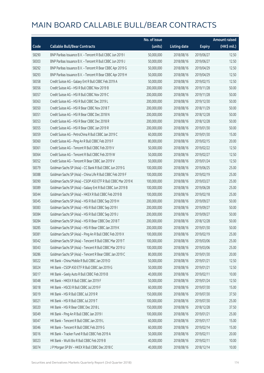|       |                                                               | No. of issue |                     |               | <b>Amount raised</b>  |
|-------|---------------------------------------------------------------|--------------|---------------------|---------------|-----------------------|
| Code  | <b>Callable Bull/Bear Contracts</b>                           | (units)      | <b>Listing date</b> | <b>Expiry</b> | $(HK\frac{1}{2}mil.)$ |
| 58290 | BNP Paribas Issuance B.V. - Tencent R Bull CBBC Jun 2019 I    | 50,000,000   | 2018/08/16          | 2019/06/27    | 12.50                 |
| 58303 | BNP Paribas Issuance B.V. - Tencent R Bull CBBC Jun 2019 J    | 50,000,000   | 2018/08/16          | 2019/06/27    | 12.50                 |
| 58292 | BNP Paribas Issuance B.V. - Tencent R Bear CBBC Apr 2019 G    | 50,000,000   | 2018/08/16          | 2019/04/29    | 12.50                 |
| 58293 | BNP Paribas Issuance B.V. - Tencent R Bear CBBC Apr 2019 H    | 50,000,000   | 2018/08/16          | 2019/04/29    | 12.50                 |
| 58358 | Credit Suisse AG - Galaxy Ent R Bull CBBC Feb 2019 A          | 50,000,000   | 2018/08/16          | 2019/02/15    | 12.50                 |
| 58356 | Credit Suisse AG - HSI R Bull CBBC Nov 2019 B                 | 200,000,000  | 2018/08/16          | 2019/11/28    | 50.00                 |
| 58357 | Credit Suisse AG - HSI R Bull CBBC Nov 2019 C                 | 200,000,000  | 2018/08/16          | 2019/11/28    | 50.00                 |
| 58363 | Credit Suisse AG - HSI R Bull CBBC Dec 2019 L                 | 200,000,000  | 2018/08/16          | 2019/12/30    | 50.00                 |
| 58350 | Credit Suisse AG - HSI R Bear CBBC Nov 2018 T                 | 200,000,000  | 2018/08/16          | 2018/11/29    | 50.00                 |
| 58351 | Credit Suisse AG - HSI R Bear CBBC Dec 2018 N                 | 200,000,000  | 2018/08/16          | 2018/12/28    | 50.00                 |
| 58353 | Credit Suisse AG - HSI R Bear CBBC Dec 2018 R                 | 200,000,000  | 2018/08/16          | 2018/12/28    | 50.00                 |
| 58355 | Credit Suisse AG - HSI R Bear CBBC Jan 2019 R                 | 200,000,000  | 2018/08/16          | 2019/01/30    | 50.00                 |
| 58359 | Credit Suisse AG - PetroChina R Bull CBBC Jan 2019 C          | 60,000,000   | 2018/08/16          | 2019/01/30    | 15.00                 |
| 58360 | Credit Suisse AG - Ping An R Bull CBBC Feb 2019 F             | 80,000,000   | 2018/08/16          | 2019/02/15    | 20.00                 |
| 58361 | Credit Suisse AG - Tencent R Bull CBBC Feb 2019 V             | 50,000,000   | 2018/08/16          | 2019/02/22    | 12.50                 |
| 58364 | Credit Suisse AG - Tencent R Bull CBBC Feb 2019 W             | 50,000,000   | 2018/08/16          | 2019/02/27    | 12.50                 |
| 58352 | Credit Suisse AG - Tencent R Bear CBBC Jan 2019 V             | 50,000,000   | 2018/08/16          | 2019/01/24    | 12.50                 |
| 58379 | Goldman Sachs SP (Asia) - CC Bank R Bull CBBC Jun 2019 G      | 100,000,000  | 2018/08/16          | 2019/06/25    | 25.00                 |
| 58388 | Goldman Sachs SP (Asia) - China Life R Bull CBBC Feb 2019 F   | 100,000,000  | 2018/08/16          | 2019/02/19    | 25.00                 |
| 58390 | Goldman Sachs SP (Asia) - CSOP A50 ETF R Bull CBBC Mar 2019 K | 100,000,000  | 2018/08/16          | 2019/03/27    | 25.00                 |
| 58389 | Goldman Sachs SP (Asia) - Galaxy Ent R Bull CBBC Jun 2019 B   | 100,000,000  | 2018/08/16          | 2019/06/28    | 25.00                 |
| 58344 | Goldman Sachs SP (Asia) - HKEX R Bull CBBC Feb 2019 B         | 100,000,000  | 2018/08/16          | 2019/02/18    | 25.00                 |
| 58345 | Goldman Sachs SP (Asia) - HSI R Bull CBBC Sep 2019 H          | 200,000,000  | 2018/08/16          | 2019/09/27    | 50.00                 |
| 58383 | Goldman Sachs SP (Asia) - HSI R Bull CBBC Sep 2019 I          | 200,000,000  | 2018/08/16          | 2019/09/27    | 50.00                 |
| 58384 | Goldman Sachs SP (Asia) - HSI R Bull CBBC Sep 2019 J          | 200,000,000  | 2018/08/16          | 2019/09/27    | 50.00                 |
| 58284 | Goldman Sachs SP (Asia) - HSI R Bear CBBC Dec 2018 T          | 200,000,000  | 2018/08/16          | 2018/12/28    | 50.00                 |
| 58285 | Goldman Sachs SP (Asia) - HSI R Bear CBBC Jan 2019 K          | 200,000,000  | 2018/08/16          | 2019/01/30    | 50.00                 |
| 58381 | Goldman Sachs SP (Asia) - Ping An R Bull CBBC Feb 2019 X      | 100,000,000  | 2018/08/16          | 2019/02/19    | 25.00                 |
| 58342 | Goldman Sachs SP (Asia) - Tencent R Bull CBBC Mar 2019 T      | 100,000,000  | 2018/08/16          | 2019/03/06    | 25.00                 |
| 58343 | Goldman Sachs SP (Asia) - Tencent R Bull CBBC Mar 2019 U      | 100,000,000  | 2018/08/16          | 2019/03/06    | 25.00                 |
| 58286 | Goldman Sachs SP (Asia) - Tencent R Bear CBBC Jan 2019 C      | 80,000,000   | 2018/08/16          | 2019/01/30    | 20.00                 |
| 58322 | HK Bank - China Mobile R Bull CBBC Jan 2019 D                 | 50,000,000   | 2018/08/16          | 2019/01/21    | 12.50                 |
| 58324 | HK Bank - CSOP A50 ETF R Bull CBBC Jan 2019 G                 | 50,000,000   | 2018/08/16          | 2019/01/21    | 12.50                 |
| 58317 | HK Bank - Geely Auto R Bull CBBC Feb 2019 B                   | 40,000,000   | 2018/08/16          | 2019/02/11    | 10.00                 |
| 58348 | HK Bank - HKEX R Bull CBBC Jan 2019 F                         | 50,000,000   | 2018/08/16          | 2019/01/24    | 12.50                 |
| 58318 | HK Bank - HSCEI R Bull CBBC Jul 2019 F                        | 60,000,000   | 2018/08/16          | 2019/07/30    | 15.00                 |
| 58319 | HK Bank - HSI R Bull CBBC Jul 2019 R                          | 150,000,000  | 2018/08/16          | 2019/07/30    | 37.50                 |
| 58321 | HK Bank - HSI R Bull CBBC Jul 2019 T                          | 100,000,000  | 2018/08/16          | 2019/07/30    | 25.00                 |
| 58320 | HK Bank - HSI R Bear CBBC Dec 2018 L                          | 150,000,000  | 2018/08/16          | 2018/12/28    | 37.50                 |
| 58349 | HK Bank - Ping An R Bull CBBC Jan 2019 I                      | 100,000,000  | 2018/08/16          | 2019/01/21    | 25.00                 |
| 58347 | HK Bank - Tencent R Bull CBBC Jan 2019 L                      | 60,000,000   | 2018/08/16          | 2019/01/17    | 15.00                 |
| 58346 | HK Bank - Tencent R Bull CBBC Feb 2019 G                      | 60,000,000   | 2018/08/16          | 2019/02/14    | 15.00                 |
| 58316 | HK Bank - Tracker Fund R Bull CBBC Feb 2019 A                 | 50,000,000   | 2018/08/16          | 2019/02/11    | 20.00                 |
| 58323 | HK Bank - WuXi Bio R Bull CBBC Feb 2019 B                     | 40,000,000   | 2018/08/16          | 2019/02/11    | 10.00                 |
| 58374 | J P Morgan SP BV - HKEX R Bull CBBC Dec 2018 C                | 40,000,000   | 2018/08/16          | 2018/12/14    | 10.00                 |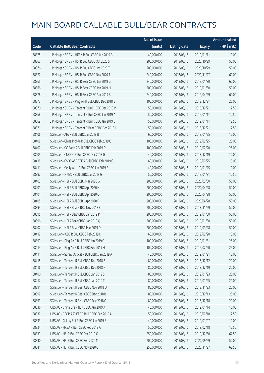|       |                                                   | No. of issue |                     |               | <b>Amount raised</b> |
|-------|---------------------------------------------------|--------------|---------------------|---------------|----------------------|
| Code  | <b>Callable Bull/Bear Contracts</b>               | (units)      | <b>Listing date</b> | <b>Expiry</b> | (HK\$ mil.)          |
| 58375 | J P Morgan SP BV - HKEX R Bull CBBC Jan 2019 B    | 40,000,000   | 2018/08/16          | 2019/01/11    | 10.00                |
| 58367 | JP Morgan SP BV - HSIR Bull CBBC Oct 2020 S       | 200,000,000  | 2018/08/16          | 2020/10/29    | 50.00                |
| 58376 | JP Morgan SP BV - HSIR Bull CBBC Oct 2020 T       | 200,000,000  | 2018/08/16          | 2020/10/29    | 50.00                |
| 58377 | J P Morgan SP BV - HSI R Bull CBBC Nov 2020 T     | 240,000,000  | 2018/08/16          | 2020/11/27    | 60.00                |
| 58365 | J P Morgan SP BV - HSI R Bear CBBC Jan 2019 G     | 240,000,000  | 2018/08/16          | 2019/01/30    | 60.00                |
| 58366 | J P Morgan SP BV - HSI R Bear CBBC Jan 2019 H     | 200,000,000  | 2018/08/16          | 2019/01/30    | 50.00                |
| 58378 | J P Morgan SP BV - HSI R Bear CBBC Apr 2019 B     | 240,000,000  | 2018/08/16          | 2019/04/29    | 60.00                |
| 58373 | J P Morgan SP BV - Ping An R Bull CBBC Dec 2018 E | 100,000,000  | 2018/08/16          | 2018/12/21    | 25.00                |
| 58370 | J P Morgan SP BV - Tencent R Bull CBBC Dec 2018 M | 50,000,000   | 2018/08/16          | 2018/12/21    | 12.50                |
| 58368 | J P Morgan SP BV - Tencent R Bull CBBC Jan 2019 A | 50,000,000   | 2018/08/16          | 2019/01/11    | 12.50                |
| 58369 | J P Morgan SP BV - Tencent R Bull CBBC Jan 2019 B | 50,000,000   | 2018/08/16          | 2019/01/11    | 12.50                |
| 58371 | J P Morgan SP BV - Tencent R Bear CBBC Dec 2018 L | 50,000,000   | 2018/08/16          | 2018/12/21    | 12.50                |
| 58406 | SG Issuer - AIA R Bull CBBC Jan 2019 B            | 60,000,000   | 2018/08/16          | 2019/01/25    | 15.00                |
| 58408 | SG Issuer - China Mobile R Bull CBBC Feb 2019 C   | 100,000,000  | 2018/08/16          | 2019/02/25    | 25.00                |
| 58407 | SG Issuer - CC Bank R Bull CBBC Feb 2019 D        | 100,000,000  | 2018/08/16          | 2019/02/20    | 25.00                |
| 58409 | SG Issuer - CNOOC R Bull CBBC Dec 2018 G          | 40,000,000   | 2018/08/16          | 2018/12/19    | 10.00                |
| 58418 | SG Issuer - CSOP A50 ETF R Bull CBBC Feb 2019 C   | 60,000,000   | 2018/08/16          | 2019/02/25    | 15.00                |
| 58411 | SG Issuer - Geely Auto R Bull CBBC Jan 2019 B     | 40,000,000   | 2018/08/16          | 2019/01/25    | 10.00                |
| 58397 | SG Issuer - HKEX R Bull CBBC Jan 2019 G           | 50,000,000   | 2018/08/16          | 2019/01/31    | 12.50                |
| 58403 | SG Issuer - HSI R Bull CBBC Mar 2020 G            | 200,000,000  | 2018/08/16          | 2020/03/30    | 50.00                |
| 58401 | SG Issuer - HSI R Bull CBBC Apr 2020 N            | 200,000,000  | 2018/08/16          | 2020/04/28    | 50.00                |
| 58404 | SG Issuer - HSI R Bull CBBC Apr 2020 O            | 200,000,000  | 2018/08/16          | 2020/04/28    | 50.00                |
| 58405 | SG Issuer - HSI R Bull CBBC Apr 2020 P            | 200,000,000  | 2018/08/16          | 2020/04/28    | 50.00                |
| 58394 | SG Issuer - HSI R Bear CBBC Nov 2018 E            | 200,000,000  | 2018/08/16          | 2018/11/29    | 50.00                |
| 58395 | SG Issuer - HSI R Bear CBBC Jan 2019 P            | 200,000,000  | 2018/08/16          | 2019/01/30    | 50.00                |
| 58396 | SG Issuer - HSI R Bear CBBC Jan 2019 Q            | 200,000,000  | 2018/08/16          | 2019/01/30    | 50.00                |
| 58402 | SG Issuer - HSI R Bear CBBC Mar 2019 D            | 200,000,000  | 2018/08/16          | 2019/03/28    | 50.00                |
| 58412 | SG Issuer - ICBC R Bull CBBC Feb 2019 D           | 60,000,000   | 2018/08/16          | 2019/02/20    | 15.00                |
| 58399 | SG Issuer - Ping An R Bull CBBC Jan 2019 G        | 100,000,000  | 2018/08/16          | 2019/01/31    | 25.00                |
| 58413 | SG Issuer - Ping An R Bull CBBC Feb 2019 H        | 100,000,000  | 2018/08/16          | 2019/02/20    | 25.00                |
| 58414 | SG Issuer - Sunny Optical R Bull CBBC Jan 2019 A  | 40,000,000   | 2018/08/16          | 2019/01/21    | 10.00                |
| 58415 | SG Issuer - Tencent R Bull CBBC Dec 2018 B        | 80,000,000   | 2018/08/16          | 2018/12/12    | 20.00                |
| 58416 | SG Issuer - Tencent R Bull CBBC Dec 2018 N        | 80,000,000   | 2018/08/16          | 2018/12/19    | 20.00                |
| 58400 | SG Issuer - Tencent R Bull CBBC Jan 2019 S        | 80,000,000   | 2018/08/16          | 2019/01/23    | 20.00                |
| 58417 | SG Issuer - Tencent R Bull CBBC Jan 2019 T        | 80,000,000   | 2018/08/16          | 2019/01/25    | 20.00                |
| 58391 | SG Issuer - Tencent R Bear CBBC Nov 2018 U        | 80,000,000   | 2018/08/16          | 2018/11/23    | 20.00                |
| 58392 | SG Issuer - Tencent R Bear CBBC Dec 2018 B        | 80,000,000   | 2018/08/16          | 2018/12/13    | 20.00                |
| 58393 | SG Issuer - Tencent R Bear CBBC Dec 2018 C        | 80,000,000   | 2018/08/16          | 2018/12/18    | 20.00                |
| 58336 | UBS AG - China Life R Bull CBBC Jan 2019 A        | 40,000,000   | 2018/08/16          | 2019/01/14    | 10.00                |
| 58337 | UBS AG - CSOP A50 ETF R Bull CBBC Feb 2019 A      | 50,000,000   | 2018/08/16          | 2019/02/18    | 12.50                |
| 58333 | UBS AG - Galaxy Ent R Bull CBBC Jan 2019 B        | 40,000,000   | 2018/08/16          | 2019/01/07    | 10.00                |
| 58334 | UBS AG - HKEX R Bull CBBC Feb 2019 A              | 50,000,000   | 2018/08/16          | 2019/02/18    | 12.50                |
| 58339 | UBS AG - HSI R Bull CBBC Dec 2019 O               | 250,000,000  | 2018/08/16          | 2019/12/30    | 62.50                |
| 58340 | UBS AG - HSI R Bull CBBC Sep 2020 M               | 200,000,000  | 2018/08/16          | 2020/09/29    | 50.00                |
| 58341 | UBS AG - HSI R Bull CBBC Nov 2020 G               | 250,000,000  | 2018/08/16          | 2020/11/27    | 62.50                |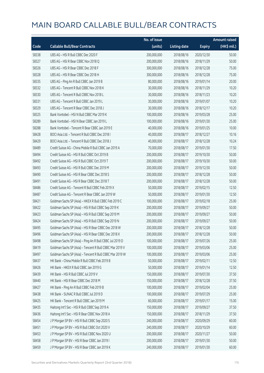|       |                                                          | No. of issue |                     |               | <b>Amount raised</b> |
|-------|----------------------------------------------------------|--------------|---------------------|---------------|----------------------|
| Code  | <b>Callable Bull/Bear Contracts</b>                      | (units)      | <b>Listing date</b> | <b>Expiry</b> | (HK\$ mil.)          |
| 58338 | UBS AG - HSI R Bull CBBC Dec 2020 F                      | 200,000,000  | 2018/08/16          | 2020/12/30    | 50.00                |
| 58327 | UBS AG - HSI R Bear CBBC Nov 2018 Q                      | 200,000,000  | 2018/08/16          | 2018/11/29    | 50.00                |
| 58326 | UBS AG - HSI R Bear CBBC Dec 2018 F                      | 300,000,000  | 2018/08/16          | 2018/12/28    | 75.00                |
| 58328 | UBS AG - HSI R Bear CBBC Dec 2018 H                      | 300,000,000  | 2018/08/16          | 2018/12/28    | 75.00                |
| 58335 | UBS AG - Ping An R Bull CBBC Jan 2019 B                  | 80,000,000   | 2018/08/16          | 2019/01/14    | 20.00                |
| 58332 | UBS AG - Tencent R Bull CBBC Nov 2018 K                  | 30,000,000   | 2018/08/16          | 2018/11/29    | 10.20                |
| 58330 | UBS AG - Tencent R Bull CBBC Nov 2018 L                  | 30,000,000   | 2018/08/16          | 2018/11/23    | 10.20                |
| 58331 | UBS AG - Tencent R Bull CBBC Jan 2019 L                  | 30,000,000   | 2018/08/16          | 2019/01/07    | 10.20                |
| 58329 | UBS AG - Tencent R Bear CBBC Dec 2018 J                  | 30,000,000   | 2018/08/16          | 2018/12/17    | 10.20                |
| 58325 | Bank Vontobel - HSI N Bull CBBC Mar 2019 K               | 100,000,000  | 2018/08/16          | 2019/03/28    | 25.00                |
| 58289 | Bank Vontobel - HSI N Bear CBBC Jan 2019 L               | 100,000,000  | 2018/08/16          | 2019/01/30    | 25.00                |
| 58288 | Bank Vontobel - Tencent R Bear CBBC Jan 2019 E           | 40,000,000   | 2018/08/16          | 2019/01/25    | 10.00                |
| 58428 | BOCI Asia Ltd. - Tencent R Bull CBBC Dec 2018 I          | 40,000,000   | 2018/08/17          | 2018/12/27    | 10.16                |
| 58429 | BOCI Asia Ltd. - Tencent R Bull CBBC Dec 2018 J          | 40,000,000   | 2018/08/17          | 2018/12/28    | 10.24                |
| 58489 | Credit Suisse AG - China Mobile R Bull CBBC Jan 2019 A   | 70,000,000   | 2018/08/17          | 2019/01/30    | 17.50                |
| 58494 | Credit Suisse AG - HSI R Bull CBBC Oct 2019 B            | 200,000,000  | 2018/08/17          | 2019/10/30    | 50.00                |
| 58492 | Credit Suisse AG - HSI R Bull CBBC Oct 2019 T            | 200,000,000  | 2018/08/17          | 2019/10/30    | 50.00                |
| 58493 | Credit Suisse AG - HSI R Bull CBBC Dec 2019 M            | 200,000,000  | 2018/08/17          | 2019/12/30    | 50.00                |
| 58490 | Credit Suisse AG - HSI R Bear CBBC Dec 2018 S            | 200,000,000  | 2018/08/17          | 2018/12/28    | 50.00                |
| 58491 | Credit Suisse AG - HSI R Bear CBBC Dec 2018 T            | 200,000,000  | 2018/08/17          | 2018/12/28    | 50.00                |
| 58486 | Credit Suisse AG - Tencent R Bull CBBC Feb 2019 X        | 50,000,000   | 2018/08/17          | 2019/02/15    | 12.50                |
| 58487 | Credit Suisse AG - Tencent R Bear CBBC Jan 2019 W        | 50,000,000   | 2018/08/17          | 2019/01/30    | 12.50                |
| 58421 | Goldman Sachs SP (Asia) - HKEX R Bull CBBC Feb 2019 C    | 100,000,000  | 2018/08/17          | 2019/02/18    | 25.00                |
| 58422 | Goldman Sachs SP (Asia) - HSI R Bull CBBC Sep 2019 K     | 200,000,000  | 2018/08/17          | 2019/09/27    | 50.00                |
| 58423 | Goldman Sachs SP (Asia) - HSI R Bull CBBC Sep 2019 M     | 200,000,000  | 2018/08/17          | 2019/09/27    | 50.00                |
| 58424 | Goldman Sachs SP (Asia) - HSI R Bull CBBC Sep 2019 N     | 200,000,000  | 2018/08/17          | 2019/09/27    | 50.00                |
| 58495 | Goldman Sachs SP (Asia) - HSI R Bear CBBC Dec 2018 W     | 200,000,000  | 2018/08/17          | 2018/12/28    | 50.00                |
| 58496 | Goldman Sachs SP (Asia) - HSI R Bear CBBC Dec 2018 X     | 200,000,000  | 2018/08/17          | 2018/12/28    | 50.00                |
| 58498 | Goldman Sachs SP (Asia) - Ping An R Bull CBBC Jul 2019 D | 100,000,000  | 2018/08/17          | 2019/07/26    | 25.00                |
| 58419 | Goldman Sachs SP (Asia) - Tencent R Bull CBBC Mar 2019 V | 100,000,000  | 2018/08/17          | 2019/03/06    | 25.00                |
| 58497 | Goldman Sachs SP (Asia) - Tencent R Bull CBBC Mar 2019 W | 100,000,000  | 2018/08/17          | 2019/03/06    | 25.00                |
| 58437 | HK Bank - China Mobile R Bull CBBC Feb 2019 B            | 50,000,000   | 2018/08/17          | 2019/02/11    | 12.50                |
| 58426 | HK Bank - HKEX R Bull CBBC Jan 2019 G                    | 50,000,000   | 2018/08/17          | 2019/01/14    | 12.50                |
| 58439 | HK Bank - HSI R Bull CBBC Jul 2019 V                     | 150,000,000  | 2018/08/17          | 2019/07/30    | 37.50                |
| 58440 | HK Bank - HSI R Bear CBBC Dec 2018 M                     | 150,000,000  | 2018/08/17          | 2018/12/28    | 37.50                |
| 58427 | HK Bank - Ping An R Bull CBBC Feb 2019 B                 | 100,000,000  | 2018/08/17          | 2019/02/04    | 25.00                |
| 58438 | HK Bank - SUNAC R Bull CBBC Jul 2019 D                   | 100,000,000  | 2018/08/17          | 2019/07/29    | 25.00                |
| 58425 | HK Bank - Tencent R Bull CBBC Jan 2019 M                 | 60,000,000   | 2018/08/17          | 2019/01/17    | 15.00                |
| 58435 | Haitong Int'l Sec - HSI R Bull CBBC Sep 2019 A           | 150,000,000  | 2018/08/17          | 2019/09/27    | 37.50                |
| 58436 | Haitong Int'l Sec - HSI R Bear CBBC Nov 2018 A           | 150,000,000  | 2018/08/17          | 2018/11/29    | 37.50                |
| 58454 | J P Morgan SP BV - HSI R Bull CBBC Sep 2020 S            | 240,000,000  | 2018/08/17          | 2020/09/29    | 60.00                |
| 58451 | J P Morgan SP BV - HSI R Bull CBBC Oct 2020 V            | 240,000,000  | 2018/08/17          | 2020/10/29    | 60.00                |
| 58453 | J P Morgan SP BV - HSI R Bull CBBC Nov 2020 U            | 200,000,000  | 2018/08/17          | 2020/11/27    | 50.00                |
| 58458 | J P Morgan SP BV - HSI R Bear CBBC Jan 2019 I            | 200,000,000  | 2018/08/17          | 2019/01/30    | 50.00                |
| 58459 | J P Morgan SP BV - HSI R Bear CBBC Jan 2019 K            | 240,000,000  | 2018/08/17          | 2019/01/30    | 60.00                |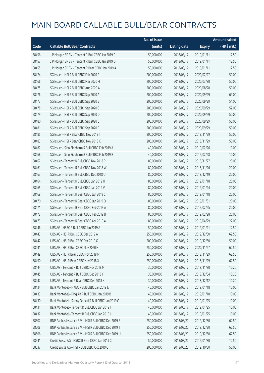|       |                                                        | No. of issue |                     |               | <b>Amount raised</b> |
|-------|--------------------------------------------------------|--------------|---------------------|---------------|----------------------|
| Code  | <b>Callable Bull/Bear Contracts</b>                    | (units)      | <b>Listing date</b> | <b>Expiry</b> | (HK\$ mil.)          |
| 58456 | JP Morgan SP BV - Tencent R Bull CBBC Jan 2019 C       | 50,000,000   | 2018/08/17          | 2019/01/11    | 12.50                |
| 58457 | J P Morgan SP BV - Tencent R Bull CBBC Jan 2019 D      | 50,000,000   | 2018/08/17          | 2019/01/11    | 12.50                |
| 58455 | J P Morgan SP BV - Tencent R Bear CBBC Jan 2019 A      | 50,000,000   | 2018/08/17          | 2019/01/11    | 12.50                |
| 58474 | SG Issuer - HSI R Bull CBBC Feb 2020 A                 | 200,000,000  | 2018/08/17          | 2020/02/27    | 50.00                |
| 58466 | SG Issuer - HSI R Bull CBBC Mar 2020 H                 | 200,000,000  | 2018/08/17          | 2020/03/30    | 50.00                |
| 58475 | SG Issuer - HSI R Bull CBBC Aug 2020 A                 | 200,000,000  | 2018/08/17          | 2020/08/28    | 50.00                |
| 58476 | SG Issuer - HSI R Bull CBBC Sep 2020 A                 | 200,000,000  | 2018/08/17          | 2020/09/29    | 69.00                |
| 58477 | SG Issuer - HSI R Bull CBBC Sep 2020 B                 | 200,000,000  | 2018/08/17          | 2020/09/29    | 54.00                |
| 58478 | SG Issuer - HSI R Bull CBBC Sep 2020 C                 | 200,000,000  | 2018/08/17          | 2020/09/29    | 52.00                |
| 58479 | SG Issuer - HSI R Bull CBBC Sep 2020 D                 | 200,000,000  | 2018/08/17          | 2020/09/29    | 50.00                |
| 58480 | SG Issuer - HSI R Bull CBBC Sep 2020 E                 | 200,000,000  | 2018/08/17          | 2020/09/29    | 50.00                |
| 58481 | SG Issuer - HSI R Bull CBBC Sep 2020 F                 | 200,000,000  | 2018/08/17          | 2020/09/29    | 50.00                |
| 58485 | SG Issuer - HSI R Bear CBBC Nov 2018 I                 | 200,000,000  | 2018/08/17          | 2018/11/29    | 50.00                |
| 58483 | SG Issuer - HSI R Bear CBBC Nov 2018 K                 | 200,000,000  | 2018/08/17          | 2018/11/29    | 50.00                |
| 58467 | SG Issuer - Sino Biopharm R Bull CBBC Feb 2019 A       | 40,000,000   | 2018/08/17          | 2019/02/26    | 10.00                |
| 58468 | SG Issuer - Sino Biopharm R Bull CBBC Feb 2019 B       | 40,000,000   | 2018/08/17          | 2019/02/28    | 10.00                |
| 58462 | SG Issuer - Tencent R Bull CBBC Nov 2018 P             | 80,000,000   | 2018/08/17          | 2018/11/27    | 20.00                |
| 58461 | SG Issuer - Tencent R Bull CBBC Nov 2018 W             | 80,000,000   | 2018/08/17          | 2018/11/26    | 20.00                |
| 58463 | SG Issuer - Tencent R Bull CBBC Dec 2018 U             | 80,000,000   | 2018/08/17          | 2018/12/19    | 20.00                |
| 58464 | SG Issuer - Tencent R Bull CBBC Jan 2019 U             | 80,000,000   | 2018/08/17          | 2019/01/18    | 20.00                |
| 58465 | SG Issuer - Tencent R Bull CBBC Jan 2019 V             | 80,000,000   | 2018/08/17          | 2019/01/24    | 20.00                |
| 58469 | SG Issuer - Tencent R Bear CBBC Jan 2019 C             | 80,000,000   | 2018/08/17          | 2019/01/18    | 20.00                |
| 58470 | SG Issuer - Tencent R Bear CBBC Jan 2019 D             | 80,000,000   | 2018/08/17          | 2019/01/31    | 20.00                |
| 58471 | SG Issuer - Tencent R Bear CBBC Feb 2019 A             | 80,000,000   | 2018/08/17          | 2019/02/25    | 20.00                |
| 58472 | SG Issuer - Tencent R Bear CBBC Feb 2019 B             | 80,000,000   | 2018/08/17          | 2019/02/28    | 20.00                |
| 58473 | SG Issuer - Tencent R Bear CBBC Apr 2019 A             | 80,000,000   | 2018/08/17          | 2019/04/29    | 22.00                |
| 58446 | UBS AG - HSBC R Bull CBBC Jan 2019 A                   | 50,000,000   | 2018/08/17          | 2019/01/21    | 12.50                |
| 58443 | UBS AG - HSLR Bull CBBC Dec 2019 A                     | 250,000,000  | 2018/08/17          | 2019/12/30    | 62.50                |
| 58442 | UBS AG - HSI R Bull CBBC Dec 2019 G                    | 200,000,000  | 2018/08/17          | 2019/12/30    | 50.00                |
| 58441 | UBS AG - HSI R Bull CBBC Nov 2020 H                    | 250,000,000  | 2018/08/17          | 2020/11/27    | 62.50                |
| 58449 | UBS AG - HSI R Bear CBBC Nov 2018 M                    | 250,000,000  | 2018/08/17          | 2018/11/29    | 62.50                |
| 58450 | UBS AG - HSI R Bear CBBC Nov 2018 X                    | 250,000,000  | 2018/08/17          | 2018/11/29    | 62.50                |
| 58444 | UBS AG - Tencent R Bull CBBC Nov 2018 M                | 30,000,000   | 2018/08/17          | 2018/11/30    | 10.20                |
| 58445 | UBS AG - Tencent R Bull CBBC Dec 2018 Y                | 30,000,000   | 2018/08/17          | 2018/12/04    | 10.20                |
| 58447 | UBS AG - Tencent R Bear CBBC Dec 2018 K                | 30,000,000   | 2018/08/17          | 2018/12/12    | 10.20                |
| 58434 | Bank Vontobel - HKEX R Bull CBBC Jan 2019 E            | 40,000,000   | 2018/08/17          | 2019/01/18    | 10.00                |
| 58433 | Bank Vontobel - Ping An R Bull CBBC Jan 2019 B         | 40,000,000   | 2018/08/17          | 2019/01/18    | 10.00                |
| 58430 | Bank Vontobel - Sunny Optical R Bull CBBC Jan 2019 C   | 40,000,000   | 2018/08/17          | 2019/01/25    | 10.00                |
| 58431 | Bank Vontobel - Tencent R Bull CBBC Jan 2019 I         | 40,000,000   | 2018/08/17          | 2019/01/25    | 10.00                |
| 58432 | Bank Vontobel - Tencent R Bull CBBC Jan 2019 J         | 40,000,000   | 2018/08/17          | 2019/01/25    | 10.00                |
| 58507 | BNP Paribas Issuance B.V. - HSI R Bull CBBC Dec 2019 S | 250,000,000  | 2018/08/20          | 2019/12/30    | 62.50                |
| 58508 | BNP Paribas Issuance B.V. - HSI R Bull CBBC Dec 2019 T | 250,000,000  | 2018/08/20          | 2019/12/30    | 62.50                |
| 58506 | BNP Paribas Issuance B.V. - HSI R Bull CBBC Dec 2019 U | 250,000,000  | 2018/08/20          | 2019/12/30    | 62.50                |
| 58541 | Credit Suisse AG - HSBC R Bear CBBC Jan 2019 C         | 50,000,000   | 2018/08/20          | 2019/01/30    | 12.50                |
| 58537 | Credit Suisse AG - HSI R Bull CBBC Oct 2019 C          | 200,000,000  | 2018/08/20          | 2019/10/30    | 50.00                |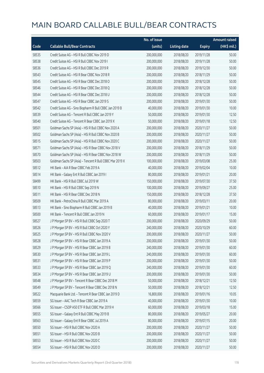|       |                                                          | No. of issue |                     |               | <b>Amount raised</b> |
|-------|----------------------------------------------------------|--------------|---------------------|---------------|----------------------|
| Code  | <b>Callable Bull/Bear Contracts</b>                      | (units)      | <b>Listing date</b> | <b>Expiry</b> | (HK\$ mil.)          |
| 58535 | Credit Suisse AG - HSI R Bull CBBC Nov 2019 D            | 200,000,000  | 2018/08/20          | 2019/11/28    | 50.00                |
| 58538 | Credit Suisse AG - HSI R Bull CBBC Nov 2019 I            | 200,000,000  | 2018/08/20          | 2019/11/28    | 50.00                |
| 58536 | Credit Suisse AG - HSI R Bull CBBC Dec 2019 R            | 200,000,000  | 2018/08/20          | 2019/12/30    | 50.00                |
| 58543 | Credit Suisse AG - HSI R Bear CBBC Nov 2018 R            | 200,000,000  | 2018/08/20          | 2018/11/29    | 50.00                |
| 58545 | Credit Suisse AG - HSI R Bear CBBC Dec 2018 O            | 200,000,000  | 2018/08/20          | 2018/12/28    | 50.00                |
| 58546 | Credit Suisse AG - HSI R Bear CBBC Dec 2018 Q            | 200,000,000  | 2018/08/20          | 2018/12/28    | 50.00                |
| 58544 | Credit Suisse AG - HSI R Bear CBBC Dec 2018 U            | 200,000,000  | 2018/08/20          | 2018/12/28    | 50.00                |
| 58547 | Credit Suisse AG - HSI R Bear CBBC Jan 2019 S            | 200,000,000  | 2018/08/20          | 2019/01/30    | 50.00                |
| 58542 | Credit Suisse AG - Sino Biopharm R Bull CBBC Jan 2019 B  | 40,000,000   | 2018/08/20          | 2019/01/30    | 10.00                |
| 58539 | Credit Suisse AG - Tencent R Bull CBBC Jan 2019 Y        | 50,000,000   | 2018/08/20          | 2019/01/30    | 12.50                |
| 58540 | Credit Suisse AG - Tencent R Bear CBBC Jan 2019 X        | 50,000,000   | 2018/08/20          | 2019/01/18    | 12.50                |
| 58501 | Goldman Sachs SP (Asia) - HSI R Bull CBBC Nov 2020 A     | 200,000,000  | 2018/08/20          | 2020/11/27    | 50.00                |
| 58502 | Goldman Sachs SP (Asia) - HSI R Bull CBBC Nov 2020 B     | 200,000,000  | 2018/08/20          | 2020/11/27    | 50.00                |
| 58515 | Goldman Sachs SP (Asia) - HSI R Bull CBBC Nov 2020 C     | 200,000,000  | 2018/08/20          | 2020/11/27    | 50.00                |
| 58571 | Goldman Sachs SP (Asia) - HSI R Bear CBBC Nov 2018 V     | 200,000,000  | 2018/08/20          | 2018/11/29    | 50.00                |
| 58570 | Goldman Sachs SP (Asia) - HSI R Bear CBBC Nov 2018 W     | 200,000,000  | 2018/08/20          | 2018/11/29    | 50.00                |
| 58503 | Goldman Sachs SP (Asia) - Tencent R Bull CBBC Mar 2019 X | 100,000,000  | 2018/08/20          | 2019/03/08    | 25.00                |
| 58512 | HK Bank - AIA R Bear CBBC Feb 2019 A                     | 40,000,000   | 2018/08/20          | 2019/02/04    | 10.00                |
| 58514 | HK Bank - Galaxy Ent R Bull CBBC Jan 2019 I              | 80,000,000   | 2018/08/20          | 2019/01/21    | 20.00                |
| 58499 | HK Bank - HSI R Bull CBBC Jul 2019 W                     | 150,000,000  | 2018/08/20          | 2019/07/30    | 37.50                |
| 58510 | HK Bank - HSI R Bull CBBC Sep 2019 N                     | 100,000,000  | 2018/08/20          | 2019/09/27    | 25.00                |
| 58511 | HK Bank - HSI R Bear CBBC Dec 2018 N                     | 150,000,000  | 2018/08/20          | 2018/12/28    | 37.50                |
| 58509 | HK Bank - PetroChina R Bull CBBC Mar 2019 A              | 80,000,000   | 2018/08/20          | 2019/03/11    | 20.00                |
| 58513 | HK Bank - Sino Biopharm R Bull CBBC Jan 2019 B           | 40,000,000   | 2018/08/20          | 2019/01/21    | 10.00                |
| 58500 | HK Bank - Tencent R Bull CBBC Jan 2019 N                 | 60,000,000   | 2018/08/20          | 2019/01/17    | 15.00                |
| 58527 | J P Morgan SP BV - HSI R Bull CBBC Sep 2020 T            | 200,000,000  | 2018/08/20          | 2020/09/29    | 50.00                |
| 58526 | J P Morgan SP BV - HSI R Bull CBBC Oct 2020 Y            | 240,000,000  | 2018/08/20          | 2020/10/29    | 60.00                |
| 58525 | J P Morgan SP BV - HSI R Bull CBBC Nov 2020 V            | 200,000,000  | 2018/08/20          | 2020/11/27    | 50.00                |
| 58528 | J P Morgan SP BV - HSI R Bear CBBC Jan 2019 A            | 200,000,000  | 2018/08/20          | 2019/01/30    | 50.00                |
| 58529 | J P Morgan SP BV - HSI R Bear CBBC Jan 2019 B            | 240,000,000  | 2018/08/20          | 2019/01/30    | 60.00                |
| 58530 | J P Morgan SP BV - HSI R Bear CBBC Jan 2019 L            | 240,000,000  | 2018/08/20          | 2019/01/30    | 60.00                |
| 58531 | J P Morgan SP BV - HSI R Bear CBBC Jan 2019 P            | 200,000,000  | 2018/08/20          | 2019/01/30    | 50.00                |
| 58533 | J P Morgan SP BV - HSI R Bear CBBC Jan 2019 Q            | 240,000,000  | 2018/08/20          | 2019/01/30    | 60.00                |
| 58534 | J P Morgan SP BV - HSI R Bear CBBC Jan 2019 U            | 200,000,000  | 2018/08/20          | 2019/01/30    | 50.00                |
| 58548 | J P Morgan SP BV - Tencent R Bear CBBC Dec 2018 M        | 50,000,000   | 2018/08/20          | 2018/12/21    | 12.50                |
| 58549 | J P Morgan SP BV - Tencent R Bear CBBC Dec 2018 N        | 50,000,000   | 2018/08/20          | 2018/12/21    | 12.50                |
| 58522 | Macquarie Bank Ltd. - Tencent R Bear CBBC Jan 2019 D     | 16,800,000   | 2018/08/20          | 2019/01/16    | 10.05                |
| 58559 | SG Issuer - AAC Tech R Bear CBBC Jan 2019 A              | 40,000,000   | 2018/08/20          | 2019/01/30    | 10.00                |
| 58566 | SG Issuer - CSOP A50 ETF R Bull CBBC Mar 2019 H          | 60,000,000   | 2018/08/20          | 2019/03/18    | 15.00                |
| 58555 | SG Issuer - Galaxy Ent R Bull CBBC May 2019 B            | 80,000,000   | 2018/08/20          | 2019/05/27    | 20.00                |
| 58563 | SG Issuer - Galaxy Ent R Bear CBBC Jul 2019 A            | 80,000,000   | 2018/08/20          | 2019/07/15    | 20.00                |
| 58550 | SG Issuer - HSI R Bull CBBC Nov 2020 A                   | 200,000,000  | 2018/08/20          | 2020/11/27    | 50.00                |
| 58551 | SG Issuer - HSI R Bull CBBC Nov 2020 B                   | 200,000,000  | 2018/08/20          | 2020/11/27    | 50.00                |
| 58553 | SG Issuer - HSI R Bull CBBC Nov 2020 C                   | 200,000,000  | 2018/08/20          | 2020/11/27    | 50.00                |
| 58554 | SG Issuer - HSI R Bull CBBC Nov 2020 D                   | 200,000,000  | 2018/08/20          | 2020/11/27    | 50.00                |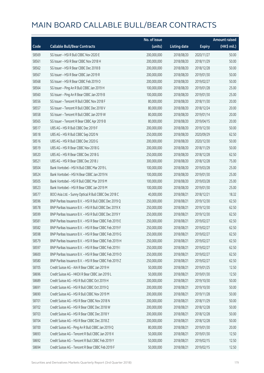|       |                                                        | No. of issue |                     |               | <b>Amount raised</b> |
|-------|--------------------------------------------------------|--------------|---------------------|---------------|----------------------|
| Code  | <b>Callable Bull/Bear Contracts</b>                    | (units)      | <b>Listing date</b> | <b>Expiry</b> | (HK\$ mil.)          |
| 58569 | SG Issuer - HSI R Bull CBBC Nov 2020 E                 | 200,000,000  | 2018/08/20          | 2020/11/27    | 50.00                |
| 58561 | SG Issuer - HSI R Bear CBBC Nov 2018 H                 | 200,000,000  | 2018/08/20          | 2018/11/29    | 50.00                |
| 58562 | SG Issuer - HSI R Bear CBBC Dec 2018 B                 | 200,000,000  | 2018/08/20          | 2018/12/28    | 50.00                |
| 58567 | SG Issuer - HSI R Bear CBBC Jan 2019 R                 | 200,000,000  | 2018/08/20          | 2019/01/30    | 50.00                |
| 58568 | SG Issuer - HSI R Bear CBBC Feb 2019 O                 | 200,000,000  | 2018/08/20          | 2019/02/27    | 50.00                |
| 58564 | SG Issuer - Ping An R Bull CBBC Jan 2019 H             | 100,000,000  | 2018/08/20          | 2019/01/28    | 25.00                |
| 58560 | SG Issuer - Ping An R Bear CBBC Jan 2019 B             | 100,000,000  | 2018/08/20          | 2019/01/30    | 25.00                |
| 58556 | SG Issuer - Tencent R Bull CBBC Nov 2018 F             | 80,000,000   | 2018/08/20          | 2018/11/30    | 20.00                |
| 58557 | SG Issuer - Tencent R Bull CBBC Dec 2018 V             | 80,000,000   | 2018/08/20          | 2018/12/24    | 20.00                |
| 58558 | SG Issuer - Tencent R Bull CBBC Jan 2019 W             | 80,000,000   | 2018/08/20          | 2019/01/14    | 20.00                |
| 58565 | SG Issuer - Tencent R Bear CBBC Apr 2019 B             | 80,000,000   | 2018/08/20          | 2019/04/15    | 20.00                |
| 58517 | UBS AG - HSI R Bull CBBC Dec 2019 F                    | 200,000,000  | 2018/08/20          | 2019/12/30    | 50.00                |
| 58518 | UBS AG - HSI R Bull CBBC Sep 2020 N                    | 250,000,000  | 2018/08/20          | 2020/09/29    | 62.50                |
| 58516 | UBS AG - HSI R Bull CBBC Dec 2020 G                    | 200,000,000  | 2018/08/20          | 2020/12/30    | 50.00                |
| 58519 | UBS AG - HSI R Bear CBBC Nov 2018 G                    | 200,000,000  | 2018/08/20          | 2018/11/29    | 50.00                |
| 58520 | UBS AG - HSI R Bear CBBC Dec 2018 G                    | 250,000,000  | 2018/08/20          | 2018/12/28    | 62.50                |
| 58521 | UBS AG - HSI R Bear CBBC Dec 2018 J                    | 300,000,000  | 2018/08/20          | 2018/12/28    | 75.00                |
| 58504 | Bank Vontobel - HSI N Bull CBBC Mar 2019 L             | 100,000,000  | 2018/08/20          | 2019/03/28    | 25.00                |
| 58524 | Bank Vontobel - HSI N Bear CBBC Jan 2019 N             | 100,000,000  | 2018/08/20          | 2019/01/30    | 25.00                |
| 58505 | Bank Vontobel - HSI R Bull CBBC Mar 2019 M             | 100,000,000  | 2018/08/20          | 2019/03/28    | 25.00                |
| 58523 | Bank Vontobel - HSI R Bear CBBC Jan 2019 M             | 100,000,000  | 2018/08/20          | 2019/01/30    | 25.00                |
| 58577 | BOCI Asia Ltd. - Sunny Optical R Bull CBBC Dec 2018 C  | 40,000,000   | 2018/08/21          | 2018/12/21    | 18.32                |
| 58596 | BNP Paribas Issuance B.V. - HSI R Bull CBBC Dec 2019 Q | 250,000,000  | 2018/08/21          | 2019/12/30    | 62.50                |
| 58578 | BNP Paribas Issuance B.V. - HSI R Bull CBBC Dec 2019 X | 250,000,000  | 2018/08/21          | 2019/12/30    | 62.50                |
| 58599 | BNP Paribas Issuance B.V. - HSI R Bull CBBC Dec 2019 Y | 250,000,000  | 2018/08/21          | 2019/12/30    | 62.50                |
| 58581 | BNP Paribas Issuance B.V. - HSI R Bear CBBC Feb 2019 E | 250,000,000  | 2018/08/21          | 2019/02/27    | 62.50                |
| 58582 | BNP Paribas Issuance B.V. - HSI R Bear CBBC Feb 2019 F | 250,000,000  | 2018/08/21          | 2019/02/27    | 62.50                |
| 58598 | BNP Paribas Issuance B.V. - HSI R Bear CBBC Feb 2019 G | 250,000,000  | 2018/08/21          | 2019/02/27    | 62.50                |
| 58579 | BNP Paribas Issuance B.V. - HSI R Bear CBBC Feb 2019 H | 250,000,000  | 2018/08/21          | 2019/02/27    | 62.50                |
| 58597 | BNP Paribas Issuance B.V. - HSI R Bear CBBC Feb 2019 I | 250,000,000  | 2018/08/21          | 2019/02/27    | 62.50                |
| 58600 | BNP Paribas Issuance B.V. - HSI R Bear CBBC Feb 2019 O | 250,000,000  | 2018/08/21          | 2019/02/27    | 62.50                |
| 58580 | BNP Paribas Issuance B.V. - HSI R Bear CBBC Feb 2019 Z | 250,000,000  | 2018/08/21          | 2019/02/27    | 62.50                |
| 58705 | Credit Suisse AG - AIA R Bear CBBC Jan 2019 H          | 50,000,000   | 2018/08/21          | 2019/01/25    | 12.50                |
| 58696 | Credit Suisse AG - HKEX R Bear CBBC Jan 2019 L         | 50,000,000   | 2018/08/21          | 2019/01/30    | 12.50                |
| 58689 | Credit Suisse AG - HSI R Bull CBBC Oct 2019 H          | 200,000,000  | 2018/08/21          | 2019/10/30    | 50.00                |
| 58691 | Credit Suisse AG - HSI R Bull CBBC Oct 2019 Q          | 200,000,000  | 2018/08/21          | 2019/10/30    | 50.00                |
| 58690 | Credit Suisse AG - HSI R Bull CBBC Nov 2019 M          | 200,000,000  | 2018/08/21          | 2019/11/28    | 50.00                |
| 58701 | Credit Suisse AG - HSI R Bear CBBC Nov 2018 N          | 200,000,000  | 2018/08/21          | 2018/11/29    | 50.00                |
| 58702 | Credit Suisse AG - HSI R Bear CBBC Dec 2018 W          | 200,000,000  | 2018/08/21          | 2018/12/28    | 50.00                |
| 58703 | Credit Suisse AG - HSI R Bear CBBC Dec 2018 Y          | 200,000,000  | 2018/08/21          | 2018/12/28    | 50.00                |
| 58704 | Credit Suisse AG - HSI R Bear CBBC Dec 2018 Z          | 200,000,000  | 2018/08/21          | 2018/12/28    | 50.00                |
| 58700 | Credit Suisse AG - Ping An R Bull CBBC Jan 2019 Q      | 80,000,000   | 2018/08/21          | 2019/01/30    | 20.00                |
| 58693 | Credit Suisse AG - Tencent R Bull CBBC Jan 2019 X      | 50,000,000   | 2018/08/21          | 2019/01/30    | 12.50                |
| 58692 | Credit Suisse AG - Tencent R Bull CBBC Feb 2019 Y      | 50,000,000   | 2018/08/21          | 2019/02/15    | 12.50                |
| 58694 | Credit Suisse AG - Tencent R Bear CBBC Feb 2019 F      | 50,000,000   | 2018/08/21          | 2019/02/15    | 12.50                |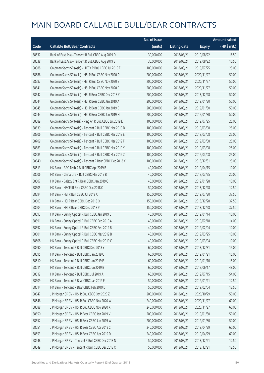|       |                                                          | No. of issue |                     |               | <b>Amount raised</b> |
|-------|----------------------------------------------------------|--------------|---------------------|---------------|----------------------|
| Code  | <b>Callable Bull/Bear Contracts</b>                      | (units)      | <b>Listing date</b> | <b>Expiry</b> | (HK\$ mil.)          |
| 58637 | Bank of East Asia - Tencent R Bull CBBC Aug 2019 D       | 30,000,000   | 2018/08/21          | 2019/08/22    | 16.50                |
| 58638 | Bank of East Asia - Tencent R Bull CBBC Aug 2019 E       | 30,000,000   | 2018/08/21          | 2019/08/22    | 10.50                |
| 58588 | Goldman Sachs SP (Asia) - HKEX R Bull CBBC Jul 2019 F    | 100,000,000  | 2018/08/21          | 2019/07/25    | 25.00                |
| 58586 | Goldman Sachs SP (Asia) - HSI R Bull CBBC Nov 2020 D     | 200,000,000  | 2018/08/21          | 2020/11/27    | 50.00                |
| 58587 | Goldman Sachs SP (Asia) - HSI R Bull CBBC Nov 2020 E     | 200,000,000  | 2018/08/21          | 2020/11/27    | 50.00                |
| 58641 | Goldman Sachs SP (Asia) - HSI R Bull CBBC Nov 2020 F     | 200,000,000  | 2018/08/21          | 2020/11/27    | 50.00                |
| 58642 | Goldman Sachs SP (Asia) - HSI R Bear CBBC Dec 2018 Y     | 200,000,000  | 2018/08/21          | 2018/12/28    | 50.00                |
| 58644 | Goldman Sachs SP (Asia) - HSI R Bear CBBC Jan 2019 A     | 200,000,000  | 2018/08/21          | 2019/01/30    | 50.00                |
| 58645 | Goldman Sachs SP (Asia) - HSI R Bear CBBC Jan 2019 E     | 200,000,000  | 2018/08/21          | 2019/01/30    | 50.00                |
| 58643 | Goldman Sachs SP (Asia) - HSI R Bear CBBC Jan 2019 H     | 200,000,000  | 2018/08/21          | 2019/01/30    | 50.00                |
| 58589 | Goldman Sachs SP (Asia) - Ping An R Bull CBBC Jul 2019 E | 100,000,000  | 2018/08/21          | 2019/07/25    | 25.00                |
| 58639 | Goldman Sachs SP (Asia) - Tencent R Bull CBBC Mar 2019 D | 100,000,000  | 2018/08/21          | 2019/03/08    | 25.00                |
| 58706 | Goldman Sachs SP (Asia) - Tencent R Bull CBBC Mar 2019 E | 100,000,000  | 2018/08/21          | 2019/03/08    | 25.00                |
| 58709 | Goldman Sachs SP (Asia) - Tencent R Bull CBBC Mar 2019 F | 100,000,000  | 2018/08/21          | 2019/03/08    | 25.00                |
| 58583 | Goldman Sachs SP (Asia) - Tencent R Bull CBBC Mar 2019 Y | 100,000,000  | 2018/08/21          | 2019/03/08    | 25.00                |
| 58585 | Goldman Sachs SP (Asia) - Tencent R Bull CBBC Mar 2019 Z | 100,000,000  | 2018/08/21          | 2019/03/08    | 25.00                |
| 58640 | Goldman Sachs SP (Asia) - Tencent R Bear CBBC Dec 2018 X | 100,000,000  | 2018/08/21          | 2018/12/31    | 25.00                |
| 58613 | HK Bank - AAC Tech R Bull CBBC Apr 2019 B                | 40,000,000   | 2018/08/21          | 2019/04/15    | 10.00                |
| 58606 | HK Bank - China Life R Bull CBBC Mar 2019 B              | 40,000,000   | 2018/08/21          | 2019/03/25    | 20.00                |
| 58607 | HK Bank - Galaxy Ent R Bear CBBC Jan 2019 C              | 40,000,000   | 2018/08/21          | 2019/01/28    | 10.00                |
| 58605 | HK Bank - HSCEI R Bear CBBC Dec 2018 C                   | 50,000,000   | 2018/08/21          | 2018/12/28    | 12.50                |
| 58594 | HK Bank - HSI R Bull CBBC Jul 2019 X                     | 150,000,000  | 2018/08/21          | 2019/07/30    | 37.50                |
| 58603 | HK Bank - HSI R Bear CBBC Dec 2018 O                     | 150,000,000  | 2018/08/21          | 2018/12/28    | 37.50                |
| 58604 | HK Bank - HSI R Bear CBBC Dec 2018 P                     | 150,000,000  | 2018/08/21          | 2018/12/28    | 37.50                |
| 58593 | HK Bank - Sunny Optical R Bull CBBC Jan 2019 E           | 40,000,000   | 2018/08/21          | 2019/01/14    | 10.00                |
| 58591 | HK Bank - Sunny Optical R Bull CBBC Feb 2019 A           | 40,000,000   | 2018/08/21          | 2019/02/18    | 14.00                |
| 58592 | HK Bank - Sunny Optical R Bull CBBC Feb 2019 B           | 40,000,000   | 2018/08/21          | 2019/02/04    | 10.00                |
| 58601 | HK Bank - Sunny Optical R Bull CBBC Mar 2019 B           | 40,000,000   | 2018/08/21          | 2019/03/25    | 10.00                |
| 58608 | HK Bank - Sunny Optical R Bull CBBC Mar 2019 C           | 40,000,000   | 2018/08/21          | 2019/03/04    | 10.00                |
| 58590 | HK Bank - Tencent R Bull CBBC Dec 2018 Y                 | 60,000,000   | 2018/08/21          | 2018/12/31    | 15.00                |
| 58595 | HK Bank - Tencent R Bull CBBC Jan 2019 O                 | 60,000,000   | 2018/08/21          | 2019/01/21    | 15.00                |
| 58610 | HK Bank - Tencent R Bull CBBC Jan 2019 P                 | 60,000,000   | 2018/08/21          | 2019/01/10    | 15.00                |
| 58611 | HK Bank - Tencent R Bull CBBC Jun 2019 B                 | 60,000,000   | 2018/08/21          | 2019/06/17    | 48.00                |
| 58612 | HK Bank - Tencent R Bull CBBC Jul 2019 A                 | 60,000,000   | 2018/08/21          | 2019/07/15    | 54.00                |
| 58609 | HK Bank - Tencent R Bear CBBC Jan 2019 F                 | 50,000,000   | 2018/08/21          | 2019/01/21    | 12.50                |
| 58614 | HK Bank - Tencent R Bear CBBC Feb 2019 D                 | 50,000,000   | 2018/08/21          | 2019/02/04    | 12.50                |
| 58647 | J P Morgan SP BV - HSI R Bull CBBC Oct 2020 Z            | 200,000,000  | 2018/08/21          | 2020/10/29    | 50.00                |
| 58646 | J P Morgan SP BV - HSI R Bull CBBC Nov 2020 W            | 240,000,000  | 2018/08/21          | 2020/11/27    | 60.00                |
| 58688 | J P Morgan SP BV - HSI R Bull CBBC Nov 2020 X            | 240,000,000  | 2018/08/21          | 2020/11/27    | 60.00                |
| 58650 | J P Morgan SP BV - HSI R Bear CBBC Jan 2019 V            | 200,000,000  | 2018/08/21          | 2019/01/30    | 50.00                |
| 58652 | J P Morgan SP BV - HSI R Bear CBBC Jan 2019 W            | 200,000,000  | 2018/08/21          | 2019/01/30    | 50.00                |
| 58651 | J P Morgan SP BV - HSI R Bear CBBC Apr 2019 C            | 240,000,000  | 2018/08/21          | 2019/04/29    | 60.00                |
| 58653 | J P Morgan SP BV - HSI R Bear CBBC Apr 2019 D            | 240,000,000  | 2018/08/21          | 2019/04/29    | 60.00                |
| 58648 | J P Morgan SP BV - Tencent R Bull CBBC Dec 2018 N        | 50,000,000   | 2018/08/21          | 2018/12/21    | 12.50                |
| 58649 | J P Morgan SP BV - Tencent R Bull CBBC Dec 2018 O        | 50,000,000   | 2018/08/21          | 2018/12/21    | 12.50                |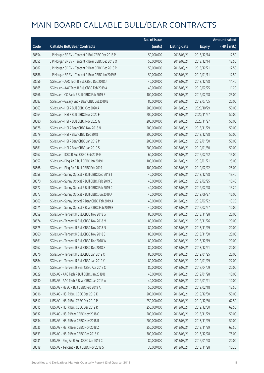|       |                                                   | No. of issue |                     |               | <b>Amount raised</b> |
|-------|---------------------------------------------------|--------------|---------------------|---------------|----------------------|
| Code  | <b>Callable Bull/Bear Contracts</b>               | (units)      | <b>Listing date</b> | <b>Expiry</b> | (HK\$ mil.)          |
| 58654 | J P Morgan SP BV - Tencent R Bull CBBC Dec 2018 P | 50,000,000   | 2018/08/21          | 2018/12/14    | 12.50                |
| 58655 | J P Morgan SP BV - Tencent R Bear CBBC Dec 2018 O | 50,000,000   | 2018/08/21          | 2018/12/14    | 12.50                |
| 58687 | J P Morgan SP BV - Tencent R Bear CBBC Dec 2018 P | 50,000,000   | 2018/08/21          | 2018/12/21    | 12.50                |
| 58686 | J P Morgan SP BV - Tencent R Bear CBBC Jan 2019 B | 50,000,000   | 2018/08/21          | 2019/01/11    | 12.50                |
| 58656 | SG Issuer - AAC Tech R Bull CBBC Dec 2018 J       | 40,000,000   | 2018/08/21          | 2018/12/28    | 11.40                |
| 58665 | SG Issuer - AAC Tech R Bull CBBC Feb 2019 A       | 40,000,000   | 2018/08/21          | 2019/02/25    | 11.20                |
| 58666 | SG Issuer - CC Bank R Bull CBBC Feb 2019 E        | 100,000,000  | 2018/08/21          | 2019/02/28    | 25.00                |
| 58683 | SG Issuer - Galaxy Ent R Bear CBBC Jul 2019 B     | 80,000,000   | 2018/08/21          | 2019/07/05    | 20.00                |
| 58663 | SG Issuer - HSI R Bull CBBC Oct 2020 A            | 200,000,000  | 2018/08/21          | 2020/10/29    | 50.00                |
| 58664 | SG Issuer - HSI R Bull CBBC Nov 2020 F            | 200,000,000  | 2018/08/21          | 2020/11/27    | 50.00                |
| 58680 | SG Issuer - HSI R Bull CBBC Nov 2020 G            | 200,000,000  | 2018/08/21          | 2020/11/27    | 50.00                |
| 58678 | SG Issuer - HSI R Bear CBBC Nov 2018 N            | 200,000,000  | 2018/08/21          | 2018/11/29    | 50.00                |
| 58679 | SG Issuer - HSI R Bear CBBC Dec 2018 I            | 200,000,000  | 2018/08/21          | 2018/12/28    | 50.00                |
| 58682 | SG Issuer - HSI R Bear CBBC Jan 2019 M            | 200,000,000  | 2018/08/21          | 2019/01/30    | 50.00                |
| 58681 | SG Issuer - HSI R Bear CBBC Jan 2019 S            | 200,000,000  | 2018/08/21          | 2019/01/30    | 50.00                |
| 58667 | SG Issuer - ICBC R Bull CBBC Feb 2019 E           | 60,000,000   | 2018/08/21          | 2019/02/22    | 15.00                |
| 58657 | SG Issuer - Ping An R Bull CBBC Jan 2019 I        | 100,000,000  | 2018/08/21          | 2019/01/21    | 25.00                |
| 58668 | SG Issuer - Ping An R Bull CBBC Feb 2019 I        | 100,000,000  | 2018/08/21          | 2019/02/22    | 25.00                |
| 58658 | SG Issuer - Sunny Optical R Bull CBBC Dec 2018 J  | 40,000,000   | 2018/08/21          | 2018/12/28    | 19.40                |
| 58670 | SG Issuer - Sunny Optical R Bull CBBC Feb 2019 B  | 40,000,000   | 2018/08/21          | 2019/02/25    | 10.40                |
| 58672 | SG Issuer - Sunny Optical R Bull CBBC Feb 2019 C  | 40,000,000   | 2018/08/21          | 2019/02/28    | 13.20                |
| 58673 | SG Issuer - Sunny Optical R Bull CBBC Jun 2019 A  | 40,000,000   | 2018/08/21          | 2019/06/27    | 16.00                |
| 58669 | SG Issuer - Sunny Optical R Bear CBBC Feb 2019 A  | 40,000,000   | 2018/08/21          | 2019/02/22    | 13.20                |
| 58671 | SG Issuer - Sunny Optical R Bear CBBC Feb 2019 B  | 40,000,000   | 2018/08/21          | 2019/02/27    | 10.00                |
| 58659 | SG Issuer - Tencent R Bull CBBC Nov 2018 G        | 80,000,000   | 2018/08/21          | 2018/11/28    | 20.00                |
| 58674 | SG Issuer - Tencent R Bull CBBC Nov 2018 M        | 80,000,000   | 2018/08/21          | 2018/11/26    | 20.00                |
| 58675 | SG Issuer - Tencent R Bull CBBC Nov 2018 N        | 80,000,000   | 2018/08/21          | 2018/11/29    | 20.00                |
| 58660 | SG Issuer - Tencent R Bull CBBC Nov 2018 S        | 80,000,000   | 2018/08/21          | 2018/11/30    | 20.00                |
| 58661 | SG Issuer - Tencent R Bull CBBC Dec 2018 W        | 80,000,000   | 2018/08/21          | 2018/12/19    | 20.00                |
| 58662 | SG Issuer - Tencent R Bull CBBC Dec 2018 X        | 80,000,000   | 2018/08/21          | 2018/12/21    | 20.00                |
| 58676 | SG Issuer - Tencent R Bull CBBC Jan 2019 X        | 80,000,000   | 2018/08/21          | 2019/01/25    | 20.00                |
| 58684 | SG Issuer - Tencent R Bull CBBC Jan 2019 Y        | 80,000,000   | 2018/08/21          | 2019/01/29    | 22.00                |
| 58677 | SG Issuer - Tencent R Bear CBBC Apr 2019 C        | 80,000,000   | 2018/08/21          | 2019/04/09    | 20.00                |
| 58629 | UBS AG - AAC Tech R Bull CBBC Jan 2019 B          | 40,000,000   | 2018/08/21          | 2019/01/28    | 10.00                |
| 58630 | UBS AG - AAC Tech R Bear CBBC Jan 2019 A          | 40,000,000   | 2018/08/21          | 2019/01/21    | 10.00                |
| 58628 | UBS AG - HSBC R Bull CBBC Feb 2019 A              | 50,000,000   | 2018/08/21          | 2019/02/18    | 12.50                |
| 58616 | UBS AG - HSI R Bull CBBC Dec 2019 K               | 200,000,000  | 2018/08/21          | 2019/12/30    | 50.00                |
| 58617 | UBS AG - HSI R Bull CBBC Dec 2019 P               | 250,000,000  | 2018/08/21          | 2019/12/30    | 62.50                |
| 58615 | UBS AG - HSI R Bull CBBC Dec 2019 R               | 250,000,000  | 2018/08/21          | 2019/12/30    | 62.50                |
| 58632 | UBS AG - HSI R Bear CBBC Nov 2018 O               | 200,000,000  | 2018/08/21          | 2018/11/29    | 50.00                |
| 58634 | UBS AG - HSI R Bear CBBC Nov 2018 R               | 200,000,000  | 2018/08/21          | 2018/11/29    | 50.00                |
| 58635 | UBS AG - HSI R Bear CBBC Nov 2018 Z               | 250,000,000  | 2018/08/21          | 2018/11/29    | 62.50                |
| 58633 | UBS AG - HSI R Bear CBBC Dec 2018 K               | 300,000,000  | 2018/08/21          | 2018/12/28    | 75.00                |
| 58631 | UBS AG - Ping An R Bull CBBC Jan 2019 C           | 80,000,000   | 2018/08/21          | 2019/01/28    | 20.00                |
| 58618 | UBS AG - Tencent R Bull CBBC Nov 2018 S           | 30,000,000   | 2018/08/21          | 2018/11/28    | 10.20                |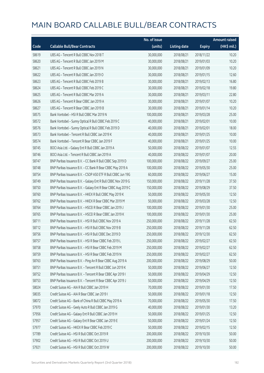|       |                                                               | No. of issue |                     |               | <b>Amount raised</b> |
|-------|---------------------------------------------------------------|--------------|---------------------|---------------|----------------------|
| Code  | <b>Callable Bull/Bear Contracts</b>                           | (units)      | <b>Listing date</b> | <b>Expiry</b> | (HK\$ mil.)          |
| 58619 | UBS AG - Tencent R Bull CBBC Nov 2018 T                       | 30,000,000   | 2018/08/21          | 2018/11/22    | 10.20                |
| 58620 | UBS AG - Tencent R Bull CBBC Jan 2019 M                       | 30,000,000   | 2018/08/21          | 2019/01/03    | 10.20                |
| 58621 | UBS AG - Tencent R Bull CBBC Jan 2019 N                       | 30,000,000   | 2018/08/21          | 2019/01/09    | 10.20                |
| 58622 | UBS AG - Tencent R Bull CBBC Jan 2019 O                       | 30,000,000   | 2018/08/21          | 2019/01/15    | 12.60                |
| 58623 | UBS AG - Tencent R Bull CBBC Feb 2019 B                       | 30,000,000   | 2018/08/21          | 2019/02/13    | 16.80                |
| 58624 | UBS AG - Tencent R Bull CBBC Feb 2019 C                       | 30,000,000   | 2018/08/21          | 2019/02/18    | 19.80                |
| 58625 | UBS AG - Tencent R Bull CBBC Mar 2019 A                       | 30,000,000   | 2018/08/21          | 2019/03/11    | 22.80                |
| 58626 | UBS AG - Tencent R Bear CBBC Jan 2019 A                       | 30,000,000   | 2018/08/21          | 2019/01/07    | 10.20                |
| 58627 | UBS AG - Tencent R Bear CBBC Jan 2019 B                       | 30,000,000   | 2018/08/21          | 2019/01/14    | 10.20                |
| 58575 | Bank Vontobel - HSI R Bull CBBC Mar 2019 N                    | 100,000,000  | 2018/08/21          | 2019/03/28    | 25.00                |
| 58572 | Bank Vontobel - Sunny Optical R Bull CBBC Feb 2019 C          | 40,000,000   | 2018/08/21          | 2019/02/01    | 10.00                |
| 58576 | Bank Vontobel - Sunny Optical R Bull CBBC Feb 2019 D          | 40,000,000   | 2018/08/21          | 2019/02/01    | 18.00                |
| 58573 | Bank Vontobel - Tencent R Bull CBBC Jan 2019 K                | 40,000,000   | 2018/08/21          | 2019/01/25    | 10.00                |
| 58574 | Bank Vontobel - Tencent R Bear CBBC Jan 2019 F                | 40,000,000   | 2018/08/21          | 2019/01/25    | 10.00                |
| 58745 | BOCI Asia Ltd. - Galaxy Ent R Bull CBBC Jan 2019 A            | 50,000,000   | 2018/08/22          | 2019/01/07    | 12.55                |
| 58746 | BOCI Asia Ltd. - Tencent R Bull CBBC Jan 2019 A               | 40,000,000   | 2018/08/22          | 2019/01/07    | 20.00                |
| 58747 | BNP Paribas Issuance B.V. - CC Bank R Bull CBBC Sep 2019 D    | 100,000,000  | 2018/08/22          | 2019/09/27    | 25.00                |
| 58748 | BNP Paribas Issuance B.V. - CC Bank R Bear CBBC May 2019 A    | 100,000,000  | 2018/08/22          | 2019/05/30    | 25.00                |
| 58754 | BNP Paribas Issuance B.V. - CSOP A50 ETF R Bull CBBC Jun 19G  | 60,000,000   | 2018/08/22          | 2019/06/27    | 15.00                |
| 58749 | BNP Paribas Issuance B.V. - Galaxy Ent R Bull CBBC Nov 2019 G | 150,000,000  | 2018/08/22          | 2019/11/28    | 37.50                |
| 58750 | BNP Paribas Issuance B.V. - Galaxy Ent R Bear CBBC Aug 2019 C | 150,000,000  | 2018/08/22          | 2019/08/29    | 37.50                |
| 58760 | BNP Paribas Issuance B.V. - HKEX R Bull CBBC May 2019 K       | 50,000,000   | 2018/08/22          | 2019/05/30    | 12.50                |
| 58762 | BNP Paribas Issuance B.V. - HKEX R Bear CBBC Mar 2019 M       | 50,000,000   | 2018/08/22          | 2019/03/28    | 12.50                |
| 58764 | BNP Paribas Issuance B.V. - HSCEI R Bear CBBC Jan 2019 J      | 100,000,000  | 2018/08/22          | 2019/01/30    | 25.00                |
| 58765 | BNP Paribas Issuance B.V. - HSCEI R Bear CBBC Jan 2019 K      | 100,000,000  | 2018/08/22          | 2019/01/30    | 25.00                |
| 58711 | BNP Paribas Issuance B.V. - HSI R Bull CBBC Nov 2019 A        | 250,000,000  | 2018/08/22          | 2019/11/28    | 62.50                |
| 58712 | BNP Paribas Issuance B.V. - HSI R Bull CBBC Nov 2019 B        | 250,000,000  | 2018/08/22          | 2019/11/28    | 62.50                |
| 58756 | BNP Paribas Issuance B.V. - HSI R Bull CBBC Dec 2019 D        | 250,000,000  | 2018/08/22          | 2019/12/30    | 62.50                |
| 58757 | BNP Paribas Issuance B.V. - HSI R Bear CBBC Feb 2019 L        | 250,000,000  | 2018/08/22          | 2019/02/27    | 62.50                |
| 58758 | BNP Paribas Issuance B.V. - HSI R Bear CBBC Feb 2019 M        | 250,000,000  | 2018/08/22          | 2019/02/27    | 62.50                |
| 58759 | BNP Paribas Issuance B.V. - HSI R Bear CBBC Feb 2019 N        | 250,000,000  | 2018/08/22          | 2019/02/27    | 62.50                |
| 58763 | BNP Paribas Issuance B.V. - Ping An R Bear CBBC Aug 2019 A    | 200,000,000  | 2018/08/22          | 2019/08/29    | 50.00                |
| 58751 | BNP Paribas Issuance B.V. - Tencent R Bull CBBC Jun 2019 K    | 50,000,000   | 2018/08/22          | 2019/06/27    | 12.50                |
| 58752 | BNP Paribas Issuance B.V. - Tencent R Bear CBBC Apr 2019 I    | 50,000,000   | 2018/08/22          | 2019/04/29    | 12.50                |
| 58753 | BNP Paribas Issuance B.V. - Tencent R Bear CBBC Apr 2019 J    | 50,000,000   | 2018/08/22          | 2019/04/29    | 12.50                |
| 58024 | Credit Suisse AG - AIA R Bull CBBC Jan 2019 H                 | 70,000,000   | 2018/08/22          | 2019/01/30    | 17.50                |
| 58035 | Credit Suisse AG - AIA R Bear CBBC Jan 2019 I                 | 50,000,000   | 2018/08/22          | 2019/01/18    | 12.50                |
| 58072 | Credit Suisse AG - Bank of China R Bull CBBC May 2019 A       | 70,000,000   | 2018/08/22          | 2019/05/30    | 17.50                |
| 57970 | Credit Suisse AG - Geely Auto R Bull CBBC Jan 2019 G          | 40,000,000   | 2018/08/22          | 2019/01/30    | 13.20                |
| 57956 | Credit Suisse AG - Galaxy Ent R Bull CBBC Jan 2019 H          | 50,000,000   | 2018/08/22          | 2019/01/25    | 12.50                |
| 57957 | Credit Suisse AG - Galaxy Ent R Bear CBBC Jan 2019 E          | 50,000,000   | 2018/08/22          | 2019/01/24    | 12.50                |
| 57977 | Credit Suisse AG - HKEX R Bear CBBC Feb 2019 C                | 50,000,000   | 2018/08/22          | 2019/02/15    | 12.50                |
| 57789 | Credit Suisse AG - HSI R Bull CBBC Oct 2019 R                 | 200,000,000  | 2018/08/22          | 2019/10/30    | 50.00                |
| 57902 | Credit Suisse AG - HSI R Bull CBBC Oct 2019 U                 | 200,000,000  | 2018/08/22          | 2019/10/30    | 50.00                |
| 57921 | Credit Suisse AG - HSI R Bull CBBC Oct 2019 W                 | 200,000,000  | 2018/08/22          | 2019/10/30    | 50.00                |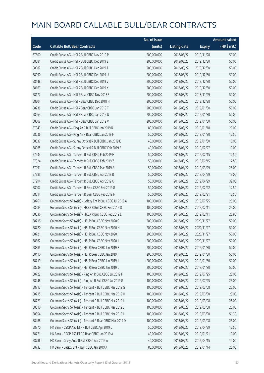|       |                                                             | No. of issue |                     |               | <b>Amount raised</b> |
|-------|-------------------------------------------------------------|--------------|---------------------|---------------|----------------------|
| Code  | <b>Callable Bull/Bear Contracts</b>                         | (units)      | <b>Listing date</b> | <b>Expiry</b> | (HK\$ mil.)          |
| 57800 | Credit Suisse AG - HSI R Bull CBBC Nov 2019 P               | 200,000,000  | 2018/08/22          | 2019/11/28    | 50.00                |
| 58081 | Credit Suisse AG - HSI R Bull CBBC Dec 2019 S               | 200,000,000  | 2018/08/22          | 2019/12/30    | 50.00                |
| 58087 | Credit Suisse AG - HSI R Bull CBBC Dec 2019 T               | 200,000,000  | 2018/08/22          | 2019/12/30    | 50.00                |
| 58090 | Credit Suisse AG - HSI R Bull CBBC Dec 2019 U               | 200,000,000  | 2018/08/22          | 2019/12/30    | 50.00                |
| 58148 | Credit Suisse AG - HSI R Bull CBBC Dec 2019 V               | 200,000,000  | 2018/08/22          | 2019/12/30    | 50.00                |
| 58169 | Credit Suisse AG - HSI R Bull CBBC Dec 2019 X               | 200,000,000  | 2018/08/22          | 2019/12/30    | 50.00                |
| 58177 | Credit Suisse AG - HSI R Bear CBBC Nov 2018 S               | 200,000,000  | 2018/08/22          | 2018/11/29    | 50.00                |
| 58204 | Credit Suisse AG - HSI R Bear CBBC Dec 2018 H               | 200,000,000  | 2018/08/22          | 2018/12/28    | 50.00                |
| 58238 | Credit Suisse AG - HSI R Bear CBBC Jan 2019 T               | 200,000,000  | 2018/08/22          | 2019/01/30    | 50.00                |
| 58263 | Credit Suisse AG - HSI R Bear CBBC Jan 2019 U               | 200,000,000  | 2018/08/22          | 2019/01/30    | 50.00                |
| 58308 | Credit Suisse AG - HSI R Bear CBBC Jan 2019 V               | 200,000,000  | 2018/08/22          | 2019/01/30    | 50.00                |
| 57943 | Credit Suisse AG - Ping An R Bull CBBC Jan 2019 R           | 80,000,000   | 2018/08/22          | 2019/01/18    | 20.00                |
| 58036 | Credit Suisse AG - Ping An R Bear CBBC Jan 2019 F           | 50,000,000   | 2018/08/22          | 2019/01/30    | 12.50                |
| 58037 | Credit Suisse AG - Sunny Optical R Bull CBBC Jan 2019 E     | 40,000,000   | 2018/08/22          | 2019/01/30    | 10.00                |
| 58065 | Credit Suisse AG - Sunny Optical R Bull CBBC Feb 2019 B     | 40,000,000   | 2018/08/22          | 2019/02/27    | 10.00                |
| 57934 | Credit Suisse AG - Tencent R Bull CBBC Feb 2019 H           | 50,000,000   | 2018/08/22          | 2019/02/15    | 12.50                |
| 57924 | Credit Suisse AG - Tencent R Bull CBBC Feb 2019 Z           | 50,000,000   | 2018/08/22          | 2019/02/15    | 12.50                |
| 57991 | Credit Suisse AG - Tencent R Bull CBBC Mar 2019 A           | 50,000,000   | 2018/08/22          | 2019/03/29    | 25.00                |
| 57985 | Credit Suisse AG - Tencent R Bull CBBC Apr 2019 B           | 50,000,000   | 2018/08/22          | 2019/04/29    | 19.00                |
| 57994 | Credit Suisse AG - Tencent R Bull CBBC Apr 2019 C           | 50,000,000   | 2018/08/22          | 2019/04/29    | 32.00                |
| 58007 | Credit Suisse AG - Tencent R Bear CBBC Feb 2019 G           | 50,000,000   | 2018/08/22          | 2019/02/22    | 12.50                |
| 58014 | Credit Suisse AG - Tencent R Bear CBBC Feb 2019 H           | 50,000,000   | 2018/08/22          | 2019/02/21    | 12.50                |
| 58761 | Goldman Sachs SP (Asia) - Galaxy Ent R Bull CBBC Jul 2019 A | 100,000,000  | 2018/08/22          | 2019/07/25    | 25.00                |
| 58584 | Goldman Sachs SP (Asia) - HKEX R Bull CBBC Feb 2019 D       | 100,000,000  | 2018/08/22          | 2019/02/11    | 25.00                |
| 58636 | Goldman Sachs SP (Asia) - HKEX R Bull CBBC Feb 2019 E       | 100,000,000  | 2018/08/22          | 2019/02/11    | 26.80                |
| 58718 | Goldman Sachs SP (Asia) - HSI R Bull CBBC Nov 2020 G        | 200,000,000  | 2018/08/22          | 2020/11/27    | 50.00                |
| 58720 | Goldman Sachs SP (Asia) - HSI R Bull CBBC Nov 2020 H        | 200,000,000  | 2018/08/22          | 2020/11/27    | 50.00                |
| 58721 | Goldman Sachs SP (Asia) - HSI R Bull CBBC Nov 2020 I        | 200,000,000  | 2018/08/22          | 2020/11/27    | 50.00                |
| 58362 | Goldman Sachs SP (Asia) - HSI R Bull CBBC Nov 2020 J        | 200,000,000  | 2018/08/22          | 2020/11/27    | 50.00                |
| 58385 | Goldman Sachs SP (Asia) - HSI R Bear CBBC Jan 2019 F        | 200,000,000  | 2018/08/22          | 2019/01/30    | 50.00                |
| 58410 | Goldman Sachs SP (Asia) - HSI R Bear CBBC Jan 2019 I        | 200,000,000  | 2018/08/22          | 2019/01/30    | 50.00                |
| 58719 | Goldman Sachs SP (Asia) - HSI R Bear CBBC Jan 2019 J        | 200,000,000  | 2018/08/22          | 2019/01/30    | 50.00                |
| 58739 | Goldman Sachs SP (Asia) - HSI R Bear CBBC Jan 2019 L        | 200,000,000  | 2018/08/22          | 2019/01/30    | 50.00                |
| 58722 | Goldman Sachs SP (Asia) - Ping An R Bull CBBC Jul 2019 F    | 100,000,000  | 2018/08/22          | 2019/07/25    | 25.00                |
| 58448 | Goldman Sachs SP (Asia) - Ping An R Bull CBBC Jul 2019 G    | 100,000,000  | 2018/08/22          | 2019/07/25    | 25.00                |
| 58713 | Goldman Sachs SP (Asia) - Tencent R Bull CBBC Mar 2019 G    | 100,000,000  | 2018/08/22          | 2019/03/08    | 25.00                |
| 58715 | Goldman Sachs SP (Asia) - Tencent R Bull CBBC Mar 2019 H    | 100,000,000  | 2018/08/22          | 2019/03/08    | 25.00                |
| 58723 | Goldman Sachs SP (Asia) - Tencent R Bull CBBC Mar 2019 I    | 100,000,000  | 2018/08/22          | 2019/03/08    | 25.00                |
| 58310 | Goldman Sachs SP (Asia) - Tencent R Bull CBBC Mar 2019 J    | 100,000,000  | 2018/08/22          | 2019/03/08    | 25.00                |
| 58354 | Goldman Sachs SP (Asia) - Tencent R Bull CBBC Mar 2019 L    | 100,000,000  | 2018/08/22          | 2019/03/08    | 51.30                |
| 58488 | Goldman Sachs SP (Asia) - Tencent R Bear CBBC Mar 2019 D    | 100,000,000  | 2018/08/22          | 2019/03/08    | 25.00                |
| 58770 | HK Bank - CSOP A50 ETF R Bull CBBC Apr 2019 C               | 50,000,000   | 2018/08/22          | 2019/04/29    | 12.50                |
| 58771 | HK Bank - CSOP A50 ETF R Bear CBBC Jan 2019 A               | 40,000,000   | 2018/08/22          | 2019/01/21    | 10.00                |
| 58786 | HK Bank - Geely Auto R Bull CBBC Apr 2019 A                 | 40,000,000   | 2018/08/22          | 2019/04/15    | 14.00                |
| 58732 | HK Bank - Galaxy Ent R Bull CBBC Jan 2019 J                 | 80,000,000   | 2018/08/22          | 2019/01/14    | 20.00                |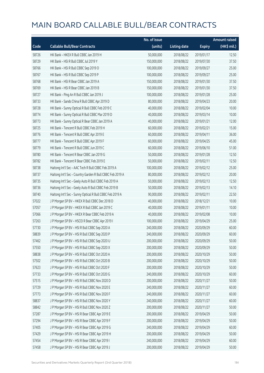|       |                                                           | No. of issue |                     |               | <b>Amount raised</b> |
|-------|-----------------------------------------------------------|--------------|---------------------|---------------|----------------------|
| Code  | <b>Callable Bull/Bear Contracts</b>                       | (units)      | <b>Listing date</b> | <b>Expiry</b> | (HK\$ mil.)          |
| 58726 | HK Bank - HKEX R Bull CBBC Jan 2019 H                     | 50,000,000   | 2018/08/22          | 2019/01/17    | 12.50                |
| 58729 | HK Bank - HSI R Bull CBBC Jul 2019 Y                      | 150,000,000  | 2018/08/22          | 2019/07/30    | 37.50                |
| 58766 | HK Bank - HSI R Bull CBBC Sep 2019 O                      | 100,000,000  | 2018/08/22          | 2019/09/27    | 25.00                |
| 58767 | HK Bank - HSI R Bull CBBC Sep 2019 P                      | 100,000,000  | 2018/08/22          | 2019/09/27    | 25.00                |
| 58768 | HK Bank - HSI R Bear CBBC Jan 2019 A                      | 150,000,000  | 2018/08/22          | 2019/01/30    | 37.50                |
| 58769 | HK Bank - HSI R Bear CBBC Jan 2019 B                      | 150,000,000  | 2018/08/22          | 2019/01/30    | 37.50                |
| 58727 | HK Bank - Ping An R Bull CBBC Jan 2019 J                  | 100,000,000  | 2018/08/22          | 2019/01/28    | 25.00                |
| 58733 | HK Bank - Sands China R Bull CBBC Apr 2019 D              | 80,000,000   | 2018/08/22          | 2019/04/23    | 20.00                |
| 58728 | HK Bank - Sunny Optical R Bull CBBC Feb 2019 C            | 40,000,000   | 2018/08/22          | 2019/02/04    | 10.00                |
| 58774 | HK Bank - Sunny Optical R Bull CBBC Mar 2019 D            | 40,000,000   | 2018/08/22          | 2019/03/14    | 10.00                |
| 58773 | HK Bank - Sunny Optical R Bear CBBC Jan 2019 A            | 40,000,000   | 2018/08/22          | 2019/01/21    | 12.00                |
| 58725 | HK Bank - Tencent R Bull CBBC Feb 2019 H                  | 60,000,000   | 2018/08/22          | 2019/02/21    | 15.00                |
| 58776 | HK Bank - Tencent R Bull CBBC Apr 2019 E                  | 60,000,000   | 2018/08/22          | 2019/04/11    | 36.00                |
| 58777 | HK Bank - Tencent R Bull CBBC Apr 2019 F                  | 60,000,000   | 2018/08/22          | 2019/04/25    | 45.00                |
| 58779 | HK Bank - Tencent R Bull CBBC Jun 2019 C                  | 60,000,000   | 2018/08/22          | 2019/06/10    | 51.00                |
| 58780 | HK Bank - Tencent R Bear CBBC Jan 2019 G                  | 50,000,000   | 2018/08/22          | 2019/01/28    | 12.50                |
| 58782 | HK Bank - Tencent R Bear CBBC Feb 2019 E                  | 50,000,000   | 2018/08/22          | 2019/02/11    | 12.50                |
| 58738 | Haitong Int'l Sec - AAC Tech R Bull CBBC Feb 2019 A       | 100,000,000  | 2018/08/22          | 2019/02/12    | 25.00                |
| 58737 | Haitong Int'l Sec - Country Garden R Bull CBBC Feb 2019 A | 80,000,000   | 2018/08/22          | 2019/02/12    | 20.00                |
| 58735 | Haitong Int'l Sec - Geely Auto R Bull CBBC Feb 2019 A     | 50,000,000   | 2018/08/22          | 2019/02/13    | 12.50                |
| 58736 | Haitong Int'l Sec - Geely Auto R Bull CBBC Feb 2019 B     | 50,000,000   | 2018/08/22          | 2019/02/13    | 14.10                |
| 58740 | Haitong Int'l Sec - Sunny Optical R Bull CBBC Feb 2019 A  | 90,000,000   | 2018/08/22          | 2019/02/11    | 22.50                |
| 57022 | J P Morgan SP BV - HKEX R Bull CBBC Dec 2018 D            | 40,000,000   | 2018/08/22          | 2018/12/21    | 10.00                |
| 57057 | J P Morgan SP BV - HKEX R Bull CBBC Jan 2019 C            | 40,000,000   | 2018/08/22          | 2019/01/11    | 10.00                |
| 57066 | J P Morgan SP BV - HKEX R Bear CBBC Feb 2019 A            | 40,000,000   | 2018/08/22          | 2019/02/08    | 10.00                |
| 57263 | J P Morgan SP BV - HSCEI R Bear CBBC Apr 2019 I           | 100,000,000  | 2018/08/22          | 2019/04/29    | 25.00                |
| 57730 | J P Morgan SP BV - HSI R Bull CBBC Sep 2020 A             | 240,000,000  | 2018/08/22          | 2020/09/29    | 60.00                |
| 58839 | J P Morgan SP BV - HSI R Bull CBBC Sep 2020 P             | 240,000,000  | 2018/08/22          | 2020/09/29    | 60.00                |
| 57462 | J P Morgan SP BV - HSI R Bull CBBC Sep 2020 U             | 200,000,000  | 2018/08/22          | 2020/09/29    | 50.00                |
| 57550 | J P Morgan SP BV - HSI R Bull CBBC Sep 2020 X             | 200,000,000  | 2018/08/22          | 2020/09/29    | 50.00                |
| 58838 | J P Morgan SP BV - HSI R Bull CBBC Oct 2020 A             | 200,000,000  | 2018/08/22          | 2020/10/29    | 50.00                |
| 57502 | JP Morgan SP BV - HSIR Bull CBBC Oct 2020 B               | 200,000,000  | 2018/08/22          | 2020/10/29    | 50.00                |
| 57623 | J P Morgan SP BV - HSI R Bull CBBC Oct 2020 F             | 200,000,000  | 2018/08/22          | 2020/10/29    | 50.00                |
| 57733 | J P Morgan SP BV - HSI R Bull CBBC Oct 2020 G             | 240,000,000  | 2018/08/22          | 2020/10/29    | 60.00                |
| 57515 | J P Morgan SP BV - HSI R Bull CBBC Nov 2020 D             | 200,000,000  | 2018/08/22          | 2020/11/27    | 50.00                |
| 57729 | J P Morgan SP BV - HSI R Bull CBBC Nov 2020 E             | 240,000,000  | 2018/08/22          | 2020/11/27    | 60.00                |
| 57773 | J P Morgan SP BV - HSI R Bull CBBC Nov 2020 F             | 240,000,000  | 2018/08/22          | 2020/11/27    | 60.00                |
| 58837 | J P Morgan SP BV - HSI R Bull CBBC Nov 2020 Y             | 240,000,000  | 2018/08/22          | 2020/11/27    | 60.00                |
| 58842 | J P Morgan SP BV - HSI R Bull CBBC Nov 2020 Z             | 200,000,000  | 2018/08/22          | 2020/11/27    | 50.00                |
| 57287 | J P Morgan SP BV - HSI R Bear CBBC Apr 2019 E             | 200,000,000  | 2018/08/22          | 2019/04/29    | 50.00                |
| 57294 | J P Morgan SP BV - HSI R Bear CBBC Apr 2019 F             | 200,000,000  | 2018/08/22          | 2019/04/29    | 50.00                |
| 57405 | J P Morgan SP BV - HSI R Bear CBBC Apr 2019 G             | 240,000,000  | 2018/08/22          | 2019/04/29    | 60.00                |
| 57429 | J P Morgan SP BV - HSI R Bear CBBC Apr 2019 H             | 200,000,000  | 2018/08/22          | 2019/04/29    | 50.00                |
| 57454 | J P Morgan SP BV - HSI R Bear CBBC Apr 2019 I             | 240,000,000  | 2018/08/22          | 2019/04/29    | 60.00                |
| 57458 | J P Morgan SP BV - HSI R Bear CBBC Apr 2019 J             | 200,000,000  | 2018/08/22          | 2019/04/29    | 50.00                |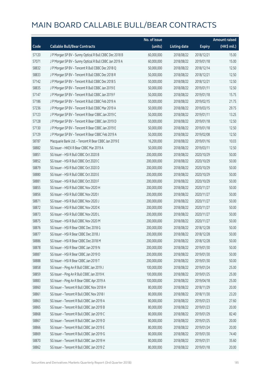|       |                                                         | No. of issue |                     |               | <b>Amount raised</b> |
|-------|---------------------------------------------------------|--------------|---------------------|---------------|----------------------|
| Code  | <b>Callable Bull/Bear Contracts</b>                     | (units)      | <b>Listing date</b> | <b>Expiry</b> | (HK\$ mil.)          |
| 57120 | J P Morgan SP BV - Sunny Optical R Bull CBBC Dec 2018 B | 60,000,000   | 2018/08/22          | 2018/12/21    | 15.00                |
| 57071 | J P Morgan SP BV - Sunny Optical R Bull CBBC Jan 2019 A | 60,000,000   | 2018/08/22          | 2019/01/18    | 15.00                |
| 58832 | J P Morgan SP BV - Tencent R Bull CBBC Dec 2018 Q       | 50,000,000   | 2018/08/22          | 2018/12/14    | 12.50                |
| 58833 | J P Morgan SP BV - Tencent R Bull CBBC Dec 2018 R       | 50,000,000   | 2018/08/22          | 2018/12/21    | 12.50                |
| 57142 | JP Morgan SP BV - Tencent R Bull CBBC Dec 2018 S        | 50,000,000   | 2018/08/22          | 2018/12/21    | 12.50                |
| 58835 | JP Morgan SP BV - Tencent R Bull CBBC Jan 2019 E        | 50,000,000   | 2018/08/22          | 2019/01/11    | 12.50                |
| 57147 | J P Morgan SP BV - Tencent R Bull CBBC Jan 2019 F       | 50,000,000   | 2018/08/22          | 2019/01/18    | 15.75                |
| 57186 | J P Morgan SP BV - Tencent R Bull CBBC Feb 2019 A       | 50,000,000   | 2018/08/22          | 2019/02/15    | 21.75                |
| 57236 | J P Morgan SP BV - Tencent R Bull CBBC Mar 2019 A       | 50,000,000   | 2018/08/22          | 2019/03/15    | 29.75                |
| 57123 | J P Morgan SP BV - Tencent R Bear CBBC Jan 2019 C       | 50,000,000   | 2018/08/22          | 2019/01/11    | 13.25                |
| 57128 | J P Morgan SP BV - Tencent R Bear CBBC Jan 2019 D       | 50,000,000   | 2018/08/22          | 2019/01/18    | 12.50                |
| 57130 | J P Morgan SP BV - Tencent R Bear CBBC Jan 2019 E       | 50,000,000   | 2018/08/22          | 2019/01/18    | 12.50                |
| 57129 | J P Morgan SP BV - Tencent R Bear CBBC Feb 2019 A       | 50,000,000   | 2018/08/22          | 2019/02/08    | 12.50                |
| 58787 | Macquarie Bank Ltd. - Tencent R Bear CBBC Jan 2019 E    | 16,200,000   | 2018/08/22          | 2019/01/16    | 10.03                |
| 58882 | SG Issuer - HKEX R Bear CBBC Mar 2019 A                 | 50,000,000   | 2018/08/22          | 2019/03/11    | 12.50                |
| 58851 | SG Issuer - HSI R Bull CBBC Oct 2020 B                  | 200,000,000  | 2018/08/22          | 2020/10/29    | 50.00                |
| 58852 | SG Issuer - HSI R Bull CBBC Oct 2020 C                  | 200,000,000  | 2018/08/22          | 2020/10/29    | 50.00                |
| 58879 | SG Issuer - HSI R Bull CBBC Oct 2020 D                  | 200,000,000  | 2018/08/22          | 2020/10/29    | 50.00                |
| 58880 | SG Issuer - HSI R Bull CBBC Oct 2020 E                  | 200,000,000  | 2018/08/22          | 2020/10/29    | 50.00                |
| 58881 | SG Issuer - HSI R Bull CBBC Oct 2020 F                  | 200,000,000  | 2018/08/22          | 2020/10/29    | 50.00                |
| 58855 | SG Issuer - HSI R Bull CBBC Nov 2020 H                  | 200,000,000  | 2018/08/22          | 2020/11/27    | 50.00                |
| 58856 | SG Issuer - HSI R Bull CBBC Nov 2020 I                  | 200,000,000  | 2018/08/22          | 2020/11/27    | 50.00                |
| 58871 | SG Issuer - HSI R Bull CBBC Nov 2020 J                  | 200,000,000  | 2018/08/22          | 2020/11/27    | 50.00                |
| 58872 | SG Issuer - HSI R Bull CBBC Nov 2020 K                  | 200,000,000  | 2018/08/22          | 2020/11/27    | 50.00                |
| 58873 | SG Issuer - HSI R Bull CBBC Nov 2020 L                  | 200,000,000  | 2018/08/22          | 2020/11/27    | 50.00                |
| 58875 | SG Issuer - HSI R Bull CBBC Nov 2020 M                  | 200,000,000  | 2018/08/22          | 2020/11/27    | 50.00                |
| 58876 | SG Issuer - HSI R Bear CBBC Dec 2018 G                  | 200,000,000  | 2018/08/22          | 2018/12/28    | 50.00                |
| 58877 | SG Issuer - HSI R Bear CBBC Dec 2018 J                  | 200,000,000  | 2018/08/22          | 2018/12/28    | 50.00                |
| 58886 | SG Issuer - HSI R Bear CBBC Dec 2018 M                  | 200,000,000  | 2018/08/22          | 2018/12/28    | 50.00                |
| 58878 | SG Issuer - HSI R Bear CBBC Jan 2019 N                  | 200,000,000  | 2018/08/22          | 2019/01/30    | 50.00                |
| 58887 | SG Issuer - HSI R Bear CBBC Jan 2019 O                  | 200,000,000  | 2018/08/22          | 2019/01/30    | 50.00                |
| 58888 | SG Issuer - HSI R Bear CBBC Jan 2019 T                  | 200,000,000  | 2018/08/22          | 2019/01/30    | 50.00                |
| 58858 | SG Issuer - Ping An R Bull CBBC Jan 2019 J              | 100,000,000  | 2018/08/22          | 2019/01/24    | 25.00                |
| 58859 | SG Issuer - Ping An R Bull CBBC Jan 2019 K              | 100,000,000  | 2018/08/22          | 2019/01/25    | 25.00                |
| 58883 | SG Issuer - Ping An R Bear CBBC Apr 2019 A              | 100,000,000  | 2018/08/22          | 2019/04/18    | 25.00                |
| 58860 | SG Issuer - Tencent R Bull CBBC Nov 2018 H              | 80,000,000   | 2018/08/22          | 2018/11/29    | 20.00                |
| 58861 | SG Issuer - Tencent R Bull CBBC Nov 2018 I              | 80,000,000   | 2018/08/22          | 2018/11/30    | 23.20                |
| 58863 | SG Issuer - Tencent R Bull CBBC Jan 2019 A              | 80,000,000   | 2018/08/22          | 2019/01/23    | 27.60                |
| 58865 | SG Issuer - Tencent R Bull CBBC Jan 2019 B              | 80,000,000   | 2018/08/22          | 2019/01/23    | 20.00                |
| 58868 | SG Issuer - Tencent R Bull CBBC Jan 2019 C              | 80,000,000   | 2018/08/22          | 2019/01/29    | 82.40                |
| 58867 | SG Issuer - Tencent R Bull CBBC Jan 2019 D              | 80,000,000   | 2018/08/22          | 2019/01/25    | 20.00                |
| 58866 | SG Issuer - Tencent R Bull CBBC Jan 2019 E              | 80,000,000   | 2018/08/22          | 2019/01/24    | 20.00                |
| 58869 | SG Issuer - Tencent R Bull CBBC Jan 2019 G              | 80,000,000   | 2018/08/22          | 2019/01/30    | 74.40                |
| 58870 | SG Issuer - Tencent R Bull CBBC Jan 2019 H              | 80,000,000   | 2018/08/22          | 2019/01/31    | 35.60                |
| 58862 | SG Issuer - Tencent R Bull CBBC Jan 2019 Z              | 80,000,000   | 2018/08/22          | 2019/01/18    | 20.00                |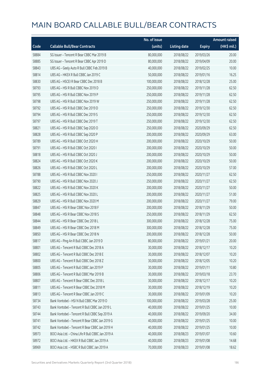|       |                                                    | No. of issue |                     |               | <b>Amount raised</b> |
|-------|----------------------------------------------------|--------------|---------------------|---------------|----------------------|
| Code  | <b>Callable Bull/Bear Contracts</b>                | (units)      | <b>Listing date</b> | <b>Expiry</b> | (HK\$ mil.)          |
| 58884 | SG Issuer - Tencent R Bear CBBC Mar 2019 B         | 80,000,000   | 2018/08/22          | 2019/03/26    | 20.00                |
| 58885 | SG Issuer - Tencent R Bear CBBC Apr 2019 D         | 80,000,000   | 2018/08/22          | 2019/04/09    | 20.00                |
| 58843 | UBS AG - Geely Auto R Bull CBBC Feb 2019 B         | 40,000,000   | 2018/08/22          | 2019/02/25    | 10.00                |
| 58814 | UBS AG - HKEX R Bull CBBC Jan 2019 C               | 50,000,000   | 2018/08/22          | 2019/01/16    | 16.25                |
| 58830 | UBS AG - HSCEI R Bear CBBC Dec 2018 B              | 100,000,000  | 2018/08/22          | 2018/12/28    | 25.00                |
| 58793 | UBS AG - HSI R Bull CBBC Nov 2019 D                | 250,000,000  | 2018/08/22          | 2019/11/28    | 62.50                |
| 58795 | UBS AG - HSI R Bull CBBC Nov 2019 P                | 250,000,000  | 2018/08/22          | 2019/11/28    | 62.50                |
| 58798 | UBS AG - HSI R Bull CBBC Nov 2019 W                | 250,000,000  | 2018/08/22          | 2019/11/28    | 62.50                |
| 58792 | UBS AG - HSI R Bull CBBC Dec 2019 D                | 250,000,000  | 2018/08/22          | 2019/12/30    | 62.50                |
| 58794 | UBS AG - HSI R Bull CBBC Dec 2019 S                | 250,000,000  | 2018/08/22          | 2019/12/30    | 62.50                |
| 58797 | UBS AG - HSI R Bull CBBC Dec 2019 T                | 250,000,000  | 2018/08/22          | 2019/12/30    | 62.50                |
| 58821 | UBS AG - HSI R Bull CBBC Sep 2020 O                | 250,000,000  | 2018/08/22          | 2020/09/29    | 62.50                |
| 58828 | UBS AG - HSI R Bull CBBC Sep 2020 P                | 200,000,000  | 2018/08/22          | 2020/09/29    | 63.00                |
| 58789 | UBS AG - HSI R Bull CBBC Oct 2020 H                | 200,000,000  | 2018/08/22          | 2020/10/29    | 50.00                |
| 58791 | UBS AG - HSI R Bull CBBC Oct 2020 I                | 200,000,000  | 2018/08/22          | 2020/10/29    | 50.00                |
| 58818 | UBS AG - HSI R Bull CBBC Oct 2020 J                | 200,000,000  | 2018/08/22          | 2020/10/29    | 50.00                |
| 58824 | UBS AG - HSI R Bull CBBC Oct 2020 K                | 200,000,000  | 2018/08/22          | 2020/10/29    | 50.00                |
| 58826 | UBS AG - HSI R Bull CBBC Oct 2020 L                | 200,000,000  | 2018/08/22          | 2020/10/29    | 57.00                |
| 58788 | UBS AG - HSI R Bull CBBC Nov 2020 I                | 250,000,000  | 2018/08/22          | 2020/11/27    | 62.50                |
| 58790 | UBS AG - HSI R Bull CBBC Nov 2020 J                | 250,000,000  | 2018/08/22          | 2020/11/27    | 62.50                |
| 58822 | UBS AG - HSI R Bull CBBC Nov 2020 K                | 200,000,000  | 2018/08/22          | 2020/11/27    | 50.00                |
| 58825 | UBS AG - HSI R Bull CBBC Nov 2020 L                | 200,000,000  | 2018/08/22          | 2020/11/27    | 51.00                |
| 58829 | UBS AG - HSI R Bull CBBC Nov 2020 M                | 200,000,000  | 2018/08/22          | 2020/11/27    | 79.00                |
| 58847 | UBS AG - HSI R Bear CBBC Nov 2018 F                | 200,000,000  | 2018/08/22          | 2018/11/29    | 50.00                |
| 58848 | UBS AG - HSI R Bear CBBC Nov 2018 S                | 250,000,000  | 2018/08/22          | 2018/11/29    | 62.50                |
| 58844 | UBS AG - HSI R Bear CBBC Dec 2018 L                | 300,000,000  | 2018/08/22          | 2018/12/28    | 75.00                |
| 58849 | UBS AG - HSI R Bear CBBC Dec 2018 M                | 300,000,000  | 2018/08/22          | 2018/12/28    | 75.00                |
| 58850 | UBS AG - HSI R Bear CBBC Dec 2018 N                | 200,000,000  | 2018/08/22          | 2018/12/28    | 50.00                |
| 58817 | UBS AG - Ping An R Bull CBBC Jan 2019 D            | 80,000,000   | 2018/08/22          | 2019/01/21    | 20.00                |
| 58801 | UBS AG - Tencent R Bull CBBC Dec 2018 A            | 30,000,000   | 2018/08/22          | 2018/12/17    | 10.20                |
| 58802 | UBS AG - Tencent R Bull CBBC Dec 2018 E            | 30,000,000   | 2018/08/22          | 2018/12/07    | 10.20                |
| 58800 | UBS AG - Tencent R Bull CBBC Dec 2018 Z            | 30,000,000   | 2018/08/22          | 2018/12/05    | 10.20                |
| 58805 | UBS AG - Tencent R Bull CBBC Jan 2019 P            | 30,000,000   | 2018/08/22          | 2019/01/11    | 10.80                |
| 58806 | UBS AG - Tencent R Bull CBBC Mar 2019 B            | 30,000,000   | 2018/08/22          | 2019/03/18    | 23.70                |
| 58807 | UBS AG - Tencent R Bear CBBC Dec 2018 L            | 30,000,000   | 2018/08/22          | 2018/12/17    | 10.20                |
| 58811 | UBS AG - Tencent R Bear CBBC Dec 2018 M            | 30,000,000   | 2018/08/22          | 2018/12/19    | 10.20                |
| 58813 | UBS AG - Tencent R Bear CBBC Jan 2019 C            | 30,000,000   | 2018/08/22          | 2019/01/09    | 10.20                |
| 58734 | Bank Vontobel - HSI N Bull CBBC Mar 2019 O         | 100,000,000  | 2018/08/22          | 2019/03/28    | 25.00                |
| 58743 | Bank Vontobel - Tencent R Bull CBBC Jan 2019 L     | 40,000,000   | 2018/08/22          | 2019/01/25    | 10.00                |
| 58744 | Bank Vontobel - Tencent R Bull CBBC Sep 2019 A     | 40,000,000   | 2018/08/22          | 2019/09/20    | 34.00                |
| 58741 | Bank Vontobel - Tencent R Bear CBBC Jan 2019 G     | 40,000,000   | 2018/08/22          | 2019/01/25    | 10.00                |
| 58742 | Bank Vontobel - Tencent R Bear CBBC Jan 2019 H     | 40,000,000   | 2018/08/22          | 2019/01/25    | 10.00                |
| 58973 | BOCI Asia Ltd. - China Life R Bull CBBC Jan 2019 A | 40,000,000   | 2018/08/23          | 2019/01/07    | 10.60                |
| 58972 | BOCI Asia Ltd. - HKEX R Bull CBBC Jan 2019 A       | 40,000,000   | 2018/08/23          | 2019/01/08    | 14.68                |
| 58969 | BOCI Asia Ltd. - HSBC R Bull CBBC Jan 2019 A       | 70,000,000   | 2018/08/23          | 2019/01/08    | 18.62                |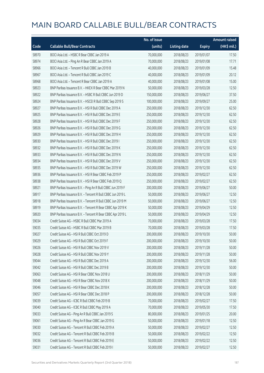|       |                                                            | No. of issue |                     |               | <b>Amount raised</b> |
|-------|------------------------------------------------------------|--------------|---------------------|---------------|----------------------|
| Code  | <b>Callable Bull/Bear Contracts</b>                        | (units)      | <b>Listing date</b> | <b>Expiry</b> | (HK\$ mil.)          |
| 58970 | BOCI Asia Ltd. - HSBC R Bear CBBC Jan 2019 A               | 70,000,000   | 2018/08/23          | 2019/01/07    | 17.50                |
| 58974 | BOCI Asia Ltd. - Ping An R Bear CBBC Jan 2019 A            | 70,000,000   | 2018/08/23          | 2019/01/08    | 17.71                |
| 58966 | BOCI Asia Ltd. - Tencent R Bull CBBC Jan 2019 B            | 40,000,000   | 2018/08/23          | 2019/01/09    | 15.48                |
| 58967 | BOCI Asia Ltd. - Tencent R Bull CBBC Jan 2019 C            | 40,000,000   | 2018/08/23          | 2019/01/09    | 20.12                |
| 58968 | BOCI Asia Ltd. - Tencent R Bear CBBC Jan 2019 A            | 40,000,000   | 2018/08/23          | 2019/01/08    | 15.00                |
| 58923 | BNP Paribas Issuance B.V. - HKEX R Bear CBBC Mar 2019 N    | 50,000,000   | 2018/08/23          | 2019/03/28    | 12.50                |
| 58922 | BNP Paribas Issuance B.V. - HSBC R Bull CBBC Jun 2019 D    | 150,000,000  | 2018/08/23          | 2019/06/27    | 37.50                |
| 58924 | BNP Paribas Issuance B.V. - HSCEI R Bull CBBC Sep 2019 S   | 100,000,000  | 2018/08/23          | 2019/09/27    | 25.00                |
| 58927 | BNP Paribas Issuance B.V. - HSI R Bull CBBC Dec 2019 A     | 250,000,000  | 2018/08/23          | 2019/12/30    | 62.50                |
| 58925 | BNP Paribas Issuance B.V. - HSI R Bull CBBC Dec 2019 E     | 250,000,000  | 2018/08/23          | 2019/12/30    | 62.50                |
| 58928 | BNP Paribas Issuance B.V. - HSI R Bull CBBC Dec 2019 F     | 250,000,000  | 2018/08/23          | 2019/12/30    | 62.50                |
| 58926 | BNP Paribas Issuance B.V. - HSI R Bull CBBC Dec 2019 G     | 250,000,000  | 2018/08/23          | 2019/12/30    | 62.50                |
| 58929 | BNP Paribas Issuance B.V. - HSI R Bull CBBC Dec 2019 H     | 250,000,000  | 2018/08/23          | 2019/12/30    | 62.50                |
| 58930 | BNP Paribas Issuance B.V. - HSI R Bull CBBC Dec 2019 I     | 250,000,000  | 2018/08/23          | 2019/12/30    | 62.50                |
| 58932 | BNP Paribas Issuance B.V. - HSI R Bull CBBC Dec 2019 K     | 250,000,000  | 2018/08/23          | 2019/12/30    | 62.50                |
| 58933 | BNP Paribas Issuance B.V. - HSI R Bull CBBC Dec 2019 N     | 250,000,000  | 2018/08/23          | 2019/12/30    | 62.50                |
| 58934 | BNP Paribas Issuance B.V. - HSI R Bull CBBC Dec 2019 V     | 250,000,000  | 2018/08/23          | 2019/12/30    | 62.50                |
| 58935 | BNP Paribas Issuance B.V. - HSI R Bull CBBC Dec 2019 W     | 250,000,000  | 2018/08/23          | 2019/12/30    | 62.50                |
| 58936 | BNP Paribas Issuance B.V. - HSI R Bear CBBC Feb 2019 P     | 250,000,000  | 2018/08/23          | 2019/02/27    | 62.50                |
| 58938 | BNP Paribas Issuance B.V. - HSI R Bear CBBC Feb 2019 Q     | 250,000,000  | 2018/08/23          | 2019/02/27    | 62.50                |
| 58921 | BNP Paribas Issuance B.V. - Ping An R Bull CBBC Jun 2019 F | 200,000,000  | 2018/08/23          | 2019/06/27    | 50.00                |
| 58917 | BNP Paribas Issuance B.V. - Tencent R Bull CBBC Jun 2019 L | 50,000,000   | 2018/08/23          | 2019/06/27    | 12.50                |
| 58918 | BNP Paribas Issuance B.V. - Tencent R Bull CBBC Jun 2019 M | 50,000,000   | 2018/08/23          | 2019/06/27    | 12.50                |
| 58919 | BNP Paribas Issuance B.V. - Tencent R Bear CBBC Apr 2019 K | 50,000,000   | 2018/08/23          | 2019/04/29    | 12.50                |
| 58920 | BNP Paribas Issuance B.V. - Tencent R Bear CBBC Apr 2019 L | 50,000,000   | 2018/08/23          | 2019/04/29    | 12.50                |
| 59034 | Credit Suisse AG - HSBC R Bull CBBC Mar 2019 A             | 70,000,000   | 2018/08/23          | 2019/03/28    | 17.50                |
| 59035 | Credit Suisse AG - HSBC R Bull CBBC Mar 2019 B             | 70,000,000   | 2018/08/23          | 2019/03/28    | 17.50                |
| 59027 | Credit Suisse AG - HSI R Bull CBBC Oct 2019 D              | 200,000,000  | 2018/08/23          | 2019/10/30    | 50.00                |
| 59029 | Credit Suisse AG - HSI R Bull CBBC Oct 2019 F              | 200,000,000  | 2018/08/23          | 2019/10/30    | 50.00                |
| 59026 | Credit Suisse AG - HSI R Bull CBBC Nov 2019 V              | 200,000,000  | 2018/08/23          | 2019/11/28    | 50.00                |
| 59028 | Credit Suisse AG - HSI R Bull CBBC Nov 2019 Y              | 200,000,000  | 2018/08/23          | 2019/11/28    | 50.00                |
| 59044 | Credit Suisse AG - HSI R Bull CBBC Dec 2019 A              | 200,000,000  | 2018/08/23          | 2019/12/30    | 56.00                |
| 59042 | Credit Suisse AG - HSI R Bull CBBC Dec 2019 B              | 200,000,000  | 2018/08/23          | 2019/12/30    | 50.00                |
| 59063 | Credit Suisse AG - HSI R Bear CBBC Nov 2018 U              | 200,000,000  | 2018/08/23          | 2018/11/29    | 50.00                |
| 59048 | Credit Suisse AG - HSI R Bear CBBC Nov 2018 X              | 200,000,000  | 2018/08/23          | 2018/11/29    | 50.00                |
| 59046 | Credit Suisse AG - HSI R Bear CBBC Dec 2018 K              | 200,000,000  | 2018/08/23          | 2018/12/28    | 50.00                |
| 59057 | Credit Suisse AG - HSI R Bear CBBC Dec 2018 P              | 200,000,000  | 2018/08/23          | 2018/12/28    | 50.00                |
| 59039 | Credit Suisse AG - ICBC R Bull CBBC Feb 2019 B             | 70,000,000   | 2018/08/23          | 2019/02/27    | 17.50                |
| 59040 | Credit Suisse AG - ICBC R Bull CBBC May 2019 A             | 70,000,000   | 2018/08/23          | 2019/05/30    | 17.50                |
| 59033 | Credit Suisse AG - Ping An R Bull CBBC Jan 2019 S          | 80,000,000   | 2018/08/23          | 2019/01/25    | 20.00                |
| 59061 | Credit Suisse AG - Ping An R Bear CBBC Jan 2019 G          | 50,000,000   | 2018/08/23          | 2019/01/18    | 12.50                |
| 59030 | Credit Suisse AG - Tencent R Bull CBBC Feb 2019 A          | 50,000,000   | 2018/08/23          | 2019/02/27    | 12.50                |
| 59032 | Credit Suisse AG - Tencent R Bull CBBC Feb 2019 B          | 50,000,000   | 2018/08/23          | 2019/02/22    | 12.50                |
| 59036 | Credit Suisse AG - Tencent R Bull CBBC Feb 2019 E          | 50,000,000   | 2018/08/23          | 2019/02/22    | 12.50                |
| 59031 | Credit Suisse AG - Tencent R Bull CBBC Feb 2019 I          | 50,000,000   | 2018/08/23          | 2019/02/27    | 12.50                |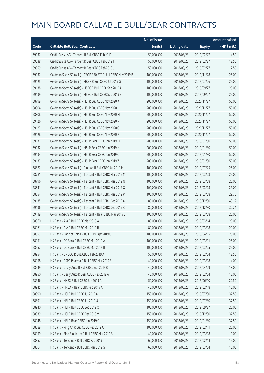|       |                                                               | No. of issue |                     |               | <b>Amount raised</b> |
|-------|---------------------------------------------------------------|--------------|---------------------|---------------|----------------------|
| Code  | <b>Callable Bull/Bear Contracts</b>                           | (units)      | <b>Listing date</b> | <b>Expiry</b> | (HK\$ mil.)          |
| 59037 | Credit Suisse AG - Tencent R Bull CBBC Feb 2019 J             | 50,000,000   | 2018/08/23          | 2019/02/27    | 14.50                |
| 59038 | Credit Suisse AG - Tencent R Bear CBBC Feb 2019 I             | 50,000,000   | 2018/08/23          | 2019/02/27    | 12.50                |
| 59059 | Credit Suisse AG - Tencent R Bear CBBC Feb 2019 J             | 50,000,000   | 2018/08/23          | 2019/02/27    | 12.50                |
| 59137 | Goldman Sachs SP (Asia) - CSOP A50 ETF R Bull CBBC Nov 2019 B | 100,000,000  | 2018/08/23          | 2019/11/28    | 25.00                |
| 59125 | Goldman Sachs SP (Asia) - HKEX R Bull CBBC Jul 2019 G         | 100,000,000  | 2018/08/23          | 2019/07/26    | 25.00                |
| 59138 | Goldman Sachs SP (Asia) - HSBC R Bull CBBC Sep 2019 A         | 100,000,000  | 2018/08/23          | 2019/09/27    | 25.00                |
| 59139 | Goldman Sachs SP (Asia) - HSBC R Bull CBBC Sep 2019 B         | 100,000,000  | 2018/08/23          | 2019/09/27    | 25.00                |
| 58799 | Goldman Sachs SP (Asia) - HSI R Bull CBBC Nov 2020 K          | 200,000,000  | 2018/08/23          | 2020/11/27    | 50.00                |
| 58804 | Goldman Sachs SP (Asia) - HSI R Bull CBBC Nov 2020 L          | 200,000,000  | 2018/08/23          | 2020/11/27    | 50.00                |
| 58808 | Goldman Sachs SP (Asia) - HSI R Bull CBBC Nov 2020 M          | 200,000,000  | 2018/08/23          | 2020/11/27    | 50.00                |
| 59126 | Goldman Sachs SP (Asia) - HSI R Bull CBBC Nov 2020 N          | 200,000,000  | 2018/08/23          | 2020/11/27    | 50.00                |
| 59127 | Goldman Sachs SP (Asia) - HSI R Bull CBBC Nov 2020 O          | 200,000,000  | 2018/08/23          | 2020/11/27    | 50.00                |
| 59128 | Goldman Sachs SP (Asia) - HSI R Bull CBBC Nov 2020 P          | 200,000,000  | 2018/08/23          | 2020/11/27    | 50.00                |
| 59131 | Goldman Sachs SP (Asia) - HSI R Bear CBBC Jan 2019 M          | 200,000,000  | 2018/08/23          | 2019/01/30    | 50.00                |
| 59132 | Goldman Sachs SP (Asia) - HSI R Bear CBBC Jan 2019 N          | 200,000,000  | 2018/08/23          | 2019/01/30    | 50.00                |
| 59134 | Goldman Sachs SP (Asia) - HSI R Bear CBBC Jan 2019 O          | 200,000,000  | 2018/08/23          | 2019/01/30    | 50.00                |
| 59133 | Goldman Sachs SP (Asia) - HSI R Bear CBBC Jan 2019 Z          | 200,000,000  | 2018/08/23          | 2019/01/30    | 50.00                |
| 58827 | Goldman Sachs SP (Asia) - Ping An R Bull CBBC Jul 2019 H      | 100,000,000  | 2018/08/23          | 2019/07/25    | 25.00                |
| 58781 | Goldman Sachs SP (Asia) - Tencent R Bull CBBC Mar 2019 M      | 100,000,000  | 2018/08/23          | 2019/03/08    | 25.00                |
| 58796 | Goldman Sachs SP (Asia) - Tencent R Bull CBBC Mar 2019 N      | 100,000,000  | 2018/08/23          | 2019/03/08    | 25.00                |
| 58841 | Goldman Sachs SP (Asia) - Tencent R Bull CBBC Mar 2019 O      | 100,000,000  | 2018/08/23          | 2019/03/08    | 25.00                |
| 58854 | Goldman Sachs SP (Asia) - Tencent R Bull CBBC Mar 2019 P      | 100,000,000  | 2018/08/23          | 2019/03/08    | 29.70                |
| 59135 | Goldman Sachs SP (Asia) - Tencent R Bull CBBC Dec 2019 A      | 80,000,000   | 2018/08/23          | 2019/12/30    | 43.12                |
| 59136 | Goldman Sachs SP (Asia) - Tencent R Bull CBBC Dec 2019 B      | 80,000,000   | 2018/08/23          | 2019/12/30    | 30.24                |
| 59119 | Goldman Sachs SP (Asia) - Tencent R Bear CBBC Mar 2019 E      | 100,000,000  | 2018/08/23          | 2019/03/08    | 25.00                |
| 58960 | HK Bank - AIA R Bull CBBC Mar 2019 A                          | 80,000,000   | 2018/08/23          | 2019/03/14    | 20.00                |
| 58961 | HK Bank - AIA R Bull CBBC Mar 2019 B                          | 80,000,000   | 2018/08/23          | 2019/03/18    | 20.00                |
| 58953 | HK Bank - Bank of China R Bull CBBC Apr 2019 C                | 100,000,000  | 2018/08/23          | 2019/04/15    | 25.00                |
| 58951 | HK Bank - CC Bank R Bull CBBC Mar 2019 A                      | 100,000,000  | 2018/08/23          | 2019/03/11    | 25.00                |
| 58952 | HK Bank - CC Bank R Bull CBBC Mar 2019 B                      | 100,000,000  | 2018/08/23          | 2019/03/25    | 25.00                |
| 58954 | HK Bank - CNOOC R Bull CBBC Feb 2019 A                        | 50,000,000   | 2018/08/23          | 2019/02/04    | 12.50                |
| 58958 | HK Bank - CSPC Pharma R Bull CBBC Mar 2019 B                  | 40,000,000   | 2018/08/23          | 2019/03/18    | 14.00                |
| 58949 | HK Bank - Geely Auto R Bull CBBC Apr 2019 B                   | 40,000,000   | 2018/08/23          | 2019/04/29    | 18.00                |
| 58950 | HK Bank - Geely Auto R Bear CBBC Feb 2019 A                   | 40,000,000   | 2018/08/23          | 2019/02/04    | 18.00                |
| 58946 | HK Bank - HKEX R Bull CBBC Jun 2019 A                         | 50,000,000   | 2018/08/23          | 2019/06/10    | 22.50                |
| 58945 | HK Bank - HKEX R Bear CBBC Feb 2019 A                         | 40,000,000   | 2018/08/23          | 2019/02/18    | 10.00                |
| 58890 | HK Bank - HSI R Bull CBBC Jul 2019 A                          | 150,000,000  | 2018/08/23          | 2019/07/30    | 37.50                |
| 58891 | HK Bank - HSI R Bull CBBC Jul 2019 U                          | 150,000,000  | 2018/08/23          | 2019/07/30    | 37.50                |
| 58940 | HK Bank - HSI R Bull CBBC Sep 2019 Q                          | 100,000,000  | 2018/08/23          | 2019/09/27    | 25.00                |
| 58939 | HK Bank - HSI R Bull CBBC Dec 2019 V                          | 150,000,000  | 2018/08/23          | 2019/12/30    | 37.50                |
| 58948 | HK Bank - HSI R Bear CBBC Jan 2019 C                          | 150,000,000  | 2018/08/23          | 2019/01/30    | 37.50                |
| 58889 | HK Bank - Ping An R Bull CBBC Feb 2019 C                      | 100,000,000  | 2018/08/23          | 2019/02/11    | 25.00                |
| 58959 | HK Bank - Sino Biopharm R Bull CBBC Mar 2019 B                | 40,000,000   | 2018/08/23          | 2019/03/18    | 10.00                |
| 58857 | HK Bank - Tencent R Bull CBBC Feb 2019 I                      | 60,000,000   | 2018/08/23          | 2019/02/14    | 15.00                |
| 58864 | HK Bank - Tencent R Bull CBBC Mar 2019 G                      | 60,000,000   | 2018/08/23          | 2019/03/04    | 15.00                |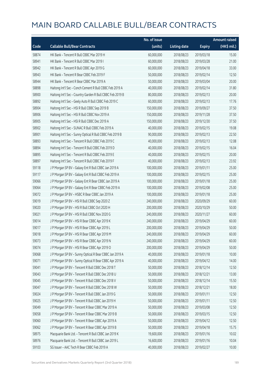|       |                                                           | No. of issue |                     |               | Amount raised |
|-------|-----------------------------------------------------------|--------------|---------------------|---------------|---------------|
| Code  | <b>Callable Bull/Bear Contracts</b>                       | (units)      | <b>Listing date</b> | <b>Expiry</b> | (HK\$ mil.)   |
| 58874 | HK Bank - Tencent R Bull CBBC Mar 2019 H                  | 60,000,000   | 2018/08/23          | 2019/03/18    | 15.00         |
| 58941 | HK Bank - Tencent R Bull CBBC Mar 2019 I                  | 60,000,000   | 2018/08/23          | 2019/03/28    | 21.00         |
| 58942 | HK Bank - Tencent R Bull CBBC Apr 2019 G                  | 60,000,000   | 2018/08/23          | 2019/04/18    | 33.00         |
| 58943 | HK Bank - Tencent R Bear CBBC Feb 2019 F                  | 50,000,000   | 2018/08/23          | 2019/02/14    | 12.50         |
| 58944 | HK Bank - Tencent R Bear CBBC Mar 2019 A                  | 50,000,000   | 2018/08/23          | 2019/03/04    | 20.00         |
| 58898 | Haitong Int'l Sec - Conch Cement R Bull CBBC Feb 2019 A   | 40,000,000   | 2018/08/23          | 2019/02/14    | 31.80         |
| 58900 | Haitong Int'l Sec - Country Garden R Bull CBBC Feb 2019 B | 80,000,000   | 2018/08/23          | 2019/02/13    | 20.00         |
| 58892 | Haitong Int'l Sec - Geely Auto R Bull CBBC Feb 2019 C     | 60,000,000   | 2018/08/23          | 2019/02/13    | 17.76         |
| 58904 | Haitong Int'l Sec - HSI R Bull CBBC Sep 2019 B            | 150,000,000  | 2018/08/23          | 2019/09/27    | 37.50         |
| 58906 | Haitong Int'l Sec - HSI R Bull CBBC Nov 2019 A            | 150,000,000  | 2018/08/23          | 2019/11/28    | 37.50         |
| 58905 | Haitong Int'l Sec - HSI R Bull CBBC Dec 2019 A            | 150,000,000  | 2018/08/23          | 2019/12/30    | 37.50         |
| 58902 | Haitong Int'l Sec - SUNAC R Bull CBBC Feb 2019 A          | 40,000,000   | 2018/08/23          | 2019/02/15    | 19.08         |
| 58901 | Haitong Int'l Sec - Sunny Optical R Bull CBBC Feb 2019 B  | 90,000,000   | 2018/08/23          | 2019/02/13    | 22.50         |
| 58893 | Haitong Int'l Sec - Tencent R Bull CBBC Feb 2019 C        | 40,000,000   | 2018/08/23          | 2019/02/13    | 12.08         |
| 58894 | Haitong Int'l Sec - Tencent R Bull CBBC Feb 2019 D        | 40,000,000   | 2018/08/23          | 2019/02/15    | 16.04         |
| 58895 | Haitong Int'l Sec - Tencent R Bull CBBC Feb 2019 E        | 40,000,000   | 2018/08/23          | 2019/02/15    | 20.00         |
| 58897 | Haitong Int'l Sec - Tencent R Bull CBBC Feb 2019 F        | 40,000,000   | 2018/08/23          | 2019/02/13    | 23.92         |
| 59118 | J P Morgan SP BV - Galaxy Ent R Bull CBBC Jan 2019 A      | 100,000,000  | 2018/08/23          | 2019/01/11    | 25.00         |
| 59117 | J P Morgan SP BV - Galaxy Ent R Bull CBBC Feb 2019 A      | 100,000,000  | 2018/08/23          | 2019/02/15    | 25.00         |
| 59066 | J P Morgan SP BV - Galaxy Ent R Bear CBBC Jan 2019 A      | 100,000,000  | 2018/08/23          | 2019/01/18    | 25.00         |
| 59064 | J P Morgan SP BV - Galaxy Ent R Bear CBBC Feb 2019 A      | 100,000,000  | 2018/08/23          | 2019/02/08    | 25.00         |
| 59072 | J P Morgan SP BV - HSBC R Bear CBBC Jan 2019 A            | 100,000,000  | 2018/08/23          | 2019/01/18    | 25.00         |
| 59019 | J P Morgan SP BV - HSI R Bull CBBC Sep 2020 Z             | 240,000,000  | 2018/08/23          | 2020/09/29    | 60.00         |
| 59020 | J P Morgan SP BV - HSI R Bull CBBC Oct 2020 H             | 200,000,000  | 2018/08/23          | 2020/10/29    | 50.00         |
| 59021 | J P Morgan SP BV - HSI R Bull CBBC Nov 2020 G             | 240,000,000  | 2018/08/23          | 2020/11/27    | 60.00         |
| 59014 | J P Morgan SP BV - HSI R Bear CBBC Apr 2019 K             | 240,000,000  | 2018/08/23          | 2019/04/29    | 60.00         |
| 59017 | J P Morgan SP BV - HSI R Bear CBBC Apr 2019 L             | 200,000,000  | 2018/08/23          | 2019/04/29    | 50.00         |
| 59018 | J P Morgan SP BV - HSI R Bear CBBC Apr 2019 M             | 240,000,000  | 2018/08/23          | 2019/04/29    | 60.00         |
| 59073 | J P Morgan SP BV - HSI R Bear CBBC Apr 2019 N             | 240,000,000  | 2018/08/23          | 2019/04/29    | 60.00         |
| 59074 | J P Morgan SP BV - HSI R Bear CBBC Apr 2019 O             | 200,000,000  | 2018/08/23          | 2019/04/29    | 50.00         |
| 59068 | J P Morgan SP BV - Sunny Optical R Bear CBBC Jan 2019 A   | 40,000,000   | 2018/08/23          | 2019/01/18    | 10.00         |
| 59071 | J P Morgan SP BV - Sunny Optical R Bear CBBC Apr 2019 A   | 40,000,000   | 2018/08/23          | 2019/04/12    | 14.00         |
| 59041 | J P Morgan SP BV - Tencent R Bull CBBC Dec 2018 T         | 50,000,000   | 2018/08/23          | 2018/12/14    | 12.50         |
| 59043 | J P Morgan SP BV - Tencent R Bull CBBC Dec 2018 U         | 50,000,000   | 2018/08/23          | 2018/12/21    | 13.00         |
| 59045 | J P Morgan SP BV - Tencent R Bull CBBC Dec 2018 V         | 50,000,000   | 2018/08/23          | 2018/12/14    | 15.50         |
| 59047 | J P Morgan SP BV - Tencent R Bull CBBC Dec 2018 W         | 50,000,000   | 2018/08/23          | 2018/12/21    | 18.00         |
| 59024 | J P Morgan SP BV - Tencent R Bull CBBC Jan 2019 G         | 50,000,000   | 2018/08/23          | 2019/01/11    | 12.50         |
| 59025 | J P Morgan SP BV - Tencent R Bull CBBC Jan 2019 H         | 50,000,000   | 2018/08/23          | 2019/01/11    | 12.50         |
| 59049 | J P Morgan SP BV - Tencent R Bear CBBC Mar 2019 A         | 50,000,000   | 2018/08/23          | 2019/03/08    | 12.50         |
| 59058 | J P Morgan SP BV - Tencent R Bear CBBC Mar 2019 B         | 50,000,000   | 2018/08/23          | 2019/03/15    | 12.50         |
| 59060 | J P Morgan SP BV - Tencent R Bear CBBC Apr 2019 A         | 50,000,000   | 2018/08/23          | 2019/04/12    | 12.50         |
| 59062 | J P Morgan SP BV - Tencent R Bear CBBC Apr 2019 B         | 50,000,000   | 2018/08/23          | 2019/04/18    | 15.75         |
| 58975 | Macquarie Bank Ltd. - Tencent R Bull CBBC Jan 2019 K      | 19,600,000   | 2018/08/23          | 2019/01/16    | 10.02         |
| 58976 | Macquarie Bank Ltd. - Tencent R Bull CBBC Jan 2019 L      | 16,600,000   | 2018/08/23          | 2019/01/16    | 10.04         |
| 59103 | SG Issuer - AAC Tech R Bear CBBC Feb 2019 A               | 40,000,000   | 2018/08/23          | 2019/02/27    | 10.00         |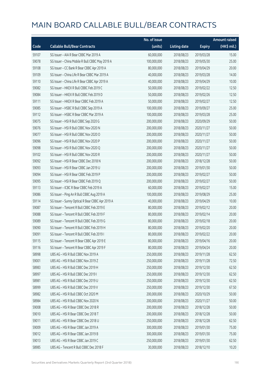|       |                                                  | No. of issue |                     |               | <b>Amount raised</b> |
|-------|--------------------------------------------------|--------------|---------------------|---------------|----------------------|
| Code  | <b>Callable Bull/Bear Contracts</b>              | (units)      | <b>Listing date</b> | <b>Expiry</b> | (HK\$ mil.)          |
| 59107 | SG Issuer - AIA R Bear CBBC Mar 2019 A           | 60,000,000   | 2018/08/23          | 2019/03/28    | 15.00                |
| 59078 | SG Issuer - China Mobile R Bull CBBC May 2019 A  | 100,000,000  | 2018/08/23          | 2019/05/30    | 25.00                |
| 59108 | SG Issuer - CC Bank R Bear CBBC Apr 2019 A       | 80,000,000   | 2018/08/23          | 2019/04/29    | 20.00                |
| 59109 | SG Issuer - China Life R Bear CBBC Mar 2019 A    | 40,000,000   | 2018/08/23          | 2019/03/28    | 14.00                |
| 59110 | SG Issuer - China Life R Bear CBBC Apr 2019 A    | 40,000,000   | 2018/08/23          | 2019/04/29    | 10.00                |
| 59082 | SG Issuer - HKEX R Bull CBBC Feb 2019 C          | 50,000,000   | 2018/08/23          | 2019/02/22    | 12.50                |
| 59084 | SG Issuer - HKEX R Bull CBBC Feb 2019 D          | 50,000,000   | 2018/08/23          | 2019/02/26    | 12.50                |
| 59111 | SG Issuer - HKEX R Bear CBBC Feb 2019 A          | 50,000,000   | 2018/08/23          | 2019/02/27    | 12.50                |
| 59085 | SG Issuer - HSBC R Bull CBBC Sep 2019 A          | 100,000,000  | 2018/08/23          | 2019/09/27    | 25.00                |
| 59112 | SG Issuer - HSBC R Bear CBBC Mar 2019 A          | 100,000,000  | 2018/08/23          | 2019/03/28    | 25.00                |
| 59075 | SG Issuer - HSI R Bull CBBC Sep 2020 G           | 200,000,000  | 2018/08/23          | 2020/09/29    | 50.00                |
| 59076 | SG Issuer - HSI R Bull CBBC Nov 2020 N           | 200,000,000  | 2018/08/23          | 2020/11/27    | 50.00                |
| 59077 | SG Issuer - HSI R Bull CBBC Nov 2020 O           | 200,000,000  | 2018/08/23          | 2020/11/27    | 50.00                |
| 59096 | SG Issuer - HSI R Bull CBBC Nov 2020 P           | 200,000,000  | 2018/08/23          | 2020/11/27    | 50.00                |
| 59098 | SG Issuer - HSI R Bull CBBC Nov 2020 Q           | 200,000,000  | 2018/08/23          | 2020/11/27    | 50.00                |
| 59102 | SG Issuer - HSI R Bull CBBC Nov 2020 R           | 200,000,000  | 2018/08/23          | 2020/11/27    | 50.00                |
| 59092 | SG Issuer - HSI R Bear CBBC Dec 2018 N           | 200,000,000  | 2018/08/23          | 2018/12/28    | 50.00                |
| 59093 | SG Issuer - HSI R Bear CBBC Jan 2019 U           | 200,000,000  | 2018/08/23          | 2019/01/30    | 50.00                |
| 59094 | SG Issuer - HSI R Bear CBBC Feb 2019 P           | 200,000,000  | 2018/08/23          | 2019/02/27    | 50.00                |
| 59095 | SG Issuer - HSI R Bear CBBC Feb 2019 Q           | 200,000,000  | 2018/08/23          | 2019/02/27    | 50.00                |
| 59113 | SG Issuer - ICBC R Bear CBBC Feb 2019 A          | 60,000,000   | 2018/08/23          | 2019/02/27    | 15.00                |
| 59086 | SG Issuer - Ping An R Bull CBBC Aug 2019 A       | 100,000,000  | 2018/08/23          | 2019/08/29    | 25.00                |
| 59114 | SG Issuer - Sunny Optical R Bear CBBC Apr 2019 A | 40,000,000   | 2018/08/23          | 2019/04/29    | 10.00                |
| 59087 | SG Issuer - Tencent R Bull CBBC Feb 2019 E       | 80,000,000   | 2018/08/23          | 2019/02/12    | 20.00                |
| 59088 | SG Issuer - Tencent R Bull CBBC Feb 2019 F       | 80,000,000   | 2018/08/23          | 2019/02/14    | 20.00                |
| 59089 | SG Issuer - Tencent R Bull CBBC Feb 2019 G       | 80,000,000   | 2018/08/23          | 2019/02/18    | 20.00                |
| 59090 | SG Issuer - Tencent R Bull CBBC Feb 2019 H       | 80,000,000   | 2018/08/23          | 2019/02/20    | 20.00                |
| 59091 | SG Issuer - Tencent R Bull CBBC Feb 2019 I       | 80,000,000   | 2018/08/23          | 2019/02/22    | 20.00                |
| 59115 | SG Issuer - Tencent R Bear CBBC Apr 2019 E       | 80,000,000   | 2018/08/23          | 2019/04/16    | 20.00                |
| 59116 | SG Issuer - Tencent R Bear CBBC Apr 2019 F       | 80,000,000   | 2018/08/23          | 2019/04/24    | 20.00                |
| 58998 | UBS AG - HSI R Bull CBBC Nov 2019 A              | 250,000,000  | 2018/08/23          | 2019/11/28    | 62.50                |
| 59001 | UBS AG - HSI R Bull CBBC Nov 2019 Z              | 250,000,000  | 2018/08/23          | 2019/11/28    | 72.50                |
| 58983 | UBS AG - HSI R Bull CBBC Dec 2019 H              | 250,000,000  | 2018/08/23          | 2019/12/30    | 62.50                |
| 58997 | UBS AG - HSI R Bull CBBC Dec 2019 I              | 250,000,000  | 2018/08/23          | 2019/12/30    | 62.50                |
| 58981 | UBS AG - HSI R Bull CBBC Dec 2019 U              | 250,000,000  | 2018/08/23          | 2019/12/30    | 62.50                |
| 58999 | UBS AG - HSI R Bull CBBC Dec 2019 V              | 250,000,000  | 2018/08/23          | 2019/12/30    | 67.50                |
| 58982 | UBS AG - HSI R Bull CBBC Oct 2020 M              | 200,000,000  | 2018/08/23          | 2020/10/29    | 50.00                |
| 58984 | UBS AG - HSI R Bull CBBC Nov 2020 N              | 200,000,000  | 2018/08/23          | 2020/11/27    | 50.00                |
| 59008 | UBS AG - HSI R Bear CBBC Dec 2018 R              | 200,000,000  | 2018/08/23          | 2018/12/28    | 50.00                |
| 59010 | UBS AG - HSI R Bear CBBC Dec 2018 T              | 200,000,000  | 2018/08/23          | 2018/12/28    | 50.00                |
| 59011 | UBS AG - HSI R Bear CBBC Dec 2018 U              | 250,000,000  | 2018/08/23          | 2018/12/28    | 62.50                |
| 59009 | UBS AG - HSI R Bear CBBC Jan 2019 A              | 300,000,000  | 2018/08/23          | 2019/01/30    | 75.00                |
| 59012 | UBS AG - HSI R Bear CBBC Jan 2019 B              | 300,000,000  | 2018/08/23          | 2019/01/30    | 75.00                |
| 59013 | UBS AG - HSI R Bear CBBC Jan 2019 C              | 250,000,000  | 2018/08/23          | 2019/01/30    | 62.50                |
| 58985 | UBS AG - Tencent R Bull CBBC Dec 2018 F          | 30,000,000   | 2018/08/23          | 2018/12/10    | 10.20                |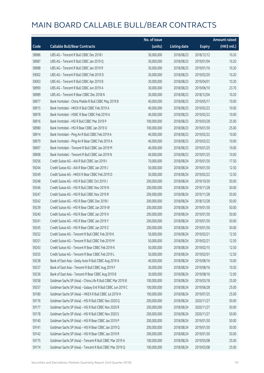|       |                                                             | No. of issue |                     |               | <b>Amount raised</b> |
|-------|-------------------------------------------------------------|--------------|---------------------|---------------|----------------------|
| Code  | <b>Callable Bull/Bear Contracts</b>                         | (units)      | <b>Listing date</b> | <b>Expiry</b> | (HK\$ mil.)          |
| 58986 | UBS AG - Tencent R Bull CBBC Dec 2018 I                     | 30,000,000   | 2018/08/23          | 2018/12/12    | 10.20                |
| 58987 | UBS AG - Tencent R Bull CBBC Jan 2019 Q                     | 30,000,000   | 2018/08/23          | 2019/01/04    | 10.20                |
| 58988 | UBS AG - Tencent R Bull CBBC Jan 2019 R                     | 30,000,000   | 2018/08/23          | 2019/01/16    | 10.20                |
| 59002 | UBS AG - Tencent R Bull CBBC Feb 2019 D                     | 30,000,000   | 2018/08/23          | 2019/02/20    | 10.20                |
| 59003 | UBS AG - Tencent R Bull CBBC Apr 2019 B                     | 30,000,000   | 2018/08/23          | 2019/04/01    | 10.20                |
| 58990 | UBS AG - Tencent R Bull CBBC Jun 2019 A                     | 30,000,000   | 2018/08/23          | 2019/06/10    | 23.70                |
| 58989 | UBS AG - Tencent R Bear CBBC Dec 2018 N                     | 30,000,000   | 2018/08/23          | 2018/12/04    | 10.20                |
| 58977 | Bank Vontobel - China Mobile R Bull CBBC May 2019 B         | 40,000,000   | 2018/08/23          | 2019/05/17    | 10.00                |
| 58915 | Bank Vontobel - HKEX R Bull CBBC Feb 2019 A                 | 40,000,000   | 2018/08/23          | 2019/02/22    | 10.00                |
| 58978 | Bank Vontobel - HSBC R Bear CBBC Feb 2019 A                 | 40,000,000   | 2018/08/23          | 2019/02/22    | 10.00                |
| 58916 | Bank Vontobel - HSI R Bull CBBC Mar 2019 P                  | 100,000,000  | 2018/08/23          | 2019/03/28    | 25.00                |
| 58980 | Bank Vontobel - HSI R Bear CBBC Jan 2019 O                  | 100,000,000  | 2018/08/23          | 2019/01/30    | 25.00                |
| 58914 | Bank Vontobel - Ping An R Bull CBBC Feb 2019 A              | 40,000,000   | 2018/08/23          | 2019/02/22    | 10.00                |
| 58979 | Bank Vontobel - Ping An R Bear CBBC Feb 2019 A              | 40,000,000   | 2018/08/23          | 2019/02/22    | 10.00                |
| 58907 | Bank Vontobel - Tencent R Bull CBBC Jan 2019 M              | 40,000,000   | 2018/08/23          | 2019/01/25    | 10.00                |
| 58908 | Bank Vontobel - Tencent R Bull CBBC Jan 2019 N              | 40,000,000   | 2018/08/23          | 2019/01/25    | 10.00                |
| 59256 | Credit Suisse AG - AIA R Bull CBBC Jan 2019 I               | 70,000,000   | 2018/08/24          | 2019/01/30    | 17.50                |
| 59244 | Credit Suisse AG - AIA R Bear CBBC Jan 2019 J               | 50,000,000   | 2018/08/24          | 2019/01/30    | 12.50                |
| 59249 | Credit Suisse AG - HKEX R Bear CBBC Feb 2019 D              | 50,000,000   | 2018/08/24          | 2019/02/22    | 12.50                |
| 59248 | Credit Suisse AG - HSI R Bull CBBC Oct 2019 J               | 200,000,000  | 2018/08/24          | 2019/10/30    | 50.00                |
| 59246 | Credit Suisse AG - HSI R Bull CBBC Nov 2019 N               | 200,000,000  | 2018/08/24          | 2019/11/28    | 50.00                |
| 59247 | Credit Suisse AG - HSI R Bull CBBC Nov 2019 R               | 200,000,000  | 2018/08/24          | 2019/11/28    | 50.00                |
| 59242 | Credit Suisse AG - HSI R Bear CBBC Dec 2018 I               | 200,000,000  | 2018/08/24          | 2018/12/28    | 50.00                |
| 59239 | Credit Suisse AG - HSI R Bear CBBC Jan 2019 W               | 200,000,000  | 2018/08/24          | 2019/01/30    | 50.00                |
| 59240 | Credit Suisse AG - HSI R Bear CBBC Jan 2019 X               | 200,000,000  | 2018/08/24          | 2019/01/30    | 50.00                |
| 59241 | Credit Suisse AG - HSI R Bear CBBC Jan 2019 Y               | 200,000,000  | 2018/08/24          | 2019/01/30    | 50.00                |
| 59245 | Credit Suisse AG - HSI R Bear CBBC Jan 2019 Z               | 200,000,000  | 2018/08/24          | 2019/01/30    | 50.00                |
| 59252 | Credit Suisse AG - Tencent R Bull CBBC Feb 2019 K           | 50,000,000   | 2018/08/24          | 2019/02/21    | 12.50                |
| 59251 | Credit Suisse AG - Tencent R Bull CBBC Feb 2019 M           | 50,000,000   | 2018/08/24          | 2019/02/21    | 12.50                |
| 59243 | Credit Suisse AG - Tencent R Bear CBBC Feb 2019 K           | 50,000,000   | 2018/08/24          | 2019/02/15    | 12.50                |
| 59255 | Credit Suisse AG - Tencent R Bear CBBC Feb 2019 L           | 50,000,000   | 2018/08/24          | 2019/02/01    | 12.50                |
| 59238 | Bank of East Asia - Geely Auto R Bull CBBC Aug 2019 A       | 40,000,000   | 2018/08/24          | 2019/08/16    | 10.00                |
| 59237 | Bank of East Asia - Tencent R Bull CBBC Aug 2019 F          | 30,000,000   | 2018/08/24          | 2019/08/16    | 10.50                |
| 59236 | Bank of East Asia - Tencent R Bear CBBC Aug 2019 B          | 30,000,000   | 2018/08/24          | 2019/08/16    | 12.00                |
| 59258 | Goldman Sachs SP (Asia) - China Life R Bull CBBC Mar 2019 B | 100,000,000  | 2018/08/24          | 2019/03/18    | 25.00                |
| 59257 | Goldman Sachs SP (Asia) - Galaxy Ent R Bull CBBC Jun 2019 C | 100,000,000  | 2018/08/24          | 2019/06/28    | 25.00                |
| 59180 | Goldman Sachs SP (Asia) - HKEX R Bull CBBC Jul 2019 H       | 100,000,000  | 2018/08/24          | 2019/07/25    | 25.00                |
| 59176 | Goldman Sachs SP (Asia) - HSI R Bull CBBC Nov 2020 Q        | 200,000,000  | 2018/08/24          | 2020/11/27    | 50.00                |
| 59177 | Goldman Sachs SP (Asia) - HSI R Bull CBBC Nov 2020 R        | 200,000,000  | 2018/08/24          | 2020/11/27    | 50.00                |
| 59178 | Goldman Sachs SP (Asia) - HSI R Bull CBBC Nov 2020 S        | 200,000,000  | 2018/08/24          | 2020/11/27    | 50.00                |
| 59140 | Goldman Sachs SP (Asia) - HSI R Bear CBBC Jan 2019 P        | 200,000,000  | 2018/08/24          | 2019/01/30    | 50.00                |
| 59141 | Goldman Sachs SP (Asia) - HSI R Bear CBBC Jan 2019 Q        | 200,000,000  | 2018/08/24          | 2019/01/30    | 50.00                |
| 59142 | Goldman Sachs SP (Asia) - HSI R Bear CBBC Jan 2019 R        | 200,000,000  | 2018/08/24          | 2019/01/30    | 50.00                |
| 59175 | Goldman Sachs SP (Asia) - Tencent R Bull CBBC Mar 2019 A    | 100,000,000  | 2018/08/24          | 2019/03/08    | 25.00                |
| 59174 | Goldman Sachs SP (Asia) - Tencent R Bull CBBC Mar 2019 Q    | 100,000,000  | 2018/08/24          | 2019/03/08    | 25.00                |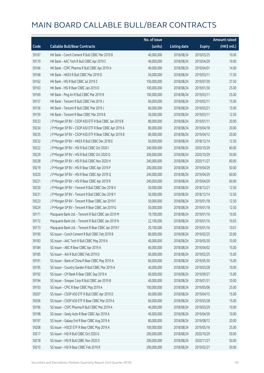|       |                                                        | No. of issue |                     |               | <b>Amount raised</b> |
|-------|--------------------------------------------------------|--------------|---------------------|---------------|----------------------|
| Code  | <b>Callable Bull/Bear Contracts</b>                    | (units)      | <b>Listing date</b> | <b>Expiry</b> | (HK\$ mil.)          |
| 59167 | HK Bank - Conch Cement R Bull CBBC Mar 2019 B          | 40,000,000   | 2018/08/24          | 2019/03/25    | 10.00                |
| 59170 | HK Bank - AAC Tech R Bull CBBC Apr 2019 C              | 40,000,000   | 2018/08/24          | 2019/04/29    | 10.00                |
| 59166 | HK Bank - CSPC Pharma R Bull CBBC Apr 2019 A           | 40,000,000   | 2018/08/24          | 2019/04/01    | 14.00                |
| 59168 | HK Bank - HKEX R Bull CBBC Mar 2019 D                  | 50,000,000   | 2018/08/24          | 2019/03/11    | 17.50                |
| 59162 | HK Bank - HSI R Bull CBBC Jul 2019 Z                   | 150,000,000  | 2018/08/24          | 2019/07/30    | 37.50                |
| 59163 | HK Bank - HSI R Bear CBBC Jan 2019 D                   | 100,000,000  | 2018/08/24          | 2019/01/30    | 25.00                |
| 59169 | HK Bank - Ping An R Bull CBBC Mar 2019 B               | 100,000,000  | 2018/08/24          | 2019/03/11    | 25.00                |
| 59157 | HK Bank - Tencent R Bull CBBC Feb 2019 J               | 60,000,000   | 2018/08/24          | 2019/02/11    | 15.00                |
| 59156 | HK Bank - Tencent R Bull CBBC Mar 2019 J               | 60,000,000   | 2018/08/24          | 2019/03/21    | 15.00                |
| 59159 | HK Bank - Tencent R Bear CBBC Mar 2019 B               | 50,000,000   | 2018/08/24          | 2019/03/11    | 12.50                |
| 59233 | J P Morgan SP BV - CSOP A50 ETF R Bull CBBC Jan 2019 B | 80,000,000   | 2018/08/24          | 2019/01/11    | 20.00                |
| 59234 | J P Morgan SP BV - CSOP A50 ETF R Bear CBBC Apr 2019 A | 80,000,000   | 2018/08/24          | 2019/04/18    | 20.00                |
| 59235 | J P Morgan SP BV - CSOP A50 ETF R Bear CBBC Apr 2019 B | 80,000,000   | 2018/08/24          | 2019/04/12    | 20.00                |
| 59232 | J P Morgan SP BV - HKEX R Bull CBBC Dec 2018 E         | 50,000,000   | 2018/08/24          | 2018/12/14    | 12.50                |
| 59222 | J P Morgan SP BV - HSI R Bull CBBC Oct 2020 I          | 240,000,000  | 2018/08/24          | 2020/10/29    | 60.00                |
| 59229 | J P Morgan SP BV - HSI R Bull CBBC Oct 2020 Q          | 200,000,000  | 2018/08/24          | 2020/10/29    | 50.00                |
| 59228 | J P Morgan SP BV - HSI R Bull CBBC Nov 2020 H          | 240,000,000  | 2018/08/24          | 2020/11/27    | 60.00                |
| 59219 | J P Morgan SP BV - HSI R Bear CBBC Apr 2019 P          | 200,000,000  | 2018/08/24          | 2019/04/29    | 50.00                |
| 59220 | J P Morgan SP BV - HSI R Bear CBBC Apr 2019 Q          | 240,000,000  | 2018/08/24          | 2019/04/29    | 60.00                |
| 59221 | J P Morgan SP BV - HSI R Bear CBBC Apr 2019 R          | 240,000,000  | 2018/08/24          | 2019/04/29    | 60.00                |
| 59230 | J P Morgan SP BV - Tencent R Bull CBBC Dec 2018 X      | 50,000,000   | 2018/08/24          | 2018/12/21    | 12.50                |
| 59231 | J P Morgan SP BV - Tencent R Bull CBBC Dec 2018 Y      | 50,000,000   | 2018/08/24          | 2018/12/14    | 12.50                |
| 59223 | J P Morgan SP BV - Tencent R Bear CBBC Jan 2019 F      | 50,000,000   | 2018/08/24          | 2019/01/18    | 12.50                |
| 59224 | J P Morgan SP BV - Tencent R Bear CBBC Jan 2019 G      | 50,000,000   | 2018/08/24          | 2019/01/18    | 12.50                |
| 59171 | Macquarie Bank Ltd. - Tencent R Bull CBBC Jan 2019 M   | 19,700,000   | 2018/08/24          | 2019/01/16    | 10.05                |
| 59172 | Macquarie Bank Ltd. - Tencent R Bull CBBC Jan 2019 N   | 22,100,000   | 2018/08/24          | 2019/01/16    | 10.03                |
| 59173 | Macquarie Bank Ltd. - Tencent R Bear CBBC Jan 2019 F   | 20,100,000   | 2018/08/24          | 2019/01/16    | 10.01                |
| 59190 | SG Issuer - Conch Cement R Bull CBBC Feb 2019 B        | 80,000,000   | 2018/08/24          | 2019/02/25    | 20.00                |
| 59183 | SG Issuer - AAC Tech R Bull CBBC May 2019 A            | 40,000,000   | 2018/08/24          | 2019/05/30    | 10.00                |
| 59184 | SG Issuer - ABC R Bear CBBC Apr 2019 A                 | 60,000,000   | 2018/08/24          | 2019/04/02    | 15.00                |
| 59185 | SG Issuer - AIA R Bull CBBC Feb 2019 D                 | 60,000,000   | 2018/08/24          | 2019/02/25    | 15.00                |
| 59191 | SG Issuer - Bank of China R Bear CBBC May 2019 A       | 60,000,000   | 2018/08/24          | 2019/05/30    | 15.00                |
| 59195 | SG Issuer - Country Garden R Bull CBBC Mar 2019 A      | 40,000,000   | 2018/08/24          | 2019/03/28    | 10.00                |
| 59192 | SG Issuer - CM Bank R Bear CBBC Sep 2019 A             | 60,000,000   | 2018/08/24          | 2019/09/27    | 15.00                |
| 59194 | SG Issuer - Sinopec Corp R Bull CBBC Jan 2019 B        | 40,000,000   | 2018/08/24          | 2019/01/31    | 10.00                |
| 59193 | SG Issuer - CPIC R Bear CBBC May 2019 A                | 100,000,000  | 2018/08/24          | 2019/05/06    | 25.00                |
| 59207 | SG Issuer - CSOP A50 ETF R Bull CBBC Apr 2019 D        | 60,000,000   | 2018/08/24          | 2019/04/15    | 15.00                |
| 59206 | SG Issuer - CSOP A50 ETF R Bear CBBC Mar 2019 A        | 60,000,000   | 2018/08/24          | 2019/03/28    | 15.00                |
| 59196 | SG Issuer - CSPC Pharma R Bull CBBC Mar 2019 A         | 40,000,000   | 2018/08/24          | 2019/03/29    | 10.00                |
| 59198 | SG Issuer - Geely Auto R Bear CBBC Apr 2019 A          | 40,000,000   | 2018/08/24          | 2019/04/30    | 10.00                |
| 59197 | SG Issuer - Galaxy Ent R Bear CBBC Aug 2019 A          | 80,000,000   | 2018/08/24          | 2019/08/12    | 20.00                |
| 59208 | SG Issuer - HSCEI ETF R Bear CBBC May 2019 A           | 100,000,000  | 2018/08/24          | 2019/05/16    | 25.00                |
| 59217 | SG Issuer - HSI R Bull CBBC Oct 2020 G                 | 200,000,000  | 2018/08/24          | 2020/10/29    | 50.00                |
| 59218 | SG Issuer - HSI R Bull CBBC Nov 2020 S                 | 200,000,000  | 2018/08/24          | 2020/11/27    | 50.00                |
| 59210 | SG Issuer - HSI R Bear CBBC Feb 2019 R                 | 200,000,000  | 2018/08/24          | 2019/02/27    | 50.00                |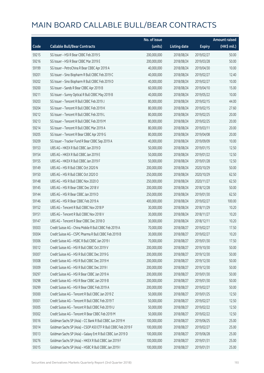|       |                                                               | No. of issue |                     |               | <b>Amount raised</b> |
|-------|---------------------------------------------------------------|--------------|---------------------|---------------|----------------------|
| Code  | <b>Callable Bull/Bear Contracts</b>                           | (units)      | <b>Listing date</b> | <b>Expiry</b> | (HK\$ mil.)          |
| 59215 | SG Issuer - HSI R Bear CBBC Feb 2019 S                        | 200,000,000  | 2018/08/24          | 2019/02/27    | 50.00                |
| 59216 | SG Issuer - HSI R Bear CBBC Mar 2019 E                        | 200,000,000  | 2018/08/24          | 2019/03/28    | 50.00                |
| 59199 | SG Issuer - PetroChina R Bear CBBC Apr 2019 A                 | 40,000,000   | 2018/08/24          | 2019/04/30    | 10.00                |
| 59201 | SG Issuer - Sino Biopharm R Bull CBBC Feb 2019 C              | 40,000,000   | 2018/08/24          | 2019/02/27    | 12.40                |
| 59202 | SG Issuer - Sino Biopharm R Bull CBBC Feb 2019 D              | 40,000,000   | 2018/08/24          | 2019/02/27    | 10.00                |
| 59200 | SG Issuer - Sands R Bear CBBC Apr 2019 B                      | 60,000,000   | 2018/08/24          | 2019/04/10    | 15.00                |
| 59211 | SG Issuer - Sunny Optical R Bull CBBC May 2019 B              | 40,000,000   | 2018/08/24          | 2019/05/22    | 10.00                |
| 59203 | SG Issuer - Tencent R Bull CBBC Feb 2019 J                    | 80,000,000   | 2018/08/24          | 2019/02/15    | 44.00                |
| 59204 | SG Issuer - Tencent R Bull CBBC Feb 2019 K                    | 80,000,000   | 2018/08/24          | 2019/02/15    | 27.60                |
| 59212 | SG Issuer - Tencent R Bull CBBC Feb 2019 L                    | 80,000,000   | 2018/08/24          | 2019/02/25    | 20.00                |
| 59213 | SG Issuer - Tencent R Bull CBBC Feb 2019 M                    | 80,000,000   | 2018/08/24          | 2019/02/25    | 20.00                |
| 59214 | SG Issuer - Tencent R Bull CBBC Mar 2019 A                    | 80,000,000   | 2018/08/24          | 2019/03/11    | 20.00                |
| 59205 | SG Issuer - Tencent R Bear CBBC Apr 2019 G                    | 80,000,000   | 2018/08/24          | 2019/04/08    | 20.00                |
| 59209 | SG Issuer - Tracker Fund R Bear CBBC Sep 2019 A               | 40,000,000   | 2018/08/24          | 2019/09/09    | 10.00                |
| 59153 | UBS AG - HKEX R Bull CBBC Jan 2019 D                          | 50,000,000   | 2018/08/24          | 2019/01/15    | 12.50                |
| 59154 | UBS AG - HKEX R Bull CBBC Jan 2019 E                          | 50,000,000   | 2018/08/24          | 2019/01/22    | 12.50                |
| 59155 | UBS AG - HKEX R Bull CBBC Jan 2019 F                          | 50,000,000   | 2018/08/24          | 2019/01/28    | 12.50                |
| 59149 | UBS AG - HSI R Bull CBBC Oct 2020 N                           | 200,000,000  | 2018/08/24          | 2020/10/29    | 50.00                |
| 59150 | UBS AG - HSI R Bull CBBC Oct 2020 O                           | 250,000,000  | 2018/08/24          | 2020/10/29    | 62.50                |
| 59148 | UBS AG - HSI R Bull CBBC Nov 2020 O                           | 250,000,000  | 2018/08/24          | 2020/11/27    | 62.50                |
| 59145 | UBS AG - HSI R Bear CBBC Dec 2018 V                           | 200,000,000  | 2018/08/24          | 2018/12/28    | 50.00                |
| 59144 | UBS AG - HSI R Bear CBBC Jan 2019 D                           | 250,000,000  | 2018/08/24          | 2019/01/30    | 62.50                |
| 59146 | UBS AG - HSI R Bear CBBC Feb 2019 A                           | 400,000,000  | 2018/08/24          | 2019/02/27    | 100.00               |
| 59152 | UBS AG - Tencent R Bull CBBC Nov 2018 P                       | 30,000,000   | 2018/08/24          | 2018/11/29    | 10.20                |
| 59151 | UBS AG - Tencent R Bull CBBC Nov 2018 V                       | 30,000,000   | 2018/08/24          | 2018/11/27    | 10.20                |
| 59147 | UBS AG - Tencent R Bear CBBC Dec 2018 O                       | 30,000,000   | 2018/08/24          | 2018/12/11    | 10.20                |
| 59303 | Credit Suisse AG - China Mobile R Bull CBBC Feb 2019 A        | 70,000,000   | 2018/08/27          | 2019/02/27    | 17.50                |
| 59304 | Credit Suisse AG - CSPC Pharma R Bull CBBC Feb 2019 B         | 30,000,000   | 2018/08/27          | 2019/02/27    | 10.20                |
| 59306 | Credit Suisse AG - HSBC R Bull CBBC Jan 2019 I                | 70,000,000   | 2018/08/27          | 2019/01/30    | 17.50                |
| 59312 | Credit Suisse AG - HSI R Bull CBBC Oct 2019 V                 | 200,000,000  | 2018/08/27          | 2019/10/30    | 50.00                |
| 59307 | Credit Suisse AG - HSI R Bull CBBC Dec 2019 G                 | 200,000,000  | 2018/08/27          | 2019/12/30    | 50.00                |
| 59308 | Credit Suisse AG - HSI R Bull CBBC Dec 2019 H                 | 200,000,000  | 2018/08/27          | 2019/12/30    | 50.00                |
| 59309 | Credit Suisse AG - HSI R Bull CBBC Dec 2019 I                 | 200,000,000  | 2018/08/27          | 2019/12/30    | 50.00                |
| 59297 | Credit Suisse AG - HSI R Bear CBBC Jan 2019 A                 | 200,000,000  | 2018/08/27          | 2019/01/30    | 50.00                |
| 59298 | Credit Suisse AG - HSI R Bear CBBC Jan 2019 B                 | 200,000,000  | 2018/08/27          | 2019/01/30    | 50.00                |
| 59299 | Credit Suisse AG - HSI R Bear CBBC Feb 2019 A                 | 200,000,000  | 2018/08/27          | 2019/02/27    | 50.00                |
| 59300 | Credit Suisse AG - Tencent R Bull CBBC Jan 2019 Z             | 50,000,000   | 2018/08/27          | 2019/01/25    | 12.50                |
| 59301 | Credit Suisse AG - Tencent R Bull CBBC Feb 2019 T             | 50,000,000   | 2018/08/27          | 2019/02/27    | 12.50                |
| 59305 | Credit Suisse AG - Tencent R Bull CBBC Feb 2019 U             | 50,000,000   | 2018/08/27          | 2019/02/22    | 12.50                |
| 59302 | Credit Suisse AG - Tencent R Bear CBBC Feb 2019 M             | 50,000,000   | 2018/08/27          | 2019/02/22    | 12.50                |
| 59316 | Goldman Sachs SP (Asia) - CC Bank R Bull CBBC Jun 2019 H      | 100,000,000  | 2018/08/27          | 2019/06/25    | 25.00                |
| 59314 | Goldman Sachs SP (Asia) - CSOP A50 ETF R Bull CBBC Feb 2019 F | 100,000,000  | 2018/08/27          | 2019/02/27    | 25.00                |
| 59313 | Goldman Sachs SP (Asia) - Galaxy Ent R Bull CBBC Jun 2019 D   | 100,000,000  | 2018/08/27          | 2019/06/28    | 25.00                |
| 59276 | Goldman Sachs SP (Asia) - HKEX R Bull CBBC Jan 2019 F         | 100,000,000  | 2018/08/27          | 2019/01/31    | 25.00                |
| 59315 | Goldman Sachs SP (Asia) - HSBC R Bull CBBC Jan 2019 I         | 100,000,000  | 2018/08/27          | 2019/01/31    | 25.00                |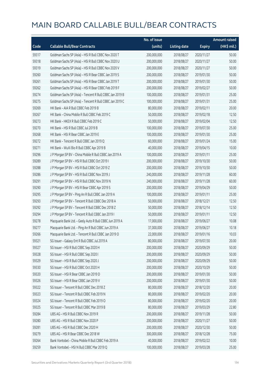|       |                                                          | No. of issue |                     |               | <b>Amount raised</b> |
|-------|----------------------------------------------------------|--------------|---------------------|---------------|----------------------|
| Code  | <b>Callable Bull/Bear Contracts</b>                      | (units)      | <b>Listing date</b> | <b>Expiry</b> | (HK\$ mil.)          |
| 59317 | Goldman Sachs SP (Asia) - HSI R Bull CBBC Nov 2020 T     | 200,000,000  | 2018/08/27          | 2020/11/27    | 50.00                |
| 59318 | Goldman Sachs SP (Asia) - HSI R Bull CBBC Nov 2020 U     | 200,000,000  | 2018/08/27          | 2020/11/27    | 50.00                |
| 59319 | Goldman Sachs SP (Asia) - HSI R Bull CBBC Nov 2020 V     | 200,000,000  | 2018/08/27          | 2020/11/27    | 50.00                |
| 59260 | Goldman Sachs SP (Asia) - HSI R Bear CBBC Jan 2019 S     | 200,000,000  | 2018/08/27          | 2019/01/30    | 50.00                |
| 59261 | Goldman Sachs SP (Asia) - HSI R Bear CBBC Jan 2019 T     | 200,000,000  | 2018/08/27          | 2019/01/30    | 50.00                |
| 59262 | Goldman Sachs SP (Asia) - HSI R Bear CBBC Feb 2019 F     | 200,000,000  | 2018/08/27          | 2019/02/27    | 50.00                |
| 59274 | Goldman Sachs SP (Asia) - Tencent R Bull CBBC Jan 2019 B | 100,000,000  | 2018/08/27          | 2019/01/31    | 25.00                |
| 59275 | Goldman Sachs SP (Asia) - Tencent R Bull CBBC Jan 2019 C | 100,000,000  | 2018/08/27          | 2019/01/31    | 25.00                |
| 59269 | HK Bank - AIA R Bull CBBC Feb 2019 B                     | 80,000,000   | 2018/08/27          | 2019/02/11    | 20.00                |
| 59267 | HK Bank - China Mobile R Bull CBBC Feb 2019 C            | 50,000,000   | 2018/08/27          | 2019/02/18    | 12.50                |
| 59273 | HK Bank - HKEX R Bull CBBC Feb 2019 C                    | 50,000,000   | 2018/08/27          | 2019/02/04    | 12.50                |
| 59270 | HK Bank - HSI R Bull CBBC Jul 2019 B                     | 100,000,000  | 2018/08/27          | 2019/07/30    | 25.00                |
| 59268 | HK Bank - HSI R Bear CBBC Jan 2019 E                     | 100,000,000  | 2018/08/27          | 2019/01/30    | 25.00                |
| 59272 | HK Bank - Tencent R Bull CBBC Jan 2019 Q                 | 60,000,000   | 2018/08/27          | 2019/01/24    | 15.00                |
| 59271 | HK Bank - WuXi Bio R Bull CBBC Apr 2019 B                | 40,000,000   | 2018/08/27          | 2019/04/15    | 10.00                |
| 59296 | J P Morgan SP BV - China Mobile R Bull CBBC Jan 2019 A   | 100,000,000  | 2018/08/27          | 2019/01/11    | 25.00                |
| 59289 | J P Morgan SP BV - HSI R Bull CBBC Oct 2019 I            | 200,000,000  | 2018/08/27          | 2019/10/30    | 50.00                |
| 59288 | JP Morgan SP BV - HSIR Bull CBBC Oct 2019 Z              | 200,000,000  | 2018/08/27          | 2019/10/30    | 50.00                |
| 59286 | J P Morgan SP BV - HSI R Bull CBBC Nov 2019 J            | 240,000,000  | 2018/08/27          | 2019/11/28    | 60.00                |
| 59291 | J P Morgan SP BV - HSI R Bull CBBC Nov 2019 N            | 240,000,000  | 2018/08/27          | 2019/11/28    | 60.00                |
| 59290 | J P Morgan SP BV - HSI R Bear CBBC Apr 2019 S            | 200,000,000  | 2018/08/27          | 2019/04/29    | 50.00                |
| 59295 | J P Morgan SP BV - Ping An R Bull CBBC Jan 2019 A        | 100,000,000  | 2018/08/27          | 2019/01/11    | 25.00                |
| 59293 | J P Morgan SP BV - Tencent R Bull CBBC Dec 2018 A        | 50,000,000   | 2018/08/27          | 2018/12/21    | 12.50                |
| 59292 | J P Morgan SP BV - Tencent R Bull CBBC Dec 2018 Z        | 50,000,000   | 2018/08/27          | 2018/12/14    | 12.50                |
| 59294 | J P Morgan SP BV - Tencent R Bull CBBC Jan 2019 I        | 50,000,000   | 2018/08/27          | 2019/01/11    | 12.50                |
| 59278 | Macquarie Bank Ltd. - Geely Auto R Bull CBBC Jun 2019 A  | 17,000,000   | 2018/08/27          | 2019/06/27    | 10.08                |
| 59277 | Macquarie Bank Ltd. - Ping An R Bull CBBC Jun 2019 A     | 37,000,000   | 2018/08/27          | 2019/06/27    | 10.18                |
| 59266 | Macquarie Bank Ltd. - Tencent R Bull CBBC Jan 2019 O     | 22,000,000   | 2018/08/27          | 2019/01/16    | 10.03                |
| 59321 | SG Issuer - Galaxy Ent R Bull CBBC Jul 2019 A            | 80,000,000   | 2018/08/27          | 2019/07/30    | 20.00                |
| 59327 | SG Issuer - HSI R Bull CBBC Sep 2020 H                   | 200,000,000  | 2018/08/27          | 2020/09/29    | 50.00                |
| 59328 | SG Issuer - HSI R Bull CBBC Sep 2020 I                   | 200,000,000  | 2018/08/27          | 2020/09/29    | 50.00                |
| 59329 | SG Issuer - HSI R Bull CBBC Sep 2020 J                   | 200,000,000  | 2018/08/27          | 2020/09/29    | 50.00                |
| 59330 | SG Issuer - HSI R Bull CBBC Oct 2020 H                   | 200,000,000  | 2018/08/27          | 2020/10/29    | 50.00                |
| 59320 | SG Issuer - HSI R Bear CBBC Jan 2019 D                   | 200,000,000  | 2018/08/27          | 2019/01/30    | 50.00                |
| 59326 | SG Issuer - HSI R Bear CBBC Jan 2019 V                   | 200,000,000  | 2018/08/27          | 2019/01/30    | 50.00                |
| 59322 | SG Issuer - Tencent R Bull CBBC Dec 2018 Z               | 80,000,000   | 2018/08/27          | 2018/12/20    | 20.00                |
| 59323 | SG Issuer - Tencent R Bull CBBC Feb 2019 N               | 80,000,000   | 2018/08/27          | 2019/02/20    | 20.00                |
| 59324 | SG Issuer - Tencent R Bull CBBC Feb 2019 O               | 80,000,000   | 2018/08/27          | 2019/02/20    | 20.00                |
| 59325 | SG Issuer - Tencent R Bull CBBC Mar 2019 B               | 80,000,000   | 2018/08/27          | 2019/03/29    | 22.80                |
| 59284 | UBS AG - HSI R Bull CBBC Nov 2019 R                      | 200,000,000  | 2018/08/27          | 2019/11/28    | 50.00                |
| 59280 | UBS AG - HSI R Bull CBBC Nov 2020 P                      | 200,000,000  | 2018/08/27          | 2020/11/27    | 50.00                |
| 59281 | UBS AG - HSI R Bull CBBC Dec 2020 H                      | 200,000,000  | 2018/08/27          | 2020/12/30    | 50.00                |
| 59279 | UBS AG - HSI R Bear CBBC Dec 2018 W                      | 300,000,000  | 2018/08/27          | 2018/12/28    | 75.00                |
| 59264 | Bank Vontobel - China Mobile R Bull CBBC Feb 2019 A      | 40,000,000   | 2018/08/27          | 2019/02/22    | 10.00                |
| 59259 | Bank Vontobel - HSI N Bull CBBC Mar 2019 Q               | 100,000,000  | 2018/08/27          | 2019/03/28    | 25.00                |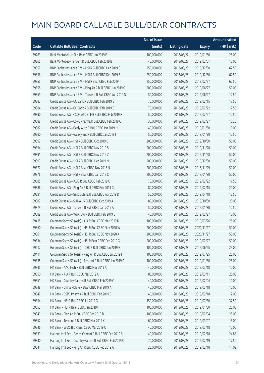|       |                                                            | No. of issue |                     |               | Amount raised |
|-------|------------------------------------------------------------|--------------|---------------------|---------------|---------------|
| Code  | <b>Callable Bull/Bear Contracts</b>                        | (units)      | <b>Listing date</b> | <b>Expiry</b> | (HK\$ mil.)   |
| 59263 | Bank Vontobel - HSI N Bear CBBC Jan 2019 P                 | 100,000,000  | 2018/08/27          | 2019/01/30    | 25.00         |
| 59265 | Bank Vontobel - Tencent R Bull CBBC Feb 2019 B             | 40,000,000   | 2018/08/27          | 2019/02/01    | 10.00         |
| 59357 | BNP Paribas Issuance B.V. - HSI R Bull CBBC Dec 2019 S     | 250,000,000  | 2018/08/28          | 2019/12/30    | 62.50         |
| 59356 | BNP Paribas Issuance B.V. - HSI R Bull CBBC Dec 2019 Z     | 250,000,000  | 2018/08/28          | 2019/12/30    | 62.50         |
| 59355 | BNP Paribas Issuance B.V. - HSI R Bear CBBC Feb 2019 T     | 250,000,000  | 2018/08/28          | 2019/02/27    | 62.50         |
| 59358 | BNP Paribas Issuance B.V. - Ping An R Bull CBBC Jun 2019 G | 200,000,000  | 2018/08/28          | 2019/06/27    | 50.00         |
| 59359 | BNP Paribas Issuance B.V. - Tencent R Bull CBBC Jun 2019 N | 50,000,000   | 2018/08/28          | 2019/06/27    | 12.50         |
| 59383 | Credit Suisse AG - CC Bank R Bull CBBC Feb 2019 B          | 70,000,000   | 2018/08/28          | 2019/02/15    | 17.50         |
| 59384 | Credit Suisse AG - CC Bank R Bull CBBC Feb 2019 C          | 70,000,000   | 2018/08/28          | 2019/02/22    | 17.50         |
| 59390 | Credit Suisse AG - CSOP A50 ETF R Bull CBBC Feb 2019 F     | 50,000,000   | 2018/08/28          | 2019/02/27    | 12.50         |
| 59388 | Credit Suisse AG - CSPC Pharma R Bull CBBC Feb 2019 C      | 30,000,000   | 2018/08/28          | 2019/02/27    | 10.20         |
| 59382 | Credit Suisse AG - Geely Auto R Bull CBBC Jan 2019 H       | 40,000,000   | 2018/08/28          | 2019/01/30    | 10.00         |
| 59380 | Credit Suisse AG - Galaxy Ent R Bull CBBC Jan 2019 I       | 50,000,000   | 2018/08/28          | 2019/01/30    | 12.50         |
| 59392 | Credit Suisse AG - HSI R Bull CBBC Oct 2019 E              | 200,000,000  | 2018/08/28          | 2019/10/30    | 50.00         |
| 59394 | Credit Suisse AG - HSI R Bull CBBC Nov 2019 S              | 200,000,000  | 2018/08/28          | 2019/11/28    | 50.00         |
| 59391 | Credit Suisse AG - HSI R Bull CBBC Nov 2019 Z              | 200,000,000  | 2018/08/28          | 2019/11/28    | 50.00         |
| 59393 | Credit Suisse AG - HSI R Bull CBBC Dec 2019 N              | 200,000,000  | 2018/08/28          | 2019/12/30    | 50.00         |
| 59377 | Credit Suisse AG - HSI R Bear CBBC Nov 2018 N              | 200,000,000  | 2018/08/28          | 2018/11/29    | 50.00         |
| 59376 | Credit Suisse AG - HSI R Bear CBBC Jan 2019 C              | 200,000,000  | 2018/08/28          | 2019/01/30    | 50.00         |
| 59385 | Credit Suisse AG - ICBC R Bull CBBC Feb 2019 C             | 70,000,000   | 2018/08/28          | 2019/02/22    | 17.50         |
| 59386 | Credit Suisse AG - Ping An R Bull CBBC Feb 2019 G          | 80,000,000   | 2018/08/28          | 2019/02/15    | 20.00         |
| 59381 | Credit Suisse AG - Sands China R Bull CBBC Apr 2019 D      | 50,000,000   | 2018/08/28          | 2019/04/18    | 12.50         |
| 59387 | Credit Suisse AG - SUNAC R Bull CBBC Oct 2019 A            | 80,000,000   | 2018/08/28          | 2019/10/30    | 20.00         |
| 59379 | Credit Suisse AG - Tencent R Bull CBBC Jan 2019 A          | 50,000,000   | 2018/08/28          | 2019/01/30    | 12.50         |
| 59389 | Credit Suisse AG - WuXi Bio R Bull CBBC Feb 2019 C         | 40,000,000   | 2018/08/28          | 2019/02/27    | 10.00         |
| 59415 | Goldman Sachs SP (Asia) - AIA R Bull CBBC Mar 2019 K       | 100,000,000  | 2018/08/28          | 2019/03/26    | 25.00         |
| 59360 | Goldman Sachs SP (Asia) - HSI R Bull CBBC Nov 2020 W       | 200,000,000  | 2018/08/28          | 2020/11/27    | 50.00         |
| 59361 | Goldman Sachs SP (Asia) - HSI R Bull CBBC Nov 2020 X       | 200,000,000  | 2018/08/28          | 2020/11/27    | 50.00         |
| 59334 | Goldman Sachs SP (Asia) - HSI R Bear CBBC Feb 2019 G       | 200,000,000  | 2018/08/28          | 2019/02/27    | 50.00         |
| 59412 | Goldman Sachs SP (Asia) - ICBC R Bull CBBC Jun 2019 E      | 100,000,000  | 2018/08/28          | 2019/06/25    | 25.00         |
| 59411 | Goldman Sachs SP (Asia) - Ping An R Bull CBBC Jul 2019 I   | 100,000,000  | 2018/08/28          | 2019/07/25    | 25.00         |
| 59335 | Goldman Sachs SP (Asia) - Tencent R Bull CBBC Jan 2019 D   | 100,000,000  | 2018/08/28          | 2019/01/30    | 25.00         |
| 59345 | HK Bank - AAC Tech R Bull CBBC Mar 2019 A                  | 40,000,000   | 2018/08/28          | 2019/03/18    | 10.00         |
| 59350 | HK Bank - AIA R Bull CBBC Mar 2019 C                       | 80,000,000   | 2018/08/28          | 2019/03/11    | 20.00         |
| 59351 | HK Bank - Country Garden R Bull CBBC Feb 2019 C            | 40,000,000   | 2018/08/28          | 2019/02/04    | 10.00         |
| 59348 | HK Bank - China Mobile R Bear CBBC Mar 2019 A              | 40,000,000   | 2018/08/28          | 2019/03/18    | 10.00         |
| 59347 | HK Bank - CSPC Pharma R Bull CBBC Feb 2019 B               | 40,000,000   | 2018/08/28          | 2019/02/18    | 12.00         |
| 59354 | HK Bank - HSI R Bull CBBC Jul 2019 G                       | 150,000,000  | 2018/08/28          | 2019/07/30    | 37.50         |
| 59353 | HK Bank - HSI R Bear CBBC Jan 2019 F                       | 100,000,000  | 2018/08/28          | 2019/01/30    | 25.00         |
| 59349 | HK Bank - Ping An R Bull CBBC Feb 2019 D                   | 100,000,000  | 2018/08/28          | 2019/02/04    | 25.00         |
| 59352 | HK Bank - Tencent R Bull CBBC Mar 2019 K                   | 60,000,000   | 2018/08/28          | 2019/03/07    | 15.00         |
| 59346 | HK Bank - WuXi Bio R Bull CBBC Mar 2019 C                  | 40,000,000   | 2018/08/28          | 2019/03/18    | 10.00         |
| 59339 | Haitong Int'l Sec - Conch Cement R Bull CBBC Feb 2019 B    | 40,000,000   | 2018/08/28          | 2019/02/18    | 24.88         |
| 59340 | Haitong Int'l Sec - Country Garden R Bull CBBC Feb 2019 C  | 70,000,000   | 2018/08/28          | 2019/02/19    | 17.50         |
| 59341 | Haitong Int'l Sec - Ping An R Bull CBBC Feb 2019 A         | 28,000,000   | 2018/08/28          | 2019/02/18    | 11.09         |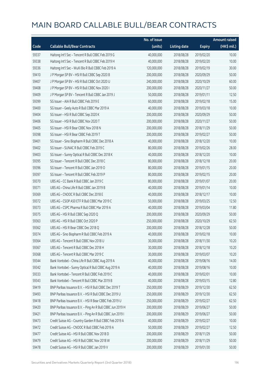|       |                                                            | No. of issue |                     |               | <b>Amount raised</b> |
|-------|------------------------------------------------------------|--------------|---------------------|---------------|----------------------|
| Code  | <b>Callable Bull/Bear Contracts</b>                        | (units)      | <b>Listing date</b> | <b>Expiry</b> | (HK\$ mil.)          |
| 59337 | Haitong Int'l Sec - Tencent R Bull CBBC Feb 2019 G         | 40,000,000   | 2018/08/28          | 2019/02/20    | 10.00                |
| 59338 | Haitong Int'l Sec - Tencent R Bull CBBC Feb 2019 H         | 40,000,000   | 2018/08/28          | 2019/02/20    | 10.00                |
| 59336 | Haitong Int'l Sec - WuXi Bio R Bull CBBC Feb 2019 A        | 120,000,000  | 2018/08/28          | 2019/02/19    | 30.00                |
| 59410 | J P Morgan SP BV - HSI R Bull CBBC Sep 2020 B              | 200,000,000  | 2018/08/28          | 2020/09/29    | 50.00                |
| 59407 | J P Morgan SP BV - HSI R Bull CBBC Oct 2020 U              | 240,000,000  | 2018/08/28          | 2020/10/29    | 60.00                |
| 59408 | J P Morgan SP BV - HSI R Bull CBBC Nov 2020 I              | 200,000,000  | 2018/08/28          | 2020/11/27    | 50.00                |
| 59409 | J P Morgan SP BV - Tencent R Bull CBBC Jan 2019 J          | 50,000,000   | 2018/08/28          | 2019/01/11    | 12.50                |
| 59399 | SG Issuer - AIA R Bull CBBC Feb 2019 E                     | 60,000,000   | 2018/08/28          | 2019/02/18    | 15.00                |
| 59400 | SG Issuer - Geely Auto R Bull CBBC Mar 2019 A              | 40,000,000   | 2018/08/28          | 2019/03/18    | 10.00                |
| 59404 | SG Issuer - HSI R Bull CBBC Sep 2020 K                     | 200,000,000  | 2018/08/28          | 2020/09/29    | 50.00                |
| 59406 | SG Issuer - HSI R Bull CBBC Nov 2020 T                     | 200,000,000  | 2018/08/28          | 2020/11/27    | 50.00                |
| 59405 | SG Issuer - HSI R Bear CBBC Nov 2018 N                     | 200,000,000  | 2018/08/28          | 2018/11/29    | 50.00                |
| 59398 | SG Issuer - HSI R Bear CBBC Feb 2019 T                     | 200,000,000  | 2018/08/28          | 2019/02/27    | 50.00                |
| 59401 | SG Issuer - Sino Biopharm R Bull CBBC Dec 2018 A           | 40,000,000   | 2018/08/28          | 2018/12/20    | 10.00                |
| 59402 | SG Issuer - SUNAC R Bull CBBC Feb 2019 C                   | 80,000,000   | 2018/08/28          | 2019/02/26    | 28.00                |
| 59403 | SG Issuer - Sunny Optical R Bull CBBC Dec 2018 K           | 40,000,000   | 2018/08/28          | 2018/12/20    | 10.00                |
| 59395 | SG Issuer - Tencent R Bull CBBC Dec 2018 C                 | 80,000,000   | 2018/08/28          | 2018/12/18    | 20.00                |
| 59396 | SG Issuer - Tencent R Bull CBBC Jan 2019 O                 | 80,000,000   | 2018/08/28          | 2019/01/15    | 20.00                |
| 59397 | SG Issuer - Tencent R Bull CBBC Feb 2019 P                 | 80,000,000   | 2018/08/28          | 2019/02/15    | 20.00                |
| 59370 | UBS AG - CC Bank R Bull CBBC Jan 2019 C                    | 80,000,000   | 2018/08/28          | 2019/01/07    | 20.00                |
| 59371 | UBS AG - China Life R Bull CBBC Jan 2019 B                 | 40,000,000   | 2018/08/28          | 2019/01/14    | 10.00                |
| 59369 | UBS AG - CNOOC R Bull CBBC Dec 2018 E                      | 40,000,000   | 2018/08/28          | 2018/12/17    | 10.00                |
| 59372 | UBS AG - CSOP A50 ETF R Bull CBBC Mar 2019 C               | 50,000,000   | 2018/08/28          | 2019/03/25    | 12.50                |
| 59373 | UBS AG - CSPC Pharma R Bull CBBC Mar 2019 A                | 40,000,000   | 2018/08/28          | 2019/03/04    | 11.80                |
| 59375 | UBS AG - HSI R Bull CBBC Sep 2020 Q                        | 200,000,000  | 2018/08/28          | 2020/09/29    | 50.00                |
| 59363 | UBS AG - HSI R Bull CBBC Oct 2020 P                        | 250,000,000  | 2018/08/28          | 2020/10/29    | 62.50                |
| 59362 | UBS AG - HSI R Bear CBBC Dec 2018 Q                        | 200,000,000  | 2018/08/28          | 2018/12/28    | 50.00                |
| 59374 | UBS AG - Sino Biopharm R Bull CBBC Feb 2019 A              | 40,000,000   | 2018/08/28          | 2019/02/18    | 10.00                |
| 59364 | UBS AG - Tencent R Bull CBBC Nov 2018 U                    | 30,000,000   | 2018/08/28          | 2018/11/30    | 10.20                |
| 59367 | UBS AG - Tencent R Bull CBBC Dec 2018 H                    | 30,000,000   | 2018/08/28          | 2018/12/18    | 10.20                |
| 59368 | UBS AG - Tencent R Bull CBBC Mar 2019 C                    | 30,000,000   | 2018/08/28          | 2019/03/07    | 10.20                |
| 59344 | Bank Vontobel - China Life R Bull CBBC Aug 2019 A          | 40,000,000   | 2018/08/28          | 2019/08/16    | 14.00                |
| 59342 | Bank Vontobel - Sunny Optical R Bull CBBC Aug 2019 A       | 40,000,000   | 2018/08/28          | 2019/08/16    | 10.00                |
| 59333 | Bank Vontobel - Tencent R Bull CBBC Feb 2019 C             | 40,000,000   | 2018/08/28          | 2019/02/01    | 10.00                |
| 59343 | Bank Vontobel - Tencent R Bull CBBC Mar 2019 B             | 40,000,000   | 2018/08/28          | 2019/03/15    | 12.80                |
| 59419 | BNP Paribas Issuance B.V. - HSI R Bull CBBC Dec 2019 T     | 250,000,000  | 2018/08/29          | 2019/12/30    | 62.50                |
| 59493 | BNP Paribas Issuance B.V. - HSI R Bull CBBC Dec 2019 U     | 250,000,000  | 2018/08/29          | 2019/12/30    | 62.50                |
| 59418 | BNP Paribas Issuance B.V. - HSI R Bear CBBC Feb 2019 U     | 250,000,000  | 2018/08/29          | 2019/02/27    | 62.50                |
| 59420 | BNP Paribas Issuance B.V. - Ping An R Bull CBBC Jun 2019 H | 200,000,000  | 2018/08/29          | 2019/06/27    | 50.00                |
| 59421 | BNP Paribas Issuance B.V. - Ping An R Bull CBBC Jun 2019 I | 200,000,000  | 2018/08/29          | 2019/06/27    | 50.00                |
| 59473 | Credit Suisse AG - Country Garden R Bull CBBC Feb 2019 A   | 40,000,000   | 2018/08/29          | 2019/02/27    | 10.00                |
| 59472 | Credit Suisse AG - CNOOC R Bull CBBC Feb 2019 A            | 50,000,000   | 2018/08/29          | 2019/02/27    | 12.50                |
| 59477 | Credit Suisse AG - HSI R Bull CBBC Nov 2018 D              | 200,000,000  | 2018/08/29          | 2018/11/29    | 50.00                |
| 59479 | Credit Suisse AG - HSI R Bull CBBC Nov 2018 W              | 200,000,000  | 2018/08/29          | 2018/11/29    | 50.00                |
| 59478 | Credit Suisse AG - HSI R Bull CBBC Jan 2019 V              | 200,000,000  | 2018/08/29          | 2019/01/30    | 50.00                |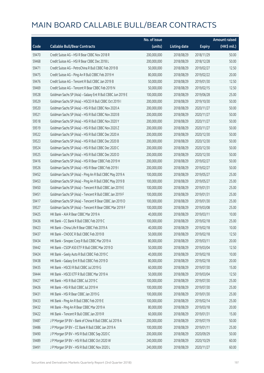|       |                                                             | No. of issue |                     |               | <b>Amount raised</b> |
|-------|-------------------------------------------------------------|--------------|---------------------|---------------|----------------------|
| Code  | <b>Callable Bull/Bear Contracts</b>                         | (units)      | <b>Listing date</b> | <b>Expiry</b> | (HK\$ mil.)          |
| 59470 | Credit Suisse AG - HSI R Bear CBBC Nov 2018 R               | 200,000,000  | 2018/08/29          | 2018/11/29    | 50.00                |
| 59468 | Credit Suisse AG - HSI R Bear CBBC Dec 2018 L               | 200,000,000  | 2018/08/29          | 2018/12/28    | 50.00                |
| 59471 | Credit Suisse AG - PetroChina R Bull CBBC Feb 2019 B        | 50,000,000   | 2018/08/29          | 2019/02/27    | 12.50                |
| 59475 | Credit Suisse AG - Ping An R Bull CBBC Feb 2019 H           | 80,000,000   | 2018/08/29          | 2019/02/22    | 20.00                |
| 59476 | Credit Suisse AG - Tencent R Bull CBBC Jan 2019 B           | 50,000,000   | 2018/08/29          | 2019/01/30    | 12.50                |
| 59469 | Credit Suisse AG - Tencent R Bear CBBC Feb 2019 N           | 50,000,000   | 2018/08/29          | 2019/02/15    | 12.50                |
| 59528 | Goldman Sachs SP (Asia) - Galaxy Ent R Bull CBBC Jun 2019 E | 100,000,000  | 2018/08/29          | 2019/06/28    | 25.00                |
| 59529 | Goldman Sachs SP (Asia) - HSCEI R Bull CBBC Oct 2019 I      | 200,000,000  | 2018/08/29          | 2019/10/30    | 50.00                |
| 59520 | Goldman Sachs SP (Asia) - HSI R Bull CBBC Nov 2020 A        | 200,000,000  | 2018/08/29          | 2020/11/27    | 50.00                |
| 59521 | Goldman Sachs SP (Asia) - HSI R Bull CBBC Nov 2020 B        | 200,000,000  | 2018/08/29          | 2020/11/27    | 50.00                |
| 59518 | Goldman Sachs SP (Asia) - HSI R Bull CBBC Nov 2020 Y        | 200,000,000  | 2018/08/29          | 2020/11/27    | 50.00                |
| 59519 | Goldman Sachs SP (Asia) - HSI R Bull CBBC Nov 2020 Z        | 200,000,000  | 2018/08/29          | 2020/11/27    | 50.00                |
| 59522 | Goldman Sachs SP (Asia) - HSI R Bull CBBC Dec 2020 A        | 200,000,000  | 2018/08/29          | 2020/12/30    | 50.00                |
| 59523 | Goldman Sachs SP (Asia) - HSI R Bull CBBC Dec 2020 B        | 200,000,000  | 2018/08/29          | 2020/12/30    | 50.00                |
| 59524 | Goldman Sachs SP (Asia) - HSI R Bull CBBC Dec 2020 C        | 200,000,000  | 2018/08/29          | 2020/12/30    | 50.00                |
| 59525 | Goldman Sachs SP (Asia) - HSI R Bull CBBC Dec 2020 D        | 200,000,000  | 2018/08/29          | 2020/12/30    | 50.00                |
| 59416 | Goldman Sachs SP (Asia) - HSI R Bear CBBC Feb 2019 H        | 200,000,000  | 2018/08/29          | 2019/02/27    | 50.00                |
| 59526 | Goldman Sachs SP (Asia) - HSI R Bear CBBC Feb 2019 I        | 200,000,000  | 2018/08/29          | 2019/02/27    | 50.00                |
| 59452 | Goldman Sachs SP (Asia) - Ping An R Bull CBBC May 2019 A    | 100,000,000  | 2018/08/29          | 2019/05/27    | 25.00                |
| 59453 | Goldman Sachs SP (Asia) - Ping An R Bull CBBC May 2019 B    | 100,000,000  | 2018/08/29          | 2019/05/27    | 25.00                |
| 59450 | Goldman Sachs SP (Asia) - Tencent R Bull CBBC Jan 2019 E    | 100,000,000  | 2018/08/29          | 2019/01/31    | 25.00                |
| 59451 | Goldman Sachs SP (Asia) - Tencent R Bull CBBC Jan 2019 F    | 100,000,000  | 2018/08/29          | 2019/01/31    | 25.00                |
| 59417 | Goldman Sachs SP (Asia) - Tencent R Bear CBBC Jan 2019 D    | 100,000,000  | 2018/08/29          | 2019/01/30    | 25.00                |
| 59527 | Goldman Sachs SP (Asia) - Tencent R Bear CBBC Mar 2019 F    | 100,000,000  | 2018/08/29          | 2019/03/08    | 25.00                |
| 59425 | HK Bank - AIA R Bear CBBC Mar 2019 A                        | 40,000,000   | 2018/08/29          | 2019/03/11    | 10.00                |
| 59436 | HK Bank - CC Bank R Bull CBBC Feb 2019 C                    | 100,000,000  | 2018/08/29          | 2019/02/18    | 25.00                |
| 59423 | HK Bank - China Life R Bear CBBC Feb 2019 A                 | 40,000,000   | 2018/08/29          | 2019/02/18    | 10.00                |
| 59437 | HK Bank - CNOOC R Bull CBBC Feb 2019 B                      | 50,000,000   | 2018/08/29          | 2019/02/18    | 12.50                |
| 59434 | HK Bank - Sinopec Corp R Bull CBBC Mar 2019 A               | 80,000,000   | 2018/08/29          | 2019/03/11    | 20.00                |
| 59442 | HK Bank - CSOP A50 ETF R Bull CBBC Mar 2019 D               | 50,000,000   | 2018/08/29          | 2019/03/04    | 12.50                |
| 59424 | HK Bank - Geely Auto R Bull CBBC Feb 2019 C                 | 40,000,000   | 2018/08/29          | 2019/02/18    | 10.00                |
| 59438 | HK Bank - Galaxy Ent R Bull CBBC Feb 2019 D                 | 80,000,000   | 2018/08/29          | 2019/02/18    | 20.00                |
| 59435 | HK Bank - HSCEI R Bull CBBC Jul 2019 G                      | 60,000,000   | 2018/08/29          | 2019/07/30    | 15.00                |
| 59444 | HK Bank - HSCEI ETF R Bull CBBC Mar 2019 A                  | 50,000,000   | 2018/08/29          | 2019/03/04    | 12.50                |
| 59427 | HK Bank - HSI R Bull CBBC Jul 2019 C                        | 100,000,000  | 2018/08/29          | 2019/07/30    | 25.00                |
| 59426 | HK Bank - HSI R Bull CBBC Jul 2019 H                        | 100,000,000  | 2018/08/29          | 2019/07/30    | 25.00                |
| 59431 | HK Bank - HSI R Bear CBBC Jan 2019 G                        | 100,000,000  | 2018/08/29          | 2019/01/30    | 25.00                |
| 59433 | HK Bank - Ping An R Bull CBBC Feb 2019 E                    | 100,000,000  | 2018/08/29          | 2019/02/14    | 25.00                |
| 59432 | HK Bank - Ping An R Bear CBBC Mar 2019 A                    | 80,000,000   | 2018/08/29          | 2019/03/18    | 20.00                |
| 59422 | HK Bank - Tencent R Bull CBBC Jan 2019 R                    | 60,000,000   | 2018/08/29          | 2019/01/31    | 15.00                |
| 59487 | J P Morgan SP BV - Bank of China R Bull CBBC Jul 2019 A     | 200,000,000  | 2018/08/29          | 2019/07/19    | 50.00                |
| 59486 | J P Morgan SP BV - CC Bank R Bull CBBC Jan 2019 A           | 100,000,000  | 2018/08/29          | 2019/01/11    | 25.00                |
| 59490 | J P Morgan SP BV - HSI R Bull CBBC Sep 2020 C               | 200,000,000  | 2018/08/29          | 2020/09/29    | 50.00                |
| 59489 | J P Morgan SP BV - HSI R Bull CBBC Oct 2020 W               | 240,000,000  | 2018/08/29          | 2020/10/29    | 60.00                |
| 59491 | J P Morgan SP BV - HSI R Bull CBBC Nov 2020 L               | 240,000,000  | 2018/08/29          | 2020/11/27    | 60.00                |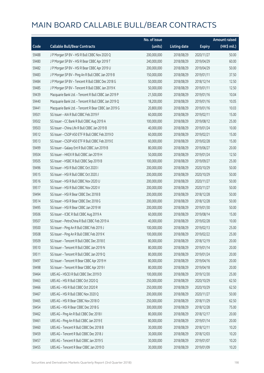|       |                                                      | No. of issue |                     |               | <b>Amount raised</b> |
|-------|------------------------------------------------------|--------------|---------------------|---------------|----------------------|
| Code  | <b>Callable Bull/Bear Contracts</b>                  | (units)      | <b>Listing date</b> | <b>Expiry</b> | (HK\$ mil.)          |
| 59488 | J P Morgan SP BV - HSI R Bull CBBC Nov 2020 Q        | 200,000,000  | 2018/08/29          | 2020/11/27    | 50.00                |
| 59480 | J P Morgan SP BV - HSI R Bear CBBC Apr 2019 T        | 240,000,000  | 2018/08/29          | 2019/04/29    | 60.00                |
| 59482 | J P Morgan SP BV - HSI R Bear CBBC Apr 2019 U        | 200,000,000  | 2018/08/29          | 2019/04/29    | 50.00                |
| 59483 | J P Morgan SP BV - Ping An R Bull CBBC Jan 2019 B    | 150,000,000  | 2018/08/29          | 2019/01/11    | 37.50                |
| 59484 | JP Morgan SP BV - Tencent R Bull CBBC Dec 2018 G     | 50,000,000   | 2018/08/29          | 2018/12/14    | 12.50                |
| 59485 | J P Morgan SP BV - Tencent R Bull CBBC Jan 2019 K    | 50,000,000   | 2018/08/29          | 2019/01/11    | 12.50                |
| 59439 | Macquarie Bank Ltd. - Tencent R Bull CBBC Jan 2019 P | 21,500,000   | 2018/08/29          | 2019/01/16    | 10.04                |
| 59440 | Macquarie Bank Ltd. - Tencent R Bull CBBC Jan 2019 Q | 18,200,000   | 2018/08/29          | 2019/01/16    | 10.05                |
| 59441 | Macquarie Bank Ltd. - Tencent R Bear CBBC Jan 2019 G | 20,800,000   | 2018/08/29          | 2019/01/16    | 10.03                |
| 59501 | SG Issuer - AIA R Bull CBBC Feb 2019 F               | 60,000,000   | 2018/08/29          | 2019/02/11    | 15.00                |
| 59502 | SG Issuer - CC Bank R Bull CBBC Aug 2019 A           | 100,000,000  | 2018/08/29          | 2019/08/12    | 25.00                |
| 59503 | SG Issuer - China Life R Bull CBBC Jan 2019 B        | 40,000,000   | 2018/08/29          | 2019/01/24    | 10.00                |
| 59512 | SG Issuer - CSOP A50 ETF R Bull CBBC Feb 2019 D      | 60,000,000   | 2018/08/29          | 2019/02/21    | 15.00                |
| 59513 | SG Issuer - CSOP A50 ETF R Bull CBBC Feb 2019 E      | 60,000,000   | 2018/08/29          | 2019/02/28    | 15.00                |
| 59499 | SG Issuer - Galaxy Ent R Bull CBBC Jun 2019 B        | 80,000,000   | 2018/08/29          | 2019/06/27    | 20.00                |
| 59504 | SG Issuer - HKEX R Bull CBBC Jan 2019 H              | 50,000,000   | 2018/08/29          | 2019/01/24    | 12.50                |
| 59505 | SG Issuer - HSBC R Bull CBBC Sep 2019 B              | 100,000,000  | 2018/08/29          | 2019/09/27    | 25.00                |
| 59496 | SG Issuer - HSI R Bull CBBC Oct 2020 I               | 200,000,000  | 2018/08/29          | 2020/10/29    | 50.00                |
| 59515 | SG Issuer - HSI R Bull CBBC Oct 2020 J               | 200,000,000  | 2018/08/29          | 2020/10/29    | 50.00                |
| 59516 | SG Issuer - HSI R Bull CBBC Nov 2020 U               | 200,000,000  | 2018/08/29          | 2020/11/27    | 50.00                |
| 59517 | SG Issuer - HSI R Bull CBBC Nov 2020 V               | 200,000,000  | 2018/08/29          | 2020/11/27    | 50.00                |
| 59494 | SG Issuer - HSI R Bear CBBC Dec 2018 B               | 200,000,000  | 2018/08/29          | 2018/12/28    | 50.00                |
| 59514 | SG Issuer - HSI R Bear CBBC Dec 2018 G               | 200,000,000  | 2018/08/29          | 2018/12/28    | 50.00                |
| 59495 | SG Issuer - HSI R Bear CBBC Jan 2019 W               | 200,000,000  | 2018/08/29          | 2019/01/30    | 50.00                |
| 59506 | SG Issuer - ICBC R Bull CBBC Aug 2019 A              | 60,000,000   | 2018/08/29          | 2019/08/14    | 15.00                |
| 59507 | SG Issuer - PetroChina R Bull CBBC Feb 2019 A        | 40,000,000   | 2018/08/29          | 2019/02/28    | 10.00                |
| 59500 | SG Issuer - Ping An R Bull CBBC Feb 2019 J           | 100,000,000  | 2018/08/29          | 2019/02/13    | 25.00                |
| 59508 | SG Issuer - Ping An R Bull CBBC Feb 2019 K           | 100,000,000  | 2018/08/29          | 2019/02/22    | 25.00                |
| 59509 | SG Issuer - Tencent R Bull CBBC Dec 2018 E           | 80,000,000   | 2018/08/29          | 2018/12/19    | 20.00                |
| 59510 | SG Issuer - Tencent R Bull CBBC Jan 2019 N           | 80,000,000   | 2018/08/29          | 2019/01/14    | 20.00                |
| 59511 | SG Issuer - Tencent R Bull CBBC Jan 2019 Q           | 80,000,000   | 2018/08/29          | 2019/01/24    | 20.00                |
| 59497 | SG Issuer - Tencent R Bear CBBC Apr 2019 H           | 80,000,000   | 2018/08/29          | 2019/04/16    | 20.00                |
| 59498 | SG Issuer - Tencent R Bear CBBC Apr 2019 I           | 80,000,000   | 2018/08/29          | 2019/04/18    | 20.00                |
| 59464 | UBS AG - HSCEI R Bull CBBC Dec 2019 D                | 100,000,000  | 2018/08/29          | 2019/12/30    | 25.00                |
| 59463 | UBS AG - HSI R Bull CBBC Oct 2020 Q                  | 250,000,000  | 2018/08/29          | 2020/10/29    | 62.50                |
| 59466 | UBS AG - HSI R Bull CBBC Oct 2020 R                  | 250,000,000  | 2018/08/29          | 2020/10/29    | 62.50                |
| 59467 | UBS AG - HSI R Bull CBBC Nov 2020 Q                  | 200,000,000  | 2018/08/29          | 2020/11/27    | 50.00                |
| 59465 | UBS AG - HSI R Bear CBBC Nov 2018 O                  | 250,000,000  | 2018/08/29          | 2018/11/29    | 62.50                |
| 59454 | UBS AG - HSI R Bear CBBC Dec 2018 G                  | 300,000,000  | 2018/08/29          | 2018/12/28    | 75.00                |
| 59462 | UBS AG - Ping An R Bull CBBC Dec 2018 I              | 80,000,000   | 2018/08/29          | 2018/12/17    | 20.00                |
| 59461 | UBS AG - Ping An R Bull CBBC Jan 2019 E              | 80,000,000   | 2018/08/29          | 2019/01/14    | 20.00                |
| 59460 | UBS AG - Tencent R Bull CBBC Dec 2018 B              | 30,000,000   | 2018/08/29          | 2018/12/11    | 10.20                |
| 59459 | UBS AG - Tencent R Bull CBBC Dec 2018 J              | 30,000,000   | 2018/08/29          | 2018/12/03    | 10.20                |
| 59457 | UBS AG - Tencent R Bull CBBC Jan 2019 S              | 30,000,000   | 2018/08/29          | 2019/01/07    | 10.20                |
| 59455 | UBS AG - Tencent R Bear CBBC Jan 2019 D              | 30,000,000   | 2018/08/29          | 2019/01/09    | 10.20                |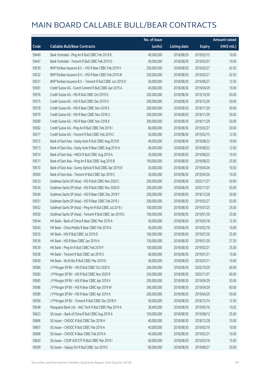|       |                                                            | No. of issue |                     |               | <b>Amount raised</b>  |
|-------|------------------------------------------------------------|--------------|---------------------|---------------|-----------------------|
| Code  | <b>Callable Bull/Bear Contracts</b>                        | (units)      | <b>Listing date</b> | <b>Expiry</b> | $(HK\frac{1}{2}mil.)$ |
| 59449 | Bank Vontobel - Ping An R Bull CBBC Feb 2019 B             | 40,000,000   | 2018/08/29          | 2019/02/15    | 10.00                 |
| 59447 | Bank Vontobel - Tencent R Bull CBBC Feb 2019 D             | 40,000,000   | 2018/08/29          | 2019/02/01    | 10.00                 |
| 59530 | BNP Paribas Issuance B.V. - HSI R Bear CBBC Feb 2019 V     | 250,000,000  | 2018/08/30          | 2019/02/27    | 62.50                 |
| 59532 | BNP Paribas Issuance B.V. - HSI R Bear CBBC Feb 2019 W     | 250,000,000  | 2018/08/30          | 2019/02/27    | 62.50                 |
| 59531 | BNP Paribas Issuance B.V. - Tencent R Bull CBBC Jun 2019 O | 50,000,000   | 2018/08/30          | 2019/06/27    | 12.50                 |
| 59581 | Credit Suisse AG - Conch Cement R Bull CBBC Apr 2019 A     | 40,000,000   | 2018/08/30          | 2019/04/29    | 10.00                 |
| 59576 | Credit Suisse AG - HSI R Bull CBBC Oct 2019 G              | 200,000,000  | 2018/08/30          | 2019/10/30    | 50.00                 |
| 59575 | Credit Suisse AG - HSI R Bull CBBC Dec 2019 O              | 200,000,000  | 2018/08/30          | 2019/12/30    | 50.00                 |
| 59578 | Credit Suisse AG - HSI R Bear CBBC Nov 2018 S              | 200,000,000  | 2018/08/30          | 2018/11/29    | 50.00                 |
| 59579 | Credit Suisse AG - HSI R Bear CBBC Nov 2018 U              | 200,000,000  | 2018/08/30          | 2018/11/29    | 50.00                 |
| 59580 | Credit Suisse AG - HSI R Bear CBBC Nov 2018 X              | 200,000,000  | 2018/08/30          | 2018/11/29    | 50.00                 |
| 59582 | Credit Suisse AG - Ping An R Bull CBBC Feb 2019 I          | 80,000,000   | 2018/08/30          | 2019/02/27    | 20.00                 |
| 59577 | Credit Suisse AG - Tencent R Bull CBBC Feb 2019 C          | 50,000,000   | 2018/08/30          | 2019/02/15    | 12.50                 |
| 59572 | Bank of East Asia - Geely Auto R Bull CBBC Aug 2019 B      | 40,000,000   | 2018/08/30          | 2019/08/22    | 10.00                 |
| 59573 | Bank of East Asia - Geely Auto R Bear CBBC Aug 2019 A      | 40,000,000   | 2018/08/30          | 2019/08/22    | 12.00                 |
| 59574 | Bank of East Asia - HKEX R Bull CBBC Aug 2019 A            | 30,000,000   | 2018/08/30          | 2019/08/22    | 10.50                 |
| 59571 | Bank of East Asia - Ping An R Bull CBBC Aug 2019 B         | 100,000,000  | 2018/08/30          | 2019/08/22    | 25.00                 |
| 59570 | Bank of East Asia - Sunny Optical R Bull CBBC Apr 2019 B   | 30,000,000   | 2018/08/30          | 2019/04/26    | 10.50                 |
| 59569 | Bank of East Asia - Tencent R Bull CBBC Apr 2019 C         | 30,000,000   | 2018/08/30          | 2019/04/26    | 10.50                 |
| 59533 | Goldman Sachs SP (Asia) - HSI R Bull CBBC Nov 2020 C       | 200,000,000  | 2018/08/30          | 2020/11/27    | 50.00                 |
| 59534 | Goldman Sachs SP (Asia) - HSI R Bull CBBC Nov 2020 D       | 200,000,000  | 2018/08/30          | 2020/11/27    | 50.00                 |
| 59549 | Goldman Sachs SP (Asia) - HSI R Bear CBBC Dec 2018 Y       | 200,000,000  | 2018/08/30          | 2018/12/28    | 50.00                 |
| 59551 | Goldman Sachs SP (Asia) - HSI R Bear CBBC Feb 2019 J       | 200,000,000  | 2018/08/30          | 2019/02/27    | 50.00                 |
| 59552 | Goldman Sachs SP (Asia) - Ping An R Bull CBBC Jul 2019 J   | 100,000,000  | 2018/08/30          | 2019/07/25    | 25.00                 |
| 59550 | Goldman Sachs SP (Asia) - Tencent R Bull CBBC Jan 2019 G   | 100,000,000  | 2018/08/30          | 2019/01/30    | 25.00                 |
| 59544 | HK Bank - Bank of China R Bear CBBC Mar 2019 A             | 50,000,000   | 2018/08/30          | 2019/03/18    | 12.50                 |
| 59543 | HK Bank - China Mobile R Bear CBBC Feb 2019 A              | 40,000,000   | 2018/08/30          | 2019/02/18    | 10.00                 |
| 59535 | HK Bank - HSI R Bull CBBC Jul 2019 D                       | 100,000,000  | 2018/08/30          | 2019/07/30    | 25.00                 |
| 59536 | HK Bank - HSI R Bear CBBC Jan 2019 H                       | 150,000,000  | 2018/08/30          | 2019/01/30    | 37.50                 |
| 59539 | HK Bank - Ping An R Bull CBBC Feb 2019 F                   | 100,000,000  | 2018/08/30          | 2019/02/21    | 25.00                 |
| 59538 | HK Bank - Tencent R Bull CBBC Jan 2019 S                   | 60,000,000   | 2018/08/30          | 2019/01/21    | 15.00                 |
| 59540 | HK Bank - WuXi Bio R Bull CBBC Mar 2019 D                  | 40,000,000   | 2018/08/30          | 2019/03/11    | 10.00                 |
| 59584 | J P Morgan SP BV - HSI R Bull CBBC Oct 2020 X              | 240,000,000  | 2018/08/30          | 2020/10/29    | 60.00                 |
| 59583 | J P Morgan SP BV - HSI R Bull CBBC Nov 2020 R              | 240,000,000  | 2018/08/30          | 2020/11/27    | 60.00                 |
| 59585 | J P Morgan SP BV - HSI R Bear CBBC Apr 2019 V              | 200,000,000  | 2018/08/30          | 2019/04/29    | 50.00                 |
| 59586 | J P Morgan SP BV - HSI R Bear CBBC Apr 2019 W              | 240,000,000  | 2018/08/30          | 2019/04/29    | 60.00                 |
| 59589 | J P Morgan SP BV - HSI R Bear CBBC Apr 2019 X              | 200,000,000  | 2018/08/30          | 2019/04/29    | 50.00                 |
| 59590 | J P Morgan SP BV - Tencent R Bull CBBC Dec 2018 H          | 50,000,000   | 2018/08/30          | 2018/12/14    | 12.50                 |
| 59548 | Macquarie Bank Ltd. - AAC Tech R Bull CBBC May 2019 A      | 38,400,000   | 2018/08/30          | 2019/05/16    | 10.02                 |
| 59623 | SG Issuer - Bank of China R Bull CBBC Aug 2019 A           | 100,000,000  | 2018/08/30          | 2019/08/12    | 25.00                 |
| 59606 | SG Issuer - CNOOC R Bull CBBC Dec 2018 H                   | 40,000,000   | 2018/08/30          | 2018/12/28    | 10.00                 |
| 59607 | SG Issuer - CNOOC R Bull CBBC Feb 2019 A                   | 40,000,000   | 2018/08/30          | 2019/02/19    | 10.00                 |
| 59608 | SG Issuer - CNOOC R Bear CBBC Feb 2019 A                   | 40,000,000   | 2018/08/30          | 2019/02/21    | 10.00                 |
| 59620 | SG Issuer - CSOP A50 ETF R Bull CBBC Mar 2019 I            | 60,000,000   | 2018/08/30          | 2019/03/18    | 15.00                 |
| 59599 | SG Issuer - Galaxy Ent R Bull CBBC Jun 2019 C              | 80,000,000   | 2018/08/30          | 2019/06/27    | 20.00                 |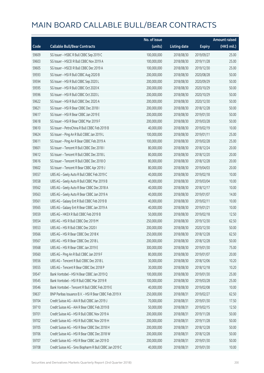|       |                                                         | No. of issue |                     |               | <b>Amount raised</b>  |
|-------|---------------------------------------------------------|--------------|---------------------|---------------|-----------------------|
| Code  | <b>Callable Bull/Bear Contracts</b>                     | (units)      | <b>Listing date</b> | <b>Expiry</b> | $(HK\frac{1}{2}mil.)$ |
| 59609 | SG Issuer - HSBC R Bull CBBC Sep 2019 C                 | 100,000,000  | 2018/08/30          | 2019/09/27    | 25.00                 |
| 59603 | SG Issuer - HSCEI R Bull CBBC Nov 2019 A                | 100,000,000  | 2018/08/30          | 2019/11/28    | 25.00                 |
| 59605 | SG Issuer - HSCEI R Bull CBBC Dec 2019 A                | 100,000,000  | 2018/08/30          | 2019/12/30    | 25.00                 |
| 59593 | SG Issuer - HSI R Bull CBBC Aug 2020 B                  | 200,000,000  | 2018/08/30          | 2020/08/28    | 50.00                 |
| 59594 | SG Issuer - HSI R Bull CBBC Sep 2020 L                  | 200,000,000  | 2018/08/30          | 2020/09/29    | 50.00                 |
| 59595 | SG Issuer - HSI R Bull CBBC Oct 2020 K                  | 200,000,000  | 2018/08/30          | 2020/10/29    | 50.00                 |
| 59596 | SG Issuer - HSI R Bull CBBC Oct 2020 L                  | 200,000,000  | 2018/08/30          | 2020/10/29    | 50.00                 |
| 59622 | SG Issuer - HSI R Bull CBBC Dec 2020 A                  | 200,000,000  | 2018/08/30          | 2020/12/30    | 50.00                 |
| 59621 | SG Issuer - HSI R Bear CBBC Dec 2018 I                  | 200,000,000  | 2018/08/30          | 2018/12/28    | 50.00                 |
| 59617 | SG Issuer - HSI R Bear CBBC Jan 2019 E                  | 200,000,000  | 2018/08/30          | 2019/01/30    | 50.00                 |
| 59618 | SG Issuer - HSI R Bear CBBC Mar 2019 F                  | 200,000,000  | 2018/08/30          | 2019/03/28    | 50.00                 |
| 59610 | SG Issuer - PetroChina R Bull CBBC Feb 2019 B           | 40,000,000   | 2018/08/30          | 2019/02/19    | 10.00                 |
| 59624 | SG Issuer - Ping An R Bull CBBC Jan 2019 L              | 100,000,000  | 2018/08/30          | 2019/01/11    | 25.00                 |
| 59611 | SG Issuer - Ping An R Bear CBBC Feb 2019 A              | 100,000,000  | 2018/08/30          | 2019/02/28    | 25.00                 |
| 59601 | SG Issuer - Tencent R Bull CBBC Dec 2018 I              | 80,000,000   | 2018/08/30          | 2018/12/24    | 20.00                 |
| 59612 | SG Issuer - Tencent R Bull CBBC Dec 2018 L              | 80,000,000   | 2018/08/30          | 2018/12/20    | 20.00                 |
| 59616 | SG Issuer - Tencent R Bull CBBC Dec 2018 O              | 80,000,000   | 2018/08/30          | 2018/12/28    | 20.00                 |
| 59602 | SG Issuer - Tencent R Bear CBBC Apr 2019 J              | 80,000,000   | 2018/08/30          | 2019/04/03    | 20.00                 |
| 59557 | UBS AG - Geely Auto R Bull CBBC Feb 2019 C              | 40,000,000   | 2018/08/30          | 2019/02/18    | 10.00                 |
| 59558 | UBS AG - Geely Auto R Bull CBBC Mar 2019 B              | 40,000,000   | 2018/08/30          | 2019/03/04    | 10.00                 |
| 59562 | UBS AG - Geely Auto R Bear CBBC Dec 2018 A              | 40,000,000   | 2018/08/30          | 2018/12/17    | 10.00                 |
| 59563 | UBS AG - Geely Auto R Bear CBBC Jan 2019 A              | 40,000,000   | 2018/08/30          | 2019/01/07    | 14.00                 |
| 59561 | UBS AG - Galaxy Ent R Bull CBBC Feb 2019 B              | 40,000,000   | 2018/08/30          | 2019/02/11    | 10.00                 |
| 59565 | UBS AG - Galaxy Ent R Bear CBBC Jan 2019 A              | 40,000,000   | 2018/08/30          | 2019/01/21    | 10.00                 |
| 59559 | UBS AG - HKEX R Bull CBBC Feb 2019 B                    | 50,000,000   | 2018/08/30          | 2019/02/18    | 12.50                 |
| 59554 | UBS AG - HSI R Bull CBBC Dec 2019 M                     | 250,000,000  | 2018/08/30          | 2019/12/30    | 62.50                 |
| 59553 | UBS AG - HSI R Bull CBBC Dec 2020 I                     | 200,000,000  | 2018/08/30          | 2020/12/30    | 50.00                 |
| 59566 | UBS AG – HSI R Bear CBBC Dec 2018 K                     | 250,000,000  | 2018/08/30          | 2018/12/28    | 62.50                 |
| 59567 | UBS AG - HSI R Bear CBBC Dec 2018 L                     | 200,000,000  | 2018/08/30          | 2018/12/28    | 50.00                 |
| 59568 | UBS AG - HSI R Bear CBBC Jan 2019 E                     | 300,000,000  | 2018/08/30          | 2019/01/30    | 75.00                 |
| 59560 | UBS AG - Ping An R Bull CBBC Jan 2019 F                 | 80,000,000   | 2018/08/30          | 2019/01/07    | 20.00                 |
| 59556 | UBS AG - Tencent R Bull CBBC Dec 2018 L                 | 30,000,000   | 2018/08/30          | 2018/12/06    | 10.20                 |
| 59555 | UBS AG - Tencent R Bear CBBC Dec 2018 P                 | 30,000,000   | 2018/08/30          | 2018/12/18    | 10.20                 |
| 59547 | Bank Vontobel - HSI N Bear CBBC Jan 2019 Q              | 100,000,000  | 2018/08/30          | 2019/01/30    | 25.00                 |
| 59545 | Bank Vontobel - HSI R Bull CBBC Mar 2019 R              | 100,000,000  | 2018/08/30          | 2019/03/28    | 25.00                 |
| 59546 | Bank Vontobel - Tencent R Bull CBBC Feb 2019 E          | 40,000,000   | 2018/08/30          | 2019/02/08    | 10.00                 |
| 59637 | BNP Paribas Issuance B.V. - HSI R Bear CBBC Feb 2019 X  | 250,000,000  | 2018/08/31          | 2019/02/27    | 62.50                 |
| 59704 | Credit Suisse AG - AIA R Bull CBBC Jan 2019 J           | 70,000,000   | 2018/08/31          | 2019/01/30    | 17.50                 |
| 59710 | Credit Suisse AG - AIA R Bear CBBC Feb 2019 B           | 50,000,000   | 2018/08/31          | 2019/02/15    | 12.50                 |
| 59701 | Credit Suisse AG - HSI R Bull CBBC Nov 2019 A           | 200,000,000  | 2018/08/31          | 2019/11/28    | 50.00                 |
| 59702 | Credit Suisse AG - HSI R Bull CBBC Nov 2019 H           | 200,000,000  | 2018/08/31          | 2019/11/28    | 50.00                 |
| 59705 | Credit Suisse AG - HSI R Bear CBBC Dec 2018 H           | 200,000,000  | 2018/08/31          | 2018/12/28    | 50.00                 |
| 59706 | Credit Suisse AG - HSI R Bear CBBC Dec 2018 W           | 200,000,000  | 2018/08/31          | 2018/12/28    | 50.00                 |
| 59707 | Credit Suisse AG - HSI R Bear CBBC Jan 2019 D           | 200,000,000  | 2018/08/31          | 2019/01/30    | 50.00                 |
| 59708 | Credit Suisse AG - Sino Biopharm R Bull CBBC Jan 2019 C | 40,000,000   | 2018/08/31          | 2019/01/30    | 10.00                 |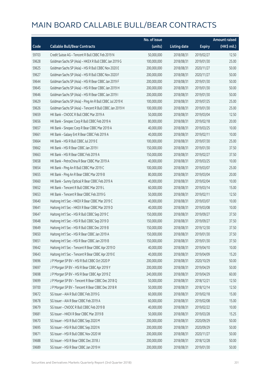|       |                                                          | No. of issue |                     |               | <b>Amount raised</b> |
|-------|----------------------------------------------------------|--------------|---------------------|---------------|----------------------|
| Code  | <b>Callable Bull/Bear Contracts</b>                      | (units)      | <b>Listing date</b> | <b>Expiry</b> | (HK\$ mil.)          |
| 59703 | Credit Suisse AG - Tencent R Bull CBBC Feb 2019 N        | 50,000,000   | 2018/08/31          | 2019/02/27    | 12.50                |
| 59628 | Goldman Sachs SP (Asia) - HKEX R Bull CBBC Jan 2019 G    | 100,000,000  | 2018/08/31          | 2019/01/30    | 25.00                |
| 59625 | Goldman Sachs SP (Asia) - HSI R Bull CBBC Nov 2020 E     | 200,000,000  | 2018/08/31          | 2020/11/27    | 50.00                |
| 59627 | Goldman Sachs SP (Asia) - HSI R Bull CBBC Nov 2020 F     | 200,000,000  | 2018/08/31          | 2020/11/27    | 50.00                |
| 59644 | Goldman Sachs SP (Asia) - HSI R Bear CBBC Jan 2019 F     | 200,000,000  | 2018/08/31          | 2019/01/30    | 50.00                |
| 59645 | Goldman Sachs SP (Asia) - HSI R Bear CBBC Jan 2019 H     | 200,000,000  | 2018/08/31          | 2019/01/30    | 50.00                |
| 59646 | Goldman Sachs SP (Asia) - HSI R Bear CBBC Jan 2019 I     | 200,000,000  | 2018/08/31          | 2019/01/30    | 50.00                |
| 59629 | Goldman Sachs SP (Asia) - Ping An R Bull CBBC Jul 2019 K | 100,000,000  | 2018/08/31          | 2019/07/25    | 25.00                |
| 59626 | Goldman Sachs SP (Asia) - Tencent R Bull CBBC Jan 2019 H | 100,000,000  | 2018/08/31          | 2019/01/30    | 25.00                |
| 59659 | HK Bank - CNOOC R Bull CBBC Mar 2019 A                   | 50,000,000   | 2018/08/31          | 2019/03/04    | 12.50                |
| 59656 | HK Bank - Sinopec Corp R Bull CBBC Feb 2019 A            | 80,000,000   | 2018/08/31          | 2019/02/18    | 20.00                |
| 59657 | HK Bank - Sinopec Corp R Bear CBBC Mar 2019 A            | 40,000,000   | 2018/08/31          | 2019/03/25    | 10.00                |
| 59661 | HK Bank - Galaxy Ent R Bear CBBC Feb 2019 A              | 40,000,000   | 2018/08/31          | 2019/02/11    | 10.00                |
| 59664 | HK Bank - HSI R Bull CBBC Jul 2019 E                     | 100,000,000  | 2018/08/31          | 2019/07/30    | 25.00                |
| 59662 | HK Bank - HSI R Bear CBBC Jan 2019 I                     | 150,000,000  | 2018/08/31          | 2019/01/30    | 37.50                |
| 59663 | HK Bank - HSI R Bear CBBC Feb 2019 A                     | 150,000,000  | 2018/08/31          | 2019/02/27    | 37.50                |
| 59658 | HK Bank - PetroChina R Bear CBBC Mar 2019 A              | 40,000,000   | 2018/08/31          | 2019/03/25    | 10.00                |
| 59654 | HK Bank - Ping An R Bull CBBC Mar 2019 C                 | 100,000,000  | 2018/08/31          | 2019/03/07    | 25.00                |
| 59655 | HK Bank - Ping An R Bear CBBC Mar 2019 B                 | 80,000,000   | 2018/08/31          | 2019/03/04    | 20.00                |
| 59660 | HK Bank - Sunny Optical R Bear CBBC Feb 2019 A           | 40,000,000   | 2018/08/31          | 2019/02/04    | 10.00                |
| 59652 | HK Bank - Tencent R Bull CBBC Mar 2019 L                 | 60,000,000   | 2018/08/31          | 2019/03/14    | 15.00                |
| 59653 | HK Bank - Tencent R Bear CBBC Feb 2019 G                 | 50,000,000   | 2018/08/31          | 2019/02/11    | 12.50                |
| 59640 | Haitong Int'l Sec - HKEX R Bear CBBC Mar 2019 C          | 40,000,000   | 2018/08/31          | 2019/03/07    | 10.00                |
| 59641 | Haitong Int'l Sec - HKEX R Bear CBBC Mar 2019 D          | 40,000,000   | 2018/08/31          | 2019/03/08    | 10.00                |
| 59647 | Haitong Int'l Sec - HSI R Bull CBBC Sep 2019 C           | 150,000,000  | 2018/08/31          | 2019/09/27    | 37.50                |
| 59648 | Haitong Int'l Sec - HSI R Bull CBBC Sep 2019 D           | 150,000,000  | 2018/08/31          | 2019/09/27    | 37.50                |
| 59649 | Haitong Int'l Sec - HSI R Bull CBBC Dec 2019 B           | 150,000,000  | 2018/08/31          | 2019/12/30    | 37.50                |
| 59650 | Haitong Int'l Sec - HSI R Bear CBBC Jan 2019 A           | 150,000,000  | 2018/08/31          | 2019/01/30    | 37.50                |
| 59651 | Haitong Int'l Sec - HSI R Bear CBBC Jan 2019 B           | 150,000,000  | 2018/08/31          | 2019/01/30    | 37.50                |
| 59642 | Haitong Int'l Sec - Tencent R Bear CBBC Apr 2019 D       | 40,000,000   | 2018/08/31          | 2019/04/10    | 10.00                |
| 59643 | Haitong Int'l Sec - Tencent R Bear CBBC Apr 2019 E       | 40,000,000   | 2018/08/31          | 2019/04/09    | 15.20                |
| 59696 | J P Morgan SP BV - HSI R Bull CBBC Oct 2020 P            | 200,000,000  | 2018/08/31          | 2020/10/29    | 50.00                |
| 59697 | J P Morgan SP BV - HSI R Bear CBBC Apr 2019 Y            | 200,000,000  | 2018/08/31          | 2019/04/29    | 50.00                |
| 59698 | J P Morgan SP BV - HSI R Bear CBBC Apr 2019 Z            | 240,000,000  | 2018/08/31          | 2019/04/29    | 60.00                |
| 59699 | J P Morgan SP BV - Tencent R Bear CBBC Dec 2018 Q        | 50,000,000   | 2018/08/31          | 2018/12/21    | 12.50                |
| 59700 | J P Morgan SP BV - Tencent R Bear CBBC Dec 2018 R        | 50,000,000   | 2018/08/31          | 2018/12/14    | 12.50                |
| 59672 | SG Issuer - AIA R Bull CBBC Feb 2019 G                   | 60,000,000   | 2018/08/31          | 2019/02/18    | 15.00                |
| 59678 | SG Issuer - AIA R Bear CBBC Feb 2019 A                   | 60,000,000   | 2018/08/31          | 2019/02/08    | 15.00                |
| 59679 | SG Issuer - CNOOC R Bull CBBC Feb 2019 B                 | 40,000,000   | 2018/08/31          | 2019/02/22    | 10.00                |
| 59681 | SG Issuer - HKEX R Bear CBBC Mar 2019 B                  | 50,000,000   | 2018/08/31          | 2019/03/28    | 15.25                |
| 59670 | SG Issuer - HSI R Bull CBBC Sep 2020 M                   | 200,000,000  | 2018/08/31          | 2020/09/29    | 50.00                |
| 59695 | SG Issuer - HSI R Bull CBBC Sep 2020 N                   | 200,000,000  | 2018/08/31          | 2020/09/29    | 50.00                |
| 59671 | SG Issuer - HSI R Bull CBBC Nov 2020 W                   | 200,000,000  | 2018/08/31          | 2020/11/27    | 50.00                |
| 59688 | SG Issuer - HSI R Bear CBBC Dec 2018 J                   | 200,000,000  | 2018/08/31          | 2018/12/28    | 50.00                |
| 59689 | SG Issuer - HSI R Bear CBBC Jan 2019 H                   | 200,000,000  | 2018/08/31          | 2019/01/30    | 50.00                |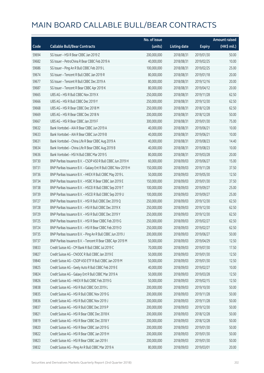|       |                                                               | No. of issue |                     |               | <b>Amount raised</b> |
|-------|---------------------------------------------------------------|--------------|---------------------|---------------|----------------------|
| Code  | <b>Callable Bull/Bear Contracts</b>                           | (units)      | <b>Listing date</b> | <b>Expiry</b> | (HK\$ mil.)          |
| 59694 | SG Issuer - HSI R Bear CBBC Jan 2019 Z                        | 200,000,000  | 2018/08/31          | 2019/01/30    | 50.00                |
| 59682 | SG Issuer - PetroChina R Bear CBBC Feb 2019 A                 | 40,000,000   | 2018/08/31          | 2019/02/25    | 10.00                |
| 59686 | SG Issuer - Ping An R Bull CBBC Feb 2019 L                    | 100,000,000  | 2018/08/31          | 2019/02/25    | 25.00                |
| 59674 | SG Issuer - Tencent R Bull CBBC Jan 2019 R                    | 80,000,000   | 2018/08/31          | 2019/01/18    | 20.00                |
| 59677 | SG Issuer - Tencent R Bull CBBC Dec 2019 A                    | 80,000,000   | 2018/08/31          | 2019/12/16    | 20.00                |
| 59687 | SG Issuer - Tencent R Bear CBBC Apr 2019 K                    | 80,000,000   | 2018/08/31          | 2019/04/12    | 20.00                |
| 59665 | UBS AG - HSI R Bull CBBC Nov 2019 X                           | 250,000,000  | 2018/08/31          | 2019/11/28    | 62.50                |
| 59666 | UBS AG - HSI R Bull CBBC Dec 2019 Y                           | 250,000,000  | 2018/08/31          | 2019/12/30    | 62.50                |
| 59668 | UBS AG - HSI R Bear CBBC Dec 2018 M                           | 250,000,000  | 2018/08/31          | 2018/12/28    | 62.50                |
| 59669 | UBS AG - HSI R Bear CBBC Dec 2018 N                           | 200,000,000  | 2018/08/31          | 2018/12/28    | 50.00                |
| 59667 | UBS AG - HSI R Bear CBBC Jan 2019 F                           | 300,000,000  | 2018/08/31          | 2019/01/30    | 75.00                |
| 59632 | Bank Vontobel - AIA R Bear CBBC Jun 2019 A                    | 40,000,000   | 2018/08/31          | 2019/06/21    | 10.00                |
| 59633 | Bank Vontobel - AIA R Bear CBBC Jun 2019 B                    | 40,000,000   | 2018/08/31          | 2019/06/21    | 10.00                |
| 59631 | Bank Vontobel - China Life R Bear CBBC Aug 2019 A             | 40,000,000   | 2018/08/31          | 2019/08/23    | 14.40                |
| 59634 | Bank Vontobel - China Life R Bear CBBC Aug 2019 B             | 40,000,000   | 2018/08/31          | 2019/08/23    | 10.00                |
| 59636 | Bank Vontobel - HSI N Bull CBBC Mar 2019 S                    | 80,000,000   | 2018/08/31          | 2019/03/28    | 20.00                |
| 59730 | BNP Paribas Issuance B.V. - CSOP A50 R Bull CBBC Jun 2019 H   | 60,000,000   | 2018/09/03          | 2019/06/27    | 15.00                |
| 59731 | BNP Paribas Issuance B.V. - Galaxy Ent R Bull CBBC Nov 2019 H | 150,000,000  | 2018/09/03          | 2019/11/28    | 37.50                |
| 59736 | BNP Paribas Issuance B.V. - HKEX R Bull CBBC May 2019 L       | 50,000,000   | 2018/09/03          | 2019/05/30    | 12.50                |
| 59734 | BNP Paribas Issuance B.V. - HSBC R Bear CBBC Jan 2019 E       | 150,000,000  | 2018/09/03          | 2019/01/30    | 37.50                |
| 59738 | BNP Paribas Issuance B.V. - HSCEI R Bull CBBC Sep 2019 T      | 100,000,000  | 2018/09/03          | 2019/09/27    | 25.00                |
| 59739 | BNP Paribas Issuance B.V. - HSCEI R Bull CBBC Sep 2019 U      | 100,000,000  | 2018/09/03          | 2019/09/27    | 25.00                |
| 59727 | BNP Paribas Issuance B.V. - HSI R Bull CBBC Dec 2019 Q        | 250,000,000  | 2018/09/03          | 2019/12/30    | 62.50                |
| 59728 | BNP Paribas Issuance B.V. - HSI R Bull CBBC Dec 2019 X        | 250,000,000  | 2018/09/03          | 2019/12/30    | 62.50                |
| 59729 | BNP Paribas Issuance B.V. - HSI R Bull CBBC Dec 2019 Y        | 250,000,000  | 2018/09/03          | 2019/12/30    | 62.50                |
| 59725 | BNP Paribas Issuance B.V. - HSI R Bear CBBC Feb 2019 G        | 250,000,000  | 2018/09/03          | 2019/02/27    | 62.50                |
| 59724 | BNP Paribas Issuance B.V. - HSI R Bear CBBC Feb 2019 O        | 250,000,000  | 2018/09/03          | 2019/02/27    | 62.50                |
| 59735 | BNP Paribas Issuance B.V. - Ping An R Bull CBBC Jun 2019 J    | 200,000,000  | 2018/09/03          | 2019/06/27    | 50.00                |
| 59737 | BNP Paribas Issuance B.V. - Tencent R Bear CBBC Apr 2019 M    | 50,000,000   | 2018/09/03          | 2019/04/29    | 12.50                |
| 59833 | Credit Suisse AG - CM Bank R Bull CBBC Jul 2019 C             | 70,000,000   | 2018/09/03          | 2019/07/30    | 17.50                |
| 59827 | Credit Suisse AG - CNOOC R Bull CBBC Jan 2019 E               | 50,000,000   | 2018/09/03          | 2019/01/30    | 12.50                |
| 59840 | Credit Suisse AG - CSOP A50 ETF R Bull CBBC Jan 2019 M        | 50,000,000   | 2018/09/03          | 2019/01/30    | 12.50                |
| 59825 | Credit Suisse AG - Geely Auto R Bull CBBC Feb 2019 E          | 40,000,000   | 2018/09/03          | 2019/02/27    | 10.00                |
| 59824 | Credit Suisse AG - Galaxy Ent R Bull CBBC Mar 2019 A          | 50,000,000   | 2018/09/03          | 2019/03/28    | 12.50                |
| 59826 | Credit Suisse AG - HKEX R Bull CBBC Feb 2019 G                | 50,000,000   | 2018/09/03          | 2019/02/15    | 12.50                |
| 59838 | Credit Suisse AG - HSI R Bull CBBC Oct 2019 L                 | 200,000,000  | 2018/09/03          | 2019/10/30    | 50.00                |
| 59835 | Credit Suisse AG - HSI R Bull CBBC Nov 2019 G                 | 200,000,000  | 2018/09/03          | 2019/11/28    | 50.00                |
| 59836 | Credit Suisse AG - HSI R Bull CBBC Nov 2019 J                 | 200,000,000  | 2018/09/03          | 2019/11/28    | 50.00                |
| 59837 | Credit Suisse AG - HSI R Bull CBBC Dec 2019 P                 | 200,000,000  | 2018/09/03          | 2019/12/30    | 50.00                |
| 59821 | Credit Suisse AG - HSI R Bear CBBC Dec 2018 K                 | 200,000,000  | 2018/09/03          | 2018/12/28    | 50.00                |
| 59819 | Credit Suisse AG - HSI R Bear CBBC Dec 2018 Y                 | 200,000,000  | 2018/09/03          | 2018/12/28    | 50.00                |
| 59820 | Credit Suisse AG - HSI R Bear CBBC Jan 2019 G                 | 200,000,000  | 2018/09/03          | 2019/01/30    | 50.00                |
| 59822 | Credit Suisse AG - HSI R Bear CBBC Jan 2019 H                 | 200,000,000  | 2018/09/03          | 2019/01/30    | 50.00                |
| 59823 | Credit Suisse AG - HSI R Bear CBBC Jan 2019 I                 | 200,000,000  | 2018/09/03          | 2019/01/30    | 50.00                |
| 59832 | Credit Suisse AG - Ping An R Bull CBBC Mar 2019 A             | 80,000,000   | 2018/09/03          | 2019/03/01    | 20.00                |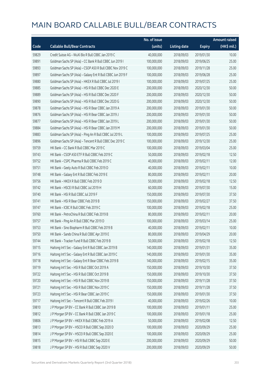|       |                                                             | No. of issue |                     |               | <b>Amount raised</b> |
|-------|-------------------------------------------------------------|--------------|---------------------|---------------|----------------------|
| Code  | <b>Callable Bull/Bear Contracts</b>                         | (units)      | <b>Listing date</b> | <b>Expiry</b> | (HK\$ mil.)          |
| 59829 | Credit Suisse AG - WuXi Bio R Bull CBBC Jan 2019 C          | 40,000,000   | 2018/09/03          | 2019/01/30    | 10.00                |
| 59891 | Goldman Sachs SP (Asia) - CC Bank R Bull CBBC Jun 2019 I    | 100,000,000  | 2018/09/03          | 2019/06/25    | 25.00                |
| 59893 | Goldman Sachs SP (Asia) - CSOP A50 R Bull CBBC Nov 2019 C   | 100,000,000  | 2018/09/03          | 2019/11/28    | 25.00                |
| 59897 | Goldman Sachs SP (Asia) - Galaxy Ent R Bull CBBC Jun 2019 F | 100,000,000  | 2018/09/03          | 2019/06/28    | 25.00                |
| 59880 | Goldman Sachs SP (Asia) - HKEX R Bull CBBC Jul 2019 I       | 100,000,000  | 2018/09/03          | 2019/07/25    | 25.00                |
| 59885 | Goldman Sachs SP (Asia) - HSI R Bull CBBC Dec 2020 E        | 200,000,000  | 2018/09/03          | 2020/12/30    | 50.00                |
| 59889 | Goldman Sachs SP (Asia) - HSI R Bull CBBC Dec 2020 F        | 200,000,000  | 2018/09/03          | 2020/12/30    | 50.00                |
| 59890 | Goldman Sachs SP (Asia) - HSI R Bull CBBC Dec 2020 G        | 200,000,000  | 2018/09/03          | 2020/12/30    | 50.00                |
| 59878 | Goldman Sachs SP (Asia) - HSI R Bear CBBC Jan 2019 A        | 200,000,000  | 2018/09/03          | 2019/01/30    | 50.00                |
| 59876 | Goldman Sachs SP (Asia) - HSI R Bear CBBC Jan 2019 J        | 200,000,000  | 2018/09/03          | 2019/01/30    | 50.00                |
| 59877 | Goldman Sachs SP (Asia) - HSI R Bear CBBC Jan 2019 L        | 200,000,000  | 2018/09/03          | 2019/01/30    | 50.00                |
| 59884 | Goldman Sachs SP (Asia) - HSI R Bear CBBC Jan 2019 M        | 200,000,000  | 2018/09/03          | 2019/01/30    | 50.00                |
| 59883 | Goldman Sachs SP (Asia) - Ping An R Bull CBBC Jul 2019 L    | 100,000,000  | 2018/09/03          | 2019/07/25    | 25.00                |
| 59896 | Goldman Sachs SP (Asia) - Tencent R Bull CBBC Dec 2019 C    | 100,000,000  | 2018/09/03          | 2019/12/30    | 25.00                |
| 59759 | HK Bank - CC Bank R Bull CBBC Mar 2019 C                    | 100,000,000  | 2018/09/03          | 2019/03/04    | 25.00                |
| 59743 | HK Bank - CSOP A50 ETF R Bull CBBC Feb 2019 C               | 50,000,000   | 2018/09/03          | 2019/02/18    | 12.50                |
| 59752 | HK Bank - CSPC Pharma R Bull CBBC Feb 2019 C                | 40,000,000   | 2018/09/03          | 2019/02/11    | 12.00                |
| 59751 | HK Bank - Geely Auto R Bull CBBC Feb 2019 D                 | 40,000,000   | 2018/09/03          | 2019/02/11    | 10.00                |
| 59748 | HK Bank - Galaxy Ent R Bull CBBC Feb 2019 E                 | 80,000,000   | 2018/09/03          | 2019/02/11    | 20.00                |
| 59756 | HK Bank - HKEX R Bull CBBC Feb 2019 D                       | 50,000,000   | 2018/09/03          | 2019/02/18    | 12.50                |
| 59742 | HK Bank - HSCEI R Bull CBBC Jul 2019 H                      | 60,000,000   | 2018/09/03          | 2019/07/30    | 15.00                |
| 59740 | HK Bank - HSI R Bull CBBC Jul 2019 F                        | 150,000,000  | 2018/09/03          | 2019/07/30    | 37.50                |
| 59741 | HK Bank - HSI R Bear CBBC Feb 2019 B                        | 150,000,000  | 2018/09/03          | 2019/02/27    | 37.50                |
| 59747 | HK Bank - ICBC R Bull CBBC Feb 2019 C                       | 100,000,000  | 2018/09/03          | 2019/02/18    | 25.00                |
| 59760 | HK Bank - PetroChina R Bull CBBC Feb 2019 B                 | 80,000,000   | 2018/09/03          | 2019/02/11    | 20.00                |
| 59757 | HK Bank - Ping An R Bull CBBC Mar 2019 D                    | 100,000,000  | 2018/09/03          | 2019/03/14    | 25.00                |
| 59753 | HK Bank - Sino Biopharm R Bull CBBC Feb 2019 B              | 40,000,000   | 2018/09/03          | 2019/02/11    | 10.00                |
| 59750 | HK Bank - Sands China R Bull CBBC Apr 2019 E                | 80,000,000   | 2018/09/03          | 2019/04/29    | 20.00                |
| 59744 | HK Bank - Tracker Fund R Bull CBBC Feb 2019 B               | 50,000,000   | 2018/09/03          | 2019/02/18    | 12.50                |
| 59715 | Haitong Int'l Sec - Galaxy Ent R Bull CBBC Jan 2019 B       | 140,000,000  | 2018/09/03          | 2019/01/31    | 35.00                |
| 59716 | Haitong Int'l Sec - Galaxy Ent R Bull CBBC Jan 2019 C       | 140,000,000  | 2018/09/03          | 2019/01/30    | 35.00                |
| 59718 | Haitong Int'l Sec - Galaxy Ent R Bear CBBC Feb 2019 B       | 140,000,000  | 2018/09/03          | 2019/02/15    | 35.00                |
| 59719 | Haitong Int'l Sec - HSI R Bull CBBC Oct 2019 A              | 150,000,000  | 2018/09/03          | 2019/10/30    | 37.50                |
| 59722 | Haitong Int'l Sec - HSI R Bull CBBC Oct 2019 B              | 150,000,000  | 2018/09/03          | 2019/10/30    | 37.50                |
| 59720 | Haitong Int'l Sec - HSI R Bull CBBC Nov 2019 B              | 150,000,000  | 2018/09/03          | 2019/11/28    | 37.50                |
| 59721 | Haitong Int'l Sec - HSI R Bull CBBC Nov 2019 C              | 150,000,000  | 2018/09/03          | 2019/11/28    | 37.50                |
| 59723 | Haitong Int'l Sec - HSI R Bear CBBC Jan 2019 C              | 150,000,000  | 2018/09/03          | 2019/01/30    | 37.50                |
| 59717 | Haitong Int'l Sec - Tencent R Bull CBBC Feb 2019 I          | 40,000,000   | 2018/09/03          | 2019/02/26    | 10.00                |
| 59810 | J P Morgan SP BV - CC Bank R Bull CBBC Jan 2019 B           | 100,000,000  | 2018/09/03          | 2019/01/11    | 25.00                |
| 59812 | J P Morgan SP BV - CC Bank R Bull CBBC Jan 2019 C           | 100,000,000  | 2018/09/03          | 2019/01/18    | 25.00                |
| 59806 | J P Morgan SP BV - HKEX R Bull CBBC Feb 2019 A              | 50,000,000   | 2018/09/03          | 2019/02/08    | 12.50                |
| 59813 | J P Morgan SP BV - HSCEI R Bull CBBC Sep 2020 D             | 100,000,000  | 2018/09/03          | 2020/09/29    | 25.00                |
| 59814 | J P Morgan SP BV - HSCEI R Bull CBBC Sep 2020 E             | 100,000,000  | 2018/09/03          | 2020/09/29    | 25.00                |
| 59815 | J P Morgan SP BV - HSI R Bull CBBC Sep 2020 E               | 200,000,000  | 2018/09/03          | 2020/09/29    | 50.00                |
| 59818 | J P Morgan SP BV - HSI R Bull CBBC Sep 2020 V               | 200,000,000  | 2018/09/03          | 2020/09/29    | 50.00                |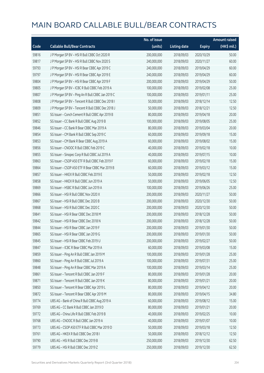|       |                                                   | No. of issue |                     |               | <b>Amount raised</b> |
|-------|---------------------------------------------------|--------------|---------------------|---------------|----------------------|
| Code  | <b>Callable Bull/Bear Contracts</b>               | (units)      | <b>Listing date</b> | <b>Expiry</b> | (HK\$ mil.)          |
| 59816 | J P Morgan SP BV - HSI R Bull CBBC Oct 2020 R     | 200,000,000  | 2018/09/03          | 2020/10/29    | 50.00                |
| 59817 | J P Morgan SP BV - HSI R Bull CBBC Nov 2020 S     | 240,000,000  | 2018/09/03          | 2020/11/27    | 60.00                |
| 59793 | J P Morgan SP BV - HSI R Bear CBBC Apr 2019 C     | 240,000,000  | 2018/09/03          | 2019/04/29    | 60.00                |
| 59797 | J P Morgan SP BV - HSI R Bear CBBC Apr 2019 E     | 240,000,000  | 2018/09/03          | 2019/04/29    | 60.00                |
| 59804 | J P Morgan SP BV - HSI R Bear CBBC Apr 2019 F     | 200,000,000  | 2018/09/03          | 2019/04/29    | 50.00                |
| 59805 | J P Morgan SP BV - ICBC R Bull CBBC Feb 2019 A    | 100,000,000  | 2018/09/03          | 2019/02/08    | 25.00                |
| 59807 | J P Morgan SP BV - Ping An R Bull CBBC Jan 2019 C | 100,000,000  | 2018/09/03          | 2019/01/11    | 25.00                |
| 59808 | J P Morgan SP BV - Tencent R Bull CBBC Dec 2018 I | 50,000,000   | 2018/09/03          | 2018/12/14    | 12.50                |
| 59809 | J P Morgan SP BV - Tencent R Bull CBBC Dec 2018 J | 50,000,000   | 2018/09/03          | 2018/12/21    | 12.50                |
| 59851 | SG Issuer - Conch Cement R Bull CBBC Apr 2019 B   | 80,000,000   | 2018/09/03          | 2019/04/18    | 20.00                |
| 59852 | SG Issuer - CC Bank R Bull CBBC Aug 2019 B        | 100,000,000  | 2018/09/03          | 2019/08/05    | 25.00                |
| 59846 | SG Issuer - CC Bank R Bear CBBC Mar 2019 A        | 80,000,000   | 2018/09/03          | 2019/03/04    | 20.00                |
| 59854 | SG Issuer - CM Bank R Bull CBBC Sep 2019 C        | 60,000,000   | 2018/09/03          | 2019/09/18    | 15.00                |
| 59853 | SG Issuer - CM Bank R Bear CBBC Aug 2019 A        | 60,000,000   | 2018/09/03          | 2019/08/02    | 15.00                |
| 59856 | SG Issuer - CNOOC R Bull CBBC Feb 2019 C          | 40,000,000   | 2018/09/03          | 2019/02/18    | 10.00                |
| 59855 | SG Issuer - Sinopec Corp R Bull CBBC Jul 2019 A   | 40,000,000   | 2018/09/03          | 2019/07/15    | 10.00                |
| 59863 | SG Issuer - CSOP A50 ETF R Bull CBBC Feb 2019 F   | 60,000,000   | 2018/09/03          | 2019/02/18    | 15.00                |
| 59864 | SG Issuer - CSOP A50 ETF R Bear CBBC Mar 2019 B   | 60,000,000   | 2018/09/03          | 2019/03/12    | 15.00                |
| 59857 | SG Issuer - HKEX R Bull CBBC Feb 2019 E           | 50,000,000   | 2018/09/03          | 2019/02/18    | 12.50                |
| 59858 | SG Issuer - HKEX R Bull CBBC Jun 2019 A           | 50,000,000   | 2018/09/03          | 2019/06/05    | 12.50                |
| 59869 | SG Issuer - HSBC R Bull CBBC Jun 2019 A           | 100,000,000  | 2018/09/03          | 2019/06/26    | 25.00                |
| 59866 | SG Issuer - HSI R Bull CBBC Nov 2020 X            | 200,000,000  | 2018/09/03          | 2020/11/27    | 50.00                |
| 59867 | SG Issuer - HSI R Bull CBBC Dec 2020 B            | 200,000,000  | 2018/09/03          | 2020/12/30    | 50.00                |
| 59868 | SG Issuer - HSI R Bull CBBC Dec 2020 C            | 200,000,000  | 2018/09/03          | 2020/12/30    | 50.00                |
| 59841 | SG Issuer - HSI R Bear CBBC Dec 2018 M            | 200,000,000  | 2018/09/03          | 2018/12/28    | 50.00                |
| 59842 | SG Issuer - HSI R Bear CBBC Dec 2018 N            | 200,000,000  | 2018/09/03          | 2018/12/28    | 50.00                |
| 59844 | SG Issuer - HSI R Bear CBBC Jan 2019 F            | 200,000,000  | 2018/09/03          | 2019/01/30    | 50.00                |
| 59865 | SG Issuer – HSI R Bear CBBC Jan 2019 G            | 200,000,000  | 2018/09/03          | 2019/01/30    | 50.00                |
| 59845 | SG Issuer - HSI R Bear CBBC Feb 2019 U            | 200,000,000  | 2018/09/03          | 2019/02/27    | 50.00                |
| 59847 | SG Issuer - ICBC R Bear CBBC Mar 2019 A           | 60,000,000   | 2018/09/03          | 2019/03/08    | 15.00                |
| 59859 | SG Issuer - Ping An R Bull CBBC Jan 2019 M        | 100,000,000  | 2018/09/03          | 2019/01/28    | 25.00                |
| 59860 | SG Issuer - Ping An R Bull CBBC Jul 2019 A        | 100,000,000  | 2018/09/03          | 2019/07/31    | 25.00                |
| 59848 | SG Issuer - Ping An R Bear CBBC Mar 2019 A        | 100,000,000  | 2018/09/03          | 2019/03/14    | 25.00                |
| 59861 | SG Issuer - Tencent R Bull CBBC Jan 2019 F        | 80,000,000   | 2018/09/03          | 2019/01/28    | 20.00                |
| 59871 | SG Issuer - Tencent R Bull CBBC Jan 2019 K        | 80,000,000   | 2018/09/03          | 2019/01/21    | 20.00                |
| 59850 | SG Issuer - Tencent R Bear CBBC Apr 2019 L        | 80,000,000   | 2018/09/03          | 2019/04/12    | 20.00                |
| 59872 | SG Issuer - Tencent R Bear CBBC Apr 2019 M        | 80,000,000   | 2018/09/03          | 2019/04/15    | 34.80                |
| 59774 | UBS AG - Bank of China R Bull CBBC Aug 2019 A     | 60,000,000   | 2018/09/03          | 2019/08/12    | 15.00                |
| 59769 | UBS AG - CC Bank R Bull CBBC Jan 2019 D           | 80,000,000   | 2018/09/03          | 2019/01/21    | 20.00                |
| 59772 | UBS AG - China Life R Bull CBBC Feb 2019 B        | 40,000,000   | 2018/09/03          | 2019/02/25    | 10.00                |
| 59768 | UBS AG - CNOOC R Bull CBBC Jan 2019 A             | 40,000,000   | 2018/09/03          | 2019/01/07    | 10.00                |
| 59773 | UBS AG - CSOP A50 ETF R Bull CBBC Mar 2019 D      | 50,000,000   | 2018/09/03          | 2019/03/18    | 12.50                |
| 59761 | UBS AG - HKEX R Bull CBBC Dec 2018 I              | 50,000,000   | 2018/09/03          | 2018/12/12    | 12.50                |
| 59790 | UBS AG - HSI R Bull CBBC Dec 2019 B               | 250,000,000  | 2018/09/03          | 2019/12/30    | 62.50                |
| 59779 | UBS AG - HSI R Bull CBBC Dec 2019 Z               | 250,000,000  | 2018/09/03          | 2019/12/30    | 62.50                |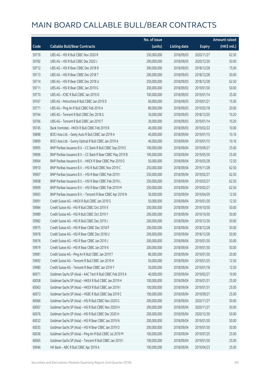|       |                                                            | No. of issue |                     |               | <b>Amount raised</b> |
|-------|------------------------------------------------------------|--------------|---------------------|---------------|----------------------|
| Code  | <b>Callable Bull/Bear Contracts</b>                        | (units)      | <b>Listing date</b> | <b>Expiry</b> | (HK\$ mil.)          |
| 59776 | UBS AG - HSI R Bull CBBC Nov 2020 R                        | 250,000,000  | 2018/09/03          | 2020/11/27    | 62.50                |
| 59782 | UBS AG - HSI R Bull CBBC Dec 2020 J                        | 200,000,000  | 2018/09/03          | 2020/12/30    | 50.00                |
| 59712 | UBS AG - HSI R Bear CBBC Dec 2018 R                        | 300,000,000  | 2018/09/03          | 2018/12/28    | 75.00                |
| 59713 | UBS AG - HSI R Bear CBBC Dec 2018 T                        | 200,000,000  | 2018/09/03          | 2018/12/28    | 50.00                |
| 59714 | UBS AG - HSI R Bear CBBC Dec 2018 U                        | 250,000,000  | 2018/09/03          | 2018/12/28    | 62.50                |
| 59711 | UBS AG - HSI R Bear CBBC Jan 2019 G                        | 200,000,000  | 2018/09/03          | 2019/01/30    | 50.00                |
| 59770 | UBS AG - ICBC R Bull CBBC Jan 2019 D                       | 100,000,000  | 2018/09/03          | 2019/01/14    | 25.00                |
| 59767 | UBS AG - Petrochina R Bull CBBC Jan 2019 D                 | 60,000,000   | 2018/09/03          | 2019/01/21    | 15.00                |
| 59771 | UBS AG - Ping An R Bull CBBC Feb 2019 A                    | 80,000,000   | 2018/09/03          | 2019/02/18    | 20.00                |
| 59764 | UBS AG - Tencent R Bull CBBC Dec 2018 G                    | 30,000,000   | 2018/09/03          | 2018/12/20    | 10.20                |
| 59766 | UBS AG - Tencent R Bull CBBC Jan 2019 T                    | 30,000,000   | 2018/09/03          | 2019/01/14    | 10.20                |
| 59745 | Bank Vontobel - HKEX R Bull CBBC Feb 2019 B                | 40,000,000   | 2018/09/03          | 2019/02/22    | 10.00                |
| 59898 | BOCI Asia Ltd. - Geely Auto R Bull CBBC Jan 2019 A         | 40,000,000   | 2018/09/04          | 2019/01/15    | 10.16                |
| 59899 | BOCI Asia Ltd. - Sunny Optical R Bull CBBC Jan 2019 A      | 40,000,000   | 2018/09/04          | 2019/01/15    | 10.16                |
| 59905 | BNP Paribas Issuance B.V. - CC Bank R Bull CBBC Sep 2019 E | 100,000,000  | 2018/09/04          | 2019/09/27    | 25.00                |
| 59906 | BNP Paribas Issuance B.V. - CC Bank R Bear CBBC May 2019 B | 100,000,000  | 2018/09/04          | 2019/05/30    | 25.00                |
| 59904 | BNP Paribas Issuance B.V. - HKEX R Bear CBBC Mar 2019 O    | 50,000,000   | 2018/09/04          | 2019/03/28    | 12.50                |
| 59910 | BNP Paribas Issuance B.V. - HSI R Bull CBBC Nov 2019 C     | 250,000,000  | 2018/09/04          | 2019/11/28    | 62.50                |
| 59907 | BNP Paribas Issuance B.V. - HSI R Bear CBBC Feb 2019 I     | 250,000,000  | 2018/09/04          | 2019/02/27    | 62.50                |
| 59908 | BNP Paribas Issuance B.V. - HSI R Bear CBBC Feb 2019 L     | 250,000,000  | 2018/09/04          | 2019/02/27    | 62.50                |
| 59909 | BNP Paribas Issuance B.V. - HSI R Bear CBBC Feb 2019 M     | 250,000,000  | 2018/09/04          | 2019/02/27    | 62.50                |
| 59903 | BNP Paribas Issuance B.V. - Tencent R Bear CBBC Apr 2019 N | 50,000,000   | 2018/09/04          | 2019/04/29    | 12.50                |
| 59991 | Credit Suisse AG - HKEX R Bull CBBC Jan 2019 S             | 50,000,000   | 2018/09/04          | 2019/01/30    | 12.50                |
| 59984 | Credit Suisse AG - HSI R Bull CBBC Oct 2019 X              | 200,000,000  | 2018/09/04          | 2019/10/30    | 50.00                |
| 59989 | Credit Suisse AG - HSI R Bull CBBC Oct 2019 Y              | 200,000,000  | 2018/09/04          | 2019/10/30    | 50.00                |
| 59982 | Credit Suisse AG - HSI R Bull CBBC Dec 2019 J              | 200,000,000  | 2018/09/04          | 2019/12/30    | 50.00                |
| 59975 | Credit Suisse AG - HSI R Bear CBBC Dec 2018 P              | 200,000,000  | 2018/09/04          | 2018/12/28    | 50.00                |
| 59978 | Credit Suisse AG - HSI R Bear CBBC Dec 2018 U              | 200,000,000  | 2018/09/04          | 2018/12/28    | 50.00                |
| 59976 | Credit Suisse AG - HSI R Bear CBBC Jan 2019 J              | 200,000,000  | 2018/09/04          | 2019/01/30    | 50.00                |
| 59979 | Credit Suisse AG - HSI R Bear CBBC Jan 2019 K              | 200,000,000  | 2018/09/04          | 2019/01/30    | 50.00                |
| 59981 | Credit Suisse AG - Ping An R Bull CBBC Jan 2019 T          | 80,000,000   | 2018/09/04          | 2019/01/30    | 20.00                |
| 59992 | Credit Suisse AG - Tencent R Bull CBBC Jan 2019 H          | 50,000,000   | 2018/09/04          | 2019/01/25    | 12.50                |
| 59980 | Credit Suisse AG - Tencent R Bear CBBC Jan 2019 Y          | 50,000,000   | 2018/09/04          | 2019/01/18    | 12.50                |
| 60071 | Goldman Sachs SP (Asia) - AAC Tech R Bull CBBC Feb 2019 A  | 40,000,000   | 2018/09/04          | 2019/02/27    | 10.00                |
| 60058 | Goldman Sachs SP (Asia) - HKEX R Bull CBBC Jan 2019 H      | 100,000,000  | 2018/09/04          | 2019/01/31    | 25.00                |
| 60063 | Goldman Sachs SP (Asia) - HKEX R Bull CBBC Jan 2019 I      | 100,000,000  | 2018/09/04          | 2019/01/31    | 25.00                |
| 60073 | Goldman Sachs SP (Asia) - HSBC R Bull CBBC Sep 2019 C      | 100,000,000  | 2018/09/04          | 2019/09/27    | 25.00                |
| 60066 | Goldman Sachs SP (Asia) - HSI R Bull CBBC Nov 2020 G       | 200,000,000  | 2018/09/04          | 2020/11/27    | 50.00                |
| 60067 | Goldman Sachs SP (Asia) - HSI R Bull CBBC Nov 2020 H       | 200,000,000  | 2018/09/04          | 2020/11/27    | 50.00                |
| 60076 | Goldman Sachs SP (Asia) - HSI R Bull CBBC Dec 2020 H       | 200,000,000  | 2018/09/04          | 2020/12/30    | 50.00                |
| 60032 | Goldman Sachs SP (Asia) - HSI R Bear CBBC Jan 2019 N       | 200,000,000  | 2018/09/04          | 2019/01/30    | 50.00                |
| 60035 | Goldman Sachs SP (Asia) - HSI R Bear CBBC Jan 2019 O       | 200,000,000  | 2018/09/04          | 2019/01/30    | 50.00                |
| 60036 | Goldman Sachs SP (Asia) - Ping An R Bull CBBC Jul 2019 M   | 100,000,000  | 2018/09/04          | 2019/07/25    | 25.00                |
| 60065 | Goldman Sachs SP (Asia) - Tencent R Bull CBBC Jan 2019 I   | 100,000,000  | 2018/09/04          | 2019/01/30    | 25.00                |
| 59946 | HK Bank - ABC R Bull CBBC Apr 2019 A                       | 100,000,000  | 2018/09/04          | 2019/04/23    | 25.00                |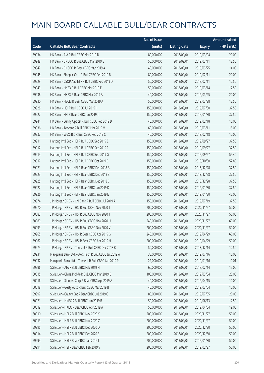|       |                                                       | No. of issue |                     |               | <b>Amount raised</b> |
|-------|-------------------------------------------------------|--------------|---------------------|---------------|----------------------|
| Code  | <b>Callable Bull/Bear Contracts</b>                   | (units)      | <b>Listing date</b> | <b>Expiry</b> | (HK\$ mil.)          |
| 59934 | HK Bank - AIA R Bull CBBC Mar 2019 D                  | 80,000,000   | 2018/09/04          | 2019/03/04    | 20.00                |
| 59948 | HK Bank - CNOOC R Bull CBBC Mar 2019 B                | 50,000,000   | 2018/09/04          | 2019/03/11    | 12.50                |
| 59947 | HK Bank - CNOOC R Bear CBBC Mar 2019 A                | 40,000,000   | 2018/09/04          | 2019/03/25    | 14.00                |
| 59945 | HK Bank - Sinopec Corp R Bull CBBC Feb 2019 B         | 80,000,000   | 2018/09/04          | 2019/02/11    | 20.00                |
| 59929 | HK Bank - CSOP A50 ETF R Bull CBBC Feb 2019 D         | 50,000,000   | 2018/09/04          | 2019/02/11    | 12.50                |
| 59943 | HK Bank - HKEX R Bull CBBC Mar 2019 E                 | 50,000,000   | 2018/09/04          | 2019/03/14    | 12.50                |
| 59938 | HK Bank - HKEX R Bear CBBC Mar 2019 A                 | 40,000,000   | 2018/09/04          | 2019/03/25    | 20.00                |
| 59930 | HK Bank - HSCEI R Bear CBBC Mar 2019 A                | 50,000,000   | 2018/09/04          | 2019/03/28    | 12.50                |
| 59928 | HK Bank - HSI R Bull CBBC Jul 2019 I                  | 150,000,000  | 2018/09/04          | 2019/07/30    | 37.50                |
| 59927 | HK Bank - HSI R Bear CBBC Jan 2019 J                  | 150,000,000  | 2018/09/04          | 2019/01/30    | 37.50                |
| 59944 | HK Bank - Sunny Optical R Bull CBBC Feb 2019 D        | 40,000,000   | 2018/09/04          | 2019/02/18    | 10.00                |
| 59936 | HK Bank - Tencent R Bull CBBC Mar 2019 M              | 60,000,000   | 2018/09/04          | 2019/03/11    | 15.00                |
| 59937 | HK Bank - WuXi Bio R Bull CBBC Feb 2019 C             | 40,000,000   | 2018/09/04          | 2019/02/18    | 10.00                |
| 59911 | Haitong Int'l Sec - HSI R Bull CBBC Sep 2019 E        | 150,000,000  | 2018/09/04          | 2019/09/27    | 37.50                |
| 59912 | Haitong Int'l Sec - HSI R Bull CBBC Sep 2019 F        | 150,000,000  | 2018/09/04          | 2019/09/27    | 37.50                |
| 59913 | Haitong Int'l Sec - HSI R Bull CBBC Sep 2019 G        | 150,000,000  | 2018/09/04          | 2019/09/27    | 59.40                |
| 59917 | Haitong Int'l Sec - HSI R Bull CBBC Oct 2019 C        | 150,000,000  | 2018/09/04          | 2019/10/30    | 52.80                |
| 59921 | Haitong Int'l Sec - HSI R Bear CBBC Dec 2018 A        | 150,000,000  | 2018/09/04          | 2018/12/28    | 37.50                |
| 59923 | Haitong Int'l Sec - HSI R Bear CBBC Dec 2018 B        | 150,000,000  | 2018/09/04          | 2018/12/28    | 37.50                |
| 59925 | Haitong Int'l Sec - HSI R Bear CBBC Dec 2018 C        | 150,000,000  | 2018/09/04          | 2018/12/28    | 37.50                |
| 59922 | Haitong Int'l Sec - HSI R Bear CBBC Jan 2019 D        | 150,000,000  | 2018/09/04          | 2019/01/30    | 37.50                |
| 59926 | Haitong Int'l Sec - HSI R Bear CBBC Jan 2019 E        | 150,000,000  | 2018/09/04          | 2019/01/30    | 45.00                |
| 59974 | J P Morgan SP BV - CM Bank R Bull CBBC Jul 2019 A     | 150,000,000  | 2018/09/04          | 2019/07/19    | 37.50                |
| 59970 | J P Morgan SP BV - HSI R Bull CBBC Nov 2020 J         | 200,000,000  | 2018/09/04          | 2020/11/27    | 50.00                |
| 60083 | J P Morgan SP BV - HSI R Bull CBBC Nov 2020 T         | 200,000,000  | 2018/09/04          | 2020/11/27    | 50.00                |
| 60089 | J P Morgan SP BV - HSI R Bull CBBC Nov 2020 U         | 240,000,000  | 2018/09/04          | 2020/11/27    | 60.00                |
| 60093 | J P Morgan SP BV - HSI R Bull CBBC Nov 2020 V         | 200,000,000  | 2018/09/04          | 2020/11/27    | 50.00                |
| 59965 | J P Morgan SP BV - HSI R Bear CBBC Apr 2019 G         | 240,000,000  | 2018/09/04          | 2019/04/29    | 60.00                |
| 59967 | J P Morgan SP BV - HSI R Bear CBBC Apr 2019 H         | 200,000,000  | 2018/09/04          | 2019/04/29    | 50.00                |
| 59973 | J P Morgan SP BV - Tencent R Bull CBBC Dec 2018 K     | 50,000,000   | 2018/09/04          | 2018/12/14    | 12.50                |
| 59931 | Macquarie Bank Ltd. - AAC Tech R Bull CBBC Jul 2019 A | 38,000,000   | 2018/09/04          | 2019/07/16    | 10.03                |
| 59932 | Macquarie Bank Ltd. - Tencent R Bull CBBC Jan 2019 R  | 22,000,000   | 2018/09/04          | 2019/01/16    | 10.01                |
| 59996 | SG Issuer - AIA R Bull CBBC Feb 2019 H                | 60,000,000   | 2018/09/04          | 2019/02/14    | 15.00                |
| 60015 | SG Issuer - China Mobile R Bull CBBC Mar 2019 B       | 100,000,000  | 2018/09/04          | 2019/03/04    | 25.00                |
| 60016 | SG Issuer - Sinopec Corp R Bear CBBC Apr 2019 A       | 40,000,000   | 2018/09/04          | 2019/04/15    | 10.00                |
| 60018 | SG Issuer - Geely Auto R Bull CBBC Mar 2019 B         | 40,000,000   | 2018/09/04          | 2019/03/04    | 10.00                |
| 59997 | SG Issuer - Galaxy Ent R Bear CBBC Jul 2019 C         | 80,000,000   | 2018/09/04          | 2019/07/05    | 20.00                |
| 60021 | SG Issuer - HKEX R Bull CBBC Jun 2019 B               | 50,000,000   | 2018/09/04          | 2019/06/13    | 12.50                |
| 60019 | SG Issuer - HKEX R Bear CBBC Apr 2019 A               | 50,000,000   | 2018/09/04          | 2019/04/04    | 19.00                |
| 60010 | SG Issuer - HSI R Bull CBBC Nov 2020 Y                | 200,000,000  | 2018/09/04          | 2020/11/27    | 50.00                |
| 60013 | SG Issuer - HSI R Bull CBBC Nov 2020 Z                | 200,000,000  | 2018/09/04          | 2020/11/27    | 50.00                |
| 59995 | SG Issuer - HSI R Bull CBBC Dec 2020 D                | 200,000,000  | 2018/09/04          | 2020/12/30    | 50.00                |
| 60014 | SG Issuer - HSI R Bull CBBC Dec 2020 E                | 200,000,000  | 2018/09/04          | 2020/12/30    | 50.00                |
| 59993 | SG Issuer - HSI R Bear CBBC Jan 2019 I                | 200,000,000  | 2018/09/04          | 2019/01/30    | 50.00                |
| 59994 | SG Issuer - HSI R Bear CBBC Feb 2019 V                | 200,000,000  | 2018/09/04          | 2019/02/27    | 50.00                |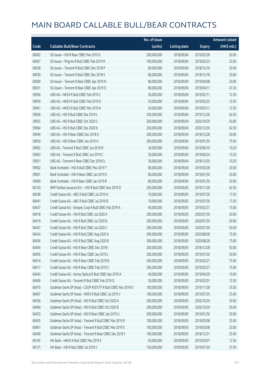|       |                                                               | No. of issue |                     |               | <b>Amount raised</b> |
|-------|---------------------------------------------------------------|--------------|---------------------|---------------|----------------------|
| Code  | <b>Callable Bull/Bear Contracts</b>                           | (units)      | <b>Listing date</b> | <b>Expiry</b> | $(HK\$ mil.)         |
| 60002 | SG Issuer - HSI R Bear CBBC Mar 2019 G                        | 200,000,000  | 2018/09/04          | 2019/03/28    | 50.00                |
| 60007 | SG Issuer - Ping An R Bull CBBC Feb 2019 M                    | 100,000,000  | 2018/09/04          | 2019/02/25    | 25.00                |
| 60028 | SG Issuer - Tencent R Bull CBBC Dec 2018 P                    | 80,000,000   | 2018/09/04          | 2018/12/10    | 20.00                |
| 60030 | SG Issuer - Tencent R Bull CBBC Dec 2018 S                    | 80,000,000   | 2018/09/04          | 2018/12/18    | 20.00                |
| 60000 | SG Issuer - Tencent R Bear CBBC Apr 2019 N                    | 80,000,000   | 2018/09/04          | 2019/04/08    | 20.00                |
| 60031 | SG Issuer - Tencent R Bear CBBC Apr 2019 O                    | 80,000,000   | 2018/09/04          | 2019/04/11    | 47.20                |
| 59958 | UBS AG - HKEX R Bull CBBC Feb 2019 C                          | 50,000,000   | 2018/09/04          | 2019/02/11    | 12.50                |
| 59959 | UBS AG - HKEX R Bull CBBC Feb 2019 D                          | 50,000,000   | 2018/09/04          | 2019/02/25    | 12.50                |
| 59961 | UBS AG - HKEX R Bull CBBC Mar 2019 A                          | 50,000,000   | 2018/09/04          | 2019/03/11    | 12.50                |
| 59956 | UBS AG - HSI R Bull CBBC Dec 2019 L                           | 250,000,000  | 2018/09/04          | 2019/12/30    | 62.50                |
| 59955 | UBS AG - HSI R Bull CBBC Oct 2020 S                           | 200,000,000  | 2018/09/04          | 2020/10/29    | 50.00                |
| 59964 | UBS AG - HSI R Bull CBBC Dec 2020 K                           | 250,000,000  | 2018/09/04          | 2020/12/30    | 62.50                |
| 59949 | UBS AG - HSI R Bear CBBC Dec 2018 X                           | 200,000,000  | 2018/09/04          | 2018/12/28    | 50.00                |
| 59950 | UBS AG - HSI R Bear CBBC Jan 2019 H                           | 300,000,000  | 2018/09/04          | 2019/01/30    | 75.00                |
| 59962 | UBS AG - Tencent R Bull CBBC Jun 2019 B                       | 30,000,000   | 2018/09/04          | 2019/06/10    | 10.20                |
| 59963 | UBS AG - Tencent R Bull CBBC Jun 2019 C                       | 30,000,000   | 2018/09/04          | 2019/06/24    | 10.20                |
| 59951 | UBS AG - Tencent R Bear CBBC Dec 2018 Q                       | 30,000,000   | 2018/09/04          | 2018/12/05    | 10.20                |
| 59902 | Bank Vontobel - HSI N Bull CBBC Mar 2019 T                    | 80,000,000   | 2018/09/04          | 2019/03/28    | 20.00                |
| 59901 | Bank Vontobel - HSI N Bear CBBC Jan 2019 S                    | 80,000,000   | 2018/09/04          | 2019/01/30    | 20.00                |
| 59900 | Bank Vontobel - HSI R Bear CBBC Jan 2019 R                    | 80,000,000   | 2018/09/04          | 2019/01/30    | 20.00                |
| 60120 | BNP Paribas Issuance B.V. - HSI R Bull CBBC Nov 2019 D        | 250,000,000  | 2018/09/05          | 2019/11/28    | 62.50                |
| 60438 | Credit Suisse AG - ABC R Bull CBBC Jul 2019 A                 | 70,000,000   | 2018/09/05          | 2019/07/30    | 17.50                |
| 60441 | Credit Suisse AG - ABC R Bull CBBC Jul 2019 B                 | 70,000,000   | 2018/09/05          | 2019/07/30    | 17.50                |
| 60437 | Credit Suisse AG - Sinopec Corp R Bull CBBC Feb 2019 A        | 60,000,000   | 2018/09/05          | 2019/02/27    | 15.00                |
| 60418 | Credit Suisse AG - HSI R Bull CBBC Jul 2020 A                 | 200,000,000  | 2018/09/05          | 2020/07/30    | 50.00                |
| 60419 | Credit Suisse AG - HSI R Bull CBBC Jul 2020 B                 | 200,000,000  | 2018/09/05          | 2020/07/30    | 50.00                |
| 60447 | Credit Suisse AG - HSI R Bull CBBC Jul 2020 C                 | 200,000,000  | 2018/09/05          | 2020/07/30    | 50.00                |
| 60424 | Credit Suisse AG - HSI R Bull CBBC Aug 2020 A                 | 300,000,000  | 2018/09/05          | 2020/08/28    | 75.00                |
| 60436 | Credit Suisse AG - HSI R Bull CBBC Aug 2020 B                 | 300,000,000  | 2018/09/05          | 2020/08/28    | 75.00                |
| 60404 | Credit Suisse AG - HSI R Bear CBBC Dec 2018 I                 | 200,000,000  | 2018/09/05          | 2018/12/28    | 50.00                |
| 60405 | Credit Suisse AG - HSI R Bear CBBC Jan 2019 L                 | 200,000,000  | 2018/09/05          | 2019/01/30    | 50.00                |
| 60414 | Credit Suisse AG - HSI R Bear CBBC Feb 2019 B                 | 300,000,000  | 2018/09/05          | 2019/02/27    | 75.00                |
| 60417 | Credit Suisse AG - HSI R Bear CBBC Feb 2019 C                 | 300,000,000  | 2018/09/05          | 2019/02/27    | 75.00                |
| 60443 | Credit Suisse AG - Sunny Optical R Bull CBBC Apr 2019 A       | 40,000,000   | 2018/09/05          | 2019/04/29    | 10.00                |
| 60406 | Credit Suisse AG - Tencent R Bull CBBC Feb 2019 D             | 50,000,000   | 2018/09/05          | 2019/02/01    | 12.50                |
| 60470 | Goldman Sachs SP (Asia) - CSOP A50 ETF R Bull CBBC Nov 2019 D | 100,000,000  | 2018/09/05          | 2019/11/28    | 25.00                |
| 60467 | Goldman Sachs SP (Asia) - HKEX R Bull CBBC Jul 2019 J         | 100,000,000  | 2018/09/05          | 2019/07/25    | 25.00                |
| 60456 | Goldman Sachs SP (Asia) - HSI R Bull CBBC Oct 2020 A          | 200,000,000  | 2018/09/05          | 2020/10/29    | 50.00                |
| 60464 | Goldman Sachs SP (Asia) - HSI R Bull CBBC Oct 2020 B          | 200,000,000  | 2018/09/05          | 2020/10/29    | 50.00                |
| 60453 | Goldman Sachs SP (Asia) - HSI R Bear CBBC Jan 2019 U          | 200,000,000  | 2018/09/05          | 2019/01/30    | 50.00                |
| 60455 | Goldman Sachs SP (Asia) - Tencent R Bull CBBC Mar 2019 R      | 100,000,000  | 2018/09/05          | 2019/03/08    | 25.00                |
| 60461 | Goldman Sachs SP (Asia) - Tencent R Bull CBBC Mar 2019 S      | 100,000,000  | 2018/09/05          | 2019/03/08    | 25.00                |
| 60469 | Goldman Sachs SP (Asia) - Tencent R Bear CBBC Dec 2018 Y      | 100,000,000  | 2018/09/05          | 2018/12/31    | 25.00                |
| 60145 | HK Bank - HKEX R Bull CBBC Mar 2019 F                         | 50,000,000   | 2018/09/05          | 2019/03/07    | 12.50                |
| 60131 | HK Bank - HSI R Bull CBBC Jul 2019 J                          | 150,000,000  | 2018/09/05          | 2019/07/30    | 37.50                |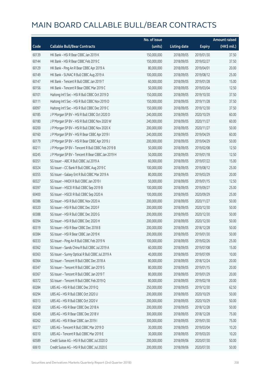|       |                                                   | No. of issue |                     |               | <b>Amount raised</b> |
|-------|---------------------------------------------------|--------------|---------------------|---------------|----------------------|
| Code  | <b>Callable Bull/Bear Contracts</b>               | (units)      | <b>Listing date</b> | <b>Expiry</b> | (HK\$ mil.)          |
| 60139 | HK Bank - HSI R Bear CBBC Jan 2019 K              | 150,000,000  | 2018/09/05          | 2019/01/30    | 37.50                |
| 60144 | HK Bank - HSI R Bear CBBC Feb 2019 C              | 150,000,000  | 2018/09/05          | 2019/02/27    | 37.50                |
| 60129 | HK Bank - Ping An R Bear CBBC Apr 2019 A          | 80,000,000   | 2018/09/05          | 2019/04/01    | 20.00                |
| 60149 | HK Bank - SUNAC R Bull CBBC Aug 2019 A            | 100,000,000  | 2018/09/05          | 2019/08/12    | 25.00                |
| 60147 | HK Bank - Tencent R Bull CBBC Jan 2019 T          | 60,000,000   | 2018/09/05          | 2019/01/28    | 15.00                |
| 60156 | HK Bank - Tencent R Bear CBBC Mar 2019 C          | 50,000,000   | 2018/09/05          | 2019/03/04    | 12.50                |
| 60101 | Haitong Int'l Sec - HSI R Bull CBBC Oct 2019 D    | 150,000,000  | 2018/09/05          | 2019/10/30    | 37.50                |
| 60111 | Haitong Int'l Sec - HSI R Bull CBBC Nov 2019 D    | 150,000,000  | 2018/09/05          | 2019/11/28    | 37.50                |
| 60097 | Haitong Int'l Sec - HSI R Bull CBBC Dec 2019 C    | 150,000,000  | 2018/09/05          | 2019/12/30    | 37.50                |
| 60185 | J P Morgan SP BV - HSI R Bull CBBC Oct 2020 D     | 240,000,000  | 2018/09/05          | 2020/10/29    | 60.00                |
| 60180 | J P Morgan SP BV - HSI R Bull CBBC Nov 2020 W     | 240,000,000  | 2018/09/05          | 2020/11/27    | 60.00                |
| 60200 | J P Morgan SP BV - HSI R Bull CBBC Nov 2020 X     | 200,000,000  | 2018/09/05          | 2020/11/27    | 50.00                |
| 60160 | J P Morgan SP BV - HSI R Bear CBBC Apr 2019 I     | 240,000,000  | 2018/09/05          | 2019/04/29    | 60.00                |
| 60179 | J P Morgan SP BV - HSI R Bear CBBC Apr 2019 J     | 200,000,000  | 2018/09/05          | 2019/04/29    | 50.00                |
| 60211 | J P Morgan SP BV - Tencent R Bull CBBC Feb 2019 B | 50,000,000   | 2018/09/05          | 2019/02/08    | 12.50                |
| 60245 | J P Morgan SP BV - Tencent R Bear CBBC Jan 2019 H | 50,000,000   | 2018/09/05          | 2019/01/18    | 12.50                |
| 60351 | SG Issuer - ABC R Bull CBBC Jul 2019 A            | 60,000,000   | 2018/09/05          | 2019/07/22    | 15.00                |
| 60324 | SG Issuer - CC Bank R Bull CBBC Aug 2019 C        | 100,000,000  | 2018/09/05          | 2019/08/12    | 25.00                |
| 60355 | SG Issuer - Galaxy Ent R Bull CBBC Mar 2019 A     | 80,000,000   | 2018/09/05          | 2019/03/29    | 20.00                |
| 60327 | SG Issuer - HKEX R Bull CBBC Jan 2019 I           | 50,000,000   | 2018/09/05          | 2019/01/15    | 12.50                |
| 60397 | SG Issuer - HSCEI R Bull CBBC Sep 2019 B          | 100,000,000  | 2018/09/05          | 2019/09/27    | 25.00                |
| 60400 | SG Issuer - HSCEI R Bull CBBC Sep 2020 A          | 100,000,000  | 2018/09/05          | 2020/09/29    | 25.00                |
| 60386 | SG Issuer - HSI R Bull CBBC Nov 2020 A            | 200,000,000  | 2018/09/05          | 2020/11/27    | 50.00                |
| 60320 | SG Issuer - HSI R Bull CBBC Dec 2020 F            | 200,000,000  | 2018/09/05          | 2020/12/30    | 50.00                |
| 60388 | SG Issuer - HSI R Bull CBBC Dec 2020 G            | 200,000,000  | 2018/09/05          | 2020/12/30    | 50.00                |
| 60394 | SG Issuer - HSI R Bull CBBC Dec 2020 H            | 200,000,000  | 2018/09/05          | 2020/12/30    | 50.00                |
| 60319 | SG Issuer - HSI R Bear CBBC Dec 2018 B            | 200,000,000  | 2018/09/05          | 2018/12/28    | 50.00                |
| 60384 | SG Issuer - HSI R Bear CBBC Jan 2019 K            | 200,000,000  | 2018/09/05          | 2019/01/30    | 50.00                |
| 60333 | SG Issuer - Ping An R Bull CBBC Feb 2019 N        | 100,000,000  | 2018/09/05          | 2019/02/26    | 25.00                |
| 60362 | SG Issuer - Sands China R Bull CBBC Jul 2019 A    | 60,000,000   | 2018/09/05          | 2019/07/08    | 15.00                |
| 60363 | SG Issuer - Sunny Optical R Bull CBBC Jul 2019 A  | 40,000,000   | 2018/09/05          | 2019/07/09    | 10.00                |
| 60364 | SG Issuer - Tencent R Bull CBBC Dec 2018 A        | 80,000,000   | 2018/09/05          | 2018/12/24    | 20.00                |
| 60347 | SG Issuer - Tencent R Bull CBBC Jan 2019 S        | 80,000,000   | 2018/09/05          | 2019/01/15    | 20.00                |
| 60367 | SG Issuer - Tencent R Bull CBBC Jan 2019 T        | 80,000,000   | 2018/09/05          | 2019/01/29    | 20.00                |
| 60372 | SG Issuer - Tencent R Bull CBBC Feb 2019 Q        | 80,000,000   | 2018/09/05          | 2019/02/18    | 20.00                |
| 60284 | UBS AG - HSI R Bull CBBC Dec 2019 Q               | 250,000,000  | 2018/09/05          | 2019/12/30    | 62.50                |
| 60294 | UBS AG - HSI R Bull CBBC Oct 2020 U               | 200,000,000  | 2018/09/05          | 2020/10/29    | 50.00                |
| 60313 | UBS AG - HSI R Bull CBBC Oct 2020 V               | 200,000,000  | 2018/09/05          | 2020/10/29    | 50.00                |
| 60258 | UBS AG - HSI R Bear CBBC Dec 2018 A               | 200,000,000  | 2018/09/05          | 2018/12/28    | 50.00                |
| 60249 | UBS AG - HSI R Bear CBBC Dec 2018 V               | 300,000,000  | 2018/09/05          | 2018/12/28    | 75.00                |
| 60262 | UBS AG - HSI R Bear CBBC Jan 2019 I               | 300,000,000  | 2018/09/05          | 2019/01/30    | 75.00                |
| 60277 | UBS AG - Tencent R Bull CBBC Mar 2019 D           | 30,000,000   | 2018/09/05          | 2019/03/04    | 10.20                |
| 60310 | UBS AG - Tencent R Bull CBBC Mar 2019 E           | 30,000,000   | 2018/09/05          | 2019/03/20    | 10.20                |
| 60589 | Credit Suisse AG - HSI R Bull CBBC Jul 2020 D     | 200,000,000  | 2018/09/06          | 2020/07/30    | 50.00                |
| 60610 | Credit Suisse AG - HSI R Bull CBBC Jul 2020 E     | 200,000,000  | 2018/09/06          | 2020/07/30    | 50.00                |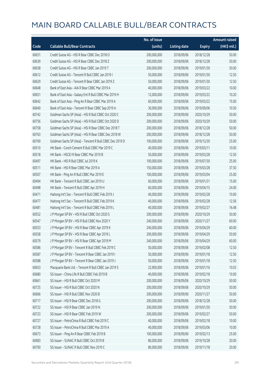|       |                                                          | No. of issue |                     |               | Amount raised |
|-------|----------------------------------------------------------|--------------|---------------------|---------------|---------------|
| Code  | <b>Callable Bull/Bear Contracts</b>                      | (units)      | <b>Listing date</b> | <b>Expiry</b> | $(HK\$ mil.)  |
| 60631 | Credit Suisse AG - HSI R Bear CBBC Dec 2018 O            | 200,000,000  | 2018/09/06          | 2018/12/28    | 50.00         |
| 60639 | Credit Suisse AG - HSI R Bear CBBC Dec 2018 Z            | 200,000,000  | 2018/09/06          | 2018/12/28    | 50.00         |
| 60638 | Credit Suisse AG - HSI R Bear CBBC Jan 2019 T            | 200,000,000  | 2018/09/06          | 2019/01/30    | 50.00         |
| 60612 | Credit Suisse AG - Tencent R Bull CBBC Jan 2019 I        | 50,000,000   | 2018/09/06          | 2019/01/30    | 12.50         |
| 60629 | Credit Suisse AG - Tencent R Bear CBBC Jan 2019 Z        | 50,000,000   | 2018/09/06          | 2019/01/30    | 12.50         |
| 60648 | Bank of East Asia - AIA R Bear CBBC Mar 2019 A           | 40,000,000   | 2018/09/06          | 2019/03/22    | 10.00         |
| 60651 | Bank of East Asia - Galaxy Ent R Bull CBBC Mar 2019 H    | 12,000,000   | 2018/09/06          | 2019/03/22    | 10.20         |
| 60642 | Bank of East Asia - Ping An R Bear CBBC Mar 2019 A       | 60,000,000   | 2018/09/06          | 2019/03/22    | 15.00         |
| 60640 | Bank of East Asia - Tencent R Bear CBBC Sep 2019 A       | 30,000,000   | 2018/09/06          | 2019/09/06    | 10.50         |
| 60742 | Goldman Sachs SP (Asia) - HSI R Bull CBBC Oct 2020 C     | 200,000,000  | 2018/09/06          | 2020/10/29    | 50.00         |
| 60756 | Goldman Sachs SP (Asia) - HSI R Bull CBBC Oct 2020 D     | 200,000,000  | 2018/09/06          | 2020/10/29    | 50.00         |
| 60758 | Goldman Sachs SP (Asia) - HSI R Bear CBBC Dec 2018 T     | 200,000,000  | 2018/09/06          | 2018/12/28    | 50.00         |
| 60763 | Goldman Sachs SP (Asia) - HSI R Bear CBBC Dec 2018 W     | 200,000,000  | 2018/09/06          | 2018/12/28    | 50.00         |
| 60769 | Goldman Sachs SP (Asia) - Tencent R Bull CBBC Dec 2019 D | 100,000,000  | 2018/09/06          | 2019/12/30    | 25.00         |
| 60510 | HK Bank - Conch Cement R Bull CBBC Mar 2019 C            | 40,000,000   | 2018/09/06          | 2019/03/11    | 10.00         |
| 60518 | HK Bank - HSCEI R Bear CBBC Mar 2019 B                   | 50,000,000   | 2018/09/06          | 2019/03/28    | 12.50         |
| 60497 | HK Bank - HSI R Bull CBBC Jul 2019 K                     | 100,000,000  | 2018/09/06          | 2019/07/30    | 25.00         |
| 60511 | HK Bank - HSI R Bear CBBC Mar 2019 A                     | 150,000,000  | 2018/09/06          | 2019/03/28    | 37.50         |
| 60507 | HK Bank - Ping An R Bull CBBC Mar 2019 E                 | 100,000,000  | 2018/09/06          | 2019/03/04    | 25.00         |
| 60494 | HK Bank - Tencent R Bull CBBC Jan 2019 U                 | 60,000,000   | 2018/09/06          | 2019/01/31    | 15.00         |
| 60498 | HK Bank - Tencent R Bull CBBC Apr 2019 H                 | 60,000,000   | 2018/09/06          | 2019/04/15    | 24.00         |
| 60471 | Haitong Int'l Sec - Tencent R Bull CBBC Feb 2019 J       | 40,000,000   | 2018/09/06          | 2019/02/28    | 10.00         |
| 60477 | Haitong Int'l Sec - Tencent R Bull CBBC Feb 2019 K       | 40,000,000   | 2018/09/06          | 2019/02/28    | 12.56         |
| 60481 | Haitong Int'l Sec - Tencent R Bull CBBC Feb 2019 L       | 40,000,000   | 2018/09/06          | 2019/02/27    | 16.48         |
| 60552 | J P Morgan SP BV - HSI R Bull CBBC Oct 2020 S            | 200,000,000  | 2018/09/06          | 2020/10/29    | 50.00         |
| 60547 | J P Morgan SP BV - HSI R Bull CBBC Nov 2020 Y            | 240,000,000  | 2018/09/06          | 2020/11/27    | 60.00         |
| 60553 | J P Morgan SP BV - HSI R Bear CBBC Apr 2019 K            | 240,000,000  | 2018/09/06          | 2019/04/29    | 60.00         |
| 60558 | J P Morgan SP BV - HSI R Bear CBBC Apr 2019 L            | 200,000,000  | 2018/09/06          | 2019/04/29    | 50.00         |
| 60579 | J P Morgan SP BV - HSI R Bear CBBC Apr 2019 M            | 240,000,000  | 2018/09/06          | 2019/04/29    | 60.00         |
| 60586 | J P Morgan SP BV - Tencent R Bull CBBC Feb 2019 C        | 50,000,000   | 2018/09/06          | 2019/02/08    | 12.50         |
| 60587 | J P Morgan SP BV - Tencent R Bear CBBC Jan 2019 I        | 50,000,000   | 2018/09/06          | 2019/01/18    | 12.50         |
| 60588 | JP Morgan SP BV - Tencent R Bear CBBC Jan 2019 J         | 50,000,000   | 2018/09/06          | 2019/01/18    | 12.50         |
| 60653 | Macquarie Bank Ltd. - Tencent R Bull CBBC Jan 2019 S     | 22,900,000   | 2018/09/06          | 2019/01/16    | 10.03         |
| 60680 | SG Issuer - China Life R Bull CBBC Feb 2019 B            | 40,000,000   | 2018/09/06          | 2019/02/18    | 10.00         |
| 60661 | SG Issuer - HSI R Bull CBBC Oct 2020 M                   | 200,000,000  | 2018/09/06          | 2020/10/29    | 50.00         |
| 60725 | SG Issuer - HSI R Bull CBBC Oct 2020 N                   | 200,000,000  | 2018/09/06          | 2020/10/29    | 50.00         |
| 60666 | SG Issuer - HSI R Bull CBBC Nov 2020 B                   | 200,000,000  | 2018/09/06          | 2020/11/27    | 50.00         |
| 60717 | SG Issuer - HSI R Bear CBBC Dec 2018 G                   | 200,000,000  | 2018/09/06          | 2018/12/28    | 50.00         |
| 60722 | SG Issuer - HSI R Bear CBBC Jan 2019 N                   | 200,000,000  | 2018/09/06          | 2019/01/30    | 50.00         |
| 60723 | SG Issuer - HSI R Bear CBBC Feb 2019 W                   | 200,000,000  | 2018/09/06          | 2019/02/27    | 50.00         |
| 60727 | SG Issuer - PetroChina R Bull CBBC Feb 2019 C            | 40,000,000   | 2018/09/06          | 2019/02/18    | 10.00         |
| 60728 | SG Issuer - PetroChina R Bull CBBC Mar 2019 A            | 40,000,000   | 2018/09/06          | 2019/03/06    | 10.00         |
| 60673 | SG Issuer - Ping An R Bear CBBC Feb 2019 B               | 100,000,000  | 2018/09/06          | 2019/02/13    | 25.00         |
| 60683 | SG Issuer - SUNAC R Bull CBBC Oct 2019 B                 | 80,000,000   | 2018/09/06          | 2019/10/28    | 20.00         |
| 60700 | SG Issuer - SUNAC R Bull CBBC Nov 2019 C                 | 80,000,000   | 2018/09/06          | 2019/11/18    | 20.00         |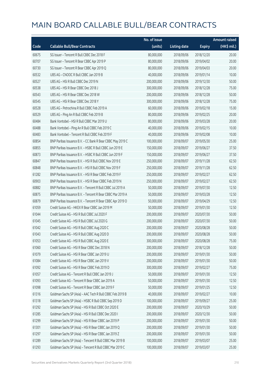|       |                                                            | No. of issue |                     |               | <b>Amount raised</b> |
|-------|------------------------------------------------------------|--------------|---------------------|---------------|----------------------|
| Code  | <b>Callable Bull/Bear Contracts</b>                        | (units)      | <b>Listing date</b> | <b>Expiry</b> | (HK\$ mil.)          |
| 60675 | SG Issuer - Tencent R Bull CBBC Dec 2018 F                 | 80,000,000   | 2018/09/06          | 2018/12/20    | 20.00                |
| 60707 | SG Issuer - Tencent R Bear CBBC Apr 2019 P                 | 80,000,000   | 2018/09/06          | 2019/04/02    | 20.00                |
| 60730 | SG Issuer - Tencent R Bear CBBC Apr 2019 Q                 | 80,000,000   | 2018/09/06          | 2019/04/03    | 20.00                |
| 60532 | UBS AG - CNOOC R Bull CBBC Jan 2019 B                      | 40,000,000   | 2018/09/06          | 2019/01/14    | 10.00                |
| 60527 | UBS AG - HSI R Bull CBBC Dec 2019 N                        | 200,000,000  | 2018/09/06          | 2019/12/30    | 50.00                |
| 60538 | UBS AG - HSI R Bear CBBC Dec 2018 J                        | 300,000,000  | 2018/09/06          | 2018/12/28    | 75.00                |
| 60543 | UBS AG - HSI R Bear CBBC Dec 2018 W                        | 200,000,000  | 2018/09/06          | 2018/12/28    | 50.00                |
| 60545 | UBS AG - HSI R Bear CBBC Dec 2018 Y                        | 300,000,000  | 2018/09/06          | 2018/12/28    | 75.00                |
| 60528 | UBS AG - Petrochina R Bull CBBC Feb 2019 A                 | 60,000,000   | 2018/09/06          | 2019/02/18    | 15.00                |
| 60529 | UBS AG - Ping An R Bull CBBC Feb 2019 B                    | 80,000,000   | 2018/09/06          | 2019/02/25    | 20.00                |
| 60484 | Bank Vontobel - HSI R Bull CBBC Mar 2019 U                 | 80,000,000   | 2018/09/06          | 2019/03/28    | 20.00                |
| 60488 | Bank Vontobel - Ping An R Bull CBBC Feb 2019 C             | 40,000,000   | 2018/09/06          | 2019/02/15    | 10.00                |
| 60483 | Bank Vontobel - Tencent R Bull CBBC Feb 2019 F             | 40,000,000   | 2018/09/06          | 2019/02/08    | 10.00                |
| 60854 | BNP Paribas Issuance B.V. - CC Bank R Bear CBBC May 2019 C | 100,000,000  | 2018/09/07          | 2019/05/30    | 25.00                |
| 60855 | BNP Paribas Issuance B.V. - HSBC R Bull CBBC Jun 2019 E    | 150,000,000  | 2018/09/07          | 2019/06/27    | 37.50                |
| 60873 | BNP Paribas Issuance B.V. - HSBC R Bull CBBC Jun 2019 F    | 150,000,000  | 2018/09/07          | 2019/06/27    | 37.50                |
| 60847 | BNP Paribas Issuance B.V. - HSI R Bull CBBC Nov 2019 E     | 250,000,000  | 2018/09/07          | 2019/11/28    | 62.50                |
| 60848 | BNP Paribas Issuance B.V. - HSI R Bull CBBC Nov 2019 F     | 250,000,000  | 2018/09/07          | 2019/11/28    | 62.50                |
| 61282 | BNP Paribas Issuance B.V. - HSI R Bear CBBC Feb 2019 F     | 250,000,000  | 2018/09/07          | 2019/02/27    | 62.50                |
| 60903 | BNP Paribas Issuance B.V. - HSI R Bear CBBC Feb 2019 N     | 250,000,000  | 2018/09/07          | 2019/02/27    | 62.50                |
| 60882 | BNP Paribas Issuance B.V. - Tencent R Bull CBBC Jul 2019 A | 50,000,000   | 2018/09/07          | 2019/07/30    | 12.50                |
| 60875 | BNP Paribas Issuance B.V. - Tencent R Bear CBBC Mar 2019 A | 50,000,000   | 2018/09/07          | 2019/03/28    | 12.50                |
| 60879 | BNP Paribas Issuance B.V. - Tencent R Bear CBBC Apr 2019 O | 50,000,000   | 2018/09/07          | 2019/04/29    | 12.50                |
| 61059 | Credit Suisse AG - HKEX R Bear CBBC Jan 2019 M             | 50,000,000   | 2018/09/07          | 2019/01/30    | 12.50                |
| 61044 | Credit Suisse AG - HSI R Bull CBBC Jul 2020 F              | 200,000,000  | 2018/09/07          | 2020/07/30    | 50.00                |
| 61045 | Credit Suisse AG - HSI R Bull CBBC Jul 2020 G              | 200,000,000  | 2018/09/07          | 2020/07/30    | 50.00                |
| 61042 | Credit Suisse AG - HSI R Bull CBBC Aug 2020 C              | 200,000,000  | 2018/09/07          | 2020/08/28    | 50.00                |
| 61043 | Credit Suisse AG - HSI R Bull CBBC Aug 2020 D              | 200,000,000  | 2018/09/07          | 2020/08/28    | 50.00                |
| 61053 | Credit Suisse AG - HSI R Bull CBBC Aug 2020 E              | 300,000,000  | 2018/09/07          | 2020/08/28    | 75.00                |
| 61060 | Credit Suisse AG - HSI R Bear CBBC Dec 2018 N              | 200,000,000  | 2018/09/07          | 2018/12/28    | 50.00                |
| 61079 | Credit Suisse AG - HSI R Bear CBBC Jan 2019 U              | 200,000,000  | 2018/09/07          | 2019/01/30    | 50.00                |
| 61084 | Credit Suisse AG - HSI R Bear CBBC Jan 2019 V              | 200,000,000  | 2018/09/07          | 2019/01/30    | 50.00                |
| 61092 | Credit Suisse AG - HSI R Bear CBBC Feb 2019 D              | 300,000,000  | 2018/09/07          | 2019/02/27    | 75.00                |
| 61057 | Credit Suisse AG - Tencent R Bull CBBC Jan 2019 J          | 50,000,000   | 2018/09/07          | 2019/01/30    | 12.50                |
| 61093 | Credit Suisse AG - Tencent R Bear CBBC Jan 2019 A          | 50,000,000   | 2018/09/07          | 2019/01/30    | 12.50                |
| 61098 | Credit Suisse AG - Tencent R Bear CBBC Jan 2019 F          | 50,000,000   | 2018/09/07          | 2019/01/25    | 12.50                |
| 61316 | Goldman Sachs SP (Asia) - AAC Tech R Bull CBBC Feb 2019 B  | 40,000,000   | 2018/09/07          | 2019/02/27    | 10.00                |
| 61318 | Goldman Sachs SP (Asia) - HSBC R Bull CBBC Sep 2019 D      | 100,000,000  | 2018/09/07          | 2019/09/27    | 25.00                |
| 61292 | Goldman Sachs SP (Asia) - HSI R Bull CBBC Oct 2020 E       | 200,000,000  | 2018/09/07          | 2020/10/29    | 50.00                |
| 61285 | Goldman Sachs SP (Asia) - HSI R Bull CBBC Dec 2020 I       | 200,000,000  | 2018/09/07          | 2020/12/30    | 50.00                |
| 61299 | Goldman Sachs SP (Asia) - HSI R Bear CBBC Jan 2019 P       | 200,000,000  | 2018/09/07          | 2019/01/30    | 50.00                |
| 61301 | Goldman Sachs SP (Asia) - HSI R Bear CBBC Jan 2019 Q       | 200,000,000  | 2018/09/07          | 2019/01/30    | 50.00                |
| 61297 | Goldman Sachs SP (Asia) - HSI R Bear CBBC Jan 2019 Z       | 200,000,000  | 2018/09/07          | 2019/01/30    | 50.00                |
| 61289 | Goldman Sachs SP (Asia) - Tencent R Bull CBBC Mar 2019 B   | 100,000,000  | 2018/09/07          | 2019/03/07    | 25.00                |
| 61293 | Goldman Sachs SP (Asia) - Tencent R Bull CBBC Mar 2019 C   | 100,000,000  | 2018/09/07          | 2019/03/07    | 25.00                |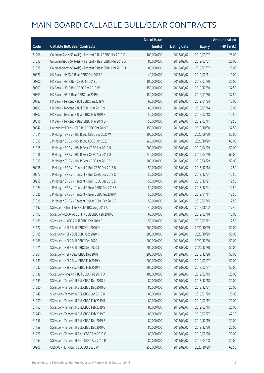|       |                                                          | No. of issue |                     |               | <b>Amount raised</b> |
|-------|----------------------------------------------------------|--------------|---------------------|---------------|----------------------|
| Code  | <b>Callable Bull/Bear Contracts</b>                      | (units)      | <b>Listing date</b> | <b>Expiry</b> | (HK\$ mil.)          |
| 61296 | Goldman Sachs SP (Asia) - Tencent R Bull CBBC Mar 2019 K | 100,000,000  | 2018/09/07          | 2019/03/07    | 25.00                |
| 61313 | Goldman Sachs SP (Asia) - Tencent R Bear CBBC Mar 2019 G | 80,000,000   | 2018/09/07          | 2019/03/07    | 20.00                |
| 61315 | Goldman Sachs SP (Asia) - Tencent R Bear CBBC Mar 2019 H | 80,000,000   | 2018/09/07          | 2019/03/07    | 20.00                |
| 60827 | HK Bank - HKEX R Bear CBBC Feb 2019 B                    | 40,000,000   | 2018/09/07          | 2019/02/11    | 10.00                |
| 60800 | HK Bank - HSI R Bull CBBC Jul 2019 L                     | 100,000,000  | 2018/09/07          | 2019/07/30    | 25.00                |
| 60809 | HK Bank - HSI R Bull CBBC Dec 2019 W                     | 150,000,000  | 2018/09/07          | 2019/12/30    | 37.50                |
| 60803 | HK Bank - HSI R Bear CBBC Jan 2019 L                     | 150,000,000  | 2018/09/07          | 2019/01/30    | 37.50                |
| 60787 | HK Bank - Tencent R Bull CBBC Jan 2019 V                 | 60,000,000   | 2018/09/07          | 2019/01/24    | 15.00                |
| 60789 | HK Bank - Tencent R Bull CBBC Mar 2019 N                 | 60,000,000   | 2018/09/07          | 2019/03/14    | 15.00                |
| 60802 | HK Bank - Tencent R Bear CBBC Feb 2019 H                 | 50,000,000   | 2018/09/07          | 2019/02/18    | 12.50                |
| 60816 | HK Bank - Tencent R Bear CBBC Mar 2019 D                 | 50,000,000   | 2018/09/07          | 2019/03/11    | 12.50                |
| 60842 | Haitong Int'l Sec - HSI R Bull CBBC Oct 2019 E           | 150,000,000  | 2018/09/07          | 2019/10/30    | 37.50                |
| 61011 | J P Morgan SP BV - HSI R Bull CBBC Sep 2020 W            | 200,000,000  | 2018/09/07          | 2020/09/29    | 50.00                |
| 61013 | J P Morgan SP BV - HSI R Bull CBBC Oct 2020 T            | 240,000,000  | 2018/09/07          | 2020/10/29    | 60.00                |
| 61015 | J P Morgan SP BV - HSI R Bear CBBC Apr 2019 N            | 200,000,000  | 2018/09/07          | 2019/04/29    | 50.00                |
| 61016 | J P Morgan SP BV - HSI R Bear CBBC Apr 2019 O            | 240,000,000  | 2018/09/07          | 2019/04/29    | 60.00                |
| 61017 | J P Morgan SP BV - HSI R Bear CBBC Apr 2019 P            | 200,000,000  | 2018/09/07          | 2019/04/29    | 50.00                |
| 60958 | J P Morgan SP BV - Tencent R Bull CBBC Dec 2018 B        | 50,000,000   | 2018/09/07          | 2018/12/14    | 12.50                |
| 60977 | J P Morgan SP BV - Tencent R Bull CBBC Dec 2018 C        | 50,000,000   | 2018/09/07          | 2018/12/21    | 12.50                |
| 60955 | J P Morgan SP BV - Tencent R Bull CBBC Dec 2018 L        | 50,000,000   | 2018/09/07          | 2018/12/21    | 12.50                |
| 61024 | J P Morgan SP BV - Tencent R Bear CBBC Dec 2018 S        | 50,000,000   | 2018/09/07          | 2018/12/21    | 12.50                |
| 61025 | J P Morgan SP BV - Tencent R Bear CBBC Jan 2019 K        | 50,000,000   | 2018/09/07          | 2019/01/11    | 12.50                |
| 61028 | J P Morgan SP BV - Tencent R Bear CBBC Feb 2019 B        | 50,000,000   | 2018/09/07          | 2019/02/15    | 12.50                |
| 61197 | SG Issuer - China Life R Bull CBBC Aug 2019 A            | 40,000,000   | 2018/09/07          | 2019/08/02    | 17.40                |
| 61193 | SG Issuer - CSOP A50 ETF R Bull CBBC Feb 2019 G          | 60,000,000   | 2018/09/07          | 2019/02/18    | 15.00                |
| 61133 | SG Issuer - HKEX R Bull CBBC Feb 2019 F                  | 50,000,000   | 2018/09/07          | 2019/02/12    | 12.50                |
| 61172 | SG Issuer - HSI R Bull CBBC Oct 2020 O                   | 200,000,000  | 2018/09/07          | 2020/10/29    | 50.00                |
| 61185 | SG Issuer - HSI R Bull CBBC Oct 2020 P                   | 200,000,000  | 2018/09/07          | 2020/10/29    | 50.00                |
| 61186 | SG Issuer - HSI R Bull CBBC Dec 2020 I                   | 200,000,000  | 2018/09/07          | 2020/12/30    | 50.00                |
| 61271 | SG Issuer - HSI R Bull CBBC Dec 2020 J                   | 200,000,000  | 2018/09/07          | 2020/12/30    | 50.00                |
| 61261 | SG Issuer - HSI R Bear CBBC Dec 2018 I                   | 200,000,000  | 2018/09/07          | 2018/12/28    | 50.00                |
| 61233 | SG Issuer - HSI R Bear CBBC Feb 2019 X                   | 200,000,000  | 2018/09/07          | 2019/02/27    | 50.00                |
| 61237 | SG Issuer - HSI R Bear CBBC Feb 2019 Y                   | 200,000,000  | 2018/09/07          | 2019/02/27    | 50.00                |
| 61138 | SG Issuer - Ping An R Bull CBBC Feb 2019 O               | 100,000,000  | 2018/09/07          | 2019/02/15    | 25.00                |
| 61199 | SG Issuer - Tencent R Bull CBBC Dec 2018 J               | 80,000,000   | 2018/09/07          | 2018/12/18    | 20.00                |
| 61220 | SG Issuer - Tencent R Bull CBBC Dec 2018 Q               | 80,000,000   | 2018/09/07          | 2018/12/31    | 20.00                |
| 61142 | SG Issuer - Tencent R Bull CBBC Jan 2019 U               | 80,000,000   | 2018/09/07          | 2019/01/29    | 20.00                |
| 61150 | SG Issuer - Tencent R Bull CBBC Feb 2019 R               | 80,000,000   | 2018/09/07          | 2019/02/12    | 20.00                |
| 61153 | SG Issuer - Tencent R Bull CBBC Feb 2019 S               | 80,000,000   | 2018/09/07          | 2019/02/15    | 20.00                |
| 61240 | SG Issuer - Tencent R Bull CBBC Feb 2019 T               | 80,000,000   | 2018/09/07          | 2019/02/27    | 47.20                |
| 61156 | SG Issuer - Tencent R Bull CBBC Dec 2019 B               | 80,000,000   | 2018/09/07          | 2019/12/19    | 20.00                |
| 61159 | SG Issuer - Tencent R Bull CBBC Dec 2019 C               | 80,000,000   | 2018/09/07          | 2019/12/20    | 20.00                |
| 61227 | SG Issuer - Tencent R Bear CBBC Feb 2019 C               | 80,000,000   | 2018/09/07          | 2019/02/28    | 20.00                |
| 61253 | SG Issuer - Tencent R Bear CBBC Apr 2019 R               | 80,000,000   | 2018/09/07          | 2019/04/08    | 20.00                |
| 60906 | UBS AG - HSI R Bull CBBC Oct 2020 W                      | 250,000,000  | 2018/09/07          | 2020/10/29    | 62.50                |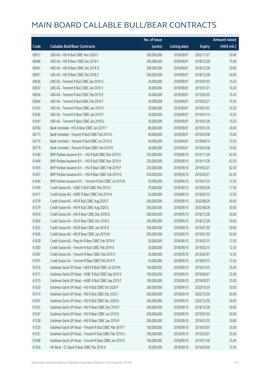|       |                                                            | No. of issue |                     |               | <b>Amount raised</b>  |
|-------|------------------------------------------------------------|--------------|---------------------|---------------|-----------------------|
| Code  | <b>Callable Bull/Bear Contracts</b>                        | (units)      | <b>Listing date</b> | <b>Expiry</b> | $(HK\frac{1}{2}mil.)$ |
| 60917 | UBS AG - HSI R Bull CBBC Nov 2020 S                        | 200,000,000  | 2018/09/07          | 2020/11/27    | 50.00                 |
| 60946 | UBS AG - HSI R Bear CBBC Dec 2018 F                        | 300,000,000  | 2018/09/07          | 2018/12/28    | 75.00                 |
| 60947 | UBS AG - HSI R Bear CBBC Dec 2018 Q                        | 200,000,000  | 2018/09/07          | 2018/12/28    | 50.00                 |
| 60951 | UBS AG - HSI R Bear CBBC Dec 2018 Z                        | 200,000,000  | 2018/09/07          | 2018/12/28    | 50.00                 |
| 60926 | UBS AG - Tencent R Bull CBBC Jan 2019 U                    | 30,000,000   | 2018/09/07          | 2019/01/03    | 10.20                 |
| 60937 | UBS AG - Tencent R Bull CBBC Jan 2019 V                    | 30,000,000   | 2018/09/07          | 2019/01/21    | 10.20                 |
| 60936 | UBS AG - Tencent R Bull CBBC Feb 2019 E                    | 30,000,000   | 2018/09/07          | 2019/02/25    | 10.20                 |
| 60944 | UBS AG - Tencent R Bull CBBC Feb 2019 F                    | 30,000,000   | 2018/09/07          | 2019/02/27    | 10.20                 |
| 61032 | UBS AG - Tencent R Bear CBBC Jan 2019 E                    | 30,000,000   | 2018/09/07          | 2019/01/07    | 10.20                 |
| 61036 | UBS AG - Tencent R Bear CBBC Jan 2019 F                    | 30,000,000   | 2018/09/07          | 2019/01/14    | 10.20                 |
| 61041 | UBS AG - Tencent R Bear CBBC Jan 2019 G                    | 30,000,000   | 2018/09/07          | 2019/01/28    | 10.20                 |
| 60784 | Bank Vontobel - HSI N Bear CBBC Jan 2019 T                 | 80,000,000   | 2018/09/07          | 2019/01/30    | 20.00                 |
| 60773 | Bank Vontobel - Tencent R Bull CBBC Feb 2019 G             | 40,000,000   | 2018/09/07          | 2019/02/08    | 10.00                 |
| 60776 | Bank Vontobel - Tencent R Bull CBBC Jun 2019 D             | 40,000,000   | 2018/09/07          | 2019/06/14    | 13.20                 |
| 60779 | Bank Vontobel - Tencent R Bear CBBC Feb 2019 B             | 40,000,000   | 2018/09/07          | 2019/02/08    | 10.00                 |
| 61440 | BNP Paribas Issuance B.V. - HSI R Bull CBBC Nov 2019 G     | 250,000,000  | 2018/09/10          | 2019/11/28    | 62.50                 |
| 61449 | BNP Paribas Issuance B.V. - HSI R Bull CBBC Nov 2019 H     | 250,000,000  | 2018/09/10          | 2019/11/28    | 62.50                 |
| 61455 | BNP Paribas Issuance B.V. - HSI R Bear CBBC Feb 2019 P     | 250,000,000  | 2018/09/10          | 2019/02/27    | 62.50                 |
| 61457 | BNP Paribas Issuance B.V. - HSI R Bear CBBC Feb 2019 Q     | 250,000,000  | 2018/09/10          | 2019/02/27    | 62.50                 |
| 61444 | BNP Paribas Issuance B.V. - Tencent R Bull CBBC Jul 2019 B | 50,000,000   | 2018/09/10          | 2019/07/30    | 12.50                 |
| 61599 | Credit Suisse AG - HSBC R Bull CBBC Mar 2019 C             | 70,000,000   | 2018/09/10          | 2019/03/28    | 17.50                 |
| 61617 | Credit Suisse AG - HSBC R Bear CBBC Feb 2019 A             | 50,000,000   | 2018/09/10          | 2019/02/15    | 12.50                 |
| 61578 | Credit Suisse AG - HSI R Bull CBBC Aug 2020 F              | 200,000,000  | 2018/09/10          | 2020/08/28    | 50.00                 |
| 61579 | Credit Suisse AG - HSI R Bull CBBC Aug 2020 G              | 200,000,000  | 2018/09/10          | 2020/08/28    | 50.00                 |
| 61619 | Credit Suisse AG - HSI R Bear CBBC Dec 2018 Q              | 200,000,000  | 2018/09/10          | 2018/12/28    | 50.00                 |
| 61624 | Credit Suisse AG - HSI R Bear CBBC Dec 2018 S              | 200,000,000  | 2018/09/10          | 2018/12/28    | 50.00                 |
| 61622 | Credit Suisse AG - HSI R Bear CBBC Jan 2019 O              | 200,000,000  | 2018/09/10          | 2019/01/30    | 50.00                 |
| 61626 | Credit Suisse AG - HSI R Bear CBBC Jan 2019 W              | 200,000,000  | 2018/09/10          | 2019/01/30    | 50.00                 |
| 61628 | Credit Suisse AG - Ping An R Bear CBBC Feb 2019 B          | 50,000,000   | 2018/09/10          | 2019/02/15    | 12.50                 |
| 61583 | Credit Suisse AG - Tencent R Bull CBBC Feb 2019 G          | 50,000,000   | 2018/09/10          | 2019/02/15    | 12.50                 |
| 61587 | Credit Suisse AG - Tencent R Bear CBBC Feb 2019 O          | 50,000,000   | 2018/09/10          | 2019/02/01    | 12.50                 |
| 61591 | Credit Suisse AG - Tencent R Bear CBBC Feb 2019 P          | 50,000,000   | 2018/09/10          | 2019/02/15    | 12.50                 |
| 61516 | Goldman Sachs SP (Asia) - HKEX R Bull CBBC Jul 2019 K      | 100,000,000  | 2018/09/10          | 2019/07/25    | 25.00                 |
| 61571 | Goldman Sachs SP (Asia) - HSBC R Bull CBBC Sep 2019 E      | 100,000,000  | 2018/09/10          | 2019/09/27    | 25.00                 |
| 61575 | Goldman Sachs SP (Asia) - HSBC R Bull CBBC Sep 2019 F      | 100,000,000  | 2018/09/10          | 2019/09/27    | 25.00                 |
| 61520 | Goldman Sachs SP (Asia) - HSI R Bull CBBC Oct 2020 F       | 200,000,000  | 2018/09/10          | 2020/10/29    | 50.00                 |
| 61514 | Goldman Sachs SP (Asia) - HSI R Bull CBBC Dec 2020 J       | 200,000,000  | 2018/09/10          | 2020/12/30    | 50.00                 |
| 61567 | Goldman Sachs SP (Asia) - HSI R Bull CBBC Dec 2020 K       | 200,000,000  | 2018/09/10          | 2020/12/30    | 50.00                 |
| 61532 | Goldman Sachs SP (Asia) - HSI R Bear CBBC Dec 2018 Y       | 200,000,000  | 2018/09/10          | 2018/12/28    | 50.00                 |
| 61547 | Goldman Sachs SP (Asia) - HSI R Bear CBBC Jan 2019 E       | 200,000,000  | 2018/09/10          | 2019/01/30    | 50.00                 |
| 61538 | Goldman Sachs SP (Asia) - HSI R Bear CBBC Jan 2019 R       | 200,000,000  | 2018/09/10          | 2019/01/30    | 50.00                 |
| 61525 | Goldman Sachs SP (Asia) - Tencent R Bull CBBC Mar 2019 T   | 100,000,000  | 2018/09/10          | 2019/03/07    | 25.00                 |
| 61531 | Goldman Sachs SP (Asia) - Tencent R Bull CBBC Mar 2019 U   | 100,000,000  | 2018/09/10          | 2019/03/07    | 25.00                 |
| 61548 | Goldman Sachs SP (Asia) - Tencent R Bear CBBC Jan 2019 E   | 100,000,000  | 2018/09/10          | 2019/01/30    | 25.00                 |
| 61354 | HK Bank - CC Bank R Bear CBBC Mar 2019 A                   | 50,000,000   | 2018/09/10          | 2019/03/04    | 12.50                 |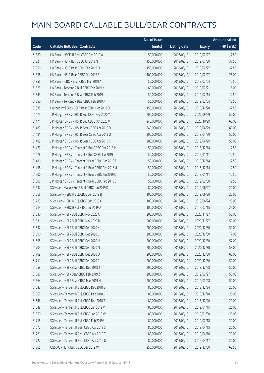|       |                                                   | No. of issue |                     |               | <b>Amount raised</b> |
|-------|---------------------------------------------------|--------------|---------------------|---------------|----------------------|
| Code  | <b>Callable Bull/Bear Contracts</b>               | (units)      | <b>Listing date</b> | <b>Expiry</b> | (HK\$ mil.)          |
| 61360 | HK Bank - HSCEI R Bear CBBC Feb 2019 A            | 50,000,000   | 2018/09/10          | 2019/02/27    | 12.50                |
| 61324 | HK Bank - HSI R Bull CBBC Jul 2019 N              | 150,000,000  | 2018/09/10          | 2019/07/30    | 37.50                |
| 61356 | HK Bank - HSI R Bear CBBC Feb 2019 D              | 150,000,000  | 2018/09/10          | 2019/02/27    | 37.50                |
| 61358 | HK Bank - HSI R Bear CBBC Feb 2019 E              | 100,000,000  | 2018/09/10          | 2019/02/27    | 25.00                |
| 61355 | HK Bank - ICBC R Bear CBBC Mar 2019 A             | 50,000,000   | 2018/09/10          | 2019/03/04    | 12.50                |
| 61323 | HK Bank - Tencent R Bull CBBC Feb 2019 K          | 60,000,000   | 2018/09/10          | 2019/02/21    | 15.00                |
| 61343 | HK Bank - Tencent R Bear CBBC Feb 2019 I          | 50,000,000   | 2018/09/10          | 2019/02/14    | 12.50                |
| 61350 | HK Bank - Tencent R Bear CBBC Feb 2019 J          | 50,000,000   | 2018/09/10          | 2019/02/04    | 12.50                |
| 61335 | Haitong Int'l Sec - HSI R Bear CBBC Dec 2018 D    | 150,000,000  | 2018/09/10          | 2018/12/28    | 37.50                |
| 61473 | J P Morgan SP BV - HSI R Bull CBBC Sep 2020 Y     | 200,000,000  | 2018/09/10          | 2020/09/29    | 50.00                |
| 61474 | J P Morgan SP BV - HSI R Bull CBBC Oct 2020 V     | 240,000,000  | 2018/09/10          | 2020/10/29    | 60.00                |
| 61483 | J P Morgan SP BV - HSI R Bear CBBC Apr 2019 D     | 240,000,000  | 2018/09/10          | 2019/04/29    | 60.00                |
| 61481 | J P Morgan SP BV - HSI R Bear CBBC Apr 2019 Q     | 200,000,000  | 2018/09/10          | 2019/04/29    | 50.00                |
| 61482 | JP Morgan SP BV - HSIR Bear CBBC Apr 2019 R       | 200,000,000  | 2018/09/10          | 2019/04/29    | 50.00                |
| 61477 | J P Morgan SP BV - Tencent R Bull CBBC Dec 2018 M | 50,000,000   | 2018/09/10          | 2018/12/14    | 12.50                |
| 61478 | J P Morgan SP BV - Tencent R Bull CBBC Jan 2019 L | 50,000,000   | 2018/09/10          | 2019/01/11    | 12.50                |
| 61486 | J P Morgan SP BV - Tencent R Bear CBBC Dec 2018 T | 50,000,000   | 2018/09/10          | 2018/12/14    | 12.50                |
| 61498 | J P Morgan SP BV - Tencent R Bear CBBC Dec 2018 U | 50,000,000   | 2018/09/10          | 2018/12/14    | 12.50                |
| 61500 | J P Morgan SP BV - Tencent R Bear CBBC Jan 2019 L | 50,000,000   | 2018/09/10          | 2019/01/11    | 12.50                |
| 61507 | J P Morgan SP BV - Tencent R Bear CBBC Feb 2019 C | 50,000,000   | 2018/09/10          | 2019/02/08    | 12.50                |
| 61637 | SG Issuer - Galaxy Ent R Bull CBBC Jun 2019 D     | 80,000,000   | 2018/09/10          | 2019/06/27    | 20.00                |
| 61666 | SG Issuer - HSBC R Bull CBBC Jun 2019 B           | 100,000,000  | 2018/09/10          | 2019/06/28    | 25.00                |
| 61713 | SG Issuer - HSBC R Bull CBBC Jun 2019 C           | 100,000,000  | 2018/09/10          | 2019/06/24    | 25.00                |
| 61714 | SG Issuer - HSBC R Bull CBBC Jul 2019 A           | 100,000,000  | 2018/09/10          | 2019/07/15    | 25.00                |
| 61630 | SG Issuer - HSI R Bull CBBC Nov 2020 C            | 200,000,000  | 2018/09/10          | 2020/11/27    | 50.00                |
| 61631 | SG Issuer - HSI R Bull CBBC Nov 2020 D            | 200,000,000  | 2018/09/10          | 2020/11/27    | 50.00                |
| 61632 | SG Issuer - HSI R Bull CBBC Dec 2020 K            | 200,000,000  | 2018/09/10          | 2020/12/30    | 50.00                |
| 61690 | SG Issuer - HSI R Bull CBBC Dec 2020 L            | 200,000,000  | 2018/09/10          | 2020/12/30    | 77.00                |
| 61695 | SG Issuer - HSI R Bull CBBC Dec 2020 M            | 200,000,000  | 2018/09/10          | 2020/12/30    | 57.00                |
| 61703 | SG Issuer - HSI R Bull CBBC Dec 2020 N            | 200,000,000  | 2018/09/10          | 2020/12/30    | 53.00                |
| 61709 | SG Issuer - HSI R Bull CBBC Dec 2020 O            | 200,000,000  | 2018/09/10          | 2020/12/30    | 60.00                |
| 61711 | SG Issuer - HSI R Bull CBBC Dec 2020 P            | 200,000,000  | 2018/09/10          | 2020/12/30    | 50.00                |
| 61659 | SG Issuer - HSI R Bear CBBC Dec 2018 J            | 200,000,000  | 2018/09/10          | 2018/12/28    | 50.00                |
| 61687 | SG Issuer - HSI R Bear CBBC Feb 2019 Z            | 200,000,000  | 2018/09/10          | 2019/02/27    | 50.00                |
| 61664 | SG Issuer - HSI R Bear CBBC Mar 2019 H            | 200,000,000  | 2018/09/10          | 2019/03/28    | 50.00                |
| 61647 | SG Issuer - Tencent R Bull CBBC Dec 2018 B        | 80,000,000   | 2018/09/10          | 2018/12/24    | 20.00                |
| 61667 | SG Issuer - Tencent R Bull CBBC Dec 2018 D        | 80,000,000   | 2018/09/10          | 2018/12/18    | 20.00                |
| 61646 | SG Issuer - Tencent R Bull CBBC Dec 2018 T        | 80,000,000   | 2018/09/10          | 2018/12/20    | 20.00                |
| 61648 | SG Issuer - Tencent R Bull CBBC Jan 2019 V        | 80,000,000   | 2018/09/10          | 2019/01/15    | 20.00                |
| 61650 | SG Issuer - Tencent R Bull CBBC Jan 2019 W        | 80,000,000   | 2018/09/10          | 2019/01/30    | 20.00                |
| 61715 | SG Issuer - Tencent R Bull CBBC Feb 2019 U        | 80,000,000   | 2018/09/10          | 2019/02/18    | 20.00                |
| 61672 | SG Issuer - Tencent R Bear CBBC Apr 2019 S        | 80,000,000   | 2018/09/10          | 2019/04/15    | 20.00                |
| 61721 | SG Issuer - Tencent R Bear CBBC Apr 2019 T        | 80,000,000   | 2018/09/10          | 2019/04/10    | 20.00                |
| 61722 | SG Issuer - Tencent R Bear CBBC Apr 2019 U        | 80,000,000   | 2018/09/10          | 2019/04/17    | 20.00                |
| 61365 | UBS AG - HSI R Bull CBBC Dec 2019 W               | 250,000,000  | 2018/09/10          | 2019/12/30    | 62.50                |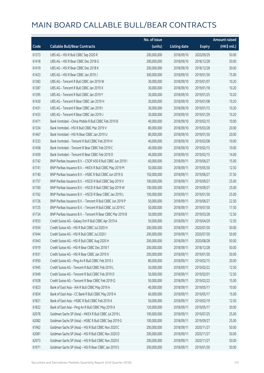|       |                                                             | No. of issue |                     |               | <b>Amount raised</b> |
|-------|-------------------------------------------------------------|--------------|---------------------|---------------|----------------------|
| Code  | <b>Callable Bull/Bear Contracts</b>                         | (units)      | <b>Listing date</b> | <b>Expiry</b> | (HK\$ mil.)          |
| 61373 | UBS AG - HSI R Bull CBBC Sep 2020 R                         | 200,000,000  | 2018/09/10          | 2020/09/29    | 50.00                |
| 61418 | UBS AG - HSI R Bear CBBC Dec 2018 G                         | 200,000,000  | 2018/09/10          | 2018/12/28    | 50.00                |
| 61419 | UBS AG - HSI R Bear CBBC Dec 2018 K                         | 200,000,000  | 2018/09/10          | 2018/12/28    | 50.00                |
| 61423 | UBS AG - HSI R Bear CBBC Jan 2019 J                         | 300,000,000  | 2018/09/10          | 2019/01/30    | 75.00                |
| 61383 | UBS AG - Tencent R Bull CBBC Jan 2019 W                     | 30,000,000   | 2018/09/10          | 2019/01/07    | 10.20                |
| 61387 | UBS AG - Tencent R Bull CBBC Jan 2019 X                     | 30,000,000   | 2018/09/10          | 2019/01/18    | 10.20                |
| 61395 | UBS AG - Tencent R Bull CBBC Jan 2019 Y                     | 30,000,000   | 2018/09/10          | 2019/01/25    | 10.20                |
| 61430 | UBS AG - Tencent R Bear CBBC Jan 2019 H                     | 30,000,000   | 2018/09/10          | 2019/01/08    | 10.20                |
| 61431 | UBS AG - Tencent R Bear CBBC Jan 2019 I                     | 30,000,000   | 2018/09/10          | 2019/01/15    | 10.20                |
| 61433 | UBS AG - Tencent R Bear CBBC Jan 2019 J                     | 30,000,000   | 2018/09/10          | 2019/01/29    | 10.20                |
| 61471 | Bank Vontobel - China Mobile R Bull CBBC Feb 2019 B         | 40,000,000   | 2018/09/10          | 2019/02/15    | 10.00                |
| 61334 | Bank Vontobel - HSI R Bull CBBC Mar 2019 V                  | 80,000,000   | 2018/09/10          | 2019/03/28    | 20.00                |
| 61467 | Bank Vontobel - HSI N Bear CBBC Jan 2019 U                  | 80,000,000   | 2018/09/10          | 2019/01/30    | 20.00                |
| 61333 | Bank Vontobel - Tencent R Bull CBBC Feb 2019 H              | 40,000,000   | 2018/09/10          | 2019/02/08    | 10.00                |
| 61458 | Bank Vontobel - Tencent R Bear CBBC Feb 2019 C              | 40,000,000   | 2018/09/10          | 2019/02/15    | 10.00                |
| 61459 | Bank Vontobel - Tencent R Bear CBBC Feb 2019 D              | 40,000,000   | 2018/09/10          | 2019/02/15    | 14.00                |
| 61742 | BNP Paribas Issuance B.V. - CSOP A50 R Bull CBBC Jun 2019 I | 60,000,000   | 2018/09/11          | 2019/06/27    | 15.00                |
| 61741 | BNP Paribas Issuance B.V. - HKEX R Bull CBBC May 2019 M     | 50,000,000   | 2018/09/11          | 2019/05/30    | 12.50                |
| 61740 | BNP Paribas Issuance B.V. - HSBC R Bull CBBC Jun 2019 G     | 150,000,000  | 2018/09/11          | 2019/06/27    | 37.50                |
| 61757 | BNP Paribas Issuance B.V. - HSCEI R Bull CBBC Sep 2019 V    | 100,000,000  | 2018/09/11          | 2019/09/27    | 25.00                |
| 61760 | BNP Paribas Issuance B.V. - HSCEI R Bull CBBC Sep 2019 W    | 100,000,000  | 2018/09/11          | 2019/09/27    | 25.00                |
| 61762 | BNP Paribas Issuance B.V. - HSCEI R Bear CBBC Jan 2019 L    | 100,000,000  | 2018/09/11          | 2019/01/30    | 25.00                |
| 61726 | BNP Paribas Issuance B.V. - Tencent R Bull CBBC Jun 2019 P  | 50,000,000   | 2018/09/11          | 2019/06/27    | 22.50                |
| 61725 | BNP Paribas Issuance B.V. - Tencent R Bull CBBC Jul 2019 C  | 50,000,000   | 2018/09/11          | 2019/07/30    | 17.50                |
| 61734 | BNP Paribas Issuance B.V. - Tencent R Bear CBBC Mar 2019 B  | 50,000,000   | 2018/09/11          | 2019/03/28    | 12.50                |
| 61933 | Credit Suisse AG - Galaxy Ent R Bull CBBC Apr 2019 A        | 50,000,000   | 2018/09/11          | 2019/04/29    | 12.50                |
| 61934 | Credit Suisse AG - HSI R Bull CBBC Jul 2020 H               | 200,000,000  | 2018/09/11          | 2020/07/30    | 50.00                |
| 61944 | Credit Suisse AG - HSI R Bull CBBC Jul 2020 I               | 200,000,000  | 2018/09/11          | 2020/07/30    | 50.00                |
| 61943 | Credit Suisse AG - HSI R Bull CBBC Aug 2020 H               | 200,000,000  | 2018/09/11          | 2020/08/28    | 50.00                |
| 61919 | Credit Suisse AG - HSI R Bear CBBC Dec 2018 T               | 200,000,000  | 2018/09/11          | 2018/12/28    | 50.00                |
| 61931 | Credit Suisse AG - HSI R Bear CBBC Jan 2019 X               | 200,000,000  | 2018/09/11          | 2019/01/30    | 50.00                |
| 61950 | Credit Suisse AG - Ping An R Bull CBBC Feb 2019 J           | 80,000,000   | 2018/09/11          | 2019/02/15    | 20.00                |
| 61945 | Credit Suisse AG - Tencent R Bull CBBC Feb 2019 L           | 50,000,000   | 2018/09/11          | 2019/02/22    | 12.50                |
| 61949 | Credit Suisse AG - Tencent R Bull CBBC Feb 2019 O           | 50,000,000   | 2018/09/11          | 2019/02/01    | 12.50                |
| 61928 | Credit Suisse AG - Tencent R Bear CBBC Feb 2019 Q           | 50,000,000   | 2018/09/11          | 2019/02/22    | 15.00                |
| 61823 | Bank of East Asia - AIA R Bull CBBC May 2019 A              | 40,000,000   | 2018/09/11          | 2019/05/17    | 10.00                |
| 61834 | Bank of East Asia - CC Bank R Bull CBBC May 2019 A          | 60,000,000   | 2018/09/11          | 2019/05/17    | 15.00                |
| 61821 | Bank of East Asia - HSBC R Bull CBBC Feb 2019 A             | 50,000,000   | 2018/09/11          | 2019/02/19    | 12.50                |
| 61822 | Bank of East Asia - Ping An R Bull CBBC May 2019 A          | 120,000,000  | 2018/09/11          | 2019/05/17    | 30.00                |
| 62078 | Goldman Sachs SP (Asia) - HKEX R Bull CBBC Jul 2019 L       | 100,000,000  | 2018/09/11          | 2019/07/25    | 25.00                |
| 62082 | Goldman Sachs SP (Asia) - HSBC R Bull CBBC Sep 2019 G       | 100,000,000  | 2018/09/11          | 2019/09/27    | 25.00                |
| 61962 | Goldman Sachs SP (Asia) - HSI R Bull CBBC Nov 2020 C        | 200,000,000  | 2018/09/11          | 2020/11/27    | 50.00                |
| 62081 | Goldman Sachs SP (Asia) - HSI R Bull CBBC Nov 2020 D        | 200,000,000  | 2018/09/11          | 2020/11/27    | 50.00                |
| 62073 | Goldman Sachs SP (Asia) - HSI R Bull CBBC Nov 2020 E        | 200,000,000  | 2018/09/11          | 2020/11/27    | 50.00                |
| 61971 | Goldman Sachs SP (Asia) - HSI R Bear CBBC Jan 2019 S        | 200,000,000  | 2018/09/11          | 2019/01/30    | 50.00                |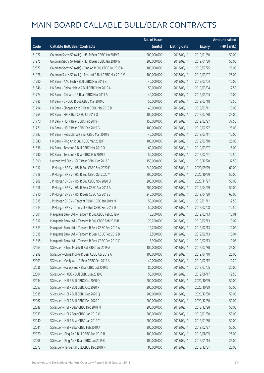|       |                                                          | No. of issue |                     |               | <b>Amount raised</b> |
|-------|----------------------------------------------------------|--------------|---------------------|---------------|----------------------|
| Code  | <b>Callable Bull/Bear Contracts</b>                      | (units)      | <b>Listing date</b> | <b>Expiry</b> | (HK\$ mil.)          |
| 61972 | Goldman Sachs SP (Asia) - HSI R Bear CBBC Jan 2019 T     | 200,000,000  | 2018/09/11          | 2019/01/30    | 50.00                |
| 61975 | Goldman Sachs SP (Asia) - HSI R Bear CBBC Jan 2019 W     | 200,000,000  | 2018/09/11          | 2019/01/30    | 50.00                |
| 62077 | Goldman Sachs SP (Asia) - Ping An R Bull CBBC Jul 2019 N | 100,000,000  | 2018/09/11          | 2019/07/25    | 25.00                |
| 61976 | Goldman Sachs SP (Asia) - Tencent R Bull CBBC Mar 2019 V | 100,000,000  | 2018/09/11          | 2019/03/07    | 25.00                |
| 61780 | HK Bank - AAC Tech R Bull CBBC Mar 2019 B                | 40,000,000   | 2018/09/11          | 2019/03/04    | 10.00                |
| 61846 | HK Bank - China Mobile R Bull CBBC Mar 2019 A            | 50,000,000   | 2018/09/11          | 2019/03/04    | 12.50                |
| 61774 | HK Bank - China Life R Bear CBBC Mar 2019 A              | 40,000,000   | 2018/09/11          | 2019/03/04    | 10.00                |
| 61785 | HK Bank - CNOOC R Bull CBBC Mar 2019 C                   | 50,000,000   | 2018/09/11          | 2019/03/18    | 12.50                |
| 61794 | HK Bank - Sinopec Corp R Bear CBBC Mar 2019 B            | 40,000,000   | 2018/09/11          | 2019/03/11    | 10.00                |
| 61769 | HK Bank - HSI R Bull CBBC Jul 2019 O                     | 100,000,000  | 2018/09/11          | 2019/07/30    | 25.00                |
| 61770 | HK Bank - HSI R Bear CBBC Feb 2019 F                     | 150,000,000  | 2018/09/11          | 2019/02/27    | 37.50                |
| 61771 | HK Bank - HSI R Bear CBBC Feb 2019 G                     | 100,000,000  | 2018/09/11          | 2019/02/27    | 25.00                |
| 61797 | HK Bank - PetroChina R Bear CBBC Mar 2019 B              | 40,000,000   | 2018/09/11          | 2019/03/11    | 10.00                |
| 61840 | HK Bank - Ping An R Bull CBBC Mar 2019 F                 | 100,000,000  | 2018/09/11          | 2019/03/18    | 25.00                |
| 61836 | HK Bank - Tencent R Bull CBBC Mar 2019 O                 | 60,000,000   | 2018/09/11          | 2019/03/07    | 15.00                |
| 61790 | HK Bank - Tencent R Bear CBBC Feb 2019 K                 | 50,000,000   | 2018/09/11          | 2019/02/21    | 12.50                |
| 61990 | Haitong Int'l Sec - HSI R Bear CBBC Dec 2018 E           | 150,000,000  | 2018/09/11          | 2018/12/28    | 37.50                |
| 61917 | J P Morgan SP BV - HSI R Bull CBBC Sep 2020 F            | 240,000,000  | 2018/09/11          | 2020/09/29    | 60.00                |
| 61918 | J P Morgan SP BV - HSI R Bull CBBC Oct 2020 Y            | 200,000,000  | 2018/09/11          | 2020/10/29    | 50.00                |
| 61908 | J P Morgan SP BV - HSI R Bull CBBC Nov 2020 Q            | 200,000,000  | 2018/09/11          | 2020/11/27    | 50.00                |
| 61916 | J P Morgan SP BV - HSI R Bear CBBC Apr 2019 A            | 200,000,000  | 2018/09/11          | 2019/04/29    | 50.00                |
| 61910 | J P Morgan SP BV - HSI R Bear CBBC Apr 2019 S            | 240,000,000  | 2018/09/11          | 2019/04/29    | 60.00                |
| 61915 | J P Morgan SP BV - Tencent R Bull CBBC Jan 2019 M        | 50,000,000   | 2018/09/11          | 2019/01/11    | 12.50                |
| 61914 | J P Morgan SP BV - Tencent R Bull CBBC Feb 2019 D        | 50,000,000   | 2018/09/11          | 2019/02/08    | 12.50                |
| 61801 | Macquarie Bank Ltd. - Tencent R Bull CBBC Feb 2019 A     | 18,200,000   | 2018/09/11          | 2019/02/13    | 10.01                |
| 61812 | Macquarie Bank Ltd. - Tencent R Bull CBBC Feb 2019 B     | 20,700,000   | 2018/09/11          | 2019/02/13    | 10.02                |
| 61813 | Macquarie Bank Ltd. - Tencent R Bear CBBC Feb 2019 A     | 19,200,000   | 2018/09/11          | 2019/02/13    | 10.02                |
| 61815 | Macquarie Bank Ltd. - Tencent R Bear CBBC Feb 2019 B     | 13,500,000   | 2018/09/11          | 2019/02/13    | 10.04                |
| 61818 | Macquarie Bank Ltd. - Tencent R Bear CBBC Feb 2019 C     | 15,900,000   | 2018/09/11          | 2019/02/13    | 10.05                |
| 62063 | SG Issuer - China Mobile R Bull CBBC Jul 2019 A          | 100,000,000  | 2018/09/11          | 2019/07/30    | 25.00                |
| 61998 | SG Issuer - China Mobile R Bear CBBC Apr 2019 A          | 100,000,000  | 2018/09/11          | 2019/04/10    | 25.00                |
| 62003 | SG Issuer - Geely Auto R Bear CBBC Feb 2019 A            | 40,000,000   | 2018/09/11          | 2019/02/12    | 10.20                |
| 62036 | SG Issuer - Galaxy Ent R Bear CBBC Jul 2019 D            | 80,000,000   | 2018/09/11          | 2019/07/05    | 20.00                |
| 62004 | SG Issuer - HKEX R Bull CBBC Jun 2019 C                  | 50,000,000   | 2018/09/11          | 2019/06/17    | 12.50                |
| 62034 | SG Issuer - HSI R Bull CBBC Oct 2020 Q                   | 200,000,000  | 2018/09/11          | 2020/10/29    | 50.00                |
| 62057 | SG Issuer - HSI R Bull CBBC Oct 2020 R                   | 200,000,000  | 2018/09/11          | 2020/10/29    | 50.00                |
| 62035 | SG Issuer - HSI R Bull CBBC Dec 2020 Q                   | 200,000,000  | 2018/09/11          | 2020/12/30    | 50.00                |
| 62062 | SG Issuer - HSI R Bull CBBC Dec 2020 R                   | 200,000,000  | 2018/09/11          | 2020/12/30    | 50.00                |
| 62048 | SG Issuer - HSI R Bear CBBC Dec 2018 M                   | 200,000,000  | 2018/09/11          | 2018/12/28    | 50.00                |
| 62033 | SG Issuer - HSI R Bear CBBC Jan 2019 O                   | 200,000,000  | 2018/09/11          | 2019/01/30    | 50.00                |
| 62040 | SG Issuer - HSI R Bear CBBC Jan 2019 T                   | 200,000,000  | 2018/09/11          | 2019/01/30    | 50.00                |
| 62041 | SG Issuer - HSI R Bear CBBC Feb 2019 A                   | 200,000,000  | 2018/09/11          | 2019/02/27    | 50.00                |
| 62070 | SG Issuer - Ping An R Bull CBBC Aug 2019 B               | 100,000,000  | 2018/09/11          | 2019/08/05    | 25.00                |
| 62008 | SG Issuer - Ping An R Bear CBBC Jan 2019 C               | 100,000,000  | 2018/09/11          | 2019/01/14    | 25.00                |
| 62072 | SG Issuer - Tencent R Bull CBBC Dec 2018 N               | 80,000,000   | 2018/09/11          | 2018/12/31    | 20.00                |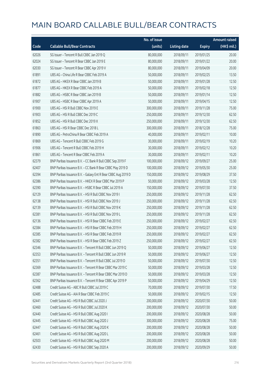|       |                                                               | No. of issue |                     |               | <b>Amount raised</b> |
|-------|---------------------------------------------------------------|--------------|---------------------|---------------|----------------------|
| Code  | <b>Callable Bull/Bear Contracts</b>                           | (units)      | <b>Listing date</b> | <b>Expiry</b> | (HK\$ mil.)          |
| 62026 | SG Issuer - Tencent R Bull CBBC Jan 2019 Q                    | 80,000,000   | 2018/09/11          | 2019/01/25    | 20.00                |
| 62024 | SG Issuer - Tencent R Bear CBBC Jan 2019 E                    | 80,000,000   | 2018/09/11          | 2019/01/22    | 20.00                |
| 62030 | SG Issuer - Tencent R Bear CBBC Apr 2019 V                    | 80,000,000   | 2018/09/11          | 2019/04/09    | 20.00                |
| 61891 | UBS AG - China Life R Bear CBBC Feb 2019 A                    | 50,000,000   | 2018/09/11          | 2019/02/25    | 13.50                |
| 61872 | UBS AG - HKEX R Bear CBBC Jan 2019 B                          | 50,000,000   | 2018/09/11          | 2019/01/28    | 12.50                |
| 61877 | UBS AG - HKEX R Bear CBBC Feb 2019 A                          | 50,000,000   | 2018/09/11          | 2019/02/18    | 12.50                |
| 61882 | UBS AG - HSBC R Bear CBBC Jan 2019 B                          | 50,000,000   | 2018/09/11          | 2019/01/14    | 12.50                |
| 61907 | UBS AG - HSBC R Bear CBBC Apr 2019 A                          | 50,000,000   | 2018/09/11          | 2019/04/15    | 12.50                |
| 61900 | UBS AG - HSI R Bull CBBC Nov 2019 E                           | 300,000,000  | 2018/09/11          | 2019/11/28    | 75.00                |
| 61903 | UBS AG - HSI R Bull CBBC Dec 2019 C                           | 250,000,000  | 2018/09/11          | 2019/12/30    | 62.50                |
| 61852 | UBS AG - HSI R Bull CBBC Dec 2019 X                           | 250,000,000  | 2018/09/11          | 2019/12/30    | 62.50                |
| 61863 | UBS AG - HSI R Bear CBBC Dec 2018 L                           | 300,000,000  | 2018/09/11          | 2018/12/28    | 75.00                |
| 61890 | UBS AG - PetroChina R Bear CBBC Feb 2019 A                    | 40,000,000   | 2018/09/11          | 2019/02/11    | 10.00                |
| 61869 | UBS AG - Tencent R Bull CBBC Feb 2019 G                       | 30,000,000   | 2018/09/11          | 2019/02/19    | 10.20                |
| 61906 | UBS AG - Tencent R Bull CBBC Feb 2019 H                       | 30,000,000   | 2018/09/11          | 2019/02/12    | 10.20                |
| 61861 | UBS AG - Tencent R Bear CBBC Feb 2019 A                       | 30,000,000   | 2018/09/11          | 2019/02/11    | 10.20                |
| 62379 | BNP Paribas Issuance B.V. - CC Bank R Bull CBBC Sep 2019 F    | 100,000,000  | 2018/09/12          | 2019/09/27    | 25.00                |
| 62407 | BNP Paribas Issuance B.V. - CC Bank R Bear CBBC May 2019 D    | 100,000,000  | 2018/09/12          | 2019/05/30    | 25.00                |
| 62394 | BNP Paribas Issuance B.V. - Galaxy Ent R Bear CBBC Aug 2019 D | 150,000,000  | 2018/09/12          | 2019/08/29    | 37.50                |
| 62386 | BNP Paribas Issuance B.V. - HKEX R Bear CBBC Mar 2019 P       | 50,000,000   | 2018/09/12          | 2019/03/28    | 12.50                |
| 62390 | BNP Paribas Issuance B.V. - HSBC R Bear CBBC Jul 2019 A       | 150,000,000  | 2018/09/12          | 2019/07/30    | 37.50                |
| 62129 | BNP Paribas Issuance B.V. - HSI R Bull CBBC Nov 2019 I        | 250,000,000  | 2018/09/12          | 2019/11/28    | 62.50                |
| 62138 | BNP Paribas Issuance B.V. - HSI R Bull CBBC Nov 2019 J        | 250,000,000  | 2018/09/12          | 2019/11/28    | 62.50                |
| 62139 | BNP Paribas Issuance B.V. - HSI R Bull CBBC Nov 2019 K        | 250,000,000  | 2018/09/12          | 2019/11/28    | 62.50                |
| 62381 | BNP Paribas Issuance B.V. - HSI R Bull CBBC Nov 2019 L        | 250,000,000  | 2018/09/12          | 2019/11/28    | 62.50                |
| 62136 | BNP Paribas Issuance B.V. - HSI R Bear CBBC Feb 2019 E        | 250,000,000  | 2018/09/12          | 2019/02/27    | 62.50                |
| 62384 | BNP Paribas Issuance B.V. - HSI R Bear CBBC Feb 2019 H        | 250,000,000  | 2018/09/12          | 2019/02/27    | 62.50                |
| 62385 | BNP Paribas Issuance B.V. - HSLR Bear CBBC Feb 2019 R         | 250,000,000  | 2018/09/12          | 2019/02/27    | 62.50                |
| 62382 | BNP Paribas Issuance B.V. - HSI R Bear CBBC Feb 2019 Z        | 250,000,000  | 2018/09/12          | 2019/02/27    | 62.50                |
| 62346 | BNP Paribas Issuance B.V. - Tencent R Bull CBBC Jun 2019 Q    | 50,000,000   | 2018/09/12          | 2019/06/27    | 12.50                |
| 62353 | BNP Paribas Issuance B.V. - Tencent R Bull CBBC Jun 2019 R    | 50,000,000   | 2018/09/12          | 2019/06/27    | 12.50                |
| 62351 | BNP Paribas Issuance B.V. - Tencent R Bull CBBC Jul 2019 D    | 50,000,000   | 2018/09/12          | 2019/07/30    | 12.50                |
| 62369 | BNP Paribas Issuance B.V. - Tencent R Bear CBBC Mar 2019 C    | 50,000,000   | 2018/09/12          | 2019/03/28    | 12.50                |
| 62387 | BNP Paribas Issuance B.V. - Tencent R Bear CBBC Mar 2019 D    | 50,000,000   | 2018/09/12          | 2019/03/28    | 12.50                |
| 62362 | BNP Paribas Issuance B.V. - Tencent R Bear CBBC Apr 2019 P    | 50,000,000   | 2018/09/12          | 2019/04/29    | 12.50                |
| 62488 | Credit Suisse AG - ABC R Bull CBBC Jul 2019 C                 | 70,000,000   | 2018/09/12          | 2019/07/30    | 17.50                |
| 62485 | Credit Suisse AG - AIA R Bear CBBC Feb 2019 C                 | 50,000,000   | 2018/09/12          | 2019/02/15    | 12.50                |
| 62441 | Credit Suisse AG - HSI R Bull CBBC Jul 2020 J                 | 200,000,000  | 2018/09/12          | 2020/07/30    | 50.00                |
| 62460 | Credit Suisse AG - HSI R Bull CBBC Jul 2020 K                 | 200,000,000  | 2018/09/12          | 2020/07/30    | 50.00                |
| 62440 | Credit Suisse AG - HSI R Bull CBBC Aug 2020 I                 | 200,000,000  | 2018/09/12          | 2020/08/28    | 50.00                |
| 62445 | Credit Suisse AG - HSI R Bull CBBC Aug 2020 J                 | 300,000,000  | 2018/09/12          | 2020/08/28    | 75.00                |
| 62447 | Credit Suisse AG - HSI R Bull CBBC Aug 2020 K                 | 200,000,000  | 2018/09/12          | 2020/08/28    | 50.00                |
| 62461 | Credit Suisse AG - HSI R Bull CBBC Aug 2020 L                 | 200,000,000  | 2018/09/12          | 2020/08/28    | 50.00                |
| 62503 | Credit Suisse AG - HSI R Bull CBBC Aug 2020 M                 | 200,000,000  | 2018/09/12          | 2020/08/28    | 50.00                |
| 62430 | Credit Suisse AG - HSI R Bull CBBC Sep 2020 A                 | 200,000,000  | 2018/09/12          | 2020/09/29    | 50.00                |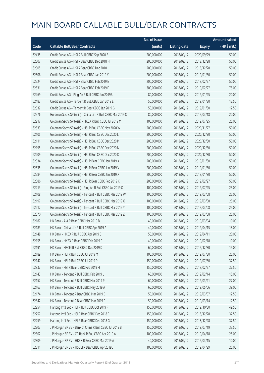|       |                                                             | No. of issue |                     |               | <b>Amount raised</b>  |
|-------|-------------------------------------------------------------|--------------|---------------------|---------------|-----------------------|
| Code  | <b>Callable Bull/Bear Contracts</b>                         | (units)      | <b>Listing date</b> | <b>Expiry</b> | $(HK\frac{1}{2}mil.)$ |
| 62435 | Credit Suisse AG - HSI R Bull CBBC Sep 2020 B               | 200,000,000  | 2018/09/12          | 2020/09/29    | 50.00                 |
| 62507 | Credit Suisse AG - HSI R Bear CBBC Dec 2018 H               | 200,000,000  | 2018/09/12          | 2018/12/28    | 50.00                 |
| 62505 | Credit Suisse AG - HSI R Bear CBBC Dec 2018 L               | 200,000,000  | 2018/09/12          | 2018/12/28    | 50.00                 |
| 62506 | Credit Suisse AG - HSI R Bear CBBC Jan 2019 Y               | 200,000,000  | 2018/09/12          | 2019/01/30    | 50.00                 |
| 62524 | Credit Suisse AG - HSI R Bear CBBC Feb 2019 E               | 200,000,000  | 2018/09/12          | 2019/02/27    | 50.00                 |
| 62531 | Credit Suisse AG - HSI R Bear CBBC Feb 2019 F               | 300,000,000  | 2018/09/12          | 2019/02/27    | 75.00                 |
| 62469 | Credit Suisse AG - Ping An R Bull CBBC Jan 2019 U           | 80,000,000   | 2018/09/12          | 2019/01/25    | 20.00                 |
| 62483 | Credit Suisse AG - Tencent R Bull CBBC Jan 2019 E           | 50,000,000   | 2018/09/12          | 2019/01/30    | 12.50                 |
| 62532 | Credit Suisse AG - Tencent R Bear CBBC Jan 2019 G           | 50,000,000   | 2018/09/12          | 2019/01/30    | 12.50                 |
| 62576 | Goldman Sachs SP (Asia) - China Life R Bull CBBC Mar 2019 C | 80,000,000   | 2018/09/12          | 2019/03/18    | 20.00                 |
| 62217 | Goldman Sachs SP (Asia) - HKEX R Bull CBBC Jul 2019 M       | 100,000,000  | 2018/09/12          | 2019/07/25    | 25.00                 |
| 62533 | Goldman Sachs SP (Asia) - HSI R Bull CBBC Nov 2020 W        | 200,000,000  | 2018/09/12          | 2020/11/27    | 50.00                 |
| 62105 | Goldman Sachs SP (Asia) - HSI R Bull CBBC Dec 2020 L        | 200,000,000  | 2018/09/12          | 2020/12/30    | 50.00                 |
| 62111 | Goldman Sachs SP (Asia) - HSI R Bull CBBC Dec 2020 M        | 200,000,000  | 2018/09/12          | 2020/12/30    | 50.00                 |
| 62195 | Goldman Sachs SP (Asia) - HSI R Bull CBBC Dec 2020 N        | 200,000,000  | 2018/09/12          | 2020/12/30    | 50.00                 |
| 62209 | Goldman Sachs SP (Asia) - HSI R Bull CBBC Dec 2020 O        | 200,000,000  | 2018/09/12          | 2020/12/30    | 50.00                 |
| 62534 | Goldman Sachs SP (Asia) - HSI R Bear CBBC Jan 2019 K        | 200,000,000  | 2018/09/12          | 2019/01/30    | 50.00                 |
| 62535 | Goldman Sachs SP (Asia) - HSI R Bear CBBC Jan 2019 V        | 200,000,000  | 2018/09/12          | 2019/01/30    | 50.00                 |
| 62584 | Goldman Sachs SP (Asia) - HSI R Bear CBBC Jan 2019 X        | 200,000,000  | 2018/09/12          | 2019/01/30    | 50.00                 |
| 62586 | Goldman Sachs SP (Asia) - HSI R Bear CBBC Feb 2019 K        | 200,000,000  | 2018/09/12          | 2019/02/27    | 50.00                 |
| 62213 | Goldman Sachs SP (Asia) - Ping An R Bull CBBC Jul 2019 O    | 100,000,000  | 2018/09/12          | 2019/07/25    | 25.00                 |
| 62108 | Goldman Sachs SP (Asia) - Tencent R Bull CBBC Mar 2019 W    | 100,000,000  | 2018/09/12          | 2019/03/08    | 25.00                 |
| 62197 | Goldman Sachs SP (Asia) - Tencent R Bull CBBC Mar 2019 X    | 100,000,000  | 2018/09/12          | 2019/03/08    | 25.00                 |
| 62212 | Goldman Sachs SP (Asia) - Tencent R Bull CBBC Mar 2019 Y    | 100,000,000  | 2018/09/12          | 2019/03/08    | 25.00                 |
| 62570 | Goldman Sachs SP (Asia) - Tencent R Bull CBBC Mar 2019 Z    | 100,000,000  | 2018/09/12          | 2019/03/08    | 25.00                 |
| 62187 | HK Bank - AIA R Bear CBBC Mar 2019 B                        | 40,000,000   | 2018/09/12          | 2019/03/04    | 10.00                 |
| 62183 | HK Bank - China Life R Bull CBBC Apr 2019 A                 | 40,000,000   | 2018/09/12          | 2019/04/15    | 18.00                 |
| 62148 | HK Bank - HKEX R Bull CBBC Apr 2019 B                       | 50,000,000   | 2018/09/12          | 2019/04/11    | 20.00                 |
| 62155 | HK Bank - HKEX R Bear CBBC Feb 2019 C                       | 40,000,000   | 2018/09/12          | 2019/02/18    | 10.00                 |
| 62191 | HK Bank - HSCEI R Bull CBBC Dec 2019 D                      | 60,000,000   | 2018/09/12          | 2019/12/30    | 15.00                 |
| 62189 | HK Bank - HSI R Bull CBBC Jul 2019 M                        | 100,000,000  | 2018/09/12          | 2019/07/30    | 25.00                 |
| 62147 | HK Bank - HSI R Bull CBBC Jul 2019 P                        | 150,000,000  | 2018/09/12          | 2019/07/30    | 37.50                 |
| 62337 | HK Bank - HSI R Bear CBBC Feb 2019 H                        | 150,000,000  | 2018/09/12          | 2019/02/27    | 37.50                 |
| 62143 | HK Bank - Tencent R Bull CBBC Feb 2019 L                    | 60,000,000   | 2018/09/12          | 2019/02/14    | 15.00                 |
| 62157 | HK Bank - Tencent R Bull CBBC Mar 2019 P                    | 60,000,000   | 2018/09/12          | 2019/03/21    | 27.00                 |
| 62167 | HK Bank - Tencent R Bull CBBC May 2019 A                    | 60,000,000   | 2018/09/12          | 2019/05/06    | 39.00                 |
| 62174 | HK Bank - Tencent R Bear CBBC Mar 2019 E                    | 50,000,000   | 2018/09/12          | 2019/03/07    | 12.50                 |
| 62342 | HK Bank - Tencent R Bear CBBC Mar 2019 F                    | 50,000,000   | 2018/09/12          | 2019/03/14    | 12.50                 |
| 62254 | Haitong Int'l Sec - HSI R Bull CBBC Oct 2019 F              | 150,000,000  | 2018/09/12          | 2019/10/30    | 49.50                 |
| 62257 | Haitong Int'l Sec - HSI R Bear CBBC Dec 2018 F              | 150,000,000  | 2018/09/12          | 2018/12/28    | 37.50                 |
| 62259 | Haitong Int'l Sec - HSI R Bear CBBC Dec 2018 G              | 150,000,000  | 2018/09/12          | 2018/12/28    | 37.50                 |
| 62303 | J P Morgan SP BV - Bank of China R Bull CBBC Jul 2019 B     | 150,000,000  | 2018/09/12          | 2019/07/19    | 37.50                 |
| 62302 | J P Morgan SP BV - CC Bank R Bull CBBC Apr 2019 A           | 100,000,000  | 2018/09/12          | 2019/04/18    | 25.00                 |
| 62309 | J P Morgan SP BV - HKEX R Bear CBBC Mar 2019 A              | 40,000,000   | 2018/09/12          | 2019/03/15    | 10.00                 |
| 62311 | J P Morgan SP BV - HSCEI R Bear CBBC Apr 2019 J             | 100,000,000  | 2018/09/12          | 2019/04/29    | 25.00                 |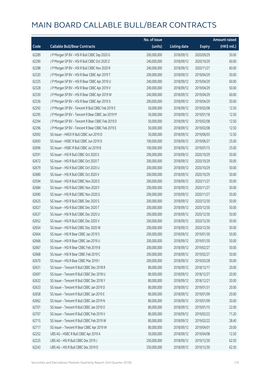|       |                                                   | No. of issue |                     |               | <b>Amount raised</b> |
|-------|---------------------------------------------------|--------------|---------------------|---------------|----------------------|
| Code  | <b>Callable Bull/Bear Contracts</b>               | (units)      | <b>Listing date</b> | <b>Expiry</b> | (HK\$ mil.)          |
| 62289 | J P Morgan SP BV - HSI R Bull CBBC Sep 2020 G     | 200,000,000  | 2018/09/12          | 2020/09/29    | 50.00                |
| 62290 | J P Morgan SP BV - HSI R Bull CBBC Oct 2020 Z     | 240,000,000  | 2018/09/12          | 2020/10/29    | 60.00                |
| 62288 | J P Morgan SP BV - HSI R Bull CBBC Nov 2020 R     | 240,000,000  | 2018/09/12          | 2020/11/27    | 60.00                |
| 62320 | J P Morgan SP BV - HSI R Bear CBBC Apr 2019 T     | 200,000,000  | 2018/09/12          | 2019/04/29    | 50.00                |
| 62325 | J P Morgan SP BV - HSI R Bear CBBC Apr 2019 U     | 240,000,000  | 2018/09/12          | 2019/04/29    | 60.00                |
| 62328 | J P Morgan SP BV - HSI R Bear CBBC Apr 2019 V     | 200,000,000  | 2018/09/12          | 2019/04/29    | 50.00                |
| 62330 | J P Morgan SP BV - HSI R Bear CBBC Apr 2019 W     | 240,000,000  | 2018/09/12          | 2019/04/29    | 60.00                |
| 62336 | J P Morgan SP BV - HSI R Bear CBBC Apr 2019 X     | 200,000,000  | 2018/09/12          | 2019/04/29    | 50.00                |
| 62292 | JP Morgan SP BV - Tencent R Bull CBBC Feb 2019 E  | 50,000,000   | 2018/09/12          | 2019/02/08    | 12.50                |
| 62295 | J P Morgan SP BV - Tencent R Bear CBBC Jan 2019 M | 50,000,000   | 2018/09/12          | 2019/01/18    | 12.50                |
| 62294 | J P Morgan SP BV - Tencent R Bear CBBC Feb 2019 D | 50,000,000   | 2018/09/12          | 2019/02/08    | 12.50                |
| 62296 | J P Morgan SP BV - Tencent R Bear CBBC Feb 2019 E | 50,000,000   | 2018/09/12          | 2019/02/08    | 12.50                |
| 62692 | SG Issuer - HKEX R Bull CBBC Jun 2019 D           | 50,000,000   | 2018/09/12          | 2019/06/03    | 12.50                |
| 62693 | SG Issuer - HSBC R Bull CBBC Jun 2019 D           | 100,000,000  | 2018/09/12          | 2019/06/27    | 25.00                |
| 62696 | SG Issuer - HSBC R Bull CBBC Jul 2019 B           | 100,000,000  | 2018/09/12          | 2019/07/15    | 25.00                |
| 62591 | SG Issuer - HSI R Bull CBBC Oct 2020 S            | 200,000,000  | 2018/09/12          | 2020/10/29    | 50.00                |
| 62672 | SG Issuer - HSI R Bull CBBC Oct 2020 T            | 200,000,000  | 2018/09/12          | 2020/10/29    | 50.00                |
| 62679 | SG Issuer - HSI R Bull CBBC Oct 2020 U            | 200,000,000  | 2018/09/12          | 2020/10/29    | 50.00                |
| 62680 | SG Issuer - HSI R Bull CBBC Oct 2020 V            | 200,000,000  | 2018/09/12          | 2020/10/29    | 50.00                |
| 62594 | SG Issuer - HSI R Bull CBBC Nov 2020 E            | 200,000,000  | 2018/09/12          | 2020/11/27    | 50.00                |
| 62684 | SG Issuer - HSI R Bull CBBC Nov 2020 F            | 200,000,000  | 2018/09/12          | 2020/11/27    | 50.00                |
| 62690 | SG Issuer - HSI R Bull CBBC Nov 2020 G            | 200,000,000  | 2018/09/12          | 2020/11/27    | 50.00                |
| 62625 | SG Issuer - HSI R Bull CBBC Dec 2020 S            | 200,000,000  | 2018/09/12          | 2020/12/30    | 50.00                |
| 62627 | SG Issuer - HSI R Bull CBBC Dec 2020 T            | 200,000,000  | 2018/09/12          | 2020/12/30    | 50.00                |
| 62637 | SG Issuer - HSI R Bull CBBC Dec 2020 U            | 200,000,000  | 2018/09/12          | 2020/12/30    | 50.00                |
| 62652 | SG Issuer - HSI R Bull CBBC Dec 2020 V            | 200,000,000  | 2018/09/12          | 2020/12/30    | 50.00                |
| 62654 | SG Issuer - HSI R Bull CBBC Dec 2020 W            | 200,000,000  | 2018/09/12          | 2020/12/30    | 50.00                |
| 62664 | SG Issuer - HSI R Bear CBBC Jan 2019 S            | 200,000,000  | 2018/09/12          | 2019/01/30    | 50.00                |
| 62666 | SG Issuer - HSI R Bear CBBC Jan 2019 U            | 200,000,000  | 2018/09/12          | 2019/01/30    | 50.00                |
| 62667 | SG Issuer - HSI R Bear CBBC Feb 2019 B            | 200,000,000  | 2018/09/12          | 2019/02/27    | 50.00                |
| 62668 | SG Issuer - HSI R Bear CBBC Feb 2019 C            | 200,000,000  | 2018/09/12          | 2019/02/27    | 50.00                |
| 62670 | SG Issuer - HSI R Bear CBBC Mar 2019 I            | 200,000,000  | 2018/09/12          | 2019/03/28    | 50.00                |
| 62631 | SG Issuer - Tencent R Bull CBBC Dec 2018 R        | 80,000,000   | 2018/09/12          | 2018/12/17    | 20.00                |
| 62697 | SG Issuer - Tencent R Bull CBBC Dec 2018 U        | 80,000,000   | 2018/09/12          | 2018/12/27    | 20.00                |
| 62632 | SG Issuer - Tencent R Bull CBBC Dec 2018 Y        | 80,000,000   | 2018/09/12          | 2018/12/21    | 20.00                |
| 62633 | SG Issuer - Tencent R Bull CBBC Jan 2019 D        | 80,000,000   | 2018/09/12          | 2019/01/31    | 20.00                |
| 62658 | SG Issuer - Tencent R Bull CBBC Jan 2019 E        | 80,000,000   | 2018/09/12          | 2019/01/09    | 20.00                |
| 62662 | SG Issuer - Tencent R Bull CBBC Jan 2019 N        | 80,000,000   | 2018/09/12          | 2019/01/09    | 20.00                |
| 62701 | SG Issuer - Tencent R Bull CBBC Jan 2019 O        | 80,000,000   | 2018/09/12          | 2019/01/15    | 22.00                |
| 62707 | SG Issuer - Tencent R Bull CBBC Feb 2019 V        | 80,000,000   | 2018/09/12          | 2019/02/22    | 71.20                |
| 62715 | SG Issuer - Tencent R Bull CBBC Feb 2019 W        | 80,000,000   | 2018/09/12          | 2019/02/22    | 28.40                |
| 62717 | SG Issuer - Tencent R Bear CBBC Apr 2019 W        | 80,000,000   | 2018/09/12          | 2019/04/01    | 20.00                |
| 62252 | UBS AG - HSBC R Bull CBBC Apr 2019 A              | 50,000,000   | 2018/09/12          | 2019/04/08    | 12.50                |
| 62225 | UBS AG - HSI R Bull CBBC Dec 2019 J               | 250,000,000  | 2018/09/12          | 2019/12/30    | 62.50                |
| 62243 | UBS AG - HSI R Bull CBBC Dec 2019 O               | 250,000,000  | 2018/09/12          | 2019/12/30    | 62.50                |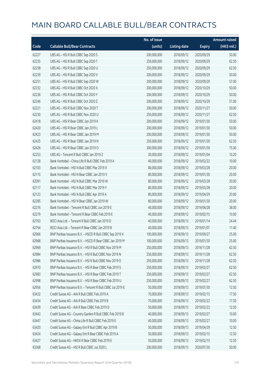|       |                                                            | No. of issue |                     |               | <b>Amount raised</b> |
|-------|------------------------------------------------------------|--------------|---------------------|---------------|----------------------|
| Code  | <b>Callable Bull/Bear Contracts</b>                        | (units)      | <b>Listing date</b> | <b>Expiry</b> | (HK\$ mil.)          |
| 62227 | UBS AG - HSI R Bull CBBC Sep 2020 S                        | 200,000,000  | 2018/09/12          | 2020/09/29    | 50.00                |
| 62235 | UBS AG - HSI R Bull CBBC Sep 2020 T                        | 250,000,000  | 2018/09/12          | 2020/09/29    | 62.50                |
| 62238 | UBS AG - HSI R Bull CBBC Sep 2020 U                        | 250,000,000  | 2018/09/12          | 2020/09/29    | 62.50                |
| 62239 | UBS AG - HSI R Bull CBBC Sep 2020 V                        | 200,000,000  | 2018/09/12          | 2020/09/29    | 50.00                |
| 62251 | UBS AG - HSI R Bull CBBC Sep 2020 W                        | 200,000,000  | 2018/09/12          | 2020/09/29    | 57.00                |
| 62232 | UBS AG - HSI R Bull CBBC Oct 2020 X                        | 200,000,000  | 2018/09/12          | 2020/10/29    | 50.00                |
| 62236 | UBS AG - HSI R Bull CBBC Oct 2020 Y                        | 200,000,000  | 2018/09/12          | 2020/10/29    | 50.00                |
| 62246 | UBS AG - HSI R Bull CBBC Oct 2020 Z                        | 200,000,000  | 2018/09/12          | 2020/10/29    | 51.00                |
| 62221 | UBS AG - HSI R Bull CBBC Nov 2020 T                        | 200,000,000  | 2018/09/12          | 2020/11/27    | 50.00                |
| 62230 | UBS AG - HSI R Bull CBBC Nov 2020 U                        | 250,000,000  | 2018/09/12          | 2020/11/27    | 62.50                |
| 62418 | UBS AG - HSI R Bear CBBC Jan 2019 K                        | 200,000,000  | 2018/09/12          | 2019/01/30    | 50.00                |
| 62420 | UBS AG - HSI R Bear CBBC Jan 2019 L                        | 200,000,000  | 2018/09/12          | 2019/01/30    | 50.00                |
| 62423 | UBS AG - HSI R Bear CBBC Jan 2019 M                        | 200,000,000  | 2018/09/12          | 2019/01/30    | 50.00                |
| 62425 | UBS AG - HSI R Bear CBBC Jan 2019 N                        | 250,000,000  | 2018/09/12          | 2019/01/30    | 62.50                |
| 62426 | UBS AG - HSI R Bear CBBC Jan 2019 O                        | 300,000,000  | 2018/09/12          | 2019/01/30    | 75.00                |
| 62253 | UBS AG - Tencent R Bull CBBC Jan 2019 Z                    | 30,000,000   | 2018/09/12          | 2019/01/04    | 10.20                |
| 62128 | Bank Vontobel - China Life R Bull CBBC Feb 2019 A          | 40,000,000   | 2018/09/12          | 2019/02/22    | 10.00                |
| 62103 | Bank Vontobel - HSI N Bull CBBC Mar 2019 X                 | 80,000,000   | 2018/09/12          | 2019/03/28    | 20.00                |
| 62115 | Bank Vontobel - HSI N Bear CBBC Jan 2019 V                 | 80,000,000   | 2018/09/12          | 2019/01/30    | 20.00                |
| 62091 | Bank Vontobel - HSI N Bull CBBC Mar 2019 W                 | 80,000,000   | 2018/09/12          | 2019/03/28    | 20.00                |
| 62117 | Bank Vontobel - HSI N Bull CBBC Mar 2019 Y                 | 80,000,000   | 2018/09/12          | 2019/03/28    | 20.00                |
| 62123 | Bank Vontobel - HSI N Bull CBBC Apr 2019 A                 | 80,000,000   | 2018/09/12          | 2019/04/29    | 20.00                |
| 62285 | Bank Vontobel - HSI N Bear CBBC Jan 2019 W                 | 80,000,000   | 2018/09/12          | 2019/01/30    | 20.00                |
| 62276 | Bank Vontobel - Tencent R Bull CBBC Jun 2019 E             | 40,000,000   | 2018/09/12          | 2019/06/28    | 38.00                |
| 62279 | Bank Vontobel - Tencent R Bear CBBC Feb 2019 E             | 40,000,000   | 2018/09/12          | 2019/02/15    | 10.00                |
| 62763 | BOCI Asia Ltd. - Tencent R Bull CBBC Jan 2019 D            | 40,000,000   | 2018/09/13          | 2019/01/14    | 24.44                |
| 62764 | BOCI Asia Ltd. - Tencent R Bear CBBC Jan 2019 B            | 40,000,000   | 2018/09/13          | 2019/01/07    | 11.40                |
| 62966 | BNP Paribas Issuance B.V. - HSCEI R Bull CBBC Sep 2019 X   | 100,000,000  | 2018/09/13          | 2019/09/27    | 25.00                |
| 62968 | BNP Paribas Issuance B.V. - HSCEI R Bear CBBC Jan 2019 M   | 100,000,000  | 2018/09/13          | 2019/01/30    | 25.00                |
| 62969 | BNP Paribas Issuance B.V. - HSI R Bull CBBC Nov 2019 M     | 250,000,000  | 2018/09/13          | 2019/11/28    | 62.50                |
| 62984 | BNP Paribas Issuance B.V. - HSI R Bull CBBC Nov 2019 N     | 250,000,000  | 2018/09/13          | 2019/11/28    | 62.50                |
| 62986 | BNP Paribas Issuance B.V. - HSI R Bull CBBC Nov 2019 O     | 250,000,000  | 2018/09/13          | 2019/11/28    | 62.50                |
| 62970 | BNP Paribas Issuance B.V. - HSI R Bear CBBC Feb 2019 S     | 250,000,000  | 2018/09/13          | 2019/02/27    | 62.50                |
| 62983 | BNP Paribas Issuance B.V. - HSI R Bear CBBC Feb 2019 T     | 250,000,000  | 2018/09/13          | 2019/02/27    | 62.50                |
| 62998 | BNP Paribas Issuance B.V. - HSI R Bear CBBC Feb 2019 U     | 250,000,000  | 2018/09/13          | 2019/02/27    | 62.50                |
| 62956 | BNP Paribas Issuance B.V. - Tencent R Bull CBBC Jul 2019 E | 50,000,000   | 2018/09/13          | 2019/07/30    | 12.50                |
| 63432 | Credit Suisse AG - AIA R Bull CBBC Feb 2019 A              | 70,000,000   | 2018/09/13          | 2019/02/15    | 17.50                |
| 63434 | Credit Suisse AG - AIA R Bull CBBC Feb 2019 B              | 70,000,000   | 2018/09/13          | 2019/02/22    | 17.50                |
| 63439 | Credit Suisse AG - AIA R Bear CBBC Feb 2019 D              | 50,000,000   | 2018/09/13          | 2019/02/22    | 12.50                |
| 63443 | Credit Suisse AG - Country Garden R Bull CBBC Feb 2019 B   | 40,000,000   | 2018/09/13          | 2019/02/27    | 10.00                |
| 63447 | Credit Suisse AG - China Life R Bull CBBC Feb 2019 E       | 40,000,000   | 2018/09/13          | 2019/02/27    | 10.00                |
| 63420 | Credit Suisse AG - Galaxy Ent R Bull CBBC Apr 2019 B       | 50,000,000   | 2018/09/13          | 2019/04/29    | 12.50                |
| 63424 | Credit Suisse AG - Galaxy Ent R Bear CBBC Feb 2019 A       | 50,000,000   | 2018/09/13          | 2019/02/15    | 12.50                |
| 63427 | Credit Suisse AG - HKEX R Bear CBBC Feb 2019 E             | 50,000,000   | 2018/09/13          | 2019/02/15    | 12.50                |
| 63368 | Credit Suisse AG - HSI R Bull CBBC Jul 2020 L              | 200,000,000  | 2018/09/13          | 2020/07/30    | 50.00                |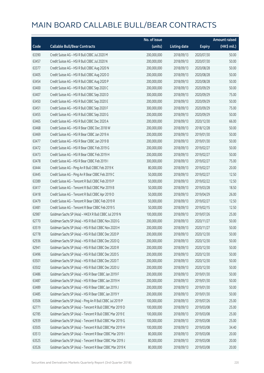|       |                                                          | No. of issue |                     |               | <b>Amount raised</b> |
|-------|----------------------------------------------------------|--------------|---------------------|---------------|----------------------|
| Code  | <b>Callable Bull/Bear Contracts</b>                      | (units)      | <b>Listing date</b> | <b>Expiry</b> | (HK\$ mil.)          |
| 63390 | Credit Suisse AG - HSI R Bull CBBC Jul 2020 M            | 200,000,000  | 2018/09/13          | 2020/07/30    | 50.00                |
| 63457 | Credit Suisse AG - HSI R Bull CBBC Jul 2020 N            | 200,000,000  | 2018/09/13          | 2020/07/30    | 50.00                |
| 63377 | Credit Suisse AG - HSI R Bull CBBC Aug 2020 N            | 200,000,000  | 2018/09/13          | 2020/08/28    | 50.00                |
| 63405 | Credit Suisse AG - HSI R Bull CBBC Aug 2020 O            | 200,000,000  | 2018/09/13          | 2020/08/28    | 50.00                |
| 63454 | Credit Suisse AG - HSI R Bull CBBC Aug 2020 P            | 200,000,000  | 2018/09/13          | 2020/08/28    | 50.00                |
| 63400 | Credit Suisse AG - HSI R Bull CBBC Sep 2020 C            | 200,000,000  | 2018/09/13          | 2020/09/29    | 50.00                |
| 63407 | Credit Suisse AG - HSI R Bull CBBC Sep 2020 D            | 300,000,000  | 2018/09/13          | 2020/09/29    | 75.00                |
| 63450 | Credit Suisse AG - HSI R Bull CBBC Sep 2020 E            | 200,000,000  | 2018/09/13          | 2020/09/29    | 50.00                |
| 63451 | Credit Suisse AG - HSI R Bull CBBC Sep 2020 F            | 300,000,000  | 2018/09/13          | 2020/09/29    | 75.00                |
| 63455 | Credit Suisse AG - HSI R Bull CBBC Sep 2020 G            | 200,000,000  | 2018/09/13          | 2020/09/29    | 50.00                |
| 63465 | Credit Suisse AG - HSI R Bull CBBC Dec 2020 A            | 200,000,000  | 2018/09/13          | 2020/12/30    | 66.00                |
| 63468 | Credit Suisse AG - HSI R Bear CBBC Dec 2018 W            | 200,000,000  | 2018/09/13          | 2018/12/28    | 50.00                |
| 63469 | Credit Suisse AG - HSI R Bear CBBC Jan 2019 A            | 200,000,000  | 2018/09/13          | 2019/01/30    | 50.00                |
| 63477 | Credit Suisse AG - HSI R Bear CBBC Jan 2019 B            | 200,000,000  | 2018/09/13          | 2019/01/30    | 50.00                |
| 63472 | Credit Suisse AG - HSI R Bear CBBC Feb 2019 G            | 200,000,000  | 2018/09/13          | 2019/02/27    | 50.00                |
| 63473 | Credit Suisse AG - HSI R Bear CBBC Feb 2019 H            | 200,000,000  | 2018/09/13          | 2019/02/27    | 50.00                |
| 63478 | Credit Suisse AG - HSI R Bear CBBC Feb 2019 I            | 300,000,000  | 2018/09/13          | 2019/02/27    | 75.00                |
| 63444 | Credit Suisse AG - Ping An R Bull CBBC Feb 2019 K        | 80,000,000   | 2018/09/13          | 2019/02/27    | 20.00                |
| 63445 | Credit Suisse AG - Ping An R Bear CBBC Feb 2019 C        | 50,000,000   | 2018/09/13          | 2019/02/27    | 12.50                |
| 63389 | Credit Suisse AG - Tencent R Bull CBBC Feb 2019 P        | 50,000,000   | 2018/09/13          | 2019/02/22    | 12.50                |
| 63417 | Credit Suisse AG - Tencent R Bull CBBC Mar 2019 B        | 50,000,000   | 2018/09/13          | 2019/03/28    | 18.50                |
| 63418 | Credit Suisse AG - Tencent R Bull CBBC Apr 2019 D        | 50,000,000   | 2018/09/13          | 2019/04/29    | 26.00                |
| 63479 | Credit Suisse AG - Tencent R Bear CBBC Feb 2019 R        | 50,000,000   | 2018/09/13          | 2019/02/27    | 12.50                |
| 63481 | Credit Suisse AG - Tencent R Bear CBBC Feb 2019 S        | 50,000,000   | 2018/09/13          | 2019/02/15    | 12.50                |
| 62987 | Goldman Sachs SP (Asia) - HKEX R Bull CBBC Jul 2019 N    | 100,000,000  | 2018/09/13          | 2019/07/26    | 25.00                |
| 62770 | Goldman Sachs SP (Asia) - HSI R Bull CBBC Nov 2020 G     | 200,000,000  | 2018/09/13          | 2020/11/27    | 50.00                |
| 63519 | Goldman Sachs SP (Asia) - HSI R Bull CBBC Nov 2020 H     | 200,000,000  | 2018/09/13          | 2020/11/27    | 50.00                |
| 62778 | Goldman Sachs SP (Asia) - HSI R Bull CBBC Dec 2020 P     | 200,000,000  | 2018/09/13          | 2020/12/30    | 50.00                |
| 62936 | Goldman Sachs SP (Asia) - HSI R Bull CBBC Dec 2020 Q     | 200,000,000  | 2018/09/13          | 2020/12/30    | 50.00                |
| 62941 | Goldman Sachs SP (Asia) - HSI R Bull CBBC Dec 2020 R     | 200,000,000  | 2018/09/13          | 2020/12/30    | 50.00                |
| 63496 | Goldman Sachs SP (Asia) - HSI R Bull CBBC Dec 2020 S     | 200,000,000  | 2018/09/13          | 2020/12/30    | 50.00                |
| 63501 | Goldman Sachs SP (Asia) - HSI R Bull CBBC Dec 2020 T     | 200,000,000  | 2018/09/13          | 2020/12/30    | 50.00                |
| 63502 | Goldman Sachs SP (Asia) - HSI R Bull CBBC Dec 2020 U     | 200,000,000  | 2018/09/13          | 2020/12/30    | 50.00                |
| 63486 | Goldman Sachs SP (Asia) - HSI R Bear CBBC Jan 2019 F     | 200,000,000  | 2018/09/13          | 2019/01/30    | 50.00                |
| 63487 | Goldman Sachs SP (Asia) - HSI R Bear CBBC Jan 2019 H     | 200,000,000  | 2018/09/13          | 2019/01/30    | 50.00                |
| 63489 | Goldman Sachs SP (Asia) - HSI R Bear CBBC Jan 2019 J     | 200,000,000  | 2018/09/13          | 2019/01/30    | 50.00                |
| 63485 | Goldman Sachs SP (Asia) - HSI R Bear CBBC Jan 2019 Y     | 200,000,000  | 2018/09/13          | 2019/01/30    | 50.00                |
| 63506 | Goldman Sachs SP (Asia) - Ping An R Bull CBBC Jul 2019 P | 100,000,000  | 2018/09/13          | 2019/07/26    | 25.00                |
| 62771 | Goldman Sachs SP (Asia) - Tencent R Bull CBBC Mar 2019 D | 100,000,000  | 2018/09/13          | 2019/03/08    | 25.00                |
| 62785 | Goldman Sachs SP (Asia) - Tencent R Bull CBBC Mar 2019 E | 100,000,000  | 2018/09/13          | 2019/03/08    | 25.00                |
| 62939 | Goldman Sachs SP (Asia) - Tencent R Bull CBBC Mar 2019 G | 100,000,000  | 2018/09/13          | 2019/03/08    | 25.00                |
| 63505 | Goldman Sachs SP (Asia) - Tencent R Bull CBBC Mar 2019 H | 100,000,000  | 2018/09/13          | 2019/03/08    | 34.40                |
| 63513 | Goldman Sachs SP (Asia) - Tencent R Bear CBBC Mar 2019 I | 80,000,000   | 2018/09/13          | 2019/03/08    | 20.00                |
| 63525 | Goldman Sachs SP (Asia) - Tencent R Bear CBBC Mar 2019 J | 80,000,000   | 2018/09/13          | 2019/03/08    | 20.00                |
| 63526 | Goldman Sachs SP (Asia) - Tencent R Bear CBBC Mar 2019 K | 80,000,000   | 2018/09/13          | 2019/03/08    | 20.00                |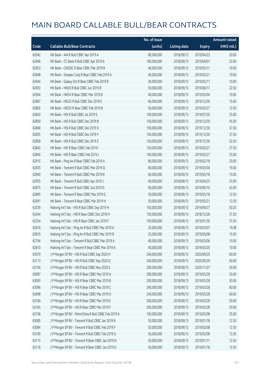|       |                                                      | No. of issue |                     |               | <b>Amount raised</b> |
|-------|------------------------------------------------------|--------------|---------------------|---------------|----------------------|
| Code  | <b>Callable Bull/Bear Contracts</b>                  | (units)      | <b>Listing date</b> | <b>Expiry</b> | (HK\$ mil.)          |
| 62942 | HK Bank - AIA R Bull CBBC Apr 2019 A                 | 80,000,000   | 2018/09/13          | 2019/04/23    | 20.00                |
| 62946 | HK Bank - CC Bank R Bull CBBC Apr 2019 A             | 100,000,000  | 2018/09/13          | 2019/04/01    | 25.00                |
| 62953 | HK Bank - CNOOC R Bear CBBC Mar 2019 B               | 40,000,000   | 2018/09/13          | 2019/03/11    | 10.00                |
| 62948 | HK Bank - Sinopec Corp R Bear CBBC Feb 2019 A        | 40,000,000   | 2018/09/13          | 2019/02/21    | 10.00                |
| 62944 | HK Bank - Galaxy Ent R Bear CBBC Feb 2019 B          | 40,000,000   | 2018/09/13          | 2019/02/11    | 10.00                |
| 62903 | HK Bank - HKEX R Bull CBBC Jun 2019 B                | 50,000,000   | 2018/09/13          | 2019/06/17    | 22.50                |
| 62904 | HK Bank - HKEX R Bear CBBC Mar 2019 B                | 40,000,000   | 2018/09/13          | 2019/03/04    | 10.00                |
| 62867 | HK Bank - HSCEI R Bull CBBC Dec 2019 E               | 60,000,000   | 2018/09/13          | 2019/12/30    | 15.00                |
| 62865 | HK Bank - HSCEI R Bear CBBC Feb 2019 B               | 50,000,000   | 2018/09/13          | 2019/02/27    | 12.50                |
| 62820 | HK Bank - HSI R Bull CBBC Jul 2019 S                 | 100,000,000  | 2018/09/13          | 2019/07/30    | 25.00                |
| 62859 | HK Bank - HSI R Bull CBBC Dec 2019 B                 | 150,000,000  | 2018/09/13          | 2019/12/30    | 45.00                |
| 62848 | HK Bank - HSI R Bull CBBC Dec 2019 X                 | 150,000,000  | 2018/09/13          | 2019/12/30    | 37.50                |
| 62855 | HK Bank - HSI R Bull CBBC Dec 2019 Y                 | 150,000,000  | 2018/09/13          | 2019/12/30    | 37.50                |
| 62858 | HK Bank - HSI R Bull CBBC Dec 2019 Z                 | 150,000,000  | 2018/09/13          | 2019/12/30    | 52.50                |
| 62842 | HK Bank - HSI R Bear CBBC Feb 2019 I                 | 150,000,000  | 2018/09/13          | 2019/02/27    | 37.50                |
| 62845 | HK Bank - HSI R Bear CBBC Feb 2019 J                 | 100,000,000  | 2018/09/13          | 2019/02/27    | 25.00                |
| 62915 | HK Bank - Ping An R Bear CBBC Feb 2019 A             | 80,000,000   | 2018/09/13          | 2019/02/18    | 20.00                |
| 62835 | HK Bank - Tencent R Bull CBBC Mar 2019 Q             | 60,000,000   | 2018/09/13          | 2019/03/04    | 15.00                |
| 62840 | HK Bank - Tencent R Bull CBBC Mar 2019 R             | 60,000,000   | 2018/09/13          | 2019/03/18    | 15.00                |
| 62955 | HK Bank - Tencent R Bull CBBC Apr 2019 J             | 60,000,000   | 2018/09/13          | 2019/04/25    | 33.00                |
| 62875 | HK Bank - Tencent R Bull CBBC Jun 2019 D             | 60,000,000   | 2018/09/13          | 2019/06/10    | 42.00                |
| 62895 | HK Bank - Tencent R Bear CBBC Mar 2019 G             | 50,000,000   | 2018/09/13          | 2019/03/18    | 12.50                |
| 62901 | HK Bank - Tencent R Bear CBBC Mar 2019 H             | 50,000,000   | 2018/09/13          | 2019/03/21    | 12.50                |
| 63339 | Haitong Int'l Sec - HSI R Bull CBBC Sep 2019 H       | 150,000,000  | 2018/09/13          | 2019/09/27    | 50.25                |
| 63344 | Haitong Int'l Sec - HSI R Bear CBBC Dec 2018 H       | 150,000,000  | 2018/09/13          | 2018/12/28    | 37.50                |
| 63354 | Haitong Int'l Sec - HSI R Bear CBBC Jan 2019 F       | 150,000,000  | 2018/09/13          | 2019/01/30    | 37.50                |
| 62816 | Haitong Int'l Sec - Ping An R Bull CBBC Mar 2019 A   | 25,000,000   | 2018/09/13          | 2019/03/07    | 10.08                |
| 62819 | Haitong Int'l Sec - Ping An R Bull CBBC Mar 2019 B   | 25,000,000   | 2018/09/13          | 2019/03/08    | 15.00                |
| 62794 | Haitong Int'l Sec - Tencent R Bull CBBC Mar 2019 A   | 40,000,000   | 2018/09/13          | 2019/03/06    | 10.00                |
| 62810 | Haitong Int'l Sec - Tencent R Bear CBBC Mar 2019 A   | 40,000,000   | 2018/09/13          | 2019/03/20    | 10.00                |
| 63079 | J P Morgan SP BV - HSI R Bull CBBC Sep 2020 H        | 240,000,000  | 2018/09/13          | 2020/09/29    | 60.00                |
| 63113 | J P Morgan SP BV - HSI R Bull CBBC Sep 2020 Q        | 240,000,000  | 2018/09/13          | 2020/09/29    | 60.00                |
| 63104 | J P Morgan SP BV - HSI R Bull CBBC Nov 2020 S        | 200,000,000  | 2018/09/13          | 2020/11/27    | 50.00                |
| 63087 | J P Morgan SP BV - HSI R Bear CBBC Mar 2019 A        | 200,000,000  | 2018/09/13          | 2019/03/28    | 50.00                |
| 63093 | JP Morgan SP BV - HSIR Bear CBBC Mar 2019 B          | 200,000,000  | 2018/09/13          | 2019/03/28    | 50.00                |
| 63096 | J P Morgan SP BV - HSI R Bear CBBC Mar 2019 C        | 240,000,000  | 2018/09/13          | 2019/03/28    | 60.00                |
| 63098 | J P Morgan SP BV - HSI R Bear CBBC Mar 2019 D        | 240,000,000  | 2018/09/13          | 2019/03/28    | 60.00                |
| 63160 | J P Morgan SP BV - HSI R Bear CBBC Mar 2019 E        | 200,000,000  | 2018/09/13          | 2019/03/28    | 50.00                |
| 63165 | J P Morgan SP BV - HSI R Bear CBBC Mar 2019 F        | 200,000,000  | 2018/09/13          | 2019/03/28    | 50.00                |
| 63158 | J P Morgan SP BV - PetroChina R Bull CBBC Feb 2019 A | 100,000,000  | 2018/09/13          | 2019/02/08    | 25.00                |
| 63085 | J P Morgan SP BV - Tencent R Bull CBBC Jan 2019 N    | 50,000,000   | 2018/09/13          | 2019/01/18    | 12.50                |
| 63084 | J P Morgan SP BV - Tencent R Bull CBBC Feb 2019 F    | 50,000,000   | 2018/09/13          | 2019/02/08    | 12.50                |
| 63100 | J P Morgan SP BV - Tencent R Bull CBBC Feb 2019 G    | 50,000,000   | 2018/09/13          | 2019/02/08    | 12.50                |
| 63115 | J P Morgan SP BV - Tencent R Bear CBBC Jan 2019 N    | 50,000,000   | 2018/09/13          | 2019/01/11    | 12.50                |
| 63116 | J P Morgan SP BV - Tencent R Bear CBBC Jan 2019 O    | 50,000,000   | 2018/09/13          | 2019/01/18    | 12.50                |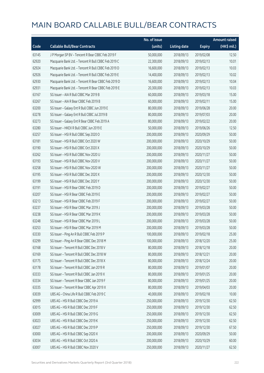|       |                                                      | No. of issue |                     |               | <b>Amount raised</b> |
|-------|------------------------------------------------------|--------------|---------------------|---------------|----------------------|
| Code  | <b>Callable Bull/Bear Contracts</b>                  | (units)      | <b>Listing date</b> | <b>Expiry</b> | (HK\$ mil.)          |
| 63145 | J P Morgan SP BV - Tencent R Bear CBBC Feb 2019 F    | 50,000,000   | 2018/09/13          | 2019/02/08    | 12.50                |
| 62920 | Macquarie Bank Ltd. - Tencent R Bull CBBC Feb 2019 C | 22,300,000   | 2018/09/13          | 2019/02/13    | 10.01                |
| 62924 | Macquarie Bank Ltd. - Tencent R Bull CBBC Feb 2019 D | 16,600,000   | 2018/09/13          | 2019/02/13    | 10.03                |
| 62926 | Macquarie Bank Ltd. - Tencent R Bull CBBC Feb 2019 E | 14,400,000   | 2018/09/13          | 2019/02/13    | 10.02                |
| 62930 | Macquarie Bank Ltd. - Tencent R Bear CBBC Feb 2019 D | 16,600,000   | 2018/09/13          | 2019/02/13    | 10.04                |
| 62931 | Macquarie Bank Ltd. - Tencent R Bear CBBC Feb 2019 E | 20,300,000   | 2018/09/13          | 2019/02/13    | 10.03                |
| 63167 | SG Issuer - AIA R Bull CBBC Mar 2019 B               | 60,000,000   | 2018/09/13          | 2019/03/18    | 15.00                |
| 63267 | SG Issuer - AIA R Bear CBBC Feb 2019 B               | 60,000,000   | 2018/09/13          | 2019/02/11    | 15.00                |
| 63200 | SG Issuer - Galaxy Ent R Bull CBBC Jun 2019 E        | 80,000,000   | 2018/09/13          | 2019/06/28    | 20.00                |
| 63278 | SG Issuer - Galaxy Ent R Bull CBBC Jul 2019 B        | 80,000,000   | 2018/09/13          | 2019/07/03    | 20.00                |
| 63273 | SG Issuer - Galaxy Ent R Bear CBBC Feb 2019 A        | 80,000,000   | 2018/09/13          | 2019/02/22    | 20.00                |
| 63280 | SG Issuer - HKEX R Bull CBBC Jun 2019 E              | 50,000,000   | 2018/09/13          | 2019/06/26    | 12.50                |
| 63257 | SG Issuer - HSI R Bull CBBC Sep 2020 O               | 200,000,000  | 2018/09/13          | 2020/09/29    | 50.00                |
| 63181 | SG Issuer - HSI R Bull CBBC Oct 2020 W               | 200,000,000  | 2018/09/13          | 2020/10/29    | 50.00                |
| 63190 | SG Issuer - HSI R Bull CBBC Oct 2020 X               | 200,000,000  | 2018/09/13          | 2020/10/29    | 50.00                |
| 63262 | SG Issuer - HSI R Bull CBBC Nov 2020 U               | 200,000,000  | 2018/09/13          | 2020/11/27    | 50.00                |
| 63193 | SG Issuer - HSI R Bull CBBC Nov 2020 V               | 200,000,000  | 2018/09/13          | 2020/11/27    | 50.00                |
| 63258 | SG Issuer - HSI R Bull CBBC Nov 2020 W               | 200,000,000  | 2018/09/13          | 2020/11/27    | 50.00                |
| 63195 | SG Issuer - HSI R Bull CBBC Dec 2020 X               | 200,000,000  | 2018/09/13          | 2020/12/30    | 50.00                |
| 63199 | SG Issuer - HSI R Bull CBBC Dec 2020 Y               | 200,000,000  | 2018/09/13          | 2020/12/30    | 50.00                |
| 63191 | SG Issuer - HSI R Bear CBBC Feb 2019 D               | 200,000,000  | 2018/09/13          | 2019/02/27    | 50.00                |
| 63207 | SG Issuer - HSI R Bear CBBC Feb 2019 E               | 200,000,000  | 2018/09/13          | 2019/02/27    | 50.00                |
| 63213 | SG Issuer - HSI R Bear CBBC Feb 2019 F               | 200,000,000  | 2018/09/13          | 2019/02/27    | 50.00                |
| 63237 | SG Issuer - HSI R Bear CBBC Mar 2019 J               | 200,000,000  | 2018/09/13          | 2019/03/28    | 50.00                |
| 63238 | SG Issuer - HSI R Bear CBBC Mar 2019 K               | 200,000,000  | 2018/09/13          | 2019/03/28    | 50.00                |
| 63248 | SG Issuer - HSI R Bear CBBC Mar 2019 L               | 200,000,000  | 2018/09/13          | 2019/03/28    | 50.00                |
| 63253 | SG Issuer - HSI R Bear CBBC Mar 2019 M               | 200,000,000  | 2018/09/13          | 2019/03/28    | 50.00                |
| 63330 | SG Issuer - Ping An R Bull CBBC Feb 2019 P           | 100,000,000  | 2018/09/13          | 2019/02/18    | 25.00                |
| 63299 | SG Issuer - Ping An R Bear CBBC Dec 2018 M           | 100,000,000  | 2018/09/13          | 2018/12/20    | 25.00                |
| 63168 | SG Issuer - Tencent R Bull CBBC Dec 2018 V           | 80,000,000   | 2018/09/13          | 2018/12/18    | 20.00                |
| 63169 | SG Issuer - Tencent R Bull CBBC Dec 2018 W           | 80,000,000   | 2018/09/13          | 2018/12/21    | 20.00                |
| 63175 | SG Issuer - Tencent R Bull CBBC Dec 2018 X           | 80,000,000   | 2018/09/13          | 2018/12/24    | 20.00                |
| 63178 | SG Issuer - Tencent R Bull CBBC Jan 2019 R           | 80,000,000   | 2018/09/13          | 2019/01/07    | 20.00                |
| 63333 | SG Issuer - Tencent R Bull CBBC Jan 2019 X           | 80,000,000   | 2018/09/13          | 2019/01/25    | 20.00                |
| 63334 | SG Issuer - Tencent R Bear CBBC Jan 2019 F           | 80,000,000   | 2018/09/13          | 2019/01/25    | 20.00                |
| 63335 | SG Issuer - Tencent R Bear CBBC Apr 2019 X           | 80,000,000   | 2018/09/13          | 2019/04/03    | 20.00                |
| 63039 | UBS AG - China Life R Bull CBBC Feb 2019 C           | 40,000,000   | 2018/09/13          | 2019/02/18    | 10.00                |
| 62999 | UBS AG - HSI R Bull CBBC Dec 2019 A                  | 250,000,000  | 2018/09/13          | 2019/12/30    | 62.50                |
| 63015 | UBS AG - HSI R Bull CBBC Dec 2019 F                  | 250,000,000  | 2018/09/13          | 2019/12/30    | 62.50                |
| 63009 | UBS AG - HSI R Bull CBBC Dec 2019 G                  | 250,000,000  | 2018/09/13          | 2019/12/30    | 62.50                |
| 63023 | UBS AG - HSI R Bull CBBC Dec 2019 K                  | 250,000,000  | 2018/09/13          | 2019/12/30    | 62.50                |
| 63027 | UBS AG - HSI R Bull CBBC Dec 2019 P                  | 250,000,000  | 2018/09/13          | 2019/12/30    | 67.50                |
| 63000 | UBS AG - HSI R Bull CBBC Sep 2020 X                  | 200,000,000  | 2018/09/13          | 2020/09/29    | 50.00                |
| 63034 | UBS AG - HSI R Bull CBBC Oct 2020 A                  | 200,000,000  | 2018/09/13          | 2020/10/29    | 60.00                |
| 63007 | UBS AG - HSI R Bull CBBC Nov 2020 V                  | 250,000,000  | 2018/09/13          | 2020/11/27    | 62.50                |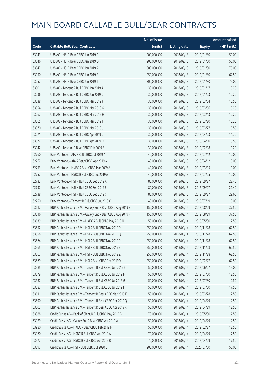|       |                                                               | No. of issue |                     |               | <b>Amount raised</b> |
|-------|---------------------------------------------------------------|--------------|---------------------|---------------|----------------------|
| Code  | <b>Callable Bull/Bear Contracts</b>                           | (units)      | <b>Listing date</b> | <b>Expiry</b> | (HK\$ mil.)          |
| 63043 | UBS AG - HSI R Bear CBBC Jan 2019 P                           | 200,000,000  | 2018/09/13          | 2019/01/30    | 50.00                |
| 63046 | UBS AG - HSI R Bear CBBC Jan 2019 Q                           | 200,000,000  | 2018/09/13          | 2019/01/30    | 50.00                |
| 63047 | UBS AG - HSI R Bear CBBC Jan 2019 R                           | 300,000,000  | 2018/09/13          | 2019/01/30    | 75.00                |
| 63050 | UBS AG - HSI R Bear CBBC Jan 2019 S                           | 250,000,000  | 2018/09/13          | 2019/01/30    | 62.50                |
| 63052 | UBS AG - HSI R Bear CBBC Jan 2019 T                           | 300,000,000  | 2018/09/13          | 2019/01/30    | 75.00                |
| 63001 | UBS AG - Tencent R Bull CBBC Jan 2019 A                       | 30,000,000   | 2018/09/13          | 2019/01/17    | 10.20                |
| 63036 | UBS AG - Tencent R Bull CBBC Jan 2019 D                       | 30,000,000   | 2018/09/13          | 2019/01/23    | 10.20                |
| 63038 | UBS AG - Tencent R Bull CBBC Mar 2019 F                       | 30,000,000   | 2018/09/13          | 2019/03/04    | 16.50                |
| 63054 | UBS AG - Tencent R Bull CBBC Mar 2019 G                       | 30,000,000   | 2018/09/13          | 2019/03/06    | 10.20                |
| 63062 | UBS AG - Tencent R Bull CBBC Mar 2019 H                       | 30,000,000   | 2018/09/13          | 2019/03/13    | 10.20                |
| 63065 | UBS AG - Tencent R Bull CBBC Mar 2019 I                       | 30,000,000   | 2018/09/13          | 2019/03/20    | 10.20                |
| 63070 | UBS AG - Tencent R Bull CBBC Mar 2019 J                       | 30,000,000   | 2018/09/13          | 2019/03/27    | 10.50                |
| 63071 | UBS AG - Tencent R Bull CBBC Apr 2019 C                       | 30,000,000   | 2018/09/13          | 2019/04/03    | 11.70                |
| 63072 | UBS AG - Tencent R Bull CBBC Apr 2019 D                       | 30,000,000   | 2018/09/13          | 2019/04/10    | 13.50                |
| 63042 | UBS AG - Tencent R Bear CBBC Feb 2019 B                       | 30,000,000   | 2018/09/13          | 2019/02/18    | 10.20                |
| 62760 | Bank Vontobel - AIA R Bull CBBC Jul 2019 A                    | 40,000,000   | 2018/09/13          | 2019/07/12    | 10.00                |
| 62762 | Bank Vontobel - AIA R Bear CBBC Apr 2019 A                    | 40,000,000   | 2018/09/13          | 2019/04/12    | 10.00                |
| 62753 | Bank Vontobel - HKEX R Bear CBBC Mar 2019 A                   | 40,000,000   | 2018/09/13          | 2019/03/15    | 10.00                |
| 62752 | Bank Vontobel - HSBC R Bull CBBC Jul 2019 A                   | 40,000,000   | 2018/09/13          | 2019/07/05    | 10.00                |
| 62732 | Bank Vontobel - HSI N Bull CBBC Sep 2019 A                    | 80,000,000   | 2018/09/13          | 2019/09/27    | 22.40                |
| 62737 | Bank Vontobel - HSI N Bull CBBC Sep 2019 B                    | 80,000,000   | 2018/09/13          | 2019/09/27    | 26.40                |
| 62738 | Bank Vontobel - HSI N Bull CBBC Sep 2019 C                    | 80,000,000   | 2018/09/13          | 2019/09/27    | 29.60                |
| 62750 | Bank Vontobel - Tencent R Bull CBBC Jul 2019 C                | 40,000,000   | 2018/09/13          | 2019/07/19    | 10.00                |
| 63612 | BNP Paribas Issuance B.V. - Galaxy Ent R Bear CBBC Aug 2019 E | 150,000,000  | 2018/09/14          | 2019/08/29    | 37.50                |
| 63616 | BNP Paribas Issuance B.V. - Galaxy Ent R Bear CBBC Aug 2019 F | 150,000,000  | 2018/09/14          | 2019/08/29    | 37.50                |
| 63639 | BNP Paribas Issuance B.V. - HKEX R Bull CBBC May 2019 N       | 50,000,000   | 2018/09/14          | 2019/05/30    | 12.50                |
| 63552 | BNP Paribas Issuance B.V. - HSI R Bull CBBC Nov 2019 P        | 250,000,000  | 2018/09/14          | 2019/11/28    | 62.50                |
| 63558 | BNP Paribas Issuance B.V. - HSI R Bull CBBC Nov 2019 Q        | 250,000,000  | 2018/09/14          | 2019/11/28    | 62.50                |
| 63564 | BNP Paribas Issuance B.V. - HSI R Bull CBBC Nov 2019 R        | 250,000,000  | 2018/09/14          | 2019/11/28    | 62.50                |
| 63565 | BNP Paribas Issuance B.V. - HSI R Bull CBBC Nov 2019 S        | 250,000,000  | 2018/09/14          | 2019/11/28    | 62.50                |
| 63567 | BNP Paribas Issuance B.V. - HSI R Bull CBBC Nov 2019 Z        | 250,000,000  | 2018/09/14          | 2019/11/28    | 62.50                |
| 63569 | BNP Paribas Issuance B.V. - HSI R Bear CBBC Feb 2019 V        | 250,000,000  | 2018/09/14          | 2019/02/27    | 62.50                |
| 63585 | BNP Paribas Issuance B.V. - Tencent R Bull CBBC Jun 2019 S    | 50,000,000   | 2018/09/14          | 2019/06/27    | 15.00                |
| 63579 | BNP Paribas Issuance B.V. - Tencent R Bull CBBC Jul 2019 F    | 50,000,000   | 2018/09/14          | 2019/07/30    | 12.50                |
| 63582 | BNP Paribas Issuance B.V. - Tencent R Bull CBBC Jul 2019 G    | 50,000,000   | 2018/09/14          | 2019/07/30    | 12.50                |
| 63587 | BNP Paribas Issuance B.V. - Tencent R Bull CBBC Jul 2019 H    | 50,000,000   | 2018/09/14          | 2019/07/30    | 17.50                |
| 63611 | BNP Paribas Issuance B.V. - Tencent R Bear CBBC Mar 2019 E    | 50,000,000   | 2018/09/14          | 2019/03/28    | 12.50                |
| 63590 | BNP Paribas Issuance B.V. - Tencent R Bear CBBC Apr 2019 Q    | 50,000,000   | 2018/09/14          | 2019/04/29    | 12.50                |
| 63603 | BNP Paribas Issuance B.V. - Tencent R Bear CBBC Apr 2019 R    | 50,000,000   | 2018/09/14          | 2019/04/29    | 12.50                |
| 63988 | Credit Suisse AG - Bank of China R Bull CBBC May 2019 B       | 70,000,000   | 2018/09/14          | 2019/05/30    | 17.50                |
| 63979 | Credit Suisse AG - Galaxy Ent R Bear CBBC Apr 2019 A          | 50,000,000   | 2018/09/14          | 2019/04/29    | 12.50                |
| 63980 | Credit Suisse AG - HKEX R Bear CBBC Feb 2019 F                | 50,000,000   | 2018/09/14          | 2019/02/27    | 12.50                |
| 63960 | Credit Suisse AG - HSBC R Bull CBBC Apr 2019 A                | 70,000,000   | 2018/09/14          | 2019/04/29    | 17.50                |
| 63972 | Credit Suisse AG - HSBC R Bull CBBC Apr 2019 B                | 70,000,000   | 2018/09/14          | 2019/04/29    | 17.50                |
| 63897 | Credit Suisse AG - HSI R Bull CBBC Jul 2020 O                 | 200,000,000  | 2018/09/14          | 2020/07/30    | 50.00                |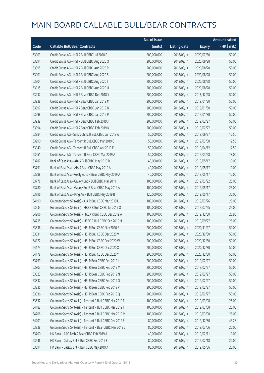|       |                                                          | No. of issue |                     |               | <b>Amount raised</b> |
|-------|----------------------------------------------------------|--------------|---------------------|---------------|----------------------|
| Code  | <b>Callable Bull/Bear Contracts</b>                      | (units)      | <b>Listing date</b> | <b>Expiry</b> | (HK\$ mil.)          |
| 63903 | Credit Suisse AG - HSI R Bull CBBC Jul 2020 P            | 200,000,000  | 2018/09/14          | 2020/07/30    | 50.00                |
| 63894 | Credit Suisse AG - HSI R Bull CBBC Aug 2020 Q            | 200,000,000  | 2018/09/14          | 2020/08/28    | 50.00                |
| 63895 | Credit Suisse AG - HSI R Bull CBBC Aug 2020 R            | 200,000,000  | 2018/09/14          | 2020/08/28    | 50.00                |
| 63901 | Credit Suisse AG - HSI R Bull CBBC Aug 2020 S            | 200,000,000  | 2018/09/14          | 2020/08/28    | 50.00                |
| 63904 | Credit Suisse AG - HSI R Bull CBBC Aug 2020 T            | 200,000,000  | 2018/09/14          | 2020/08/28    | 50.00                |
| 63915 | Credit Suisse AG - HSI R Bull CBBC Aug 2020 U            | 200,000,000  | 2018/09/14          | 2020/08/28    | 50.00                |
| 63937 | Credit Suisse AG - HSI R Bear CBBC Dec 2018 Y            | 200,000,000  | 2018/09/14          | 2018/12/28    | 50.00                |
| 63938 | Credit Suisse AG - HSI R Bear CBBC Jan 2019 M            | 200,000,000  | 2018/09/14          | 2019/01/30    | 50.00                |
| 63997 | Credit Suisse AG - HSI R Bear CBBC Jan 2019 N            | 200,000,000  | 2018/09/14          | 2019/01/30    | 50.00                |
| 63998 | Credit Suisse AG - HSI R Bear CBBC Jan 2019 P            | 200,000,000  | 2018/09/14          | 2019/01/30    | 50.00                |
| 63939 | Credit Suisse AG - HSI R Bear CBBC Feb 2019 J            | 200,000,000  | 2018/09/14          | 2019/02/27    | 50.00                |
| 63994 | Credit Suisse AG - HSI R Bear CBBC Feb 2019 K            | 200,000,000  | 2018/09/14          | 2019/02/27    | 50.00                |
| 63984 | Credit Suisse AG - Sands China R Bull CBBC Jun 2019 A    | 50,000,000   | 2018/09/14          | 2019/06/27    | 12.50                |
| 63990 | Credit Suisse AG - Tencent R Bull CBBC Mar 2019 C        | 50,000,000   | 2018/09/14          | 2019/03/08    | 12.50                |
| 63940 | Credit Suisse AG - Tencent R Bull CBBC Apr 2019 E        | 50,000,000   | 2018/09/14          | 2019/04/12    | 12.50                |
| 63951 | Credit Suisse AG - Tencent R Bear CBBC Mar 2019 A        | 50,000,000   | 2018/09/14          | 2019/03/28    | 18.00                |
| 63782 | Bank of East Asia - AIA R Bull CBBC May 2019 B           | 40,000,000   | 2018/09/14          | 2019/05/17    | 10.00                |
| 63791 | Bank of East Asia - AIA R Bear CBBC May 2019 A           | 40,000,000   | 2018/09/14          | 2019/05/17    | 10.00                |
| 63798 | Bank of East Asia - Geely Auto R Bear CBBC May 2019 A    | 40,000,000   | 2018/09/14          | 2019/05/17    | 12.00                |
| 63778 | Bank of East Asia - Galaxy Ent R Bull CBBC Mar 2019 I    | 100,000,000  | 2018/09/14          | 2019/03/22    | 25.00                |
| 63780 | Bank of East Asia - Galaxy Ent R Bear CBBC May 2019 A    | 100,000,000  | 2018/09/14          | 2019/05/17    | 25.00                |
| 63796 | Bank of East Asia - Ping An R Bull CBBC May 2019 B       | 120,000,000  | 2018/09/14          | 2019/05/17    | 30.00                |
| 64190 | Goldman Sachs SP (Asia) - AIA R Bull CBBC Mar 2019 L     | 100,000,000  | 2018/09/14          | 2019/03/26    | 25.00                |
| 63533 | Goldman Sachs SP (Asia) - HKEX R Bull CBBC Jul 2019 O    | 100,000,000  | 2018/09/14          | 2019/07/25    | 25.00                |
| 64206 | Goldman Sachs SP (Asia) - HKEX R Bull CBBC Dec 2019 A    | 100,000,000  | 2018/09/14          | 2019/12/30    | 26.90                |
| 64215 | Goldman Sachs SP (Asia) - HSBC R Bull CBBC Sep 2019 H    | 100,000,000  | 2018/09/14          | 2019/09/27    | 25.00                |
| 63536 | Goldman Sachs SP (Asia) - HSI R Bull CBBC Nov 2020 F     | 200,000,000  | 2018/09/14          | 2020/11/27    | 50.00                |
| 63531 | Goldman Sachs SP (Asia) - HSI R Bull CBBC Dec 2020 V     | 200,000,000  | 2018/09/14          | 2020/12/30    | 50.00                |
| 64172 | Goldman Sachs SP (Asia) - HSI R Bull CBBC Dec 2020 W     | 200,000,000  | 2018/09/14          | 2020/12/30    | 50.00                |
| 64174 | Goldman Sachs SP (Asia) - HSI R Bull CBBC Dec 2020 X     | 200,000,000  | 2018/09/14          | 2020/12/30    | 50.00                |
| 64178 | Goldman Sachs SP (Asia) - HSI R Bull CBBC Dec 2020 Y     | 200,000,000  | 2018/09/14          | 2020/12/30    | 50.00                |
| 63799 | Goldman Sachs SP (Asia) - HSI R Bear CBBC Feb 2019 L     | 200,000,000  | 2018/09/14          | 2019/02/27    | 50.00                |
| 63803 | Goldman Sachs SP (Asia) - HSI R Bear CBBC Feb 2019 M     | 200,000,000  | 2018/09/14          | 2019/02/27    | 50.00                |
| 63823 | Goldman Sachs SP (Asia) - HSI R Bear CBBC Feb 2019 N     | 200,000,000  | 2018/09/14          | 2019/02/27    | 50.00                |
| 63832 | Goldman Sachs SP (Asia) - HSI R Bear CBBC Feb 2019 O     | 200,000,000  | 2018/09/14          | 2019/02/27    | 50.00                |
| 63835 | Goldman Sachs SP (Asia) - HSI R Bear CBBC Feb 2019 P     | 200,000,000  | 2018/09/14          | 2019/02/27    | 50.00                |
| 63836 | Goldman Sachs SP (Asia) - HSI R Bear CBBC Feb 2019 Q     | 200,000,000  | 2018/09/14          | 2019/02/27    | 50.00                |
| 63532 | Goldman Sachs SP (Asia) - Tencent R Bull CBBC Mar 2019 F | 100,000,000  | 2018/09/14          | 2019/03/08    | 25.00                |
| 64182 | Goldman Sachs SP (Asia) - Tencent R Bull CBBC Mar 2019 I | 100,000,000  | 2018/09/14          | 2019/03/08    | 25.00                |
| 64208 | Goldman Sachs SP (Asia) - Tencent R Bull CBBC Mar 2019 M | 100,000,000  | 2018/09/14          | 2019/03/08    | 25.00                |
| 64201 | Goldman Sachs SP (Asia) - Tencent R Bull CBBC Dec 2019 E | 80,000,000   | 2018/09/14          | 2019/12/30    | 43.28                |
| 63838 | Goldman Sachs SP (Asia) - Tencent R Bear CBBC Mar 2019 L | 80,000,000   | 2018/09/14          | 2019/03/06    | 20.00                |
| 63700 | HK Bank - AAC Tech R Bear CBBC Feb 2019 A                | 40,000,000   | 2018/09/14          | 2019/02/11    | 10.00                |
| 63646 | HK Bank - Galaxy Ent R Bull CBBC Feb 2019 F              | 80,000,000   | 2018/09/14          | 2019/02/18    | 20.00                |
| 63694 | HK Bank - Galaxy Ent R Bull CBBC May 2019 A              | 80,000,000   | 2018/09/14          | 2019/05/06    | 20.00                |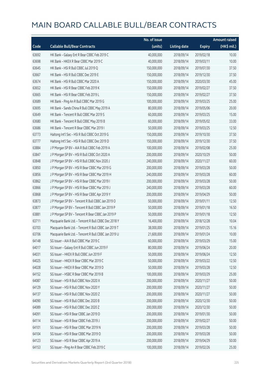|       |                                                      | No. of issue |                     |               | <b>Amount raised</b> |
|-------|------------------------------------------------------|--------------|---------------------|---------------|----------------------|
| Code  | <b>Callable Bull/Bear Contracts</b>                  | (units)      | <b>Listing date</b> | <b>Expiry</b> | (HK\$ mil.)          |
| 63692 | HK Bank - Galaxy Ent R Bear CBBC Feb 2019 C          | 40,000,000   | 2018/09/14          | 2019/02/18    | 10.00                |
| 63698 | HK Bank - HKEX R Bear CBBC Mar 2019 C                | 40,000,000   | 2018/09/14          | 2019/03/11    | 10.00                |
| 63645 | HK Bank - HSI R Bull CBBC Jul 2019 Q                 | 150,000,000  | 2018/09/14          | 2019/07/30    | 37.50                |
| 63667 | HK Bank - HSI R Bull CBBC Dec 2019 E                 | 150,000,000  | 2018/09/14          | 2019/12/30    | 37.50                |
| 63674 | HK Bank - HSI R Bull CBBC Mar 2020 A                 | 150,000,000  | 2018/09/14          | 2020/03/30    | 45.00                |
| 63652 | HK Bank - HSI R Bear CBBC Feb 2019 K                 | 150,000,000  | 2018/09/14          | 2019/02/27    | 37.50                |
| 63665 | HK Bank - HSI R Bear CBBC Feb 2019 L                 | 150,000,000  | 2018/09/14          | 2019/02/27    | 37.50                |
| 63689 | HK Bank - Ping An R Bull CBBC Mar 2019 G             | 100,000,000  | 2018/09/14          | 2019/03/25    | 25.00                |
| 63695 | HK Bank - Sands China R Bull CBBC May 2019 A         | 80,000,000   | 2018/09/14          | 2019/05/06    | 20.00                |
| 63649 | HK Bank - Tencent R Bull CBBC Mar 2019 S             | 60,000,000   | 2018/09/14          | 2019/03/25    | 15.00                |
| 63680 | HK Bank - Tencent R Bull CBBC May 2019 B             | 60,000,000   | 2018/09/14          | 2019/05/02    | 33.00                |
| 63686 | HK Bank - Tencent R Bear CBBC Mar 2019 I             | 50,000,000   | 2018/09/14          | 2019/03/25    | 12.50                |
| 63773 | Haitong Int'l Sec - HSI R Bull CBBC Oct 2019 G       | 150,000,000  | 2018/09/14          | 2019/10/30    | 37.50                |
| 63777 | Haitong Int'l Sec - HSI R Bull CBBC Dec 2019 D       | 150,000,000  | 2018/09/14          | 2019/12/30    | 37.50                |
| 63884 | J P Morgan SP BV - AIA R Bull CBBC Feb 2019 A        | 100,000,000  | 2018/09/14          | 2019/02/08    | 25.00                |
| 63847 | J P Morgan SP BV - HSI R Bull CBBC Oct 2020 A        | 200,000,000  | 2018/09/14          | 2020/10/29    | 50.00                |
| 63848 | J P Morgan SP BV - HSI R Bull CBBC Nov 2020 J        | 240,000,000  | 2018/09/14          | 2020/11/27    | 60.00                |
| 63850 | J P Morgan SP BV - HSI R Bear CBBC Mar 2019 G        | 200,000,000  | 2018/09/14          | 2019/03/28    | 50.00                |
| 63856 | J P Morgan SP BV - HSI R Bear CBBC Mar 2019 H        | 240,000,000  | 2018/09/14          | 2019/03/28    | 60.00                |
| 63862 | J P Morgan SP BV - HSI R Bear CBBC Mar 2019 I        | 200,000,000  | 2018/09/14          | 2019/03/28    | 50.00                |
| 63866 | JP Morgan SP BV - HSIR Bear CBBC Mar 2019 J          | 240,000,000  | 2018/09/14          | 2019/03/28    | 60.00                |
| 63868 | J P Morgan SP BV - HSI R Bear CBBC Apr 2019 Y        | 200,000,000  | 2018/09/14          | 2019/04/29    | 50.00                |
| 63873 | J P Morgan SP BV - Tencent R Bull CBBC Jan 2019 O    | 50,000,000   | 2018/09/14          | 2019/01/11    | 12.50                |
| 63877 | J P Morgan SP BV - Tencent R Bull CBBC Jan 2019 P    | 50,000,000   | 2018/09/14          | 2019/01/18    | 16.50                |
| 63881 | J P Morgan SP BV - Tencent R Bear CBBC Jan 2019 P    | 50,000,000   | 2018/09/14          | 2019/01/18    | 12.50                |
| 63711 | Macquarie Bank Ltd. - Tencent R Bull CBBC Dec 2018 Y | 16,400,000   | 2018/09/14          | 2018/12/28    | 10.04                |
| 63703 | Macquarie Bank Ltd. - Tencent R Bull CBBC Jan 2019 T | 38,000,000   | 2018/09/14          | 2019/01/25    | 15.16                |
| 63706 | Macquarie Bank Ltd. - Tencent R Bull CBBC Jan 2019 U | 21,600,000   | 2018/09/14          | 2019/01/24    | 10.00                |
| 64148 | SG Issuer - AIA R Bull CBBC Mar 2019 C               | 60,000,000   | 2018/09/14          | 2019/03/29    | 15.00                |
| 64017 | SG Issuer - Galaxy Ent R Bull CBBC Jun 2019 F        | 80,000,000   | 2018/09/14          | 2019/06/24    | 20.00                |
| 64031 | SG Issuer - HKEX R Bull CBBC Jun 2019 F              | 50,000,000   | 2018/09/14          | 2019/06/24    | 12.50                |
| 64025 | SG Issuer - HKEX R Bear CBBC Mar 2019 C              | 50,000,000   | 2018/09/14          | 2019/03/22    | 12.50                |
| 64028 | SG Issuer - HKEX R Bear CBBC Mar 2019 D              | 50,000,000   | 2018/09/14          | 2019/03/28    | 12.50                |
| 64152 | SG Issuer - HSBC R Bear CBBC Mar 2019 B              | 100,000,000  | 2018/09/14          | 2019/03/29    | 25.00                |
| 64087 | SG Issuer - HSI R Bull CBBC Nov 2020 X               | 200,000,000  | 2018/09/14          | 2020/11/27    | 50.00                |
| 64129 | SG Issuer - HSI R Bull CBBC Nov 2020 Y               | 200,000,000  | 2018/09/14          | 2020/11/27    | 50.00                |
| 64137 | SG Issuer - HSI R Bull CBBC Nov 2020 Z               | 200,000,000  | 2018/09/14          | 2020/11/27    | 50.00                |
| 64090 | SG Issuer - HSI R Bull CBBC Dec 2020 B               | 200,000,000  | 2018/09/14          | 2020/12/30    | 50.00                |
| 64089 | SG Issuer - HSI R Bull CBBC Dec 2020 Z               | 200,000,000  | 2018/09/14          | 2020/12/30    | 50.00                |
| 64091 | SG Issuer - HSI R Bear CBBC Jan 2019 D               | 200,000,000  | 2018/09/14          | 2019/01/30    | 50.00                |
| 64114 | SG Issuer - HSI R Bear CBBC Feb 2019 J               | 200,000,000  | 2018/09/14          | 2019/02/27    | 50.00                |
| 64101 | SG Issuer - HSI R Bear CBBC Mar 2019 N               | 200,000,000  | 2018/09/14          | 2019/03/28    | 50.00                |
| 64104 | SG Issuer - HSI R Bear CBBC Mar 2019 O               | 200,000,000  | 2018/09/14          | 2019/03/28    | 50.00                |
| 64123 | SG Issuer - HSI R Bear CBBC Apr 2019 A               | 200,000,000  | 2018/09/14          | 2019/04/29    | 50.00                |
| 64153 | SG Issuer - Ping An R Bear CBBC Feb 2019 C           | 100,000,000  | 2018/09/14          | 2019/02/26    | 25.00                |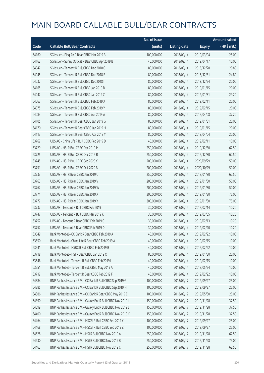|       |                                                               | No. of issue |                     |               | <b>Amount raised</b> |
|-------|---------------------------------------------------------------|--------------|---------------------|---------------|----------------------|
| Code  | <b>Callable Bull/Bear Contracts</b>                           | (units)      | <b>Listing date</b> | <b>Expiry</b> | (HK\$ mil.)          |
| 64160 | SG Issuer - Ping An R Bear CBBC Mar 2019 B                    | 100,000,000  | 2018/09/14          | 2019/03/04    | 25.00                |
| 64162 | SG Issuer - Sunny Optical R Bear CBBC Apr 2019 B              | 40,000,000   | 2018/09/14          | 2019/04/17    | 10.00                |
| 64042 | SG Issuer - Tencent R Bull CBBC Dec 2018 C                    | 80,000,000   | 2018/09/14          | 2018/12/28    | 20.80                |
| 64045 | SG Issuer - Tencent R Bull CBBC Dec 2018 E                    | 80,000,000   | 2018/09/14          | 2018/12/31    | 24.80                |
| 64032 | SG Issuer - Tencent R Bull CBBC Dec 2018 I                    | 80,000,000   | 2018/09/14          | 2018/12/24    | 20.00                |
| 64165 | SG Issuer - Tencent R Bull CBBC Jan 2019 B                    | 80,000,000   | 2018/09/14          | 2019/01/15    | 20.00                |
| 64047 | SG Issuer - Tencent R Bull CBBC Jan 2019 Z                    | 80,000,000   | 2018/09/14          | 2019/01/31    | 29.20                |
| 64063 | SG Issuer - Tencent R Bull CBBC Feb 2019 X                    | 80,000,000   | 2018/09/14          | 2019/02/11    | 20.00                |
| 64075 | SG Issuer - Tencent R Bull CBBC Feb 2019 Y                    | 80,000,000   | 2018/09/14          | 2019/02/15    | 20.00                |
| 64083 | SG Issuer - Tencent R Bull CBBC Apr 2019 A                    | 80,000,000   | 2018/09/14          | 2019/04/08    | 37.20                |
| 64105 | SG Issuer - Tencent R Bear CBBC Jan 2019 G                    | 80,000,000   | 2018/09/14          | 2019/01/31    | 20.00                |
| 64170 | SG Issuer - Tencent R Bear CBBC Jan 2019 H                    | 80,000,000   | 2018/09/14          | 2019/01/15    | 20.00                |
| 64113 | SG Issuer - Tencent R Bear CBBC Apr 2019 Y                    | 80,000,000   | 2018/09/14          | 2019/04/04    | 20.00                |
| 63762 | UBS AG - China Life R Bull CBBC Feb 2019 D                    | 40,000,000   | 2018/09/14          | 2019/02/11    | 10.00                |
| 63729 | UBS AG - HSI R Bull CBBC Dec 2019 M                           | 250,000,000  | 2018/09/14          | 2019/12/30    | 62.50                |
| 63725 | UBS AG - HSI R Bull CBBC Dec 2019 R                           | 250,000,000  | 2018/09/14          | 2019/12/30    | 62.50                |
| 63745 | UBS AG - HSI R Bull CBBC Sep 2020 Y                           | 200,000,000  | 2018/09/14          | 2020/09/29    | 50.00                |
| 63751 | UBS AG - HSI R Bull CBBC Oct 2020 B                           | 200,000,000  | 2018/09/14          | 2020/10/29    | 50.00                |
| 63733 | UBS AG - HSI R Bear CBBC Jan 2019 U                           | 250,000,000  | 2018/09/14          | 2019/01/30    | 62.50                |
| 63763 | UBS AG - HSI R Bear CBBC Jan 2019 V                           | 200,000,000  | 2018/09/14          | 2019/01/30    | 50.00                |
| 63767 | UBS AG - HSI R Bear CBBC Jan 2019 W                           | 200,000,000  | 2018/09/14          | 2019/01/30    | 50.00                |
| 63771 | UBS AG - HSI R Bear CBBC Jan 2019 X                           | 300,000,000  | 2018/09/14          | 2019/01/30    | 75.00                |
| 63772 | UBS AG - HSI R Bear CBBC Jan 2019 Y                           | 300,000,000  | 2018/09/14          | 2019/01/30    | 75.00                |
| 63737 | UBS AG - Tencent R Bull CBBC Feb 2019 I                       | 30,000,000   | 2018/09/14          | 2019/02/14    | 10.20                |
| 63747 | UBS AG - Tencent R Bull CBBC Mar 2019 K                       | 30,000,000   | 2018/09/14          | 2019/03/05    | 10.20                |
| 63752 | UBS AG - Tencent R Bear CBBC Feb 2019 C                       | 30,000,000   | 2018/09/14          | 2019/02/13    | 10.20                |
| 63757 | UBS AG - Tencent R Bear CBBC Feb 2019 D                       | 30,000,000   | 2018/09/14          | 2019/02/20    | 10.20                |
| 63549 | Bank Vontobel - CC Bank R Bear CBBC Feb 2019 A                | 40,000,000   | 2018/09/14          | 2019/02/22    | 10.00                |
| 63550 | Bank Vontobel - China Life R Bear CBBC Feb 2019 A             | 40,000,000   | 2018/09/14          | 2019/02/15    | 10.00                |
| 63541 | Bank Vontobel - HSBC R Bull CBBC Feb 2019 B                   | 40,000,000   | 2018/09/14          | 2019/02/22    | 10.00                |
| 63718 | Bank Vontobel - HSI R Bear CBBC Jan 2019 X                    | 80,000,000   | 2018/09/14          | 2019/01/30    | 20.00                |
| 63546 | Bank Vontobel - Tencent R Bull CBBC Feb 2019 I                | 40,000,000   | 2018/09/14          | 2019/02/15    | 10.00                |
| 63551 | Bank Vontobel - Tencent R Bull CBBC May 2019 A                | 40,000,000   | 2018/09/14          | 2019/05/24    | 10.00                |
| 63712 | Bank Vontobel - Tencent R Bear CBBC Feb 2019 F                | 40,000,000   | 2018/09/14          | 2019/02/22    | 10.00                |
| 64384 | BNP Paribas Issuance B.V. - CC Bank R Bull CBBC Sep 2019 G    | 100,000,000  | 2018/09/17          | 2019/09/27    | 25.00                |
| 64385 | BNP Paribas Issuance B.V. - CC Bank R Bull CBBC Sep 2019 H    | 100,000,000  | 2018/09/17          | 2019/09/27    | 25.00                |
| 64386 | BNP Paribas Issuance B.V. - CC Bank R Bear CBBC May 2019 E    | 100,000,000  | 2018/09/17          | 2019/05/30    | 25.00                |
| 64390 | BNP Paribas Issuance B.V. - Galaxy Ent R Bull CBBC Nov 2019 I | 150,000,000  | 2018/09/17          | 2019/11/28    | 37.50                |
| 64399 | BNP Paribas Issuance B.V. - Galaxy Ent R Bull CBBC Nov 2019 J | 150,000,000  | 2018/09/17          | 2019/11/28    | 37.50                |
| 64400 | BNP Paribas Issuance B.V. - Galaxy Ent R Bull CBBC Nov 2019 K | 150,000,000  | 2018/09/17          | 2019/11/28    | 37.50                |
| 64464 | BNP Paribas Issuance B.V. - HSCEI R Bull CBBC Sep 2019 Y      | 100,000,000  | 2018/09/17          | 2019/09/27    | 25.00                |
| 64468 | BNP Paribas Issuance B.V. - HSCEI R Bull CBBC Sep 2019 Z      | 100,000,000  | 2018/09/17          | 2019/09/27    | 25.00                |
| 64628 | BNP Paribas Issuance B.V. - HSI R Bull CBBC Nov 2019 A        | 250,000,000  | 2018/09/17          | 2019/11/28    | 62.50                |
| 64630 | BNP Paribas Issuance B.V. - HSI R Bull CBBC Nov 2019 B        | 250,000,000  | 2018/09/17          | 2019/11/28    | 75.00                |
| 64463 | BNP Paribas Issuance B.V. - HSI R Bull CBBC Nov 2019 C        | 250,000,000  | 2018/09/17          | 2019/11/28    | 62.50                |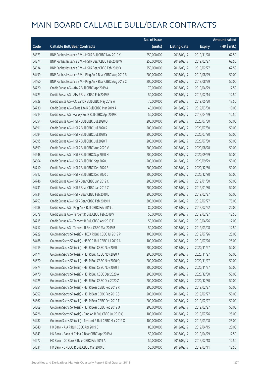|       |                                                            | No. of issue |                     |               | <b>Amount raised</b>  |
|-------|------------------------------------------------------------|--------------|---------------------|---------------|-----------------------|
| Code  | <b>Callable Bull/Bear Contracts</b>                        | (units)      | <b>Listing date</b> | <b>Expiry</b> | $(HK\frac{1}{2}mil.)$ |
| 64373 | BNP Paribas Issuance B.V. - HSI R Bull CBBC Nov 2019 Y     | 250,000,000  | 2018/09/17          | 2019/11/28    | 62.50                 |
| 64374 | BNP Paribas Issuance B.V. - HSI R Bear CBBC Feb 2019 W     | 250,000,000  | 2018/09/17          | 2019/02/27    | 62.50                 |
| 64634 | BNP Paribas Issuance B.V. - HSI R Bear CBBC Feb 2019 X     | 250,000,000  | 2018/09/17          | 2019/02/27    | 62.50                 |
| 64459 | BNP Paribas Issuance B.V. - Ping An R Bear CBBC Aug 2019 B | 200,000,000  | 2018/09/17          | 2019/08/29    | 50.00                 |
| 64460 | BNP Paribas Issuance B.V. - Ping An R Bear CBBC Aug 2019 C | 200,000,000  | 2018/09/17          | 2019/08/29    | 50.00                 |
| 64720 | Credit Suisse AG - AIA R Bull CBBC Apr 2019 A              | 70,000,000   | 2018/09/17          | 2019/04/29    | 17.50                 |
| 64723 | Credit Suisse AG - AIA R Bear CBBC Feb 2019 E              | 50,000,000   | 2018/09/17          | 2019/02/14    | 12.50                 |
| 64729 | Credit Suisse AG - CC Bank R Bull CBBC May 2019 A          | 70,000,000   | 2018/09/17          | 2019/05/30    | 17.50                 |
| 64730 | Credit Suisse AG - China Life R Bull CBBC Mar 2019 A       | 40,000,000   | 2018/09/17          | 2019/03/08    | 10.00                 |
| 64714 | Credit Suisse AG - Galaxy Ent R Bull CBBC Apr 2019 C       | 50,000,000   | 2018/09/17          | 2019/04/29    | 12.50                 |
| 64654 | Credit Suisse AG - HSI R Bull CBBC Jul 2020 Q              | 200,000,000  | 2018/09/17          | 2020/07/30    | 50.00                 |
| 64691 | Credit Suisse AG - HSI R Bull CBBC Jul 2020 R              | 200,000,000  | 2018/09/17          | 2020/07/30    | 50.00                 |
| 64694 | Credit Suisse AG - HSI R Bull CBBC Jul 2020 S              | 200,000,000  | 2018/09/17          | 2020/07/30    | 50.00                 |
| 64695 | Credit Suisse AG - HSI R Bull CBBC Jul 2020 T              | 200,000,000  | 2018/09/17          | 2020/07/30    | 50.00                 |
| 64699 | Credit Suisse AG - HSI R Bull CBBC Aug 2020 V              | 200,000,000  | 2018/09/17          | 2020/08/28    | 50.00                 |
| 64648 | Credit Suisse AG - HSI R Bull CBBC Sep 2020 H              | 200,000,000  | 2018/09/17          | 2020/09/29    | 50.00                 |
| 64664 | Credit Suisse AG - HSI R Bull CBBC Sep 2020 I              | 200,000,000  | 2018/09/17          | 2020/09/29    | 50.00                 |
| 64710 | Credit Suisse AG - HSI R Bull CBBC Dec 2020 B              | 200,000,000  | 2018/09/17          | 2020/12/30    | 50.00                 |
| 64712 | Credit Suisse AG - HSI R Bull CBBC Dec 2020 C              | 200,000,000  | 2018/09/17          | 2020/12/30    | 50.00                 |
| 64746 | Credit Suisse AG - HSI R Bear CBBC Jan 2019 C              | 200,000,000  | 2018/09/17          | 2019/01/30    | 50.00                 |
| 64731 | Credit Suisse AG - HSI R Bear CBBC Jan 2019 Z              | 200,000,000  | 2018/09/17          | 2019/01/30    | 50.00                 |
| 64734 | Credit Suisse AG - HSI R Bear CBBC Feb 2019 L              | 200,000,000  | 2018/09/17          | 2019/02/27    | 50.00                 |
| 64753 | Credit Suisse AG - HSI R Bear CBBC Feb 2019 M              | 300,000,000  | 2018/09/17          | 2019/02/27    | 75.00                 |
| 64688 | Credit Suisse AG - Ping An R Bull CBBC Feb 2019 L          | 80,000,000   | 2018/09/17          | 2019/02/22    | 20.00                 |
| 64678 | Credit Suisse AG - Tencent R Bull CBBC Feb 2019 V          | 50,000,000   | 2018/09/17          | 2019/02/27    | 12.50                 |
| 64715 | Credit Suisse AG - Tencent R Bull CBBC Apr 2019 F          | 50,000,000   | 2018/09/17          | 2019/04/26    | 17.00                 |
| 64717 | Credit Suisse AG - Tencent R Bear CBBC Mar 2019 B          | 50,000,000   | 2018/09/17          | 2019/03/08    | 12.50                 |
| 64229 | Goldman Sachs SP (Asia) - HKEX R Bull CBBC Jul 2019 P      | 100,000,000  | 2018/09/17          | 2019/07/26    | 25.00                 |
| 64488 | Goldman Sachs SP (Asia) - HSBC R Bull CBBC Jul 2019 A      | 100,000,000  | 2018/09/17          | 2019/07/26    | 25.00                 |
| 64219 | Goldman Sachs SP (Asia) - HSI R Bull CBBC Nov 2020 I       | 200,000,000  | 2018/09/17          | 2020/11/27    | 50.00                 |
| 64474 | Goldman Sachs SP (Asia) - HSI R Bull CBBC Nov 2020 K       | 200,000,000  | 2018/09/17          | 2020/11/27    | 50.00                 |
| 64870 | Goldman Sachs SP (Asia) - HSI R Bull CBBC Nov 2020 Q       | 200,000,000  | 2018/09/17          | 2020/11/27    | 50.00                 |
| 64874 | Goldman Sachs SP (Asia) - HSI R Bull CBBC Nov 2020 T       | 200,000,000  | 2018/09/17          | 2020/11/27    | 50.00                 |
| 64470 | Goldman Sachs SP (Asia) - HSI R Bull CBBC Dec 2020 A       | 200,000,000  | 2018/09/17          | 2020/12/30    | 50.00                 |
| 64225 | Goldman Sachs SP (Asia) - HSI R Bull CBBC Dec 2020 Z       | 200,000,000  | 2018/09/17          | 2020/12/30    | 50.00                 |
| 64851 | Goldman Sachs SP (Asia) - HSI R Bear CBBC Feb 2019 R       | 200,000,000  | 2018/09/17          | 2019/02/27    | 50.00                 |
| 64859 | Goldman Sachs SP (Asia) - HSI R Bear CBBC Feb 2019 S       | 200,000,000  | 2018/09/17          | 2019/02/27    | 50.00                 |
| 64867 | Goldman Sachs SP (Asia) - HSI R Bear CBBC Feb 2019 T       | 200,000,000  | 2018/09/17          | 2019/02/27    | 50.00                 |
| 64869 | Goldman Sachs SP (Asia) - HSI R Bear CBBC Feb 2019 U       | 200,000,000  | 2018/09/17          | 2019/02/27    | 50.00                 |
| 64226 | Goldman Sachs SP (Asia) - Ping An R Bull CBBC Jul 2019 Q   | 100,000,000  | 2018/09/17          | 2019/07/26    | 25.00                 |
| 64487 | Goldman Sachs SP (Asia) - Tencent R Bull CBBC Mar 2019 Q   | 100,000,000  | 2018/09/17          | 2019/03/08    | 25.00                 |
| 64340 | HK Bank - AIA R Bull CBBC Apr 2019 B                       | 80,000,000   | 2018/09/17          | 2019/04/15    | 20.00                 |
| 64343 | HK Bank - Bank of China R Bear CBBC Apr 2019 A             | 50,000,000   | 2018/09/17          | 2019/04/29    | 12.50                 |
| 64272 | HK Bank - CC Bank R Bear CBBC Feb 2019 A                   | 50,000,000   | 2018/09/17          | 2019/02/18    | 12.50                 |
| 64331 | HK Bank - CNOOC R Bull CBBC Mar 2019 D                     | 50,000,000   | 2018/09/17          | 2019/03/11    | 12.50                 |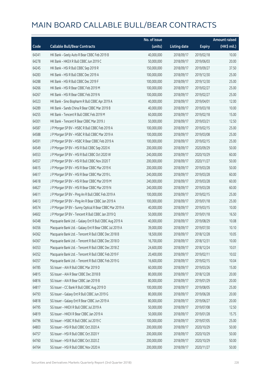|       |                                                         | No. of issue |                     |               | <b>Amount raised</b> |
|-------|---------------------------------------------------------|--------------|---------------------|---------------|----------------------|
| Code  | <b>Callable Bull/Bear Contracts</b>                     | (units)      | <b>Listing date</b> | <b>Expiry</b> | (HK\$ mil.)          |
| 64341 | HK Bank - Geely Auto R Bear CBBC Feb 2019 B             | 40,000,000   | 2018/09/17          | 2019/02/18    | 10.00                |
| 64278 | HK Bank - HKEX R Bull CBBC Jun 2019 C                   | 50,000,000   | 2018/09/17          | 2019/06/03    | 20.00                |
| 64245 | HK Bank - HSI R Bull CBBC Sep 2019 R                    | 150,000,000  | 2018/09/17          | 2019/09/27    | 37.50                |
| 64283 | HK Bank - HSI R Bull CBBC Dec 2019 A                    | 100,000,000  | 2018/09/17          | 2019/12/30    | 25.00                |
| 64288 | HK Bank - HSI R Bull CBBC Dec 2019 F                    | 100,000,000  | 2018/09/17          | 2019/12/30    | 25.00                |
| 64266 | HK Bank - HSI R Bear CBBC Feb 2019 M                    | 100,000,000  | 2018/09/17          | 2019/02/27    | 25.00                |
| 64267 | HK Bank - HSI R Bear CBBC Feb 2019 N                    | 100,000,000  | 2018/09/17          | 2019/02/27    | 25.00                |
| 64323 | HK Bank - Sino Biopharm R Bull CBBC Apr 2019 A          | 40,000,000   | 2018/09/17          | 2019/04/01    | 12.00                |
| 64289 | HK Bank - Sands China R Bear CBBC Mar 2019 B            | 40,000,000   | 2018/09/17          | 2019/03/18    | 10.00                |
| 64255 | HK Bank - Tencent R Bull CBBC Feb 2019 M                | 60,000,000   | 2018/09/17          | 2019/02/18    | 15.00                |
| 64301 | HK Bank - Tencent R Bear CBBC Mar 2019 J                | 50,000,000   | 2018/09/17          | 2019/03/21    | 12.50                |
| 64587 | J P Morgan SP BV - HSBC R Bull CBBC Feb 2019 A          | 100,000,000  | 2018/09/17          | 2019/02/15    | 25.00                |
| 64588 | J P Morgan SP BV - HSBC R Bull CBBC Mar 2019 A          | 100,000,000  | 2018/09/17          | 2019/03/08    | 25.00                |
| 64591 | J P Morgan SP BV - HSBC R Bear CBBC Feb 2019 A          | 100,000,000  | 2018/09/17          | 2019/02/15    | 25.00                |
| 64549 | J P Morgan SP BV - HSI R Bull CBBC Sep 2020 K           | 200,000,000  | 2018/09/17          | 2020/09/29    | 50.00                |
| 64553 | J P Morgan SP BV - HSI R Bull CBBC Oct 2020 W           | 240,000,000  | 2018/09/17          | 2020/10/29    | 60.00                |
| 64557 | J P Morgan SP BV - HSI R Bull CBBC Nov 2020 T           | 200,000,000  | 2018/09/17          | 2020/11/27    | 50.00                |
| 64615 | JP Morgan SP BV - HSIR Bear CBBC Mar 2019 K             | 200,000,000  | 2018/09/17          | 2019/03/28    | 50.00                |
| 64617 | J P Morgan SP BV - HSI R Bear CBBC Mar 2019 L           | 240,000,000  | 2018/09/17          | 2019/03/28    | 60.00                |
| 64618 | J P Morgan SP BV - HSI R Bear CBBC Mar 2019 M           | 240,000,000  | 2018/09/17          | 2019/03/28    | 60.00                |
| 64627 | J P Morgan SP BV - HSI R Bear CBBC Mar 2019 N           | 240,000,000  | 2018/09/17          | 2019/03/28    | 60.00                |
| 64611 | J P Morgan SP BV - Ping An R Bull CBBC Feb 2019 A       | 100,000,000  | 2018/09/17          | 2019/02/15    | 25.00                |
| 64613 | J P Morgan SP BV - Ping An R Bear CBBC Jan 2019 A       | 100,000,000  | 2018/09/17          | 2019/01/18    | 25.00                |
| 64574 | J P Morgan SP BV - Sunny Optical R Bear CBBC Mar 2019 A | 40,000,000   | 2018/09/17          | 2019/03/15    | 10.00                |
| 64602 | J P Morgan SP BV - Tencent R Bull CBBC Jan 2019 Q       | 50,000,000   | 2018/09/17          | 2019/01/18    | 16.50                |
| 64348 | Macquarie Bank Ltd. - Galaxy Ent R Bull CBBC Aug 2019 A | 40,000,000   | 2018/09/17          | 2019/08/29    | 10.08                |
| 64356 | Macquarie Bank Ltd. - Galaxy Ent R Bear CBBC Jul 2019 A | 39,000,000   | 2018/09/17          | 2019/07/30    | 10.10                |
| 64362 | Macquarie Bank Ltd. - Tencent R Bull CBBC Dec 2018 B    | 18,500,000   | 2018/09/17          | 2018/12/28    | 10.05                |
| 64367 | Macquarie Bank Ltd. - Tencent R Bull CBBC Dec 2018 D    | 16,700,000   | 2018/09/17          | 2018/12/31    | 10.00                |
| 64353 | Macquarie Bank Ltd. - Tencent R Bull CBBC Dec 2018 Z    | 24,600,000   | 2018/09/17          | 2018/12/24    | 10.01                |
| 64352 | Macquarie Bank Ltd. - Tencent R Bull CBBC Feb 2019 F    | 20,400,000   | 2018/09/17          | 2019/02/11    | 10.02                |
| 64357 | Macquarie Bank Ltd. - Tencent R Bull CBBC Feb 2019 G    | 16,600,000   | 2018/09/17          | 2019/02/15    | 10.04                |
| 64785 | SG Issuer - AIA R Bull CBBC Mar 2019 D                  | 60,000,000   | 2018/09/17          | 2019/03/26    | 15.00                |
| 64815 | SG Issuer - AIA R Bear CBBC Dec 2018 B                  | 80,000,000   | 2018/09/17          | 2018/12/28    | 20.00                |
| 64816 | SG Issuer - AIA R Bear CBBC Jan 2019 B                  | 80,000,000   | 2018/09/17          | 2019/01/29    | 20.00                |
| 64817 | SG Issuer - CC Bank R Bull CBBC Aug 2019 D              | 100,000,000  | 2018/09/17          | 2019/08/05    | 25.00                |
| 64793 | SG Issuer - Galaxy Ent R Bull CBBC Jun 2019 G           | 80,000,000   | 2018/09/17          | 2019/06/28    | 20.00                |
| 64818 | SG Issuer - Galaxy Ent R Bear CBBC Jun 2019 A           | 80,000,000   | 2018/09/17          | 2019/06/27    | 20.00                |
| 64795 | SG Issuer - HKEX R Bull CBBC Jul 2019 A                 | 50,000,000   | 2018/09/17          | 2019/07/08    | 12.50                |
| 64819 | SG Issuer - HKEX R Bear CBBC Jan 2019 A                 | 50,000,000   | 2018/09/17          | 2019/01/28    | 15.75                |
| 64796 | SG Issuer - HSBC R Bull CBBC Jul 2019 C                 | 100,000,000  | 2018/09/17          | 2019/07/05    | 25.00                |
| 64803 | SG Issuer - HSI R Bull CBBC Oct 2020 A                  | 200,000,000  | 2018/09/17          | 2020/10/29    | 50.00                |
| 64757 | SG Issuer - HSI R Bull CBBC Oct 2020 Y                  | 200,000,000  | 2018/09/17          | 2020/10/29    | 50.00                |
| 64760 | SG Issuer - HSI R Bull CBBC Oct 2020 Z                  | 200,000,000  | 2018/09/17          | 2020/10/29    | 50.00                |
| 64764 | SG Issuer - HSI R Bull CBBC Nov 2020 A                  | 200,000,000  | 2018/09/17          | 2020/11/27    | 50.00                |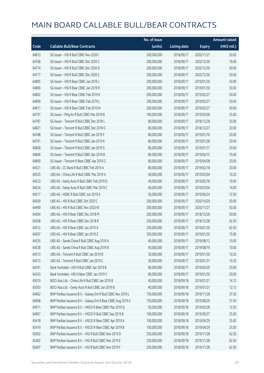|       |                                                               | No. of issue |                     |               | <b>Amount raised</b> |
|-------|---------------------------------------------------------------|--------------|---------------------|---------------|----------------------|
| Code  | <b>Callable Bull/Bear Contracts</b>                           | (units)      | <b>Listing date</b> | <b>Expiry</b> | (HK\$ mil.)          |
| 64813 | SG Issuer - HSI R Bull CBBC Nov 2020 I                        | 200,000,000  | 2018/09/17          | 2020/11/27    | 50.00                |
| 64768 | SG Issuer - HSI R Bull CBBC Dec 2020 C                        | 200,000,000  | 2018/09/17          | 2020/12/30    | 70.00                |
| 64774 | SG Issuer - HSI R Bull CBBC Dec 2020 D                        | 200,000,000  | 2018/09/17          | 2020/12/30    | 50.00                |
| 64777 | SG Issuer - HSI R Bull CBBC Dec 2020 E                        | 200,000,000  | 2018/09/17          | 2020/12/30    | 50.00                |
| 64805 | SG Issuer - HSI R Bear CBBC Jan 2019 J                        | 200,000,000  | 2018/09/17          | 2019/01/30    | 50.00                |
| 64806 | SG Issuer - HSI R Bear CBBC Jan 2019 R                        | 200,000,000  | 2018/09/17          | 2019/01/30    | 50.00                |
| 64802 | SG Issuer - HSI R Bear CBBC Feb 2019 K                        | 200,000,000  | 2018/09/17          | 2019/02/27    | 50.00                |
| 64809 | SG Issuer - HSI R Bear CBBC Feb 2019 L                        | 200,000,000  | 2018/09/17          | 2019/02/27    | 50.00                |
| 64811 | SG Issuer - HSI R Bear CBBC Feb 2019 N                        | 200,000,000  | 2018/09/17          | 2019/02/27    | 50.00                |
| 64797 | SG Issuer - Ping An R Bull CBBC Mar 2019 B                    | 100,000,000  | 2018/09/17          | 2019/03/06    | 25.00                |
| 64787 | SG Issuer - Tencent R Bull CBBC Dec 2018 L                    | 80,000,000   | 2018/09/17          | 2018/12/28    | 20.00                |
| 64821 | SG Issuer - Tencent R Bull CBBC Dec 2018 O                    | 80,000,000   | 2018/09/17          | 2018/12/27    | 20.00                |
| 64788 | SG Issuer - Tencent R Bull CBBC Jan 2019 F                    | 80,000,000   | 2018/09/17          | 2019/01/16    | 20.00                |
| 64791 | SG Issuer - Tencent R Bull CBBC Jan 2019 K                    | 80,000,000   | 2018/09/17          | 2019/01/28    | 20.00                |
| 64828 | SG Issuer - Tencent R Bull CBBC Jan 2019 S                    | 80,000,000   | 2018/09/17          | 2019/01/17    | 20.00                |
| 64846 | SG Issuer - Tencent R Bull CBBC Apr 2019 B                    | 80,000,000   | 2018/09/17          | 2019/04/15    | 70.40                |
| 64800 | SG Issuer - Tencent R Bear CBBC Apr 2019 Z                    | 80,000,000   | 2018/09/17          | 2019/04/08    | 20.00                |
| 64521 | UBS AG - CC Bank R Bull CBBC Feb 2019 A                       | 80,000,000   | 2018/09/17          | 2019/02/18    | 20.00                |
| 64525 | UBS AG - China Life R Bull CBBC Mar 2019 A                    | 40,000,000   | 2018/09/17          | 2019/03/04    | 10.20                |
| 64523 | UBS AG - Geely Auto R Bull CBBC Feb 2019 D                    | 40,000,000   | 2018/09/17          | 2019/02/18    | 10.00                |
| 64524 | UBS AG - Geely Auto R Bull CBBC Mar 2019 C                    | 40,000,000   | 2018/09/17          | 2019/03/04    | 14.00                |
| 64517 | UBS AG - HSBC R Bull CBBC Jun 2019 A                          | 50,000,000   | 2018/09/17          | 2019/06/24    | 12.50                |
| 64500 | UBS AG - HSI R Bull CBBC Oct 2020 C                           | 200,000,000  | 2018/09/17          | 2020/10/29    | 50.00                |
| 64490 | UBS AG - HSI R Bull CBBC Nov 2020 W                           | 200,000,000  | 2018/09/17          | 2020/11/27    | 50.00                |
| 64504 | UBS AG - HSI R Bear CBBC Dec 2018 M                           | 200,000,000  | 2018/09/17          | 2018/12/28    | 50.00                |
| 64508 | UBS AG - HSI R Bear CBBC Dec 2018 R                           | 250,000,000  | 2018/09/17          | 2018/12/28    | 62.50                |
| 64512 | UBS AG - HSI R Bear CBBC Jan 2019 A                           | 250,000,000  | 2018/09/17          | 2019/01/30    | 62.50                |
| 64507 | UBS AG - HSI R Bear CBBC Jan 2019 Z                           | 300,000,000  | 2018/09/17          | 2019/01/30    | 75.00                |
| 64535 | UBS AG - Sands China R Bull CBBC Aug 2019 A                   | 40,000,000   | 2018/09/17          | 2019/08/12    | 10.00                |
| 64538 | UBS AG - Sands China R Bull CBBC Aug 2019 B                   | 40,000,000   | 2018/09/17          | 2019/08/19    | 10.00                |
| 64513 | UBS AG - Tencent R Bull CBBC Jan 2019 B                       | 30,000,000   | 2018/09/17          | 2019/01/30    | 10.20                |
| 64515 | UBS AG - Tencent R Bull CBBC Jan 2019 C                       | 30,000,000   | 2018/09/17          | 2019/01/31    | 10.20                |
| 64241 | Bank Vontobel - HSI N Bull CBBC Apr 2019 B                    | 80,000,000   | 2018/09/17          | 2019/04/29    | 20.00                |
| 64243 | Bank Vontobel - HSI N Bear CBBC Jan 2019 Y                    | 80,000,000   | 2018/09/17          | 2019/01/30    | 20.00                |
| 65010 | BOCI Asia Ltd. - China Life R Bull CBBC Jan 2019 B            | 40,000,000   | 2018/09/18          | 2019/01/21    | 14.12                |
| 65003 | BOCI Asia Ltd. - Geely Auto R Bull CBBC Jan 2019 B            | 40,000,000   | 2018/09/18          | 2019/01/21    | 12.12                |
| 64962 | BNP Paribas Issuance B.V. - Galaxy Ent R Bull CBBC Nov 2019 L | 150,000,000  | 2018/09/18          | 2019/11/28    | 37.50                |
| 64968 | BNP Paribas Issuance B.V. - Galaxy Ent R Bear CBBC Aug 2019 G | 150,000,000  | 2018/09/18          | 2019/08/29    | 37.50                |
| 64971 | BNP Paribas Issuance B.V. - HKEX R Bear CBBC Mar 2019 Q       | 50,000,000   | 2018/09/18          | 2019/03/28    | 12.50                |
| 64967 | BNP Paribas Issuance B.V. - HSCEI R Bull CBBC Sep 2019 B      | 100,000,000  | 2018/09/18          | 2019/09/27    | 25.00                |
| 65418 | BNP Paribas Issuance B.V. - HSCEI R Bear CBBC Apr 2019 A      | 100,000,000  | 2018/09/18          | 2019/04/29    | 25.00                |
| 65419 | BNP Paribas Issuance B.V. - HSCEI R Bear CBBC Apr 2019 B      | 100,000,000  | 2018/09/18          | 2019/04/29    | 25.00                |
| 65002 | BNP Paribas Issuance B.V. - HSI R Bull CBBC Nov 2019 D        | 250,000,000  | 2018/09/18          | 2019/11/28    | 62.50                |
| 65402 | BNP Paribas Issuance B.V. - HSI R Bull CBBC Nov 2019 E        | 250,000,000  | 2018/09/18          | 2019/11/28    | 62.50                |
| 65407 | BNP Paribas Issuance B.V. - HSI R Bull CBBC Nov 2019 F        | 250,000,000  | 2018/09/18          | 2019/11/28    | 62.50                |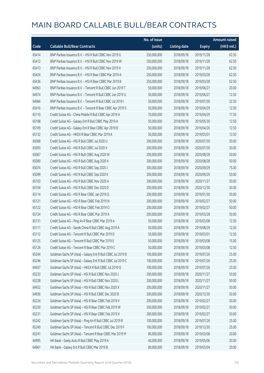|       |                                                             | No. of issue |                     |               | <b>Amount raised</b> |
|-------|-------------------------------------------------------------|--------------|---------------------|---------------|----------------------|
| Code  | <b>Callable Bull/Bear Contracts</b>                         | (units)      | <b>Listing date</b> | <b>Expiry</b> | (HK\$ mil.)          |
| 65414 | BNP Paribas Issuance B.V. - HSI R Bull CBBC Nov 2019 G      | 250,000,000  | 2018/09/18          | 2019/11/28    | 62.50                |
| 65412 | BNP Paribas Issuance B.V. - HSI R Bull CBBC Nov 2019 W      | 250,000,000  | 2018/09/18          | 2019/11/28    | 62.50                |
| 65413 | BNP Paribas Issuance B.V. - HSI R Bull CBBC Nov 2019 X      | 250,000,000  | 2018/09/18          | 2019/11/28    | 62.50                |
| 65424 | BNP Paribas Issuance B.V. - HSI R Bear CBBC Mar 2019 A      | 250,000,000  | 2018/09/18          | 2019/03/28    | 62.50                |
| 65436 | BNP Paribas Issuance B.V. - HSI R Bear CBBC Mar 2019 B      | 250,000,000  | 2018/09/18          | 2019/03/28    | 62.50                |
| 64963 | BNP Paribas Issuance B.V. - Tencent R Bull CBBC Jun 2019 T  | 50,000,000   | 2018/09/18          | 2019/06/27    | 20.00                |
| 64974 | BNP Paribas Issuance B.V. - Tencent R Bull CBBC Jun 2019 U  | 50,000,000   | 2018/09/18          | 2019/06/27    | 12.50                |
| 64966 | BNP Paribas Issuance B.V. - Tencent R Bull CBBC Jul 2019 I  | 50,000,000   | 2018/09/18          | 2019/07/30    | 22.50                |
| 65416 | BNP Paribas Issuance B.V. - Tencent R Bear CBBC Apr 2019 S  | 50,000,000   | 2018/09/18          | 2019/04/29    | 12.50                |
| 65110 | Credit Suisse AG - China Mobile R Bull CBBC Apr 2019 A      | 70,000,000   | 2018/09/18          | 2019/04/29    | 17.50                |
| 65108 | Credit Suisse AG - Galaxy Ent R Bull CBBC May 2019 A        | 50,000,000   | 2018/09/18          | 2019/05/30    | 12.50                |
| 65109 | Credit Suisse AG - Galaxy Ent R Bear CBBC Apr 2019 B        | 50,000,000   | 2018/09/18          | 2019/04/26    | 12.50                |
| 65132 | Credit Suisse AG - HKEX R Bear CBBC Mar 2019 A              | 50,000,000   | 2018/09/18          | 2019/03/01    | 12.50                |
| 65068 | Credit Suisse AG - HSI R Bull CBBC Jul 2020 U               | 200,000,000  | 2018/09/18          | 2020/07/30    | 50.00                |
| 65093 | Credit Suisse AG - HSI R Bull CBBC Jul 2020 V               | 200,000,000  | 2018/09/18          | 2020/07/30    | 50.00                |
| 65067 | Credit Suisse AG - HSI R Bull CBBC Aug 2020 W               | 200,000,000  | 2018/09/18          | 2020/08/28    | 50.00                |
| 65090 | Credit Suisse AG - HSI R Bull CBBC Aug 2020 X               | 200,000,000  | 2018/09/18          | 2020/08/28    | 50.00                |
| 65074 | Credit Suisse AG - HSI R Bull CBBC Sep 2020 J               | 300,000,000  | 2018/09/18          | 2020/09/29    | 75.00                |
| 65099 | Credit Suisse AG - HSI R Bull CBBC Sep 2020 K               | 200,000,000  | 2018/09/18          | 2020/09/29    | 50.00                |
| 65103 | Credit Suisse AG - HSI R Bull CBBC Nov 2020 A               | 200,000,000  | 2018/09/18          | 2020/11/27    | 50.00                |
| 65104 | Credit Suisse AG - HSI R Bull CBBC Dec 2020 D               | 200,000,000  | 2018/09/18          | 2020/12/30    | 50.00                |
| 65114 | Credit Suisse AG - HSI R Bear CBBC Jan 2019 Q               | 200,000,000  | 2018/09/18          | 2019/01/30    | 50.00                |
| 65121 | Credit Suisse AG - HSI R Bear CBBC Feb 2019 N               | 200,000,000  | 2018/09/18          | 2019/02/27    | 50.00                |
| 65122 | Credit Suisse AG - HSI R Bear CBBC Feb 2019 O               | 200,000,000  | 2018/09/18          | 2019/02/27    | 50.00                |
| 65124 | Credit Suisse AG - HSI R Bear CBBC Mar 2019 A               | 200,000,000  | 2018/09/18          | 2019/03/28    | 50.00                |
| 65131 | Credit Suisse AG - Ping An R Bear CBBC Mar 2019 A           | 50,000,000   | 2018/09/18          | 2019/03/08    | 12.50                |
| 65111 | Credit Suisse AG - Sands China R Bull CBBC Aug 2019 A       | 50,000,000   | 2018/09/18          | 2019/08/29    | 12.50                |
| 65112 | Credit Suisse AG - Tencent R Bull CBBC Mar 2019 D           | 50,000,000   | 2018/09/18          | 2019/03/01    | 12.50                |
| 65125 | Credit Suisse AG - Tencent R Bull CBBC Mar 2019 E           | 50,000,000   | 2018/09/18          | 2019/03/08    | 15.00                |
| 65126 | Credit Suisse AG - Tencent R Bear CBBC Mar 2019 C           | 50,000,000   | 2018/09/18          | 2019/03/08    | 12.50                |
| 65244 | Goldman Sachs SP (Asia) - Galaxy Ent R Bull CBBC Jul 2019 B | 100,000,000  | 2018/09/18          | 2019/07/26    | 25.00                |
| 65246 | Goldman Sachs SP (Asia) - Galaxy Ent R Bull CBBC Jul 2019 C | 100,000,000  | 2018/09/18          | 2019/07/26    | 25.00                |
| 64937 | Goldman Sachs SP (Asia) - HKEX R Bull CBBC Jul 2019 Q       | 100,000,000  | 2018/09/18          | 2019/07/26    | 25.00                |
| 65233 | Goldman Sachs SP (Asia) - HSI R Bull CBBC Nov 2020 J        | 200,000,000  | 2018/09/18          | 2020/11/27    | 50.00                |
| 65238 | Goldman Sachs SP (Asia) - HSI R Bull CBBC Nov 2020 L        | 200,000,000  | 2018/09/18          | 2020/11/27    | 50.00                |
| 64932 | Goldman Sachs SP (Asia) - HSI R Bull CBBC Nov 2020 X        | 200,000,000  | 2018/09/18          | 2020/11/27    | 50.00                |
| 64936 | Goldman Sachs SP (Asia) - HSI R Bull CBBC Dec 2020 B        | 200,000,000  | 2018/09/18          | 2020/12/30    | 50.00                |
| 65224 | Goldman Sachs SP (Asia) - HSI R Bear CBBC Feb 2019 V        | 200,000,000  | 2018/09/18          | 2019/02/27    | 50.00                |
| 65230 | Goldman Sachs SP (Asia) - HSI R Bear CBBC Feb 2019 W        | 200,000,000  | 2018/09/18          | 2019/02/27    | 50.00                |
| 65231 | Goldman Sachs SP (Asia) - HSI R Bear CBBC Feb 2019 X        | 200,000,000  | 2018/09/18          | 2019/02/27    | 50.00                |
| 65242 | Goldman Sachs SP (Asia) - Ping An R Bull CBBC Jul 2019 R    | 100,000,000  | 2018/09/18          | 2019/07/26    | 25.00                |
| 65240 | Goldman Sachs SP (Asia) - Tencent R Bull CBBC Dec 2019 F    | 100,000,000  | 2018/09/18          | 2019/12/30    | 25.00                |
| 65241 | Goldman Sachs SP (Asia) - Tencent R Bear CBBC Mar 2019 M    | 80,000,000   | 2018/09/18          | 2019/03/08    | 20.00                |
| 64995 | HK Bank - Geely Auto R Bull CBBC May 2019 A                 | 40,000,000   | 2018/09/18          | 2019/05/06    | 20.00                |
| 64961 | HK Bank - Galaxy Ent R Bull CBBC Mar 2019 B                 | 80,000,000   | 2018/09/18          | 2019/03/04    | 20.00                |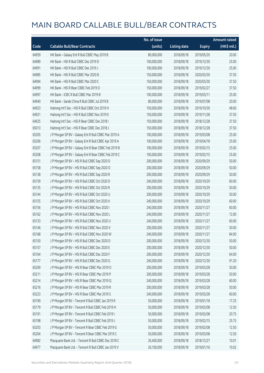|       |                                                      | No. of issue |                     |               | <b>Amount raised</b> |
|-------|------------------------------------------------------|--------------|---------------------|---------------|----------------------|
| Code  | <b>Callable Bull/Bear Contracts</b>                  | (units)      | <b>Listing date</b> | <b>Expiry</b> | (HK\$ mil.)          |
| 64959 | HK Bank - Galaxy Ent R Bull CBBC May 2019 B          | 80,000,000   | 2018/09/18          | 2019/05/20    | 20.00                |
| 64989 | HK Bank - HSI R Bull CBBC Dec 2019 D                 | 100,000,000  | 2018/09/18          | 2019/12/30    | 25.00                |
| 64991 | HK Bank - HSI R Bull CBBC Dec 2019 J                 | 100,000,000  | 2018/09/18          | 2019/12/30    | 25.00                |
| 64985 | HK Bank - HSI R Bull CBBC Mar 2020 B                 | 150,000,000  | 2018/09/18          | 2020/03/30    | 37.50                |
| 64994 | HK Bank - HSI R Bull CBBC Mar 2020 C                 | 150,000,000  | 2018/09/18          | 2020/03/30    | 37.50                |
| 64999 | HK Bank - HSI R Bear CBBC Feb 2019 O                 | 150,000,000  | 2018/09/18          | 2019/02/27    | 37.50                |
| 64997 | HK Bank - ICBC R Bull CBBC Mar 2019 B                | 100,000,000  | 2018/09/18          | 2019/03/11    | 25.00                |
| 64940 | HK Bank - Sands China R Bull CBBC Jul 2019 B         | 80,000,000   | 2018/09/18          | 2019/07/08    | 20.00                |
| 64923 | Haitong Int'l Sec - HSI R Bull CBBC Oct 2019 H       | 150,000,000  | 2018/09/18          | 2019/10/30    | 48.60                |
| 64921 | Haitong Int'l Sec - HSI R Bull CBBC Nov 2019 E       | 150,000,000  | 2018/09/18          | 2019/11/28    | 37.50                |
| 64925 | Haitong Int'l Sec - HSI R Bear CBBC Dec 2018 I       | 150,000,000  | 2018/09/18          | 2018/12/28    | 37.50                |
| 65013 | Haitong Int'l Sec - HSI R Bear CBBC Dec 2018 J       | 150,000,000  | 2018/09/18          | 2018/12/28    | 37.50                |
| 65205 | J P Morgan SP BV - Galaxy Ent R Bull CBBC Mar 2019 A | 100,000,000  | 2018/09/18          | 2019/03/08    | 25.00                |
| 65206 | J P Morgan SP BV - Galaxy Ent R Bull CBBC Apr 2019 A | 100,000,000  | 2018/09/18          | 2019/04/18    | 25.00                |
| 65207 | J P Morgan SP BV - Galaxy Ent R Bear CBBC Feb 2019 B | 100,000,000  | 2018/09/18          | 2019/02/15    | 25.00                |
| 65208 | J P Morgan SP BV - Galaxy Ent R Bear CBBC Feb 2019 C | 100,000,000  | 2018/09/18          | 2019/02/15    | 25.00                |
| 65151 | J P Morgan SP BV - HSI R Bull CBBC Sep 2020 D        | 200,000,000  | 2018/09/18          | 2020/09/29    | 50.00                |
| 65158 | J P Morgan SP BV - HSI R Bull CBBC Sep 2020 O        | 200,000,000  | 2018/09/18          | 2020/09/29    | 50.00                |
| 65138 | J P Morgan SP BV - HSI R Bull CBBC Sep 2020 R        | 200,000,000  | 2018/09/18          | 2020/09/29    | 50.00                |
| 65159 | J P Morgan SP BV - HSI R Bull CBBC Oct 2020 D        | 240,000,000  | 2018/09/18          | 2020/10/29    | 60.00                |
| 65135 | J P Morgan SP BV - HSI R Bull CBBC Oct 2020 R        | 200,000,000  | 2018/09/18          | 2020/10/29    | 50.00                |
| 65144 | J P Morgan SP BV - HSI R Bull CBBC Oct 2020 U        | 200,000,000  | 2018/09/18          | 2020/10/29    | 50.00                |
| 65155 | J P Morgan SP BV - HSI R Bull CBBC Oct 2020 X        | 240,000,000  | 2018/09/18          | 2020/10/29    | 60.00                |
| 65156 | J P Morgan SP BV - HSI R Bull CBBC Nov 2020 I        | 240,000,000  | 2018/09/18          | 2020/11/27    | 60.00                |
| 65162 | J P Morgan SP BV - HSI R Bull CBBC Nov 2020 L        | 240,000,000  | 2018/09/18          | 2020/11/27    | 72.00                |
| 65133 | J P Morgan SP BV - HSI R Bull CBBC Nov 2020 U        | 240,000,000  | 2018/09/18          | 2020/11/27    | 60.00                |
| 65146 | J P Morgan SP BV - HSI R Bull CBBC Nov 2020 V        | 200,000,000  | 2018/09/18          | 2020/11/27    | 50.00                |
| 65168 | J P Morgan SP BV - HSI R Bull CBBC Nov 2020 W        | 240,000,000  | 2018/09/18          | 2020/11/27    | 84.00                |
| 65150 | J P Morgan SP BV - HSI R Bull CBBC Dec 2020 D        | 200,000,000  | 2018/09/18          | 2020/12/30    | 50.00                |
| 65157 | J P Morgan SP BV - HSI R Bull CBBC Dec 2020 E        | 200,000,000  | 2018/09/18          | 2020/12/30    | 50.00                |
| 65164 | J P Morgan SP BV - HSI R Bull CBBC Dec 2020 F        | 200,000,000  | 2018/09/18          | 2020/12/30    | 64.00                |
| 65177 | J P Morgan SP BV - HSI R Bull CBBC Dec 2020 G        | 240,000,000  | 2018/09/18          | 2020/12/30    | 91.20                |
| 65209 | J P Morgan SP BV - HSI R Bear CBBC Mar 2019 O        | 200,000,000  | 2018/09/18          | 2019/03/28    | 50.00                |
| 65211 | J P Morgan SP BV - HSI R Bear CBBC Mar 2019 P        | 200,000,000  | 2018/09/18          | 2019/03/28    | 50.00                |
| 65214 | J P Morgan SP BV - HSI R Bear CBBC Mar 2019 Q        | 240,000,000  | 2018/09/18          | 2019/03/28    | 60.00                |
| 65216 | J P Morgan SP BV - HSI R Bear CBBC Mar 2019 R        | 200,000,000  | 2018/09/18          | 2019/03/28    | 50.00                |
| 65223 | J P Morgan SP BV - HSI R Bear CBBC Mar 2019 S        | 240,000,000  | 2018/09/18          | 2019/03/28    | 60.00                |
| 65190 | JP Morgan SP BV - Tencent R Bull CBBC Jan 2019 R     | 50,000,000   | 2018/09/18          | 2019/01/18    | 17.25                |
| 65179 | JP Morgan SP BV - Tencent R Bull CBBC Feb 2019 H     | 50,000,000   | 2018/09/18          | 2019/02/08    | 12.50                |
| 65191 | JP Morgan SP BV - Tencent R Bull CBBC Feb 2019 I     | 50,000,000   | 2018/09/18          | 2019/02/08    | 20.75                |
| 65198 | J P Morgan SP BV - Tencent R Bull CBBC Feb 2019 J    | 50,000,000   | 2018/09/18          | 2019/02/15    | 25.75                |
| 65203 | J P Morgan SP BV - Tencent R Bear CBBC Feb 2019 G    | 50,000,000   | 2018/09/18          | 2019/02/08    | 12.50                |
| 65204 | J P Morgan SP BV - Tencent R Bear CBBC Mar 2019 C    | 50,000,000   | 2018/09/18          | 2019/03/08    | 12.50                |
| 64982 | Macquarie Bank Ltd. - Tencent R Bull CBBC Dec 2018 C | 26,400,000   | 2018/09/18          | 2018/12/27    | 10.01                |
| 64977 | Macquarie Bank Ltd. - Tencent R Bull CBBC Jan 2019 V | 26,100,000   | 2018/09/18          | 2019/01/16    | 10.02                |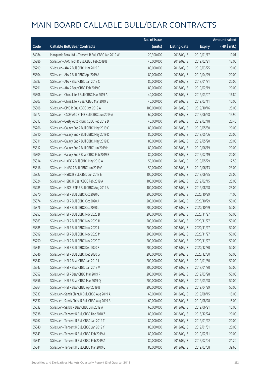|       |                                                      | No. of issue |                     |               | <b>Amount raised</b> |
|-------|------------------------------------------------------|--------------|---------------------|---------------|----------------------|
| Code  | <b>Callable Bull/Bear Contracts</b>                  | (units)      | <b>Listing date</b> | <b>Expiry</b> | $(HK\$ mil.)         |
| 64984 | Macquarie Bank Ltd. - Tencent R Bull CBBC Jan 2019 W | 20,300,000   | 2018/09/18          | 2019/01/17    | 10.01                |
| 65286 | SG Issuer - AAC Tech R Bull CBBC Feb 2019 B          | 40,000,000   | 2018/09/18          | 2019/02/21    | 13.00                |
| 65299 | SG Issuer - AIA R Bull CBBC Mar 2019 E               | 80,000,000   | 2018/09/18          | 2019/03/25    | 20.00                |
| 65304 | SG Issuer - AIA R Bull CBBC Apr 2019 A               | 80,000,000   | 2018/09/18          | 2019/04/29    | 20.00                |
| 65287 | SG Issuer - AIA R Bear CBBC Jan 2019 C               | 80,000,000   | 2018/09/18          | 2019/01/31    | 20.00                |
| 65291 | SG Issuer - AIA R Bear CBBC Feb 2019 C               | 80,000,000   | 2018/09/18          | 2019/02/19    | 20.00                |
| 65306 | SG Issuer - China Life R Bull CBBC Mar 2019 A        | 40,000,000   | 2018/09/18          | 2019/03/07    | 16.80                |
| 65307 | SG Issuer - China Life R Bear CBBC Mar 2019 B        | 40,000,000   | 2018/09/18          | 2019/03/11    | 10.00                |
| 65308 | SG Issuer - CPIC R Bull CBBC Oct 2019 A              | 100,000,000  | 2018/09/18          | 2019/10/16    | 25.00                |
| 65272 | SG Issuer - CSOP A50 ETF R Bull CBBC Jun 2019 A      | 60,000,000   | 2018/09/18          | 2019/06/28    | 15.90                |
| 65313 | SG Issuer - Geely Auto R Bull CBBC Feb 2019 D        | 40,000,000   | 2018/09/18          | 2019/02/18    | 20.40                |
| 65266 | SG Issuer - Galaxy Ent R Bull CBBC May 2019 C        | 80,000,000   | 2018/09/18          | 2019/05/30    | 20.00                |
| 65310 | SG Issuer - Galaxy Ent R Bull CBBC May 2019 D        | 80,000,000   | 2018/09/18          | 2019/05/06    | 20.00                |
| 65311 | SG Issuer - Galaxy Ent R Bull CBBC May 2019 E        | 80,000,000   | 2018/09/18          | 2019/05/20    | 20.00                |
| 65312 | SG Issuer - Galaxy Ent R Bull CBBC Jun 2019 H        | 80,000,000   | 2018/09/18          | 2019/06/19    | 20.00                |
| 65309 | SG Issuer - Galaxy Ent R Bear CBBC Feb 2019 B        | 80,000,000   | 2018/09/18          | 2019/02/19    | 20.00                |
| 65314 | SG Issuer - HKEX R Bull CBBC May 2019 A              | 50,000,000   | 2018/09/18          | 2019/05/29    | 12.50                |
| 65316 | SG Issuer - HKEX R Bull CBBC Jun 2019 G              | 50,000,000   | 2018/09/18          | 2019/06/13    | 23.00                |
| 65327 | SG Issuer - HSBC R Bull CBBC Jun 2019 E              | 100,000,000  | 2018/09/18          | 2019/06/25    | 25.00                |
| 65324 | SG Issuer - HSBC R Bear CBBC Feb 2019 A              | 100,000,000  | 2018/09/18          | 2019/02/15    | 25.00                |
| 65285 | SG Issuer - HSCEI ETF R Bull CBBC Aug 2019 A         | 100,000,000  | 2018/09/18          | 2019/08/28    | 25.00                |
| 65370 | SG Issuer - HSI R Bull CBBC Oct 2020 C               | 200,000,000  | 2018/09/18          | 2020/10/29    | 71.00                |
| 65374 | SG Issuer - HSI R Bull CBBC Oct 2020 J               | 200,000,000  | 2018/09/18          | 2020/10/29    | 50.00                |
| 65376 | SG Issuer - HSI R Bull CBBC Oct 2020 L               | 200,000,000  | 2018/09/18          | 2020/10/29    | 50.00                |
| 65253 | SG Issuer - HSI R Bull CBBC Nov 2020 B               | 200,000,000  | 2018/09/18          | 2020/11/27    | 50.00                |
| 65383 | SG Issuer - HSI R Bull CBBC Nov 2020 H               | 200,000,000  | 2018/09/18          | 2020/11/27    | 50.00                |
| 65385 | SG Issuer - HSI R Bull CBBC Nov 2020 L               | 200,000,000  | 2018/09/18          | 2020/11/27    | 50.00                |
| 65399 | SG Issuer - HSI R Bull CBBC Nov 2020 M               | 200,000,000  | 2018/09/18          | 2020/11/27    | 50.00                |
| 65250 | SG Issuer - HSI R Bull CBBC Nov 2020 T               | 200,000,000  | 2018/09/18          | 2020/11/27    | 50.00                |
| 65345 | SG Issuer - HSI R Bull CBBC Dec 2020 F               | 200,000,000  | 2018/09/18          | 2020/12/30    | 50.00                |
| 65346 | SG Issuer - HSI R Bull CBBC Dec 2020 G               | 200,000,000  | 2018/09/18          | 2020/12/30    | 50.00                |
| 65347 | SG Issuer - HSI R Bear CBBC Jan 2019 L               | 200,000,000  | 2018/09/18          | 2019/01/30    | 50.00                |
| 65247 | SG Issuer - HSI R Bear CBBC Jan 2019 V               | 200,000,000  | 2018/09/18          | 2019/01/30    | 50.00                |
| 65352 | SG Issuer - HSI R Bear CBBC Mar 2019 P               | 200,000,000  | 2018/09/18          | 2019/03/28    | 50.00                |
| 65356 | SG Issuer - HSI R Bear CBBC Mar 2019 Q               | 200,000,000  | 2018/09/18          | 2019/03/28    | 50.00                |
| 65364 | SG Issuer - HSI R Bear CBBC Apr 2019 B               | 200,000,000  | 2018/09/18          | 2019/04/29    | 50.00                |
| 65333 | SG Issuer - Sands China R Bull CBBC Aug 2019 A       | 60,000,000   | 2018/09/18          | 2019/08/15    | 15.00                |
| 65337 | SG Issuer - Sands China R Bull CBBC Aug 2019 B       | 60,000,000   | 2018/09/18          | 2019/08/28    | 15.00                |
| 65332 | SG Issuer - Sands R Bear CBBC Jun 2019 A             | 60,000,000   | 2018/09/18          | 2019/06/21    | 15.00                |
| 65338 | SG Issuer - Tencent R Bull CBBC Dec 2018 Z           | 80,000,000   | 2018/09/18          | 2018/12/24    | 20.00                |
| 65267 | SG Issuer - Tencent R Bull CBBC Jan 2019 T           | 80,000,000   | 2018/09/18          | 2019/01/22    | 20.00                |
| 65340 | SG Issuer - Tencent R Bull CBBC Jan 2019 Y           | 80,000,000   | 2018/09/18          | 2019/01/31    | 20.00                |
| 65343 | SG Issuer - Tencent R Bull CBBC Feb 2019 A           | 80,000,000   | 2018/09/18          | 2019/02/11    | 20.00                |
| 65341 | SG Issuer - Tencent R Bull CBBC Feb 2019 Z           | 80,000,000   | 2018/09/18          | 2019/02/04    | 21.20                |
| 65344 | SG Issuer - Tencent R Bull CBBC Mar 2019 C           | 80,000,000   | 2018/09/18          | 2019/03/08    | 39.60                |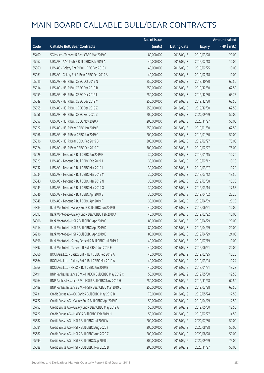|       |                                                         | No. of issue |                     |               | <b>Amount raised</b>  |
|-------|---------------------------------------------------------|--------------|---------------------|---------------|-----------------------|
| Code  | <b>Callable Bull/Bear Contracts</b>                     | (units)      | <b>Listing date</b> | <b>Expiry</b> | $(HK\frac{1}{2}mil.)$ |
| 65400 | SG Issuer - Tencent R Bear CBBC Mar 2019 C              | 80,000,000   | 2018/09/18          | 2019/03/28    | 20.00                 |
| 65062 | UBS AG - AAC Tech R Bull CBBC Feb 2019 A                | 40,000,000   | 2018/09/18          | 2019/02/18    | 10.00                 |
| 65060 | UBS AG - Galaxy Ent R Bull CBBC Feb 2019 C              | 40,000,000   | 2018/09/18          | 2019/02/25    | 10.00                 |
| 65061 | UBS AG - Galaxy Ent R Bear CBBC Feb 2019 A              | 40,000,000   | 2018/09/18          | 2019/02/18    | 10.00                 |
| 65015 | UBS AG - HSI R Bull CBBC Oct 2019 N                     | 250,000,000  | 2018/09/18          | 2019/10/30    | 62.50                 |
| 65014 | UBS AG - HSI R Bull CBBC Dec 2019 B                     | 250,000,000  | 2018/09/18          | 2019/12/30    | 62.50                 |
| 65059 | UBS AG - HSI R Bull CBBC Dec 2019 L                     | 250,000,000  | 2018/09/18          | 2019/12/30    | 63.75                 |
| 65049 | UBS AG - HSI R Bull CBBC Dec 2019 Y                     | 250,000,000  | 2018/09/18          | 2019/12/30    | 62.50                 |
| 65055 | UBS AG - HSI R Bull CBBC Dec 2019 Z                     | 250,000,000  | 2018/09/18          | 2019/12/30    | 62.50                 |
| 65056 | UBS AG - HSI R Bull CBBC Sep 2020 Z                     | 200,000,000  | 2018/09/18          | 2020/09/29    | 50.00                 |
| 65057 | UBS AG - HSI R Bull CBBC Nov 2020 X                     | 200,000,000  | 2018/09/18          | 2020/11/27    | 50.00                 |
| 65022 | UBS AG - HSI R Bear CBBC Jan 2019 B                     | 250,000,000  | 2018/09/18          | 2019/01/30    | 62.50                 |
| 65066 | UBS AG - HSI R Bear CBBC Jan 2019 C                     | 200,000,000  | 2018/09/18          | 2019/01/30    | 50.00                 |
| 65016 | UBS AG - HSI R Bear CBBC Feb 2019 B                     | 300,000,000  | 2018/09/18          | 2019/02/27    | 75.00                 |
| 65024 | UBS AG - HSI R Bear CBBC Feb 2019 C                     | 300,000,000  | 2018/09/18          | 2019/02/27    | 75.00                 |
| 65028 | UBS AG - Tencent R Bull CBBC Jan 2019 E                 | 30,000,000   | 2018/09/18          | 2019/01/15    | 10.20                 |
| 65029 | UBS AG - Tencent R Bull CBBC Feb 2019 J                 | 30,000,000   | 2018/09/18          | 2019/02/12    | 10.20                 |
| 65032 | UBS AG - Tencent R Bull CBBC Mar 2019 L                 | 30,000,000   | 2018/09/18          | 2019/03/07    | 10.20                 |
| 65034 | UBS AG - Tencent R Bull CBBC Mar 2019 M                 | 30,000,000   | 2018/09/18          | 2019/03/12    | 13.50                 |
| 65040 | UBS AG - Tencent R Bull CBBC Mar 2019 N                 | 30,000,000   | 2018/09/18          | 2019/03/08    | 15.30                 |
| 65043 | UBS AG - Tencent R Bull CBBC Mar 2019 O                 | 30,000,000   | 2018/09/18          | 2019/03/14    | 17.55                 |
| 65046 | UBS AG - Tencent R Bull CBBC Apr 2019 E                 | 30,000,000   | 2018/09/18          | 2019/04/02    | 22.20                 |
| 65048 | UBS AG - Tencent R Bull CBBC Apr 2019 F                 | 30,000,000   | 2018/09/18          | 2019/04/09    | 25.20                 |
| 64883 | Bank Vontobel - Galaxy Ent R Bull CBBC Jun 2019 B       | 40,000,000   | 2018/09/18          | 2019/06/21    | 10.00                 |
| 64893 | Bank Vontobel - Galaxy Ent R Bear CBBC Feb 2019 A       | 40,000,000   | 2018/09/18          | 2019/02/22    | 10.00                 |
| 64906 | Bank Vontobel - HSI R Bull CBBC Apr 2019 C              | 80,000,000   | 2018/09/18          | 2019/04/29    | 20.00                 |
| 64914 | Bank Vontobel - HSI R Bull CBBC Apr 2019 D              | 80,000,000   | 2018/09/18          | 2019/04/29    | 20.00                 |
| 64916 | Bank Vontobel - HSI R Bull CBBC Apr 2019 E              | 80,000,000   | 2018/09/18          | 2019/04/29    | 24.00                 |
| 64896 | Bank Vontobel - Sunny Optical R Bull CBBC Jul 2019 A    | 40,000,000   | 2018/09/18          | 2019/07/19    | 10.00                 |
| 64897 | Bank Vontobel - Tencent R Bull CBBC Jun 2019 F          | 40,000,000   | 2018/09/18          | 2019/06/21    | 20.00                 |
| 65566 | BOCI Asia Ltd. - Galaxy Ent R Bull CBBC Feb 2019 A      | 40,000,000   | 2018/09/19          | 2019/02/25    | 10.20                 |
| 65564 | BOCI Asia Ltd. - Galaxy Ent R Bull CBBC Mar 2019 A      | 40,000,000   | 2018/09/19          | 2019/03/04    | 10.24                 |
| 65569 | BOCI Asia Ltd. - HKEX R Bull CBBC Jan 2019 B            | 40,000,000   | 2018/09/19          | 2019/01/21    | 13.28                 |
| 65491 | BNP Paribas Issuance B.V. - HKEX R Bull CBBC May 2019 O | 50,000,000   | 2018/09/19          | 2019/05/30    | 12.50                 |
| 65464 | BNP Paribas Issuance B.V. - HSI R Bull CBBC Nov 2019 H  | 250,000,000  | 2018/09/19          | 2019/11/28    | 62.50                 |
| 65489 | BNP Paribas Issuance B.V. - HSI R Bear CBBC Mar 2019 C  | 250,000,000  | 2018/09/19          | 2019/03/28    | 62.50                 |
| 65731 | Credit Suisse AG - CC Bank R Bull CBBC May 2019 B       | 70,000,000   | 2018/09/19          | 2019/05/24    | 17.50                 |
| 65722 | Credit Suisse AG - Galaxy Ent R Bull CBBC Apr 2019 D    | 50,000,000   | 2018/09/19          | 2019/04/29    | 12.50                 |
| 65753 | Credit Suisse AG - Galaxy Ent R Bear CBBC May 2019 A    | 50,000,000   | 2018/09/19          | 2019/05/30    | 12.50                 |
| 65727 | Credit Suisse AG - HKEX R Bull CBBC Feb 2019 H          | 50,000,000   | 2018/09/19          | 2019/02/27    | 14.50                 |
| 65682 | Credit Suisse AG - HSI R Bull CBBC Jul 2020 W           | 200,000,000  | 2018/09/19          | 2020/07/30    | 50.00                 |
| 65681 | Credit Suisse AG - HSI R Bull CBBC Aug 2020 Y           | 200,000,000  | 2018/09/19          | 2020/08/28    | 50.00                 |
| 65687 | Credit Suisse AG - HSI R Bull CBBC Aug 2020 Z           | 200,000,000  | 2018/09/19          | 2020/08/28    | 50.00                 |
| 65693 | Credit Suisse AG - HSI R Bull CBBC Sep 2020 L           | 300,000,000  | 2018/09/19          | 2020/09/29    | 75.00                 |
| 65688 | Credit Suisse AG - HSI R Bull CBBC Nov 2020 B           | 200,000,000  | 2018/09/19          | 2020/11/27    | 50.00                 |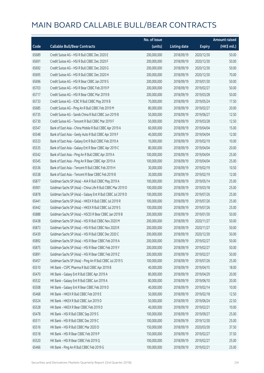|       |                                                             | No. of issue |                     |               | <b>Amount raised</b> |
|-------|-------------------------------------------------------------|--------------|---------------------|---------------|----------------------|
| Code  | <b>Callable Bull/Bear Contracts</b>                         | (units)      | <b>Listing date</b> | <b>Expiry</b> | (HK\$ mil.)          |
| 65689 | Credit Suisse AG - HSI R Bull CBBC Dec 2020 E               | 200,000,000  | 2018/09/19          | 2020/12/30    | 50.00                |
| 65691 | Credit Suisse AG - HSI R Bull CBBC Dec 2020 F               | 200,000,000  | 2018/09/19          | 2020/12/30    | 50.00                |
| 65692 | Credit Suisse AG - HSI R Bull CBBC Dec 2020 G               | 200,000,000  | 2018/09/19          | 2020/12/30    | 50.00                |
| 65695 | Credit Suisse AG - HSI R Bull CBBC Dec 2020 H               | 200,000,000  | 2018/09/19          | 2020/12/30    | 70.00                |
| 65696 | Credit Suisse AG - HSI R Bear CBBC Jan 2019 S               | 200,000,000  | 2018/09/19          | 2019/01/30    | 50.00                |
| 65703 | Credit Suisse AG - HSI R Bear CBBC Feb 2019 P               | 200,000,000  | 2018/09/19          | 2019/02/27    | 50.00                |
| 65717 | Credit Suisse AG - HSI R Bear CBBC Mar 2019 B               | 200,000,000  | 2018/09/19          | 2019/03/28    | 50.00                |
| 65733 | Credit Suisse AG - ICBC R Bull CBBC May 2019 B              | 70,000,000   | 2018/09/19          | 2019/05/24    | 17.50                |
| 65685 | Credit Suisse AG - Ping An R Bull CBBC Feb 2019 M           | 80,000,000   | 2018/09/19          | 2019/02/27    | 20.00                |
| 65735 | Credit Suisse AG - Sands China R Bull CBBC Jun 2019 B       | 50,000,000   | 2018/09/19          | 2019/06/27    | 12.50                |
| 65730 | Credit Suisse AG - Tencent R Bull CBBC Mar 2019 F           | 50,000,000   | 2018/09/19          | 2019/03/28    | 12.50                |
| 65547 | Bank of East Asia - China Mobile R Bull CBBC Apr 2019 A     | 60,000,000   | 2018/09/19          | 2019/04/04    | 15.00                |
| 65548 | Bank of East Asia - Geely Auto R Bull CBBC Apr 2019 F       | 40,000,000   | 2018/09/19          | 2019/04/04    | 12.00                |
| 65533 | Bank of East Asia - Galaxy Ent R Bull CBBC Feb 2019 A       | 10,000,000   | 2018/09/19          | 2019/02/19    | 10.00                |
| 65535 | Bank of East Asia - Galaxy Ent R Bear CBBC Apr 2019 C       | 80,000,000   | 2018/09/19          | 2019/04/04    | 20.00                |
| 65542 | Bank of East Asia - Ping An R Bull CBBC Apr 2019 A          | 100,000,000  | 2018/09/19          | 2019/04/04    | 25.00                |
| 65545 | Bank of East Asia - Ping An R Bear CBBC Apr 2019 A          | 100,000,000  | 2018/09/19          | 2019/04/04    | 25.00                |
| 65536 | Bank of East Asia - Tencent R Bull CBBC Feb 2019 H          | 30,000,000   | 2018/09/19          | 2019/02/19    | 10.50                |
| 65538 | Bank of East Asia - Tencent R Bear CBBC Feb 2019 B          | 30,000,000   | 2018/09/19          | 2019/02/19    | 12.00                |
| 65877 | Goldman Sachs SP (Asia) - AIA R Bull CBBC May 2019 A        | 100,000,000  | 2018/09/19          | 2019/05/14    | 25.00                |
| 65901 | Goldman Sachs SP (Asia) - China Life R Bull CBBC Mar 2019 D | 100,000,000  | 2018/09/19          | 2019/03/18    | 25.00                |
| 65878 | Goldman Sachs SP (Asia) - Galaxy Ent R Bull CBBC Jul 2019 D | 100,000,000  | 2018/09/19          | 2019/07/26    | 25.00                |
| 65441 | Goldman Sachs SP (Asia) - HKEX R Bull CBBC Jul 2019 R       | 100,000,000  | 2018/09/19          | 2019/07/26    | 25.00                |
| 65442 | Goldman Sachs SP (Asia) - HKEX R Bull CBBC Jul 2019 S       | 100,000,000  | 2018/09/19          | 2019/07/26    | 25.00                |
| 65888 | Goldman Sachs SP (Asia) - HSCEI R Bear CBBC Jan 2019 B      | 200,000,000  | 2018/09/19          | 2019/01/30    | 50.00                |
| 65438 | Goldman Sachs SP (Asia) - HSI R Bull CBBC Nov 2020 M        | 200,000,000  | 2018/09/19          | 2020/11/27    | 50.00                |
| 65873 | Goldman Sachs SP (Asia) - HSI R Bull CBBC Nov 2020 R        | 200,000,000  | 2018/09/19          | 2020/11/27    | 50.00                |
| 65439 | Goldman Sachs SP (Asia) - HSI R Bull CBBC Dec 2020 C        | 200,000,000  | 2018/09/19          | 2020/12/30    | 50.00                |
| 65892 | Goldman Sachs SP (Asia) - HSI R Bear CBBC Feb 2019 A        | 200,000,000  | 2018/09/19          | 2019/02/27    | 50.00                |
| 65875 | Goldman Sachs SP (Asia) - HSI R Bear CBBC Feb 2019 Y        | 200,000,000  | 2018/09/19          | 2019/02/27    | 50.00                |
| 65891 | Goldman Sachs SP (Asia) - HSI R Bear CBBC Feb 2019 Z        | 200,000,000  | 2018/09/19          | 2019/02/27    | 50.00                |
| 65457 | Goldman Sachs SP (Asia) - Ping An R Bull CBBC Jul 2019 S    | 100,000,000  | 2018/09/19          | 2019/07/26    | 25.00                |
| 65510 | HK Bank - CSPC Pharma R Bull CBBC Apr 2019 B                | 40,000,000   | 2018/09/19          | 2019/04/15    | 18.00                |
| 65470 | HK Bank - Galaxy Ent R Bull CBBC Apr 2019 A                 | 80,000,000   | 2018/09/19          | 2019/04/29    | 20.00                |
| 65532 | HK Bank - Galaxy Ent R Bull CBBC Jun 2019 A                 | 80,000,000   | 2018/09/19          | 2019/06/10    | 20.00                |
| 65508 | HK Bank - Galaxy Ent R Bear CBBC Feb 2019 D                 | 40,000,000   | 2018/09/19          | 2019/02/14    | 10.00                |
| 65468 | HK Bank - HKEX R Bull CBBC Feb 2019 E                       | 50,000,000   | 2018/09/19          | 2019/02/18    | 12.50                |
| 65524 | HK Bank - HKEX R Bull CBBC Jun 2019 D                       | 50,000,000   | 2018/09/19          | 2019/06/24    | 22.50                |
| 65528 | HK Bank - HKEX R Bear CBBC Feb 2019 D                       | 40,000,000   | 2018/09/19          | 2019/02/21    | 10.00                |
| 65478 | HK Bank - HSI R Bull CBBC Sep 2019 S                        | 100,000,000  | 2018/09/19          | 2019/09/27    | 25.00                |
| 65511 | HK Bank - HSI R Bull CBBC Dec 2019 C                        | 100,000,000  | 2018/09/19          | 2019/12/30    | 25.00                |
| 65516 | HK Bank - HSI R Bull CBBC Mar 2020 D                        | 150,000,000  | 2018/09/19          | 2020/03/30    | 37.50                |
| 65518 | HK Bank - HSI R Bear CBBC Feb 2019 P                        | 150,000,000  | 2018/09/19          | 2019/02/27    | 37.50                |
| 65520 | HK Bank - HSI R Bear CBBC Feb 2019 Q                        | 100,000,000  | 2018/09/19          | 2019/02/27    | 25.00                |
| 65466 | HK Bank - Ping An R Bull CBBC Feb 2019 G                    | 100,000,000  | 2018/09/19          | 2019/02/21    | 25.00                |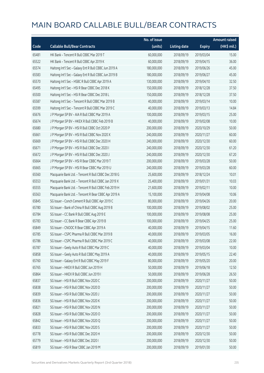|       |                                                       | No. of issue |                     |               | <b>Amount raised</b> |
|-------|-------------------------------------------------------|--------------|---------------------|---------------|----------------------|
| Code  | <b>Callable Bull/Bear Contracts</b>                   | (units)      | <b>Listing date</b> | <b>Expiry</b> | (HK\$ mil.)          |
| 65481 | HK Bank - Tencent R Bull CBBC Mar 2019 T              | 60,000,000   | 2018/09/19          | 2019/03/04    | 15.00                |
| 65522 | HK Bank - Tencent R Bull CBBC Apr 2019 K              | 60,000,000   | 2018/09/19          | 2019/04/15    | 36.00                |
| 65574 | Haitong Int'l Sec - Galaxy Ent R Bull CBBC Jun 2019 A | 180,000,000  | 2018/09/19          | 2019/06/26    | 45.00                |
| 65583 | Haitong Int'l Sec - Galaxy Ent R Bull CBBC Jun 2019 B | 180,000,000  | 2018/09/19          | 2019/06/27    | 45.00                |
| 65570 | Haitong Int'l Sec - HSBC R Bull CBBC Apr 2019 A       | 130,000,000  | 2018/09/19          | 2019/04/10    | 32.50                |
| 65495 | Haitong Int'l Sec - HSI R Bear CBBC Dec 2018 K        | 150,000,000  | 2018/09/19          | 2018/12/28    | 37.50                |
| 65500 | Haitong Int'l Sec - HSI R Bear CBBC Dec 2018 L        | 150,000,000  | 2018/09/19          | 2018/12/28    | 37.50                |
| 65587 | Haitong Int'l Sec - Tencent R Bull CBBC Mar 2019 B    | 40,000,000   | 2018/09/19          | 2019/03/14    | 10.00                |
| 65599 | Haitong Int'l Sec - Tencent R Bull CBBC Mar 2019 C    | 40,000,000   | 2018/09/19          | 2019/03/13    | 14.84                |
| 65676 | J P Morgan SP BV - AIA R Bull CBBC Mar 2019 A         | 100,000,000  | 2018/09/19          | 2019/03/15    | 25.00                |
| 65674 | J P Morgan SP BV - HKEX R Bull CBBC Feb 2019 B        | 40,000,000   | 2018/09/19          | 2019/02/08    | 10.00                |
| 65680 | J P Morgan SP BV - HSI R Bull CBBC Oct 2020 P         | 200,000,000  | 2018/09/19          | 2020/10/29    | 50.00                |
| 65661 | J P Morgan SP BV - HSI R Bull CBBC Nov 2020 X         | 240,000,000  | 2018/09/19          | 2020/11/27    | 60.00                |
| 65669 | J P Morgan SP BV - HSI R Bull CBBC Dec 2020 H         | 240,000,000  | 2018/09/19          | 2020/12/30    | 60.00                |
| 65671 | J P Morgan SP BV - HSI R Bull CBBC Dec 2020 I         | 240,000,000  | 2018/09/19          | 2020/12/30    | 61.20                |
| 65672 | J P Morgan SP BV - HSI R Bull CBBC Dec 2020 J         | 240,000,000  | 2018/09/19          | 2020/12/30    | 67.20                |
| 65664 | J P Morgan SP BV - HSI R Bear CBBC Mar 2019 T         | 200,000,000  | 2018/09/19          | 2019/03/28    | 50.00                |
| 65665 | J P Morgan SP BV - HSI R Bear CBBC Mar 2019 U         | 240,000,000  | 2018/09/19          | 2019/03/28    | 60.00                |
| 65560 | Macquarie Bank Ltd. - Tencent R Bull CBBC Dec 2018 G  | 25,600,000   | 2018/09/19          | 2018/12/24    | 10.01                |
| 65553 | Macquarie Bank Ltd. - Tencent R Bull CBBC Jan 2019 X  | 25,400,000   | 2018/09/19          | 2019/01/31    | 10.03                |
| 65555 | Macquarie Bank Ltd. - Tencent R Bull CBBC Feb 2019 H  | 21,600,000   | 2018/09/19          | 2019/02/11    | 10.00                |
| 65563 | Macquarie Bank Ltd. - Tencent R Bear CBBC Apr 2019 A  | 15,100,000   | 2018/09/19          | 2019/04/08    | 10.06                |
| 65845 | SG Issuer - Conch Cement R Bull CBBC Apr 2019 C       | 80,000,000   | 2018/09/19          | 2019/04/26    | 20.00                |
| 65780 | SG Issuer - Bank of China R Bull CBBC Aug 2019 B      | 100,000,000  | 2018/09/19          | 2019/08/02    | 25.00                |
| 65784 | SG Issuer - CC Bank R Bull CBBC Aug 2019 E            | 100,000,000  | 2018/09/19          | 2019/08/08    | 25.00                |
| 65783 | SG Issuer - CC Bank R Bear CBBC Apr 2019 B            | 100,000,000  | 2018/09/19          | 2019/04/25    | 25.00                |
| 65849 | SG Issuer - CNOOC R Bear CBBC Apr 2019 A              | 40,000,000   | 2018/09/19          | 2019/04/15    | 11.60                |
| 65785 | SG Issuer – CSPC Pharma R Bull CBBC Mar 2019 B        | 40,000,000   | 2018/09/19          | 2019/03/05    | 16.00                |
| 65786 | SG Issuer - CSPC Pharma R Bull CBBC Mar 2019 C        | 40,000,000   | 2018/09/19          | 2019/03/08    | 22.00                |
| 65787 | SG Issuer - Geely Auto R Bull CBBC Mar 2019 C         | 40,000,000   | 2018/09/19          | 2019/03/04    | 10.00                |
| 65858 | SG Issuer - Geely Auto R Bull CBBC May 2019 A         | 40,000,000   | 2018/09/19          | 2019/05/15    | 22.40                |
| 65760 | SG Issuer - Galaxy Ent R Bull CBBC May 2019 F         | 80,000,000   | 2018/09/19          | 2019/05/20    | 20.00                |
| 65765 | SG Issuer - HKEX R Bull CBBC Jun 2019 H               | 50,000,000   | 2018/09/19          | 2019/06/18    | 12.50                |
| 65864 | SG Issuer - HKEX R Bull CBBC Jun 2019 I               | 50,000,000   | 2018/09/19          | 2019/06/28    | 26.50                |
| 65837 | SG Issuer - HSI R Bull CBBC Nov 2020 C                | 200,000,000  | 2018/09/19          | 2020/11/27    | 50.00                |
| 65838 | SG Issuer - HSI R Bull CBBC Nov 2020 D                | 200,000,000  | 2018/09/19          | 2020/11/27    | 50.00                |
| 65839 | SG Issuer - HSI R Bull CBBC Nov 2020 J                | 200,000,000  | 2018/09/19          | 2020/11/27    | 50.00                |
| 65836 | SG Issuer - HSI R Bull CBBC Nov 2020 K                | 200,000,000  | 2018/09/19          | 2020/11/27    | 50.00                |
| 65821 | SG Issuer - HSI R Bull CBBC Nov 2020 N                | 200,000,000  | 2018/09/19          | 2020/11/27    | 50.00                |
| 65828 | SG Issuer - HSI R Bull CBBC Nov 2020 O                | 200,000,000  | 2018/09/19          | 2020/11/27    | 50.00                |
| 65842 | SG Issuer - HSI R Bull CBBC Nov 2020 Q                | 200,000,000  | 2018/09/19          | 2020/11/27    | 50.00                |
| 65833 | SG Issuer - HSI R Bull CBBC Nov 2020 S                | 200,000,000  | 2018/09/19          | 2020/11/27    | 50.00                |
| 65778 | SG Issuer - HSI R Bull CBBC Dec 2020 H                | 200,000,000  | 2018/09/19          | 2020/12/30    | 50.00                |
| 65779 | SG Issuer - HSI R Bull CBBC Dec 2020 I                | 200,000,000  | 2018/09/19          | 2020/12/30    | 50.00                |
| 65819 | SG Issuer - HSI R Bear CBBC Jan 2019 M                | 200,000,000  | 2018/09/19          | 2019/01/30    | 50.00                |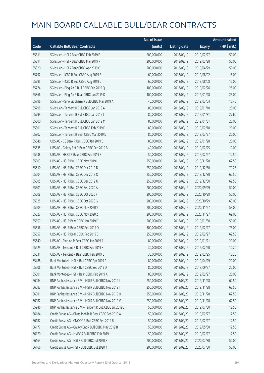|       |                                                            | No. of issue |                     |               | <b>Amount raised</b>  |
|-------|------------------------------------------------------------|--------------|---------------------|---------------|-----------------------|
| Code  | <b>Callable Bull/Bear Contracts</b>                        | (units)      | <b>Listing date</b> | <b>Expiry</b> | $(HK\frac{1}{2}mil.)$ |
| 65811 | SG Issuer - HSI R Bear CBBC Feb 2019 P                     | 200,000,000  | 2018/09/19          | 2019/02/27    | 50.00                 |
| 65814 | SG Issuer - HSI R Bear CBBC Mar 2019 R                     | 200,000,000  | 2018/09/19          | 2019/03/28    | 50.00                 |
| 65820 | SG Issuer - HSI R Bear CBBC Apr 2019 C                     | 200,000,000  | 2018/09/19          | 2019/04/29    | 50.00                 |
| 65792 | SG Issuer - ICBC R Bull CBBC Aug 2019 B                    | 60,000,000   | 2018/09/19          | 2019/08/02    | 15.00                 |
| 65795 | SG Issuer - ICBC R Bull CBBC Aug 2019 C                    | 60,000,000   | 2018/09/19          | 2019/08/08    | 15.00                 |
| 65774 | SG Issuer - Ping An R Bull CBBC Feb 2019 Q                 | 100,000,000  | 2018/09/19          | 2019/02/26    | 25.00                 |
| 65866 | SG Issuer - Ping An R Bear CBBC Jan 2019 D                 | 100,000,000  | 2018/09/19          | 2019/01/28    | 25.00                 |
| 65796 | SG Issuer - Sino Biopharm R Bull CBBC Mar 2019 A           | 40,000,000   | 2018/09/19          | 2019/03/04    | 10.40                 |
| 65798 | SG Issuer - Tencent R Bull CBBC Jan 2019 A                 | 80,000,000   | 2018/09/19          | 2019/01/10    | 20.00                 |
| 65799 | SG Issuer - Tencent R Bull CBBC Jan 2019 L                 | 80,000,000   | 2018/09/19          | 2019/01/31    | 27.60                 |
| 65800 | SG Issuer - Tencent R Bull CBBC Jan 2019 M                 | 80,000,000   | 2018/09/19          | 2019/01/31    | 20.00                 |
| 65801 | SG Issuer - Tencent R Bull CBBC Feb 2019 D                 | 80,000,000   | 2018/09/19          | 2019/02/18    | 20.00                 |
| 65802 | SG Issuer - Tencent R Bear CBBC Mar 2019 D                 | 80,000,000   | 2018/09/19          | 2019/03/27    | 20.00                 |
| 65646 | UBS AG - CC Bank R Bull CBBC Jan 2019 E                    | 80,000,000   | 2018/09/19          | 2019/01/28    | 20.00                 |
| 65635 | UBS AG - Galaxy Ent R Bear CBBC Feb 2019 B                 | 40,000,000   | 2018/09/19          | 2019/02/25    | 10.00                 |
| 65638 | UBS AG - HKEX R Bear CBBC Feb 2019 B                       | 50,000,000   | 2018/09/19          | 2019/02/27    | 12.50                 |
| 65603 | UBS AG - HSI R Bull CBBC Nov 2019 I                        | 250,000,000  | 2018/09/19          | 2019/11/28    | 62.50                 |
| 65610 | UBS AG - HSI R Bull CBBC Dec 2019 D                        | 250,000,000  | 2018/09/19          | 2019/12/30    | 71.25                 |
| 65604 | UBS AG - HSI R Bull CBBC Dec 2019 Q                        | 250,000,000  | 2018/09/19          | 2019/12/30    | 62.50                 |
| 65605 | UBS AG - HSI R Bull CBBC Dec 2019 U                        | 250,000,000  | 2018/09/19          | 2019/12/30    | 62.50                 |
| 65601 | UBS AG - HSI R Bull CBBC Sep 2020 A                        | 200,000,000  | 2018/09/19          | 2020/09/29    | 50.00                 |
| 65608 | UBS AG - HSI R Bull CBBC Oct 2020 F                        | 200,000,000  | 2018/09/19          | 2020/10/29    | 50.00                 |
| 65625 | UBS AG - HSI R Bull CBBC Oct 2020 G                        | 200,000,000  | 2018/09/19          | 2020/10/29    | 63.00                 |
| 65609 | UBS AG - HSI R Bull CBBC Nov 2020 Y                        | 200,000,000  | 2018/09/19          | 2020/11/27    | 53.00                 |
| 65627 | UBS AG - HSI R Bull CBBC Nov 2020 Z                        | 200,000,000  | 2018/09/19          | 2020/11/27    | 69.00                 |
| 65659 | UBS AG - HSI R Bear CBBC Jan 2019 D                        | 200,000,000  | 2018/09/19          | 2019/01/30    | 50.00                 |
| 65656 | UBS AG - HSI R Bear CBBC Feb 2019 D                        | 300,000,000  | 2018/09/19          | 2019/02/27    | 75.00                 |
| 65657 | UBS AG - HSI R Bear CBBC Feb 2019 E                        | 250,000,000  | 2018/09/19          | 2019/02/27    | 62.50                 |
| 65640 | UBS AG - Ping An R Bear CBBC Jan 2019 A                    | 80,000,000   | 2018/09/19          | 2019/01/21    | 20.00                 |
| 65629 | UBS AG - Tencent R Bull CBBC Feb 2019 K                    | 30,000,000   | 2018/09/19          | 2019/02/20    | 10.20                 |
| 65631 | UBS AG - Tencent R Bear CBBC Feb 2019 E                    | 30,000,000   | 2018/09/19          | 2019/02/25    | 10.20                 |
| 65488 | Bank Vontobel - HSI N Bull CBBC Apr 2019 F                 | 80,000,000   | 2018/09/19          | 2019/04/29    | 20.00                 |
| 65506 | Bank Vontobel - HSI N Bull CBBC Sep 2019 D                 | 80,000,000   | 2018/09/19          | 2019/09/27    | 22.00                 |
| 65501 | Bank Vontobel - HSI N Bear CBBC Feb 2019 A                 | 80,000,000   | 2018/09/19          | 2019/02/27    | 20.00                 |
| 66084 | BNP Paribas Issuance B.V. - HSI R Bull CBBC Nov 2019 I     | 250,000,000  | 2018/09/20          | 2019/11/28    | 62.50                 |
| 66083 | BNP Paribas Issuance B.V. - HSI R Bull CBBC Nov 2019 T     | 250,000,000  | 2018/09/20          | 2019/11/28    | 62.50                 |
| 66081 | BNP Paribas Issuance B.V. - HSI R Bull CBBC Nov 2019 U     | 250,000,000  | 2018/09/20          | 2019/11/28    | 62.50                 |
| 66082 | BNP Paribas Issuance B.V. - HSI R Bull CBBC Nov 2019 V     | 250,000,000  | 2018/09/20          | 2019/11/28    | 62.50                 |
| 65946 | BNP Paribas Issuance B.V. - Tencent R Bull CBBC Jul 2019 J | 50,000,000   | 2018/09/20          | 2019/07/30    | 12.50                 |
| 66184 | Credit Suisse AG - China Mobile R Bear CBBC Feb 2019 A     | 50,000,000   | 2018/09/20          | 2019/02/27    | 12.50                 |
| 66182 | Credit Suisse AG - CNOOC R Bull CBBC Feb 2019 B            | 50,000,000   | 2018/09/20          | 2019/02/27    | 12.50                 |
| 66177 | Credit Suisse AG - Galaxy Ent R Bull CBBC May 2019 B       | 50,000,000   | 2018/09/20          | 2019/05/30    | 12.50                 |
| 66170 | Credit Suisse AG - HKEX R Bull CBBC Feb 2019 I             | 50,000,000   | 2018/09/20          | 2019/02/27    | 12.50                 |
| 66163 | Credit Suisse AG - HSI R Bull CBBC Jul 2020 X              | 200,000,000  | 2018/09/20          | 2020/07/30    | 50.00                 |
| 66166 | Credit Suisse AG - HSI R Bull CBBC Jul 2020 Y              | 200,000,000  | 2018/09/20          | 2020/07/30    | 50.00                 |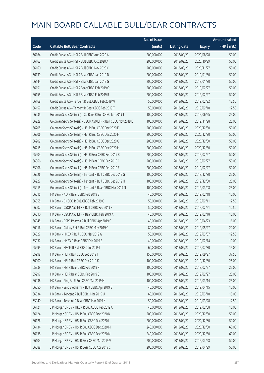|       |                                                               | No. of issue |                     |               | <b>Amount raised</b> |
|-------|---------------------------------------------------------------|--------------|---------------------|---------------|----------------------|
| Code  | <b>Callable Bull/Bear Contracts</b>                           | (units)      | <b>Listing date</b> | <b>Expiry</b> | (HK\$ mil.)          |
| 66164 | Credit Suisse AG - HSI R Bull CBBC Aug 2020 A                 | 200,000,000  | 2018/09/20          | 2020/08/28    | 50.00                |
| 66162 | Credit Suisse AG - HSI R Bull CBBC Oct 2020 A                 | 200,000,000  | 2018/09/20          | 2020/10/29    | 50.00                |
| 66160 | Credit Suisse AG - HSI R Bull CBBC Nov 2020 C                 | 200,000,000  | 2018/09/20          | 2020/11/27    | 50.00                |
| 66139 | Credit Suisse AG - HSI R Bear CBBC Jan 2019 D                 | 200,000,000  | 2018/09/20          | 2019/01/30    | 50.00                |
| 66144 | Credit Suisse AG - HSI R Bear CBBC Jan 2019 G                 | 200,000,000  | 2018/09/20          | 2019/01/30    | 50.00                |
| 66151 | Credit Suisse AG - HSI R Bear CBBC Feb 2019 Q                 | 200,000,000  | 2018/09/20          | 2019/02/27    | 50.00                |
| 66155 | Credit Suisse AG - HSI R Bear CBBC Feb 2019 R                 | 200,000,000  | 2018/09/20          | 2019/02/27    | 50.00                |
| 66168 | Credit Suisse AG - Tencent R Bull CBBC Feb 2019 W             | 50,000,000   | 2018/09/20          | 2019/02/22    | 12.50                |
| 66157 | Credit Suisse AG - Tencent R Bear CBBC Feb 2019 T             | 50,000,000   | 2018/09/20          | 2019/02/18    | 12.50                |
| 66235 | Goldman Sachs SP (Asia) - CC Bank R Bull CBBC Jun 2019 J      | 100,000,000  | 2018/09/20          | 2019/06/25    | 25.00                |
| 66228 | Goldman Sachs SP (Asia) - CSOP A50 ETF R Bull CBBC Nov 2019 E | 100,000,000  | 2018/09/20          | 2019/11/28    | 25.00                |
| 66205 | Goldman Sachs SP (Asia) - HSI R Bull CBBC Dec 2020 E          | 200,000,000  | 2018/09/20          | 2020/12/30    | 50.00                |
| 66206 | Goldman Sachs SP (Asia) - HSI R Bull CBBC Dec 2020 F          | 200,000,000  | 2018/09/20          | 2020/12/30    | 50.00                |
| 66209 | Goldman Sachs SP (Asia) - HSI R Bull CBBC Dec 2020 G          | 200,000,000  | 2018/09/20          | 2020/12/30    | 50.00                |
| 66215 | Goldman Sachs SP (Asia) - HSI R Bull CBBC Dec 2020 H          | 200,000,000  | 2018/09/20          | 2020/12/30    | 50.00                |
| 65903 | Goldman Sachs SP (Asia) - HSI R Bear CBBC Feb 2019 B          | 200,000,000  | 2018/09/20          | 2019/02/27    | 50.00                |
| 66066 | Goldman Sachs SP (Asia) - HSI R Bear CBBC Feb 2019 C          | 200,000,000  | 2018/09/20          | 2019/02/27    | 50.00                |
| 65906 | Goldman Sachs SP (Asia) - HSI R Bear CBBC Feb 2019 E          | 200,000,000  | 2018/09/20          | 2019/02/27    | 50.00                |
| 66226 | Goldman Sachs SP (Asia) - Tencent R Bull CBBC Dec 2019 G      | 100,000,000  | 2018/09/20          | 2019/12/30    | 25.00                |
| 66227 | Goldman Sachs SP (Asia) - Tencent R Bull CBBC Dec 2019 H      | 100,000,000  | 2018/09/20          | 2019/12/30    | 25.00                |
| 65915 | Goldman Sachs SP (Asia) - Tencent R Bear CBBC Mar 2019 N      | 100,000,000  | 2018/09/20          | 2019/03/08    | 25.00                |
| 66015 | HK Bank - AIA R Bear CBBC Feb 2019 B                          | 40,000,000   | 2018/09/20          | 2019/02/18    | 10.00                |
| 66055 | HK Bank - CNOOC R Bull CBBC Feb 2019 C                        | 50,000,000   | 2018/09/20          | 2019/02/11    | 12.50                |
| 66002 | HK Bank - CSOP A50 ETF R Bull CBBC Feb 2019 E                 | 50,000,000   | 2018/09/20          | 2019/02/21    | 12.50                |
| 66010 | HK Bank - CSOP A50 ETF R Bear CBBC Feb 2019 A                 | 40,000,000   | 2018/09/20          | 2019/02/18    | 10.00                |
| 66045 | HK Bank - CSPC Pharma R Bull CBBC Apr 2019 C                  | 40,000,000   | 2018/09/20          | 2019/04/23    | 16.00                |
| 66016 | HK Bank - Galaxy Ent R Bull CBBC May 2019 C                   | 80,000,000   | 2018/09/20          | 2019/05/27    | 20.00                |
| 66027 | HK Bank - HKEX R Bull CBBC Mar 2019 G                         | 50,000,000   | 2018/09/20          | 2019/03/07    | 12.50                |
| 65937 | HK Bank - HKEX R Bear CBBC Feb 2019 E                         | 40,000,000   | 2018/09/20          | 2019/02/14    | 10.00                |
| 65999 | HK Bank - HSCEI R Bull CBBC Jul 2019 I                        | 60,000,000   | 2018/09/20          | 2019/07/30    | 15.00                |
| 65998 | HK Bank - HSI R Bull CBBC Sep 2019 T                          | 150,000,000  | 2018/09/20          | 2019/09/27    | 37.50                |
| 66000 | HK Bank - HSI R Bull CBBC Dec 2019 K                          | 100,000,000  | 2018/09/20          | 2019/12/30    | 25.00                |
| 65939 | HK Bank - HSI R Bear CBBC Feb 2019 R                          | 100,000,000  | 2018/09/20          | 2019/02/27    | 25.00                |
| 65997 | HK Bank - HSI R Bear CBBC Feb 2019 S                          | 100,000,000  | 2018/09/20          | 2019/02/27    | 25.00                |
| 66038 | HK Bank - Ping An R Bull CBBC Mar 2019 H                      | 100,000,000  | 2018/09/20          | 2019/03/14    | 25.00                |
| 66050 | HK Bank - Sino Biopharm R Bull CBBC Apr 2019 B                | 40,000,000   | 2018/09/20          | 2019/04/15    | 10.00                |
| 66034 | HK Bank - Tencent R Bull CBBC Mar 2019 U                      | 60,000,000   | 2018/09/20          | 2019/03/18    | 15.00                |
| 65940 | HK Bank - Tencent R Bear CBBC Mar 2019 K                      | 50,000,000   | 2018/09/20          | 2019/03/28    | 12.50                |
| 66121 | J P Morgan SP BV - HKEX R Bull CBBC Feb 2019 C                | 40,000,000   | 2018/09/20          | 2019/02/08    | 10.00                |
| 66124 | J P Morgan SP BV - HSI R Bull CBBC Dec 2020 K                 | 200,000,000  | 2018/09/20          | 2020/12/30    | 50.00                |
| 66126 | J P Morgan SP BV - HSI R Bull CBBC Dec 2020 L                 | 200,000,000  | 2018/09/20          | 2020/12/30    | 50.00                |
| 66134 | J P Morgan SP BV - HSI R Bull CBBC Dec 2020 M                 | 240,000,000  | 2018/09/20          | 2020/12/30    | 60.00                |
| 66138 | J P Morgan SP BV - HSI R Bull CBBC Dec 2020 N                 | 240,000,000  | 2018/09/20          | 2020/12/30    | 60.00                |
| 66104 | J P Morgan SP BV - HSI R Bear CBBC Mar 2019 V                 | 200,000,000  | 2018/09/20          | 2019/03/28    | 50.00                |
| 66088 | J P Morgan SP BV - HSI R Bear CBBC Apr 2019 C                 | 200,000,000  | 2018/09/20          | 2019/04/29    | 50.00                |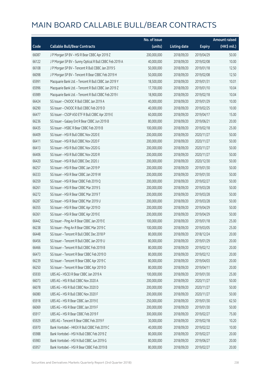|       |                                                         | No. of issue |                     |               | <b>Amount raised</b> |
|-------|---------------------------------------------------------|--------------|---------------------|---------------|----------------------|
| Code  | <b>Callable Bull/Bear Contracts</b>                     | (units)      | <b>Listing date</b> | <b>Expiry</b> | $(HK\$ mil.)         |
| 66087 | J P Morgan SP BV - HSI R Bear CBBC Apr 2019 Z           | 200,000,000  | 2018/09/20          | 2019/04/29    | 50.00                |
| 66122 | J P Morgan SP BV - Sunny Optical R Bull CBBC Feb 2019 A | 40,000,000   | 2018/09/20          | 2019/02/08    | 10.00                |
| 66108 | J P Morgan SP BV - Tencent R Bull CBBC Jan 2019 S       | 50,000,000   | 2018/09/20          | 2019/01/18    | 12.50                |
| 66098 | J P Morgan SP BV - Tencent R Bear CBBC Feb 2019 H       | 50,000,000   | 2018/09/20          | 2019/02/08    | 12.50                |
| 65991 | Macquarie Bank Ltd. - Tencent R Bull CBBC Jan 2019 Y    | 18,500,000   | 2018/09/20          | 2019/01/31    | 10.01                |
| 65996 | Macquarie Bank Ltd. - Tencent R Bull CBBC Jan 2019 Z    | 17,700,000   | 2018/09/20          | 2019/01/10    | 10.04                |
| 65989 | Macquarie Bank Ltd. - Tencent R Bull CBBC Feb 2019 I    | 18,900,000   | 2018/09/20          | 2019/02/18    | 10.04                |
| 66424 | SG Issuer - CNOOC R Bull CBBC Jan 2019 A                | 40,000,000   | 2018/09/20          | 2019/01/29    | 10.00                |
| 66290 | SG Issuer - CNOOC R Bull CBBC Feb 2019 D                | 40,000,000   | 2018/09/20          | 2019/02/25    | 10.00                |
| 66477 | SG Issuer - CSOP A50 ETF R Bull CBBC Apr 2019 E         | 60,000,000   | 2018/09/20          | 2019/04/17    | 15.00                |
| 66236 | SG Issuer - Galaxy Ent R Bear CBBC Jun 2019 B           | 80,000,000   | 2018/09/20          | 2019/06/21    | 20.00                |
| 66435 | SG Issuer - HSBC R Bear CBBC Feb 2019 B                 | 100,000,000  | 2018/09/20          | 2019/02/18    | 25.00                |
| 66409 | SG Issuer - HSI R Bull CBBC Nov 2020 E                  | 200,000,000  | 2018/09/20          | 2020/11/27    | 50.00                |
| 66411 | SG Issuer - HSI R Bull CBBC Nov 2020 F                  | 200,000,000  | 2018/09/20          | 2020/11/27    | 50.00                |
| 66413 | SG Issuer - HSI R Bull CBBC Nov 2020 G                  | 200,000,000  | 2018/09/20          | 2020/11/27    | 50.00                |
| 66406 | SG Issuer - HSI R Bull CBBC Nov 2020 R                  | 200,000,000  | 2018/09/20          | 2020/11/27    | 50.00                |
| 66420 | SG Issuer - HSI R Bull CBBC Dec 2020 J                  | 200,000,000  | 2018/09/20          | 2020/12/30    | 50.00                |
| 66257 | SG Issuer - HSI R Bear CBBC Jan 2019 P                  | 200,000,000  | 2018/09/20          | 2019/01/30    | 50.00                |
| 66333 | SG Issuer - HSI R Bear CBBC Jan 2019 W                  | 200,000,000  | 2018/09/20          | 2019/01/30    | 50.00                |
| 66359 | SG Issuer - HSI R Bear CBBC Feb 2019 Q                  | 200,000,000  | 2018/09/20          | 2019/02/27    | 50.00                |
| 66261 | SG Issuer - HSI R Bear CBBC Mar 2019 S                  | 200,000,000  | 2018/09/20          | 2019/03/28    | 50.00                |
| 66272 | SG Issuer - HSI R Bear CBBC Mar 2019 T                  | 200,000,000  | 2018/09/20          | 2019/03/28    | 50.00                |
| 66287 | SG Issuer - HSI R Bear CBBC Mar 2019 U                  | 200,000,000  | 2018/09/20          | 2019/03/28    | 50.00                |
| 66355 | SG Issuer - HSI R Bear CBBC Apr 2019 D                  | 200,000,000  | 2018/09/20          | 2019/04/29    | 50.00                |
| 66361 | SG Issuer - HSI R Bear CBBC Apr 2019 E                  | 200,000,000  | 2018/09/20          | 2019/04/29    | 50.00                |
| 66442 | SG Issuer - Ping An R Bear CBBC Jan 2019 E              | 100,000,000  | 2018/09/20          | 2019/01/18    | 25.00                |
| 66238 | SG Issuer - Ping An R Bear CBBC Mar 2019 C              | 100,000,000  | 2018/09/20          | 2019/03/05    | 25.00                |
| 66448 | SG Issuer - Tencent R Bull CBBC Dec 2018 P              | 80,000,000   | 2018/09/20          | 2018/12/24    | 20.00                |
| 66456 | SG Issuer - Tencent R Bull CBBC Jan 2019 U              | 80,000,000   | 2018/09/20          | 2019/01/29    | 20.00                |
| 66466 | SG Issuer - Tencent R Bull CBBC Feb 2019 B              | 80,000,000   | 2018/09/20          | 2019/02/12    | 20.00                |
| 66473 | SG Issuer - Tencent R Bear CBBC Feb 2019 D              | 80,000,000   | 2018/09/20          | 2019/02/12    | 20.00                |
| 66239 | SG Issuer - Tencent R Bear CBBC Apr 2019 C              | 80,000,000   | 2018/09/20          | 2019/04/03    | 20.00                |
| 66250 | SG Issuer - Tencent R Bear CBBC Apr 2019 D              | 80,000,000   | 2018/09/20          | 2019/04/11    | 20.00                |
| 65930 | UBS AG - HSCEI R Bear CBBC Jan 2019 A                   | 100,000,000  | 2018/09/20          | 2019/01/30    | 25.00                |
| 66073 | UBS AG - HSI R Bull CBBC Nov 2020 A                     | 200,000,000  | 2018/09/20          | 2020/11/27    | 50.00                |
| 66078 | UBS AG - HSI R Bull CBBC Nov 2020 D                     | 200,000,000  | 2018/09/20          | 2020/11/27    | 50.00                |
| 66080 | UBS AG - HSI R Bull CBBC Nov 2020 F                     | 200,000,000  | 2018/09/20          | 2020/11/27    | 50.00                |
| 65918 | UBS AG - HSI R Bear CBBC Jan 2019 E                     | 250,000,000  | 2018/09/20          | 2019/01/30    | 62.50                |
| 66069 | UBS AG - HSI R Bear CBBC Jan 2019 F                     | 200,000,000  | 2018/09/20          | 2019/01/30    | 50.00                |
| 65917 | UBS AG - HSI R Bear CBBC Feb 2019 F                     | 300,000,000  | 2018/09/20          | 2019/02/27    | 75.00                |
| 65929 | UBS AG - Tencent R Bear CBBC Feb 2019 F                 | 30,000,000   | 2018/09/20          | 2019/02/18    | 10.20                |
| 65970 | Bank Vontobel - HKEX R Bull CBBC Feb 2019 C             | 40,000,000   | 2018/09/20          | 2019/02/22    | 10.00                |
| 65988 | Bank Vontobel - HSI N Bull CBBC Feb 2019 Z              | 80,000,000   | 2018/09/20          | 2019/02/27    | 20.00                |
| 65983 | Bank Vontobel - HSI N Bull CBBC Jun 2019 G              | 80,000,000   | 2018/09/20          | 2019/06/27    | 20.00                |
| 65957 | Bank Vontobel - HSI R Bear CBBC Feb 2019 B              | 80,000,000   | 2018/09/20          | 2019/02/27    | 20.00                |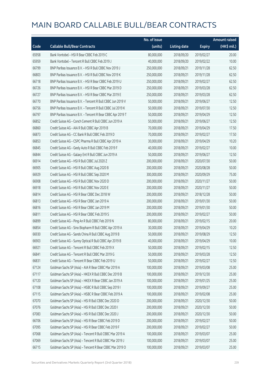|       |                                                            | No. of issue |                     |               | <b>Amount raised</b> |
|-------|------------------------------------------------------------|--------------|---------------------|---------------|----------------------|
| Code  | <b>Callable Bull/Bear Contracts</b>                        | (units)      | <b>Listing date</b> | <b>Expiry</b> | (HK\$ mil.)          |
| 65958 | Bank Vontobel - HSI R Bear CBBC Feb 2019 C                 | 80,000,000   | 2018/09/20          | 2019/02/27    | 20.00                |
| 65959 | Bank Vontobel - Tencent R Bull CBBC Feb 2019 J             | 40,000,000   | 2018/09/20          | 2019/02/22    | 10.00                |
| 66799 | BNP Paribas Issuance B.V. - HSI R Bull CBBC Nov 2019 J     | 250,000,000  | 2018/09/21          | 2019/11/28    | 62.50                |
| 66803 | BNP Paribas Issuance B.V. - HSI R Bull CBBC Nov 2019 K     | 250,000,000  | 2018/09/21          | 2019/11/28    | 62.50                |
| 66718 | BNP Paribas Issuance B.V. - HSI R Bear CBBC Feb 2019 U     | 250,000,000  | 2018/09/21          | 2019/02/27    | 62.50                |
| 66726 | BNP Paribas Issuance B.V. - HSI R Bear CBBC Mar 2019 D     | 250,000,000  | 2018/09/21          | 2019/03/28    | 62.50                |
| 66727 | BNP Paribas Issuance B.V. - HSI R Bear CBBC Mar 2019 E     | 250,000,000  | 2018/09/21          | 2019/03/28    | 62.50                |
| 66770 | BNP Paribas Issuance B.V. - Tencent R Bull CBBC Jun 2019 V | 50,000,000   | 2018/09/21          | 2019/06/27    | 12.50                |
| 66756 | BNP Paribas Issuance B.V. - Tencent R Bull CBBC Jul 2019 K | 50,000,000   | 2018/09/21          | 2019/07/30    | 12.50                |
| 66797 | BNP Paribas Issuance B.V. - Tencent R Bear CBBC Apr 2019 T | 50,000,000   | 2018/09/21          | 2019/04/29    | 12.50                |
| 66852 | Credit Suisse AG - Conch Cement R Bull CBBC Jun 2019 A     | 50,000,000   | 2018/09/21          | 2019/06/27    | 12.50                |
| 66860 | Credit Suisse AG - AIA R Bull CBBC Apr 2019 B              | 70,000,000   | 2018/09/21          | 2019/04/29    | 17.50                |
| 66873 | Credit Suisse AG - CC Bank R Bull CBBC Feb 2019 D          | 70,000,000   | 2018/09/21          | 2019/02/27    | 17.50                |
| 66853 | Credit Suisse AG - CSPC Pharma R Bull CBBC Apr 2019 A      | 30,000,000   | 2018/09/21          | 2019/04/29    | 10.20                |
| 66845 | Credit Suisse AG - Geely Auto R Bull CBBC Feb 2019 F       | 40,000,000   | 2018/09/21          | 2019/02/27    | 10.00                |
| 66844 | Credit Suisse AG - Galaxy Ent R Bull CBBC Jun 2019 A       | 50,000,000   | 2018/09/21          | 2019/06/27    | 12.50                |
| 66914 | Credit Suisse AG - HSI R Bull CBBC Jul 2020 Z              | 200,000,000  | 2018/09/21          | 2020/07/30    | 50.00                |
| 66905 | Credit Suisse AG - HSI R Bull CBBC Aug 2020 B              | 200,000,000  | 2018/09/21          | 2020/08/28    | 50.00                |
| 66929 | Credit Suisse AG - HSI R Bull CBBC Sep 2020 M              | 300,000,000  | 2018/09/21          | 2020/09/29    | 75.00                |
| 66908 | Credit Suisse AG - HSI R Bull CBBC Nov 2020 D              | 200,000,000  | 2018/09/21          | 2020/11/27    | 50.00                |
| 66918 | Credit Suisse AG - HSI R Bull CBBC Nov 2020 E              | 200,000,000  | 2018/09/21          | 2020/11/27    | 50.00                |
| 66814 | Credit Suisse AG - HSI R Bear CBBC Dec 2018 W              | 200,000,000  | 2018/09/21          | 2018/12/28    | 50.00                |
| 66813 | Credit Suisse AG - HSI R Bear CBBC Jan 2019 A              | 200,000,000  | 2018/09/21          | 2019/01/30    | 50.00                |
| 66816 | Credit Suisse AG - HSI R Bear CBBC Jan 2019 M              | 200,000,000  | 2018/09/21          | 2019/01/30    | 50.00                |
| 66811 | Credit Suisse AG - HSI R Bear CBBC Feb 2019 S              | 200,000,000  | 2018/09/21          | 2019/02/27    | 50.00                |
| 66899 | Credit Suisse AG - Ping An R Bull CBBC Feb 2019 N          | 80,000,000   | 2018/09/21          | 2019/02/15    | 20.00                |
| 66854 | Credit Suisse AG - Sino Biopharm R Bull CBBC Apr 2019 A    | 30,000,000   | 2018/09/21          | 2019/04/29    | 10.20                |
| 66930 | Credit Suisse AG - Sands China R Bull CBBC Aug 2019 B      | 50,000,000   | 2018/09/21          | 2019/08/29    | 12.50                |
| 66903 | Credit Suisse AG - Sunny Optical R Bull CBBC Apr 2019 B    | 40,000,000   | 2018/09/21          | 2019/04/29    | 10.00                |
| 66921 | Credit Suisse AG - Tencent R Bull CBBC Feb 2019 X          | 50,000,000   | 2018/09/21          | 2019/02/15    | 12.50                |
| 66841 | Credit Suisse AG - Tencent R Bull CBBC Mar 2019 G          | 50,000,000   | 2018/09/21          | 2019/03/28    | 12.50                |
| 66831 | Credit Suisse AG - Tencent R Bear CBBC Feb 2019 U          | 50,000,000   | 2018/09/21          | 2019/02/27    | 12.50                |
| 67124 | Goldman Sachs SP (Asia) - AIA R Bear CBBC Mar 2019 A       | 100,000,000  | 2018/09/21          | 2019/03/08    | 25.00                |
| 67117 | Goldman Sachs SP (Asia) - HKEX R Bull CBBC Dec 2019 B      | 100,000,000  | 2018/09/21          | 2019/12/30    | 25.00                |
| 67120 | Goldman Sachs SP (Asia) - HKEX R Bear CBBC Jan 2019 A      | 100,000,000  | 2018/09/21          | 2019/01/25    | 25.00                |
| 67108 | Goldman Sachs SP (Asia) - HSBC R Bull CBBC Sep 2019 I      | 100,000,000  | 2018/09/21          | 2019/09/27    | 25.00                |
| 67115 | Goldman Sachs SP (Asia) - HSBC R Bear CBBC Feb 2019 A      | 100,000,000  | 2018/09/21          | 2019/02/08    | 25.00                |
| 67070 | Goldman Sachs SP (Asia) - HSI R Bull CBBC Dec 2020 D       | 200,000,000  | 2018/09/21          | 2020/12/30    | 50.00                |
| 67076 | Goldman Sachs SP (Asia) - HSI R Bull CBBC Dec 2020 I       | 200,000,000  | 2018/09/21          | 2020/12/30    | 50.00                |
| 67083 | Goldman Sachs SP (Asia) - HSI R Bull CBBC Dec 2020 J       | 200,000,000  | 2018/09/21          | 2020/12/30    | 50.00                |
| 66706 | Goldman Sachs SP (Asia) - HSI R Bear CBBC Feb 2019 D       | 200,000,000  | 2018/09/21          | 2019/02/27    | 50.00                |
| 67095 | Goldman Sachs SP (Asia) - HSI R Bear CBBC Feb 2019 F       | 200,000,000  | 2018/09/21          | 2019/02/27    | 50.00                |
| 67068 | Goldman Sachs SP (Asia) - Tencent R Bull CBBC Mar 2019 A   | 100,000,000  | 2018/09/21          | 2019/03/07    | 25.00                |
| 67069 | Goldman Sachs SP (Asia) - Tencent R Bull CBBC Mar 2019 J   | 100,000,000  | 2018/09/21          | 2019/03/07    | 25.00                |
| 66715 | Goldman Sachs SP (Asia) - Tencent R Bear CBBC Mar 2019 O   | 100,000,000  | 2018/09/21          | 2019/03/07    | 25.00                |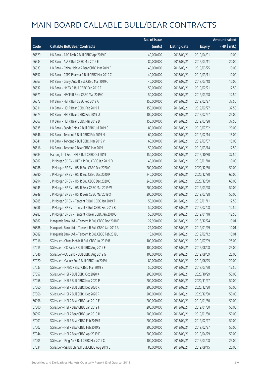|       |                                                      | No. of issue |                     |               | <b>Amount raised</b> |
|-------|------------------------------------------------------|--------------|---------------------|---------------|----------------------|
| Code  | <b>Callable Bull/Bear Contracts</b>                  | (units)      | <b>Listing date</b> | <b>Expiry</b> | (HK\$ mil.)          |
| 66529 | HK Bank - AAC Tech R Bull CBBC Apr 2019 D            | 40,000,000   | 2018/09/21          | 2019/04/01    | 10.00                |
| 66534 | HK Bank - AIA R Bull CBBC Mar 2019 E                 | 80,000,000   | 2018/09/21          | 2019/03/11    | 20.00                |
| 66533 | HK Bank - China Mobile R Bear CBBC Mar 2019 B        | 40,000,000   | 2018/09/21          | 2019/03/25    | 10.00                |
| 66557 | HK Bank - CSPC Pharma R Bull CBBC Mar 2019 C         | 40,000,000   | 2018/09/21          | 2019/03/11    | 10.00                |
| 66563 | HK Bank - Geely Auto R Bull CBBC Mar 2019 C          | 40,000,000   | 2018/09/21          | 2019/03/18    | 10.00                |
| 66537 | HK Bank - HKEX R Bull CBBC Feb 2019 F                | 50,000,000   | 2018/09/21          | 2019/02/21    | 12.50                |
| 66571 | HK Bank - HSCEI R Bear CBBC Mar 2019 C               | 50,000,000   | 2018/09/21          | 2019/03/28    | 12.50                |
| 66572 | HK Bank - HSI R Bull CBBC Feb 2019 A                 | 150,000,000  | 2018/09/21          | 2019/02/27    | 37.50                |
| 66511 | HK Bank - HSI R Bear CBBC Feb 2019 T                 | 150,000,000  | 2018/09/21          | 2019/02/27    | 37.50                |
| 66574 | HK Bank - HSI R Bear CBBC Feb 2019 U                 | 100,000,000  | 2018/09/21          | 2019/02/27    | 25.00                |
| 66567 | HK Bank - HSI R Bear CBBC Mar 2019 B                 | 150,000,000  | 2018/09/21          | 2019/03/28    | 37.50                |
| 66535 | HK Bank - Sands China R Bull CBBC Jul 2019 C         | 80,000,000   | 2018/09/21          | 2019/07/02    | 20.00                |
| 66546 | HK Bank - Tencent R Bull CBBC Feb 2019 N             | 60,000,000   | 2018/09/21          | 2019/02/14    | 15.00                |
| 66541 | HK Bank - Tencent R Bull CBBC Mar 2019 V             | 60,000,000   | 2018/09/21          | 2019/03/07    | 15.00                |
| 66516 | HK Bank - Tencent R Bear CBBC Mar 2019 L             | 50,000,000   | 2018/09/21          | 2019/03/14    | 12.50                |
| 66584 | Haitong Int'l Sec - HSI R Bull CBBC Oct 2019 I       | 150,000,000  | 2018/09/21          | 2019/10/30    | 37.50                |
| 66987 | J P Morgan SP BV - HKEX R Bull CBBC Jan 2019 D       | 40,000,000   | 2018/09/21          | 2019/01/18    | 10.00                |
| 66988 | J P Morgan SP BV - HSI R Bull CBBC Dec 2020 O        | 200,000,000  | 2018/09/21          | 2020/12/30    | 50.00                |
| 66990 | J P Morgan SP BV - HSI R Bull CBBC Dec 2020 P        | 240,000,000  | 2018/09/21          | 2020/12/30    | 60.00                |
| 66994 | J P Morgan SP BV - HSI R Bull CBBC Dec 2020 Q        | 240,000,000  | 2018/09/21          | 2020/12/30    | 60.00                |
| 66945 | J P Morgan SP BV - HSI R Bear CBBC Mar 2019 W        | 200,000,000  | 2018/09/21          | 2019/03/28    | 50.00                |
| 66949 | J P Morgan SP BV - HSI R Bear CBBC Mar 2019 X        | 200,000,000  | 2018/09/21          | 2019/03/28    | 50.00                |
| 66985 | J P Morgan SP BV - Tencent R Bull CBBC Jan 2019 T    | 50,000,000   | 2018/09/21          | 2019/01/11    | 12.50                |
| 66986 | J P Morgan SP BV - Tencent R Bull CBBC Feb 2019 K    | 50,000,000   | 2018/09/21          | 2019/02/08    | 12.50                |
| 66983 | J P Morgan SP BV - Tencent R Bear CBBC Jan 2019 Q    | 50,000,000   | 2018/09/21          | 2019/01/18    | 12.50                |
| 66587 | Macquarie Bank Ltd. - Tencent R Bull CBBC Dec 2018 E | 22,900,000   | 2018/09/21          | 2018/12/24    | 10.01                |
| 66588 | Macquarie Bank Ltd. - Tencent R Bull CBBC Jan 2019 A | 22,000,000   | 2018/09/21          | 2019/01/29    | 10.01                |
| 66589 | Macquarie Bank Ltd. - Tencent R Bull CBBC Feb 2019 J | 18,600,000   | 2018/09/21          | 2019/02/12    | 10.01                |
| 67016 | SG Issuer - China Mobile R Bull CBBC Jul 2019 B      | 100,000,000  | 2018/09/21          | 2019/07/09    | 25.00                |
| 67015 | SG Issuer - CC Bank R Bull CBBC Aug 2019 F           | 100,000,000  | 2018/09/21          | 2019/08/08    | 25.00                |
| 67046 | SG Issuer - CC Bank R Bull CBBC Aug 2019 G           | 100,000,000  | 2018/09/21          | 2019/08/09    | 25.00                |
| 67020 | SG Issuer - Galaxy Ent R Bull CBBC Jun 2019 I        | 80,000,000   | 2018/09/21          | 2019/06/25    | 20.00                |
| 67033 | SG Issuer - HKEX R Bear CBBC Mar 2019 E              | 50,000,000   | 2018/09/21          | 2019/03/20    | 17.50                |
| 67057 | SG Issuer - HSI R Bull CBBC Oct 2020 K               | 200,000,000  | 2018/09/21          | 2020/10/29    | 50.00                |
| 67058 | SG Issuer - HSI R Bull CBBC Nov 2020 P               | 200,000,000  | 2018/09/21          | 2020/11/27    | 50.00                |
| 67060 | SG Issuer - HSI R Bull CBBC Dec 2020 K               | 200,000,000  | 2018/09/21          | 2020/12/30    | 50.00                |
| 67066 | SG Issuer - HSI R Bull CBBC Dec 2020 R               | 200,000,000  | 2018/09/21          | 2020/12/30    | 50.00                |
| 66996 | SG Issuer - HSI R Bear CBBC Jan 2019 E               | 200,000,000  | 2018/09/21          | 2019/01/30    | 50.00                |
| 67000 | SG Issuer - HSI R Bear CBBC Jan 2019 F               | 200,000,000  | 2018/09/21          | 2019/01/30    | 50.00                |
| 66997 | SG Issuer - HSI R Bear CBBC Jan 2019 H               | 200,000,000  | 2018/09/21          | 2019/01/30    | 50.00                |
| 67001 | SG Issuer - HSI R Bear CBBC Feb 2019 R               | 200,000,000  | 2018/09/21          | 2019/02/27    | 50.00                |
| 67002 | SG Issuer - HSI R Bear CBBC Feb 2019 S               | 200,000,000  | 2018/09/21          | 2019/02/27    | 50.00                |
| 67044 | SG Issuer - HSI R Bear CBBC Apr 2019 F               | 200,000,000  | 2018/09/21          | 2019/04/29    | 50.00                |
| 67005 | SG Issuer - Ping An R Bull CBBC Mar 2019 C           | 100,000,000  | 2018/09/21          | 2019/03/08    | 25.00                |
| 67034 | SG Issuer - Sands China R Bull CBBC Aug 2019 C       | 80,000,000   | 2018/09/21          | 2019/08/15    | 20.00                |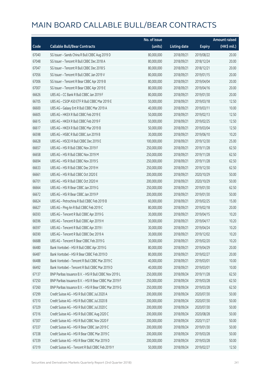|       |                                                        | No. of issue |                     |               | <b>Amount raised</b> |
|-------|--------------------------------------------------------|--------------|---------------------|---------------|----------------------|
| Code  | <b>Callable Bull/Bear Contracts</b>                    | (units)      | <b>Listing date</b> | <b>Expiry</b> | (HK\$ mil.)          |
| 67040 | SG Issuer - Sands China R Bull CBBC Aug 2019 D         | 80,000,000   | 2018/09/21          | 2019/08/22    | 20.00                |
| 67048 | SG Issuer - Tencent R Bull CBBC Dec 2018 A             | 80,000,000   | 2018/09/21          | 2018/12/24    | 20.00                |
| 67047 | SG Issuer - Tencent R Bull CBBC Dec 2018 S             | 80,000,000   | 2018/09/21          | 2018/12/21    | 20.00                |
| 67056 | SG Issuer - Tencent R Bull CBBC Jan 2019 V             | 80,000,000   | 2018/09/21          | 2019/01/15    | 20.00                |
| 67006 | SG Issuer - Tencent R Bear CBBC Apr 2019 B             | 80,000,000   | 2018/09/21          | 2019/04/04    | 20.00                |
| 67007 | SG Issuer - Tencent R Bear CBBC Apr 2019 E             | 80,000,000   | 2018/09/21          | 2019/04/16    | 20.00                |
| 66626 | UBS AG - CC Bank R Bull CBBC Jan 2019 F                | 80,000,000   | 2018/09/21          | 2019/01/30    | 20.00                |
| 66705 | UBS AG - CSOP A50 ETF R Bull CBBC Mar 2019 E           | 50,000,000   | 2018/09/21          | 2019/03/18    | 12.50                |
| 66600 | UBS AG - Galaxy Ent R Bull CBBC Mar 2019 A             | 40,000,000   | 2018/09/21          | 2019/03/11    | 10.00                |
| 66605 | UBS AG - HKEX R Bull CBBC Feb 2019 E                   | 50,000,000   | 2018/09/21          | 2019/02/13    | 12.50                |
| 66615 | UBS AG - HKEX R Bull CBBC Feb 2019 F                   | 50,000,000   | 2018/09/21          | 2019/02/25    | 12.50                |
| 66617 | UBS AG - HKEX R Bull CBBC Mar 2019 B                   | 50,000,000   | 2018/09/21          | 2019/03/04    | 12.50                |
| 66598 | UBS AG - HSBC R Bull CBBC Jun 2019 B                   | 30,000,000   | 2018/09/21          | 2019/06/10    | 10.20                |
| 66628 | UBS AG - HSCEI R Bull CBBC Dec 2019 E                  | 100,000,000  | 2018/09/21          | 2019/12/30    | 25.00                |
| 66657 | UBS AG - HSI R Bull CBBC Nov 2019 F                    | 250,000,000  | 2018/09/21          | 2019/11/28    | 62.50                |
| 66658 | UBS AG - HSI R Bull CBBC Nov 2019 M                    | 250,000,000  | 2018/09/21          | 2019/11/28    | 62.50                |
| 66694 | UBS AG - HSI R Bull CBBC Nov 2019 S                    | 250,000,000  | 2018/09/21          | 2019/11/28    | 62.50                |
| 66633 | UBS AG - HSI R Bull CBBC Dec 2019 H                    | 250,000,000  | 2018/09/21          | 2019/12/30    | 62.50                |
| 66661 | UBS AG - HSI R Bull CBBC Oct 2020 E                    | 200,000,000  | 2018/09/21          | 2020/10/29    | 50.00                |
| 66701 | UBS AG - HSI R Bull CBBC Oct 2020 H                    | 200,000,000  | 2018/09/21          | 2020/10/29    | 50.00                |
| 66664 | UBS AG - HSI R Bear CBBC Jan 2019 G                    | 250,000,000  | 2018/09/21          | 2019/01/30    | 62.50                |
| 66672 | UBS AG - HSI R Bear CBBC Jan 2019 P                    | 200,000,000  | 2018/09/21          | 2019/01/30    | 50.00                |
| 66624 | UBS AG - Petrochina R Bull CBBC Feb 2019 B             | 60,000,000   | 2018/09/21          | 2019/02/25    | 15.00                |
| 66627 | UBS AG - Ping An R Bull CBBC Feb 2019 C                | 80,000,000   | 2018/09/21          | 2019/02/18    | 20.00                |
| 66593 | UBS AG - Tencent R Bull CBBC Apr 2019 G                | 30,000,000   | 2018/09/21          | 2019/04/15    | 10.20                |
| 66596 | UBS AG - Tencent R Bull CBBC Apr 2019 H                | 30,000,000   | 2018/09/21          | 2019/04/17    | 10.20                |
| 66597 | UBS AG - Tencent R Bull CBBC Apr 2019 I                | 30,000,000   | 2018/09/21          | 2019/04/24    | 10.20                |
| 66590 | UBS AG - Tencent R Bull CBBC Dec 2019 A                | 30,000,000   | 2018/09/21          | 2019/12/02    | 10.20                |
| 66688 | UBS AG - Tencent R Bear CBBC Feb 2019 G                | 30,000,000   | 2018/09/21          | 2019/02/20    | 10.20                |
| 66480 | Bank Vontobel - HSI R Bull CBBC Apr 2019 G             | 80,000,000   | 2018/09/21          | 2019/04/29    | 20.00                |
| 66487 | Bank Vontobel - HSI R Bear CBBC Feb 2019 D             | 80,000,000   | 2018/09/21          | 2019/02/27    | 20.00                |
| 66488 | Bank Vontobel - Tencent R Bull CBBC Mar 2019 C         | 40,000,000   | 2018/09/21          | 2019/03/01    | 10.00                |
| 66492 | Bank Vontobel - Tencent R Bull CBBC Mar 2019 D         | 40,000,000   | 2018/09/21          | 2019/03/01    | 10.00                |
| 67137 | BNP Paribas Issuance B.V. - HSI R Bull CBBC Nov 2019 L | 250,000,000  | 2018/09/24          | 2019/11/28    | 62.50                |
| 67250 | BNP Paribas Issuance B.V. - HSI R Bear CBBC Mar 2019 F | 250,000,000  | 2018/09/24          | 2019/03/28    | 62.50                |
| 67260 | BNP Paribas Issuance B.V. - HSI R Bear CBBC Mar 2019 G | 250,000,000  | 2018/09/24          | 2019/03/28    | 62.50                |
| 67299 | Credit Suisse AG - HSI R Bull CBBC Jul 2020 A          | 200,000,000  | 2018/09/24          | 2020/07/30    | 50.00                |
| 67310 | Credit Suisse AG - HSI R Bull CBBC Jul 2020 B          | 200,000,000  | 2018/09/24          | 2020/07/30    | 50.00                |
| 67329 | Credit Suisse AG - HSI R Bull CBBC Jul 2020 C          | 200,000,000  | 2018/09/24          | 2020/07/30    | 50.00                |
| 67316 | Credit Suisse AG - HSI R Bull CBBC Aug 2020 C          | 200,000,000  | 2018/09/24          | 2020/08/28    | 50.00                |
| 67307 | Credit Suisse AG - HSI R Bull CBBC Nov 2020 F          | 200,000,000  | 2018/09/24          | 2020/11/27    | 50.00                |
| 67337 | Credit Suisse AG - HSI R Bear CBBC Jan 2019 C          | 200,000,000  | 2018/09/24          | 2019/01/30    | 50.00                |
| 67338 | Credit Suisse AG - HSI R Bear CBBC Mar 2019 C          | 200,000,000  | 2018/09/24          | 2019/03/28    | 50.00                |
| 67339 | Credit Suisse AG - HSI R Bear CBBC Mar 2019 D          | 200,000,000  | 2018/09/24          | 2019/03/28    | 50.00                |
| 67319 | Credit Suisse AG - Tencent R Bull CBBC Feb 2019 Y      | 50,000,000   | 2018/09/24          | 2019/02/27    | 12.50                |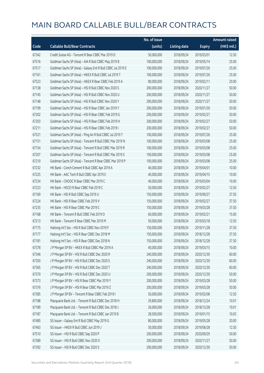|       |                                                             | No. of issue |                     |               | <b>Amount raised</b>  |
|-------|-------------------------------------------------------------|--------------|---------------------|---------------|-----------------------|
| Code  | <b>Callable Bull/Bear Contracts</b>                         | (units)      | <b>Listing date</b> | <b>Expiry</b> | $(HK\frac{1}{2}mil.)$ |
| 67342 | Credit Suisse AG - Tencent R Bear CBBC Mar 2019 D           | 50,000,000   | 2018/09/24          | 2019/03/01    | 12.50                 |
| 67516 | Goldman Sachs SP (Asia) - AIA R Bull CBBC May 2019 B        | 100,000,000  | 2018/09/24          | 2019/05/14    | 25.00                 |
| 67517 | Goldman Sachs SP (Asia) - Galaxy Ent R Bull CBBC Jul 2019 E | 100,000,000  | 2018/09/24          | 2019/07/26    | 25.00                 |
| 67161 | Goldman Sachs SP (Asia) - HKEX R Bull CBBC Jul 2019 T       | 100,000,000  | 2018/09/24          | 2019/07/26    | 25.00                 |
| 67523 | Goldman Sachs SP (Asia) - HKEX R Bear CBBC Feb 2019 A       | 80,000,000   | 2018/09/24          | 2019/02/11    | 20.00                 |
| 67138 | Goldman Sachs SP (Asia) - HSI R Bull CBBC Nov 2020 S        | 200,000,000  | 2018/09/24          | 2020/11/27    | 50.00                 |
| 67145 | Goldman Sachs SP (Asia) - HSI R Bull CBBC Nov 2020 U        | 200,000,000  | 2018/09/24          | 2020/11/27    | 50.00                 |
| 67148 | Goldman Sachs SP (Asia) - HSI R Bull CBBC Nov 2020 Y        | 200,000,000  | 2018/09/24          | 2020/11/27    | 50.00                 |
| 67199 | Goldman Sachs SP (Asia) - HSI R Bear CBBC Jan 2019 Y        | 200,000,000  | 2018/09/24          | 2019/01/30    | 50.00                 |
| 67202 | Goldman Sachs SP (Asia) - HSI R Bear CBBC Feb 2019 G        | 200,000,000  | 2018/09/24          | 2019/02/27    | 50.00                 |
| 67203 | Goldman Sachs SP (Asia) - HSI R Bear CBBC Feb 2019 H        | 200,000,000  | 2018/09/24          | 2019/02/27    | 50.00                 |
| 67211 | Goldman Sachs SP (Asia) - HSI R Bear CBBC Feb 2019 I        | 200,000,000  | 2018/09/24          | 2019/02/27    | 50.00                 |
| 67521 | Goldman Sachs SP (Asia) - Ping An R Bull CBBC Jul 2019 T    | 100,000,000  | 2018/09/24          | 2019/07/26    | 25.00                 |
| 67151 | Goldman Sachs SP (Asia) - Tencent R Bull CBBC Mar 2019 N    | 100,000,000  | 2018/09/24          | 2019/03/08    | 25.00                 |
| 67154 | Goldman Sachs SP (Asia) - Tencent R Bull CBBC Mar 2019 R    | 100,000,000  | 2018/09/24          | 2019/03/08    | 25.00                 |
| 67207 | Goldman Sachs SP (Asia) - Tencent R Bull CBBC Mar 2019 S    | 100,000,000  | 2018/09/24          | 2019/03/08    | 25.00                 |
| 67210 | Goldman Sachs SP (Asia) - Tencent R Bear CBBC Mar 2019 P    | 100,000,000  | 2018/09/24          | 2019/03/08    | 25.00                 |
| 67232 | HK Bank - Conch Cement R Bull CBBC Apr 2019 A               | 40,000,000   | 2018/09/24          | 2019/04/01    | 10.00                 |
| 67225 | HK Bank - AAC Tech R Bull CBBC Apr 2019 E                   | 40,000,000   | 2018/09/24          | 2019/04/15    | 10.00                 |
| 67234 | HK Bank - CNOOC R Bear CBBC Mar 2019 C                      | 40,000,000   | 2018/09/24          | 2019/03/04    | 10.00                 |
| 67223 | HK Bank - HSCEI R Bear CBBC Feb 2019 C                      | 50,000,000   | 2018/09/24          | 2019/02/27    | 12.50                 |
| 67169 | HK Bank - HSI R Bull CBBC Sep 2019 U                        | 150,000,000  | 2018/09/24          | 2019/09/27    | 37.50                 |
| 67224 | HK Bank - HSI R Bear CBBC Feb 2019 V                        | 150,000,000  | 2018/09/24          | 2019/02/27    | 37.50                 |
| 67235 | HK Bank - HSI R Bear CBBC Mar 2019 C                        | 150,000,000  | 2018/09/24          | 2019/03/28    | 37.50                 |
| 67168 | HK Bank - Tencent R Bull CBBC Feb 2019 O                    | 60,000,000   | 2018/09/24          | 2019/02/21    | 15.00                 |
| 67213 | HK Bank - Tencent R Bear CBBC Mar 2019 M                    | 50,000,000   | 2018/09/24          | 2019/03/18    | 12.50                 |
| 67175 | Haitong Int'l Sec - HSI R Bull CBBC Nov 2019 F              | 150,000,000  | 2018/09/24          | 2019/11/28    | 37.50                 |
| 67177 | Haitong Int'l Sec - HSI R Bear CBBC Dec 2018 M              | 150,000,000  | 2018/09/24          | 2018/12/28    | 37.50                 |
| 67181 | Haitong Int'l Sec - HSI R Bear CBBC Dec 2018 N              | 150,000,000  | 2018/09/24          | 2018/12/28    | 37.50                 |
| 67378 | J P Morgan SP BV - HKEX R Bull CBBC Mar 2019 A              | 40,000,000   | 2018/09/24          | 2019/03/15    | 10.00                 |
| 67346 | J P Morgan SP BV - HSI R Bull CBBC Dec 2020 R               | 240,000,000  | 2018/09/24          | 2020/12/30    | 60.00                 |
| 67350 | J P Morgan SP BV - HSI R Bull CBBC Dec 2020 S               | 240,000,000  | 2018/09/24          | 2020/12/30    | 60.00                 |
| 67365 | J P Morgan SP BV - HSI R Bull CBBC Dec 2020 T               | 240,000,000  | 2018/09/24          | 2020/12/30    | 60.00                 |
| 67370 | J P Morgan SP BV - HSI R Bull CBBC Dec 2020 U               | 200,000,000  | 2018/09/24          | 2020/12/30    | 50.00                 |
| 67373 | J P Morgan SP BV - HSI R Bear CBBC Mar 2019 Y               | 200,000,000  | 2018/09/24          | 2019/03/28    | 50.00                 |
| 67376 | J P Morgan SP BV - HSI R Bear CBBC Mar 2019 Z               | 200,000,000  | 2018/09/24          | 2019/03/28    | 50.00                 |
| 67385 | JP Morgan SP BV - Tencent R Bear CBBC Feb 2019 I            | 50,000,000   | 2018/09/24          | 2019/02/08    | 12.50                 |
| 67188 | Macquarie Bank Ltd. - Tencent R Bull CBBC Dec 2018 H        | 29,800,000   | 2018/09/24          | 2018/12/24    | 10.01                 |
| 67189 | Macquarie Bank Ltd. - Tencent R Bull CBBC Dec 2018 J        | 26,000,000   | 2018/09/24          | 2018/12/28    | 10.01                 |
| 67187 | Macquarie Bank Ltd. - Tencent R Bull CBBC Jan 2019 B        | 28,500,000   | 2018/09/24          | 2019/01/15    | 10.03                 |
| 67485 | SG Issuer - Galaxy Ent R Bull CBBC May 2019 G               | 80,000,000   | 2018/09/24          | 2019/05/28    | 20.00                 |
| 67463 | SG Issuer - HKEX R Bull CBBC Jun 2019 J                     | 50,000,000   | 2018/09/24          | 2019/06/28    | 12.50                 |
| 67510 | SG Issuer - HSI R Bull CBBC Sep 2020 P                      | 200,000,000  | 2018/09/24          | 2020/09/29    | 50.00                 |
| 67389 | SG Issuer - HSI R Bull CBBC Nov 2020 X                      | 200,000,000  | 2018/09/24          | 2020/11/27    | 50.00                 |
| 67392 | SG Issuer - HSI R Bull CBBC Dec 2020 S                      | 200,000,000  | 2018/09/24          | 2020/12/30    | 50.00                 |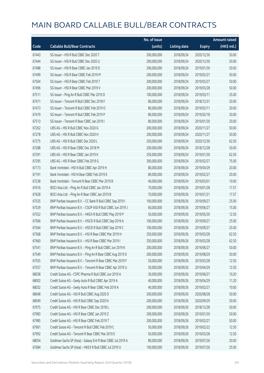|       |                                                             | No. of issue |                     |               | <b>Amount raised</b> |
|-------|-------------------------------------------------------------|--------------|---------------------|---------------|----------------------|
| Code  | <b>Callable Bull/Bear Contracts</b>                         | (units)      | <b>Listing date</b> | <b>Expiry</b> | (HK\$ mil.)          |
| 67443 | SG Issuer - HSI R Bull CBBC Dec 2020 T                      | 200,000,000  | 2018/09/24          | 2020/12/30    | 50.00                |
| 67444 | SG Issuer - HSI R Bull CBBC Dec 2020 U                      | 200,000,000  | 2018/09/24          | 2020/12/30    | 50.00                |
| 67488 | SG Issuer - HSI R Bear CBBC Jan 2019 D                      | 200,000,000  | 2018/09/24          | 2019/01/30    | 50.00                |
| 67499 | SG Issuer - HSI R Bear CBBC Feb 2019 M                      | 200,000,000  | 2018/09/24          | 2019/02/27    | 50.00                |
| 67504 | SG Issuer - HSI R Bear CBBC Feb 2019 T                      | 200,000,000  | 2018/09/24          | 2019/02/27    | 50.00                |
| 67496 | SG Issuer - HSI R Bear CBBC Mar 2019 V                      | 200,000,000  | 2018/09/24          | 2019/03/28    | 50.00                |
| 67511 | SG Issuer - Ping An R Bull CBBC Mar 2019 D                  | 100,000,000  | 2018/09/24          | 2019/03/11    | 25.00                |
| 67471 | SG Issuer - Tencent R Bull CBBC Dec 2018 F                  | 80,000,000   | 2018/09/24          | 2018/12/31    | 20.00                |
| 67473 | SG Issuer - Tencent R Bull CBBC Feb 2019 O                  | 80,000,000   | 2018/09/24          | 2019/02/11    | 20.00                |
| 67479 | SG Issuer - Tencent R Bull CBBC Feb 2019 P                  | 80,000,000   | 2018/09/24          | 2019/02/18    | 20.00                |
| 67513 | SG Issuer - Tencent R Bear CBBC Jan 2019 I                  | 80,000,000   | 2018/09/24          | 2019/01/30    | 20.00                |
| 67262 | UBS AG - HSI R Bull CBBC Nov 2020 G                         | 200,000,000  | 2018/09/24          | 2020/11/27    | 50.00                |
| 67278 | UBS AG - HSI R Bull CBBC Nov 2020 H                         | 200,000,000  | 2018/09/24          | 2020/11/27    | 50.00                |
| 67275 | UBS AG - HSI R Bull CBBC Dec 2020 L                         | 250,000,000  | 2018/09/24          | 2020/12/30    | 62.50                |
| 67288 | UBS AG - HSI R Bear CBBC Dec 2018 M                         | 200,000,000  | 2018/09/24          | 2018/12/28    | 50.00                |
| 67291 | UBS AG - HSI R Bear CBBC Jan 2019 K                         | 250,000,000  | 2018/09/24          | 2019/01/30    | 62.50                |
| 67295 | UBS AG - HSI R Bear CBBC Feb 2019 G                         | 300,000,000  | 2018/09/24          | 2019/02/27    | 75.00                |
| 67173 | Bank Vontobel - HSI N Bull CBBC Apr 2019 H                  | 80,000,000   | 2018/09/24          | 2019/04/29    | 20.00                |
| 67191 | Bank Vontobel - HSI N Bear CBBC Feb 2019 E                  | 80,000,000   | 2018/09/24          | 2019/02/27    | 20.00                |
| 67238 | Bank Vontobel - Tencent R Bear CBBC Mar 2019 B              | 40,000,000   | 2018/09/24          | 2019/03/01    | 10.00                |
| 67616 | BOCI Asia Ltd. - Ping An R Bull CBBC Jan 2019 A             | 70,000,000   | 2018/09/26          | 2019/01/28    | 17.57                |
| 67628 | BOCI Asia Ltd. - Ping An R Bear CBBC Jan 2019 B             | 70,000,000   | 2018/09/26          | 2019/01/21    | 17.57                |
| 67535 | BNP Paribas Issuance B.V. - CC Bank R Bull CBBC Sep 2019 I  | 100,000,000  | 2018/09/26          | 2019/09/27    | 25.00                |
| 67539 | BNP Paribas Issuance B.V. - CSOP A50 R Bull CBBC Jun 2019 J | 60,000,000   | 2018/09/26          | 2019/06/27    | 15.00                |
| 67552 | BNP Paribas Issuance B.V. - HKEX R Bull CBBC May 2019 P     | 50,000,000   | 2018/09/26          | 2019/05/30    | 12.50                |
| 67566 | BNP Paribas Issuance B.V. - HSCEI R Bull CBBC Sep 2019 A    | 100,000,000  | 2018/09/26          | 2019/09/27    | 25.00                |
| 67564 | BNP Paribas Issuance B.V. - HSCEI R Bull CBBC Sep 2019 C    | 100,000,000  | 2018/09/26          | 2019/09/27    | 25.00                |
| 67568 | BNP Paribas Issuance B.V. - HSI R Bear CBBC Mar 2019 H      | 250,000,000  | 2018/09/26          | 2019/03/28    | 62.50                |
| 67660 | BNP Paribas Issuance B.V. - HSI R Bear CBBC Mar 2019 I      | 250,000,000  | 2018/09/26          | 2019/03/28    | 62.50                |
| 67541 | BNP Paribas Issuance B.V. - Ping An R Bull CBBC Jun 2019 K  | 200,000,000  | 2018/09/26          | 2019/06/27    | 50.00                |
| 67549 | BNP Paribas Issuance B.V. - Ping An R Bear CBBC Aug 2019 D  | 200,000,000  | 2018/09/26          | 2019/08/29    | 50.00                |
| 67555 | BNP Paribas Issuance B.V. - Tencent R Bear CBBC Mar 2019 F  | 50,000,000   | 2018/09/26          | 2019/03/28    | 12.50                |
| 67557 | BNP Paribas Issuance B.V. - Tencent R Bear CBBC Apr 2019 U  | 50,000,000   | 2018/09/26          | 2019/04/29    | 12.50                |
| 68038 | Credit Suisse AG - CSPC Pharma R Bull CBBC Jun 2019 A       | 30,000,000   | 2018/09/26          | 2019/06/27    | 10.20                |
| 68002 | Credit Suisse AG - Geely Auto R Bull CBBC Apr 2019 A        | 40,000,000   | 2018/09/26          | 2019/04/29    | 11.20                |
| 68032 | Credit Suisse AG - Geely Auto R Bear CBBC Feb 2019 A        | 40,000,000   | 2018/09/26          | 2019/02/27    | 10.00                |
| 68048 | Credit Suisse AG - HSI R Bull CBBC Aug 2020 D               | 200,000,000  | 2018/09/26          | 2020/08/28    | 50.00                |
| 68049 | Credit Suisse AG - HSI R Bull CBBC Sep 2020 N               | 200,000,000  | 2018/09/26          | 2020/09/29    | 50.00                |
| 67975 | Credit Suisse AG - HSI R Bear CBBC Dec 2018 L               | 200,000,000  | 2018/09/26          | 2018/12/28    | 50.00                |
| 67983 | Credit Suisse AG - HSI R Bear CBBC Jan 2019 Z               | 200,000,000  | 2018/09/26          | 2019/01/30    | 50.00                |
| 67985 | Credit Suisse AG - HSI R Bear CBBC Feb 2019 T               | 200,000,000  | 2018/09/26          | 2019/02/27    | 50.00                |
| 67961 | Credit Suisse AG - Tencent R Bull CBBC Feb 2019 C           | 50,000,000   | 2018/09/26          | 2019/02/22    | 12.50                |
| 67992 | Credit Suisse AG - Tencent R Bear CBBC Mar 2019 E           | 50,000,000   | 2018/09/26          | 2019/03/28    | 12.50                |
| 68054 | Goldman Sachs SP (Asia) - Galaxy Ent R Bear CBBC Jul 2019 A | 80,000,000   | 2018/09/26          | 2019/07/26    | 20.00                |
| 67684 | Goldman Sachs SP (Asia) - HKEX R Bull CBBC Jul 2019 U       | 100,000,000  | 2018/09/26          | 2019/07/26    | 25.00                |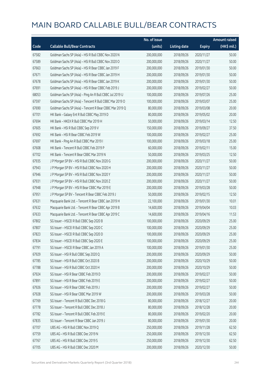|       |                                                          | No. of issue |                     |               | <b>Amount raised</b>  |
|-------|----------------------------------------------------------|--------------|---------------------|---------------|-----------------------|
| Code  | <b>Callable Bull/Bear Contracts</b>                      | (units)      | <b>Listing date</b> | <b>Expiry</b> | $(HK\frac{1}{2}mil.)$ |
| 67582 | Goldman Sachs SP (Asia) - HSI R Bull CBBC Nov 2020 N     | 200,000,000  | 2018/09/26          | 2020/11/27    | 50.00                 |
| 67589 | Goldman Sachs SP (Asia) - HSI R Bull CBBC Nov 2020 O     | 200,000,000  | 2018/09/26          | 2020/11/27    | 50.00                 |
| 67663 | Goldman Sachs SP (Asia) - HSI R Bear CBBC Jan 2019 F     | 200,000,000  | 2018/09/26          | 2019/01/30    | 50.00                 |
| 67671 | Goldman Sachs SP (Asia) - HSI R Bear CBBC Jan 2019 H     | 200,000,000  | 2018/09/26          | 2019/01/30    | 50.00                 |
| 67678 | Goldman Sachs SP (Asia) - HSI R Bear CBBC Jan 2019 K     | 200,000,000  | 2018/09/26          | 2019/01/30    | 50.00                 |
| 67691 | Goldman Sachs SP (Asia) - HSI R Bear CBBC Feb 2019 J     | 200,000,000  | 2018/09/26          | 2019/02/27    | 50.00                 |
| 68053 | Goldman Sachs SP (Asia) - Ping An R Bull CBBC Jul 2019 U | 100,000,000  | 2018/09/26          | 2019/07/26    | 25.00                 |
| 67597 | Goldman Sachs SP (Asia) - Tencent R Bull CBBC Mar 2019 O | 100,000,000  | 2018/09/26          | 2019/03/07    | 25.00                 |
| 67690 | Goldman Sachs SP (Asia) - Tencent R Bear CBBC Mar 2019 Q | 80,000,000   | 2018/09/26          | 2019/03/08    | 20.00                 |
| 67701 | HK Bank - Galaxy Ent R Bull CBBC May 2019 D              | 80,000,000   | 2018/09/26          | 2019/05/02    | 20.00                 |
| 67694 | HK Bank - HKEX R Bull CBBC Mar 2019 H                    | 50,000,000   | 2018/09/26          | 2019/03/14    | 12.50                 |
| 67605 | HK Bank - HSI R Bull CBBC Sep 2019 V                     | 150,000,000  | 2018/09/26          | 2019/09/27    | 37.50                 |
| 67692 | HK Bank - HSI R Bear CBBC Feb 2019 W                     | 100,000,000  | 2018/09/26          | 2019/02/27    | 25.00                 |
| 67697 | HK Bank - Ping An R Bull CBBC Mar 2019 I                 | 100,000,000  | 2018/09/26          | 2019/03/18    | 25.00                 |
| 67608 | HK Bank - Tencent R Bull CBBC Feb 2019 P                 | 60,000,000   | 2018/09/26          | 2019/02/11    | 15.00                 |
| 67702 | HK Bank - Tencent R Bear CBBC Mar 2019 N                 | 50,000,000   | 2018/09/26          | 2019/03/25    | 12.50                 |
| 67935 | J P Morgan SP BV - HSI R Bull CBBC Nov 2020 G            | 200,000,000  | 2018/09/26          | 2020/11/27    | 50.00                 |
| 67943 | J P Morgan SP BV - HSI R Bull CBBC Nov 2020 H            | 200,000,000  | 2018/09/26          | 2020/11/27    | 50.00                 |
| 67946 | J P Morgan SP BV - HSI R Bull CBBC Nov 2020 Y            | 200,000,000  | 2018/09/26          | 2020/11/27    | 50.00                 |
| 67931 | J P Morgan SP BV - HSI R Bull CBBC Nov 2020 Z            | 200,000,000  | 2018/09/26          | 2020/11/27    | 50.00                 |
| 67948 | J P Morgan SP BV - HSI R Bear CBBC Mar 2019 E            | 200,000,000  | 2018/09/26          | 2019/03/28    | 50.00                 |
| 67951 | J P Morgan SP BV - Tencent R Bear CBBC Feb 2019 J        | 50,000,000   | 2018/09/26          | 2019/02/15    | 12.50                 |
| 67631 | Macquarie Bank Ltd. - Tencent R Bear CBBC Jan 2019 H     | 22,100,000   | 2018/09/26          | 2019/01/30    | 10.01                 |
| 67632 | Macquarie Bank Ltd. - Tencent R Bear CBBC Apr 2019 B     | 14,600,000   | 2018/09/26          | 2019/04/04    | 10.03                 |
| 67633 | Macquarie Bank Ltd. - Tencent R Bear CBBC Apr 2019 C     | 14,600,000   | 2018/09/26          | 2019/04/16    | 11.53                 |
| 67802 | SG Issuer - HSCEI R Bull CBBC Sep 2020 B                 | 100,000,000  | 2018/09/26          | 2020/09/29    | 25.00                 |
| 67807 | SG Issuer - HSCEI R Bull CBBC Sep 2020 C                 | 100,000,000  | 2018/09/26          | 2020/09/29    | 25.00                 |
| 67823 | SG Issuer - HSCEI R Bull CBBC Sep 2020 D                 | 100,000,000  | 2018/09/26          | 2020/09/29    | 25.00                 |
| 67834 | SG Issuer - HSCEI R Bull CBBC Sep 2020 E                 | 100,000,000  | 2018/09/26          | 2020/09/29    | 25.00                 |
| 67791 | SG Issuer - HSCEI R Bear CBBC Jan 2019 A                 | 100,000,000  | 2018/09/26          | 2019/01/30    | 25.00                 |
| 67929 | SG Issuer - HSI R Bull CBBC Sep 2020 Q                   | 200,000,000  | 2018/09/26          | 2020/09/29    | 50.00                 |
| 67785 | SG Issuer - HSI R Bull CBBC Oct 2020 B                   | 200,000,000  | 2018/09/26          | 2020/10/29    | 50.00                 |
| 67788 | SG Issuer - HSI R Bull CBBC Oct 2020 H                   | 200,000,000  | 2018/09/26          | 2020/10/29    | 50.00                 |
| 67924 | SG Issuer - HSI R Bear CBBC Feb 2019 D                   | 200,000,000  | 2018/09/26          | 2019/02/27    | 50.00                 |
| 67891 | SG Issuer - HSI R Bear CBBC Feb 2019 E                   | 200,000,000  | 2018/09/26          | 2019/02/27    | 50.00                 |
| 67926 | SG Issuer - HSI R Bear CBBC Feb 2019 J                   | 200,000,000  | 2018/09/26          | 2019/02/27    | 50.00                 |
| 67928 | SG Issuer - HSI R Bear CBBC Mar 2019 W                   | 200,000,000  | 2018/09/26          | 2019/03/28    | 50.00                 |
| 67769 | SG Issuer - Tencent R Bull CBBC Dec 2018 G               | 80,000,000   | 2018/09/26          | 2018/12/27    | 20.00                 |
| 67778 | SG Issuer - Tencent R Bull CBBC Dec 2018 J               | 80,000,000   | 2018/09/26          | 2018/12/28    | 20.00                 |
| 67782 | SG Issuer - Tencent R Bull CBBC Feb 2019 E               | 80,000,000   | 2018/09/26          | 2019/02/20    | 20.00                 |
| 67835 | SG Issuer - Tencent R Bear CBBC Jan 2019 J               | 80,000,000   | 2018/09/26          | 2019/01/30    | 20.00                 |
| 67707 | UBS AG - HSI R Bull CBBC Nov 2019 Q                      | 250,000,000  | 2018/09/26          | 2019/11/28    | 62.50                 |
| 67759 | UBS AG - HSI R Bull CBBC Dec 2019 N                      | 250,000,000  | 2018/09/26          | 2019/12/30    | 62.50                 |
| 67767 | UBS AG - HSI R Bull CBBC Dec 2019 S                      | 250,000,000  | 2018/09/26          | 2019/12/30    | 62.50                 |
| 67705 | UBS AG - HSI R Bull CBBC Dec 2020 M                      | 200,000,000  | 2018/09/26          | 2020/12/30    | 50.00                 |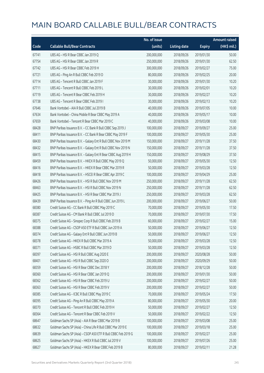|       |                                                               | No. of issue |                     |               | <b>Amount raised</b>  |
|-------|---------------------------------------------------------------|--------------|---------------------|---------------|-----------------------|
| Code  | <b>Callable Bull/Bear Contracts</b>                           | (units)      | <b>Listing date</b> | <b>Expiry</b> | $(HK\frac{1}{2}mil.)$ |
| 67741 | UBS AG - HSI R Bear CBBC Jan 2019 Q                           | 200,000,000  | 2018/09/26          | 2019/01/30    | 50.00                 |
| 67754 | UBS AG - HSI R Bear CBBC Jan 2019 R                           | 250,000,000  | 2018/09/26          | 2019/01/30    | 62.50                 |
| 67742 | UBS AG - HSI R Bear CBBC Feb 2019 H                           | 300,000,000  | 2018/09/26          | 2019/02/27    | 75.00                 |
| 67721 | UBS AG - Ping An R Bull CBBC Feb 2019 D                       | 80,000,000   | 2018/09/26          | 2019/02/25    | 20.00                 |
| 67714 | UBS AG - Tencent R Bull CBBC Jan 2019 F                       | 30,000,000   | 2018/09/26          | 2019/01/30    | 10.20                 |
| 67711 | UBS AG - Tencent R Bull CBBC Feb 2019 L                       | 30,000,000   | 2018/09/26          | 2019/02/01    | 10.20                 |
| 67719 | UBS AG - Tencent R Bear CBBC Feb 2019 H                       | 30,000,000   | 2018/09/26          | 2019/02/27    | 10.20                 |
| 67738 | UBS AG - Tencent R Bear CBBC Feb 2019 I                       | 30,000,000   | 2018/09/26          | 2019/02/13    | 10.20                 |
| 67646 | Bank Vontobel - AIA R Bull CBBC Jul 2019 B                    | 40,000,000   | 2018/09/26          | 2019/07/05    | 10.00                 |
| 67634 | Bank Vontobel - China Mobile R Bear CBBC May 2019 A           | 40,000,000   | 2018/09/26          | 2019/05/17    | 10.00                 |
| 67659 | Bank Vontobel - Tencent R Bear CBBC Mar 2019 C                | 40,000,000   | 2018/09/26          | 2019/03/08    | 10.00                 |
| 68428 | BNP Paribas Issuance B.V. - CC Bank R Bull CBBC Sep 2019 J    | 100,000,000  | 2018/09/27          | 2019/09/27    | 25.00                 |
| 68411 | BNP Paribas Issuance B.V. - CC Bank R Bear CBBC May 2019 F    | 100,000,000  | 2018/09/27          | 2019/05/30    | 25.00                 |
| 68430 | BNP Paribas Issuance B.V. - Galaxy Ent R Bull CBBC Nov 2019 M | 150,000,000  | 2018/09/27          | 2019/11/28    | 37.50                 |
| 68432 | BNP Paribas Issuance B.V. - Galaxy Ent R Bull CBBC Nov 2019 N | 150,000,000  | 2018/09/27          | 2019/11/28    | 37.50                 |
| 68415 | BNP Paribas Issuance B.V. - Galaxy Ent R Bear CBBC Aug 2019 H | 150,000,000  | 2018/09/27          | 2019/08/29    | 37.50                 |
| 68459 | BNP Paribas Issuance B.V. - HKEX R Bull CBBC May 2019 Q       | 50,000,000   | 2018/09/27          | 2019/05/30    | 12.50                 |
| 68416 | BNP Paribas Issuance B.V. - HKEX R Bear CBBC Mar 2019 R       | 50,000,000   | 2018/09/27          | 2019/03/28    | 12.50                 |
| 68418 | BNP Paribas Issuance B.V. - HSCEI R Bear CBBC Apr 2019 C      | 100,000,000  | 2018/09/27          | 2019/04/29    | 25.00                 |
| 68426 | BNP Paribas Issuance B.V. - HSI R Bull CBBC Nov 2019 M        | 250,000,000  | 2018/09/27          | 2019/11/28    | 62.50                 |
| 68463 | BNP Paribas Issuance B.V. - HSI R Bull CBBC Nov 2019 N        | 250,000,000  | 2018/09/27          | 2019/11/28    | 62.50                 |
| 68425 | BNP Paribas Issuance B.V. - HSI R Bear CBBC Mar 2019 J        | 250,000,000  | 2018/09/27          | 2019/03/28    | 62.50                 |
| 68439 | BNP Paribas Issuance B.V. - Ping An R Bull CBBC Jun 2019 L    | 200,000,000  | 2018/09/27          | 2019/06/27    | 50.00                 |
| 68380 | Credit Suisse AG - CC Bank R Bull CBBC May 2019 C             | 70,000,000   | 2018/09/27          | 2019/05/30    | 17.50                 |
| 68387 | Credit Suisse AG - CM Bank R Bull CBBC Jul 2019 D             | 70,000,000   | 2018/09/27          | 2019/07/30    | 17.50                 |
| 68375 | Credit Suisse AG - Sinopec Corp R Bull CBBC Feb 2019 B        | 60,000,000   | 2018/09/27          | 2019/02/27    | 15.00                 |
| 68388 | Credit Suisse AG - CSOP A50 ETF R Bull CBBC Jun 2019 A        | 50,000,000   | 2018/09/27          | 2019/06/27    | 12.50                 |
| 68374 | Credit Suisse AG - Galaxy Ent R Bull CBBC Jun 2019 B          | 50,000,000   | 2018/09/27          | 2019/06/27    | 12.50                 |
| 68378 | Credit Suisse AG - HKEX R Bull CBBC Mar 2019 A                | 50,000,000   | 2018/09/27          | 2019/03/28    | 12.50                 |
| 68371 | Credit Suisse AG - HSBC R Bull CBBC Mar 2019 D                | 50,000,000   | 2018/09/27          | 2019/03/28    | 12.50                 |
| 68397 | Credit Suisse AG - HSI R Bull CBBC Aug 2020 E                 | 200,000,000  | 2018/09/27          | 2020/08/28    | 50.00                 |
| 68401 | Credit Suisse AG - HSI R Bull CBBC Sep 2020 O                 | 200,000,000  | 2018/09/27          | 2020/09/29    | 50.00                 |
| 68359 | Credit Suisse AG - HSI R Bear CBBC Dec 2018 Y                 | 200,000,000  | 2018/09/27          | 2018/12/28    | 50.00                 |
| 68360 | Credit Suisse AG - HSI R Bear CBBC Jan 2019 Q                 | 200,000,000  | 2018/09/27          | 2019/01/30    | 50.00                 |
| 68362 | Credit Suisse AG - HSI R Bear CBBC Feb 2019 U                 | 200,000,000  | 2018/09/27          | 2019/02/27    | 50.00                 |
| 68363 | Credit Suisse AG - HSI R Bear CBBC Feb 2019 V                 | 200,000,000  | 2018/09/27          | 2019/02/27    | 50.00                 |
| 68385 | Credit Suisse AG - ICBC R Bull CBBC May 2019 C                | 70,000,000   | 2018/09/27          | 2019/05/24    | 17.50                 |
| 68395 | Credit Suisse AG - Ping An R Bull CBBC May 2019 A             | 80,000,000   | 2018/09/27          | 2019/05/30    | 20.00                 |
| 68370 | Credit Suisse AG - Tencent R Bull CBBC Feb 2019 H             | 50,000,000   | 2018/09/27          | 2019/02/27    | 12.50                 |
| 68364 | Credit Suisse AG - Tencent R Bear CBBC Feb 2019 V             | 50,000,000   | 2018/09/27          | 2019/02/22    | 12.50                 |
| 68647 | Goldman Sachs SP (Asia) - AIA R Bear CBBC Mar 2019 B          | 100,000,000  | 2018/09/27          | 2019/03/08    | 25.00                 |
| 68632 | Goldman Sachs SP (Asia) - China Life R Bull CBBC Mar 2019 E   | 100,000,000  | 2018/09/27          | 2019/03/18    | 25.00                 |
| 68639 | Goldman Sachs SP (Asia) - CSOP A50 ETF R Bull CBBC Feb 2019 G | 100,000,000  | 2018/09/27          | 2019/02/27    | 25.00                 |
| 68625 | Goldman Sachs SP (Asia) - HKEX R Bull CBBC Jul 2019 V         | 100,000,000  | 2018/09/27          | 2019/07/26    | 25.00                 |
| 68627 | Goldman Sachs SP (Asia) - HKEX R Bear CBBC Feb 2019 B         | 80,000,000   | 2018/09/27          | 2019/02/11    | 21.28                 |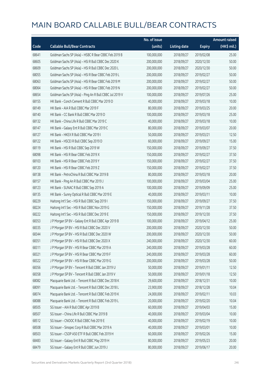|       |                                                          | No. of issue |                     |               | <b>Amount raised</b> |
|-------|----------------------------------------------------------|--------------|---------------------|---------------|----------------------|
| Code  | <b>Callable Bull/Bear Contracts</b>                      | (units)      | <b>Listing date</b> | <b>Expiry</b> | (HK\$ mil.)          |
| 68641 | Goldman Sachs SP (Asia) - HSBC R Bear CBBC Feb 2019 B    | 100,000,000  | 2018/09/27          | 2019/02/08    | 25.00                |
| 68605 | Goldman Sachs SP (Asia) - HSI R Bull CBBC Dec 2020 K     | 200,000,000  | 2018/09/27          | 2020/12/30    | 50.00                |
| 68609 | Goldman Sachs SP (Asia) - HSI R Bull CBBC Dec 2020 L     | 200,000,000  | 2018/09/27          | 2020/12/30    | 50.00                |
| 68055 | Goldman Sachs SP (Asia) - HSI R Bear CBBC Feb 2019 L     | 200,000,000  | 2018/09/27          | 2019/02/27    | 50.00                |
| 68063 | Goldman Sachs SP (Asia) - HSI R Bear CBBC Feb 2019 M     | 200,000,000  | 2018/09/27          | 2019/02/27    | 50.00                |
| 68064 | Goldman Sachs SP (Asia) - HSI R Bear CBBC Feb 2019 N     | 200,000,000  | 2018/09/27          | 2019/02/27    | 50.00                |
| 68654 | Goldman Sachs SP (Asia) - Ping An R Bull CBBC Jul 2019 V | 100,000,000  | 2018/09/27          | 2019/07/26    | 25.00                |
| 68155 | HK Bank - Conch Cement R Bull CBBC Mar 2019 D            | 40,000,000   | 2018/09/27          | 2019/03/18    | 10.00                |
| 68149 | HK Bank - AIA R Bull CBBC Mar 2019 F                     | 80,000,000   | 2018/09/27          | 2019/03/25    | 20.00                |
| 68140 | HK Bank - CC Bank R Bull CBBC Mar 2019 D                 | 100,000,000  | 2018/09/27          | 2019/03/18    | 25.00                |
| 68132 | HK Bank - China Life R Bull CBBC Mar 2019 C              | 40,000,000   | 2018/09/27          | 2019/03/18    | 10.00                |
| 68147 | HK Bank - Galaxy Ent R Bull CBBC Mar 2019 C              | 80,000,000   | 2018/09/27          | 2019/03/07    | 20.00                |
| 68127 | HK Bank - HKEX R Bull CBBC Mar 2019 I                    | 50,000,000   | 2018/09/27          | 2019/03/21    | 12.50                |
| 68122 | HK Bank - HSCEI R Bull CBBC Sep 2019 D                   | 60,000,000   | 2018/09/27          | 2019/09/27    | 15.00                |
| 68119 | HK Bank - HSI R Bull CBBC Sep 2019 W                     | 150,000,000  | 2018/09/27          | 2019/09/27    | 37.50                |
| 68098 | HK Bank - HSI R Bear CBBC Feb 2019 X                     | 150,000,000  | 2018/09/27          | 2019/02/27    | 37.50                |
| 68103 | HK Bank - HSI R Bear CBBC Feb 2019 Y                     | 150,000,000  | 2018/09/27          | 2019/02/27    | 37.50                |
| 68120 | HK Bank - HSI R Bear CBBC Feb 2019 Z                     | 150,000,000  | 2018/09/27          | 2019/02/27    | 37.50                |
| 68138 | HK Bank - PetroChina R Bull CBBC Mar 2019 B              | 80,000,000   | 2018/09/27          | 2019/03/18    | 20.00                |
| 68157 | HK Bank - Ping An R Bull CBBC Mar 2019 J                 | 100,000,000  | 2018/09/27          | 2019/03/04    | 25.00                |
| 68123 | HK Bank - SUNAC R Bull CBBC Sep 2019 A                   | 100,000,000  | 2018/09/27          | 2019/09/09    | 25.00                |
| 68135 | HK Bank - Sunny Optical R Bull CBBC Mar 2019 E           | 40,000,000   | 2018/09/27          | 2019/03/11    | 10.00                |
| 68229 | Haitong Int'l Sec - HSI R Bull CBBC Sep 2019 I           | 150,000,000  | 2018/09/27          | 2019/09/27    | 37.50                |
| 68224 | Haitong Int'l Sec - HSI R Bull CBBC Nov 2019 G           | 150,000,000  | 2018/09/27          | 2019/11/28    | 37.50                |
| 68222 | Haitong Int'l Sec - HSI R Bull CBBC Dec 2019 E           | 150,000,000  | 2018/09/27          | 2019/12/30    | 37.50                |
| 68353 | J P Morgan SP BV - Galaxy Ent R Bull CBBC Apr 2019 B     | 100,000,000  | 2018/09/27          | 2019/04/12    | 25.00                |
| 68335 | J P Morgan SP BV - HSI R Bull CBBC Dec 2020 V            | 200,000,000  | 2018/09/27          | 2020/12/30    | 50.00                |
| 68344 | J P Morgan SP BV - HSI R Bull CBBC Dec 2020 W            | 200,000,000  | 2018/09/27          | 2020/12/30    | 50.00                |
| 68351 | J P Morgan SP BV - HSI R Bull CBBC Dec 2020 X            | 240,000,000  | 2018/09/27          | 2020/12/30    | 60.00                |
| 68311 | J P Morgan SP BV - HSI R Bear CBBC Mar 2019 A            | 240,000,000  | 2018/09/27          | 2019/03/28    | 60.00                |
| 68321 | J P Morgan SP BV - HSI R Bear CBBC Mar 2019 F            | 240,000,000  | 2018/09/27          | 2019/03/28    | 60.00                |
| 68322 | J P Morgan SP BV - HSI R Bear CBBC Mar 2019 G            | 200,000,000  | 2018/09/27          | 2019/03/28    | 50.00                |
| 68356 | J P Morgan SP BV - Tencent R Bull CBBC Jan 2019 U        | 50,000,000   | 2018/09/27          | 2019/01/11    | 12.50                |
| 68358 | J P Morgan SP BV - Tencent R Bull CBBC Jan 2019 V        | 50,000,000   | 2018/09/27          | 2019/01/18    | 12.50                |
| 68082 | Macquarie Bank Ltd. - Tencent R Bull CBBC Dec 2018 K     | 29,600,000   | 2018/09/27          | 2018/12/31    | 10.00                |
| 68091 | Macquarie Bank Ltd. - Tencent R Bull CBBC Dec 2018 L     | 23,900,000   | 2018/09/27          | 2018/12/28    | 10.04                |
| 68074 | Macquarie Bank Ltd. - Tencent R Bull CBBC Feb 2019 K     | 24,000,000   | 2018/09/27          | 2019/02/11    | 10.03                |
| 68088 | Macquarie Bank Ltd. - Tencent R Bull CBBC Feb 2019 L     | 20,000,000   | 2018/09/27          | 2019/02/20    | 10.04                |
| 68505 | SG Issuer - AIA R Bull CBBC Apr 2019 B                   | 60,000,000   | 2018/09/27          | 2019/04/03    | 15.00                |
| 68507 | SG Issuer - China Life R Bull CBBC Mar 2019 B            | 40,000,000   | 2018/09/27          | 2019/03/04    | 10.00                |
| 68512 | SG Issuer - CNOOC R Bull CBBC Feb 2019 E                 | 40,000,000   | 2018/09/27          | 2019/02/19    | 10.00                |
| 68508 | SG Issuer - Sinopec Corp R Bull CBBC Mar 2019 A          | 40,000,000   | 2018/09/27          | 2019/03/01    | 10.00                |
| 68503 | SG Issuer - CSOP A50 ETF R Bull CBBC Feb 2019 H          | 60,000,000   | 2018/09/27          | 2019/02/26    | 15.00                |
| 68483 | SG Issuer - Galaxy Ent R Bull CBBC May 2019 H            | 80,000,000   | 2018/09/27          | 2019/05/23    | 20.00                |
| 68479 | SG Issuer - Galaxy Ent R Bull CBBC Jun 2019 J            | 80,000,000   | 2018/09/27          | 2019/06/17    | 20.00                |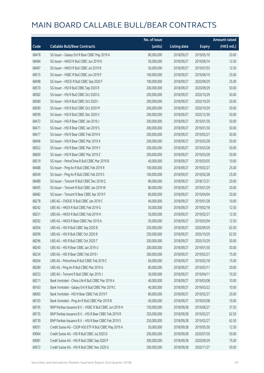|       |                                                         | No. of issue |                     |               | <b>Amount raised</b> |
|-------|---------------------------------------------------------|--------------|---------------------|---------------|----------------------|
| Code  | <b>Callable Bull/Bear Contracts</b>                     | (units)      | <b>Listing date</b> | <b>Expiry</b> | (HK\$ mil.)          |
| 68478 | SG Issuer - Galaxy Ent R Bear CBBC May 2019 A           | 80,000,000   | 2018/09/27          | 2019/05/10    | 20.00                |
| 68484 | SG Issuer - HKEX R Bull CBBC Jun 2019 K                 | 50,000,000   | 2018/09/27          | 2019/06/14    | 12.50                |
| 68487 | SG Issuer - HKEX R Bull CBBC Jul 2019 B                 | 50,000,000   | 2018/09/27          | 2019/07/03    | 12.50                |
| 68515 | SG Issuer - HSBC R Bull CBBC Jun 2019 F                 | 100,000,000  | 2018/09/27          | 2019/06/19    | 25.00                |
| 68498 | SG Issuer - HSCEI R Bull CBBC Sep 2020 F                | 100,000,000  | 2018/09/27          | 2020/09/29    | 25.00                |
| 68570 | SG Issuer - HSI R Bull CBBC Sep 2020 R                  | 200,000,000  | 2018/09/27          | 2020/09/29    | 50.00                |
| 68582 | SG Issuer - HSI R Bull CBBC Oct 2020 G                  | 200,000,000  | 2018/09/27          | 2020/10/29    | 50.00                |
| 68580 | SG Issuer - HSI R Bull CBBC Oct 2020 I                  | 200,000,000  | 2018/09/27          | 2020/10/29    | 50.00                |
| 68590 | SG Issuer - HSI R Bull CBBC Oct 2020 M                  | 200,000,000  | 2018/09/27          | 2020/10/29    | 50.00                |
| 68599 | SG Issuer - HSI R Bull CBBC Dec 2020 V                  | 200,000,000  | 2018/09/27          | 2020/12/30    | 50.00                |
| 68472 | SG Issuer - HSI R Bear CBBC Jan 2019 J                  | 200,000,000  | 2018/09/27          | 2019/01/30    | 50.00                |
| 68471 | SG Issuer - HSI R Bear CBBC Jan 2019 S                  | 200,000,000  | 2018/09/27          | 2019/01/30    | 50.00                |
| 68477 | SG Issuer - HSI R Bear CBBC Feb 2019 K                  | 200,000,000  | 2018/09/27          | 2019/02/27    | 50.00                |
| 68496 | SG Issuer - HSI R Bear CBBC Mar 2019 X                  | 200,000,000  | 2018/09/27          | 2019/03/28    | 50.00                |
| 68552 | SG Issuer - HSI R Bear CBBC Mar 2019 Y                  | 200,000,000  | 2018/09/27          | 2019/03/28    | 50.00                |
| 68600 | SG Issuer - HSI R Bear CBBC Mar 2019 Z                  | 200,000,000  | 2018/09/27          | 2019/03/28    | 50.00                |
| 68519 | SG Issuer - PetroChina R Bull CBBC Mar 2019 B           | 40,000,000   | 2018/09/27          | 2019/03/05    | 10.00                |
| 68488 | SG Issuer - Ping An R Bull CBBC Feb 2019 R              | 100,000,000  | 2018/09/27          | 2019/02/27    | 25.00                |
| 68549 | SG Issuer - Ping An R Bull CBBC Feb 2019 S              | 100,000,000  | 2018/09/27          | 2019/02/28    | 25.00                |
| 68489 | SG Issuer - Tencent R Bull CBBC Dec 2018 Q              | 80,000,000   | 2018/09/27          | 2018/12/31    | 20.00                |
| 68495 | SG Issuer - Tencent R Bull CBBC Jan 2019 W              | 80,000,000   | 2018/09/27          | 2019/01/29    | 20.00                |
| 68482 | SG Issuer - Tencent R Bear CBBC Apr 2019 F              | 80,000,000   | 2018/09/27          | 2019/04/04    | 20.00                |
| 68278 | UBS AG - CNOOC R Bull CBBC Jan 2019 C                   | 40,000,000   | 2018/09/27          | 2019/01/28    | 10.00                |
| 68242 | UBS AG - HKEX R Bull CBBC Feb 2019 G                    | 50,000,000   | 2018/09/27          | 2019/02/18    | 12.50                |
| 68251 | UBS AG - HKEX R Bull CBBC Feb 2019 H                    | 50,000,000   | 2018/09/27          | 2019/02/27    | 12.50                |
| 68292 | UBS AG - HKEX R Bear CBBC Mar 2019 A                    | 50,000,000   | 2018/09/27          | 2019/03/04    | 12.50                |
| 68304 | UBS AG - HSI R Bull CBBC Sep 2020 B                     | 250,000,000  | 2018/09/27          | 2020/09/29    | 62.50                |
| 68299 | UBS AG - HSI R Bull CBBC Oct 2020 R                     | 250,000,000  | 2018/09/27          | 2020/10/29    | 62.50                |
| 68296 | UBS AG - HSI R Bull CBBC Oct 2020 T                     | 200,000,000  | 2018/09/27          | 2020/10/29    | 50.00                |
| 68240 | UBS AG - HSI R Bear CBBC Jan 2019 U                     | 200,000,000  | 2018/09/27          | 2019/01/30    | 50.00                |
| 68234 | UBS AG - HSI R Bear CBBC Feb 2019 I                     | 300,000,000  | 2018/09/27          | 2019/02/27    | 75.00                |
| 68264 | UBS AG - Petrochina R Bull CBBC Feb 2019 C              | 60,000,000   | 2018/09/27          | 2019/02/18    | 15.00                |
| 68289 | UBS AG - Ping An R Bull CBBC Mar 2019 A                 | 80,000,000   | 2018/09/27          | 2019/03/11    | 20.00                |
| 68253 | UBS AG - Tencent R Bull CBBC Apr 2019 J                 | 30,000,000   | 2018/09/27          | 2019/04/11    | 10.20                |
| 68211 | Bank Vontobel - China Life R Bull CBBC Mar 2019 A       | 40,000,000   | 2018/09/27          | 2019/03/08    | 10.00                |
| 68163 | Bank Vontobel - Galaxy Ent R Bull CBBC Mar 2019 C       | 40,000,000   | 2018/09/27          | 2019/03/22    | 10.00                |
| 68065 | Bank Vontobel - HSI N Bear CBBC Feb 2019 F              | 80,000,000   | 2018/09/27          | 2019/02/27    | 20.00                |
| 68193 | Bank Vontobel - Ping An R Bull CBBC Mar 2019 B          | 40,000,000   | 2018/09/27          | 2019/03/08    | 10.00                |
| 68745 | BNP Paribas Issuance B.V. - HSBC R Bull CBBC Jun 2019 H | 150,000,000  | 2018/09/28          | 2019/06/27    | 37.50                |
| 68735 | BNP Paribas Issuance B.V. - HSI R Bear CBBC Feb 2019 R  | 250,000,000  | 2018/09/28          | 2019/02/27    | 62.50                |
| 68739 | BNP Paribas Issuance B.V. - HSI R Bear CBBC Feb 2019 S  | 250,000,000  | 2018/09/28          | 2019/02/27    | 62.50                |
| 69051 | Credit Suisse AG - CSOP A50 ETF R Bull CBBC May 2019 A  | 50,000,000   | 2018/09/28          | 2019/05/30    | 12.50                |
| 69064 | Credit Suisse AG - HSI R Bull CBBC Jul 2020 D           | 200,000,000  | 2018/09/28          | 2020/07/30    | 50.00                |
| 69081 | Credit Suisse AG - HSI R Bull CBBC Sep 2020 P           | 300,000,000  | 2018/09/28          | 2020/09/29    | 75.00                |
| 69072 | Credit Suisse AG - HSI R Bull CBBC Nov 2020 G           | 200,000,000  | 2018/09/28          | 2020/11/27    | 50.00                |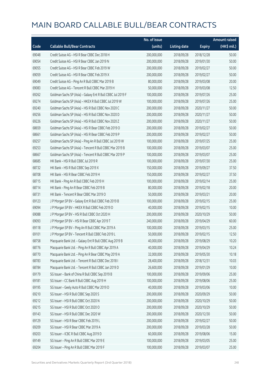|       |                                                             | No. of issue |                     |               | <b>Amount raised</b> |
|-------|-------------------------------------------------------------|--------------|---------------------|---------------|----------------------|
| Code  | <b>Callable Bull/Bear Contracts</b>                         | (units)      | <b>Listing date</b> | <b>Expiry</b> | (HK\$ mil.)          |
| 69048 | Credit Suisse AG - HSI R Bear CBBC Dec 2018 H               | 200,000,000  | 2018/09/28          | 2018/12/28    | 50.00                |
| 69054 | Credit Suisse AG - HSI R Bear CBBC Jan 2019 N               | 200,000,000  | 2018/09/28          | 2019/01/30    | 50.00                |
| 69055 | Credit Suisse AG - HSI R Bear CBBC Feb 2019 W               | 200,000,000  | 2018/09/28          | 2019/02/27    | 50.00                |
| 69059 | Credit Suisse AG - HSI R Bear CBBC Feb 2019 X               | 200,000,000  | 2018/09/28          | 2019/02/27    | 50.00                |
| 69049 | Credit Suisse AG - Ping An R Bull CBBC Mar 2019 B           | 80,000,000   | 2018/09/28          | 2019/03/08    | 20.00                |
| 69083 | Credit Suisse AG - Tencent R Bull CBBC Mar 2019 H           | 50,000,000   | 2018/09/28          | 2019/03/08    | 12.50                |
| 69262 | Goldman Sachs SP (Asia) - Galaxy Ent R Bull CBBC Jul 2019 F | 100,000,000  | 2018/09/28          | 2019/07/26    | 25.00                |
| 69274 | Goldman Sachs SP (Asia) - HKEX R Bull CBBC Jul 2019 W       | 100,000,000  | 2018/09/28          | 2019/07/26    | 25.00                |
| 69240 | Goldman Sachs SP (Asia) - HSI R Bull CBBC Nov 2020 C        | 200,000,000  | 2018/09/28          | 2020/11/27    | 50.00                |
| 69256 | Goldman Sachs SP (Asia) - HSI R Bull CBBC Nov 2020 D        | 200,000,000  | 2018/09/28          | 2020/11/27    | 50.00                |
| 69226 | Goldman Sachs SP (Asia) - HSI R Bull CBBC Nov 2020 Z        | 200,000,000  | 2018/09/28          | 2020/11/27    | 50.00                |
| 68659 | Goldman Sachs SP (Asia) - HSI R Bear CBBC Feb 2019 O        | 200,000,000  | 2018/09/28          | 2019/02/27    | 50.00                |
| 68661 | Goldman Sachs SP (Asia) - HSI R Bear CBBC Feb 2019 P        | 200,000,000  | 2018/09/28          | 2019/02/27    | 50.00                |
| 69257 | Goldman Sachs SP (Asia) - Ping An R Bull CBBC Jul 2019 W    | 100,000,000  | 2018/09/28          | 2019/07/25    | 25.00                |
| 69253 | Goldman Sachs SP (Asia) - Tencent R Bull CBBC Mar 2019 B    | 100,000,000  | 2018/09/28          | 2019/03/07    | 25.00                |
| 68667 | Goldman Sachs SP (Asia) - Tencent R Bull CBBC Mar 2019 P    | 100,000,000  | 2018/09/28          | 2019/03/07    | 25.00                |
| 68685 | HK Bank - HSI R Bull CBBC Jul 2019 R                        | 100,000,000  | 2018/09/28          | 2019/07/30    | 25.00                |
| 68732 | HK Bank - HSI R Bull CBBC Sep 2019 X                        | 150,000,000  | 2018/09/28          | 2019/09/27    | 37.50                |
| 68708 | HK Bank - HSI R Bear CBBC Feb 2019 H                        | 150,000,000  | 2018/09/28          | 2019/02/27    | 37.50                |
| 68715 | HK Bank - Ping An R Bull CBBC Feb 2019 H                    | 100,000,000  | 2018/09/28          | 2019/02/14    | 25.00                |
| 68714 | HK Bank - Ping An R Bear CBBC Feb 2019 B                    | 80,000,000   | 2018/09/28          | 2019/02/18    | 20.00                |
| 68731 | HK Bank - Tencent R Bear CBBC Mar 2019 O                    | 50,000,000   | 2018/09/28          | 2019/03/21    | 20.00                |
| 69123 | J P Morgan SP BV - Galaxy Ent R Bull CBBC Feb 2019 B        | 100,000,000  | 2018/09/28          | 2019/02/15    | 25.00                |
| 69094 | J P Morgan SP BV - HKEX R Bull CBBC Feb 2019 D              | 40,000,000   | 2018/09/28          | 2019/02/15    | 10.00                |
| 69088 | J P Morgan SP BV - HSI R Bull CBBC Oct 2020 H               | 200,000,000  | 2018/09/28          | 2020/10/29    | 50.00                |
| 69093 | J P Morgan SP BV - HSI R Bear CBBC Apr 2019 T               | 240,000,000  | 2018/09/28          | 2019/04/29    | 60.00                |
| 69118 | J P Morgan SP BV - Ping An R Bull CBBC Mar 2019 A           | 100,000,000  | 2018/09/28          | 2019/03/15    | 25.00                |
| 69101 | J P Morgan SP BV - Tencent R Bull CBBC Feb 2019 L           | 50,000,000   | 2018/09/28          | 2019/02/15    | 12.50                |
| 68758 | Macquarie Bank Ltd. - Galaxy Ent R Bull CBBC Aug 2019 B     | 40,000,000   | 2018/09/28          | 2019/08/29    | 10.20                |
| 68776 | Macquarie Bank Ltd. - Ping An R Bull CBBC Apr 2019 A        | 40,000,000   | 2018/09/28          | 2019/04/29    | 10.24                |
| 68770 | Macquarie Bank Ltd. - Ping An R Bear CBBC May 2019 A        | 32,000,000   | 2018/09/28          | 2019/05/30    | 10.18                |
| 68783 | Macquarie Bank Ltd. - Tencent R Bull CBBC Dec 2018 I        | 28,400,000   | 2018/09/28          | 2018/12/31    | 10.03                |
| 68784 | Macquarie Bank Ltd. - Tencent R Bull CBBC Jan 2019 D        | 26,600,000   | 2018/09/28          | 2019/01/29    | 10.00                |
| 69179 | SG Issuer - Bank of China R Bull CBBC Sep 2019 B            | 100,000,000  | 2018/09/28          | 2019/09/06    | 25.00                |
| 69181 | SG Issuer - CC Bank R Bull CBBC Aug 2019 H                  | 100,000,000  | 2018/09/28          | 2019/08/06    | 25.00                |
| 69195 | SG Issuer - Geely Auto R Bull CBBC Mar 2019 D               | 40,000,000   | 2018/09/28          | 2019/03/06    | 10.00                |
| 69210 | SG Issuer - HSI R Bull CBBC Sep 2020 S                      | 200,000,000  | 2018/09/28          | 2020/09/29    | 50.00                |
| 69212 | SG Issuer - HSI R Bull CBBC Oct 2020 N                      | 200,000,000  | 2018/09/28          | 2020/10/29    | 50.00                |
| 69215 | SG Issuer - HSI R Bull CBBC Oct 2020 O                      | 200,000,000  | 2018/09/28          | 2020/10/29    | 50.00                |
| 69143 | SG Issuer - HSI R Bull CBBC Dec 2020 W                      | 200,000,000  | 2018/09/28          | 2020/12/30    | 50.00                |
| 69129 | SG Issuer - HSI R Bear CBBC Feb 2019 L                      | 200,000,000  | 2018/09/28          | 2019/02/27    | 50.00                |
| 69209 | SG Issuer - HSI R Bear CBBC Mar 2019 A                      | 200,000,000  | 2018/09/28          | 2019/03/28    | 50.00                |
| 69203 | SG Issuer - ICBC R Bull CBBC Aug 2019 D                     | 60,000,000   | 2018/09/28          | 2019/08/06    | 15.00                |
| 69149 | SG Issuer - Ping An R Bull CBBC Mar 2019 E                  | 100,000,000  | 2018/09/28          | 2019/03/05    | 25.00                |
| 69204 | SG Issuer - Ping An R Bull CBBC Mar 2019 F                  | 100,000,000  | 2018/09/28          | 2019/03/07    | 25.00                |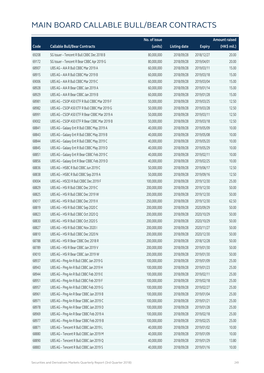|       |                                              | No. of issue |                     |               | <b>Amount raised</b> |
|-------|----------------------------------------------|--------------|---------------------|---------------|----------------------|
| Code  | <b>Callable Bull/Bear Contracts</b>          | (units)      | <b>Listing date</b> | <b>Expiry</b> | (HK\$ mil.)          |
| 69208 | SG Issuer - Tencent R Bull CBBC Dec 2018 B   | 80,000,000   | 2018/09/28          | 2018/12/27    | 20.00                |
| 69172 | SG Issuer - Tencent R Bear CBBC Apr 2019 G   | 80,000,000   | 2018/09/28          | 2019/04/01    | 20.00                |
| 68907 | UBS AG - AIA R Bull CBBC Mar 2019 A          | 60,000,000   | 2018/09/28          | 2019/03/11    | 15.00                |
| 68915 | UBS AG - AIA R Bull CBBC Mar 2019 B          | 60,000,000   | 2018/09/28          | 2019/03/18    | 15.00                |
| 69006 | UBS AG - AIA R Bull CBBC Mar 2019 C          | 60,000,000   | 2018/09/28          | 2019/03/04    | 15.00                |
| 68928 | UBS AG - AIA R Bear CBBC Jan 2019 A          | 60,000,000   | 2018/09/28          | 2019/01/14    | 15.00                |
| 68929 | UBS AG - AIA R Bear CBBC Jan 2019 B          | 60,000,000   | 2018/09/28          | 2019/01/28    | 15.00                |
| 68981 | UBS AG - CSOP A50 ETF R Bull CBBC Mar 2019 F | 50,000,000   | 2018/09/28          | 2019/03/25    | 12.50                |
| 68982 | UBS AG - CSOP A50 ETF R Bull CBBC Mar 2019 G | 50,000,000   | 2018/09/28          | 2019/03/28    | 12.50                |
| 68991 | UBS AG - CSOP A50 ETF R Bear CBBC Mar 2019 A | 50,000,000   | 2018/09/28          | 2019/03/11    | 12.50                |
| 69002 | UBS AG - CSOP A50 ETF R Bear CBBC Mar 2019 B | 50,000,000   | 2018/09/28          | 2019/03/18    | 12.50                |
| 68841 | UBS AG - Galaxy Ent R Bull CBBC May 2019 A   | 40,000,000   | 2018/09/28          | 2019/05/09    | 10.00                |
| 68843 | UBS AG - Galaxy Ent R Bull CBBC May 2019 B   | 40,000,000   | 2018/09/28          | 2019/05/08    | 10.00                |
| 68844 | UBS AG - Galaxy Ent R Bull CBBC May 2019 C   | 40,000,000   | 2018/09/28          | 2019/05/20    | 10.00                |
| 68845 | UBS AG - Galaxy Ent R Bull CBBC May 2019 D   | 40,000,000   | 2018/09/28          | 2019/05/29    | 10.00                |
| 68851 | UBS AG - Galaxy Ent R Bear CBBC Feb 2019 C   | 40,000,000   | 2018/09/28          | 2019/02/11    | 10.00                |
| 68856 | UBS AG - Galaxy Ent R Bear CBBC Feb 2019 D   | 40,000,000   | 2018/09/28          | 2019/02/25    | 10.00                |
| 68836 | UBS AG - HSBC R Bull CBBC Jun 2019 C         | 50,000,000   | 2018/09/28          | 2019/06/17    | 12.50                |
| 68838 | UBS AG - HSBC R Bull CBBC Sep 2019 A         | 50,000,000   | 2018/09/28          | 2019/09/16    | 12.50                |
| 69004 | UBS AG - HSCEI R Bull CBBC Dec 2019 F        | 100,000,000  | 2018/09/28          | 2019/12/30    | 25.00                |
| 68829 | UBS AG - HSI R Bull CBBC Dec 2019 C          | 200,000,000  | 2018/09/28          | 2019/12/30    | 50.00                |
| 68825 | UBS AG - HSI R Bull CBBC Dec 2019 W          | 200,000,000  | 2018/09/28          | 2019/12/30    | 50.00                |
| 69017 | UBS AG - HSI R Bull CBBC Dec 2019 X          | 250,000,000  | 2018/09/28          | 2019/12/30    | 62.50                |
| 68819 | UBS AG - HSI R Bull CBBC Sep 2020 C          | 200,000,000  | 2018/09/28          | 2020/09/29    | 50.00                |
| 68823 | UBS AG - HSI R Bull CBBC Oct 2020 Q          | 200,000,000  | 2018/09/28          | 2020/10/29    | 50.00                |
| 68830 | UBS AG - HSI R Bull CBBC Oct 2020 S          | 200,000,000  | 2018/09/28          | 2020/10/29    | 50.00                |
| 68827 | UBS AG - HSI R Bull CBBC Nov 2020 I          | 200,000,000  | 2018/09/28          | 2020/11/27    | 50.00                |
| 68810 | UBS AG - HSI R Bull CBBC Dec 2020 N          | 200,000,000  | 2018/09/28          | 2020/12/30    | 50.00                |
| 68788 | UBS AG - HSI R Bear CBBC Dec 2018 R          | 200,000,000  | 2018/09/28          | 2018/12/28    | 50.00                |
| 68789 | UBS AG - HSI R Bear CBBC Jan 2019 V          | 200,000,000  | 2018/09/28          | 2019/01/30    | 50.00                |
| 69010 | UBS AG - HSI R Bear CBBC Jan 2019 W          | 200,000,000  | 2018/09/28          | 2019/01/30    | 50.00                |
| 68937 | UBS AG - Ping An R Bull CBBC Jan 2019 G      | 100,000,000  | 2018/09/28          | 2019/01/09    | 25.00                |
| 68943 | UBS AG - Ping An R Bull CBBC Jan 2019 H      | 100,000,000  | 2018/09/28          | 2019/01/23    | 25.00                |
| 68944 | UBS AG - Ping An R Bull CBBC Feb 2019 E      | 100,000,000  | 2018/09/28          | 2019/02/11    | 25.00                |
| 68951 | UBS AG - Ping An R Bull CBBC Feb 2019 F      | 100,000,000  | 2018/09/28          | 2019/02/18    | 25.00                |
| 68957 | UBS AG - Ping An R Bull CBBC Feb 2019 G      | 100,000,000  | 2018/09/28          | 2019/02/27    | 25.00                |
| 68961 | UBS AG - Ping An R Bear CBBC Jan 2019 B      | 100,000,000  | 2018/09/28          | 2019/01/04    | 25.00                |
| 68971 | UBS AG - Ping An R Bear CBBC Jan 2019 C      | 100,000,000  | 2018/09/28          | 2019/01/21    | 25.00                |
| 68978 | UBS AG - Ping An R Bear CBBC Jan 2019 D      | 100,000,000  | 2018/09/28          | 2019/01/28    | 25.00                |
| 68969 | UBS AG - Ping An R Bear CBBC Feb 2019 A      | 100,000,000  | 2018/09/28          | 2019/02/18    | 25.00                |
| 68977 | UBS AG - Ping An R Bear CBBC Feb 2019 B      | 100,000,000  | 2018/09/28          | 2019/02/25    | 25.00                |
| 68871 | UBS AG - Tencent R Bull CBBC Jan 2019 L      | 40,000,000   | 2018/09/28          | 2019/01/02    | 10.00                |
| 68880 | UBS AG - Tencent R Bull CBBC Jan 2019 M      | 40,000,000   | 2018/09/28          | 2019/01/09    | 10.00                |
| 68890 | UBS AG - Tencent R Bull CBBC Jan 2019 Q      | 40,000,000   | 2018/09/28          | 2019/01/29    | 13.80                |
| 68883 | UBS AG - Tencent R Bull CBBC Jan 2019 S      | 40,000,000   | 2018/09/28          | 2019/01/16    | 10.00                |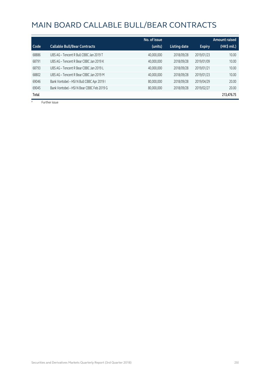|       |                                            | No. of issue |                     |               | <b>Amount raised</b> |
|-------|--------------------------------------------|--------------|---------------------|---------------|----------------------|
| Code  | <b>Callable Bull/Bear Contracts</b>        | (units)      | <b>Listing date</b> | <b>Expiry</b> | (HK\$ mil.)          |
| 68886 | UBS AG - Tencent R Bull CBBC Jan 2019 T    | 40,000,000   | 2018/09/28          | 2019/01/23    | 10.00                |
| 68791 | UBS AG - Tencent R Bear CBBC Jan 2019 K    | 40,000,000   | 2018/09/28          | 2019/01/09    | 10.00                |
| 68793 | UBS AG - Tencent R Bear CBBC Jan 2019 L    | 40,000,000   | 2018/09/28          | 2019/01/21    | 10.00                |
| 68802 | UBS AG - Tencent R Bear CBBC Jan 2019 M    | 40,000,000   | 2018/09/28          | 2019/01/23    | 10.00                |
| 69046 | Bank Vontobel - HSI N Bull CBBC Apr 2019 I | 80,000,000   | 2018/09/28          | 2019/04/29    | 20.00                |
| 69045 | Bank Vontobel - HSI N Bear CBBC Feb 2019 G | 80,000,000   | 2018/09/28          | 2019/02/27    | 20.00                |
| Total |                                            |              |                     |               | 213,476.75           |

# Further issue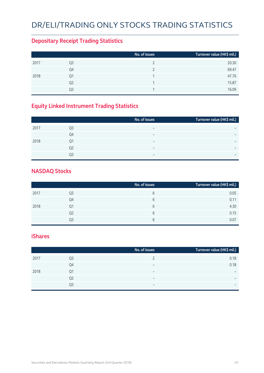# DR/ELI/TRADING ONLY STOCKS TRADING STATISTICS

#### **Depositary Receipt Trading Statistics**

|                | No. of issues | Turnover value (HK\$ mil.) |
|----------------|---------------|----------------------------|
| Q3             |               | 20.30                      |
| Q4             |               | 69.47                      |
| Q1             |               | 47.76                      |
| Q <sub>2</sub> |               | 15.87                      |
| O3             |               | 16.09                      |
|                |               |                            |

#### **Equity Linked Instrument Trading Statistics**

|      |                | No. of issues            | Turnover value (HK\$ mil.) |
|------|----------------|--------------------------|----------------------------|
| 2017 | Q <sub>3</sub> | $\overline{\phantom{0}}$ |                            |
|      | Q4             | $\overline{\phantom{0}}$ | $\overline{\phantom{0}}$   |
| 2018 | Q1             | $\overline{\phantom{0}}$ | $\overline{\phantom{0}}$   |
|      | Q <sub>2</sub> | $\overline{\phantom{0}}$ |                            |
|      | O3             |                          | $\overline{\phantom{0}}$   |
|      |                |                          |                            |

#### **NASDAQ Stocks**

|      |                | No. of issues | Turnover value (HK\$ mil.) |
|------|----------------|---------------|----------------------------|
| 2017 | Q3             | 6             | 0.05                       |
|      | Q4             | 6             | 0.11                       |
| 2018 | Q1             | 6             | 4.30                       |
|      | Q <sub>2</sub> | 6             | 0.15                       |
|      | Ο3             | 6             | 0.07                       |

#### **iShares**

|      |    | No. of issues            | Turnover value (HK\$ mil.)   |
|------|----|--------------------------|------------------------------|
| 2017 | Q3 |                          | 0.18                         |
|      | Q4 | $\overline{\phantom{0}}$ | 0.18                         |
| 2018 | Q1 | $\overline{\phantom{0}}$ | $\overline{\phantom{0}}$     |
|      | Q2 | $\overline{\phantom{0}}$ | $\qquad \qquad \blacksquare$ |
|      | Q3 | $\overline{\phantom{0}}$ | $\overline{\phantom{0}}$     |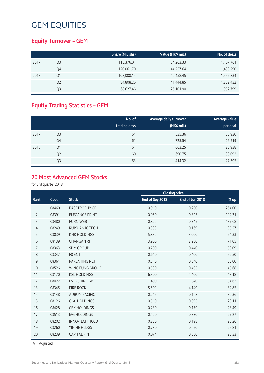## **Equity Turnover – GEM**

|      |    | Share (Mil. shs) | Value (HK\$ mil.) | No. of deals |
|------|----|------------------|-------------------|--------------|
| 2017 | Q3 | 115,376.01       | 34,263.33         | 1,107,761    |
|      | Q4 | 120,061.70       | 44,257.64         | 1,499,290    |
| 2018 | Q1 | 108,008.14       | 40,458.45         | 1,559,834    |
|      | Q2 | 84,808.26        | 41,444.85         | 1,252,432    |
|      | Q3 | 68,627.46        | 26,101.90         | 952,799      |

## **Equity Trading Statistics – GEM**

|      |                | No. of<br>trading days | Average daily turnover<br>(HK\$ mil.) | <b>Average value</b><br>per deal |
|------|----------------|------------------------|---------------------------------------|----------------------------------|
| 2017 | Q <sub>3</sub> | 64                     | 535.36                                | 30,930                           |
|      | Q4             | 61                     | 725.54                                | 29,519                           |
| 2018 | Q <sub>1</sub> | 61                     | 663.25                                | 25,938                           |
|      | Q <sub>2</sub> | 60                     | 690.75                                | 33,092                           |
|      | Q3             | 63                     | 414.32                                | 27,395                           |

## **20 Most Advanced GEM Stocks**

for 3rd quarter 2018

|                |       |                       |                 | <b>Closing price</b> |        |
|----------------|-------|-----------------------|-----------------|----------------------|--------|
| Rank           | Code  | <b>Stock</b>          | End of Sep 2018 | End of Jun 2018      | % up   |
| 1              | 08460 | <b>BASETROPHY GP</b>  | 0.910           | 0.250                | 264.00 |
| $\overline{2}$ | 08391 | <b>ELEGANCE PRINT</b> | 0.950           | 0.325                | 192.31 |
| 3              | 08480 | <b>FURNIWEB</b>       | 0.820           | 0.345                | 137.68 |
| 4              | 08249 | RUIYUAN IC TECH       | 0.330           | 0.169                | 95.27  |
| 5              | 08039 | <b>KNK HOLDINGS</b>   | 5.830           | 3.000                | 94.33  |
| 6              | 08139 | <b>CHANGAN RH</b>     | 3.900           | 2.280                | 71.05  |
| 7              | 08363 | <b>SDM GROUP</b>      | 0.700           | 0.440                | 59.09  |
| 8              | 08347 | F8 ENT                | 0.610           | 0.400                | 52.50  |
| 9              | 08361 | PARENTING NET         | 0.510           | 0.340                | 50.00  |
| 10             | 08526 | WING FUNG GROUP       | 0.590           | 0.405                | 45.68  |
| 11             | 08170 | <b>KSL HOLDINGS</b>   | 6.300           | 4.400                | 43.18  |
| 12             | 08022 | <b>EVERSHINE GP</b>   | 1.400           | 1.040                | 34.62  |
| 13             | 08345 | <b>FIRE ROCK</b>      | 5.500           | 4.140                | 32.85  |
| 14             | 08148 | <b>AURUM PACIFIC</b>  | 0.219           | 0.168                | 30.36  |
| 15             | 08126 | G. A. HOLDINGS        | 0.510           | 0.395                | 29.11  |
| 16             | 08428 | <b>CBK HOLDINGS</b>   | 0.230           | 0.179                | 28.49  |
| 17             | 08513 | <b>IAG HOLDINGS</b>   | 0.420           | 0.330                | 27.27  |
| 18             | 08202 | <b>INNO-TECH HOLD</b> | 0.250           | 0.198                | 26.26  |
| 19             | 08260 | YIN HE HLDGS          | 0.780           | 0.620                | 25.81  |
| 20             | 08239 | <b>CAPITAL FIN</b>    | 0.074           | 0.060                | 23.33  |
|                |       |                       |                 |                      |        |

A Adjusted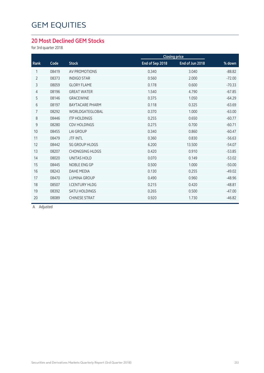### **20 Most Declined GEM Stocks**

for 3rd quarter 2018

| Code  | <b>Stock</b>           | End of Sep 2018 | End of Jun 2018 | % down               |
|-------|------------------------|-----------------|-----------------|----------------------|
| 08419 | AV PROMOTIONS          | 0.340           | 3.040           | $-88.82$             |
| 08373 | <b>INDIGO STAR</b>     | 0.560           | 2.000           | $-72.00$             |
| 08059 | <b>GLORY FLAME</b>     | 0.178           | 0.600           | $-70.33$             |
| 08196 | <b>GREAT WATER</b>     | 1.540           | 4.790           | $-67.85$             |
| 08146 | <b>GRACEWINE</b>       | 0.375           | 1.050           | $-64.29$             |
| 08197 | <b>BAYTACARE PHARM</b> | 0.118           | 0.325           | $-63.69$             |
| 08292 | WORLDGATEGLOBAL        | 0.370           | 1.000           | $-63.00$             |
| 08446 | <b>ITP HOLDINGS</b>    | 0.255           | 0.650           | $-60.77$             |
| 08280 | <b>CDV HOLDINGS</b>    | 0.275           | 0.700           | $-60.71$             |
| 08455 | <b>LAI GROUP</b>       | 0.340           | 0.860           | $-60.47$             |
| 08479 | <b>JTF INTL</b>        | 0.360           | 0.830           | $-56.63$             |
| 08442 | <b>SG GROUP HLDGS</b>  | 6.200           | 13.500          | $-54.07$             |
| 08207 | <b>CHONGSING HLDGS</b> | 0.420           | 0.910           | $-53.85$             |
| 08020 | <b>UNITAS HOLD</b>     | 0.070           | 0.149           | $-53.02$             |
| 08445 | NOBLE ENG GP           | 0.500           | 1.000           | $-50.00$             |
| 08243 | <b>DAHE MEDIA</b>      | 0.130           | 0.255           | $-49.02$             |
| 08470 | <b>LUMINA GROUP</b>    | 0.490           | 0.960           | $-48.96$             |
| 08507 | <b>I.CENTURY HLDG</b>  | 0.215           | 0.420           | $-48.81$             |
| 08392 | <b>SATU HOLDINGS</b>   | 0.265           | 0.500           | $-47.00$             |
| 08089 | <b>CHINESE STRAT</b>   | 0.920           | 1.730           | $-46.82$             |
|       |                        |                 |                 | <b>Closing price</b> |

A Adjusted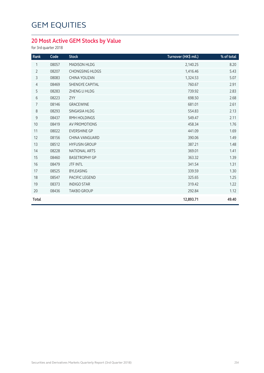## **20 Most Active GEM Stocks by Value**

for 3rd quarter 2018

| Rank           | Code  | <b>Stock</b>           | Turnover (HK\$ mil.) | % of total |
|----------------|-------|------------------------|----------------------|------------|
| 1              | 08057 | MADISON HLDG           | 2,140.25             | 8.20       |
| $\overline{2}$ | 08207 | <b>CHONGSING HLDGS</b> | 1,416.46             | 5.43       |
| 3              | 08083 | <b>CHINA YOUZAN</b>    | 1,324.53             | 5.07       |
| $\overline{4}$ | 08469 | <b>SHENGYE CAPITAL</b> | 760.67               | 2.91       |
| 5              | 08283 | ZHENG LI HLDG          | 739.92               | 2.83       |
| $\sqrt{6}$     | 08223 | ZYY                    | 698.50               | 2.68       |
| 7              | 08146 | GRACEWINE              | 681.01               | 2.61       |
| 8              | 08293 | SINGASIA HLDG          | 554.83               | 2.13       |
| $\mathsf 9$    | 08437 | <b>RMH HOLDINGS</b>    | 549.47               | 2.11       |
| 10             | 08419 | AV PROMOTIONS          | 458.34               | 1.76       |
| 11             | 08022 | <b>EVERSHINE GP</b>    | 441.09               | 1.69       |
| 12             | 08156 | CHINA VANGUARD         | 390.06               | 1.49       |
| 13             | 08512 | <b>HYFUSIN GROUP</b>   | 387.21               | 1.48       |
| 14             | 08228 | NATIONAL ARTS          | 369.01               | 1.41       |
| 15             | 08460 | <b>BASETROPHY GP</b>   | 363.32               | 1.39       |
| 16             | 08479 | <b>JTF INTL</b>        | 341.54               | 1.31       |
| 17             | 08525 | <b>BYLEASING</b>       | 339.59               | 1.30       |
| 18             | 08547 | PACIFIC LEGEND         | 325.65               | 1.25       |
| 19             | 08373 | <b>INDIGO STAR</b>     | 319.42               | 1.22       |
| 20             | 08436 | <b>TAKBO GROUP</b>     | 292.84               | 1.12       |
| <b>Total</b>   |       |                        | 12,893.71            | 49.40      |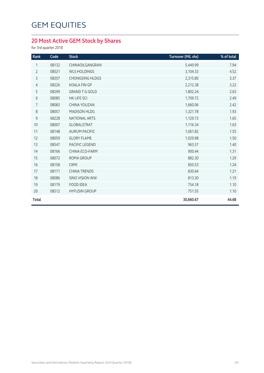## **20 Most Active GEM Stock by Shares**

for 3rd quarter 2018

| Rank           | Code  | <b>Stock</b>           | Turnover (Mil. shs) | % of total |
|----------------|-------|------------------------|---------------------|------------|
| 1              | 08132 | CHINAOILGANGRAN        | 5,449.99            | 7.94       |
| $\overline{2}$ | 08021 | <b>WLS HOLDINGS</b>    | 3,104.33            | 4.52       |
| 3              | 08207 | <b>CHONGSING HLDGS</b> | 2,315.80            | 3.37       |
| $\overline{4}$ | 08226 | <b>KOALA FIN GP</b>    | 2,212.38            | 3.22       |
| 5              | 08299 | <b>GRAND T G GOLD</b>  | 1,802.24            | 2.63       |
| 6              | 08085 | <b>HK LIFE SCI</b>     | 1,709.72            | 2.49       |
| $\overline{7}$ | 08083 | CHINA YOUZAN           | 1,660.06            | 2.42       |
| $\,8\,$        | 08057 | MADISON HLDG           | 1,321.78            | 1.93       |
| 9              | 08228 | NATIONAL ARTS          | 1,129.73            | 1.65       |
| 10             | 08007 | <b>GLOBALSTRAT</b>     | 1,116.34            | 1.63       |
| 11             | 08148 | <b>AURUM PACIFIC</b>   | 1,061.82            | 1.55       |
| 12             | 08059 | <b>GLORY FLAME</b>     | 1,029.98            | 1.50       |
| 13             | 08547 | PACIFIC LEGEND         | 963.57              | 1.40       |
| 14             | 08166 | CHINA ECO-FARM         | 900.44              | 1.31       |
| 15             | 08072 | ROMA GROUP             | 882.30              | 1.29       |
| 16             | 08158 | <b>CRMI</b>            | 850.53              | 1.24       |
| 17             | 08171 | <b>CHINA TRENDS</b>    | 830.64              | 1.21       |
| 18             | 08086 | <b>SINO VISION WW</b>  | 813.30              | 1.19       |
| 19             | 08179 | <b>FOOD IDEA</b>       | 754.18              | 1.10       |
| 20             | 08512 | <b>HYFUSIN GROUP</b>   | 751.55              | 1.10       |
| Total          |       |                        | 30,660.67           | 44.68      |
|                |       |                        |                     |            |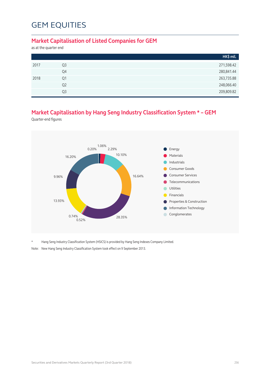#### **Market Capitalisation of Listed Companies for GEM**

as at the quarter end

|      |                | HK\$ mil.  |
|------|----------------|------------|
| 2017 | Q3             | 271,598.42 |
|      | Q4             | 280,841.44 |
| 2018 | Q1             | 263,735.88 |
|      | Q <sub>2</sub> | 248,066.40 |
|      | Q <sub>3</sub> | 209,809.82 |

### **Market Capitalisation by Hang Seng Industry Classification System \* – GEM**

Quarter-end figures



\* Hang Seng Industry Classification System (HSICS) is provided by Hang Seng Indexes Company Limited.

Note: New Hang Seng Industry Classification System took effect on 9 September 2013.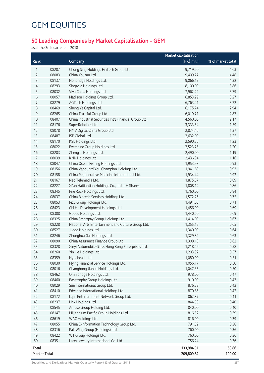## **50 Leading Companies by Market Capitalisation – GEM**

as at the 3rd quarter end 2018

|              |       |                                                        | <b>Market capitalisation</b> |                   |
|--------------|-------|--------------------------------------------------------|------------------------------|-------------------|
| Rank         |       | Company                                                | (HK\$ mil.)                  | % of market total |
| 1            | 08207 | Chong Sing Holdings FinTech Group Ltd.                 | 9,719.20                     | 4.63              |
| 2            | 08083 | China Youzan Ltd.                                      | 9,409.77                     | 4.48              |
| 3            | 08137 | Honbridge Holdings Ltd.                                | 9,066.17                     | 4.32              |
| 4            | 08293 | SingAsia Holdings Ltd.                                 | 8,100.00                     | 3.86              |
| 5            | 08032 | Viva China Holdings Ltd.                               | 7,962.22                     | 3.79              |
| 6            | 08057 | Madison Holdings Group Ltd.                            | 6,853.29                     | 3.27              |
| 7            | 08279 | AGTech Holdings Ltd.                                   | 6,763.41                     | 3.22              |
| 8            | 08469 | Sheng Ye Capital Ltd.                                  | 6,175.74                     | 2.94              |
| 9            | 08265 | China Trustful Group Ltd.                              | 6,019.71                     | 2.87              |
| 10           | 08407 | China Industrial Securities Int'l Financial Group Ltd. | 4,560.00                     | 2.17              |
| 11           | 08176 | SuperRobotics Ltd.                                     | 3,333.54                     | 1.59              |
| 12           | 08078 | HMV Digital China Group Ltd.                           | 2,874.46                     | 1.37              |
| 13           | 08487 | ISP Global Ltd.                                        | 2,632.00                     | 1.25              |
| 14           | 08170 | KSL Holdings Ltd.                                      | 2,590.56                     | 1.23              |
| 15           | 08022 | Evershine Group Holdings Ltd.                          | 2,523.75                     | 1.20              |
| 16           | 08283 | Zheng Li Holdings Ltd.                                 | 2,490.00                     | 1.19              |
| 17           | 08039 | KNK Holdings Ltd.                                      | 2,436.94                     | 1.16              |
| 18           | 08047 | China Ocean Fishing Holdings Ltd.                      | 1,953.93                     | 0.93              |
| 19           | 08156 | China Vanguard You Champion Holdings Ltd.              | 1,941.60                     | 0.93              |
| 20           | 08158 | China Regenerative Medicine International Ltd.         | 1,934.44                     | 0.92              |
| 21           | 08167 | Neo Telemedia Ltd.                                     | 1,875.87                     | 0.89              |
| 22           | 08227 | Xi'an Haitiantian Holdings Co., Ltd. - H Shares        | 1,808.14                     | 0.86              |
| 23           | 08345 | Fire Rock Holdings Ltd.                                | 1,760.00                     | 0.84              |
| 24           | 08037 | China Biotech Services Holdings Ltd.                   | 1,572.26                     | 0.75              |
| 25           | 08053 | Pizu Group Holdings Ltd.                               | 1,494.66                     | 0.71              |
| 26           | 08423 | Chi Ho Development Holdings Ltd.                       | 1,456.00                     | 0.69              |
| 27           | 08308 | Gudou Holdings Ltd.                                    | 1,440.60                     | 0.69              |
| 28           | 08325 | China Smartpay Group Holdings Ltd.                     | 1,414.00                     | 0.67              |
| 29           | 08228 | National Arts Entertainment and Culture Group Ltd.     | 1,355.15                     | 0.65              |
| 30           | 08527 | JLogo Holdings Ltd.                                    | 1,340.00                     | 0.64              |
| 31           | 08246 | Zhonghua Gas Holdings Ltd.                             | 1,329.82                     | 0.63              |
| 32           | 08090 | China Assurance Finance Group Ltd.                     | 1,308.18                     | 0.62              |
| 33           | 08328 | Xinyi Automobile Glass Hong Kong Enterprises Ltd.      | 1,218.49                     | 0.58              |
| 34           | 08260 | Yin He Holdings Ltd.                                   | 1,203.92                     | 0.57              |
| 35           | 08359 | Hypebeast Ltd.                                         | 1,080.00                     | 0.51              |
| 36           | 08030 | Flying Financial Service Holdings Ltd.                 | 1,056.17                     | 0.50              |
| 37           | 08016 | Changhong Jiahua Holdings Ltd.                         | 1,047.35                     | 0.50              |
| 38           | 08462 | Omnibridge Holdings Ltd.                               | 978.00                       | 0.47              |
| 39           | 08460 | Basetrophy Group Holdings Ltd.                         | 910.00                       | 0.43              |
| 40           | 08029 | Sun International Group Ltd.                           | 876.58                       | 0.42              |
| 41           | 08410 | Edvance International Holdings Ltd.                    | 870.85                       | 0.42              |
| 42           | 08172 | Lajin Entertainment Network Group Ltd.                 | 862.87                       | 0.41              |
| 43           | 08237 | Link Holdings Ltd.                                     | 844.58                       | 0.40              |
| 44           | 08545 | Amuse Group Holding Ltd.                               | 840.00                       | 0.40              |
| 45           | 08147 | Millennium Pacific Group Holdings Ltd.                 | 816.52                       | 0.39              |
| 46           | 08619 | WAC Holdings Ltd.                                      | 816.00                       | 0.39              |
| 47           | 08055 | China E-Information Technology Group Ltd.              | 791.52                       | 0.38              |
| 48           | 08316 | Pak Wing Group (Holdings) Ltd.                         | 760.00                       | 0.36              |
| 49           | 08422 | WT Group Holdings Ltd.                                 | 760.00                       | 0.36              |
| 50           | 08351 | Larry Jewelry International Co. Ltd.                   | 756.24                       | 0.36              |
| Total        |       |                                                        | 133,984.51                   | 63.86             |
| Market Total |       |                                                        | 209,809.82                   | 100.00            |

Securities and Derivatives Markets Quarterly Report (3rd Quarter 2018) 257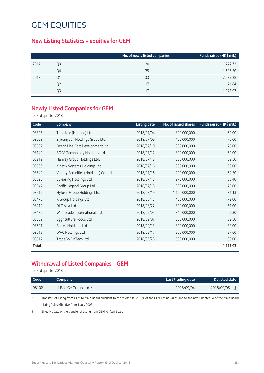### **New Listing Statistics – equities for GEM**

|                | No. of newly listed companies | Funds raised (HK\$ mil.) |
|----------------|-------------------------------|--------------------------|
| Q3             | 20                            | 1,772.73                 |
| Q4             | 25                            | 1,605.50                 |
| 01             | 33                            | 2,237.28                 |
| Q <sub>2</sub> | 17                            | 1,171.84                 |
| Q3             | 17                            | 1,171.93                 |
|                |                               |                          |

#### **Newly Listed Companies for GEM**

for 3rd quarter 2018

| Code  | Company                                | <b>Listing date</b> | No. of issued shares | Funds raised (HK\$ mil.) |
|-------|----------------------------------------|---------------------|----------------------|--------------------------|
| 08305 | Tong Kee (Holding) Ltd.                | 2018/07/04          | 800,000,000          | 60.00                    |
| 08223 | Ziyuanyuan Holdings Group Ltd.         | 2018/07/09          | 400,000,000          | 76.00                    |
| 08502 | Ocean Line Port Development Ltd.       | 2018/07/10          | 800,000,000          | 76.00                    |
| 08140 | BOSA Technology Holdings Ltd.          | 2018/07/12          | 800,000,000          | 60.00                    |
| 08219 | Hanvey Group Holdings Ltd.             | 2018/07/12          | 1,000,000,000        | 62.50                    |
| 08606 | Kinetix Systems Holdings Ltd.          | 2018/07/16          | 800,000,000          | 60.00                    |
| 08540 | Victory Securities (Holdings) Co. Ltd. | 2018/07/16          | 200,000,000          | 62.50                    |
| 08525 | Byleasing Holdings Ltd.                | 2018/07/18          | 270,000,000          | 86.40                    |
| 08547 | Pacific Legend Group Ltd.              | 2018/07/18          | 1,000,000,000        | 75.00                    |
| 08512 | Hyfusin Group Holdings Ltd.            | 2018/07/19          | 1,100,000,000        | 81.13                    |
| 08475 | K Group Holdings Ltd.                  | 2018/08/13          | 400,000,000          | 72.00                    |
| 08210 | DLC Asia Ltd.                          | 2018/08/27          | 800,000,000          | 51.00                    |
| 08482 | Wan Leader International Ltd.          | 2018/09/05          | 840,000,000          | 69.30                    |
| 08609 | Eggriculture Foods Ltd.                | 2018/09/07          | 500,000,000          | 62.50                    |
| 08601 | Boltek Holdings Ltd.                   | 2018/09/13          | 800,000,000          | 80.00                    |
| 08619 | WAC Holdings Ltd.                      | 2018/09/17          | 960,000,000          | 57.60                    |
| 08017 | TradeGo FinTech Ltd.                   | 2018/09/28          | 500,000,000          | 80.00                    |
| Total |                                        |                     |                      | 1,171.93                 |

### **Withdrawal of Listed Companies – GEM**

for 3rd quarter 2018

| <b>Code</b> | Company                | Last trading date | <b>Delisted date</b> |
|-------------|------------------------|-------------------|----------------------|
| 08102       | Li Bao Ge Group Ltd. * | 2018/09/04        | 2018/09/05           |

\* Transfers of listing from GEM to Main Board pursuant to the revised Rule 9.24 of the GEM Listing Rules and to the new Chapter 9A of the Main Board Listing Rules effective from 1 July 2008.

§ Effective date of the transfer of listing from GEM to Main Board.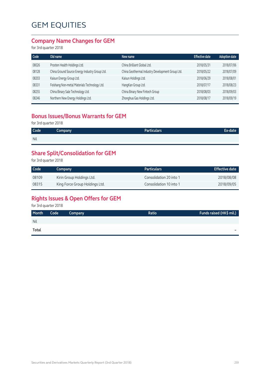### **Company Name Changes for GEM**

for 3rd quarter 2018

| Old name                                       | New name                                         | <b>Effective date</b> | <b>Adoption date</b> |
|------------------------------------------------|--------------------------------------------------|-----------------------|----------------------|
| Prosten Health Holdings Ltd.                   | China Brilliant Global Ltd.                      | 2018/05/31            | 2018/07/06           |
| China Ground Source Energy Industry Group Ltd. | China Geothermal Industry Development Group Ltd. | 2018/05/22            | 2018/07/09           |
| Kaisun Energy Group Ltd.                       | Kaisun Holdings Ltd.                             | 2018/06/29            | 2018/08/01           |
| Feishang Non-metal Materials Technology Ltd.   | HangKan Group Ltd.                               | 2018/07/17            | 2018/08/23           |
| China Binary Sale Technology Ltd.              | China Binary New Fintech Group                   | 2018/08/03            | 2018/09/03           |
| Northern New Energy Holdings Ltd.              | Zhonghua Gas Holdings Ltd.                       | 2018/08/17            | 2018/09/19           |
|                                                |                                                  |                       |                      |

### **Bonus Issues/Bonus Warrants for GEM**

for 3rd quarter 2018

| Code       | Company | <b>Particulars</b> | Ex-date |
|------------|---------|--------------------|---------|
| <b>Nil</b> |         |                    |         |

### **Share Split/Consolidation for GEM**

for 3rd quarter 2018

| Code  | Company                        | <b>Particulars</b>      | <b>Effective date</b> |
|-------|--------------------------------|-------------------------|-----------------------|
| 08109 | Kirin Group Holdings Ltd.      | Consolidation 20 into 1 | 2018/08/08            |
| 08315 | King Force Group Holdings Ltd. | Consolidation 10 into 1 | 2018/09/05            |

## **Rights Issues & Open Offers for GEM**

for 3rd quarter 2018

| Month | Code | Company | Ratio | Funds raised (HK\$ mil.) |
|-------|------|---------|-------|--------------------------|
| Nil   |      |         |       |                          |
| Total |      |         |       | -                        |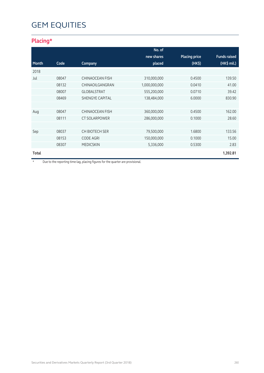## **Placing\***

|       |       |                        | No. of        |                      |                     |
|-------|-------|------------------------|---------------|----------------------|---------------------|
|       |       |                        | new shares    | <b>Placing price</b> | <b>Funds raised</b> |
| Month | Code  | Company                | placed        | $(HK\$               | (HK\$ mil.)         |
| 2018  |       |                        |               |                      |                     |
| Jul   | 08047 | <b>CHINAOCEAN FISH</b> | 310,000,000   | 0.4500               | 139.50              |
|       | 08132 | CHINAOILGANGRAN        | 1,000,000,000 | 0.0410               | 41.00               |
|       | 08007 | <b>GLOBALSTRAT</b>     | 555,200,000   | 0.0710               | 39.42               |
|       | 08469 | <b>SHENGYE CAPITAL</b> | 138,484,000   | 6.0000               | 830.90              |
|       |       |                        |               |                      |                     |
| Aug   | 08047 | <b>CHINAOCEAN FISH</b> | 360,000,000   | 0.4500               | 162.00              |
|       | 08111 | <b>CT SOLARPOWER</b>   | 286,000,000   | 0.1000               | 28.60               |
|       |       |                        |               |                      |                     |
| Sep   | 08037 | CH BIOTECH SER         | 79,500,000    | 1.6800               | 133.56              |
|       | 08153 | <b>CODE AGRI</b>       | 150,000,000   | 0.1000               | 15.00               |
|       | 08307 | <b>MEDICSKIN</b>       | 5,336,000     | 0.5300               | 2.83                |
| Total |       |                        |               |                      | 1,392.81            |

\* Due to the reporting time-lag, placing figures for the quarter are provisional.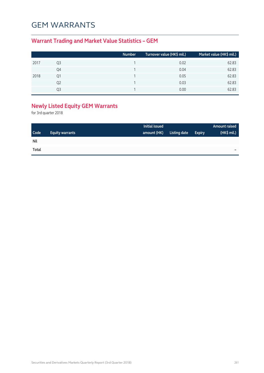## GEM WARRANTS

## **Warrant Trading and Market Value Statistics – GEM**

|      |    | <b>Number</b> | Turnover value (HK\$ mil.) | Market value (HK\$ mil.) |
|------|----|---------------|----------------------------|--------------------------|
| 2017 | Q3 |               | 0.02                       | 62.83                    |
|      | Q4 |               | 0.04                       | 62.83                    |
| 2018 | Q1 |               | 0.05                       | 62.83                    |
|      | Q2 |               | 0.03                       | 62.83                    |
|      | O3 |               | 0.00                       | 62.83                    |

## **Newly Listed Equity GEM Warrants**

for 3rd quarter 2018

|             |                        | Initial issued |              |               | <b>Amount raised</b> |
|-------------|------------------------|----------------|--------------|---------------|----------------------|
| <b>Code</b> | <b>Equity warrants</b> | amount (HK)    | Listing date | <b>Expiry</b> | (HK\$ mil.)          |
| <b>Nil</b>  |                        |                |              |               |                      |
| Total       |                        |                |              |               | -                    |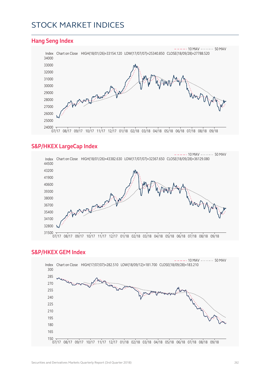## STOCK MARKET INDICES



#### **S&P/HKEX LargeCap Index**



#### **S&P/HKEX GEM Index**

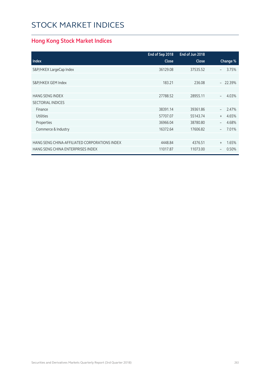# STOCK MARKET INDICES

## **Hong Kong Stock Market Indices**

|                                               | End of Sep 2018 | End of Jun 2018 |                                   |
|-----------------------------------------------|-----------------|-----------------|-----------------------------------|
| <b>Index</b>                                  | <b>Close</b>    | Close           | Change %                          |
| S&P/HKEX LargeCap Index                       | 36129.08        | 37535.52        | 3.75%<br>$\overline{\phantom{0}}$ |
|                                               |                 |                 |                                   |
| S&P/HKEX GEM Index                            | 183.21          | 236.08          | $-22.39%$                         |
|                                               |                 |                 |                                   |
| <b>HANG SENG INDEX</b>                        | 27788.52        | 28955.11        | 4.03%                             |
| <b>SECTORIAL INDICES</b>                      |                 |                 |                                   |
| Finance                                       | 38391.14        | 39361.86        | 2.47%                             |
| <b>Utilities</b>                              | 57707.07        | 55143.74        | 4.65%<br>$+$                      |
| Properties                                    | 36966.04        | 38780.80        | 4.68%                             |
| Commerce & Industry                           | 16372.64        | 17606.82        | 7.01%<br>$\overline{\phantom{0}}$ |
|                                               |                 |                 |                                   |
| HANG SENG CHINA-AFFILIATED CORPORATIONS INDEX | 4448.84         | 4376.51         | 1.65%<br>$+$                      |
| HANG SENG CHINA ENTERPRISES INDEX             | 11017.87        | 11073.00        | 0.50%<br>$\qquad \qquad -$        |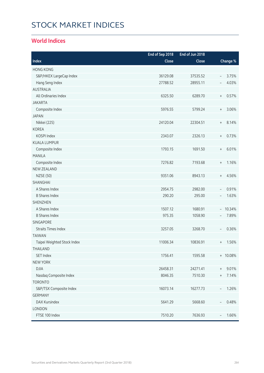# STOCK MARKET INDICES

### **World Indices**

|                             | End of Sep 2018 | End of Jun 2018 |                                           |
|-----------------------------|-----------------|-----------------|-------------------------------------------|
| Index                       | Close           | Close           | Change %                                  |
| <b>HONG KONG</b>            |                 |                 |                                           |
| S&P/HKEX LargeCap Index     | 36129.08        | 37535.52        | 3.75%<br>$\overline{\phantom{a}}$         |
| Hang Seng Index             | 27788.52        | 28955.11        | 4.03%<br>$\overline{\phantom{m}}$         |
| <b>AUSTRALIA</b>            |                 |                 |                                           |
| All Ordinaries Index        | 6325.50         | 6289.70         | 0.57%<br>$\, +$                           |
| <b>JAKARTA</b>              |                 |                 |                                           |
| Composite Index             | 5976.55         | 5799.24         | 3.06%<br>$\begin{array}{c} + \end{array}$ |
| <b>JAPAN</b>                |                 |                 |                                           |
| Nikkei (225)                | 24120.04        | 22304.51        | 8.14%<br>$^{+}$                           |
| <b>KOREA</b>                |                 |                 |                                           |
| KOSPI Index                 | 2343.07         | 2326.13         | 0.73%<br>$\begin{array}{c} + \end{array}$ |
| <b>KUALA LUMPUR</b>         |                 |                 |                                           |
| Composite Index             | 1793.15         | 1691.50         | 6.01%<br>$\, +$                           |
| <b>MANILA</b>               |                 |                 |                                           |
| Composite Index             | 7276.82         | 7193.68         | 1.16%<br>$\begin{array}{c} + \end{array}$ |
| <b>NEW ZEALAND</b>          |                 |                 |                                           |
| <b>NZSE (50)</b>            | 9351.06         | 8943.13         | 4.56%<br>$\begin{array}{c} + \end{array}$ |
| SHANGHAI                    |                 |                 |                                           |
| A Shares Index              | 2954.75         | 2982.00         | 0.91%<br>$\overline{\phantom{a}}$         |
| <b>B Shares Index</b>       | 290.20          | 295.00          | 1.63%<br>$\overline{\phantom{a}}$         |
| <b>SHENZHEN</b>             |                 |                 |                                           |
| A Shares Index              | 1507.12         | 1680.91         | 10.34%<br>$\overline{\phantom{0}}$        |
| <b>B Shares Index</b>       | 975.35          | 1058.90         | 7.89%<br>$\overline{\phantom{a}}$         |
| SINGAPORE                   |                 |                 |                                           |
| <b>Straits Times Index</b>  | 3257.05         | 3268.70         | 0.36%<br>$\overline{\phantom{a}}$         |
| <b>TAIWAN</b>               |                 |                 |                                           |
| Taipei Weighted Stock Index | 11006.34        | 10836.91        | 1.56%<br>$^{+}$                           |
| THAILAND                    |                 |                 |                                           |
| SET Index                   | 1756.41         | 1595.58         | + 10.08%                                  |
| <b>NEW YORK</b>             |                 |                 |                                           |
| <b>DJIA</b>                 | 26458.31        | 24271.41        | 9.01%<br>$^{+}$                           |
| Nasdaq Composite Index      | 8046.35         | 7510.30         | 7.14%<br>$^{+}$                           |
| <b>TORONTO</b>              |                 |                 |                                           |
| S&P/TSX Composite Index     | 16073.14        | 16277.73        | 1.26%<br>$\overline{\phantom{a}}$         |
| <b>GERMANY</b>              |                 |                 |                                           |
| DAX Kursindex               | 5641.29         | 5668.60         | 0.48%<br>$\qquad \qquad -$                |
| LONDON                      |                 |                 |                                           |
| FTSE 100 Index              | 7510.20         | 7636.93         | 1.66%                                     |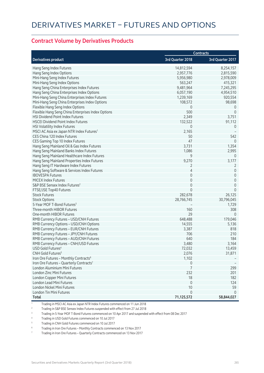#### **Contract Volume by Derivatives Products**

|                                                                                    |                     | <b>Contracts</b>    |
|------------------------------------------------------------------------------------|---------------------|---------------------|
| <b>Derivatives product</b>                                                         | 3rd Quarter 2018    | 3rd Quarter 2017    |
| Hang Seng Index Futures                                                            | 14,812,594          | 8,254,157           |
| Hang Seng Index Options                                                            | 2,957,776           | 2,815,590           |
| Mini-Hang Seng Index Futures                                                       | 5,956,980           | 2,978,009           |
| Mini-Hang Seng Index Options                                                       | 563,247             | 415,321             |
| Hang Seng China Enterprises Index Futures                                          | 9,481,964           | 7,245,295           |
| Hang Seng China Enterprises Index Options                                          | 6,057,190           | 4,954,510           |
| Mini-Hang Seng China Enterprises Index Futures                                     | 1,239,169           | 920,554             |
| Mini-Hang Seng China Enterprises Index Options                                     | 108,572             | 98,698              |
| Flexible Hang Seng Index Options                                                   | 0                   | $\overline{0}$      |
| Flexible Hang Seng China Enterprises Index Options                                 | 500                 | $\overline{0}$      |
| HSI Dividend Point Index Futures                                                   | 2,349               | 3,751               |
| <b>HSCEI Dividend Point Index Futures</b>                                          | 132,522             | 91,112              |
| HSI Volatility Index Futures                                                       | 0                   | $\overline{0}$      |
| MSCI AC Asia ex Japan NTR Index Futures <sup>1</sup>                               | 2,165               |                     |
| CES China 120 Index Futures                                                        | 50                  | 542                 |
| CES Gaming Top 10 Index Futures                                                    | 47                  | $\overline{0}$      |
| Hang Seng Mainland Oil & Gas Index Futures                                         | 3,731               | 1,354               |
| Hang Seng Mainland Banks Index Futures                                             | 1,086               | 2,995               |
| Hang Seng Mainland Healthcare Index Futures                                        | 9                   | $\overline{0}$      |
|                                                                                    | 9,270               | 3,177               |
| Hang Seng Mainland Properties Index Futures<br>Hang Seng IT Hardware Index Futures |                     |                     |
|                                                                                    | 2<br>$\overline{4}$ | 2                   |
| Hang Seng Software & Services Index Futures                                        | 0                   | $\mathbf 0$         |
| <b>IBOVESPA Futures</b>                                                            |                     | 0                   |
| <b>MICEX Index Futures</b>                                                         | 0                   | $\mathbf 0$         |
| S&P BSE Sensex Index Futures <sup>2</sup>                                          | 0                   | $\mathsf{O}\xspace$ |
| FTSE/JSE Top40 Futures                                                             | $\Omega$            | $\Omega$            |
| <b>Stock Futures</b>                                                               | 282,678             | 26,125              |
| <b>Stock Options</b>                                                               | 28,766,745          | 30,796,045          |
| 5-Year MOF T-Bond Futures <sup>3</sup>                                             |                     | 1,729               |
| Three-month HIBOR Futures                                                          | 160                 | 308                 |
| One-month HIBOR Futures                                                            | 29                  | $\mathbf 0$         |
| RMB Currency Futures - USD/CNH Futures                                             | 648,488             | 179,046             |
| RMB Currency Options - USD/CNH Options                                             | 14,555              | 5,136               |
| RMB Currency Futures - EUR/CNH Futures                                             | 3,387               | 818                 |
| RMB Currency Futures - JPY/CNH Futures                                             | 706                 | 210                 |
| RMB Currency Futures - AUD/CNH Futures                                             | 640                 | 184                 |
| RMB Currency Futures - CNH/USD Futures                                             | 3,480               | 3,164               |
| USD Gold Futures <sup>4</sup>                                                      | 72,032              | 13,459              |
| CNH Gold Futures <sup>5</sup>                                                      | 2,076               | 31,871              |
| Iron Ore Futures - Monthly Contracts <sup>6</sup>                                  | 1,102               |                     |
| Iron Ore Futures - Quarterly Contracts <sup>7</sup>                                | 0                   |                     |
| London Aluminium Mini Futures                                                      | 7                   | 299                 |
| London Zinc Mini Futures                                                           | 232                 | 201                 |
| London Copper Mini Futures                                                         | 18                  | 182                 |
| London Lead Mini Futures                                                           | $\mathbf 0$         | 124                 |
| London Nickel Mini Futures                                                         | 10                  | 59                  |
| London Tin Mini Futures                                                            | $\mathbf 0$         | $\Omega$            |
| <b>Total</b>                                                                       | 71,125,572          | 58,844,027          |

1 Trading in MSCI AC Asia ex Japan NTR Index Futures commenced on 11 Jun 2018

2 Trading in S&P BSE Sensex Index Futures suspended with effect from 27 Jul 2018

<sup>3</sup> Trading in 5-Year MOF T-Bond Futures commenced on 10 Apr 2017 and suspended with effect from 08 Dec 2017

4 Trading in USD Gold Futures commenced on 10 Jul 2017

5 Trading in CNH Gold Futures commenced on 10 Jul 2017

6 Trading in Iron Ore Futures – Monthly Contracts commenced on 13 Nov 2017

7 Trading in Iron Ore Futures – Quarterly Contracts commenced on 13 Nov 2017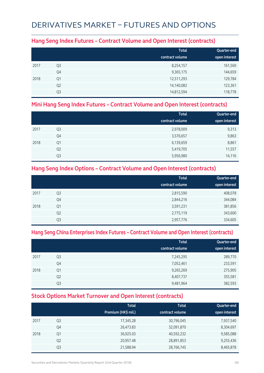## DERIVATIVES MARKET – FUTURES AND OPTIONS

### **Hang Seng Index Futures – Contract Volume and Open Interest (contracts)**

|      |                | <b>Total</b><br>contract volume | Quarter-end<br>open interest |
|------|----------------|---------------------------------|------------------------------|
| 2017 | Q <sub>3</sub> | 8,254,157                       | 161,569                      |
|      | Q4             | 9,365,175                       | 144,659                      |
| 2018 | Q1             | 12,511,293                      | 129,784                      |
|      | Q <sub>2</sub> | 14,140,082                      | 123,361                      |
|      | Q3             | 14,812,594                      | 118,778                      |

### **Mini Hang Seng Index Futures – Contract Volume and Open Interest (contracts)**

|      |                | <b>Total</b><br>contract volume | Quarter-end<br>open interest |
|------|----------------|---------------------------------|------------------------------|
| 2017 | Q <sub>3</sub> | 2,978,009                       | 9,313                        |
|      | Q4             | 3,576,657                       | 9,863                        |
| 2018 | Q1             | 6,139,659                       | 8,861                        |
|      | Q <sub>2</sub> | 5,419,705                       | 11,557                       |
|      | Q3             | 5,956,980                       | 14,116                       |

### **Hang Seng Index Options – Contract Volume and Open Interest (contracts)**

|      |                | <b>Total</b>    | Quarter-end   |
|------|----------------|-----------------|---------------|
|      |                | contract volume | open interest |
| 2017 | Q <sub>3</sub> | 2,815,590       | 408,078       |
|      | Q4             | 2,844,216       | 344,084       |
| 2018 | Q1             | 3,591,231       | 381,856       |
|      | Q <sub>2</sub> | 2,775,119       | 343,600       |
|      | Q3             | 2,957,776       | 334,605       |

### **Hang Seng China Enterprises Index Futures – Contract Volume and Open Interest (contracts)**

|      |                | <b>Total</b><br>contract volume | Quarter-end<br>open interest |
|------|----------------|---------------------------------|------------------------------|
| 2017 | Q <sub>3</sub> | 7,245,295                       | 289,770                      |
|      | Q4             | 7,052,461                       | 233,591                      |
| 2018 | Q1             | 9,265,269                       | 275,905                      |
|      | Q <sub>2</sub> | 8,407,737                       | 355,581                      |
|      | Q3             | 9,481,964                       | 382,593                      |

### **Stock Options Market Turnover and Open Interest (contracts)**

|      |                | <b>Total</b><br>Premium (HK\$ mil.) | <b>Total</b><br>contract volume | Quarter-end<br>open interest |
|------|----------------|-------------------------------------|---------------------------------|------------------------------|
| 2017 | Q <sub>3</sub> | 17,345.28                           | 30,796,045                      | 7,937,540                    |
|      | Q4             | 26,473.83                           | 32,091,870                      | 8,304,697                    |
| 2018 | Q1             | 36,925.03                           | 40,592,232                      | 9,585,088                    |
|      | Q <sub>2</sub> | 20,957.48                           | 28,891,853                      | 9,255,436                    |
|      | Q3             | 21,588.94                           | 28,766,745                      | 8,465,878                    |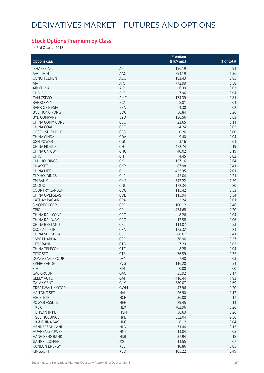## **Stock Options Premium by Class**

for 3rd Quarter 2018

| <b>Options class</b>   |            | Premium<br>(HK\$ mil.) | % of total |
|------------------------|------------|------------------------|------------|
|                        |            |                        |            |
| <b>ISHARES A50</b>     | A50        | 196.19                 | 0.91       |
| AAC TECH               | AAC        | 294.19                 | 1.36       |
| <b>CONCH CEMENT</b>    | ACC        | 183.43                 | 0.85       |
| <b>AIA</b>             | AIA        | 772.99                 | 3.58       |
| <b>AIR CHINA</b>       | AIR        | 6.39                   | 0.03       |
| <b>CHALCO</b>          | ALC        | 7.96                   | 0.04       |
| CAM CSI300             | AMC        | 174.39                 | 0.81       |
| <b>BANKCOMM</b>        | <b>BCM</b> | 8.81                   | 0.04       |
| <b>BANK OF E ASIA</b>  | <b>BEA</b> | 4.30                   | 0.02       |
| <b>BOC HONG KONG</b>   | <b>BOC</b> | 56.84                  | 0.26       |
| <b>BYD COMPANY</b>     | <b>BYD</b> | 136.56                 | 0.63       |
| <b>CHINA COMM CONS</b> | CCC        | 23.65                  | 0.11       |
| <b>CHINA COAL</b>      | CCE        | 4.24                   | 0.02       |
| COSCO SHIP HOLD        | CCS        | 0.26                   | 0.00       |
| <b>CHINA CINDA</b>     | CDA        | 9.40                   | 0.04       |
| <b>CGN POWER</b>       | CGN        | 3.16                   | 0.01       |
| <b>CHINA MOBILE</b>    | CHT        | 472.74                 | 2.19       |
| <b>CHINA UNICOM</b>    | <b>CHU</b> | 40.02                  | 0.19       |
| <b>CITIC</b>           | <b>CIT</b> | 4.45                   | 0.02       |
| <b>CKH HOLDINGS</b>    | <b>CKH</b> | 137.16                 | 0.64       |
| <b>CK ASSET</b>        | <b>CKP</b> | 87.98                  | 0.41       |
| <b>CHINA LIFE</b>      | <b>CLI</b> | 433.35                 | 2.01       |
| <b>CLP HOLDINGS</b>    | <b>CLP</b> | 45.04                  |            |
|                        |            |                        | 0.21       |
| <b>CM BANK</b>         | <b>CMB</b> | 342.22                 | 1.59       |
| <b>CNOOC</b>           | <b>CNC</b> | 172.34                 | 0.80       |
| <b>COUNTRY GARDEN</b>  | COG        | 115.42                 | 0.53       |
| <b>CHINA OVERSEAS</b>  | COL        | 115.94                 | 0.54       |
| <b>CATHAY PAC AIR</b>  | CPA        | 2.24                   | 0.01       |
| SINOPEC CORP           | CPC        | 100.12                 | 0.46       |
| <b>CPIC</b>            | <b>CPI</b> | 474.68                 | 2.20       |
| <b>CHINA RAIL CONS</b> | CRC        | 8.26                   | 0.04       |
| <b>CHINA RAILWAY</b>   | <b>CRG</b> | 12.58                  | 0.06       |
| <b>CHINA RES LAND</b>  | CRL        | 114.07                 | 0.53       |
| CSOP A50 ETF           | <b>CSA</b> | 175.32                 | 0.81       |
| CHINA SHENHUA          | <b>CSE</b> | 88.67                  | 0.41       |
| <b>CSPC PHARMA</b>     | <b>CSP</b> | 78.96                  | 0.37       |
| <b>CITIC BANK</b>      | <b>CTB</b> | 7.29                   | 0.03       |
| <b>CHINA TELECOM</b>   | <b>CTC</b> | 8.28                   | 0.04       |
| CITIC SEC              | <b>CTS</b> | 76.59                  | 0.35       |
| DONGFENG GROUP         | DFM        | 7.48                   | 0.03       |
| EVERGRANDE             | EVG        | 116.20                 | 0.54       |
| <b>FIH</b>             | <b>FIH</b> | 0.00                   | 0.00       |
| <b>GAC GROUP</b>       | GAC        | 35.92                  | 0.17       |
| <b>GEELY AUTO</b>      | GAH        | 416.44                 | 1.93       |
| <b>GALAXY ENT</b>      | GLX        | 580.07                 | 2.69       |
| <b>GREATWALL MOTOR</b> | <b>GWM</b> | 43.96                  | 0.20       |
| <b>HAITONG SEC</b>     | HAI        | 26.90                  | 0.12       |
| <b>HSCEI ETF</b>       | <b>HCF</b> | 36.08                  | 0.17       |
| POWER ASSETS           | <b>HEH</b> | 29.45                  | 0.14       |
| <b>HKEX</b>            | <b>HEX</b> | 702.96                 | 3.26       |
| <b>HENGAN INT'L</b>    | <b>HGN</b> | 56.63                  | 0.26       |
| <b>HSBC HOLDINGS</b>   | <b>HKB</b> | 552.04                 | 2.56       |
| HK & CHINA GAS         | <b>HKG</b> | 8.12                   | 0.04       |
| <b>HENDERSON LAND</b>  | <b>HLD</b> | 31.44                  | 0.15       |
| <b>HUANENG POWER</b>   |            |                        |            |
|                        | <b>HNP</b> | 11.84                  | 0.05       |
| <b>HANG SENG BANK</b>  | <b>HSB</b> | 37.94                  | 0.18       |
| <b>JIANGXI COPPER</b>  | JXC        | 14.55                  | 0.07       |
| <b>KUNLUN ENERGY</b>   | KLE        | 10.86                  | 0.05       |
| KINGSOFT               | <b>KSO</b> | 105.22                 | 0.49       |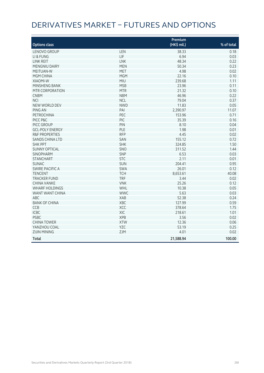# DERIVATIVES MARKET – FUTURES AND OPTIONS

|                           |            | Premium     |            |
|---------------------------|------------|-------------|------------|
| <b>Options class</b>      |            | (HK\$ mil.) | % of total |
| LENOVO GROUP              | LEN        | 38.33       | 0.18       |
| LI & FUNG                 | <b>LIF</b> | 6.94        | 0.03       |
| <b>LINK REIT</b>          | <b>LNK</b> | 48.34       | 0.22       |
| MENGNIU DAIRY             | <b>MEN</b> | 50.34       | 0.23       |
| MEITUAN-W                 | MET        | 4.98        | 0.02       |
| <b>MGM CHINA</b>          | <b>MGM</b> | 22.16       | 0.10       |
| <b>XIAOMI-W</b>           | <b>MIU</b> | 239.68      | 1.11       |
| <b>MINSHENG BANK</b>      | <b>MSB</b> | 23.96       | 0.11       |
| MTR CORPORATION           | <b>MTR</b> | 21.32       | 0.10       |
| <b>CNBM</b>               | <b>NBM</b> | 46.96       | 0.22       |
| <b>NCI</b>                | <b>NCL</b> | 79.04       | 0.37       |
| NEW WORLD DEV             | <b>NWD</b> | 11.83       | 0.05       |
| PING AN                   | PAI        | 2,390.97    | 11.07      |
| <b>PETROCHINA</b>         | PEC        | 153.96      | 0.71       |
| PICC P&C                  | PIC        | 35.39       | 0.16       |
| PICC GROUP                | PIN        | 8.10        | 0.04       |
| <b>GCL-POLY ENERGY</b>    | PLE        | 1.98        | 0.01       |
| <b>R&amp;F PROPERTIES</b> | <b>RFP</b> | 4.45        | 0.02       |
| <b>SANDS CHINA LTD</b>    | SAN        | 155.12      | 0.72       |
| <b>SHK PPT</b>            | <b>SHK</b> | 324.85      | 1.50       |
| <b>SUNNY OPTICAL</b>      | SNO        | 311.52      | 1.44       |
| <b>SINOPHARM</b>          | SNP        | 6.53        | 0.03       |
| <b>STANCHART</b>          | <b>STC</b> | 2.11        | 0.01       |
| <b>SUNAC</b>              | <b>SUN</b> | 204.41      | 0.95       |
| <b>SWIRE PACIFIC A</b>    | <b>SWA</b> | 26.01       | 0.12       |
| <b>TENCENT</b>            | <b>TCH</b> | 8,653.61    | 40.08      |
| <b>TRACKER FUND</b>       | <b>TRF</b> | 3.44        | 0.02       |
| <b>CHINA VANKE</b>        | <b>VNK</b> | 25.26       | 0.12       |
| <b>WHARF HOLDINGS</b>     | WHL        | 10.38       | 0.05       |
| WANT WANT CHINA           | <b>WWC</b> | 5.63        | 0.03       |
| <b>ABC</b>                | <b>XAB</b> | 52.38       | 0.24       |
| <b>BANK OF CHINA</b>      | XBC        | 127.99      | 0.59       |
| CCB                       | XCC        | 378.64      | 1.75       |
| <b>ICBC</b>               | XIC        | 218.61      | 1.01       |
| <b>PSBC</b>               | <b>XPB</b> | 3.56        | 0.02       |
| <b>CHINA TOWER</b>        | <b>XTW</b> | 12.36       | 0.06       |
| YANZHOU COAL              | YZC        | 53.19       | 0.25       |
| <b>ZIJIN MINING</b>       | ZJM        | 4.01        | 0.02       |
| <b>Total</b>              |            | 21,588.94   | 100.00     |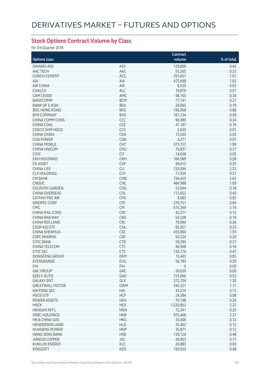## **Stock Options Contract Volume by Class**

for 3rd Quarter 2018

|                        |            | Contract     |            |
|------------------------|------------|--------------|------------|
| <b>Options class</b>   |            | volume       | % of total |
| <b>ISHARES A50</b>     |            |              |            |
|                        | A50        | 129,806      | 0.45       |
| AAC TECH               | AAC        | 93,265       | 0.32       |
| <b>CONCH CEMENT</b>    | ACC        | 291,651      | 1.01       |
| <b>AIA</b>             | AIA        | 475,698      | 1.65       |
| <b>AIR CHINA</b>       | AIR        | 8,529        | 0.03       |
| <b>CHALCO</b>          | ALC        | 19,879       | 0.07       |
| CAM CSI300             | AMC        | 98,165       | 0.34       |
| <b>BANKCOMM</b>        | <b>BCM</b> | 77,141       | 0.27       |
| <b>BANK OF E ASIA</b>  | <b>BEA</b> | 28,685       | 0.10       |
| <b>BOC HONG KONG</b>   | <b>BOC</b> | 196,968      | 0.68       |
| <b>BYD COMPANY</b>     | <b>BYD</b> | 167,134      | 0.58       |
| <b>CHINA COMM CONS</b> | CCC        | 96,989       | 0.34       |
| CHINA COAL             | <b>CCE</b> | 47,187       | 0.16       |
| COSCO SHIP HOLD        | CCS        | 2,630        | 0.01       |
| CHINA CINDA            | CDA        | 13,030       | 0.05       |
| <b>CGN POWER</b>       | CGN        | 4,271        | 0.01       |
| <b>CHINA MOBILE</b>    | <b>CHT</b> | 573,157      | 1.99       |
|                        | <b>CHU</b> | 76,837       | 0.27       |
| <b>CHINA UNICOM</b>    |            |              |            |
| <b>CITIC</b>           | <b>CIT</b> | 14,638       | 0.05       |
| <b>CKH HOLDINGS</b>    | <b>CKH</b> | 166,589      | 0.58       |
| <b>CK ASSET</b>        | <b>CKP</b> | 99,615       | 0.35       |
| <b>CHINA LIFE</b>      | <b>CLI</b> | 729,094      | 2.53       |
| <b>CLP HOLDINGS</b>    | <b>CLP</b> | 77,939       | 0.27       |
| <b>CM BANK</b>         | <b>CMB</b> | 756,435      | 2.63       |
| <b>CNOOC</b>           | <b>CNC</b> | 484,988      | 1.69       |
| <b>COUNTRY GARDEN</b>  | COG        | 52,694       | 0.18       |
| CHINA OVERSEAS         | COL        | 113,652      | 0.40       |
| CATHAY PAC AIR         | CPA        | 6,683        | 0.02       |
| SINOPEC CORP           | CPC        | 270,751      | 0.94       |
| <b>CPIC</b>            | <b>CPI</b> | 615,369      | 2.14       |
| <b>CHINA RAIL CONS</b> | CRC        | 42,271       | 0.15       |
| CHINA RAILWAY          | CRG        | 54,208       | 0.19       |
| CHINA RES LAND         | CRL        | 76,090       | 0.26       |
| CSOP A50 ETF           | <b>CSA</b> | 95,927       | 0.33       |
| CHINA SHENHUA          | <b>CSE</b> |              | 1.59       |
|                        |            | 455,960      |            |
| <b>CSPC PHARMA</b>     | <b>CSP</b> | 56,524       | 0.20       |
| <b>CITIC BANK</b>      | <b>CTB</b> | 59,290       | 0.21       |
| CHINA TELECOM          | <b>CTC</b> | 46,948       | 0.16       |
| CITIC SEC              | <b>CTS</b> | 136,176      | 0.47       |
| DONGFENG GROUP         | <b>DFM</b> | 13,443       | 0.05       |
| EVERGRANDE             | EVG        | 56,180       | 0.20       |
| <b>FIH</b>             | <b>FIH</b> | $\mathbf{0}$ | 0.00       |
| <b>GAC GROUP</b>       | GAC        | 26,629       | 0.09       |
| <b>GEELY AUTO</b>      | GAH        | 153,066      | 0.53       |
| <b>GALAXY ENT</b>      | GLX        | 372,704      | 1.30       |
| <b>GREATWALL MOTOR</b> | <b>GWM</b> | 336,527      | 1.17       |
| <b>HAITONG SEC</b>     | HAI        | 43,214       | 0.15       |
| <b>HSCEI ETF</b>       | <b>HCF</b> | 24,384       | 0.08       |
| <b>POWER ASSETS</b>    | <b>HEH</b> | 70,198       | 0.24       |
| <b>HKEX</b>            | <b>HEX</b> | 1,530,902    | 5.32       |
| <b>HENGAN INT'L</b>    | <b>HGN</b> | 72,241       | 0.25       |
| <b>HSBC HOLDINGS</b>   | <b>HKB</b> | 970,468      | 3.37       |
| HK & CHINA GAS         | <b>HKG</b> |              | 0.12       |
|                        |            | 35,006       | 0.12       |
| <b>HENDERSON LAND</b>  | <b>HLD</b> | 35,462       |            |
| <b>HUANENG POWER</b>   | <b>HNP</b> | 35,871       | 0.12       |
| <b>HANG SENG BANK</b>  | <b>HSB</b> | 139,126      | 0.48       |
| <b>JIANGXI COPPER</b>  | <b>JXC</b> | 49,903       | 0.17       |
| <b>KUNLUN ENERGY</b>   | KLE        | 26,883       | 0.09       |
| <b>KINGSOFT</b>        | <b>KSO</b> | 139,020      | 0.48       |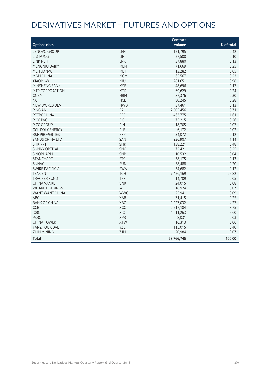# DERIVATIVES MARKET – FUTURES AND OPTIONS

|                           |            | Contract   |            |
|---------------------------|------------|------------|------------|
| <b>Options class</b>      |            | volume     | % of total |
| LENOVO GROUP              | LEN        | 121,795    | 0.42       |
| LI & FUNG                 | LIF        | 27,508     | 0.10       |
| <b>LINK REIT</b>          | <b>LNK</b> | 37,880     | 0.13       |
| MENGNIU DAIRY             | <b>MEN</b> | 71,669     | 0.25       |
| MEITUAN-W                 | <b>MET</b> | 13,282     | 0.05       |
| <b>MGM CHINA</b>          | <b>MGM</b> | 65,567     | 0.23       |
| <b>XIAOMI-W</b>           | MIU        | 281,651    | 0.98       |
| MINSHENG BANK             | <b>MSB</b> | 48,696     | 0.17       |
| MTR CORPORATION           | <b>MTR</b> | 69,629     | 0.24       |
| <b>CNBM</b>               | <b>NBM</b> | 87,376     | 0.30       |
| <b>NCI</b>                | <b>NCL</b> | 80,245     | 0.28       |
| NEW WORLD DEV             | <b>NWD</b> | 37,461     | 0.13       |
| PING AN                   | PAI        | 2,505,456  | 8.71       |
| <b>PETROCHINA</b>         | PEC        | 463,775    | 1.61       |
| PICC P&C                  | PIC        | 75,215     | 0.26       |
| PICC GROUP                | PIN        | 18,705     | 0.07       |
| <b>GCL-POLY ENERGY</b>    | PLE        | 6,172      | 0.02       |
| <b>R&amp;F PROPERTIES</b> | <b>RFP</b> | 34,072     | 0.12       |
| <b>SANDS CHINA LTD</b>    | SAN        | 326,987    | 1.14       |
| <b>SHK PPT</b>            | <b>SHK</b> | 138,221    | 0.48       |
| <b>SUNNY OPTICAL</b>      | SNO        | 72,421     | 0.25       |
| <b>SINOPHARM</b>          | SNP        | 10,532     | 0.04       |
| <b>STANCHART</b>          | <b>STC</b> | 38,175     | 0.13       |
| <b>SUNAC</b>              | <b>SUN</b> | 58,488     | 0.20       |
| <b>SWIRE PACIFIC A</b>    | SWA        | 34,682     | 0.12       |
| <b>TENCENT</b>            | <b>TCH</b> | 7,426,169  | 25.82      |
| <b>TRACKER FUND</b>       | <b>TRF</b> | 14,709     | 0.05       |
| <b>CHINA VANKE</b>        | <b>VNK</b> | 24,015     | 0.08       |
| <b>WHARF HOLDINGS</b>     | WHL        | 18,924     | 0.07       |
| WANT WANT CHINA           | <b>WWC</b> | 25,941     | 0.09       |
| ABC                       | <b>XAB</b> | 71,415     | 0.25       |
| <b>BANK OF CHINA</b>      | XBC        | 1,227,032  | 4.27       |
| CCB                       | XCC        | 2,517,184  | 8.75       |
| <b>ICBC</b>               | XIC        | 1,611,263  | 5.60       |
| <b>PSBC</b>               | <b>XPB</b> | 8,031      | 0.03       |
| <b>CHINA TOWER</b>        | <b>XTW</b> | 16,313     | 0.06       |
| YANZHOU COAL              | YZC        | 115,015    | 0.40       |
| <b>ZIJIN MINING</b>       | ZJM        | 20,984     | 0.07       |
| <b>Total</b>              |            | 28,766,745 | 100.00     |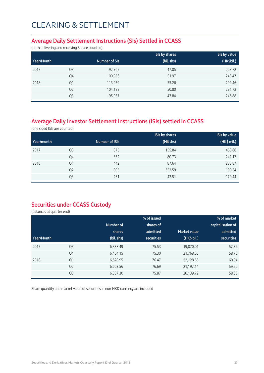### **Average Daily Settlement Instructions (SIs) Settled in CCASS**

(both delivering and receiving SIs are counted)

|            |                |               | SIs by shares | SIs by value |
|------------|----------------|---------------|---------------|--------------|
| Year/Month |                | Number of SIs | (bil. shs)    | (HK\$bil.)   |
| 2017       | Q <sub>3</sub> | 92,762        | 47.05         | 223.72       |
|            | Q4             | 100,956       | 51.97         | 248.47       |
| 2018       | Q <sub>1</sub> | 113,959       | 55.26         | 299.46       |
|            | Q <sub>2</sub> | 104,188       | 50.80         | 291.72       |
|            | Q3             | 95,037        | 47.84         | 246.88       |

## **Average Daily Investor Settlement Instructions (ISIs) settled in CCASS**

(one sided ISIs are counted)

|            |                |                | <b>ISIs by shares</b> | <b>ISIs by value</b> |
|------------|----------------|----------------|-----------------------|----------------------|
| Year/month |                | Number of ISIs | (Mil shs)             | $(HK$$ mil.)         |
| 2017       | Q <sub>3</sub> | 373            | 155.84                | 468.68               |
|            | Q4             | 352            | 80.73                 | 241.17               |
| 2018       | Q <sub>1</sub> | 442            | 87.64                 | 283.87               |
|            | Q <sub>2</sub> | 303            | 352.59                | 190.54               |
|            | Q3             | 261            | 42.51                 | 179.44               |

### **Securities under CCASS Custody**

(balances at quarter end)

|            |                |            | % of issued       |                     | % of market       |
|------------|----------------|------------|-------------------|---------------------|-------------------|
|            |                | Number of  | shares of         |                     | capitalisation of |
|            |                | shares     | admitted          | <b>Market value</b> | admitted          |
| Year/Month |                | (bil. shs) | <b>securities</b> | (HK\$ bil.)         | securities        |
| 2017       | Q <sub>3</sub> | 6,338.49   | 75.53             | 19,870.01           | 57.86             |
|            | Q4             | 6,404.15   | 75.30             | 21,768.65           | 58.70             |
| 2018       | Q1             | 6,628.95   | 76.47             | 22,128.66           | 60.04             |
|            | Q <sub>2</sub> | 6,663.56   | 76.69             | 21,197.14           | 59.56             |
|            | Q <sub>3</sub> | 6,587.30   | 75.87             | 20,139.79           | 58.33             |

Share quantity and market value of securities in non-HKD currency are included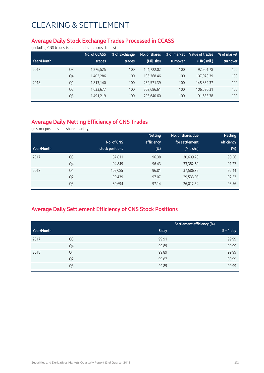#### **Average Daily Stock Exchange Trades Processed in CCASS**

(including CNS trades, isolated trades and cross trades)

|            |                | No. of CCASS | % of Exchange | No. of shares | % of market | Value of trades | % of market |
|------------|----------------|--------------|---------------|---------------|-------------|-----------------|-------------|
| Year/Month |                | trades       | trades        | (Mil. shs)    | turnover    | (HK\$ mil.)     | turnover    |
| 2017       | Q <sub>3</sub> | 1,276,525    | 100           | 164.722.02    | 100         | 92.901.78       | 100         |
|            | Q4             | 1,402,286    | 100           | 196.368.46    | 100         | 107.078.39      | 100         |
| 2018       | Q1             | 1,813,140    | 100           | 252.571.39    | 100         | 145,832.37      | 100         |
|            | Q <sub>2</sub> | 1,633,677    | 100           | 203.686.61    | 100         | 106.620.31      | 100         |
|            | Q <sub>3</sub> | 1,491,219    | 100           | 203,640.60    | 100         | 91,633.38       | 100         |

## **Average Daily Netting Efficiency of CNS Trades**

(in stock positions and share quantity)

|            |                |                 | <b>Netting</b> | No. of shares due | <b>Netting</b> |
|------------|----------------|-----------------|----------------|-------------------|----------------|
|            |                | No. of CNS      | efficiency     | for settlement    | efficiency     |
| Year/Month |                | stock positions | $(\%)$         | (Mil. shs)        | $(\%)$         |
| 2017       | Q <sub>3</sub> | 87,811          | 96.38          | 30,609.78         | 90.56          |
|            | Q4             | 94,849          | 96.43          | 33,382.69         | 91.27          |
| 2018       | Q1             | 109,085         | 96.81          | 37,586.85         | 92.44          |
|            | Q <sub>2</sub> | 90,439          | 97.07          | 29,533.08         | 92.53          |
|            | Q <sub>3</sub> | 80,694          | 97.14          | 26,012.54         | 93.56          |

## **Average Daily Settlement Efficiency of CNS Stock Positions**

|            |                | Settlement efficiency (%) |             |
|------------|----------------|---------------------------|-------------|
| Year/Month |                | S day                     | $S + 1$ day |
| 2017       | Q3             | 99.91                     | 99.99       |
|            | Q4             | 99.89                     | 99.99       |
| 2018       | Q1             | 99.89                     | 99.99       |
|            | Q <sub>2</sub> | 99.87                     | 99.99       |
|            | Q3             | 99.89                     | 99.99       |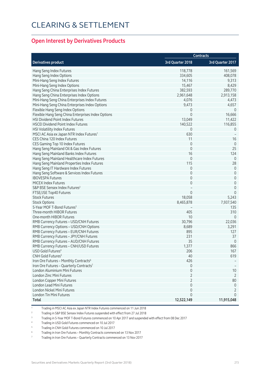### **Open Interest by Derivatives Products**

|                                                      | <b>Contracts</b>    |                  |
|------------------------------------------------------|---------------------|------------------|
| <b>Derivatives product</b>                           | 3rd Quarter 2018    | 3rd Quarter 2017 |
| Hang Seng Index Futures                              | 118,778             | 161,569          |
| Hang Seng Index Options                              | 334,605             | 408,078          |
| Mini-Hang Seng Index Futures                         | 14,116              | 9,313            |
| Mini-Hang Seng Index Options                         | 15,467              | 8,429            |
| Hang Seng China Enterprises Index Futures            | 382,593             | 289,770          |
| Hang Seng China Enterprises Index Options            | 2,961,648           | 2,913,158        |
| Mini-Hang Seng China Enterprises Index Futures       | 4,076               | 4,473            |
| Mini-Hang Seng China Enterprises Index Options       | 9,473               | 4,657            |
| Flexible Hang Seng Index Options                     | 0                   | $\overline{0}$   |
| Flexible Hang Seng China Enterprises Index Options   | $\mathbf 0$         | 16,666           |
| HSI Dividend Point Index Futures                     | 13,049              | 11,422           |
| <b>HSCEI Dividend Point Index Futures</b>            | 140,522             | 116,855          |
| HSI Volatility Index Futures                         | 0                   | $\theta$         |
| MSCI AC Asia ex Japan NTR Index Futures <sup>1</sup> | 630                 |                  |
| CES China 120 Index Futures                          | 11                  | 16               |
| CES Gaming Top 10 Index Futures                      | $\mathbf 0$         | $\theta$         |
| Hang Seng Mainland Oil & Gas Index Futures           | $\mathbf 0$         | 25               |
| Hang Seng Mainland Banks Index Futures               | 16                  | 124              |
| Hang Seng Mainland Healthcare Index Futures          | $\mathbf 0$         | $\theta$         |
| Hang Seng Mainland Properties Index Futures          | 115                 | 28               |
| Hang Seng IT Hardware Index Futures                  | $\mathbf 0$         | $\theta$         |
| Hang Seng Software & Services Index Futures          | $\mathbf 0$         | $\theta$         |
| <b>IBOVESPA Futures</b>                              | $\mathbf 0$         | 0                |
| MICEX Index Futures                                  | $\mathbf 0$         | $\mathbf 0$      |
| S&P BSE Sensex Index Futures <sup>2</sup>            |                     | $\theta$         |
| FTSE/JSE Top40 Futures                               | $\Omega$            | $\mathbf 0$      |
| <b>Stock Futures</b>                                 | 18,058              | 5,243            |
| <b>Stock Options</b>                                 | 8,465,878           | 7,937,540        |
| 5-Year MOF T-Bond Futures <sup>3</sup>               |                     | 135              |
| Three-month HIBOR Futures                            | 405                 | 310              |
| One-month HIBOR Futures                              | 10                  | $\theta$         |
| RMB Currency Futures - USD/CNH Futures               | 30,796              | 22,036           |
| RMB Currency Options - USD/CNH Options               | 8,689               | 3,291            |
| RMB Currency Futures - EUR/CNH Futures               | 895                 | 127              |
| RMB Currency Futures - JPY/CNH Futures               | 231                 | 37               |
| RMB Currency Futures - AUD/CNH Futures               | 35                  | $\overline{0}$   |
| RMB Currency Futures - CNH/USD Futures               | 1,377               | 866              |
| USD Gold Futures <sup>4</sup>                        | 206                 | 167              |
| CNH Gold Futures <sup>5</sup>                        | 40                  | 619              |
| Iron Ore Futures - Monthly Contracts <sup>6</sup>    | 426                 |                  |
| Iron Ore Futures - Quarterly Contracts <sup>7</sup>  | 0                   |                  |
| London Aluminium Mini Futures                        | $\mathbf 0$         | $10$             |
| London Zinc Mini Futures                             | $\overline{2}$      | $\overline{2}$   |
| London Copper Mini Futures                           | $\overline{2}$      | 80               |
| London Lead Mini Futures                             | $\mathsf{O}\xspace$ | $\overline{0}$   |
| London Nickel Mini Futures                           | $\mathbf 0$         | 2                |
| London Tin Mini Futures                              | 0                   | $\theta$         |
| <b>Total</b>                                         | 12,522,149          | 11,915,048       |
|                                                      |                     |                  |

1 Trading in MSCI AC Asia ex Japan NTR Index Futures commenced on 11 Jun 2018

<sup>2</sup> Trading in S&P BSE Sensex Index Futures suspended with effect from 27 Jul 2018

3 Trading in 5-Year MOF T-Bond Futures commenced on 10 Apr 2017 and suspended with effect from 08 Dec 2017

4 Trading in USD Gold Futures commenced on 10 Jul 2017

5 Trading in CNH Gold Futures commenced on 10 Jul 2017

6 Trading in Iron Ore Futures – Monthly Contracts commenced on 13 Nov 2017

7 Trading in Iron Ore Futures – Quarterly Contracts commenced on 13 Nov 2017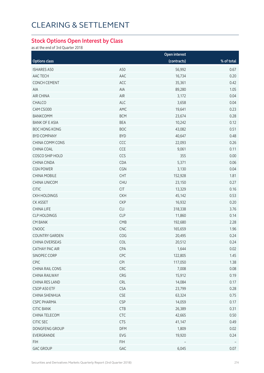### **Stock Options Open Interest by Class**

as at the end of 3rd Quarter 2018

|                       |            | Open interest |            |
|-----------------------|------------|---------------|------------|
| <b>Options class</b>  |            | (contracts)   | % of total |
| <b>ISHARES A50</b>    | A50        | 56,992        | 0.67       |
| AAC TECH              | AAC        | 16,734        | 0.20       |
| <b>CONCH CEMENT</b>   | ACC        | 35,361        | 0.42       |
| AIA                   | AIA        | 89,280        | 1.05       |
| AIR CHINA             | AIR        | 3,172         | 0.04       |
| CHALCO                | <b>ALC</b> | 3,658         | 0.04       |
| CAM CSI300            | AMC        | 19,641        | 0.23       |
| <b>BANKCOMM</b>       | <b>BCM</b> | 23,674        | 0.28       |
| <b>BANK OF E ASIA</b> | <b>BEA</b> | 10,242        | 0.12       |
| <b>BOC HONG KONG</b>  | <b>BOC</b> | 43,082        | 0.51       |
| <b>BYD COMPANY</b>    | <b>BYD</b> | 40,647        | 0.48       |
| CHINA COMM CONS       | CCC        | 22,093        | 0.26       |
| CHINA COAL            | CCE        | 9,061         | 0.11       |
| COSCO SHIP HOLD       | CCS        | 355           | 0.00       |
| CHINA CINDA           | CDA        | 5,371         | 0.06       |
| <b>CGN POWER</b>      | CGN        | 3,130         | 0.04       |
| <b>CHINA MOBILE</b>   | <b>CHT</b> | 152,928       | 1.81       |
| CHINA UNICOM          | <b>CHU</b> | 23,150        | 0.27       |
| <b>CITIC</b>          | <b>CIT</b> | 13,329        | 0.16       |
| <b>CKH HOLDINGS</b>   | <b>CKH</b> | 45,142        | 0.53       |
| <b>CK ASSET</b>       | <b>CKP</b> | 16,932        | 0.20       |
| <b>CHINA LIFE</b>     | CLI        | 318,338       | 3.76       |
| <b>CLP HOLDINGS</b>   | <b>CLP</b> | 11,860        | 0.14       |
| <b>CM BANK</b>        | CMB        | 192,680       | 2.28       |
| CNOOC                 | CNC        | 165,659       | 1.96       |
| <b>COUNTRY GARDEN</b> | COG        | 20,495        | 0.24       |
| CHINA OVERSEAS        | COL        | 20,512        | 0.24       |
| <b>CATHAY PAC AIR</b> | CPA        | 1,644         | 0.02       |
| SINOPEC CORP          | CPC        | 122,805       | 1.45       |
| CPIC                  | CPI        | 117,050       | 1.38       |
| CHINA RAIL CONS       | CRC        | 7,008         | 0.08       |
| CHINA RAILWAY         | CRG        | 15,912        | 0.19       |
| CHINA RES LAND        | <b>CRL</b> | 14,084        | 0.17       |
| CSOP A50 ETF          | <b>CSA</b> | 23,799        | 0.28       |
| CHINA SHENHUA         | <b>CSE</b> | 63,324        | 0.75       |
| <b>CSPC PHARMA</b>    | <b>CSP</b> | 14,059        | 0.17       |
| <b>CITIC BANK</b>     | CTB        | 26,389        | 0.31       |
| CHINA TELECOM         | <b>CTC</b> | 42,665        | 0.50       |
| CITIC SEC             | <b>CTS</b> | 41,147        | 0.49       |
| DONGFENG GROUP        | <b>DFM</b> | 1,809         | 0.02       |
| EVERGRANDE            | EVG        | 19,920        | 0.24       |
| <b>FIH</b>            | <b>FIH</b> |               |            |
| <b>GAC GROUP</b>      | GAC        | 6,045         | 0.07       |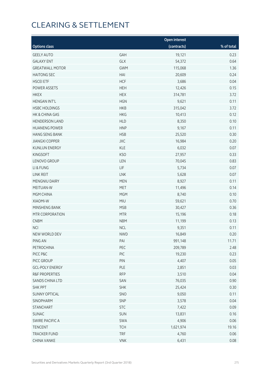|                           |            | Open interest |            |
|---------------------------|------------|---------------|------------|
| <b>Options class</b>      |            | (contracts)   | % of total |
| <b>GEELY AUTO</b>         | GAH        | 19,121        | 0.23       |
| <b>GALAXY ENT</b>         | GLX        | 54,372        | 0.64       |
| <b>GREATWALL MOTOR</b>    | <b>GWM</b> | 115,068       | 1.36       |
| <b>HAITONG SEC</b>        | HAI        | 20,609        | 0.24       |
| <b>HSCEI ETF</b>          | <b>HCF</b> | 3,686         | 0.04       |
| <b>POWER ASSETS</b>       | <b>HEH</b> | 12,426        | 0.15       |
| <b>HKEX</b>               | <b>HEX</b> | 314,781       | 3.72       |
| <b>HENGAN INT'L</b>       | <b>HGN</b> | 9,621         | 0.11       |
| <b>HSBC HOLDINGS</b>      | <b>HKB</b> | 315,042       | 3.72       |
| HK & CHINA GAS            | <b>HKG</b> | 10,413        | 0.12       |
| <b>HENDERSON LAND</b>     | <b>HLD</b> | 8,350         | 0.10       |
| <b>HUANENG POWER</b>      | <b>HNP</b> | 9,167         | 0.11       |
| <b>HANG SENG BANK</b>     | <b>HSB</b> | 25,520        | 0.30       |
| <b>JIANGXI COPPER</b>     | <b>JXC</b> | 16,984        | 0.20       |
| <b>KUNLUN ENERGY</b>      | <b>KLE</b> | 6,032         | 0.07       |
|                           | <b>KSO</b> |               |            |
| <b>KINGSOFT</b>           |            | 27,957        | 0.33       |
| LENOVO GROUP              | LEN        | 70,045        | 0.83       |
| LI & FUNG                 | LIF        | 5,734         | 0.07       |
| <b>LINK REIT</b>          | <b>LNK</b> | 5,628         | 0.07       |
| MENGNIU DAIRY             | <b>MEN</b> | 8,927         | 0.11       |
| MEITUAN-W                 | <b>MET</b> | 11,496        | 0.14       |
| MGM CHINA                 | <b>MGM</b> | 8,740         | 0.10       |
| XIAOMI-W                  | <b>MIU</b> | 59,621        | 0.70       |
| MINSHENG BANK             | <b>MSB</b> | 30,427        | 0.36       |
| MTR CORPORATION           | <b>MTR</b> | 15,196        | 0.18       |
| <b>CNBM</b>               | <b>NBM</b> | 11,199        | 0.13       |
| <b>NCI</b>                | <b>NCL</b> | 9,351         | 0.11       |
| NEW WORLD DEV             | <b>NWD</b> | 16,849        | 0.20       |
| PING AN                   | PAI        | 991,148       | 11.71      |
| PETROCHINA                | PEC        | 209,789       | 2.48       |
| PICC P&C                  | PIC        | 19,230        | 0.23       |
| PICC GROUP                | PIN        | 4,407         | 0.05       |
| <b>GCL-POLY ENERGY</b>    | PLE        | 2,851         | 0.03       |
| <b>R&amp;F PROPERTIES</b> | <b>RFP</b> | 3,510         | 0.04       |
| SANDS CHINA LTD           | SAN        | 76,035        | 0.90       |
| <b>SHK PPT</b>            | <b>SHK</b> | 25,424        | 0.30       |
| <b>SUNNY OPTICAL</b>      | SNO        | 9,050         | 0.11       |
| SINOPHARM                 | SNP        | 3,578         | 0.04       |
| <b>STANCHART</b>          | <b>STC</b> | 7,422         | 0.09       |
| <b>SUNAC</b>              | SUN        | 13,831        | 0.16       |
| <b>SWIRE PACIFIC A</b>    | SWA        | 4,906         | 0.06       |
| <b>TENCENT</b>            | <b>TCH</b> | 1,621,974     | 19.16      |
| <b>TRACKER FUND</b>       | <b>TRF</b> | 4,760         | 0.06       |
| CHINA VANKE               | <b>VNK</b> | 6,431         | 0.08       |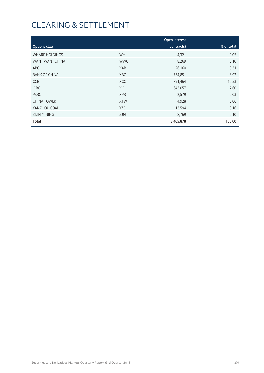|                       |            | Open interest |            |
|-----------------------|------------|---------------|------------|
| <b>Options class</b>  |            | (contracts)   | % of total |
| <b>WHARF HOLDINGS</b> | <b>WHL</b> | 4,321         | 0.05       |
| WANT WANT CHINA       | <b>WWC</b> | 8,269         | 0.10       |
| ABC                   | XAB        | 26,160        | 0.31       |
| <b>BANK OF CHINA</b>  | <b>XBC</b> | 754,851       | 8.92       |
| <b>CCB</b>            | <b>XCC</b> | 891,464       | 10.53      |
| <b>ICBC</b>           | XIC        | 643,057       | 7.60       |
| <b>PSBC</b>           | <b>XPB</b> | 2,579         | 0.03       |
| <b>CHINA TOWER</b>    | <b>XTW</b> | 4,928         | 0.06       |
| YANZHOU COAL          | <b>YZC</b> | 13,594        | 0.16       |
| <b>ZIJIN MINING</b>   | <b>ZJM</b> | 8,769         | 0.10       |
| Total                 |            | 8,465,878     | 100.00     |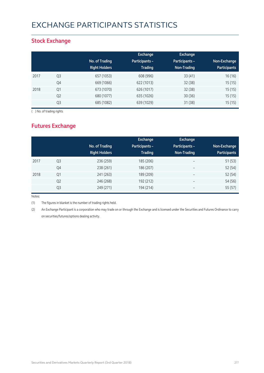# EXCHANGE PARTICIPANTS STATISTICS

### **Stock Exchange**

|      |                | No. of Trading<br><b>Right Holders</b> | Exchange<br><b>Participants -</b><br><b>Trading</b> | <b>Exchange</b><br><b>Participants -</b><br>Non-Trading | Non-Exchange<br><b>Participants</b> |
|------|----------------|----------------------------------------|-----------------------------------------------------|---------------------------------------------------------|-------------------------------------|
| 2017 | Q3             | 657 (1053)                             | 608 (996)                                           | 33(41)                                                  | 16(16)                              |
|      | Q4             | 669 (1066)                             | 622 (1013)                                          | 32(38)                                                  | 15(15)                              |
| 2018 | Q <sub>1</sub> | 673 (1070)                             | 626 (1017)                                          | 32(38)                                                  | 15(15)                              |
|      | Q <sub>2</sub> | 680 (1077)                             | 635 (1026)                                          | 30(36)                                                  | 15(15)                              |
|      | Q <sub>3</sub> | 685 (1082)                             | 639 (1029)                                          | 31(38)                                                  | 15(15)                              |

( ) No. of trading rights

## **Futures Exchange**

|      |                | No. of Trading<br><b>Right Holders</b> | Exchange<br><b>Participants -</b><br><b>Trading</b> | Exchange<br>Participants -<br>Non-Trading | Non-Exchange<br><b>Participants</b> |
|------|----------------|----------------------------------------|-----------------------------------------------------|-------------------------------------------|-------------------------------------|
| 2017 | Q <sub>3</sub> | 236 (259)                              | 185 (206)                                           | $\overline{\phantom{a}}$                  | 51(53)                              |
|      | Q4             | 238 (261)                              | 186 (207)                                           | $\overline{\phantom{a}}$                  | 52 (54)                             |
| 2018 | Q <sub>1</sub> | 241 (263)                              | 189 (209)                                           | $\overline{\phantom{m}}$                  | 52 (54)                             |
|      | Q <sub>2</sub> | 246 (268)                              | 192 (212)                                           | $\overline{\phantom{m}}$                  | 54 (56)                             |
|      | Q <sub>3</sub> | 249 (271)                              | 194 (214)                                           | $\overline{\phantom{m}}$                  | 55 (57)                             |

Notes:

(1) The figures in blanket is the number of trading rights held.

(2) An Exchange Participant is a corporation who may trade on or through the Exchange and is licensed under the Securities and Futures Ordinance to carry on securities/futures/options dealing activity.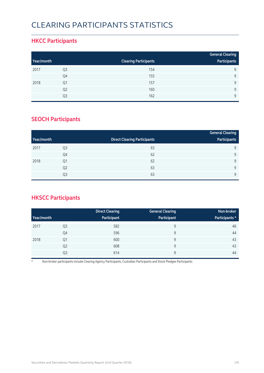# CLEARING PARTICIPANTS STATISTICS

### **HKCC Participants**

|            |                |                              | <b>General Clearing</b> |
|------------|----------------|------------------------------|-------------------------|
| Year/month |                | <b>Clearing Participants</b> | Participants            |
| 2017       | Q3             | 154                          | 9                       |
|            | Q4             | 155                          | Q                       |
| 2018       | Q1             | 157                          | Q                       |
|            | Q <sub>2</sub> | 160                          | Q                       |
|            | Q3             | 162                          | $\mathsf{Q}$            |

### **SEOCH Participants**

|            |                |                                     | <b>General Clearing</b> |
|------------|----------------|-------------------------------------|-------------------------|
| Year/month |                | <b>Direct Clearing Participants</b> | Participants            |
| 2017       | Q <sub>3</sub> | 63                                  | 9                       |
|            | Q4             | 62                                  | 9                       |
| 2018       | Q <sub>1</sub> | 62                                  | 9                       |
|            | Q <sub>2</sub> | 63                                  | 9                       |
|            | Q <sub>3</sub> | 63                                  | $\mathsf{Q}$            |

## **HKSCC Participants**

|            |                | <b>Direct Clearing</b> | <b>General Clearing</b> | Non-broker     |
|------------|----------------|------------------------|-------------------------|----------------|
| Year/month |                | Participant            | Participant             | Participants * |
| 2017       | Q <sub>3</sub> | 582                    | 9                       | 46             |
|            | Q4             | 596                    | 9                       | 44             |
| 2018       | Q1             | 600                    | 9                       | 43             |
|            | Q <sub>2</sub> | 608                    | 9                       | 43             |
|            | Q3             | 614                    | 9                       | 44             |

\* Non-broker participants include Clearing Agency Participants, Custodian Participants and Stock Pledgee Participants